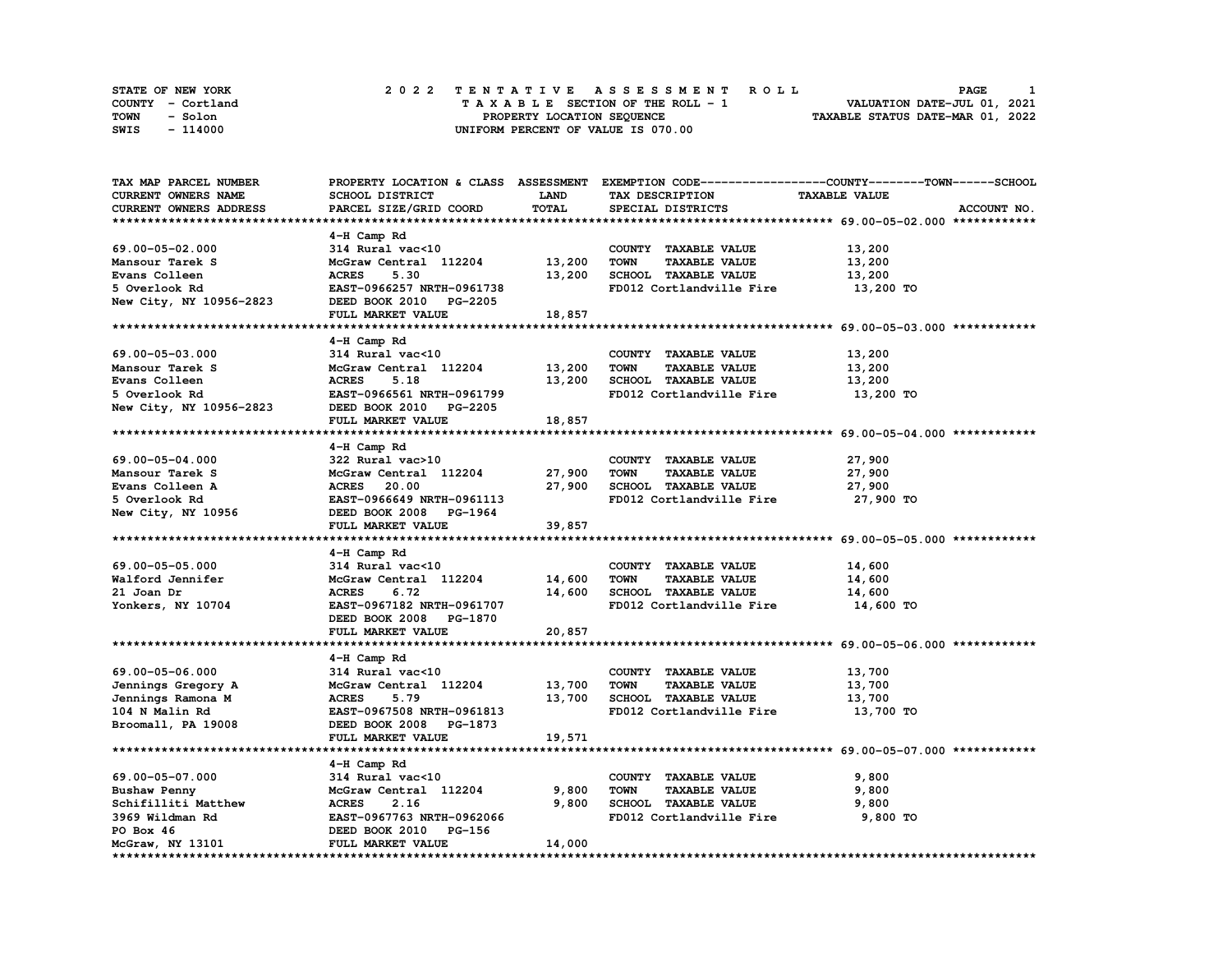| STATE OF NEW YORK | 2022 TENTATIVE ASSESSMENT ROLL     | PAGE                             |
|-------------------|------------------------------------|----------------------------------|
| COUNTY - Cortland | TAXABLE SECTION OF THE ROLL - 1    | VALUATION DATE-JUL 01, 2021      |
| TOWN<br>- Solon   | PROPERTY LOCATION SEQUENCE         | TAXABLE STATUS DATE-MAR 01, 2022 |
| - 114000<br>SWIS  | UNIFORM PERCENT OF VALUE IS 070.00 |                                  |

| TAX MAP PARCEL NUMBER   |                           |             |                                     | PROPERTY LOCATION & CLASS ASSESSMENT EXEMPTION CODE----------------COUNTY-------TOWN-----SCHOOL |
|-------------------------|---------------------------|-------------|-------------------------------------|-------------------------------------------------------------------------------------------------|
| CURRENT OWNERS NAME     | SCHOOL DISTRICT           | <b>LAND</b> | TAX DESCRIPTION                     | <b>TAXABLE VALUE</b>                                                                            |
| CURRENT OWNERS ADDRESS  | PARCEL SIZE/GRID COORD    | TOTAL       | SPECIAL DISTRICTS                   | ACCOUNT NO.                                                                                     |
|                         |                           |             |                                     |                                                                                                 |
|                         | 4-H Camp Rd               |             |                                     |                                                                                                 |
| 69.00-05-02.000         | 314 Rural vac<10          |             | COUNTY TAXABLE VALUE                | 13,200                                                                                          |
| Mansour Tarek S         | McGraw Central 112204     | 13,200      | <b>TOWN</b><br><b>TAXABLE VALUE</b> | 13,200                                                                                          |
|                         | 5.30<br><b>ACRES</b>      |             |                                     |                                                                                                 |
| Evans Colleen           |                           | 13,200      | SCHOOL TAXABLE VALUE                | 13,200                                                                                          |
| 5 Overlook Rd           | EAST-0966257 NRTH-0961738 |             | FD012 Cortlandville Fire            | 13,200 TO                                                                                       |
| New City, NY 10956-2823 | DEED BOOK 2010 PG-2205    |             |                                     |                                                                                                 |
|                         | FULL MARKET VALUE         | 18,857      |                                     |                                                                                                 |
|                         |                           |             |                                     |                                                                                                 |
|                         | 4-H Camp Rd               |             |                                     |                                                                                                 |
| 69.00-05-03.000         | 314 Rural vac<10          |             | COUNTY TAXABLE VALUE                | 13,200                                                                                          |
| Mansour Tarek S         | McGraw Central 112204     | 13,200      | <b>TOWN</b><br><b>TAXABLE VALUE</b> | 13,200                                                                                          |
| Evans Colleen           | <b>ACRES</b><br>5.18      | 13,200      | SCHOOL TAXABLE VALUE                | 13,200                                                                                          |
| 5 Overlook Rd           | EAST-0966561 NRTH-0961799 |             | FD012 Cortlandville Fire            | 13,200 TO                                                                                       |
| New City, NY 10956-2823 | DEED BOOK 2010 PG-2205    |             |                                     |                                                                                                 |
|                         | FULL MARKET VALUE         | 18,857      |                                     |                                                                                                 |
|                         |                           |             |                                     |                                                                                                 |
|                         | 4-H Camp Rd               |             |                                     |                                                                                                 |
|                         |                           |             |                                     |                                                                                                 |
| 69.00-05-04.000         | 322 Rural vac>10          |             | COUNTY TAXABLE VALUE                | 27,900                                                                                          |
| Mansour Tarek S         | McGraw Central 112204     | 27,900      | <b>TOWN</b><br>TAXABLE VALUE        | 27,900                                                                                          |
| Evans Colleen A         | <b>ACRES</b> 20.00        | 27,900      | SCHOOL TAXABLE VALUE                | 27,900                                                                                          |
| 5 Overlook Rd           | EAST-0966649 NRTH-0961113 |             | FD012 Cortlandville Fire            | 27,900 TO                                                                                       |
| New City, NY 10956      | DEED BOOK 2008 PG-1964    |             |                                     |                                                                                                 |
|                         | FULL MARKET VALUE         | 39,857      |                                     |                                                                                                 |
|                         |                           |             |                                     |                                                                                                 |
|                         | 4-H Camp Rd               |             |                                     |                                                                                                 |
| 69.00-05-05.000         | 314 Rural vac<10          |             | COUNTY TAXABLE VALUE                | 14,600                                                                                          |
| Walford Jennifer        | McGraw Central 112204     | 14,600      | TOWN<br><b>TAXABLE VALUE</b>        | 14,600                                                                                          |
| 21 Joan Dr              | <b>ACRES</b><br>6.72      | 14,600      | SCHOOL TAXABLE VALUE                | 14,600                                                                                          |
| Yonkers, NY 10704       | EAST-0967182 NRTH-0961707 |             | FD012 Cortlandville Fire            | 14,600 TO                                                                                       |
|                         | DEED BOOK 2008 PG-1870    |             |                                     |                                                                                                 |
|                         | FULL MARKET VALUE         | 20,857      |                                     |                                                                                                 |
|                         |                           |             |                                     |                                                                                                 |
|                         | 4-H Camp Rd               |             |                                     |                                                                                                 |
| 69.00-05-06.000         | 314 Rural vac<10          |             | COUNTY TAXABLE VALUE                | 13,700                                                                                          |
|                         |                           |             |                                     |                                                                                                 |
| Jennings Gregory A      | McGraw Central 112204     | 13,700      | <b>TOWN</b><br><b>TAXABLE VALUE</b> | 13,700                                                                                          |
| Jennings Ramona M       | <b>ACRES</b><br>5.79      | 13,700      | SCHOOL TAXABLE VALUE                | 13,700                                                                                          |
| 104 N Malin Rd          | EAST-0967508 NRTH-0961813 |             | FD012 Cortlandville Fire            | 13,700 TO                                                                                       |
| Broomall, PA 19008      | DEED BOOK 2008 PG-1873    |             |                                     |                                                                                                 |
|                         | <b>FULL MARKET VALUE</b>  | 19,571      |                                     |                                                                                                 |
|                         |                           |             |                                     |                                                                                                 |
|                         | 4-H Camp Rd               |             |                                     |                                                                                                 |
| 69.00-05-07.000         | 314 Rural vac<10          |             | COUNTY TAXABLE VALUE                | 9,800                                                                                           |
| Bushaw Penny            | McGraw Central 112204     | 9,800       | <b>TOWN</b><br><b>TAXABLE VALUE</b> | 9,800                                                                                           |
| Schifilliti Matthew     | <b>ACRES</b><br>2.16      | 9,800       | SCHOOL TAXABLE VALUE                | 9,800                                                                                           |
| 3969 Wildman Rd         | EAST-0967763 NRTH-0962066 |             | FD012 Cortlandville Fire            | 9,800 TO                                                                                        |
| PO Box 46               | DEED BOOK 2010 PG-156     |             |                                     |                                                                                                 |
| McGraw, NY 13101        | FULL MARKET VALUE         | 14,000      |                                     |                                                                                                 |
|                         |                           |             |                                     |                                                                                                 |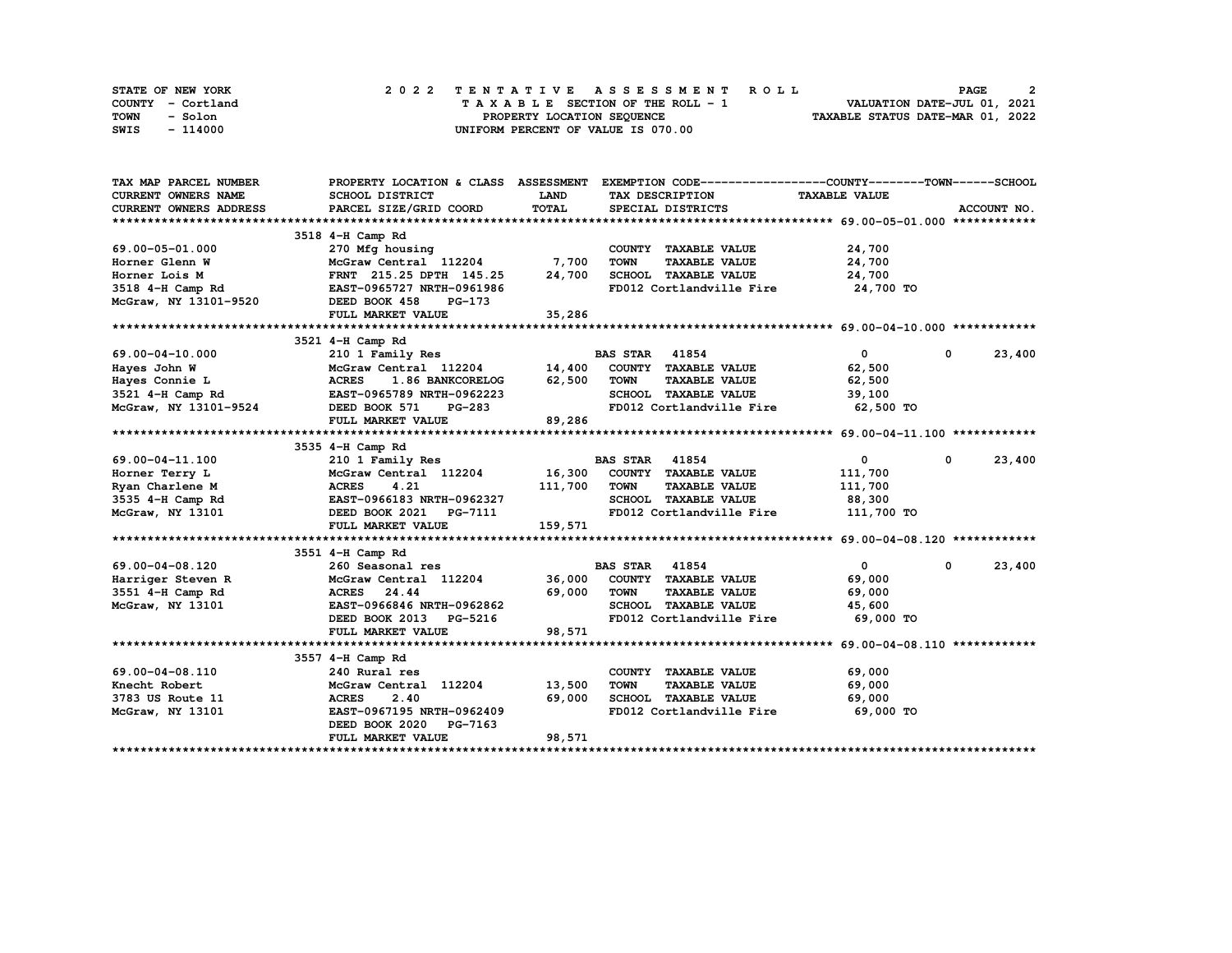| STATE OF NEW YORK | 2022 TENTATIVE ASSESSMENT ROLL     | 2<br><b>PAGE</b>                 |
|-------------------|------------------------------------|----------------------------------|
| COUNTY - Cortland | TAXABLE SECTION OF THE ROLL - 1    | VALUATION DATE-JUL 01, 2021      |
| TOWN<br>- Solon   | PROPERTY LOCATION SEQUENCE         | TAXABLE STATUS DATE-MAR 01, 2022 |
| SWIS<br>- 114000  | UNIFORM PERCENT OF VALUE IS 070.00 |                                  |

| TAX MAP PARCEL NUMBER                             | PROPERTY LOCATION & CLASS ASSESSMENT                                             |              | EXEMPTION CODE-----------------COUNTY-------TOWN------SCHOOL |                      |                        |
|---------------------------------------------------|----------------------------------------------------------------------------------|--------------|--------------------------------------------------------------|----------------------|------------------------|
| <b>CURRENT OWNERS NAME</b>                        | SCHOOL DISTRICT                                                                  | <b>LAND</b>  | TAX DESCRIPTION                                              | <b>TAXABLE VALUE</b> |                        |
| CURRENT OWNERS ADDRESS                            | PARCEL SIZE/GRID COORD                                                           | TOTAL        | SPECIAL DISTRICTS                                            |                      | ACCOUNT NO.            |
|                                                   |                                                                                  |              |                                                              |                      |                        |
|                                                   | 3518 4-H Camp Rd                                                                 |              |                                                              |                      |                        |
| 69.00-05-01.000                                   | 270 Mfg housing                                                                  |              | COUNTY TAXABLE VALUE                                         | 24,700               |                        |
| Horner Glenn W                                    | McGraw Central 112204                                                            | 7,700        | <b>TOWN</b><br><b>TAXABLE VALUE</b>                          | 24,700               |                        |
| Horner Lois M                                     | FRNT 215.25 DPTH 145.25                                                          | 24,700       | SCHOOL TAXABLE VALUE                                         | 24,700               |                        |
| 3518 4-H Camp Rd                                  | EAST-0965727 NRTH-0961986                                                        |              | FD012 Cortlandville Fire 24,700 TO                           |                      |                        |
| McGraw, NY 13101-9520                             | DEED BOOK 458<br>PG-173                                                          |              |                                                              |                      |                        |
|                                                   | FULL MARKET VALUE                                                                | 35,286       |                                                              |                      |                        |
|                                                   |                                                                                  |              |                                                              |                      |                        |
|                                                   | 3521 4-H Camp Rd                                                                 |              |                                                              |                      |                        |
| 69.00-04-10.000                                   | 210 1 Family Res                                                                 |              | <b>BAS STAR 41854</b>                                        | $\mathbf{0}$         | 23,400<br>$\mathbf{0}$ |
| 69.00-04-10.000<br>Hayes John W<br>Hayes Connie L | McGraw Central 112204 14,400 COUNTY TAXABLE VALUE                                |              |                                                              | 62,500               |                        |
|                                                   | <b>ACRES</b><br>1.86 BANKCORELOG                                                 | 62,500       | TOWN<br><b>TAXABLE VALUE</b>                                 | 62,500               |                        |
| 3521 4-H Camp Rd                                  | EAST-0965789 NRTH-0962223                                                        |              | SCHOOL TAXABLE VALUE                                         | 39,100               |                        |
| McGraw, NY 13101-9524                             | DEED BOOK 571<br>PG-283                                                          |              | FD012 Cortlandville Fire                                     | 62,500 TO            |                        |
|                                                   | FULL MARKET VALUE                                                                | 89,286       |                                                              |                      |                        |
|                                                   |                                                                                  |              |                                                              |                      |                        |
|                                                   | 3535 4-H Camp Rd                                                                 |              |                                                              |                      |                        |
| 69.00-04-11.100                                   | 210 1 Family Res                                                                 |              | <b>BAS STAR 41854</b>                                        | $\overline{0}$       | 23,400<br>$\mathbf{0}$ |
| Horner Terry L                                    | McGraw Central 112204 16,300 COUNTY TAXABLE VALUE                                |              |                                                              | 111,700              |                        |
| Ryan Charlene M                                   | <b>ACRES</b><br>4.21                                                             | 111,700 TOWN | <b>TAXABLE VALUE</b>                                         | 111,700              |                        |
| 3535 4-H Camp Rd                                  | EAST-0966183 NRTH-0962327<br>DEED BOOK 2021 PG-7111<br>EAST-0966183 NRTH-0962327 |              | SCHOOL TAXABLE VALUE                                         | 88,300               |                        |
| McGraw, NY 13101                                  |                                                                                  |              | FD012 Cortlandville Fire 111,700 TO                          |                      |                        |
|                                                   | FULL MARKET VALUE                                                                | 159,571      |                                                              |                      |                        |
|                                                   |                                                                                  |              |                                                              |                      |                        |
|                                                   | 3551 4-H Camp Rd                                                                 |              |                                                              |                      |                        |
| 69.00-04-08.120                                   | 260 Seasonal res                                                                 |              | <b>BAS STAR 41854</b>                                        | $\overline{0}$       | 23,400<br>$^{\circ}$   |
| Harriger Steven R                                 |                                                                                  |              | McGraw Central 112204 36,000 COUNTY TAXABLE VALUE            | 69,000               |                        |
| 3551 4-H Camp Rd                                  | ACRES 24.44                                                                      | 69,000       | <b>TOWN</b><br><b>TAXABLE VALUE</b>                          | 69,000               |                        |
| McGraw, NY 13101                                  | EAST-0966846 NRTH-0962862                                                        |              | SCHOOL TAXABLE VALUE 45,600                                  |                      |                        |
|                                                   | DEED BOOK 2013 PG-5216                                                           |              | FD012 Cortlandville Fire 69,000 TO                           |                      |                        |
|                                                   | FULL MARKET VALUE                                                                | 98,571       |                                                              |                      |                        |
|                                                   |                                                                                  |              |                                                              |                      |                        |
|                                                   | 3557 4-H Camp Rd                                                                 |              |                                                              |                      |                        |
| 69.00-04-08.110                                   | 240 Rural res                                                                    |              | COUNTY TAXABLE VALUE                                         | 69,000               |                        |
| Knecht Robert                                     | McGraw Central 112204                                                            | 13,500       | <b>TOWN</b><br><b>TAXABLE VALUE</b>                          | 69,000               |                        |
| 3783 US Route 11                                  | <b>ACRES</b><br>2.40                                                             | 69,000       | SCHOOL TAXABLE VALUE                                         | 69,000               |                        |
| McGraw, NY 13101                                  | EAST-0967195 NRTH-0962409                                                        |              | FD012 Cortlandville Fire 69,000 TO                           |                      |                        |
|                                                   | DEED BOOK 2020 PG-7163                                                           |              |                                                              |                      |                        |
|                                                   | FULL MARKET VALUE                                                                | 98,571       |                                                              |                      |                        |
|                                                   |                                                                                  |              |                                                              |                      |                        |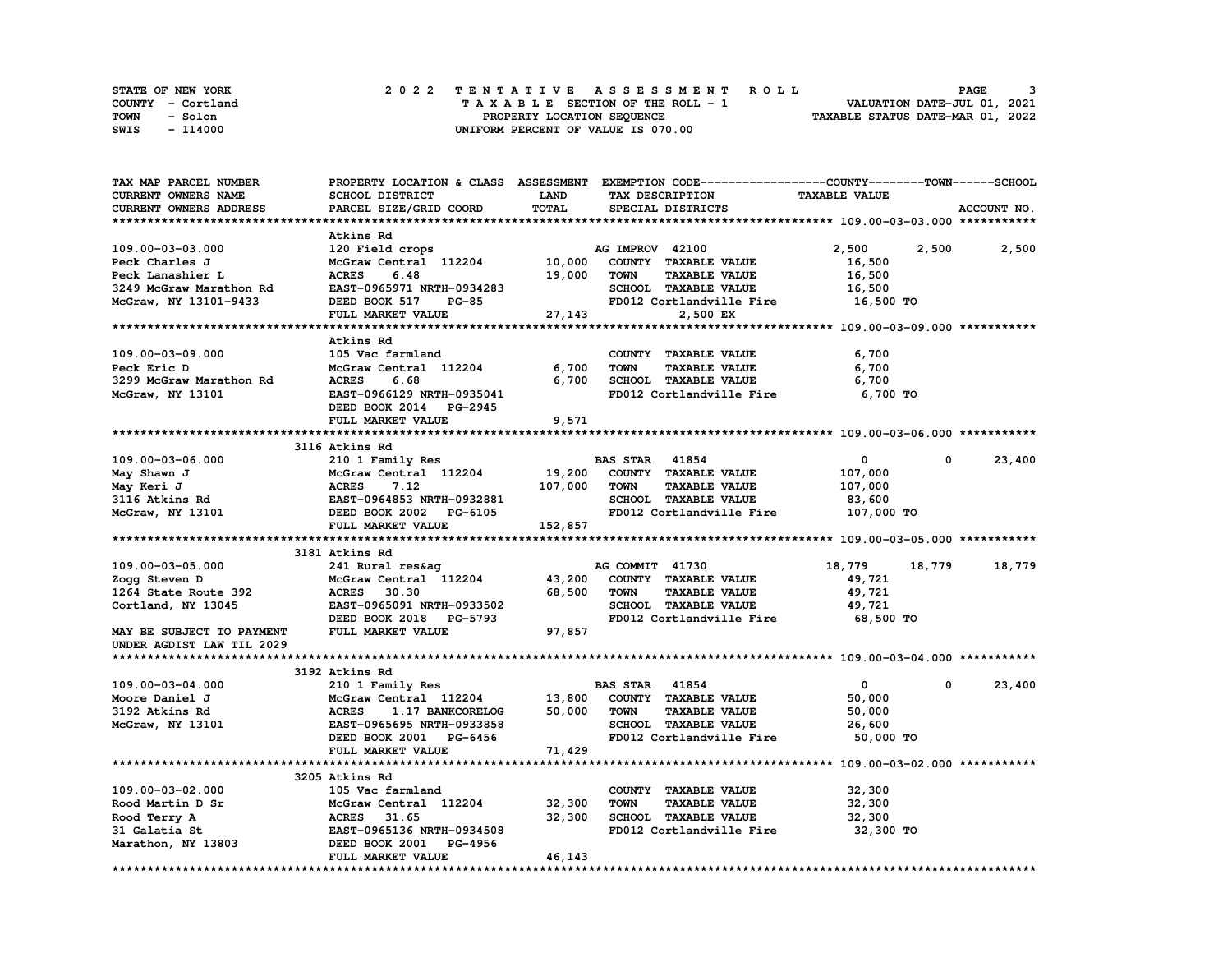| STATE OF NEW YORK | 2022 TENTATIVE ASSESSMENT ROLL     | PAGE                             |
|-------------------|------------------------------------|----------------------------------|
| COUNTY - Cortland | TAXABLE SECTION OF THE ROLL - 1    | VALUATION DATE-JUL 01, 2021      |
| TOWN<br>- Solon   | PROPERTY LOCATION SEQUENCE         | TAXABLE STATUS DATE-MAR 01, 2022 |
| SWIS<br>- 114000  | UNIFORM PERCENT OF VALUE IS 070.00 |                                  |

| TAX MAP PARCEL NUMBER                | PROPERTY LOCATION & CLASS ASSESSMENT EXEMPTION CODE----------------COUNTY-------TOWN-----SCHOOL |         |                       |                                     |                      |             |             |
|--------------------------------------|-------------------------------------------------------------------------------------------------|---------|-----------------------|-------------------------------------|----------------------|-------------|-------------|
| CURRENT OWNERS NAME                  | SCHOOL DISTRICT                                                                                 | LAND    |                       | TAX DESCRIPTION                     | <b>TAXABLE VALUE</b> |             |             |
| <b>CURRENT OWNERS ADDRESS</b>        | PARCEL SIZE/GRID COORD                                                                          | TOTAL   |                       | SPECIAL DISTRICTS                   |                      |             | ACCOUNT NO. |
|                                      |                                                                                                 |         |                       |                                     |                      |             |             |
|                                      | Atkins Rd                                                                                       |         |                       |                                     |                      |             |             |
| 109.00-03-03.000                     | 120 Field crops                                                                                 |         | AG IMPROV 42100       |                                     | 2,500                | 2,500       | 2,500       |
| Peck Charles J                       | McGraw Central 112204                                                                           | 10,000  |                       | COUNTY TAXABLE VALUE                | 16,500               |             |             |
| Peck Lanashier L                     | 6.48<br><b>ACRES</b>                                                                            | 19,000  | <b>TOWN</b>           | <b>TAXABLE VALUE</b>                | 16,500               |             |             |
| 3249 McGraw Marathon Rd              | EAST-0965971 NRTH-0934283                                                                       |         |                       | SCHOOL TAXABLE VALUE                | 16,500               |             |             |
| McGraw, NY 13101-9433                | DEED BOOK 517<br><b>PG-85</b>                                                                   |         |                       | FD012 Cortlandville Fire 16,500 TO  |                      |             |             |
|                                      | FULL MARKET VALUE                                                                               | 27,143  |                       | 2,500 EX                            |                      |             |             |
|                                      |                                                                                                 |         |                       |                                     |                      |             |             |
|                                      | Atkins Rd                                                                                       |         |                       |                                     |                      |             |             |
| 109.00-03-09.000                     | 105 Vac farmland                                                                                |         |                       | COUNTY TAXABLE VALUE                | 6,700                |             |             |
| Peck Eric D                          | McGraw Central 112204                                                                           | 6,700   | <b>TOWN</b>           | <b>TAXABLE VALUE</b>                | 6,700                |             |             |
| 3299 McGraw Marathon Rd              | <b>ACRES</b><br>6.68                                                                            | 6,700   |                       | SCHOOL TAXABLE VALUE                | 6,700                |             |             |
| McGraw, NY 13101                     | EAST-0966129 NRTH-0935041                                                                       |         |                       | FD012 Cortlandville Fire            | 6,700 TO             |             |             |
|                                      | DEED BOOK 2014 PG-2945                                                                          |         |                       |                                     |                      |             |             |
|                                      |                                                                                                 | 9,571   |                       |                                     |                      |             |             |
|                                      | FULL MARKET VALUE                                                                               |         |                       |                                     |                      |             |             |
|                                      | 3116 Atkins Rd                                                                                  |         |                       |                                     |                      |             |             |
| 109.00-03-06.000                     | 210 1 Family Res                                                                                |         | <b>BAS STAR 41854</b> |                                     | $^{\circ}$           | $^{\circ}$  | 23,400      |
|                                      |                                                                                                 |         |                       |                                     |                      |             |             |
| May Shawn J                          |                                                                                                 |         |                       | 19,200 COUNTY TAXABLE VALUE         | 107,000              |             |             |
|                                      |                                                                                                 | 107,000 | <b>TOWN</b>           | <b>TAXABLE VALUE</b>                | 107,000              |             |             |
| may Keri J<br>3116 Atkins Rd<br>McCu | McGraw Central 112204<br>ACRES 7.12<br>EAST-0964853 NRTH-0932881<br>DEED BOOK 2002 PG-6105      |         |                       | SCHOOL TAXABLE VALUE                | 83,600               |             |             |
| McGraw, NY 13101                     |                                                                                                 |         |                       | FD012 Cortlandville Fire 107,000 TO |                      |             |             |
|                                      | FULL MARKET VALUE                                                                               | 152,857 |                       |                                     |                      |             |             |
|                                      |                                                                                                 |         |                       |                                     |                      |             |             |
|                                      | 3181 Atkins Rd                                                                                  |         |                       |                                     |                      |             |             |
| 109.00-03-05.000                     | 241 Rural res&ag<br>241 Ru<br>McGraw<br>ACRES                                                   |         | AG COMMIT 41730       |                                     | 18,779               | 18,779      | 18,779      |
| Zogg Steven D                        | McGraw Central 112204 43,200                                                                    |         |                       | COUNTY TAXABLE VALUE                | 49,721               |             |             |
| 1264 State Route 392                 | 30.30                                                                                           | 68,500  | TOWN                  | <b>TAXABLE VALUE</b>                | 49,721               |             |             |
| Cortland, NY 13045                   | EAST-0965091 NRTH-0933502                                                                       |         |                       | SCHOOL TAXABLE VALUE                | 49,721               |             |             |
|                                      | DEED BOOK 2018 PG-5793                                                                          |         |                       | FD012 Cortlandville Fire            | 68,500 TO            |             |             |
| MAY BE SUBJECT TO PAYMENT            | FULL MARKET VALUE                                                                               | 97,857  |                       |                                     |                      |             |             |
| UNDER AGDIST LAW TIL 2029            |                                                                                                 |         |                       |                                     |                      |             |             |
|                                      |                                                                                                 |         |                       |                                     |                      |             |             |
|                                      | 3192 Atkins Rd                                                                                  |         |                       |                                     |                      |             |             |
| 109.00-03-04.000                     | 210 1 Family Res                                                                                |         | <b>BAS STAR 41854</b> |                                     | $\mathbf{0}$         | $\mathbf 0$ | 23,400      |
| Moore Daniel J                       | McGraw Central 112204                                                                           |         |                       | 13,800 COUNTY TAXABLE VALUE         | 50,000               |             |             |
| 3192 Atkins Rd                       | <b>ACRES</b><br>1.17 BANKCORELOG                                                                | 50,000  | TOWN                  | <b>TAXABLE VALUE</b>                | 50,000               |             |             |
| McGraw, NY 13101                     | EAST-0965695 NRTH-0933858                                                                       |         |                       | SCHOOL TAXABLE VALUE                | 26,600               |             |             |
|                                      | DEED BOOK 2001 PG-6456                                                                          |         |                       | FD012 Cortlandville Fire            | 50,000 TO            |             |             |
|                                      | FULL MARKET VALUE                                                                               | 71,429  |                       |                                     |                      |             |             |
|                                      |                                                                                                 |         |                       |                                     |                      |             |             |
|                                      | 3205 Atkins Rd                                                                                  |         |                       |                                     |                      |             |             |
| 109.00-03-02.000                     | 105 Vac farmland                                                                                |         |                       | COUNTY TAXABLE VALUE                | 32,300               |             |             |
| Rood Martin D Sr                     | McGraw Central 112204                                                                           | 32,300  | <b>TOWN</b>           | <b>TAXABLE VALUE</b>                | 32,300               |             |             |
| Rood Terry A                         | <b>ACRES</b><br>31.65                                                                           | 32,300  |                       | <b>SCHOOL TAXABLE VALUE</b>         | 32,300               |             |             |
| 31 Galatia St                        | EAST-0965136 NRTH-0934508                                                                       |         |                       | FD012 Cortlandville Fire            | 32,300 TO            |             |             |
| Marathon, NY 13803                   | DEED BOOK 2001 PG-4956                                                                          |         |                       |                                     |                      |             |             |
|                                      | FULL MARKET VALUE                                                                               | 46,143  |                       |                                     |                      |             |             |
|                                      |                                                                                                 |         |                       |                                     |                      |             |             |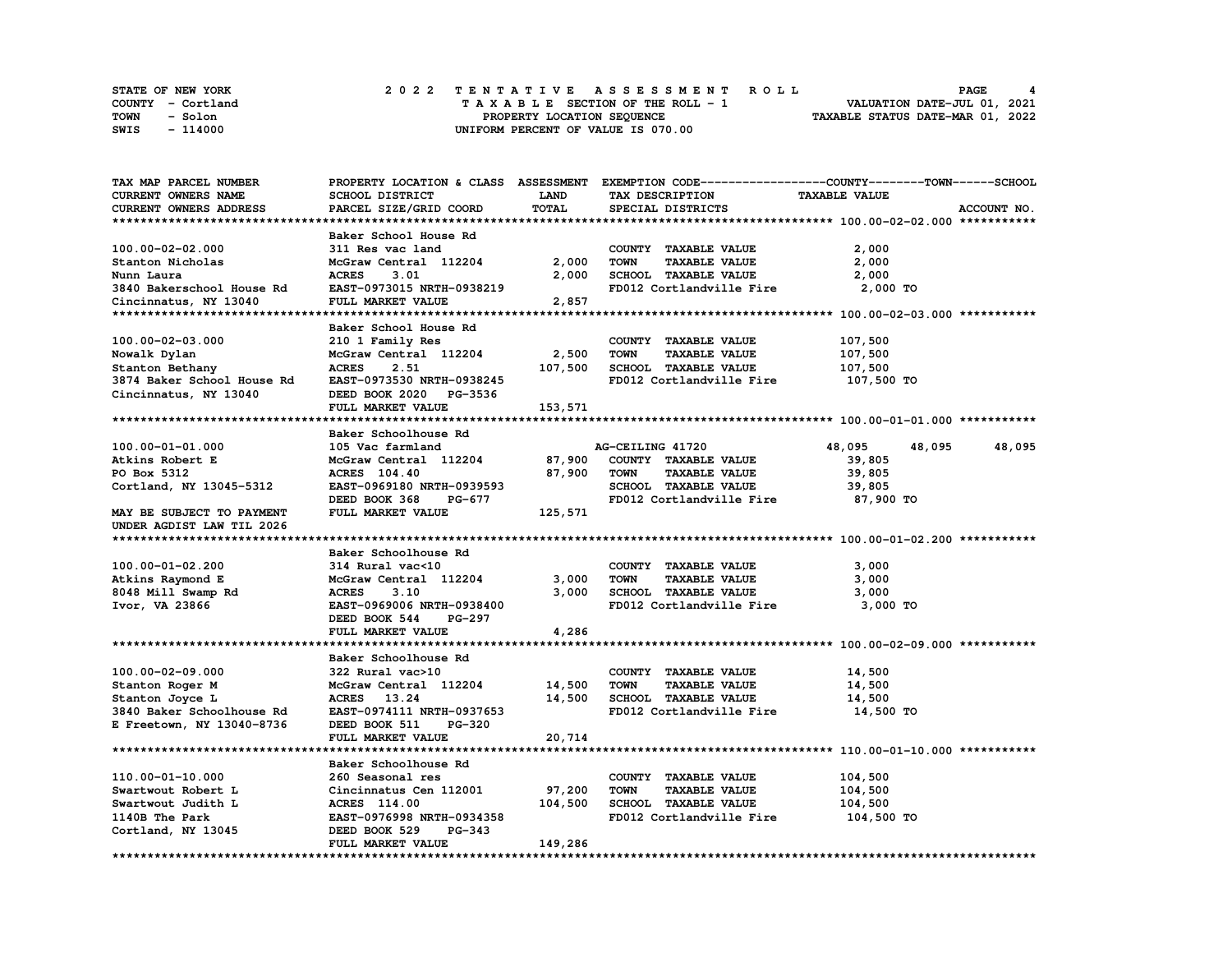| STATE OF NEW YORK      | 2022 TENTATIVE ASSESSMENT ROLL     | PAGE                             |
|------------------------|------------------------------------|----------------------------------|
| COUNTY - Cortland      | TAXABLE SECTION OF THE ROLL - 1    | VALUATION DATE-JUL 01, 2021      |
| <b>TOWN</b><br>- Solon | PROPERTY LOCATION SEQUENCE         | TAXABLE STATUS DATE-MAR 01, 2022 |
| SWIS<br>- 114000       | UNIFORM PERCENT OF VALUE IS 070.00 |                                  |

| <b>TAX MAP PARCEL NUMBER</b> |                           |         | PROPERTY LOCATION & CLASS ASSESSMENT EXEMPTION CODE----------------COUNTY-------TOWN------SCHOOL |                      |             |
|------------------------------|---------------------------|---------|--------------------------------------------------------------------------------------------------|----------------------|-------------|
| CURRENT OWNERS NAME          | SCHOOL DISTRICT           | LAND    | TAX DESCRIPTION                                                                                  | <b>TAXABLE VALUE</b> |             |
| CURRENT OWNERS ADDRESS       | PARCEL SIZE/GRID COORD    | TOTAL   | SPECIAL DISTRICTS                                                                                |                      | ACCOUNT NO. |
|                              |                           |         |                                                                                                  |                      |             |
|                              | Baker School House Rd     |         |                                                                                                  |                      |             |
| 100.00-02-02.000             | 311 Res vac land          |         | COUNTY TAXABLE VALUE                                                                             | 2,000                |             |
| Stanton Nicholas             | McGraw Central 112204     | 2,000   | <b>TOWN</b><br><b>TAXABLE VALUE</b>                                                              | 2,000                |             |
| Nunn Laura                   | <b>ACRES</b><br>3.01      | 2,000   | SCHOOL TAXABLE VALUE                                                                             | 2,000                |             |
| 3840 Bakerschool House Rd    | EAST-0973015 NRTH-0938219 |         | FD012 Cortlandville Fire                                                                         | $2,000$ TO           |             |
| Cincinnatus, NY 13040        | FULL MARKET VALUE         | 2,857   |                                                                                                  |                      |             |
|                              |                           |         |                                                                                                  |                      |             |
|                              | Baker School House Rd     |         |                                                                                                  |                      |             |
| 100.00-02-03.000             |                           |         |                                                                                                  | 107,500              |             |
|                              | 210 1 Family Res          |         | COUNTY TAXABLE VALUE                                                                             |                      |             |
| Nowalk Dylan                 | McGraw Central 112204     | 2,500   | <b>TAXABLE VALUE</b><br><b>TOWN</b>                                                              | 107,500              |             |
| Stanton Bethany              | <b>ACRES</b><br>2.51      | 107,500 | SCHOOL TAXABLE VALUE                                                                             | 107,500              |             |
| 3874 Baker School House Rd   | EAST-0973530 NRTH-0938245 |         | FD012 Cortlandville Fire                                                                         | 107,500 TO           |             |
| Cincinnatus, NY 13040        | DEED BOOK 2020 PG-3536    |         |                                                                                                  |                      |             |
|                              | FULL MARKET VALUE         | 153,571 |                                                                                                  |                      |             |
|                              |                           |         |                                                                                                  |                      |             |
|                              | Baker Schoolhouse Rd      |         |                                                                                                  |                      |             |
| 100.00-01-01.000             | 105 Vac farmland          |         | AG-CEILING 41720                                                                                 | 48,095<br>48,095     | 48,095      |
| Atkins Robert E              | McGraw Central 112204     | 87,900  | COUNTY TAXABLE VALUE                                                                             | 39,805               |             |
| PO Box 5312                  | ACRES 104.40              | 87,900  | <b>TOWN</b><br><b>TAXABLE VALUE</b>                                                              | 39,805               |             |
| Cortland, NY 13045-5312      | EAST-0969180 NRTH-0939593 |         | SCHOOL TAXABLE VALUE                                                                             | 39,805               |             |
|                              | DEED BOOK 368<br>PG-677   |         | FD012 Cortlandville Fire                                                                         | 87,900 TO            |             |
| MAY BE SUBJECT TO PAYMENT    | FULL MARKET VALUE         | 125,571 |                                                                                                  |                      |             |
| UNDER AGDIST LAW TIL 2026    |                           |         |                                                                                                  |                      |             |
|                              |                           |         |                                                                                                  |                      |             |
|                              | Baker Schoolhouse Rd      |         |                                                                                                  |                      |             |
| 100.00-01-02.200             | 314 Rural vac<10          |         | COUNTY TAXABLE VALUE                                                                             | 3,000                |             |
|                              | McGraw Central 112204     | 3,000   | <b>TOWN</b><br><b>TAXABLE VALUE</b>                                                              | 3,000                |             |
| Atkins Raymond E             |                           |         |                                                                                                  |                      |             |
| 8048 Mill Swamp Rd           | <b>ACRES</b><br>3.10      | 3,000   | SCHOOL TAXABLE VALUE                                                                             | 3,000                |             |
| Ivor, VA 23866               | EAST-0969006 NRTH-0938400 |         | FD012 Cortlandville Fire                                                                         | 3,000 TO             |             |
|                              | DEED BOOK 544<br>PG-297   |         |                                                                                                  |                      |             |
|                              | FULL MARKET VALUE         | 4,286   |                                                                                                  |                      |             |
|                              |                           |         |                                                                                                  |                      |             |
|                              | Baker Schoolhouse Rd      |         |                                                                                                  |                      |             |
| 100.00-02-09.000             | 322 Rural vac>10          |         | COUNTY TAXABLE VALUE                                                                             | 14,500               |             |
| Stanton Roger M              | McGraw Central 112204     | 14,500  | <b>TOWN</b><br><b>TAXABLE VALUE</b>                                                              | 14,500               |             |
| Stanton Joyce L              | <b>ACRES</b><br>13.24     | 14,500  | <b>SCHOOL TAXABLE VALUE</b>                                                                      | 14,500               |             |
| 3840 Baker Schoolhouse Rd    | EAST-0974111 NRTH-0937653 |         | FD012 Cortlandville Fire                                                                         | 14,500 TO            |             |
| E Freetown, NY 13040-8736    | DEED BOOK 511<br>PG-320   |         |                                                                                                  |                      |             |
|                              | FULL MARKET VALUE         | 20,714  |                                                                                                  |                      |             |
|                              |                           |         |                                                                                                  |                      |             |
|                              | Baker Schoolhouse Rd      |         |                                                                                                  |                      |             |
| 110.00-01-10.000             | 260 Seasonal res          |         | COUNTY TAXABLE VALUE                                                                             | 104,500              |             |
| Swartwout Robert L           | Cincinnatus Cen 112001    | 97,200  | <b>TOWN</b><br><b>TAXABLE VALUE</b>                                                              | 104,500              |             |
| Swartwout Judith L           | <b>ACRES</b> 114.00       | 104,500 | <b>SCHOOL TAXABLE VALUE</b>                                                                      | 104,500              |             |
| 1140B The Park               | EAST-0976998 NRTH-0934358 |         | FD012 Cortlandville Fire                                                                         | 104,500 TO           |             |
| Cortland, NY 13045           | DEED BOOK 529<br>PG-343   |         |                                                                                                  |                      |             |
|                              | FULL MARKET VALUE         | 149,286 |                                                                                                  |                      |             |
|                              |                           |         |                                                                                                  |                      |             |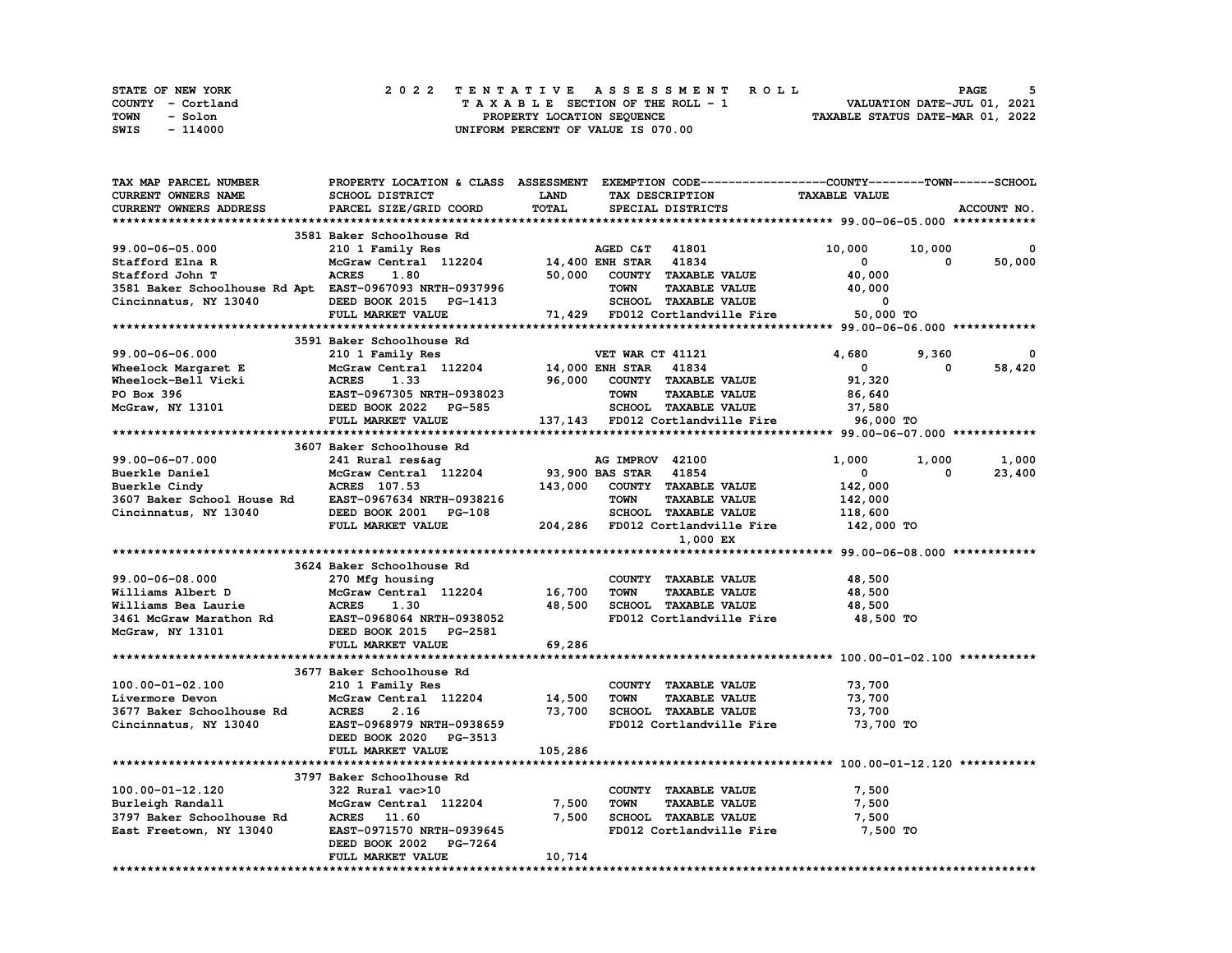| STATE OF NEW YORK | 2022 TENTATIVE ASSESSMENT ROLL     | PAGE                             |
|-------------------|------------------------------------|----------------------------------|
| COUNTY - Cortland | TAXABLE SECTION OF THE ROLL - 1    | VALUATION DATE-JUL 01, 2021      |
| TOWN<br>- Solon   | PROPERTY LOCATION SEQUENCE         | TAXABLE STATUS DATE-MAR 01, 2022 |
| - 114000<br>SWIS  | UNIFORM PERCENT OF VALUE IS 070.00 |                                  |

| <b>TAX MAP PARCEL NUMBER</b>                                                                                                                                                    | PROPERTY LOCATION & CLASS ASSESSMENT EXEMPTION CODE----------------COUNTY-------TOWN------SCHOOL |                       |                  |                                                                     |                      |            |             |
|---------------------------------------------------------------------------------------------------------------------------------------------------------------------------------|--------------------------------------------------------------------------------------------------|-----------------------|------------------|---------------------------------------------------------------------|----------------------|------------|-------------|
| CURRENT OWNERS NAME                                                                                                                                                             | SCHOOL DISTRICT                                                                                  | LAND                  |                  | TAX DESCRIPTION                                                     | <b>TAXABLE VALUE</b> |            |             |
| CURRENT OWNERS ADDRESS                                                                                                                                                          | PARCEL SIZE/GRID COORD                                                                           | TOTAL                 |                  | SPECIAL DISTRICTS                                                   |                      |            | ACCOUNT NO. |
|                                                                                                                                                                                 |                                                                                                  |                       |                  |                                                                     |                      |            |             |
|                                                                                                                                                                                 | 3581 Baker Schoolhouse Rd                                                                        |                       |                  |                                                                     |                      |            |             |
| 99.00-06-05.000                                                                                                                                                                 |                                                                                                  |                       |                  |                                                                     | 10,000               | 10,000     | 0           |
|                                                                                                                                                                                 | 210 1 Family Res                                                                                 |                       | AGED C&T 41801   |                                                                     |                      |            |             |
| Stafford Elna R                                                                                                                                                                 | McGraw Central 112204 14,400 ENH STAR 41834                                                      |                       |                  |                                                                     | 0                    | 0          | 50,000      |
| Stafford John T                                                                                                                                                                 | <b>ACRES</b><br>1.80                                                                             |                       |                  | 50,000 COUNTY TAXABLE VALUE                                         | 40,000               |            |             |
| 3581 Baker Schoolhouse Rd Apt EAST-0967093 NRTH-0937996                                                                                                                         |                                                                                                  |                       | <b>TOWN</b>      | <b>TAXABLE VALUE</b>                                                | 40,000               |            |             |
| Cincinnatus, NY 13040                                                                                                                                                           | DEED BOOK 2015 PG-1413                                                                           |                       |                  | SCHOOL TAXABLE VALUE 0<br>71,429 FD012 Cortlandville Fire 50,000 TO |                      |            |             |
|                                                                                                                                                                                 | FULL MARKET VALUE                                                                                |                       |                  |                                                                     |                      |            |             |
|                                                                                                                                                                                 |                                                                                                  |                       |                  |                                                                     |                      |            |             |
|                                                                                                                                                                                 | 3591 Baker Schoolhouse Rd                                                                        |                       |                  |                                                                     |                      |            |             |
| 99.00-06-06.000                                                                                                                                                                 | 210 1 Family Res                                                                                 |                       | VET WAR CT 41121 |                                                                     | 4,680                | 9,360      |             |
|                                                                                                                                                                                 | McGraw Central 112204 14,000 ENH STAR 41834                                                      |                       |                  |                                                                     | $\mathbf{0}$         | 0          | 58,420      |
| Wheelock Margaret E and McGraw Central 112204 14,000<br>Wheelock-Bell Vicki ACRES 1.33 96,000<br>PO Box 396 EAST-0967305 NRTH-0938023<br>McGraw, NY 13101 DEED BOOK 2022 PG-585 |                                                                                                  |                       |                  |                                                                     |                      |            |             |
|                                                                                                                                                                                 |                                                                                                  |                       |                  | 96,000 COUNTY TAXABLE VALUE                                         | 91,320               |            |             |
|                                                                                                                                                                                 |                                                                                                  |                       | <b>TOWN</b>      | <b>TAXABLE VALUE</b>                                                | 86,640               |            |             |
|                                                                                                                                                                                 |                                                                                                  |                       |                  | SCHOOL TAXABLE VALUE                                                | 37,580               |            |             |
|                                                                                                                                                                                 | FULL MARKET VALUE                                                                                |                       |                  | 137,143 FD012 Cortlandville Fire 96,000 TO                          |                      |            |             |
|                                                                                                                                                                                 |                                                                                                  |                       |                  |                                                                     |                      |            |             |
|                                                                                                                                                                                 | 3607 Baker Schoolhouse Rd                                                                        |                       |                  |                                                                     |                      |            |             |
| 99.00-06-07.000                                                                                                                                                                 | 241 Rural res&ag                                                                                 |                       | AG IMPROV 42100  |                                                                     | 1,000                | 1,000      | 1,000       |
| 33.00-00 07.000<br>Buerkle Daniel McGraw Central 112204 93,900<br>Buerkle Cindy ACRES 107.53 143,000<br>3607 Baker School House Rd EAST-0967634 NRTH-0938216                    |                                                                                                  | 93,900 BAS STAR 41854 |                  |                                                                     | 0                    | $^{\circ}$ | 23,400      |
|                                                                                                                                                                                 |                                                                                                  |                       |                  | 143,000 COUNTY TAXABLE VALUE                                        | 142,000              |            |             |
|                                                                                                                                                                                 |                                                                                                  |                       |                  |                                                                     |                      |            |             |
|                                                                                                                                                                                 |                                                                                                  |                       | <b>TOWN</b>      | <b>TAXABLE VALUE</b>                                                | 142,000              |            |             |
| Cincinnatus, NY 13040                                                                                                                                                           |                                                                                                  |                       |                  |                                                                     | 118,600              |            |             |
|                                                                                                                                                                                 | DEED BOOK 2001 PG-108 SCHOOL TAXABLE VALUE<br>FULL MARKET VALUE 204,286 FD012 Cortlandville Fire |                       |                  |                                                                     | 142,000 TO           |            |             |
|                                                                                                                                                                                 |                                                                                                  |                       |                  | 1,000 EX                                                            |                      |            |             |
|                                                                                                                                                                                 |                                                                                                  |                       |                  |                                                                     |                      |            |             |
|                                                                                                                                                                                 | 3624 Baker Schoolhouse Rd                                                                        |                       |                  |                                                                     |                      |            |             |
| 99.00-06-08.000                                                                                                                                                                 | 270 Mfg housing                                                                                  |                       |                  | COUNTY TAXABLE VALUE                                                | 48,500               |            |             |
| Williams Albert D                                                                                                                                                               | McGraw Central 112204 16,700                                                                     |                       | <b>TOWN</b>      | <b>TAXABLE VALUE</b>                                                | 48,500               |            |             |
|                                                                                                                                                                                 |                                                                                                  | 48,500                |                  | SCHOOL TAXABLE VALUE                                                | 48,500               |            |             |
|                                                                                                                                                                                 |                                                                                                  |                       |                  |                                                                     |                      |            |             |
|                                                                                                                                                                                 |                                                                                                  |                       |                  | FD012 Cortlandville Fire                                            | 48,500 TO            |            |             |
| McGraw, NY 13101                                                                                                                                                                | DEED BOOK 2015 PG-2581                                                                           |                       |                  |                                                                     |                      |            |             |
|                                                                                                                                                                                 | FULL MARKET VALUE                                                                                | 69,286                |                  |                                                                     |                      |            |             |
|                                                                                                                                                                                 |                                                                                                  |                       |                  |                                                                     |                      |            |             |
|                                                                                                                                                                                 | 3677 Baker Schoolhouse Rd                                                                        |                       |                  |                                                                     |                      |            |             |
| 100.00-01-02.100                                                                                                                                                                | 210 1 Family Res                                                                                 |                       |                  | COUNTY TAXABLE VALUE                                                | 73,700               |            |             |
|                                                                                                                                                                                 | McGraw Central 112204 14,500                                                                     |                       | <b>TOWN</b>      | <b>TAXABLE VALUE</b>                                                | 73,700               |            |             |
|                                                                                                                                                                                 | 2.16                                                                                             | 73,700                |                  | SCHOOL TAXABLE VALUE                                                | 73,700               |            |             |
|                                                                                                                                                                                 | <b>EAST-0968979 NRTH-0938659</b>                                                                 |                       |                  | FD012 Cortlandville Fire                                            | 73,700 TO            |            |             |
|                                                                                                                                                                                 |                                                                                                  |                       |                  |                                                                     |                      |            |             |
|                                                                                                                                                                                 | DEED BOOK 2020 PG-3513                                                                           |                       |                  |                                                                     |                      |            |             |
|                                                                                                                                                                                 | FULL MARKET VALUE                                                                                | 105,286               |                  |                                                                     |                      |            |             |
|                                                                                                                                                                                 |                                                                                                  |                       |                  |                                                                     |                      |            |             |
|                                                                                                                                                                                 | 3797 Baker Schoolhouse Rd                                                                        |                       |                  |                                                                     |                      |            |             |
| 100.00-01-12.120                                                                                                                                                                | 322 Rural vac>10                                                                                 |                       |                  | COUNTY TAXABLE VALUE                                                | 7,500                |            |             |
| Burleigh Randall                                                                                                                                                                | McGraw Central 112204                                                                            | 7,500                 | <b>TOWN</b>      | <b>TAXABLE VALUE</b>                                                | 7,500                |            |             |
| 3797 Baker Schoolhouse Rd<br>East Freetown, NY 13040                                                                                                                            | ACRES 11.60                                                                                      | 7,500                 |                  | SCHOOL TAXABLE VALUE                                                | 7,500                |            |             |
| East Freetown, NY 13040                                                                                                                                                         | EAST-0971570 NRTH-0939645                                                                        |                       |                  | FD012 Cortlandville Fire                                            | 7,500 TO             |            |             |
|                                                                                                                                                                                 | DEED BOOK 2002 PG-7264                                                                           |                       |                  |                                                                     |                      |            |             |
|                                                                                                                                                                                 | FULL MARKET VALUE                                                                                |                       |                  |                                                                     |                      |            |             |
|                                                                                                                                                                                 |                                                                                                  | 10,714                |                  |                                                                     |                      |            |             |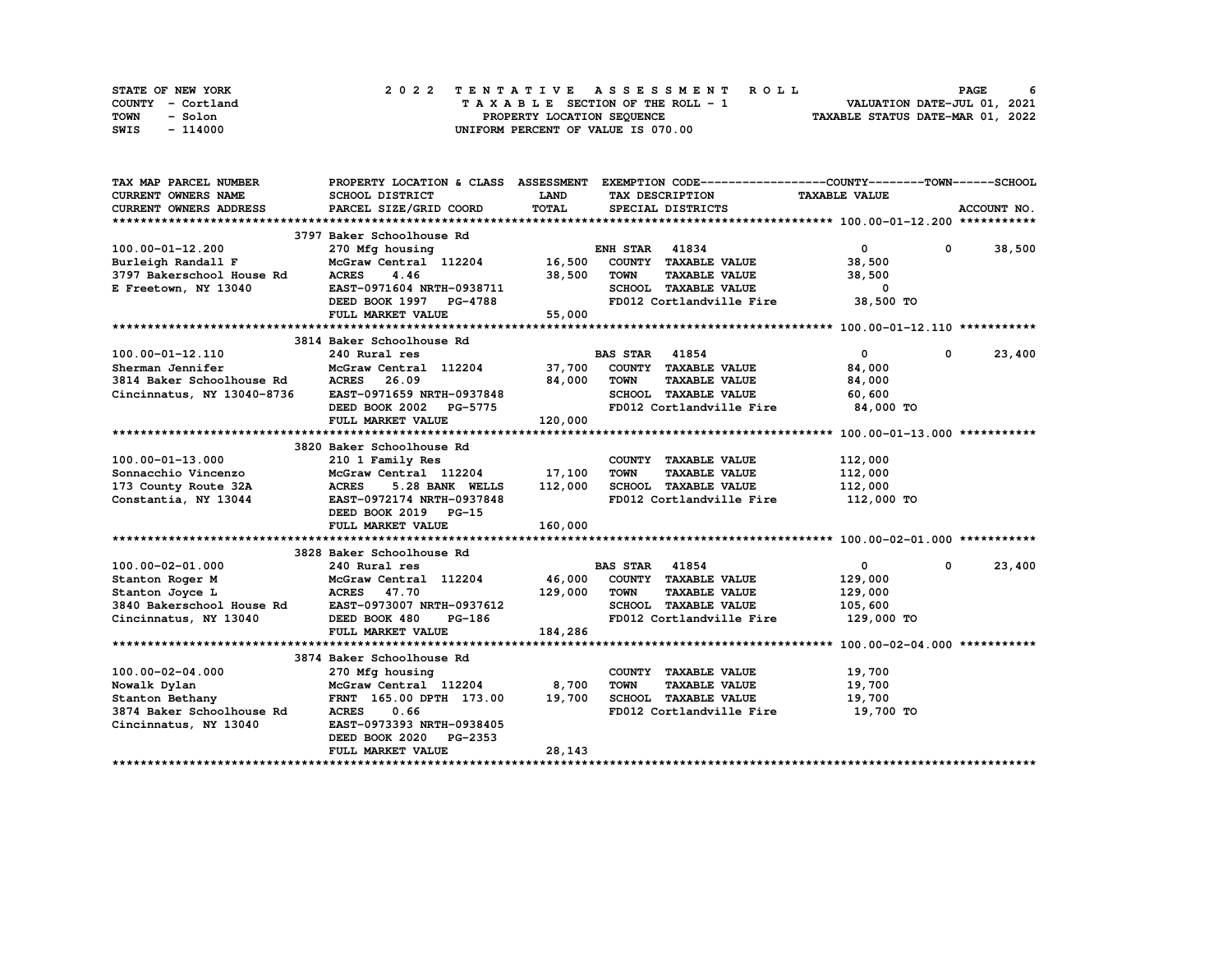| STATE OF NEW YORK | 2022 TENTATIVE ASSESSMENT ROLL     | 6<br><b>PAGE</b>                 |
|-------------------|------------------------------------|----------------------------------|
| COUNTY - Cortland | TAXABLE SECTION OF THE ROLL - 1    | VALUATION DATE-JUL 01, 2021      |
| TOWN<br>- Solon   | PROPERTY LOCATION SEQUENCE         | TAXABLE STATUS DATE-MAR 01, 2022 |
| - 114000<br>SWIS  | UNIFORM PERCENT OF VALUE IS 070.00 |                                  |

| TAX MAP PARCEL NUMBER      |                                                                                                      |                | PROPERTY LOCATION & CLASS ASSESSMENT EXEMPTION CODE----------------COUNTY-------TOWN-----SCHOOL |                            |              |
|----------------------------|------------------------------------------------------------------------------------------------------|----------------|-------------------------------------------------------------------------------------------------|----------------------------|--------------|
| CURRENT OWNERS NAME        | SCHOOL DISTRICT                                                                                      | <b>LAND</b>    | TAX DESCRIPTION                                                                                 | <b>TAXABLE VALUE</b>       |              |
| CURRENT OWNERS ADDRESS     | PARCEL SIZE/GRID COORD                                                                               | TOTAL          | SPECIAL DISTRICTS                                                                               |                            | ACCOUNT NO.  |
|                            |                                                                                                      |                |                                                                                                 |                            |              |
|                            | 3797 Baker Schoolhouse Rd                                                                            |                |                                                                                                 |                            |              |
| 100.00-01-12.200           | 270 Mfg housing                                                                                      |                | <b>ENH STAR 41834</b>                                                                           | $\mathbf{0}$               | $0 \t38,500$ |
| Burleigh Randall F         | $McGraw$ Central $112204$ 16,500                                                                     |                | COUNTY TAXABLE VALUE                                                                            | 38,500                     |              |
| 3797 Bakerschool House Rd  | <b>ACRES</b><br>4.46                                                                                 | 38,500         | <b>TOWN</b><br><b>TAXABLE VALUE</b>                                                             | 38,500                     |              |
| E Freetown, NY 13040       | EAST-0971604 NRTH-0938711                                                                            |                | SCHOOL TAXABLE VALUE                                                                            | 0                          |              |
|                            | DEED BOOK 1997 PG-4788                                                                               |                | FD012 Cortlandville Fire                                                                        | 38,500 TO                  |              |
|                            | FULL MARKET VALUE                                                                                    | 55,000         |                                                                                                 |                            |              |
|                            |                                                                                                      |                |                                                                                                 |                            |              |
|                            | 3814 Baker Schoolhouse Rd                                                                            |                |                                                                                                 |                            |              |
|                            |                                                                                                      |                |                                                                                                 |                            |              |
| 100.00-01-12.110           | 240 Rural res                                                                                        |                | <b>BAS STAR</b> 41854                                                                           | $\mathbf{0}$<br>0          | 23,400       |
| Sherman Jennifer           | McGraw Central 112204                                                                                |                | 37,700 COUNTY TAXABLE VALUE                                                                     | 84,000                     |              |
| 3814 Baker Schoolhouse Rd  | ACRES 26.09                                                                                          | 84,000         | <b>TOWN</b><br><b>TAXABLE VALUE</b>                                                             | 84,000                     |              |
| Cincinnatus, NY 13040-8736 | EAST-0971659 NRTH-0937848<br>DEED BOOK 2002 PG-5775                                                  |                | SCHOOL TAXABLE VALUE                                                                            | 60,600                     |              |
|                            |                                                                                                      |                | FD012 Cortlandville Fire                                                                        | 84,000 TO                  |              |
|                            | FULL MARKET VALUE                                                                                    | $5.75$ 120,000 |                                                                                                 |                            |              |
|                            |                                                                                                      |                |                                                                                                 |                            |              |
|                            | 3820 Baker Schoolhouse Rd                                                                            |                |                                                                                                 |                            |              |
| 100.00-01-13.000           | 210 1 Family Res                                                                                     |                | COUNTY TAXABLE VALUE                                                                            | 112,000                    |              |
| Sonnacchio Vincenzo        | McGraw Central 112204 17,100                                                                         |                | <b>TAXABLE VALUE</b><br><b>TOWN</b>                                                             | 112,000                    |              |
| 173 County Route 32A       | <b>ACRES</b><br>5.28 BANK WELLS                                                                      | 112,000        | SCHOOL TAXABLE VALUE                                                                            | 112,000                    |              |
| Constantia, NY 13044       | EAST-0972174 NRTH-0937848                                                                            |                | FD012 Cortlandville Fire                                                                        | 112,000 TO                 |              |
|                            | DEED BOOK 2019 PG-15                                                                                 |                |                                                                                                 |                            |              |
|                            | FULL MARKET VALUE                                                                                    | 160,000        |                                                                                                 |                            |              |
|                            |                                                                                                      |                |                                                                                                 |                            |              |
|                            | 3828 Baker Schoolhouse Rd                                                                            |                |                                                                                                 |                            |              |
| 100.00-02-01.000           | 240 Rural res                                                                                        |                | <b>BAS STAR</b> 41854                                                                           | $\mathbf{0}$<br>$^{\circ}$ | 23,400       |
| Stanton Roger M            | McGraw Central 112204 46,000 COUNTY TAXABLE VALUE                                                    |                |                                                                                                 | 129,000                    |              |
| Stanton Joyce L            |                                                                                                      | 129,000        | <b>TOWN</b><br><b>TAXABLE VALUE</b>                                                             | 129,000                    |              |
| 3840 Bakerschool House Rd  |                                                                                                      |                | SCHOOL TAXABLE VALUE                                                                            | 105,600                    |              |
| Cincinnatus, NY 13040      |                                                                                                      |                | FD012 Cortlandville Fire                                                                        | 129,000 TO                 |              |
|                            | <b>ACRES</b> 47.70<br>House Rd <b>EAST-0973007 NRTH-0937612</b><br>13040 <b>DEED BOOK 480</b> PG-186 | 184,286        |                                                                                                 |                            |              |
|                            |                                                                                                      |                |                                                                                                 |                            |              |
|                            | 3874 Baker Schoolhouse Rd                                                                            |                |                                                                                                 |                            |              |
| 100.00-02-04.000           | 270 Mfg housing                                                                                      |                | COUNTY TAXABLE VALUE                                                                            | 19,700                     |              |
| Nowalk Dylan               | McGraw Central 112204 8,700                                                                          |                | <b>TOWN</b><br><b>TAXABLE VALUE</b>                                                             | 19,700                     |              |
| Stanton Bethany            | FRNT 165.00 DPTH 173.00 19,700                                                                       |                | SCHOOL TAXABLE VALUE                                                                            | 19,700                     |              |
| 3874 Baker Schoolhouse Rd  | <b>ACRES</b><br>0.66                                                                                 |                | FD012 Cortlandville Fire 19,700 TO                                                              |                            |              |
| Cincinnatus, NY 13040      | EAST-0973393 NRTH-0938405                                                                            |                |                                                                                                 |                            |              |
|                            | DEED BOOK 2020 PG-2353                                                                               |                |                                                                                                 |                            |              |
|                            | FULL MARKET VALUE                                                                                    | 28,143         |                                                                                                 |                            |              |
|                            |                                                                                                      |                |                                                                                                 |                            |              |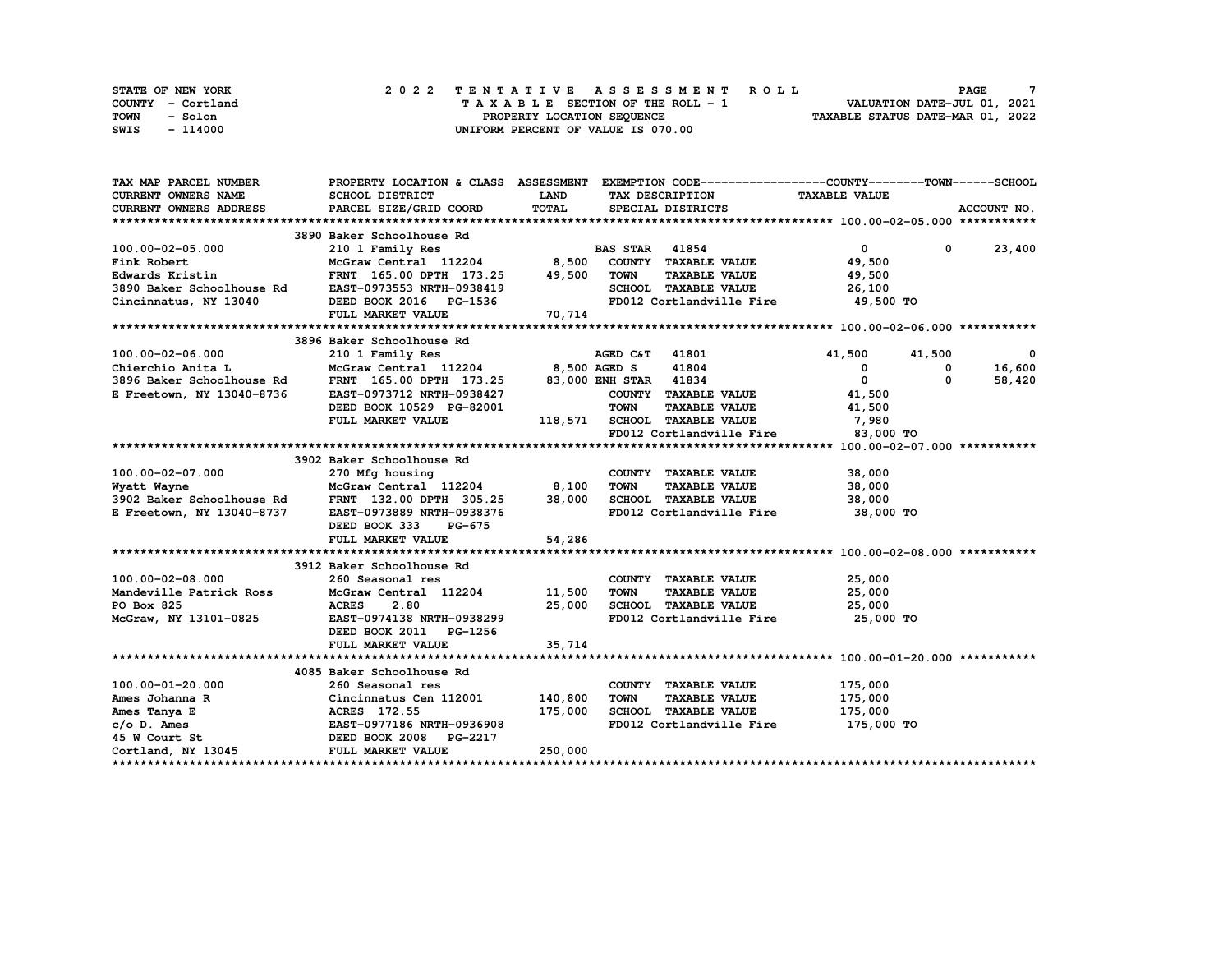| STATE OF NEW YORK | 2022 TENTATIVE ASSESSMENT ROLL     | <b>PAGE</b>                      |
|-------------------|------------------------------------|----------------------------------|
| COUNTY - Cortland | TAXABLE SECTION OF THE ROLL - 1    | VALUATION DATE-JUL 01, 2021      |
| TOWN<br>- Solon   | PROPERTY LOCATION SEQUENCE         | TAXABLE STATUS DATE-MAR 01, 2022 |
| - 114000<br>SWIS  | UNIFORM PERCENT OF VALUE IS 070.00 |                                  |

| <b>TAX MAP PARCEL NUMBER</b>                   | PROPERTY LOCATION & CLASS ASSESSMENT EXEMPTION CODE----------------COUNTY-------TOWN------SCHOOL                                                                                                |                        |             |                                    |                            |          |               |
|------------------------------------------------|-------------------------------------------------------------------------------------------------------------------------------------------------------------------------------------------------|------------------------|-------------|------------------------------------|----------------------------|----------|---------------|
| <b>CURRENT OWNERS NAME</b>                     | SCHOOL DISTRICT                                                                                                                                                                                 | LAND                   |             | TAX DESCRIPTION                    | <b>TAXABLE VALUE</b>       |          |               |
| <b>CURRENT OWNERS ADDRESS</b>                  | PARCEL SIZE/GRID COORD                                                                                                                                                                          | <b>TOTAL</b>           |             | SPECIAL DISTRICTS                  |                            |          | ACCOUNT NO.   |
|                                                |                                                                                                                                                                                                 |                        |             |                                    |                            |          |               |
|                                                | 3890 Baker Schoolhouse Rd                                                                                                                                                                       |                        |             |                                    |                            |          |               |
| 100.00-02-05.000                               | 210 1 Family Res                                                                                                                                                                                | ROUNDED BAS STAR 41854 |             |                                    | $\overline{0}$             |          | $0 \t 23,400$ |
| Fink Robert                                    | McGraw Central 112204 8,500 COUNTY TAXABLE VALUE                                                                                                                                                |                        |             |                                    | 49,500                     |          |               |
| Edwards Kristin                                | FRNT 165.00 DPTH 173.25                                                                                                                                                                         | 49,500                 | <b>TOWN</b> | <b>TAXABLE VALUE</b>               | 49,500                     |          |               |
| 3890 Baker Schoolhouse Rd                      | EAST-0973553 NRTH-0938419                                                                                                                                                                       |                        |             | SCHOOL TAXABLE VALUE               | 26,100                     |          |               |
| Cincinnatus, NY 13040                          | DEED BOOK 2016 PG-1536                                                                                                                                                                          |                        |             | FD012 Cortlandville Fire 49,500 TO |                            |          |               |
|                                                | FULL MARKET VALUE                                                                                                                                                                               | 70,714                 |             |                                    |                            |          |               |
|                                                |                                                                                                                                                                                                 |                        |             |                                    |                            |          |               |
|                                                | 3896 Baker Schoolhouse Rd                                                                                                                                                                       |                        |             |                                    |                            |          |               |
| 100.00-02-06.000                               |                                                                                                                                                                                                 |                        |             |                                    | 41,500                     | 41,500   | 0             |
|                                                | 210 1 Family Res<br>McGraw Central 112204 8,500 AGED S 41804<br>FRNT 165.00 DPTH 173.25 83,000 ENH STAR 41834                                                                                   |                        |             |                                    | $\mathbf{0}$               | 0        | 16,600        |
| Chierchio Anita L<br>3896 Baker Schoolhouse Rd |                                                                                                                                                                                                 |                        |             |                                    | $\overline{0}$             | $\Omega$ | 58,420        |
| E Freetown, NY 13040-8736                      | EAST-0973712 NRTH-0938427                                                                                                                                                                       |                        |             | COUNTY TAXABLE VALUE               | 41,500                     |          |               |
|                                                | DEED BOOK 10529 PG-82001                                                                                                                                                                        |                        | <b>TOWN</b> | <b>TAXABLE VALUE</b>               | 41,500                     |          |               |
|                                                | FULL MARKET VALUE                                                                                                                                                                               |                        |             | 118,571 SCHOOL TAXABLE VALUE       | 7,980                      |          |               |
|                                                |                                                                                                                                                                                                 |                        |             | FD012 Cortlandville Fire           | 83,000 TO                  |          |               |
|                                                |                                                                                                                                                                                                 |                        |             |                                    |                            |          |               |
|                                                | 3902 Baker Schoolhouse Rd                                                                                                                                                                       |                        |             |                                    |                            |          |               |
| 100.00-02-07.000                               | 270 Mfg housing                                                                                                                                                                                 |                        |             | COUNTY TAXABLE VALUE               | 38,000                     |          |               |
|                                                | McGraw Central 112204 8,100                                                                                                                                                                     |                        | <b>TOWN</b> | <b>TAXABLE VALUE</b>               | 38,000                     |          |               |
| Wyatt Wayne<br>3902 Baker Schoolhouse Rd       | FRNT 132.00 DPTH 305.25                                                                                                                                                                         | 38,000                 |             | SCHOOL TAXABLE VALUE               | 38,000                     |          |               |
| E Freetown, NY 13040-8737                      | EAST-0973889 NRTH-0938376                                                                                                                                                                       |                        |             | FD012 Cortlandville Fire           | 38,000 TO                  |          |               |
|                                                | DEED BOOK 333<br><b>PG-675</b>                                                                                                                                                                  |                        |             |                                    |                            |          |               |
|                                                | FULL MARKET VALUE                                                                                                                                                                               | 54,286                 |             |                                    |                            |          |               |
|                                                |                                                                                                                                                                                                 |                        |             |                                    |                            |          |               |
|                                                | 3912 Baker Schoolhouse Rd                                                                                                                                                                       |                        |             |                                    |                            |          |               |
| 100.00-02-08.000                               | 260 Seasonal res                                                                                                                                                                                |                        |             | COUNTY TAXABLE VALUE               |                            |          |               |
| Mandeville Patrick Ross                        | McGraw Central 112204 11,500                                                                                                                                                                    |                        | <b>TOWN</b> | <b>TAXABLE VALUE</b>               | 25,000<br>25.000<br>25,000 |          |               |
| PO Box 825                                     | <b>ACRES</b><br>2.80                                                                                                                                                                            | 25,000                 |             | SCHOOL TAXABLE VALUE               | 25,000                     |          |               |
| McGraw, NY 13101-0825                          | EAST-0974138 NRTH-0938299                                                                                                                                                                       |                        |             | FD012 Cortlandville Fire 25,000 TO |                            |          |               |
|                                                | DEED BOOK 2011 PG-1256                                                                                                                                                                          |                        |             |                                    |                            |          |               |
|                                                | FULL MARKET VALUE                                                                                                                                                                               | 35,714                 |             |                                    |                            |          |               |
|                                                |                                                                                                                                                                                                 |                        |             |                                    |                            |          |               |
|                                                | 4085 Baker Schoolhouse Rd                                                                                                                                                                       |                        |             |                                    |                            |          |               |
| 100.00-01-20.000                               | 260 Seasonal res                                                                                                                                                                                |                        |             | COUNTY TAXABLE VALUE               | 175,000                    |          |               |
|                                                | Cincinnatus Cen 112001 140,800<br>Ames Johanna R<br>Cincinnatus Cen 112001<br>Ames Tanya E<br>C/o D. Ames BAST-0977186 NRTH-0936908<br>45 W Court St<br>Cortland, NY 13045<br>PULL MARKET VALUE |                        | <b>TOWN</b> | <b>TAXABLE VALUE</b>               | 175,000                    |          |               |
|                                                |                                                                                                                                                                                                 | 175,000                |             | SCHOOL TAXABLE VALUE               | 175,000                    |          |               |
|                                                |                                                                                                                                                                                                 |                        |             | FD012 Cortlandville Fire           | 175,000 TO                 |          |               |
|                                                |                                                                                                                                                                                                 |                        |             |                                    |                            |          |               |
|                                                |                                                                                                                                                                                                 | 250,000                |             |                                    |                            |          |               |
|                                                |                                                                                                                                                                                                 |                        |             |                                    |                            |          |               |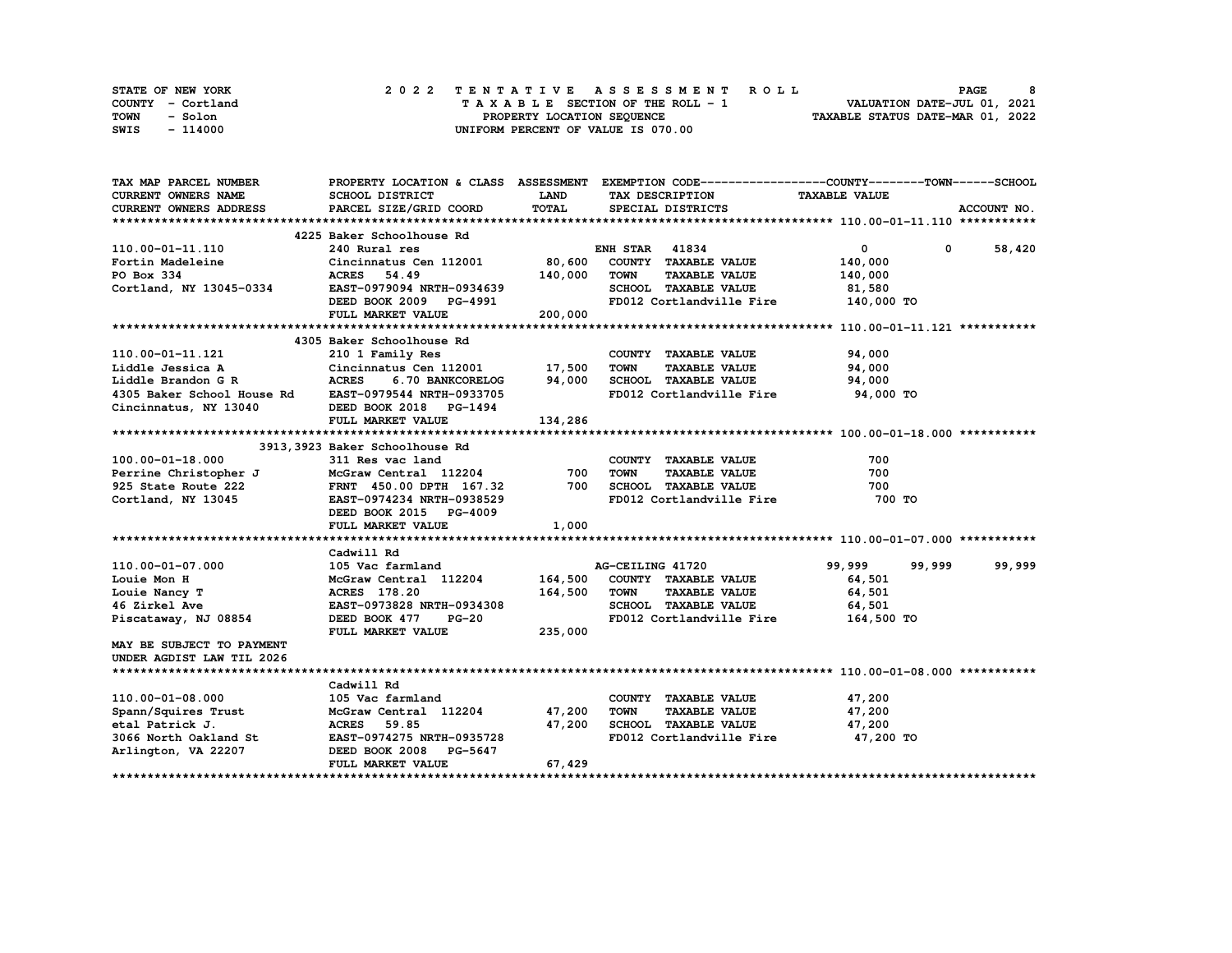| STATE OF NEW YORK | 2022 TENTATIVE ASSESSMENT ROLL     | 8<br><b>PAGE</b>                 |
|-------------------|------------------------------------|----------------------------------|
| COUNTY - Cortland | TAXABLE SECTION OF THE ROLL - 1    | VALUATION DATE-JUL 01, 2021      |
| TOWN<br>- Solon   | PROPERTY LOCATION SEQUENCE         | TAXABLE STATUS DATE-MAR 01, 2022 |
| - 114000<br>SWIS  | UNIFORM PERCENT OF VALUE IS 070.00 |                                  |

| TAX MAP PARCEL NUMBER                                                                                                                                                                                                                          |                           |             | PROPERTY LOCATION & CLASS ASSESSMENT EXEMPTION CODE----------------COUNTY-------TOWN-----SCHOOL |                                                                                                                                                                                                                                                                                                                                                                                                       |               |
|------------------------------------------------------------------------------------------------------------------------------------------------------------------------------------------------------------------------------------------------|---------------------------|-------------|-------------------------------------------------------------------------------------------------|-------------------------------------------------------------------------------------------------------------------------------------------------------------------------------------------------------------------------------------------------------------------------------------------------------------------------------------------------------------------------------------------------------|---------------|
| <b>CURRENT OWNERS NAME</b>                                                                                                                                                                                                                     | SCHOOL DISTRICT           | <b>LAND</b> | TAX DESCRIPTION TAXABLE VALUE                                                                   |                                                                                                                                                                                                                                                                                                                                                                                                       |               |
| CURRENT OWNERS ADDRESS                                                                                                                                                                                                                         | PARCEL SIZE/GRID COORD    | TOTAL       | SPECIAL DISTRICTS                                                                               |                                                                                                                                                                                                                                                                                                                                                                                                       | ACCOUNT NO.   |
|                                                                                                                                                                                                                                                |                           |             |                                                                                                 |                                                                                                                                                                                                                                                                                                                                                                                                       |               |
|                                                                                                                                                                                                                                                |                           |             |                                                                                                 |                                                                                                                                                                                                                                                                                                                                                                                                       |               |
| 110.00-01-11.110                                                                                                                                                                                                                               |                           |             |                                                                                                 | $\overline{\mathbf{0}}$ and $\overline{\mathbf{0}}$ and $\overline{\mathbf{0}}$ and $\overline{\mathbf{0}}$ and $\overline{\mathbf{0}}$ and $\overline{\mathbf{0}}$ and $\overline{\mathbf{0}}$ and $\overline{\mathbf{0}}$ and $\overline{\mathbf{0}}$ and $\overline{\mathbf{0}}$ and $\overline{\mathbf{0}}$ and $\overline{\mathbf{0}}$ and $\overline{\mathbf{0}}$ and $\overline{\mathbf{0}}$ a | $0 \t 58,420$ |
|                                                                                                                                                                                                                                                |                           |             |                                                                                                 | 140,000                                                                                                                                                                                                                                                                                                                                                                                               |               |
|                                                                                                                                                                                                                                                |                           |             |                                                                                                 | 140,000                                                                                                                                                                                                                                                                                                                                                                                               |               |
|                                                                                                                                                                                                                                                |                           |             |                                                                                                 | 81,580                                                                                                                                                                                                                                                                                                                                                                                                |               |
| Fortin Madeleine Cincinnatus Cen 112001 80,600 COUNTY TAXABLE VALUE<br>Fortin Madeleine Cincinnatus Cen 112001 80,600 COUNTY TAXABLE VALUE<br>PO Box 334 ACRES 54.49 140,000 TOWN TAXABLE VALUE<br>Cortland, NY 13045-0334 BAST-0979           |                           |             | FD012 Cortlandville Fire 140,000 TO                                                             |                                                                                                                                                                                                                                                                                                                                                                                                       |               |
|                                                                                                                                                                                                                                                | FULL MARKET VALUE 200,000 |             |                                                                                                 |                                                                                                                                                                                                                                                                                                                                                                                                       |               |
|                                                                                                                                                                                                                                                |                           |             |                                                                                                 |                                                                                                                                                                                                                                                                                                                                                                                                       |               |
|                                                                                                                                                                                                                                                | 4305 Baker Schoolhouse Rd |             |                                                                                                 |                                                                                                                                                                                                                                                                                                                                                                                                       |               |
|                                                                                                                                                                                                                                                |                           |             | COUNTY TAXABLE VALUE                                                                            | 94,000                                                                                                                                                                                                                                                                                                                                                                                                |               |
| 110.00-01-11.121 210 1 Family Res COUNTY<br>Liddle Jessica A Cincinnatus Cen 112001 17,500 TOWN<br>Liddle Brandon GR ACRES 6.70 BANKCORELOG 94,000 SCHOOL<br>4305 Baker School House Rd EAST-0979544 NRTH-0933705 FD012 Cc                     |                           |             | TAXABLE VALUE 94,000                                                                            |                                                                                                                                                                                                                                                                                                                                                                                                       |               |
|                                                                                                                                                                                                                                                |                           |             | 6.70 BANKCORELOG 94,000 SCHOOL TAXABLE VALUE 94,000                                             |                                                                                                                                                                                                                                                                                                                                                                                                       |               |
|                                                                                                                                                                                                                                                |                           |             | FD012 Cortlandville Fire 94,000 TO                                                              |                                                                                                                                                                                                                                                                                                                                                                                                       |               |
| Cincinnatus, NY 13040 DEED BOOK 2018 PG-1494                                                                                                                                                                                                   |                           |             |                                                                                                 |                                                                                                                                                                                                                                                                                                                                                                                                       |               |
|                                                                                                                                                                                                                                                | FULL MARKET VALUE         | 134,286     |                                                                                                 |                                                                                                                                                                                                                                                                                                                                                                                                       |               |
|                                                                                                                                                                                                                                                |                           |             |                                                                                                 |                                                                                                                                                                                                                                                                                                                                                                                                       |               |
|                                                                                                                                                                                                                                                |                           |             |                                                                                                 |                                                                                                                                                                                                                                                                                                                                                                                                       |               |
| 3913, 3923 Baker Schoolhouse Rd<br>2313, 3923 Baker Schoolhouse Rd<br>211 Res vac land<br>235 State Route 222<br>25 State Route 222<br>25 State Route 222<br>26 FRNT 450.00 DPTH 167.32<br>2700 SCHOOL TAXABLE VALUE<br>2700 SCHOOL TAXABLE VA |                           |             |                                                                                                 | 700                                                                                                                                                                                                                                                                                                                                                                                                   |               |
|                                                                                                                                                                                                                                                |                           |             |                                                                                                 | 700                                                                                                                                                                                                                                                                                                                                                                                                   |               |
|                                                                                                                                                                                                                                                |                           |             |                                                                                                 | 700                                                                                                                                                                                                                                                                                                                                                                                                   |               |
|                                                                                                                                                                                                                                                |                           |             | FD012 Cortlandville Fire 700 TO                                                                 |                                                                                                                                                                                                                                                                                                                                                                                                       |               |
|                                                                                                                                                                                                                                                | DEED BOOK 2015 PG-4009    |             |                                                                                                 |                                                                                                                                                                                                                                                                                                                                                                                                       |               |
|                                                                                                                                                                                                                                                | FULL MARKET VALUE         | 1,000       |                                                                                                 |                                                                                                                                                                                                                                                                                                                                                                                                       |               |
|                                                                                                                                                                                                                                                |                           |             |                                                                                                 |                                                                                                                                                                                                                                                                                                                                                                                                       |               |
|                                                                                                                                                                                                                                                | Cadwill Rd                |             |                                                                                                 |                                                                                                                                                                                                                                                                                                                                                                                                       |               |
| 110.00-01-07.000 105 Variand 2008 105 Variand AG-CEILING 41720 99,999<br>Louie Mon H McGraw Central 112204 164,500 COUNTY TAXABLE VALUE 64,501<br>Louie Nancy T ACRES 178.20 164,500 TOWN TAXABLE VALUE 64,501<br>46 Zirkel Ave EAST           |                           |             | AG-CEILING 41720 99,999 99,999                                                                  |                                                                                                                                                                                                                                                                                                                                                                                                       | 99,999        |
|                                                                                                                                                                                                                                                |                           |             |                                                                                                 | 64,501                                                                                                                                                                                                                                                                                                                                                                                                |               |
|                                                                                                                                                                                                                                                |                           |             |                                                                                                 |                                                                                                                                                                                                                                                                                                                                                                                                       |               |
|                                                                                                                                                                                                                                                |                           |             |                                                                                                 |                                                                                                                                                                                                                                                                                                                                                                                                       |               |
|                                                                                                                                                                                                                                                |                           |             |                                                                                                 |                                                                                                                                                                                                                                                                                                                                                                                                       |               |
|                                                                                                                                                                                                                                                | FULL MARKET VALUE         | 235,000     | FD012 Cortlandville Fire 164,500 TO                                                             |                                                                                                                                                                                                                                                                                                                                                                                                       |               |
|                                                                                                                                                                                                                                                |                           |             |                                                                                                 |                                                                                                                                                                                                                                                                                                                                                                                                       |               |
| MAY BE SUBJECT TO PAYMENT                                                                                                                                                                                                                      |                           |             |                                                                                                 |                                                                                                                                                                                                                                                                                                                                                                                                       |               |
| UNDER AGDIST LAW TIL 2026                                                                                                                                                                                                                      |                           |             |                                                                                                 |                                                                                                                                                                                                                                                                                                                                                                                                       |               |
|                                                                                                                                                                                                                                                |                           |             |                                                                                                 |                                                                                                                                                                                                                                                                                                                                                                                                       |               |
|                                                                                                                                                                                                                                                | Cadwill Rd                |             |                                                                                                 | 47,200                                                                                                                                                                                                                                                                                                                                                                                                |               |
| 110.00-01-08.000                                                                                                                                                                                                                               | 105 Vac farmland          |             | COUNTY TAXABLE VALUE                                                                            |                                                                                                                                                                                                                                                                                                                                                                                                       |               |
|                                                                                                                                                                                                                                                |                           |             |                                                                                                 |                                                                                                                                                                                                                                                                                                                                                                                                       |               |
|                                                                                                                                                                                                                                                |                           |             |                                                                                                 |                                                                                                                                                                                                                                                                                                                                                                                                       |               |
| Spann/Squires Trust<br>etal Patrick J. ACRES 59.85<br>ann/Squires Trust McGraw Central 112204<br>etal Patrick J. ACRES 59.85<br>3066 North Oakland St EAST-0974275 NRTH-0935728<br>Arlington, VA 22207 DEED BOOK 2008 PG-5647<br>BEED BOOK     |                           |             |                                                                                                 | 47,200 TO                                                                                                                                                                                                                                                                                                                                                                                             |               |
|                                                                                                                                                                                                                                                |                           |             |                                                                                                 |                                                                                                                                                                                                                                                                                                                                                                                                       |               |
|                                                                                                                                                                                                                                                | <b>FULL MARKET VALUE</b>  | 67,429      |                                                                                                 |                                                                                                                                                                                                                                                                                                                                                                                                       |               |
|                                                                                                                                                                                                                                                |                           |             |                                                                                                 |                                                                                                                                                                                                                                                                                                                                                                                                       |               |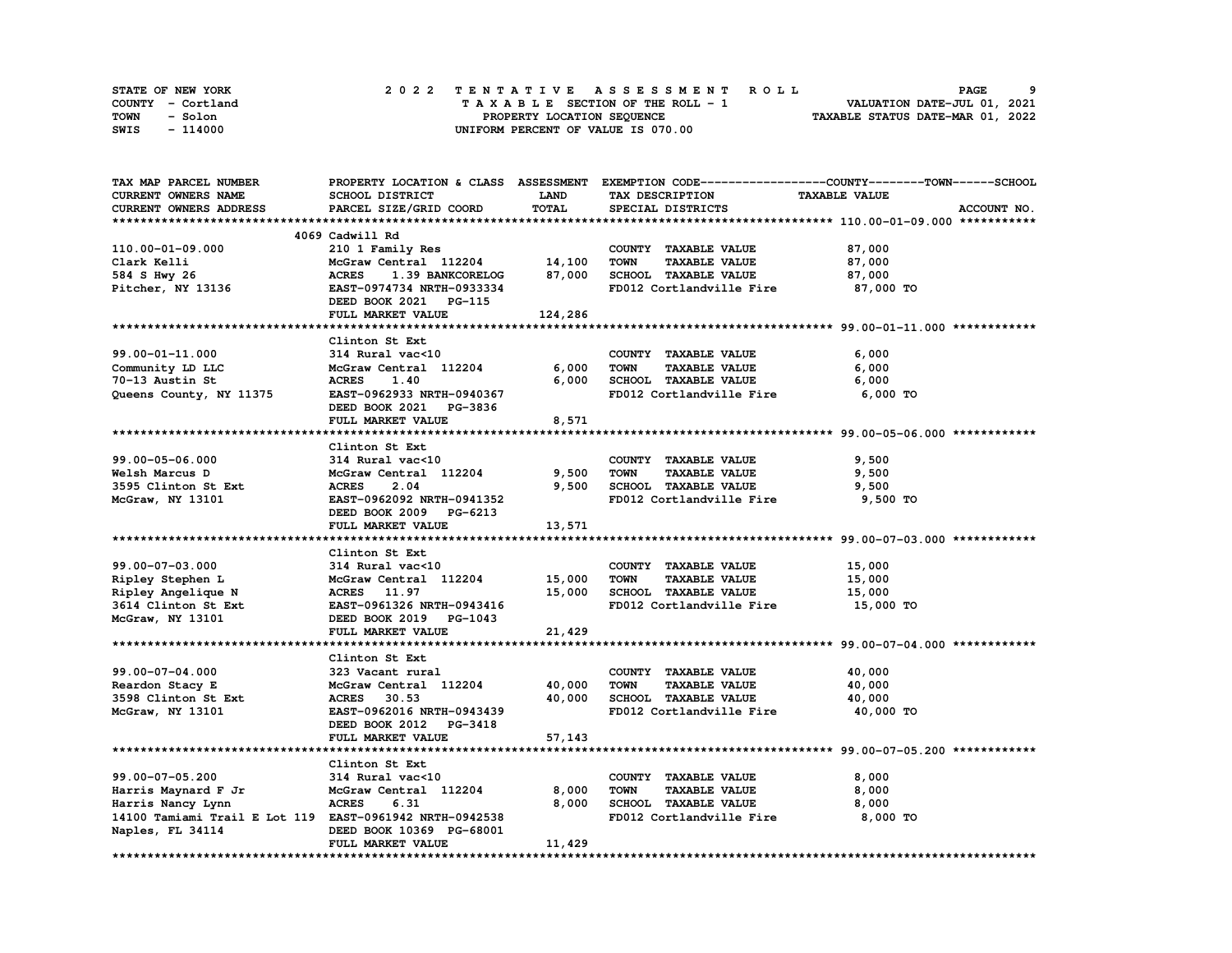| STATE OF NEW YORK | 2022 TENTATIVE ASSESSMENT ROLL     | -9<br><b>PAGE</b>                |
|-------------------|------------------------------------|----------------------------------|
| COUNTY - Cortland | TAXABLE SECTION OF THE ROLL - 1    | VALUATION DATE-JUL 01, 2021      |
| TOWN<br>- Solon   | PROPERTY LOCATION SEQUENCE         | TAXABLE STATUS DATE-MAR 01, 2022 |
| - 114000<br>SWIS  | UNIFORM PERCENT OF VALUE IS 070.00 |                                  |

| TAX MAP PARCEL NUMBER                                   |                                  |             | PROPERTY LOCATION & CLASS ASSESSMENT EXEMPTION CODE----------------COUNTY-------TOWN-----SCHOOL |                      |             |
|---------------------------------------------------------|----------------------------------|-------------|-------------------------------------------------------------------------------------------------|----------------------|-------------|
| <b>CURRENT OWNERS NAME</b>                              | SCHOOL DISTRICT                  | <b>LAND</b> | TAX DESCRIPTION                                                                                 | <b>TAXABLE VALUE</b> |             |
| <b>CURRENT OWNERS ADDRESS</b>                           | PARCEL SIZE/GRID COORD           | TOTAL       | SPECIAL DISTRICTS                                                                               |                      | ACCOUNT NO. |
|                                                         |                                  |             |                                                                                                 |                      |             |
|                                                         | 4069 Cadwill Rd                  |             |                                                                                                 |                      |             |
| 110.00-01-09.000                                        | 210 1 Family Res                 |             | COUNTY TAXABLE VALUE                                                                            | 87,000               |             |
| Clark Kelli                                             | McGraw Central 112204 14,100     |             | <b>TOWN</b><br><b>TAXABLE VALUE</b>                                                             | 87,000               |             |
| 584 S Hwy 26                                            | <b>ACRES</b><br>1.39 BANKCORELOG | 87,000      | SCHOOL TAXABLE VALUE                                                                            | 87,000               |             |
| Pitcher, NY 13136                                       | <b>EAST-0974734 NRTH-0933334</b> |             | FD012 Cortlandville Fire 87,000 TO                                                              |                      |             |
|                                                         |                                  |             |                                                                                                 |                      |             |
|                                                         | DEED BOOK 2021 PG-115            |             |                                                                                                 |                      |             |
|                                                         | FULL MARKET VALUE                | 124,286     |                                                                                                 |                      |             |
|                                                         |                                  |             |                                                                                                 |                      |             |
|                                                         | Clinton St Ext                   |             |                                                                                                 |                      |             |
| 99.00-01-11.000                                         | 314 Rural vac<10                 |             | COUNTY TAXABLE VALUE                                                                            | 6,000                |             |
| Community LD LLC                                        | McGraw Central 112204            | 6,000       | <b>TOWN</b><br><b>TAXABLE VALUE</b>                                                             | 6,000                |             |
| 70-13 Austin St                                         | <b>ACRES</b><br>1.40             | 6,000       | SCHOOL TAXABLE VALUE                                                                            | 6,000                |             |
| Queens County, NY 11375                                 | EAST-0962933 NRTH-0940367        |             | FD012 Cortlandville Fire                                                                        | 6,000 TO             |             |
|                                                         | DEED BOOK 2021 PG-3836           |             |                                                                                                 |                      |             |
|                                                         | FULL MARKET VALUE                | 8,571       |                                                                                                 |                      |             |
|                                                         |                                  |             |                                                                                                 |                      |             |
|                                                         | Clinton St Ext                   |             |                                                                                                 |                      |             |
| 99.00-05-06.000                                         | 314 Rural vac<10                 |             | COUNTY TAXABLE VALUE                                                                            | 9,500                |             |
| Welsh Marcus D                                          | McGraw Central 112204            | 9,500       | <b>TOWN</b><br><b>TAXABLE VALUE</b>                                                             | 9,500                |             |
| 3595 Clinton St Ext                                     | <b>ACRES</b><br>2.04             | 9,500       | SCHOOL TAXABLE VALUE                                                                            | 9,500                |             |
| McGraw, NY 13101                                        | EAST-0962092 NRTH-0941352        |             | FD012 Cortlandville Fire                                                                        | 9,500 TO             |             |
|                                                         | DEED BOOK 2009 PG-6213           |             |                                                                                                 |                      |             |
|                                                         |                                  |             |                                                                                                 |                      |             |
|                                                         | FULL MARKET VALUE                | 13,571      |                                                                                                 |                      |             |
|                                                         |                                  |             |                                                                                                 |                      |             |
|                                                         | Clinton St Ext                   |             |                                                                                                 |                      |             |
| 99.00-07-03.000                                         | 314 Rural vac<10                 |             | COUNTY TAXABLE VALUE                                                                            | 15,000               |             |
| Ripley Stephen L                                        | McGraw Central 112204 15,000     |             | <b>TOWN</b><br><b>TAXABLE VALUE</b>                                                             | 15,000               |             |
| Ripley Angelique N                                      | ACRES 11.97                      | 15,000      | SCHOOL TAXABLE VALUE                                                                            | 15,000               |             |
| 3614 Clinton St Ext                                     | EAST-0961326 NRTH-0943416        |             | FD012 Cortlandville Fire                                                                        | 15,000 TO            |             |
| McGraw, NY 13101                                        | DEED BOOK 2019 PG-1043           |             |                                                                                                 |                      |             |
|                                                         | FULL MARKET VALUE                | 21,429      |                                                                                                 |                      |             |
|                                                         |                                  |             |                                                                                                 |                      |             |
|                                                         | Clinton St Ext                   |             |                                                                                                 |                      |             |
| 99.00-07-04.000                                         | 323 Vacant rural                 |             | COUNTY TAXABLE VALUE                                                                            | 40,000               |             |
| Reardon Stacy E                                         | McGraw Central 112204            | 40,000      | <b>TOWN</b><br><b>TAXABLE VALUE</b>                                                             | 40,000               |             |
| 3598 Clinton St Ext                                     | ACRES 30.53                      | 40,000      | SCHOOL TAXABLE VALUE                                                                            | 40,000               |             |
| McGraw, NY 13101                                        | EAST-0962016 NRTH-0943439        |             | FD012 Cortlandville Fire                                                                        | 40,000 TO            |             |
|                                                         | DEED BOOK 2012 PG-3418           |             |                                                                                                 |                      |             |
|                                                         | FULL MARKET VALUE                |             |                                                                                                 |                      |             |
|                                                         |                                  | 57,143      |                                                                                                 |                      |             |
|                                                         |                                  |             |                                                                                                 |                      |             |
|                                                         | Clinton St Ext                   |             |                                                                                                 |                      |             |
| 99.00-07-05.200                                         | 314 Rural vac<10                 |             | COUNTY TAXABLE VALUE                                                                            | 8,000                |             |
| Harris Maynard F Jr                                     | McGraw Central 112204            | 8,000       | <b>TOWN</b><br><b>TAXABLE VALUE</b>                                                             | 8,000                |             |
| Harris Nancy Lynn                                       | <b>ACRES</b><br>6.31             | 8,000       | SCHOOL TAXABLE VALUE                                                                            | 8,000                |             |
| 14100 Tamiami Trail E Lot 119 EAST-0961942 NRTH-0942538 |                                  |             | FD012 Cortlandville Fire                                                                        | 8,000 TO             |             |
| Naples, FL 34114                                        | DEED BOOK 10369 PG-68001         |             |                                                                                                 |                      |             |
|                                                         | FULL MARKET VALUE                | 11,429      |                                                                                                 |                      |             |
|                                                         |                                  |             |                                                                                                 |                      |             |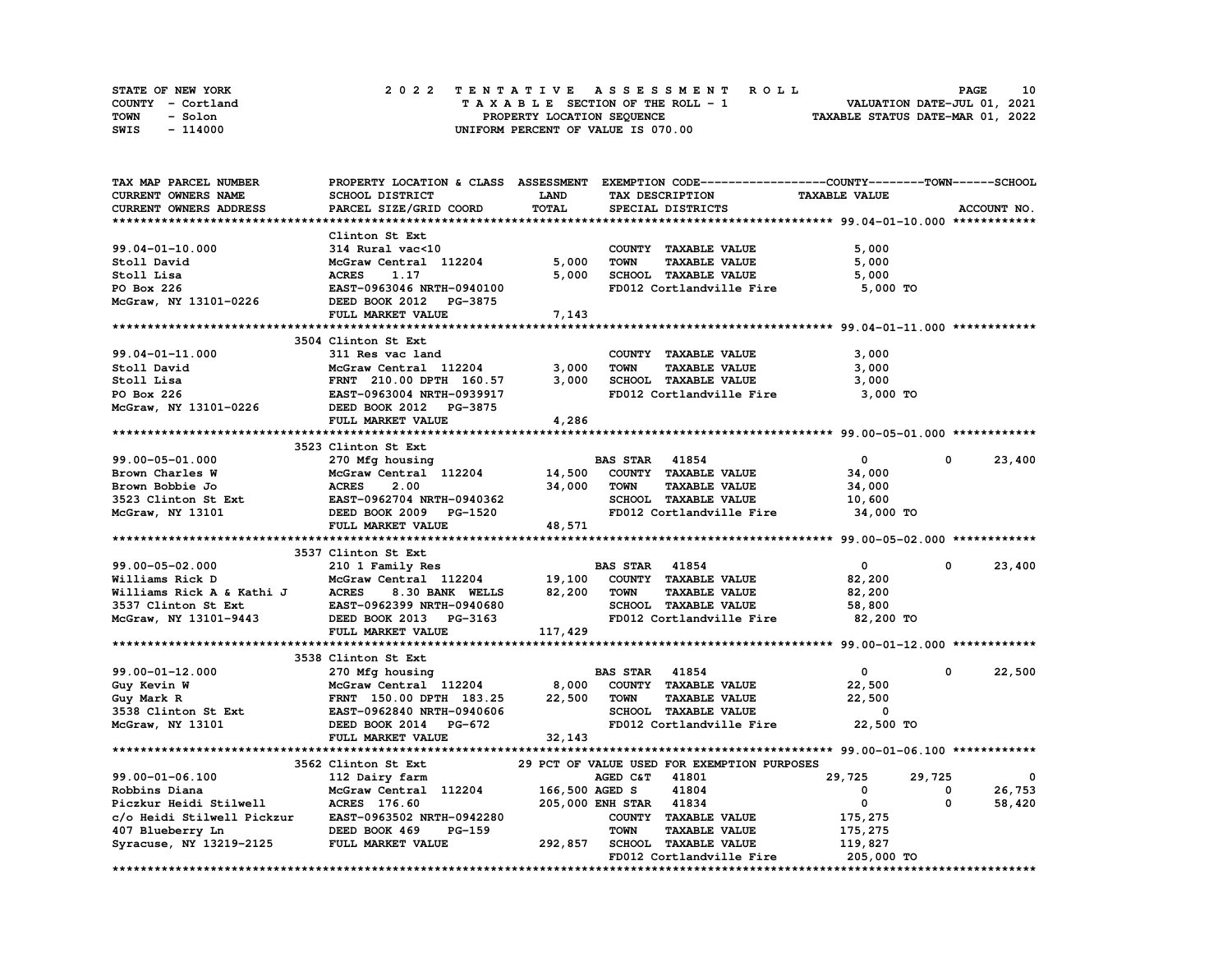| STATE OF NEW YORK | 2022 TENTATIVE ASSESSMENT ROLL     | 10<br><b>PAGE</b>                |
|-------------------|------------------------------------|----------------------------------|
| COUNTY - Cortland | TAXABLE SECTION OF THE ROLL - 1    | VALUATION DATE-JUL 01, 2021      |
| TOWN<br>- Solon   | PROPERTY LOCATION SEQUENCE         | TAXABLE STATUS DATE-MAR 01, 2022 |
| - 114000<br>SWIS  | UNIFORM PERCENT OF VALUE IS 070.00 |                                  |

| TAX MAP PARCEL NUMBER                                | PROPERTY LOCATION & CLASS ASSESSMENT EXEMPTION CODE----------------COUNTY-------TOWN-----SCHOOL |         |                        |                                                         |                       |            |             |
|------------------------------------------------------|-------------------------------------------------------------------------------------------------|---------|------------------------|---------------------------------------------------------|-----------------------|------------|-------------|
| CURRENT OWNERS NAME                                  | <b>SCHOOL DISTRICT</b>                                                                          | LAND    |                        | TAX DESCRIPTION                                         | <b>TAXABLE VALUE</b>  |            |             |
| CURRENT OWNERS ADDRESS                               | PARCEL SIZE/GRID COORD                                                                          | TOTAL   |                        | SPECIAL DISTRICTS                                       |                       |            | ACCOUNT NO. |
|                                                      |                                                                                                 |         |                        |                                                         |                       |            |             |
|                                                      | Clinton St Ext                                                                                  |         |                        |                                                         |                       |            |             |
| $99.04 - 01 - 10.000$                                | 314 Rural vac<10                                                                                |         |                        | COUNTY TAXABLE VALUE                                    | 5,000                 |            |             |
| Stoll David                                          | McGraw Central 112204                                                                           | 5,000   | <b>TOWN</b>            | <b>TAXABLE VALUE</b>                                    | 5,000                 |            |             |
| Stoll Lisa                                           | <b>ACRES</b><br>1.17                                                                            | 5,000   |                        | SCHOOL TAXABLE VALUE                                    | 5,000                 |            |             |
| PO Box 226                                           | EAST-0963046 NRTH-0940100                                                                       |         |                        | FD012 Cortlandville Fire                                | 5,000 TO              |            |             |
| McGraw, NY 13101-0226                                | DEED BOOK 2012 PG-3875                                                                          |         |                        |                                                         |                       |            |             |
|                                                      | FULL MARKET VALUE                                                                               | 7,143   |                        |                                                         |                       |            |             |
|                                                      |                                                                                                 |         |                        |                                                         |                       |            |             |
|                                                      | 3504 Clinton St Ext                                                                             |         |                        |                                                         |                       |            |             |
| 99.04-01-11.000                                      | 311 Res vac land                                                                                |         |                        | COUNTY TAXABLE VALUE                                    | 3,000                 |            |             |
| Stoll David                                          | McGraw Central 112204                                                                           | 3,000   | <b>TOWN</b>            | <b>TAXABLE VALUE</b>                                    | 3,000                 |            |             |
| Stoll Lisa                                           | FRNT 210.00 DPTH 160.57                                                                         | 3,000   |                        | SCHOOL TAXABLE VALUE                                    | 3,000                 |            |             |
| PO Box 226                                           |                                                                                                 |         |                        |                                                         |                       |            |             |
|                                                      | EAST-0963004 NRTH-0939917                                                                       |         |                        | FD012 Cortlandville Fire                                | 3,000 TO              |            |             |
| McGraw, NY 13101-0226                                | DEED BOOK 2012 PG-3875                                                                          |         |                        |                                                         |                       |            |             |
|                                                      | FULL MARKET VALUE                                                                               | 4,286   |                        |                                                         |                       |            |             |
|                                                      |                                                                                                 |         |                        |                                                         |                       |            |             |
|                                                      | 3523 Clinton St Ext                                                                             |         |                        |                                                         |                       |            |             |
| 99.00-05-01.000                                      | 270 Mfg housing                                                                                 |         | <b>BAS STAR 41854</b>  |                                                         | $\mathbf{0}$          | $^{\circ}$ | 23,400      |
| Brown Charles W                                      | McGraw Central 112204                                                                           | 14,500  |                        | COUNTY TAXABLE VALUE                                    | 34,000                |            |             |
| Brown Bobbie Jo                                      | <b>ACRES</b><br>2.00                                                                            | 34,000  | <b>TOWN</b>            | TAXABLE VALUE                                           | 34,000                |            |             |
| 3523 Clinton St Ext                                  | <b>EAST-0962704 NRTH-0940362</b>                                                                |         |                        | SCHOOL TAXABLE VALUE                                    | 10,600                |            |             |
| McGraw, NY 13101                                     | DEED BOOK 2009 PG-1520                                                                          |         |                        | FD012 Cortlandville Fire                                | 34,000 TO             |            |             |
|                                                      | FULL MARKET VALUE                                                                               | 48,571  |                        |                                                         |                       |            |             |
|                                                      |                                                                                                 |         |                        |                                                         |                       |            |             |
|                                                      | 3537 Clinton St Ext                                                                             |         |                        |                                                         |                       |            |             |
| 99.00-05-02.000                                      | 210 1 Family Res                                                                                |         | <b>BAS STAR</b> 41854  |                                                         | $\mathbf 0$           | $^{\circ}$ | 23,400      |
| Williams Rick D                                      | McGraw Central 112204                                                                           | 19,100  |                        | COUNTY TAXABLE VALUE                                    | 82,200                |            |             |
| Williams Rick A & Kathi J                            | <b>ACRES</b><br>8.30 BANK WELLS                                                                 | 82,200  | <b>TOWN</b>            | <b>TAXABLE VALUE</b>                                    | 82,200                |            |             |
| 3537 Clinton St Ext                                  | EAST-0962399 NRTH-0940680                                                                       |         |                        | SCHOOL TAXABLE VALUE                                    | 58,800                |            |             |
| McGraw, NY 13101-9443                                | DEED BOOK 2013 PG-3163                                                                          |         |                        | FD012 Cortlandville Fire                                | 82,200 TO             |            |             |
|                                                      | FULL MARKET VALUE                                                                               | 117,429 |                        |                                                         |                       |            |             |
|                                                      |                                                                                                 |         |                        |                                                         |                       |            |             |
|                                                      | 3538 Clinton St Ext                                                                             |         |                        |                                                         |                       |            |             |
| 99.00-01-12.000                                      | 270 Mfg housing                                                                                 |         | <b>BAS STAR 41854</b>  |                                                         | $\mathbf{0}$          | 0          | 22,500      |
| Guy Kevin W                                          | McGraw Central 112204                                                                           | 8,000   |                        | COUNTY TAXABLE VALUE                                    | 22,500                |            |             |
| Guy Mark R                                           | FRNT 150.00 DPTH 183.25                                                                         | 22,500  | <b>TOWN</b>            | <b>TAXABLE VALUE</b>                                    | 22,500                |            |             |
| 3538 Clinton St Ext                                  | EAST-0962840 NRTH-0940606                                                                       |         |                        | SCHOOL TAXABLE VALUE                                    | 0                     |            |             |
| McGraw, NY 13101                                     | DEED BOOK 2014 PG-672                                                                           |         |                        | FD012 Cortlandville Fire                                | 22,500 TO             |            |             |
|                                                      | FULL MARKET VALUE                                                                               | 32,143  |                        |                                                         |                       |            |             |
|                                                      |                                                                                                 |         |                        |                                                         |                       |            |             |
|                                                      |                                                                                                 |         |                        | 29 PCT OF VALUE USED FOR EXEMPTION PURPOSES             |                       |            |             |
|                                                      | 3562 Clinton St Ext                                                                             |         |                        |                                                         |                       |            |             |
| 99.00-01-06.100                                      | 112 Dairy farm                                                                                  |         | AGED C&T               | 41801                                                   | 29,725                | 29,725     | 0           |
| Robbins Diana                                        |                                                                                                 |         |                        | 41804                                                   | 0                     | 0          |             |
|                                                      | McGraw Central 112204                                                                           |         | 166,500 AGED S         |                                                         |                       | 0          | 26,753      |
| Piczkur Heidi Stilwell                               | ACRES 176.60                                                                                    |         | 205,000 ENH STAR 41834 |                                                         | $\mathbf{0}$          |            | 58,420      |
| c/o Heidi Stilwell Pickzur EAST-0963502 NRTH-0942280 |                                                                                                 |         |                        | COUNTY TAXABLE VALUE                                    | 175,275               |            |             |
| 407 Blueberry Ln                                     | DEED BOOK 469<br>PG-159                                                                         |         | <b>TOWN</b>            | <b>TAXABLE VALUE</b>                                    | 175,275               |            |             |
| Syracuse, NY 13219-2125                              | FULL MARKET VALUE                                                                               | 292,857 |                        | <b>SCHOOL TAXABLE VALUE</b><br>FD012 Cortlandville Fire | 119,827<br>205,000 TO |            |             |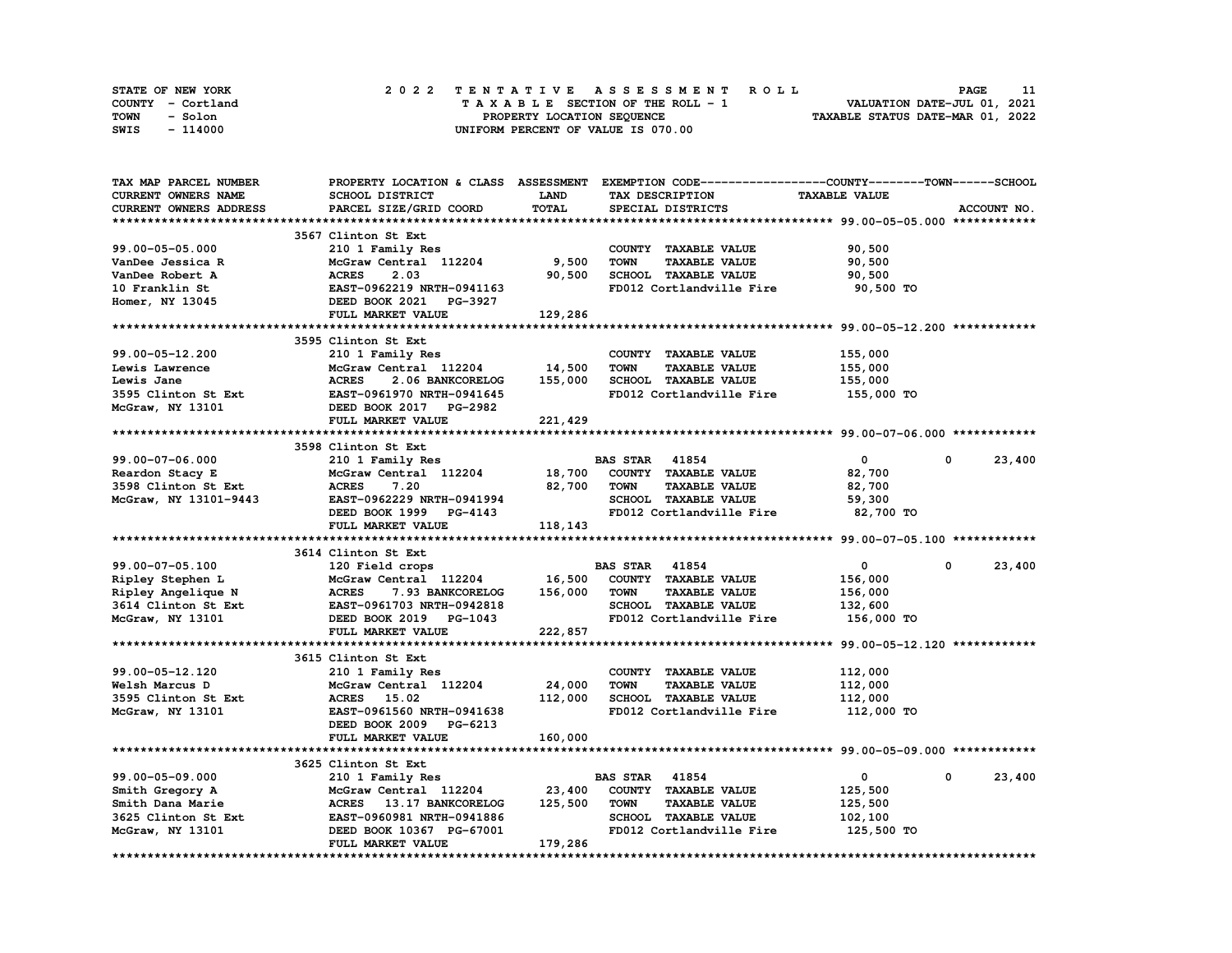| STATE OF NEW YORK | 2022 TENTATIVE ASSESSMENT ROLL     | <b>PAGE</b>                      |
|-------------------|------------------------------------|----------------------------------|
| COUNTY - Cortland | TAXABLE SECTION OF THE ROLL - 1    | VALUATION DATE-JUL 01, 2021      |
| TOWN<br>- Solon   | PROPERTY LOCATION SEQUENCE         | TAXABLE STATUS DATE-MAR 01, 2022 |
| SWIS<br>- 114000  | UNIFORM PERCENT OF VALUE IS 070.00 |                                  |

| TAX MAP PARCEL NUMBER      |                                          |             | PROPERTY LOCATION & CLASS ASSESSMENT EXEMPTION CODE----------------COUNTY-------TOWN-----SCHOOL |                      |                      |             |
|----------------------------|------------------------------------------|-------------|-------------------------------------------------------------------------------------------------|----------------------|----------------------|-------------|
| <b>CURRENT OWNERS NAME</b> | <b>SCHOOL DISTRICT</b>                   | <b>LAND</b> | TAX DESCRIPTION                                                                                 | <b>TAXABLE VALUE</b> |                      |             |
| CURRENT OWNERS ADDRESS     | PARCEL SIZE/GRID COORD                   | TOTAL       | SPECIAL DISTRICTS                                                                               |                      |                      | ACCOUNT NO. |
|                            |                                          |             |                                                                                                 |                      |                      |             |
|                            | 3567 Clinton St Ext                      |             |                                                                                                 |                      |                      |             |
| 99.00-05-05.000            | 210 1 Family Res                         |             | COUNTY TAXABLE VALUE                                                                            | 90,500               |                      |             |
|                            |                                          |             | <b>TOWN</b>                                                                                     |                      |                      |             |
| VanDee Jessica R           | McGraw Central 112204                    | 9,500       | <b>TAXABLE VALUE</b>                                                                            | 90,500               |                      |             |
| VanDee Robert A            | 2.03<br><b>ACRES</b>                     | 90,500      | SCHOOL TAXABLE VALUE                                                                            | 90,500               |                      |             |
| 10 Franklin St             | EAST-0962219 NRTH-0941163                |             | FD012 Cortlandville Fire                                                                        | 90,500 TO            |                      |             |
| Homer, NY 13045            | DEED BOOK 2021 PG-3927                   |             |                                                                                                 |                      |                      |             |
|                            | FULL MARKET VALUE                        | 129,286     |                                                                                                 |                      |                      |             |
|                            |                                          |             |                                                                                                 |                      |                      |             |
|                            | 3595 Clinton St Ext                      |             |                                                                                                 |                      |                      |             |
| 99.00-05-12.200            | 210 1 Family Res                         |             | COUNTY TAXABLE VALUE                                                                            | 155,000              |                      |             |
| Lewis Lawrence             | McGraw Central 112204                    | 14,500      | <b>TOWN</b><br><b>TAXABLE VALUE</b>                                                             | 155,000              |                      |             |
| Lewis Jane                 | 2.06 BANKCORELOG<br><b>ACRES</b>         | 155,000     | SCHOOL TAXABLE VALUE                                                                            | 155,000              |                      |             |
| 3595 Clinton St Ext        | EAST-0961970 NRTH-0941645                |             | FD012 Cortlandville Fire                                                                        | 155,000 TO           |                      |             |
| McGraw, NY 13101           | DEED BOOK 2017 PG-2982                   |             |                                                                                                 |                      |                      |             |
|                            |                                          |             |                                                                                                 |                      |                      |             |
|                            | FULL MARKET VALUE                        | 221,429     |                                                                                                 |                      |                      |             |
|                            |                                          |             |                                                                                                 |                      |                      |             |
|                            | 3598 Clinton St Ext                      |             |                                                                                                 |                      |                      |             |
| 99.00-07-06.000            | 210 1 Family Res                         |             | <b>BAS STAR 41854</b>                                                                           | $\mathbf 0$          | $\Omega$             | 23,400      |
| Reardon Stacy E            | McGraw Central 112204                    | 18,700      | COUNTY TAXABLE VALUE                                                                            | 82,700               |                      |             |
| 3598 Clinton St Ext        | <b>ACRES</b><br>7.20                     | 82,700      | <b>TOWN</b><br><b>TAXABLE VALUE</b>                                                             | 82,700               |                      |             |
| McGraw, NY 13101-9443      | EAST-0962229 NRTH-0941994                |             | SCHOOL TAXABLE VALUE                                                                            | 59,300               |                      |             |
|                            | DEED BOOK 1999 PG-4143                   |             | FD012 Cortlandville Fire                                                                        | 82,700 TO            |                      |             |
|                            | FULL MARKET VALUE                        | 118,143     |                                                                                                 |                      |                      |             |
|                            |                                          |             |                                                                                                 |                      |                      |             |
|                            | 3614 Clinton St Ext                      |             |                                                                                                 |                      |                      |             |
| 99.00-07-05.100            | 120 Field crops                          |             | <b>BAS STAR 41854</b>                                                                           | $\mathbf{0}$         | $^{\circ}$           | 23,400      |
| Ripley Stephen L           | McGraw Central 112204                    | 16,500      | COUNTY TAXABLE VALUE                                                                            | 156,000              |                      |             |
|                            | <b>ACRES</b>                             |             | <b>TOWN</b>                                                                                     |                      |                      |             |
| Ripley Angelique N         | 7.93 BANKCORELOG                         | 156,000     | <b>TAXABLE VALUE</b>                                                                            | 156,000              |                      |             |
| 3614 Clinton St Ext        | EAST-0961703 NRTH-0942818                |             | SCHOOL TAXABLE VALUE                                                                            | 132,600              |                      |             |
| McGraw, NY 13101           | DEED BOOK 2019 PG-1043                   |             | FD012 Cortlandville Fire                                                                        | 156,000 TO           |                      |             |
|                            | FULL MARKET VALUE                        | 222,857     |                                                                                                 |                      |                      |             |
|                            |                                          |             |                                                                                                 |                      |                      |             |
|                            | 3615 Clinton St Ext                      |             |                                                                                                 |                      |                      |             |
| 99.00-05-12.120            | 210 1 Family Res                         |             | COUNTY TAXABLE VALUE                                                                            | 112,000              |                      |             |
| Welsh Marcus D             | McGraw Central 112204                    | 24,000      | <b>TOWN</b><br><b>TAXABLE VALUE</b>                                                             | 112,000              |                      |             |
| 3595 Clinton St Ext        | <b>ACRES</b> 15.02                       | 112,000     | SCHOOL TAXABLE VALUE                                                                            | 112,000              |                      |             |
| McGraw, NY 13101           | EAST-0961560 NRTH-0941638                |             | FD012 Cortlandville Fire                                                                        | 112,000 TO           |                      |             |
|                            | DEED BOOK 2009 PG-6213                   |             |                                                                                                 |                      |                      |             |
|                            | FULL MARKET VALUE                        | 160,000     |                                                                                                 |                      |                      |             |
|                            |                                          |             |                                                                                                 |                      |                      |             |
|                            |                                          |             |                                                                                                 |                      |                      |             |
|                            | 3625 Clinton St Ext                      |             |                                                                                                 |                      |                      |             |
| 99.00-05-09.000            | 210 1 Family Res                         |             | <b>BAS STAR</b><br>41854                                                                        | 0                    | 0                    | 23,400      |
| Smith Gregory A            | McGraw Central 112204                    | 23,400      | COUNTY TAXABLE VALUE                                                                            | 125,500              |                      |             |
| Smith Dana Marie           | <b>ACRES</b><br><b>13.17 BANKCORELOG</b> | 125,500     | <b>TOWN</b><br><b>TAXABLE VALUE</b>                                                             | 125,500              |                      |             |
| 3625 Clinton St Ext        | EAST-0960981 NRTH-0941886                |             | SCHOOL TAXABLE VALUE                                                                            | 102,100              |                      |             |
| McGraw, NY 13101           | DEED BOOK 10367 PG-67001                 |             | FD012 Cortlandville Fire                                                                        | 125,500 TO           |                      |             |
|                            | FULL MARKET VALUE                        | 179,286     |                                                                                                 |                      |                      |             |
|                            |                                          |             |                                                                                                 |                      | ******************** |             |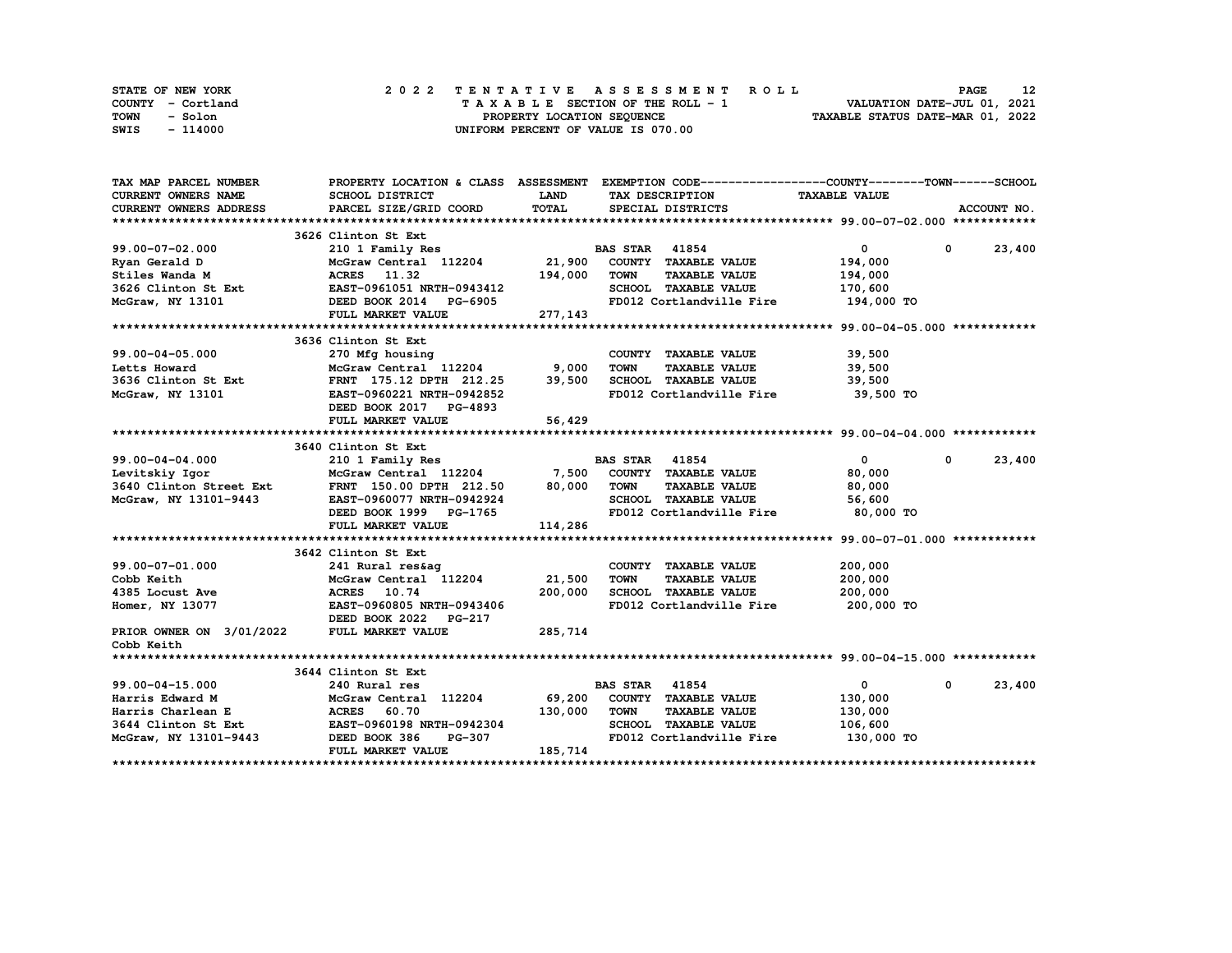| STATE OF NEW YORK | 2022 TENTATIVE ASSESSMENT ROLL     | 12<br><b>PAGE</b>                |
|-------------------|------------------------------------|----------------------------------|
| COUNTY - Cortland | TAXABLE SECTION OF THE ROLL - 1    | VALUATION DATE-JUL 01, 2021      |
| TOWN<br>- Solon   | PROPERTY LOCATION SEQUENCE         | TAXABLE STATUS DATE-MAR 01, 2022 |
| - 114000<br>SWIS  | UNIFORM PERCENT OF VALUE IS 070.00 |                                  |

| TAX MAP PARCEL NUMBER                                                                                                                                                                                                                  | PROPERTY LOCATION & CLASS ASSESSMENT EXEMPTION CODE----------------COUNTY-------TOWN------SCHOOL                                                                                                     |              |                                     |                                     |                        |
|----------------------------------------------------------------------------------------------------------------------------------------------------------------------------------------------------------------------------------------|------------------------------------------------------------------------------------------------------------------------------------------------------------------------------------------------------|--------------|-------------------------------------|-------------------------------------|------------------------|
| <b>CURRENT OWNERS NAME</b>                                                                                                                                                                                                             | <b>SCHOOL DISTRICT</b>                                                                                                                                                                               | <b>LAND</b>  | TAX DESCRIPTION                     | <b>TAXABLE VALUE</b>                |                        |
| <b>CURRENT OWNERS ADDRESS</b>                                                                                                                                                                                                          | PARCEL SIZE/GRID COORD                                                                                                                                                                               | <b>TOTAL</b> | SPECIAL DISTRICTS                   |                                     | ACCOUNT NO.            |
|                                                                                                                                                                                                                                        |                                                                                                                                                                                                      |              |                                     |                                     |                        |
|                                                                                                                                                                                                                                        | 3626 Clinton St Ext                                                                                                                                                                                  |              |                                     |                                     |                        |
| 99.00-07-02.000<br>Ryan Gerald D McGraw Central 112204<br>Stiles Wanda M ACRES 11.3204<br>McGraw Central 112204<br>3626 Clinton St Ext EAST-0961051 NRTH-0943412<br>McGraw, NY 13101<br>DEED BOOK 2014 PG-6905<br>FULL MARKET VALUE 27 |                                                                                                                                                                                                      |              |                                     | $\mathbf{0}$                        | $0 \t 23,400$          |
|                                                                                                                                                                                                                                        |                                                                                                                                                                                                      |              |                                     | 194,000                             |                        |
|                                                                                                                                                                                                                                        |                                                                                                                                                                                                      | 194,000      | TOWN<br><b>TAXABLE VALUE</b>        | 194,000                             |                        |
|                                                                                                                                                                                                                                        |                                                                                                                                                                                                      |              | SCHOOL TAXABLE VALUE                | 170,600                             |                        |
|                                                                                                                                                                                                                                        |                                                                                                                                                                                                      |              | FD012 Cortlandville Fire            | 194,000 TO                          |                        |
|                                                                                                                                                                                                                                        | FULL MARKET VALUE                                                                                                                                                                                    | 277, 143     |                                     |                                     |                        |
|                                                                                                                                                                                                                                        |                                                                                                                                                                                                      |              |                                     |                                     |                        |
|                                                                                                                                                                                                                                        | 3636 Clinton St Ext                                                                                                                                                                                  |              |                                     |                                     |                        |
| 99.00-04-05.000                                                                                                                                                                                                                        | 270 Mfg housing COUNTY TAXABLE VALUE<br>McGraw Central 112204 9,000 TOWN TAXABLE VALUE<br>FRNT 175.12 DPTH 212.25 39,500 SCHOOL TAXABLE VALUE<br>FRNT 105.12 DPTH 212.25 39,500 SCHOOL TAXABLE VALUE |              | COUNTY TAXABLE VALUE 39,500         |                                     |                        |
| Letts Howard                                                                                                                                                                                                                           |                                                                                                                                                                                                      |              |                                     | TAXABLE VALUE 39,500                |                        |
|                                                                                                                                                                                                                                        | McGraw Central 112204<br>FRNT 175.12 DPTH 212.25<br>EAST-0960221 NRTH-0942852                                                                                                                        |              |                                     | 39,500                              |                        |
| 3636 Clinton St Ext<br>McGraw, NY 13101                                                                                                                                                                                                |                                                                                                                                                                                                      |              | FD012 Cortlandville Fire            | 39,500 TO                           |                        |
|                                                                                                                                                                                                                                        | DEED BOOK 2017 PG-4893                                                                                                                                                                               |              |                                     |                                     |                        |
|                                                                                                                                                                                                                                        | FULL MARKET VALUE                                                                                                                                                                                    | 56,429       |                                     |                                     |                        |
|                                                                                                                                                                                                                                        |                                                                                                                                                                                                      |              |                                     |                                     |                        |
|                                                                                                                                                                                                                                        | 3640 Clinton St Ext                                                                                                                                                                                  |              |                                     |                                     |                        |
|                                                                                                                                                                                                                                        |                                                                                                                                                                                                      |              |                                     | $\mathbf{0}$                        | $^{\circ}$<br>23,400   |
|                                                                                                                                                                                                                                        | 210 1 Family Res<br>McGraw Central 112204 7,500 COUNTY TAXABLE VALUE                                                                                                                                 |              |                                     | 80,000                              |                        |
|                                                                                                                                                                                                                                        |                                                                                                                                                                                                      |              | <b>TAXABLE VALUE</b><br>TOWN        | 80,000                              |                        |
| McGraw, NY 13101-9443                                                                                                                                                                                                                  | EAST-0960077 NRTH-0942924                                                                                                                                                                            |              | SCHOOL TAXABLE VALUE                | 56,600                              |                        |
|                                                                                                                                                                                                                                        | EAST-0960077 NRTH-0942924<br>DEED BOOK 1999 PG-1765                                                                                                                                                  |              | FD012 Cortlandville Fire            | 80,000 TO                           |                        |
|                                                                                                                                                                                                                                        | FULL MARKET VALUE                                                                                                                                                                                    | 114,286      |                                     |                                     |                        |
|                                                                                                                                                                                                                                        |                                                                                                                                                                                                      |              |                                     |                                     |                        |
|                                                                                                                                                                                                                                        | 3642 Clinton St Ext                                                                                                                                                                                  |              |                                     |                                     |                        |
| 99.00-07-01.000                                                                                                                                                                                                                        | 241 Rural res&aq                                                                                                                                                                                     |              | COUNTY TAXABLE VALUE                | 200,000                             |                        |
| Cobb Keith                                                                                                                                                                                                                             |                                                                                                                                                                                                      |              | <b>TOWN</b><br><b>TAXABLE VALUE</b> | 200,000                             |                        |
| 4385 Locust Ave                                                                                                                                                                                                                        |                                                                                                                                                                                                      |              | SCHOOL TAXABLE VALUE                | 200,000                             |                        |
| Homer, NY 13077                                                                                                                                                                                                                        | McGraw Central 112204 21,500<br>ACRES 10.74 200,000<br>EAST-0960805 NRTH-0943406                                                                                                                     |              |                                     | FD012 Cortlandville Fire 200,000 TO |                        |
|                                                                                                                                                                                                                                        | DEED BOOK 2022 PG-217                                                                                                                                                                                |              |                                     |                                     |                        |
| PRIOR OWNER ON 3/01/2022                                                                                                                                                                                                               | FULL MARKET VALUE                                                                                                                                                                                    | 285,714      |                                     |                                     |                        |
| Cobb Keith                                                                                                                                                                                                                             |                                                                                                                                                                                                      |              |                                     |                                     |                        |
|                                                                                                                                                                                                                                        |                                                                                                                                                                                                      |              |                                     |                                     |                        |
|                                                                                                                                                                                                                                        | 3644 Clinton St Ext                                                                                                                                                                                  |              |                                     |                                     |                        |
| 99.00-04-15.000                                                                                                                                                                                                                        | 240 Rural res                                                                                                                                                                                        |              | <b>BAS STAR 41854</b>               | $\mathbf{0}$                        | 23,400<br>$\mathbf{0}$ |
|                                                                                                                                                                                                                                        | McGraw Central 112204 69,200                                                                                                                                                                         |              | COUNTY TAXABLE VALUE                | 130,000                             |                        |
|                                                                                                                                                                                                                                        |                                                                                                                                                                                                      | 130,000 TOWN | <b>TAXABLE VALUE</b>                | 130,000                             |                        |
|                                                                                                                                                                                                                                        |                                                                                                                                                                                                      |              | SCHOOL TAXABLE VALUE                | 106,600                             |                        |
| McGraw, NY 13101-9443 DEED BOOK 386                                                                                                                                                                                                    | PG-307                                                                                                                                                                                               |              |                                     | FD012 Cortlandville Fire 130,000 TO |                        |
|                                                                                                                                                                                                                                        | FULL MARKET VALUE                                                                                                                                                                                    | 185,714      |                                     |                                     |                        |
|                                                                                                                                                                                                                                        |                                                                                                                                                                                                      |              |                                     |                                     |                        |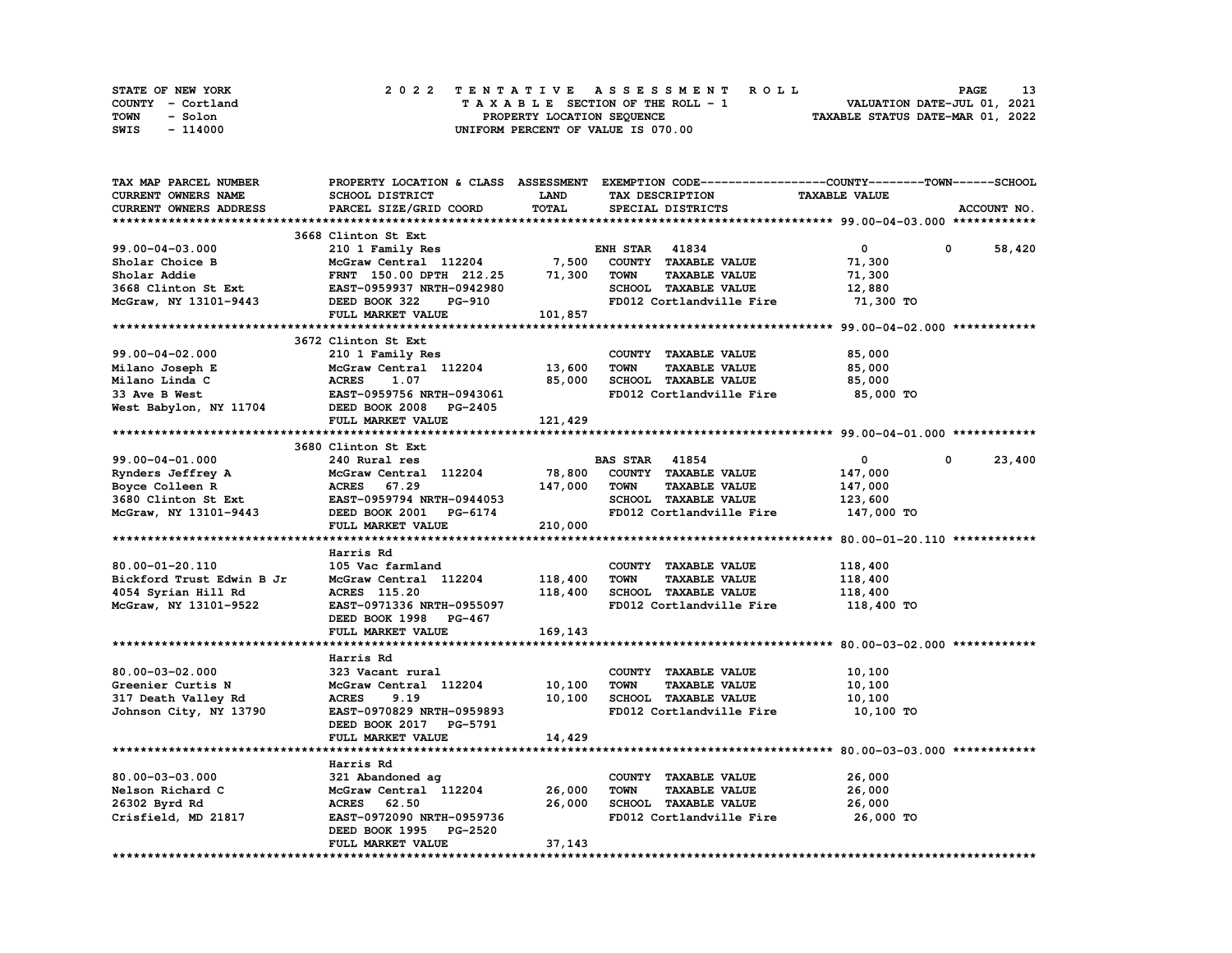| STATE OF NEW YORK | 2022 TENTATIVE ASSESSMENT ROLL     | 13<br><b>PAGE</b>                |
|-------------------|------------------------------------|----------------------------------|
| COUNTY - Cortland | TAXABLE SECTION OF THE ROLL - 1    | VALUATION DATE-JUL 01, 2021      |
| TOWN<br>- Solon   | PROPERTY LOCATION SEQUENCE         | TAXABLE STATUS DATE-MAR 01, 2022 |
| - 114000<br>SWIS  | UNIFORM PERCENT OF VALUE IS 070.00 |                                  |

| TAX MAP PARCEL NUMBER                                                                                                                                                                                                          |                                                                                   |              | PROPERTY LOCATION & CLASS ASSESSMENT EXEMPTION CODE----------------COUNTY-------TOWN-----SCHOOL |                      |                       |
|--------------------------------------------------------------------------------------------------------------------------------------------------------------------------------------------------------------------------------|-----------------------------------------------------------------------------------|--------------|-------------------------------------------------------------------------------------------------|----------------------|-----------------------|
| CURRENT OWNERS NAME                                                                                                                                                                                                            | SCHOOL DISTRICT                                                                   | <b>LAND</b>  | TAX DESCRIPTION                                                                                 | <b>TAXABLE VALUE</b> |                       |
| CURRENT OWNERS ADDRESS                                                                                                                                                                                                         | PARCEL SIZE/GRID COORD                                                            | TOTAL        | SPECIAL DISTRICTS                                                                               |                      | ACCOUNT NO.           |
|                                                                                                                                                                                                                                |                                                                                   |              |                                                                                                 |                      |                       |
|                                                                                                                                                                                                                                | 3668 Clinton St Ext                                                               |              |                                                                                                 |                      |                       |
| 99.00-04-03.000                                                                                                                                                                                                                | 210 1 Family Res                                                                  |              | <b>ENH STAR 41834</b>                                                                           | $\mathbf{0}$         | 0<br>58,420           |
|                                                                                                                                                                                                                                |                                                                                   |              | COUNTY TAXABLE VALUE                                                                            | 71,300               |                       |
|                                                                                                                                                                                                                                | 210 1 Family Res<br>McGraw Central 112204 7,500<br>~~~~ 150 00 DPTH 212.25 71,300 |              | <b>TAXABLE VALUE</b><br>TOWN                                                                    | 71,300               |                       |
| Sholar Choice B<br>Sholar Addie<br>3668 Clinton St Ext<br>McGraw, NY 13101-9443                                                                                                                                                |                                                                                   |              | SCHOOL TAXABLE VALUE                                                                            |                      |                       |
|                                                                                                                                                                                                                                | EAST-0959937 NRTH-0942980                                                         |              |                                                                                                 | 12,880               |                       |
|                                                                                                                                                                                                                                | DEED BOOK 322<br>PG-910                                                           |              | FD012 Cortlandville Fire                                                                        | 71,300 TO            |                       |
|                                                                                                                                                                                                                                | FULL MARKET VALUE                                                                 | 101,857      |                                                                                                 |                      |                       |
|                                                                                                                                                                                                                                |                                                                                   |              |                                                                                                 |                      |                       |
|                                                                                                                                                                                                                                | 3672 Clinton St Ext                                                               |              |                                                                                                 |                      |                       |
| 99.00-04-02.000                                                                                                                                                                                                                | 210 1 Family Res                                                                  |              | COUNTY TAXABLE VALUE                                                                            | 85,000               |                       |
|                                                                                                                                                                                                                                | McGraw Central 112204 13,600                                                      |              | <b>TOWN</b><br><b>TAXABLE VALUE</b>                                                             | 85,000               |                       |
| Milano Joseph E<br>Milano Linda C<br>33 Ave B West<br>West Babylon, NY 11704<br>DEED BOOK 2008 PG-2405<br>Mest Babylon, NY 11704<br>DEED BOOK 2008 PG-2405                                                                     |                                                                                   | 85,000       | SCHOOL TAXABLE VALUE                                                                            | 85,000               |                       |
|                                                                                                                                                                                                                                |                                                                                   |              | FD012 Cortlandville Fire                                                                        | 85,000 TO            |                       |
|                                                                                                                                                                                                                                |                                                                                   |              |                                                                                                 |                      |                       |
|                                                                                                                                                                                                                                | <b>FULL MARKET VALUE</b>                                                          | 121, 429     |                                                                                                 |                      |                       |
|                                                                                                                                                                                                                                |                                                                                   |              |                                                                                                 |                      |                       |
|                                                                                                                                                                                                                                | 3680 Clinton St Ext                                                               |              |                                                                                                 |                      |                       |
| 99.00-04-01.000                                                                                                                                                                                                                | 240 Rural res                                                                     |              | <b>BAS STAR 41854</b>                                                                           | $\mathbf{0}$         | $\mathbf 0$<br>23,400 |
|                                                                                                                                                                                                                                | McGraw Central 112204 78,800                                                      |              | COUNTY TAXABLE VALUE                                                                            | 147,000              |                       |
| Rynders Jeffrey A<br>Boyce Colleen R<br>Rynders Jeffrey A McGraw Central 112204 78,800<br>Boyce Colleen R ACRES 67.29 147,000<br>3680 Clinton St Ext EAST-0959794 NRTH-0944053<br>McGraw, NY 13101-9443 DEED BOOK 2001 PG-6174 |                                                                                   | 147,000 TOWN | <b>TAXABLE VALUE</b>                                                                            | 147,000              |                       |
|                                                                                                                                                                                                                                |                                                                                   |              |                                                                                                 |                      |                       |
|                                                                                                                                                                                                                                |                                                                                   |              | SCHOOL TAXABLE VALUE                                                                            | 123,600              |                       |
|                                                                                                                                                                                                                                |                                                                                   |              | FD012 Cortlandville Fire                                                                        | 147,000 TO           |                       |
|                                                                                                                                                                                                                                | FULL MARKET VALUE                                                                 | 210,000      |                                                                                                 |                      |                       |
|                                                                                                                                                                                                                                |                                                                                   |              |                                                                                                 |                      |                       |
|                                                                                                                                                                                                                                | Harris Rd                                                                         |              |                                                                                                 |                      |                       |
| 80.00-01-20.110                                                                                                                                                                                                                | 105 Vac farmland                                                                  |              | COUNTY TAXABLE VALUE                                                                            | 118,400              |                       |
| Bickford Trust Edwin B Jr                                                                                                                                                                                                      | McGraw Central 112204 118,400                                                     |              | <b>TOWN</b><br><b>TAXABLE VALUE</b>                                                             | 118,400              |                       |
| 4054 Syrian Hill Rd                                                                                                                                                                                                            | ACRES 115.20                                                                      | 118,400      | SCHOOL TAXABLE VALUE                                                                            | 118,400              |                       |
| McGraw, NY 13101-9522                                                                                                                                                                                                          | EAST-0971336 NRTH-0955097                                                         |              | FD012 Cortlandville Fire                                                                        | 118,400 TO           |                       |
|                                                                                                                                                                                                                                | DEED BOOK 1998 PG-467                                                             |              |                                                                                                 |                      |                       |
|                                                                                                                                                                                                                                | FULL MARKET VALUE                                                                 | 169,143      |                                                                                                 |                      |                       |
|                                                                                                                                                                                                                                |                                                                                   |              |                                                                                                 |                      |                       |
|                                                                                                                                                                                                                                | Harris Rd                                                                         |              |                                                                                                 |                      |                       |
| 80.00-03-02.000                                                                                                                                                                                                                | 323 Vacant rural                                                                  |              | COUNTY TAXABLE VALUE                                                                            | 10, 100              |                       |
| Greenier Curtis N                                                                                                                                                                                                              | McGraw Central 112204                                                             | 10,100       | <b>TOWN</b><br><b>TAXABLE VALUE</b>                                                             | 10,100               |                       |
| 317 Death Valley Rd                                                                                                                                                                                                            | <b>ACRES</b><br>9.19                                                              |              | 10,100 SCHOOL TAXABLE VALUE                                                                     | 10,100               |                       |
|                                                                                                                                                                                                                                | EAST-0970829 NRTH-0959893                                                         |              | FD012 Cortlandville Fire                                                                        |                      |                       |
| Johnson City, NY 13790                                                                                                                                                                                                         |                                                                                   |              |                                                                                                 | 10,100 TO            |                       |
|                                                                                                                                                                                                                                | DEED BOOK 2017 PG-5791                                                            |              |                                                                                                 |                      |                       |
|                                                                                                                                                                                                                                | FULL MARKET VALUE                                                                 | 14,429       |                                                                                                 |                      |                       |
|                                                                                                                                                                                                                                |                                                                                   |              |                                                                                                 |                      |                       |
|                                                                                                                                                                                                                                | Harris Rd                                                                         |              |                                                                                                 |                      |                       |
| 80.00-03-03.000                                                                                                                                                                                                                | 321 Abandoned ag                                                                  |              | COUNTY TAXABLE VALUE                                                                            | 26,000               |                       |
| Nelson Richard C                                                                                                                                                                                                               | McGraw Central 112204 26,000                                                      |              | TOWN<br><b>TAXABLE VALUE</b>                                                                    | 26,000               |                       |
| 26302 Byrd Rd                                                                                                                                                                                                                  | <b>ACRES</b> 62.50                                                                | 26,000       | SCHOOL TAXABLE VALUE                                                                            | 26,000               |                       |
| Crisfield, MD 21817                                                                                                                                                                                                            | EAST-0972090 NRTH-0959736                                                         |              | FD012 Cortlandville Fire 26,000 TO                                                              |                      |                       |
|                                                                                                                                                                                                                                | DEED BOOK 1995 PG-2520                                                            |              |                                                                                                 |                      |                       |
|                                                                                                                                                                                                                                | FULL MARKET VALUE                                                                 | 37,143       |                                                                                                 |                      |                       |
|                                                                                                                                                                                                                                |                                                                                   |              |                                                                                                 |                      |                       |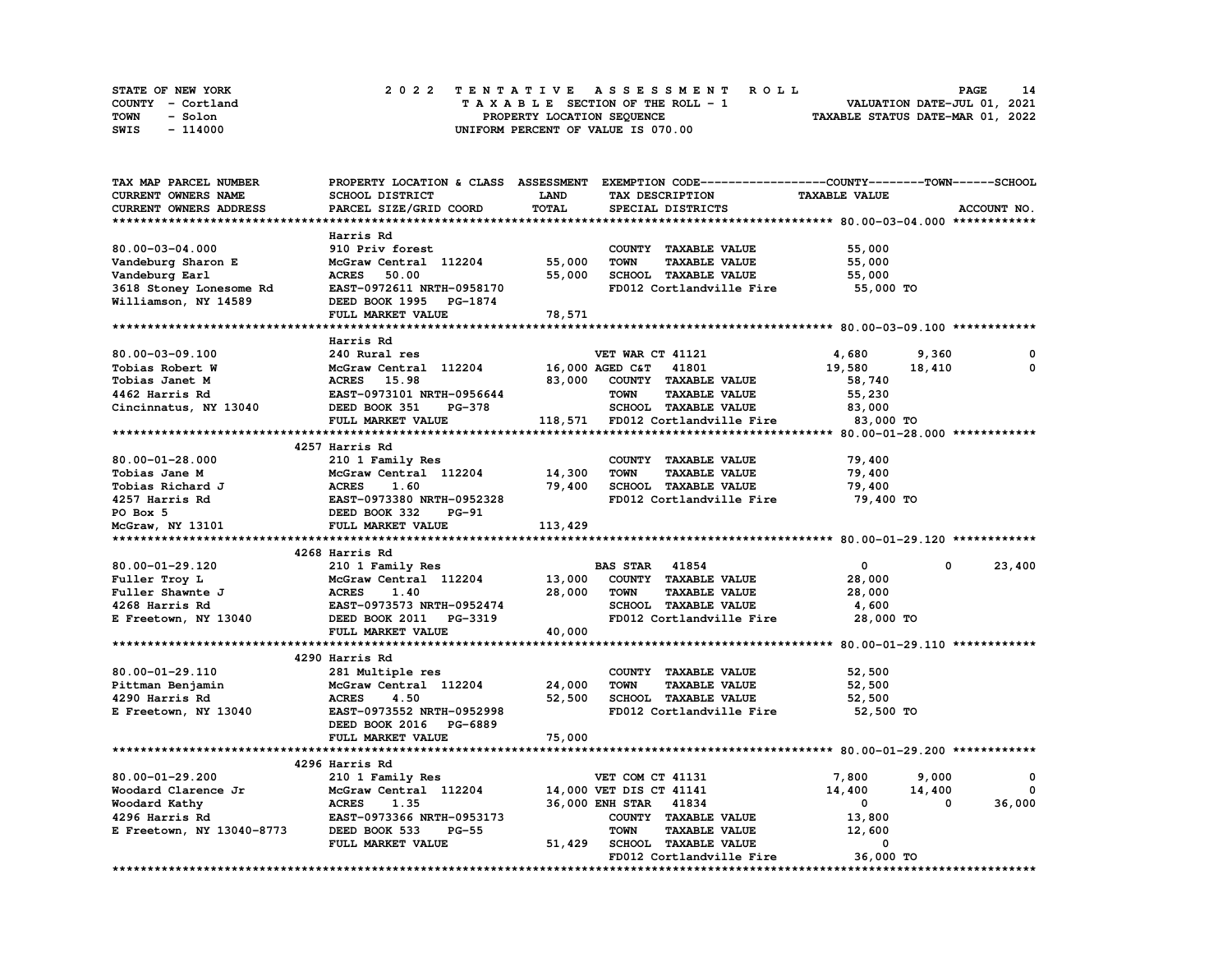| STATE OF NEW YORK | 2022 TENTATIVE ASSESSMENT ROLL     | 14<br>PAGE                       |
|-------------------|------------------------------------|----------------------------------|
| COUNTY - Cortland | TAXABLE SECTION OF THE ROLL - 1    | VALUATION DATE-JUL 01, 2021      |
| TOWN<br>- Solon   | PROPERTY LOCATION SEQUENCE         | TAXABLE STATUS DATE-MAR 01, 2022 |
| - 114000<br>SWIS  | UNIFORM PERCENT OF VALUE IS 070.00 |                                  |

| CURRENT OWNERS NAME<br>SCHOOL DISTRICT<br>LAND<br>TAX DESCRIPTION<br><b>TAXABLE VALUE</b><br>TOTAL<br>CURRENT OWNERS ADDRESS<br>PARCEL SIZE/GRID COORD<br>SPECIAL DISTRICTS<br>Harris Rd<br>80.00-03-04.000<br>910 Priv forest<br>55,000<br>COUNTY TAXABLE VALUE | ACCOUNT NO. |
|------------------------------------------------------------------------------------------------------------------------------------------------------------------------------------------------------------------------------------------------------------------|-------------|
|                                                                                                                                                                                                                                                                  |             |
|                                                                                                                                                                                                                                                                  |             |
|                                                                                                                                                                                                                                                                  |             |
|                                                                                                                                                                                                                                                                  |             |
|                                                                                                                                                                                                                                                                  |             |
| 55,000<br><b>TOWN</b><br><b>TAXABLE VALUE</b><br>Vandeburg Sharon E<br>McGraw Central 112204<br>55,000                                                                                                                                                           |             |
| 55,000<br>SCHOOL TAXABLE VALUE<br>Vandeburg Earl<br><b>ACRES</b><br>50.00<br>55,000                                                                                                                                                                              |             |
| 3618 Stoney Lonesome Rd<br>EAST-0972611 NRTH-0958170<br>FD012 Cortlandville Fire<br>55,000 TO                                                                                                                                                                    |             |
| Williamson, NY 14589<br>DEED BOOK 1995 PG-1874                                                                                                                                                                                                                   |             |
| FULL MARKET VALUE<br>78,571                                                                                                                                                                                                                                      |             |
|                                                                                                                                                                                                                                                                  |             |
| Harris Rd                                                                                                                                                                                                                                                        |             |
| 80.00-03-09.100<br>240 Rural res<br>VET WAR CT 41121<br>4,680<br>9,360                                                                                                                                                                                           | 0           |
| McGraw Central 112204<br>41801<br>Tobias Robert W<br>16,000 AGED C&T<br>19,580<br>18,410                                                                                                                                                                         | 0           |
| <b>ACRES</b> 15.98<br>83,000<br>COUNTY TAXABLE VALUE<br>Tobias Janet M<br>58,740                                                                                                                                                                                 |             |
| EAST-0973101 NRTH-0956644<br><b>TAXABLE VALUE</b><br>4462 Harris Rd<br><b>TOWN</b><br>55,230                                                                                                                                                                     |             |
| Cincinnatus, NY 13040<br>DEED BOOK 351<br><b>PG-378</b><br>SCHOOL TAXABLE VALUE<br>83,000                                                                                                                                                                        |             |
| 118,571 FD012 Cortlandville Fire<br>FULL MARKET VALUE<br>83,000 TO                                                                                                                                                                                               |             |
|                                                                                                                                                                                                                                                                  |             |
| 4257 Harris Rd                                                                                                                                                                                                                                                   |             |
|                                                                                                                                                                                                                                                                  |             |
| 80.00-01-28.000<br>210 1 Family Res<br>COUNTY TAXABLE VALUE<br>79,400                                                                                                                                                                                            |             |
| McGraw Central 112204<br>14,300<br><b>TOWN</b><br><b>TAXABLE VALUE</b><br>79,400<br>Tobias Jane M                                                                                                                                                                |             |
| Tobias Richard J<br><b>ACRES</b><br>1.60<br>79,400<br>SCHOOL TAXABLE VALUE<br>79,400                                                                                                                                                                             |             |
| EAST-0973380 NRTH-0952328<br>FD012 Cortlandville Fire<br>4257 Harris Rd<br>79,400 TO                                                                                                                                                                             |             |
| DEED BOOK 332<br>PO Box 5<br>PG-91                                                                                                                                                                                                                               |             |
| McGraw, NY 13101<br>FULL MARKET VALUE<br>113,429                                                                                                                                                                                                                 |             |
|                                                                                                                                                                                                                                                                  |             |
| 4268 Harris Rd                                                                                                                                                                                                                                                   |             |
| 80.00-01-29.120<br>0<br>$\mathbf{0}$<br>210 1 Family Res<br><b>BAS STAR 41854</b>                                                                                                                                                                                | 23,400      |
| COUNTY TAXABLE VALUE<br>Fuller Troy L<br>McGraw Central 112204<br>13,000<br>28,000                                                                                                                                                                               |             |
| Fuller Shawnte J<br><b>ACRES</b><br>28,000<br><b>TOWN</b><br><b>TAXABLE VALUE</b><br>1.40<br>28,000                                                                                                                                                              |             |
| EAST-0973573 NRTH-0952474<br>SCHOOL TAXABLE VALUE<br>4268 Harris Rd<br>4,600                                                                                                                                                                                     |             |
| FD012 Cortlandville Fire<br>E Freetown, NY 13040<br>DEED BOOK 2011 PG-3319<br>28,000 TO                                                                                                                                                                          |             |
| 40,000<br>FULL MARKET VALUE                                                                                                                                                                                                                                      |             |
|                                                                                                                                                                                                                                                                  |             |
| 4290 Harris Rd                                                                                                                                                                                                                                                   |             |
| 80.00-01-29.110<br>281 Multiple res<br>COUNTY TAXABLE VALUE<br>52,500                                                                                                                                                                                            |             |
| 24,000<br>TAXABLE VALUE<br>Pittman Benjamin<br>McGraw Central 112204<br><b>TOWN</b><br>52,500                                                                                                                                                                    |             |
| 4290 Harris Rd<br><b>ACRES</b><br>4.50<br>52,500<br><b>SCHOOL TAXABLE VALUE</b><br>52,500                                                                                                                                                                        |             |
| EAST-0973552 NRTH-0952998<br>FD012 Cortlandville Fire<br>52,500 TO<br>E Freetown, NY 13040                                                                                                                                                                       |             |
| DEED BOOK 2016 PG-6889                                                                                                                                                                                                                                           |             |
| 75,000<br>FULL MARKET VALUE                                                                                                                                                                                                                                      |             |
|                                                                                                                                                                                                                                                                  |             |
|                                                                                                                                                                                                                                                                  |             |
|                                                                                                                                                                                                                                                                  |             |
| 4296 Harris Rd                                                                                                                                                                                                                                                   |             |
| 80.00-01-29.200<br>VET COM CT 41131<br>7,800<br>9,000<br>210 1 Family Res                                                                                                                                                                                        | 0           |
| McGraw Central 112204<br>14,400<br>Woodard Clarence Jr<br>14,000 VET DIS CT 41141<br>14,400                                                                                                                                                                      | $^{\circ}$  |
| Woodard Kathy<br><b>ACRES</b><br>36,000 ENH STAR 41834<br>$\mathbf 0$<br>0<br>1.35                                                                                                                                                                               | 36,000      |
| 4296 Harris Rd<br>EAST-0973366 NRTH-0953173<br>COUNTY TAXABLE VALUE<br>13,800                                                                                                                                                                                    |             |
| <b>TOWN</b><br><b>TAXABLE VALUE</b><br>12,600<br>E Freetown, NY 13040-8773<br>DEED BOOK 533<br>$PG-55$                                                                                                                                                           |             |
| <b>SCHOOL TAXABLE VALUE</b><br>FULL MARKET VALUE<br>51,429<br>0<br>36,000 TO<br>FD012 Cortlandville Fire                                                                                                                                                         |             |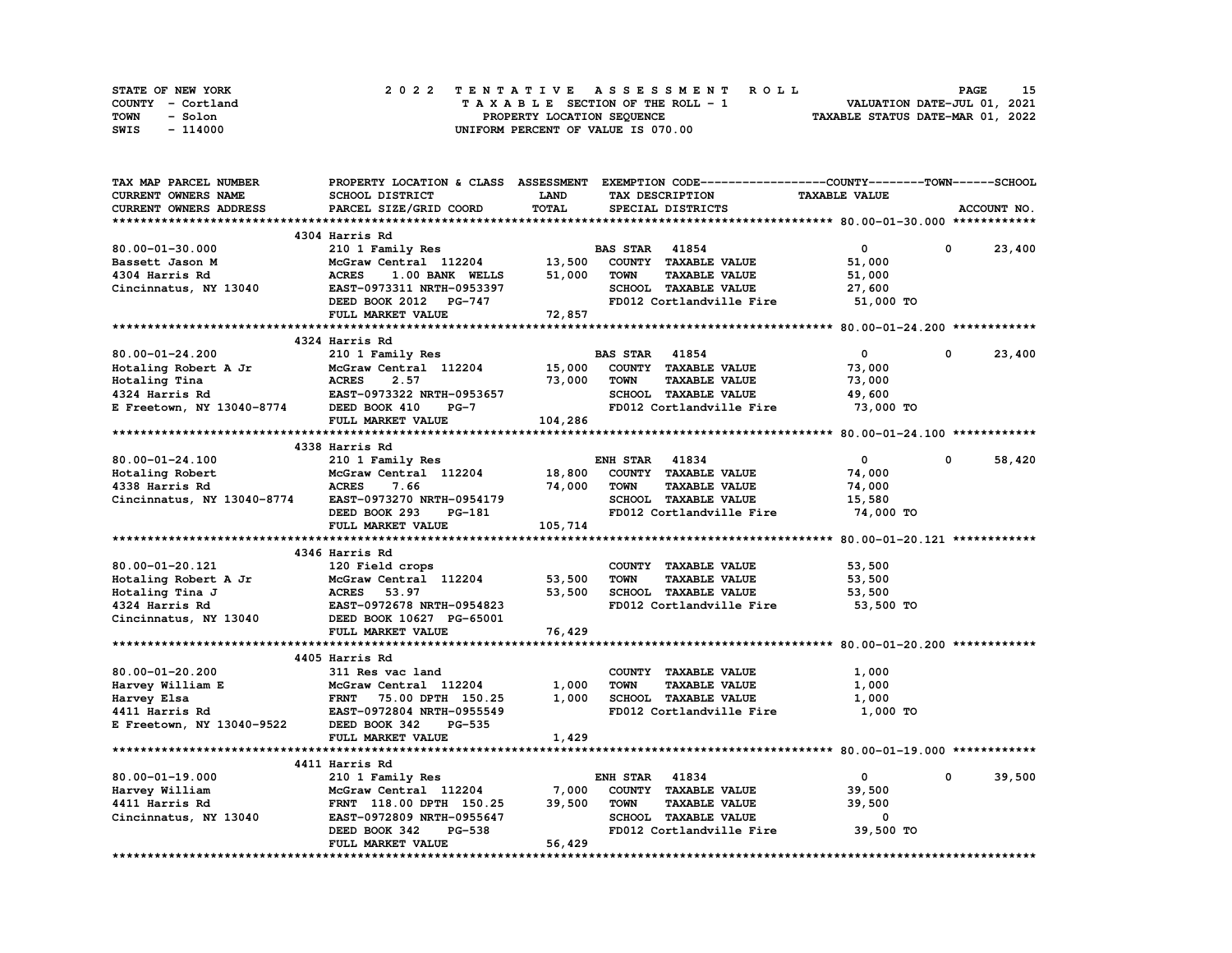| STATE OF NEW YORK | 2022 TENTATIVE ASSESSMENT ROLL     | 15<br><b>PAGE</b>                |
|-------------------|------------------------------------|----------------------------------|
| COUNTY - Cortland | TAXABLE SECTION OF THE ROLL - 1    | VALUATION DATE-JUL 01, 2021      |
| TOWN<br>- Solon   | PROPERTY LOCATION SEQUENCE         | TAXABLE STATUS DATE-MAR 01, 2022 |
| - 114000<br>SWIS  | UNIFORM PERCENT OF VALUE IS 070.00 |                                  |

| TAX MAP PARCEL NUMBER                                                                                                                                                                                                                     | PROPERTY LOCATION & CLASS ASSESSMENT EXEMPTION CODE----------------COUNTY-------TOWN-----SCHOOL |             |                       |                          |                      |            |             |
|-------------------------------------------------------------------------------------------------------------------------------------------------------------------------------------------------------------------------------------------|-------------------------------------------------------------------------------------------------|-------------|-----------------------|--------------------------|----------------------|------------|-------------|
| <b>CURRENT OWNERS NAME</b>                                                                                                                                                                                                                | SCHOOL DISTRICT                                                                                 | <b>LAND</b> | TAX DESCRIPTION       |                          | <b>TAXABLE VALUE</b> |            |             |
| CURRENT OWNERS ADDRESS                                                                                                                                                                                                                    | PARCEL SIZE/GRID COORD                                                                          | TOTAL       | SPECIAL DISTRICTS     |                          |                      |            | ACCOUNT NO. |
|                                                                                                                                                                                                                                           |                                                                                                 |             |                       |                          |                      |            |             |
|                                                                                                                                                                                                                                           | 4304 Harris Rd                                                                                  |             |                       |                          |                      |            |             |
| 80.00-01-30.000                                                                                                                                                                                                                           | 210 1 Family Res                                                                                |             | <b>BAS STAR 41854</b> |                          | $\mathbf{0}$         | $^{\circ}$ | 23,400      |
| Bassett Jason M                                                                                                                                                                                                                           | McGraw Central 112204 13,500                                                                    |             |                       | COUNTY TAXABLE VALUE     | 51,000               |            |             |
| 4304 Harris Rd                                                                                                                                                                                                                            | <b>ACRES</b><br>1.00 BANK WELLS                                                                 | 51,000      | <b>TOWN</b>           | <b>TAXABLE VALUE</b>     | 51,000               |            |             |
| Cincinnatus, NY 13040                                                                                                                                                                                                                     | EAST-0973311 NRTH-0953397                                                                       |             |                       | SCHOOL TAXABLE VALUE     | 27,600               |            |             |
|                                                                                                                                                                                                                                           | DEED BOOK 2012 PG-747                                                                           |             |                       | FD012 Cortlandville Fire | 51,000 TO            |            |             |
|                                                                                                                                                                                                                                           | FULL MARKET VALUE                                                                               | 72,857      |                       |                          |                      |            |             |
|                                                                                                                                                                                                                                           |                                                                                                 |             |                       |                          |                      |            |             |
|                                                                                                                                                                                                                                           | 4324 Harris Rd                                                                                  |             |                       |                          |                      |            |             |
|                                                                                                                                                                                                                                           |                                                                                                 |             | <b>BAS STAR 41854</b> |                          | $\mathbf{0}$         | $^{\circ}$ |             |
| 80.00-01-24.200                                                                                                                                                                                                                           | 210 1 Family Res                                                                                |             |                       |                          |                      |            | 23,400      |
|                                                                                                                                                                                                                                           |                                                                                                 | 15,000      |                       | COUNTY TAXABLE VALUE     | 73,000               |            |             |
|                                                                                                                                                                                                                                           |                                                                                                 | 73,000      | <b>TOWN</b>           | <b>TAXABLE VALUE</b>     | 73,000               |            |             |
|                                                                                                                                                                                                                                           |                                                                                                 |             |                       | SCHOOL TAXABLE VALUE     | 49,600               |            |             |
| Hotaling Robert A Jr and McGraw Central 112204 15,000<br>Hotaling Tina McGraw Central 112204 15,000<br>4324 Harris Rd EAST-0973322 NRTH-0953657<br>E Freetown, NY 13040-8774 DEED BOOK 410 PG-7<br>FIILL MARKET VALUE                     |                                                                                                 |             |                       | FD012 Cortlandville Fire | 73,000 TO            |            |             |
|                                                                                                                                                                                                                                           | FULL MARKET VALUE                                                                               | 104,286     |                       |                          |                      |            |             |
|                                                                                                                                                                                                                                           |                                                                                                 |             |                       |                          |                      |            |             |
|                                                                                                                                                                                                                                           | 4338 Harris Rd                                                                                  |             |                       |                          |                      |            |             |
| 80.00-01-24.100                                                                                                                                                                                                                           | 210 1 Family Res                                                                                |             | <b>ENH STAR 41834</b> |                          | $\overline{0}$       | $^{\circ}$ | 58,420      |
| Hotaling Robert                                                                                                                                                                                                                           | McGraw Central 112204 18,800                                                                    |             |                       | COUNTY TAXABLE VALUE     | 74,000               |            |             |
| 4338 Harris Rd                                                                                                                                                                                                                            | <b>ACRES</b><br>7.66                                                                            | 74,000      | <b>TOWN</b>           | <b>TAXABLE VALUE</b>     | 74,000               |            |             |
| Cincinnatus, NY 13040-8774                                                                                                                                                                                                                | EAST-0973270 NRTH-0954179<br>DEED BOOK 293 PG-181                                               |             |                       | SCHOOL TAXABLE VALUE     | 15,580               |            |             |
|                                                                                                                                                                                                                                           |                                                                                                 |             |                       | FD012 Cortlandville Fire | 74,000 TO            |            |             |
|                                                                                                                                                                                                                                           | FULL MARKET VALUE                                                                               | 105,714     |                       |                          |                      |            |             |
|                                                                                                                                                                                                                                           |                                                                                                 |             |                       |                          |                      |            |             |
|                                                                                                                                                                                                                                           | 4346 Harris Rd                                                                                  |             |                       |                          |                      |            |             |
| 80.00-01-20.121                                                                                                                                                                                                                           | 120 Field crops                                                                                 |             |                       | COUNTY TAXABLE VALUE     | 53,500               |            |             |
| McGraw Central<br>Hotaling Robert A Jr McGraw Central<br>Hotaling Tina J ACRES 53.97<br>A224 Harris Rd EAST-0972678 P                                                                                                                     | McGraw Central 112204 53,500                                                                    |             | <b>TOWN</b>           | <b>TAXABLE VALUE</b>     | 53,500               |            |             |
|                                                                                                                                                                                                                                           |                                                                                                 | 53,500      |                       | SCHOOL TAXABLE VALUE     | 53,500               |            |             |
|                                                                                                                                                                                                                                           | <b>EAST-0972678 NRTH-0954823</b>                                                                |             |                       | FD012 Cortlandville Fire | 53,500 TO            |            |             |
| Cincinnatus, NY 13040 DEED BOOK 10627 PG-65001                                                                                                                                                                                            |                                                                                                 |             |                       |                          |                      |            |             |
|                                                                                                                                                                                                                                           | FULL MARKET VALUE                                                                               | 76,429      |                       |                          |                      |            |             |
|                                                                                                                                                                                                                                           |                                                                                                 |             |                       |                          |                      |            |             |
|                                                                                                                                                                                                                                           | 4405 Harris Rd                                                                                  |             |                       |                          |                      |            |             |
|                                                                                                                                                                                                                                           | 311 Res vac land                                                                                |             |                       |                          |                      |            |             |
| 80.00-01-20.200                                                                                                                                                                                                                           |                                                                                                 |             |                       | COUNTY TAXABLE VALUE     | 1,000                |            |             |
|                                                                                                                                                                                                                                           |                                                                                                 | 1,000       | <b>TOWN</b>           | <b>TAXABLE VALUE</b>     | 1,000                |            |             |
|                                                                                                                                                                                                                                           |                                                                                                 | 1,000       |                       | SCHOOL TAXABLE VALUE     | 1,000                |            |             |
|                                                                                                                                                                                                                                           |                                                                                                 |             |                       | FD012 Cortlandville Fire | 1,000 TO             |            |             |
| 80.00-01-20.200 311 Kes vac land<br>Harvey William E McGraw Central 112204<br>Harvey Elsa FRNT 75.00 DPTH 150.25<br>4411 Harris Rd EAST-0972804 NRTH-0955549<br>E Freetown, NY 13040-9522 DEED BOOK 342<br>DEED BOOK 342<br>DEED BOOK 342 |                                                                                                 |             |                       |                          |                      |            |             |
|                                                                                                                                                                                                                                           | FULL MARKET VALUE                                                                               | 1,429       |                       |                          |                      |            |             |
|                                                                                                                                                                                                                                           |                                                                                                 |             |                       |                          |                      |            |             |
|                                                                                                                                                                                                                                           | 4411 Harris Rd                                                                                  |             |                       |                          |                      |            |             |
| 80.00-01-19.000                                                                                                                                                                                                                           | 210 1 Family Res                                                                                |             | <b>ENH STAR 41834</b> |                          | $\mathbf{0}$         | $^{\circ}$ | 39,500      |
| Harvey William                                                                                                                                                                                                                            |                                                                                                 |             |                       | COUNTY TAXABLE VALUE     | 39,500               |            |             |
| 4411 Harris Rd                                                                                                                                                                                                                            | McGraw Central 112204 7,000<br>FRNT 118.00 DPTH 150.25 39,500                                   |             | <b>TOWN</b>           | <b>TAXABLE VALUE</b>     | 39,500               |            |             |
| Cincinnatus, NY 13040 EAST-0972809 NRTH-0955647                                                                                                                                                                                           |                                                                                                 |             |                       |                          |                      |            |             |
|                                                                                                                                                                                                                                           | DEED BOOK 342<br>PG-538                                                                         |             |                       |                          |                      |            |             |
|                                                                                                                                                                                                                                           | FULL MARKET VALUE                                                                               | 56,429      |                       |                          |                      |            |             |
|                                                                                                                                                                                                                                           |                                                                                                 |             |                       |                          |                      |            |             |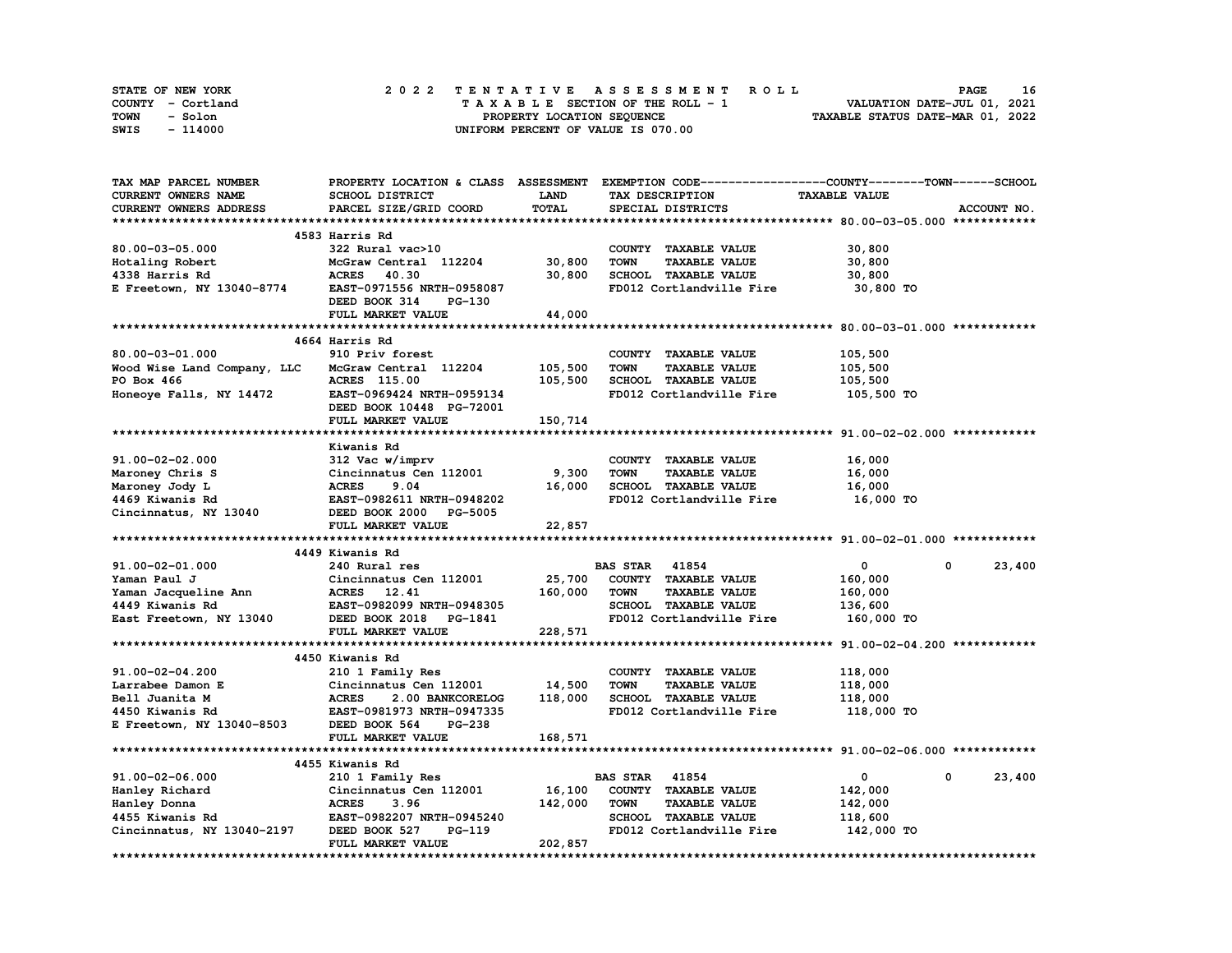| STATE OF NEW YORK | 2022 TENTATIVE ASSESSMENT ROLL     | 16<br><b>PAGE</b>                |
|-------------------|------------------------------------|----------------------------------|
| COUNTY - Cortland | TAXABLE SECTION OF THE ROLL - 1    | VALUATION DATE-JUL 01, 2021      |
| TOWN<br>- Solon   | PROPERTY LOCATION SEQUENCE         | TAXABLE STATUS DATE-MAR 01, 2022 |
| - 114000<br>SWIS  | UNIFORM PERCENT OF VALUE IS 070.00 |                                  |

| TAX MAP PARCEL NUMBER                                                                                                                                                                      |                                                             |             |                                     | PROPERTY LOCATION & CLASS ASSESSMENT EXEMPTION CODE-----------------COUNTY-------TOWN-----SCHOOL |        |
|--------------------------------------------------------------------------------------------------------------------------------------------------------------------------------------------|-------------------------------------------------------------|-------------|-------------------------------------|--------------------------------------------------------------------------------------------------|--------|
| CURRENT OWNERS NAME                                                                                                                                                                        | SCHOOL DISTRICT                                             | <b>LAND</b> | TAX DESCRIPTION                     | <b>TAXABLE VALUE</b>                                                                             |        |
| CURRENT OWNERS ADDRESS                                                                                                                                                                     | PARCEL SIZE/GRID COORD                                      | TOTAL       | SPECIAL DISTRICTS                   | ACCOUNT NO.                                                                                      |        |
|                                                                                                                                                                                            |                                                             |             |                                     |                                                                                                  |        |
|                                                                                                                                                                                            | 4583 Harris Rd                                              |             |                                     |                                                                                                  |        |
| 80.00-03-05.000                                                                                                                                                                            | 322 Rural vac>10                                            |             | COUNTY TAXABLE VALUE                | 30,800                                                                                           |        |
| Hotaling Robert                                                                                                                                                                            | McGraw Central 112204 30,800                                |             | <b>TOWN</b><br><b>TAXABLE VALUE</b> | 30,800                                                                                           |        |
| 4338 Harris Rd                                                                                                                                                                             | <b>ACRES</b> 40.30                                          | 30,800      | SCHOOL TAXABLE VALUE                | 30,800                                                                                           |        |
| E Freetown, NY 13040-8774                                                                                                                                                                  | EAST-0971556 NRTH-0958087                                   |             | FD012 Cortlandville Fire            | 30,800 TO                                                                                        |        |
|                                                                                                                                                                                            | DEED BOOK 314<br>PG-130                                     |             |                                     |                                                                                                  |        |
|                                                                                                                                                                                            |                                                             |             |                                     |                                                                                                  |        |
|                                                                                                                                                                                            | FULL MARKET VALUE                                           | 44,000      |                                     |                                                                                                  |        |
|                                                                                                                                                                                            |                                                             |             |                                     |                                                                                                  |        |
|                                                                                                                                                                                            | 4664 Harris Rd                                              |             |                                     |                                                                                                  |        |
| $80.00 - 03 - 01.000$                                                                                                                                                                      | 910 Priv forest                                             |             | COUNTY TAXABLE VALUE                | 105,500                                                                                          |        |
| Wood Wise Land Company, LLC                                                                                                                                                                | McGraw Central 112204                                       | 105,500     | <b>TOWN</b><br><b>TAXABLE VALUE</b> | 105,500                                                                                          |        |
| PO Box 466                                                                                                                                                                                 | <b>ACRES</b> 115.00                                         | 105,500     | SCHOOL TAXABLE VALUE                | 105,500                                                                                          |        |
| Honeoye Falls, NY 14472                                                                                                                                                                    | <b>EAST-0969424 NRTH-0959134</b>                            |             | FD012 Cortlandville Fire            | 105,500 TO                                                                                       |        |
|                                                                                                                                                                                            | DEED BOOK 10448 PG-72001                                    |             |                                     |                                                                                                  |        |
|                                                                                                                                                                                            | FULL MARKET VALUE                                           | 150,714     |                                     |                                                                                                  |        |
|                                                                                                                                                                                            |                                                             |             |                                     |                                                                                                  |        |
|                                                                                                                                                                                            | Kiwanis Rd                                                  |             |                                     |                                                                                                  |        |
| 91.00-02-02.000                                                                                                                                                                            | 312 Vac w/imprv                                             |             | COUNTY TAXABLE VALUE                | 16,000                                                                                           |        |
| Maroney Chris S                                                                                                                                                                            | Cincinnatus Cen 112001                                      | 9,300       | <b>TOWN</b><br><b>TAXABLE VALUE</b> | 16,000                                                                                           |        |
| Maroney Jody L                                                                                                                                                                             | <b>ACRES</b><br>9.04                                        | 16,000      | SCHOOL TAXABLE VALUE                | 16,000                                                                                           |        |
| 4469 Kiwanis Rd                                                                                                                                                                            | EAST-0982611 NRTH-0948202                                   |             | FD012 Cortlandville Fire            | 16,000 TO                                                                                        |        |
| Cincinnatus, NY 13040                                                                                                                                                                      | DEED BOOK 2000 PG-5005                                      |             |                                     |                                                                                                  |        |
|                                                                                                                                                                                            | FULL MARKET VALUE                                           | 22,857      |                                     |                                                                                                  |        |
|                                                                                                                                                                                            |                                                             |             |                                     |                                                                                                  |        |
|                                                                                                                                                                                            | 4449 Kiwanis Rd                                             |             |                                     |                                                                                                  |        |
| 91.00-02-01.000                                                                                                                                                                            | 240 Rural res                                               |             | <b>BAS STAR 41854</b>               | $\overline{0}$<br>$\mathbf{0}$                                                                   | 23,400 |
|                                                                                                                                                                                            |                                                             |             | 25,700 COUNTY TAXABLE VALUE         | 160,000                                                                                          |        |
|                                                                                                                                                                                            |                                                             | 160,000     | TOWN<br><b>TAXABLE VALUE</b>        | 160,000                                                                                          |        |
|                                                                                                                                                                                            |                                                             |             | SCHOOL TAXABLE VALUE                | 136,600                                                                                          |        |
| 91.00-02-01.000<br>Yaman Jacqueline Ann<br>Yaman Jacqueline Ann<br>Cincinnatus Company<br>ACRES 12.41<br>EAST-0982099 NRTH-0948305<br>$R = 200\% \times 2018$<br>CAST-0982099 NRTH-0948305 |                                                             |             | FD012 Cortlandville Fire            | 160,000 TO                                                                                       |        |
| $\frac{1}{2}$ East Freetown, NY 13040<br>DEED BOOK 2018 PG-1841                                                                                                                            | FULL MARKET VALUE                                           | 228,571     |                                     |                                                                                                  |        |
|                                                                                                                                                                                            |                                                             |             |                                     |                                                                                                  |        |
|                                                                                                                                                                                            |                                                             |             |                                     |                                                                                                  |        |
|                                                                                                                                                                                            |                                                             |             |                                     |                                                                                                  |        |
|                                                                                                                                                                                            | 4450 Kiwanis Rd                                             |             |                                     |                                                                                                  |        |
| 91.00-02-04.200                                                                                                                                                                            | 210 1 Family Res                                            |             | COUNTY TAXABLE VALUE                | 118,000                                                                                          |        |
| Larrabee Damon E                                                                                                                                                                           | Cincinnatus Cen 112001                                      | 14,500      | <b>TOWN</b><br><b>TAXABLE VALUE</b> | 118,000                                                                                          |        |
| Bell Juanita M                                                                                                                                                                             |                                                             | 118,000     | SCHOOL TAXABLE VALUE                | 118,000                                                                                          |        |
| 4450 Kiwanis Rd                                                                                                                                                                            | <b>ACRES 2.00 BANKCORELOG<br/>EAST-0981973 NRTH-0947335</b> |             | FD012 Cortlandville Fire            | 118,000 TO                                                                                       |        |
| E Freetown, NY 13040-8503 DEED BOOK 564                                                                                                                                                    | PG-238                                                      |             |                                     |                                                                                                  |        |
|                                                                                                                                                                                            | FULL MARKET VALUE                                           | 168,571     |                                     |                                                                                                  |        |
|                                                                                                                                                                                            |                                                             |             |                                     |                                                                                                  |        |
|                                                                                                                                                                                            | 4455 Kiwanis Rd                                             |             |                                     |                                                                                                  |        |
| 91.00-02-06.000                                                                                                                                                                            | 210 1 Family Res                                            |             | <b>BAS STAR 41854</b>               | $\mathbf 0$<br>$\mathbf{0}$                                                                      | 23,400 |
|                                                                                                                                                                                            | Cincinnatus Cen 112001 16,100                               |             | COUNTY TAXABLE VALUE                | 142,000                                                                                          |        |
|                                                                                                                                                                                            |                                                             | 142,000     | <b>TOWN</b><br><b>TAXABLE VALUE</b> | 142,000                                                                                          |        |
|                                                                                                                                                                                            |                                                             |             | SCHOOL TAXABLE VALUE                | 118,600                                                                                          |        |
| Cincinnatus, NY 13040-2197 DEED BOOK 527                                                                                                                                                   | PG-119                                                      |             | FD012 Cortlandville Fire            | 142,000 TO                                                                                       |        |
|                                                                                                                                                                                            | FULL MARKET VALUE                                           | 202,857     |                                     |                                                                                                  |        |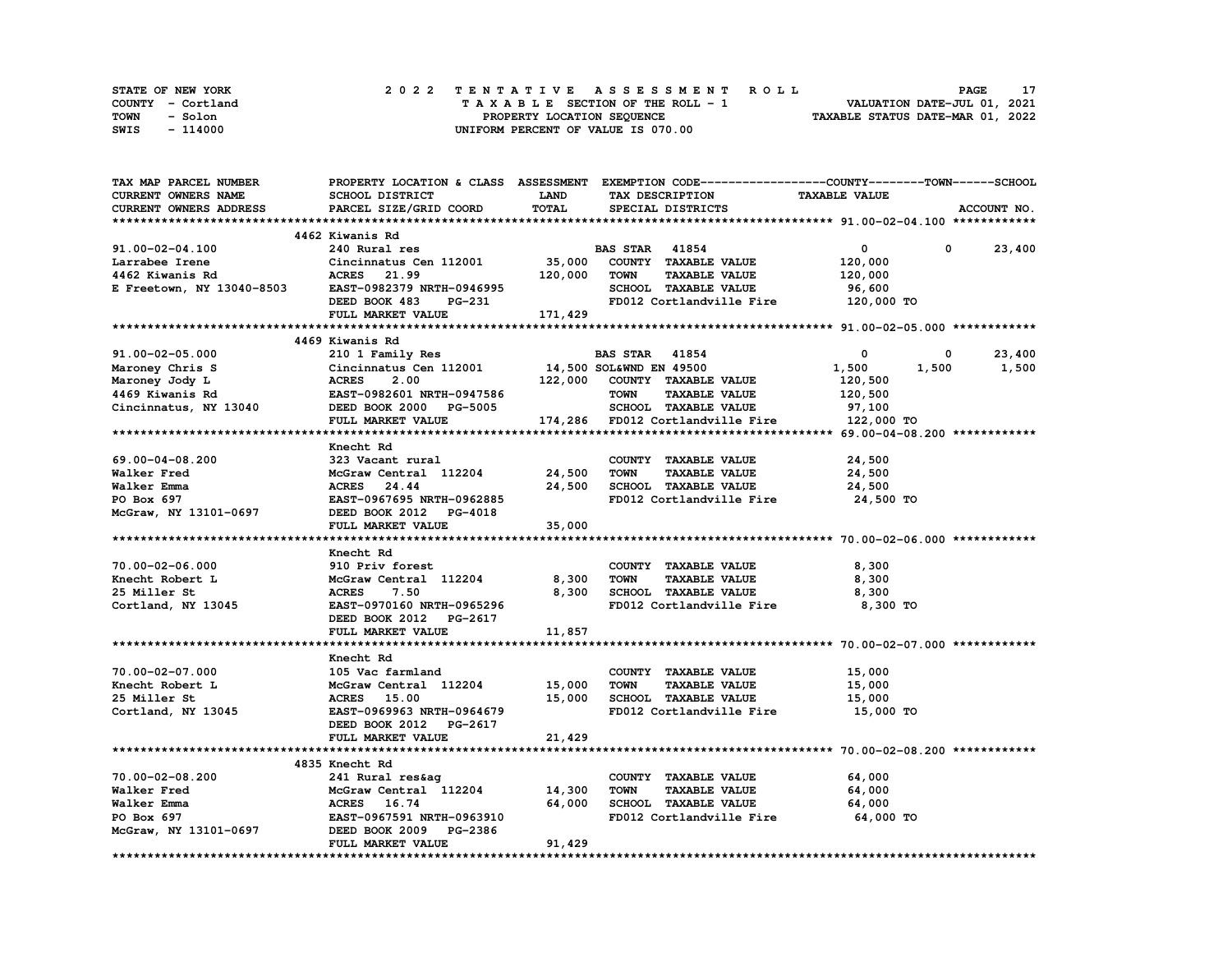| STATE OF NEW YORK | 2022 TENTATIVE ASSESSMENT ROLL     | <b>PAGE</b>                      |
|-------------------|------------------------------------|----------------------------------|
| COUNTY - Cortland | TAXABLE SECTION OF THE ROLL - 1    | VALUATION DATE-JUL 01, 2021      |
| TOWN<br>- Solon   | PROPERTY LOCATION SEQUENCE         | TAXABLE STATUS DATE-MAR 01, 2022 |
| SWIS<br>- 114000  | UNIFORM PERCENT OF VALUE IS 070.00 |                                  |

| <b>TAX MAP PARCEL NUMBER</b>                                                                                                                                                                                                                                 | PROPERTY LOCATION & CLASS ASSESSMENT EXEMPTION CODE----------------COUNTY-------TOWN------SCHOOL                                    |             |                                                                                 |                      |                           |
|--------------------------------------------------------------------------------------------------------------------------------------------------------------------------------------------------------------------------------------------------------------|-------------------------------------------------------------------------------------------------------------------------------------|-------------|---------------------------------------------------------------------------------|----------------------|---------------------------|
| CURRENT OWNERS NAME                                                                                                                                                                                                                                          | SCHOOL DISTRICT                                                                                                                     | <b>LAND</b> | TAX DESCRIPTION                                                                 | <b>TAXABLE VALUE</b> |                           |
| <b>CURRENT OWNERS ADDRESS</b>                                                                                                                                                                                                                                | PARCEL SIZE/GRID COORD                                                                                                              | TOTAL       | SPECIAL DISTRICTS                                                               |                      | ACCOUNT NO.               |
|                                                                                                                                                                                                                                                              |                                                                                                                                     |             |                                                                                 |                      |                           |
|                                                                                                                                                                                                                                                              | 4462 Kiwanis Rd                                                                                                                     |             |                                                                                 |                      |                           |
| 91.00-02-04.100                                                                                                                                                                                                                                              | 240 Rural res                                                                                                                       |             | <b>BAS STAR 41854</b>                                                           | $\mathbf{0}$         | $\mathbf{0}$<br>23,400    |
| Extrable Irene Cincinnatus Cen 112001 35,000 COUNTY TAXABLE VALUE<br>4462 Kiwanis Rd ACRES 21.99 120,000 TOWN TAXABLE VALUE<br>E Freetown, NY 13040-8503 EAST-0982379 NRTH-0946995 SCHOOL TAXABLE VALUE<br>FULL MARKET VALUE 171,429                         |                                                                                                                                     |             |                                                                                 | 120,000              |                           |
|                                                                                                                                                                                                                                                              |                                                                                                                                     |             |                                                                                 | 120,000              |                           |
|                                                                                                                                                                                                                                                              |                                                                                                                                     |             |                                                                                 | 96,600               |                           |
|                                                                                                                                                                                                                                                              |                                                                                                                                     |             | FD012 Cortlandville Fire 120,000 TO                                             |                      |                           |
|                                                                                                                                                                                                                                                              |                                                                                                                                     |             |                                                                                 |                      |                           |
|                                                                                                                                                                                                                                                              |                                                                                                                                     |             |                                                                                 |                      |                           |
|                                                                                                                                                                                                                                                              | 4469 Kiwanis Rd                                                                                                                     |             |                                                                                 |                      |                           |
| 91.00-02-05.000 2101 Family Res BAS STAR 41854 0<br>Maroney Chris S Cincinnatus Cen 112001 14,500 SOL&WND EN 49500 1,500 1<br>Maroney Jody L ACRES 2.00 122,000 COUNTY TAXABLE VALUE 120,500<br>4469 Kiwanis Rd EAST-0982601 NRTH-09                         |                                                                                                                                     |             |                                                                                 |                      | 23,400                    |
|                                                                                                                                                                                                                                                              |                                                                                                                                     |             |                                                                                 |                      | $0$ 23,400<br>1,500 1,500 |
|                                                                                                                                                                                                                                                              |                                                                                                                                     |             |                                                                                 |                      |                           |
|                                                                                                                                                                                                                                                              |                                                                                                                                     |             |                                                                                 |                      |                           |
|                                                                                                                                                                                                                                                              |                                                                                                                                     |             |                                                                                 |                      |                           |
|                                                                                                                                                                                                                                                              |                                                                                                                                     |             |                                                                                 |                      |                           |
|                                                                                                                                                                                                                                                              |                                                                                                                                     |             |                                                                                 |                      |                           |
|                                                                                                                                                                                                                                                              | Knecht Rd                                                                                                                           |             |                                                                                 |                      |                           |
| 69.00-04-08.200                                                                                                                                                                                                                                              |                                                                                                                                     |             | COUNTY TAXABLE VALUE                                                            | 24,500               |                           |
| Walker Fred                                                                                                                                                                                                                                                  |                                                                                                                                     |             | <b>TOWN</b><br><b>TAXABLE VALUE</b>                                             | 24,500               |                           |
| Walker Emma                                                                                                                                                                                                                                                  | 323 Vacant rural<br>McGraw Central 112204 24,500<br>ACRES 24.44 24,500<br>EAST-0967695 NRTH-0962885<br>-0697 DEED BOOK 2012 PG-4018 |             | 24,500 SCHOOL TAXABLE VALUE                                                     | 24,500               |                           |
| Walker Emma<br>PO Box 697<br>McGraw, NY 13101-0697                                                                                                                                                                                                           |                                                                                                                                     |             | FD012 Cortlandville Fire 24,500 TO                                              |                      |                           |
|                                                                                                                                                                                                                                                              |                                                                                                                                     |             |                                                                                 |                      |                           |
|                                                                                                                                                                                                                                                              | FULL MARKET VALUE                                                                                                                   | 35,000      |                                                                                 |                      |                           |
|                                                                                                                                                                                                                                                              |                                                                                                                                     |             |                                                                                 |                      |                           |
| *********************<br>70.00-02-06.000 910 Pri<br>Expedit Robert L<br>The Miller St<br>The Miller St<br>The MCGraw<br>The MCGraw<br>DEED PRIST<br>DEED PRIST<br>THE DEED PRIST<br>THE TRIST<br>THE PRIST<br>THE PRIST<br>THE PRIST<br>THE PRIST<br>THE PRI | Knecht Rd                                                                                                                           |             |                                                                                 |                      |                           |
|                                                                                                                                                                                                                                                              | 910 Priv forest                                                                                                                     |             | COUNTY TAXABLE VALUE                                                            | 8,300                |                           |
|                                                                                                                                                                                                                                                              |                                                                                                                                     |             | TOWN<br><b>TAXABLE VALUE</b>                                                    | 8,300                |                           |
|                                                                                                                                                                                                                                                              | McGraw Central $112204$ 8,300<br>7.50                                                                                               |             | 8,300 SCHOOL TAXABLE VALUE                                                      | 8,300                |                           |
|                                                                                                                                                                                                                                                              | <b>EAST-0970160 NRTH-0965296</b>                                                                                                    |             | FD012 Cortlandville Fire                                                        | 8,300 TO             |                           |
|                                                                                                                                                                                                                                                              |                                                                                                                                     |             |                                                                                 |                      |                           |
|                                                                                                                                                                                                                                                              | DEED BOOK 2012 PG-2617                                                                                                              |             |                                                                                 |                      |                           |
|                                                                                                                                                                                                                                                              | FULL MARKET VALUE                                                                                                                   | 11,857      |                                                                                 |                      |                           |
|                                                                                                                                                                                                                                                              |                                                                                                                                     |             |                                                                                 |                      |                           |
|                                                                                                                                                                                                                                                              | Knecht Rd                                                                                                                           |             |                                                                                 |                      |                           |
| 70.00-02-07.000 105 Vac farmland<br>Knecht Robert L McGraw Central 112204 15,000<br>25 Miller St RCRES 15.00 15,000<br>Cortland, NY 13045 EAST-0969963 NRTH-0964679                                                                                          |                                                                                                                                     |             | COUNTY TAXABLE VALUE                                                            | 15,000               |                           |
|                                                                                                                                                                                                                                                              |                                                                                                                                     |             | TOWN<br><b>TAXABLE VALUE</b>                                                    | 15,000               |                           |
|                                                                                                                                                                                                                                                              |                                                                                                                                     |             | 15,000 SCHOOL TAXABLE VALUE<br>SCHOOL TAXABLE VALUE<br>FD012 Cortlandville Fire | 15,000               |                           |
|                                                                                                                                                                                                                                                              |                                                                                                                                     |             |                                                                                 | 15,000 TO            |                           |
|                                                                                                                                                                                                                                                              | DEED BOOK 2012 PG-2617                                                                                                              |             |                                                                                 |                      |                           |
|                                                                                                                                                                                                                                                              | FULL MARKET VALUE                                                                                                                   | 21,429      |                                                                                 |                      |                           |
|                                                                                                                                                                                                                                                              |                                                                                                                                     |             |                                                                                 |                      |                           |
|                                                                                                                                                                                                                                                              | 4835 Knecht Rd                                                                                                                      |             |                                                                                 |                      |                           |
| 70.00-02-08.200<br>Walker Fred McGraw Central 112204 14,300 TOWN TAXABLE VALUE<br>Walker Emma ACRES 16.74 64,000 SCHOOL TAXABLE VALUE<br>PO Box 697 EAST-0967591 NRTH-0963910 FD012 Cortlandville Fire<br>McGraw, NY 13101-0697 DEED                         |                                                                                                                                     |             | COUNTY TAXABLE VALUE                                                            | 64,000               |                           |
|                                                                                                                                                                                                                                                              |                                                                                                                                     |             | <b>TAXABLE VALUE</b>                                                            | 64,000               |                           |
|                                                                                                                                                                                                                                                              |                                                                                                                                     |             |                                                                                 | 64,000               |                           |
|                                                                                                                                                                                                                                                              |                                                                                                                                     |             | FD012 Cortlandville Fire 64,000 TO                                              |                      |                           |
|                                                                                                                                                                                                                                                              |                                                                                                                                     |             |                                                                                 |                      |                           |
|                                                                                                                                                                                                                                                              | FULL MARKET VALUE                                                                                                                   | 91,429      |                                                                                 |                      |                           |
|                                                                                                                                                                                                                                                              |                                                                                                                                     |             |                                                                                 |                      |                           |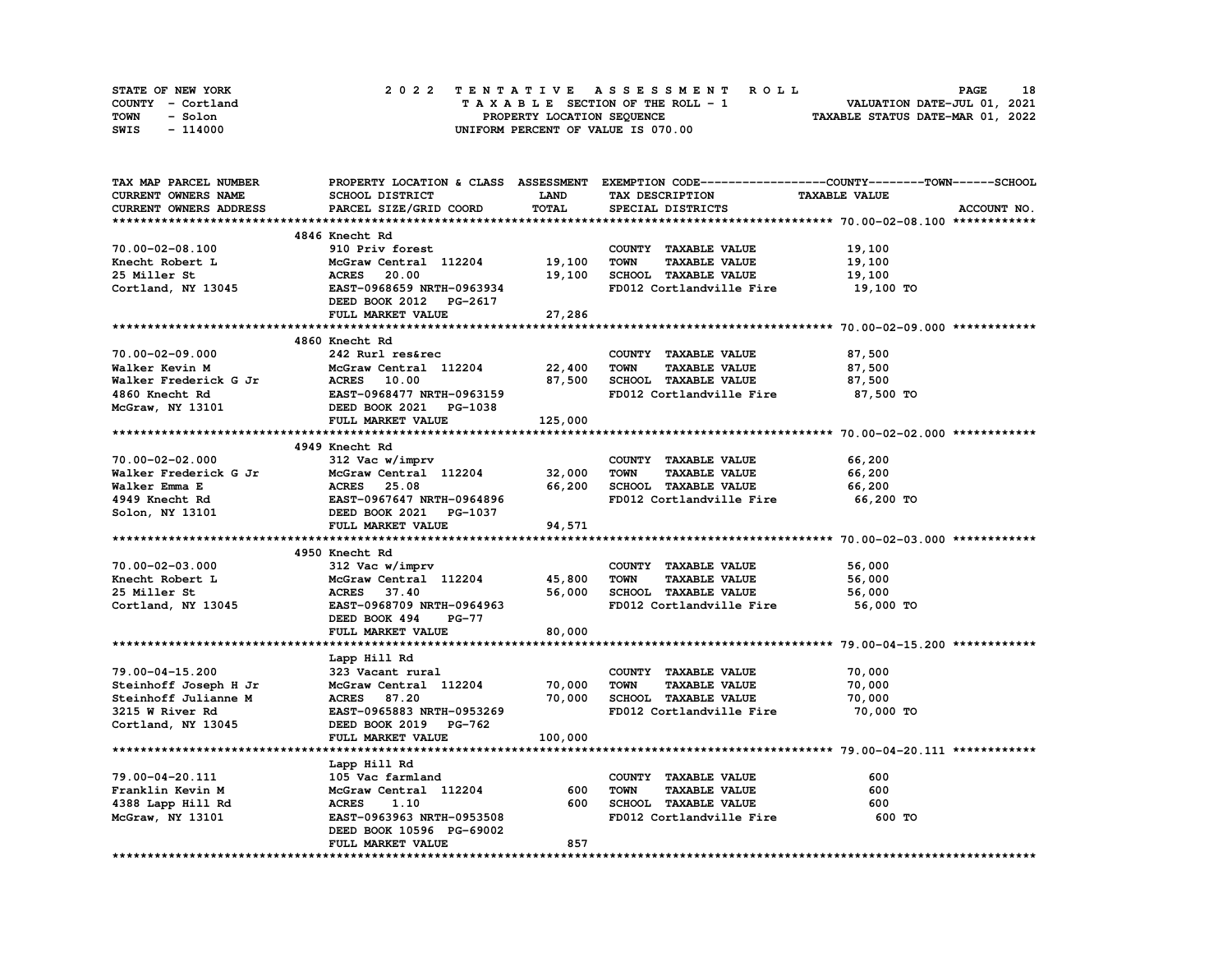| STATE OF NEW YORK | 2022 TENTATIVE ASSESSMENT ROLL     | 18<br><b>PAGE</b>                |
|-------------------|------------------------------------|----------------------------------|
| COUNTY - Cortland | TAXABLE SECTION OF THE ROLL - 1    | VALUATION DATE-JUL 01, 2021      |
| TOWN<br>- Solon   | PROPERTY LOCATION SEOUENCE         | TAXABLE STATUS DATE-MAR 01, 2022 |
| - 114000<br>SWIS  | UNIFORM PERCENT OF VALUE IS 070.00 |                                  |

| TAX MAP PARCEL NUMBER                                                                                                                                                                  |                                |             | PROPERTY LOCATION & CLASS ASSESSMENT EXEMPTION CODE----------------COUNTY-------TOWN------SCHOOL |                      |             |
|----------------------------------------------------------------------------------------------------------------------------------------------------------------------------------------|--------------------------------|-------------|--------------------------------------------------------------------------------------------------|----------------------|-------------|
| <b>CURRENT OWNERS NAME</b>                                                                                                                                                             | SCHOOL DISTRICT                | <b>LAND</b> | TAX DESCRIPTION                                                                                  | <b>TAXABLE VALUE</b> |             |
| CURRENT OWNERS ADDRESS                                                                                                                                                                 | PARCEL SIZE/GRID COORD         | TOTAL       | SPECIAL DISTRICTS                                                                                |                      | ACCOUNT NO. |
|                                                                                                                                                                                        |                                |             |                                                                                                  |                      |             |
|                                                                                                                                                                                        | 4846 Knecht Rd                 |             |                                                                                                  |                      |             |
| 70.00-02-08.100                                                                                                                                                                        | 910 Priv forest                |             | COUNTY TAXABLE VALUE                                                                             | 19,100               |             |
| Knecht Robert L                                                                                                                                                                        | McGraw Central 112204 19,100   |             | TOWN<br><b>TAXABLE VALUE</b>                                                                     | 19,100               |             |
| 25 Miller St                                                                                                                                                                           | McGraw Central<br>ACRES 20.00  | 19,100      | SCHOOL TAXABLE VALUE                                                                             | 19,100               |             |
|                                                                                                                                                                                        |                                |             |                                                                                                  |                      |             |
| Cortland, NY 13045                                                                                                                                                                     | EAST-0968659 NRTH-0963934      |             | FD012 Cortlandville Fire 19,100 TO                                                               |                      |             |
|                                                                                                                                                                                        | DEED BOOK 2012 PG-2617         |             |                                                                                                  |                      |             |
|                                                                                                                                                                                        | FULL MARKET VALUE              | 27,286      |                                                                                                  |                      |             |
|                                                                                                                                                                                        |                                |             |                                                                                                  |                      |             |
|                                                                                                                                                                                        | 4860 Knecht Rd                 |             |                                                                                                  |                      |             |
| 70.00-02-09.000                                                                                                                                                                        | 242 Rurl res&rec               |             | COUNTY TAXABLE VALUE                                                                             | 87,500               |             |
| Walker Kevin M                                                                                                                                                                         | McGraw Central 112204          | 22,400      | <b>TOWN</b><br><b>TAXABLE VALUE</b>                                                              | 87,500               |             |
| Walker Kevin M<br>Walker Frederick G Jr (Mark 2001)<br>4860 Knecht Rd (Mark 2021)<br>McGraw, NY 13101 (Mark 2021)<br>EED BOOK 2021 PG-1038<br>FULL MARKET VALUE (MARKET VALUE 125,000) |                                | 87,500      | SCHOOL TAXABLE VALUE                                                                             | 87,500               |             |
|                                                                                                                                                                                        |                                |             | FD012 Cortlandville Fire                                                                         | 87,500 TO            |             |
|                                                                                                                                                                                        |                                |             |                                                                                                  |                      |             |
|                                                                                                                                                                                        |                                |             |                                                                                                  |                      |             |
|                                                                                                                                                                                        |                                |             |                                                                                                  |                      |             |
|                                                                                                                                                                                        |                                |             |                                                                                                  |                      |             |
|                                                                                                                                                                                        |                                |             | COUNTY TAXABLE VALUE                                                                             | 66,200               |             |
|                                                                                                                                                                                        | $McGraw Central$ 112204 32,000 |             | <b>TOWN</b>                                                                                      |                      |             |
|                                                                                                                                                                                        |                                |             | <b>TAXABLE VALUE</b>                                                                             | 66,200               |             |
|                                                                                                                                                                                        |                                | 66,200      | SCHOOL TAXABLE VALUE                                                                             | 66,200               |             |
|                                                                                                                                                                                        |                                |             | FD012 Cortlandville Fire                                                                         | 66,200 TO            |             |
|                                                                                                                                                                                        |                                |             |                                                                                                  |                      |             |
|                                                                                                                                                                                        |                                | 94,571      |                                                                                                  |                      |             |
|                                                                                                                                                                                        |                                |             |                                                                                                  |                      |             |
|                                                                                                                                                                                        | 4950 Knecht Rd                 |             |                                                                                                  |                      |             |
| 70.00-02-03.000                                                                                                                                                                        | 312 Vac w/imprv                |             | COUNTY TAXABLE VALUE                                                                             | 56,000               |             |
| Knecht Robert L                                                                                                                                                                        | McGraw Central 112204 45,800   |             | TOWN<br><b>TAXABLE VALUE</b>                                                                     | 56,000               |             |
| 25 Miller St                                                                                                                                                                           | ACRES 37.40                    | 56,000      | SCHOOL TAXABLE VALUE                                                                             | 56,000               |             |
| Cortland, NY 13045                                                                                                                                                                     | EAST-0968709 NRTH-0964963      |             | FD012 Cortlandville Fire 56,000 TO                                                               |                      |             |
|                                                                                                                                                                                        | DEED BOOK 494<br><b>PG-77</b>  |             |                                                                                                  |                      |             |
|                                                                                                                                                                                        | FULL MARKET VALUE              | 80,000      |                                                                                                  |                      |             |
|                                                                                                                                                                                        |                                |             |                                                                                                  |                      |             |
|                                                                                                                                                                                        | Lapp Hill Rd                   |             |                                                                                                  |                      |             |
| 79.00-04-15.200                                                                                                                                                                        | 323 Vacant rural               |             | COUNTY TAXABLE VALUE                                                                             | 70,000               |             |
|                                                                                                                                                                                        |                                |             |                                                                                                  |                      |             |
| Steinhoff Joseph H Jr                                                                                                                                                                  | McGraw Central 112204 70,000   |             | <b>TOWN</b><br><b>TAXABLE VALUE</b>                                                              | 70,000               |             |
| Steinhoff Julianne M                                                                                                                                                                   | <b>ACRES</b> 87.20             | 70,000      | SCHOOL TAXABLE VALUE                                                                             | 70,000               |             |
| 3215 W River Rd                                                                                                                                                                        | EAST-0965883 NRTH-0953269      |             | FD012 Cortlandville Fire                                                                         | 70,000 TO            |             |
| Cortland, NY 13045                                                                                                                                                                     | DEED BOOK 2019 PG-762          |             |                                                                                                  |                      |             |
|                                                                                                                                                                                        | FULL MARKET VALUE              | 100,000     |                                                                                                  |                      |             |
|                                                                                                                                                                                        |                                |             |                                                                                                  |                      |             |
|                                                                                                                                                                                        | Lapp Hill Rd                   |             |                                                                                                  |                      |             |
| 79.00-04-20.111                                                                                                                                                                        | 105 Vac farmland               |             | COUNTY TAXABLE VALUE                                                                             | 600                  |             |
| Franklin Kevin M                                                                                                                                                                       | McGraw Central 112204          | 600         | <b>TOWN</b><br><b>TAXABLE VALUE</b>                                                              | 600                  |             |
| 4388 Lapp Hill Rd                                                                                                                                                                      | <b>ACRES</b><br>1.10           | 600         | SCHOOL TAXABLE VALUE                                                                             | 600                  |             |
| McGraw, NY 13101                                                                                                                                                                       | EAST-0963963 NRTH-0953508      |             | FD012 Cortlandville Fire                                                                         | 600 TO               |             |
|                                                                                                                                                                                        | DEED BOOK 10596 PG-69002       |             |                                                                                                  |                      |             |
|                                                                                                                                                                                        | FULL MARKET VALUE              | 857         |                                                                                                  |                      |             |
|                                                                                                                                                                                        |                                |             |                                                                                                  |                      |             |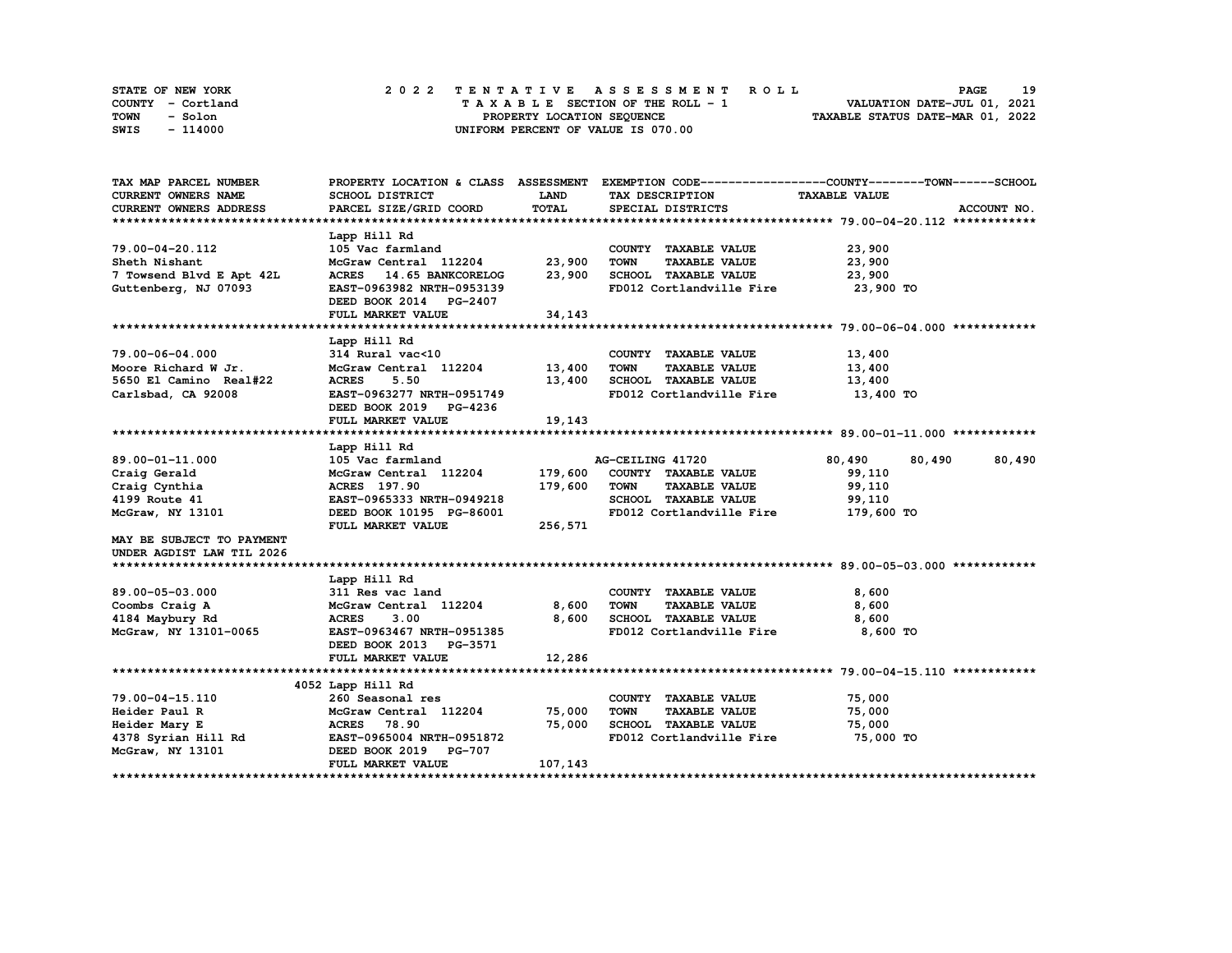| STATE OF NEW YORK | 2022 TENTATIVE ASSESSMENT ROLL     | 19<br><b>PAGE</b>                |
|-------------------|------------------------------------|----------------------------------|
| COUNTY - Cortland | TAXABLE SECTION OF THE ROLL - 1    | VALUATION DATE-JUL 01, 2021      |
| TOWN<br>- Solon   | PROPERTY LOCATION SEQUENCE         | TAXABLE STATUS DATE-MAR 01, 2022 |
| - 114000<br>SWIS  | UNIFORM PERCENT OF VALUE IS 070.00 |                                  |

| <b>LAND</b><br><b>CURRENT OWNERS NAME</b><br>SCHOOL DISTRICT<br>TAX DESCRIPTION<br><b>TAXABLE VALUE</b><br>TOTAL<br><b>CURRENT OWNERS ADDRESS</b><br>PARCEL SIZE/GRID COORD<br>ACCOUNT NO.<br>SPECIAL DISTRICTS<br>Lapp Hill Rd<br>23,900<br>79.00-04-20.112<br>105 Vac farmland<br>COUNTY TAXABLE VALUE<br>McGraw Central 112204<br>23,900<br><b>TOWN</b><br><b>TAXABLE VALUE</b><br>23,900<br>Sheth Nishant<br>23,900<br>SCHOOL TAXABLE VALUE<br>7 Towsend Blvd E Apt 42L<br>23,900<br>ACRES 14.65 BANKCORELOG<br>FD012 Cortlandville Fire<br>23,900 TO<br>Guttenberg, NJ 07093<br>EAST-0963982 NRTH-0953139<br>DEED BOOK 2014 PG-2407<br>FULL MARKET VALUE<br>34,143<br>Lapp Hill Rd<br>79.00-06-04.000<br>314 Rural vac<10<br>COUNTY TAXABLE VALUE<br>13,400<br>McGraw Central 112204<br>13,400<br>Moore Richard W Jr.<br><b>TOWN</b><br><b>TAXABLE VALUE</b><br>13,400<br>SCHOOL TAXABLE VALUE<br>5650 El Camino Real#22<br><b>ACRES</b><br>5.50<br>13,400<br>13,400<br>Carlsbad, CA 92008<br>FD012 Cortlandville Fire<br>EAST-0963277 NRTH-0951749<br>13,400 TO<br>DEED BOOK 2019 PG-4236<br>19,143<br>FULL MARKET VALUE<br>Lapp Hill Rd<br>89.00-01-11.000<br>105 Vac farmland<br>AG-CEILING 41720<br>80,490<br>80,490<br>80,490<br>179,600<br>Craig Gerald<br>McGraw Central 112204<br>COUNTY TAXABLE VALUE<br>99,110<br>179,600<br>Craig Cynthia<br>ACRES 197.90<br><b>TOWN</b><br><b>TAXABLE VALUE</b><br>99,110<br>4199 Route 41<br>SCHOOL TAXABLE VALUE<br>EAST-0965333 NRTH-0949218<br>99,110<br>FD012 Cortlandville Fire<br>179,600 TO<br>McGraw, NY 13101<br>DEED BOOK 10195 PG-86001<br>FULL MARKET VALUE<br>256,571<br>MAY BE SUBJECT TO PAYMENT<br>UNDER AGDIST LAW TIL 2026<br>Lapp Hill Rd<br>89.00-05-03.000<br>311 Res vac land<br>COUNTY TAXABLE VALUE<br>8,600<br>McGraw Central 112204 8,600<br><b>TOWN</b><br><b>TAXABLE VALUE</b><br>8,600<br>Coombs Craig A<br><b>ACRES</b><br>8,600<br>SCHOOL TAXABLE VALUE<br>8,600<br>3.00<br>4184 Maybury Rd<br>FD012 Cortlandville Fire<br>8,600 TO<br>McGraw, NY 13101-0065<br>EAST-0963467 NRTH-0951385<br>DEED BOOK 2013 PG-3571<br>12,286<br>FULL MARKET VALUE<br>4052 Lapp Hill Rd<br>79.00-04-15.110<br>260 Seasonal res<br>COUNTY TAXABLE VALUE<br>75,000<br>75,000<br>McGraw Central 112204<br><b>TOWN</b><br><b>TAXABLE VALUE</b><br>75,000<br>Heider Paul R<br>75,000<br>SCHOOL TAXABLE VALUE<br>Heider Mary E<br>75,000<br>ACRES 78.90<br>4378 Syrian Hill Rd<br>EAST-0965004 NRTH-0951872<br>FD012 Cortlandville Fire<br>75,000 TO<br>DEED BOOK 2019 PG-707<br>McGraw, NY 13101<br>107,143<br>FULL MARKET VALUE | TAX MAP PARCEL NUMBER |  | PROPERTY LOCATION & CLASS ASSESSMENT EXEMPTION CODE----------------COUNTY-------TOWN-----SCHOOL |
|----------------------------------------------------------------------------------------------------------------------------------------------------------------------------------------------------------------------------------------------------------------------------------------------------------------------------------------------------------------------------------------------------------------------------------------------------------------------------------------------------------------------------------------------------------------------------------------------------------------------------------------------------------------------------------------------------------------------------------------------------------------------------------------------------------------------------------------------------------------------------------------------------------------------------------------------------------------------------------------------------------------------------------------------------------------------------------------------------------------------------------------------------------------------------------------------------------------------------------------------------------------------------------------------------------------------------------------------------------------------------------------------------------------------------------------------------------------------------------------------------------------------------------------------------------------------------------------------------------------------------------------------------------------------------------------------------------------------------------------------------------------------------------------------------------------------------------------------------------------------------------------------------------------------------------------------------------------------------------------------------------------------------------------------------------------------------------------------------------------------------------------------------------------------------------------------------------------------------------------------------------------------------------------------------------------------------------------------------------------------------------------------------------------------------------------------------------------------------------------------------------------------------------------------------------------------------------------------|-----------------------|--|-------------------------------------------------------------------------------------------------|
|                                                                                                                                                                                                                                                                                                                                                                                                                                                                                                                                                                                                                                                                                                                                                                                                                                                                                                                                                                                                                                                                                                                                                                                                                                                                                                                                                                                                                                                                                                                                                                                                                                                                                                                                                                                                                                                                                                                                                                                                                                                                                                                                                                                                                                                                                                                                                                                                                                                                                                                                                                                              |                       |  |                                                                                                 |
|                                                                                                                                                                                                                                                                                                                                                                                                                                                                                                                                                                                                                                                                                                                                                                                                                                                                                                                                                                                                                                                                                                                                                                                                                                                                                                                                                                                                                                                                                                                                                                                                                                                                                                                                                                                                                                                                                                                                                                                                                                                                                                                                                                                                                                                                                                                                                                                                                                                                                                                                                                                              |                       |  |                                                                                                 |
|                                                                                                                                                                                                                                                                                                                                                                                                                                                                                                                                                                                                                                                                                                                                                                                                                                                                                                                                                                                                                                                                                                                                                                                                                                                                                                                                                                                                                                                                                                                                                                                                                                                                                                                                                                                                                                                                                                                                                                                                                                                                                                                                                                                                                                                                                                                                                                                                                                                                                                                                                                                              |                       |  |                                                                                                 |
|                                                                                                                                                                                                                                                                                                                                                                                                                                                                                                                                                                                                                                                                                                                                                                                                                                                                                                                                                                                                                                                                                                                                                                                                                                                                                                                                                                                                                                                                                                                                                                                                                                                                                                                                                                                                                                                                                                                                                                                                                                                                                                                                                                                                                                                                                                                                                                                                                                                                                                                                                                                              |                       |  |                                                                                                 |
|                                                                                                                                                                                                                                                                                                                                                                                                                                                                                                                                                                                                                                                                                                                                                                                                                                                                                                                                                                                                                                                                                                                                                                                                                                                                                                                                                                                                                                                                                                                                                                                                                                                                                                                                                                                                                                                                                                                                                                                                                                                                                                                                                                                                                                                                                                                                                                                                                                                                                                                                                                                              |                       |  |                                                                                                 |
|                                                                                                                                                                                                                                                                                                                                                                                                                                                                                                                                                                                                                                                                                                                                                                                                                                                                                                                                                                                                                                                                                                                                                                                                                                                                                                                                                                                                                                                                                                                                                                                                                                                                                                                                                                                                                                                                                                                                                                                                                                                                                                                                                                                                                                                                                                                                                                                                                                                                                                                                                                                              |                       |  |                                                                                                 |
|                                                                                                                                                                                                                                                                                                                                                                                                                                                                                                                                                                                                                                                                                                                                                                                                                                                                                                                                                                                                                                                                                                                                                                                                                                                                                                                                                                                                                                                                                                                                                                                                                                                                                                                                                                                                                                                                                                                                                                                                                                                                                                                                                                                                                                                                                                                                                                                                                                                                                                                                                                                              |                       |  |                                                                                                 |
|                                                                                                                                                                                                                                                                                                                                                                                                                                                                                                                                                                                                                                                                                                                                                                                                                                                                                                                                                                                                                                                                                                                                                                                                                                                                                                                                                                                                                                                                                                                                                                                                                                                                                                                                                                                                                                                                                                                                                                                                                                                                                                                                                                                                                                                                                                                                                                                                                                                                                                                                                                                              |                       |  |                                                                                                 |
|                                                                                                                                                                                                                                                                                                                                                                                                                                                                                                                                                                                                                                                                                                                                                                                                                                                                                                                                                                                                                                                                                                                                                                                                                                                                                                                                                                                                                                                                                                                                                                                                                                                                                                                                                                                                                                                                                                                                                                                                                                                                                                                                                                                                                                                                                                                                                                                                                                                                                                                                                                                              |                       |  |                                                                                                 |
|                                                                                                                                                                                                                                                                                                                                                                                                                                                                                                                                                                                                                                                                                                                                                                                                                                                                                                                                                                                                                                                                                                                                                                                                                                                                                                                                                                                                                                                                                                                                                                                                                                                                                                                                                                                                                                                                                                                                                                                                                                                                                                                                                                                                                                                                                                                                                                                                                                                                                                                                                                                              |                       |  |                                                                                                 |
|                                                                                                                                                                                                                                                                                                                                                                                                                                                                                                                                                                                                                                                                                                                                                                                                                                                                                                                                                                                                                                                                                                                                                                                                                                                                                                                                                                                                                                                                                                                                                                                                                                                                                                                                                                                                                                                                                                                                                                                                                                                                                                                                                                                                                                                                                                                                                                                                                                                                                                                                                                                              |                       |  |                                                                                                 |
|                                                                                                                                                                                                                                                                                                                                                                                                                                                                                                                                                                                                                                                                                                                                                                                                                                                                                                                                                                                                                                                                                                                                                                                                                                                                                                                                                                                                                                                                                                                                                                                                                                                                                                                                                                                                                                                                                                                                                                                                                                                                                                                                                                                                                                                                                                                                                                                                                                                                                                                                                                                              |                       |  |                                                                                                 |
|                                                                                                                                                                                                                                                                                                                                                                                                                                                                                                                                                                                                                                                                                                                                                                                                                                                                                                                                                                                                                                                                                                                                                                                                                                                                                                                                                                                                                                                                                                                                                                                                                                                                                                                                                                                                                                                                                                                                                                                                                                                                                                                                                                                                                                                                                                                                                                                                                                                                                                                                                                                              |                       |  |                                                                                                 |
|                                                                                                                                                                                                                                                                                                                                                                                                                                                                                                                                                                                                                                                                                                                                                                                                                                                                                                                                                                                                                                                                                                                                                                                                                                                                                                                                                                                                                                                                                                                                                                                                                                                                                                                                                                                                                                                                                                                                                                                                                                                                                                                                                                                                                                                                                                                                                                                                                                                                                                                                                                                              |                       |  |                                                                                                 |
|                                                                                                                                                                                                                                                                                                                                                                                                                                                                                                                                                                                                                                                                                                                                                                                                                                                                                                                                                                                                                                                                                                                                                                                                                                                                                                                                                                                                                                                                                                                                                                                                                                                                                                                                                                                                                                                                                                                                                                                                                                                                                                                                                                                                                                                                                                                                                                                                                                                                                                                                                                                              |                       |  |                                                                                                 |
|                                                                                                                                                                                                                                                                                                                                                                                                                                                                                                                                                                                                                                                                                                                                                                                                                                                                                                                                                                                                                                                                                                                                                                                                                                                                                                                                                                                                                                                                                                                                                                                                                                                                                                                                                                                                                                                                                                                                                                                                                                                                                                                                                                                                                                                                                                                                                                                                                                                                                                                                                                                              |                       |  |                                                                                                 |
|                                                                                                                                                                                                                                                                                                                                                                                                                                                                                                                                                                                                                                                                                                                                                                                                                                                                                                                                                                                                                                                                                                                                                                                                                                                                                                                                                                                                                                                                                                                                                                                                                                                                                                                                                                                                                                                                                                                                                                                                                                                                                                                                                                                                                                                                                                                                                                                                                                                                                                                                                                                              |                       |  |                                                                                                 |
|                                                                                                                                                                                                                                                                                                                                                                                                                                                                                                                                                                                                                                                                                                                                                                                                                                                                                                                                                                                                                                                                                                                                                                                                                                                                                                                                                                                                                                                                                                                                                                                                                                                                                                                                                                                                                                                                                                                                                                                                                                                                                                                                                                                                                                                                                                                                                                                                                                                                                                                                                                                              |                       |  |                                                                                                 |
|                                                                                                                                                                                                                                                                                                                                                                                                                                                                                                                                                                                                                                                                                                                                                                                                                                                                                                                                                                                                                                                                                                                                                                                                                                                                                                                                                                                                                                                                                                                                                                                                                                                                                                                                                                                                                                                                                                                                                                                                                                                                                                                                                                                                                                                                                                                                                                                                                                                                                                                                                                                              |                       |  |                                                                                                 |
|                                                                                                                                                                                                                                                                                                                                                                                                                                                                                                                                                                                                                                                                                                                                                                                                                                                                                                                                                                                                                                                                                                                                                                                                                                                                                                                                                                                                                                                                                                                                                                                                                                                                                                                                                                                                                                                                                                                                                                                                                                                                                                                                                                                                                                                                                                                                                                                                                                                                                                                                                                                              |                       |  |                                                                                                 |
|                                                                                                                                                                                                                                                                                                                                                                                                                                                                                                                                                                                                                                                                                                                                                                                                                                                                                                                                                                                                                                                                                                                                                                                                                                                                                                                                                                                                                                                                                                                                                                                                                                                                                                                                                                                                                                                                                                                                                                                                                                                                                                                                                                                                                                                                                                                                                                                                                                                                                                                                                                                              |                       |  |                                                                                                 |
|                                                                                                                                                                                                                                                                                                                                                                                                                                                                                                                                                                                                                                                                                                                                                                                                                                                                                                                                                                                                                                                                                                                                                                                                                                                                                                                                                                                                                                                                                                                                                                                                                                                                                                                                                                                                                                                                                                                                                                                                                                                                                                                                                                                                                                                                                                                                                                                                                                                                                                                                                                                              |                       |  |                                                                                                 |
|                                                                                                                                                                                                                                                                                                                                                                                                                                                                                                                                                                                                                                                                                                                                                                                                                                                                                                                                                                                                                                                                                                                                                                                                                                                                                                                                                                                                                                                                                                                                                                                                                                                                                                                                                                                                                                                                                                                                                                                                                                                                                                                                                                                                                                                                                                                                                                                                                                                                                                                                                                                              |                       |  |                                                                                                 |
|                                                                                                                                                                                                                                                                                                                                                                                                                                                                                                                                                                                                                                                                                                                                                                                                                                                                                                                                                                                                                                                                                                                                                                                                                                                                                                                                                                                                                                                                                                                                                                                                                                                                                                                                                                                                                                                                                                                                                                                                                                                                                                                                                                                                                                                                                                                                                                                                                                                                                                                                                                                              |                       |  |                                                                                                 |
|                                                                                                                                                                                                                                                                                                                                                                                                                                                                                                                                                                                                                                                                                                                                                                                                                                                                                                                                                                                                                                                                                                                                                                                                                                                                                                                                                                                                                                                                                                                                                                                                                                                                                                                                                                                                                                                                                                                                                                                                                                                                                                                                                                                                                                                                                                                                                                                                                                                                                                                                                                                              |                       |  |                                                                                                 |
|                                                                                                                                                                                                                                                                                                                                                                                                                                                                                                                                                                                                                                                                                                                                                                                                                                                                                                                                                                                                                                                                                                                                                                                                                                                                                                                                                                                                                                                                                                                                                                                                                                                                                                                                                                                                                                                                                                                                                                                                                                                                                                                                                                                                                                                                                                                                                                                                                                                                                                                                                                                              |                       |  |                                                                                                 |
|                                                                                                                                                                                                                                                                                                                                                                                                                                                                                                                                                                                                                                                                                                                                                                                                                                                                                                                                                                                                                                                                                                                                                                                                                                                                                                                                                                                                                                                                                                                                                                                                                                                                                                                                                                                                                                                                                                                                                                                                                                                                                                                                                                                                                                                                                                                                                                                                                                                                                                                                                                                              |                       |  |                                                                                                 |
|                                                                                                                                                                                                                                                                                                                                                                                                                                                                                                                                                                                                                                                                                                                                                                                                                                                                                                                                                                                                                                                                                                                                                                                                                                                                                                                                                                                                                                                                                                                                                                                                                                                                                                                                                                                                                                                                                                                                                                                                                                                                                                                                                                                                                                                                                                                                                                                                                                                                                                                                                                                              |                       |  |                                                                                                 |
|                                                                                                                                                                                                                                                                                                                                                                                                                                                                                                                                                                                                                                                                                                                                                                                                                                                                                                                                                                                                                                                                                                                                                                                                                                                                                                                                                                                                                                                                                                                                                                                                                                                                                                                                                                                                                                                                                                                                                                                                                                                                                                                                                                                                                                                                                                                                                                                                                                                                                                                                                                                              |                       |  |                                                                                                 |
|                                                                                                                                                                                                                                                                                                                                                                                                                                                                                                                                                                                                                                                                                                                                                                                                                                                                                                                                                                                                                                                                                                                                                                                                                                                                                                                                                                                                                                                                                                                                                                                                                                                                                                                                                                                                                                                                                                                                                                                                                                                                                                                                                                                                                                                                                                                                                                                                                                                                                                                                                                                              |                       |  |                                                                                                 |
|                                                                                                                                                                                                                                                                                                                                                                                                                                                                                                                                                                                                                                                                                                                                                                                                                                                                                                                                                                                                                                                                                                                                                                                                                                                                                                                                                                                                                                                                                                                                                                                                                                                                                                                                                                                                                                                                                                                                                                                                                                                                                                                                                                                                                                                                                                                                                                                                                                                                                                                                                                                              |                       |  |                                                                                                 |
|                                                                                                                                                                                                                                                                                                                                                                                                                                                                                                                                                                                                                                                                                                                                                                                                                                                                                                                                                                                                                                                                                                                                                                                                                                                                                                                                                                                                                                                                                                                                                                                                                                                                                                                                                                                                                                                                                                                                                                                                                                                                                                                                                                                                                                                                                                                                                                                                                                                                                                                                                                                              |                       |  |                                                                                                 |
|                                                                                                                                                                                                                                                                                                                                                                                                                                                                                                                                                                                                                                                                                                                                                                                                                                                                                                                                                                                                                                                                                                                                                                                                                                                                                                                                                                                                                                                                                                                                                                                                                                                                                                                                                                                                                                                                                                                                                                                                                                                                                                                                                                                                                                                                                                                                                                                                                                                                                                                                                                                              |                       |  |                                                                                                 |
|                                                                                                                                                                                                                                                                                                                                                                                                                                                                                                                                                                                                                                                                                                                                                                                                                                                                                                                                                                                                                                                                                                                                                                                                                                                                                                                                                                                                                                                                                                                                                                                                                                                                                                                                                                                                                                                                                                                                                                                                                                                                                                                                                                                                                                                                                                                                                                                                                                                                                                                                                                                              |                       |  |                                                                                                 |
|                                                                                                                                                                                                                                                                                                                                                                                                                                                                                                                                                                                                                                                                                                                                                                                                                                                                                                                                                                                                                                                                                                                                                                                                                                                                                                                                                                                                                                                                                                                                                                                                                                                                                                                                                                                                                                                                                                                                                                                                                                                                                                                                                                                                                                                                                                                                                                                                                                                                                                                                                                                              |                       |  |                                                                                                 |
|                                                                                                                                                                                                                                                                                                                                                                                                                                                                                                                                                                                                                                                                                                                                                                                                                                                                                                                                                                                                                                                                                                                                                                                                                                                                                                                                                                                                                                                                                                                                                                                                                                                                                                                                                                                                                                                                                                                                                                                                                                                                                                                                                                                                                                                                                                                                                                                                                                                                                                                                                                                              |                       |  |                                                                                                 |
|                                                                                                                                                                                                                                                                                                                                                                                                                                                                                                                                                                                                                                                                                                                                                                                                                                                                                                                                                                                                                                                                                                                                                                                                                                                                                                                                                                                                                                                                                                                                                                                                                                                                                                                                                                                                                                                                                                                                                                                                                                                                                                                                                                                                                                                                                                                                                                                                                                                                                                                                                                                              |                       |  |                                                                                                 |
|                                                                                                                                                                                                                                                                                                                                                                                                                                                                                                                                                                                                                                                                                                                                                                                                                                                                                                                                                                                                                                                                                                                                                                                                                                                                                                                                                                                                                                                                                                                                                                                                                                                                                                                                                                                                                                                                                                                                                                                                                                                                                                                                                                                                                                                                                                                                                                                                                                                                                                                                                                                              |                       |  |                                                                                                 |
|                                                                                                                                                                                                                                                                                                                                                                                                                                                                                                                                                                                                                                                                                                                                                                                                                                                                                                                                                                                                                                                                                                                                                                                                                                                                                                                                                                                                                                                                                                                                                                                                                                                                                                                                                                                                                                                                                                                                                                                                                                                                                                                                                                                                                                                                                                                                                                                                                                                                                                                                                                                              |                       |  |                                                                                                 |
|                                                                                                                                                                                                                                                                                                                                                                                                                                                                                                                                                                                                                                                                                                                                                                                                                                                                                                                                                                                                                                                                                                                                                                                                                                                                                                                                                                                                                                                                                                                                                                                                                                                                                                                                                                                                                                                                                                                                                                                                                                                                                                                                                                                                                                                                                                                                                                                                                                                                                                                                                                                              |                       |  |                                                                                                 |
|                                                                                                                                                                                                                                                                                                                                                                                                                                                                                                                                                                                                                                                                                                                                                                                                                                                                                                                                                                                                                                                                                                                                                                                                                                                                                                                                                                                                                                                                                                                                                                                                                                                                                                                                                                                                                                                                                                                                                                                                                                                                                                                                                                                                                                                                                                                                                                                                                                                                                                                                                                                              |                       |  |                                                                                                 |
|                                                                                                                                                                                                                                                                                                                                                                                                                                                                                                                                                                                                                                                                                                                                                                                                                                                                                                                                                                                                                                                                                                                                                                                                                                                                                                                                                                                                                                                                                                                                                                                                                                                                                                                                                                                                                                                                                                                                                                                                                                                                                                                                                                                                                                                                                                                                                                                                                                                                                                                                                                                              |                       |  |                                                                                                 |
|                                                                                                                                                                                                                                                                                                                                                                                                                                                                                                                                                                                                                                                                                                                                                                                                                                                                                                                                                                                                                                                                                                                                                                                                                                                                                                                                                                                                                                                                                                                                                                                                                                                                                                                                                                                                                                                                                                                                                                                                                                                                                                                                                                                                                                                                                                                                                                                                                                                                                                                                                                                              |                       |  |                                                                                                 |
|                                                                                                                                                                                                                                                                                                                                                                                                                                                                                                                                                                                                                                                                                                                                                                                                                                                                                                                                                                                                                                                                                                                                                                                                                                                                                                                                                                                                                                                                                                                                                                                                                                                                                                                                                                                                                                                                                                                                                                                                                                                                                                                                                                                                                                                                                                                                                                                                                                                                                                                                                                                              |                       |  |                                                                                                 |
|                                                                                                                                                                                                                                                                                                                                                                                                                                                                                                                                                                                                                                                                                                                                                                                                                                                                                                                                                                                                                                                                                                                                                                                                                                                                                                                                                                                                                                                                                                                                                                                                                                                                                                                                                                                                                                                                                                                                                                                                                                                                                                                                                                                                                                                                                                                                                                                                                                                                                                                                                                                              |                       |  |                                                                                                 |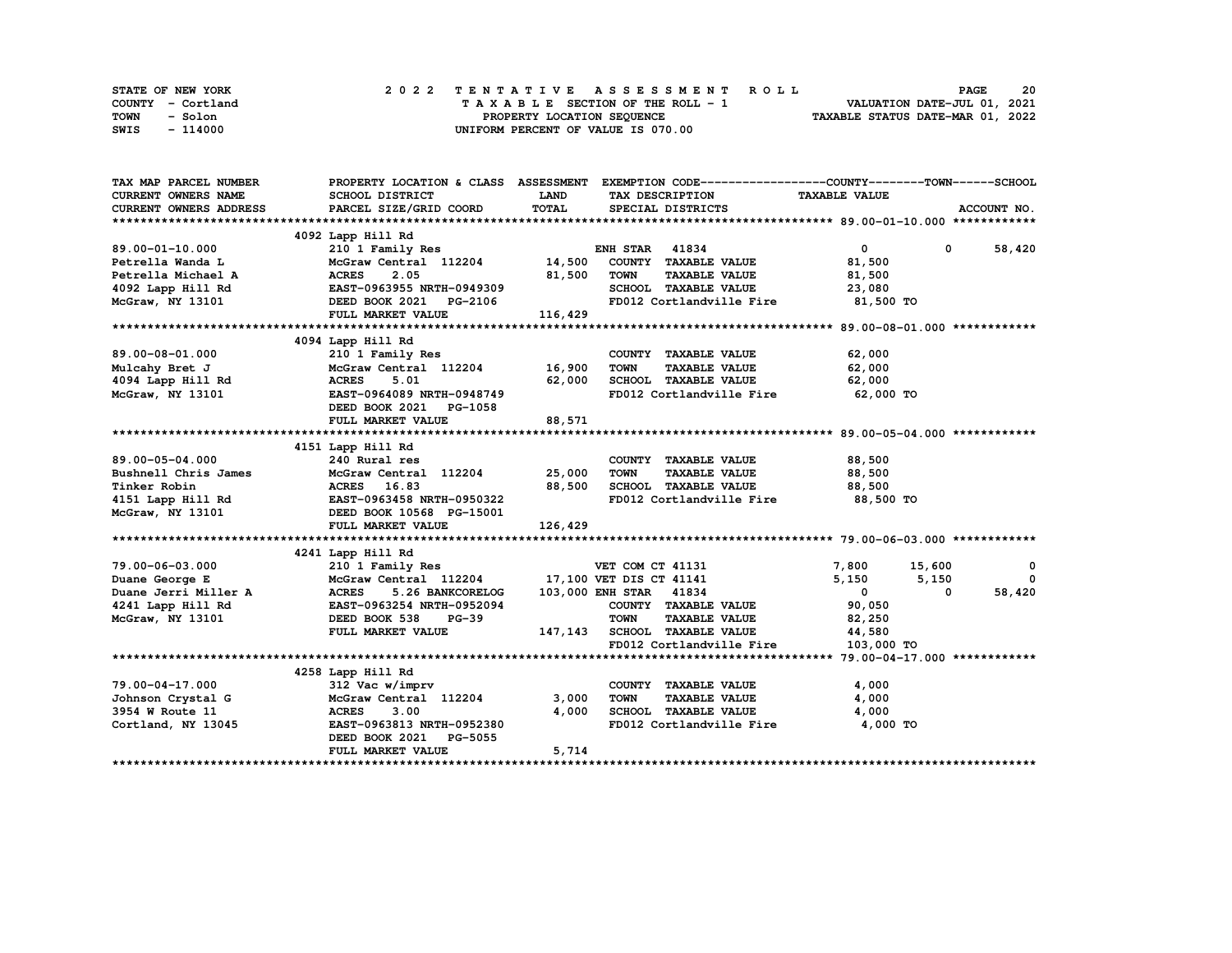| STATE OF NEW YORK | 2022 TENTATIVE ASSESSMENT ROLL     | 20<br><b>PAGE</b>                |
|-------------------|------------------------------------|----------------------------------|
| COUNTY - Cortland | TAXABLE SECTION OF THE ROLL - 1    | VALUATION DATE-JUL 01, 2021      |
| TOWN<br>- Solon   | PROPERTY LOCATION SEQUENCE         | TAXABLE STATUS DATE-MAR 01, 2022 |
| - 114000<br>SWIS  | UNIFORM PERCENT OF VALUE IS 070.00 |                                  |

| TAX MAP PARCEL NUMBER         |                                                                                                                                                                                         |              |                                                   | PROPERTY LOCATION & CLASS ASSESSMENT EXEMPTION CODE----------------COUNTY-------TOWN-----SCHOOL |               |
|-------------------------------|-----------------------------------------------------------------------------------------------------------------------------------------------------------------------------------------|--------------|---------------------------------------------------|-------------------------------------------------------------------------------------------------|---------------|
| CURRENT OWNERS NAME           | SCHOOL DISTRICT                                                                                                                                                                         | <b>LAND</b>  | TAX DESCRIPTION TAXABLE VALUE                     |                                                                                                 |               |
| <b>CURRENT OWNERS ADDRESS</b> | PARCEL SIZE/GRID COORD                                                                                                                                                                  | <b>TOTAL</b> | SPECIAL DISTRICTS                                 |                                                                                                 | ACCOUNT NO.   |
|                               |                                                                                                                                                                                         |              |                                                   |                                                                                                 |               |
|                               | 4092 Lapp Hill Rd                                                                                                                                                                       |              |                                                   |                                                                                                 |               |
| 89.00-01-10.000               |                                                                                                                                                                                         |              |                                                   | $\overline{0}$ and $\overline{0}$                                                               | $0 \t 58,420$ |
| Petrella Wanda L              |                                                                                                                                                                                         |              |                                                   | 81,500                                                                                          |               |
|                               |                                                                                                                                                                                         | 81,500 TOWN  | <b>TAXABLE VALUE</b>                              | 81,500                                                                                          |               |
|                               |                                                                                                                                                                                         |              | SCHOOL TAXABLE VALUE 23,080                       |                                                                                                 |               |
|                               |                                                                                                                                                                                         |              | FD012 Cortlandville Fire                          | 81,500 TO                                                                                       |               |
|                               | Petrella Wanda L<br>Petrella Michael A (ACRES 2.05 81,500<br>4092 Lapp Hill Rd<br>McGraw, NY 13101 DEED BOOK 2021 PG-2106<br>FULL MARKET VALUE 116,429                                  |              |                                                   |                                                                                                 |               |
|                               |                                                                                                                                                                                         |              |                                                   |                                                                                                 |               |
|                               | 4094 Lapp Hill Rd                                                                                                                                                                       |              |                                                   |                                                                                                 |               |
| 89.00-08-01.000               | 210 1 Family Res                                                                                                                                                                        |              | COUNTY TAXABLE VALUE 62,000                       |                                                                                                 |               |
| Mulcahy Bret J                |                                                                                                                                                                                         |              | <b>TOWN</b><br>TAXABLE VALUE                      | 62,000                                                                                          |               |
|                               | McGraw Central 112204 16,900<br>d ACRES 5.01 62,000                                                                                                                                     |              |                                                   | 62,000                                                                                          |               |
|                               |                                                                                                                                                                                         |              | FD012 Cortlandville Fire 62,000 TO                |                                                                                                 |               |
|                               | DEED BOOK 2021 PG-1058                                                                                                                                                                  |              |                                                   |                                                                                                 |               |
|                               | FULL MARKET VALUE 88,571                                                                                                                                                                |              |                                                   |                                                                                                 |               |
|                               |                                                                                                                                                                                         |              |                                                   |                                                                                                 |               |
|                               | 4151 Lapp Hill Rd                                                                                                                                                                       |              |                                                   |                                                                                                 |               |
|                               |                                                                                                                                                                                         |              | COUNTY TAXABLE VALUE                              | 88,500                                                                                          |               |
|                               | 89.00-05-04.000<br>Bushnell Chris James McGraw Central 112204 25,000                                                                                                                    |              | <b>TOWN</b>                                       | TAXABLE VALUE 88,500                                                                            |               |
|                               |                                                                                                                                                                                         |              | SCHOOL TAXABLE VALUE 88,500                       |                                                                                                 |               |
|                               |                                                                                                                                                                                         |              | FD012 Cortlandville Fire                          | 88,500 TO                                                                                       |               |
|                               | Tinker Robin 1997<br>Tinker Robin 1997<br>28,500<br>4151 Lapp Hill Rd EAST-0963458 NRTH-0950322<br>MCGraw, NY 13101 DEED BOOK 10568 PG-15001                                            |              |                                                   |                                                                                                 |               |
|                               | FULL MARKET VALUE                                                                                                                                                                       | 126,429      |                                                   |                                                                                                 |               |
|                               |                                                                                                                                                                                         |              |                                                   |                                                                                                 |               |
|                               | 4241 Lapp Hill Rd                                                                                                                                                                       |              |                                                   |                                                                                                 |               |
|                               | Lapp Hill Rd<br>210 1 Family Res                                                                                                                                                        |              | VET COM CT 41131                                  | 7,800 15,600                                                                                    | 0             |
|                               | 79.00-06-03.000 210 1 Family Res VET COM CT 41131<br>Duane George E McGraw Central 112204 17,100 VET DIS CT 41141<br>Duane Jerri Miller A ACRES 5.26 BANKCORELOG 103,000 ENH STAR 41834 |              |                                                   | 5.150<br>5,150                                                                                  | $^{\circ}$    |
|                               |                                                                                                                                                                                         |              |                                                   | $\overline{\mathbf{0}}$<br>0                                                                    | 58,420        |
| 4241 Lapp Hill Rd             | EAST-0963254 NRTH-0952094                                                                                                                                                               |              | COUNTY TAXABLE VALUE 90,050                       |                                                                                                 |               |
| McGraw, NY 13101              | DEED BOOK 538 PG-39                                                                                                                                                                     |              |                                                   | 82,250                                                                                          |               |
|                               | FULL MARKET VALUE                                                                                                                                                                       |              |                                                   | 44,580                                                                                          |               |
|                               |                                                                                                                                                                                         |              | FD012 Cortlandville Fire                          | 103,000 TO                                                                                      |               |
|                               |                                                                                                                                                                                         |              |                                                   |                                                                                                 |               |
|                               | 4258 Lapp Hill Rd                                                                                                                                                                       |              |                                                   |                                                                                                 |               |
| 79.00-04-17.000               | 312 Vac w/imprv                                                                                                                                                                         |              | COUNTY TAXABLE VALUE                              | 4,000                                                                                           |               |
|                               |                                                                                                                                                                                         | 3,000        |                                                   | 4,000                                                                                           |               |
|                               | Johnson Crystal G McGraw Central 112204<br>3954 W Route 11 MCRES 3.00                                                                                                                   | 4,000        | TOWN      TAXABLE VALUE<br>SCHOOL   TAXABLE VALUE | 4,000                                                                                           |               |
|                               | Cortland, NY 13045 EAST-0963813 NRTH-0952380                                                                                                                                            |              | FD012 Cortlandville Fire 4,000 TO                 |                                                                                                 |               |
|                               | DEED BOOK 2021 PG-5055                                                                                                                                                                  |              |                                                   |                                                                                                 |               |
|                               | FULL MARKET VALUE                                                                                                                                                                       | 5,714        |                                                   |                                                                                                 |               |
|                               |                                                                                                                                                                                         |              |                                                   |                                                                                                 |               |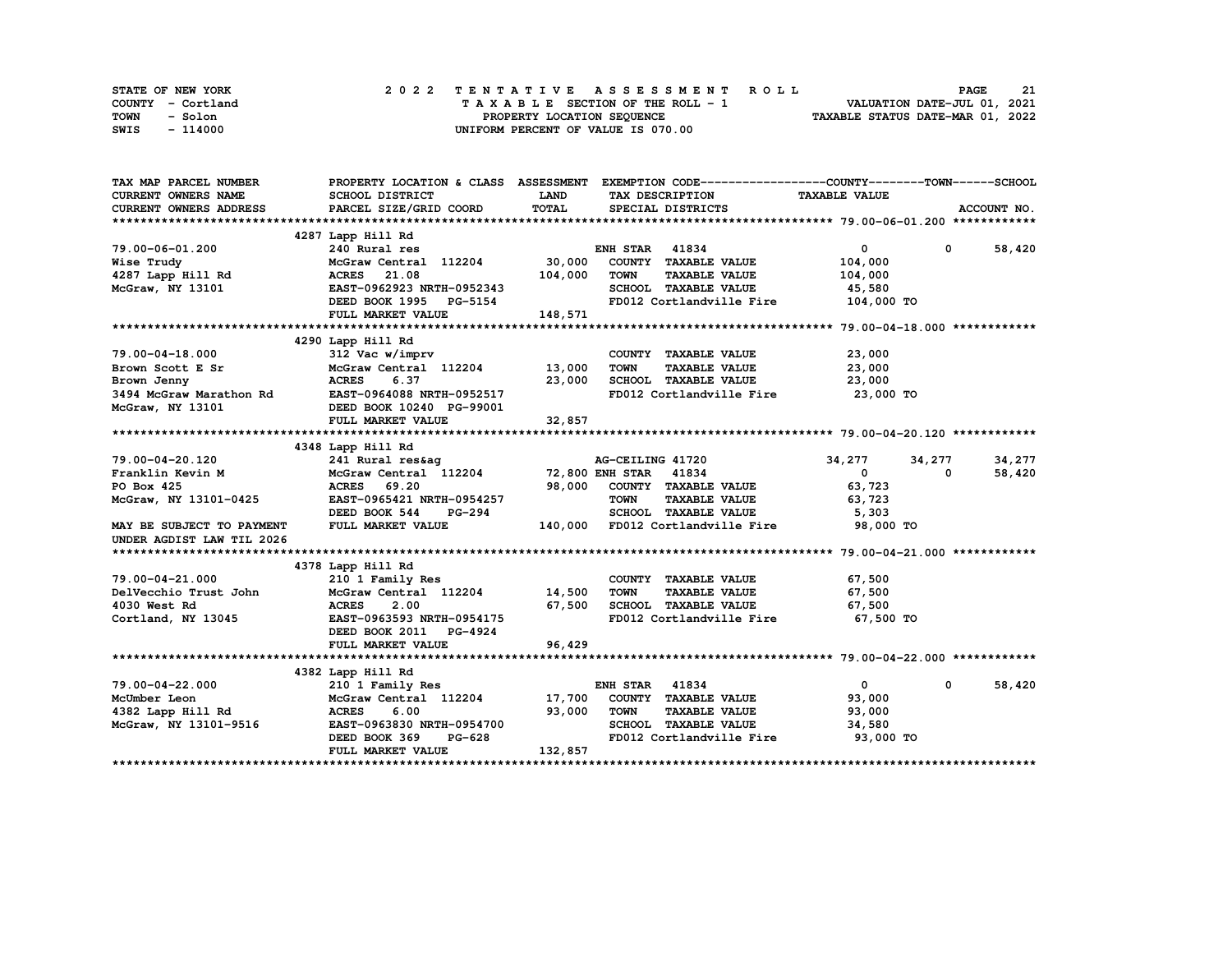| STATE OF NEW YORK | 2022 TENTATIVE ASSESSMENT ROLL     | 21<br><b>PAGE</b>                |
|-------------------|------------------------------------|----------------------------------|
| COUNTY - Cortland | TAXABLE SECTION OF THE ROLL - 1    | VALUATION DATE-JUL 01, 2021      |
| TOWN<br>- Solon   | PROPERTY LOCATION SEQUENCE         | TAXABLE STATUS DATE-MAR 01, 2022 |
| - 114000<br>SWIS  | UNIFORM PERCENT OF VALUE IS 070.00 |                                  |

| TAX MAP PARCEL NUMBER                                    |                                                          |             | PROPERTY LOCATION & CLASS ASSESSMENT EXEMPTION CODE-----------------COUNTY-------TOWN-----SCHOOL |                            |                        |
|----------------------------------------------------------|----------------------------------------------------------|-------------|--------------------------------------------------------------------------------------------------|----------------------------|------------------------|
| <b>CURRENT OWNERS NAME</b>                               | SCHOOL DISTRICT                                          | <b>LAND</b> | TAX DESCRIPTION                                                                                  | <b>TAXABLE VALUE</b>       |                        |
| <b>CURRENT OWNERS ADDRESS</b>                            | PARCEL SIZE/GRID COORD                                   | TOTAL       | SPECIAL DISTRICTS                                                                                |                            | ACCOUNT NO.            |
|                                                          |                                                          |             |                                                                                                  |                            |                        |
|                                                          | 4287 Lapp Hill Rd                                        |             |                                                                                                  |                            |                        |
| 79.00-06-01.200                                          | 240 Rural res                                            |             | <b>ENH STAR 41834</b>                                                                            | $\mathbf{0}$               | $0 \t 58,420$          |
| Wise Trudy                                               | $240$ Ruidi 105<br>McGraw Central 112204 30,000          |             | COUNTY TAXABLE VALUE                                                                             | 104,000                    |                        |
| $4287$ Lapp Hill Rd                                      |                                                          | 104,000     | <b>TOWN</b><br><b>TAXABLE VALUE</b>                                                              | 104,000                    |                        |
| McGraw, NY 13101                                         | ACRES 21.08<br>EAST-0962923 NRTH-0952343<br>1005 DRLE154 |             | SCHOOL TAXABLE VALUE                                                                             | 45,580                     |                        |
|                                                          |                                                          |             | FD012 Cortlandville Fire                                                                         | 104,000 TO                 |                        |
|                                                          | FULL MARKET VALUE                                        | 148,571     |                                                                                                  |                            |                        |
|                                                          |                                                          |             |                                                                                                  |                            |                        |
|                                                          | 4290 Lapp Hill Rd                                        |             |                                                                                                  |                            |                        |
| 79.00-04-18.000                                          | 312 Vac w/imprv                                          |             | COUNTY TAXABLE VALUE                                                                             | 23,000                     |                        |
| Brown Scott E Sr                                         | McGraw Central 112204 13,000                             |             | <b>TOWN</b><br>TAXABLE VALUE                                                                     | 23,000                     |                        |
|                                                          |                                                          |             |                                                                                                  | 23,000                     |                        |
|                                                          |                                                          |             | SCHOOL TAXABLE VALUE<br>FD012 Cortlandville Fire                                                 | 23,000 TO                  |                        |
|                                                          |                                                          |             |                                                                                                  |                            |                        |
|                                                          | <b>FULL MARKET VALUE</b>                                 | 32,857      |                                                                                                  |                            |                        |
|                                                          |                                                          |             |                                                                                                  |                            |                        |
|                                                          | 4348 Lapp Hill Rd                                        |             |                                                                                                  |                            |                        |
| 79.00-04-20.120                                          |                                                          |             | AG-CEILING 41720                                                                                 | 34,277<br>34,277           | 34,277                 |
| Franklin Kevin M                                         |                                                          |             |                                                                                                  | $\mathbf{0}$<br>$^{\circ}$ | 58,420                 |
| PO Box 425                                               | <b>ACRES</b><br>69.20                                    | 98,000      | COUNTY TAXABLE VALUE                                                                             | 63,723                     |                        |
| McGraw, NY 13101-0425                                    | EAST-0965421 NRTH-0954257                                |             | <b>TOWN</b><br><b>TAXABLE VALUE</b>                                                              | 63,723                     |                        |
|                                                          | DEED BOOK 544<br>PG-294                                  |             | SCHOOL TAXABLE VALUE                                                                             | 5,303                      |                        |
| MAY BE SUBJECT TO PAYMENT                                | FULL MARKET VALUE                                        |             | 140,000 FD012 Cortlandville Fire                                                                 | 98,000 TO                  |                        |
| UNDER AGDIST LAW TIL 2026                                |                                                          |             |                                                                                                  |                            |                        |
|                                                          |                                                          |             |                                                                                                  |                            |                        |
|                                                          | 4378 Lapp Hill Rd                                        |             |                                                                                                  |                            |                        |
|                                                          | 210 1 Family Res                                         |             | COUNTY TAXABLE VALUE                                                                             | 67,500                     |                        |
|                                                          | McGraw Central 112204 14,500                             |             | <b>TOWN</b><br><b>TAXABLE VALUE</b>                                                              | 67,500                     |                        |
| 79.00-04-21.000<br>DelVecchio Trust John<br>4030 West Rd | 2.00<br><b>ACRES</b>                                     | 67,500      | SCHOOL TAXABLE VALUE 67,500                                                                      |                            |                        |
| Cortland, NY 13045                                       | EAST-0963593 NRTH-0954175                                |             | FD012 Cortlandville Fire 67,500 TO                                                               |                            |                        |
|                                                          | DEED BOOK 2011 PG-4924                                   |             |                                                                                                  |                            |                        |
|                                                          | FULL MARKET VALUE                                        | 96,429      |                                                                                                  |                            |                        |
|                                                          |                                                          |             |                                                                                                  |                            |                        |
|                                                          | 4382 Lapp Hill Rd                                        |             |                                                                                                  |                            |                        |
| 79.00-04-22.000                                          | 210 1 Family Res                                         |             | <b>ENH STAR 41834</b>                                                                            | $\mathbf{0}$               | 58,420<br>$\mathbf{0}$ |
| McUmber Leon                                             | McGraw Central 112204 17,700                             |             | COUNTY TAXABLE VALUE                                                                             | 93,000                     |                        |
| 4382 Lapp Hill Rd                                        |                                                          | 93,000      | <b>TOWN</b><br><b>TAXABLE VALUE</b>                                                              | 93,000                     |                        |
| McGraw, NY 13101-9516                                    | ACRES 6.00 93,000<br>EAST-0963830 NRTH-0954700 93,000    |             | SCHOOL TAXABLE VALUE 34,580                                                                      |                            |                        |
|                                                          | PG-628<br>DEED BOOK 369                                  |             | FD012 Cortlandville Fire 93,000 TO                                                               |                            |                        |
|                                                          | FULL MARKET VALUE                                        | 132,857     |                                                                                                  |                            |                        |
|                                                          |                                                          |             |                                                                                                  |                            |                        |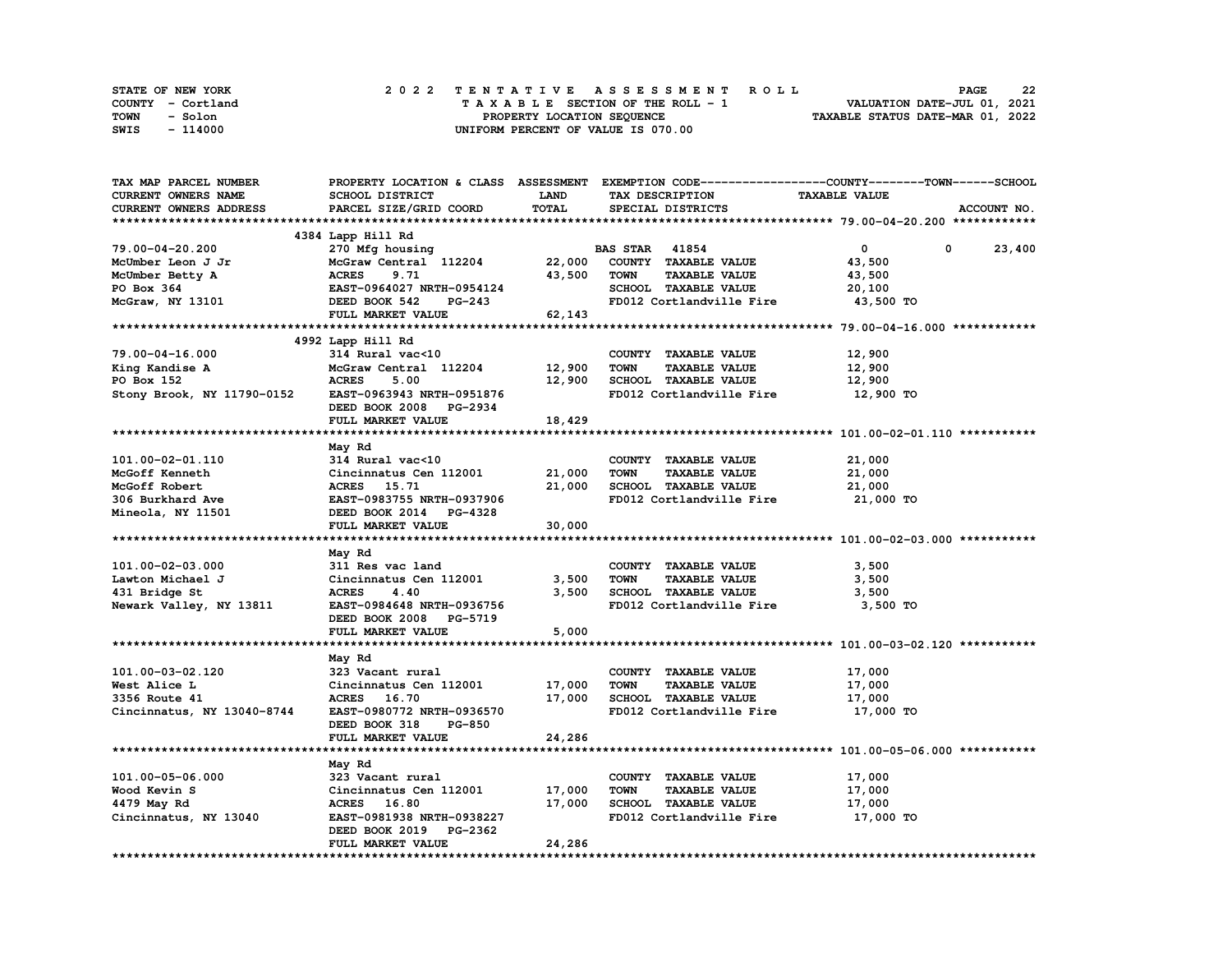| STATE OF NEW YORK | 2022 TENTATIVE ASSESSMENT ROLL     | 22<br><b>PAGE</b>                |
|-------------------|------------------------------------|----------------------------------|
| COUNTY - Cortland | TAXABLE SECTION OF THE ROLL - 1    | VALUATION DATE-JUL 01, 2021      |
| TOWN<br>- Solon   | PROPERTY LOCATION SEQUENCE         | TAXABLE STATUS DATE-MAR 01, 2022 |
| - 114000<br>SWIS  | UNIFORM PERCENT OF VALUE IS 070.00 |                                  |

| TAX MAP PARCEL NUMBER      |                                         |              | PROPERTY LOCATION & CLASS ASSESSMENT EXEMPTION CODE----------------COUNTY-------TOWN-----SCHOOL |                      |             |
|----------------------------|-----------------------------------------|--------------|-------------------------------------------------------------------------------------------------|----------------------|-------------|
| CURRENT OWNERS NAME        | <b>SCHOOL DISTRICT</b>                  | <b>LAND</b>  | TAX DESCRIPTION                                                                                 | <b>TAXABLE VALUE</b> |             |
| CURRENT OWNERS ADDRESS     | PARCEL SIZE/GRID COORD                  | <b>TOTAL</b> | SPECIAL DISTRICTS                                                                               |                      | ACCOUNT NO. |
|                            |                                         |              |                                                                                                 |                      |             |
|                            |                                         |              |                                                                                                 |                      |             |
|                            | 4384 Lapp Hill Rd                       |              |                                                                                                 |                      |             |
| 79.00-04-20.200            | 270 Mfg housing                         |              | <b>BAS STAR 41854</b>                                                                           | $\mathbf{0}$         | 0<br>23,400 |
| McUmber Leon J Jr          | McGraw Central 112204 22,000            |              | COUNTY TAXABLE VALUE                                                                            | 43,500               |             |
| McUmber Betty A            | z / 0<br>McGra<br>ACRES<br>EAcr<br>9.71 | 43,500       | <b>TAXABLE VALUE</b><br>TOWN                                                                    | 43,500               |             |
| PO Box 364                 | EAST-0964027 NRTH-0954124               |              | SCHOOL TAXABLE VALUE                                                                            | 20,100               |             |
| McGraw, NY 13101           | DEED BOOK 542<br><b>PG-243</b>          |              | FD012 Cortlandville Fire                                                                        | 43,500 TO            |             |
|                            | FULL MARKET VALUE                       | 62,143       |                                                                                                 |                      |             |
|                            |                                         |              |                                                                                                 |                      |             |
|                            |                                         |              |                                                                                                 |                      |             |
|                            | 4992 Lapp Hill Rd                       |              |                                                                                                 |                      |             |
| 79.00-04-16.000            | 314 Rural vac<10                        |              | COUNTY TAXABLE VALUE                                                                            | 12,900               |             |
| King Kandise A             | McGraw Central 112204                   | 12,900       | <b>TOWN</b><br><b>TAXABLE VALUE</b>                                                             | 12,900               |             |
| PO Box 152                 | <b>ACRES</b><br>5.00                    | 12,900       | SCHOOL TAXABLE VALUE                                                                            | 12,900               |             |
| Stony Brook, NY 11790-0152 | EAST-0963943 NRTH-0951876               |              | FD012 Cortlandville Fire                                                                        | 12,900 TO            |             |
|                            | DEED BOOK 2008 PG-2934                  |              |                                                                                                 |                      |             |
|                            | FULL MARKET VALUE                       | 18,429       |                                                                                                 |                      |             |
|                            |                                         |              |                                                                                                 |                      |             |
|                            | May Rd                                  |              |                                                                                                 |                      |             |
| 101.00-02-01.110           | 314 Rural vac<10                        |              | COUNTY TAXABLE VALUE                                                                            | 21,000               |             |
|                            |                                         |              |                                                                                                 |                      |             |
| McGoff Kenneth             | Cincinnatus Cen 112001                  | 21,000       | <b>TOWN</b><br><b>TAXABLE VALUE</b>                                                             | 21,000               |             |
| McGoff Robert              | ACRES 15.71                             | 21,000       | SCHOOL TAXABLE VALUE                                                                            | 21,000               |             |
| 306 Burkhard Ave           | EAST-0983755 NRTH-0937906               |              | FD012 Cortlandville Fire                                                                        | 21,000 TO            |             |
| Mineola, NY 11501          | DEED BOOK 2014 PG-4328                  |              |                                                                                                 |                      |             |
|                            | FULL MARKET VALUE                       | 30,000       |                                                                                                 |                      |             |
|                            |                                         |              |                                                                                                 |                      |             |
|                            | May Rd                                  |              |                                                                                                 |                      |             |
| 101.00-02-03.000           | 311 Res vac land                        |              | COUNTY TAXABLE VALUE                                                                            | 3,500                |             |
| Lawton Michael J           | Cincinnatus Cen 112001                  | 3,500        | <b>TAXABLE VALUE</b><br>TOWN                                                                    | 3,500                |             |
| 431 Bridge St              | 4.40<br><b>ACRES</b>                    | 3,500        | SCHOOL TAXABLE VALUE                                                                            | 3,500                |             |
| Newark Valley, NY 13811    | EAST-0984648 NRTH-0936756               |              | FD012 Cortlandville Fire                                                                        | 3,500 TO             |             |
|                            |                                         |              |                                                                                                 |                      |             |
|                            | DEED BOOK 2008 PG-5719                  |              |                                                                                                 |                      |             |
|                            | FULL MARKET VALUE                       | 5,000        |                                                                                                 |                      |             |
|                            |                                         |              |                                                                                                 |                      |             |
|                            | May Rd                                  |              |                                                                                                 |                      |             |
| 101.00-03-02.120           | 323 Vacant rural                        |              | COUNTY TAXABLE VALUE                                                                            | 17,000               |             |
| West Alice L               | Cincinnatus Cen 112001                  | 17,000       | TOWN<br><b>TAXABLE VALUE</b>                                                                    | 17,000               |             |
| 3356 Route 41              | ACRES 16.70                             | 17,000       | SCHOOL TAXABLE VALUE                                                                            | 17,000               |             |
| Cincinnatus, NY 13040-8744 | EAST-0980772 NRTH-0936570               |              | FD012 Cortlandville Fire                                                                        | 17,000 TO            |             |
|                            | <b>PG-850</b><br>DEED BOOK 318          |              |                                                                                                 |                      |             |
|                            | FULL MARKET VALUE                       | 24,286       |                                                                                                 |                      |             |
|                            |                                         |              |                                                                                                 |                      |             |
|                            |                                         |              |                                                                                                 |                      |             |
|                            | May Rd                                  |              |                                                                                                 |                      |             |
| 101.00-05-06.000           | 323 Vacant rural                        |              | COUNTY TAXABLE VALUE                                                                            | 17,000               |             |
| Wood Kevin S               | Cincinnatus Cen 112001 17,000           |              | <b>TAXABLE VALUE</b><br><b>TOWN</b>                                                             | 17,000               |             |
| 4479 May Rd                | ACRES 16.80                             | 17,000       | SCHOOL TAXABLE VALUE                                                                            | 17,000               |             |
| Cincinnatus, NY 13040      | EAST-0981938 NRTH-0938227               |              | FD012 Cortlandville Fire                                                                        | 17,000 TO            |             |
|                            | DEED BOOK 2019 PG-2362                  |              |                                                                                                 |                      |             |
|                            | FULL MARKET VALUE                       | 24,286       |                                                                                                 |                      |             |
|                            |                                         |              |                                                                                                 |                      |             |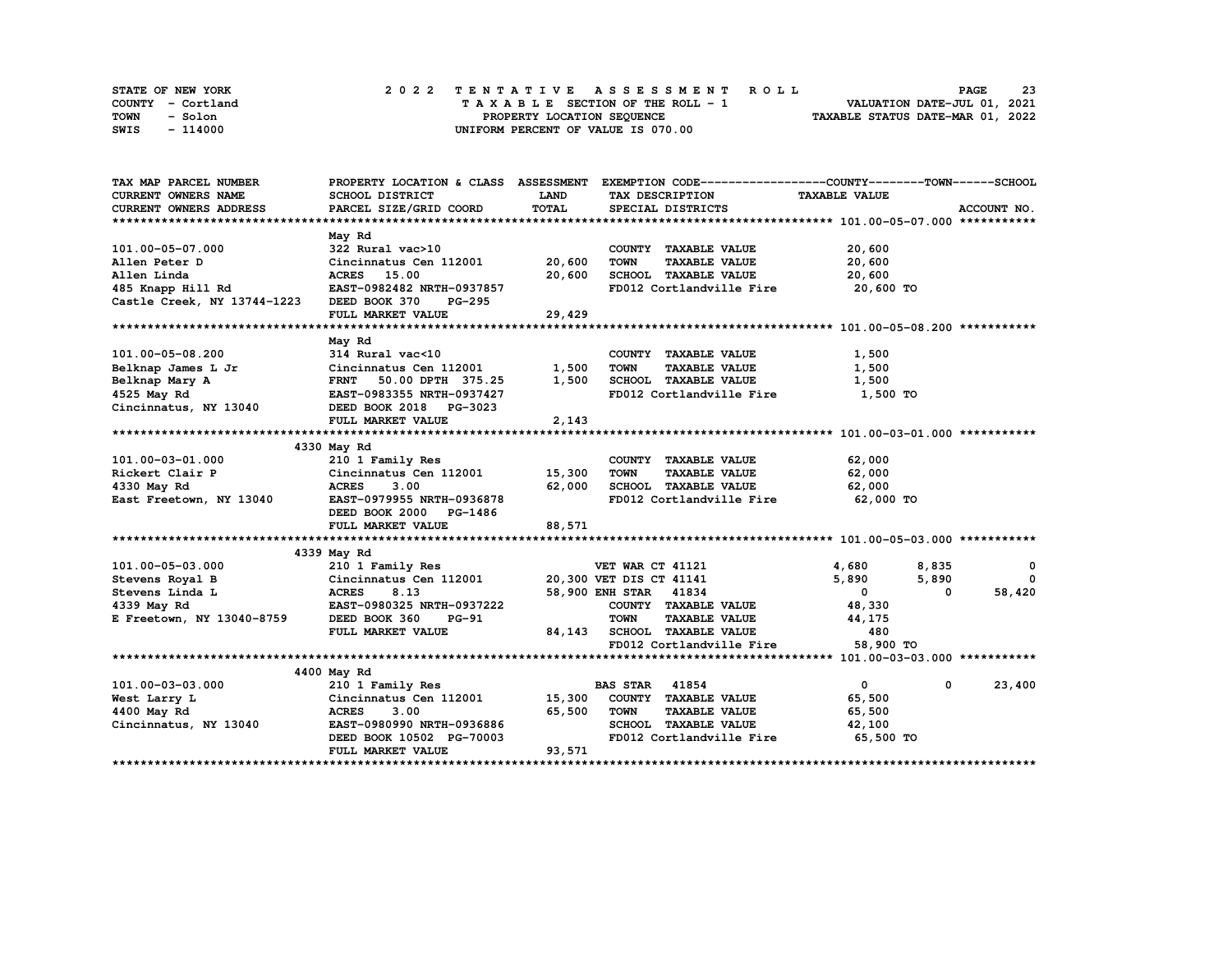| STATE OF NEW YORK | 2022 TENTATIVE ASSESSMENT ROLL     | 23<br><b>PAGE</b>                |
|-------------------|------------------------------------|----------------------------------|
| COUNTY - Cortland | TAXABLE SECTION OF THE ROLL - 1    | VALUATION DATE-JUL 01, 2021      |
| TOWN<br>- Solon   | PROPERTY LOCATION SEQUENCE         | TAXABLE STATUS DATE-MAR 01, 2022 |
| - 114000<br>SWIS  | UNIFORM PERCENT OF VALUE IS 070.00 |                                  |

| TAX MAP PARCEL NUMBER                                                                     | PROPERTY LOCATION & CLASS ASSESSMENT                                                                     |        | EXEMPTION CODE-----------------COUNTY-------TOWN-----SCHOOL |                         |                      |
|-------------------------------------------------------------------------------------------|----------------------------------------------------------------------------------------------------------|--------|-------------------------------------------------------------|-------------------------|----------------------|
| CURRENT OWNERS NAME                                                                       | SCHOOL DISTRICT                                                                                          | LAND   | TAX DESCRIPTION                                             | <b>TAXABLE VALUE</b>    |                      |
| CURRENT OWNERS ADDRESS                                                                    | PARCEL SIZE/GRID COORD                                                                                   | TOTAL  | SPECIAL DISTRICTS                                           |                         | ACCOUNT NO.          |
|                                                                                           |                                                                                                          |        |                                                             |                         |                      |
|                                                                                           | May Rd                                                                                                   |        |                                                             |                         |                      |
| 101.00-05-07.000                                                                          | 322 Rural vac>10                                                                                         |        | COUNTY TAXABLE VALUE                                        | 20,600                  |                      |
| Allen Peter D                                                                             | Cincinnatus Cen 112001                                                                                   | 20,600 | <b>TAXABLE VALUE</b><br>TOWN                                | 20,600                  |                      |
| Allen Linda                                                                               | ACRES 15.00                                                                                              | 20,600 | SCHOOL TAXABLE VALUE                                        | 20,600                  |                      |
| 485 Knapp Hill Rd                                                                         | EAST-0982482 NRTH-0937857                                                                                |        | FD012 Cortlandville Fire 20,600 TO                          |                         |                      |
| Castle Creek, NY 13744-1223                                                               | DEED BOOK 370<br>PG-295                                                                                  |        |                                                             |                         |                      |
|                                                                                           | FULL MARKET VALUE                                                                                        | 29,429 |                                                             |                         |                      |
|                                                                                           |                                                                                                          |        |                                                             |                         |                      |
|                                                                                           | May Rd                                                                                                   |        |                                                             |                         |                      |
| 101.00-05-08.200                                                                          | 314 Rural vac<10                                                                                         |        | COUNTY TAXABLE VALUE                                        | 1,500                   |                      |
|                                                                                           | Cincinnatus Cen 112001                                                                                   | 1,500  | <b>TOWN</b><br><b>TAXABLE VALUE</b>                         | 1,500                   |                      |
|                                                                                           | FRNT 50.00 DPTH 375.25<br>FAST 0083355 NDTH 0037437                                                      | 1,500  |                                                             | 1,500                   |                      |
| Belknap James L Jr<br>Belknap Mary A<br>4525 May Rd<br>4525 May Rd                        | EAST-0983355 NRTH-0937427                                                                                |        | SCHOOL TAXABLE VALUE<br>FD012 Cortlandville Fire            | 1,500 TO                |                      |
| Cincinnatus, NY 13040                                                                     | DEED BOOK 2018 PG-3023                                                                                   |        |                                                             |                         |                      |
|                                                                                           | FULL MARKET VALUE                                                                                        | 2,143  |                                                             |                         |                      |
|                                                                                           |                                                                                                          |        |                                                             |                         |                      |
|                                                                                           | 210 1 Family Res<br>Cincinnatus Cen 112001 15,300<br>ACRES 3.00 62,000<br>3040 EAST-0979955 NRTH-0936979 |        |                                                             |                         |                      |
| 101.00-03-01.000                                                                          |                                                                                                          |        | COUNTY TAXABLE VALUE                                        | 62,000                  |                      |
| Rickert Clair P                                                                           |                                                                                                          |        | TOWN<br><b>TAXABLE VALUE</b>                                | 62,000                  |                      |
| 4330 May Rd                                                                               |                                                                                                          |        | SCHOOL TAXABLE VALUE                                        | 62,000                  |                      |
| East Freetown, NY 13040                                                                   |                                                                                                          |        | FD012 Cortlandville Fire                                    | 62,000 TO               |                      |
|                                                                                           | DEED BOOK 2000 PG-1486                                                                                   |        |                                                             |                         |                      |
|                                                                                           | FULL MARKET VALUE                                                                                        | 88,571 |                                                             |                         |                      |
|                                                                                           |                                                                                                          |        |                                                             |                         |                      |
|                                                                                           | 4339 May Rd                                                                                              |        |                                                             |                         |                      |
| 101.00-05-03.000                                                                          |                                                                                                          |        |                                                             | 4,680<br>8,835          | 0                    |
| Stevens Royal B                                                                           |                                                                                                          |        |                                                             | 5,890<br>5,890          | $\Omega$             |
| Stevens Linda L                                                                           |                                                                                                          |        |                                                             | $\overline{\mathbf{0}}$ | 58,420<br>$\Omega$   |
|                                                                                           |                                                                                                          |        | COUNTY TAXABLE VALUE                                        | 48,330                  |                      |
| 4339 May Rd<br>EAST-0980325 NRTH-0937222<br>E Freetown, NY 13040-8759 DEED BOOK 360 PG-91 |                                                                                                          |        | TOWN TAXABLE VALUE<br>84,143 SCHOOL TAXABLE VALUE           | 44,175                  |                      |
|                                                                                           | FULL MARKET VALUE                                                                                        |        |                                                             | 480                     |                      |
|                                                                                           |                                                                                                          |        | FD012 Cortlandville Fire                                    | 58,900 TO               |                      |
|                                                                                           |                                                                                                          |        |                                                             |                         |                      |
|                                                                                           | 4400 May Rd                                                                                              |        |                                                             |                         |                      |
| 101.00-03-03.000                                                                          | 210 1 Family Res                                                                                         |        | <b>BAS STAR 41854</b>                                       | $\mathbf{0}$            | 23,400<br>$^{\circ}$ |
| West Larry L                                                                              | Cincinnatus Cen 112001                                                                                   |        | 15,300 COUNTY TAXABLE VALUE                                 | 65,500                  |                      |
| 4400 May Rd                                                                               | <b>ACRES</b><br>3.00                                                                                     | 65,500 | <b>TOWN</b><br><b>TAXABLE VALUE</b>                         | 65,500                  |                      |
| Cincinnatus, NY 13040                                                                     | EAST-0980990 NRTH-0936886                                                                                |        | SCHOOL TAXABLE VALUE                                        | 42,100                  |                      |
|                                                                                           | DEED BOOK 10502 PG-70003                                                                                 |        | FD012 Cortlandville Fire 65,500 TO                          |                         |                      |
|                                                                                           | FULL MARKET VALUE                                                                                        | 93,571 |                                                             |                         |                      |
|                                                                                           |                                                                                                          |        |                                                             |                         |                      |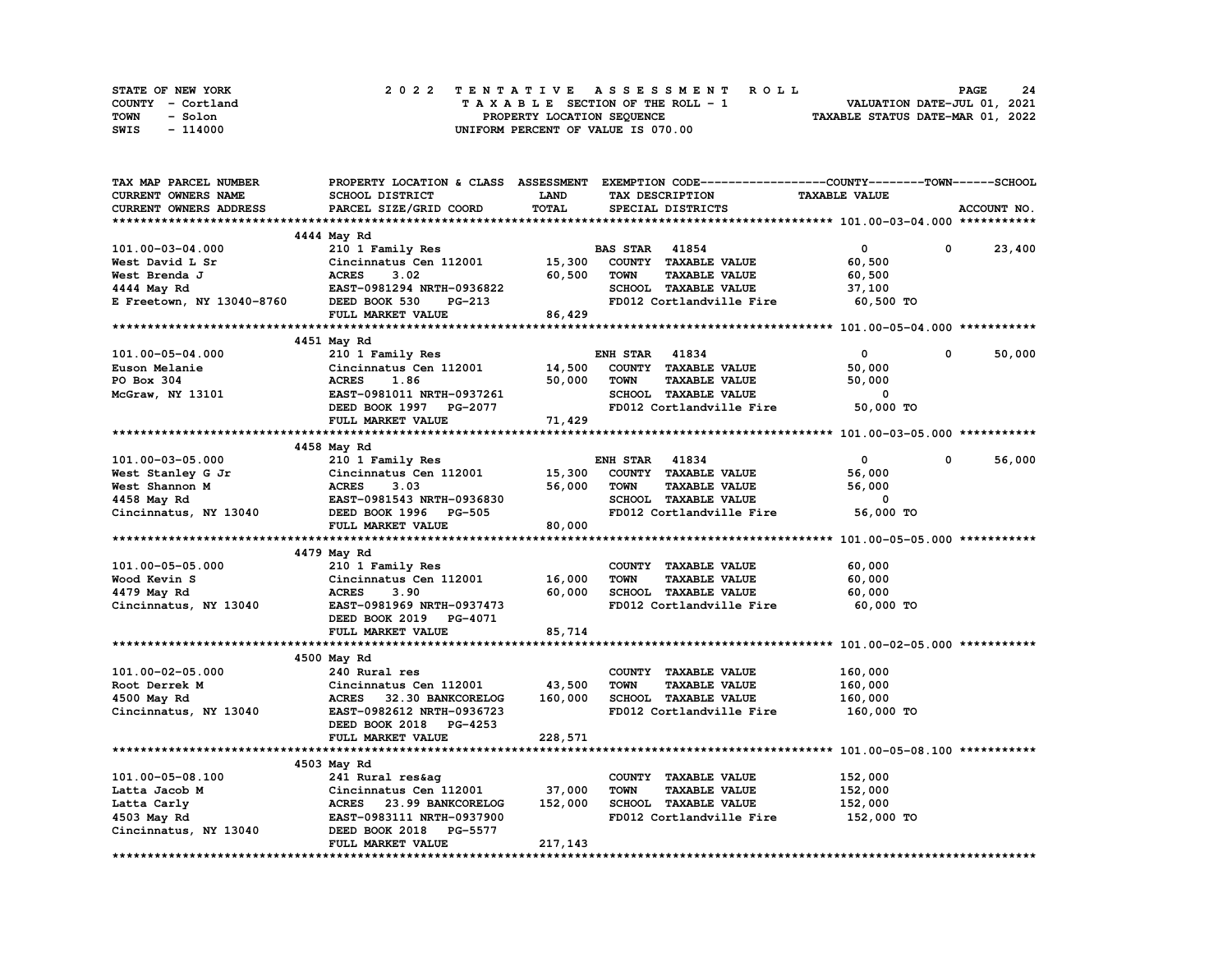| STATE OF NEW YORK | 2022 TENTATIVE ASSESSMENT ROLL     | -24<br><b>PAGE</b>               |
|-------------------|------------------------------------|----------------------------------|
| COUNTY - Cortland | TAXABLE SECTION OF THE ROLL - 1    | VALUATION DATE-JUL 01, 2021      |
| TOWN<br>- Solon   | PROPERTY LOCATION SEQUENCE         | TAXABLE STATUS DATE-MAR 01, 2022 |
| SWIS<br>- 114000  | UNIFORM PERCENT OF VALUE IS 070.00 |                                  |

| TAX MAP PARCEL NUMBER      |                                  |              | PROPERTY LOCATION & CLASS ASSESSMENT EXEMPTION CODE----------------COUNTY-------TOWN-----SCHOOL |                              |             |
|----------------------------|----------------------------------|--------------|-------------------------------------------------------------------------------------------------|------------------------------|-------------|
| <b>CURRENT OWNERS NAME</b> | SCHOOL DISTRICT                  | <b>LAND</b>  | TAX DESCRIPTION                                                                                 | <b>TAXABLE VALUE</b>         |             |
| CURRENT OWNERS ADDRESS     | PARCEL SIZE/GRID COORD           | <b>TOTAL</b> | SPECIAL DISTRICTS                                                                               |                              | ACCOUNT NO. |
|                            |                                  |              |                                                                                                 |                              |             |
|                            | 4444 May Rd                      |              |                                                                                                 |                              |             |
| 101.00-03-04.000           | 210 1 Family Res                 |              | <b>BAS STAR 41854</b>                                                                           | $\mathbf{0}$<br>$\mathbf{0}$ | 23,400      |
| West David L Sr            | Cincinnatus Cen 112001           | 15,300       | COUNTY TAXABLE VALUE                                                                            | 60,500                       |             |
| West Brenda J              | <b>ACRES</b><br>3.02             | 60,500       | <b>TOWN</b><br><b>TAXABLE VALUE</b>                                                             | 60,500                       |             |
| 4444 May Rd                | EAST-0981294 NRTH-0936822        |              | SCHOOL TAXABLE VALUE                                                                            | 37,100                       |             |
| E Freetown, NY 13040-8760  | DEED BOOK 530<br>PG-213          |              | FD012 Cortlandville Fire                                                                        | 60,500 TO                    |             |
|                            | FULL MARKET VALUE                | 86,429       |                                                                                                 |                              |             |
|                            |                                  |              |                                                                                                 |                              |             |
|                            | 4451 May Rd                      |              |                                                                                                 |                              |             |
| 101.00-05-04.000           | 210 1 Family Res                 |              | <b>ENH STAR 41834</b>                                                                           | $\mathbf{0}$<br>0            | 50,000      |
| Euson Melanie              | Cincinnatus Cen 112001           | 14,500       | COUNTY TAXABLE VALUE                                                                            | 50,000                       |             |
| PO Box 304                 | <b>ACRES</b><br>1.86             | 50,000       | <b>TAXABLE VALUE</b><br><b>TOWN</b>                                                             | 50,000                       |             |
| McGraw, NY 13101           | EAST-0981011 NRTH-0937261        |              | SCHOOL TAXABLE VALUE                                                                            | 0                            |             |
|                            | DEED BOOK 1997 PG-2077           |              | FD012 Cortlandville Fire                                                                        | 50,000 TO                    |             |
|                            | FULL MARKET VALUE                | 71,429       |                                                                                                 |                              |             |
|                            |                                  |              |                                                                                                 |                              |             |
|                            | 4458 May Rd                      |              |                                                                                                 |                              |             |
| 101.00-03-05.000           | 210 1 Family Res                 |              | <b>ENH STAR 41834</b>                                                                           | $\mathbf 0$<br>$^{\circ}$    | 56,000      |
| West Stanley G Jr          | Cincinnatus Cen 112001           | 15,300       | COUNTY TAXABLE VALUE                                                                            | 56,000                       |             |
| West Shannon M             | <b>ACRES</b><br>3.03             | 56,000       | <b>TOWN</b><br><b>TAXABLE VALUE</b>                                                             | 56,000                       |             |
| 4458 May Rd                | EAST-0981543 NRTH-0936830        |              | SCHOOL TAXABLE VALUE                                                                            | 0                            |             |
| Cincinnatus, NY 13040      | DEED BOOK 1996 PG-505            |              | FD012 Cortlandville Fire                                                                        | 56,000 TO                    |             |
|                            | FULL MARKET VALUE                | 80,000       |                                                                                                 |                              |             |
|                            |                                  |              |                                                                                                 |                              |             |
|                            | 4479 May Rd                      |              |                                                                                                 |                              |             |
| 101.00-05-05.000           | 210 1 Family Res                 |              | COUNTY TAXABLE VALUE                                                                            | 60,000                       |             |
| Wood Kevin S               | Cincinnatus Cen 112001           | 16,000       | <b>TOWN</b><br><b>TAXABLE VALUE</b>                                                             | 60,000                       |             |
| 4479 May Rd                | <b>ACRES</b><br>3.90             | 60,000       | SCHOOL TAXABLE VALUE                                                                            | 60,000                       |             |
|                            |                                  |              |                                                                                                 |                              |             |
| Cincinnatus, NY 13040      | EAST-0981969 NRTH-0937473        |              | FD012 Cortlandville Fire                                                                        | 60,000 TO                    |             |
|                            | DEED BOOK 2019 PG-4071           |              |                                                                                                 |                              |             |
|                            | FULL MARKET VALUE                | 85,714       |                                                                                                 |                              |             |
|                            |                                  |              |                                                                                                 |                              |             |
|                            | 4500 May Rd                      |              |                                                                                                 |                              |             |
| 101.00-02-05.000           | 240 Rural res                    |              | COUNTY TAXABLE VALUE                                                                            | 160,000                      |             |
| Root Derrek M              | Cincinnatus Cen 112001           | 43,500       | <b>TOWN</b><br><b>TAXABLE VALUE</b>                                                             | 160,000                      |             |
| 4500 May Rd                | ACRES 32.30 BANKCORELOG          | 160,000      | SCHOOL TAXABLE VALUE                                                                            | 160,000                      |             |
| Cincinnatus, NY 13040      | EAST-0982612 NRTH-0936723        |              | FD012 Cortlandville Fire                                                                        | 160,000 TO                   |             |
|                            | DEED BOOK 2018 PG-4253           |              |                                                                                                 |                              |             |
|                            | FULL MARKET VALUE                | 228,571      |                                                                                                 |                              |             |
|                            |                                  |              |                                                                                                 |                              |             |
|                            | 4503 May Rd                      |              |                                                                                                 |                              |             |
| 101.00-05-08.100           | 241 Rural res&ag                 |              | COUNTY TAXABLE VALUE                                                                            | 152,000                      |             |
| Latta Jacob M              | Cincinnatus Cen 112001           | 37,000       | <b>TOWN</b><br><b>TAXABLE VALUE</b>                                                             | 152,000                      |             |
| Latta Carly                | ACRES 23.99 BANKCORELOG          | 152,000      | SCHOOL TAXABLE VALUE                                                                            | 152,000                      |             |
| 4503 May Rd                | EAST-0983111 NRTH-0937900        |              | FD012 Cortlandville Fire                                                                        | 152,000 TO                   |             |
| Cincinnatus, NY 13040      | DEED BOOK 2018<br><b>PG-5577</b> |              |                                                                                                 |                              |             |
|                            | FULL MARKET VALUE                | 217,143      |                                                                                                 |                              |             |
|                            |                                  |              |                                                                                                 |                              |             |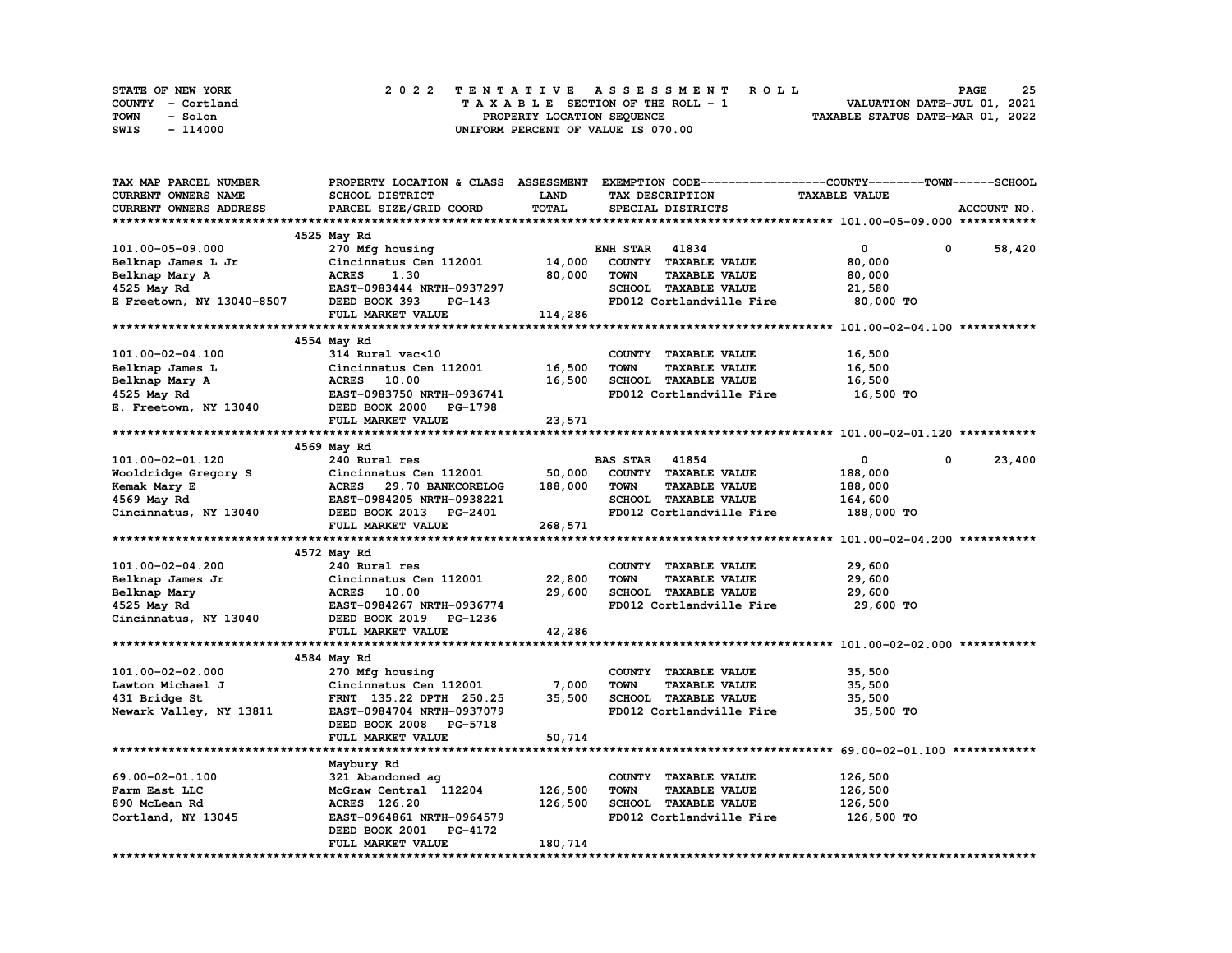| STATE OF NEW YORK | 2022 TENTATIVE ASSESSMENT ROLL     | 25<br><b>PAGE</b>                |
|-------------------|------------------------------------|----------------------------------|
| COUNTY - Cortland | TAXABLE SECTION OF THE ROLL - 1    | VALUATION DATE-JUL 01, 2021      |
| TOWN<br>- Solon   | PROPERTY LOCATION SEQUENCE         | TAXABLE STATUS DATE-MAR 01, 2022 |
| SWIS<br>- 114000  | UNIFORM PERCENT OF VALUE IS 070.00 |                                  |

| TAX MAP PARCEL NUMBER                                                                                                                   |                           |             |                                     | PROPERTY LOCATION & CLASS ASSESSMENT EXEMPTION CODE----------------COUNTY-------TOWN-----SCHOOL |             |
|-----------------------------------------------------------------------------------------------------------------------------------------|---------------------------|-------------|-------------------------------------|-------------------------------------------------------------------------------------------------|-------------|
| CURRENT OWNERS NAME                                                                                                                     | SCHOOL DISTRICT           | <b>LAND</b> | TAX DESCRIPTION                     | <b>TAXABLE VALUE</b>                                                                            |             |
| CURRENT OWNERS ADDRESS                                                                                                                  | PARCEL SIZE/GRID COORD    | TOTAL       | SPECIAL DISTRICTS                   |                                                                                                 | ACCOUNT NO. |
|                                                                                                                                         |                           |             |                                     |                                                                                                 |             |
|                                                                                                                                         | 4525 May Rd               |             |                                     |                                                                                                 |             |
| 101.00-05-09.000                                                                                                                        | 270 Mfg housing           |             | <b>ENH STAR 41834</b>               | $\mathbf{0}$<br>0                                                                               | 58,420      |
| Belknap James L Jr                                                                                                                      | Cincinnatus Cen 112001    | 14,000      | COUNTY TAXABLE VALUE                | 80,000                                                                                          |             |
|                                                                                                                                         |                           | 80,000      | <b>TOWN</b><br><b>TAXABLE VALUE</b> | 80,000                                                                                          |             |
| Belknap James L Jr Cincinnatus Ce<br>Belknap Mary A ACRES 1.30<br>4525 May Rd EAST-0983444 N<br>E Freetown, NY 13040-8507 DEED BOOK 393 | EAST-0983444 NRTH-0937297 |             | SCHOOL TAXABLE VALUE                | 21,580                                                                                          |             |
|                                                                                                                                         | PG-143                    |             | FD012 Cortlandville Fire            |                                                                                                 |             |
|                                                                                                                                         |                           |             |                                     | 80,000 TO                                                                                       |             |
|                                                                                                                                         | FULL MARKET VALUE         | 114,286     |                                     |                                                                                                 |             |
|                                                                                                                                         |                           |             |                                     |                                                                                                 |             |
|                                                                                                                                         | 4554 May Rd               |             |                                     |                                                                                                 |             |
| 101.00-02-04.100                                                                                                                        | 314 Rural vac<10          |             | COUNTY TAXABLE VALUE                | 16,500                                                                                          |             |
| Belknap James L                                                                                                                         | Cincinnatus Cen 112001    | 16,500      | <b>TOWN</b><br><b>TAXABLE VALUE</b> | 16,500                                                                                          |             |
| Belknap Mary A                                                                                                                          | <b>ACRES</b> 10.00        | 16,500      | SCHOOL TAXABLE VALUE                | 16,500                                                                                          |             |
| 4525 May Rd                                                                                                                             | EAST-0983750 NRTH-0936741 |             | FD012 Cortlandville Fire            | 16,500 TO                                                                                       |             |
| E. Freetown, NY 13040                                                                                                                   | DEED BOOK 2000 PG-1798    |             |                                     |                                                                                                 |             |
|                                                                                                                                         | FULL MARKET VALUE         | 23,571      |                                     |                                                                                                 |             |
|                                                                                                                                         |                           |             |                                     |                                                                                                 |             |
|                                                                                                                                         | 4569 May Rd               |             |                                     |                                                                                                 |             |
| 101.00-02-01.120                                                                                                                        | 240 Rural res             |             | <b>BAS STAR 41854</b>               | $\mathbf{0}$<br>$^{\circ}$                                                                      | 23,400      |
| Wooldridge Gregory S                                                                                                                    | Cincinnatus Cen 112001    | 50,000      | COUNTY TAXABLE VALUE                | 188,000                                                                                         |             |
| Kemak Mary E                                                                                                                            | ACRES 29.70 BANKCORELOG   | 188,000     | TOWN<br><b>TAXABLE VALUE</b>        | 188,000                                                                                         |             |
| 4569 May Rd                                                                                                                             | EAST-0984205 NRTH-0938221 |             | SCHOOL TAXABLE VALUE                | 164,600                                                                                         |             |
| Cincinnatus, NY 13040                                                                                                                   | DEED BOOK 2013 PG-2401    |             | FD012 Cortlandville Fire            | 188,000 TO                                                                                      |             |
|                                                                                                                                         | FULL MARKET VALUE         | 268,571     |                                     |                                                                                                 |             |
|                                                                                                                                         |                           |             |                                     |                                                                                                 |             |
|                                                                                                                                         | 4572 May Rd               |             |                                     |                                                                                                 |             |
| 101.00-02-04.200                                                                                                                        | 240 Rural res             |             | COUNTY TAXABLE VALUE                | 29,600                                                                                          |             |
| Belknap James Jr                                                                                                                        | Cincinnatus Cen 112001    | 22,800      | <b>TOWN</b><br><b>TAXABLE VALUE</b> | 29,600                                                                                          |             |
| Belknap Mary                                                                                                                            | <b>ACRES</b> 10.00        | 29,600      | SCHOOL TAXABLE VALUE                | 29,600                                                                                          |             |
| 4525 May Rd                                                                                                                             | EAST-0984267 NRTH-0936774 |             | FD012 Cortlandville Fire            | 29,600 TO                                                                                       |             |
| Cincinnatus, NY 13040                                                                                                                   | DEED BOOK 2019 PG-1236    |             |                                     |                                                                                                 |             |
|                                                                                                                                         | FULL MARKET VALUE         | 42,286      |                                     |                                                                                                 |             |
|                                                                                                                                         |                           |             |                                     |                                                                                                 |             |
|                                                                                                                                         | 4584 May Rd               |             |                                     |                                                                                                 |             |
| 101.00-02-02.000                                                                                                                        | 270 Mfg housing           |             | COUNTY TAXABLE VALUE                | 35,500                                                                                          |             |
| Lawton Michael J                                                                                                                        | Cincinnatus Cen 112001    | 7,000       | <b>TAXABLE VALUE</b><br><b>TOWN</b> | 35,500                                                                                          |             |
|                                                                                                                                         |                           |             | SCHOOL TAXABLE VALUE                |                                                                                                 |             |
| 431 Bridge St                                                                                                                           | FRNT 135.22 DPTH 250.25   | 35,500      |                                     | 35,500                                                                                          |             |
| Newark Valley, NY 13811                                                                                                                 | EAST-0984704 NRTH-0937079 |             | FD012 Cortlandville Fire            | 35,500 TO                                                                                       |             |
|                                                                                                                                         | DEED BOOK 2008 PG-5718    |             |                                     |                                                                                                 |             |
|                                                                                                                                         | FULL MARKET VALUE         | 50,714      |                                     |                                                                                                 |             |
|                                                                                                                                         |                           |             |                                     |                                                                                                 |             |
|                                                                                                                                         | Maybury Rd                |             |                                     |                                                                                                 |             |
| 69.00-02-01.100                                                                                                                         | 321 Abandoned ag          |             | COUNTY TAXABLE VALUE                | 126,500                                                                                         |             |
| Farm East LLC                                                                                                                           | McGraw Central 112204     | 126,500     | <b>TOWN</b><br><b>TAXABLE VALUE</b> | 126,500                                                                                         |             |
| 890 McLean Rd                                                                                                                           | <b>ACRES</b> 126.20       | 126,500     | SCHOOL TAXABLE VALUE                | 126,500                                                                                         |             |
| Cortland, NY 13045                                                                                                                      | EAST-0964861 NRTH-0964579 |             | FD012 Cortlandville Fire            | 126,500 TO                                                                                      |             |
|                                                                                                                                         | DEED BOOK 2001 PG-4172    |             |                                     |                                                                                                 |             |
|                                                                                                                                         | FULL MARKET VALUE         | 180,714     |                                     |                                                                                                 |             |
|                                                                                                                                         |                           |             |                                     |                                                                                                 |             |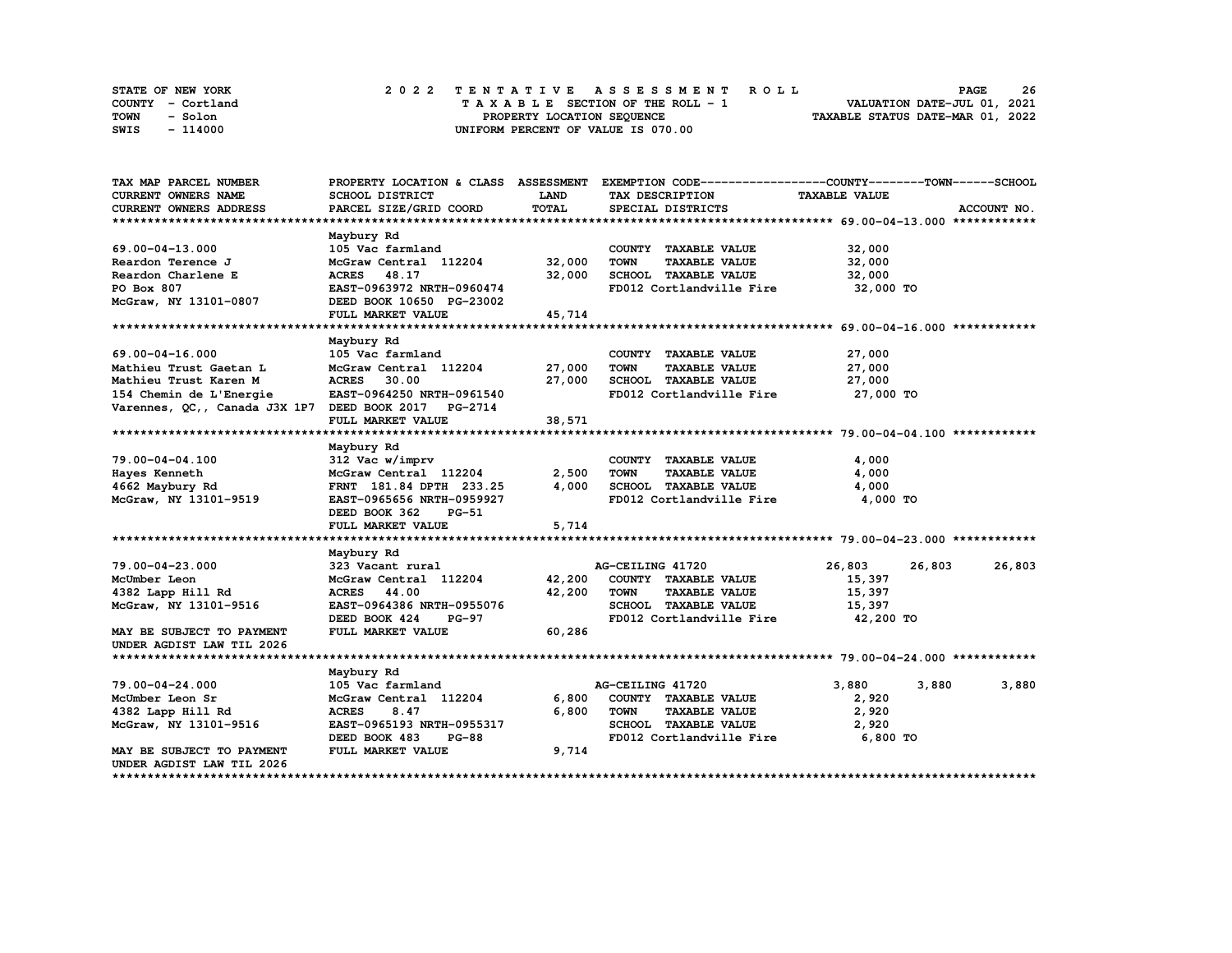| STATE OF NEW YORK | 2022 TENTATIVE ASSESSMENT ROLL     | 26<br><b>PAGE</b>                |
|-------------------|------------------------------------|----------------------------------|
| COUNTY - Cortland | TAXABLE SECTION OF THE ROLL - 1    | VALUATION DATE-JUL 01, 2021      |
| TOWN<br>- Solon   | PROPERTY LOCATION SEQUENCE         | TAXABLE STATUS DATE-MAR 01, 2022 |
| SWIS<br>- 114000  | UNIFORM PERCENT OF VALUE IS 070.00 |                                  |

| TAX MAP PARCEL NUMBER                                |                               |             | PROPERTY LOCATION & CLASS ASSESSMENT EXEMPTION CODE-----------------COUNTY-------TOWN------SCHOOL |                      |             |
|------------------------------------------------------|-------------------------------|-------------|---------------------------------------------------------------------------------------------------|----------------------|-------------|
| CURRENT OWNERS NAME                                  | SCHOOL DISTRICT               | <b>LAND</b> | TAX DESCRIPTION                                                                                   | <b>TAXABLE VALUE</b> |             |
| CURRENT OWNERS ADDRESS                               | PARCEL SIZE/GRID COORD        | TOTAL       | SPECIAL DISTRICTS                                                                                 |                      | ACCOUNT NO. |
|                                                      |                               |             |                                                                                                   |                      |             |
|                                                      | Maybury Rd                    |             |                                                                                                   |                      |             |
| 69.00-04-13.000                                      | 105 Vac farmland              |             | COUNTY TAXABLE VALUE                                                                              | 32,000               |             |
| Reardon Terence J                                    | McGraw Central 112204 32,000  |             | TOWN<br><b>TAXABLE VALUE</b>                                                                      | 32,000               |             |
| Reardon Charlene E                                   | <b>ACRES</b> 48.17            | 32,000      | SCHOOL TAXABLE VALUE                                                                              | 32,000               |             |
| PO Box 807                                           | EAST-0963972 NRTH-0960474     |             | FD012 Cortlandville Fire                                                                          | 32,000 TO            |             |
| McGraw, NY 13101-0807                                | DEED BOOK 10650 PG-23002      |             |                                                                                                   |                      |             |
|                                                      | FULL MARKET VALUE             | 45,714      |                                                                                                   |                      |             |
|                                                      |                               |             |                                                                                                   |                      |             |
|                                                      | Maybury Rd                    |             |                                                                                                   |                      |             |
| 69.00-04-16.000                                      | 105 Vac farmland              |             | COUNTY TAXABLE VALUE                                                                              | 27,000               |             |
| Mathieu Trust Gaetan L                               | McGraw Central 112204         | 27,000      | TOWN<br><b>TAXABLE VALUE</b>                                                                      | 27,000               |             |
| Mathieu Trust Karen M                                | <b>ACRES</b><br>30.00         | 27,000      | SCHOOL TAXABLE VALUE                                                                              | 27,000               |             |
| 154 Chemin de L'Energie                              | EAST-0964250 NRTH-0961540     |             | FD012 Cortlandville Fire 27,000 TO                                                                |                      |             |
| Varennes, QC,, Canada J3X 1P7 DEED BOOK 2017 PG-2714 |                               |             |                                                                                                   |                      |             |
|                                                      | FULL MARKET VALUE             | 38,571      |                                                                                                   |                      |             |
|                                                      |                               |             |                                                                                                   |                      |             |
|                                                      | Maybury Rd                    |             |                                                                                                   |                      |             |
| 79.00-04-04.100                                      | 312 Vac w/imprv               |             | COUNTY TAXABLE VALUE                                                                              | 4,000                |             |
| Hayes Kenneth                                        | McGraw Central 112204         | 2,500       | <b>TOWN</b><br><b>TAXABLE VALUE</b>                                                               | 4,000                |             |
| 4662 Maybury Rd                                      | FRNT 181.84 DPTH 233.25       | 4,000       | SCHOOL TAXABLE VALUE                                                                              | 4,000                |             |
| McGraw, NY 13101-9519                                | EAST-0965656 NRTH-0959927     |             | FD012 Cortlandville Fire                                                                          | 4,000 TO             |             |
|                                                      | DEED BOOK 362<br>PG-51        |             |                                                                                                   |                      |             |
|                                                      | FULL MARKET VALUE             | 5,714       |                                                                                                   |                      |             |
|                                                      |                               |             |                                                                                                   |                      |             |
|                                                      | Maybury Rd                    |             |                                                                                                   |                      |             |
| 79.00-04-23.000                                      | 323 Vacant rural              |             | AG-CEILING 41720                                                                                  | 26,803<br>26,803     | 26,803      |
| McUmber Leon                                         | McGraw Central 112204         |             | 42,200 COUNTY TAXABLE VALUE                                                                       | 15,397               |             |
| 4382 Lapp Hill Rd                                    | <b>ACRES</b> 44.00            | 42,200      | <b>TOWN</b><br><b>TAXABLE VALUE</b>                                                               | 15,397               |             |
| McGraw, NY 13101-9516                                | EAST-0964386 NRTH-0955076     |             | SCHOOL TAXABLE VALUE                                                                              | 15,397               |             |
|                                                      | DEED BOOK 424<br><b>PG-97</b> |             | FD012 Cortlandville Fire                                                                          | 42,200 TO            |             |
| MAY BE SUBJECT TO PAYMENT                            | FULL MARKET VALUE             | 60,286      |                                                                                                   |                      |             |
| UNDER AGDIST LAW TIL 2026                            |                               |             |                                                                                                   |                      |             |
|                                                      |                               |             |                                                                                                   |                      |             |
|                                                      | Maybury Rd                    |             |                                                                                                   |                      |             |
| $79.00 - 04 - 24.000$                                | 105 Vac farmland              |             | AG-CEILING 41720                                                                                  | 3,880<br>3,880       | 3,880       |
| McUmber Leon Sr                                      | McGraw Central 112204         | 6,800       | COUNTY TAXABLE VALUE                                                                              | 2,920                |             |
| 4382 Lapp Hill Rd                                    | <b>ACRES</b><br>8.47          | 6,800       | <b>TOWN</b><br><b>TAXABLE VALUE</b>                                                               | 2,920                |             |
| McGraw, NY 13101-9516                                | EAST-0965193 NRTH-0955317     |             | SCHOOL TAXABLE VALUE                                                                              | 2,920                |             |
|                                                      | DEED BOOK 483<br><b>PG-88</b> |             | FD012 Cortlandville Fire                                                                          | 6,800 TO             |             |
| MAY BE SUBJECT TO PAYMENT                            | FULL MARKET VALUE             | 9,714       |                                                                                                   |                      |             |
| UNDER AGDIST LAW TIL 2026                            |                               |             |                                                                                                   |                      |             |
|                                                      |                               |             |                                                                                                   |                      |             |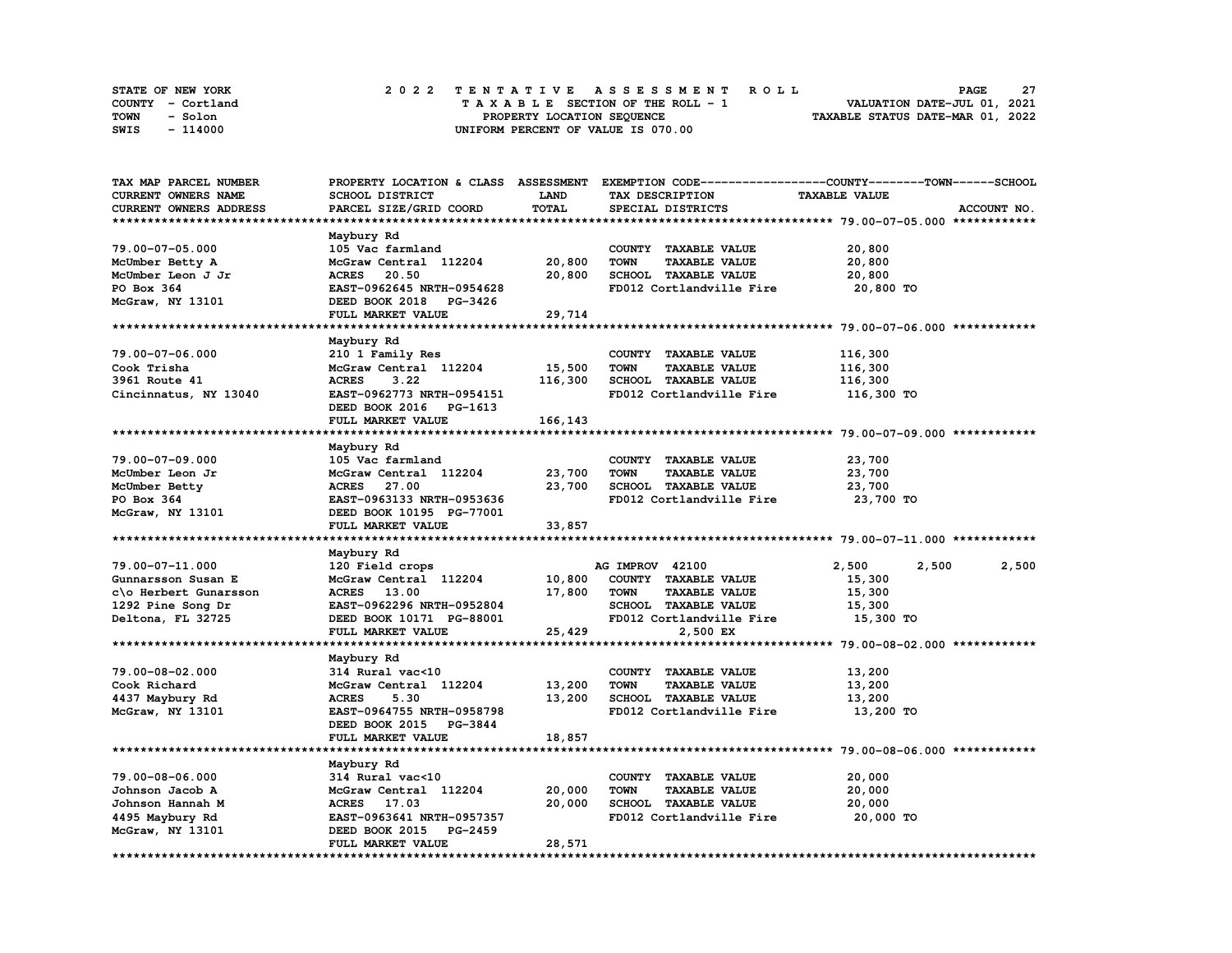| STATE OF NEW YORK | 2022 TENTATIVE ASSESSMENT ROLL     | -27<br><b>PAGE</b>               |
|-------------------|------------------------------------|----------------------------------|
| COUNTY - Cortland | TAXABLE SECTION OF THE ROLL - 1    | VALUATION DATE-JUL 01, 2021      |
| TOWN<br>- Solon   | PROPERTY LOCATION SEQUENCE         | TAXABLE STATUS DATE-MAR 01, 2022 |
| - 114000<br>SWIS  | UNIFORM PERCENT OF VALUE IS 070.00 |                                  |

| TAX MAP PARCEL NUMBER      |                                                       |              |                                     | PROPERTY LOCATION & CLASS ASSESSMENT EXEMPTION CODE-----------------COUNTY-------TOWN-----SCHOOL |
|----------------------------|-------------------------------------------------------|--------------|-------------------------------------|--------------------------------------------------------------------------------------------------|
| <b>CURRENT OWNERS NAME</b> | SCHOOL DISTRICT                                       | <b>LAND</b>  | TAX DESCRIPTION                     | <b>TAXABLE VALUE</b>                                                                             |
| CURRENT OWNERS ADDRESS     | PARCEL SIZE/GRID COORD                                | <b>TOTAL</b> | SPECIAL DISTRICTS                   | ACCOUNT NO.                                                                                      |
|                            |                                                       |              |                                     |                                                                                                  |
|                            |                                                       |              |                                     |                                                                                                  |
|                            | Maybury Rd                                            |              |                                     |                                                                                                  |
| 79.00-07-05.000            | 105 Vac farmland                                      |              | COUNTY TAXABLE VALUE                | 20,800                                                                                           |
| McUmber Betty A            | McGraw Central 112204                                 | 20,800       | <b>TOWN</b><br><b>TAXABLE VALUE</b> | 20,800                                                                                           |
| McUmber Leon J Jr          | <b>ACRES</b><br>20.50                                 | 20,800       | SCHOOL TAXABLE VALUE                | 20,800                                                                                           |
| PO Box 364                 | EAST-0962645 NRTH-0954628                             |              | FD012 Cortlandville Fire            | 20,800 TO                                                                                        |
| McGraw, NY 13101           | DEED BOOK 2018 PG-3426                                |              |                                     |                                                                                                  |
|                            | FULL MARKET VALUE                                     | 29,714       |                                     |                                                                                                  |
|                            |                                                       |              |                                     |                                                                                                  |
|                            | Maybury Rd                                            |              |                                     |                                                                                                  |
| 79.00-07-06.000            | 210 1 Family Res                                      |              | COUNTY TAXABLE VALUE                | 116,300                                                                                          |
| Cook Trisha                | McGraw Central 112204                                 | 15,500       | <b>TOWN</b><br>TAXABLE VALUE        | 116,300                                                                                          |
|                            |                                                       |              |                                     |                                                                                                  |
| 3961 Route 41              | <b>ACRES</b><br>3.22                                  | 116,300      | SCHOOL TAXABLE VALUE                | 116,300                                                                                          |
| Cincinnatus, NY 13040      | EAST-0962773 NRTH-0954151                             |              | FD012 Cortlandville Fire            | 116,300 TO                                                                                       |
|                            | DEED BOOK 2016 PG-1613                                |              |                                     |                                                                                                  |
|                            | FULL MARKET VALUE                                     | 166,143      |                                     |                                                                                                  |
|                            |                                                       |              |                                     |                                                                                                  |
|                            | Maybury Rd                                            |              |                                     |                                                                                                  |
| 79.00-07-09.000            | 105 Vac farmland                                      |              | COUNTY TAXABLE VALUE                | 23,700                                                                                           |
| McUmber Leon Jr            | McGraw Central 112204                                 | 23,700       | <b>TOWN</b><br><b>TAXABLE VALUE</b> | 23,700                                                                                           |
| McUmber Betty              | ACRES 27.00                                           | 23,700       | SCHOOL TAXABLE VALUE                | 23,700                                                                                           |
| PO Box 364                 | EAST-0963133 NRTH-0953636                             |              | FD012 Cortlandville Fire            | 23,700 TO                                                                                        |
|                            | DEED BOOK 10195 PG-77001                              |              |                                     |                                                                                                  |
| McGraw, NY 13101           |                                                       |              |                                     |                                                                                                  |
|                            | FULL MARKET VALUE                                     | 33,857       |                                     |                                                                                                  |
|                            |                                                       |              |                                     |                                                                                                  |
|                            | Maybury Rd                                            |              |                                     |                                                                                                  |
| 79.00-07-11.000            | 120 Field crops                                       |              | AG IMPROV 42100                     | 2,500<br>2,500<br>2,500                                                                          |
| Gunnarsson Susan E         | McGraw Central 112204                                 | 10,800       | COUNTY TAXABLE VALUE                | 15,300                                                                                           |
|                            |                                                       |              | <b>TOWN</b><br><b>TAXABLE VALUE</b> | 15,300                                                                                           |
| c\o Herbert Gunarsson      | <b>ACRES</b> 13.00                                    | 17,800       |                                     |                                                                                                  |
| 1292 Pine Song Dr          | EAST-0962296 NRTH-0952804                             |              | SCHOOL TAXABLE VALUE                | 15,300                                                                                           |
|                            | DEED BOOK 10171 PG-88001                              |              |                                     | 15,300 TO                                                                                        |
| Deltona, FL 32725          |                                                       |              | FD012 Cortlandville Fire            |                                                                                                  |
|                            | FULL MARKET VALUE                                     | 25,429       | 2,500 EX                            |                                                                                                  |
|                            |                                                       |              |                                     |                                                                                                  |
|                            | Maybury Rd                                            |              |                                     |                                                                                                  |
| 79.00-08-02.000            | 314 Rural vac<10                                      |              | COUNTY TAXABLE VALUE                | 13,200                                                                                           |
| Cook Richard               | McGraw Central 112204                                 | 13,200       | <b>TOWN</b><br><b>TAXABLE VALUE</b> | 13,200                                                                                           |
| 4437 Maybury Rd            | <b>ACRES</b><br>5.30                                  | 13,200       | SCHOOL TAXABLE VALUE                | 13,200                                                                                           |
| McGraw, NY 13101           | EAST-0964755 NRTH-0958798                             |              | FD012 Cortlandville Fire            | 13,200 TO                                                                                        |
|                            | DEED BOOK 2015 PG-3844                                |              |                                     |                                                                                                  |
|                            | FULL MARKET VALUE                                     | 18,857       |                                     |                                                                                                  |
|                            |                                                       |              |                                     |                                                                                                  |
|                            | Maybury Rd                                            |              |                                     |                                                                                                  |
| 79.00-08-06.000            | 314 Rural vac<10                                      |              | COUNTY TAXABLE VALUE                | 20,000                                                                                           |
| Johnson Jacob A            | McGraw Central 112204                                 | 20,000       | <b>TOWN</b><br><b>TAXABLE VALUE</b> | 20,000                                                                                           |
|                            |                                                       |              |                                     |                                                                                                  |
| Johnson Hannah M           | ACRES 17.03                                           | 20,000       | SCHOOL TAXABLE VALUE                | 20,000                                                                                           |
| 4495 Maybury Rd            | EAST-0963641 NRTH-0957357                             |              | FD012 Cortlandville Fire            | 20,000 TO                                                                                        |
| McGraw, NY 13101           | DEED BOOK 2015<br><b>PG-2459</b><br>FULL MARKET VALUE | 28,571       |                                     |                                                                                                  |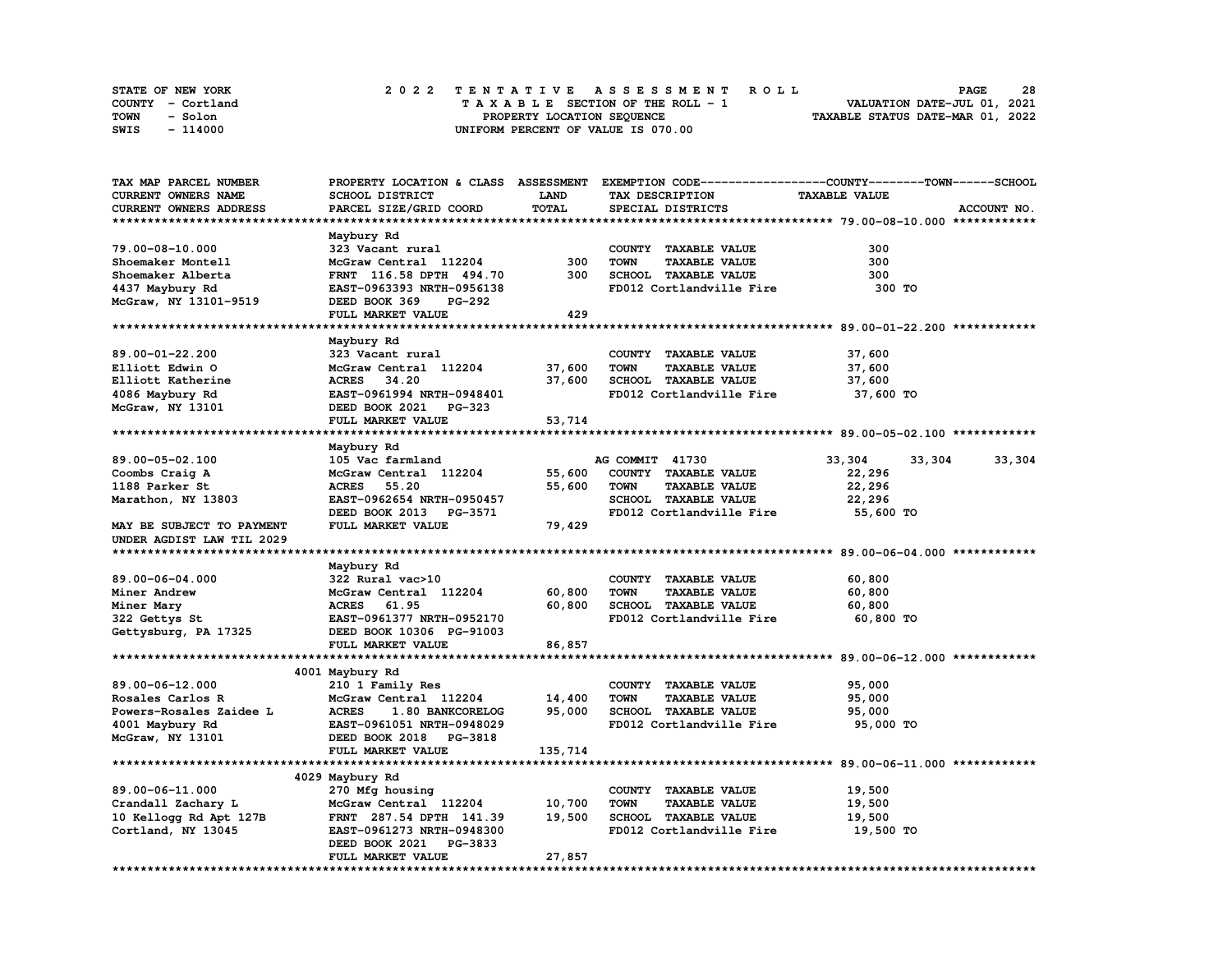| STATE OF NEW YORK | 2022 TENTATIVE ASSESSMENT ROLL     | 28<br><b>PAGE</b>                |
|-------------------|------------------------------------|----------------------------------|
| COUNTY - Cortland | TAXABLE SECTION OF THE ROLL - 1    | VALUATION DATE-JUL 01, 2021      |
| TOWN<br>- Solon   | PROPERTY LOCATION SEQUENCE         | TAXABLE STATUS DATE-MAR 01, 2022 |
| SWIS<br>- 114000  | UNIFORM PERCENT OF VALUE IS 070.00 |                                  |

| TAX MAP PARCEL NUMBER     |                                  |             |                                     | PROPERTY LOCATION & CLASS ASSESSMENT EXEMPTION CODE----------------COUNTY-------TOWN-----SCHOOL |        |
|---------------------------|----------------------------------|-------------|-------------------------------------|-------------------------------------------------------------------------------------------------|--------|
| CURRENT OWNERS NAME       | SCHOOL DISTRICT                  | <b>LAND</b> | TAX DESCRIPTION                     | <b>TAXABLE VALUE</b>                                                                            |        |
| CURRENT OWNERS ADDRESS    | PARCEL SIZE/GRID COORD           | TOTAL       | SPECIAL DISTRICTS                   | ACCOUNT NO.                                                                                     |        |
|                           |                                  |             |                                     |                                                                                                 |        |
|                           | Maybury Rd                       |             |                                     |                                                                                                 |        |
| 79.00-08-10.000           | 323 Vacant rural                 |             | COUNTY TAXABLE VALUE                | 300                                                                                             |        |
| Shoemaker Montell         | McGraw Central 112204            | 300         | <b>TOWN</b><br><b>TAXABLE VALUE</b> | 300                                                                                             |        |
| Shoemaker Alberta         | FRNT 116.58 DPTH 494.70          | 300         | SCHOOL TAXABLE VALUE                | 300                                                                                             |        |
| 4437 Maybury Rd           | EAST-0963393 NRTH-0956138        |             | FD012 Cortlandville Fire            | 300 TO                                                                                          |        |
| McGraw, NY 13101-9519     | DEED BOOK 369<br>PG-292          |             |                                     |                                                                                                 |        |
|                           | FULL MARKET VALUE                | 429         |                                     |                                                                                                 |        |
|                           |                                  |             |                                     |                                                                                                 |        |
|                           |                                  |             |                                     |                                                                                                 |        |
|                           | Maybury Rd                       |             |                                     |                                                                                                 |        |
| 89.00-01-22.200           | 323 Vacant rural                 |             | COUNTY TAXABLE VALUE                | 37,600                                                                                          |        |
| Elliott Edwin O           | McGraw Central 112204            | 37,600      | <b>TOWN</b><br><b>TAXABLE VALUE</b> | 37,600                                                                                          |        |
| Elliott Katherine         | ACRES 34.20                      | 37,600      | SCHOOL TAXABLE VALUE                | 37,600                                                                                          |        |
| 4086 Maybury Rd           | EAST-0961994 NRTH-0948401        |             | FD012 Cortlandville Fire            | 37,600 TO                                                                                       |        |
| McGraw, NY 13101          | DEED BOOK 2021 PG-323            |             |                                     |                                                                                                 |        |
|                           | FULL MARKET VALUE                | 53,714      |                                     |                                                                                                 |        |
|                           |                                  |             |                                     |                                                                                                 |        |
|                           | Maybury Rd                       |             |                                     |                                                                                                 |        |
| 89.00-05-02.100           | 105 Vac farmland                 |             | AG COMMIT 41730                     | 33,304<br>33,304                                                                                | 33,304 |
| Coombs Craig A            | McGraw Central 112204            | 55,600      | COUNTY TAXABLE VALUE                | 22,296                                                                                          |        |
| 1188 Parker St            | <b>ACRES</b><br>55.20            | 55,600      | <b>TOWN</b><br><b>TAXABLE VALUE</b> | 22,296                                                                                          |        |
| Marathon, NY 13803        | EAST-0962654 NRTH-0950457        |             | SCHOOL TAXABLE VALUE                | 22,296                                                                                          |        |
|                           | DEED BOOK 2013 PG-3571           |             | FD012 Cortlandville Fire            | 55,600 TO                                                                                       |        |
| MAY BE SUBJECT TO PAYMENT | FULL MARKET VALUE                | 79,429      |                                     |                                                                                                 |        |
| UNDER AGDIST LAW TIL 2029 |                                  |             |                                     |                                                                                                 |        |
|                           |                                  |             |                                     |                                                                                                 |        |
|                           | Maybury Rd                       |             |                                     |                                                                                                 |        |
| 89.00-06-04.000           | 322 Rural vac>10                 |             | COUNTY TAXABLE VALUE                | 60,800                                                                                          |        |
| Miner Andrew              | McGraw Central 112204            | 60,800      | <b>TOWN</b><br><b>TAXABLE VALUE</b> | 60,800                                                                                          |        |
|                           | ACRES 61.95                      | 60,800      | SCHOOL TAXABLE VALUE                | 60,800                                                                                          |        |
| Miner Mary                | EAST-0961377 NRTH-0952170        |             | FD012 Cortlandville Fire            |                                                                                                 |        |
| 322 Gettys St             |                                  |             |                                     | 60,800 TO                                                                                       |        |
| Gettysburg, PA 17325      | DEED BOOK 10306 PG-91003         |             |                                     |                                                                                                 |        |
|                           | FULL MARKET VALUE                | 86,857      |                                     |                                                                                                 |        |
|                           |                                  |             |                                     |                                                                                                 |        |
|                           | 4001 Maybury Rd                  |             |                                     |                                                                                                 |        |
| 89.00-06-12.000           | 210 1 Family Res                 |             | COUNTY TAXABLE VALUE                | 95,000                                                                                          |        |
| Rosales Carlos R          | McGraw Central 112204            | 14,400      | <b>TOWN</b><br><b>TAXABLE VALUE</b> | 95,000                                                                                          |        |
| Powers-Rosales Zaidee L   | <b>ACRES</b><br>1.80 BANKCORELOG | 95,000      | SCHOOL TAXABLE VALUE                | 95,000                                                                                          |        |
| 4001 Maybury Rd           | EAST-0961051 NRTH-0948029        |             | FD012 Cortlandville Fire            | 95,000 TO                                                                                       |        |
| McGraw, NY 13101          | DEED BOOK 2018 PG-3818           |             |                                     |                                                                                                 |        |
|                           | FULL MARKET VALUE                | 135,714     |                                     |                                                                                                 |        |
|                           |                                  |             |                                     |                                                                                                 |        |
|                           | 4029 Maybury Rd                  |             |                                     |                                                                                                 |        |
| 89.00-06-11.000           | 270 Mfg housing                  |             | COUNTY TAXABLE VALUE                | 19,500                                                                                          |        |
| Crandall Zachary L        | McGraw Central 112204            | 10,700      | <b>TAXABLE VALUE</b><br>TOWN        | 19,500                                                                                          |        |
| 10 Kellogg Rd Apt 127B    | FRNT 287.54 DPTH 141.39          | 19,500      | SCHOOL TAXABLE VALUE                | 19,500                                                                                          |        |
| Cortland, NY 13045        | EAST-0961273 NRTH-0948300        |             | FD012 Cortlandville Fire            | 19,500 TO                                                                                       |        |
|                           | DEED BOOK 2021<br><b>PG-3833</b> |             |                                     |                                                                                                 |        |
|                           | FULL MARKET VALUE                | 27,857      |                                     |                                                                                                 |        |
|                           |                                  |             |                                     |                                                                                                 |        |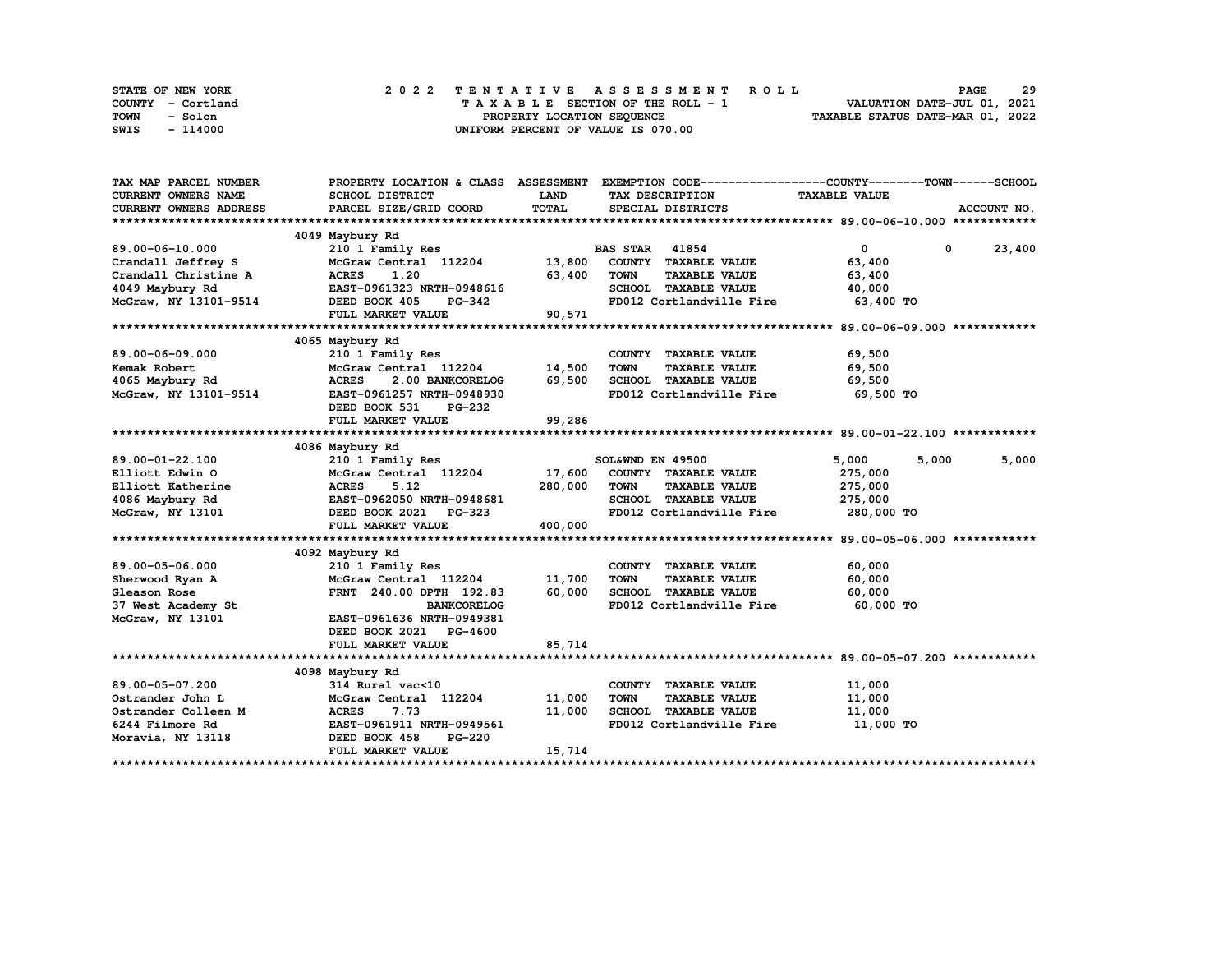| STATE OF NEW YORK | 2022 TENTATIVE ASSESSMENT ROLL     | 29<br><b>PAGE</b>                |
|-------------------|------------------------------------|----------------------------------|
| COUNTY - Cortland | TAXABLE SECTION OF THE ROLL - 1    | VALUATION DATE-JUL 01, 2021      |
| TOWN<br>- Solon   | PROPERTY LOCATION SEQUENCE         | TAXABLE STATUS DATE-MAR 01, 2022 |
| - 114000<br>SWIS  | UNIFORM PERCENT OF VALUE IS 070.00 |                                  |

| TAX MAP PARCEL NUMBER                                    |                                  |         |                                     | PROPERTY LOCATION & CLASS ASSESSMENT EXEMPTION CODE----------------COUNTY-------TOWN-----SCHOOL |               |
|----------------------------------------------------------|----------------------------------|---------|-------------------------------------|-------------------------------------------------------------------------------------------------|---------------|
| <b>CURRENT OWNERS NAME</b>                               | <b>SCHOOL DISTRICT</b>           | LAND    | TAX DESCRIPTION                     | <b>TAXABLE VALUE</b>                                                                            |               |
| <b>CURRENT OWNERS ADDRESS</b>                            | PARCEL SIZE/GRID COORD           | TOTAL   | SPECIAL DISTRICTS                   |                                                                                                 | ACCOUNT NO.   |
|                                                          |                                  |         |                                     |                                                                                                 |               |
|                                                          | 4049 Maybury Rd                  |         |                                     |                                                                                                 |               |
| 89.00-06-10.000                                          | 210 1 Family Res                 |         | <b>BAS STAR 41854</b>               | $\overline{0}$                                                                                  | $0 \t 23,400$ |
| Crandall Jeffrey S                                       | McGraw Central 112204 13,800     |         | COUNTY TAXABLE VALUE                | 63,400                                                                                          |               |
| Crandall Christine A                                     | <b>ACRES</b><br>1.20             | 63,400  | <b>TOWN</b><br><b>TAXABLE VALUE</b> | 63,400                                                                                          |               |
| 4049 Maybury Rd                                          | EAST-0961323 NRTH-0948616        |         | SCHOOL TAXABLE VALUE                | 40,000                                                                                          |               |
| $MCGraw, NY 13101-9514$ DEED BOOK 405                    | ктн-v948616<br>PG-342            |         | FD012 Cortlandville Fire            | 63,400 TO                                                                                       |               |
|                                                          | FULL MARKET VALUE                | 90,571  |                                     |                                                                                                 |               |
|                                                          |                                  |         |                                     |                                                                                                 |               |
|                                                          | 4065 Maybury Rd                  |         |                                     |                                                                                                 |               |
| 89.00-06-09.000                                          | 210 1 Family Res                 |         | COUNTY TAXABLE VALUE                | 69,500                                                                                          |               |
| Kemak Robert                                             | McGraw Central 112204 14,500     |         | TOWN<br><b>TAXABLE VALUE</b>        | 69,500                                                                                          |               |
| 4065 Maybury Rd                                          | 2.00 BANKCORELOG<br><b>ACRES</b> | 69,500  | SCHOOL TAXABLE VALUE                | 69,500                                                                                          |               |
| McGraw, NY 13101-9514                                    | EAST-0961257 NRTH-0948930        |         | FD012 Cortlandville Fire 69,500 TO  |                                                                                                 |               |
|                                                          | DEED BOOK 531<br><b>PG-232</b>   |         |                                     |                                                                                                 |               |
|                                                          | FULL MARKET VALUE                | 99,286  |                                     |                                                                                                 |               |
|                                                          |                                  |         |                                     |                                                                                                 |               |
|                                                          | 4086 Maybury Rd                  |         |                                     |                                                                                                 |               |
| 89.00-01-22.100                                          | 210 1 Family Res                 |         | SOL&WND EN 49500                    | 5,000<br>5,000                                                                                  | 5,000         |
| Elliott Edwin O                                          | McGraw Central 112204 17,600     |         | COUNTY TAXABLE VALUE                |                                                                                                 |               |
|                                                          | <b>ACRES</b><br>5.12             | 280,000 | <b>TOWN</b><br><b>TAXABLE VALUE</b> | 275,000<br>275,000                                                                              |               |
| Elliott Katherine<br>4086 Maybury Rd<br>McGraw, NY 13101 | EAST-0962050 NRTH-0948681        |         | SCHOOL TAXABLE VALUE                |                                                                                                 |               |
|                                                          |                                  |         |                                     | 275,000                                                                                         |               |
|                                                          | DEED BOOK 2021 PG-323            |         | FD012 Cortlandville Fire            | 280,000 TO                                                                                      |               |
|                                                          | FULL MARKET VALUE                | 400,000 |                                     |                                                                                                 |               |
|                                                          |                                  |         |                                     |                                                                                                 |               |
|                                                          | 4092 Maybury Rd                  |         |                                     |                                                                                                 |               |
| 89.00-05-06.000                                          | 210 1 Family Res                 |         | COUNTY TAXABLE VALUE                | 60,000                                                                                          |               |
| Sherwood Ryan A                                          | McGraw Central 112204            | 11,700  | <b>TAXABLE VALUE</b><br><b>TOWN</b> | 60,000                                                                                          |               |
| Gleason Rose                                             | FRNT 240.00 DPTH 192.83          | 60,000  | SCHOOL TAXABLE VALUE                | 60,000                                                                                          |               |
| 37 West Academy St                                       | <b>BANKCORELOG</b>               |         | FD012 Cortlandville Fire 60,000 TO  |                                                                                                 |               |
| McGraw, NY 13101                                         | EAST-0961636 NRTH-0949381        |         |                                     |                                                                                                 |               |
|                                                          | DEED BOOK 2021 PG-4600           |         |                                     |                                                                                                 |               |
|                                                          | FULL MARKET VALUE                | 85,714  |                                     |                                                                                                 |               |
|                                                          |                                  |         |                                     |                                                                                                 |               |
|                                                          | 4098 Maybury Rd                  |         |                                     |                                                                                                 |               |
| 89.00-05-07.200                                          | 314 Rural vac<10                 |         | COUNTY TAXABLE VALUE                | 11,000                                                                                          |               |
| Ostrander John L                                         | McGraw Central 112204            | 11,000  | <b>TOWN</b><br><b>TAXABLE VALUE</b> | 11,000                                                                                          |               |
| Ostrander Colleen M                                      | <b>ACRES</b><br>7.73             | 11,000  | SCHOOL TAXABLE VALUE                | 11,000                                                                                          |               |
| 6244 Filmore Rd                                          | EAST-0961911 NRTH-0949561        |         | FD012 Cortlandville Fire 11,000 TO  |                                                                                                 |               |
| Moravia, NY 13118                                        | DEED BOOK 458<br><b>PG-220</b>   |         |                                     |                                                                                                 |               |
|                                                          | FULL MARKET VALUE                | 15,714  |                                     |                                                                                                 |               |
|                                                          |                                  |         |                                     |                                                                                                 |               |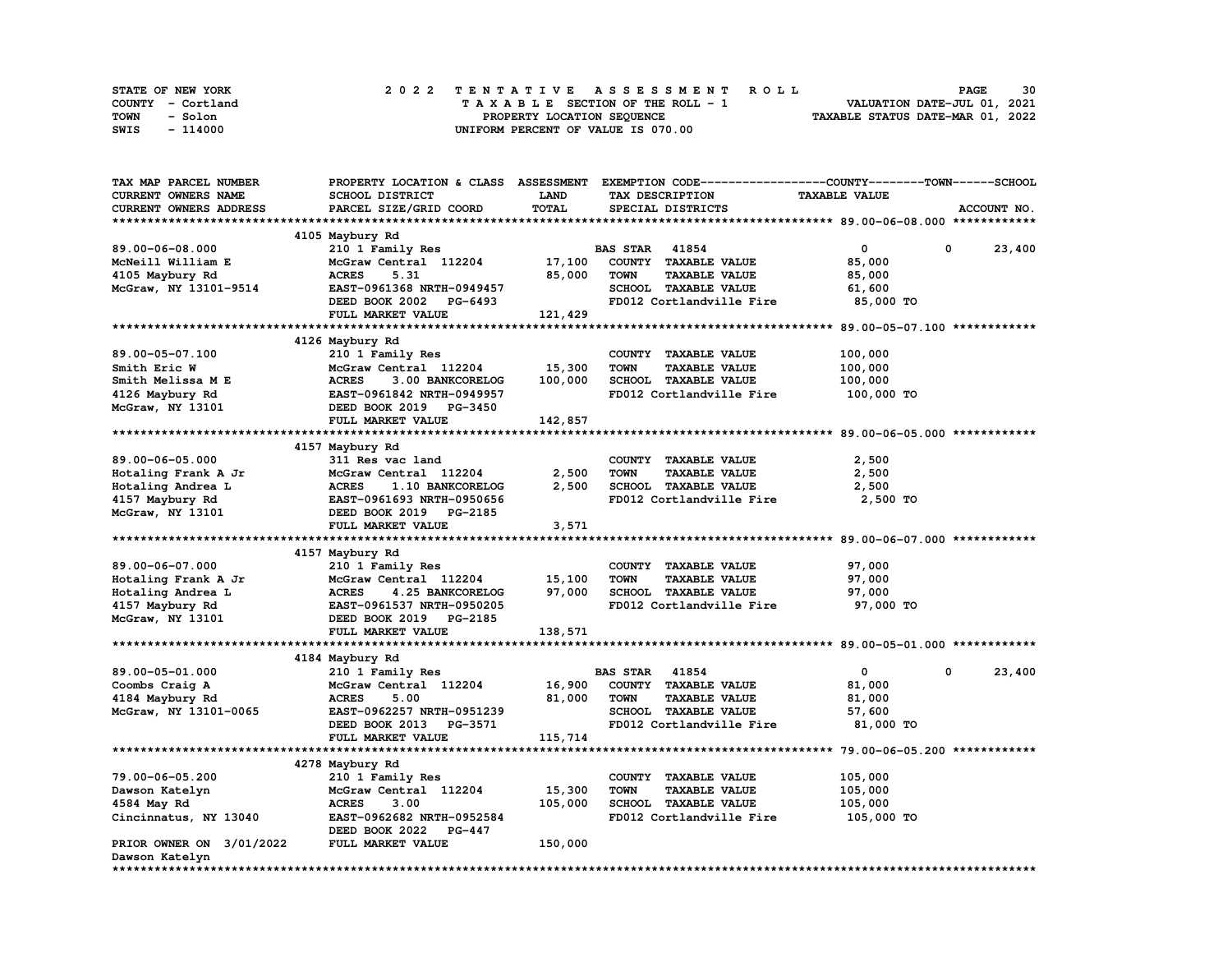| STATE OF NEW YORK | 2022 TENTATIVE ASSESSMENT ROLL     | 30<br><b>PAGE</b>                |
|-------------------|------------------------------------|----------------------------------|
| COUNTY - Cortland | TAXABLE SECTION OF THE ROLL - 1    | VALUATION DATE-JUL 01, 2021      |
| TOWN<br>- Solon   | PROPERTY LOCATION SEQUENCE         | TAXABLE STATUS DATE-MAR 01, 2022 |
| - 114000<br>SWIS  | UNIFORM PERCENT OF VALUE IS 070.00 |                                  |

| TAX MAP PARCEL NUMBER    | PROPERTY LOCATION & CLASS        |         | ASSESSMENT EXEMPTION CODE-----------------COUNTY-------TOWN-----SCHOOL |                      |                      |
|--------------------------|----------------------------------|---------|------------------------------------------------------------------------|----------------------|----------------------|
| CURRENT OWNERS NAME      | <b>SCHOOL DISTRICT</b>           | LAND    | TAX DESCRIPTION                                                        | <b>TAXABLE VALUE</b> |                      |
| CURRENT OWNERS ADDRESS   | PARCEL SIZE/GRID COORD           | TOTAL   | SPECIAL DISTRICTS                                                      |                      | ACCOUNT NO.          |
|                          |                                  |         |                                                                        |                      |                      |
|                          | 4105 Maybury Rd                  |         |                                                                        |                      |                      |
| 89.00-06-08.000          | 210 1 Family Res                 |         | <b>BAS STAR</b> 41854                                                  | 0                    | 0<br>23,400          |
| McNeill William E        | McGraw Central 112204            | 17,100  | COUNTY TAXABLE VALUE                                                   | 85,000               |                      |
| 4105 Maybury Rd          | <b>ACRES</b><br>5.31             | 85,000  | <b>TAXABLE VALUE</b><br><b>TOWN</b>                                    | 85,000               |                      |
| McGraw, NY 13101-9514    | EAST-0961368 NRTH-0949457        |         | SCHOOL TAXABLE VALUE                                                   | 61,600               |                      |
|                          |                                  |         | FD012 Cortlandville Fire                                               | 85,000 TO            |                      |
|                          | DEED BOOK 2002 PG-6493           |         |                                                                        |                      |                      |
|                          | FULL MARKET VALUE                | 121,429 |                                                                        |                      |                      |
|                          |                                  |         |                                                                        |                      |                      |
|                          | 4126 Maybury Rd                  |         |                                                                        |                      |                      |
| 89.00-05-07.100          | 210 1 Family Res                 |         | COUNTY TAXABLE VALUE                                                   | 100,000              |                      |
| Smith Eric W             | McGraw Central 112204            | 15,300  | <b>TOWN</b><br><b>TAXABLE VALUE</b>                                    | 100,000              |                      |
| Smith Melissa M E        | <b>ACRES</b><br>3.00 BANKCORELOG | 100,000 | SCHOOL TAXABLE VALUE                                                   | 100,000              |                      |
| 4126 Maybury Rd          | EAST-0961842 NRTH-0949957        |         | FD012 Cortlandville Fire                                               | 100,000 TO           |                      |
| McGraw, NY 13101         | DEED BOOK 2019 PG-3450           |         |                                                                        |                      |                      |
|                          | FULL MARKET VALUE                | 142,857 |                                                                        |                      |                      |
|                          |                                  |         |                                                                        |                      |                      |
|                          | 4157 Maybury Rd                  |         |                                                                        |                      |                      |
| 89.00-06-05.000          | 311 Res vac land                 |         | COUNTY TAXABLE VALUE                                                   | 2,500                |                      |
| Hotaling Frank A Jr      | McGraw Central 112204            | 2,500   | <b>TOWN</b><br><b>TAXABLE VALUE</b>                                    | 2,500                |                      |
| Hotaling Andrea L        | <b>ACRES</b><br>1.10 BANKCORELOG | 2,500   | SCHOOL TAXABLE VALUE                                                   | 2,500                |                      |
| 4157 Maybury Rd          | EAST-0961693 NRTH-0950656        |         | FD012 Cortlandville Fire                                               | 2,500 TO             |                      |
| McGraw, NY 13101         | DEED BOOK 2019 PG-2185           |         |                                                                        |                      |                      |
|                          | FULL MARKET VALUE                | 3,571   |                                                                        |                      |                      |
|                          |                                  |         |                                                                        |                      |                      |
|                          |                                  |         |                                                                        |                      |                      |
|                          | 4157 Maybury Rd                  |         |                                                                        |                      |                      |
| 89.00-06-07.000          | 210 1 Family Res                 |         | COUNTY TAXABLE VALUE                                                   | 97,000               |                      |
| Hotaling Frank A Jr      | McGraw Central 112204            | 15,100  | <b>TOWN</b><br><b>TAXABLE VALUE</b>                                    | 97,000               |                      |
| Hotaling Andrea L        | <b>ACRES</b><br>4.25 BANKCORELOG | 97,000  | SCHOOL TAXABLE VALUE                                                   | 97,000               |                      |
| 4157 Maybury Rd          | EAST-0961537 NRTH-0950205        |         | FD012 Cortlandville Fire                                               | 97,000 TO            |                      |
| $McGraw, NY$ 13101       | DEED BOOK 2019 PG-2185           |         |                                                                        |                      |                      |
|                          | FULL MARKET VALUE                | 138,571 |                                                                        |                      |                      |
|                          |                                  |         |                                                                        |                      |                      |
|                          | 4184 Maybury Rd                  |         |                                                                        |                      |                      |
| 89.00-05-01.000          | 210 1 Family Res                 |         | <b>BAS STAR 41854</b>                                                  | $\mathbf 0$          | $^{\circ}$<br>23,400 |
| Coombs Craig A           | McGraw Central 112204            | 16,900  | COUNTY TAXABLE VALUE                                                   | 81,000               |                      |
| 4184 Maybury Rd          | <b>ACRES</b><br>5.00             | 81,000  | <b>TOWN</b><br><b>TAXABLE VALUE</b>                                    | 81,000               |                      |
| McGraw, NY 13101-0065    | EAST-0962257 NRTH-0951239        |         | SCHOOL TAXABLE VALUE                                                   | 57,600               |                      |
|                          | DEED BOOK 2013 PG-3571           |         | FD012 Cortlandville Fire                                               | 81,000 TO            |                      |
|                          | FULL MARKET VALUE                | 115,714 |                                                                        |                      |                      |
|                          |                                  |         |                                                                        |                      |                      |
|                          | 4278 Maybury Rd                  |         |                                                                        |                      |                      |
| 79.00-06-05.200          | 210 1 Family Res                 |         | COUNTY TAXABLE VALUE                                                   | 105,000              |                      |
| Dawson Katelyn           | McGraw Central 112204            | 15,300  | <b>TOWN</b><br><b>TAXABLE VALUE</b>                                    | 105,000              |                      |
|                          |                                  | 105,000 | SCHOOL TAXABLE VALUE                                                   |                      |                      |
| 4584 May Rd              | <b>ACRES</b><br>3.00             |         |                                                                        | 105,000              |                      |
| Cincinnatus, NY 13040    | EAST-0962682 NRTH-0952584        |         | FD012 Cortlandville Fire                                               | 105,000 TO           |                      |
|                          | DEED BOOK 2022 PG-447            |         |                                                                        |                      |                      |
| PRIOR OWNER ON 3/01/2022 | FULL MARKET VALUE                | 150,000 |                                                                        |                      |                      |
| Dawson Katelyn           |                                  |         |                                                                        |                      |                      |
| ***********              |                                  |         |                                                                        |                      |                      |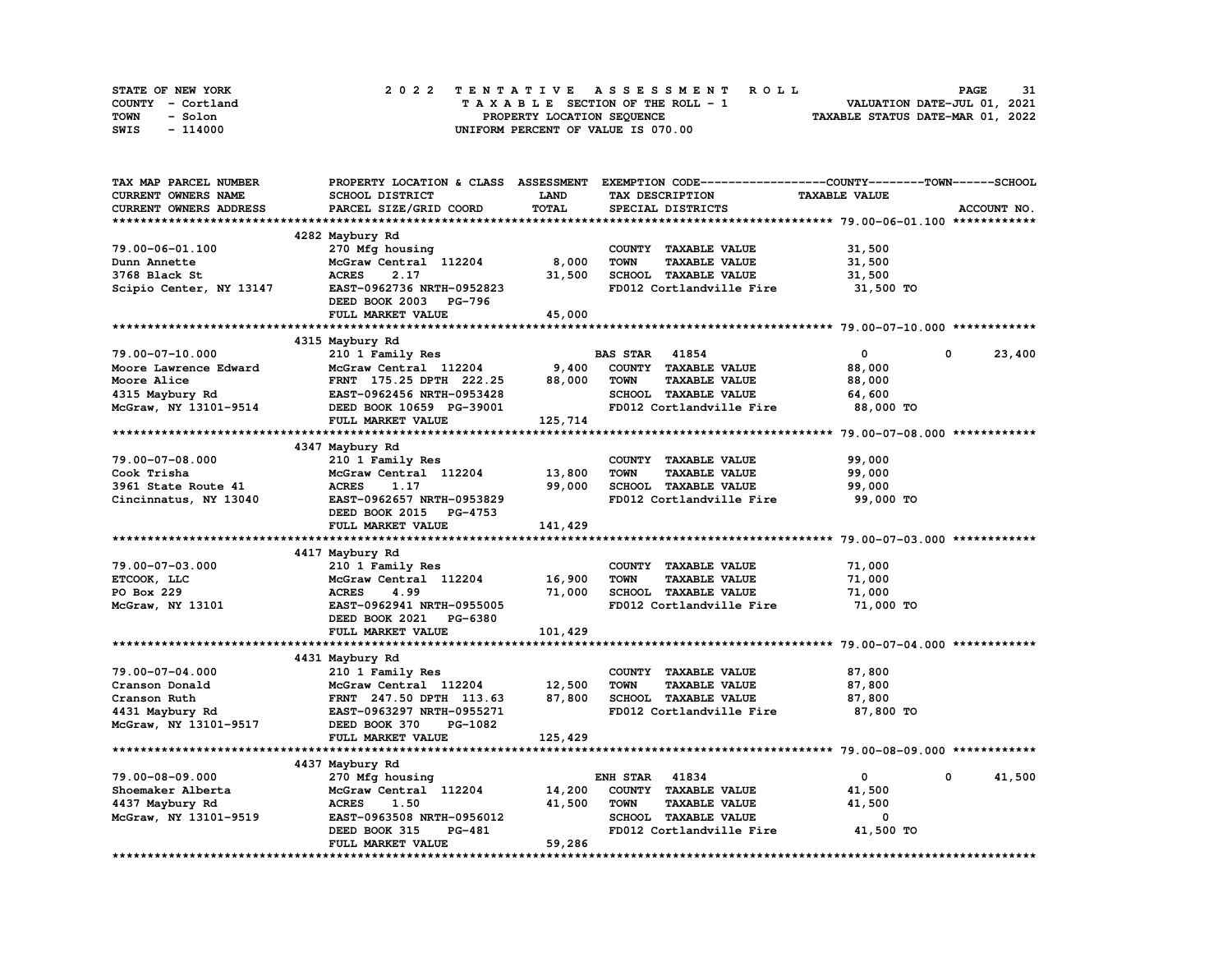| STATE OF NEW YORK | 2022 TENTATIVE ASSESSMENT ROLL     | 31<br><b>PAGE</b>                |
|-------------------|------------------------------------|----------------------------------|
| COUNTY - Cortland | TAXABLE SECTION OF THE ROLL - 1    | VALUATION DATE-JUL 01, 2021      |
| TOWN<br>- Solon   | PROPERTY LOCATION SEQUENCE         | TAXABLE STATUS DATE-MAR 01, 2022 |
| SWIS<br>- 114000  | UNIFORM PERCENT OF VALUE IS 070.00 |                                  |

| TAX MAP PARCEL NUMBER     |                           |             | PROPERTY LOCATION & CLASS ASSESSMENT EXEMPTION CODE-----------------COUNTY-------TOWN------SCHOOL |                      |             |
|---------------------------|---------------------------|-------------|---------------------------------------------------------------------------------------------------|----------------------|-------------|
| CURRENT OWNERS NAME       | SCHOOL DISTRICT           | <b>LAND</b> | TAX DESCRIPTION                                                                                   | <b>TAXABLE VALUE</b> |             |
| CURRENT OWNERS ADDRESS    | PARCEL SIZE/GRID COORD    | TOTAL       | SPECIAL DISTRICTS                                                                                 |                      | ACCOUNT NO. |
|                           |                           |             |                                                                                                   |                      |             |
|                           | 4282 Maybury Rd           |             |                                                                                                   |                      |             |
| 79.00-06-01.100           | 270 Mfg housing           |             | COUNTY TAXABLE VALUE                                                                              | 31,500               |             |
| Dunn Annette              | McGraw Central 112204     | 8,000       | <b>TOWN</b><br><b>TAXABLE VALUE</b>                                                               | 31,500               |             |
|                           | 2.17<br><b>ACRES</b>      | 31,500      | SCHOOL TAXABLE VALUE                                                                              |                      |             |
| 3768 Black St             |                           |             |                                                                                                   | 31,500               |             |
| Scipio Center, NY 13147   | EAST-0962736 NRTH-0952823 |             | FD012 Cortlandville Fire                                                                          | 31,500 TO            |             |
|                           | DEED BOOK 2003 PG-796     |             |                                                                                                   |                      |             |
|                           | FULL MARKET VALUE         | 45,000      |                                                                                                   |                      |             |
|                           |                           |             |                                                                                                   |                      |             |
|                           | 4315 Maybury Rd           |             |                                                                                                   |                      |             |
| 79.00-07-10.000           | 210 1 Family Res          |             | <b>BAS STAR 41854</b>                                                                             | $\mathbf 0$          | 23,400<br>0 |
| Moore Lawrence Edward     | McGraw Central 112204     | 9,400       | COUNTY TAXABLE VALUE                                                                              | 88,000               |             |
| Moore Alice               | FRNT 175.25 DPTH 222.25   | 88,000      | <b>TAXABLE VALUE</b><br><b>TOWN</b>                                                               | 88,000               |             |
| 4315 Maybury Rd           | EAST-0962456 NRTH-0953428 |             | SCHOOL TAXABLE VALUE                                                                              | 64,600               |             |
| McGraw, NY 13101-9514     | DEED BOOK 10659 PG-39001  |             | FD012 Cortlandville Fire                                                                          | 88,000 TO            |             |
|                           | FULL MARKET VALUE         | 125,714     |                                                                                                   |                      |             |
|                           |                           |             |                                                                                                   |                      |             |
|                           | 4347 Maybury Rd           |             |                                                                                                   |                      |             |
|                           |                           |             |                                                                                                   |                      |             |
| 79.00-07-08.000           | 210 1 Family Res          |             | COUNTY TAXABLE VALUE                                                                              | 99,000               |             |
| Cook Trisha               | McGraw Central 112204     | 13,800      | <b>TOWN</b><br><b>TAXABLE VALUE</b>                                                               | 99,000               |             |
| 3961 State Route 41       | <b>ACRES</b><br>1.17      | 99,000      | SCHOOL TAXABLE VALUE                                                                              | 99,000               |             |
| Cincinnatus, NY 13040     | EAST-0962657 NRTH-0953829 |             | FD012 Cortlandville Fire                                                                          | 99,000 TO            |             |
|                           | DEED BOOK 2015 PG-4753    |             |                                                                                                   |                      |             |
|                           | FULL MARKET VALUE         | 141,429     |                                                                                                   |                      |             |
|                           |                           |             |                                                                                                   |                      |             |
|                           | 4417 Maybury Rd           |             |                                                                                                   |                      |             |
| 79.00-07-03.000           | 210 1 Family Res          |             | COUNTY TAXABLE VALUE                                                                              | 71,000               |             |
| ETCOOK, LLC               | McGraw Central 112204     | 16,900      | <b>TAXABLE VALUE</b><br><b>TOWN</b>                                                               | 71,000               |             |
| PO Box 229                | 4.99<br><b>ACRES</b>      | 71,000      | SCHOOL TAXABLE VALUE                                                                              | 71,000               |             |
| McGraw, NY 13101          | EAST-0962941 NRTH-0955005 |             | FD012 Cortlandville Fire                                                                          | 71,000 TO            |             |
|                           | DEED BOOK 2021 PG-6380    |             |                                                                                                   |                      |             |
|                           |                           |             |                                                                                                   |                      |             |
|                           | FULL MARKET VALUE         | 101,429     |                                                                                                   |                      |             |
|                           |                           |             |                                                                                                   |                      |             |
|                           | 4431 Maybury Rd           |             |                                                                                                   |                      |             |
| 79.00-07-04.000           | 210 1 Family Res          |             | COUNTY TAXABLE VALUE                                                                              | 87,800               |             |
| Cranson Donald            | McGraw Central 112204     | 12,500      | <b>TOWN</b><br><b>TAXABLE VALUE</b>                                                               | 87,800               |             |
| Cranson Ruth              | FRNT 247.50 DPTH 113.63   | 87,800      | SCHOOL TAXABLE VALUE                                                                              | 87,800               |             |
| $4431 \text{ Maybury Rd}$ | EAST-0963297 NRTH-0955271 |             | FD012 Cortlandville Fire                                                                          | 87,800 TO            |             |
| McGraw, NY 13101-9517     | DEED BOOK 370<br>PG-1082  |             |                                                                                                   |                      |             |
|                           | FULL MARKET VALUE         | 125,429     |                                                                                                   |                      |             |
|                           |                           |             |                                                                                                   |                      |             |
|                           | 4437 Maybury Rd           |             |                                                                                                   |                      |             |
| 79.00-08-09.000           | 270 Mfg housing           |             | <b>ENH STAR 41834</b>                                                                             | $\mathbf{0}$         | 41,500<br>0 |
| Shoemaker Alberta         | McGraw Central 112204     | 14,200      | COUNTY TAXABLE VALUE                                                                              | 41,500               |             |
|                           | <b>ACRES</b><br>1.50      | 41,500      | <b>TAXABLE VALUE</b><br><b>TOWN</b>                                                               | 41,500               |             |
| 4437 Maybury Rd           |                           |             |                                                                                                   |                      |             |
| McGraw, NY 13101-9519     | EAST-0963508 NRTH-0956012 |             | SCHOOL TAXABLE VALUE                                                                              | 0                    |             |
|                           | DEED BOOK 315<br>PG-481   |             | FD012 Cortlandville Fire                                                                          | 41,500 TO            |             |
|                           | FULL MARKET VALUE         | 59,286      |                                                                                                   |                      |             |
|                           |                           |             |                                                                                                   |                      |             |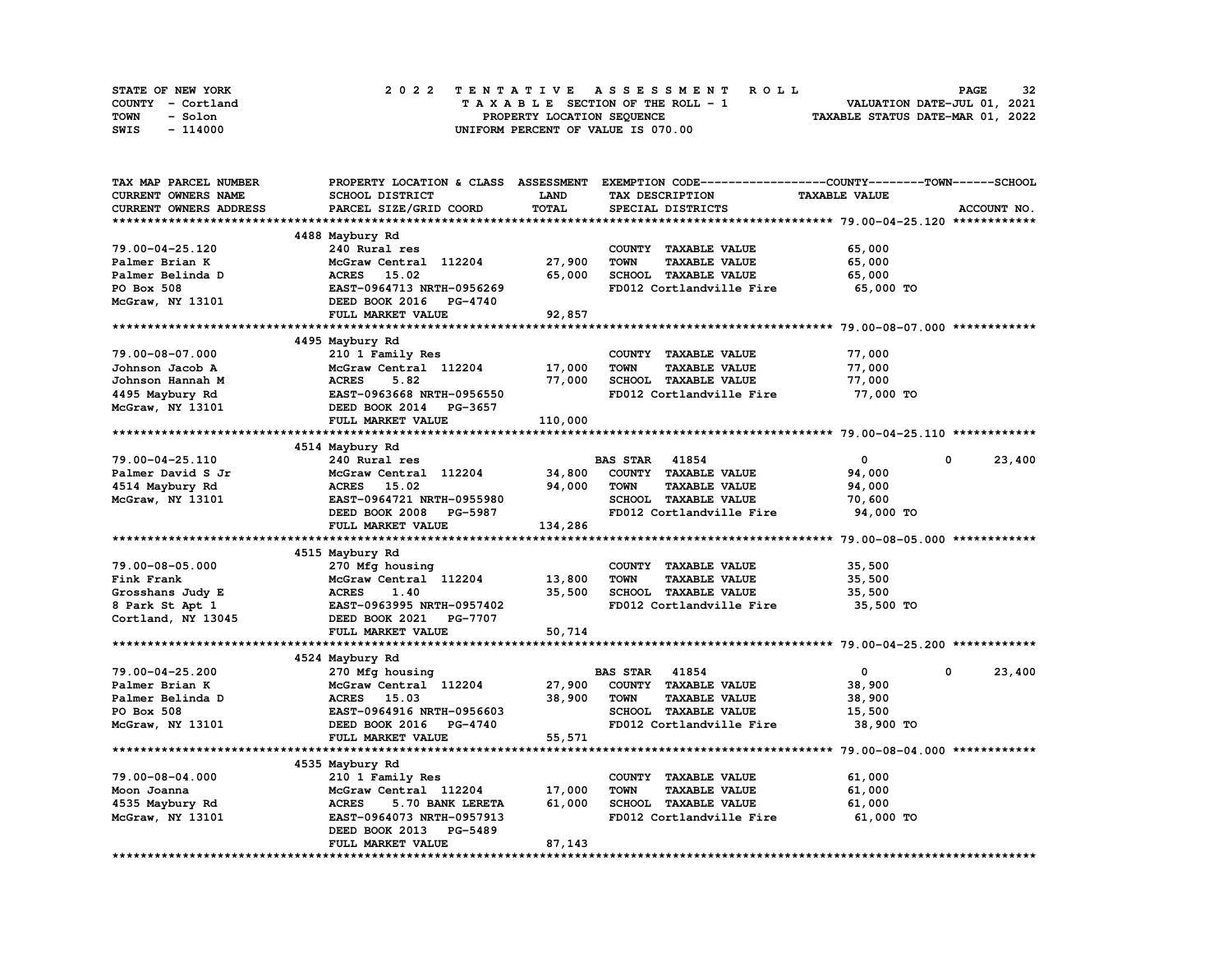| STATE OF NEW YORK | 2022 TENTATIVE ASSESSMENT ROLL     | 32<br><b>PAGE</b>                |
|-------------------|------------------------------------|----------------------------------|
| COUNTY - Cortland | TAXABLE SECTION OF THE ROLL - 1    | VALUATION DATE-JUL 01, 2021      |
| TOWN<br>- Solon   | PROPERTY LOCATION SEQUENCE         | TAXABLE STATUS DATE-MAR 01, 2022 |
| SWIS<br>- 114000  | UNIFORM PERCENT OF VALUE IS 070.00 |                                  |

| TAX MAP PARCEL NUMBER      | PROPERTY LOCATION & CLASS ASSESSMENT |         | EXEMPTION CODE-----------------COUNTY-------TOWN-----SCHOOL |                      |                      |
|----------------------------|--------------------------------------|---------|-------------------------------------------------------------|----------------------|----------------------|
| <b>CURRENT OWNERS NAME</b> | SCHOOL DISTRICT                      | LAND    | TAX DESCRIPTION                                             | <b>TAXABLE VALUE</b> |                      |
| CURRENT OWNERS ADDRESS     | PARCEL SIZE/GRID COORD               | TOTAL   | SPECIAL DISTRICTS                                           |                      | ACCOUNT NO.          |
|                            |                                      |         |                                                             |                      |                      |
|                            | 4488 Maybury Rd                      |         |                                                             |                      |                      |
| 79.00-04-25.120            | 240 Rural res                        |         | COUNTY TAXABLE VALUE                                        | 65,000               |                      |
| Palmer Brian K             | McGraw Central 112204                | 27,900  | <b>TAXABLE VALUE</b><br><b>TOWN</b>                         | 65,000               |                      |
| Palmer Belinda D           | 15.02<br><b>ACRES</b>                | 65,000  | SCHOOL TAXABLE VALUE                                        | 65,000               |                      |
| PO Box 508                 | EAST-0964713 NRTH-0956269            |         | FD012 Cortlandville Fire                                    | 65,000 TO            |                      |
| McGraw, NY 13101           | DEED BOOK 2016 PG-4740               |         |                                                             |                      |                      |
|                            | FULL MARKET VALUE                    | 92,857  |                                                             |                      |                      |
|                            |                                      |         |                                                             |                      |                      |
|                            | 4495 Maybury Rd                      |         |                                                             |                      |                      |
| 79.00-08-07.000            |                                      |         |                                                             | 77,000               |                      |
|                            | 210 1 Family Res                     |         | COUNTY TAXABLE VALUE                                        |                      |                      |
| Johnson Jacob A            | McGraw Central 112204                | 17,000  | <b>TOWN</b><br><b>TAXABLE VALUE</b>                         | 77,000               |                      |
| Johnson Hannah M           | <b>ACRES</b><br>5.82                 | 77,000  | SCHOOL TAXABLE VALUE                                        | 77,000               |                      |
| 4495 Maybury Rd            | EAST-0963668 NRTH-0956550            |         | FD012 Cortlandville Fire                                    | 77,000 TO            |                      |
| McGraw, NY 13101           | DEED BOOK 2014 PG-3657               |         |                                                             |                      |                      |
|                            | FULL MARKET VALUE                    | 110,000 |                                                             |                      |                      |
|                            |                                      |         |                                                             |                      |                      |
|                            | 4514 Maybury Rd                      |         |                                                             |                      |                      |
| 79.00-04-25.110            | 240 Rural res                        |         | <b>BAS STAR 41854</b>                                       | $\mathbf 0$          | 23,400<br>$^{\circ}$ |
| Palmer David S Jr          | McGraw Central 112204                | 34,800  | COUNTY TAXABLE VALUE                                        | 94,000               |                      |
| 4514 Maybury Rd            | ACRES 15.02                          | 94,000  | <b>TOWN</b><br><b>TAXABLE VALUE</b>                         | 94,000               |                      |
| McGraw, NY 13101           | EAST-0964721 NRTH-0955980            |         | SCHOOL TAXABLE VALUE                                        | 70,600               |                      |
|                            | DEED BOOK 2008 PG-5987               |         | FD012 Cortlandville Fire                                    | 94,000 TO            |                      |
|                            | FULL MARKET VALUE                    | 134,286 |                                                             |                      |                      |
|                            |                                      |         |                                                             |                      |                      |
|                            | 4515 Maybury Rd                      |         |                                                             |                      |                      |
| 79.00-08-05.000            | 270 Mfg housing                      |         | COUNTY TAXABLE VALUE                                        | 35,500               |                      |
| Fink Frank                 | McGraw Central 112204                | 13,800  | <b>TOWN</b><br><b>TAXABLE VALUE</b>                         | 35,500               |                      |
| Grosshans Judy E           | 1.40<br><b>ACRES</b>                 | 35,500  | SCHOOL TAXABLE VALUE                                        | 35,500               |                      |
| 8 Park St Apt 1            | EAST-0963995 NRTH-0957402            |         | FD012 Cortlandville Fire                                    | 35,500 TO            |                      |
| Cortland, NY 13045         | DEED BOOK 2021<br><b>PG-7707</b>     |         |                                                             |                      |                      |
|                            | FULL MARKET VALUE                    | 50,714  |                                                             |                      |                      |
|                            |                                      |         |                                                             |                      |                      |
|                            | 4524 Maybury Rd                      |         |                                                             |                      |                      |
| 79.00-04-25.200            | 270 Mfg housing                      |         | <b>BAS STAR</b><br>41854                                    | $\mathbf{0}$         | 0<br>23,400          |
| Palmer Brian K             | McGraw Central 112204                | 27,900  | COUNTY TAXABLE VALUE                                        | 38,900               |                      |
| Palmer Belinda D           | ACRES 15.03                          | 38,900  | <b>TAXABLE VALUE</b><br><b>TOWN</b>                         | 38,900               |                      |
| PO Box 508                 | EAST-0964916 NRTH-0956603            |         | SCHOOL TAXABLE VALUE                                        | 15,500               |                      |
| McGraw, NY 13101           | DEED BOOK 2016 PG-4740               |         | FD012 Cortlandville Fire                                    | 38,900 TO            |                      |
|                            | FULL MARKET VALUE                    | 55,571  |                                                             |                      |                      |
|                            |                                      |         |                                                             |                      |                      |
|                            |                                      |         |                                                             |                      |                      |
|                            | 4535 Maybury Rd                      |         |                                                             |                      |                      |
| 79.00-08-04.000            | 210 1 Family Res                     |         | COUNTY TAXABLE VALUE                                        | 61,000               |                      |
| Moon Joanna                | McGraw Central 112204                | 17,000  | <b>TAXABLE VALUE</b><br>TOWN                                | 61,000               |                      |
| 4535 Maybury Rd            | <b>ACRES</b><br>5.70 BANK LERETA     | 61,000  | SCHOOL TAXABLE VALUE                                        | 61,000               |                      |
| McGraw, NY 13101           | EAST-0964073 NRTH-0957913            |         | FD012 Cortlandville Fire                                    | 61,000 TO            |                      |
|                            | DEED BOOK 2013<br><b>PG-5489</b>     |         |                                                             |                      |                      |
|                            | FULL MARKET VALUE                    | 87,143  |                                                             |                      |                      |
|                            |                                      |         |                                                             |                      |                      |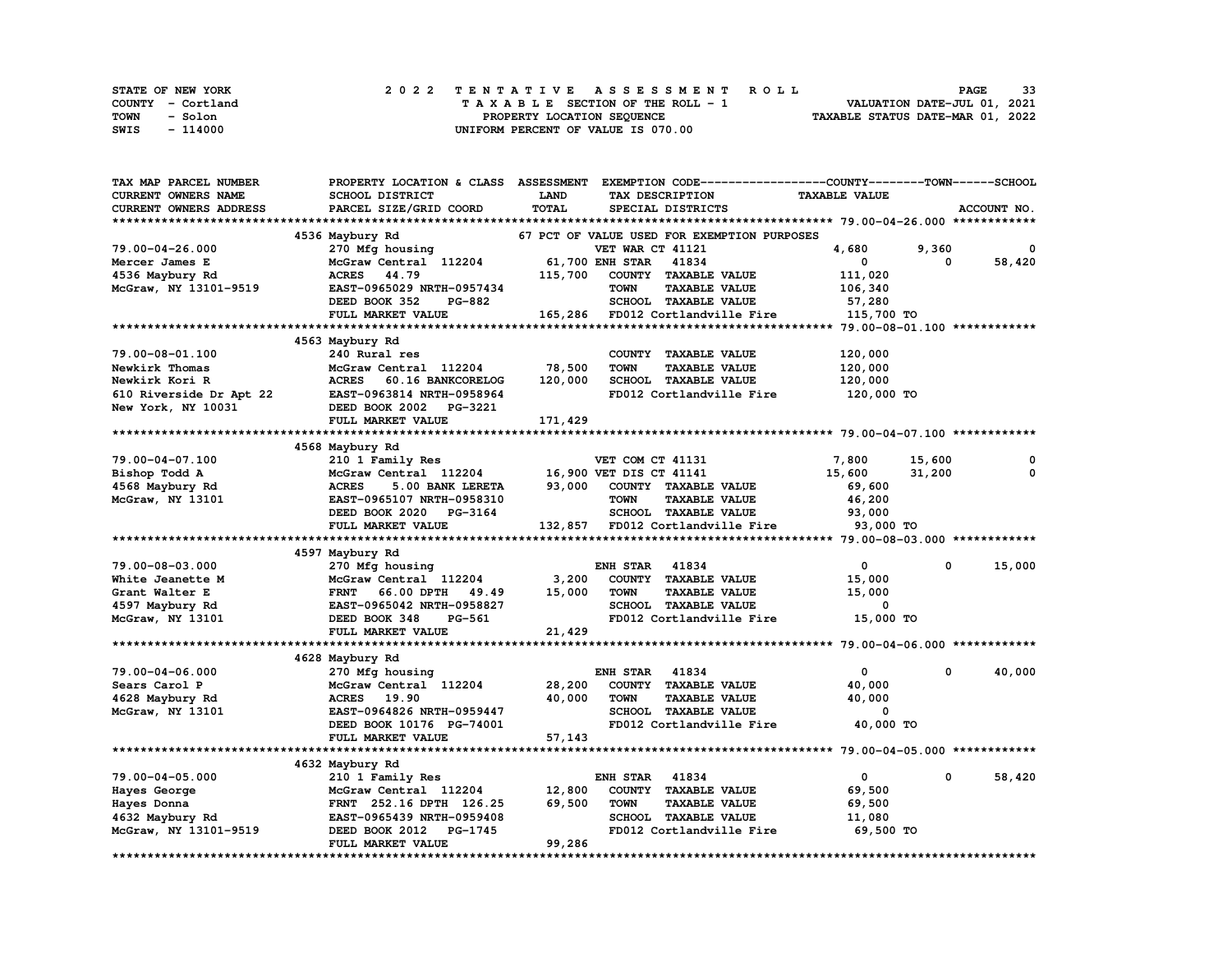| STATE OF NEW YORK | 2022 TENTATIVE ASSESSMENT ROLL     |  | 33<br><b>PAGE</b>                |
|-------------------|------------------------------------|--|----------------------------------|
| COUNTY - Cortland | TAXABLE SECTION OF THE ROLL - 1    |  | VALUATION DATE-JUL 01, 2021      |
| TOWN<br>- Solon   | PROPERTY LOCATION SEQUENCE         |  | TAXABLE STATUS DATE-MAR 01, 2022 |
| SWIS<br>- 114000  | UNIFORM PERCENT OF VALUE IS 070.00 |  |                                  |

| TAX MAP PARCEL NUMBER   | PROPERTY LOCATION & CLASS ASSESSMENT |             | EXEMPTION CODE-----------------COUNTY-------TOWN------SCHOOL |                      |        |             |
|-------------------------|--------------------------------------|-------------|--------------------------------------------------------------|----------------------|--------|-------------|
| CURRENT OWNERS NAME     | SCHOOL DISTRICT                      | <b>LAND</b> | TAX DESCRIPTION                                              | <b>TAXABLE VALUE</b> |        |             |
| CURRENT OWNERS ADDRESS  | PARCEL SIZE/GRID COORD               | TOTAL       | SPECIAL DISTRICTS                                            |                      |        | ACCOUNT NO. |
|                         |                                      |             |                                                              |                      |        |             |
|                         | 4536 Maybury Rd                      |             | 67 PCT OF VALUE USED FOR EXEMPTION PURPOSES                  |                      |        |             |
| 79.00-04-26.000         | 270 Mfg housing                      |             | VET WAR CT 41121                                             | 4,680                | 9,360  | 0           |
| Mercer James E          | McGraw Central 112204                |             | 61,700 ENH STAR<br>41834                                     | 0                    | 0      | 58,420      |
| 4536 Maybury Rd         | <b>ACRES</b><br>44.79                | 115,700     | COUNTY TAXABLE VALUE                                         | 111,020              |        |             |
| McGraw, NY 13101-9519   | EAST-0965029 NRTH-0957434            |             | <b>TOWN</b><br><b>TAXABLE VALUE</b>                          |                      |        |             |
|                         |                                      |             |                                                              | 106,340              |        |             |
|                         | DEED BOOK 352<br>PG-882              |             | SCHOOL TAXABLE VALUE                                         | 57,280               |        |             |
|                         | FULL MARKET VALUE                    |             | 165,286 FD012 Cortlandville Fire                             | 115,700 TO           |        |             |
|                         | **************************           |             |                                                              |                      |        |             |
|                         | 4563 Maybury Rd                      |             |                                                              |                      |        |             |
| 79.00-08-01.100         | 240 Rural res                        |             | COUNTY TAXABLE VALUE                                         | 120,000              |        |             |
| Newkirk Thomas          | McGraw Central 112204                | 78,500      | <b>TOWN</b><br><b>TAXABLE VALUE</b>                          | 120,000              |        |             |
| Newkirk Kori R          | <b>ACRES</b><br>60.16 BANKCORELOG    | 120,000     | SCHOOL TAXABLE VALUE                                         | 120,000              |        |             |
| 610 Riverside Dr Apt 22 | EAST-0963814 NRTH-0958964            |             | FD012 Cortlandville Fire                                     | 120,000 TO           |        |             |
| New York, NY 10031      | DEED BOOK 2002<br><b>PG-3221</b>     |             |                                                              |                      |        |             |
|                         | FULL MARKET VALUE                    | 171,429     |                                                              |                      |        |             |
|                         |                                      |             |                                                              |                      |        |             |
|                         | 4568 Maybury Rd                      |             |                                                              |                      |        |             |
| 79.00-04-07.100         | 210 1 Family Res                     |             | VET COM CT 41131                                             | 7,800                | 15,600 | 0           |
| Bishop Todd A           | McGraw Central 112204                |             | 16,900 VET DIS CT 41141                                      | 15,600               | 31,200 | 0           |
| 4568 Maybury Rd         | <b>ACRES</b><br>5.00 BANK LERETA     | 93,000      | COUNTY TAXABLE VALUE                                         | 69,600               |        |             |
| McGraw, NY 13101        | EAST-0965107 NRTH-0958310            |             | <b>TOWN</b><br><b>TAXABLE VALUE</b>                          | 46,200               |        |             |
|                         |                                      |             | SCHOOL TAXABLE VALUE                                         |                      |        |             |
|                         | DEED BOOK 2020 PG-3164               |             |                                                              | 93,000               |        |             |
|                         | FULL MARKET VALUE                    |             | 132,857 FD012 Cortlandville Fire                             | 93,000 TO            |        |             |
|                         |                                      |             |                                                              |                      |        |             |
|                         | 4597 Maybury Rd                      |             |                                                              |                      |        |             |
| 79.00-08-03.000         | 270 Mfg housing                      |             | <b>ENH STAR</b><br>41834                                     | $\mathbf 0$          | 0      | 15,000      |
| White Jeanette M        | McGraw Central 112204                | 3,200       | COUNTY TAXABLE VALUE                                         | 15,000               |        |             |
| Grant Walter E          | <b>FRNT</b><br>66.00 DPTH<br>49.49   | 15,000      | <b>TOWN</b><br><b>TAXABLE VALUE</b>                          | 15,000               |        |             |
| 4597 Maybury Rd         | EAST-0965042 NRTH-0958827            |             | SCHOOL TAXABLE VALUE                                         | 0                    |        |             |
| McGraw, NY 13101        | DEED BOOK 348<br>PG-561              |             | FD012 Cortlandville Fire                                     | 15,000 TO            |        |             |
|                         | FULL MARKET VALUE                    | 21,429      |                                                              |                      |        |             |
|                         |                                      |             |                                                              |                      |        |             |
|                         | 4628 Maybury Rd                      |             |                                                              |                      |        |             |
| 79.00-04-06.000         | 270 Mfg housing                      |             | <b>ENH STAR</b><br>41834                                     | 0                    | 0      | 40,000      |
| Sears Carol P           | McGraw Central 112204                | 28,200      | COUNTY TAXABLE VALUE                                         | 40,000               |        |             |
| 4628 Maybury Rd         | <b>ACRES</b><br>19.90                | 40,000      | <b>TAXABLE VALUE</b><br><b>TOWN</b>                          | 40,000               |        |             |
| McGraw, NY 13101        | EAST-0964826 NRTH-0959447            |             | <b>SCHOOL TAXABLE VALUE</b>                                  | 0                    |        |             |
|                         | DEED BOOK 10176 PG-74001             |             | FD012 Cortlandville Fire                                     | 40,000 TO            |        |             |
|                         | FULL MARKET VALUE                    | 57,143      |                                                              |                      |        |             |
|                         |                                      |             |                                                              |                      |        |             |
|                         | 4632 Maybury Rd                      |             |                                                              |                      |        |             |
| 79.00-04-05.000         |                                      |             | ENH STAR<br>41834                                            | $\mathbf 0$          | 0      | 58,420      |
|                         | 210 1 Family Res                     | 12,800      | COUNTY TAXABLE VALUE                                         |                      |        |             |
| Hayes George            | McGraw Central 112204                |             |                                                              | 69,500               |        |             |
| Hayes Donna             | FRNT 252.16 DPTH 126.25              | 69,500      | <b>TOWN</b><br><b>TAXABLE VALUE</b>                          | 69,500               |        |             |
| 4632 Maybury Rd         | EAST-0965439 NRTH-0959408            |             | SCHOOL TAXABLE VALUE                                         | 11,080               |        |             |
| McGraw, NY 13101-9519   | DEED BOOK 2012<br>PG-1745            |             | FD012 Cortlandville Fire                                     | 69,500 TO            |        |             |
|                         | FULL MARKET VALUE                    | 99,286      |                                                              |                      |        |             |
|                         |                                      |             |                                                              |                      |        |             |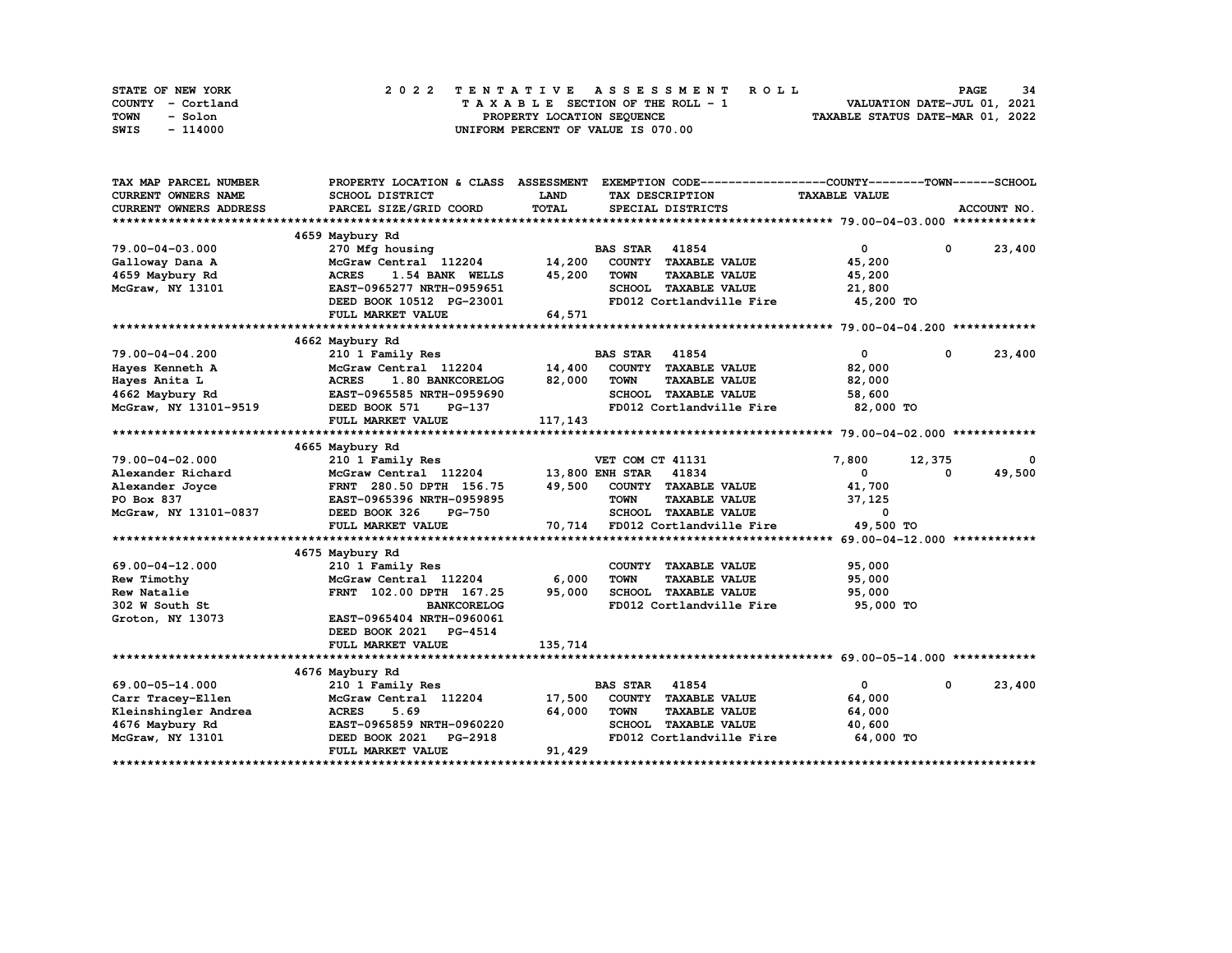| STATE OF NEW YORK | 2022 TENTATIVE ASSESSMENT ROLL     | 34<br><b>PAGE</b>                |
|-------------------|------------------------------------|----------------------------------|
| COUNTY - Cortland | TAXABLE SECTION OF THE ROLL - 1    | VALUATION DATE-JUL 01, 2021      |
| TOWN<br>- Solon   | PROPERTY LOCATION SEQUENCE         | TAXABLE STATUS DATE-MAR 01, 2022 |
| - 114000<br>SWIS  | UNIFORM PERCENT OF VALUE IS 070.00 |                                  |

| TAX MAP PARCEL NUMBER      | PROPERTY LOCATION & CLASS ASSESSMENT |             | EXEMPTION CODE------------------COUNTY-------TOWN------SCHOOL |                      |             |             |
|----------------------------|--------------------------------------|-------------|---------------------------------------------------------------|----------------------|-------------|-------------|
| <b>CURRENT OWNERS NAME</b> | SCHOOL DISTRICT                      | <b>LAND</b> | TAX DESCRIPTION                                               | <b>TAXABLE VALUE</b> |             |             |
| CURRENT OWNERS ADDRESS     | PARCEL SIZE/GRID COORD               | TOTAL       | SPECIAL DISTRICTS                                             |                      |             | ACCOUNT NO. |
|                            |                                      |             |                                                               |                      |             |             |
|                            | 4659 Maybury Rd                      |             |                                                               |                      |             |             |
| 79.00-04-03.000            | 270 Mfg housing                      |             | <b>BAS STAR</b> 41854                                         | $\mathbf{0}$         | $\mathbf 0$ | 23,400      |
| Galloway Dana A            | McGraw Central 112204                | 14,200      | COUNTY TAXABLE VALUE                                          | 45,200               |             |             |
| 4659 Maybury Rd            | <b>ACRES</b><br>1.54 BANK WELLS      | 45,200      | <b>TOWN</b><br><b>TAXABLE VALUE</b>                           | 45,200               |             |             |
| McGraw, NY 13101           | EAST-0965277 NRTH-0959651            |             | SCHOOL TAXABLE VALUE                                          | 21,800               |             |             |
|                            | DEED BOOK 10512 PG-23001             |             | FD012 Cortlandville Fire                                      | 45,200 TO            |             |             |
|                            | FULL MARKET VALUE                    | 64,571      |                                                               |                      |             |             |
|                            |                                      |             |                                                               |                      |             |             |
|                            | 4662 Maybury Rd                      |             |                                                               |                      |             |             |
| 79.00-04-04.200            | 210 1 Family Res                     |             | <b>BAS STAR</b><br>41854                                      | $\mathbf{0}$         | $^{\circ}$  | 23,400      |
| Hayes Kenneth A            | McGraw Central 112204 14,400         |             | COUNTY TAXABLE VALUE                                          | 82,000               |             |             |
| Hayes Anita L              | <b>ACRES</b><br>1.80 BANKCORELOG     | 82,000      | <b>TOWN</b><br><b>TAXABLE VALUE</b>                           | 82,000               |             |             |
| 4662 Maybury Rd            | EAST-0965585 NRTH-0959690            |             | SCHOOL TAXABLE VALUE                                          | 58,600               |             |             |
| McGraw, NY 13101-9519      | DEED BOOK 571<br>PG-137              |             | FD012 Cortlandville Fire 82,000 TO                            |                      |             |             |
|                            | FULL MARKET VALUE                    | 117,143     |                                                               |                      |             |             |
|                            |                                      |             |                                                               |                      |             |             |
|                            | 4665 Maybury Rd                      |             |                                                               |                      |             |             |
| $79.00 - 04 - 02.000$      | 210 1 Family Res                     |             | VET COM CT 41131                                              | 7,800                | 12,375      | 0           |
| Alexander Richard          | McGraw Central 112204                |             | 13,800 ENH STAR 41834                                         | $\mathbf{0}$         | $\Omega$    | 49,500      |
| Alexander Joyce            | FRNT 280.50 DPTH 156.75              | 49,500      | COUNTY TAXABLE VALUE                                          | 41,700               |             |             |
| PO Box 837                 | EAST-0965396 NRTH-0959895            |             | <b>TOWN</b><br><b>TAXABLE VALUE</b>                           | 37,125               |             |             |
| McGraw, NY 13101-0837      | DEED BOOK 326<br><b>PG-750</b>       |             | SCHOOL TAXABLE VALUE                                          | $\mathbf{0}$         |             |             |
|                            | FULL MARKET VALUE                    | 70,714      | FD012 Cortlandville Fire 49,500 TO                            |                      |             |             |
|                            |                                      |             |                                                               |                      |             |             |
|                            | 4675 Maybury Rd                      |             |                                                               |                      |             |             |
| 69.00-04-12.000            | 210 1 Family Res                     |             | COUNTY TAXABLE VALUE                                          | 95,000               |             |             |
| Rew Timothy                | McGraw Central 112204                | 6,000       | <b>TOWN</b><br><b>TAXABLE VALUE</b>                           | 95,000               |             |             |
| Rew Natalie                | FRNT 102.00 DPTH 167.25              | 95,000      | SCHOOL TAXABLE VALUE                                          | 95,000               |             |             |
| 302 W South St             | <b>BANKCORELOG</b>                   |             | FD012 Cortlandville Fire                                      | 95,000 TO            |             |             |
| Groton, NY 13073           | EAST-0965404 NRTH-0960061            |             |                                                               |                      |             |             |
|                            | DEED BOOK 2021 PG-4514               |             |                                                               |                      |             |             |
|                            | FULL MARKET VALUE                    | 135,714     |                                                               |                      |             |             |
|                            |                                      |             |                                                               |                      |             |             |
|                            | 4676 Maybury Rd                      |             |                                                               |                      |             |             |
| 69.00-05-14.000            | 210 1 Family Res                     |             | 41854<br><b>BAS STAR</b>                                      | $\mathbf{0}$         | $^{\circ}$  | 23,400      |
| Carr Tracey-Ellen          | McGraw Central 112204                | 17,500      | COUNTY TAXABLE VALUE                                          | 64,000               |             |             |
| Kleinshingler Andrea       | <b>ACRES</b><br>5.69                 | 64,000      | <b>TOWN</b><br><b>TAXABLE VALUE</b>                           | 64,000               |             |             |
| 4676 Maybury Rd            | EAST-0965859 NRTH-0960220            |             | SCHOOL TAXABLE VALUE                                          | 40,600               |             |             |
| McGraw, NY 13101           | <b>PG-2918</b><br>DEED BOOK 2021     |             | FD012 Cortlandville Fire                                      | 64,000 TO            |             |             |
|                            | FULL MARKET VALUE                    | 91,429      |                                                               |                      |             |             |
|                            |                                      |             |                                                               |                      |             |             |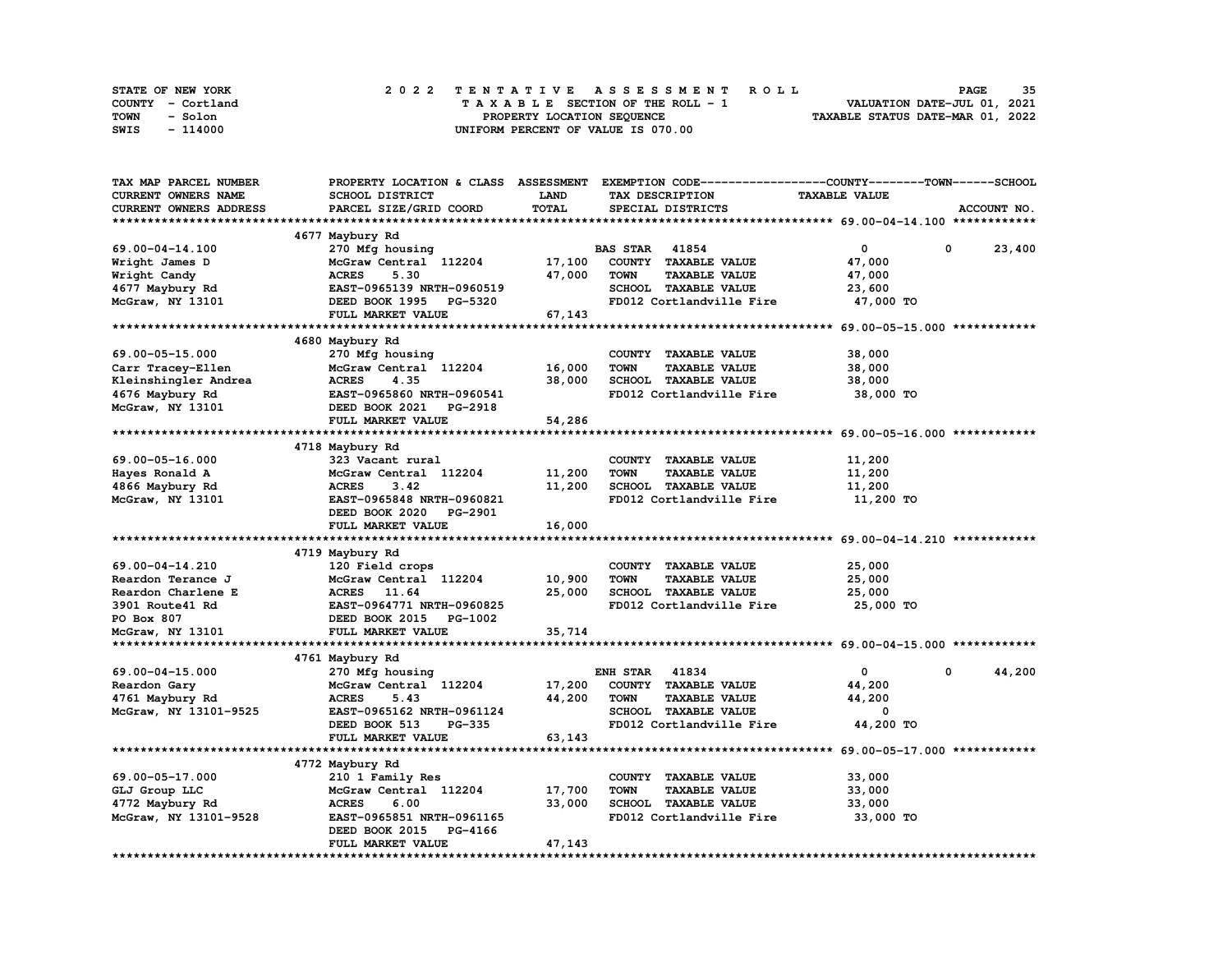| STATE OF NEW YORK | 2022 TENTATIVE ASSESSMENT ROLL     | 35<br><b>PAGE</b>                |
|-------------------|------------------------------------|----------------------------------|
| COUNTY - Cortland | TAXABLE SECTION OF THE ROLL - 1    | VALUATION DATE-JUL 01, 2021      |
| TOWN<br>- Solon   | PROPERTY LOCATION SEQUENCE         | TAXABLE STATUS DATE-MAR 01, 2022 |
| SWIS<br>- 114000  | UNIFORM PERCENT OF VALUE IS 070.00 |                                  |

| TAX MAP PARCEL NUMBER      | PROPERTY LOCATION & CLASS ASSESSMENT |             | EXEMPTION CODE-----------------COUNTY-------TOWN-----SCHOOL |                      |             |
|----------------------------|--------------------------------------|-------------|-------------------------------------------------------------|----------------------|-------------|
| <b>CURRENT OWNERS NAME</b> | <b>SCHOOL DISTRICT</b>               | <b>LAND</b> | TAX DESCRIPTION                                             | <b>TAXABLE VALUE</b> |             |
| CURRENT OWNERS ADDRESS     | PARCEL SIZE/GRID COORD               | TOTAL       | SPECIAL DISTRICTS                                           |                      | ACCOUNT NO. |
|                            |                                      |             |                                                             |                      |             |
|                            | 4677 Maybury Rd                      |             |                                                             |                      |             |
| 69.00-04-14.100            | 270 Mfg housing                      |             | <b>BAS STAR</b> 41854                                       | 0                    | 0<br>23,400 |
| Wright James D             | McGraw Central 112204                | 17,100      | COUNTY TAXABLE VALUE                                        | 47,000               |             |
| Wright Candy               | <b>ACRES</b><br>5.30                 | 47,000      | <b>TOWN</b><br><b>TAXABLE VALUE</b>                         | 47,000               |             |
| 4677 Maybury Rd            | EAST-0965139 NRTH-0960519            |             | SCHOOL TAXABLE VALUE                                        | 23,600               |             |
|                            | DEED BOOK 1995 PG-5320               |             | FD012 Cortlandville Fire                                    |                      |             |
| McGraw, NY 13101           |                                      |             |                                                             | 47,000 TO            |             |
|                            | FULL MARKET VALUE                    | 67,143      |                                                             |                      |             |
|                            |                                      |             |                                                             |                      |             |
|                            | 4680 Maybury Rd                      |             |                                                             |                      |             |
| 69.00-05-15.000            | 270 Mfg housing                      |             | COUNTY TAXABLE VALUE                                        | 38,000               |             |
| Carr Tracey-Ellen          | McGraw Central 112204                | 16,000      | <b>TOWN</b><br><b>TAXABLE VALUE</b>                         | 38,000               |             |
| Kleinshingler Andrea       | 4.35<br><b>ACRES</b>                 | 38,000      | SCHOOL TAXABLE VALUE                                        | 38,000               |             |
| 4676 Maybury Rd            | EAST-0965860 NRTH-0960541            |             | FD012 Cortlandville Fire                                    | 38,000 TO            |             |
| McGraw, NY 13101           | DEED BOOK 2021 PG-2918               |             |                                                             |                      |             |
|                            | FULL MARKET VALUE                    | 54,286      |                                                             |                      |             |
|                            |                                      |             |                                                             |                      |             |
|                            | 4718 Maybury Rd                      |             |                                                             |                      |             |
| 69.00-05-16.000            | 323 Vacant rural                     |             | COUNTY TAXABLE VALUE                                        | 11,200               |             |
| Hayes Ronald A             | McGraw Central 112204                | 11,200      | <b>TOWN</b><br><b>TAXABLE VALUE</b>                         | 11,200               |             |
| 4866 Maybury Rd            | <b>ACRES</b><br>3.42                 | 11,200      | SCHOOL TAXABLE VALUE                                        | 11,200               |             |
| McGraw, NY 13101           | EAST-0965848 NRTH-0960821            |             | FD012 Cortlandville Fire                                    | 11,200 TO            |             |
|                            | DEED BOOK 2020 PG-2901               |             |                                                             |                      |             |
|                            | FULL MARKET VALUE                    | 16,000      |                                                             |                      |             |
|                            |                                      |             |                                                             |                      |             |
|                            | 4719 Maybury Rd                      |             |                                                             |                      |             |
| 69.00-04-14.210            | 120 Field crops                      |             | COUNTY TAXABLE VALUE                                        | 25,000               |             |
| Reardon Terance J          | McGraw Central 112204                | 10,900      | <b>TAXABLE VALUE</b><br><b>TOWN</b>                         | 25,000               |             |
| Reardon Charlene E         | ACRES 11.64                          | 25,000      | SCHOOL TAXABLE VALUE                                        | 25,000               |             |
|                            |                                      |             |                                                             |                      |             |
| 3901 Route41 Rd            | EAST-0964771 NRTH-0960825            |             | FD012 Cortlandville Fire                                    | 25,000 TO            |             |
| PO Box 807                 | DEED BOOK 2015 PG-1002               |             |                                                             |                      |             |
| McGraw, NY 13101           | FULL MARKET VALUE                    | 35,714      |                                                             |                      |             |
|                            |                                      |             |                                                             |                      |             |
|                            | 4761 Maybury Rd                      |             |                                                             |                      |             |
| 69.00-04-15.000            | 270 Mfg housing                      |             | <b>ENH STAR</b><br>41834                                    | $\mathbf{o}$         | 44,200<br>0 |
| Reardon Gary               | McGraw Central 112204                | 17,200      | COUNTY TAXABLE VALUE                                        | 44,200               |             |
| 4761 Maybury Rd            | <b>ACRES</b><br>5.43                 | 44,200      | <b>TAXABLE VALUE</b><br><b>TOWN</b>                         | 44,200               |             |
| McGraw, NY 13101-9525      | EAST-0965162 NRTH-0961124            |             | SCHOOL TAXABLE VALUE                                        | 0                    |             |
|                            | DEED BOOK 513<br>PG-335              |             | FD012 Cortlandville Fire                                    | 44,200 TO            |             |
|                            | FULL MARKET VALUE                    | 63,143      |                                                             |                      |             |
|                            |                                      |             |                                                             |                      |             |
|                            | 4772 Maybury Rd                      |             |                                                             |                      |             |
| 69.00-05-17.000            | 210 1 Family Res                     |             | COUNTY TAXABLE VALUE                                        | 33,000               |             |
| GLJ Group LLC              | McGraw Central 112204                | 17,700      | <b>TOWN</b><br><b>TAXABLE VALUE</b>                         | 33,000               |             |
| 4772 Maybury Rd            | <b>ACRES</b><br>6.00                 | 33,000      | SCHOOL TAXABLE VALUE                                        | 33,000               |             |
| McGraw, NY 13101-9528      | EAST-0965851 NRTH-0961165            |             | FD012 Cortlandville Fire                                    | 33,000 TO            |             |
|                            | DEED BOOK 2015<br>PG-4166            |             |                                                             |                      |             |
|                            | FULL MARKET VALUE                    | 47,143      |                                                             |                      |             |
|                            |                                      |             |                                                             |                      |             |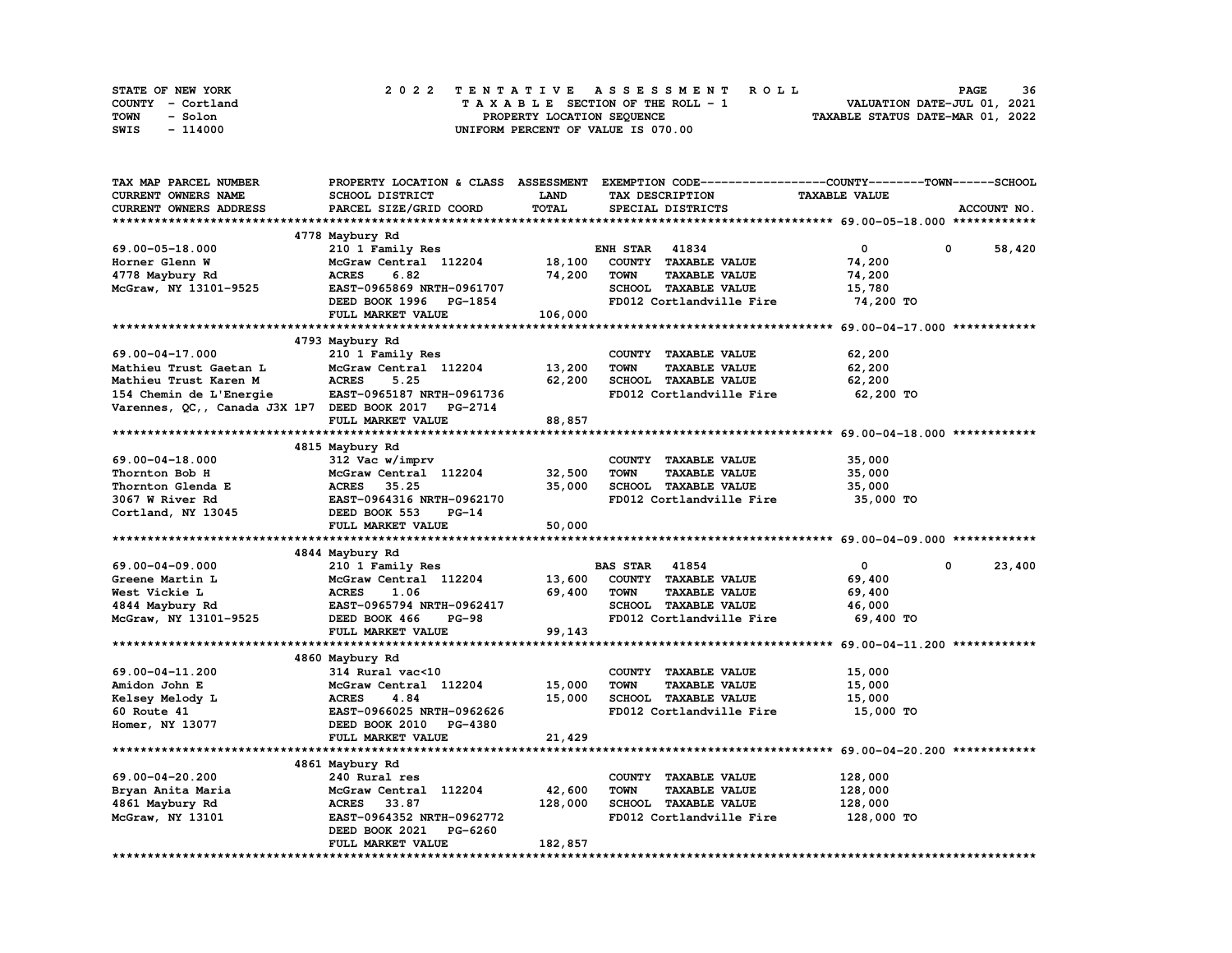| STATE OF NEW YORK | 2022 TENTATIVE ASSESSMENT ROLL     | 36<br><b>PAGE</b>                |
|-------------------|------------------------------------|----------------------------------|
| COUNTY - Cortland | TAXABLE SECTION OF THE ROLL - 1    | VALUATION DATE-JUL 01, 2021      |
| TOWN<br>- Solon   | PROPERTY LOCATION SEOUENCE         | TAXABLE STATUS DATE-MAR 01, 2022 |
| - 114000<br>SWIS  | UNIFORM PERCENT OF VALUE IS 070.00 |                                  |

| TAX MAP PARCEL NUMBER                                |                               |              | PROPERTY LOCATION & CLASS ASSESSMENT EXEMPTION CODE-----------------COUNTY-------TOWN-----SCHOOL |                      |                      |
|------------------------------------------------------|-------------------------------|--------------|--------------------------------------------------------------------------------------------------|----------------------|----------------------|
| <b>CURRENT OWNERS NAME</b>                           | SCHOOL DISTRICT               | <b>LAND</b>  | TAX DESCRIPTION                                                                                  | <b>TAXABLE VALUE</b> |                      |
| CURRENT OWNERS ADDRESS                               | PARCEL SIZE/GRID COORD        | <b>TOTAL</b> | SPECIAL DISTRICTS                                                                                |                      | ACCOUNT NO.          |
|                                                      |                               |              |                                                                                                  |                      |                      |
|                                                      | 4778 Maybury Rd               |              |                                                                                                  |                      |                      |
| 69.00-05-18.000                                      | 210 1 Family Res              |              | <b>ENH STAR 41834</b>                                                                            | $^{\circ}$           | 0<br>58,420          |
| Horner Glenn W                                       | McGraw Central 112204         | 18,100       | COUNTY TAXABLE VALUE                                                                             | 74,200               |                      |
| 4778 Maybury Rd                                      | 6.82<br><b>ACRES</b>          | 74,200       | <b>TOWN</b><br><b>TAXABLE VALUE</b>                                                              | 74,200               |                      |
| McGraw, NY 13101-9525                                | EAST-0965869 NRTH-0961707     |              | SCHOOL TAXABLE VALUE                                                                             | 15,780               |                      |
|                                                      | DEED BOOK 1996 PG-1854        |              | FD012 Cortlandville Fire                                                                         | 74,200 TO            |                      |
|                                                      |                               |              |                                                                                                  |                      |                      |
|                                                      | FULL MARKET VALUE             | 106,000      |                                                                                                  |                      |                      |
|                                                      |                               |              |                                                                                                  |                      |                      |
|                                                      | 4793 Maybury Rd               |              |                                                                                                  |                      |                      |
| 69.00-04-17.000                                      | 210 1 Family Res              |              | COUNTY TAXABLE VALUE                                                                             | 62,200               |                      |
| Mathieu Trust Gaetan L                               | McGraw Central 112204         | 13,200       | <b>TOWN</b><br><b>TAXABLE VALUE</b>                                                              | 62,200               |                      |
| Mathieu Trust Karen M                                | <b>ACRES</b><br>5.25          | 62,200       | SCHOOL TAXABLE VALUE                                                                             | 62,200               |                      |
| 154 Chemin de L'Energie                              | EAST-0965187 NRTH-0961736     |              | FD012 Cortlandville Fire                                                                         | 62,200 TO            |                      |
| Varennes, QC,, Canada J3X 1P7 DEED BOOK 2017 PG-2714 |                               |              |                                                                                                  |                      |                      |
|                                                      | FULL MARKET VALUE             | 88,857       |                                                                                                  |                      |                      |
|                                                      |                               |              |                                                                                                  |                      |                      |
|                                                      | 4815 Maybury Rd               |              |                                                                                                  |                      |                      |
| 69.00-04-18.000                                      | 312 Vac w/imprv               |              | COUNTY TAXABLE VALUE                                                                             | 35,000               |                      |
| Thornton Bob H                                       | McGraw Central 112204         | 32,500       | <b>TOWN</b><br><b>TAXABLE VALUE</b>                                                              | 35,000               |                      |
| Thornton Glenda E                                    | ACRES 35.25                   | 35,000       | SCHOOL TAXABLE VALUE                                                                             | 35,000               |                      |
| 3067 W River Rd                                      | EAST-0964316 NRTH-0962170     |              | FD012 Cortlandville Fire                                                                         | 35,000 TO            |                      |
| Cortland, NY 13045                                   | DEED BOOK 553<br><b>PG-14</b> |              |                                                                                                  |                      |                      |
|                                                      | FULL MARKET VALUE             | 50,000       |                                                                                                  |                      |                      |
|                                                      |                               |              |                                                                                                  |                      |                      |
|                                                      | 4844 Maybury Rd               |              |                                                                                                  |                      |                      |
| 69.00-04-09.000                                      | 210 1 Family Res              |              | <b>BAS STAR 41854</b>                                                                            | $\mathbf{0}$         | 23,400<br>$^{\circ}$ |
| Greene Martin L                                      | McGraw Central 112204         | 13,600       | COUNTY TAXABLE VALUE                                                                             | 69,400               |                      |
| West Vickie L                                        | <b>ACRES</b><br>1.06          | 69,400       | <b>TOWN</b><br><b>TAXABLE VALUE</b>                                                              | 69,400               |                      |
| 4844 Maybury Rd                                      | EAST-0965794 NRTH-0962417     |              | SCHOOL TAXABLE VALUE                                                                             | 46,000               |                      |
| McGraw, NY 13101-9525                                | DEED BOOK 466<br><b>PG-98</b> |              | FD012 Cortlandville Fire                                                                         | 69,400 TO            |                      |
|                                                      | FULL MARKET VALUE             | 99,143       |                                                                                                  |                      |                      |
|                                                      |                               |              |                                                                                                  |                      |                      |
|                                                      | 4860 Maybury Rd               |              |                                                                                                  |                      |                      |
| 69.00-04-11.200                                      | 314 Rural vac<10              |              | COUNTY TAXABLE VALUE                                                                             | 15,000               |                      |
| Amidon John E                                        | McGraw Central 112204         | 15,000       | <b>TOWN</b><br><b>TAXABLE VALUE</b>                                                              | 15,000               |                      |
| Kelsey Melody L                                      | <b>ACRES</b><br>4.84          | 15,000       | SCHOOL TAXABLE VALUE                                                                             | 15,000               |                      |
| <b>60 Route 41</b>                                   | EAST-0966025 NRTH-0962626     |              | FD012 Cortlandville Fire                                                                         | 15,000 TO            |                      |
| Homer, NY 13077                                      | DEED BOOK 2010 PG-4380        |              |                                                                                                  |                      |                      |
|                                                      | FULL MARKET VALUE             | 21,429       |                                                                                                  |                      |                      |
|                                                      |                               |              |                                                                                                  |                      |                      |
|                                                      | 4861 Maybury Rd               |              |                                                                                                  |                      |                      |
| 69.00-04-20.200                                      |                               |              |                                                                                                  |                      |                      |
|                                                      | 240 Rural res                 |              | COUNTY TAXABLE VALUE                                                                             | 128,000              |                      |
| Bryan Anita Maria                                    | McGraw Central 112204         | 42,600       | TOWN<br><b>TAXABLE VALUE</b>                                                                     | 128,000              |                      |
| 4861 Maybury Rd                                      | <b>ACRES</b><br>33.87         | 128,000      | <b>SCHOOL TAXABLE VALUE</b>                                                                      | 128,000              |                      |
| McGraw, NY 13101                                     | EAST-0964352 NRTH-0962772     |              | FD012 Cortlandville Fire                                                                         | 128,000 TO           |                      |
|                                                      | DEED BOOK 2021<br>PG-6260     |              |                                                                                                  |                      |                      |
|                                                      | FULL MARKET VALUE             | 182,857      |                                                                                                  |                      |                      |
|                                                      |                               |              |                                                                                                  |                      |                      |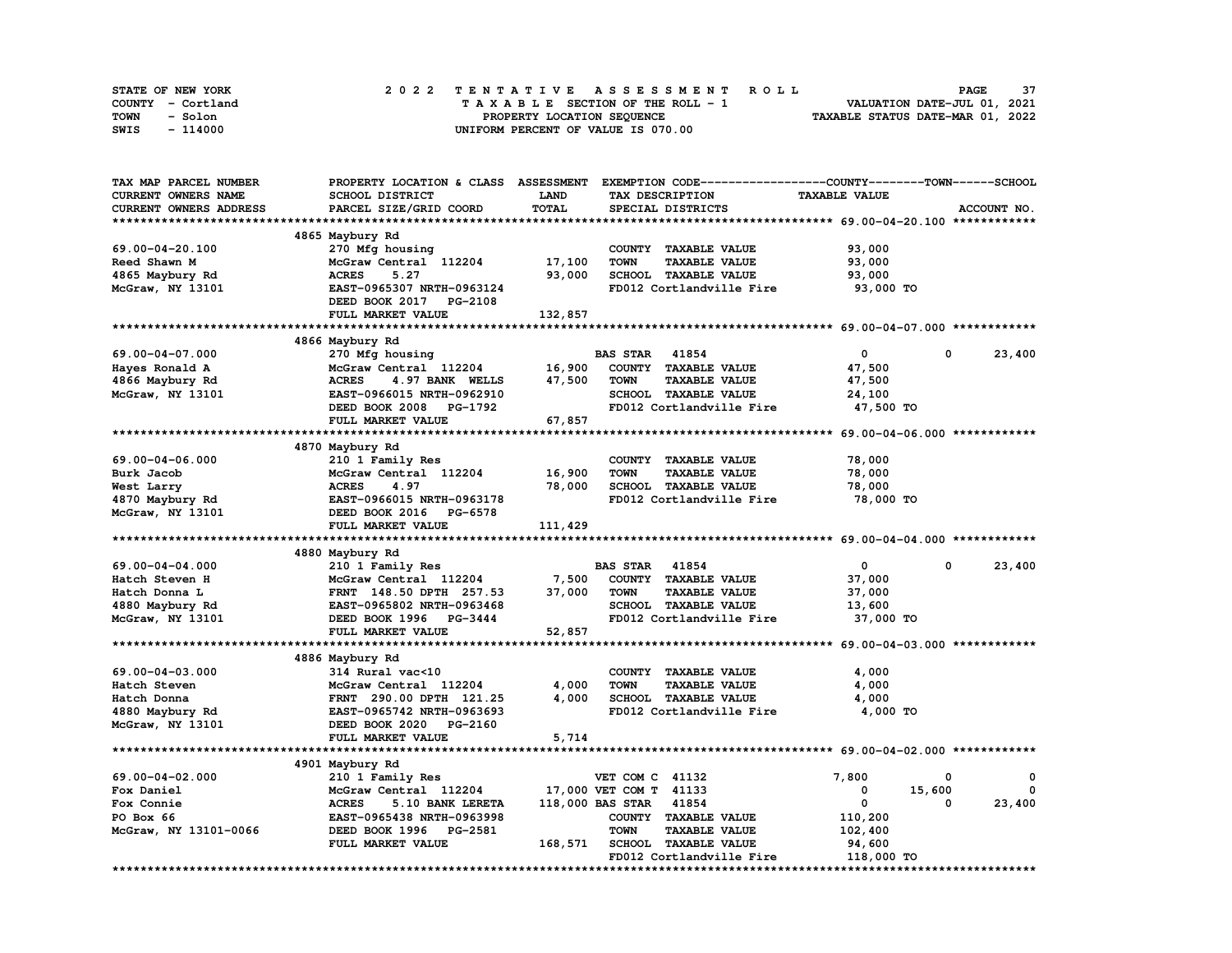| STATE OF NEW YORK | 2022 TENTATIVE ASSESSMENT ROLL     | 37<br><b>PAGE</b>                |
|-------------------|------------------------------------|----------------------------------|
| COUNTY - Cortland | TAXABLE SECTION OF THE ROLL - 1    | VALUATION DATE-JUL 01, 2021      |
| TOWN<br>- Solon   | PROPERTY LOCATION SEQUENCE         | TAXABLE STATUS DATE-MAR 01, 2022 |
| - 114000<br>SWIS  | UNIFORM PERCENT OF VALUE IS 070.00 |                                  |

| TAX MAP PARCEL NUMBER  | PROPERTY LOCATION & CLASS ASSESSMENT |             | EXEMPTION CODE-----------------COUNTY-------TOWN------SCHOOL |                      |            |             |
|------------------------|--------------------------------------|-------------|--------------------------------------------------------------|----------------------|------------|-------------|
| CURRENT OWNERS NAME    | SCHOOL DISTRICT                      | <b>LAND</b> | TAX DESCRIPTION                                              | <b>TAXABLE VALUE</b> |            |             |
| CURRENT OWNERS ADDRESS | PARCEL SIZE/GRID COORD               | TOTAL       | SPECIAL DISTRICTS                                            |                      |            | ACCOUNT NO. |
|                        |                                      |             |                                                              |                      |            |             |
|                        | 4865 Maybury Rd                      |             |                                                              |                      |            |             |
| 69.00-04-20.100        | 270 Mfg housing                      |             | COUNTY TAXABLE VALUE                                         | 93,000               |            |             |
| Reed Shawn M           | McGraw Central 112204                | 17,100      | <b>TAXABLE VALUE</b><br><b>TOWN</b>                          | 93,000               |            |             |
| 4865 Maybury Rd        | 5.27<br><b>ACRES</b>                 | 93,000      | SCHOOL TAXABLE VALUE                                         | 93,000               |            |             |
| McGraw, NY 13101       | EAST-0965307 NRTH-0963124            |             | FD012 Cortlandville Fire                                     | 93,000 TO            |            |             |
|                        |                                      |             |                                                              |                      |            |             |
|                        | DEED BOOK 2017 PG-2108               |             |                                                              |                      |            |             |
|                        | FULL MARKET VALUE                    | 132,857     |                                                              |                      |            |             |
|                        |                                      |             |                                                              |                      |            |             |
|                        | 4866 Maybury Rd                      |             |                                                              |                      |            |             |
| 69.00-04-07.000        | 270 Mfg housing                      |             | 41854<br><b>BAS STAR</b>                                     | $\mathbf{0}$         | $^{\circ}$ | 23,400      |
| Hayes Ronald A         | McGraw Central 112204                | 16,900      | COUNTY TAXABLE VALUE                                         | 47,500               |            |             |
| 4866 Maybury Rd        | <b>ACRES</b><br>4.97 BANK WELLS      | 47,500      | <b>TOWN</b><br><b>TAXABLE VALUE</b>                          | 47,500               |            |             |
| McGraw, NY 13101       | EAST-0966015 NRTH-0962910            |             | SCHOOL TAXABLE VALUE                                         | 24,100               |            |             |
|                        | DEED BOOK 2008 PG-1792               |             | FD012 Cortlandville Fire                                     | 47,500 TO            |            |             |
|                        | FULL MARKET VALUE                    | 67,857      |                                                              |                      |            |             |
|                        |                                      |             |                                                              |                      |            |             |
|                        | 4870 Maybury Rd                      |             |                                                              |                      |            |             |
| 69.00-04-06.000        | 210 1 Family Res                     |             | COUNTY TAXABLE VALUE                                         | 78,000               |            |             |
| Burk Jacob             | McGraw Central 112204                | 16,900      | <b>TOWN</b><br><b>TAXABLE VALUE</b>                          | 78,000               |            |             |
| West Larry             | <b>ACRES</b><br>4.97                 | 78,000      | SCHOOL TAXABLE VALUE                                         | 78,000               |            |             |
|                        |                                      |             |                                                              |                      |            |             |
| 4870 Maybury Rd        | EAST-0966015 NRTH-0963178            |             | FD012 Cortlandville Fire                                     | 78,000 TO            |            |             |
| McGraw, NY 13101       | DEED BOOK 2016 PG-6578               |             |                                                              |                      |            |             |
|                        | FULL MARKET VALUE                    | 111,429     |                                                              |                      |            |             |
|                        |                                      |             |                                                              |                      |            |             |
|                        | 4880 Maybury Rd                      |             |                                                              |                      |            |             |
| 69.00-04-04.000        | 210 1 Family Res                     |             | <b>BAS STAR</b> 41854                                        | 0                    | 0          | 23,400      |
| Hatch Steven H         | McGraw Central 112204                | 7,500       | COUNTY TAXABLE VALUE                                         | 37,000               |            |             |
| Hatch Donna L          | FRNT 148.50 DPTH 257.53              | 37,000      | <b>TOWN</b><br><b>TAXABLE VALUE</b>                          | 37,000               |            |             |
| 4880 Maybury Rd        | EAST-0965802 NRTH-0963468            |             | <b>SCHOOL TAXABLE VALUE</b>                                  | 13,600               |            |             |
| McGraw, NY 13101       | DEED BOOK 1996 PG-3444               |             | FD012 Cortlandville Fire                                     | 37,000 TO            |            |             |
|                        | FULL MARKET VALUE                    | 52,857      |                                                              |                      |            |             |
|                        |                                      |             |                                                              |                      |            |             |
|                        | 4886 Maybury Rd                      |             |                                                              |                      |            |             |
| 69.00-04-03.000        | 314 Rural vac<10                     |             | COUNTY TAXABLE VALUE                                         | 4,000                |            |             |
| Hatch Steven           | McGraw Central 112204                | 4,000       | <b>TOWN</b><br><b>TAXABLE VALUE</b>                          | 4,000                |            |             |
| Hatch Donna            | FRNT 290.00 DPTH 121.25              | 4,000       | SCHOOL TAXABLE VALUE                                         | 4,000                |            |             |
|                        |                                      |             |                                                              |                      |            |             |
| 4880 Maybury Rd        | EAST-0965742 NRTH-0963693            |             | FD012 Cortlandville Fire                                     | 4,000 TO             |            |             |
| McGraw, NY 13101       | DEED BOOK 2020 PG-2160               |             |                                                              |                      |            |             |
|                        | FULL MARKET VALUE                    | 5,714       |                                                              |                      |            |             |
|                        |                                      |             |                                                              |                      |            |             |
|                        | 4901 Maybury Rd                      |             |                                                              |                      |            |             |
| 69.00-04-02.000        | 210 1 Family Res                     |             | VET COM C 41132                                              | 7,800                | 0          | 0           |
| Fox Daniel             | McGraw Central 112204                |             | 17,000 VET COM T 41133                                       | 0                    | 15,600     | 0           |
| Fox Connie             | 5.10 BANK LERETA<br>ACRES            |             | 118,000 BAS STAR 41854                                       | $\mathbf 0$          | 0          | 23,400      |
| PO Box 66              | EAST-0965438 NRTH-0963998            |             | COUNTY TAXABLE VALUE                                         | 110,200              |            |             |
| McGraw, NY 13101-0066  | DEED BOOK 1996 PG-2581               |             | <b>TOWN</b><br><b>TAXABLE VALUE</b>                          | 102,400              |            |             |
|                        | FULL MARKET VALUE                    | 168,571     | SCHOOL TAXABLE VALUE                                         | 94,600               |            |             |
|                        |                                      |             | FD012 Cortlandville Fire                                     | 118,000 TO           |            |             |
|                        |                                      |             |                                                              |                      |            |             |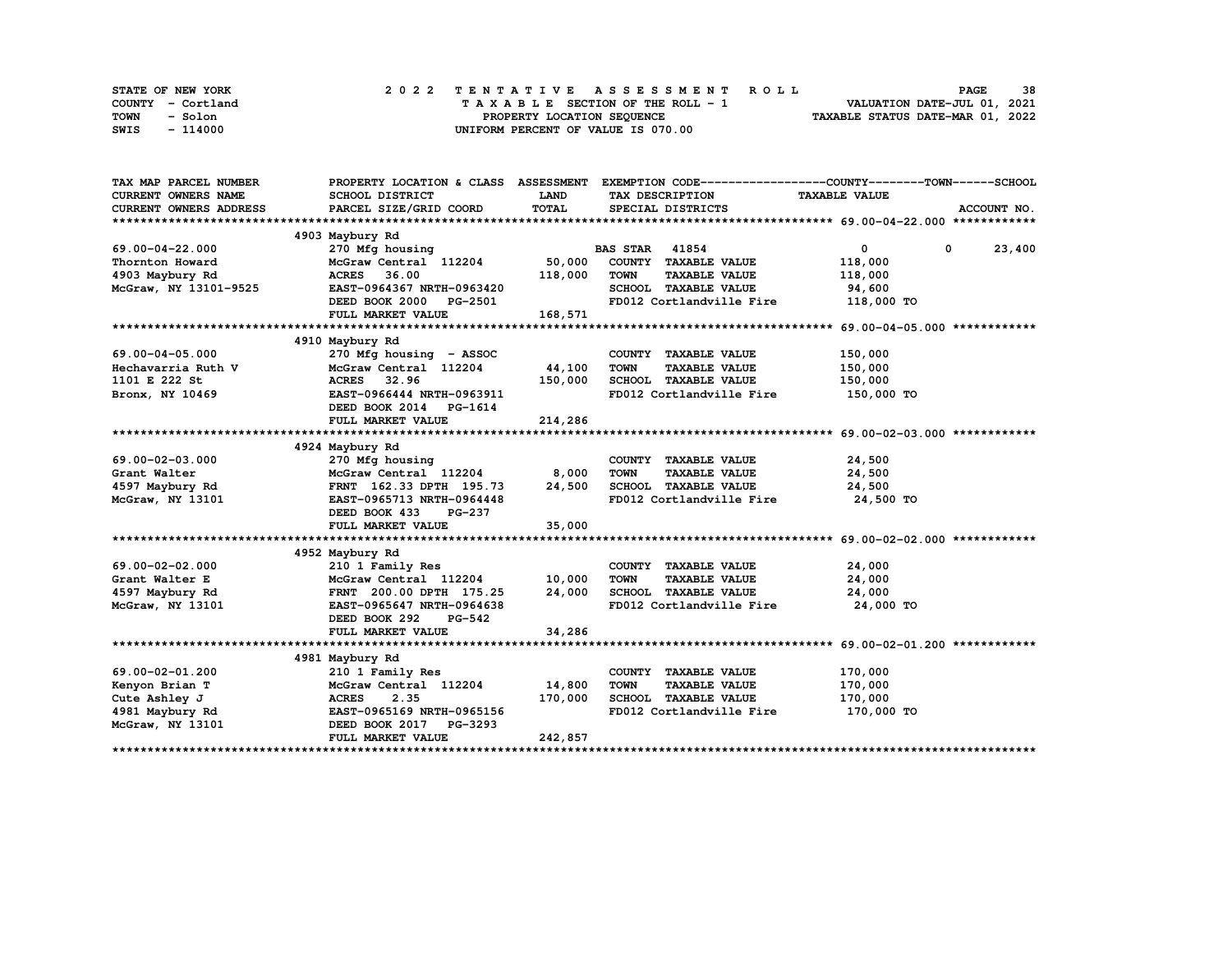| STATE OF NEW YORK | 2022 TENTATIVE ASSESSMENT ROLL     | 38<br><b>PAGE</b>                |
|-------------------|------------------------------------|----------------------------------|
| COUNTY - Cortland | TAXABLE SECTION OF THE ROLL - 1    | VALUATION DATE-JUL 01, 2021      |
| TOWN<br>- Solon   | PROPERTY LOCATION SEQUENCE         | TAXABLE STATUS DATE-MAR 01, 2022 |
| - 114000<br>SWIS  | UNIFORM PERCENT OF VALUE IS 070.00 |                                  |

| TAX MAP PARCEL NUMBER                                  |                                 |         |                                     | PROPERTY LOCATION & CLASS ASSESSMENT EXEMPTION CODE----------------COUNTY-------TOWN------SCHOOL |             |
|--------------------------------------------------------|---------------------------------|---------|-------------------------------------|--------------------------------------------------------------------------------------------------|-------------|
| CURRENT OWNERS NAME                                    | SCHOOL DISTRICT                 | LAND    | TAX DESCRIPTION TAXABLE VALUE       |                                                                                                  |             |
| <b>CURRENT OWNERS ADDRESS</b>                          | PARCEL SIZE/GRID COORD          | TOTAL   | SPECIAL DISTRICTS                   |                                                                                                  | ACCOUNT NO. |
|                                                        |                                 |         |                                     |                                                                                                  |             |
|                                                        | 4903 Maybury Rd                 |         |                                     |                                                                                                  |             |
| 69.00-04-22.000                                        | 270 Mfg housing                 |         | <b>BAS STAR 41854</b>               | $\overline{0}$<br>$\mathbf 0$                                                                    | 23,400      |
| Thornton Howard                                        | McGraw Central 112204           |         | 50,000 COUNTY TAXABLE VALUE         | 118,000                                                                                          |             |
| 4903 Maybury Rd                                        | <b>ACRES</b> 36.00              | 118,000 | <b>TAXABLE VALUE</b><br><b>TOWN</b> | 118,000                                                                                          |             |
| McGraw, NY 13101-9525                                  | EAST-0964367 NRTH-0963420       |         | SCHOOL TAXABLE VALUE                | 94,600                                                                                           |             |
|                                                        | DEED BOOK 2000 PG-2501          |         | FD012 Cortlandville Fire 118,000 TO |                                                                                                  |             |
|                                                        | FULL MARKET VALUE               | 168,571 |                                     |                                                                                                  |             |
|                                                        |                                 |         |                                     |                                                                                                  |             |
|                                                        | 4910 Maybury Rd                 |         |                                     |                                                                                                  |             |
| 69.00-04-05.000                                        | 270 Mfg housing - ASSOC         |         | COUNTY TAXABLE VALUE                | 150,000                                                                                          |             |
| 69.00-04-05.000<br>Hechavarria Ruth V<br>1101 E 222 St | McGraw Central 112204           | 44,100  | <b>TOWN</b><br><b>TAXABLE VALUE</b> | 150,000                                                                                          |             |
|                                                        | ACRES 32.96                     | 150,000 | SCHOOL TAXABLE VALUE                | 150,000                                                                                          |             |
| Bronx, NY 10469                                        | EAST-0966444 NRTH-0963911       |         | FD012 Cortlandville Fire 150,000 TO |                                                                                                  |             |
|                                                        | DEED BOOK 2014 PG-1614          |         |                                     |                                                                                                  |             |
|                                                        | FULL MARKET VALUE               | 214,286 |                                     |                                                                                                  |             |
|                                                        |                                 |         |                                     |                                                                                                  |             |
|                                                        | 4924 Maybury Rd                 |         |                                     |                                                                                                  |             |
| 69.00-02-03.000                                        | 270 Mfg housing                 |         | COUNTY TAXABLE VALUE                | 24,500                                                                                           |             |
| Grant Walter                                           | $McGraw$ Central $112204$ 8,000 |         | <b>TOWN</b><br><b>TAXABLE VALUE</b> | 24,500                                                                                           |             |
| 4597 Maybury Rd                                        | FRNT 162.33 DPTH 195.73 24,500  |         | SCHOOL TAXABLE VALUE 24,500         |                                                                                                  |             |
| McGraw, NY 13101                                       | EAST-0965713 NRTH-0964448       |         | FD012 Cortlandville Fire            | 24,500 TO                                                                                        |             |
|                                                        | DEED BOOK 433 PG-237            |         |                                     |                                                                                                  |             |
|                                                        | FULL MARKET VALUE               | 35,000  |                                     |                                                                                                  |             |
|                                                        |                                 |         |                                     |                                                                                                  |             |
|                                                        | 4952 Maybury Rd                 |         |                                     |                                                                                                  |             |
| 69.00-02-02.000                                        | 210 1 Family Res                |         | COUNTY TAXABLE VALUE                | 24,000                                                                                           |             |
| Grant Walter E                                         | McGraw Central 112204 10,000    |         | <b>TOWN</b><br>TAXABLE VALUE        | 24,000                                                                                           |             |
| 4597 Maybury Rd                                        | FRNT 200.00 DPTH 175.25 24,000  |         | SCHOOL TAXABLE VALUE                | 24,000                                                                                           |             |
| McGraw, NY 13101                                       | EAST-0965647 NRTH-0964638       |         | FD012 Cortlandville Fire            | 24,000 TO                                                                                        |             |
|                                                        | DEED BOOK 292<br><b>PG-542</b>  |         |                                     |                                                                                                  |             |
|                                                        | FULL MARKET VALUE               | 34,286  |                                     |                                                                                                  |             |
|                                                        |                                 |         |                                     |                                                                                                  |             |
|                                                        | 4981 Maybury Rd                 |         |                                     |                                                                                                  |             |
| 69.00-02-01.200                                        | 210 1 Family Res                |         | COUNTY TAXABLE VALUE                | 170,000                                                                                          |             |
| Kenyon Brian T                                         | McGraw Central 112204           | 14,800  | TOWN<br><b>TAXABLE VALUE</b>        | 170,000                                                                                          |             |
| Cute Ashley J                                          | <b>ACRES</b><br>2.35            | 170,000 | SCHOOL TAXABLE VALUE                | 170,000                                                                                          |             |
| 4981 Maybury Rd EAST-0965169 NRTH-0965156              |                                 |         | FD012 Cortlandville Fire 170,000 TO |                                                                                                  |             |
| McGraw, NY 13101 DEED BOOK 2017 PG-3293                |                                 |         |                                     |                                                                                                  |             |
|                                                        | FULL MARKET VALUE               | 242,857 |                                     |                                                                                                  |             |
|                                                        |                                 |         |                                     |                                                                                                  |             |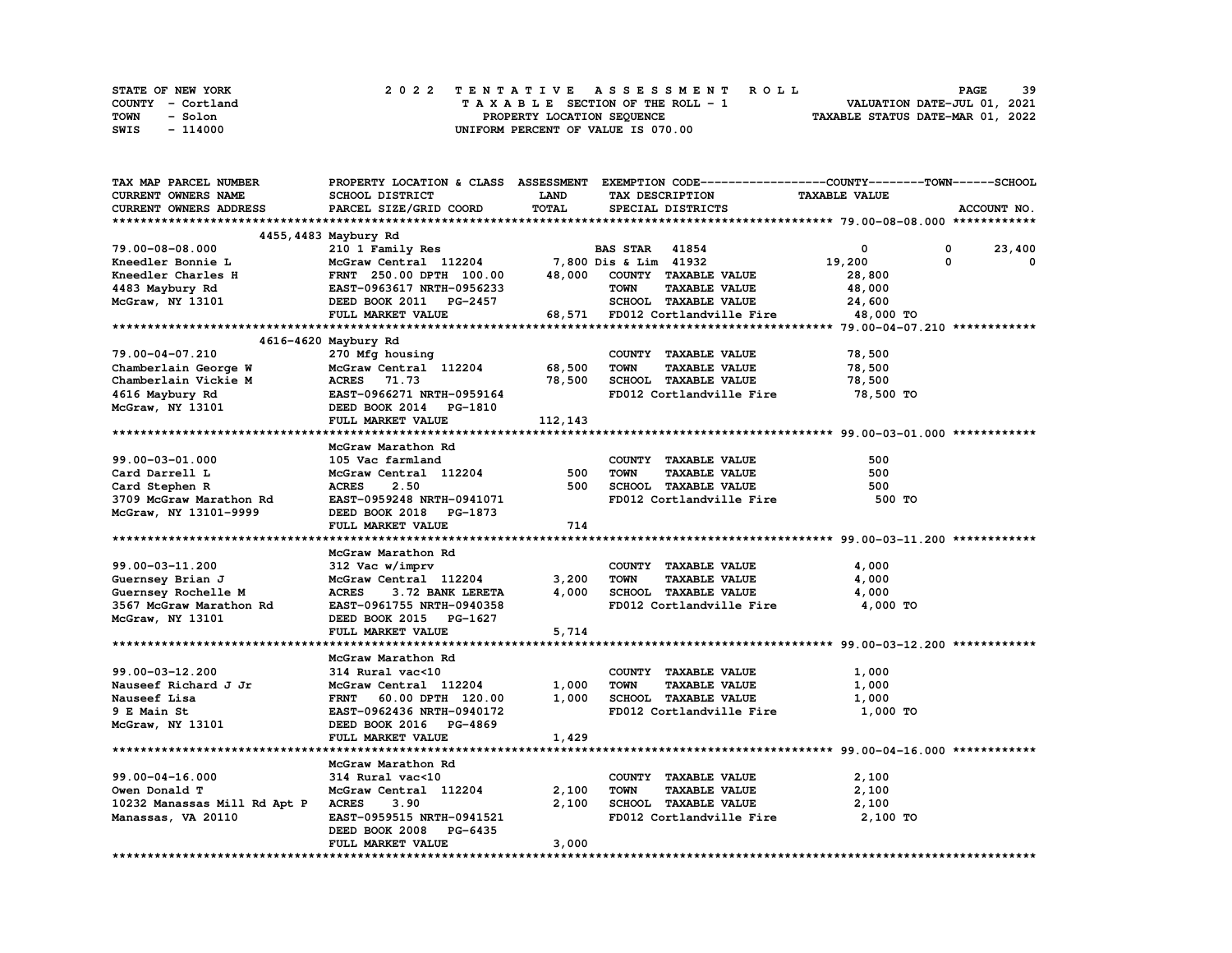| STATE OF NEW YORK | 2022 TENTATIVE ASSESSMENT ROLL     | -39<br><b>PAGE</b>               |
|-------------------|------------------------------------|----------------------------------|
| COUNTY - Cortland | TAXABLE SECTION OF THE ROLL - 1    | VALUATION DATE-JUL 01, 2021      |
| TOWN<br>- Solon   | PROPERTY LOCATION SEQUENCE         | TAXABLE STATUS DATE-MAR 01, 2022 |
| - 114000<br>SWIS  | UNIFORM PERCENT OF VALUE IS 070.00 |                                  |

| TAX MAP PARCEL NUMBER                                                                                                                        | PROPERTY LOCATION & CLASS ASSESSMENT EXEMPTION CODE----------------COUNTY-------TOWN-----SCHOOL                                                                                 |             |                                     |                      |                             |
|----------------------------------------------------------------------------------------------------------------------------------------------|---------------------------------------------------------------------------------------------------------------------------------------------------------------------------------|-------------|-------------------------------------|----------------------|-----------------------------|
| <b>CURRENT OWNERS NAME</b>                                                                                                                   | SCHOOL DISTRICT                                                                                                                                                                 | <b>LAND</b> | TAX DESCRIPTION                     | <b>TAXABLE VALUE</b> |                             |
| CURRENT OWNERS ADDRESS                                                                                                                       | PARCEL SIZE/GRID COORD                                                                                                                                                          | TOTAL       | SPECIAL DISTRICTS                   |                      | ACCOUNT NO.                 |
|                                                                                                                                              |                                                                                                                                                                                 |             |                                     |                      |                             |
|                                                                                                                                              | 4455,4483 Maybury Rd                                                                                                                                                            |             |                                     |                      |                             |
| 79.00-08-08.000                                                                                                                              | 210 1 Family Res                                                                                                                                                                |             | <b>BAS STAR</b> 41854               | 0                    | 23,400<br>0                 |
| Kneedler Bonnie L                                                                                                                            |                                                                                                                                                                                 |             |                                     | 19,200               | $\mathbf 0$<br>$\mathbf{0}$ |
| Kneedler Charles H                                                                                                                           |                                                                                                                                                                                 |             | 48,000 COUNTY TAXABLE VALUE         | 28,800               |                             |
| 4483 Maybury Rd                                                                                                                              | McGraw Central 112204 7,800 Dis & Lim 41932<br>FRNT 250.00 DPTH 100.00 48,000 COUNTY TAXABLE<br>EAST-0963617 NRTH-0956233 TOWN TAXABLE<br>DEED BOOK 2011 PG-2457 SCHOOL TAXABLE |             | <b>TAXABLE VALUE</b>                | 48,000               |                             |
| McGraw, NY 13101                                                                                                                             |                                                                                                                                                                                 |             | SCHOOL TAXABLE VALUE                | 24,600               |                             |
|                                                                                                                                              | FULL MARKET VALUE                                                                                                                                                               |             | 68,571 FD012 Cortlandville Fire     | 48,000 TO            |                             |
|                                                                                                                                              |                                                                                                                                                                                 |             |                                     |                      |                             |
|                                                                                                                                              |                                                                                                                                                                                 |             |                                     |                      |                             |
|                                                                                                                                              | 4616-4620 Maybury Rd                                                                                                                                                            |             |                                     |                      |                             |
| 79.00-04-07.210                                                                                                                              | 270 Mfg housing                                                                                                                                                                 |             | COUNTY TAXABLE VALUE                | 78,500               |                             |
| V3.00-04-07.210<br>Chamberlain George W<br>Chamberlain Vickie M<br>ACRES 71.73<br>4616 Maybury Rd<br>MCGraw, NY 13101 DEED BOOK 2014 PG-1810 |                                                                                                                                                                                 | 68,500      | <b>TOWN</b><br><b>TAXABLE VALUE</b> | 78,500               |                             |
|                                                                                                                                              |                                                                                                                                                                                 | 78,500      | SCHOOL TAXABLE VALUE                | 78,500               |                             |
|                                                                                                                                              |                                                                                                                                                                                 |             | FD012 Cortlandville Fire            | 78,500 TO            |                             |
|                                                                                                                                              |                                                                                                                                                                                 |             |                                     |                      |                             |
|                                                                                                                                              | FULL MARKET VALUE                                                                                                                                                               | 112,143     |                                     |                      |                             |
|                                                                                                                                              |                                                                                                                                                                                 |             |                                     |                      |                             |
|                                                                                                                                              | McGraw Marathon Rd                                                                                                                                                              |             |                                     |                      |                             |
| 99.00-03-01.000                                                                                                                              | 105 Vac farmland                                                                                                                                                                |             | COUNTY TAXABLE VALUE                | 500                  |                             |
| Card Darrell L                                                                                                                               | McGraw Central 112204                                                                                                                                                           | 500         | <b>TAXABLE VALUE</b><br><b>TOWN</b> | 500                  |                             |
|                                                                                                                                              | <b>ACRES</b><br>2.50                                                                                                                                                            | 500         | SCHOOL TAXABLE VALUE                | 500                  |                             |
| Card Stephen Rd<br>3709 McGraw Marathon Rd                                                                                                   | EAST-0959248 NRTH-0941071                                                                                                                                                       |             | FD012 Cortlandville Fire 500 TO     |                      |                             |
| McGraw, NY 13101-9999                                                                                                                        | DEED BOOK 2018 PG-1873                                                                                                                                                          |             |                                     |                      |                             |
|                                                                                                                                              | FULL MARKET VALUE                                                                                                                                                               | 714         |                                     |                      |                             |
|                                                                                                                                              |                                                                                                                                                                                 |             |                                     |                      |                             |
|                                                                                                                                              | McGraw Marathon Rd                                                                                                                                                              |             |                                     |                      |                             |
| 99.00-03-11.200                                                                                                                              | 312 Vac w/imprv                                                                                                                                                                 |             | COUNTY TAXABLE VALUE                | 4,000                |                             |
| Guernsey Brian J                                                                                                                             | McGraw Central 112204                                                                                                                                                           | 3,200       | <b>TOWN</b><br><b>TAXABLE VALUE</b> | 4,000                |                             |
| Guernsey Rochelle M                                                                                                                          | <b>ACRES</b><br>3.72 BANK LERETA                                                                                                                                                | 4,000       | SCHOOL TAXABLE VALUE                | 4,000                |                             |
| 3567 McGraw Marathon Rd                                                                                                                      | EAST-0961755 NRTH-0940358                                                                                                                                                       |             | FD012 Cortlandville Fire            | 4,000 TO             |                             |
| McGraw, NY 13101                                                                                                                             | DEED BOOK 2015 PG-1627                                                                                                                                                          |             |                                     |                      |                             |
|                                                                                                                                              | FULL MARKET VALUE                                                                                                                                                               | 5,714       |                                     |                      |                             |
|                                                                                                                                              |                                                                                                                                                                                 |             |                                     |                      |                             |
|                                                                                                                                              | McGraw Marathon Rd                                                                                                                                                              |             |                                     |                      |                             |
| 99.00-03-12.200                                                                                                                              | 314 Rural vac<10                                                                                                                                                                |             | COUNTY TAXABLE VALUE                | 1,000                |                             |
| Nauseef Richard J Jr                                                                                                                         | McGraw Central 112204                                                                                                                                                           | 1,000       | <b>TAXABLE VALUE</b><br><b>TOWN</b> | 1,000                |                             |
| Nauseef Lisa                                                                                                                                 | FRNT 60.00 DPTH 120.00                                                                                                                                                          | 1,000       | SCHOOL TAXABLE VALUE                | 1,000                |                             |
| 9 E Main St                                                                                                                                  | EAST-0962436 NRTH-0940172                                                                                                                                                       |             | FD012 Cortlandville Fire            | 1,000 TO             |                             |
| McGraw, NY 13101                                                                                                                             | DEED BOOK 2016 PG-4869                                                                                                                                                          |             |                                     |                      |                             |
|                                                                                                                                              | FULL MARKET VALUE                                                                                                                                                               | 1,429       |                                     |                      |                             |
|                                                                                                                                              |                                                                                                                                                                                 |             |                                     |                      |                             |
|                                                                                                                                              | McGraw Marathon Rd                                                                                                                                                              |             |                                     |                      |                             |
| $99.00 - 04 - 16.000$                                                                                                                        | 314 Rural vac<10                                                                                                                                                                |             | COUNTY TAXABLE VALUE                | 2,100                |                             |
| Owen Donald T                                                                                                                                | McGraw Central 112204                                                                                                                                                           | 2,100       | <b>TAXABLE VALUE</b><br><b>TOWN</b> | 2,100                |                             |
| 10232 Manassas Mill Rd Apt P                                                                                                                 | <b>ACRES</b><br>3.90                                                                                                                                                            | 2,100       | SCHOOL TAXABLE VALUE                | 2,100                |                             |
| Manassas, VA 20110                                                                                                                           | EAST-0959515 NRTH-0941521                                                                                                                                                       |             | FD012 Cortlandville Fire 2,100 TO   |                      |                             |
|                                                                                                                                              | DEED BOOK 2008 PG-6435                                                                                                                                                          |             |                                     |                      |                             |
|                                                                                                                                              | FULL MARKET VALUE                                                                                                                                                               | 3,000       |                                     |                      |                             |
|                                                                                                                                              |                                                                                                                                                                                 |             |                                     |                      |                             |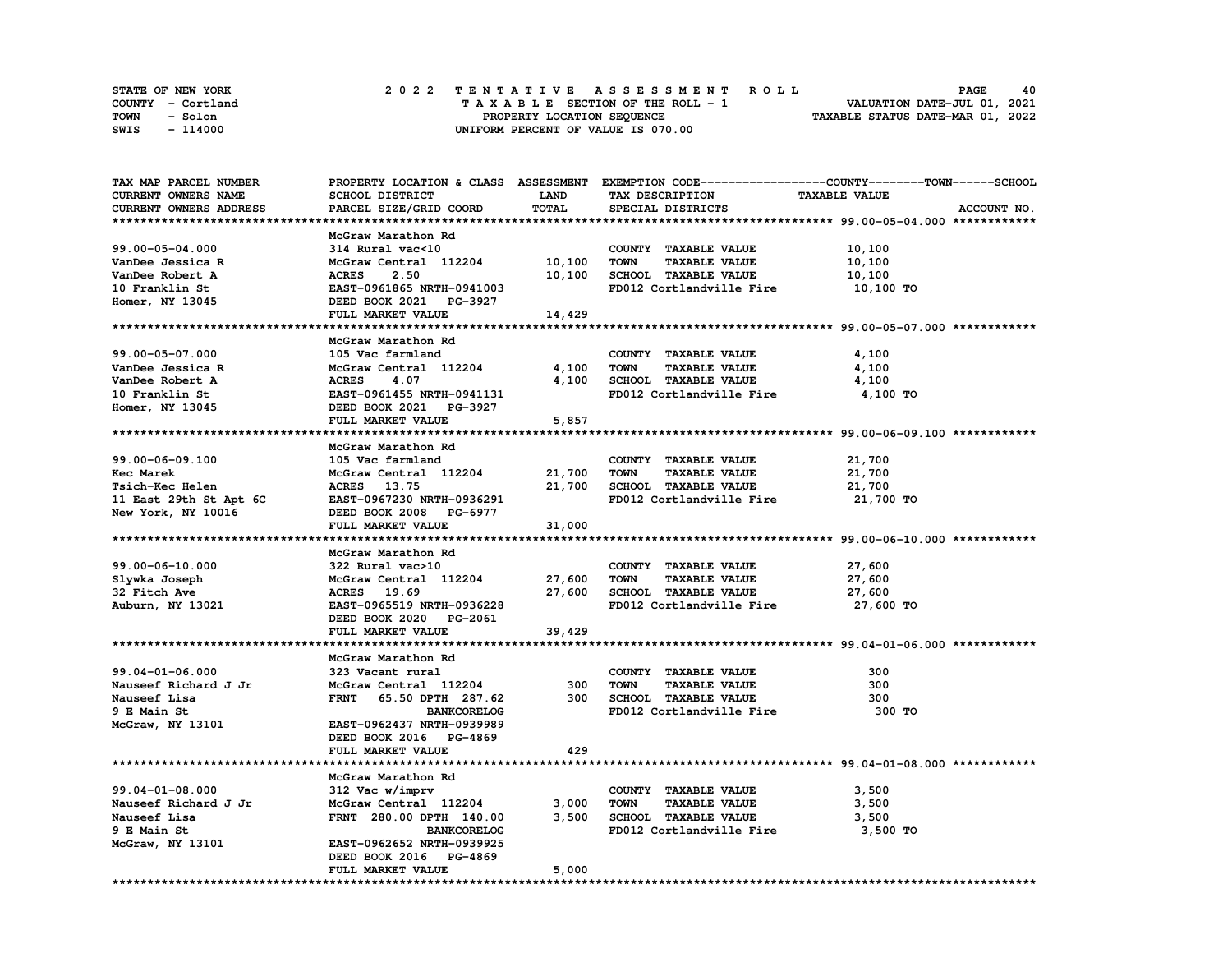| STATE OF NEW YORK | 2022 TENTATIVE ASSESSMENT ROLL     | 40<br><b>PAGE</b>                |
|-------------------|------------------------------------|----------------------------------|
| COUNTY - Cortland | TAXABLE SECTION OF THE ROLL - 1    | VALUATION DATE-JUL 01, 2021      |
| TOWN<br>- Solon   | PROPERTY LOCATION SEQUENCE         | TAXABLE STATUS DATE-MAR 01, 2022 |
| - 114000<br>SWIS  | UNIFORM PERCENT OF VALUE IS 070.00 |                                  |

| TAX MAP PARCEL NUMBER  |                              |             |                                     | PROPERTY LOCATION & CLASS ASSESSMENT EXEMPTION CODE----------------COUNTY-------TOWN------SCHOOL |
|------------------------|------------------------------|-------------|-------------------------------------|--------------------------------------------------------------------------------------------------|
| CURRENT OWNERS NAME    | SCHOOL DISTRICT              | <b>LAND</b> | TAX DESCRIPTION                     | <b>TAXABLE VALUE</b>                                                                             |
| CURRENT OWNERS ADDRESS | PARCEL SIZE/GRID COORD       | TOTAL       | SPECIAL DISTRICTS                   | ACCOUNT NO.                                                                                      |
|                        |                              |             |                                     |                                                                                                  |
|                        | McGraw Marathon Rd           |             |                                     |                                                                                                  |
| 99.00-05-04.000        | 314 Rural vac<10             |             | COUNTY TAXABLE VALUE                | 10,100                                                                                           |
| VanDee Jessica R       | McGraw Central 112204        | 10,100      | <b>TOWN</b><br><b>TAXABLE VALUE</b> | 10,100                                                                                           |
|                        |                              |             |                                     |                                                                                                  |
| VanDee Robert A        | <b>ACRES</b><br>2.50         | 10,100      | SCHOOL TAXABLE VALUE                | 10,100                                                                                           |
| 10 Franklin St         | EAST-0961865 NRTH-0941003    |             | FD012 Cortlandville Fire            | 10,100 TO                                                                                        |
| Homer, NY 13045        | DEED BOOK 2021 PG-3927       |             |                                     |                                                                                                  |
|                        | FULL MARKET VALUE            | 14,429      |                                     |                                                                                                  |
|                        |                              |             |                                     |                                                                                                  |
|                        | McGraw Marathon Rd           |             |                                     |                                                                                                  |
| 99.00-05-07.000        | 105 Vac farmland             |             | COUNTY TAXABLE VALUE                | 4,100                                                                                            |
| VanDee Jessica R       | McGraw Central 112204        | 4,100       | <b>TOWN</b><br><b>TAXABLE VALUE</b> | 4,100                                                                                            |
| VanDee Robert A        | <b>ACRES</b><br>4.07         | 4,100       | SCHOOL TAXABLE VALUE                | 4,100                                                                                            |
| 10 Franklin St         | EAST-0961455 NRTH-0941131    |             | FD012 Cortlandville Fire            | 4,100 TO                                                                                         |
| Homer, NY 13045        | DEED BOOK 2021 PG-3927       |             |                                     |                                                                                                  |
|                        | <b>FULL MARKET VALUE</b>     | 5,857       |                                     |                                                                                                  |
|                        |                              |             |                                     |                                                                                                  |
|                        | McGraw Marathon Rd           |             |                                     |                                                                                                  |
| 99.00-06-09.100        | 105 Vac farmland             |             | COUNTY TAXABLE VALUE                | 21,700                                                                                           |
|                        |                              |             | <b>TOWN</b><br><b>TAXABLE VALUE</b> |                                                                                                  |
| Kec Marek              | McGraw Central 112204 21,700 |             |                                     | 21,700                                                                                           |
| Tsich-Kec Helen        | ACRES 13.75                  | 21,700      | SCHOOL TAXABLE VALUE                | 21,700                                                                                           |
| 11 East 29th St Apt 6C | EAST-0967230 NRTH-0936291    |             | FD012 Cortlandville Fire            | 21,700 TO                                                                                        |
| New York, NY 10016     | DEED BOOK 2008 PG-6977       |             |                                     |                                                                                                  |
|                        | FULL MARKET VALUE            | 31,000      |                                     |                                                                                                  |
|                        |                              |             |                                     |                                                                                                  |
|                        | McGraw Marathon Rd           |             |                                     |                                                                                                  |
| 99.00-06-10.000        | 322 Rural vac>10             |             | COUNTY TAXABLE VALUE                | 27,600                                                                                           |
| Slywka Joseph          | McGraw Central 112204        | 27,600      | <b>TOWN</b><br><b>TAXABLE VALUE</b> | 27,600                                                                                           |
| 32 Fitch Ave           | ACRES 19.69                  | 27,600      | SCHOOL TAXABLE VALUE                | 27,600                                                                                           |
| Auburn, NY 13021       | EAST-0965519 NRTH-0936228    |             | FD012 Cortlandville Fire            | 27,600 TO                                                                                        |
|                        | DEED BOOK 2020 PG-2061       |             |                                     |                                                                                                  |
|                        | FULL MARKET VALUE            | 39,429      |                                     |                                                                                                  |
|                        |                              |             |                                     |                                                                                                  |
|                        | McGraw Marathon Rd           |             |                                     |                                                                                                  |
| 99.04-01-06.000        | 323 Vacant rural             |             | COUNTY TAXABLE VALUE                | 300                                                                                              |
| Nauseef Richard J Jr   | McGraw Central 112204        | 300         | <b>TOWN</b><br><b>TAXABLE VALUE</b> | 300                                                                                              |
| Nauseef Lisa           | FRNT 65.50 DPTH 287.62       | 300         | SCHOOL TAXABLE VALUE                | 300                                                                                              |
| 9 E Main St            | <b>BANKCORELOG</b>           |             | FD012 Cortlandville Fire            | 300 TO                                                                                           |
| McGraw, NY 13101       | EAST-0962437 NRTH-0939989    |             |                                     |                                                                                                  |
|                        | DEED BOOK 2016 PG-4869       |             |                                     |                                                                                                  |
|                        |                              | 429         |                                     |                                                                                                  |
|                        | FULL MARKET VALUE            |             |                                     |                                                                                                  |
|                        |                              |             |                                     |                                                                                                  |
|                        | McGraw Marathon Rd           |             |                                     |                                                                                                  |
| $99.04 - 01 - 08.000$  | 312 Vac w/imprv              |             | COUNTY TAXABLE VALUE                | 3,500                                                                                            |
| Nauseef Richard J Jr   | McGraw Central 112204        | 3,000       | <b>TOWN</b><br><b>TAXABLE VALUE</b> | 3,500                                                                                            |
| Nauseef Lisa           | FRNT 280.00 DPTH 140.00      | 3,500       | SCHOOL TAXABLE VALUE                | 3,500                                                                                            |
| 9 E Main St            | <b>BANKCORELOG</b>           |             | FD012 Cortlandville Fire 3,500 TO   |                                                                                                  |
| McGraw, NY 13101       | EAST-0962652 NRTH-0939925    |             |                                     |                                                                                                  |
|                        | DEED BOOK 2016 PG-4869       |             |                                     |                                                                                                  |
|                        |                              |             |                                     |                                                                                                  |
|                        | FULL MARKET VALUE            | 5,000       |                                     |                                                                                                  |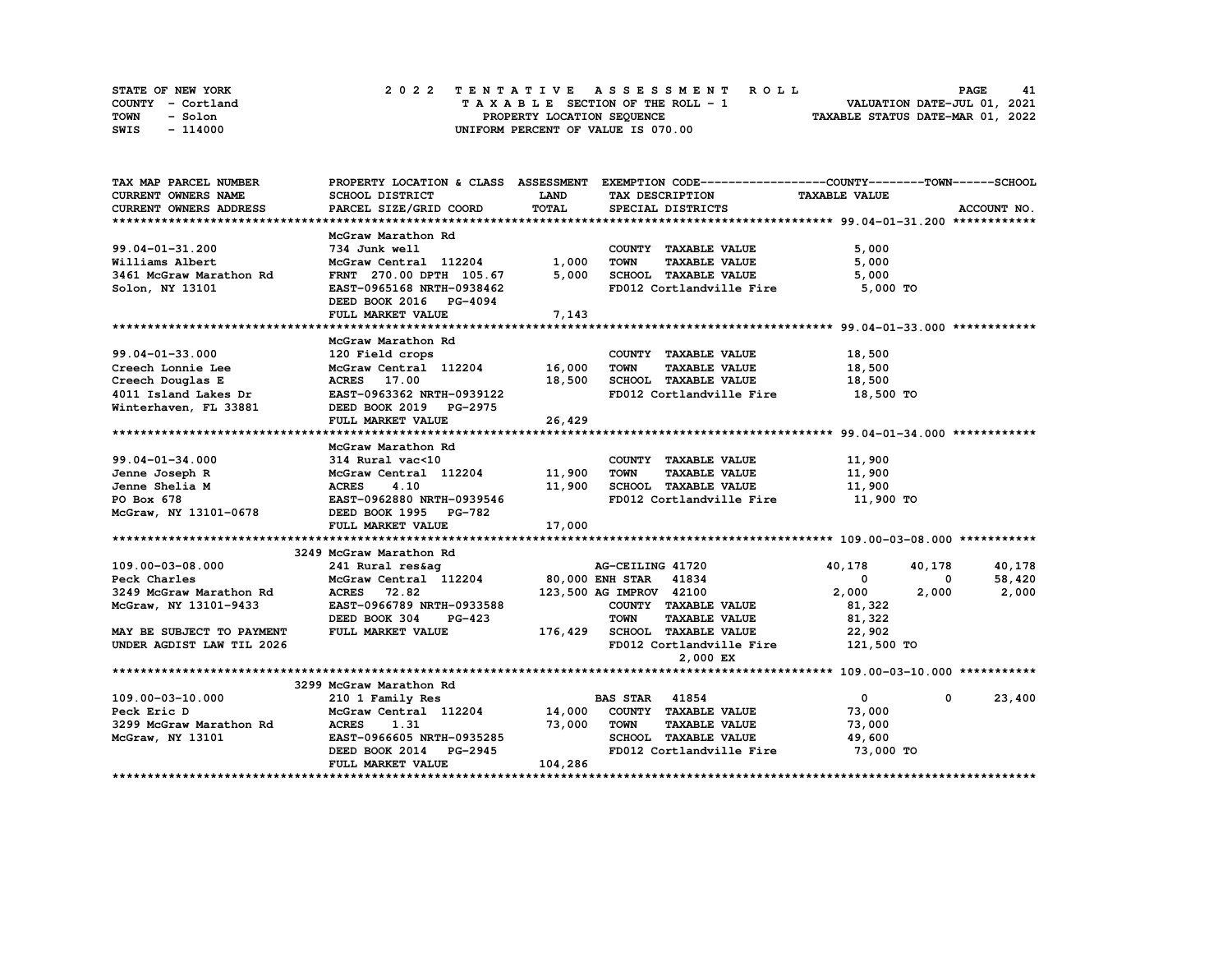| STATE OF NEW YORK | 2022 TENTATIVE ASSESSMENT ROLL     | <b>PAGE</b><br>41                |
|-------------------|------------------------------------|----------------------------------|
| COUNTY - Cortland | TAXABLE SECTION OF THE ROLL - 1    | VALUATION DATE-JUL 01, 2021      |
| TOWN<br>- Solon   | PROPERTY LOCATION SEQUENCE         | TAXABLE STATUS DATE-MAR 01, 2022 |
| - 114000<br>SWIS  | UNIFORM PERCENT OF VALUE IS 070.00 |                                  |

| TAX MAP PARCEL NUMBER                                             |                                             |         | PROPERTY LOCATION & CLASS ASSESSMENT EXEMPTION CODE----------------COUNTY-------TOWN------SCHOOL |                      |                        |
|-------------------------------------------------------------------|---------------------------------------------|---------|--------------------------------------------------------------------------------------------------|----------------------|------------------------|
| <b>CURRENT OWNERS NAME</b>                                        | SCHOOL DISTRICT                             | LAND    | TAX DESCRIPTION                                                                                  | <b>TAXABLE VALUE</b> |                        |
| CURRENT OWNERS ADDRESS                                            | PARCEL SIZE/GRID COORD                      | TOTAL   | SPECIAL DISTRICTS                                                                                |                      | ACCOUNT NO.            |
|                                                                   |                                             |         |                                                                                                  |                      |                        |
|                                                                   | McGraw Marathon Rd                          |         |                                                                                                  |                      |                        |
| 99.04-01-31.200                                                   | 734 Junk well                               |         | COUNTY TAXABLE VALUE                                                                             | 5,000                |                        |
| Williams Albert                                                   | McGraw Central 112204                       | 1,000   | <b>TOWN</b><br><b>TAXABLE VALUE</b>                                                              | 5,000                |                        |
| 3461 McGraw Marathon Rd                                           | FRNT 270.00 DPTH 105.67                     | 5,000   | SCHOOL TAXABLE VALUE                                                                             | 5,000                |                        |
| Solon, NY 13101                                                   | EAST-0965168 NRTH-0938462                   |         | FD012 Cortlandville Fire                                                                         | 5,000 TO             |                        |
|                                                                   | DEED BOOK 2016 PG-4094                      |         |                                                                                                  |                      |                        |
|                                                                   | FULL MARKET VALUE                           | 7,143   |                                                                                                  |                      |                        |
|                                                                   |                                             |         |                                                                                                  |                      |                        |
|                                                                   | McGraw Marathon Rd                          |         |                                                                                                  |                      |                        |
| $99.04 - 01 - 33.000$                                             | 120 Field crops                             |         | COUNTY TAXABLE VALUE                                                                             | 18,500               |                        |
| Creech Lonnie Lee                                                 | Extra crops<br>McGraw Central 112204 16,000 |         | <b>TOWN</b><br><b>TAXABLE VALUE</b>                                                              | 18,500               |                        |
|                                                                   | <b>ACRES</b> 17.00                          |         | 18,500 SCHOOL TAXABLE VALUE                                                                      | 18,500               |                        |
|                                                                   | EAST-0963362 NRTH-0939122                   |         | FD012 Cortlandville Fire                                                                         |                      |                        |
| Creech Douglas E<br>4011 Island Lakes Dr<br>Winterhaven, FL 33881 | DEED BOOK 2019 PG-2975                      |         |                                                                                                  | 18,500 TO            |                        |
|                                                                   |                                             |         |                                                                                                  |                      |                        |
|                                                                   | FULL MARKET VALUE                           | 26,429  |                                                                                                  |                      |                        |
|                                                                   |                                             |         |                                                                                                  |                      |                        |
|                                                                   | McGraw Marathon Rd                          |         |                                                                                                  |                      |                        |
| $99.04 - 01 - 34.000$                                             | 314 Rural vac<10                            |         | COUNTY TAXABLE VALUE                                                                             | 11,900               |                        |
| Jenne Joseph R                                                    | McGraw Central 112204 11,900                |         | TOWN<br><b>TAXABLE VALUE</b>                                                                     | 11,900               |                        |
| Jenne Shelia M                                                    | <b>ACRES</b><br>4.10                        |         | 11,900 SCHOOL TAXABLE VALUE                                                                      | 11,900               |                        |
|                                                                   | EAST-0962880 NRTH-0939546                   |         | FD012 Cortlandville Fire 11,900 TO                                                               |                      |                        |
|                                                                   |                                             |         |                                                                                                  |                      |                        |
|                                                                   | FULL MARKET VALUE                           | 17,000  |                                                                                                  |                      |                        |
|                                                                   |                                             |         |                                                                                                  |                      |                        |
|                                                                   | 3249 McGraw Marathon Rd                     |         |                                                                                                  |                      |                        |
| 109.00-03-08.000                                                  |                                             |         |                                                                                                  | 40,178<br>40,178     | 40,178                 |
| Peck Charles                                                      |                                             |         |                                                                                                  | 0                    | 58,420<br>0            |
| 3249 McGraw Marathon Rd                                           | ACRES 72.82                                 |         | 123,500 AG IMPROV 42100                                                                          | 2,000<br>2,000       | 2,000                  |
| McGraw, NY 13101-9433                                             | EAST-0966789 NRTH-0933588                   |         | COUNTY TAXABLE VALUE                                                                             | 81,322               |                        |
|                                                                   | DEED BOOK 304<br><b>PG-423</b>              |         | <b>TAXABLE VALUE</b><br><b>TOWN</b>                                                              | 81,322               |                        |
| MAY BE SUBJECT TO PAYMENT                                         | FULL MARKET VALUE                           |         | 176,429 SCHOOL TAXABLE VALUE 22,902                                                              |                      |                        |
| UNDER AGDIST LAW TIL 2026                                         |                                             |         | FD012 Cortlandville Fire 121,500 TO                                                              |                      |                        |
|                                                                   |                                             |         | 2,000 EX                                                                                         |                      |                        |
|                                                                   |                                             |         |                                                                                                  |                      |                        |
|                                                                   | 3299 McGraw Marathon Rd                     |         |                                                                                                  |                      |                        |
| 109.00-03-10.000                                                  | 210 1 Family Res                            |         | <b>BAS STAR 41854</b>                                                                            | $\mathbf{0}$         | $\mathbf{0}$<br>23,400 |
| Peck Eric D                                                       | McGraw Central 112204 14,000                |         | COUNTY TAXABLE VALUE                                                                             | 73,000               |                        |
| 3299 McGraw Marathon Rd                                           | <b>ACRES</b><br>1.31                        | 73,000  | <b>TOWN</b><br><b>TAXABLE VALUE</b>                                                              | 73,000               |                        |
| McGraw, NY 13101                                                  | EAST-0966605 NRTH-0935285                   |         | SCHOOL TAXABLE VALUE                                                                             | 49,600               |                        |
|                                                                   | DEED BOOK 2014 PG-2945                      |         | FD012 Cortlandville Fire 73,000 TO                                                               |                      |                        |
|                                                                   | FULL MARKET VALUE                           | 104,286 |                                                                                                  |                      |                        |
|                                                                   |                                             |         |                                                                                                  |                      |                        |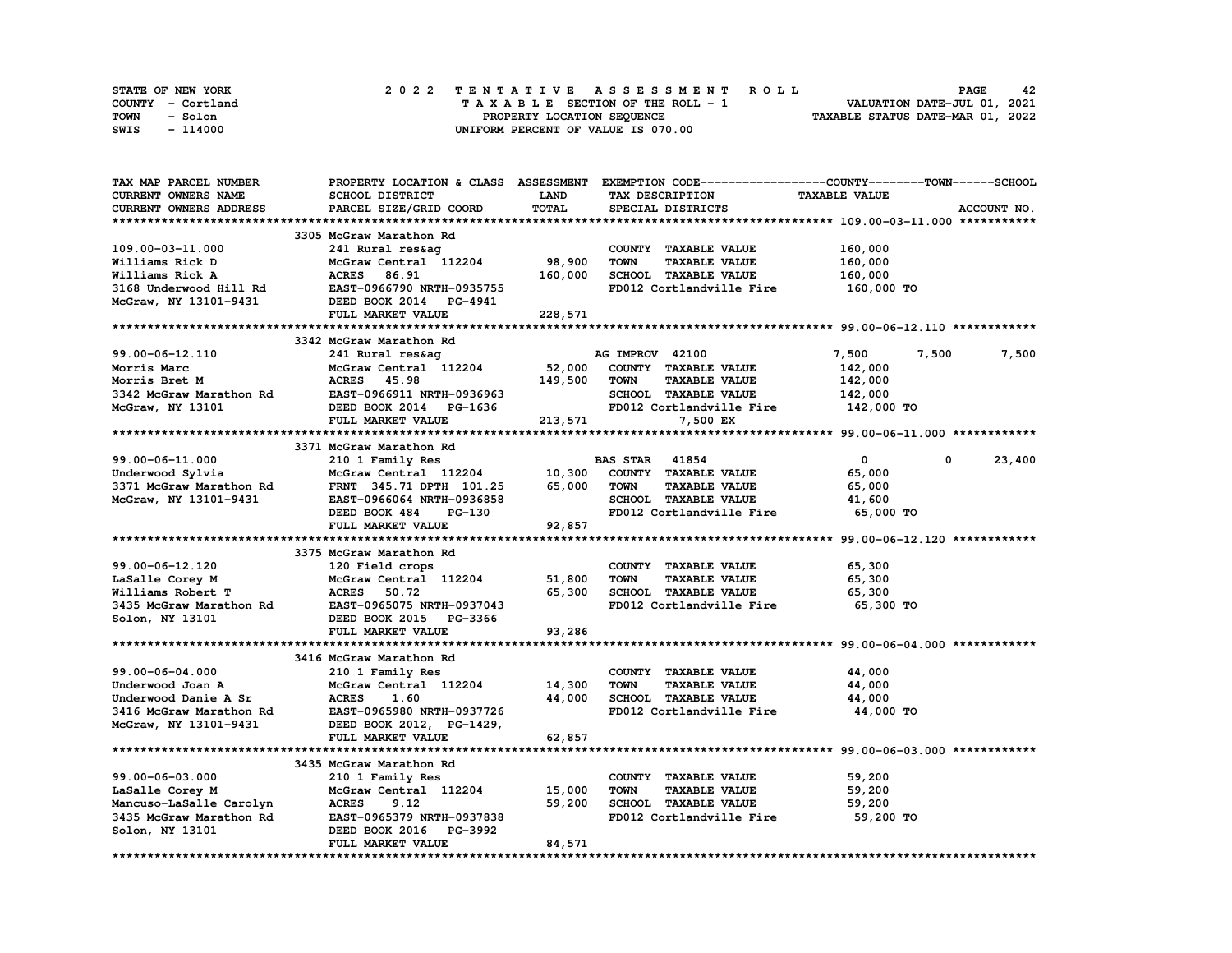| <b>STATE OF NEW YORK</b> | 2022 TENTATIVE ASSESSMENT ROLL     | 42<br><b>PAGE</b>                |
|--------------------------|------------------------------------|----------------------------------|
| COUNTY - Cortland        | TAXABLE SECTION OF THE ROLL - 1    | VALUATION DATE-JUL 01, 2021      |
| TOWN<br>- Solon          | PROPERTY LOCATION SEOUENCE         | TAXABLE STATUS DATE-MAR 01, 2022 |
| - 114000<br>SWIS         | UNIFORM PERCENT OF VALUE IS 070.00 |                                  |

| <b>TAX MAP PARCEL NUMBER</b> | PROPERTY LOCATION & CLASS ASSESSMENT                                              |         | EXEMPTION CODE-----------------COUNTY-------TOWN-----SCHOOL |                                                                |             |
|------------------------------|-----------------------------------------------------------------------------------|---------|-------------------------------------------------------------|----------------------------------------------------------------|-------------|
| <b>CURRENT OWNERS NAME</b>   | SCHOOL DISTRICT                                                                   | LAND    | TAX DESCRIPTION                                             | <b>TAXABLE VALUE</b>                                           |             |
| CURRENT OWNERS ADDRESS       | PARCEL SIZE/GRID COORD                                                            | TOTAL   | SPECIAL DISTRICTS                                           |                                                                | ACCOUNT NO. |
|                              |                                                                                   |         |                                                             |                                                                |             |
|                              | 3305 McGraw Marathon Rd                                                           |         |                                                             |                                                                |             |
| 109.00-03-11.000             | 241 Rural res&ag                                                                  |         | COUNTY TAXABLE VALUE                                        | 160,000                                                        |             |
| Williams Rick D              | McGraw Central 112204                                                             | 98,900  | <b>TOWN</b><br><b>TAXABLE VALUE</b>                         | 160,000                                                        |             |
|                              |                                                                                   |         |                                                             |                                                                |             |
| Williams Rick A              | 86.91<br><b>ACRES</b>                                                             | 160,000 | SCHOOL TAXABLE VALUE                                        | 160,000                                                        |             |
| 3168 Underwood Hill Rd       | EAST-0966790 NRTH-0935755                                                         |         | FD012 Cortlandville Fire                                    | 160,000 TO                                                     |             |
| McGraw, NY 13101-9431        | DEED BOOK 2014 PG-4941                                                            |         |                                                             |                                                                |             |
|                              | FULL MARKET VALUE                                                                 | 228,571 |                                                             |                                                                |             |
|                              |                                                                                   |         |                                                             |                                                                |             |
|                              | 3342 McGraw Marathon Rd                                                           |         |                                                             |                                                                |             |
| 99.00-06-12.110              | 241 Rural res&ag                                                                  |         | AG IMPROV 42100                                             | 7,500<br>7,500                                                 | 7,500       |
| Morris Marc                  | McGraw Central 112204                                                             | 52,000  | COUNTY TAXABLE VALUE                                        | 142,000                                                        |             |
| Morris Bret M                | <b>ACRES</b> 45.98                                                                | 149,500 | <b>TOWN</b><br><b>TAXABLE VALUE</b>                         | 142,000                                                        |             |
| 3342 McGraw Marathon Rd      | RUNED 1966911 NRTH-0936963<br>EAST-0966911 NRTH-0936963<br>2333 POOK 2014 PG-1636 |         | <b>SCHOOL TAXABLE VALUE</b>                                 | 142,000                                                        |             |
| McGraw, NY 13101             |                                                                                   |         | FD012 Cortlandville Fire                                    | 142,000 TO                                                     |             |
|                              | FULL MARKET VALUE                                                                 | 213,571 | 7,500 EX                                                    |                                                                |             |
|                              |                                                                                   |         |                                                             |                                                                |             |
|                              |                                                                                   |         |                                                             |                                                                |             |
|                              | 3371 McGraw Marathon Rd                                                           |         |                                                             |                                                                |             |
| 99.00-06-11.000              | 210 1 Family Res                                                                  |         | <b>BAS STAR 41854</b>                                       | $\overline{0}$<br>$^{\circ}$                                   | 23,400      |
| Underwood Sylvia             | McGraw Central 112204                                                             | 10,300  | COUNTY TAXABLE VALUE                                        | 65,000                                                         |             |
| 3371 McGraw Marathon Rd      | FRNT 345.71 DPTH 101.25                                                           | 65,000  | <b>TOWN</b><br><b>TAXABLE VALUE</b>                         | 65,000                                                         |             |
| McGraw, NY 13101-9431        | EAST-0966064 NRTH-0936858                                                         |         | SCHOOL TAXABLE VALUE                                        | 41,600                                                         |             |
|                              | DEED BOOK 484<br>PG-130                                                           |         | FD012 Cortlandville Fire                                    | 65,000 TO                                                      |             |
|                              | FULL MARKET VALUE                                                                 | 92,857  |                                                             |                                                                |             |
|                              |                                                                                   |         |                                                             |                                                                |             |
|                              | 3375 McGraw Marathon Rd                                                           |         |                                                             |                                                                |             |
| 99.00-06-12.120              | 120 Field crops                                                                   |         | COUNTY TAXABLE VALUE                                        | 65,300                                                         |             |
| LaSalle Corey M              | McGraw Central 112204                                                             | 51,800  | <b>TOWN</b><br><b>TAXABLE VALUE</b>                         | 65,300                                                         |             |
| Williams Robert T            | <b>ACRES</b><br>50.72                                                             | 65,300  | SCHOOL TAXABLE VALUE                                        | 65,300                                                         |             |
| 3435 McGraw Marathon Rd      | EAST-0965075 NRTH-0937043                                                         |         | FD012 Cortlandville Fire                                    | 65,300 TO                                                      |             |
|                              |                                                                                   |         |                                                             |                                                                |             |
| Solon, NY 13101              | DEED BOOK 2015 PG-3366                                                            |         |                                                             |                                                                |             |
|                              | FULL MARKET VALUE                                                                 | 93,286  |                                                             |                                                                |             |
|                              |                                                                                   |         |                                                             | ********************************* 99.00-06-04.000 ************ |             |
|                              | 3416 McGraw Marathon Rd                                                           |         |                                                             |                                                                |             |
| 99.00-06-04.000              | 210 1 Family Res                                                                  |         | COUNTY TAXABLE VALUE                                        | 44,000                                                         |             |
| Underwood Joan A             | McGraw Central 112204                                                             | 14,300  | <b>TOWN</b><br><b>TAXABLE VALUE</b>                         | 44,000                                                         |             |
| Underwood Danie A Sr         | <b>ACRES</b><br>1.60                                                              | 44,000  | SCHOOL TAXABLE VALUE                                        | 44,000                                                         |             |
| 3416 McGraw Marathon Rd      | EAST-0965980 NRTH-0937726                                                         |         | FD012 Cortlandville Fire                                    | 44,000 TO                                                      |             |
| McGraw, NY 13101-9431        | DEED BOOK 2012, PG-1429,                                                          |         |                                                             |                                                                |             |
|                              | FULL MARKET VALUE                                                                 | 62,857  |                                                             |                                                                |             |
|                              |                                                                                   |         |                                                             |                                                                |             |
|                              | 3435 McGraw Marathon Rd                                                           |         |                                                             |                                                                |             |
|                              |                                                                                   |         |                                                             |                                                                |             |
| 99.00-06-03.000              | 210 1 Family Res                                                                  |         | COUNTY TAXABLE VALUE                                        | 59,200                                                         |             |
| LaSalle Corey M              | McGraw Central 112204                                                             | 15,000  | <b>TOWN</b><br><b>TAXABLE VALUE</b>                         | 59,200                                                         |             |
| Mancuso-LaSalle Carolyn      | <b>ACRES</b><br>9.12                                                              | 59,200  | <b>SCHOOL TAXABLE VALUE</b>                                 | 59,200                                                         |             |
| 3435 McGraw Marathon Rd      | EAST-0965379 NRTH-0937838                                                         |         | FD012 Cortlandville Fire                                    | 59,200 TO                                                      |             |
| Solon, NY 13101              | DEED BOOK 2016 PG-3992                                                            |         |                                                             |                                                                |             |
|                              | FULL MARKET VALUE                                                                 | 84,571  |                                                             |                                                                |             |
|                              |                                                                                   |         |                                                             |                                                                |             |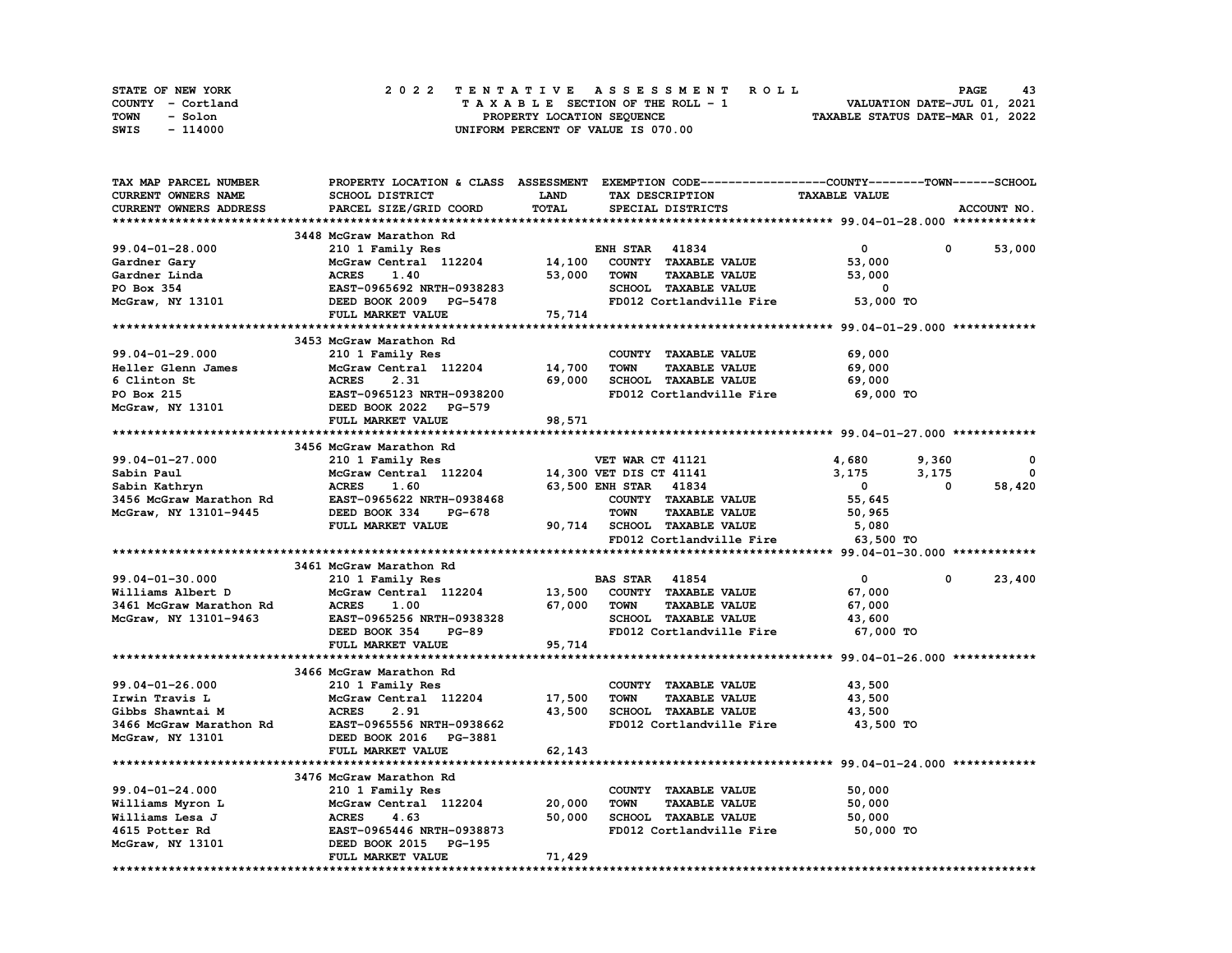| STATE OF NEW YORK | 2022 TENTATIVE ASSESSMENT ROLL     | 43<br><b>PAGE</b>                |
|-------------------|------------------------------------|----------------------------------|
| COUNTY - Cortland | TAXABLE SECTION OF THE ROLL - 1    | VALUATION DATE-JUL 01, 2021      |
| TOWN<br>- Solon   | PROPERTY LOCATION SEQUENCE         | TAXABLE STATUS DATE-MAR 01, 2022 |
| - 114000<br>SWIS  | UNIFORM PERCENT OF VALUE IS 070.00 |                                  |

| TAX MAP PARCEL NUMBER   |                                               |             | PROPERTY LOCATION & CLASS ASSESSMENT EXEMPTION CODE-----------------COUNTY-------TOWN------SCHOOL |                      |             |             |
|-------------------------|-----------------------------------------------|-------------|---------------------------------------------------------------------------------------------------|----------------------|-------------|-------------|
| CURRENT OWNERS NAME     | SCHOOL DISTRICT                               | <b>LAND</b> | TAX DESCRIPTION                                                                                   | <b>TAXABLE VALUE</b> |             |             |
| CURRENT OWNERS ADDRESS  | PARCEL SIZE/GRID COORD                        | TOTAL       | SPECIAL DISTRICTS                                                                                 |                      |             | ACCOUNT NO. |
|                         |                                               |             |                                                                                                   |                      |             |             |
|                         | 3448 McGraw Marathon Rd                       |             |                                                                                                   |                      |             |             |
| 99.04-01-28.000         | 210 1 Family Res                              |             | <b>ENH STAR 41834</b>                                                                             | $\mathbf{0}$         | $\mathbf 0$ | 53,000      |
| Gardner Gary            | McGraw Central 112204                         | 14,100      | COUNTY TAXABLE VALUE                                                                              | 53,000               |             |             |
| Gardner Linda           | <b>ACRES</b><br>1.40                          | 53,000      | <b>TOWN</b><br><b>TAXABLE VALUE</b>                                                               | 53,000               |             |             |
| PO Box 354              | EAST-0965692 NRTH-0938283                     |             | SCHOOL TAXABLE VALUE                                                                              | 0                    |             |             |
| McGraw, NY 13101        | DEED BOOK 2009 PG-5478                        |             | FD012 Cortlandville Fire                                                                          | 53,000 TO            |             |             |
|                         | FULL MARKET VALUE                             | 75,714      |                                                                                                   |                      |             |             |
|                         |                                               |             |                                                                                                   |                      |             |             |
|                         | 3453 McGraw Marathon Rd                       |             |                                                                                                   |                      |             |             |
| 99.04-01-29.000         | 210 1 Family Res                              |             | COUNTY TAXABLE VALUE                                                                              | 69,000               |             |             |
| Heller Glenn James      | McGraw Central 112204                         | 14,700      | <b>TAXABLE VALUE</b><br><b>TOWN</b>                                                               | 69,000               |             |             |
|                         |                                               |             |                                                                                                   |                      |             |             |
| 6 Clinton St            | <b>ACRES</b><br>2.31                          | 69,000      | SCHOOL TAXABLE VALUE                                                                              | 69,000               |             |             |
| PO Box 215              | EAST-0965123 NRTH-0938200                     |             | FD012 Cortlandville Fire                                                                          | 69,000 TO            |             |             |
| McGraw, NY 13101        | DEED BOOK 2022 PG-579                         |             |                                                                                                   |                      |             |             |
|                         | FULL MARKET VALUE                             | 98,571      |                                                                                                   |                      |             |             |
|                         |                                               |             |                                                                                                   |                      |             |             |
|                         | 3456 McGraw Marathon Rd                       |             |                                                                                                   |                      |             |             |
| 99.04-01-27.000         | 210 1 Family Res                              |             | VET WAR CT 41121                                                                                  | 4,680                | 9,360       | 0           |
| Sabin Paul              | McGraw Central 112204 14,300 VET DIS CT 41141 |             |                                                                                                   | 3,175                | 3,175       | $\mathbf 0$ |
| Sabin Kathryn           | <b>ACRES</b><br>1.60                          |             | 63,500 ENH STAR 41834                                                                             | $\mathbf{0}$         | 0           | 58,420      |
| 3456 McGraw Marathon Rd | EAST-0965622 NRTH-0938468                     |             | COUNTY TAXABLE VALUE                                                                              | 55,645               |             |             |
| McGraw, NY 13101-9445   | DEED BOOK 334<br>PG-678                       |             | <b>TOWN</b><br><b>TAXABLE VALUE</b>                                                               | 50,965               |             |             |
|                         | FULL MARKET VALUE                             |             | 90,714 SCHOOL TAXABLE VALUE                                                                       | 5,080                |             |             |
|                         |                                               |             | FD012 Cortlandville Fire                                                                          | 63,500 TO            |             |             |
|                         |                                               |             |                                                                                                   |                      |             |             |
|                         | 3461 McGraw Marathon Rd                       |             |                                                                                                   |                      |             |             |
| 99.04-01-30.000         | 210 1 Family Res                              |             | <b>BAS STAR 41854</b>                                                                             | $\mathbf{0}$         | 0           | 23,400      |
| Williams Albert D       | McGraw Central 112204                         |             | 13,500 COUNTY TAXABLE VALUE                                                                       | 67,000               |             |             |
| 3461 McGraw Marathon Rd | <b>ACRES</b><br>1.00                          | 67,000      | <b>TAXABLE VALUE</b><br>TOWN                                                                      | 67,000               |             |             |
| McGraw, NY 13101-9463   | EAST-0965256 NRTH-0938328                     |             | SCHOOL TAXABLE VALUE                                                                              | 43,600               |             |             |
|                         | DEED BOOK 354<br><b>PG-89</b>                 |             | FD012 Cortlandville Fire                                                                          | 67,000 TO            |             |             |
|                         | FULL MARKET VALUE                             | 95,714      |                                                                                                   |                      |             |             |
|                         |                                               |             |                                                                                                   |                      |             |             |
|                         | 3466 McGraw Marathon Rd                       |             |                                                                                                   |                      |             |             |
| $99.04 - 01 - 26.000$   | 210 1 Family Res                              |             | COUNTY TAXABLE VALUE                                                                              | 43,500               |             |             |
| Irwin Travis L          | McGraw Central 112204 17,500                  |             | <b>TOWN</b><br><b>TAXABLE VALUE</b>                                                               | 43,500               |             |             |
| Gibbs Shawntai M        | <b>ACRES</b><br>2.91                          | 43,500      | SCHOOL TAXABLE VALUE                                                                              | 43,500               |             |             |
| 3466 McGraw Marathon Rd | EAST-0965556 NRTH-0938662                     |             | FD012 Cortlandville Fire                                                                          | 43,500 TO            |             |             |
| McGraw, NY 13101        | DEED BOOK 2016 PG-3881                        |             |                                                                                                   |                      |             |             |
|                         | FULL MARKET VALUE                             | 62,143      |                                                                                                   |                      |             |             |
|                         |                                               |             | ********************************* 99.04-01-24.000 ************                                    |                      |             |             |
|                         | 3476 McGraw Marathon Rd                       |             |                                                                                                   |                      |             |             |
| 99.04-01-24.000         | 210 1 Family Res                              |             | COUNTY TAXABLE VALUE                                                                              | 50,000               |             |             |
| Williams Myron L        | McGraw Central 112204                         | 20,000      | <b>TOWN</b><br><b>TAXABLE VALUE</b>                                                               | 50,000               |             |             |
| Williams Lesa J         | <b>ACRES</b><br>4.63                          | 50,000      | <b>SCHOOL TAXABLE VALUE</b>                                                                       | 50,000               |             |             |
| 4615 Potter Rd          | EAST-0965446 NRTH-0938873                     |             | FD012 Cortlandville Fire                                                                          | 50,000 TO            |             |             |
|                         | DEED BOOK 2015 PG-195                         |             |                                                                                                   |                      |             |             |
| McGraw, NY 13101        |                                               |             |                                                                                                   |                      |             |             |
|                         | FULL MARKET VALUE                             | 71,429      |                                                                                                   |                      |             |             |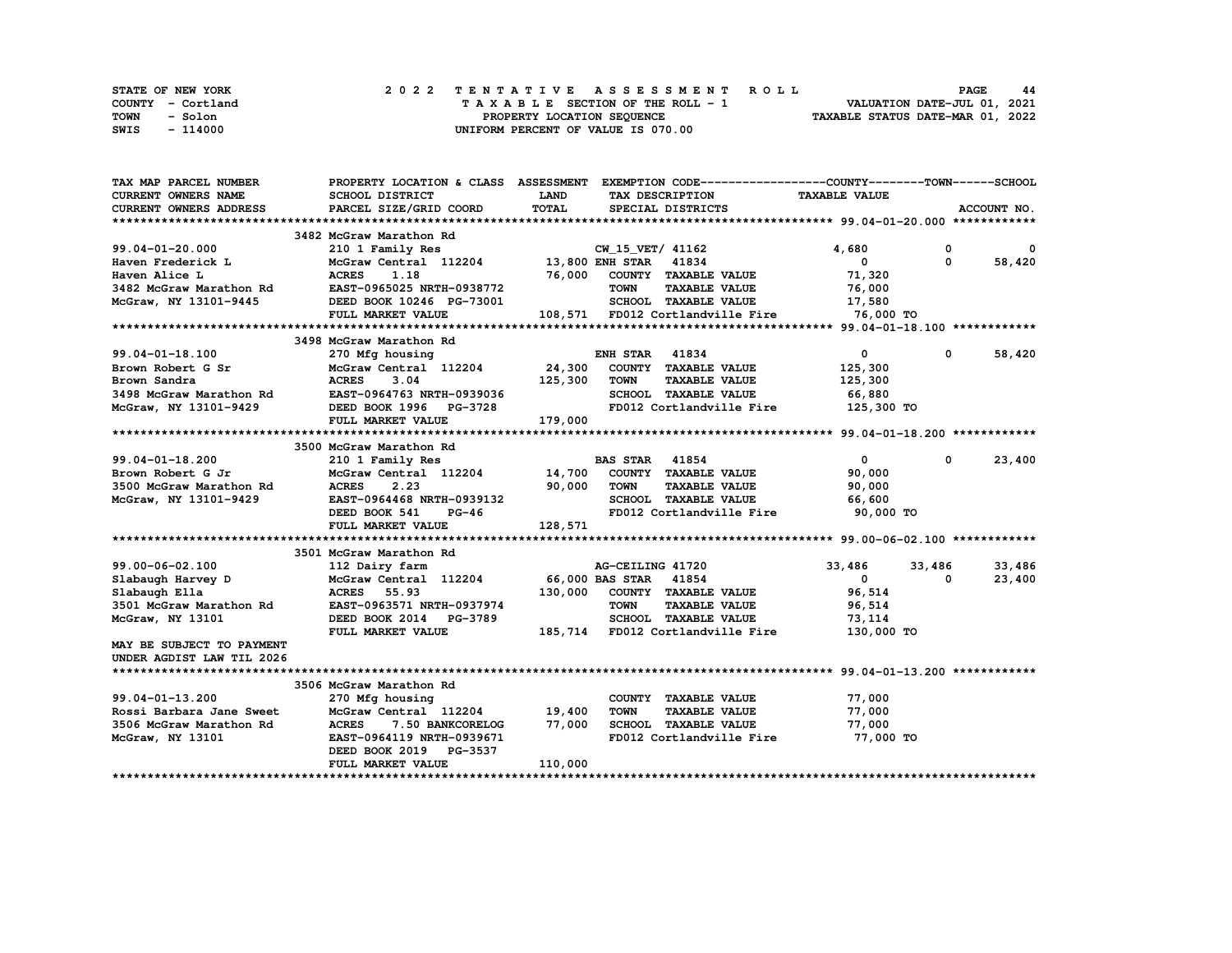| STATE OF NEW YORK |  | 2022 TENTATIVE ASSESSMENT ROLL     | <b>PAGE</b><br>44                |
|-------------------|--|------------------------------------|----------------------------------|
| COUNTY - Cortland |  | TAXABLE SECTION OF THE ROLL - 1    | VALUATION DATE-JUL 01, 2021      |
| TOWN<br>- Solon   |  | PROPERTY LOCATION SEQUENCE         | TAXABLE STATUS DATE-MAR 01, 2022 |
| - 114000<br>SWIS  |  | UNIFORM PERCENT OF VALUE IS 070.00 |                                  |

| TAX MAP PARCEL NUMBER                                            |                                                                                           |             | PROPERTY LOCATION & CLASS ASSESSMENT EXEMPTION CODE----------------COUNTY-------TOWN-----SCHOOL |                      |              |             |
|------------------------------------------------------------------|-------------------------------------------------------------------------------------------|-------------|-------------------------------------------------------------------------------------------------|----------------------|--------------|-------------|
| <b>CURRENT OWNERS NAME</b>                                       | SCHOOL DISTRICT                                                                           | <b>LAND</b> | TAX DESCRIPTION                                                                                 | <b>TAXABLE VALUE</b> |              |             |
| <b>CURRENT OWNERS ADDRESS</b>                                    | PARCEL SIZE/GRID COORD                                                                    | TOTAL       | SPECIAL DISTRICTS                                                                               |                      |              | ACCOUNT NO. |
|                                                                  |                                                                                           |             |                                                                                                 |                      |              |             |
|                                                                  | 3482 McGraw Marathon Rd                                                                   |             |                                                                                                 |                      |              |             |
| 99.04-01-20.000                                                  |                                                                                           |             | 210 1 Family Res<br>McGraw Central 112204 13,800 ENH STAR 41834                                 | 4,680                | $\mathbf{0}$ | $\mathbf 0$ |
| Haven Frederick L                                                |                                                                                           |             |                                                                                                 | $^{\circ}$           | $\Omega$     | 58,420      |
|                                                                  | Haven Alice L<br>3482 McGraw Marathon Rd<br>EAST-0965025 NRTH-0938772 TOWN TAXABLE VALUE  |             |                                                                                                 | 71,320               |              |             |
|                                                                  |                                                                                           |             |                                                                                                 | 76,000               |              |             |
|                                                                  | McGraw, NY 13101-9445 DEED BOOK 10246 PG-73001                                            |             | SCHOOL TAXABLE VALUE 17,580                                                                     |                      |              |             |
|                                                                  | FULL MARKET VALUE                                                                         |             | 108,571 FD012 Cortlandville Fire                                                                | 76,000 TO            |              |             |
|                                                                  |                                                                                           |             |                                                                                                 |                      |              |             |
|                                                                  | 3498 McGraw Marathon Rd                                                                   |             |                                                                                                 |                      |              |             |
| $99.04 - 01 - 18.100$                                            | 270 Mfg housing                                                                           |             | <b>ENH STAR 41834</b>                                                                           | $\mathbf{0}$         | $^{\circ}$   | 58,420      |
| Brown Robert G Sr                                                | McGraw Central 112204 24,300 COUNTY TAXABLE VALUE                                         |             |                                                                                                 | 125,300              |              |             |
|                                                                  | <b>ACRES</b><br>3.04                                                                      | 125,300     | TOWN<br><b>TAXABLE VALUE</b>                                                                    | 125,300              |              |             |
| Brown Sandra<br>3498 McGraw Marathon Rd<br>McGraw, NY 13101-9429 | EAST-0964763 NRTH-0939036                                                                 |             | SCHOOL TAXABLE VALUE                                                                            | 66,880               |              |             |
|                                                                  | DEED BOOK 1996 PG-3728                                                                    |             | FD012 Cortlandville Fire 125,300 TO                                                             |                      |              |             |
|                                                                  |                                                                                           | 179,000     |                                                                                                 |                      |              |             |
|                                                                  | FULL MARKET VALUE                                                                         |             |                                                                                                 |                      |              |             |
|                                                                  |                                                                                           |             |                                                                                                 |                      |              |             |
|                                                                  | 3500 McGraw Marathon Rd                                                                   |             |                                                                                                 |                      |              |             |
| $99.04 - 01 - 18.200$                                            | 210 1 Family Res<br>210 1 Family Res<br>McGraw Central 112204 14,700 COUNTY TAXABLE VALUE |             | <b>BAS STAR</b> 41854                                                                           | $\mathbf{0}$         | $\mathbf{0}$ | 23,400      |
| Brown Robert G Jr                                                |                                                                                           |             |                                                                                                 | 90,000               |              |             |
| 3500 McGraw Marathon Rd                                          | 2.23<br><b>ACRES</b>                                                                      | 90,000      | <b>TOWN</b><br><b>TAXABLE VALUE</b>                                                             | 90,000               |              |             |
| McGraw, NY 13101-9429                                            | EAST-0964468 NRTH-0939132                                                                 |             | SCHOOL TAXABLE VALUE                                                                            | 66,600               |              |             |
|                                                                  | $PG-46$<br>DEED BOOK 541                                                                  |             | FD012 Cortlandville Fire                                                                        | 90,000 TO            |              |             |
|                                                                  | FULL MARKET VALUE                                                                         | 128,571     |                                                                                                 |                      |              |             |
|                                                                  |                                                                                           |             |                                                                                                 |                      |              |             |
|                                                                  | 3501 McGraw Marathon Rd                                                                   |             |                                                                                                 |                      |              |             |
| 99.00-06-02.100                                                  | 112 Dairy farm                                                                            |             | AG-CEILING 41720                                                                                | 33,486               | 33,486       | 33,486      |
| Slabaugh Harvey D                                                | McGraw Central 112204 66,000 BAS STAR 41854                                               |             |                                                                                                 | $\mathbf{0}$         | 0            | 23,400      |
| Slabaugh Ella                                                    | <b>ACRES</b><br>55.93                                                                     |             | 130,000 COUNTY TAXABLE VALUE                                                                    | 96,514               |              |             |
| 3501 McGraw Marathon Rd                                          | EAST-0963571 NRTH-0937974                                                                 |             | <b>TOWN</b><br><b>TAXABLE VALUE</b>                                                             | 96,514               |              |             |
| McGraw, NY 13101                                                 | DEED BOOK 2014 PG-3789                                                                    |             | SCHOOL TAXABLE VALUE                                                                            | 73,114               |              |             |
|                                                                  | FULL MARKET VALUE                                                                         |             | 185,714 FD012 Cortlandville Fire                                                                | 130,000 TO           |              |             |
| MAY BE SUBJECT TO PAYMENT                                        |                                                                                           |             |                                                                                                 |                      |              |             |
| UNDER AGDIST LAW TIL 2026                                        |                                                                                           |             |                                                                                                 |                      |              |             |
|                                                                  |                                                                                           |             |                                                                                                 |                      |              |             |
|                                                                  | 3506 McGraw Marathon Rd                                                                   |             |                                                                                                 |                      |              |             |
| $99.04 - 01 - 13.200$                                            | 270 Mfg housing                                                                           |             | COUNTY TAXABLE VALUE                                                                            | 77,000               |              |             |
| Rossi Barbara Jane Sweet                                         | McGraw Central 112204 19,400                                                              |             | <b>TOWN</b><br><b>TAXABLE VALUE</b>                                                             | 77,000               |              |             |
| 3506 McGraw Marathon Rd                                          | ACRES 7.50 BANKCORELOG 77,000                                                             |             | SCHOOL TAXABLE VALUE                                                                            | 77,000               |              |             |
| McGraw, NY 13101                                                 | EAST-0964119 NRTH-0939671                                                                 |             | FD012 Cortlandville Fire                                                                        | 77,000 TO            |              |             |
|                                                                  | DEED BOOK 2019 PG-3537                                                                    |             |                                                                                                 |                      |              |             |
|                                                                  | FULL MARKET VALUE                                                                         | 110,000     |                                                                                                 |                      |              |             |
|                                                                  |                                                                                           |             |                                                                                                 |                      |              |             |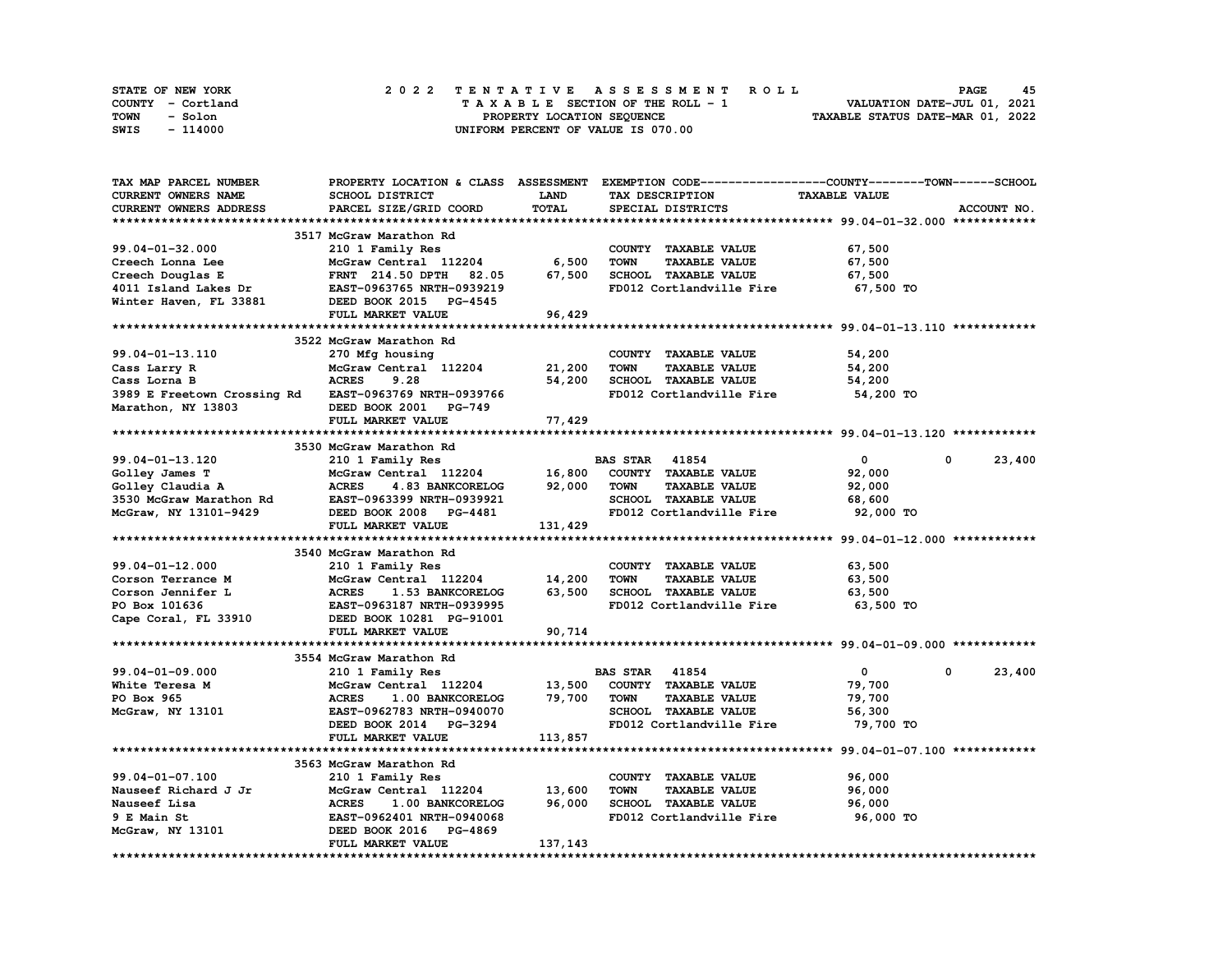| STATE OF NEW YORK | 2022 TENTATIVE ASSESSMENT ROLL     | 45<br><b>PAGE</b>                |
|-------------------|------------------------------------|----------------------------------|
| COUNTY - Cortland | TAXABLE SECTION OF THE ROLL - 1    | VALUATION DATE-JUL 01, 2021      |
| TOWN<br>- Solon   | PROPERTY LOCATION SEQUENCE         | TAXABLE STATUS DATE-MAR 01, 2022 |
| - 114000<br>SWIS  | UNIFORM PERCENT OF VALUE IS 070.00 |                                  |

| <b>TAX MAP PARCEL NUMBER</b>                          |                                  |             | PROPERTY LOCATION & CLASS ASSESSMENT EXEMPTION CODE----------------COUNTY-------TOWN------SCHOOL |                      |                      |
|-------------------------------------------------------|----------------------------------|-------------|--------------------------------------------------------------------------------------------------|----------------------|----------------------|
| CURRENT OWNERS NAME                                   | SCHOOL DISTRICT                  | <b>LAND</b> | TAX DESCRIPTION                                                                                  | <b>TAXABLE VALUE</b> |                      |
| CURRENT OWNERS ADDRESS                                | PARCEL SIZE/GRID COORD           | TOTAL       | SPECIAL DISTRICTS                                                                                |                      | ACCOUNT NO.          |
|                                                       |                                  |             |                                                                                                  |                      |                      |
|                                                       | 3517 McGraw Marathon Rd          |             |                                                                                                  |                      |                      |
| 99.04-01-32.000                                       | 210 1 Family Res                 |             | COUNTY TAXABLE VALUE                                                                             | 67,500               |                      |
| Creech Lonna Lee                                      | McGraw Central 112204            | 6,500       | <b>TOWN</b><br><b>TAXABLE VALUE</b>                                                              | 67,500               |                      |
| Creech Douglas E                                      | <b>FRNT</b> 214.50 DPTH<br>82.05 | 67,500      | SCHOOL TAXABLE VALUE                                                                             | 67,500               |                      |
| 4011 Island Lakes Dr                                  | EAST-0963765 NRTH-0939219        |             | FD012 Cortlandville Fire                                                                         | 67,500 TO            |                      |
| Winter Haven, FL 33881                                | DEED BOOK 2015 PG-4545           |             |                                                                                                  |                      |                      |
|                                                       | FULL MARKET VALUE                | 96,429      |                                                                                                  |                      |                      |
|                                                       |                                  |             |                                                                                                  |                      |                      |
|                                                       | 3522 McGraw Marathon Rd          |             |                                                                                                  |                      |                      |
| 99.04-01-13.110                                       | 270 Mfg housing                  |             | COUNTY TAXABLE VALUE                                                                             | 54,200               |                      |
| Cass Larry R                                          | McGraw Central 112204            | 21,200      | <b>TOWN</b><br><b>TAXABLE VALUE</b>                                                              | 54,200               |                      |
| Cass Lorna B                                          | <b>ACRES</b><br>9.28             | 54,200      | SCHOOL TAXABLE VALUE                                                                             | 54,200               |                      |
| 3989 E Freetown Crossing Rd EAST-0963769 NRTH-0939766 |                                  |             | FD012 Cortlandville Fire                                                                         | 54,200 TO            |                      |
|                                                       |                                  |             |                                                                                                  |                      |                      |
| Marathon, NY 13803                                    | DEED BOOK 2001 PG-749            |             |                                                                                                  |                      |                      |
|                                                       | FULL MARKET VALUE                | 77,429      |                                                                                                  |                      |                      |
|                                                       |                                  |             |                                                                                                  |                      |                      |
|                                                       | 3530 McGraw Marathon Rd          |             |                                                                                                  |                      |                      |
| 99.04-01-13.120                                       | 210 1 Family Res                 |             | <b>BAS STAR 41854</b>                                                                            | $\overline{0}$       | 23,400<br>$^{\circ}$ |
| Golley James T                                        | McGraw Central 112204 16,800     |             | COUNTY TAXABLE VALUE                                                                             | 92,000               |                      |
| Golley Claudia A                                      | ACRES 4.83 BANKCORELOG           | 92,000      | <b>TOWN</b><br><b>TAXABLE VALUE</b>                                                              | 92,000               |                      |
| 3530 McGraw Marathon Rd                               | EAST-0963399 NRTH-0939921        |             | SCHOOL TAXABLE VALUE                                                                             | 68,600               |                      |
| McGraw, NY 13101-9429                                 | DEED BOOK 2008 PG-4481           |             | FD012 Cortlandville Fire                                                                         | 92,000 TO            |                      |
|                                                       | FULL MARKET VALUE                | 131,429     |                                                                                                  |                      |                      |
|                                                       |                                  |             |                                                                                                  |                      |                      |
|                                                       | 3540 McGraw Marathon Rd          |             |                                                                                                  |                      |                      |
| 99.04-01-12.000                                       | 210 1 Family Res                 |             | COUNTY TAXABLE VALUE                                                                             | 63,500               |                      |
| Corson Terrance M                                     | McGraw Central 112204            | 14,200      | <b>TOWN</b><br><b>TAXABLE VALUE</b>                                                              | 63,500               |                      |
| Corson Jennifer L                                     | <b>ACRES</b><br>1.53 BANKCORELOG | 63,500      | SCHOOL TAXABLE VALUE                                                                             | 63,500               |                      |
| PO Box 101636                                         | EAST-0963187 NRTH-0939995        |             | FD012 Cortlandville Fire                                                                         | 63,500 TO            |                      |
| Cape Coral, FL 33910                                  | DEED BOOK 10281 PG-91001         |             |                                                                                                  |                      |                      |
|                                                       | FULL MARKET VALUE                | 90,714      |                                                                                                  |                      |                      |
|                                                       |                                  |             |                                                                                                  |                      |                      |
|                                                       | 3554 McGraw Marathon Rd          |             |                                                                                                  |                      |                      |
| 99.04-01-09.000                                       | 210 1 Family Res                 |             | <b>BAS STAR 41854</b>                                                                            | $\mathbf{0}$         | 23,400<br>0          |
| White Teresa M                                        | McGraw Central 112204            | 13,500      | COUNTY TAXABLE VALUE                                                                             | 79,700               |                      |
| PO Box 965                                            | 1.00 BANKCORELOG<br><b>ACRES</b> | 79,700      | <b>TOWN</b><br><b>TAXABLE VALUE</b>                                                              | 79,700               |                      |
| McGraw, NY 13101                                      | EAST-0962783 NRTH-0940070        |             | SCHOOL TAXABLE VALUE                                                                             | 56,300               |                      |
|                                                       | DEED BOOK 2014 PG-3294           |             | FD012 Cortlandville Fire                                                                         | 79,700 TO            |                      |
|                                                       | FULL MARKET VALUE                | 113,857     |                                                                                                  |                      |                      |
|                                                       |                                  |             |                                                                                                  |                      |                      |
|                                                       |                                  |             |                                                                                                  |                      |                      |
|                                                       | 3563 McGraw Marathon Rd          |             |                                                                                                  |                      |                      |
| 99.04-01-07.100                                       | 210 1 Family Res                 |             | COUNTY TAXABLE VALUE                                                                             | 96,000               |                      |
| Nauseef Richard J Jr                                  | McGraw Central 112204            | 13,600      | <b>TAXABLE VALUE</b><br><b>TOWN</b>                                                              | 96,000               |                      |
| Nauseef Lisa                                          | <b>ACRES</b><br>1.00 BANKCORELOG | 96,000      | SCHOOL TAXABLE VALUE                                                                             | 96,000               |                      |
| 9 E Main St                                           | EAST-0962401 NRTH-0940068        |             | FD012 Cortlandville Fire                                                                         | 96,000 TO            |                      |
| McGraw, NY 13101                                      | DEED BOOK 2016 PG-4869           |             |                                                                                                  |                      |                      |
|                                                       | FULL MARKET VALUE                | 137, 143    |                                                                                                  |                      |                      |
|                                                       |                                  |             |                                                                                                  |                      |                      |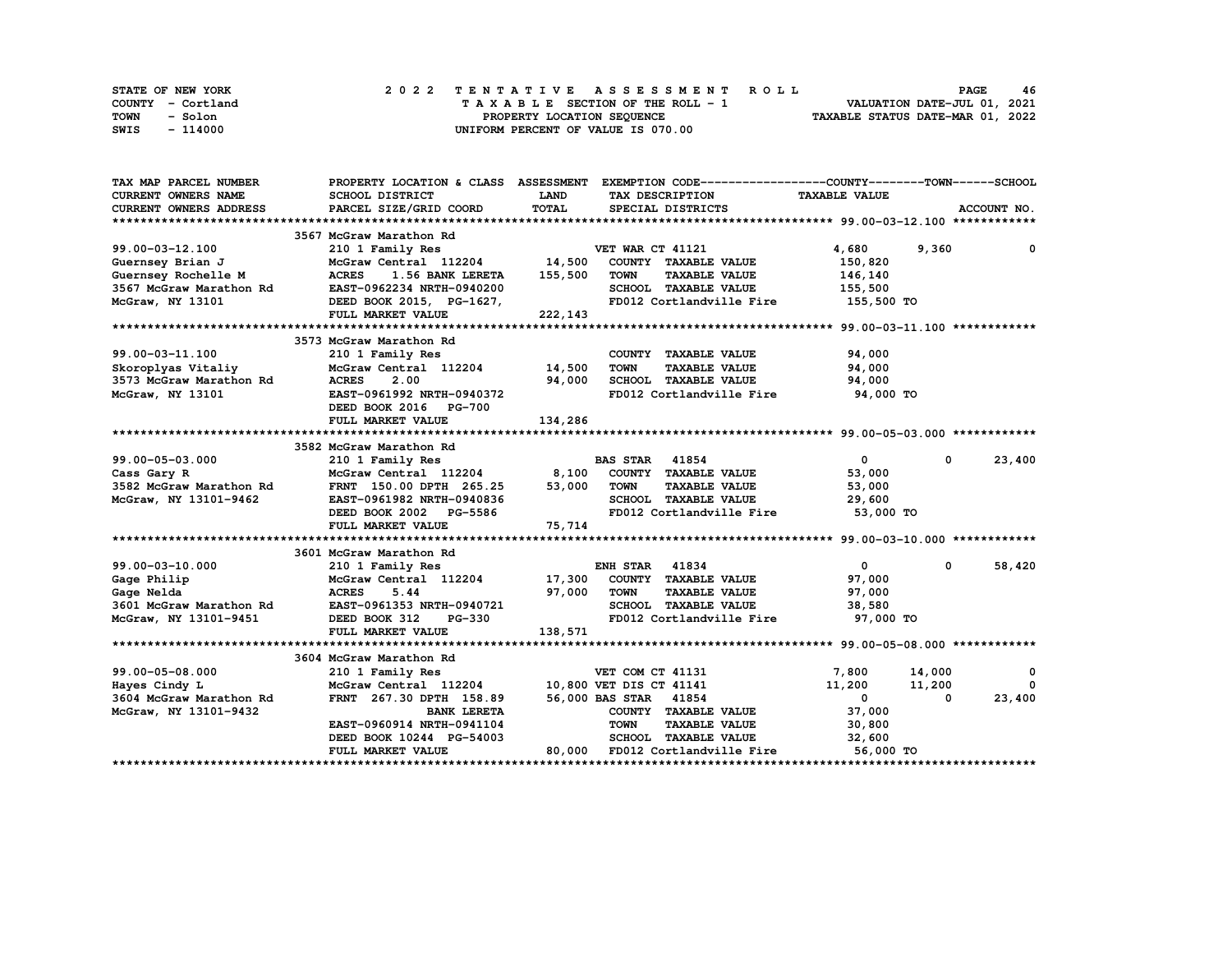| STATE OF NEW YORK | 2022 TENTATIVE ASSESSMENT ROLL     | 46<br><b>PAGE</b>                |
|-------------------|------------------------------------|----------------------------------|
| COUNTY - Cortland | TAXABLE SECTION OF THE ROLL - 1    | VALUATION DATE-JUL 01, 2021      |
| TOWN<br>- Solon   | PROPERTY LOCATION SEQUENCE         | TAXABLE STATUS DATE-MAR 01, 2022 |
| - 114000<br>SWIS  | UNIFORM PERCENT OF VALUE IS 070.00 |                                  |

| TAX MAP PARCEL NUMBER      | PROPERTY LOCATION & CLASS ASSESSMENT |         | EXEMPTION CODE-----------------COUNTY-------TOWN------SCHOOL |                      |                       |   |
|----------------------------|--------------------------------------|---------|--------------------------------------------------------------|----------------------|-----------------------|---|
| <b>CURRENT OWNERS NAME</b> | SCHOOL DISTRICT                      | LAND    | TAX DESCRIPTION                                              | <b>TAXABLE VALUE</b> |                       |   |
| CURRENT OWNERS ADDRESS     | PARCEL SIZE/GRID COORD               | TOTAL   | SPECIAL DISTRICTS                                            |                      | ACCOUNT NO.           |   |
|                            |                                      |         |                                                              |                      |                       |   |
|                            | 3567 McGraw Marathon Rd              |         |                                                              |                      |                       |   |
| 99.00-03-12.100            | 210 1 Family Res                     |         | VET WAR CT 41121                                             | 4,680                | 9,360                 | 0 |
| Guernsey Brian J           | McGraw Central 112204 14,500         |         | COUNTY TAXABLE VALUE                                         | 150,820              |                       |   |
| Guernsey Rochelle M        | <b>ACRES</b><br>1.56 BANK LERETA     | 155,500 | <b>TOWN</b><br><b>TAXABLE VALUE</b>                          | 146,140              |                       |   |
| 3567 McGraw Marathon Rd    | EAST-0962234 NRTH-0940200            |         | SCHOOL TAXABLE VALUE                                         | 155,500              |                       |   |
| McGraw, NY 13101           | DEED BOOK 2015, PG-1627,             |         | FD012 Cortlandville Fire                                     | 155,500 TO           |                       |   |
|                            | FULL MARKET VALUE                    | 222,143 |                                                              |                      |                       |   |
|                            |                                      |         |                                                              |                      |                       |   |
|                            | 3573 McGraw Marathon Rd              |         |                                                              |                      |                       |   |
| 99.00-03-11.100            | 210 1 Family Res                     |         | COUNTY TAXABLE VALUE                                         | 94,000               |                       |   |
| Skoroplyas Vitaliy         | McGraw Central 112204                | 14,500  | <b>TOWN</b><br><b>TAXABLE VALUE</b>                          | 94,000               |                       |   |
| 3573 McGraw Marathon Rd    | <b>ACRES</b><br>2.00                 | 94,000  | SCHOOL TAXABLE VALUE                                         | 94,000               |                       |   |
| McGraw, NY 13101           | EAST-0961992 NRTH-0940372            |         | FD012 Cortlandville Fire                                     | 94,000 TO            |                       |   |
|                            | DEED BOOK 2016 PG-700                |         |                                                              |                      |                       |   |
|                            | FULL MARKET VALUE                    | 134,286 |                                                              |                      |                       |   |
|                            |                                      |         |                                                              |                      |                       |   |
|                            | 3582 McGraw Marathon Rd              |         |                                                              |                      |                       |   |
| 99.00-05-03.000            | 210 1 Family Res                     |         | <b>BAS STAR 41854</b>                                        | $\mathbf{0}$         | $\mathbf 0$<br>23,400 |   |
| Cass Gary R                | McGraw Central 112204 8,100          |         | COUNTY TAXABLE VALUE                                         | 53,000               |                       |   |
| 3582 McGraw Marathon Rd    | FRNT 150.00 DPTH 265.25              | 53,000  | <b>TOWN</b><br><b>TAXABLE VALUE</b>                          | 53,000               |                       |   |
| McGraw, NY 13101-9462      | EAST-0961982 NRTH-0940836            |         | SCHOOL TAXABLE VALUE                                         | 29,600               |                       |   |
|                            | DEED BOOK 2002 PG-5586               |         | FD012 Cortlandville Fire                                     | 53,000 TO            |                       |   |
|                            | FULL MARKET VALUE                    | 75,714  |                                                              |                      |                       |   |
|                            |                                      |         |                                                              |                      |                       |   |
|                            | 3601 McGraw Marathon Rd              |         |                                                              |                      |                       |   |
| 99.00-03-10.000            | 210 1 Family Res                     |         | <b>ENH STAR 41834</b>                                        | $\mathbf{0}$         | 58,420<br>0           |   |
| Gage Philip                | McGraw Central 112204 17,300         |         | COUNTY TAXABLE VALUE                                         | 97,000               |                       |   |
| Gage Nelda                 | <b>ACRES</b><br>5.44                 | 97,000  | <b>TAXABLE VALUE</b><br><b>TOWN</b>                          | 97,000               |                       |   |
| 3601 McGraw Marathon Rd    | EAST-0961353 NRTH-0940721            |         | SCHOOL TAXABLE VALUE                                         | 38,580               |                       |   |
| McGraw, NY 13101-9451      | DEED BOOK 312<br>PG-330              |         | FD012 Cortlandville Fire                                     | 97,000 TO            |                       |   |
|                            | FULL MARKET VALUE                    | 138,571 |                                                              |                      |                       |   |
|                            |                                      |         |                                                              |                      |                       |   |
|                            | 3604 McGraw Marathon Rd              |         |                                                              |                      |                       |   |
| 99.00-05-08.000            | 210 1 Family Res                     |         | VET COM CT 41131                                             | 7,800                | 14,000                | 0 |
| Hayes Cindy L              | McGraw Central 112204                |         | 10,800 VET DIS CT 41141                                      | 11,200               | 11,200                | 0 |
| 3604 McGraw Marathon Rd    | FRNT 267.30 DPTH 158.89              |         | 56,000 BAS STAR 41854                                        | $\mathbf{0}$         | 23,400<br>0           |   |
| McGraw, NY 13101-9432      | <b>BANK LERETA</b>                   |         | COUNTY TAXABLE VALUE                                         | 37,000               |                       |   |
|                            | EAST-0960914 NRTH-0941104            |         | <b>TOWN</b><br><b>TAXABLE VALUE</b>                          | 30,800               |                       |   |
|                            | DEED BOOK 10244 PG-54003             |         | <b>SCHOOL TAXABLE VALUE</b>                                  | 32,600               |                       |   |
|                            | <b>FULL MARKET VALUE</b>             |         | 80,000 FD012 Cortlandville Fire                              | 56,000 TO            |                       |   |
|                            |                                      |         |                                                              |                      |                       |   |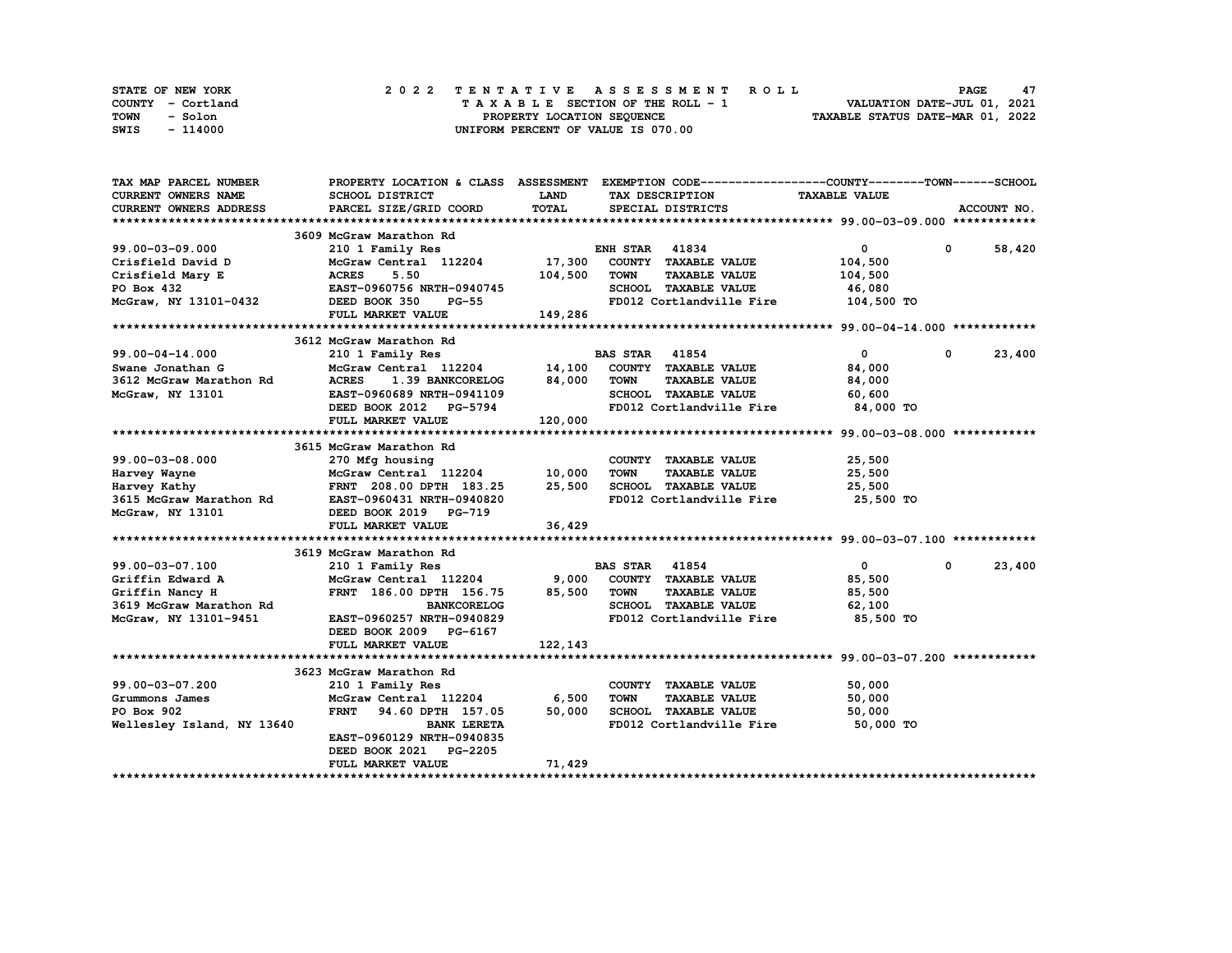| STATE OF NEW YORK | 2022 TENTATIVE ASSESSMENT ROLL     | 47<br><b>PAGE</b>                |
|-------------------|------------------------------------|----------------------------------|
| COUNTY - Cortland | TAXABLE SECTION OF THE ROLL - 1    | VALUATION DATE-JUL 01, 2021      |
| TOWN<br>- Solon   | PROPERTY LOCATION SEQUENCE         | TAXABLE STATUS DATE-MAR 01, 2022 |
| SWIS<br>- 114000  | UNIFORM PERCENT OF VALUE IS 070.00 |                                  |

| TAX MAP PARCEL NUMBER      | PROPERTY LOCATION & CLASS ASSESSMENT EXEMPTION CODE---------------COUNTY-------TOWN------SCHOOL |              |                       |                          |                                     |             |             |
|----------------------------|-------------------------------------------------------------------------------------------------|--------------|-----------------------|--------------------------|-------------------------------------|-------------|-------------|
| <b>CURRENT OWNERS NAME</b> | SCHOOL DISTRICT                                                                                 | <b>LAND</b>  |                       | TAX DESCRIPTION          | <b>TAXABLE VALUE</b>                |             |             |
| CURRENT OWNERS ADDRESS     | PARCEL SIZE/GRID COORD                                                                          | <b>TOTAL</b> |                       | SPECIAL DISTRICTS        |                                     |             | ACCOUNT NO. |
|                            |                                                                                                 |              |                       |                          |                                     |             |             |
|                            | 3609 McGraw Marathon Rd                                                                         |              |                       |                          |                                     |             |             |
| 99.00-03-09.000            | 210 1 Family Res                                                                                |              | <b>ENH STAR 41834</b> |                          | $\mathbf{0}$                        | $\mathbf 0$ | 58,420      |
| Crisfield David D          | McGraw Central 112204                                                                           | 17,300       |                       | COUNTY TAXABLE VALUE     | 104,500                             |             |             |
| Crisfield Mary E           | <b>ACRES</b><br>5.50                                                                            | 104,500      | <b>TOWN</b>           | <b>TAXABLE VALUE</b>     | 104,500                             |             |             |
| PO Box 432                 | EAST-0960756 NRTH-0940745                                                                       |              |                       | SCHOOL TAXABLE VALUE     | 46,080                              |             |             |
| McGraw, NY 13101-0432      | DEED BOOK 350<br>$PG-55$                                                                        |              |                       |                          | FD012 Cortlandville Fire 104,500 TO |             |             |
|                            | FULL MARKET VALUE                                                                               | 149,286      |                       |                          |                                     |             |             |
|                            |                                                                                                 |              |                       |                          |                                     |             |             |
|                            | 3612 McGraw Marathon Rd                                                                         |              |                       |                          |                                     |             |             |
|                            |                                                                                                 |              |                       |                          |                                     |             |             |
| 99.00-04-14.000            | 210 1 Family Res                                                                                |              | <b>BAS STAR 41854</b> |                          | $\mathbf 0$                         | 0           | 23,400      |
| Swane Jonathan G           | McGraw Central 112204                                                                           | 14,100       |                       | COUNTY TAXABLE VALUE     | 84,000                              |             |             |
| 3612 McGraw Marathon Rd    | <b>ACRES</b><br>1.39 BANKCORELOG                                                                | 84,000       | <b>TOWN</b>           | <b>TAXABLE VALUE</b>     | 84,000                              |             |             |
| McGraw, NY 13101           | EAST-0960689 NRTH-0941109                                                                       |              |                       | SCHOOL TAXABLE VALUE     | 60,600                              |             |             |
|                            | DEED BOOK 2012 PG-5794                                                                          |              |                       | FD012 Cortlandville Fire | 84,000 TO                           |             |             |
|                            | FULL MARKET VALUE                                                                               | 120,000      |                       |                          |                                     |             |             |
|                            |                                                                                                 |              |                       |                          |                                     |             |             |
|                            | 3615 McGraw Marathon Rd                                                                         |              |                       |                          |                                     |             |             |
| $99.00 - 03 - 08.000$      | 270 Mfg housing                                                                                 |              |                       | COUNTY TAXABLE VALUE     | 25,500                              |             |             |
| Harvey Wayne               | McGraw Central 112204 10,000                                                                    |              | <b>TOWN</b>           | <b>TAXABLE VALUE</b>     | 25,500                              |             |             |
| Harvey Kathy               | FRNT 208.00 DPTH 183.25 25,500                                                                  |              |                       | SCHOOL TAXABLE VALUE     | 25,500                              |             |             |
| 3615 McGraw Marathon Rd    | EAST-0960431 NRTH-0940820                                                                       |              |                       | FD012 Cortlandville Fire | 25,500 TO                           |             |             |
| McGraw, NY 13101           | DEED BOOK 2019 PG-719                                                                           |              |                       |                          |                                     |             |             |
|                            | FULL MARKET VALUE                                                                               | 36,429       |                       |                          |                                     |             |             |
|                            |                                                                                                 |              |                       |                          |                                     |             |             |
|                            | 3619 McGraw Marathon Rd                                                                         |              |                       |                          |                                     |             |             |
| 99.00-03-07.100            | 210 1 Family Res                                                                                |              | <b>BAS STAR 41854</b> |                          | $\mathbf{0}$                        | 0           | 23,400      |
| Griffin Edward A           | McGraw Central 112204                                                                           | 9,000        |                       | COUNTY TAXABLE VALUE     | 85,500                              |             |             |
| Griffin Nancy H            | FRNT 186.00 DPTH 156.75                                                                         | 85,500       | <b>TOWN</b>           | <b>TAXABLE VALUE</b>     | 85,500                              |             |             |
| 3619 McGraw Marathon Rd    | <b>BANKCORELOG</b>                                                                              |              |                       | SCHOOL TAXABLE VALUE     | 62,100                              |             |             |
| McGraw, NY 13101-9451      | EAST-0960257 NRTH-0940829                                                                       |              |                       | FD012 Cortlandville Fire | 85,500 TO                           |             |             |
|                            | DEED BOOK 2009 PG-6167                                                                          |              |                       |                          |                                     |             |             |
|                            | FULL MARKET VALUE                                                                               | 122,143      |                       |                          |                                     |             |             |
|                            |                                                                                                 |              |                       |                          |                                     |             |             |
|                            | 3623 McGraw Marathon Rd                                                                         |              |                       |                          |                                     |             |             |
| 99.00-03-07.200            | 210 1 Family Res                                                                                |              |                       | COUNTY TAXABLE VALUE     | 50,000                              |             |             |
| Grummons James             | McGraw Central 112204                                                                           | 6,500        | <b>TOWN</b>           | <b>TAXABLE VALUE</b>     | 50,000                              |             |             |
| PO Box 902                 | <b>FRNT</b>                                                                                     | 50,000       |                       | SCHOOL TAXABLE VALUE     |                                     |             |             |
|                            | 94.60 DPTH 157.05                                                                               |              |                       |                          | 50,000                              |             |             |
| Wellesley Island, NY 13640 | <b>BANK LERETA</b>                                                                              |              |                       | FD012 Cortlandville Fire | 50,000 TO                           |             |             |
|                            | EAST-0960129 NRTH-0940835                                                                       |              |                       |                          |                                     |             |             |
|                            | DEED BOOK 2021 PG-2205                                                                          |              |                       |                          |                                     |             |             |
|                            | FULL MARKET VALUE                                                                               | 71,429       |                       |                          |                                     |             |             |
|                            |                                                                                                 |              |                       |                          |                                     |             |             |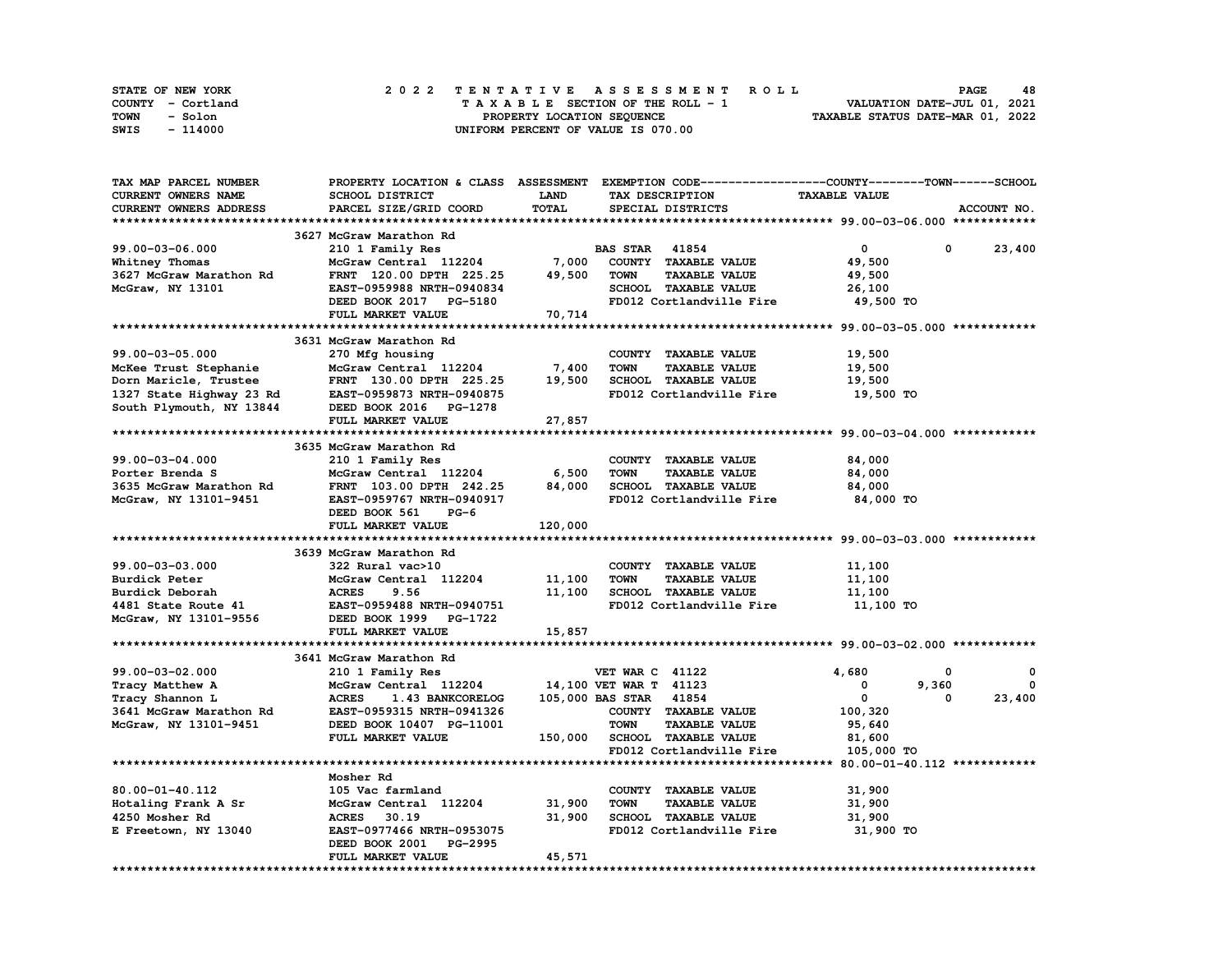| STATE OF NEW YORK | 2022 TENTATIVE ASSESSMENT ROLL     | 48<br><b>PAGE</b>                |
|-------------------|------------------------------------|----------------------------------|
| COUNTY - Cortland | TAXABLE SECTION OF THE ROLL - 1    | VALUATION DATE-JUL 01, 2021      |
| TOWN<br>- Solon   | PROPERTY LOCATION SEOUENCE         | TAXABLE STATUS DATE-MAR 01, 2022 |
| - 114000<br>SWIS  | UNIFORM PERCENT OF VALUE IS 070.00 |                                  |

| <b>TAX MAP PARCEL NUMBER</b> |                                                                                                                                                                                                                          |         | PROPERTY LOCATION & CLASS ASSESSMENT EXEMPTION CODE----------------COUNTY-------TOWN------SCHOOL |                      |             |
|------------------------------|--------------------------------------------------------------------------------------------------------------------------------------------------------------------------------------------------------------------------|---------|--------------------------------------------------------------------------------------------------|----------------------|-------------|
| CURRENT OWNERS NAME          | SCHOOL DISTRICT                                                                                                                                                                                                          | LAND    | TAX DESCRIPTION                                                                                  | <b>TAXABLE VALUE</b> |             |
| CURRENT OWNERS ADDRESS       | PARCEL SIZE/GRID COORD                                                                                                                                                                                                   | TOTAL   | SPECIAL DISTRICTS                                                                                |                      | ACCOUNT NO. |
|                              |                                                                                                                                                                                                                          |         |                                                                                                  |                      |             |
|                              | 3627 McGraw Marathon Rd                                                                                                                                                                                                  |         |                                                                                                  |                      |             |
| 99.00-03-06.000              | 210 1 Family Res                                                                                                                                                                                                         |         | <b>BAS STAR 41854</b>                                                                            | $\mathbf{0}$<br>0    | 23,400      |
| Whitney Thomas               | McGraw Central 112204                                                                                                                                                                                                    | 7,000   | COUNTY TAXABLE VALUE                                                                             | 49,500               |             |
| 3627 McGraw Marathon Rd      | FRNT 120.00 DPTH 225.25                                                                                                                                                                                                  | 49,500  | <b>TOWN</b><br><b>TAXABLE VALUE</b>                                                              | 49,500               |             |
| McGraw, NY 13101             | EAST-0959988 NRTH-0940834                                                                                                                                                                                                |         | SCHOOL TAXABLE VALUE                                                                             | 26,100               |             |
|                              | DEED BOOK 2017 PG-5180                                                                                                                                                                                                   |         | FD012 Cortlandville Fire                                                                         | 49,500 TO            |             |
|                              | FULL MARKET VALUE                                                                                                                                                                                                        | 70, 714 |                                                                                                  |                      |             |
|                              |                                                                                                                                                                                                                          |         |                                                                                                  |                      |             |
|                              | 3631 McGraw Marathon Rd                                                                                                                                                                                                  |         |                                                                                                  |                      |             |
|                              |                                                                                                                                                                                                                          |         |                                                                                                  |                      |             |
| 99.00-03-05.000              | 270 Mfg housing<br>$McGraw$ Central $112204$ 7,400                                                                                                                                                                       |         | COUNTY TAXABLE VALUE                                                                             | 19,500               |             |
|                              | 99.00-03-05.000<br>McKee Trust Stephanie McGraw Central 112204<br>Dorn Maricle, Trustee FRNT 130.00 DPTH 225.25<br>1327 State Highway 23 Rd EAST-0959873 NRTH-0940875<br>South Plymouth, NY 13844 DEED BOOK 2016 PG-1278 |         | <b>TOWN</b><br><b>TAXABLE VALUE</b>                                                              | 19,500               |             |
|                              |                                                                                                                                                                                                                          | 19,500  | SCHOOL TAXABLE VALUE                                                                             | 19,500               |             |
|                              |                                                                                                                                                                                                                          |         | FD012 Cortlandville Fire                                                                         | 19,500 TO            |             |
|                              |                                                                                                                                                                                                                          |         |                                                                                                  |                      |             |
|                              | FULL MARKET VALUE                                                                                                                                                                                                        | 27,857  |                                                                                                  |                      |             |
|                              |                                                                                                                                                                                                                          |         |                                                                                                  |                      |             |
|                              | 3635 McGraw Marathon Rd                                                                                                                                                                                                  |         |                                                                                                  |                      |             |
| 99.00-03-04.000              | 210 1 Family Res                                                                                                                                                                                                         |         | COUNTY TAXABLE VALUE                                                                             | 84,000               |             |
| Porter Brenda S              | McGraw Central 112204                                                                                                                                                                                                    | 6,500   | <b>TOWN</b><br><b>TAXABLE VALUE</b>                                                              | 84,000               |             |
| 3635 McGraw Marathon Rd      | FRNT 103.00 DPTH 242.25                                                                                                                                                                                                  | 84,000  | SCHOOL TAXABLE VALUE                                                                             | 84,000               |             |
| McGraw, NY 13101-9451        | EAST-0959767 NRTH-0940917                                                                                                                                                                                                |         | FD012 Cortlandville Fire                                                                         | 84,000 TO            |             |
|                              | DEED BOOK 561<br>$PG-6$                                                                                                                                                                                                  |         |                                                                                                  |                      |             |
|                              | FULL MARKET VALUE                                                                                                                                                                                                        | 120,000 |                                                                                                  |                      |             |
|                              |                                                                                                                                                                                                                          |         |                                                                                                  |                      |             |
|                              | 3639 McGraw Marathon Rd                                                                                                                                                                                                  |         |                                                                                                  |                      |             |
| 99.00-03-03.000              | 322 Rural vac>10                                                                                                                                                                                                         |         | COUNTY TAXABLE VALUE                                                                             | 11,100               |             |
| Burdick Peter                | McGraw Central 112204                                                                                                                                                                                                    | 11,100  | <b>TOWN</b><br><b>TAXABLE VALUE</b>                                                              | 11,100               |             |
| Burdick Deborah              | <b>ACRES</b><br>9.56                                                                                                                                                                                                     | 11,100  | SCHOOL TAXABLE VALUE                                                                             | 11,100               |             |
| 4481 State Route 41          | EAST-0959488 NRTH-0940751                                                                                                                                                                                                |         | FD012 Cortlandville Fire                                                                         | 11,100 TO            |             |
| McGraw, NY 13101-9556        | DEED BOOK 1999 PG-1722                                                                                                                                                                                                   |         |                                                                                                  |                      |             |
|                              | FULL MARKET VALUE                                                                                                                                                                                                        | 15,857  |                                                                                                  |                      |             |
|                              |                                                                                                                                                                                                                          |         |                                                                                                  |                      |             |
|                              | 3641 McGraw Marathon Rd                                                                                                                                                                                                  |         |                                                                                                  |                      |             |
| 99.00-03-02.000              | 210 1 Family Res                                                                                                                                                                                                         |         | <b>VET WAR C 41122</b>                                                                           | 4,680<br>0           | 0           |
| Tracy Matthew A              | McGraw Central 112204                                                                                                                                                                                                    |         | 14,100 VET WAR T 41123                                                                           | $\mathbf 0$<br>9,360 | 0           |
| Tracy Shannon L              | <b>ACRES</b><br>1.43 BANKCORELOG                                                                                                                                                                                         |         | 105,000 BAS STAR 41854                                                                           | $\mathbf{0}$<br>0    | 23,400      |
|                              |                                                                                                                                                                                                                          |         | COUNTY TAXABLE VALUE                                                                             |                      |             |
| 3641 McGraw Marathon Rd      | EAST-0959315 NRTH-0941326                                                                                                                                                                                                |         |                                                                                                  | 100,320              |             |
| McGraw, NY 13101-9451        | DEED BOOK 10407 PG-11001                                                                                                                                                                                                 |         | <b>TOWN</b><br><b>TAXABLE VALUE</b>                                                              | 95,640               |             |
|                              | FULL MARKET VALUE                                                                                                                                                                                                        |         | 150,000 SCHOOL TAXABLE VALUE                                                                     | 81,600               |             |
|                              |                                                                                                                                                                                                                          |         | FD012 Cortlandville Fire                                                                         | 105,000 TO           |             |
|                              |                                                                                                                                                                                                                          |         |                                                                                                  |                      |             |
|                              | Mosher Rd                                                                                                                                                                                                                |         |                                                                                                  |                      |             |
| 80.00-01-40.112              | 105 Vac farmland                                                                                                                                                                                                         |         | COUNTY TAXABLE VALUE                                                                             | 31,900               |             |
| Hotaling Frank A Sr          | McGraw Central 112204                                                                                                                                                                                                    | 31,900  | <b>TAXABLE VALUE</b><br><b>TOWN</b>                                                              | 31,900               |             |
| 4250 Mosher Rd               | ACRES 30.19                                                                                                                                                                                                              | 31,900  | <b>SCHOOL TAXABLE VALUE</b>                                                                      | 31,900               |             |
| E Freetown, NY 13040         | EAST-0977466 NRTH-0953075                                                                                                                                                                                                |         | FD012 Cortlandville Fire                                                                         | 31,900 TO            |             |
|                              | DEED BOOK 2001 PG-2995                                                                                                                                                                                                   |         |                                                                                                  |                      |             |
|                              | FULL MARKET VALUE                                                                                                                                                                                                        | 45,571  |                                                                                                  |                      |             |
|                              |                                                                                                                                                                                                                          |         |                                                                                                  |                      |             |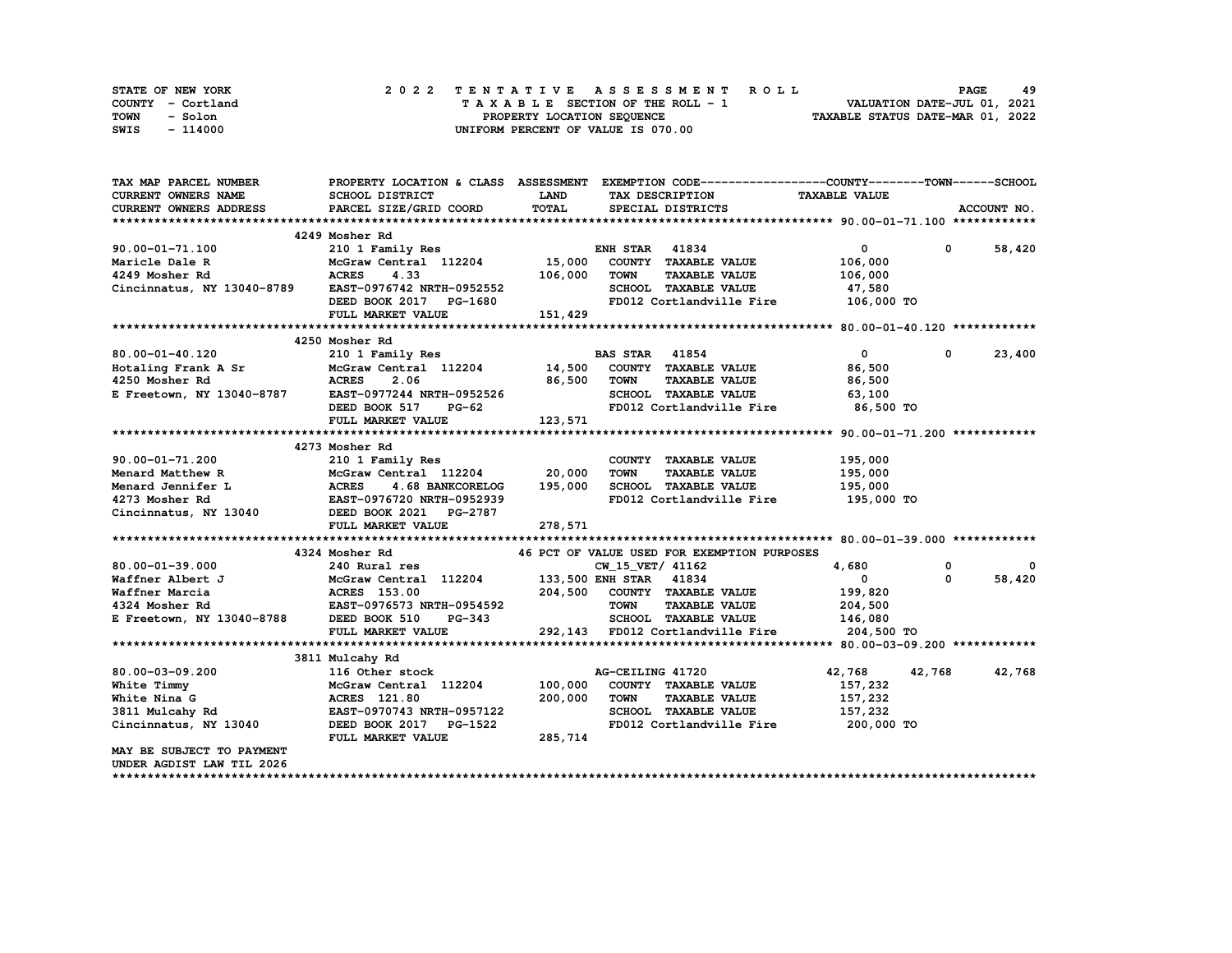| STATE OF NEW YORK | 2022 TENTATIVE ASSESSMENT ROLL     | 49<br><b>PAGE</b>                |
|-------------------|------------------------------------|----------------------------------|
| COUNTY - Cortland | TAXABLE SECTION OF THE ROLL - 1    | VALUATION DATE-JUL 01, 2021      |
| TOWN<br>- Solon   | PROPERTY LOCATION SEQUENCE         | TAXABLE STATUS DATE-MAR 01, 2022 |
| - 114000<br>SWIS  | UNIFORM PERCENT OF VALUE IS 070.00 |                                  |

| TAX MAP PARCEL NUMBER                                                                                                                                                                                                                                   |                                                                                                                                                                                                                                            |                    | PROPERTY LOCATION & CLASS ASSESSMENT EXEMPTION CODE----------------COUNTY-------TOWN-----SCHOOL |                      |                            |
|---------------------------------------------------------------------------------------------------------------------------------------------------------------------------------------------------------------------------------------------------------|--------------------------------------------------------------------------------------------------------------------------------------------------------------------------------------------------------------------------------------------|--------------------|-------------------------------------------------------------------------------------------------|----------------------|----------------------------|
| <b>CURRENT OWNERS NAME</b>                                                                                                                                                                                                                              | SCHOOL DISTRICT                                                                                                                                                                                                                            | <b>LAND</b>        | TAX DESCRIPTION                                                                                 | <b>TAXABLE VALUE</b> |                            |
| <b>CURRENT OWNERS ADDRESS</b>                                                                                                                                                                                                                           | PARCEL SIZE/GRID COORD                                                                                                                                                                                                                     | TOTAL              | SPECIAL DISTRICTS                                                                               |                      | ACCOUNT NO.                |
|                                                                                                                                                                                                                                                         |                                                                                                                                                                                                                                            |                    |                                                                                                 |                      |                            |
|                                                                                                                                                                                                                                                         | 4249 Mosher Rd                                                                                                                                                                                                                             |                    |                                                                                                 |                      |                            |
| 90.00-01-71.100                                                                                                                                                                                                                                         | 210 1 Family Res<br>McGraw Central 112204 15,000 COUNTY TAXABLE VALUE                                                                                                                                                                      |                    |                                                                                                 | $\mathbf{0}$         | 0 58,420                   |
| Maricle Dale R                                                                                                                                                                                                                                          |                                                                                                                                                                                                                                            |                    |                                                                                                 | 106,000              |                            |
| 4249 Mosher Rd                           ACRES       4.33                     106,000 Cincinnatus, NY 13040-8789         EAST-0976742 NRTH-0952552                                                                                                      |                                                                                                                                                                                                                                            |                    | TOWN<br><b>TAXABLE VALUE</b>                                                                    | 106,000              |                            |
|                                                                                                                                                                                                                                                         |                                                                                                                                                                                                                                            |                    | SCHOOL TAXABLE VALUE                                                                            | 47,580               |                            |
|                                                                                                                                                                                                                                                         | DEED BOOK 2017 PG-1680                                                                                                                                                                                                                     |                    | FD012 Cortlandville Fire 106,000 TO                                                             |                      |                            |
|                                                                                                                                                                                                                                                         | FULL MARKET VALUE                                                                                                                                                                                                                          | 151,429            |                                                                                                 |                      |                            |
|                                                                                                                                                                                                                                                         |                                                                                                                                                                                                                                            |                    |                                                                                                 |                      |                            |
|                                                                                                                                                                                                                                                         | 4250 Mosher Rd                                                                                                                                                                                                                             |                    |                                                                                                 |                      |                            |
| 80.00-01-40.120<br>80.00-01-40.120 210 1 Family Res BAS STAR 41854<br>Hotaling Frank A Sr McGraw Central 112204 14,500 COUNTY TAXABLE VALUE<br>4250 Mosher Rd ACRES 2.06 2.06 2.06 TOWN TAXABLE VALUE<br>E Freetown, NY 13040-8787 EAST-0977244 NRTH-09 | 210 1 Family Res                                                                                                                                                                                                                           |                    | <b>BAS STAR</b> 41854                                                                           | $\mathbf{0}$         | $^{\circ}$<br>23,400       |
|                                                                                                                                                                                                                                                         |                                                                                                                                                                                                                                            |                    |                                                                                                 | 86,500               |                            |
|                                                                                                                                                                                                                                                         |                                                                                                                                                                                                                                            |                    |                                                                                                 | 86,500               |                            |
|                                                                                                                                                                                                                                                         |                                                                                                                                                                                                                                            | H-0952526<br>PG-62 |                                                                                                 | 63,100               |                            |
|                                                                                                                                                                                                                                                         | DEED BOOK 517                                                                                                                                                                                                                              |                    | FD012 Cortlandville Fire 86,500 TO                                                              |                      |                            |
|                                                                                                                                                                                                                                                         | FULL MARKET VALUE                                                                                                                                                                                                                          | 123,571            |                                                                                                 |                      |                            |
|                                                                                                                                                                                                                                                         |                                                                                                                                                                                                                                            |                    |                                                                                                 |                      |                            |
|                                                                                                                                                                                                                                                         | 4273 Mosher Rd                                                                                                                                                                                                                             |                    |                                                                                                 |                      |                            |
|                                                                                                                                                                                                                                                         |                                                                                                                                                                                                                                            |                    | COUNTY TAXABLE VALUE                                                                            | 195,000              |                            |
|                                                                                                                                                                                                                                                         |                                                                                                                                                                                                                                            |                    | TOWN<br><b>TAXABLE VALUE</b>                                                                    | 195,000              |                            |
|                                                                                                                                                                                                                                                         |                                                                                                                                                                                                                                            |                    | SCHOOL TAXABLE VALUE 195,000                                                                    |                      |                            |
|                                                                                                                                                                                                                                                         |                                                                                                                                                                                                                                            |                    | FD012 Cortlandville Fire                                                                        | 195,000 TO           |                            |
|                                                                                                                                                                                                                                                         |                                                                                                                                                                                                                                            |                    |                                                                                                 |                      |                            |
|                                                                                                                                                                                                                                                         | FULL MARKET VALUE                                                                                                                                                                                                                          | 278,571            |                                                                                                 |                      |                            |
|                                                                                                                                                                                                                                                         |                                                                                                                                                                                                                                            |                    |                                                                                                 |                      |                            |
|                                                                                                                                                                                                                                                         | 4324 Mosher Rd                                                                                                                                                                                                                             |                    | 46 PCT OF VALUE USED FOR EXEMPTION PURPOSES                                                     |                      |                            |
| 80.00-01-39.000                                                                                                                                                                                                                                         |                                                                                                                                                                                                                                            |                    |                                                                                                 |                      | $\mathbf 0$<br>$\mathbf 0$ |
| Waffner Albert J                                                                                                                                                                                                                                        |                                                                                                                                                                                                                                            |                    |                                                                                                 |                      | $\Omega$<br>58,420         |
| Waffner Marcia                                                                                                                                                                                                                                          |                                                                                                                                                                                                                                            |                    |                                                                                                 |                      |                            |
| 4324 Mosher Rd                                                                                                                                                                                                                                          |                                                                                                                                                                                                                                            |                    |                                                                                                 |                      |                            |
| E Freetown, NY 13040-8788                                                                                                                                                                                                                               | 240 Rural res<br>240 Rural res<br>McGraw Central 112204 133,500 ENH STAR 41834 0<br>ACRES 153.00 204,500 COUNTY TAXABLE VALUE<br>EAST-0976573 NRTH-0954592 TOWN TAXABLE VALUE 204,500<br>204,500 COUNTY TAXABLE VALUE 204,500<br>204,500 S |                    |                                                                                                 |                      |                            |
|                                                                                                                                                                                                                                                         | FULL MARKET VALUE                                                                                                                                                                                                                          |                    | 292,143 FD012 Cortlandville Fire 204,500 TO                                                     |                      |                            |
|                                                                                                                                                                                                                                                         |                                                                                                                                                                                                                                            |                    |                                                                                                 |                      |                            |
|                                                                                                                                                                                                                                                         | 3811 Mulcahy Rd                                                                                                                                                                                                                            |                    |                                                                                                 |                      |                            |
| 80.00-03-09.200                                                                                                                                                                                                                                         | 116 Other stock                                                                                                                                                                                                                            |                    | AG-CEILING 41720                                                                                | 42,768               | 42,768 42,768              |
| White Timmy                                                                                                                                                                                                                                             | McGraw Central 112204 100,000 COUNTY TAXABLE VALUE<br>McGraw Central<br>ACRES 121.80                                                                                                                                                       |                    |                                                                                                 | 157,232              |                            |
| White Nina G                                                                                                                                                                                                                                            |                                                                                                                                                                                                                                            | 200,000            | <b>TOWN</b><br><b>TAXABLE VALUE</b>                                                             | 157,232              |                            |
| 3811 Mulcahy Rd                                                                                                                                                                                                                                         | EAST-0970743 NRTH-0957122                                                                                                                                                                                                                  |                    | SCHOOL TAXABLE VALUE 157, 232                                                                   |                      |                            |
| Cincinnatus, NY 13040                                                                                                                                                                                                                                   | DEED BOOK 2017 PG-1522                                                                                                                                                                                                                     |                    | FD012 Cortlandville Fire                                                                        | 200,000 TO           |                            |
|                                                                                                                                                                                                                                                         | FULL MARKET VALUE                                                                                                                                                                                                                          | 285,714            |                                                                                                 |                      |                            |
| MAY BE SUBJECT TO PAYMENT                                                                                                                                                                                                                               |                                                                                                                                                                                                                                            |                    |                                                                                                 |                      |                            |
| UNDER AGDIST LAW TIL 2026                                                                                                                                                                                                                               |                                                                                                                                                                                                                                            |                    |                                                                                                 |                      |                            |
|                                                                                                                                                                                                                                                         |                                                                                                                                                                                                                                            |                    |                                                                                                 |                      |                            |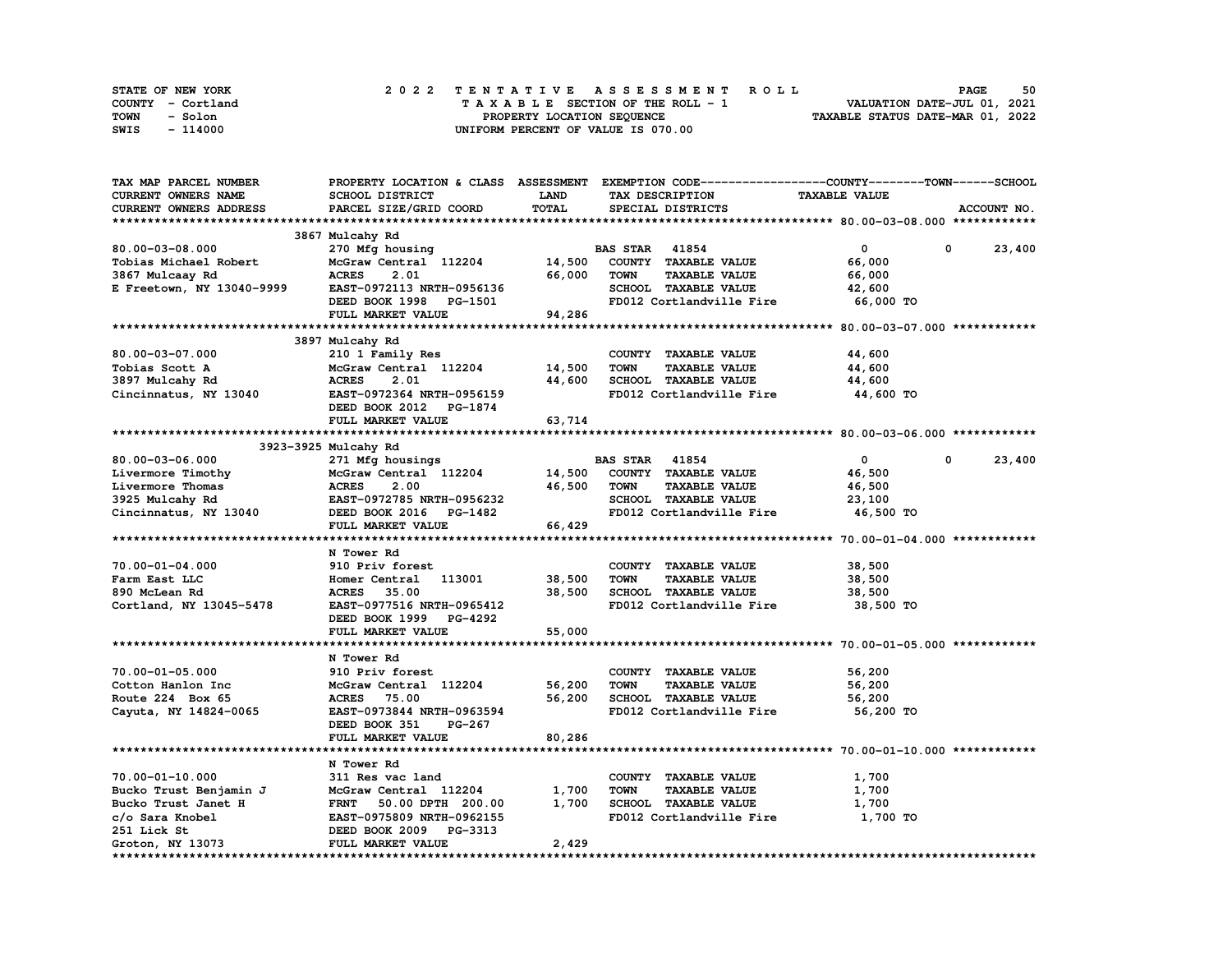| STATE OF NEW YORK | 2022 TENTATIVE ASSESSMENT ROLL     | 50<br><b>PAGE</b>                |
|-------------------|------------------------------------|----------------------------------|
| COUNTY - Cortland | TAXABLE SECTION OF THE ROLL - 1    | VALUATION DATE-JUL 01, 2021      |
| TOWN<br>- Solon   | PROPERTY LOCATION SEOUENCE         | TAXABLE STATUS DATE-MAR 01, 2022 |
| - 114000<br>SWIS  | UNIFORM PERCENT OF VALUE IS 070.00 |                                  |

| TAX MAP PARCEL NUMBER                    |                                           |             | PROPERTY LOCATION & CLASS ASSESSMENT EXEMPTION CODE----------------COUNTY-------TOWN-----SCHOOL |                      |                      |
|------------------------------------------|-------------------------------------------|-------------|-------------------------------------------------------------------------------------------------|----------------------|----------------------|
| <b>CURRENT OWNERS NAME</b>               | SCHOOL DISTRICT                           | <b>LAND</b> | TAX DESCRIPTION                                                                                 | <b>TAXABLE VALUE</b> |                      |
| <b>CURRENT OWNERS ADDRESS</b>            | PARCEL SIZE/GRID COORD                    | TOTAL       | SPECIAL DISTRICTS                                                                               |                      | ACCOUNT NO.          |
|                                          |                                           |             |                                                                                                 |                      |                      |
|                                          | 3867 Mulcahy Rd                           |             |                                                                                                 |                      |                      |
| 80.00-03-08.000                          | 270 Mfg housing                           |             | <b>BAS STAR 41854</b>                                                                           | $\mathbf{0}$         | 0<br>23,400          |
| Tobias Michael Robert                    | McGraw Central 112204 14,500              |             | COUNTY TAXABLE VALUE                                                                            | 66,000               |                      |
| 3867 Mulcaay Rd                          | <b>ACRES</b><br>2.01                      | 66,000      | <b>TAXABLE VALUE</b><br><b>TOWN</b>                                                             | 66,000               |                      |
| E Freetown, NY 13040-9999                | EAST-0972113 NRTH-0956136                 |             | SCHOOL TAXABLE VALUE                                                                            | 42,600               |                      |
|                                          | DEED BOOK 1998 PG-1501                    |             | FD012 Cortlandville Fire                                                                        | 66,000 TO            |                      |
|                                          | FULL MARKET VALUE                         | 94,286      |                                                                                                 |                      |                      |
|                                          |                                           |             |                                                                                                 |                      |                      |
|                                          | 3897 Mulcahy Rd                           |             |                                                                                                 |                      |                      |
| $80.00 - 03 - 07.000$                    |                                           |             | COUNTY TAXABLE VALUE                                                                            | 44,600               |                      |
| Tobias Scott A                           | 210 1 Family Res<br>McGraw Central 112204 | 14,500      | <b>TOWN</b><br><b>TAXABLE VALUE</b>                                                             | 44,600               |                      |
|                                          | <b>ACRES</b><br>2.01                      | 44,600      | SCHOOL TAXABLE VALUE                                                                            |                      |                      |
| 3897 Mulcahy Rd                          |                                           |             |                                                                                                 | 44,600               |                      |
| Cincinnatus, NY 13040                    | EAST-0972364 NRTH-0956159                 |             | FD012 Cortlandville Fire                                                                        | 44,600 TO            |                      |
|                                          | DEED BOOK 2012 PG-1874                    |             |                                                                                                 |                      |                      |
|                                          | FULL MARKET VALUE                         | 63,714      |                                                                                                 |                      |                      |
|                                          |                                           |             |                                                                                                 |                      |                      |
|                                          | 3923-3925 Mulcahy Rd                      |             |                                                                                                 |                      |                      |
| 80.00-03-06.000                          | 271 Mfg housings                          |             | <b>BAS STAR</b> 41854                                                                           | $\overline{0}$       | $^{\circ}$<br>23,400 |
| Livermore Timothy                        | McGraw Central 112204 14,500              |             | COUNTY TAXABLE VALUE                                                                            | 46,500               |                      |
| Livermore Thomas                         | 2.00<br><b>ACRES</b>                      | 46,500      | TOWN<br><b>TAXABLE VALUE</b>                                                                    | 46,500               |                      |
| 3925 Mulcahy Rd<br>Cincinnatus, NY 13040 | EAST-0972785 NRTH-0956232                 |             | SCHOOL TAXABLE VALUE                                                                            | 23,100               |                      |
|                                          | DEED BOOK 2016 PG-1482                    |             | FD012 Cortlandville Fire                                                                        | 46,500 TO            |                      |
|                                          | FULL MARKET VALUE                         | 66,429      |                                                                                                 |                      |                      |
|                                          |                                           |             |                                                                                                 |                      |                      |
|                                          | N Tower Rd                                |             |                                                                                                 |                      |                      |
| 70.00-01-04.000                          | 910 Priv forest                           |             | COUNTY TAXABLE VALUE                                                                            | 38,500               |                      |
| Farm East LLC                            | Homer Central 113001                      | 38,500      | <b>TOWN</b><br><b>TAXABLE VALUE</b>                                                             | 38,500               |                      |
| 890 McLean Rd                            | 35.00<br><b>ACRES</b>                     | 38,500      | SCHOOL TAXABLE VALUE                                                                            | 38,500               |                      |
| Cortland, NY 13045-5478                  | EAST-0977516 NRTH-0965412                 |             | FD012 Cortlandville Fire                                                                        | 38,500 TO            |                      |
|                                          | DEED BOOK 1999 PG-4292                    |             |                                                                                                 |                      |                      |
|                                          | FULL MARKET VALUE                         | 55,000      |                                                                                                 |                      |                      |
|                                          |                                           |             |                                                                                                 |                      |                      |
|                                          | N Tower Rd                                |             |                                                                                                 |                      |                      |
| 70.00-01-05.000                          | 910 Priv forest                           |             | COUNTY TAXABLE VALUE                                                                            | 56,200               |                      |
| Cotton Hanlon Inc                        | McGraw Central 112204                     | 56,200      | TOWN<br><b>TAXABLE VALUE</b>                                                                    | 56,200               |                      |
| Route 224 Box 65                         | 75.00<br><b>ACRES</b>                     | 56,200      | SCHOOL TAXABLE VALUE                                                                            | 56,200               |                      |
| Cayuta, NY 14824-0065                    | EAST-0973844 NRTH-0963594                 |             | FD012 Cortlandville Fire                                                                        | 56,200 TO            |                      |
|                                          | DEED BOOK 351<br>PG-267                   |             |                                                                                                 |                      |                      |
|                                          | FULL MARKET VALUE                         | 80,286      |                                                                                                 |                      |                      |
|                                          |                                           |             |                                                                                                 |                      |                      |
|                                          | N Tower Rd                                |             |                                                                                                 |                      |                      |
|                                          |                                           |             |                                                                                                 |                      |                      |
| $70.00 - 01 - 10.000$                    | 311 Res vac land                          |             | COUNTY TAXABLE VALUE                                                                            | 1,700                |                      |
| Bucko Trust Benjamin J                   | McGraw Central 112204                     | 1,700       | <b>TAXABLE VALUE</b><br><b>TOWN</b>                                                             | 1,700                |                      |
| Bucko Trust Janet H                      | FRNT 50.00 DPTH 200.00                    | 1,700       | SCHOOL TAXABLE VALUE                                                                            | 1,700                |                      |
| c/o Sara Knobel                          | EAST-0975809 NRTH-0962155                 |             | FD012 Cortlandville Fire                                                                        | 1,700 TO             |                      |
| 251 Lick St                              | DEED BOOK 2009 PG-3313                    |             |                                                                                                 |                      |                      |
| Groton, NY 13073                         | FULL MARKET VALUE                         | 2,429       |                                                                                                 |                      |                      |
|                                          |                                           |             |                                                                                                 |                      |                      |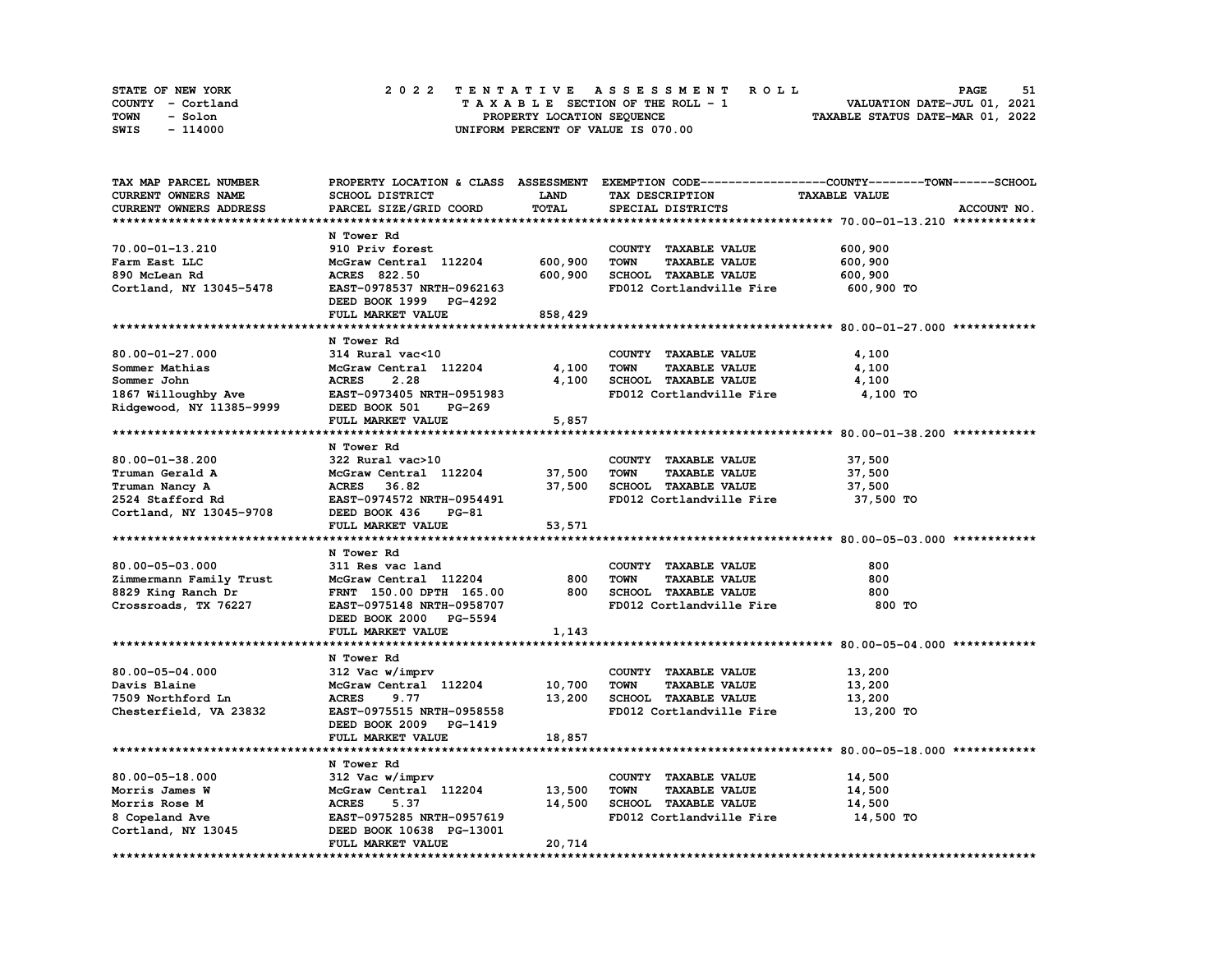| STATE OF NEW YORK | 2022 TENTATIVE ASSESSMENT ROLL     | 51<br><b>PAGE</b>                |
|-------------------|------------------------------------|----------------------------------|
| COUNTY - Cortland | TAXABLE SECTION OF THE ROLL - 1    | VALUATION DATE-JUL 01, 2021      |
| TOWN<br>- Solon   | PROPERTY LOCATION SEQUENCE         | TAXABLE STATUS DATE-MAR 01, 2022 |
| - 114000<br>SWIS  | UNIFORM PERCENT OF VALUE IS 070.00 |                                  |

| TAX MAP PARCEL NUMBER    |                           |             |                                     | PROPERTY LOCATION & CLASS ASSESSMENT EXEMPTION CODE-----------------COUNTY-------TOWN-----SCHOOL |
|--------------------------|---------------------------|-------------|-------------------------------------|--------------------------------------------------------------------------------------------------|
| CURRENT OWNERS NAME      | SCHOOL DISTRICT           | <b>LAND</b> | TAX DESCRIPTION                     | <b>TAXABLE VALUE</b>                                                                             |
| CURRENT OWNERS ADDRESS   | PARCEL SIZE/GRID COORD    | TOTAL       | SPECIAL DISTRICTS                   | ACCOUNT NO.                                                                                      |
|                          |                           |             |                                     |                                                                                                  |
|                          | N Tower Rd                |             |                                     |                                                                                                  |
| 70.00-01-13.210          | 910 Priv forest           |             | COUNTY TAXABLE VALUE                | 600,900                                                                                          |
| Farm East LLC            | McGraw Central 112204     | 600,900     | <b>TOWN</b><br><b>TAXABLE VALUE</b> | 600,900                                                                                          |
| 890 McLean Rd            | ACRES 822.50              | 600,900     | SCHOOL TAXABLE VALUE                | 600,900                                                                                          |
| Cortland, NY 13045-5478  | EAST-0978537 NRTH-0962163 |             | FD012 Cortlandville Fire            | 600,900 TO                                                                                       |
|                          |                           |             |                                     |                                                                                                  |
|                          | DEED BOOK 1999 PG-4292    |             |                                     |                                                                                                  |
|                          | FULL MARKET VALUE         | 858,429     |                                     |                                                                                                  |
|                          |                           |             |                                     |                                                                                                  |
|                          | N Tower Rd                |             |                                     |                                                                                                  |
| $80.00 - 01 - 27.000$    | 314 Rural vac<10          |             | COUNTY TAXABLE VALUE                | 4,100                                                                                            |
| Sommer Mathias           | McGraw Central 112204     | 4,100       | <b>TOWN</b><br><b>TAXABLE VALUE</b> | 4,100                                                                                            |
| Sommer John              | <b>ACRES</b><br>2.28      | 4,100       | SCHOOL TAXABLE VALUE                | 4,100                                                                                            |
| 1867 Willoughby Ave      | EAST-0973405 NRTH-0951983 |             | FD012 Cortlandville Fire            | 4,100 TO                                                                                         |
| Ridgewood, NY 11385-9999 | DEED BOOK 501<br>PG-269   |             |                                     |                                                                                                  |
|                          | <b>FULL MARKET VALUE</b>  | 5,857       |                                     |                                                                                                  |
|                          |                           |             |                                     |                                                                                                  |
|                          | N Tower Rd                |             |                                     |                                                                                                  |
| 80.00-01-38.200          | 322 Rural vac>10          |             | COUNTY TAXABLE VALUE                | 37,500                                                                                           |
| Truman Gerald A          | McGraw Central 112204     | 37,500      | <b>TOWN</b><br><b>TAXABLE VALUE</b> | 37,500                                                                                           |
|                          |                           |             |                                     |                                                                                                  |
| Truman Nancy A           | ACRES 36.82               | 37,500      | SCHOOL TAXABLE VALUE                | 37,500                                                                                           |
| 2524 Stafford Rd         | EAST-0974572 NRTH-0954491 |             | FD012 Cortlandville Fire            | 37,500 TO                                                                                        |
| Cortland, NY 13045-9708  | DEED BOOK 436<br>PG-81    |             |                                     |                                                                                                  |
|                          | FULL MARKET VALUE         | 53,571      |                                     |                                                                                                  |
|                          |                           |             |                                     |                                                                                                  |
|                          | N Tower Rd                |             |                                     |                                                                                                  |
| $80.00 - 05 - 03.000$    | 311 Res vac land          |             | COUNTY TAXABLE VALUE                | 800                                                                                              |
| Zimmermann Family Trust  | McGraw Central 112204     | 800         | <b>TOWN</b><br><b>TAXABLE VALUE</b> | 800                                                                                              |
| 8829 King Ranch Dr       | FRNT 150.00 DPTH 165.00   | 800         | SCHOOL TAXABLE VALUE                | 800                                                                                              |
| Crossroads, TX 76227     | EAST-0975148 NRTH-0958707 |             | FD012 Cortlandville Fire            | 800 TO                                                                                           |
|                          | DEED BOOK 2000 PG-5594    |             |                                     |                                                                                                  |
|                          | FULL MARKET VALUE         | 1,143       |                                     |                                                                                                  |
|                          |                           |             |                                     |                                                                                                  |
|                          | N Tower Rd                |             |                                     |                                                                                                  |
| 80.00-05-04.000          | 312 Vac w/imprv           |             | COUNTY TAXABLE VALUE                | 13,200                                                                                           |
| Davis Blaine             | McGraw Central 112204     | 10,700      | <b>TOWN</b><br><b>TAXABLE VALUE</b> | 13,200                                                                                           |
|                          | <b>ACRES</b><br>9.77      | 13,200      | SCHOOL TAXABLE VALUE                |                                                                                                  |
| 7509 Northford Ln        |                           |             | FD012 Cortlandville Fire            | 13,200                                                                                           |
| Chesterfield, VA 23832   | EAST-0975515 NRTH-0958558 |             |                                     | 13,200 TO                                                                                        |
|                          | DEED BOOK 2009 PG-1419    |             |                                     |                                                                                                  |
|                          | FULL MARKET VALUE         | 18,857      |                                     |                                                                                                  |
|                          |                           |             |                                     |                                                                                                  |
|                          | N Tower Rd                |             |                                     |                                                                                                  |
| 80.00-05-18.000          | 312 Vac w/imprv           |             | COUNTY TAXABLE VALUE                | 14,500                                                                                           |
| Morris James W           | McGraw Central 112204     | 13,500      | <b>TOWN</b><br><b>TAXABLE VALUE</b> | 14,500                                                                                           |
| Morris Rose M            | <b>ACRES</b><br>5.37      | 14,500      | SCHOOL TAXABLE VALUE                | 14,500                                                                                           |
| 8 Copeland Ave           | EAST-0975285 NRTH-0957619 |             | FD012 Cortlandville Fire            | 14,500 TO                                                                                        |
| Cortland, NY 13045       | DEED BOOK 10638 PG-13001  |             |                                     |                                                                                                  |
|                          | FULL MARKET VALUE         | 20,714      |                                     |                                                                                                  |
|                          |                           |             |                                     |                                                                                                  |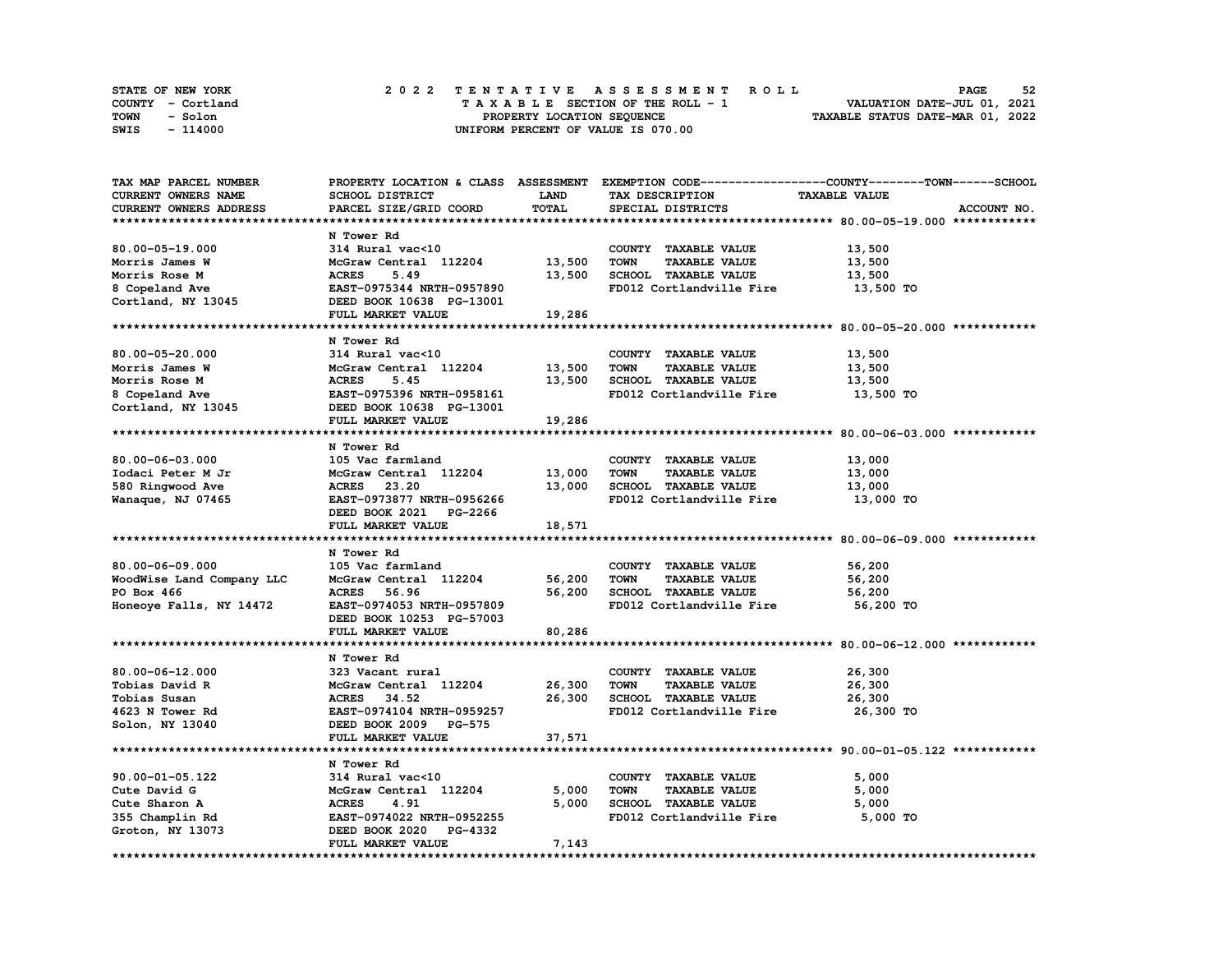| STATE OF NEW YORK | 2022 TENTATIVE ASSESSMENT ROLL     | 52<br><b>PAGE</b>                |
|-------------------|------------------------------------|----------------------------------|
| COUNTY - Cortland | TAXABLE SECTION OF THE ROLL - 1    | VALUATION DATE-JUL 01, 2021      |
| TOWN<br>- Solon   | PROPERTY LOCATION SEQUENCE         | TAXABLE STATUS DATE-MAR 01, 2022 |
| - 114000<br>SWIS  | UNIFORM PERCENT OF VALUE IS 070.00 |                                  |

| TAX MAP PARCEL NUMBER     |                                  |             |                                     | PROPERTY LOCATION & CLASS ASSESSMENT EXEMPTION CODE-----------------COUNTY-------TOWN-----SCHOOL |
|---------------------------|----------------------------------|-------------|-------------------------------------|--------------------------------------------------------------------------------------------------|
| CURRENT OWNERS NAME       | SCHOOL DISTRICT                  | <b>LAND</b> | TAX DESCRIPTION                     | <b>TAXABLE VALUE</b>                                                                             |
| CURRENT OWNERS ADDRESS    | PARCEL SIZE/GRID COORD           | TOTAL       | SPECIAL DISTRICTS                   | ACCOUNT NO.                                                                                      |
|                           |                                  |             |                                     |                                                                                                  |
|                           | N Tower Rd                       |             |                                     |                                                                                                  |
| 80.00-05-19.000           | 314 Rural vac<10                 |             | COUNTY TAXABLE VALUE                | 13,500                                                                                           |
| Morris James W            | McGraw Central 112204            | 13,500      | <b>TOWN</b><br><b>TAXABLE VALUE</b> | 13,500                                                                                           |
|                           |                                  |             |                                     |                                                                                                  |
| Morris Rose M             | <b>ACRES</b><br>5.49             | 13,500      | SCHOOL TAXABLE VALUE                | 13,500                                                                                           |
| 8 Copeland Ave            | EAST-0975344 NRTH-0957890        |             | FD012 Cortlandville Fire            | 13,500 TO                                                                                        |
| Cortland, NY 13045        | DEED BOOK 10638 PG-13001         |             |                                     |                                                                                                  |
|                           | FULL MARKET VALUE                | 19,286      |                                     |                                                                                                  |
|                           |                                  |             |                                     |                                                                                                  |
|                           | N Tower Rd                       |             |                                     |                                                                                                  |
| $80.00 - 05 - 20.000$     | 314 Rural vac<10                 |             | COUNTY TAXABLE VALUE                | 13,500                                                                                           |
| Morris James W            | McGraw Central 112204            | 13,500      | <b>TOWN</b><br><b>TAXABLE VALUE</b> | 13,500                                                                                           |
| Morris Rose M             | <b>ACRES</b><br>5.45             | 13,500      | SCHOOL TAXABLE VALUE                | 13,500                                                                                           |
| 8 Copeland Ave            | EAST-0975396 NRTH-0958161        |             | FD012 Cortlandville Fire            | 13,500 TO                                                                                        |
| Cortland, NY 13045        | DEED BOOK 10638 PG-13001         |             |                                     |                                                                                                  |
|                           | FULL MARKET VALUE                | 19,286      |                                     |                                                                                                  |
|                           |                                  |             |                                     |                                                                                                  |
|                           |                                  |             |                                     |                                                                                                  |
|                           | N Tower Rd                       |             |                                     |                                                                                                  |
| 80.00-06-03.000           | 105 Vac farmland                 |             | COUNTY TAXABLE VALUE                | 13,000                                                                                           |
| Iodaci Peter M Jr         | McGraw Central 112204            | 13,000      | <b>TOWN</b><br><b>TAXABLE VALUE</b> | 13,000                                                                                           |
| 580 Ringwood Ave          | ACRES 23.20                      | 13,000      | SCHOOL TAXABLE VALUE                | 13,000                                                                                           |
| Wanaque, NJ 07465         | EAST-0973877 NRTH-0956266        |             | FD012 Cortlandville Fire            | 13,000 TO                                                                                        |
|                           | DEED BOOK 2021 PG-2266           |             |                                     |                                                                                                  |
|                           | FULL MARKET VALUE                | 18,571      |                                     |                                                                                                  |
|                           |                                  |             |                                     |                                                                                                  |
|                           | N Tower Rd                       |             |                                     |                                                                                                  |
| $80.00 - 06 - 09.000$     | 105 Vac farmland                 |             | COUNTY TAXABLE VALUE                | 56,200                                                                                           |
| WoodWise Land Company LLC | McGraw Central 112204            | 56,200      | <b>TOWN</b><br><b>TAXABLE VALUE</b> | 56,200                                                                                           |
| PO Box 466                | 56.96<br><b>ACRES</b>            | 56,200      | SCHOOL TAXABLE VALUE                | 56,200                                                                                           |
| Honeoye Falls, NY 14472   | EAST-0974053 NRTH-0957809        |             | FD012 Cortlandville Fire            | 56,200 TO                                                                                        |
|                           |                                  |             |                                     |                                                                                                  |
|                           | DEED BOOK 10253 PG-57003         |             |                                     |                                                                                                  |
|                           | FULL MARKET VALUE                | 80,286      |                                     |                                                                                                  |
|                           |                                  |             |                                     |                                                                                                  |
|                           | N Tower Rd                       |             |                                     |                                                                                                  |
| $80.00 - 06 - 12.000$     | 323 Vacant rural                 |             | COUNTY TAXABLE VALUE                | 26,300                                                                                           |
| Tobias David R            | McGraw Central 112204            | 26,300      | <b>TOWN</b><br><b>TAXABLE VALUE</b> | 26,300                                                                                           |
| Tobias Susan              | <b>ACRES</b><br>34.52            | 26,300      | SCHOOL TAXABLE VALUE                | 26,300                                                                                           |
| 4623 N Tower Rd           | EAST-0974104 NRTH-0959257        |             | FD012 Cortlandville Fire            | 26,300 TO                                                                                        |
| Solon, NY 13040           | DEED BOOK 2009 PG-575            |             |                                     |                                                                                                  |
|                           | FULL MARKET VALUE                | 37,571      |                                     |                                                                                                  |
|                           |                                  |             |                                     |                                                                                                  |
|                           | N Tower Rd                       |             |                                     |                                                                                                  |
| 90.00-01-05.122           | 314 Rural vac<10                 |             | COUNTY TAXABLE VALUE                | 5,000                                                                                            |
| Cute David G              | McGraw Central 112204            | 5,000       | <b>TOWN</b><br><b>TAXABLE VALUE</b> | 5,000                                                                                            |
|                           |                                  |             |                                     |                                                                                                  |
| Cute Sharon A             | <b>ACRES</b><br>4.91             | 5,000       | SCHOOL TAXABLE VALUE                | 5,000                                                                                            |
| 355 Champlin Rd           | EAST-0974022 NRTH-0952255        |             | FD012 Cortlandville Fire            | 5,000 TO                                                                                         |
| Groton, NY 13073          | DEED BOOK 2020<br><b>PG-4332</b> |             |                                     |                                                                                                  |
|                           | FULL MARKET VALUE                | 7,143       |                                     |                                                                                                  |
|                           |                                  |             |                                     |                                                                                                  |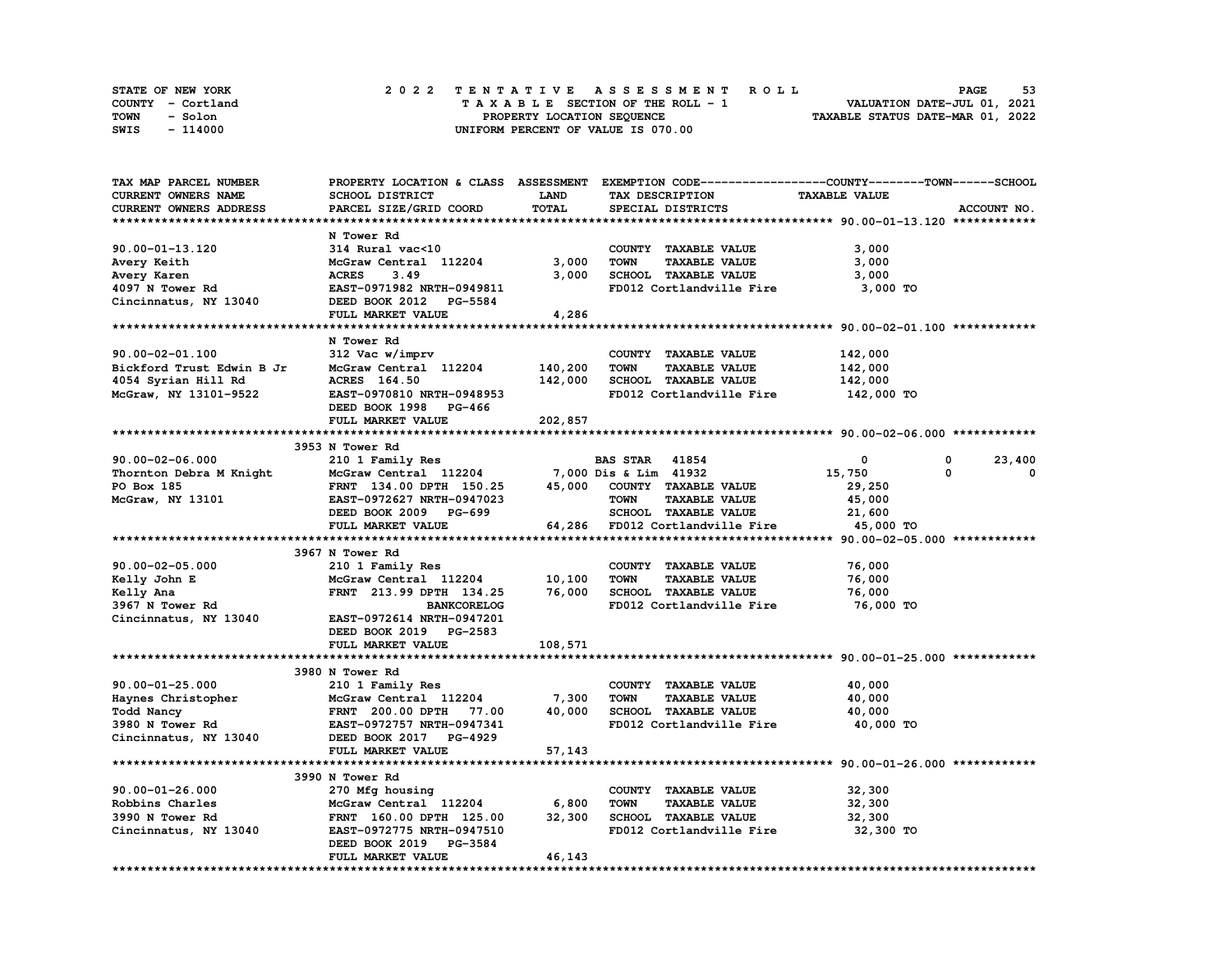| STATE OF NEW YORK | 2022 TENTATIVE ASSESSMENT ROLL     | 53<br><b>PAGE</b>                |
|-------------------|------------------------------------|----------------------------------|
| COUNTY - Cortland | TAXABLE SECTION OF THE ROLL - 1    | VALUATION DATE-JUL 01, 2021      |
| TOWN<br>- Solon   | PROPERTY LOCATION SEQUENCE         | TAXABLE STATUS DATE-MAR 01, 2022 |
| - 114000<br>SWIS  | UNIFORM PERCENT OF VALUE IS 070.00 |                                  |

| TAX MAP PARCEL NUMBER     |                                  |             | PROPERTY LOCATION & CLASS ASSESSMENT EXEMPTION CODE-----------------COUNTY-------TOWN------SCHOOL |                      |        |             |
|---------------------------|----------------------------------|-------------|---------------------------------------------------------------------------------------------------|----------------------|--------|-------------|
| CURRENT OWNERS NAME       | SCHOOL DISTRICT                  | <b>LAND</b> | TAX DESCRIPTION                                                                                   | <b>TAXABLE VALUE</b> |        |             |
| CURRENT OWNERS ADDRESS    | PARCEL SIZE/GRID COORD           | TOTAL       | SPECIAL DISTRICTS                                                                                 |                      |        | ACCOUNT NO. |
|                           |                                  |             |                                                                                                   |                      |        |             |
|                           | N Tower Rd                       |             |                                                                                                   |                      |        |             |
| 90.00-01-13.120           | 314 Rural vac<10                 |             | COUNTY TAXABLE VALUE                                                                              | 3,000                |        |             |
| Avery Keith               | McGraw Central 112204            | 3,000       | <b>TOWN</b><br><b>TAXABLE VALUE</b>                                                               | 3,000                |        |             |
| Avery Karen               | <b>ACRES</b><br>3.49             | 3,000       | SCHOOL TAXABLE VALUE                                                                              | 3,000                |        |             |
| 4097 N Tower Rd           | EAST-0971982 NRTH-0949811        |             | FD012 Cortlandville Fire                                                                          | 3,000 TO             |        |             |
| Cincinnatus, NY 13040     | DEED BOOK 2012 PG-5584           |             |                                                                                                   |                      |        |             |
|                           | FULL MARKET VALUE                | 4,286       |                                                                                                   |                      |        |             |
|                           |                                  |             |                                                                                                   |                      |        |             |
|                           | N Tower Rd                       |             |                                                                                                   |                      |        |             |
| $90.00 - 02 - 01.100$     | 312 Vac w/imprv                  |             | COUNTY TAXABLE VALUE                                                                              | 142,000              |        |             |
| Bickford Trust Edwin B Jr | McGraw Central 112204            | 140,200     | <b>TOWN</b><br><b>TAXABLE VALUE</b>                                                               | 142,000              |        |             |
|                           |                                  |             | SCHOOL TAXABLE VALUE                                                                              |                      |        |             |
| 4054 Syrian Hill Rd       | ACRES 164.50                     | 142,000     |                                                                                                   | 142,000              |        |             |
| McGraw, NY 13101-9522     | EAST-0970810 NRTH-0948953        |             | FD012 Cortlandville Fire                                                                          | 142,000 TO           |        |             |
|                           | DEED BOOK 1998 PG-466            |             |                                                                                                   |                      |        |             |
|                           | FULL MARKET VALUE                | 202,857     |                                                                                                   |                      |        |             |
|                           | 3953 N Tower Rd                  |             |                                                                                                   |                      |        |             |
|                           |                                  |             |                                                                                                   | 0                    |        |             |
| $90.00 - 02 - 06.000$     | 210 1 Family Res                 |             | <b>BAS STAR 41854</b>                                                                             |                      | 0<br>0 | 23,400<br>0 |
| Thornton Debra M Knight   | McGraw Central 112204            |             | 7,000 Dis & Lim 41932                                                                             | 15,750               |        |             |
| PO Box 185                | FRNT 134.00 DPTH 150.25          |             | 45,000 COUNTY TAXABLE VALUE                                                                       | 29,250               |        |             |
| McGraw, NY 13101          | EAST-0972627 NRTH-0947023        |             | <b>TOWN</b><br><b>TAXABLE VALUE</b>                                                               | 45,000               |        |             |
|                           | DEED BOOK 2009 PG-699            |             | SCHOOL TAXABLE VALUE                                                                              | 21,600               |        |             |
|                           | FULL MARKET VALUE                |             | 64,286 FD012 Cortlandville Fire                                                                   | 45,000 TO            |        |             |
|                           |                                  |             |                                                                                                   |                      |        |             |
|                           | 3967 N Tower Rd                  |             |                                                                                                   |                      |        |             |
| $90.00 - 02 - 05.000$     | 210 1 Family Res                 |             | COUNTY TAXABLE VALUE                                                                              | 76,000               |        |             |
| Kelly John E              | McGraw Central 112204            | 10,100      | <b>TAXABLE VALUE</b><br><b>TOWN</b>                                                               | 76,000               |        |             |
| Kelly Ana                 | FRNT 213.99 DPTH 134.25          | 76,000      | SCHOOL TAXABLE VALUE                                                                              | 76,000               |        |             |
| 3967 N Tower Rd           | <b>BANKCORELOG</b>               |             | FD012 Cortlandville Fire                                                                          | 76,000 TO            |        |             |
| Cincinnatus, NY 13040     | EAST-0972614 NRTH-0947201        |             |                                                                                                   |                      |        |             |
|                           | DEED BOOK 2019 PG-2583           |             |                                                                                                   |                      |        |             |
|                           | FULL MARKET VALUE                | 108,571     |                                                                                                   |                      |        |             |
|                           |                                  |             |                                                                                                   |                      |        |             |
|                           | 3980 N Tower Rd                  |             |                                                                                                   |                      |        |             |
| $90.00 - 01 - 25.000$     | 210 1 Family Res                 |             | COUNTY TAXABLE VALUE                                                                              | 40,000               |        |             |
| Haynes Christopher        | McGraw Central 112204            | 7,300       | <b>TOWN</b><br><b>TAXABLE VALUE</b>                                                               | 40,000               |        |             |
| Todd Nancy                | <b>FRNT</b> 200.00 DPTH<br>77.00 | 40,000      | SCHOOL TAXABLE VALUE                                                                              | 40,000               |        |             |
| 3980 N Tower Rd           | EAST-0972757 NRTH-0947341        |             | FD012 Cortlandville Fire                                                                          | 40,000 TO            |        |             |
| Cincinnatus, NY 13040     | DEED BOOK 2017 PG-4929           |             |                                                                                                   |                      |        |             |
|                           | FULL MARKET VALUE                | 57,143      |                                                                                                   |                      |        |             |
|                           |                                  |             |                                                                                                   |                      |        |             |
|                           | 3990 N Tower Rd                  |             |                                                                                                   |                      |        |             |
| $90.00 - 01 - 26.000$     | 270 Mfg housing                  |             | COUNTY TAXABLE VALUE                                                                              | 32,300               |        |             |
| Robbins Charles           | McGraw Central 112204            | 6,800       | <b>TOWN</b><br><b>TAXABLE VALUE</b>                                                               | 32,300               |        |             |
| 3990 N Tower Rd           | FRNT 160.00 DPTH 125.00          | 32,300      | SCHOOL TAXABLE VALUE                                                                              | 32,300               |        |             |
| Cincinnatus, NY 13040     | EAST-0972775 NRTH-0947510        |             | FD012 Cortlandville Fire                                                                          | 32,300 TO            |        |             |
|                           | DEED BOOK 2019 PG-3584           |             |                                                                                                   |                      |        |             |
|                           | FULL MARKET VALUE                | 46,143      |                                                                                                   |                      |        |             |
|                           |                                  |             |                                                                                                   |                      |        |             |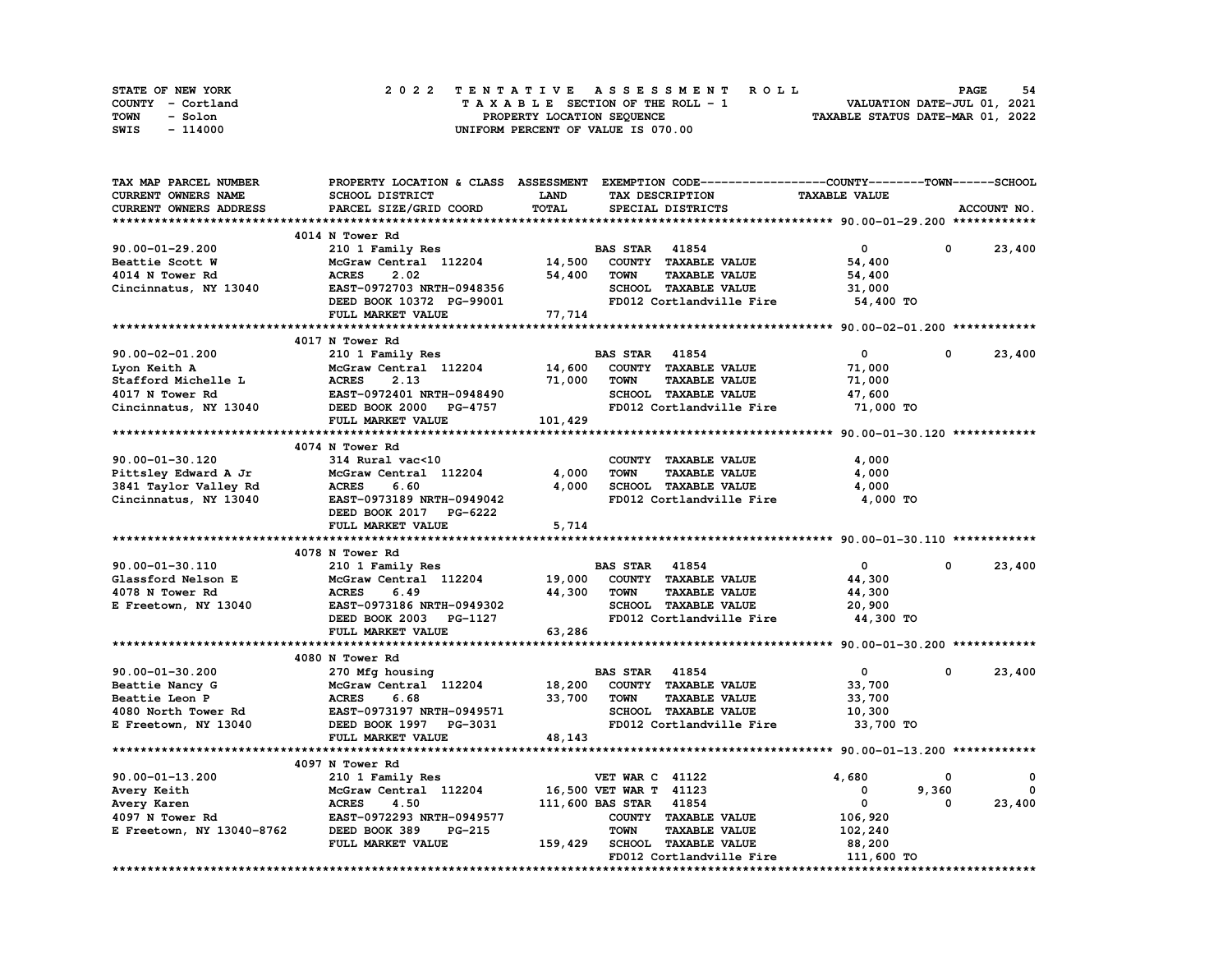| STATE OF NEW YORK | 2022 TENTATIVE ASSESSMENT ROLL     | 54<br><b>PAGE</b>                |
|-------------------|------------------------------------|----------------------------------|
| COUNTY - Cortland | TAXABLE SECTION OF THE ROLL - 1    | VALUATION DATE-JUL 01, 2021      |
| TOWN<br>- Solon   | PROPERTY LOCATION SEQUENCE         | TAXABLE STATUS DATE-MAR 01, 2022 |
| - 114000<br>SWIS  | UNIFORM PERCENT OF VALUE IS 070.00 |                                  |

| TAX MAP PARCEL NUMBER     | PROPERTY LOCATION & CLASS ASSESSMENT EXEMPTION CODE-----------------COUNTY-------TOWN------SCHOOL |             |                        |                             |                      |              |             |
|---------------------------|---------------------------------------------------------------------------------------------------|-------------|------------------------|-----------------------------|----------------------|--------------|-------------|
| CURRENT OWNERS NAME       | SCHOOL DISTRICT                                                                                   | <b>LAND</b> |                        | TAX DESCRIPTION             | <b>TAXABLE VALUE</b> |              |             |
| CURRENT OWNERS ADDRESS    | PARCEL SIZE/GRID COORD                                                                            | TOTAL       |                        | SPECIAL DISTRICTS           |                      |              | ACCOUNT NO. |
|                           |                                                                                                   |             |                        |                             |                      |              |             |
|                           | 4014 N Tower Rd                                                                                   |             |                        |                             |                      |              |             |
| $90.00 - 01 - 29.200$     | 210 1 Family Res                                                                                  |             | <b>BAS STAR 41854</b>  |                             | $\mathbf 0$          | $\Omega$     | 23,400      |
| Beattie Scott W           | McGraw Central 112204                                                                             | 14,500      |                        | COUNTY TAXABLE VALUE        | 54,400               |              |             |
| 4014 N Tower Rd           | <b>ACRES</b><br>2.02                                                                              | 54,400      | <b>TOWN</b>            | <b>TAXABLE VALUE</b>        | 54,400               |              |             |
| Cincinnatus, NY 13040     | EAST-0972703 NRTH-0948356                                                                         |             |                        | SCHOOL TAXABLE VALUE        | 31,000               |              |             |
|                           | DEED BOOK 10372 PG-99001                                                                          |             |                        | FD012 Cortlandville Fire    | 54,400 TO            |              |             |
|                           | FULL MARKET VALUE                                                                                 | 77,714      |                        |                             |                      |              |             |
|                           |                                                                                                   |             |                        |                             |                      |              |             |
|                           | 4017 N Tower Rd                                                                                   |             |                        |                             |                      |              |             |
| $90.00 - 02 - 01.200$     | 210 1 Family Res                                                                                  |             | <b>BAS STAR</b> 41854  |                             | $\mathbf 0$          | $\Omega$     | 23,400      |
| Lyon Keith A              | McGraw Central 112204                                                                             | 14,600      |                        | COUNTY TAXABLE VALUE        | 71,000               |              |             |
| Stafford Michelle L       | <b>ACRES</b><br>2.13                                                                              | 71,000      | <b>TOWN</b>            | <b>TAXABLE VALUE</b>        | 71,000               |              |             |
| 4017 N Tower Rd           | EAST-0972401 NRTH-0948490                                                                         |             |                        | SCHOOL TAXABLE VALUE        |                      |              |             |
|                           |                                                                                                   |             |                        |                             | 47,600               |              |             |
| Cincinnatus, NY 13040     | DEED BOOK 2000 PG-4757                                                                            |             |                        | FD012 Cortlandville Fire    | 71,000 TO            |              |             |
|                           | FULL MARKET VALUE                                                                                 | 101,429     |                        |                             |                      |              |             |
|                           |                                                                                                   |             |                        |                             |                      |              |             |
|                           | 4074 N Tower Rd                                                                                   |             |                        |                             |                      |              |             |
| $90.00 - 01 - 30.120$     | 314 Rural vac<10                                                                                  |             |                        | COUNTY TAXABLE VALUE        | 4,000                |              |             |
| Pittsley Edward A Jr      | McGraw Central 112204                                                                             | 4,000       | <b>TOWN</b>            | <b>TAXABLE VALUE</b>        | 4,000                |              |             |
| 3841 Taylor Valley Rd     | <b>ACRES</b><br>6.60                                                                              | 4,000       |                        | SCHOOL TAXABLE VALUE        | 4,000                |              |             |
| Cincinnatus, NY 13040     | EAST-0973189 NRTH-0949042                                                                         |             |                        | FD012 Cortlandville Fire    | 4,000 TO             |              |             |
|                           | DEED BOOK 2017 PG-6222                                                                            |             |                        |                             |                      |              |             |
|                           | FULL MARKET VALUE                                                                                 | 5,714       |                        |                             |                      |              |             |
|                           |                                                                                                   |             |                        |                             |                      |              |             |
|                           | 4078 N Tower Rd                                                                                   |             |                        |                             |                      |              |             |
| 90.00-01-30.110           | 210 1 Family Res                                                                                  |             | <b>BAS STAR 41854</b>  |                             | $\mathbf 0$          | $\mathbf{0}$ | 23,400      |
| Glassford Nelson E        | McGraw Central 112204                                                                             | 19,000      |                        | COUNTY TAXABLE VALUE        | 44,300               |              |             |
| 4078 N Tower Rd           | <b>ACRES</b><br>6.49                                                                              | 44,300      | <b>TOWN</b>            | <b>TAXABLE VALUE</b>        | 44,300               |              |             |
| E Freetown, NY 13040      | EAST-0973186 NRTH-0949302                                                                         |             |                        | SCHOOL TAXABLE VALUE        | 20,900               |              |             |
|                           | DEED BOOK 2003 PG-1127                                                                            |             |                        | FD012 Cortlandville Fire    | 44,300 TO            |              |             |
|                           | FULL MARKET VALUE                                                                                 | 63,286      |                        |                             |                      |              |             |
|                           |                                                                                                   |             |                        |                             |                      |              |             |
|                           | 4080 N Tower Rd                                                                                   |             |                        |                             |                      |              |             |
| $90.00 - 01 - 30.200$     | 270 Mfg housing                                                                                   |             | <b>BAS STAR 41854</b>  |                             | $\mathbf{0}$         | 0            | 23,400      |
| Beattie Nancy G           | McGraw Central 112204                                                                             | 18,200      |                        | COUNTY TAXABLE VALUE        | 33,700               |              |             |
|                           |                                                                                                   |             |                        |                             |                      |              |             |
| <b>Beattie Leon P</b>     | <b>ACRES</b><br>6.68                                                                              | 33,700      | TOWN                   | <b>TAXABLE VALUE</b>        | 33,700               |              |             |
| 4080 North Tower Rd       | EAST-0973197 NRTH-0949571                                                                         |             |                        | SCHOOL TAXABLE VALUE        | 10,300               |              |             |
| E Freetown, NY 13040      | DEED BOOK 1997 PG-3031                                                                            |             |                        | FD012 Cortlandville Fire    | 33,700 TO            |              |             |
|                           | FULL MARKET VALUE                                                                                 | 48,143      |                        |                             |                      |              |             |
|                           |                                                                                                   |             |                        |                             |                      |              |             |
|                           | 4097 N Tower Rd                                                                                   |             |                        |                             |                      |              |             |
| 90.00-01-13.200           | 210 1 Family Res                                                                                  |             | <b>VET WAR C 41122</b> |                             | 4,680                | 0            | 0           |
| Avery Keith               | McGraw Central 112204                                                                             |             | 16,500 VET WAR T 41123 |                             | $\mathbf 0$          | 9,360        | $^{\circ}$  |
| Avery Karen               | <b>ACRES</b><br>4.50                                                                              |             | 111,600 BAS STAR 41854 |                             | $\mathbf{0}$         | 0            | 23,400      |
| 4097 N Tower Rd           | EAST-0972293 NRTH-0949577                                                                         |             |                        | COUNTY TAXABLE VALUE        | 106,920              |              |             |
| E Freetown, NY 13040-8762 | DEED BOOK 389<br><b>PG-215</b>                                                                    |             | <b>TOWN</b>            | <b>TAXABLE VALUE</b>        | 102,240              |              |             |
|                           | FULL MARKET VALUE                                                                                 | 159,429     |                        | <b>SCHOOL TAXABLE VALUE</b> | 88,200               |              |             |
|                           |                                                                                                   |             |                        | FD012 Cortlandville Fire    | 111,600 TO           |              |             |
|                           |                                                                                                   |             |                        |                             |                      |              |             |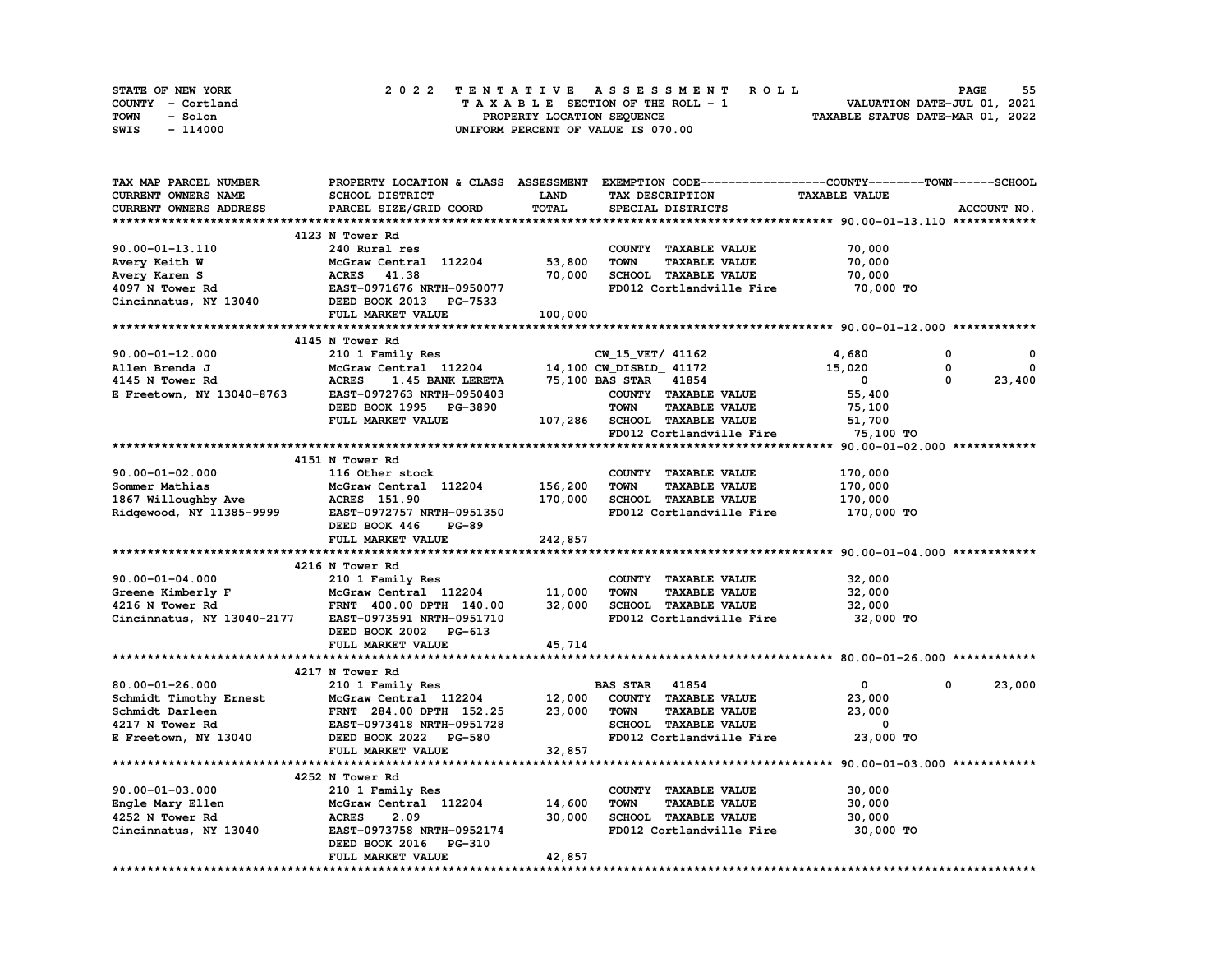| <b>STATE OF NEW YORK</b> | 2022 TENTATIVE ASSESSMENT ROLL     | 55<br><b>PAGE</b>                |
|--------------------------|------------------------------------|----------------------------------|
| COUNTY - Cortland        | TAXABLE SECTION OF THE ROLL - 1    | VALUATION DATE-JUL 01, 2021      |
| TOWN<br>- Solon          | PROPERTY LOCATION SEOUENCE         | TAXABLE STATUS DATE-MAR 01, 2022 |
| - 114000<br>SWIS         | UNIFORM PERCENT OF VALUE IS 070.00 |                                  |

| TAX MAP PARCEL NUMBER      | PROPERTY LOCATION & CLASS ASSESSMENT EXEMPTION CODE-----------------COUNTY-------TOWN-----SCHOOL |             |                         |                              |                      |          |             |
|----------------------------|--------------------------------------------------------------------------------------------------|-------------|-------------------------|------------------------------|----------------------|----------|-------------|
| CURRENT OWNERS NAME        | SCHOOL DISTRICT                                                                                  | <b>LAND</b> |                         | TAX DESCRIPTION              | <b>TAXABLE VALUE</b> |          |             |
| CURRENT OWNERS ADDRESS     | PARCEL SIZE/GRID COORD                                                                           | TOTAL       |                         | SPECIAL DISTRICTS            |                      |          | ACCOUNT NO. |
|                            |                                                                                                  |             |                         |                              |                      |          |             |
|                            | 4123 N Tower Rd                                                                                  |             |                         |                              |                      |          |             |
| $90.00 - 01 - 13.110$      | 240 Rural res                                                                                    |             |                         | COUNTY TAXABLE VALUE         | 70,000               |          |             |
| Avery Keith W              | McGraw Central 112204                                                                            | 53,800      | <b>TOWN</b>             | <b>TAXABLE VALUE</b>         | 70,000               |          |             |
| Avery Karen S              | 41.38<br><b>ACRES</b>                                                                            | 70,000      |                         | SCHOOL TAXABLE VALUE         | 70,000               |          |             |
| 4097 N Tower Rd            | EAST-0971676 NRTH-0950077                                                                        |             |                         | FD012 Cortlandville Fire     | 70,000 TO            |          |             |
| Cincinnatus, NY 13040      | DEED BOOK 2013 PG-7533                                                                           |             |                         |                              |                      |          |             |
|                            | FULL MARKET VALUE                                                                                | 100,000     |                         |                              |                      |          |             |
|                            |                                                                                                  |             |                         |                              |                      |          |             |
|                            | 4145 N Tower Rd                                                                                  |             |                         |                              |                      |          |             |
| $90.00 - 01 - 12.000$      | 210 1 Family Res                                                                                 |             | CW_15_VET/ 41162        |                              | 4,680                | 0        | 0           |
| Allen Brenda J             | McGraw Central 112204                                                                            |             | 14,100 CW_DISBLD_ 41172 |                              | 15,020               | 0        | 0           |
| 4145 N Tower Rd            | <b>ACRES</b><br>1.45 BANK LERETA                                                                 |             | 75,100 BAS STAR 41854   |                              | $\mathbf 0$          | $\Omega$ | 23,400      |
| E Freetown, NY 13040-8763  | EAST-0972763 NRTH-0950403                                                                        |             |                         | COUNTY TAXABLE VALUE         | 55,400               |          |             |
|                            | DEED BOOK 1995 PG-3890                                                                           |             | <b>TOWN</b>             | <b>TAXABLE VALUE</b>         | 75,100               |          |             |
|                            | FULL MARKET VALUE                                                                                |             |                         | 107,286 SCHOOL TAXABLE VALUE | 51,700               |          |             |
|                            |                                                                                                  |             |                         | FD012 Cortlandville Fire     | 75,100 TO            |          |             |
|                            |                                                                                                  |             |                         |                              |                      |          |             |
|                            | 4151 N Tower Rd                                                                                  |             |                         |                              |                      |          |             |
| $90.00 - 01 - 02.000$      | 116 Other stock                                                                                  |             |                         | COUNTY TAXABLE VALUE         | 170,000              |          |             |
| Sommer Mathias             | McGraw Central 112204                                                                            | 156,200     | <b>TOWN</b>             | <b>TAXABLE VALUE</b>         | 170,000              |          |             |
| 1867 Willoughby Ave        | <b>ACRES</b> 151.90                                                                              | 170,000     |                         | SCHOOL TAXABLE VALUE         | 170,000              |          |             |
| Ridgewood, NY 11385-9999   | EAST-0972757 NRTH-0951350                                                                        |             |                         | FD012 Cortlandville Fire     | 170,000 TO           |          |             |
|                            | DEED BOOK 446<br><b>PG-89</b>                                                                    |             |                         |                              |                      |          |             |
|                            | FULL MARKET VALUE                                                                                | 242,857     |                         |                              |                      |          |             |
|                            |                                                                                                  |             |                         |                              |                      |          |             |
|                            | 4216 N Tower Rd                                                                                  |             |                         |                              |                      |          |             |
| $90.00 - 01 - 04.000$      | 210 1 Family Res                                                                                 |             |                         | COUNTY TAXABLE VALUE         | 32,000               |          |             |
| Greene Kimberly F          | McGraw Central 112204                                                                            | 11,000      | <b>TOWN</b>             | <b>TAXABLE VALUE</b>         | 32,000               |          |             |
| 4216 N Tower Rd            | FRNT 400.00 DPTH 140.00                                                                          | 32,000      |                         | SCHOOL TAXABLE VALUE         | 32,000               |          |             |
| Cincinnatus, NY 13040-2177 | EAST-0973591 NRTH-0951710                                                                        |             |                         | FD012 Cortlandville Fire     | 32,000 TO            |          |             |
|                            | DEED BOOK 2002 PG-613                                                                            |             |                         |                              |                      |          |             |
|                            | FULL MARKET VALUE                                                                                | 45,714      |                         |                              |                      |          |             |
|                            |                                                                                                  |             |                         |                              |                      |          |             |
|                            | 4217 N Tower Rd                                                                                  |             |                         |                              |                      |          |             |
| 80.00-01-26.000            | 210 1 Family Res                                                                                 |             | <b>BAS STAR 41854</b>   |                              | $\mathbf{0}$         | 0        | 23,000      |
|                            |                                                                                                  |             |                         |                              |                      |          |             |
| Schmidt Timothy Ernest     | McGraw Central 112204                                                                            | 12,000      |                         | COUNTY TAXABLE VALUE         | 23,000               |          |             |
| Schmidt Darleen            | FRNT 284.00 DPTH 152.25                                                                          | 23,000      | <b>TOWN</b>             | <b>TAXABLE VALUE</b>         | 23,000               |          |             |
| 4217 N Tower Rd            | EAST-0973418 NRTH-0951728                                                                        |             |                         | SCHOOL TAXABLE VALUE         | 0                    |          |             |
| E Freetown, NY 13040       | DEED BOOK 2022 PG-580                                                                            |             |                         | FD012 Cortlandville Fire     | 23,000 TO            |          |             |
|                            | FULL MARKET VALUE                                                                                | 32,857      |                         |                              |                      |          |             |
|                            |                                                                                                  |             |                         |                              |                      |          |             |
|                            | 4252 N Tower Rd                                                                                  |             |                         |                              |                      |          |             |
| $90.00 - 01 - 03.000$      | 210 1 Family Res                                                                                 |             |                         | COUNTY TAXABLE VALUE         | 30,000               |          |             |
| Engle Mary Ellen           | McGraw Central 112204                                                                            | 14,600      | <b>TOWN</b>             | <b>TAXABLE VALUE</b>         | 30,000               |          |             |
| 4252 N Tower Rd            | <b>ACRES</b><br>2.09                                                                             | 30,000      |                         | <b>SCHOOL TAXABLE VALUE</b>  | 30,000               |          |             |
| Cincinnatus, NY 13040      | EAST-0973758 NRTH-0952174                                                                        |             |                         | FD012 Cortlandville Fire     | 30,000 TO            |          |             |
|                            | DEED BOOK 2016 PG-310                                                                            |             |                         |                              |                      |          |             |
|                            | FULL MARKET VALUE                                                                                | 42,857      |                         |                              |                      |          |             |
|                            |                                                                                                  |             |                         |                              |                      |          |             |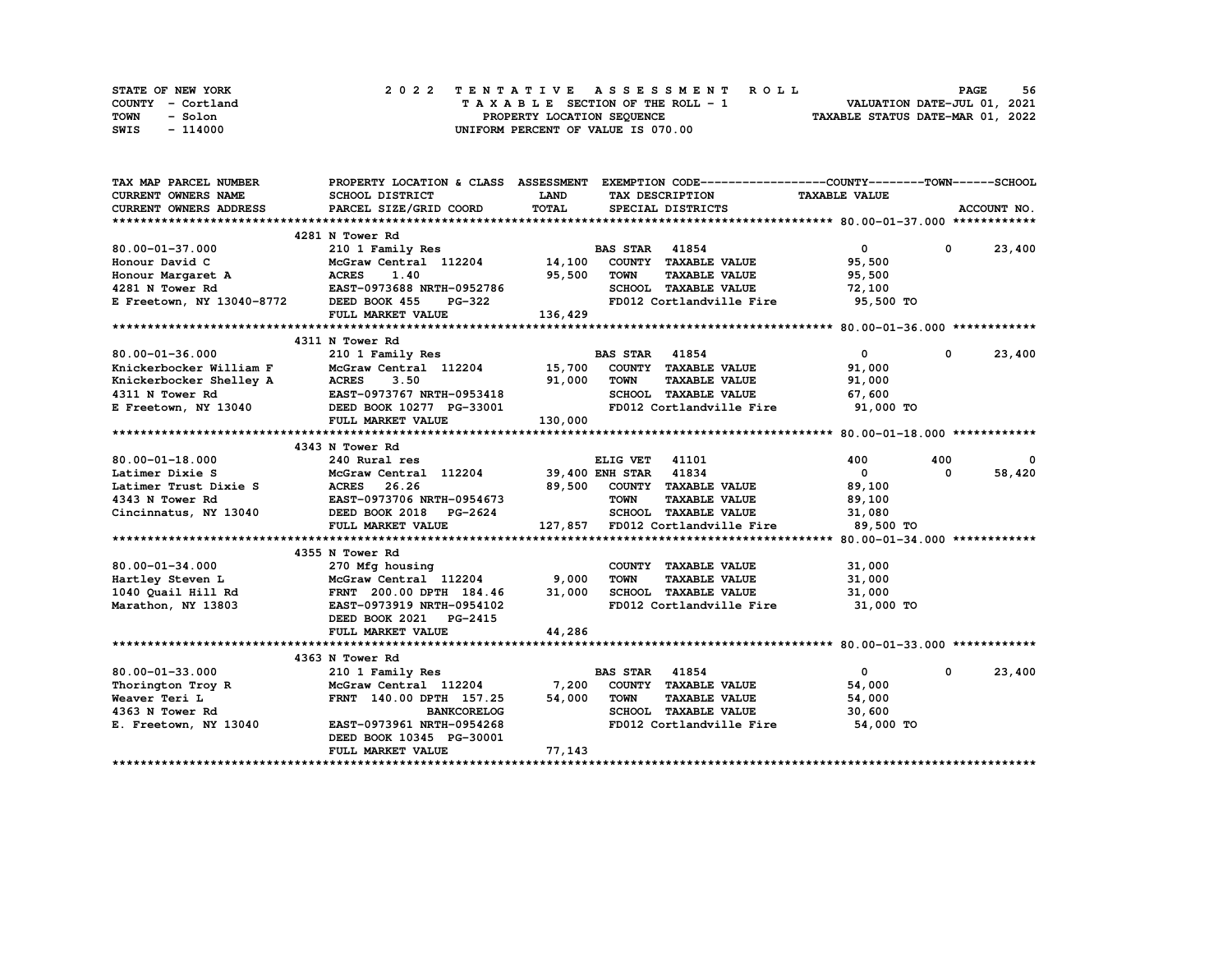| STATE OF NEW YORK | 2022 TENTATIVE ASSESSMENT ROLL     | 56<br><b>PAGE</b>                |
|-------------------|------------------------------------|----------------------------------|
| COUNTY - Cortland | TAXABLE SECTION OF THE ROLL - 1    | VALUATION DATE-JUL 01, 2021      |
| TOWN<br>- Solon   | PROPERTY LOCATION SEQUENCE         | TAXABLE STATUS DATE-MAR 01, 2022 |
| SWIS<br>- 114000  | UNIFORM PERCENT OF VALUE IS 070.00 |                                  |

| TAX MAP PARCEL NUMBER                                      |                                                                                                                                                                                                                                |             | PROPERTY LOCATION & CLASS ASSESSMENT EXEMPTION CODE----------------COUNTY-------TOWN------SCHOOL |                         |              |               |
|------------------------------------------------------------|--------------------------------------------------------------------------------------------------------------------------------------------------------------------------------------------------------------------------------|-------------|--------------------------------------------------------------------------------------------------|-------------------------|--------------|---------------|
| <b>CURRENT OWNERS NAME</b>                                 | SCHOOL DISTRICT                                                                                                                                                                                                                | <b>LAND</b> | TAX DESCRIPTION                                                                                  | <b>TAXABLE VALUE</b>    |              |               |
| CURRENT OWNERS ADDRESS                                     | PARCEL SIZE/GRID COORD                                                                                                                                                                                                         | TOTAL       | SPECIAL DISTRICTS                                                                                |                         |              | ACCOUNT NO.   |
|                                                            |                                                                                                                                                                                                                                |             |                                                                                                  |                         |              |               |
|                                                            | 4281 N Tower Rd                                                                                                                                                                                                                |             |                                                                                                  |                         |              |               |
| 80.00-01-37.000                                            | 210 1 Family Res                                                                                                                                                                                                               |             | <b>BAS STAR 41854</b>                                                                            | $\overline{0}$          |              | $0 \t 23,400$ |
| Honour David C                                             |                                                                                                                                                                                                                                |             | McGraw Central 112204 14,100 COUNTY TAXABLE VALUE                                                | 95,500                  |              |               |
|                                                            |                                                                                                                                                                                                                                | 95,500      | <b>TOWN</b><br><b>TAXABLE VALUE</b>                                                              | 95,500                  |              |               |
|                                                            |                                                                                                                                                                                                                                |             | SCHOOL TAXABLE VALUE                                                                             | 72,100                  |              |               |
|                                                            |                                                                                                                                                                                                                                |             | FD012 Cortlandville Fire                                                                         | 95,500 TO               |              |               |
|                                                            | FULL MARKET VALUE                                                                                                                                                                                                              | 136,429     |                                                                                                  |                         |              |               |
|                                                            |                                                                                                                                                                                                                                |             |                                                                                                  |                         |              |               |
|                                                            | 4311 N Tower Rd                                                                                                                                                                                                                |             |                                                                                                  |                         |              |               |
| 80.00-01-36.000                                            | 210 1 Family Res                                                                                                                                                                                                               |             | <b>BAS STAR 41854</b>                                                                            | $\mathbf{0}$            | $^{\circ}$   | 23,400        |
|                                                            |                                                                                                                                                                                                                                |             | McGraw Central 112204 15,700 COUNTY TAXABLE VALUE                                                | 91,000                  |              |               |
|                                                            | EXECUTE VIOLET MEXAND FOR MEXAND MEXANDRE FREE SANDWARE STREET AND MEXAND FOR THE MEXAND MEXAND FOR THE MEXAND THE THEORY OF THE MEXAND MEXAND THE MEXAND MEXAND MEXAND MEXAND MEXAND MEXAND MEXAND MEXAND MEXAND MEXAND MEXAN | 91,000      | <b>TOWN</b><br><b>TAXABLE VALUE</b>                                                              | 91,000                  |              |               |
|                                                            |                                                                                                                                                                                                                                |             | SCHOOL TAXABLE VALUE 67,600                                                                      |                         |              |               |
|                                                            |                                                                                                                                                                                                                                |             | FD012 Cortlandville Fire 91,000 TO                                                               |                         |              |               |
|                                                            | FULL MARKET VALUE                                                                                                                                                                                                              | 130,000     |                                                                                                  |                         |              |               |
|                                                            |                                                                                                                                                                                                                                |             |                                                                                                  |                         |              |               |
|                                                            | 4343 N Tower Rd                                                                                                                                                                                                                |             |                                                                                                  |                         |              |               |
| $80.00 - 01 - 18.000$                                      | 240 Rural res                                                                                                                                                                                                                  |             | ELIG VET 41101                                                                                   | 400                     | 400          | 0             |
| Latimer Dixie S                                            | McGraw Central 112204 39,400 ENH STAR 41834                                                                                                                                                                                    |             |                                                                                                  | $\overline{\mathbf{0}}$ | $^{\circ}$   | 58,420        |
|                                                            |                                                                                                                                                                                                                                |             | 89,500 COUNTY TAXABLE VALUE                                                                      | 89,100                  |              |               |
| Latimer Trust Dixie S<br>4343 N Tower Rd<br>EAST-0973706 1 | EAST-0973706 NRTH-0954673                                                                                                                                                                                                      |             | <b>TOWN</b><br><b>TAXABLE VALUE</b>                                                              | 89,100                  |              |               |
| Cincinnatus, $NY$ 13040                                    | DEED BOOK 2018 PG-2624                                                                                                                                                                                                         |             | SCHOOL TAXABLE VALUE                                                                             | 31,080                  |              |               |
|                                                            | FULL MARKET VALUE                                                                                                                                                                                                              |             | 127,857 FD012 Cortlandville Fire 89,500 TO                                                       |                         |              |               |
|                                                            |                                                                                                                                                                                                                                |             |                                                                                                  |                         |              |               |
|                                                            | 4355 N Tower Rd                                                                                                                                                                                                                |             |                                                                                                  |                         |              |               |
| $80.00 - 01 - 34.000$                                      | 270 Mfg housing                                                                                                                                                                                                                |             | COUNTY TAXABLE VALUE                                                                             | 31,000                  |              |               |
| Hartley Steven L                                           | McGraw Central 112204                                                                                                                                                                                                          | 9,000       | <b>TOWN</b><br><b>TAXABLE VALUE</b>                                                              | 31,000                  |              |               |
| 1040 Quail Hill Rd                                         | FRNT 200.00 DPTH 184.46                                                                                                                                                                                                        | 31,000      | SCHOOL TAXABLE VALUE                                                                             | 31,000                  |              |               |
| Marathon, NY 13803                                         | EAST-0973919 NRTH-0954102                                                                                                                                                                                                      |             | FD012 Cortlandville Fire 31,000 TO                                                               |                         |              |               |
|                                                            | DEED BOOK 2021 PG-2415                                                                                                                                                                                                         |             |                                                                                                  |                         |              |               |
|                                                            | FULL MARKET VALUE                                                                                                                                                                                                              | 44,286      |                                                                                                  |                         |              |               |
|                                                            |                                                                                                                                                                                                                                |             |                                                                                                  |                         |              |               |
|                                                            | 4363 N Tower Rd                                                                                                                                                                                                                |             |                                                                                                  |                         |              |               |
| $80.00 - 01 - 33.000$                                      | 210 1 Family Res                                                                                                                                                                                                               |             | <b>BAS STAR 41854</b>                                                                            | $\mathbf{0}$            | $\mathbf{0}$ | 23,400        |
| Thorington Troy R                                          | McGraw Central 112204 7,200                                                                                                                                                                                                    |             | COUNTY TAXABLE VALUE                                                                             | 54,000                  |              |               |
| Weaver Teri L                                              | FRNT 140.00 DPTH 157.25                                                                                                                                                                                                        | 54,000      | TOWN<br><b>TAXABLE VALUE</b>                                                                     | 54,000                  |              |               |
| 4363 N Tower Rd                                            | <b>BANKCORELOG</b>                                                                                                                                                                                                             |             | SCHOOL TAXABLE VALUE                                                                             | 30,600                  |              |               |
| E. Freetown, NY 13040                                      | EAST-0973961 NRTH-0954268                                                                                                                                                                                                      |             | FD012 Cortlandville Fire 54,000 TO                                                               |                         |              |               |
|                                                            | DEED BOOK 10345 PG-30001                                                                                                                                                                                                       |             |                                                                                                  |                         |              |               |
|                                                            | FULL MARKET VALUE                                                                                                                                                                                                              | 77,143      |                                                                                                  |                         |              |               |
|                                                            |                                                                                                                                                                                                                                |             |                                                                                                  |                         |              |               |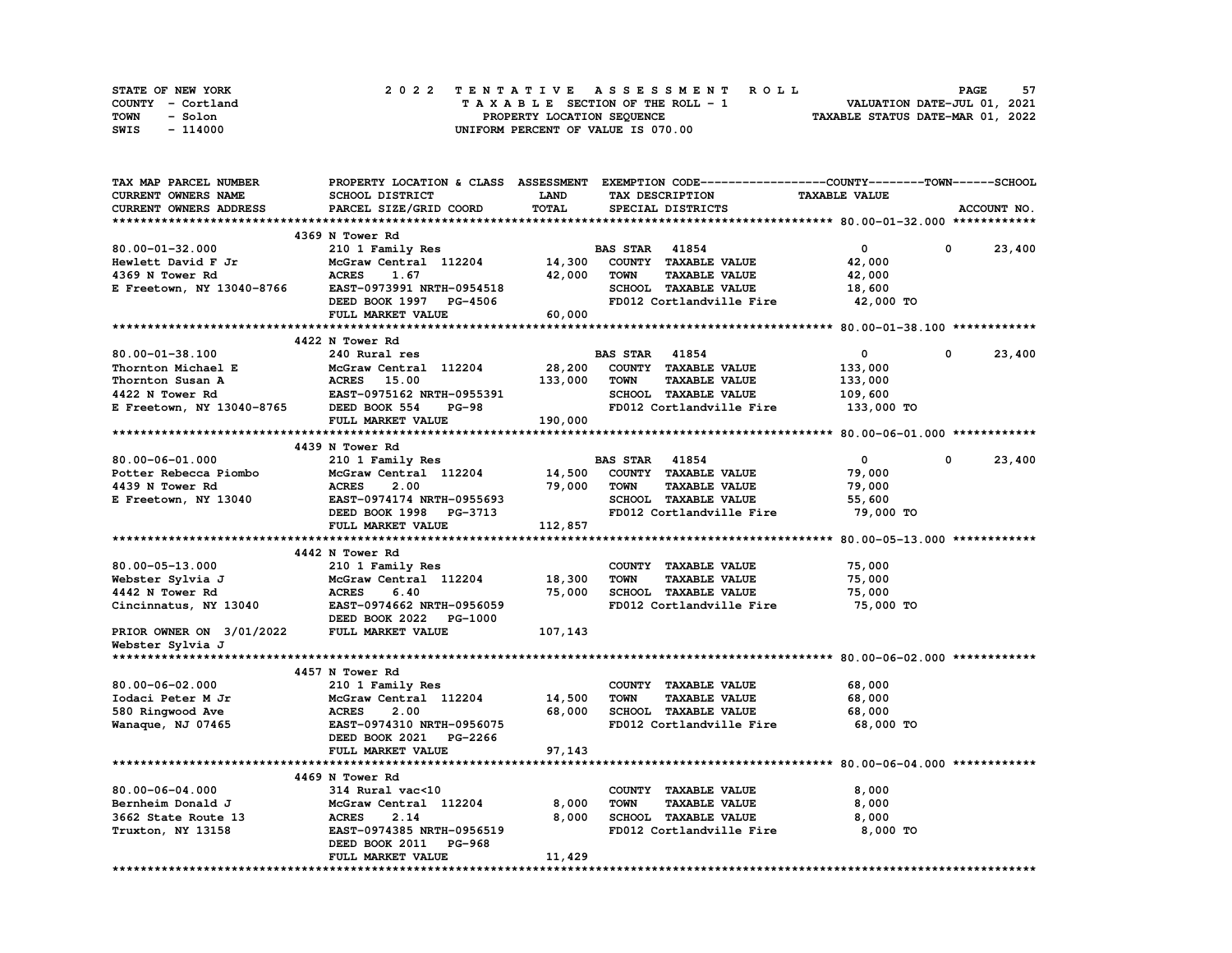| STATE OF NEW YORK | 2022 TENTATIVE ASSESSMENT ROLL     | 57<br><b>PAGE</b>                |
|-------------------|------------------------------------|----------------------------------|
| COUNTY - Cortland | TAXABLE SECTION OF THE ROLL - 1    | VALUATION DATE-JUL 01, 2021      |
| TOWN<br>- Solon   | PROPERTY LOCATION SEQUENCE         | TAXABLE STATUS DATE-MAR 01, 2022 |
| - 114000<br>SWIS  | UNIFORM PERCENT OF VALUE IS 070.00 |                                  |

| TAX MAP PARCEL NUMBER                                    | PROPERTY LOCATION & CLASS ASSESSMENT EXEMPTION CODE-----------------COUNTY-------TOWN-----SCHOOL |              |                       |                             |                                    |              |             |
|----------------------------------------------------------|--------------------------------------------------------------------------------------------------|--------------|-----------------------|-----------------------------|------------------------------------|--------------|-------------|
| CURRENT OWNERS NAME                                      | SCHOOL DISTRICT                                                                                  | <b>LAND</b>  |                       | TAX DESCRIPTION             | <b>TAXABLE VALUE</b>               |              |             |
| CURRENT OWNERS ADDRESS                                   | PARCEL SIZE/GRID COORD                                                                           | <b>TOTAL</b> |                       | SPECIAL DISTRICTS           |                                    |              | ACCOUNT NO. |
|                                                          |                                                                                                  |              |                       |                             |                                    |              |             |
|                                                          | 4369 N Tower Rd                                                                                  |              |                       |                             |                                    |              |             |
| 80.00-01-32.000                                          | 210 1 Family Res                                                                                 |              | <b>BAS STAR</b> 41854 |                             | $\mathbf{0}$                       | $^{\circ}$   | 23,400      |
|                                                          | McGraw Central 112204                                                                            | 14,300       |                       | COUNTY TAXABLE VALUE        | 42,000                             |              |             |
| Hewlett David F Jr<br>4369 N Tower Rd<br>4369 N Tower Rd | <b>ACRES</b><br>1.67                                                                             | 42,000       | <b>TOWN</b>           | <b>TAXABLE VALUE</b>        | 42,000                             |              |             |
| E Freetown, NY 13040-8766                                | EAST-0973991 NRTH-0954518                                                                        |              |                       | SCHOOL TAXABLE VALUE        | 18,600                             |              |             |
|                                                          | DEED BOOK 1997 PG-4506                                                                           |              |                       |                             | FD012 Cortlandville Fire 42,000 TO |              |             |
|                                                          | FULL MARKET VALUE                                                                                | 60,000       |                       |                             |                                    |              |             |
|                                                          |                                                                                                  |              |                       |                             |                                    |              |             |
|                                                          | 4422 N Tower Rd                                                                                  |              |                       |                             |                                    |              |             |
| 80.00-01-38.100                                          | 240 Rural res                                                                                    |              | <b>BAS STAR 41854</b> |                             | $\bullet$                          | $^{\circ}$   | 23,400      |
| Thornton Michael E                                       | McGraw Central 112204                                                                            | 28,200       |                       | COUNTY TAXABLE VALUE        | 133,000                            |              |             |
|                                                          |                                                                                                  | 133,000      | TOWN                  | <b>TAXABLE VALUE</b>        | 133,000                            |              |             |
|                                                          | EAST-0975162 NRTH-0955391                                                                        |              |                       | SCHOOL TAXABLE VALUE        | 109,600                            |              |             |
|                                                          |                                                                                                  |              |                       |                             |                                    |              |             |
|                                                          | <b>PG-98</b>                                                                                     |              |                       | FD012 Cortlandville Fire    | 133,000 TO                         |              |             |
|                                                          | FULL MARKET VALUE                                                                                | 190,000      |                       |                             |                                    |              |             |
|                                                          | 4439 N Tower Rd                                                                                  |              |                       |                             |                                    |              |             |
|                                                          |                                                                                                  |              |                       |                             |                                    |              |             |
| 80.00-06-01.000                                          | 210 1 Family Res                                                                                 |              | <b>BAS STAR 41854</b> |                             | $\bullet$                          | $\mathbf{0}$ | 23,400      |
| Potter Rebecca Piombo                                    | McGraw Central 112204                                                                            |              |                       | 14,500 COUNTY TAXABLE VALUE | 79,000                             |              |             |
| 4439 N Tower Rd                                          | <b>ACRES</b><br>2.00                                                                             | 79,000       | <b>TOWN</b>           | <b>TAXABLE VALUE</b>        | 79,000                             |              |             |
| E Freetown, NY 13040                                     | EAST-0974174 NRTH-0955693                                                                        |              |                       | SCHOOL TAXABLE VALUE        | 55,600                             |              |             |
|                                                          | DEED BOOK 1998 PG-3713                                                                           |              |                       | FD012 Cortlandville Fire    | 79,000 TO                          |              |             |
|                                                          | FULL MARKET VALUE                                                                                | 112,857      |                       |                             |                                    |              |             |
|                                                          |                                                                                                  |              |                       |                             |                                    |              |             |
|                                                          | 4442 N Tower Rd                                                                                  |              |                       |                             |                                    |              |             |
| 80.00-05-13.000                                          | 210 1 Family Res                                                                                 |              |                       | COUNTY TAXABLE VALUE        | 75,000                             |              |             |
| Webster Sylvia J                                         | McGraw Central 112204 18,300                                                                     |              | <b>TOWN</b>           | <b>TAXABLE VALUE</b>        | 75,000                             |              |             |
| 4442 N Tower Rd                                          | <b>ACRES</b><br>6.40                                                                             | 75,000       |                       | SCHOOL TAXABLE VALUE        | 75,000                             |              |             |
| Cincinnatus, NY 13040                                    | EAST-0974662 NRTH-0956059                                                                        |              |                       | FD012 Cortlandville Fire    | 75,000 TO                          |              |             |
|                                                          | DEED BOOK 2022 PG-1000                                                                           |              |                       |                             |                                    |              |             |
| PRIOR OWNER ON 3/01/2022                                 | FULL MARKET VALUE                                                                                | 107,143      |                       |                             |                                    |              |             |
| Webster Sylvia J                                         |                                                                                                  |              |                       |                             |                                    |              |             |
|                                                          |                                                                                                  |              |                       |                             |                                    |              |             |
|                                                          | 4457 N Tower Rd                                                                                  |              |                       |                             |                                    |              |             |
| $80.00 - 06 - 02.000$                                    | 210 1 Family Res                                                                                 |              |                       | COUNTY TAXABLE VALUE        | 68,000                             |              |             |
| Iodaci Peter M Jr                                        | McGraw Central 112204                                                                            | 14,500       | <b>TOWN</b>           | <b>TAXABLE VALUE</b>        | 68,000                             |              |             |
| 580 Ringwood Ave                                         | <b>ACRES</b><br>2.00                                                                             | 68,000       |                       | SCHOOL TAXABLE VALUE        | 68,000                             |              |             |
| Wanaque, NJ 07465                                        | EAST-0974310 NRTH-0956075                                                                        |              |                       | FD012 Cortlandville Fire    | 68,000 TO                          |              |             |
|                                                          | DEED BOOK 2021 PG-2266                                                                           |              |                       |                             |                                    |              |             |
|                                                          | FULL MARKET VALUE                                                                                | 97,143       |                       |                             |                                    |              |             |
|                                                          |                                                                                                  |              |                       |                             |                                    |              |             |
|                                                          | 4469 N Tower Rd                                                                                  |              |                       |                             |                                    |              |             |
| 80.00-06-04.000                                          | 314 Rural vac<10                                                                                 |              |                       | COUNTY TAXABLE VALUE        | 8,000                              |              |             |
| Bernheim Donald J                                        | McGraw Central 112204                                                                            | 8,000        | <b>TOWN</b>           | <b>TAXABLE VALUE</b>        | 8,000                              |              |             |
| 3662 State Route 13                                      | <b>ACRES</b><br>2.14                                                                             | 8,000        |                       | <b>SCHOOL TAXABLE VALUE</b> | 8,000                              |              |             |
| Truxton, NY 13158                                        | EAST-0974385 NRTH-0956519                                                                        |              |                       | FD012 Cortlandville Fire    | 8,000 TO                           |              |             |
|                                                          | DEED BOOK 2011 PG-968                                                                            |              |                       |                             |                                    |              |             |
|                                                          | FULL MARKET VALUE                                                                                | 11,429       |                       |                             |                                    |              |             |
|                                                          |                                                                                                  |              |                       |                             |                                    |              |             |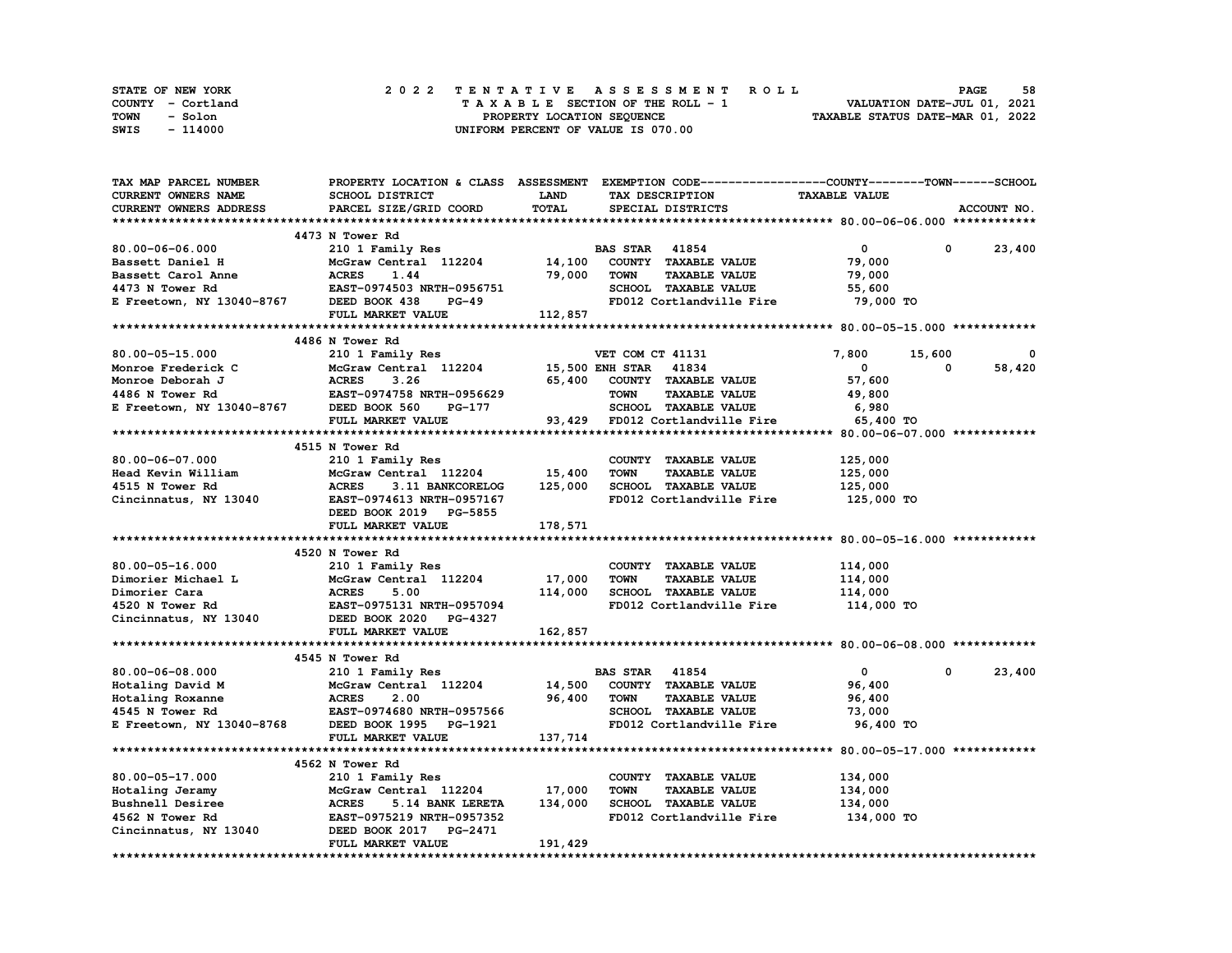| STATE OF NEW YORK | 2022 TENTATIVE ASSESSMENT ROLL     | 58<br><b>PAGE</b>                |
|-------------------|------------------------------------|----------------------------------|
| COUNTY - Cortland | TAXABLE SECTION OF THE ROLL - 1    | VALUATION DATE-JUL 01, 2021      |
| TOWN<br>- Solon   | PROPERTY LOCATION SEQUENCE         | TAXABLE STATUS DATE-MAR 01, 2022 |
| - 114000<br>SWIS  | UNIFORM PERCENT OF VALUE IS 070.00 |                                  |

| TAX MAP PARCEL NUMBER                            | PROPERTY LOCATION & CLASS ASSESSMENT EXEMPTION CODE----------------COUNTY-------TOWN-----SCHOOL |                       |                       |                             |                      |             |             |
|--------------------------------------------------|-------------------------------------------------------------------------------------------------|-----------------------|-----------------------|-----------------------------|----------------------|-------------|-------------|
| <b>CURRENT OWNERS NAME</b>                       | SCHOOL DISTRICT                                                                                 | <b>LAND</b>           |                       | TAX DESCRIPTION             | <b>TAXABLE VALUE</b> |             |             |
| CURRENT OWNERS ADDRESS                           | PARCEL SIZE/GRID COORD                                                                          | TOTAL                 |                       | SPECIAL DISTRICTS           |                      |             | ACCOUNT NO. |
|                                                  |                                                                                                 |                       |                       |                             |                      |             |             |
|                                                  | 4473 N Tower Rd                                                                                 |                       |                       |                             |                      |             |             |
| 80.00-06-06.000                                  | 210 1 Family Res                                                                                |                       | <b>BAS STAR 41854</b> |                             | $\mathbf{0}$         | 0           | 23,400      |
| Bassett Daniel H                                 | McGraw Central 112204                                                                           | 14,100                |                       | COUNTY TAXABLE VALUE        | 79,000               |             |             |
| Bassett Carol Anne                               | <b>ACRES</b><br>1.44                                                                            | 79,000                | <b>TOWN</b>           | <b>TAXABLE VALUE</b>        | 79,000               |             |             |
| 4473 N Tower Rd                                  | EAST-0974503 NRTH-0956751                                                                       |                       |                       | SCHOOL TAXABLE VALUE        | 55,600               |             |             |
| E Freetown, NY 13040-8767                        | DEED BOOK 438<br><b>PG-49</b>                                                                   |                       |                       | FD012 Cortlandville Fire    | 79,000 TO            |             |             |
|                                                  | FULL MARKET VALUE                                                                               | 112,857               |                       |                             |                      |             |             |
|                                                  |                                                                                                 |                       |                       |                             |                      |             |             |
|                                                  | 4486 N Tower Rd                                                                                 |                       |                       |                             |                      |             |             |
| 80.00-05-15.000                                  |                                                                                                 |                       | VET COM CT 41131      |                             | 7,800                |             | 0           |
|                                                  | 210 1 Family Res<br>McGraw Central 112204                                                       | 15,500 ENH STAR 41834 |                       |                             | $\mathbf 0$          | 15,600<br>0 | 58,420      |
| Monroe Frederick C<br>Monroe Deborah J           | McGraw Central 112204<br>ACRES 3.26<br>EAST-0974758 NRTH-0956629                                |                       |                       | 65,400 COUNTY TAXABLE VALUE | 57,600               |             |             |
|                                                  |                                                                                                 |                       |                       |                             |                      |             |             |
| 4486 N Tower Rd                                  |                                                                                                 |                       | <b>TOWN</b>           | <b>TAXABLE VALUE</b>        | 49,800               |             |             |
| E Freetown, NY 13040-8767 DEED BOOK 560          | PG-177                                                                                          |                       |                       |                             |                      |             |             |
|                                                  | FULL MARKET VALUE                                                                               |                       |                       |                             |                      |             |             |
|                                                  |                                                                                                 |                       |                       |                             |                      |             |             |
|                                                  | 4515 N Tower Rd                                                                                 |                       |                       |                             |                      |             |             |
| 80.00-06-07.000                                  | 210 1 Family Res                                                                                |                       |                       | COUNTY TAXABLE VALUE        | 125,000              |             |             |
| Head Kevin William                               | McGraw Central 112204 15,400                                                                    |                       | <b>TOWN</b>           | <b>TAXABLE VALUE</b>        | 125,000              |             |             |
| 4515 N Tower Rd                                  | <b>ACRES</b><br>3.11 BANKCORELOG                                                                | 125,000               |                       | SCHOOL TAXABLE VALUE        | 125,000              |             |             |
| Cincinnatus, NY 13040                            | EAST-0974613 NRTH-0957167                                                                       |                       |                       | FD012 Cortlandville Fire    | 125,000 TO           |             |             |
|                                                  | DEED BOOK 2019 PG-5855                                                                          |                       |                       |                             |                      |             |             |
|                                                  | FULL MARKET VALUE                                                                               | 178,571               |                       |                             |                      |             |             |
|                                                  |                                                                                                 |                       |                       |                             |                      |             |             |
|                                                  | 4520 N Tower Rd                                                                                 |                       |                       |                             |                      |             |             |
| 80.00-05-16.000                                  | 210 1 Family Res                                                                                |                       |                       | COUNTY TAXABLE VALUE        | 114,000              |             |             |
| Dimorier Michael L                               | McGraw Central 112204                                                                           | 17,000                | <b>TOWN</b>           | <b>TAXABLE VALUE</b>        | 114,000              |             |             |
| Dimorier Cara                                    | <b>ACRES</b><br>5.00                                                                            | 114,000               |                       | SCHOOL TAXABLE VALUE        | 114,000              |             |             |
|                                                  | EAST-0975131 NRTH-0957094                                                                       |                       |                       | FD012 Cortlandville Fire    | 114,000 TO           |             |             |
|                                                  |                                                                                                 |                       |                       |                             |                      |             |             |
|                                                  | FULL MARKET VALUE                                                                               | 162,857               |                       |                             |                      |             |             |
|                                                  |                                                                                                 |                       |                       |                             |                      |             |             |
|                                                  | 4545 N Tower Rd                                                                                 |                       |                       |                             |                      |             |             |
| 80.00-06-08.000                                  | 210 1 Family Res                                                                                |                       | <b>BAS STAR 41854</b> |                             | $\mathbf{0}$         | $\mathbf 0$ | 23,400      |
| Hotaling David M                                 | McGraw Central 112204                                                                           | 14,500                |                       | COUNTY TAXABLE VALUE        | 96,400               |             |             |
| Hotaling Roxanne                                 |                                                                                                 | 96,400                | <b>TOWN</b>           | <b>TAXABLE VALUE</b>        | 96,400               |             |             |
| 4545 N Tower Rd                                  |                                                                                                 |                       |                       | SCHOOL TAXABLE VALUE        | 73,000               |             |             |
| E Freetown, NY 13040-8768 DEED BOOK 1995 PG-1921 |                                                                                                 |                       |                       | FD012 Cortlandville Fire    | 96,400 TO            |             |             |
|                                                  | FULL MARKET VALUE                                                                               | 137,714               |                       |                             |                      |             |             |
|                                                  |                                                                                                 |                       |                       |                             |                      |             |             |
|                                                  | 4562 N Tower Rd                                                                                 |                       |                       |                             |                      |             |             |
| 80.00-05-17.000                                  |                                                                                                 |                       |                       |                             | 134,000              |             |             |
|                                                  | 210 1 Family Res                                                                                |                       |                       | COUNTY TAXABLE VALUE        |                      |             |             |
| Hotaling Jeramy                                  | McGraw Central 112204                                                                           | 17,000                | <b>TOWN</b>           | <b>TAXABLE VALUE</b>        | 134,000              |             |             |
| Bushnell Desiree                                 | <b>ACRES</b><br>5.14 BANK LERETA                                                                | 134,000               |                       | SCHOOL TAXABLE VALUE        | 134,000              |             |             |
| 4562 N Tower Rd                                  | EAST-0975219 NRTH-0957352                                                                       |                       |                       | FD012 Cortlandville Fire    | 134,000 TO           |             |             |
| Cincinnatus, NY 13040                            | DEED BOOK 2017 PG-2471                                                                          |                       |                       |                             |                      |             |             |
|                                                  | FULL MARKET VALUE                                                                               | 191,429               |                       |                             |                      |             |             |
|                                                  |                                                                                                 |                       |                       |                             |                      |             |             |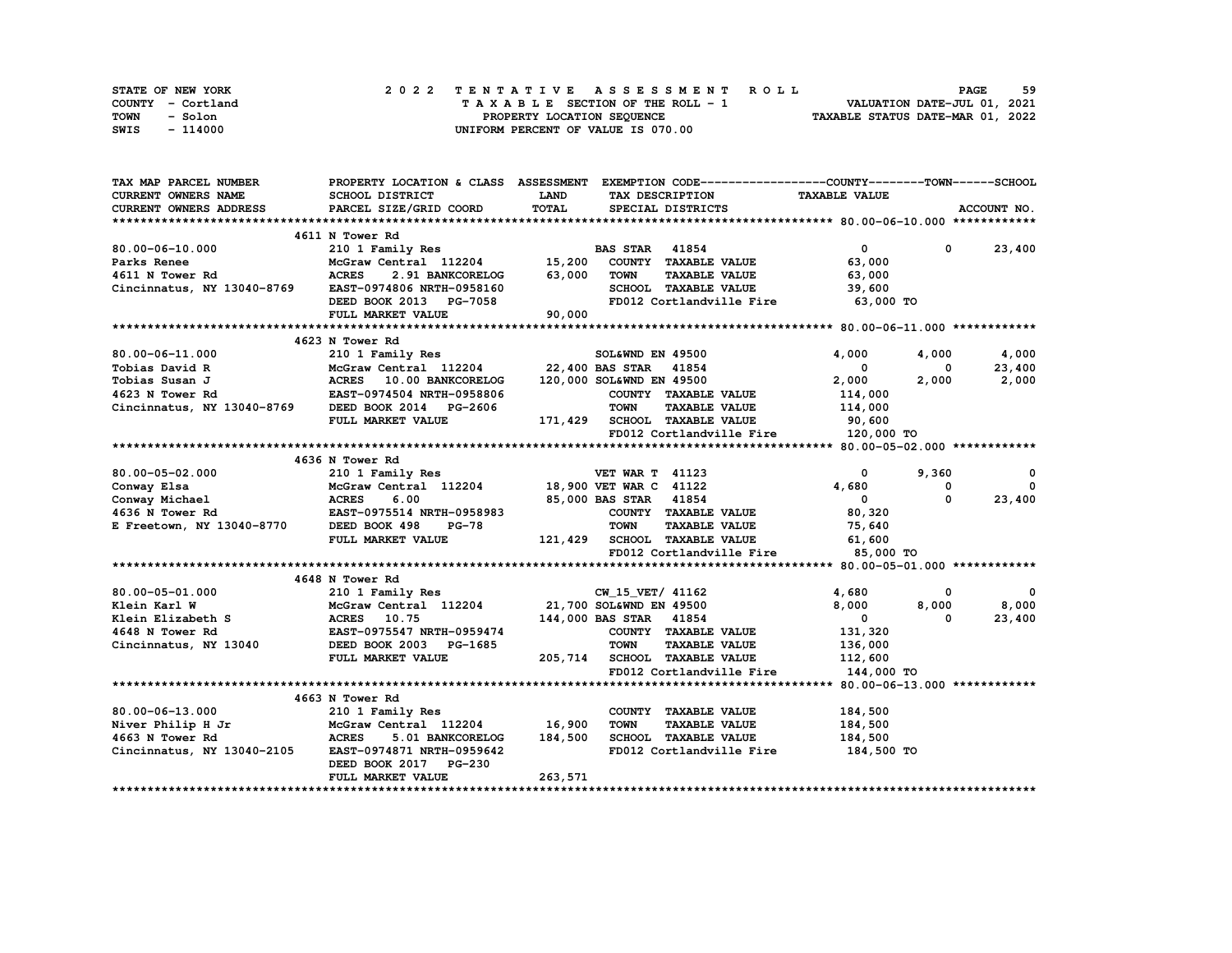| STATE OF NEW YORK | 2022 TENTATIVE ASSESSMENT ROLL          | 59<br><b>PAGE</b>                |
|-------------------|-----------------------------------------|----------------------------------|
| COUNTY - Cortland | $T A X A B L E$ SECTION OF THE ROLL - 1 | VALUATION DATE-JUL 01, 2021      |
| TOWN<br>- Solon   | PROPERTY LOCATION SEQUENCE              | TAXABLE STATUS DATE-MAR 01, 2022 |
| - 114000<br>SWIS  | UNIFORM PERCENT OF VALUE IS 070.00      |                                  |

| TAX MAP PARCEL NUMBER                                                                                                                                                            | PROPERTY LOCATION & CLASS ASSESSMENT EXEMPTION CODE----------------COUNTY-------TOWN------SCHOOL |             |                        |                                       |                                     |               |               |
|----------------------------------------------------------------------------------------------------------------------------------------------------------------------------------|--------------------------------------------------------------------------------------------------|-------------|------------------------|---------------------------------------|-------------------------------------|---------------|---------------|
| <b>CURRENT OWNERS NAME</b>                                                                                                                                                       | SCHOOL DISTRICT                                                                                  | <b>LAND</b> | TAX DESCRIPTION        |                                       | <b>TAXABLE VALUE</b>                |               |               |
| <b>CURRENT OWNERS ADDRESS</b>                                                                                                                                                    | PARCEL SIZE/GRID COORD                                                                           | TOTAL       | SPECIAL DISTRICTS      |                                       |                                     |               | ACCOUNT NO.   |
|                                                                                                                                                                                  |                                                                                                  |             |                        |                                       |                                     |               |               |
|                                                                                                                                                                                  | 4611 N Tower Rd                                                                                  |             |                        |                                       |                                     |               |               |
| $80.00 - 06 - 10.000$                                                                                                                                                            | 210 1 Family Res                                                                                 |             | <b>BAS STAR 41854</b>  |                                       | $\mathbf{0}$                        |               | $0 \t 23,400$ |
| Parks Renee                                                                                                                                                                      | McGraw Central 112204 15,200 COUNTY TAXABLE VALUE                                                |             |                        |                                       | 63,000                              |               |               |
| 4611 N Tower Rd                                                                                                                                                                  | <b>ACRES</b><br>2.91 BANKCORELOG                                                                 | 63,000      | TOWN                   | <b>TAXABLE VALUE</b>                  | 63,000                              |               |               |
| Cincinnatus, NY 13040-8769 EAST-0974806 NRTH-0958160                                                                                                                             |                                                                                                  |             |                        | SCHOOL TAXABLE VALUE 39,600           |                                     |               |               |
|                                                                                                                                                                                  | DEED BOOK 2013 PG-7058                                                                           | 90,000      |                        |                                       | FD012 Cortlandville Fire 63,000 TO  |               |               |
|                                                                                                                                                                                  | FULL MARKET VALUE                                                                                |             |                        |                                       |                                     |               |               |
|                                                                                                                                                                                  |                                                                                                  |             |                        |                                       |                                     |               |               |
|                                                                                                                                                                                  | 4623 N Tower Rd                                                                                  |             |                        |                                       |                                     |               |               |
| 80.00-06-11.000                                                                                                                                                                  | 210 1 Family Res                                                                                 |             | SOL&WND EN 49500       |                                       | 4,000                               | 4,000         | 4,000         |
|                                                                                                                                                                                  | McGraw Central 112204 22,400 BAS STAR 41854                                                      |             |                        |                                       | $\overline{\mathbf{0}}$             | $^{\circ}$    | 23,400        |
|                                                                                                                                                                                  |                                                                                                  |             |                        | 120,000 SOL&WND EN 49500              | 2,000                               | 2,000         | 2,000         |
| Tobias David R McGraw Central 112204<br>Tobias Susan J ACRES 10.00 BANKCORELOG<br>4623 N Tower Rd EAST-0974504 NRTH-0958806<br>Cincinnatus, NY 13040-8769 DEED BOOK 2014 PG-2606 |                                                                                                  |             |                        | COUNTY TAXABLE VALUE                  | 114,000                             |               |               |
|                                                                                                                                                                                  |                                                                                                  |             | <b>TOWN</b>            | <b>TAXABLE VALUE</b>                  | 114,000                             |               |               |
|                                                                                                                                                                                  |                                                                                                  |             |                        | 171, 429 SCHOOL TAXABLE VALUE 90, 600 |                                     |               |               |
|                                                                                                                                                                                  | FULL MARKET VALUE                                                                                |             |                        |                                       | FD012 Cortlandville Fire 120,000 TO |               |               |
|                                                                                                                                                                                  |                                                                                                  |             |                        |                                       |                                     |               |               |
|                                                                                                                                                                                  |                                                                                                  |             |                        |                                       |                                     |               |               |
|                                                                                                                                                                                  | 4636 N Tower Rd                                                                                  |             |                        |                                       |                                     |               |               |
| 80.00-05-02.000                                                                                                                                                                  | 210 1 Family Res                                                                                 |             | <b>VET WAR T 41123</b> |                                       | $\mathbf{0}$                        | 9,360         | $\mathbf{o}$  |
|                                                                                                                                                                                  |                                                                                                  |             |                        |                                       | 4,680                               | 0<br>$\Omega$ | $^{\circ}$    |
|                                                                                                                                                                                  |                                                                                                  |             |                        |                                       | $\overline{\mathbf{0}}$             |               | 23,400        |
|                                                                                                                                                                                  |                                                                                                  |             |                        | COUNTY TAXABLE VALUE                  | 80,320                              |               |               |
| E Freetown, NY 13040-8770 DEED BOOK 498                                                                                                                                          | $PG-78$                                                                                          |             | <b>TOWN</b>            | <b>TAXABLE VALUE</b>                  | 75,640                              |               |               |
|                                                                                                                                                                                  | FULL MARKET VALUE                                                                                |             |                        | 121, 429 SCHOOL TAXABLE VALUE         | 61,600                              |               |               |
|                                                                                                                                                                                  |                                                                                                  |             |                        | FD012 Cortlandville Fire              | 85,000 TO                           |               |               |
|                                                                                                                                                                                  |                                                                                                  |             |                        |                                       |                                     |               |               |
|                                                                                                                                                                                  | 4648 N Tower Rd                                                                                  |             |                        |                                       |                                     |               |               |
| 80.00-05-01.000                                                                                                                                                                  | 210 1 Family Res                                                                                 |             | CW 15 VET/ 41162       |                                       | 4,680                               | 0             | $\mathbf{0}$  |
| Klein Karl W                                                                                                                                                                     | McGraw Central 112204 21,700 SOL&WND EN 49500<br>McGraw Central<br>ACRES 10.75                   |             |                        |                                       | 8,000                               | 8,000         | 8,000         |
| Klein Elizabeth S                                                                                                                                                                |                                                                                                  |             | 144,000 BAS STAR 41854 |                                       | $\overline{\mathbf{0}}$             | $^{\circ}$    | 23,400        |
| 4648 N Tower Rd                                                                                                                                                                  | <b>EAST-0975547 NRTH-0959474<br/>DEED BOOK 2003 PG-1685</b>                                      |             |                        | COUNTY TAXABLE VALUE                  | 131,320                             |               |               |
| Cincinnatus, NY 13040                                                                                                                                                            |                                                                                                  |             | <b>TOWN</b>            | <b>TAXABLE VALUE</b>                  | 136,000                             |               |               |
|                                                                                                                                                                                  | FULL MARKET VALUE                                                                                |             |                        | 205,714 SCHOOL TAXABLE VALUE 112,600  |                                     |               |               |
|                                                                                                                                                                                  |                                                                                                  |             |                        | FD012 Cortlandville Fire              | 144,000 TO                          |               |               |
|                                                                                                                                                                                  |                                                                                                  |             |                        |                                       |                                     |               |               |
|                                                                                                                                                                                  | 4663 N Tower Rd                                                                                  |             |                        |                                       |                                     |               |               |
| 80.00-06-13.000                                                                                                                                                                  | 210 1 Family Res                                                                                 |             |                        | COUNTY TAXABLE VALUE                  | 184,500                             |               |               |
|                                                                                                                                                                                  |                                                                                                  |             | <b>TOWN</b>            | <b>TAXABLE VALUE</b>                  | 184,500                             |               |               |
|                                                                                                                                                                                  |                                                                                                  |             |                        | SCHOOL TAXABLE VALUE                  | 184,500                             |               |               |
| Niver Philip H Jr<br>McGraw Central 112204 16,900<br>4663 N Tower Rd MCGraw Central 112204 16,900<br>Cincinnatus, NY 13040-2105 EAST-0974871 NRTH-0959642                        |                                                                                                  |             |                        | FD012 Cortlandville Fire              | 184,500 TO                          |               |               |
|                                                                                                                                                                                  | DEED BOOK 2017 PG-230                                                                            |             |                        |                                       |                                     |               |               |
|                                                                                                                                                                                  | FULL MARKET VALUE                                                                                | 263,571     |                        |                                       |                                     |               |               |
|                                                                                                                                                                                  |                                                                                                  |             |                        |                                       |                                     |               |               |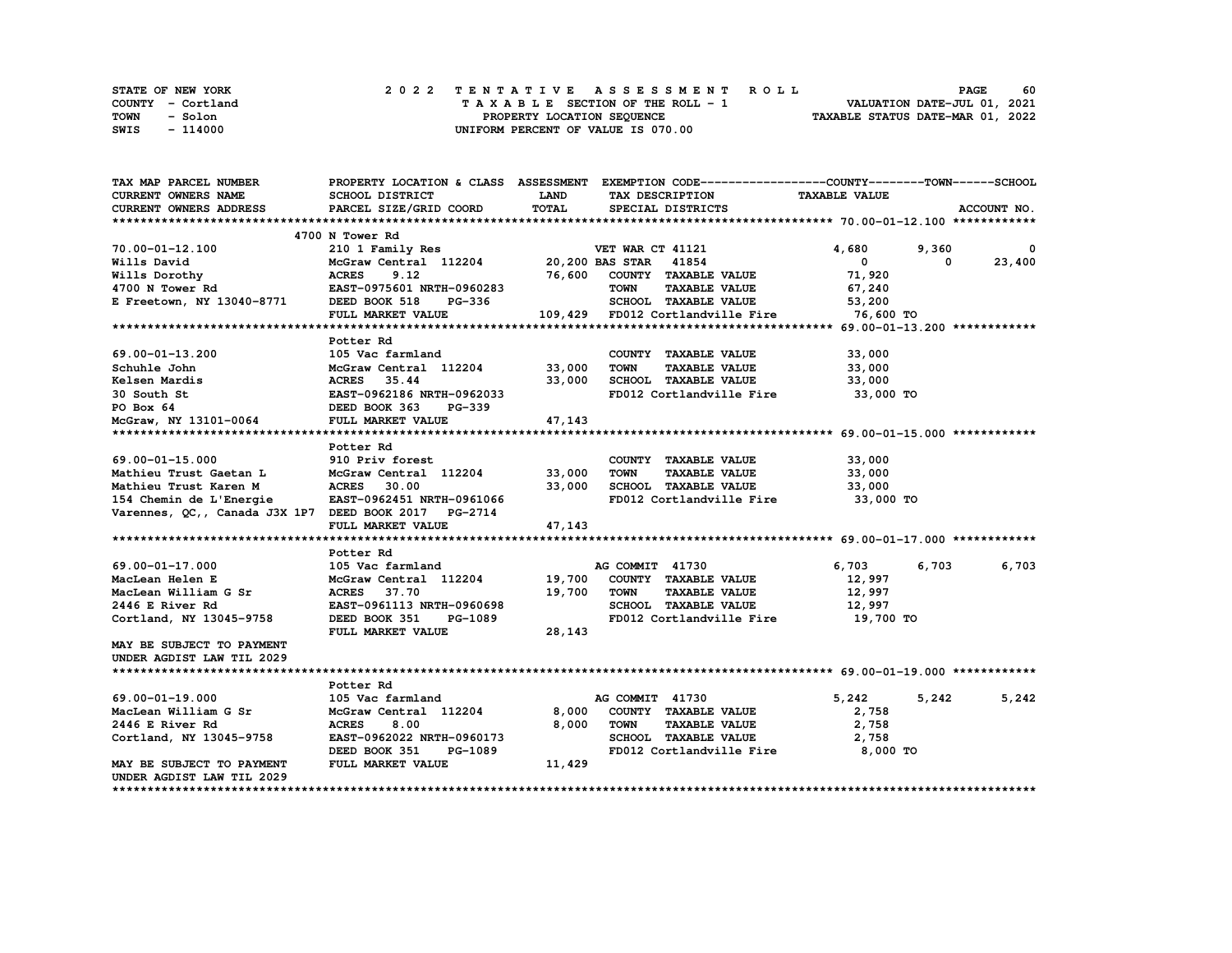| STATE OF NEW YORK | 2022 TENTATIVE ASSESSMENT ROLL     | 60<br><b>PAGE</b>                |
|-------------------|------------------------------------|----------------------------------|
| COUNTY - Cortland | TAXABLE SECTION OF THE ROLL - 1    | VALUATION DATE-JUL 01, 2021      |
| TOWN<br>- Solon   | PROPERTY LOCATION SEQUENCE         | TAXABLE STATUS DATE-MAR 01, 2022 |
| SWIS<br>- 114000  | UNIFORM PERCENT OF VALUE IS 070.00 |                                  |

| TAX MAP PARCEL NUMBER                                |                                                                               |             | PROPERTY LOCATION & CLASS ASSESSMENT EXEMPTION CODE----------------COUNTY-------TOWN------SCHOOL |                      |                   |
|------------------------------------------------------|-------------------------------------------------------------------------------|-------------|--------------------------------------------------------------------------------------------------|----------------------|-------------------|
| CURRENT OWNERS NAME                                  | SCHOOL DISTRICT                                                               | <b>LAND</b> | TAX DESCRIPTION                                                                                  | <b>TAXABLE VALUE</b> |                   |
| <b>CURRENT OWNERS ADDRESS</b>                        | PARCEL SIZE/GRID COORD                                                        | TOTAL       | SPECIAL DISTRICTS                                                                                |                      | ACCOUNT NO.       |
|                                                      |                                                                               |             |                                                                                                  |                      |                   |
|                                                      | 4700 N Tower Rd                                                               |             |                                                                                                  |                      |                   |
| 70.00-01-12.100                                      | 210 1 Family Res                                                              |             | VET WAR CT 41121                                                                                 | 4,680                | 9,360<br>$\Omega$ |
| Wills David                                          | McGraw Central 112204 20,200 BAS STAR 41854                                   |             |                                                                                                  | $\mathbf{0}$         | 23,400<br>0       |
| Wills Dorothy                                        | <b>ACRES</b><br>9.12                                                          |             | 76,600 COUNTY TAXABLE VALUE                                                                      | 71,920               |                   |
| 4700 N Tower Rd                                      | EAST-0975601 NRTH-0960283                                                     |             | <b>TOWN</b><br><b>TAXABLE VALUE</b>                                                              | 67,240               |                   |
| E Freetown, NY 13040-8771                            | DEED BOOK 518<br><b>PG-336</b>                                                |             | SCHOOL TAXABLE VALUE                                                                             | 53,200               |                   |
|                                                      | FULL MARKET VALUE                                                             |             |                                                                                                  | 76,600 TO            |                   |
|                                                      |                                                                               |             |                                                                                                  |                      |                   |
|                                                      | Potter Rd                                                                     |             |                                                                                                  |                      |                   |
| 69.00-01-13.200                                      | 105 Vac farmland                                                              |             | COUNTY TAXABLE VALUE                                                                             | 33,000               |                   |
| Schuhle John                                         | McGraw Central 112204 33,000                                                  |             | <b>TOWN</b><br><b>TAXABLE VALUE</b>                                                              | 33,000               |                   |
| Kelsen Mardis                                        | ACRES 35.44                                                                   | 33,000      | SCHOOL TAXABLE VALUE                                                                             | 33,000               |                   |
| 30 South St                                          |                                                                               |             | FD012 Cortlandville Fire 33,000 TO                                                               |                      |                   |
| PO Box 64                                            | <b>EAST-0962186 NRTH-0962033<br/>DEED BOOK 363    PG-339</b><br>DEED BOOK 363 |             |                                                                                                  |                      |                   |
| McGraw, NY 13101-0064                                | FULL MARKET VALUE                                                             | 47,143      |                                                                                                  |                      |                   |
|                                                      |                                                                               |             |                                                                                                  |                      |                   |
|                                                      | Potter Rd                                                                     |             |                                                                                                  |                      |                   |
| 69.00-01-15.000                                      | 910 Priv forest                                                               |             | COUNTY TAXABLE VALUE                                                                             | 33,000               |                   |
| Mathieu Trust Gaetan L                               | McGraw Central 112204 33,000                                                  |             | <b>TOWN</b><br><b>TAXABLE VALUE</b>                                                              | 33,000               |                   |
| Mathieu Trust Karen M                                | <b>ACRES</b><br>30.00                                                         | 33,000      | SCHOOL TAXABLE VALUE                                                                             | 33,000               |                   |
| 154 Chemin de L'Energie                              | EAST-0962451 NRTH-0961066                                                     |             | FD012 Cortlandville Fire 33,000 TO                                                               |                      |                   |
| Varennes, QC,, Canada J3X 1P7 DEED BOOK 2017 PG-2714 |                                                                               |             |                                                                                                  |                      |                   |
|                                                      | FULL MARKET VALUE                                                             | 47,143      |                                                                                                  |                      |                   |
|                                                      |                                                                               |             |                                                                                                  |                      |                   |
|                                                      | Potter Rd                                                                     |             |                                                                                                  |                      |                   |
| 69.00-01-17.000                                      | 105 Vac farmland                                                              |             | AG COMMIT 41730                                                                                  | 6,703                | 6,703<br>6,703    |
| MacLean Helen E                                      | McGraw Central 112204                                                         | 19,700      | COUNTY TAXABLE VALUE                                                                             | 12,997               |                   |
| MacLean William G Sr                                 | ACRES 37.70                                                                   | 19,700      | TOWN<br><b>TAXABLE VALUE</b>                                                                     | 12,997               |                   |
| 2446 E River Rd                                      | EAST-0961113 NRTH-0960698                                                     |             | SCHOOL TAXABLE VALUE                                                                             | 12,997               |                   |
| Cortland, NY 13045-9758                              | DEED BOOK 351<br>PG-1089                                                      |             | FD012 Cortlandville Fire                                                                         | 19,700 TO            |                   |
|                                                      | FULL MARKET VALUE                                                             | 28,143      |                                                                                                  |                      |                   |
| MAY BE SUBJECT TO PAYMENT                            |                                                                               |             |                                                                                                  |                      |                   |
| UNDER AGDIST LAW TIL 2029                            |                                                                               |             |                                                                                                  |                      |                   |
|                                                      |                                                                               |             |                                                                                                  |                      |                   |
|                                                      | Potter Rd                                                                     |             |                                                                                                  |                      |                   |
| 69.00-01-19.000                                      | 105 Vac farmland                                                              |             | AG COMMIT 41730                                                                                  | 5,242                | 5,242<br>5,242    |
| MacLean William G Sr                                 | McGraw Central 112204                                                         | 8,000       | COUNTY TAXABLE VALUE                                                                             | 2,758                |                   |
| 2446 E River Rd                                      | <b>ACRES</b><br>8.00                                                          | 8,000       | TOWN<br><b>TAXABLE VALUE</b>                                                                     | 2,758                |                   |
| Cortland, NY 13045-9758                              | EAST-0962022 NRTH-0960173                                                     |             | SCHOOL TAXABLE VALUE                                                                             | 2,758                |                   |
|                                                      | DEED BOOK 351<br>PG-1089                                                      |             | FD012 Cortlandville Fire                                                                         | 8,000 TO             |                   |
| MAY BE SUBJECT TO PAYMENT                            | FULL MARKET VALUE                                                             | 11,429      |                                                                                                  |                      |                   |
| UNDER AGDIST LAW TIL 2029                            |                                                                               |             |                                                                                                  |                      |                   |
|                                                      |                                                                               |             |                                                                                                  |                      |                   |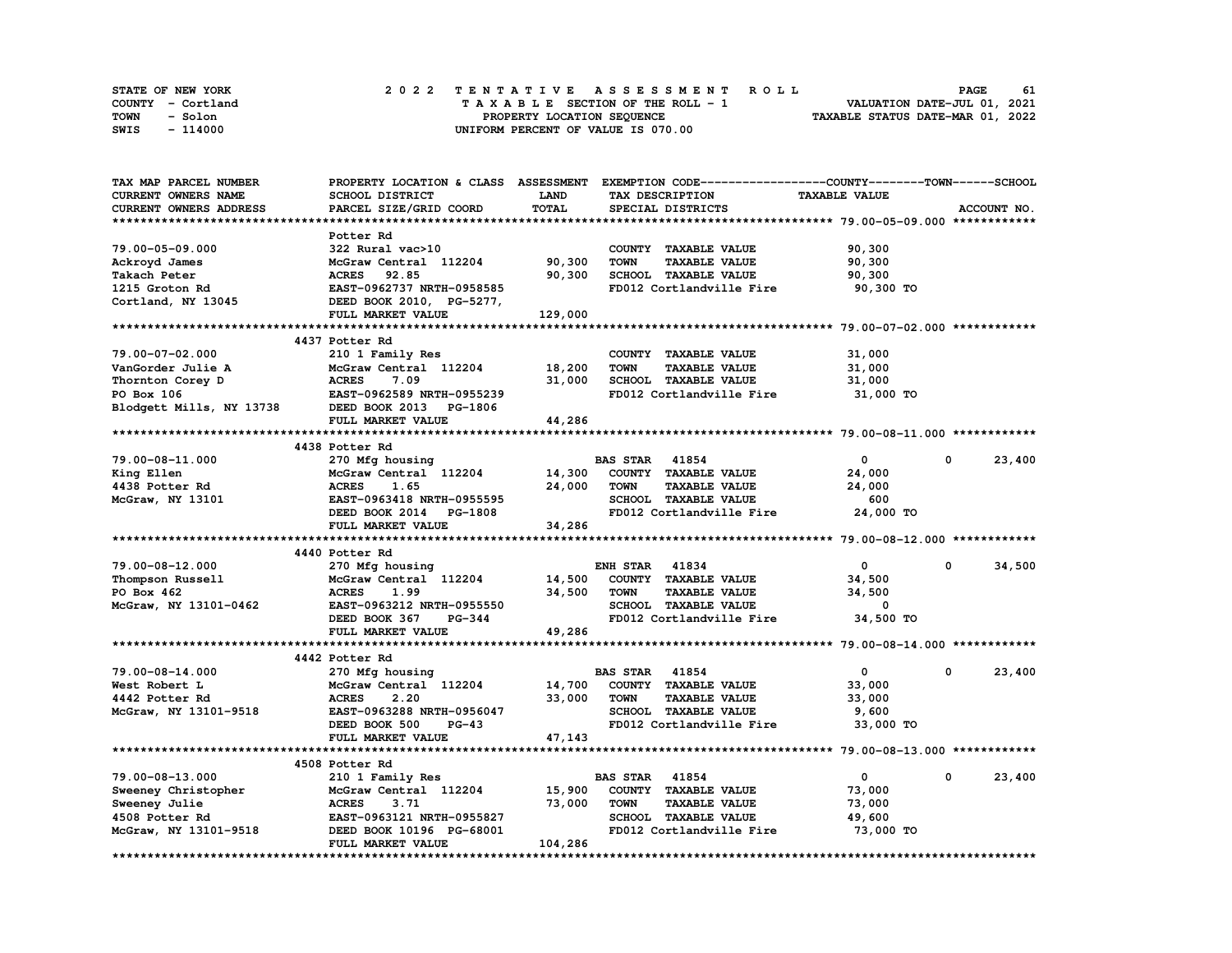| STATE OF NEW YORK | 2022 TENTATIVE ASSESSMENT ROLL     | 61<br><b>PAGE</b>                |
|-------------------|------------------------------------|----------------------------------|
| COUNTY - Cortland | TAXABLE SECTION OF THE ROLL - 1    | VALUATION DATE-JUL 01, 2021      |
| TOWN<br>- Solon   | PROPERTY LOCATION SEQUENCE         | TAXABLE STATUS DATE-MAR 01, 2022 |
| - 114000<br>SWIS  | UNIFORM PERCENT OF VALUE IS 070.00 |                                  |

| TAX MAP PARCEL NUMBER      |                                |             | PROPERTY LOCATION & CLASS ASSESSMENT EXEMPTION CODE-----------------COUNTY-------TOWN------SCHOOL |                      |            |             |
|----------------------------|--------------------------------|-------------|---------------------------------------------------------------------------------------------------|----------------------|------------|-------------|
| <b>CURRENT OWNERS NAME</b> | SCHOOL DISTRICT                | <b>LAND</b> | TAX DESCRIPTION                                                                                   | <b>TAXABLE VALUE</b> |            |             |
| CURRENT OWNERS ADDRESS     | PARCEL SIZE/GRID COORD         | TOTAL       | SPECIAL DISTRICTS                                                                                 |                      |            | ACCOUNT NO. |
|                            |                                |             |                                                                                                   |                      |            |             |
|                            | Potter Rd                      |             |                                                                                                   |                      |            |             |
| 79.00-05-09.000            | 322 Rural vac>10               |             | COUNTY TAXABLE VALUE                                                                              | 90,300               |            |             |
| Ackroyd James              | McGraw Central 112204          | 90,300      | <b>TOWN</b><br><b>TAXABLE VALUE</b>                                                               | 90,300               |            |             |
| Takach Peter               | <b>ACRES</b><br>92.85          | 90,300      | SCHOOL TAXABLE VALUE                                                                              | 90,300               |            |             |
| 1215 Groton Rd             | EAST-0962737 NRTH-0958585      |             | FD012 Cortlandville Fire                                                                          | 90,300 TO            |            |             |
|                            |                                |             |                                                                                                   |                      |            |             |
| Cortland, NY 13045         | DEED BOOK 2010, PG-5277,       |             |                                                                                                   |                      |            |             |
|                            | FULL MARKET VALUE              | 129,000     |                                                                                                   |                      |            |             |
|                            |                                |             |                                                                                                   |                      |            |             |
|                            | 4437 Potter Rd                 |             |                                                                                                   |                      |            |             |
| 79.00-07-02.000            | 210 1 Family Res               |             | COUNTY TAXABLE VALUE                                                                              | 31,000               |            |             |
| VanGorder Julie A          | McGraw Central 112204          | 18,200      | <b>TOWN</b><br><b>TAXABLE VALUE</b>                                                               | 31,000               |            |             |
| Thornton Corey D           | <b>ACRES</b><br>7.09           | 31,000      | SCHOOL TAXABLE VALUE                                                                              | 31,000               |            |             |
| PO Box 106                 | EAST-0962589 NRTH-0955239      |             | FD012 Cortlandville Fire                                                                          | 31,000 TO            |            |             |
| Blodgett Mills, NY 13738   | DEED BOOK 2013 PG-1806         |             |                                                                                                   |                      |            |             |
|                            | FULL MARKET VALUE              | 44,286      |                                                                                                   |                      |            |             |
|                            |                                |             |                                                                                                   |                      |            |             |
|                            | 4438 Potter Rd                 |             |                                                                                                   |                      |            |             |
| 79.00-08-11.000            |                                |             | <b>BAS STAR 41854</b>                                                                             | $\mathbf{0}$         | $^{\circ}$ | 23,400      |
|                            | 270 Mfg housing                |             |                                                                                                   |                      |            |             |
| King Ellen                 | McGraw Central 112204          | 14,300      | COUNTY TAXABLE VALUE                                                                              | 24,000               |            |             |
| 4438 Potter Rd             | <b>ACRES</b><br>1.65           | 24,000      | <b>TOWN</b><br><b>TAXABLE VALUE</b>                                                               | 24,000               |            |             |
| McGraw, NY 13101           | EAST-0963418 NRTH-0955595      |             | SCHOOL TAXABLE VALUE                                                                              | 600                  |            |             |
|                            | DEED BOOK 2014 PG-1808         |             | FD012 Cortlandville Fire                                                                          | 24,000 TO            |            |             |
|                            | FULL MARKET VALUE              | 34,286      |                                                                                                   |                      |            |             |
|                            |                                |             |                                                                                                   |                      |            |             |
|                            | 4440 Potter Rd                 |             |                                                                                                   |                      |            |             |
| 79.00-08-12.000            | 270 Mfg housing                |             | <b>ENH STAR 41834</b>                                                                             | $\mathbf{0}$         | $^{\circ}$ | 34,500      |
| Thompson Russell           | McGraw Central 112204          | 14,500      | COUNTY TAXABLE VALUE                                                                              | 34,500               |            |             |
| PO Box 462                 | <b>ACRES</b><br>1.99           | 34,500      | <b>TOWN</b><br><b>TAXABLE VALUE</b>                                                               | 34,500               |            |             |
| McGraw, NY 13101-0462      | EAST-0963212 NRTH-0955550      |             | SCHOOL TAXABLE VALUE                                                                              | 0                    |            |             |
|                            | DEED BOOK 367<br><b>PG-344</b> |             | FD012 Cortlandville Fire                                                                          | 34,500 TO            |            |             |
|                            | FULL MARKET VALUE              | 49,286      |                                                                                                   |                      |            |             |
|                            |                                |             |                                                                                                   |                      |            |             |
|                            | 4442 Potter Rd                 |             |                                                                                                   |                      |            |             |
|                            |                                |             |                                                                                                   |                      |            |             |
| 79.00-08-14.000            | 270 Mfg housing                |             | <b>BAS STAR</b><br>41854                                                                          | $\mathbf{0}$         | 0          | 23,400      |
| West Robert L              | McGraw Central 112204          | 14,700      | COUNTY TAXABLE VALUE                                                                              | 33,000               |            |             |
| 4442 Potter Rd             | <b>ACRES</b><br>2.20           | 33,000      | <b>TOWN</b><br><b>TAXABLE VALUE</b>                                                               | 33,000               |            |             |
| McGraw, NY 13101-9518      | EAST-0963288 NRTH-0956047      |             | <b>SCHOOL TAXABLE VALUE</b>                                                                       | 9,600                |            |             |
|                            | DEED BOOK 500<br>$PG-43$       |             | FD012 Cortlandville Fire                                                                          | 33,000 TO            |            |             |
|                            | FULL MARKET VALUE              | 47,143      |                                                                                                   |                      |            |             |
| ***********************    | *****************************  |             |                                                                                                   |                      |            |             |
|                            | 4508 Potter Rd                 |             |                                                                                                   |                      |            |             |
| 79.00-08-13.000            | 210 1 Family Res               |             | <b>BAS STAR</b><br>41854                                                                          | $\mathbf 0$          | 0          | 23,400      |
| Sweeney Christopher        | McGraw Central 112204          | 15,900      | COUNTY TAXABLE VALUE                                                                              | 73,000               |            |             |
| Sweeney Julie              | <b>ACRES</b><br>3.71           | 73,000      | <b>TAXABLE VALUE</b><br><b>TOWN</b>                                                               | 73,000               |            |             |
| 4508 Potter Rd             | EAST-0963121 NRTH-0955827      |             | <b>SCHOOL TAXABLE VALUE</b>                                                                       | 49,600               |            |             |
| McGraw, NY 13101-9518      | DEED BOOK 10196 PG-68001       |             | FD012 Cortlandville Fire                                                                          | 73,000 TO            |            |             |
|                            | FULL MARKET VALUE              | 104,286     |                                                                                                   |                      |            |             |
|                            |                                |             |                                                                                                   |                      |            |             |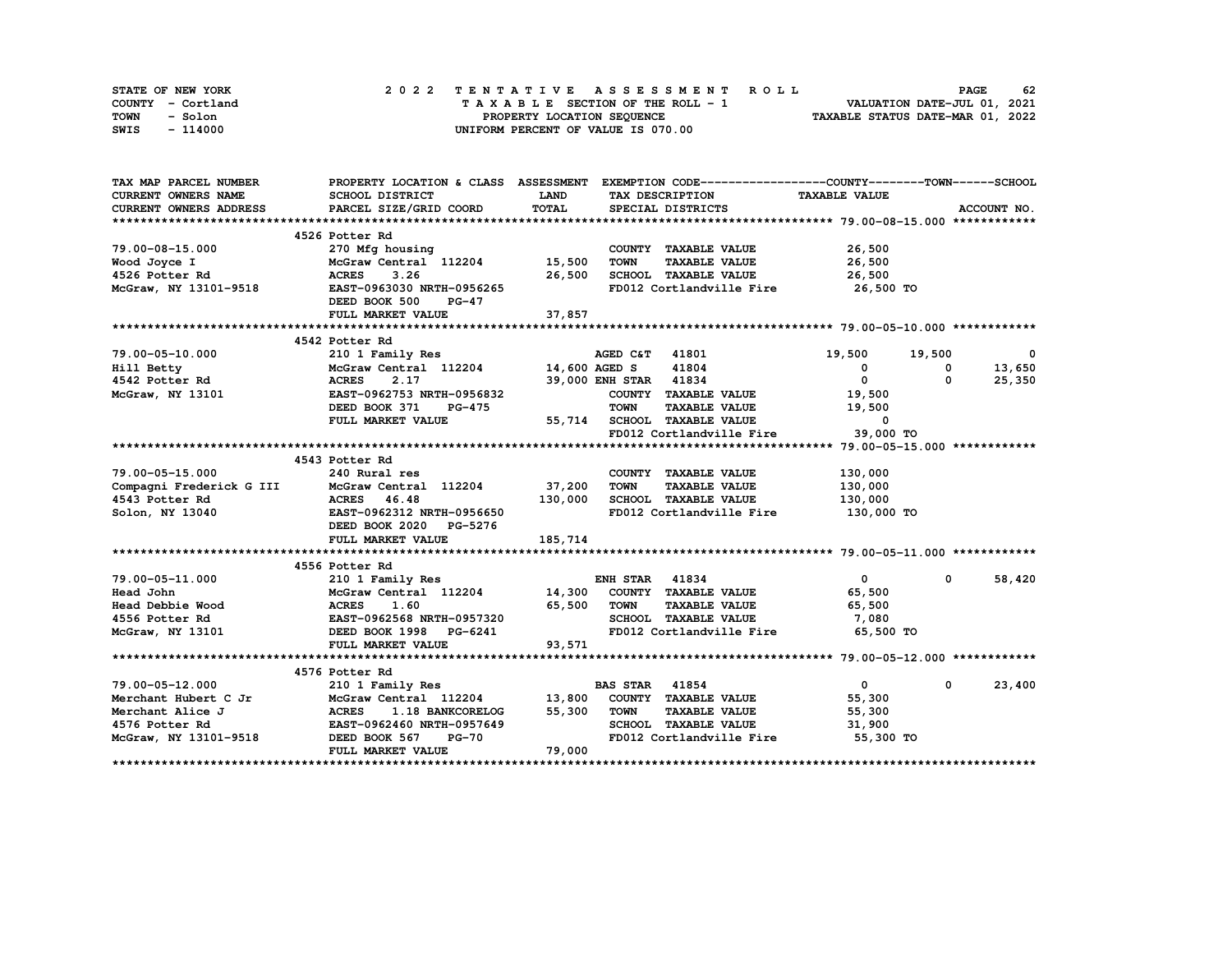| STATE OF NEW YORK | 2022 TENTATIVE ASSESSMENT ROLL     | 62<br><b>PAGE</b>                |
|-------------------|------------------------------------|----------------------------------|
| COUNTY - Cortland | TAXABLE SECTION OF THE ROLL - 1    | VALUATION DATE-JUL 01, 2021      |
| TOWN<br>- Solon   | PROPERTY LOCATION SEQUENCE         | TAXABLE STATUS DATE-MAR 01, 2022 |
| - 114000<br>SWIS  | UNIFORM PERCENT OF VALUE IS 070.00 |                                  |

| TAX MAP PARCEL NUMBER                                                                                                                                               |                                                                                                               |              | PROPERTY LOCATION & CLASS ASSESSMENT EXEMPTION CODE-----------------COUNTY-------TOWN------SCHOOL |                  |              |                          |
|---------------------------------------------------------------------------------------------------------------------------------------------------------------------|---------------------------------------------------------------------------------------------------------------|--------------|---------------------------------------------------------------------------------------------------|------------------|--------------|--------------------------|
| <b>CURRENT OWNERS NAME</b>                                                                                                                                          | SCHOOL DISTRICT                                                                                               | <b>LAND</b>  | TAX DESCRIPTION TAXABLE VALUE                                                                     |                  |              |                          |
| CURRENT OWNERS ADDRESS                                                                                                                                              | PARCEL SIZE/GRID COORD                                                                                        | <b>TOTAL</b> | SPECIAL DISTRICTS                                                                                 |                  |              | ACCOUNT NO.              |
|                                                                                                                                                                     |                                                                                                               |              |                                                                                                   |                  |              |                          |
|                                                                                                                                                                     | 4526 Potter Rd                                                                                                |              |                                                                                                   |                  |              |                          |
| 79.00-08-15.000                                                                                                                                                     | 270 Mfg housing                                                                                               |              | COUNTY TAXABLE VALUE                                                                              | 26,500           |              |                          |
| Wood Joyce I                                                                                                                                                        | McGraw Central 112204 15,500                                                                                  |              | <b>TOWN</b><br><b>TAXABLE VALUE</b>                                                               | 26,500           |              |                          |
| 4526 Potter Rd                                                                                                                                                      | <b>ACRES</b><br>3.26                                                                                          | 26,500       | SCHOOL TAXABLE VALUE                                                                              | 26,500           |              |                          |
| McGraw, NY 13101-9518                                                                                                                                               | EAST-0963030 NRTH-0956265                                                                                     |              | FD012 Cortlandville Fire 26,500 TO                                                                |                  |              |                          |
|                                                                                                                                                                     | DEED BOOK 500<br><b>PG-47</b>                                                                                 |              |                                                                                                   |                  |              |                          |
|                                                                                                                                                                     | FULL MARKET VALUE                                                                                             | 37,857       |                                                                                                   |                  |              |                          |
|                                                                                                                                                                     |                                                                                                               |              |                                                                                                   |                  |              |                          |
|                                                                                                                                                                     | 4542 Potter Rd                                                                                                |              |                                                                                                   |                  |              |                          |
| 79.00-05-10.000                                                                                                                                                     | 210 1 Family Res                                                                                              |              | <b>AGED C&amp;T</b> 41801                                                                         | 19,500 19,500    |              | $\overline{\phantom{0}}$ |
| Hill Betty                                                                                                                                                          | McGraw Central 112204 14,600 AGED S                                                                           |              | 41804                                                                                             | $\mathbf{0}$     | 0            | 13,650                   |
| 4542 Potter Rd                                                                                                                                                      | <b>ACRES</b><br>2.17                                                                                          |              | 39,000 ENH STAR 41834                                                                             | $\mathbf{0}$     | 0            | 25,350                   |
| McGraw, NY 13101                                                                                                                                                    | EAST-0962753 NRTH-0956832                                                                                     |              | COUNTY TAXABLE VALUE                                                                              | 19,500           |              |                          |
|                                                                                                                                                                     | DEED BOOK 371<br><b>PG-475</b>                                                                                |              | <b>TOWN</b><br><b>TAXABLE VALUE</b>                                                               | 19,500           |              |                          |
|                                                                                                                                                                     | FULL MARKET VALUE                                                                                             |              | 55,714 SCHOOL TAXABLE VALUE<br>FD012 Cortlandville Fire                                           | $\sim$ 0         |              |                          |
|                                                                                                                                                                     |                                                                                                               |              | FD012 Cortlandville Fire                                                                          | 39,000 TO        |              |                          |
|                                                                                                                                                                     |                                                                                                               |              |                                                                                                   |                  |              |                          |
|                                                                                                                                                                     | 4543 Potter Rd                                                                                                |              |                                                                                                   |                  |              |                          |
| 79.00-05-15.000                                                                                                                                                     | 240 Rural res                                                                                                 |              | COUNTY TAXABLE VALUE                                                                              | 130,000          |              |                          |
| Compagni Frederick G III                                                                                                                                            | McGraw Central 112204 37,200                                                                                  |              | TOWN<br><b>TAXABLE VALUE</b>                                                                      | 130,000          |              |                          |
| 4543 Potter Rd                                                                                                                                                      | ACRES 46.48<br><b>ACRES     46.48<br/>EAST-0962312  NRTH-0956650</b>                                          | 130,000      | SCHOOL TAXABLE VALUE                                                                              | 130,000          |              |                          |
| Solon, NY 13040                                                                                                                                                     |                                                                                                               |              | FD012 Cortlandville Fire                                                                          | 130,000 TO       |              |                          |
|                                                                                                                                                                     | DEED BOOK 2020 PG-5276                                                                                        |              |                                                                                                   |                  |              |                          |
|                                                                                                                                                                     | FULL MARKET VALUE                                                                                             | 185,714      |                                                                                                   |                  |              |                          |
|                                                                                                                                                                     |                                                                                                               |              |                                                                                                   |                  |              |                          |
|                                                                                                                                                                     | 4556 Potter Rd                                                                                                |              |                                                                                                   |                  |              |                          |
|                                                                                                                                                                     |                                                                                                               |              |                                                                                                   | $\overline{0}$   | $\mathbf{0}$ | 58,420                   |
|                                                                                                                                                                     | 210 1 Family Res<br>McGraw Central 112204 14,300 COUNTY TAXABLE VALUE<br>ACRES 1.60 65,500 TOWN TAXABLE VALUE |              |                                                                                                   | 65,500           |              |                          |
|                                                                                                                                                                     |                                                                                                               |              |                                                                                                   | 65,500           |              |                          |
| 79.00-05-11.000<br>Head John McGraw Central 112204<br>Head Debbie Wood ACRES 1.60<br>4556 Potter Rd EAST-0962568 NRTH-0957320<br>McGraw NY 13101<br>McGraw NY 13101 |                                                                                                               |              | SCHOOL TAXABLE VALUE                                                                              | 7,080            |              |                          |
| McGraw, NY 13101                                                                                                                                                    | DEED BOOK 1998 PG-6241                                                                                        |              | FD012 Cortlandville Fire                                                                          | 65,500 TO        |              |                          |
|                                                                                                                                                                     | FULL MARKET VALUE                                                                                             | 93,571       |                                                                                                   |                  |              |                          |
|                                                                                                                                                                     |                                                                                                               |              |                                                                                                   |                  |              |                          |
|                                                                                                                                                                     | 4576 Potter Rd<br>210 1 Family Res                                                                            |              |                                                                                                   |                  |              |                          |
| 79.00-05-12.000                                                                                                                                                     |                                                                                                               |              | <b>BAS STAR 41854</b>                                                                             | $\overline{0}$   | $\mathbf{0}$ | 23,400                   |
| Merchant Hubert C Jr                                                                                                                                                | McGraw Central 112204 13,800                                                                                  |              | COUNTY TAXABLE VALUE                                                                              | 55,300           |              |                          |
| Merchant Alice J                                                                                                                                                    | ACRES 1.18 BANKCORELOGNERS 1.18 BANKCORELOGNERS<br>EAST-0962460 NRTH-0957649                                  |              | 55,300 TOWN<br><b>TAXABLE VALUE</b>                                                               | 55,300<br>31,900 |              |                          |
| 4576 Potter Rd                                                                                                                                                      |                                                                                                               |              | SCHOOL TAXABLE VALUE                                                                              |                  |              |                          |
| McGraw, NY 13101-9518 DEED BOOK 567                                                                                                                                 | $PG-70$                                                                                                       |              | FD012 Cortlandville Fire 55,300 TO                                                                |                  |              |                          |
|                                                                                                                                                                     | FULL MARKET VALUE                                                                                             | 79,000       |                                                                                                   |                  |              |                          |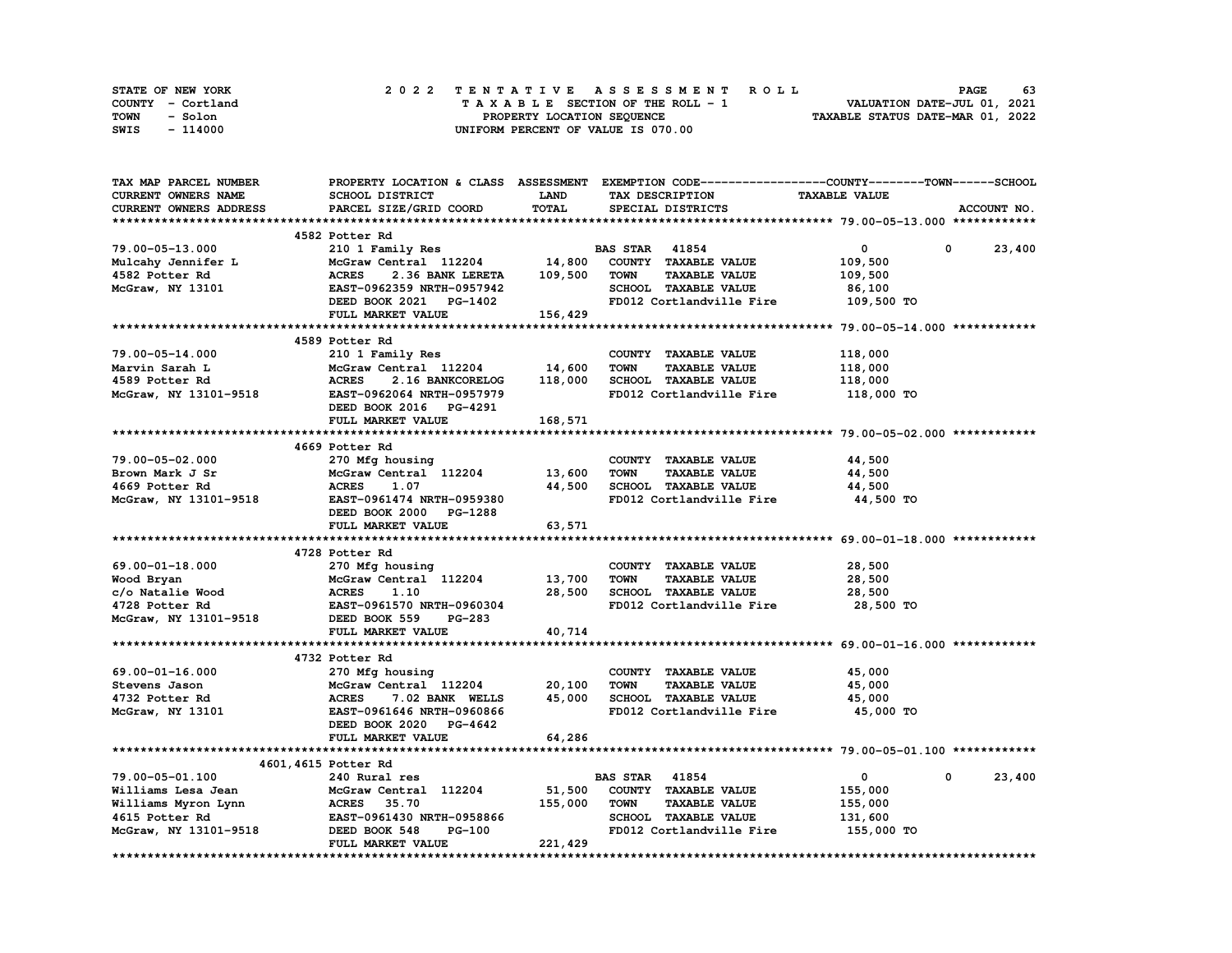| STATE OF NEW YORK | 2022 TENTATIVE ASSESSMENT ROLL     | 63<br><b>PAGE</b>                |
|-------------------|------------------------------------|----------------------------------|
| COUNTY - Cortland | TAXABLE SECTION OF THE ROLL - 1    | VALUATION DATE-JUL 01, 2021      |
| TOWN<br>- Solon   | PROPERTY LOCATION SEQUENCE         | TAXABLE STATUS DATE-MAR 01, 2022 |
| - 114000<br>SWIS  | UNIFORM PERCENT OF VALUE IS 070.00 |                                  |

| TAX MAP PARCEL NUMBER  |                                                                            |              | PROPERTY LOCATION & CLASS ASSESSMENT EXEMPTION CODE----------------COUNTY-------TOWN-----SCHOOL |                      |                        |
|------------------------|----------------------------------------------------------------------------|--------------|-------------------------------------------------------------------------------------------------|----------------------|------------------------|
| CURRENT OWNERS NAME    | SCHOOL DISTRICT                                                            | <b>LAND</b>  | TAX DESCRIPTION                                                                                 | <b>TAXABLE VALUE</b> |                        |
| CURRENT OWNERS ADDRESS | PARCEL SIZE/GRID COORD                                                     | <b>TOTAL</b> | SPECIAL DISTRICTS                                                                               |                      | ACCOUNT NO.            |
|                        |                                                                            |              |                                                                                                 |                      |                        |
|                        | 4582 Potter Rd                                                             |              |                                                                                                 |                      |                        |
| 79.00-05-13.000        | 210 1 Family Res                                                           |              | <b>BAS STAR</b> 41854                                                                           | $\mathbf{0}$         | 0<br>23,400            |
| Mulcahy Jennifer L     | McGraw Central 112204                                                      | 14,800       | COUNTY TAXABLE VALUE                                                                            | 109,500              |                        |
| 4582 Potter Rd         | <b>ACRES</b><br>2.36 BANK LERETA                                           | 109,500      | <b>TOWN</b><br><b>TAXABLE VALUE</b>                                                             | 109,500              |                        |
| McGraw, NY 13101       | EAST-0962359 NRTH-0957942                                                  |              | SCHOOL TAXABLE VALUE                                                                            | 86,100               |                        |
|                        | DEED BOOK 2021 PG-1402                                                     |              | FD012 Cortlandville Fire                                                                        | 109,500 TO           |                        |
|                        | FULL MARKET VALUE                                                          | 156,429      |                                                                                                 |                      |                        |
|                        |                                                                            |              |                                                                                                 |                      |                        |
|                        | 4589 Potter Rd                                                             |              |                                                                                                 |                      |                        |
|                        |                                                                            |              |                                                                                                 |                      |                        |
| 79.00-05-14.000        | 210 1 Family Res                                                           |              | COUNTY TAXABLE VALUE                                                                            | 118,000              |                        |
| Marvin Sarah L         | McGraw Central 112204                                                      | 14,600       | <b>TOWN</b><br><b>TAXABLE VALUE</b>                                                             | 118,000              |                        |
| 4589 Potter Rd         | <b>ACRES</b><br>2.16 BANKCORELOG                                           | 118,000      | SCHOOL TAXABLE VALUE                                                                            | 118,000              |                        |
| McGraw, NY 13101-9518  | EAST-0962064 NRTH-0957979                                                  |              | FD012 Cortlandville Fire                                                                        | 118,000 TO           |                        |
|                        | DEED BOOK 2016 PG-4291                                                     |              |                                                                                                 |                      |                        |
|                        | FULL MARKET VALUE                                                          | 168,571      |                                                                                                 |                      |                        |
|                        |                                                                            |              |                                                                                                 |                      |                        |
|                        | 4669 Potter Rd                                                             |              |                                                                                                 |                      |                        |
| 79.00-05-02.000        | 270 Mfg housing                                                            |              | COUNTY TAXABLE VALUE                                                                            | 44,500               |                        |
| Brown Mark J Sr        | McGraw Central 112204                                                      | 13,600       | <b>TOWN</b><br><b>TAXABLE VALUE</b>                                                             | 44,500               |                        |
| 4669 Potter Rd         | <b>ACRES</b><br>1.07                                                       | 44,500       | SCHOOL TAXABLE VALUE                                                                            | 44,500               |                        |
| McGraw, NY 13101-9518  | EAST-0961474 NRTH-0959380                                                  |              | FD012 Cortlandville Fire                                                                        | 44,500 TO            |                        |
|                        | DEED BOOK 2000 PG-1288                                                     |              |                                                                                                 |                      |                        |
|                        | FULL MARKET VALUE                                                          | 63,571       |                                                                                                 |                      |                        |
|                        |                                                                            |              |                                                                                                 |                      |                        |
|                        | 4728 Potter Rd                                                             |              |                                                                                                 |                      |                        |
| 69.00-01-18.000        | 270 Mfg housing                                                            |              | COUNTY TAXABLE VALUE                                                                            | 28,500               |                        |
| Wood Bryan             | McGraw Central 112204                                                      | 13,700       | <b>TAXABLE VALUE</b><br><b>TOWN</b>                                                             | 28,500               |                        |
| c/o Natalie Wood       | <b>ACRES</b><br>1.10                                                       | 28,500       | SCHOOL TAXABLE VALUE                                                                            | 28,500               |                        |
| 4728 Potter Rd         | EAST-0961570 NRTH-0960304                                                  |              | FD012 Cortlandville Fire                                                                        | 28,500 TO            |                        |
| McGraw, NY 13101-9518  | DEED BOOK 559<br><b>PG-283</b>                                             |              |                                                                                                 |                      |                        |
|                        | FULL MARKET VALUE                                                          | 40,714       |                                                                                                 |                      |                        |
|                        |                                                                            |              |                                                                                                 |                      |                        |
|                        | 4732 Potter Rd                                                             |              |                                                                                                 |                      |                        |
| 69.00-01-16.000        | 270 Mfg housing                                                            |              | COUNTY TAXABLE VALUE                                                                            | 45,000               |                        |
| Stevens Jason          | McGraw Central 112204                                                      | 20,100       | <b>TOWN</b><br><b>TAXABLE VALUE</b>                                                             | 45,000               |                        |
| 4732 Potter Rd         | <b>ACRES</b><br>7.02 BANK WELLS                                            | 45,000       | SCHOOL TAXABLE VALUE                                                                            | 45,000               |                        |
| McGraw, NY 13101       | EAST-0961646 NRTH-0960866                                                  |              | FD012 Cortlandville Fire                                                                        | 45,000 TO            |                        |
|                        | DEED BOOK 2020 PG-4642                                                     |              |                                                                                                 |                      |                        |
|                        | FULL MARKET VALUE                                                          | 64,286       |                                                                                                 |                      |                        |
|                        |                                                                            |              |                                                                                                 |                      |                        |
|                        |                                                                            |              |                                                                                                 |                      |                        |
|                        | 4601, 4615 Potter Rd                                                       |              |                                                                                                 |                      |                        |
| 79.00-05-01.100        | 240 Rural res                                                              |              | <b>BAS STAR</b> 41854                                                                           | $\circ$              | $\mathbf{0}$<br>23,400 |
| Williams Lesa Jean     | McGraw Central 112204                                                      | 51,500       | COUNTY TAXABLE VALUE                                                                            | 155,000              |                        |
| Williams Myron Lynn    | <b>ACRES</b> 35.70<br><b>ACRES     35.70<br/>EAST-0961430 NRTH-0958866</b> | 155,000      | <b>TOWN</b><br><b>TAXABLE VALUE</b>                                                             | 155,000              |                        |
| 4615 Potter Rd         |                                                                            |              | SCHOOL TAXABLE VALUE                                                                            | 131,600              |                        |
| McGraw, NY 13101-9518  | DEED BOOK 548<br>PG-100                                                    |              | FD012 Cortlandville Fire                                                                        | 155,000 TO           |                        |
|                        | FULL MARKET VALUE                                                          | 221,429      |                                                                                                 |                      |                        |
|                        |                                                                            |              |                                                                                                 |                      |                        |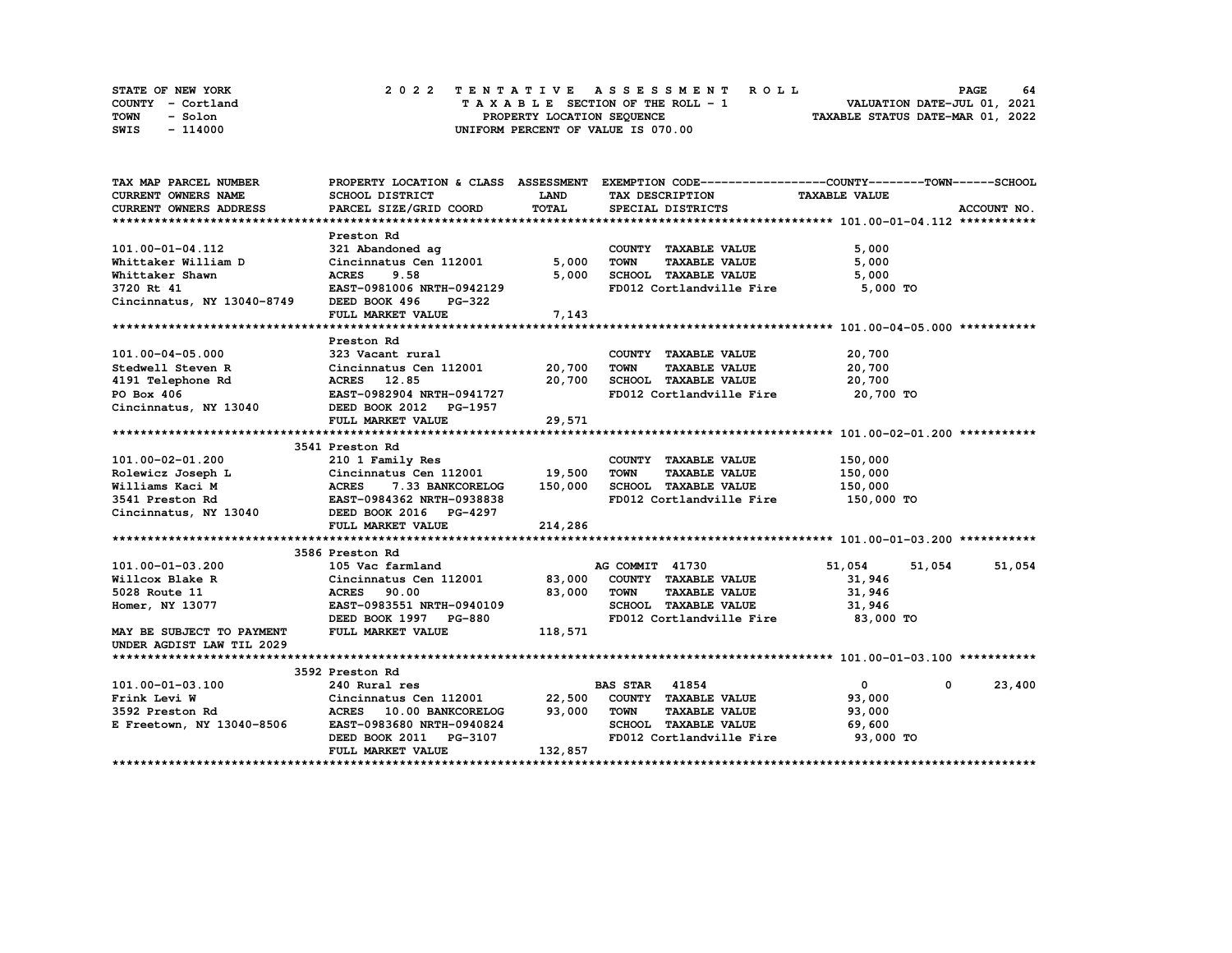| STATE OF NEW YORK | 2022 TENTATIVE ASSESSMENT ROLL     | 64<br><b>PAGE</b>                |
|-------------------|------------------------------------|----------------------------------|
| COUNTY - Cortland | TAXABLE SECTION OF THE ROLL - 1    | VALUATION DATE-JUL 01, 2021      |
| TOWN<br>- Solon   | PROPERTY LOCATION SEQUENCE         | TAXABLE STATUS DATE-MAR 01, 2022 |
| SWIS<br>- 114000  | UNIFORM PERCENT OF VALUE IS 070.00 |                                  |

| TAX MAP PARCEL NUMBER                                                                                                                                                                                                |                                                           |              | PROPERTY LOCATION & CLASS ASSESSMENT EXEMPTION CODE----------------COUNTY-------TOWN-----SCHOOL |                            |             |
|----------------------------------------------------------------------------------------------------------------------------------------------------------------------------------------------------------------------|-----------------------------------------------------------|--------------|-------------------------------------------------------------------------------------------------|----------------------------|-------------|
| CURRENT OWNERS NAME                                                                                                                                                                                                  | SCHOOL DISTRICT                                           | <b>LAND</b>  | TAX DESCRIPTION                                                                                 | <b>TAXABLE VALUE</b>       |             |
| CURRENT OWNERS ADDRESS                                                                                                                                                                                               | PARCEL SIZE/GRID COORD                                    | <b>TOTAL</b> | SPECIAL DISTRICTS                                                                               |                            | ACCOUNT NO. |
|                                                                                                                                                                                                                      |                                                           |              |                                                                                                 |                            |             |
|                                                                                                                                                                                                                      | Preston Rd                                                |              |                                                                                                 |                            |             |
|                                                                                                                                                                                                                      |                                                           |              | COUNTY TAXABLE VALUE                                                                            | 5,000                      |             |
|                                                                                                                                                                                                                      |                                                           | 5,000        | TOWN<br><b>TAXABLE VALUE</b>                                                                    | 5,000                      |             |
|                                                                                                                                                                                                                      |                                                           | 5,000        | SCHOOL TAXABLE VALUE                                                                            | 5,000                      |             |
|                                                                                                                                                                                                                      |                                                           |              | FD012 Cortlandville Fire 5,000 TO                                                               |                            |             |
| 101.00-01-04.112 321 Abandoned ag<br>Whittaker William D Cincinnatus Cen 112001 5,000<br>Whittaker Shawn ACRES 9.58 5,000<br>3720 Rt 41 EAST-0981006 NRTH-0942129<br>Cincinnatus, NY 13040-8749 DEED BOOK 496 PG-322 |                                                           |              |                                                                                                 |                            |             |
|                                                                                                                                                                                                                      | FULL MARKET VALUE                                         | 7,143        |                                                                                                 |                            |             |
|                                                                                                                                                                                                                      |                                                           |              |                                                                                                 |                            |             |
|                                                                                                                                                                                                                      | Preston Rd                                                |              |                                                                                                 |                            |             |
| 101.00-04-05.000                                                                                                                                                                                                     | 323 Vacant rural                                          |              | COUNTY TAXABLE VALUE                                                                            | 20,700                     |             |
|                                                                                                                                                                                                                      |                                                           |              | TAXABLE VALUE                                                                                   | 20,700                     |             |
|                                                                                                                                                                                                                      |                                                           |              |                                                                                                 | 20,700                     |             |
| Stedwell Steven R Cincinnatus Cen 112001 20,700 TOWN TAXABLE VALUE<br>4191 Telephone Rd ACRES 12.85 20,700 SCHOOL TAXABLE VALUE<br>PO Box 406 EAST-0982904 NRTH-0941727 FD012 Cortlandville Fire                     |                                                           |              | FD012 Cortlandville Fire 20,700 TO                                                              |                            |             |
| Cincinnatus, NY 13040 DEED BOOK 2012 PG-1957                                                                                                                                                                         |                                                           |              |                                                                                                 |                            |             |
|                                                                                                                                                                                                                      | FULL MARKET VALUE 29,571                                  |              |                                                                                                 |                            |             |
|                                                                                                                                                                                                                      |                                                           |              |                                                                                                 |                            |             |
|                                                                                                                                                                                                                      | 3541 Preston Rd                                           |              |                                                                                                 |                            |             |
|                                                                                                                                                                                                                      |                                                           |              | COUNTY TAXABLE VALUE                                                                            | 150,000                    |             |
|                                                                                                                                                                                                                      |                                                           |              | <b>TAXABLE VALUE</b>                                                                            | 150,000                    |             |
|                                                                                                                                                                                                                      |                                                           |              | 150,000 SCHOOL TAXABLE VALUE 150,000                                                            |                            |             |
|                                                                                                                                                                                                                      |                                                           |              | FD012 Cortlandville Fire                                                                        | 150,000 TO                 |             |
|                                                                                                                                                                                                                      |                                                           |              |                                                                                                 |                            |             |
|                                                                                                                                                                                                                      | FULL MARKET VALUE                                         | 214,286      |                                                                                                 |                            |             |
|                                                                                                                                                                                                                      |                                                           |              |                                                                                                 |                            |             |
|                                                                                                                                                                                                                      | 3586 Preston Rd                                           |              |                                                                                                 |                            |             |
| 101.00-01-03.200                                                                                                                                                                                                     | 105 Vac farmland                                          |              | AG COMMIT 41730                                                                                 | 51,054 51,054              | 51,054      |
| Willcox Blake R                                                                                                                                                                                                      | Cincinnatus Cen 112001 83,000 COUNTY TAXABLE VALUE        |              |                                                                                                 | 31,946                     |             |
| Cincinna<br>ACRES<br>5028 Route 11                                                                                                                                                                                   | 90.00                                                     | 83,000 TOWN  | <b>TAXABLE VALUE</b>                                                                            | 31,946                     |             |
| Homer, NY 13077                                                                                                                                                                                                      | EAST-0983551 NRTH-0940109                                 |              | SCHOOL TAXABLE VALUE 31,946                                                                     |                            |             |
|                                                                                                                                                                                                                      |                                                           |              | FD012 Cortlandville Fire 83,000 TO                                                              |                            |             |
| DEED BOOK 1997 PG-880<br>MAY BE SUBJECT TO PAYMENT FULL MARKET VALUE 118,571                                                                                                                                         |                                                           |              |                                                                                                 |                            |             |
| UNDER AGDIST LAW TIL 2029                                                                                                                                                                                            |                                                           |              |                                                                                                 |                            |             |
|                                                                                                                                                                                                                      |                                                           |              |                                                                                                 |                            |             |
|                                                                                                                                                                                                                      | 3592 Preston Rd                                           |              |                                                                                                 |                            |             |
| 101.00-01-03.100                                                                                                                                                                                                     | 240 Rural res                                             |              | <b>BAS STAR 41854</b>                                                                           | $\mathbf{0}$<br>$^{\circ}$ | 23,400      |
|                                                                                                                                                                                                                      |                                                           |              |                                                                                                 | 93,000                     |             |
|                                                                                                                                                                                                                      |                                                           |              |                                                                                                 | 93,000                     |             |
| E Freetown, NY 13040-8506 EAST-0983680 NRTH-0940824                                                                                                                                                                  |                                                           |              | SCHOOL TAXABLE VALUE 69,600                                                                     |                            |             |
|                                                                                                                                                                                                                      |                                                           |              | FD012 Cortlandville Fire 93,000 TO                                                              |                            |             |
|                                                                                                                                                                                                                      | DEED BOOK 2011    PG-3107<br>FULL MARKET VALUE    132,857 |              |                                                                                                 |                            |             |
|                                                                                                                                                                                                                      |                                                           |              |                                                                                                 |                            |             |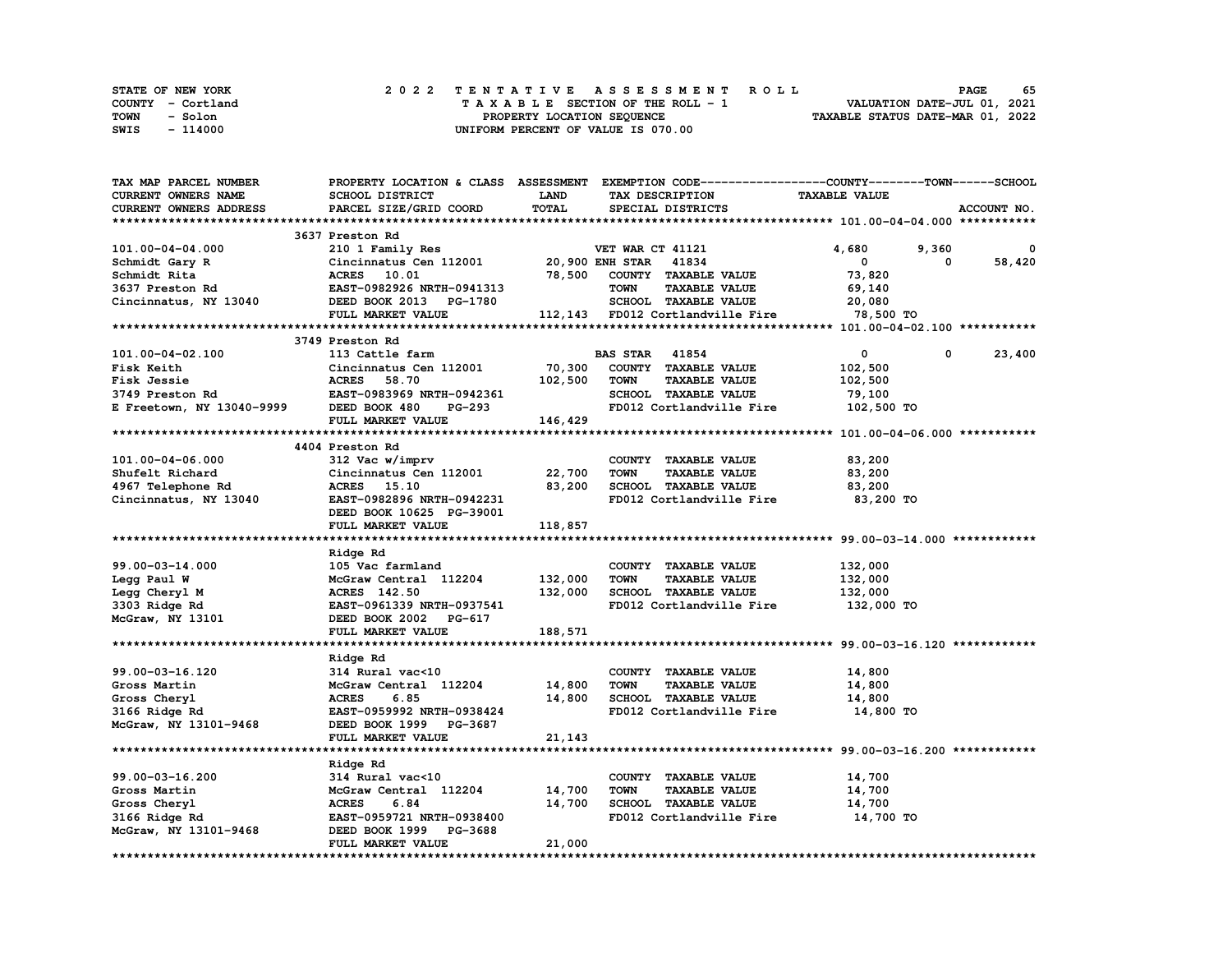| STATE OF NEW YORK | 2022 TENTATIVE ASSESSMENT ROLL     | 65<br><b>PAGE</b>                |
|-------------------|------------------------------------|----------------------------------|
| COUNTY - Cortland | TAXABLE SECTION OF THE ROLL - 1    | VALUATION DATE-JUL 01, 2021      |
| TOWN<br>- Solon   | PROPERTY LOCATION SEQUENCE         | TAXABLE STATUS DATE-MAR 01, 2022 |
| - 114000<br>SWIS  | UNIFORM PERCENT OF VALUE IS 070.00 |                                  |

| TAX MAP PARCEL NUMBER                                                                                                                                                                         | PROPERTY LOCATION & CLASS ASSESSMENT EXEMPTION CODE----------------COUNTY-------TOWN------SCHOOL |             |                                     |                           |             |
|-----------------------------------------------------------------------------------------------------------------------------------------------------------------------------------------------|--------------------------------------------------------------------------------------------------|-------------|-------------------------------------|---------------------------|-------------|
| CURRENT OWNERS NAME                                                                                                                                                                           | SCHOOL DISTRICT                                                                                  | <b>LAND</b> | TAX DESCRIPTION                     | <b>TAXABLE VALUE</b>      |             |
| CURRENT OWNERS ADDRESS                                                                                                                                                                        | PARCEL SIZE/GRID COORD                                                                           | TOTAL       | SPECIAL DISTRICTS                   |                           | ACCOUNT NO. |
|                                                                                                                                                                                               |                                                                                                  |             |                                     |                           |             |
|                                                                                                                                                                                               | 3637 Preston Rd                                                                                  |             |                                     |                           |             |
|                                                                                                                                                                                               |                                                                                                  |             |                                     | 4,680<br>9,360            | 0           |
|                                                                                                                                                                                               |                                                                                                  |             |                                     | $\mathbf 0$<br>$^{\circ}$ | 58,420      |
|                                                                                                                                                                                               |                                                                                                  |             |                                     | 73,820                    |             |
|                                                                                                                                                                                               |                                                                                                  |             |                                     | 69,140                    |             |
|                                                                                                                                                                                               |                                                                                                  |             | SCHOOL TAXABLE VALUE 20,080         |                           |             |
|                                                                                                                                                                                               |                                                                                                  |             |                                     | 78,500 TO                 |             |
|                                                                                                                                                                                               |                                                                                                  |             |                                     |                           |             |
|                                                                                                                                                                                               |                                                                                                  |             |                                     |                           |             |
|                                                                                                                                                                                               |                                                                                                  |             |                                     |                           |             |
| 101.00-04-02.100                                                                                                                                                                              | 113 Cattle farm                                                                                  |             | <b>BAS STAR 41854</b>               | $\mathbf{0}$<br>0         | 23,400      |
|                                                                                                                                                                                               |                                                                                                  | 70,300      | COUNTY TAXABLE VALUE                | 102,500                   |             |
|                                                                                                                                                                                               |                                                                                                  | 102,500     | TOWN<br><b>TAXABLE VALUE</b>        | 102,500                   |             |
|                                                                                                                                                                                               |                                                                                                  |             | SCHOOL TAXABLE VALUE                | 79,100                    |             |
|                                                                                                                                                                                               |                                                                                                  |             | FD012 Cortlandville Fire 102,500 TO |                           |             |
| 101.00-04-02.100<br>Fisk Keith<br>Fisk Gessie acRES 58.70 102,500<br>3749 Preston Rd EAST-0983969 NRTH-0942361<br>E Freetown, NY 13040-9999 DEED BOOK 480 PG-293<br>FULL MARKET VALUE 146,429 |                                                                                                  |             |                                     |                           |             |
|                                                                                                                                                                                               |                                                                                                  |             |                                     |                           |             |
|                                                                                                                                                                                               | 4404 Preston Rd                                                                                  |             |                                     |                           |             |
| 101.00-04-06.000                                                                                                                                                                              | 312 Vac w/imprv                                                                                  |             | COUNTY TAXABLE VALUE                | 83,200                    |             |
| Shufelt Richard                                                                                                                                                                               | Cincinnatus Cen 112001 22,700<br>ACRES 15.10 83,200                                              |             | <b>TOWN</b><br><b>TAXABLE VALUE</b> | 83,200                    |             |
| 4967 Telephone Rd                                                                                                                                                                             |                                                                                                  | 83,200      | SCHOOL TAXABLE VALUE                | 83,200                    |             |
| Cincinnatus, NY 13040<br>EAST-0982896 NRTH-0942231                                                                                                                                            |                                                                                                  |             | FD012 Cortlandville Fire 83,200 TO  |                           |             |
|                                                                                                                                                                                               | DEED BOOK 10625 PG-39001                                                                         |             |                                     |                           |             |
|                                                                                                                                                                                               | FULL MARKET VALUE                                                                                | 118,857     |                                     |                           |             |
|                                                                                                                                                                                               |                                                                                                  |             |                                     |                           |             |
|                                                                                                                                                                                               | Ridge Rd                                                                                         |             |                                     |                           |             |
| 99.00-03-14.000                                                                                                                                                                               | 105 Vac farmland                                                                                 |             | COUNTY TAXABLE VALUE                | 132,000                   |             |
|                                                                                                                                                                                               | McGraw Central 112204                                                                            | 132,000     | <b>TOWN</b><br><b>TAXABLE VALUE</b> | 132,000                   |             |
| Legg Paul W<br>Legg Cheryl M<br>3303 Ridge Rd                                                                                                                                                 | ACRES 142.50                                                                                     | 132,000     | SCHOOL TAXABLE VALUE                | 132,000                   |             |
|                                                                                                                                                                                               | EAST-0961339 NRTH-0937541                                                                        |             | FD012 Cortlandville Fire            | 132,000 TO                |             |
| 3303 Ridge Rd<br>McGraw, NY 13101                                                                                                                                                             | DEED BOOK 2002 PG-617                                                                            |             |                                     |                           |             |
|                                                                                                                                                                                               | FULL MARKET VALUE                                                                                | 188,571     |                                     |                           |             |
|                                                                                                                                                                                               |                                                                                                  |             |                                     |                           |             |
|                                                                                                                                                                                               | Ridge Rd                                                                                         |             |                                     |                           |             |
| 99.00-03-16.120                                                                                                                                                                               | 314 Rural vac<10                                                                                 |             | COUNTY TAXABLE VALUE                | 14,800                    |             |
| Gross Martin                                                                                                                                                                                  | McGraw Central 112204                                                                            | 14,800      | <b>TOWN</b><br><b>TAXABLE VALUE</b> | 14,800                    |             |
|                                                                                                                                                                                               | <b>ACRES</b><br>6.85                                                                             | 14,800      | SCHOOL TAXABLE VALUE                | 14,800                    |             |
| Gross Cheryl<br>3166 Ridge Rd                                                                                                                                                                 | EAST-0959992 NRTH-0938424                                                                        |             | FD012 Cortlandville Fire            | 14,800 TO                 |             |
| McGraw, NY 13101-9468                                                                                                                                                                         | DEED BOOK 1999 PG-3687                                                                           |             |                                     |                           |             |
|                                                                                                                                                                                               | FULL MARKET VALUE                                                                                |             |                                     |                           |             |
|                                                                                                                                                                                               |                                                                                                  | 21,143      |                                     |                           |             |
|                                                                                                                                                                                               |                                                                                                  |             |                                     |                           |             |
|                                                                                                                                                                                               | Ridge Rd                                                                                         |             |                                     |                           |             |
| 99.00-03-16.200                                                                                                                                                                               | 314 Rural vac<10                                                                                 |             | COUNTY TAXABLE VALUE                | 14,700                    |             |
| Gross Martin                                                                                                                                                                                  | McGraw Central 112204 14,700                                                                     |             | <b>TOWN</b><br><b>TAXABLE VALUE</b> | 14,700                    |             |
| Gross Cheryl                                                                                                                                                                                  | <b>ACRES</b><br>6.84                                                                             | 14,700      | SCHOOL TAXABLE VALUE                | 14,700                    |             |
| Gross Cneryi<br>3166 Ridge Rd<br>McGraw, NY 13101-9468                                                                                                                                        | EAST-0959721 NRTH-0938400                                                                        |             | FD012 Cortlandville Fire 14,700 TO  |                           |             |
|                                                                                                                                                                                               | DEED BOOK 1999 PG-3688                                                                           |             |                                     |                           |             |
|                                                                                                                                                                                               | FULL MARKET VALUE                                                                                | 21,000      |                                     |                           |             |
|                                                                                                                                                                                               |                                                                                                  |             |                                     |                           |             |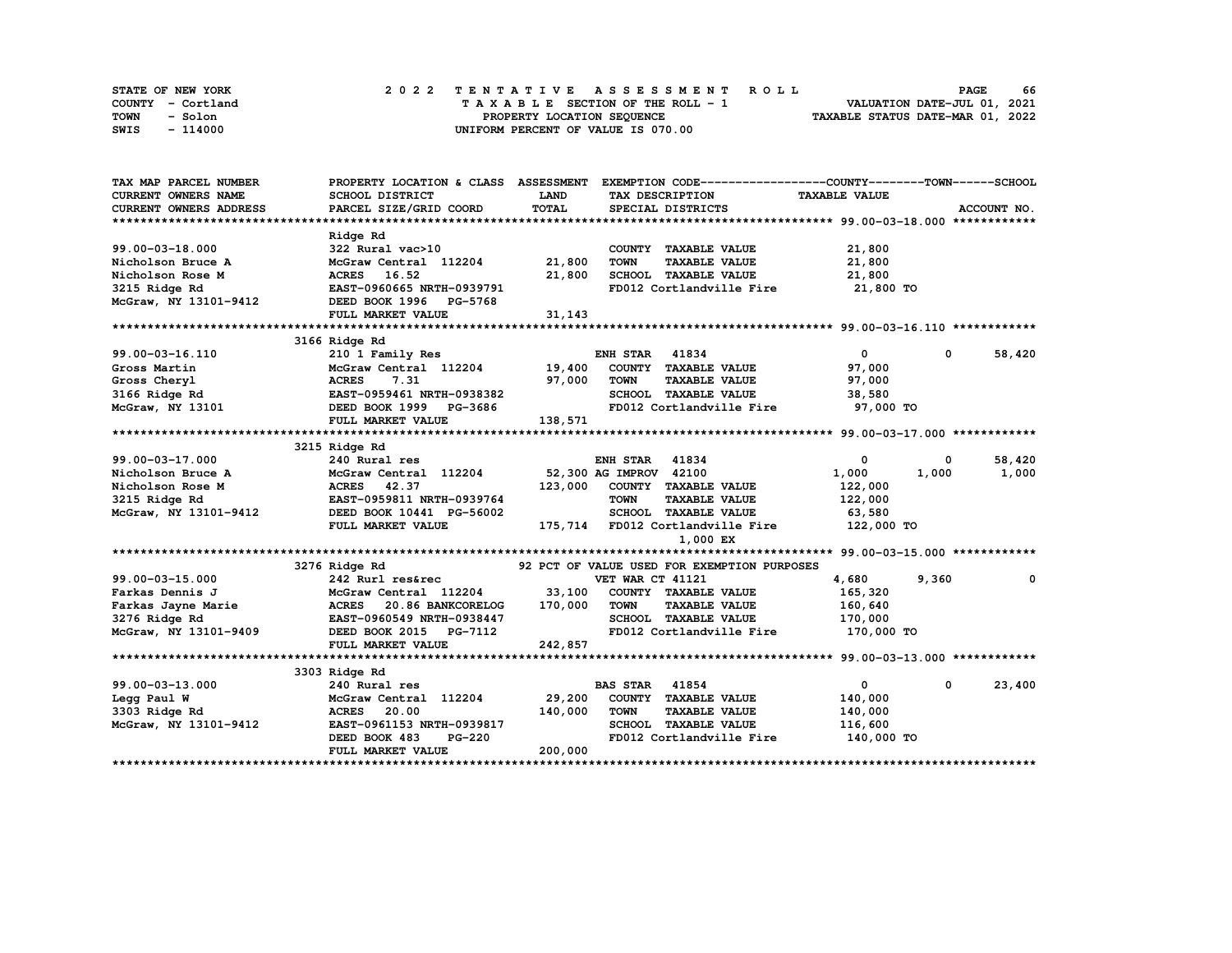| STATE OF NEW YORK | 2022 TENTATIVE ASSESSMENT ROLL     | 66<br><b>PAGE</b>                |
|-------------------|------------------------------------|----------------------------------|
| COUNTY - Cortland | TAXABLE SECTION OF THE ROLL - 1    | VALUATION DATE-JUL 01, 2021      |
| TOWN<br>- Solon   | PROPERTY LOCATION SEQUENCE         | TAXABLE STATUS DATE-MAR 01, 2022 |
| - 114000<br>SWIS  | UNIFORM PERCENT OF VALUE IS 070.00 |                                  |

| TAX MAP PARCEL NUMBER      |                                         |         | PROPERTY LOCATION & CLASS ASSESSMENT EXEMPTION CODE-----------------COUNTY-------TOWN-----SCHOOL |                      |              |             |
|----------------------------|-----------------------------------------|---------|--------------------------------------------------------------------------------------------------|----------------------|--------------|-------------|
| <b>CURRENT OWNERS NAME</b> | SCHOOL DISTRICT                         | LAND    | TAX DESCRIPTION                                                                                  | <b>TAXABLE VALUE</b> |              |             |
| CURRENT OWNERS ADDRESS     | PARCEL SIZE/GRID COORD                  | TOTAL   | SPECIAL DISTRICTS                                                                                |                      |              | ACCOUNT NO. |
|                            |                                         |         |                                                                                                  |                      |              |             |
|                            | Ridge Rd                                |         |                                                                                                  |                      |              |             |
| $99.00 - 03 - 18.000$      | 322 Rural vac>10                        |         | COUNTY TAXABLE VALUE                                                                             | 21,800               |              |             |
| Nicholson Bruce A          | McGraw Central 112204                   | 21,800  | <b>TOWN</b><br><b>TAXABLE VALUE</b>                                                              | 21,800               |              |             |
| Nicholson Rose M           | ACRES 16.52                             | 21,800  | SCHOOL TAXABLE VALUE                                                                             | 21,800               |              |             |
| 3215 Ridge Rd              | EAST-0960665 NRTH-0939791               |         | FD012 Cortlandville Fire 21,800 TO                                                               |                      |              |             |
| McGraw, NY 13101-9412      | DEED BOOK 1996 PG-5768                  |         |                                                                                                  |                      |              |             |
|                            | FULL MARKET VALUE                       | 31,143  |                                                                                                  |                      |              |             |
|                            |                                         |         |                                                                                                  |                      |              |             |
|                            | 3166 Ridge Rd                           |         |                                                                                                  |                      |              |             |
| 99.00-03-16.110            | 210 1 Family Res                        |         | <b>ENH STAR 41834</b>                                                                            | $\mathbf{0}$         | $\mathbf{0}$ | 58,420      |
| Gross Martin               | McGraw Central 112204 19,400            |         | COUNTY TAXABLE VALUE                                                                             | 97,000               |              |             |
| Gross Cheryl               | <b>ACRES</b><br>7.31                    | 97,000  | TOWN<br><b>TAXABLE VALUE</b>                                                                     | 97,000               |              |             |
| $3166$ Ridge Rd            | EAST-0959461 NRTH-0938382               |         | SCHOOL TAXABLE VALUE                                                                             | 38,580               |              |             |
|                            | McGraw, NY 13101 DEED BOOK 1999 PG-3686 |         | FD012 Cortlandville Fire 97,000 TO                                                               |                      |              |             |
|                            | FULL MARKET VALUE                       | 138,571 |                                                                                                  |                      |              |             |
|                            |                                         |         |                                                                                                  |                      |              |             |
|                            | 3215 Ridge Rd                           |         |                                                                                                  |                      |              |             |
| 99.00-03-17.000            | 240 Rural res                           |         | <b>ENH STAR 41834</b>                                                                            | 0                    | 0            | 58,420      |
| Nicholson Bruce A          | McGraw Central 112204                   |         | 52,300 AG IMPROV 42100                                                                           | 1,000                | 1,000        | 1,000       |
| Nicholson Rose M           | <b>ACRES</b><br>42.37                   | 123,000 | COUNTY TAXABLE VALUE                                                                             | 122,000              |              |             |
| 3215 Ridge Rd              | EAST-0959811 NRTH-0939764               |         | <b>TOWN</b><br><b>TAXABLE VALUE</b>                                                              | 122,000              |              |             |
| McGraw, NY 13101-9412      | DEED BOOK 10441 PG-56002                |         | SCHOOL TAXABLE VALUE                                                                             | 63,580               |              |             |
|                            | FULL MARKET VALUE                       |         | 175,714 FD012 Cortlandville Fire                                                                 | 122,000 TO           |              |             |
|                            |                                         |         | 1,000 EX                                                                                         |                      |              |             |
|                            |                                         |         |                                                                                                  |                      |              |             |
|                            | 3276 Ridge Rd                           |         | 92 PCT OF VALUE USED FOR EXEMPTION PURPOSES                                                      |                      |              |             |
| $99.00 - 03 - 15.000$      | 242 Rurl res&rec                        |         | VET WAR CT 41121                                                                                 | 4,680                | 9,360        | 0           |
| Farkas Dennis J            | McGraw Central 112204                   | 33,100  | COUNTY TAXABLE VALUE                                                                             | 165,320              |              |             |
| Farkas Jayne Marie         | ACRES 20.86 BANKCORELOG                 | 170,000 | <b>TOWN</b><br><b>TAXABLE VALUE</b>                                                              | 160,640              |              |             |
| 3276 Ridge Rd              | EAST-0960549 NRTH-0938447               |         | SCHOOL TAXABLE VALUE                                                                             | 170,000              |              |             |
| McGraw, NY 13101-9409      | DEED BOOK 2015 PG-7112                  |         | FD012 Cortlandville Fire                                                                         | 170,000 TO           |              |             |
|                            | FULL MARKET VALUE                       | 242,857 |                                                                                                  |                      |              |             |
|                            |                                         |         |                                                                                                  |                      |              |             |
|                            | 3303 Ridge Rd                           |         |                                                                                                  |                      |              |             |
| 99.00-03-13.000            | 240 Rural res                           |         | <b>BAS STAR</b><br>41854                                                                         | 0                    | 0            | 23,400      |
| Legg Paul W                | McGraw Central 112204                   | 29,200  | COUNTY TAXABLE VALUE                                                                             | 140,000              |              |             |
| 3303 Ridge Rd              | ACRES 20.00                             | 140,000 | <b>TOWN</b><br><b>TAXABLE VALUE</b>                                                              | 140,000              |              |             |
| McGraw, NY 13101-9412      | EAST-0961153 NRTH-0939817               |         | SCHOOL TAXABLE VALUE                                                                             | 116,600              |              |             |
|                            | DEED BOOK 483<br><b>PG-220</b>          |         | FD012 Cortlandville Fire 140,000 TO                                                              |                      |              |             |
|                            | FULL MARKET VALUE                       | 200,000 |                                                                                                  |                      |              |             |
|                            |                                         |         |                                                                                                  |                      |              |             |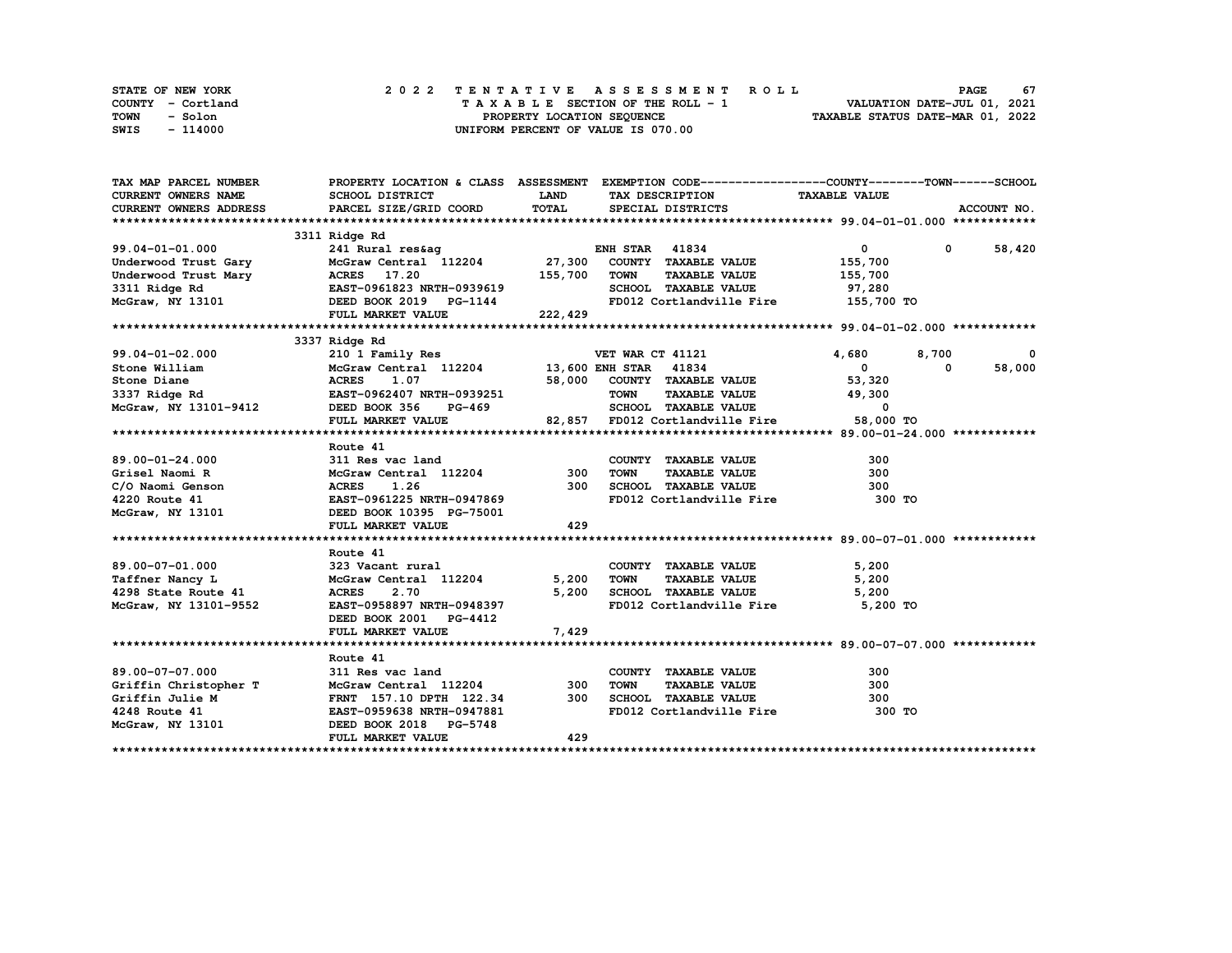| STATE OF NEW YORK | 2022 TENTATIVE ASSESSMENT ROLL     | 67<br><b>PAGE</b>                |
|-------------------|------------------------------------|----------------------------------|
| COUNTY - Cortland | TAXABLE SECTION OF THE ROLL - 1    | VALUATION DATE-JUL 01, 2021      |
| TOWN<br>- Solon   | PROPERTY LOCATION SEQUENCE         | TAXABLE STATUS DATE-MAR 01, 2022 |
| SWIS<br>- 114000  | UNIFORM PERCENT OF VALUE IS 070.00 |                                  |

| TAX MAP PARCEL NUMBER                    |                                                                                                                                                                                                                                              |             | PROPERTY LOCATION & CLASS ASSESSMENT EXEMPTION CODE----------------COUNTY-------TOWN-----SCHOOL |                          |                      |
|------------------------------------------|----------------------------------------------------------------------------------------------------------------------------------------------------------------------------------------------------------------------------------------------|-------------|-------------------------------------------------------------------------------------------------|--------------------------|----------------------|
| <b>CURRENT OWNERS NAME</b>               | SCHOOL DISTRICT                                                                                                                                                                                                                              | <b>LAND</b> | TAX DESCRIPTION                                                                                 | <b>TAXABLE VALUE</b>     |                      |
| CURRENT OWNERS ADDRESS                   | PARCEL SIZE/GRID COORD                                                                                                                                                                                                                       | TOTAL       | SPECIAL DISTRICTS                                                                               |                          | ACCOUNT NO.          |
|                                          |                                                                                                                                                                                                                                              |             |                                                                                                 |                          |                      |
|                                          |                                                                                                                                                                                                                                              |             |                                                                                                 |                          |                      |
|                                          |                                                                                                                                                                                                                                              |             |                                                                                                 | $\overline{0}$           | $0 \t 58,420$        |
|                                          |                                                                                                                                                                                                                                              |             |                                                                                                 | 155,700                  |                      |
|                                          |                                                                                                                                                                                                                                              |             |                                                                                                 | 155,700                  |                      |
|                                          |                                                                                                                                                                                                                                              |             | SCHOOL TAXABLE VALUE 97,280                                                                     |                          |                      |
|                                          |                                                                                                                                                                                                                                              |             | FD012 Cortlandville Fire 155,700 TO                                                             |                          |                      |
|                                          |                                                                                                                                                                                                                                              |             |                                                                                                 |                          |                      |
|                                          |                                                                                                                                                                                                                                              |             |                                                                                                 |                          |                      |
|                                          | 3337 Ridge Rd                                                                                                                                                                                                                                |             |                                                                                                 |                          |                      |
|                                          | 99.04-01-02.000<br>Stone William McGraw Central 112204<br>Stone Diane McGraw McGraw Central 112204<br>337 Ridge Rd EAST-0962407 NRTH-0939251<br>McGraw, NY 13101-9412<br>McGraw, NY 13101-9412<br>McGraw, NY 13101-9412<br>McGraw, NY 13101- |             |                                                                                                 | 4,680                    | 8,700<br>0           |
|                                          |                                                                                                                                                                                                                                              |             |                                                                                                 | $\mathbf{0}$             | 58,000<br>$^{\circ}$ |
|                                          |                                                                                                                                                                                                                                              |             | 58,000 COUNTY TAXABLE VALUE 53,320                                                              |                          |                      |
|                                          |                                                                                                                                                                                                                                              |             |                                                                                                 | 49,300                   |                      |
|                                          |                                                                                                                                                                                                                                              |             |                                                                                                 | $\overline{\phantom{a}}$ |                      |
|                                          | FULL MARKET VALUE                                                                                                                                                                                                                            |             | 9251 TOWN TAXABLE VALUE<br>69 SCHOOL TAXABLE VALUE<br>82,857 FD012 Cortlandville Fire           | 58,000 TO                |                      |
|                                          |                                                                                                                                                                                                                                              |             |                                                                                                 |                          |                      |
|                                          | Route 41                                                                                                                                                                                                                                     |             |                                                                                                 |                          |                      |
| $89.00 - 01 - 24.000$                    | 311 Res vac land                                                                                                                                                                                                                             |             | COUNTY TAXABLE VALUE                                                                            | 300                      |                      |
|                                          | McGraw Central 112204 300                                                                                                                                                                                                                    |             | <b>TOWN</b><br>TAXABLE VALUE                                                                    | 300                      |                      |
|                                          | Grisel Naomi R<br>C/O Naomi Genson<br>220 Route 41<br>MCGraw, NY 13101<br>MCGraw, NY 13101<br>DEED BOOK 10395 PG-75001                                                                                                                       | 300         | SCHOOL TAXABLE VALUE                                                                            | 300                      |                      |
|                                          |                                                                                                                                                                                                                                              |             | FD012 Cortlandville Fire                                                                        | 300 TO                   |                      |
|                                          |                                                                                                                                                                                                                                              |             |                                                                                                 |                          |                      |
|                                          | FULL MARKET VALUE                                                                                                                                                                                                                            | 429         |                                                                                                 |                          |                      |
|                                          |                                                                                                                                                                                                                                              |             |                                                                                                 |                          |                      |
|                                          | Route 41                                                                                                                                                                                                                                     |             |                                                                                                 |                          |                      |
| $89.00 - 07 - 01.000$                    | 323 Vacant rural                                                                                                                                                                                                                             |             | COUNTY TAXABLE VALUE                                                                            | 5,200                    |                      |
| Taffner Nancy L                          | McGraw Central 112204                                                                                                                                                                                                                        | 5,200       | <b>TOWN</b>                                                                                     | 5,200                    |                      |
| 4298 State Route 41                      | <b>ACRES</b><br>2.70                                                                                                                                                                                                                         |             | TAXABLE VALUE<br>5,200 SCHOOL TAXABLE VALUE                                                     | 5,200                    |                      |
| McGraw, NY 13101-9552                    | ACRES 2.70 5,20<br>EAST-0958897 NRTH-0948397                                                                                                                                                                                                 |             | FD012 Cortlandville Fire 5,200 TO                                                               |                          |                      |
|                                          | DEED BOOK 2001 PG-4412                                                                                                                                                                                                                       |             |                                                                                                 |                          |                      |
|                                          |                                                                                                                                                                                                                                              |             |                                                                                                 |                          |                      |
|                                          | FULL MARKET VALUE                                                                                                                                                                                                                            | 7,429       |                                                                                                 |                          |                      |
|                                          |                                                                                                                                                                                                                                              |             |                                                                                                 |                          |                      |
| 89.00-07-07.000                          | Route 41<br>311 Res vac land                                                                                                                                                                                                                 |             | COUNTY TAXABLE VALUE                                                                            | 300                      |                      |
|                                          |                                                                                                                                                                                                                                              | 300         | <b>TOWN</b><br><b>TAXABLE VALUE</b>                                                             | 300                      |                      |
| Griffin Christopher T<br>Griffin Julie M | McGraw Central 112204<br>FRNT 157.10 DPTH 122.34                                                                                                                                                                                             | 300         | SCHOOL TAXABLE VALUE                                                                            | 300                      |                      |
|                                          |                                                                                                                                                                                                                                              |             | FD012 Cortlandville Fire 300 TO                                                                 |                          |                      |
| 4248 Route 41                            | EAST-0959638 NRTH-0947881                                                                                                                                                                                                                    |             |                                                                                                 |                          |                      |
| McGraw, NY 13101                         | DEED BOOK 2018 PG-5748                                                                                                                                                                                                                       | 429         |                                                                                                 |                          |                      |
|                                          | FULL MARKET VALUE                                                                                                                                                                                                                            |             |                                                                                                 |                          |                      |
|                                          |                                                                                                                                                                                                                                              |             |                                                                                                 |                          |                      |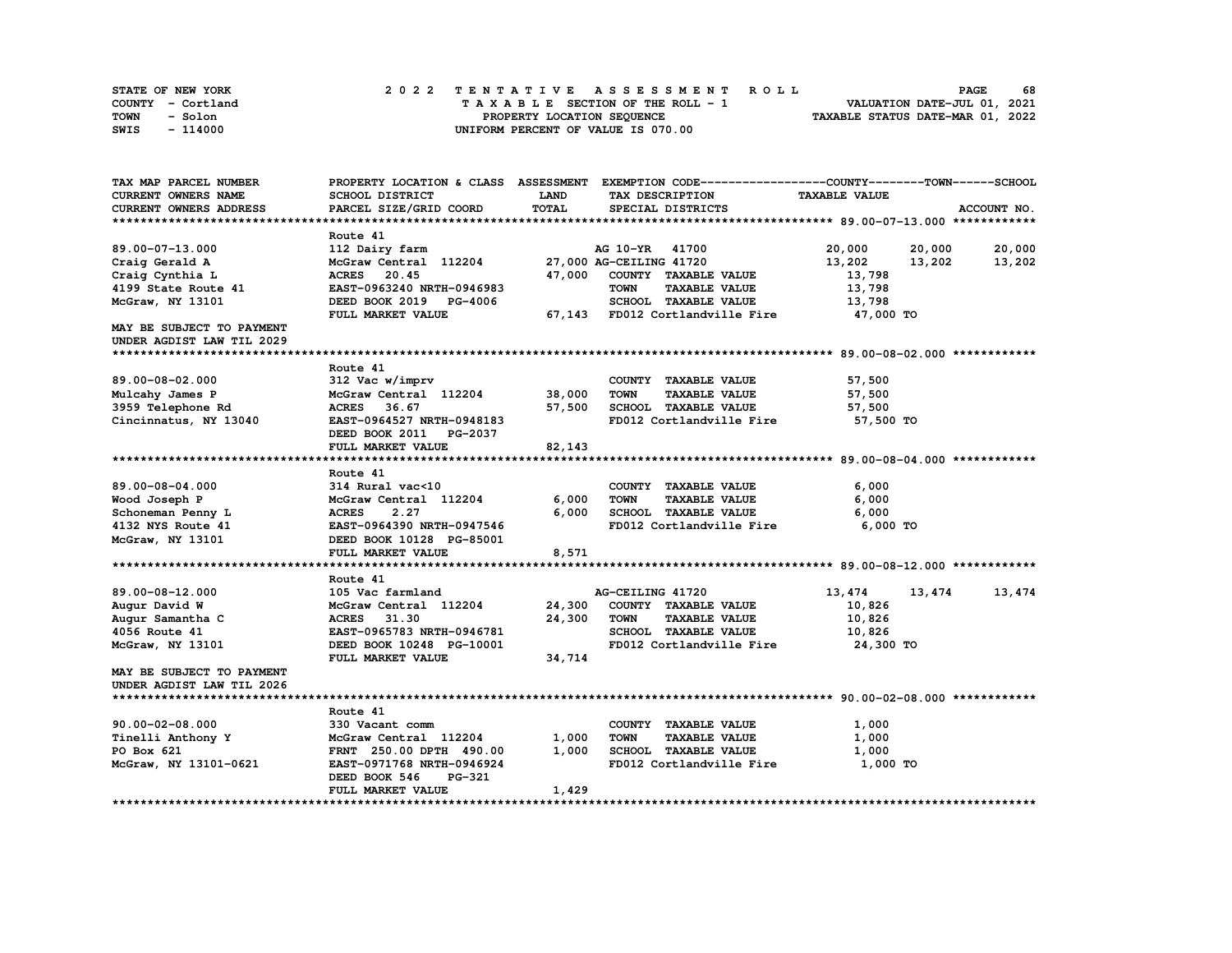| STATE OF NEW YORK | 2022 TENTATIVE ASSESSMENT ROLL     | 68<br><b>PAGE</b>                |
|-------------------|------------------------------------|----------------------------------|
| COUNTY - Cortland | TAXABLE SECTION OF THE ROLL - 1    | VALUATION DATE-JUL 01, 2021      |
| TOWN<br>- Solon   | PROPERTY LOCATION SEOUENCE         | TAXABLE STATUS DATE-MAR 01, 2022 |
| SWIS<br>$-114000$ | UNIFORM PERCENT OF VALUE IS 070.00 |                                  |

| TAX MAP PARCEL NUMBER                                  |                                               |        | PROPERTY LOCATION & CLASS ASSESSMENT EXEMPTION CODE----------------COUNTY-------TOWN-----SCHOOL |                      |                  |
|--------------------------------------------------------|-----------------------------------------------|--------|-------------------------------------------------------------------------------------------------|----------------------|------------------|
| CURRENT OWNERS NAME                                    | SCHOOL DISTRICT                               | LAND   | TAX DESCRIPTION                                                                                 | <b>TAXABLE VALUE</b> |                  |
| CURRENT OWNERS ADDRESS                                 | PARCEL SIZE/GRID COORD                        | TOTAL  | SPECIAL DISTRICTS                                                                               |                      | ACCOUNT NO.      |
|                                                        |                                               |        |                                                                                                 |                      |                  |
|                                                        | Route 41                                      |        |                                                                                                 |                      |                  |
| 89.00-07-13.000                                        | 112 Dairy farm                                |        | AG 10-YR 41700                                                                                  | 20,000               | 20,000<br>20,000 |
| Craig Gerald A                                         | McGraw Central 112204 27,000 AG-CEILING 41720 |        |                                                                                                 | 13,202               | 13,202<br>13,202 |
| Craig Cynthia L                                        | ACRES 20.45                                   |        | 47,000 COUNTY TAXABLE VALUE                                                                     | 13,798               |                  |
| 4199 State Route 41                                    | EAST-0963240 NRTH-0946983                     |        | <b>TOWN</b><br><b>TAXABLE VALUE</b>                                                             | 13,798               |                  |
| McGraw, NY 13101                                       | DEED BOOK 2019 PG-4006                        |        | SCHOOL TAXABLE VALUE                                                                            | 13,798               |                  |
|                                                        | FULL MARKET VALUE                             |        | 67,143 FD012 Cortlandville Fire                                                                 | 47,000 TO            |                  |
| MAY BE SUBJECT TO PAYMENT<br>UNDER AGDIST LAW TIL 2029 |                                               |        |                                                                                                 |                      |                  |
|                                                        |                                               |        |                                                                                                 |                      |                  |
|                                                        | Route 41                                      |        |                                                                                                 |                      |                  |
| 89.00-08-02.000                                        | 312 Vac w/imprv                               |        | COUNTY TAXABLE VALUE                                                                            | 57,500               |                  |
| Mulcahy James P                                        | McGraw Central 112204                         | 38,000 | <b>TOWN</b><br><b>TAXABLE VALUE</b>                                                             | 57,500               |                  |
| 3959 Telephone Rd                                      | 36.67<br><b>ACRES</b>                         | 57,500 | SCHOOL TAXABLE VALUE                                                                            | 57,500               |                  |
| Cincinnatus, NY 13040                                  | EAST-0964527 NRTH-0948183                     |        | FD012 Cortlandville Fire                                                                        | 57,500 TO            |                  |
|                                                        | DEED BOOK 2011 PG-2037                        |        |                                                                                                 |                      |                  |
|                                                        | FULL MARKET VALUE                             | 82,143 |                                                                                                 |                      |                  |
|                                                        |                                               |        |                                                                                                 |                      |                  |
|                                                        | Route 41                                      |        |                                                                                                 |                      |                  |
| 89.00-08-04.000                                        | 314 Rural vac<10                              |        | COUNTY TAXABLE VALUE                                                                            | 6,000                |                  |
| Wood Joseph P                                          | McGraw Central 112204                         | 6,000  | TOWN<br><b>TAXABLE VALUE</b>                                                                    | 6,000                |                  |
| Schoneman Penny L                                      | <b>ACRES</b><br>2.27                          | 6,000  | SCHOOL TAXABLE VALUE                                                                            | 6,000                |                  |
| 4132 NYS Route 41                                      | EAST-0964390 NRTH-0947546                     |        | FD012 Cortlandville Fire                                                                        | 6,000 TO             |                  |
| McGraw, NY 13101                                       | DEED BOOK 10128 PG-85001                      |        |                                                                                                 |                      |                  |
|                                                        | FULL MARKET VALUE                             | 8,571  |                                                                                                 |                      |                  |
|                                                        |                                               |        |                                                                                                 |                      |                  |
|                                                        | Route 41                                      |        |                                                                                                 |                      |                  |
| 89.00-08-12.000                                        | 105 Vac farmland                              |        | AG-CEILING 41720                                                                                | 13,474               | 13,474<br>13,474 |
| Augur David W                                          | McGraw Central 112204                         | 24,300 | COUNTY TAXABLE VALUE                                                                            | 10,826               |                  |
| Augur Samantha C                                       | <b>ACRES</b><br>31.30                         | 24,300 | <b>TOWN</b><br><b>TAXABLE VALUE</b>                                                             | 10,826               |                  |
| 4056 Route 41                                          | EAST-0965783 NRTH-0946781                     |        | SCHOOL TAXABLE VALUE                                                                            | 10,826               |                  |
| McGraw, NY 13101                                       | DEED BOOK 10248 PG-10001                      |        | FD012 Cortlandville Fire                                                                        | 24,300 TO            |                  |
|                                                        | FULL MARKET VALUE                             | 34,714 |                                                                                                 |                      |                  |
| MAY BE SUBJECT TO PAYMENT                              |                                               |        |                                                                                                 |                      |                  |
| UNDER AGDIST LAW TIL 2026                              |                                               |        |                                                                                                 |                      |                  |
|                                                        |                                               |        |                                                                                                 |                      |                  |
|                                                        | Route 41                                      |        |                                                                                                 |                      |                  |
| $90.00 - 02 - 08.000$                                  | 330 Vacant comm                               |        | COUNTY TAXABLE VALUE                                                                            | 1,000                |                  |
| Tinelli Anthony Y                                      | McGraw Central 112204                         | 1,000  | <b>TOWN</b><br><b>TAXABLE VALUE</b>                                                             | 1,000                |                  |
| PO Box 621                                             | FRNT 250.00 DPTH 490.00                       | 1,000  | SCHOOL TAXABLE VALUE                                                                            | 1,000                |                  |
| McGraw, NY 13101-0621                                  | EAST-0971768 NRTH-0946924                     |        | FD012 Cortlandville Fire                                                                        | 1,000 TO             |                  |
|                                                        | DEED BOOK 546<br>PG-321<br>FULL MARKET VALUE  | 1,429  |                                                                                                 |                      |                  |
|                                                        |                                               |        |                                                                                                 |                      |                  |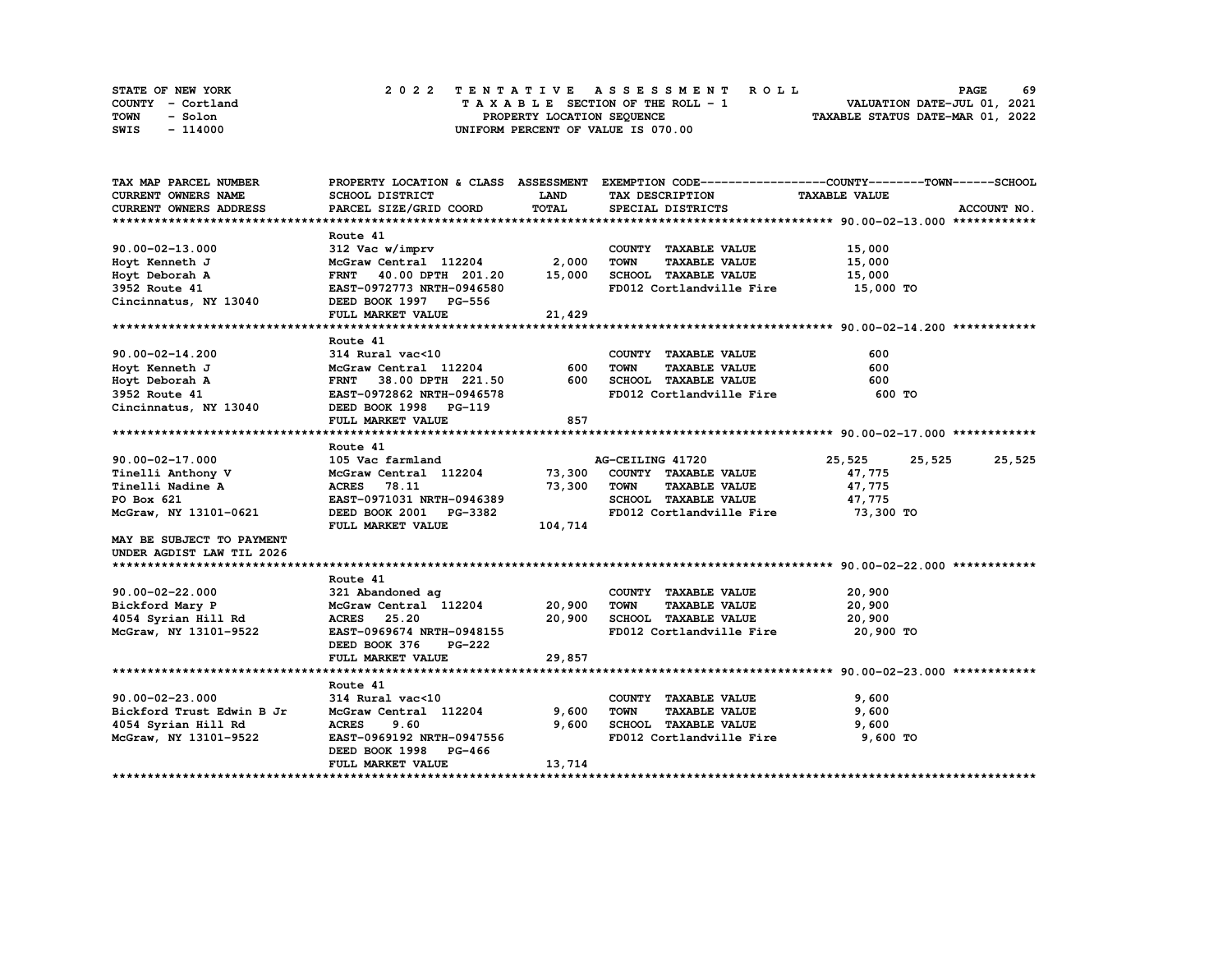| STATE OF NEW YORK | 2022 TENTATIVE ASSESSMENT ROLL     | -69<br><b>PAGE</b>               |
|-------------------|------------------------------------|----------------------------------|
| COUNTY - Cortland | TAXABLE SECTION OF THE ROLL - 1    | VALUATION DATE-JUL 01, 2021      |
| TOWN<br>- Solon   | PROPERTY LOCATION SEQUENCE         | TAXABLE STATUS DATE-MAR 01, 2022 |
| - 114000<br>SWIS  | UNIFORM PERCENT OF VALUE IS 070.00 |                                  |

| TAX MAP PARCEL NUMBER      |                               |             |                                     | PROPERTY LOCATION & CLASS ASSESSMENT EXEMPTION CODE----------------COUNTY-------TOWN-----SCHOOL |
|----------------------------|-------------------------------|-------------|-------------------------------------|-------------------------------------------------------------------------------------------------|
| <b>CURRENT OWNERS NAME</b> | SCHOOL DISTRICT               | <b>LAND</b> | TAX DESCRIPTION                     | <b>TAXABLE VALUE</b>                                                                            |
| CURRENT OWNERS ADDRESS     | PARCEL SIZE/GRID COORD        | TOTAL       | SPECIAL DISTRICTS                   | ACCOUNT NO.                                                                                     |
|                            |                               |             |                                     |                                                                                                 |
|                            | Route 41                      |             |                                     |                                                                                                 |
| $90.00 - 02 - 13.000$      | 312 Vac w/imprv               |             | COUNTY TAXABLE VALUE                | 15,000                                                                                          |
| Hoyt Kenneth J             | McGraw Central 112204 2,000   |             | <b>TOWN</b><br><b>TAXABLE VALUE</b> | 15,000                                                                                          |
| Hoyt Deborah A             | FRNT 40.00 DPTH 201.20 15,000 |             | SCHOOL TAXABLE VALUE                | 15,000                                                                                          |
| 3952 Route 41              | EAST-0972773 NRTH-0946580     |             | FD012 Cortlandville Fire            | 15,000 TO                                                                                       |
| Cincinnatus, NY 13040      | DEED BOOK 1997 PG-556         |             |                                     |                                                                                                 |
|                            | FULL MARKET VALUE             | 21,429      |                                     |                                                                                                 |
|                            |                               |             |                                     |                                                                                                 |
|                            | Route 41                      |             |                                     |                                                                                                 |
| $90.00 - 02 - 14.200$      | 314 Rural vac<10              |             | COUNTY TAXABLE VALUE                | 600                                                                                             |
| Hoyt Kenneth J             | McGraw Central 112204 600     |             | <b>TAXABLE VALUE</b><br>TOWN        | 600                                                                                             |
| Hoyt Deborah A             | FRNT 38.00 DPTH 221.50        | 600         | SCHOOL TAXABLE VALUE                | 600                                                                                             |
| 3952 Route 41              | EAST-0972862 NRTH-0946578     |             | FD012 Cortlandville Fire            | 600 TO                                                                                          |
| Cincinnatus, NY 13040      | DEED BOOK 1998 PG-119         |             |                                     |                                                                                                 |
|                            | FULL MARKET VALUE             | 857         |                                     |                                                                                                 |
|                            |                               |             |                                     |                                                                                                 |
|                            | Route 41                      |             |                                     |                                                                                                 |
| $90.00 - 02 - 17.000$      | 105 Vac farmland              |             | AG-CEILING 41720                    | 25,525<br>25,525 25,525                                                                         |
| Tinelli Anthony V          | McGraw Central 112204         | 73,300      | COUNTY TAXABLE VALUE                | 47,775                                                                                          |
| Tinelli Nadine A           | <b>ACRES</b> 78.11            | 73,300      | <b>TOWN</b><br><b>TAXABLE VALUE</b> | 47,775                                                                                          |
| PO Box 621                 | EAST-0971031 NRTH-0946389     |             | SCHOOL TAXABLE VALUE                | 47,775                                                                                          |
| McGraw, NY 13101-0621      | DEED BOOK 2001 PG-3382        |             | FD012 Cortlandville Fire            | 73,300 TO                                                                                       |
|                            | FULL MARKET VALUE             | 104,714     |                                     |                                                                                                 |
| MAY BE SUBJECT TO PAYMENT  |                               |             |                                     |                                                                                                 |
| UNDER AGDIST LAW TIL 2026  |                               |             |                                     |                                                                                                 |
|                            |                               |             |                                     |                                                                                                 |
|                            | Route 41                      |             |                                     |                                                                                                 |
| $90.00 - 02 - 22.000$      | 321 Abandoned ag              |             | COUNTY TAXABLE VALUE                | 20,900                                                                                          |
| Bickford Mary P            | McGraw Central 112204 20,900  |             | <b>TOWN</b><br><b>TAXABLE VALUE</b> | 20,900                                                                                          |
| 4054 Syrian Hill Rd        | ACRES 25.20                   | 20,900      | SCHOOL TAXABLE VALUE                | 20,900                                                                                          |
| McGraw, NY 13101-9522      | EAST-0969674 NRTH-0948155     |             | FD012 Cortlandville Fire 20,900 TO  |                                                                                                 |
|                            | DEED BOOK 376<br>PG-222       |             |                                     |                                                                                                 |
|                            | FULL MARKET VALUE             | 29,857      |                                     |                                                                                                 |
|                            |                               |             |                                     |                                                                                                 |
|                            | Route 41                      |             |                                     |                                                                                                 |
| $90.00 - 02 - 23.000$      | 314 Rural vac<10              |             | COUNTY TAXABLE VALUE                | 9,600                                                                                           |
| Bickford Trust Edwin B Jr  | McGraw Central 112204         | 9,600       | <b>TOWN</b><br><b>TAXABLE VALUE</b> | 9,600                                                                                           |
| 4054 Syrian Hill Rd        | <b>ACRES</b><br>9.60          | 9,600       | SCHOOL TAXABLE VALUE                | 9,600                                                                                           |
| McGraw, NY 13101-9522      | EAST-0969192 NRTH-0947556     |             | FD012 Cortlandville Fire            | 9,600 TO                                                                                        |
|                            | DEED BOOK 1998 PG-466         |             |                                     |                                                                                                 |
|                            | FULL MARKET VALUE             | 13,714      |                                     |                                                                                                 |
|                            |                               |             |                                     |                                                                                                 |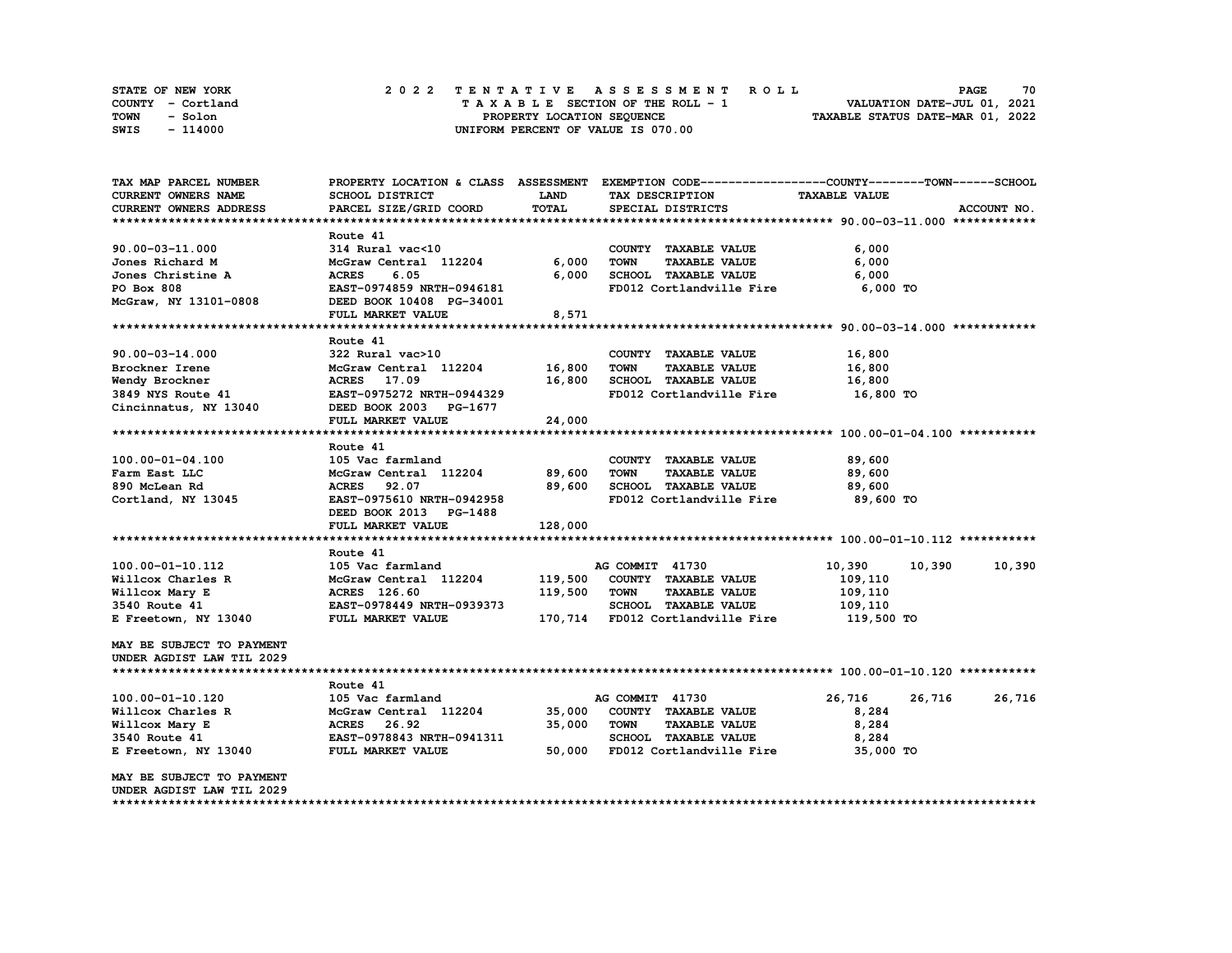| STATE OF NEW YORK | 2022 TENTATIVE ASSESSMENT ROLL     | 70<br><b>PAGE</b>                |
|-------------------|------------------------------------|----------------------------------|
| COUNTY - Cortland | TAXABLE SECTION OF THE ROLL - 1    | VALUATION DATE-JUL 01, 2021      |
| TOWN<br>- Solon   | PROPERTY LOCATION SEQUENCE         | TAXABLE STATUS DATE-MAR 01, 2022 |
| SWIS<br>- 114000  | UNIFORM PERCENT OF VALUE IS 070.00 |                                  |

| TAX MAP PARCEL NUMBER      |                           |             | PROPERTY LOCATION & CLASS ASSESSMENT EXEMPTION CODE----------------COUNTY-------TOWN------SCHOOL |                      |             |
|----------------------------|---------------------------|-------------|--------------------------------------------------------------------------------------------------|----------------------|-------------|
| <b>CURRENT OWNERS NAME</b> | <b>SCHOOL DISTRICT</b>    | <b>LAND</b> | TAX DESCRIPTION                                                                                  | <b>TAXABLE VALUE</b> |             |
| CURRENT OWNERS ADDRESS     | PARCEL SIZE/GRID COORD    | TOTAL       | SPECIAL DISTRICTS                                                                                |                      | ACCOUNT NO. |
|                            |                           |             |                                                                                                  |                      |             |
|                            | Route 41                  |             |                                                                                                  |                      |             |
| 90.00-03-11.000            | 314 Rural vac<10          |             | COUNTY TAXABLE VALUE                                                                             | 6,000                |             |
| Jones Richard M            | McGraw Central 112204     | 6,000       | <b>TOWN</b><br><b>TAXABLE VALUE</b>                                                              | 6,000                |             |
| Jones Christine A          | <b>ACRES</b><br>6.05      | 6,000       | SCHOOL TAXABLE VALUE                                                                             | 6,000                |             |
| PO Box 808                 | EAST-0974859 NRTH-0946181 |             | FD012 Cortlandville Fire                                                                         | 6,000 TO             |             |
| McGraw, NY 13101-0808      | DEED BOOK 10408 PG-34001  |             |                                                                                                  |                      |             |
|                            | FULL MARKET VALUE         | 8,571       |                                                                                                  |                      |             |
|                            |                           |             |                                                                                                  |                      |             |
|                            | Route 41                  |             |                                                                                                  |                      |             |
| $90.00 - 03 - 14.000$      | 322 Rural vac>10          |             | COUNTY TAXABLE VALUE                                                                             | 16,800               |             |
| Brockner Irene             | McGraw Central 112204     | 16,800      | <b>TAXABLE VALUE</b><br>TOWN                                                                     | 16,800               |             |
| Wendy Brockner             | ACRES 17.09               | 16,800      | SCHOOL TAXABLE VALUE                                                                             | 16,800               |             |
| 3849 NYS Route 41          | EAST-0975272 NRTH-0944329 |             | FD012 Cortlandville Fire                                                                         | 16,800 TO            |             |
| Cincinnatus, NY 13040      | DEED BOOK 2003 PG-1677    |             |                                                                                                  |                      |             |
|                            | FULL MARKET VALUE         | 24,000      |                                                                                                  |                      |             |
|                            |                           |             |                                                                                                  |                      |             |
|                            |                           |             |                                                                                                  |                      |             |
|                            | Route 41                  |             |                                                                                                  |                      |             |
| $100.00 - 01 - 04.100$     | 105 Vac farmland          |             | COUNTY TAXABLE VALUE                                                                             | 89,600               |             |
| Farm East LLC              | McGraw Central 112204     | 89,600      | <b>TOWN</b><br><b>TAXABLE VALUE</b>                                                              | 89,600               |             |
| 890 McLean Rd              | ACRES 92.07               | 89,600      | SCHOOL TAXABLE VALUE                                                                             | 89,600               |             |
| Cortland, NY 13045         | EAST-0975610 NRTH-0942958 |             | FD012 Cortlandville Fire                                                                         | 89,600 TO            |             |
|                            | DEED BOOK 2013 PG-1488    |             |                                                                                                  |                      |             |
|                            | FULL MARKET VALUE         | 128,000     |                                                                                                  |                      |             |
|                            |                           |             |                                                                                                  |                      |             |
|                            | Route 41                  |             |                                                                                                  |                      |             |
| 100.00-01-10.112           | 105 Vac farmland          |             | AG COMMIT 41730                                                                                  | 10,390<br>10,390     | 10,390      |
| Willcox Charles R          | McGraw Central 112204     | 119,500     | COUNTY TAXABLE VALUE                                                                             | 109,110              |             |
| Willcox Mary E             | ACRES 126.60              | 119,500     | <b>TOWN</b><br><b>TAXABLE VALUE</b>                                                              | 109,110              |             |
| 3540 Route 41              | EAST-0978449 NRTH-0939373 |             | SCHOOL TAXABLE VALUE                                                                             | 109,110              |             |
| E Freetown, NY 13040       | FULL MARKET VALUE         |             | 170,714 FD012 Cortlandville Fire                                                                 | 119,500 TO           |             |
|                            |                           |             |                                                                                                  |                      |             |
| MAY BE SUBJECT TO PAYMENT  |                           |             |                                                                                                  |                      |             |
| UNDER AGDIST LAW TIL 2029  |                           |             |                                                                                                  |                      |             |
|                            |                           |             |                                                                                                  |                      |             |
|                            | Route 41                  |             |                                                                                                  |                      |             |
| 100.00-01-10.120           | 105 Vac farmland          |             | AG COMMIT 41730                                                                                  | 26,716<br>26,716     | 26,716      |
| Willcox Charles R          | McGraw Central 112204     | 35,000      | COUNTY TAXABLE VALUE                                                                             | 8,284                |             |
| Willcox Mary E             | <b>ACRES</b> 26.92        | 35,000      | <b>TOWN</b><br><b>TAXABLE VALUE</b>                                                              | 8,284                |             |
| 3540 Route 41              | EAST-0978843 NRTH-0941311 |             | SCHOOL TAXABLE VALUE                                                                             | 8,284                |             |
| E Freetown, NY 13040       | <b>FULL MARKET VALUE</b>  |             | 50,000 FD012 Cortlandville Fire                                                                  | 35,000 TO            |             |
|                            |                           |             |                                                                                                  |                      |             |
| MAY BE SUBJECT TO PAYMENT  |                           |             |                                                                                                  |                      |             |
| UNDER AGDIST LAW TIL 2029  |                           |             |                                                                                                  |                      |             |
|                            |                           |             |                                                                                                  |                      |             |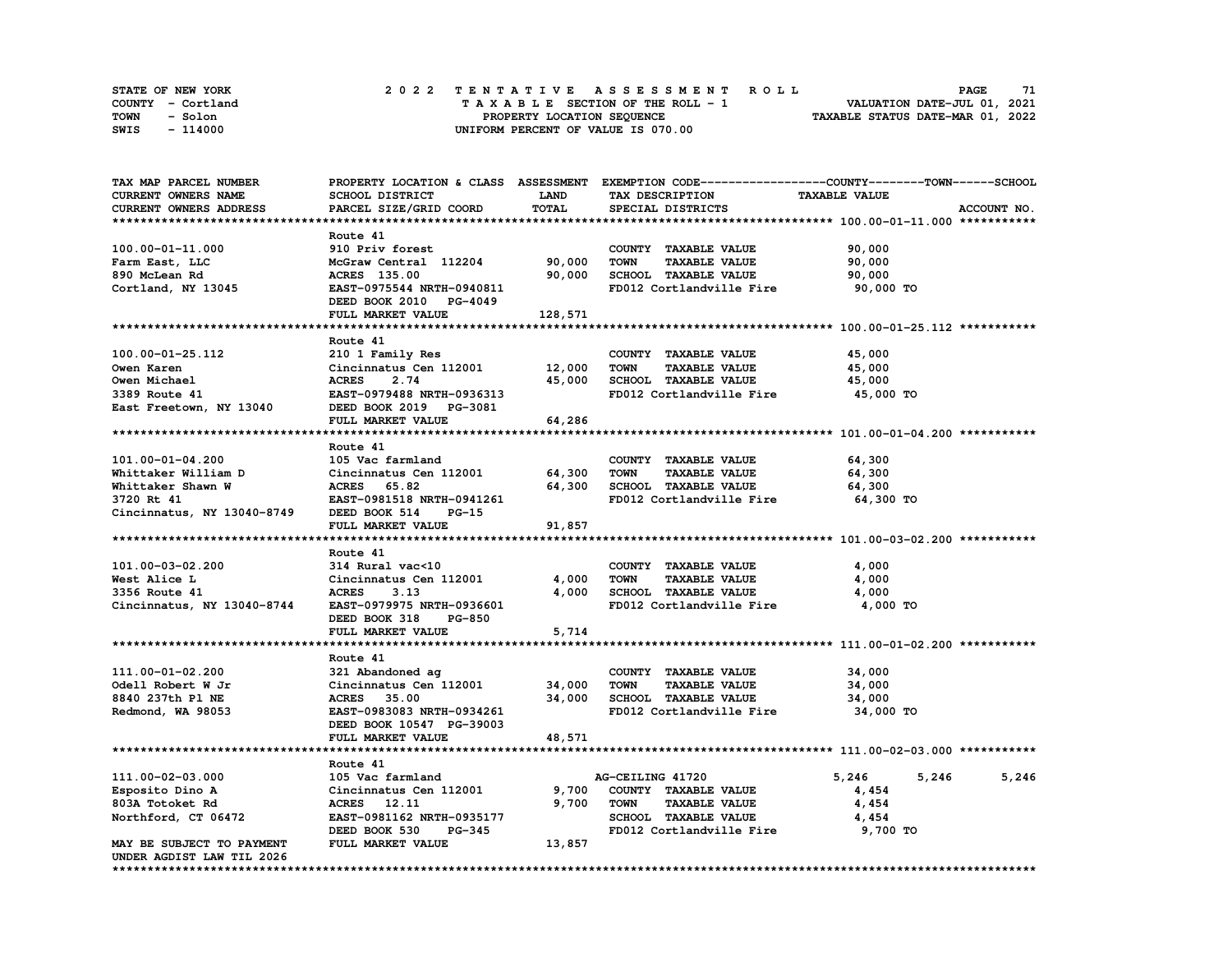| STATE OF NEW YORK | 2022 TENTATIVE ASSESSMENT ROLL     | 71<br><b>PAGE</b>                |
|-------------------|------------------------------------|----------------------------------|
| COUNTY - Cortland | TAXABLE SECTION OF THE ROLL - 1    | VALUATION DATE-JUL 01, 2021      |
| TOWN<br>- Solon   | PROPERTY LOCATION SEQUENCE         | TAXABLE STATUS DATE-MAR 01, 2022 |
| SWIS<br>- 114000  | UNIFORM PERCENT OF VALUE IS 070.00 |                                  |

| SCHOOL DISTRICT<br><b>LAND</b><br><b>TAXABLE VALUE</b><br>TAX DESCRIPTION<br>TOTAL<br>PARCEL SIZE/GRID COORD<br>SPECIAL DISTRICTS<br>ACCOUNT NO.<br>Route 41<br>910 Priv forest<br>90,000<br>COUNTY TAXABLE VALUE<br>McGraw Central 112204<br>90,000<br><b>TOWN</b><br><b>TAXABLE VALUE</b><br>90,000<br>Farm East, LLC<br>90,000<br>SCHOOL TAXABLE VALUE<br>90,000<br>ACRES 135.00<br>Cortland, NY 13045<br>EAST-0975544 NRTH-0940811<br>FD012 Cortlandville Fire<br>90,000 TO<br>DEED BOOK 2010 PG-4049<br>FULL MARKET VALUE<br>128,571<br>Route 41<br>100.00-01-25.112<br>210 1 Family Res<br>COUNTY TAXABLE VALUE<br>45,000<br>Cincinnatus Cen 112001 12,000<br><b>TOWN</b><br><b>TAXABLE VALUE</b><br>45,000<br>45,000<br>SCHOOL TAXABLE VALUE<br><b>ACRES</b><br>2.74<br>45,000<br>Owen Michael<br>3389 Route 41<br>EAST-0979488 NRTH-0936313<br>FD012 Cortlandville Fire<br>45,000 TO<br>East Freetown, NY 13040<br>DEED BOOK 2019 PG-3081<br>64,286<br>FULL MARKET VALUE<br>Route 41<br>105 Vac farmland<br>COUNTY TAXABLE VALUE<br>64,300<br>101.00-01-04.200<br>Cincinnatus Cen 112001<br>64,300<br><b>TOWN</b><br><b>TAXABLE VALUE</b><br>64,300<br>Whittaker William D<br>64,300<br>SCHOOL TAXABLE VALUE<br>64,300<br>Whittaker Shawn W<br>ACRES 65.82<br>3720 Rt 41<br>EAST-0981518 NRTH-0941261<br>FD012 Cortlandville Fire<br>64,300 TO<br>Cincinnatus, NY 13040-8749<br>DEED BOOK 514<br>PG-15<br>FULL MARKET VALUE<br>91,857<br>Route 41<br>101.00-03-02.200<br>314 Rural vac<10<br>COUNTY TAXABLE VALUE<br>4,000<br>Cincinnatus Cen 112001<br>4,000<br><b>TOWN</b><br><b>TAXABLE VALUE</b><br>4,000<br>West Alice L<br>3356 Route 41<br>4,000<br>SCHOOL TAXABLE VALUE<br>4,000<br>ACRES<br>3.13<br>Cincinnatus, NY 13040-8744<br>EAST-0979975 NRTH-0936601<br>FD012 Cortlandville Fire<br>4,000 TO<br>DEED BOOK 318<br>PG-850<br>5,714<br>FULL MARKET VALUE<br>Route 41<br>111.00-01-02.200<br>321 Abandoned ag<br>COUNTY TAXABLE VALUE<br>34,000<br>Cincinnatus Cen 112001<br>34,000<br><b>TAXABLE VALUE</b><br>Odell Robert W Jr<br>TOWN<br>34,000<br>34,000<br>SCHOOL TAXABLE VALUE<br>8840 237th P1 NE<br>ACRES 35.00<br>34,000<br>34,000 TO<br>Redmond, WA 98053<br>EAST-0983083 NRTH-0934261<br>FD012 Cortlandville Fire<br>DEED BOOK 10547 PG-39003<br>FULL MARKET VALUE<br>48,571<br>Route 41<br>5,246<br>111.00-02-03.000<br>105 Vac farmland<br>AG-CEILING 41720<br>5,246<br>5,246<br>Cincinnatus Cen 112001<br>9,700<br>COUNTY TAXABLE VALUE<br>Esposito Dino A<br>4,454<br>9,700<br>803A Totoket Rd<br>ACRES 12.11<br>TOWN<br><b>TAXABLE VALUE</b><br>4,454<br>SCHOOL TAXABLE VALUE<br>EAST-0981162 NRTH-0935177<br>4,454<br>Northford, CT 06472<br>9,700 TO<br>FD012 Cortlandville Fire<br>DEED BOOK 530<br><b>PG-345</b><br>FULL MARKET VALUE<br>13,857<br>MAY BE SUBJECT TO PAYMENT<br>UNDER AGDIST LAW TIL 2026 | TAX MAP PARCEL NUMBER  |  | PROPERTY LOCATION & CLASS ASSESSMENT EXEMPTION CODE----------------COUNTY-------TOWN------SCHOOL |  |
|---------------------------------------------------------------------------------------------------------------------------------------------------------------------------------------------------------------------------------------------------------------------------------------------------------------------------------------------------------------------------------------------------------------------------------------------------------------------------------------------------------------------------------------------------------------------------------------------------------------------------------------------------------------------------------------------------------------------------------------------------------------------------------------------------------------------------------------------------------------------------------------------------------------------------------------------------------------------------------------------------------------------------------------------------------------------------------------------------------------------------------------------------------------------------------------------------------------------------------------------------------------------------------------------------------------------------------------------------------------------------------------------------------------------------------------------------------------------------------------------------------------------------------------------------------------------------------------------------------------------------------------------------------------------------------------------------------------------------------------------------------------------------------------------------------------------------------------------------------------------------------------------------------------------------------------------------------------------------------------------------------------------------------------------------------------------------------------------------------------------------------------------------------------------------------------------------------------------------------------------------------------------------------------------------------------------------------------------------------------------------------------------------------------------------------------------------------------------------------------------------------------------------------------------------------------------------------------------------------------------------------------------------------------------------------------------------------------------------------------------------------------------------------------------------------------------------------------------------|------------------------|--|--------------------------------------------------------------------------------------------------|--|
|                                                                                                                                                                                                                                                                                                                                                                                                                                                                                                                                                                                                                                                                                                                                                                                                                                                                                                                                                                                                                                                                                                                                                                                                                                                                                                                                                                                                                                                                                                                                                                                                                                                                                                                                                                                                                                                                                                                                                                                                                                                                                                                                                                                                                                                                                                                                                                                                                                                                                                                                                                                                                                                                                                                                                                                                                                                   | CURRENT OWNERS NAME    |  |                                                                                                  |  |
|                                                                                                                                                                                                                                                                                                                                                                                                                                                                                                                                                                                                                                                                                                                                                                                                                                                                                                                                                                                                                                                                                                                                                                                                                                                                                                                                                                                                                                                                                                                                                                                                                                                                                                                                                                                                                                                                                                                                                                                                                                                                                                                                                                                                                                                                                                                                                                                                                                                                                                                                                                                                                                                                                                                                                                                                                                                   | CURRENT OWNERS ADDRESS |  |                                                                                                  |  |
|                                                                                                                                                                                                                                                                                                                                                                                                                                                                                                                                                                                                                                                                                                                                                                                                                                                                                                                                                                                                                                                                                                                                                                                                                                                                                                                                                                                                                                                                                                                                                                                                                                                                                                                                                                                                                                                                                                                                                                                                                                                                                                                                                                                                                                                                                                                                                                                                                                                                                                                                                                                                                                                                                                                                                                                                                                                   |                        |  |                                                                                                  |  |
|                                                                                                                                                                                                                                                                                                                                                                                                                                                                                                                                                                                                                                                                                                                                                                                                                                                                                                                                                                                                                                                                                                                                                                                                                                                                                                                                                                                                                                                                                                                                                                                                                                                                                                                                                                                                                                                                                                                                                                                                                                                                                                                                                                                                                                                                                                                                                                                                                                                                                                                                                                                                                                                                                                                                                                                                                                                   |                        |  |                                                                                                  |  |
|                                                                                                                                                                                                                                                                                                                                                                                                                                                                                                                                                                                                                                                                                                                                                                                                                                                                                                                                                                                                                                                                                                                                                                                                                                                                                                                                                                                                                                                                                                                                                                                                                                                                                                                                                                                                                                                                                                                                                                                                                                                                                                                                                                                                                                                                                                                                                                                                                                                                                                                                                                                                                                                                                                                                                                                                                                                   | 100.00-01-11.000       |  |                                                                                                  |  |
|                                                                                                                                                                                                                                                                                                                                                                                                                                                                                                                                                                                                                                                                                                                                                                                                                                                                                                                                                                                                                                                                                                                                                                                                                                                                                                                                                                                                                                                                                                                                                                                                                                                                                                                                                                                                                                                                                                                                                                                                                                                                                                                                                                                                                                                                                                                                                                                                                                                                                                                                                                                                                                                                                                                                                                                                                                                   |                        |  |                                                                                                  |  |
|                                                                                                                                                                                                                                                                                                                                                                                                                                                                                                                                                                                                                                                                                                                                                                                                                                                                                                                                                                                                                                                                                                                                                                                                                                                                                                                                                                                                                                                                                                                                                                                                                                                                                                                                                                                                                                                                                                                                                                                                                                                                                                                                                                                                                                                                                                                                                                                                                                                                                                                                                                                                                                                                                                                                                                                                                                                   | 890 McLean Rd          |  |                                                                                                  |  |
|                                                                                                                                                                                                                                                                                                                                                                                                                                                                                                                                                                                                                                                                                                                                                                                                                                                                                                                                                                                                                                                                                                                                                                                                                                                                                                                                                                                                                                                                                                                                                                                                                                                                                                                                                                                                                                                                                                                                                                                                                                                                                                                                                                                                                                                                                                                                                                                                                                                                                                                                                                                                                                                                                                                                                                                                                                                   |                        |  |                                                                                                  |  |
|                                                                                                                                                                                                                                                                                                                                                                                                                                                                                                                                                                                                                                                                                                                                                                                                                                                                                                                                                                                                                                                                                                                                                                                                                                                                                                                                                                                                                                                                                                                                                                                                                                                                                                                                                                                                                                                                                                                                                                                                                                                                                                                                                                                                                                                                                                                                                                                                                                                                                                                                                                                                                                                                                                                                                                                                                                                   |                        |  |                                                                                                  |  |
|                                                                                                                                                                                                                                                                                                                                                                                                                                                                                                                                                                                                                                                                                                                                                                                                                                                                                                                                                                                                                                                                                                                                                                                                                                                                                                                                                                                                                                                                                                                                                                                                                                                                                                                                                                                                                                                                                                                                                                                                                                                                                                                                                                                                                                                                                                                                                                                                                                                                                                                                                                                                                                                                                                                                                                                                                                                   |                        |  |                                                                                                  |  |
|                                                                                                                                                                                                                                                                                                                                                                                                                                                                                                                                                                                                                                                                                                                                                                                                                                                                                                                                                                                                                                                                                                                                                                                                                                                                                                                                                                                                                                                                                                                                                                                                                                                                                                                                                                                                                                                                                                                                                                                                                                                                                                                                                                                                                                                                                                                                                                                                                                                                                                                                                                                                                                                                                                                                                                                                                                                   |                        |  |                                                                                                  |  |
|                                                                                                                                                                                                                                                                                                                                                                                                                                                                                                                                                                                                                                                                                                                                                                                                                                                                                                                                                                                                                                                                                                                                                                                                                                                                                                                                                                                                                                                                                                                                                                                                                                                                                                                                                                                                                                                                                                                                                                                                                                                                                                                                                                                                                                                                                                                                                                                                                                                                                                                                                                                                                                                                                                                                                                                                                                                   |                        |  |                                                                                                  |  |
|                                                                                                                                                                                                                                                                                                                                                                                                                                                                                                                                                                                                                                                                                                                                                                                                                                                                                                                                                                                                                                                                                                                                                                                                                                                                                                                                                                                                                                                                                                                                                                                                                                                                                                                                                                                                                                                                                                                                                                                                                                                                                                                                                                                                                                                                                                                                                                                                                                                                                                                                                                                                                                                                                                                                                                                                                                                   |                        |  |                                                                                                  |  |
|                                                                                                                                                                                                                                                                                                                                                                                                                                                                                                                                                                                                                                                                                                                                                                                                                                                                                                                                                                                                                                                                                                                                                                                                                                                                                                                                                                                                                                                                                                                                                                                                                                                                                                                                                                                                                                                                                                                                                                                                                                                                                                                                                                                                                                                                                                                                                                                                                                                                                                                                                                                                                                                                                                                                                                                                                                                   | Owen Karen             |  |                                                                                                  |  |
|                                                                                                                                                                                                                                                                                                                                                                                                                                                                                                                                                                                                                                                                                                                                                                                                                                                                                                                                                                                                                                                                                                                                                                                                                                                                                                                                                                                                                                                                                                                                                                                                                                                                                                                                                                                                                                                                                                                                                                                                                                                                                                                                                                                                                                                                                                                                                                                                                                                                                                                                                                                                                                                                                                                                                                                                                                                   |                        |  |                                                                                                  |  |
|                                                                                                                                                                                                                                                                                                                                                                                                                                                                                                                                                                                                                                                                                                                                                                                                                                                                                                                                                                                                                                                                                                                                                                                                                                                                                                                                                                                                                                                                                                                                                                                                                                                                                                                                                                                                                                                                                                                                                                                                                                                                                                                                                                                                                                                                                                                                                                                                                                                                                                                                                                                                                                                                                                                                                                                                                                                   |                        |  |                                                                                                  |  |
|                                                                                                                                                                                                                                                                                                                                                                                                                                                                                                                                                                                                                                                                                                                                                                                                                                                                                                                                                                                                                                                                                                                                                                                                                                                                                                                                                                                                                                                                                                                                                                                                                                                                                                                                                                                                                                                                                                                                                                                                                                                                                                                                                                                                                                                                                                                                                                                                                                                                                                                                                                                                                                                                                                                                                                                                                                                   |                        |  |                                                                                                  |  |
|                                                                                                                                                                                                                                                                                                                                                                                                                                                                                                                                                                                                                                                                                                                                                                                                                                                                                                                                                                                                                                                                                                                                                                                                                                                                                                                                                                                                                                                                                                                                                                                                                                                                                                                                                                                                                                                                                                                                                                                                                                                                                                                                                                                                                                                                                                                                                                                                                                                                                                                                                                                                                                                                                                                                                                                                                                                   |                        |  |                                                                                                  |  |
|                                                                                                                                                                                                                                                                                                                                                                                                                                                                                                                                                                                                                                                                                                                                                                                                                                                                                                                                                                                                                                                                                                                                                                                                                                                                                                                                                                                                                                                                                                                                                                                                                                                                                                                                                                                                                                                                                                                                                                                                                                                                                                                                                                                                                                                                                                                                                                                                                                                                                                                                                                                                                                                                                                                                                                                                                                                   |                        |  |                                                                                                  |  |
|                                                                                                                                                                                                                                                                                                                                                                                                                                                                                                                                                                                                                                                                                                                                                                                                                                                                                                                                                                                                                                                                                                                                                                                                                                                                                                                                                                                                                                                                                                                                                                                                                                                                                                                                                                                                                                                                                                                                                                                                                                                                                                                                                                                                                                                                                                                                                                                                                                                                                                                                                                                                                                                                                                                                                                                                                                                   |                        |  |                                                                                                  |  |
|                                                                                                                                                                                                                                                                                                                                                                                                                                                                                                                                                                                                                                                                                                                                                                                                                                                                                                                                                                                                                                                                                                                                                                                                                                                                                                                                                                                                                                                                                                                                                                                                                                                                                                                                                                                                                                                                                                                                                                                                                                                                                                                                                                                                                                                                                                                                                                                                                                                                                                                                                                                                                                                                                                                                                                                                                                                   |                        |  |                                                                                                  |  |
|                                                                                                                                                                                                                                                                                                                                                                                                                                                                                                                                                                                                                                                                                                                                                                                                                                                                                                                                                                                                                                                                                                                                                                                                                                                                                                                                                                                                                                                                                                                                                                                                                                                                                                                                                                                                                                                                                                                                                                                                                                                                                                                                                                                                                                                                                                                                                                                                                                                                                                                                                                                                                                                                                                                                                                                                                                                   |                        |  |                                                                                                  |  |
|                                                                                                                                                                                                                                                                                                                                                                                                                                                                                                                                                                                                                                                                                                                                                                                                                                                                                                                                                                                                                                                                                                                                                                                                                                                                                                                                                                                                                                                                                                                                                                                                                                                                                                                                                                                                                                                                                                                                                                                                                                                                                                                                                                                                                                                                                                                                                                                                                                                                                                                                                                                                                                                                                                                                                                                                                                                   |                        |  |                                                                                                  |  |
|                                                                                                                                                                                                                                                                                                                                                                                                                                                                                                                                                                                                                                                                                                                                                                                                                                                                                                                                                                                                                                                                                                                                                                                                                                                                                                                                                                                                                                                                                                                                                                                                                                                                                                                                                                                                                                                                                                                                                                                                                                                                                                                                                                                                                                                                                                                                                                                                                                                                                                                                                                                                                                                                                                                                                                                                                                                   |                        |  |                                                                                                  |  |
|                                                                                                                                                                                                                                                                                                                                                                                                                                                                                                                                                                                                                                                                                                                                                                                                                                                                                                                                                                                                                                                                                                                                                                                                                                                                                                                                                                                                                                                                                                                                                                                                                                                                                                                                                                                                                                                                                                                                                                                                                                                                                                                                                                                                                                                                                                                                                                                                                                                                                                                                                                                                                                                                                                                                                                                                                                                   |                        |  |                                                                                                  |  |
|                                                                                                                                                                                                                                                                                                                                                                                                                                                                                                                                                                                                                                                                                                                                                                                                                                                                                                                                                                                                                                                                                                                                                                                                                                                                                                                                                                                                                                                                                                                                                                                                                                                                                                                                                                                                                                                                                                                                                                                                                                                                                                                                                                                                                                                                                                                                                                                                                                                                                                                                                                                                                                                                                                                                                                                                                                                   |                        |  |                                                                                                  |  |
|                                                                                                                                                                                                                                                                                                                                                                                                                                                                                                                                                                                                                                                                                                                                                                                                                                                                                                                                                                                                                                                                                                                                                                                                                                                                                                                                                                                                                                                                                                                                                                                                                                                                                                                                                                                                                                                                                                                                                                                                                                                                                                                                                                                                                                                                                                                                                                                                                                                                                                                                                                                                                                                                                                                                                                                                                                                   |                        |  |                                                                                                  |  |
|                                                                                                                                                                                                                                                                                                                                                                                                                                                                                                                                                                                                                                                                                                                                                                                                                                                                                                                                                                                                                                                                                                                                                                                                                                                                                                                                                                                                                                                                                                                                                                                                                                                                                                                                                                                                                                                                                                                                                                                                                                                                                                                                                                                                                                                                                                                                                                                                                                                                                                                                                                                                                                                                                                                                                                                                                                                   |                        |  |                                                                                                  |  |
|                                                                                                                                                                                                                                                                                                                                                                                                                                                                                                                                                                                                                                                                                                                                                                                                                                                                                                                                                                                                                                                                                                                                                                                                                                                                                                                                                                                                                                                                                                                                                                                                                                                                                                                                                                                                                                                                                                                                                                                                                                                                                                                                                                                                                                                                                                                                                                                                                                                                                                                                                                                                                                                                                                                                                                                                                                                   |                        |  |                                                                                                  |  |
|                                                                                                                                                                                                                                                                                                                                                                                                                                                                                                                                                                                                                                                                                                                                                                                                                                                                                                                                                                                                                                                                                                                                                                                                                                                                                                                                                                                                                                                                                                                                                                                                                                                                                                                                                                                                                                                                                                                                                                                                                                                                                                                                                                                                                                                                                                                                                                                                                                                                                                                                                                                                                                                                                                                                                                                                                                                   |                        |  |                                                                                                  |  |
|                                                                                                                                                                                                                                                                                                                                                                                                                                                                                                                                                                                                                                                                                                                                                                                                                                                                                                                                                                                                                                                                                                                                                                                                                                                                                                                                                                                                                                                                                                                                                                                                                                                                                                                                                                                                                                                                                                                                                                                                                                                                                                                                                                                                                                                                                                                                                                                                                                                                                                                                                                                                                                                                                                                                                                                                                                                   |                        |  |                                                                                                  |  |
|                                                                                                                                                                                                                                                                                                                                                                                                                                                                                                                                                                                                                                                                                                                                                                                                                                                                                                                                                                                                                                                                                                                                                                                                                                                                                                                                                                                                                                                                                                                                                                                                                                                                                                                                                                                                                                                                                                                                                                                                                                                                                                                                                                                                                                                                                                                                                                                                                                                                                                                                                                                                                                                                                                                                                                                                                                                   |                        |  |                                                                                                  |  |
|                                                                                                                                                                                                                                                                                                                                                                                                                                                                                                                                                                                                                                                                                                                                                                                                                                                                                                                                                                                                                                                                                                                                                                                                                                                                                                                                                                                                                                                                                                                                                                                                                                                                                                                                                                                                                                                                                                                                                                                                                                                                                                                                                                                                                                                                                                                                                                                                                                                                                                                                                                                                                                                                                                                                                                                                                                                   |                        |  |                                                                                                  |  |
|                                                                                                                                                                                                                                                                                                                                                                                                                                                                                                                                                                                                                                                                                                                                                                                                                                                                                                                                                                                                                                                                                                                                                                                                                                                                                                                                                                                                                                                                                                                                                                                                                                                                                                                                                                                                                                                                                                                                                                                                                                                                                                                                                                                                                                                                                                                                                                                                                                                                                                                                                                                                                                                                                                                                                                                                                                                   |                        |  |                                                                                                  |  |
|                                                                                                                                                                                                                                                                                                                                                                                                                                                                                                                                                                                                                                                                                                                                                                                                                                                                                                                                                                                                                                                                                                                                                                                                                                                                                                                                                                                                                                                                                                                                                                                                                                                                                                                                                                                                                                                                                                                                                                                                                                                                                                                                                                                                                                                                                                                                                                                                                                                                                                                                                                                                                                                                                                                                                                                                                                                   |                        |  |                                                                                                  |  |
|                                                                                                                                                                                                                                                                                                                                                                                                                                                                                                                                                                                                                                                                                                                                                                                                                                                                                                                                                                                                                                                                                                                                                                                                                                                                                                                                                                                                                                                                                                                                                                                                                                                                                                                                                                                                                                                                                                                                                                                                                                                                                                                                                                                                                                                                                                                                                                                                                                                                                                                                                                                                                                                                                                                                                                                                                                                   |                        |  |                                                                                                  |  |
|                                                                                                                                                                                                                                                                                                                                                                                                                                                                                                                                                                                                                                                                                                                                                                                                                                                                                                                                                                                                                                                                                                                                                                                                                                                                                                                                                                                                                                                                                                                                                                                                                                                                                                                                                                                                                                                                                                                                                                                                                                                                                                                                                                                                                                                                                                                                                                                                                                                                                                                                                                                                                                                                                                                                                                                                                                                   |                        |  |                                                                                                  |  |
|                                                                                                                                                                                                                                                                                                                                                                                                                                                                                                                                                                                                                                                                                                                                                                                                                                                                                                                                                                                                                                                                                                                                                                                                                                                                                                                                                                                                                                                                                                                                                                                                                                                                                                                                                                                                                                                                                                                                                                                                                                                                                                                                                                                                                                                                                                                                                                                                                                                                                                                                                                                                                                                                                                                                                                                                                                                   |                        |  |                                                                                                  |  |
|                                                                                                                                                                                                                                                                                                                                                                                                                                                                                                                                                                                                                                                                                                                                                                                                                                                                                                                                                                                                                                                                                                                                                                                                                                                                                                                                                                                                                                                                                                                                                                                                                                                                                                                                                                                                                                                                                                                                                                                                                                                                                                                                                                                                                                                                                                                                                                                                                                                                                                                                                                                                                                                                                                                                                                                                                                                   |                        |  |                                                                                                  |  |
|                                                                                                                                                                                                                                                                                                                                                                                                                                                                                                                                                                                                                                                                                                                                                                                                                                                                                                                                                                                                                                                                                                                                                                                                                                                                                                                                                                                                                                                                                                                                                                                                                                                                                                                                                                                                                                                                                                                                                                                                                                                                                                                                                                                                                                                                                                                                                                                                                                                                                                                                                                                                                                                                                                                                                                                                                                                   |                        |  |                                                                                                  |  |
|                                                                                                                                                                                                                                                                                                                                                                                                                                                                                                                                                                                                                                                                                                                                                                                                                                                                                                                                                                                                                                                                                                                                                                                                                                                                                                                                                                                                                                                                                                                                                                                                                                                                                                                                                                                                                                                                                                                                                                                                                                                                                                                                                                                                                                                                                                                                                                                                                                                                                                                                                                                                                                                                                                                                                                                                                                                   |                        |  |                                                                                                  |  |
|                                                                                                                                                                                                                                                                                                                                                                                                                                                                                                                                                                                                                                                                                                                                                                                                                                                                                                                                                                                                                                                                                                                                                                                                                                                                                                                                                                                                                                                                                                                                                                                                                                                                                                                                                                                                                                                                                                                                                                                                                                                                                                                                                                                                                                                                                                                                                                                                                                                                                                                                                                                                                                                                                                                                                                                                                                                   |                        |  |                                                                                                  |  |
|                                                                                                                                                                                                                                                                                                                                                                                                                                                                                                                                                                                                                                                                                                                                                                                                                                                                                                                                                                                                                                                                                                                                                                                                                                                                                                                                                                                                                                                                                                                                                                                                                                                                                                                                                                                                                                                                                                                                                                                                                                                                                                                                                                                                                                                                                                                                                                                                                                                                                                                                                                                                                                                                                                                                                                                                                                                   |                        |  |                                                                                                  |  |
|                                                                                                                                                                                                                                                                                                                                                                                                                                                                                                                                                                                                                                                                                                                                                                                                                                                                                                                                                                                                                                                                                                                                                                                                                                                                                                                                                                                                                                                                                                                                                                                                                                                                                                                                                                                                                                                                                                                                                                                                                                                                                                                                                                                                                                                                                                                                                                                                                                                                                                                                                                                                                                                                                                                                                                                                                                                   |                        |  |                                                                                                  |  |
|                                                                                                                                                                                                                                                                                                                                                                                                                                                                                                                                                                                                                                                                                                                                                                                                                                                                                                                                                                                                                                                                                                                                                                                                                                                                                                                                                                                                                                                                                                                                                                                                                                                                                                                                                                                                                                                                                                                                                                                                                                                                                                                                                                                                                                                                                                                                                                                                                                                                                                                                                                                                                                                                                                                                                                                                                                                   |                        |  |                                                                                                  |  |
|                                                                                                                                                                                                                                                                                                                                                                                                                                                                                                                                                                                                                                                                                                                                                                                                                                                                                                                                                                                                                                                                                                                                                                                                                                                                                                                                                                                                                                                                                                                                                                                                                                                                                                                                                                                                                                                                                                                                                                                                                                                                                                                                                                                                                                                                                                                                                                                                                                                                                                                                                                                                                                                                                                                                                                                                                                                   |                        |  |                                                                                                  |  |
|                                                                                                                                                                                                                                                                                                                                                                                                                                                                                                                                                                                                                                                                                                                                                                                                                                                                                                                                                                                                                                                                                                                                                                                                                                                                                                                                                                                                                                                                                                                                                                                                                                                                                                                                                                                                                                                                                                                                                                                                                                                                                                                                                                                                                                                                                                                                                                                                                                                                                                                                                                                                                                                                                                                                                                                                                                                   |                        |  |                                                                                                  |  |
|                                                                                                                                                                                                                                                                                                                                                                                                                                                                                                                                                                                                                                                                                                                                                                                                                                                                                                                                                                                                                                                                                                                                                                                                                                                                                                                                                                                                                                                                                                                                                                                                                                                                                                                                                                                                                                                                                                                                                                                                                                                                                                                                                                                                                                                                                                                                                                                                                                                                                                                                                                                                                                                                                                                                                                                                                                                   |                        |  |                                                                                                  |  |
|                                                                                                                                                                                                                                                                                                                                                                                                                                                                                                                                                                                                                                                                                                                                                                                                                                                                                                                                                                                                                                                                                                                                                                                                                                                                                                                                                                                                                                                                                                                                                                                                                                                                                                                                                                                                                                                                                                                                                                                                                                                                                                                                                                                                                                                                                                                                                                                                                                                                                                                                                                                                                                                                                                                                                                                                                                                   |                        |  |                                                                                                  |  |
|                                                                                                                                                                                                                                                                                                                                                                                                                                                                                                                                                                                                                                                                                                                                                                                                                                                                                                                                                                                                                                                                                                                                                                                                                                                                                                                                                                                                                                                                                                                                                                                                                                                                                                                                                                                                                                                                                                                                                                                                                                                                                                                                                                                                                                                                                                                                                                                                                                                                                                                                                                                                                                                                                                                                                                                                                                                   |                        |  |                                                                                                  |  |
|                                                                                                                                                                                                                                                                                                                                                                                                                                                                                                                                                                                                                                                                                                                                                                                                                                                                                                                                                                                                                                                                                                                                                                                                                                                                                                                                                                                                                                                                                                                                                                                                                                                                                                                                                                                                                                                                                                                                                                                                                                                                                                                                                                                                                                                                                                                                                                                                                                                                                                                                                                                                                                                                                                                                                                                                                                                   |                        |  |                                                                                                  |  |
|                                                                                                                                                                                                                                                                                                                                                                                                                                                                                                                                                                                                                                                                                                                                                                                                                                                                                                                                                                                                                                                                                                                                                                                                                                                                                                                                                                                                                                                                                                                                                                                                                                                                                                                                                                                                                                                                                                                                                                                                                                                                                                                                                                                                                                                                                                                                                                                                                                                                                                                                                                                                                                                                                                                                                                                                                                                   |                        |  |                                                                                                  |  |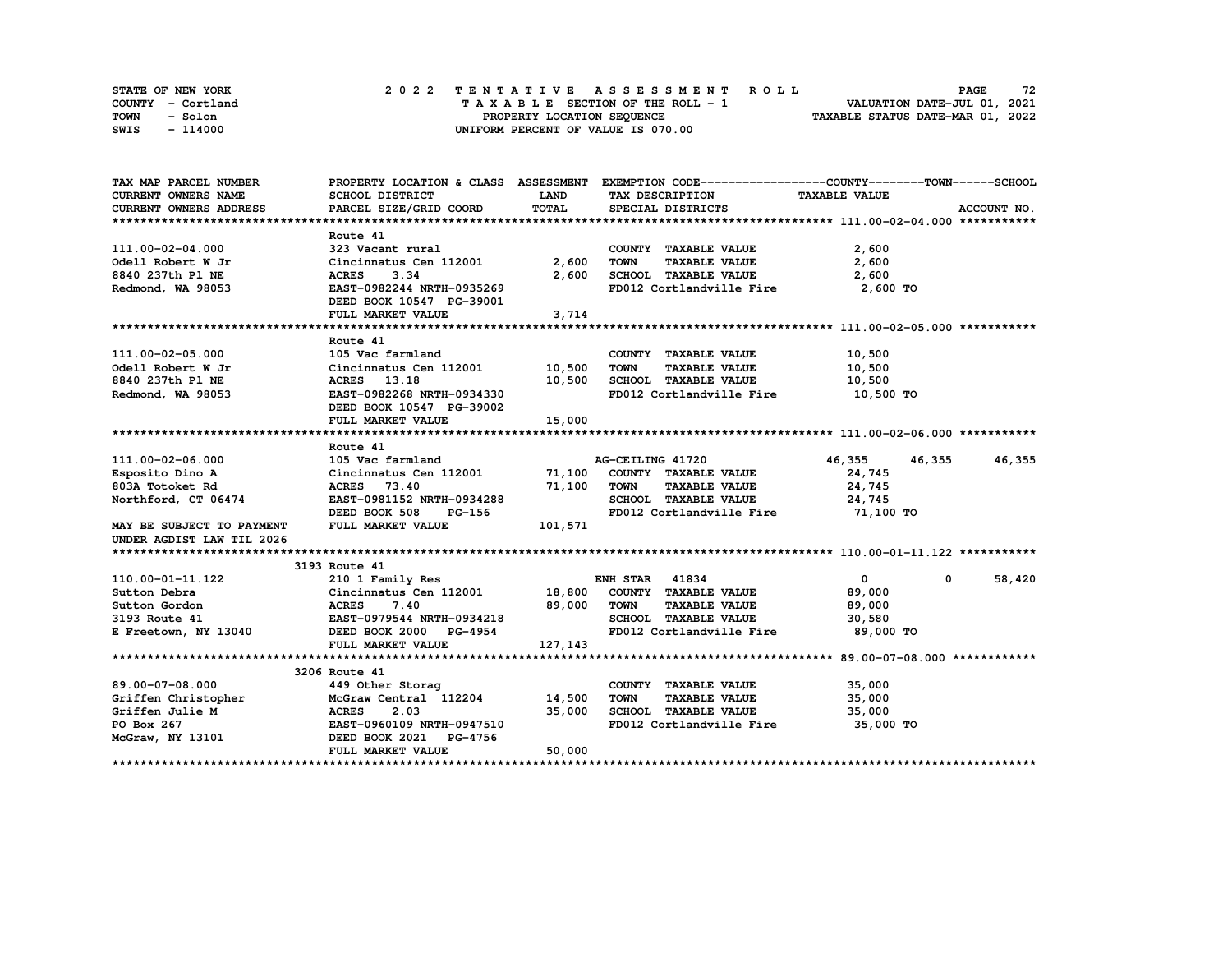| STATE OF NEW YORK | 2022 TENTATIVE ASSESSMENT ROLL     | 72<br><b>PAGE</b>                |
|-------------------|------------------------------------|----------------------------------|
| COUNTY - Cortland | TAXABLE SECTION OF THE ROLL - 1    | VALUATION DATE-JUL 01, 2021      |
| TOWN<br>- Solon   | PROPERTY LOCATION SEOUENCE         | TAXABLE STATUS DATE-MAR 01, 2022 |
| - 114000<br>SWIS  | UNIFORM PERCENT OF VALUE IS 070.00 |                                  |

| TAX MAP PARCEL NUMBER                                                                               |                                                                                                   |             | PROPERTY LOCATION & CLASS ASSESSMENT EXEMPTION CODE-----------------COUNTY-------TOWN-----SCHOOL |                      |                        |
|-----------------------------------------------------------------------------------------------------|---------------------------------------------------------------------------------------------------|-------------|--------------------------------------------------------------------------------------------------|----------------------|------------------------|
| <b>CURRENT OWNERS NAME</b>                                                                          | SCHOOL DISTRICT                                                                                   | <b>LAND</b> | TAX DESCRIPTION                                                                                  | <b>TAXABLE VALUE</b> |                        |
| CURRENT OWNERS ADDRESS                                                                              | PARCEL SIZE/GRID COORD                                                                            | TOTAL       | SPECIAL DISTRICTS                                                                                |                      | ACCOUNT NO.            |
|                                                                                                     |                                                                                                   |             |                                                                                                  |                      |                        |
|                                                                                                     | Route 41                                                                                          |             |                                                                                                  |                      |                        |
| 111.00-02-04.000                                                                                    | 323 Vacant rural                                                                                  |             | COUNTY TAXABLE VALUE                                                                             | 2,600                |                        |
| Odell Robert W Jr                                                                                   | Cincinnatus Cen 112001                                                                            | 2,600       | TOWN<br><b>TAXABLE VALUE</b>                                                                     | 2,600                |                        |
| 8840 237th P1 NE                                                                                    | 3.34<br><b>ACRES</b>                                                                              | 2,600       | SCHOOL TAXABLE VALUE                                                                             | 2,600                |                        |
| Redmond, WA 98053                                                                                   | EAST-0982244 NRTH-0935269                                                                         |             | FD012 Cortlandville Fire 2,600 TO                                                                |                      |                        |
|                                                                                                     | DEED BOOK 10547 PG-39001                                                                          |             |                                                                                                  |                      |                        |
|                                                                                                     | FULL MARKET VALUE                                                                                 | 3,714       |                                                                                                  |                      |                        |
|                                                                                                     |                                                                                                   |             |                                                                                                  |                      |                        |
|                                                                                                     | Route 41                                                                                          |             |                                                                                                  |                      |                        |
| 111.00-02-05.000                                                                                    | 105 Vac farmland                                                                                  |             | COUNTY TAXABLE VALUE                                                                             | 10,500               |                        |
| Odell Robert W Jr                                                                                   | Cincinnatus Cen 112001 10,500                                                                     |             | TOWN<br><b>TAXABLE VALUE</b>                                                                     | 10,500               |                        |
| 8840 237th P1 NE                                                                                    |                                                                                                   |             |                                                                                                  | 10,500               |                        |
| Redmond, WA 98053                                                                                   | ACRES 13.18<br>EAST-0982268 NRTH-0934330<br>EAST-0982268 NRTH-0934330<br>ED012 Cortlandville Fire |             | FD012 Cortlandville Fire                                                                         | 10,500 TO            |                        |
|                                                                                                     | DEED BOOK 10547 PG-39002                                                                          |             |                                                                                                  |                      |                        |
|                                                                                                     | FULL MARKET VALUE                                                                                 | 15,000      |                                                                                                  |                      |                        |
|                                                                                                     |                                                                                                   |             |                                                                                                  |                      |                        |
|                                                                                                     | Route 41                                                                                          |             |                                                                                                  |                      |                        |
| 111.00-02-06.000                                                                                    | 105 Vac farmland                                                                                  |             | AG-CEILING 41720                                                                                 | 46,355<br>46,355     | 46,355                 |
| Esposito Dino A                                                                                     | Cincinnatus Cen 112001 71,100 COUNTY TAXABLE VALUE                                                |             |                                                                                                  | 24,745               |                        |
| 803A Totoket Rd                                                                                     | <b>ACRES</b> 73.40                                                                                | 71,100      | <b>TOWN</b><br><b>TAXABLE VALUE</b>                                                              | 24,745               |                        |
| Northford, CT 06474                                                                                 | EAST-0981152 NRTH-0934288                                                                         |             | SCHOOL TAXABLE VALUE                                                                             | 24,745               |                        |
|                                                                                                     | <b>PG-156</b><br>DEED BOOK 508                                                                    |             | FD012 Cortlandville Fire                                                                         | 71,100 TO            |                        |
| MAY BE SUBJECT TO PAYMENT                                                                           | FULL MARKET VALUE                                                                                 | 101,571     |                                                                                                  |                      |                        |
| UNDER AGDIST LAW TIL 2026                                                                           |                                                                                                   |             |                                                                                                  |                      |                        |
|                                                                                                     |                                                                                                   |             |                                                                                                  |                      |                        |
|                                                                                                     | 3193 Route 41                                                                                     |             |                                                                                                  |                      |                        |
| 110.00-01-11.122                                                                                    | 210 1 Family Res                                                                                  |             | <b>ENH STAR 41834</b>                                                                            | $\mathbf{0}$         | 58,420<br>$\mathbf{0}$ |
| Sutton Debra                                                                                        | Cincinnatus Cen 112001 18,800 COUNTY TAXABLE VALUE                                                |             |                                                                                                  | 89,000               |                        |
| Sutton Gordon                                                                                       |                                                                                                   | 89,000      | <b>TOWN</b><br><b>TAXABLE VALUE</b>                                                              | 89,000               |                        |
|                                                                                                     |                                                                                                   |             | SCHOOL TAXABLE VALUE                                                                             | 30,580               |                        |
| 3193 Route 41<br>E Freetown, NY 13040                                                               |                                                                                                   |             | FD012 Cortlandville Fire                                                                         | 89,000 TO            |                        |
|                                                                                                     | FULL MARKET VALUE                                                                                 | 127,143     |                                                                                                  |                      |                        |
|                                                                                                     |                                                                                                   |             |                                                                                                  |                      |                        |
|                                                                                                     | 3206 Route 41                                                                                     |             |                                                                                                  |                      |                        |
| 89.00-07-08.000                                                                                     | 449 Other Storag                                                                                  |             | COUNTY TAXABLE VALUE                                                                             | 35,000               |                        |
| Griffen Christopher McGraw Central 112204 14,500<br>Griffen Julie M ACRES 2.03 35,000<br>PO Box 267 |                                                                                                   |             | <b>TOWN</b><br>TAXABLE VALUE                                                                     | 35,000               |                        |
|                                                                                                     |                                                                                                   |             | SCHOOL TAXABLE VALUE                                                                             | 35,000               |                        |
|                                                                                                     |                                                                                                   |             | FD012 Cortlandville Fire 35,000 TO                                                               |                      |                        |
| McGraw, NY 13101                                                                                    | DEED BOOK 2021 PG-4756                                                                            |             |                                                                                                  |                      |                        |
|                                                                                                     | FULL MARKET VALUE                                                                                 | 50,000      |                                                                                                  |                      |                        |
|                                                                                                     |                                                                                                   |             |                                                                                                  |                      |                        |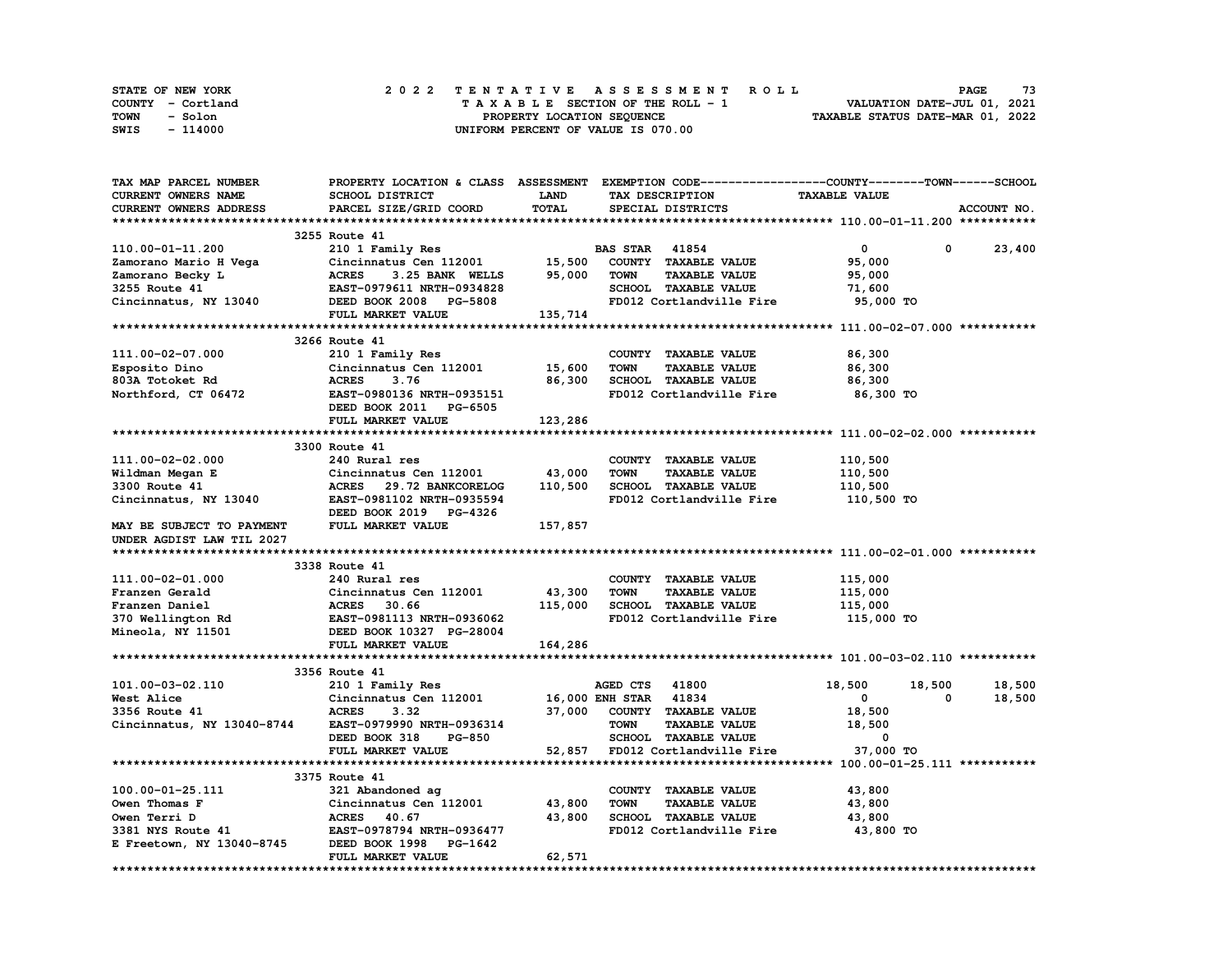| STATE OF NEW YORK | 2022 TENTATIVE ASSESSMENT ROLL     | 73<br><b>PAGE</b>                |
|-------------------|------------------------------------|----------------------------------|
| COUNTY - Cortland | TAXABLE SECTION OF THE ROLL - 1    | VALUATION DATE-JUL 01, 2021      |
| TOWN<br>- Solon   | PROPERTY LOCATION SEOUENCE         | TAXABLE STATUS DATE-MAR 01, 2022 |
| - 114000<br>SWIS  | UNIFORM PERCENT OF VALUE IS 070.00 |                                  |

| <b>TAX MAP PARCEL NUMBER</b> | PROPERTY LOCATION & CLASS ASSESSMENT EXEMPTION CODE----------------COUNTY-------TOWN------SCHOOL |          |                       |                                 |                      |        |             |
|------------------------------|--------------------------------------------------------------------------------------------------|----------|-----------------------|---------------------------------|----------------------|--------|-------------|
| CURRENT OWNERS NAME          | SCHOOL DISTRICT                                                                                  | LAND     |                       | TAX DESCRIPTION                 | <b>TAXABLE VALUE</b> |        |             |
| CURRENT OWNERS ADDRESS       | PARCEL SIZE/GRID COORD                                                                           | TOTAL    |                       | SPECIAL DISTRICTS               |                      |        | ACCOUNT NO. |
|                              |                                                                                                  |          |                       |                                 |                      |        |             |
|                              | 3255 Route 41                                                                                    |          |                       |                                 |                      |        |             |
| 110.00-01-11.200             | 210 1 Family Res                                                                                 |          | <b>BAS STAR</b> 41854 |                                 | $\mathbf 0$          | 0      | 23,400      |
| Zamorano Mario H Vega        | Cincinnatus Cen 112001                                                                           | 15,500   |                       | COUNTY TAXABLE VALUE            | 95,000               |        |             |
| Zamorano Becky L             | <b>ACRES</b><br>3.25 BANK WELLS                                                                  | 95,000   | <b>TOWN</b>           | <b>TAXABLE VALUE</b>            | 95,000               |        |             |
| 3255 Route 41                | EAST-0979611 NRTH-0934828                                                                        |          |                       | <b>SCHOOL TAXABLE VALUE</b>     | 71,600               |        |             |
| Cincinnatus, NY 13040        | DEED BOOK 2008 PG-5808                                                                           |          |                       | FD012 Cortlandville Fire        | 95,000 TO            |        |             |
|                              | FULL MARKET VALUE                                                                                | 135, 714 |                       |                                 |                      |        |             |
|                              |                                                                                                  |          |                       |                                 |                      |        |             |
|                              | 3266 Route 41                                                                                    |          |                       |                                 |                      |        |             |
| 111.00-02-07.000             | 210 1 Family Res                                                                                 |          |                       | COUNTY TAXABLE VALUE            | 86,300               |        |             |
| Esposito Dino                | Cincinnatus Cen 112001 15,600                                                                    |          | <b>TOWN</b>           | <b>TAXABLE VALUE</b>            | 86,300               |        |             |
| 803A Totoket Rd              | <b>ACRES</b><br>3.76                                                                             | 86,300   |                       | SCHOOL TAXABLE VALUE            | 86,300               |        |             |
| Northford, CT 06472          | EAST-0980136 NRTH-0935151                                                                        |          |                       | FD012 Cortlandville Fire        | 86,300 TO            |        |             |
|                              | DEED BOOK 2011 PG-6505                                                                           |          |                       |                                 |                      |        |             |
|                              |                                                                                                  |          |                       |                                 |                      |        |             |
|                              | FULL MARKET VALUE                                                                                | 123,286  |                       |                                 |                      |        |             |
|                              |                                                                                                  |          |                       |                                 |                      |        |             |
|                              | 3300 Route 41                                                                                    |          |                       |                                 |                      |        |             |
| 111.00-02-02.000             | 240 Rural res                                                                                    |          |                       | COUNTY TAXABLE VALUE            | 110,500              |        |             |
| Wildman Megan E              | Cincinnatus Cen 112001                                                                           | 43,000   | <b>TOWN</b>           | <b>TAXABLE VALUE</b>            | 110,500              |        |             |
| 3300 Route 41                | ACRES 29.72 BANKCORELOG                                                                          | 110,500  |                       | SCHOOL TAXABLE VALUE            | 110,500              |        |             |
| Cincinnatus, NY 13040        | EAST-0981102 NRTH-0935594                                                                        |          |                       | FD012 Cortlandville Fire        | 110,500 TO           |        |             |
|                              | DEED BOOK 2019 PG-4326                                                                           |          |                       |                                 |                      |        |             |
| MAY BE SUBJECT TO PAYMENT    | FULL MARKET VALUE                                                                                | 157,857  |                       |                                 |                      |        |             |
| UNDER AGDIST LAW TIL 2027    |                                                                                                  |          |                       |                                 |                      |        |             |
|                              |                                                                                                  |          |                       |                                 |                      |        |             |
|                              | 3338 Route 41                                                                                    |          |                       |                                 |                      |        |             |
| 111.00-02-01.000             | 240 Rural res                                                                                    |          |                       | COUNTY TAXABLE VALUE            | 115,000              |        |             |
| Franzen Gerald               | Cincinnatus Cen 112001                                                                           | 43,300   | TOWN                  | <b>TAXABLE VALUE</b>            | 115,000              |        |             |
| Franzen Daniel               |                                                                                                  | 115,000  |                       | SCHOOL TAXABLE VALUE            | 115,000              |        |             |
| 370 Wellington Rd            | <b>ACRES      30.66<br/>EAST-0981113  NRTH-0936062</b>                                           |          |                       | FD012 Cortlandville Fire        | 115,000 TO           |        |             |
| Mineola, NY 11501            | DEED BOOK 10327 PG-28004                                                                         |          |                       |                                 |                      |        |             |
|                              | FULL MARKET VALUE                                                                                | 164,286  |                       |                                 |                      |        |             |
|                              |                                                                                                  |          |                       |                                 |                      |        |             |
|                              | 3356 Route 41                                                                                    |          |                       |                                 |                      |        |             |
| 101.00-03-02.110             | 210 1 Family Res                                                                                 |          | AGED CTS 41800        |                                 | 18,500               | 18,500 | 18,500      |
| West Alice                   | Cincinnatus Cen 112001 16,000 ENH STAR 41834                                                     |          |                       |                                 | $\mathbf 0$          | 0      | 18,500      |
| 3356 Route 41                | <b>ACRES</b><br>3.32                                                                             | 37,000   |                       | COUNTY TAXABLE VALUE            | 18,500               |        |             |
| Cincinnatus, NY 13040-8744   | EAST-0979990 NRTH-0936314                                                                        |          | TOWN                  | <b>TAXABLE VALUE</b>            | 18,500               |        |             |
|                              | DEED BOOK 318<br><b>PG-850</b>                                                                   |          |                       | SCHOOL TAXABLE VALUE            | $\mathbf 0$          |        |             |
|                              | FULL MARKET VALUE                                                                                |          |                       | 52,857 FD012 Cortlandville Fire | 37,000 TO            |        |             |
|                              |                                                                                                  |          |                       |                                 |                      |        |             |
|                              | 3375 Route 41                                                                                    |          |                       |                                 |                      |        |             |
| 100.00-01-25.111             | 321 Abandoned ag                                                                                 |          |                       | COUNTY TAXABLE VALUE            | 43,800               |        |             |
| Owen Thomas F                | Cincinnatus Cen 112001                                                                           | 43,800   | <b>TOWN</b>           | <b>TAXABLE VALUE</b>            | 43,800               |        |             |
| Owen Terri D                 | ACRES 40.67                                                                                      | 43,800   |                       | <b>SCHOOL TAXABLE VALUE</b>     | 43,800               |        |             |
| 3381 NYS Route 41            | EAST-0978794 NRTH-0936477                                                                        |          |                       | FD012 Cortlandville Fire        | 43,800 TO            |        |             |
|                              |                                                                                                  |          |                       |                                 |                      |        |             |
| E Freetown, NY 13040-8745    | DEED BOOK 1998 PG-1642                                                                           |          |                       |                                 |                      |        |             |
|                              | FULL MARKET VALUE                                                                                | 62,571   |                       |                                 |                      |        |             |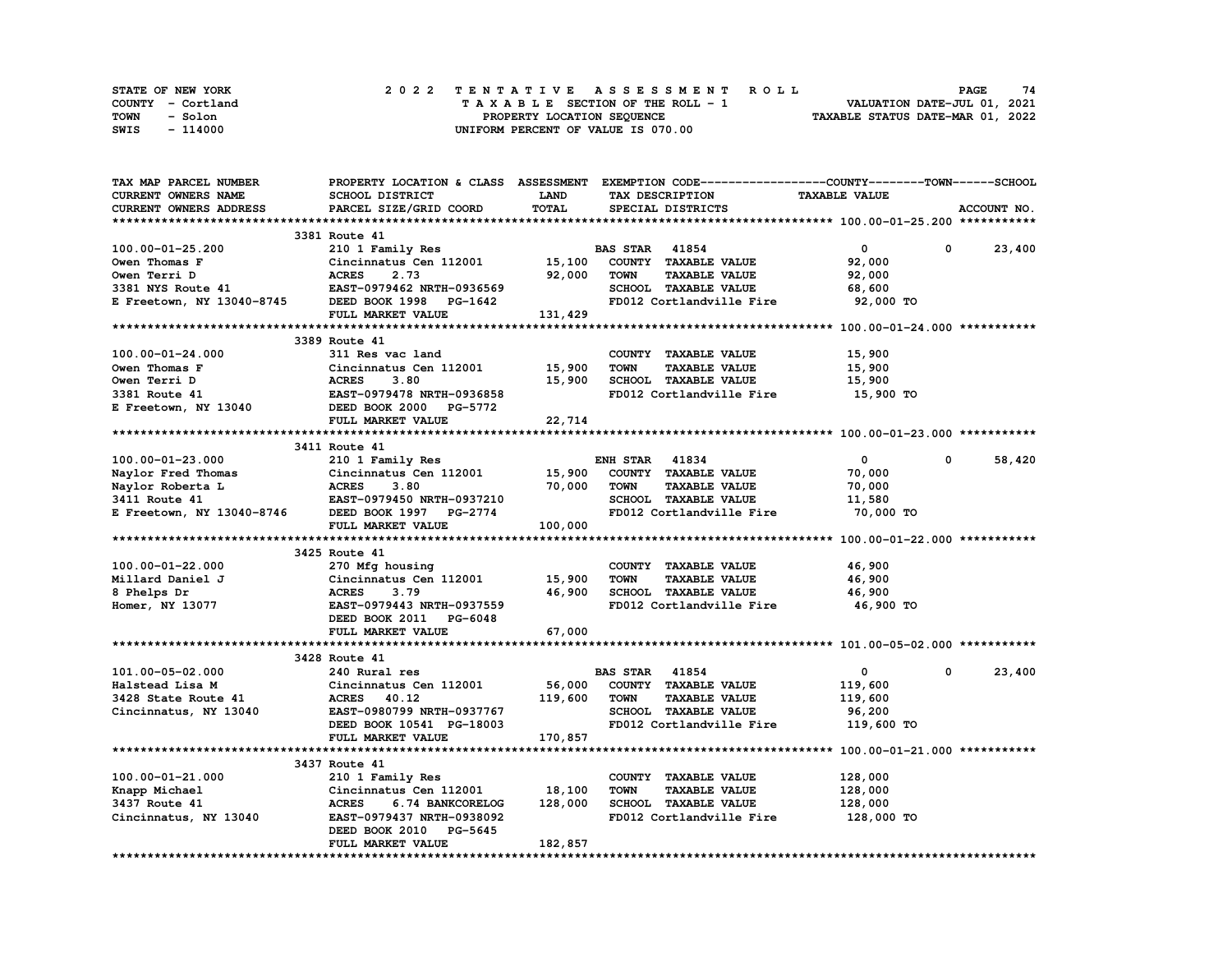| STATE OF NEW YORK | 2022 TENTATIVE ASSESSMENT ROLL     | 74<br><b>PAGE</b>                |
|-------------------|------------------------------------|----------------------------------|
| COUNTY - Cortland | TAXABLE SECTION OF THE ROLL - 1    | VALUATION DATE-JUL 01, 2021      |
| TOWN<br>- Solon   | PROPERTY LOCATION SEQUENCE         | TAXABLE STATUS DATE-MAR 01, 2022 |
| SWIS<br>- 114000  | UNIFORM PERCENT OF VALUE IS 070.00 |                                  |

| TAX MAP PARCEL NUMBER      | PROPERTY LOCATION & CLASS ASSESSMENT EXEMPTION CODE----------------COUNTY-------TOWN------SCHOOL |             |                                     |                      |                      |
|----------------------------|--------------------------------------------------------------------------------------------------|-------------|-------------------------------------|----------------------|----------------------|
| <b>CURRENT OWNERS NAME</b> | SCHOOL DISTRICT                                                                                  | <b>LAND</b> | TAX DESCRIPTION                     | <b>TAXABLE VALUE</b> |                      |
| CURRENT OWNERS ADDRESS     | PARCEL SIZE/GRID COORD                                                                           | TOTAL       | SPECIAL DISTRICTS                   |                      | ACCOUNT NO.          |
|                            |                                                                                                  |             |                                     |                      |                      |
|                            | 3381 Route 41                                                                                    |             |                                     |                      |                      |
| 100.00-01-25.200           | 210 1 Family Res                                                                                 |             | <b>BAS STAR 41854</b>               | $\mathbf{0}$         | 0<br>23,400          |
| Owen Thomas F              | Cincinnatus Cen 112001                                                                           | 15,100      | COUNTY TAXABLE VALUE                | 92,000               |                      |
| Owen Terri D               | <b>ACRES</b><br>2.73                                                                             | 92,000      | <b>TOWN</b><br><b>TAXABLE VALUE</b> | 92,000               |                      |
| 3381 NYS Route 41          | EAST-0979462 NRTH-0936569                                                                        |             | SCHOOL TAXABLE VALUE                | 68,600               |                      |
| E Freetown, NY 13040-8745  | DEED BOOK 1998 PG-1642                                                                           |             | FD012 Cortlandville Fire            | 92,000 TO            |                      |
|                            | FULL MARKET VALUE                                                                                | 131,429     |                                     |                      |                      |
|                            |                                                                                                  |             |                                     |                      |                      |
|                            | 3389 Route 41                                                                                    |             |                                     |                      |                      |
| 100.00-01-24.000           | 311 Res vac land                                                                                 |             | COUNTY TAXABLE VALUE                | 15,900               |                      |
| Owen Thomas F              | Cincinnatus Cen 112001                                                                           | 15,900      | <b>TOWN</b><br><b>TAXABLE VALUE</b> | 15,900               |                      |
| Owen Terri D               | <b>ACRES</b><br>3.80                                                                             | 15,900      | SCHOOL TAXABLE VALUE                | 15,900               |                      |
|                            |                                                                                                  |             | FD012 Cortlandville Fire            |                      |                      |
| 3381 Route 41              | EAST-0979478 NRTH-0936858                                                                        |             |                                     | 15,900 TO            |                      |
| E Freetown, NY 13040       | DEED BOOK 2000 PG-5772                                                                           |             |                                     |                      |                      |
|                            | FULL MARKET VALUE                                                                                | 22,714      |                                     |                      |                      |
|                            |                                                                                                  |             |                                     |                      |                      |
|                            | 3411 Route 41                                                                                    |             |                                     |                      |                      |
| $100.00 - 01 - 23.000$     | 210 1 Family Res                                                                                 |             | <b>ENH STAR 41834</b>               | $\mathbf{0}$         | $^{\circ}$<br>58,420 |
| Naylor Fred Thomas         | Cincinnatus Cen 112001                                                                           | 15,900      | COUNTY TAXABLE VALUE                | 70,000               |                      |
| Naylor Roberta L           | <b>ACRES</b><br>3.80                                                                             | 70,000      | TOWN<br><b>TAXABLE VALUE</b>        | 70,000               |                      |
| E Freetown, NY 13040-8746  | EAST-0979450 NRTH-0937210                                                                        |             | SCHOOL TAXABLE VALUE                | 11,580               |                      |
|                            | DEED BOOK 1997 PG-2774                                                                           |             | FD012 Cortlandville Fire            | 70,000 TO            |                      |
|                            | FULL MARKET VALUE                                                                                | 100,000     |                                     |                      |                      |
|                            |                                                                                                  |             |                                     |                      |                      |
|                            | 3425 Route 41                                                                                    |             |                                     |                      |                      |
| 100.00-01-22.000           | 270 Mfg housing                                                                                  |             | COUNTY TAXABLE VALUE                | 46,900               |                      |
| Millard Daniel J           | Cincinnatus Cen 112001                                                                           | 15,900      | <b>TOWN</b><br><b>TAXABLE VALUE</b> | 46,900               |                      |
| 8 Phelps Dr                | 3.79<br><b>ACRES</b>                                                                             | 46,900      | SCHOOL TAXABLE VALUE                | 46,900               |                      |
| Homer, NY 13077            | EAST-0979443 NRTH-0937559                                                                        |             | FD012 Cortlandville Fire            | 46,900 TO            |                      |
|                            | DEED BOOK 2011 PG-6048                                                                           |             |                                     |                      |                      |
|                            | FULL MARKET VALUE                                                                                | 67,000      |                                     |                      |                      |
|                            |                                                                                                  |             |                                     |                      |                      |
|                            | 3428 Route 41                                                                                    |             |                                     |                      |                      |
| 101.00-05-02.000           | 240 Rural res                                                                                    |             | <b>BAS STAR 41854</b>               | $\mathbf{0}$         | 23,400<br>0          |
| Halstead Lisa M            | Cincinnatus Cen 112001                                                                           | 56,000      | COUNTY TAXABLE VALUE                | 119,600              |                      |
| 3428 State Route 41        | ACRES 40.12                                                                                      | 119,600     | <b>TOWN</b><br><b>TAXABLE VALUE</b> | 119,600              |                      |
| Cincinnatus, NY 13040      | EAST-0980799 NRTH-0937767                                                                        |             | SCHOOL TAXABLE VALUE                | 96,200               |                      |
|                            | DEED BOOK 10541 PG-18003                                                                         |             | FD012 Cortlandville Fire            | 119,600 TO           |                      |
|                            | FULL MARKET VALUE                                                                                | 170,857     |                                     |                      |                      |
|                            |                                                                                                  |             |                                     |                      |                      |
|                            | 3437 Route 41                                                                                    |             |                                     |                      |                      |
| 100.00-01-21.000           | 210 1 Family Res                                                                                 |             | COUNTY TAXABLE VALUE                | 128,000              |                      |
| Knapp Michael              | Cincinnatus Cen 112001                                                                           | 18,100      | <b>TOWN</b><br>TAXABLE VALUE        | 128,000              |                      |
| 3437 Route 41              | <b>ACRES</b><br>6.74 BANKCORELOG                                                                 | 128,000     | <b>SCHOOL TAXABLE VALUE</b>         | 128,000              |                      |
| Cincinnatus, NY 13040      | EAST-0979437 NRTH-0938092                                                                        |             | FD012 Cortlandville Fire            | 128,000 TO           |                      |
|                            | DEED BOOK 2010 PG-5645                                                                           |             |                                     |                      |                      |
|                            | FULL MARKET VALUE                                                                                | 182,857     |                                     |                      |                      |
|                            |                                                                                                  |             |                                     |                      |                      |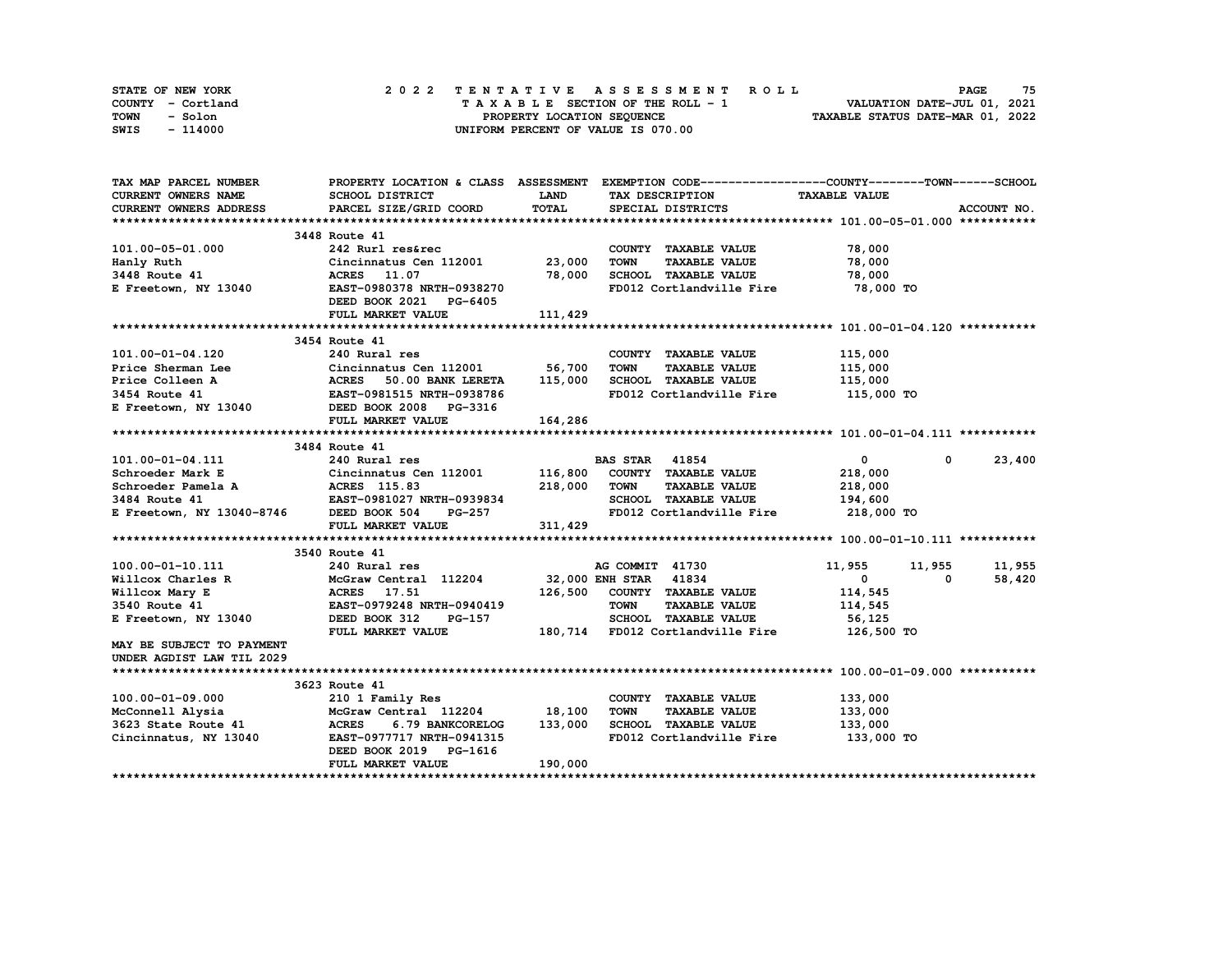| STATE OF NEW YORK | 2022 TENTATIVE ASSESSMENT ROLL     | 75<br><b>PAGE</b>                |
|-------------------|------------------------------------|----------------------------------|
| COUNTY - Cortland | TAXABLE SECTION OF THE ROLL - 1    | VALUATION DATE-JUL 01, 2021      |
| TOWN<br>- Solon   | PROPERTY LOCATION SEQUENCE         | TAXABLE STATUS DATE-MAR 01, 2022 |
| - 114000<br>SWIS  | UNIFORM PERCENT OF VALUE IS 070.00 |                                  |

| TAX MAP PARCEL NUMBER                                                                                                                                                                                                                 |                                                   |              | PROPERTY LOCATION & CLASS ASSESSMENT EXEMPTION CODE----------------COUNTY-------TOWN-----SCHOOL |                    |                        |
|---------------------------------------------------------------------------------------------------------------------------------------------------------------------------------------------------------------------------------------|---------------------------------------------------|--------------|-------------------------------------------------------------------------------------------------|--------------------|------------------------|
| CURRENT OWNERS NAME                                                                                                                                                                                                                   | SCHOOL DISTRICT                                   | <b>LAND</b>  | TAX DESCRIPTION TAXABLE VALUE                                                                   |                    |                        |
| CURRENT OWNERS ADDRESS                                                                                                                                                                                                                | PARCEL SIZE/GRID COORD                            | <b>TOTAL</b> | SPECIAL DISTRICTS                                                                               |                    | ACCOUNT NO.            |
|                                                                                                                                                                                                                                       |                                                   |              |                                                                                                 |                    |                        |
|                                                                                                                                                                                                                                       | 3448 Route 41                                     |              |                                                                                                 |                    |                        |
| 101.00-05-01.000                                                                                                                                                                                                                      | 242 Rurl res&rec<br>Cincinnatus Cen 112001 23,000 |              | COUNTY TAXABLE VALUE                                                                            | 78,000             |                        |
| Hanly Ruth                                                                                                                                                                                                                            |                                                   |              | TOWN<br><b>TAXABLE VALUE</b>                                                                    | 78,000             |                        |
|                                                                                                                                                                                                                                       | ACRES 11.07                                       | 78,000       | SCHOOL TAXABLE VALUE 78,000                                                                     |                    |                        |
| <b>1811.7</b> Autor:<br>3448 Route 41<br>E Freetown, NY 13040                                                                                                                                                                         | EAST-0980378 NRTH-0938270                         |              | FD012 Cortlandville Fire                                                                        | 78,000 TO          |                        |
|                                                                                                                                                                                                                                       | DEED BOOK 2021 PG-6405                            |              |                                                                                                 |                    |                        |
|                                                                                                                                                                                                                                       | FULL MARKET VALUE                                 | 111,429      |                                                                                                 |                    |                        |
|                                                                                                                                                                                                                                       |                                                   |              |                                                                                                 |                    |                        |
|                                                                                                                                                                                                                                       | 3454 Route 41                                     |              |                                                                                                 |                    |                        |
|                                                                                                                                                                                                                                       |                                                   |              | COUNTY TAXABLE VALUE                                                                            |                    |                        |
|                                                                                                                                                                                                                                       |                                                   |              | <b>TOWN</b><br><b>TAXABLE VALUE</b>                                                             | 115,000<br>115,000 |                        |
|                                                                                                                                                                                                                                       |                                                   |              | 50.00 BANK LERETA 115,000 SCHOOL TAXABLE VALUE 115,000                                          |                    |                        |
|                                                                                                                                                                                                                                       |                                                   |              | FD012 Cortlandville Fire 115,000 TO                                                             |                    |                        |
| 101.00-01-04.120<br>Price Sherman Lee<br>Price Colleen A (Cincinnatus Cen 112001 56,700<br>Price Colleen A (ACRES 50.00 BANK LERETA 115,000<br>3454 Route 41 EAST-0981515 NRTH-0938786<br>E Freetown, NY 13040 DEED BOOK 2008 PG-3316 |                                                   |              |                                                                                                 |                    |                        |
|                                                                                                                                                                                                                                       | FULL MARKET VALUE                                 | 164, 286     |                                                                                                 |                    |                        |
|                                                                                                                                                                                                                                       |                                                   |              |                                                                                                 |                    |                        |
|                                                                                                                                                                                                                                       | 3484 Route 41                                     |              |                                                                                                 |                    |                        |
|                                                                                                                                                                                                                                       |                                                   |              |                                                                                                 | $\bullet$          | 23,400<br>$\mathbf{0}$ |
|                                                                                                                                                                                                                                       |                                                   |              |                                                                                                 | 218,000            |                        |
|                                                                                                                                                                                                                                       |                                                   |              |                                                                                                 | 218,000            |                        |
|                                                                                                                                                                                                                                       |                                                   |              | SCHOOL TAXABLE VALUE 194,600                                                                    |                    |                        |
|                                                                                                                                                                                                                                       |                                                   |              | FD012 Cortlandville Fire                                                                        | 218,000 TO         |                        |
|                                                                                                                                                                                                                                       | FULL MARKET VALUE                                 | 311,429      |                                                                                                 |                    |                        |
|                                                                                                                                                                                                                                       |                                                   |              |                                                                                                 |                    |                        |
|                                                                                                                                                                                                                                       | 3540 Route 41                                     |              |                                                                                                 |                    |                        |
|                                                                                                                                                                                                                                       |                                                   |              |                                                                                                 | 11,955 11,955      | 11,955                 |
|                                                                                                                                                                                                                                       |                                                   |              |                                                                                                 | $\mathbf{0}$<br>0  | 58,420                 |
|                                                                                                                                                                                                                                       |                                                   |              |                                                                                                 | 114,545            |                        |
|                                                                                                                                                                                                                                       |                                                   |              |                                                                                                 | 114,545            |                        |
| 100.00-01-10.111<br>Willcox Charles R McGraw Central 112204 32,000 ENH STAR 41834<br>Willcox Mary E ACRES 17.51 126,500 COUNTY TAXABLE VALUE<br>3540 Route 41 EAST-0979248 NRTH-0940419 TOWN TAXABLE VALUE<br>E Freetown, NY 13040 DE |                                                   |              |                                                                                                 | 56,125             |                        |
|                                                                                                                                                                                                                                       | FULL MARKET VALUE                                 |              | 180,714 FD012 Cortlandville Fire 126,500 TO                                                     |                    |                        |
| MAY BE SUBJECT TO PAYMENT                                                                                                                                                                                                             |                                                   |              |                                                                                                 |                    |                        |
| UNDER AGDIST LAW TIL 2029                                                                                                                                                                                                             |                                                   |              |                                                                                                 |                    |                        |
|                                                                                                                                                                                                                                       |                                                   |              |                                                                                                 |                    |                        |
|                                                                                                                                                                                                                                       | 3623 Route 41                                     |              |                                                                                                 |                    |                        |
| 100.00-01-09.000                                                                                                                                                                                                                      | 210 1 Family Res                                  |              | COUNTY TAXABLE VALUE                                                                            | 133,000            |                        |
| McConnell Alysia                                                                                                                                                                                                                      | McGraw Central 112204 18,100                      |              | <b>TOWN</b><br><b>TAXABLE VALUE</b>                                                             | 133,000            |                        |
|                                                                                                                                                                                                                                       |                                                   |              |                                                                                                 | 133,000            |                        |
|                                                                                                                                                                                                                                       |                                                   |              | FD012 Cortlandville Fire                                                                        | 133,000 TO         |                        |
|                                                                                                                                                                                                                                       | DEED BOOK 2019 PG-1616                            |              |                                                                                                 |                    |                        |
|                                                                                                                                                                                                                                       | FULL MARKET VALUE                                 | 190,000      |                                                                                                 |                    |                        |
|                                                                                                                                                                                                                                       |                                                   |              |                                                                                                 |                    |                        |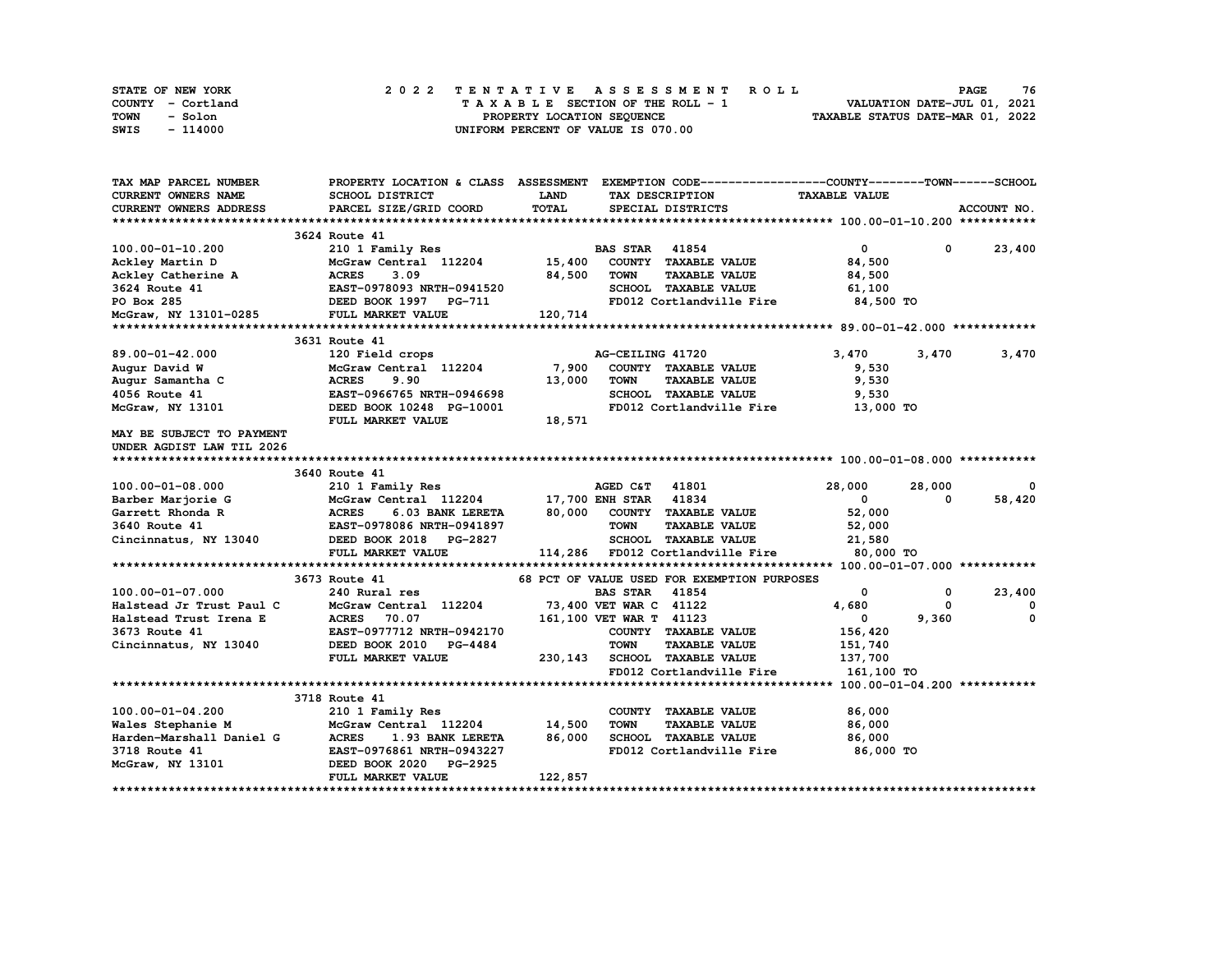| STATE OF NEW YORK | 2022 TENTATIVE ASSESSMENT ROLL     | 76<br><b>PAGE</b>                |
|-------------------|------------------------------------|----------------------------------|
| COUNTY - Cortland | TAXABLE SECTION OF THE ROLL - 1    | VALUATION DATE-JUL 01, 2021      |
| TOWN<br>- Solon   | PROPERTY LOCATION SEQUENCE         | TAXABLE STATUS DATE-MAR 01, 2022 |
| - 114000<br>SWIS  | UNIFORM PERCENT OF VALUE IS 070.00 |                                  |

| TAX MAP PARCEL NUMBER                                  |                                                             |             | PROPERTY LOCATION & CLASS ASSESSMENT EXEMPTION CODE-----------------COUNTY-------TOWN-----SCHOOL |                      |                          |
|--------------------------------------------------------|-------------------------------------------------------------|-------------|--------------------------------------------------------------------------------------------------|----------------------|--------------------------|
| <b>CURRENT OWNERS NAME</b>                             | SCHOOL DISTRICT                                             | <b>LAND</b> | TAX DESCRIPTION                                                                                  | <b>TAXABLE VALUE</b> |                          |
| CURRENT OWNERS ADDRESS                                 | PARCEL SIZE/GRID COORD                                      | TOTAL       | SPECIAL DISTRICTS                                                                                |                      | ACCOUNT NO.              |
|                                                        |                                                             |             |                                                                                                  |                      |                          |
|                                                        | 3624 Route 41                                               |             |                                                                                                  |                      |                          |
| 100.00-01-10.200                                       | 210 1 Family Res                                            |             | <b>BAS STAR 41854</b>                                                                            | $\mathbf{0}$         | 23,400<br>$\mathbf 0$    |
| Ackley Martin D                                        | McGraw Central 112204                                       | 15,400      | COUNTY TAXABLE VALUE                                                                             | 84,500               |                          |
| Ackley Catherine A                                     | <b>ACRES</b><br>3.09                                        | 84,500      | <b>TOWN</b><br><b>TAXABLE VALUE</b>                                                              | 84,500               |                          |
| 3624 Route 41                                          | EAST-0978093 NRTH-0941520                                   |             | SCHOOL TAXABLE VALUE                                                                             | 61,100               |                          |
|                                                        |                                                             |             | FD012 Cortlandville Fire 84,500 TO                                                               |                      |                          |
|                                                        |                                                             | 120,714     |                                                                                                  |                      |                          |
|                                                        |                                                             |             |                                                                                                  |                      |                          |
|                                                        | 3631 Route 41                                               |             |                                                                                                  |                      |                          |
| $89.00 - 01 - 42.000$                                  | 120 Field crops                                             |             | AG-CEILING 41720                                                                                 | 3,470                | 3,470<br>3,470           |
| Augur David W                                          | McGraw Central 112204                                       | 7,900       | COUNTY TAXABLE VALUE                                                                             | 9,530                |                          |
| Augur Samantha C                                       | <b>ACRES</b><br>9.90                                        | 13,000      | <b>TOWN</b><br><b>TAXABLE VALUE</b>                                                              | 9,530                |                          |
| 4056 Route 41                                          | EAST-0966765 NRTH-0946698                                   |             | SCHOOL TAXABLE VALUE                                                                             | 9,530                |                          |
| McGraw, NY 13101                                       | DEED BOOK 10248 PG-10001                                    |             | FD012 Cortlandville Fire                                                                         | 13,000 TO            |                          |
|                                                        | FULL MARKET VALUE                                           | 18,571      |                                                                                                  |                      |                          |
| MAY BE SUBJECT TO PAYMENT                              |                                                             |             |                                                                                                  |                      |                          |
| UNDER AGDIST LAW TIL 2026                              |                                                             |             |                                                                                                  |                      |                          |
|                                                        |                                                             |             |                                                                                                  |                      |                          |
|                                                        | 3640 Route 41                                               |             |                                                                                                  |                      |                          |
| 100.00-01-08.000                                       | 210 1 Family Res                                            |             | AGED C&T 41801                                                                                   | 28,000               | 28,000<br>0              |
| Barber Marjorie G                                      | McGraw Central 112204 17,700 ENH STAR 41834                 |             |                                                                                                  | $\mathbf{0}$         | 58,420<br>$\mathbf{0}$   |
| Garrett Rhonda R                                       | <b>ACRES</b><br>6.03 BANK LERETA                            |             | 80,000 COUNTY TAXABLE VALUE                                                                      | 52,000               |                          |
| 3640 Route 41                                          | EAST-0978086 NRTH-0941897                                   |             | <b>TOWN</b><br><b>TAXABLE VALUE</b>                                                              | 52,000               |                          |
|                                                        | Cincinnatus, NY 13040 DEED BOOK 2018 PG-2827                |             | SCHOOL TAXABLE VALUE                                                                             | 21,580               |                          |
|                                                        | FULL MARKET VALUE                                           |             | 114,286 FD012 Cortlandville Fire                                                                 | 80,000 TO            |                          |
|                                                        |                                                             |             |                                                                                                  |                      |                          |
|                                                        | 3673 Route 41                                               |             | 68 PCT OF VALUE USED FOR EXEMPTION PURPOSES                                                      |                      |                          |
| 100.00-01-07.000                                       | 240 Rural res                                               |             | <b>BAS STAR</b><br>41854                                                                         | $\mathbf{0}$         | 23,400<br>$^{\circ}$     |
| Halstead Jr Trust Paul C                               | McGraw Central 112204                                       |             | 73,400 VET WAR C 41122                                                                           | 4,680                | $^{\circ}$<br>$^{\circ}$ |
| Halstead Trust Irena E                                 | <b>ACRES</b> 70.07                                          |             | 161,100 VET WAR T 41123                                                                          | $\mathbf{0}$         | 9,360<br>0               |
| 3673 Route 41                                          |                                                             |             | COUNTY TAXABLE VALUE                                                                             | 156,420              |                          |
| Cincinnatus, NY 13040                                  | <b>EAST-0977712 NRTH-0942170<br/>DEED BOOK 2010 PG-4484</b> |             | <b>TOWN</b><br><b>TAXABLE VALUE</b>                                                              | 151,740              |                          |
|                                                        | FULL MARKET VALUE                                           | 230,143     | SCHOOL TAXABLE VALUE                                                                             | 137,700              |                          |
|                                                        |                                                             |             | FD012 Cortlandville Fire 161,100 TO                                                              |                      |                          |
|                                                        |                                                             |             |                                                                                                  |                      |                          |
|                                                        | 3718 Route 41                                               |             |                                                                                                  |                      |                          |
| 100.00-01-04.200                                       | 210 1 Family Res                                            |             | COUNTY TAXABLE VALUE                                                                             | 86,000               |                          |
| Wales Stephanie M                                      | McGraw Central 112204                                       | 14,500      | <b>TOWN</b><br><b>TAXABLE VALUE</b>                                                              | 86,000               |                          |
|                                                        | 1.93 BANK LERETA                                            | 86,000      | SCHOOL TAXABLE VALUE                                                                             | 86,000               |                          |
| Harden-Marshall Daniel G ACRES<br>3718 Route 41 EAST-0 | EAST-0976861 NRTH-0943227                                   |             | FD012 Cortlandville Fire                                                                         | 86,000 TO            |                          |
| McGraw, NY 13101                                       | DEED BOOK 2020 PG-2925                                      |             |                                                                                                  |                      |                          |
|                                                        | FULL MARKET VALUE                                           | 122,857     |                                                                                                  |                      |                          |
|                                                        |                                                             |             |                                                                                                  |                      |                          |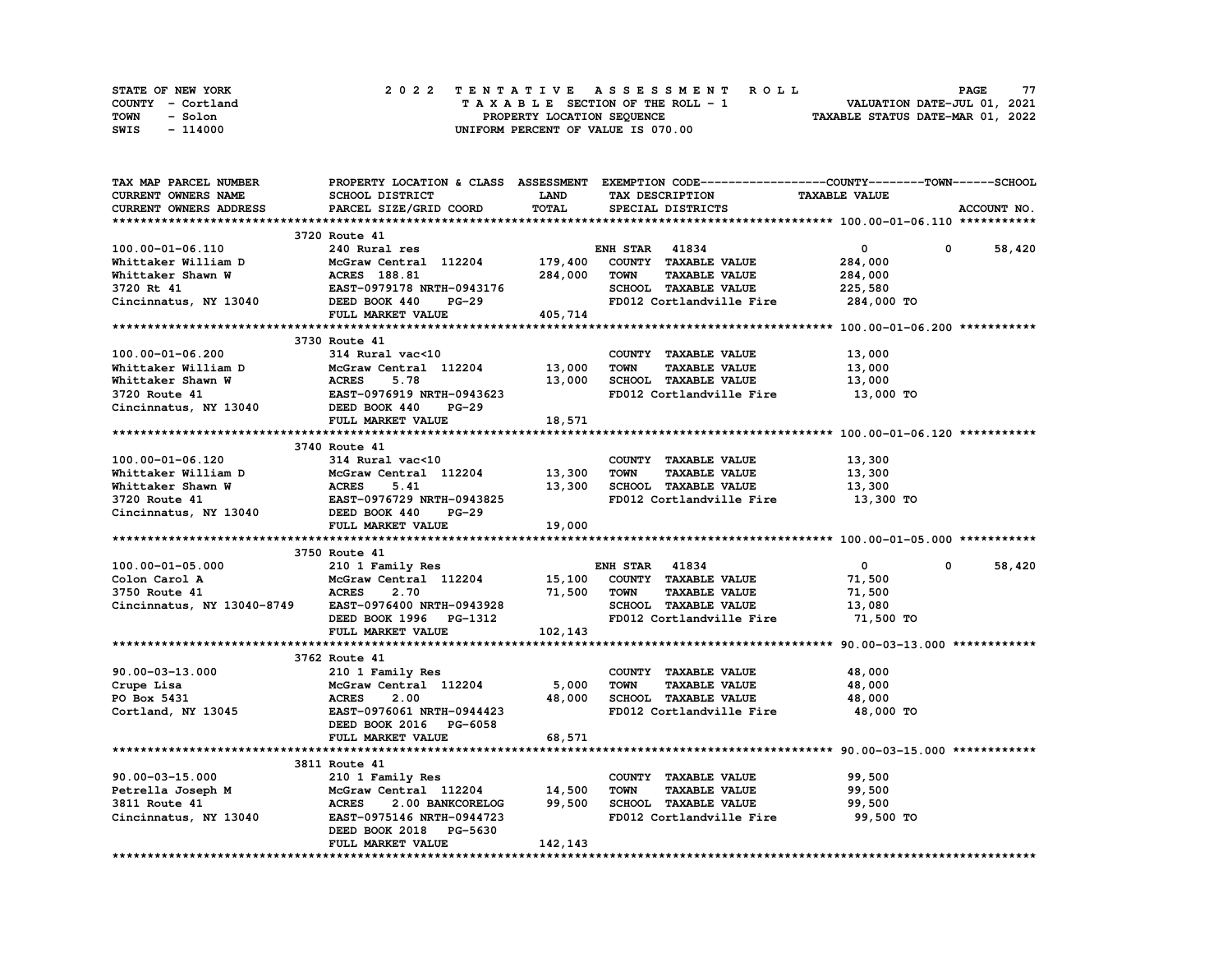| STATE OF NEW YORK | 2022 TENTATIVE ASSESSMENT ROLL     | 77<br><b>PAGE</b>                |
|-------------------|------------------------------------|----------------------------------|
| COUNTY - Cortland | TAXABLE SECTION OF THE ROLL - 1    | VALUATION DATE-JUL 01, 2021      |
| TOWN<br>- Solon   | PROPERTY LOCATION SEOUENCE         | TAXABLE STATUS DATE-MAR 01, 2022 |
| - 114000<br>SWIS  | UNIFORM PERCENT OF VALUE IS 070.00 |                                  |

| <b>TAX MAP PARCEL NUMBER</b>                                                                                                                                                                                                                                     |                                                                                               |             | PROPERTY LOCATION & CLASS ASSESSMENT EXEMPTION CODE----------------COUNTY-------TOWN------SCHOOL |                            |                        |
|------------------------------------------------------------------------------------------------------------------------------------------------------------------------------------------------------------------------------------------------------------------|-----------------------------------------------------------------------------------------------|-------------|--------------------------------------------------------------------------------------------------|----------------------------|------------------------|
| CURRENT OWNERS NAME                                                                                                                                                                                                                                              | SCHOOL DISTRICT                                                                               | <b>LAND</b> | TAX DESCRIPTION                                                                                  | <b>TAXABLE VALUE</b>       |                        |
| <b>CURRENT OWNERS ADDRESS</b>                                                                                                                                                                                                                                    | PARCEL SIZE/GRID COORD                                                                        | TOTAL       | SPECIAL DISTRICTS                                                                                |                            | ACCOUNT NO.            |
|                                                                                                                                                                                                                                                                  |                                                                                               |             |                                                                                                  |                            |                        |
|                                                                                                                                                                                                                                                                  | 3720 Route 41                                                                                 |             |                                                                                                  |                            |                        |
| 100.00-01-06.110                                                                                                                                                                                                                                                 | 240 Rural res                                                                                 |             | <b>ENH STAR 41834</b>                                                                            | $\mathbf{0}$<br>$^{\circ}$ | 58,420                 |
|                                                                                                                                                                                                                                                                  | McGraw Central 112204 179,400 COUNTY TAXABLE VALUE<br>ACRES 188.81 284,000 TOWN TAXABLE VALUE |             |                                                                                                  | 284,000                    |                        |
|                                                                                                                                                                                                                                                                  |                                                                                               |             |                                                                                                  | 284,000                    |                        |
|                                                                                                                                                                                                                                                                  |                                                                                               |             | SCHOOL TAXABLE VALUE                                                                             | 225,580                    |                        |
| Whittaker William D<br>Whittaker Shawn W<br>3720 Rt 41<br>Cincinnatus, NY 13040<br>284,000<br>284,000<br>284,000<br>284,000<br>284,000<br>284,000<br>285T-0979178<br>285T-0979178<br>284,000<br>284,000<br>284,000<br>285D 200K 440<br>285T-0979178<br>285T-0979 |                                                                                               |             | FD012 Cortlandville Fire 284,000 TO                                                              |                            |                        |
|                                                                                                                                                                                                                                                                  | FULL MARKET VALUE                                                                             | 405,714     |                                                                                                  |                            |                        |
|                                                                                                                                                                                                                                                                  |                                                                                               |             |                                                                                                  |                            |                        |
|                                                                                                                                                                                                                                                                  | 3730 Route 41                                                                                 |             |                                                                                                  |                            |                        |
| 100.00-01-06.200                                                                                                                                                                                                                                                 | 314 Rural vac<10                                                                              |             | COUNTY TAXABLE VALUE                                                                             | 13,000                     |                        |
| Whittaker William D<br>Whittaker Shawn W<br>2720 Route 41<br>2720 Route 41<br>2730 Route 41<br>2730 Route 41<br>274 Rural vactor<br>278 BOOK 440<br>274 RURA 278<br>278 BOOK 440<br>274 RURA 276<br>278 RURA 276<br>274 RURA 276<br>274 RURA 276<br>274 RU       |                                                                                               |             | <b>TAXABLE VALUE</b><br><b>TOWN</b>                                                              | 13,000                     |                        |
|                                                                                                                                                                                                                                                                  |                                                                                               |             | 13,000 SCHOOL TAXABLE VALUE                                                                      | 13,000                     |                        |
|                                                                                                                                                                                                                                                                  |                                                                                               |             | FD012 Cortlandville Fire                                                                         | 13,000 TO                  |                        |
|                                                                                                                                                                                                                                                                  |                                                                                               |             |                                                                                                  |                            |                        |
|                                                                                                                                                                                                                                                                  | FULL MARKET VALUE                                                                             | 18,571      |                                                                                                  |                            |                        |
|                                                                                                                                                                                                                                                                  |                                                                                               |             |                                                                                                  |                            |                        |
|                                                                                                                                                                                                                                                                  | 3740 Route 41                                                                                 |             |                                                                                                  |                            |                        |
| 100.00-01-06.120                                                                                                                                                                                                                                                 | 314 Rural vac<10                                                                              |             | COUNTY TAXABLE VALUE                                                                             | 13,300                     |                        |
|                                                                                                                                                                                                                                                                  | McGraw Central 112204 13,300                                                                  |             | <b>TOWN</b><br><b>TAXABLE VALUE</b>                                                              | 13,300                     |                        |
| Whittaker William D<br>Microsoftaw Central 112204 13,<br>Whittaker Shawn W<br>3720 Route 41 EAST-0976729 NRTH-0943825<br>Cincinnatus, NY 13040 DEED BOOK 440 PG-29                                                                                               |                                                                                               |             | 13,300 SCHOOL TAXABLE VALUE                                                                      | 13,300                     |                        |
|                                                                                                                                                                                                                                                                  |                                                                                               |             | FD012 Cortlandville Fire 13,300 TO                                                               |                            |                        |
|                                                                                                                                                                                                                                                                  |                                                                                               |             |                                                                                                  |                            |                        |
|                                                                                                                                                                                                                                                                  | FULL MARKET VALUE                                                                             | 19,000      |                                                                                                  |                            |                        |
|                                                                                                                                                                                                                                                                  |                                                                                               |             |                                                                                                  |                            |                        |
|                                                                                                                                                                                                                                                                  | 3750 Route 41                                                                                 |             |                                                                                                  |                            |                        |
| $100.00 - 01 - 05.000$                                                                                                                                                                                                                                           | 210 1 Family Res                                                                              |             | <b>ENH STAR 41834</b>                                                                            | $\mathbf{0}$               | 58,420<br>$\mathbf{0}$ |
| Colon Carol A                                                                                                                                                                                                                                                    |                                                                                               |             |                                                                                                  | 71,500                     |                        |
| McGraw<br>ACRES<br>3750 Route 41                                                                                                                                                                                                                                 | $McGraw$ Central $112204$ $15,100$ COUNTY TAXABLE VALUE<br>2.70                               | 71,500 TOWN | <b>TAXABLE VALUE</b>                                                                             | 71,500                     |                        |
| Cincinnatus, NY 13040-8749 EAST-0976400 NRTH-0943928                                                                                                                                                                                                             |                                                                                               |             | SCHOOL TAXABLE VALUE                                                                             | 13,080                     |                        |
|                                                                                                                                                                                                                                                                  | ----- -vz/0400 NRTH-0943928<br>DEED BOOK 1996 PG-1312<br>FULL MARKET VAILE                    |             | FD012 Cortlandville Fire 71,500 TO                                                               |                            |                        |
|                                                                                                                                                                                                                                                                  |                                                                                               | 102,143     |                                                                                                  |                            |                        |
|                                                                                                                                                                                                                                                                  |                                                                                               |             |                                                                                                  |                            |                        |
|                                                                                                                                                                                                                                                                  | 3762 Route 41                                                                                 |             |                                                                                                  |                            |                        |
| 90.00-03-13.000                                                                                                                                                                                                                                                  |                                                                                               |             | COUNTY TAXABLE VALUE                                                                             | 48,000                     |                        |
| Crupe Lisa                                                                                                                                                                                                                                                       | 210 1 Family Res<br>McGraw Central 112204 5,000<br>ACRES 2.00 48.000                          |             | TOWN<br><b>TAXABLE VALUE</b>                                                                     | 48,000                     |                        |
|                                                                                                                                                                                                                                                                  |                                                                                               |             | 48,000 SCHOOL TAXABLE VALUE                                                                      |                            |                        |
| PO Box 5431<br>Cortland, NY 13045                                                                                                                                                                                                                                | EAST-0976061 NRTH-0944423                                                                     |             | FD012 Cortlandville Fire                                                                         | 48,000                     |                        |
|                                                                                                                                                                                                                                                                  |                                                                                               |             |                                                                                                  | 48,000 TO                  |                        |
|                                                                                                                                                                                                                                                                  | DEED BOOK 2016 PG-6058                                                                        |             |                                                                                                  |                            |                        |
|                                                                                                                                                                                                                                                                  | FULL MARKET VALUE                                                                             | 68,571      |                                                                                                  |                            |                        |
|                                                                                                                                                                                                                                                                  |                                                                                               |             |                                                                                                  |                            |                        |
|                                                                                                                                                                                                                                                                  | 3811 Route 41                                                                                 |             |                                                                                                  |                            |                        |
|                                                                                                                                                                                                                                                                  |                                                                                               |             | COUNTY TAXABLE VALUE                                                                             | 99,500                     |                        |
|                                                                                                                                                                                                                                                                  |                                                                                               |             | <b>TOWN</b><br><b>TAXABLE VALUE</b>                                                              | 99,500                     |                        |
|                                                                                                                                                                                                                                                                  |                                                                                               |             | SCHOOL TAXABLE VALUE                                                                             | 99,500                     |                        |
| Cincinnatus, NY 13040 EAST-0975146 NRTH-0944723                                                                                                                                                                                                                  |                                                                                               |             | FD012 Cortlandville Fire 99,500 TO                                                               |                            |                        |
|                                                                                                                                                                                                                                                                  | DEED BOOK 2018 PG-5630                                                                        |             |                                                                                                  |                            |                        |
|                                                                                                                                                                                                                                                                  | FULL MARKET VALUE                                                                             | 142,143     |                                                                                                  |                            |                        |
|                                                                                                                                                                                                                                                                  |                                                                                               |             |                                                                                                  |                            |                        |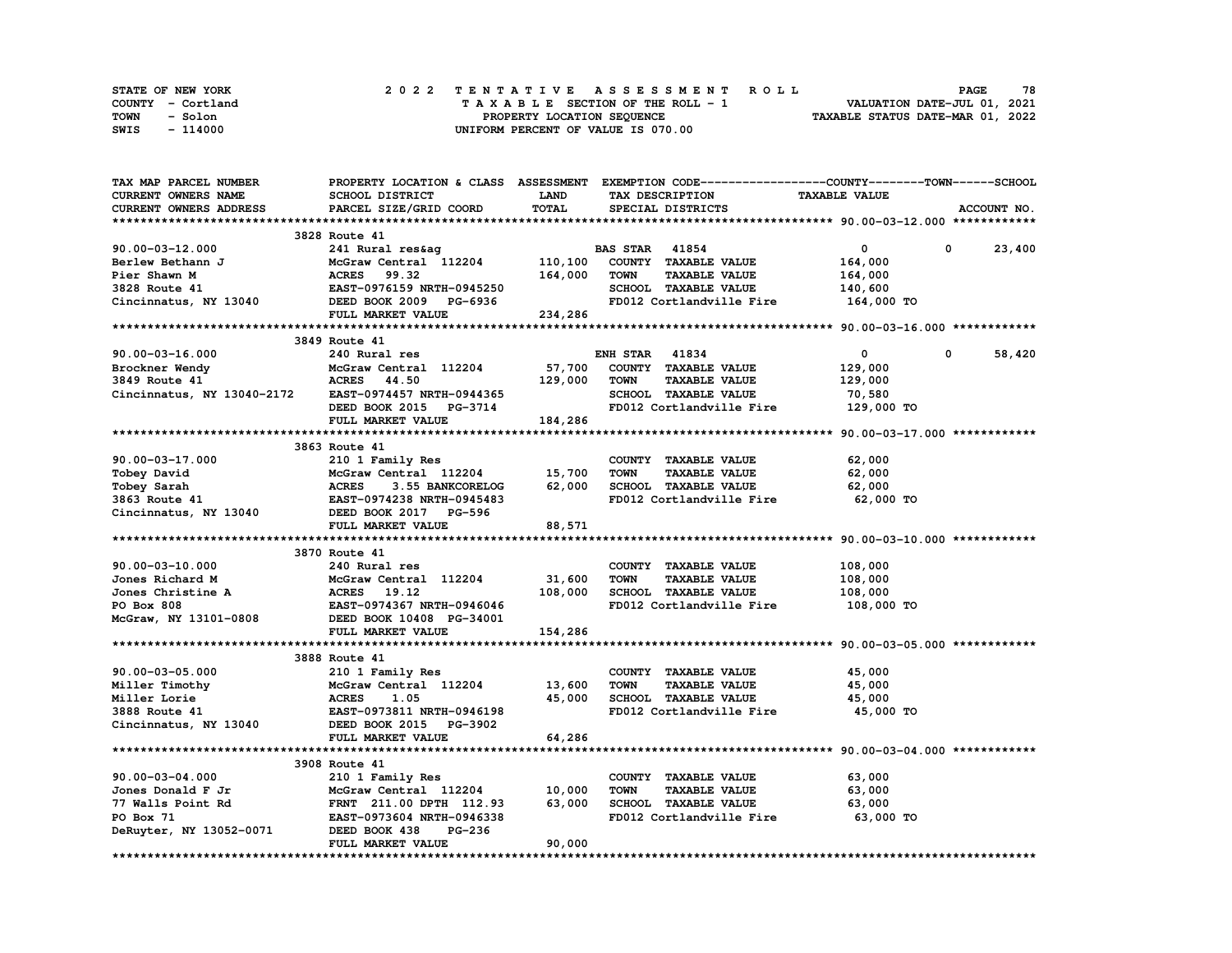| STATE OF NEW YORK | 2022 TENTATIVE ASSESSMENT ROLL     | 78<br><b>PAGE</b>                |
|-------------------|------------------------------------|----------------------------------|
| COUNTY - Cortland | TAXABLE SECTION OF THE ROLL - 1    | VALUATION DATE-JUL 01, 2021      |
| TOWN<br>- Solon   | PROPERTY LOCATION SEQUENCE         | TAXABLE STATUS DATE-MAR 01, 2022 |
| - 114000<br>SWIS  | UNIFORM PERCENT OF VALUE IS 070.00 |                                  |

| TAX MAP PARCEL NUMBER                                                |                                                                                                                                                                                  |              | PROPERTY LOCATION & CLASS ASSESSMENT EXEMPTION CODE----------------COUNTY-------TOWN-----SCHOOL |                      |                       |
|----------------------------------------------------------------------|----------------------------------------------------------------------------------------------------------------------------------------------------------------------------------|--------------|-------------------------------------------------------------------------------------------------|----------------------|-----------------------|
| CURRENT OWNERS NAME                                                  | SCHOOL DISTRICT                                                                                                                                                                  | <b>LAND</b>  | TAX DESCRIPTION                                                                                 | <b>TAXABLE VALUE</b> |                       |
| CURRENT OWNERS ADDRESS                                               | PARCEL SIZE/GRID COORD                                                                                                                                                           | <b>TOTAL</b> | SPECIAL DISTRICTS                                                                               |                      | ACCOUNT NO.           |
|                                                                      |                                                                                                                                                                                  |              |                                                                                                 |                      |                       |
|                                                                      | 3828 Route 41                                                                                                                                                                    |              |                                                                                                 |                      |                       |
| $90.00 - 03 - 12.000$                                                | 241 Rural res&ag                                                                                                                                                                 |              | <b>BAS STAR</b> 41854                                                                           | $\Omega$             | $\mathbf 0$<br>23,400 |
|                                                                      |                                                                                                                                                                                  |              | COUNTY TAXABLE VALUE                                                                            | 164,000              |                       |
|                                                                      | 241 Rural res&ay<br>McGraw Central 112204 110,100<br>Arbrs 99.32 164,000                                                                                                         |              | <b>TOWN</b><br><b>TAXABLE VALUE</b>                                                             | 164,000              |                       |
|                                                                      |                                                                                                                                                                                  |              | SCHOOL TAXABLE VALUE                                                                            | 140,600              |                       |
|                                                                      |                                                                                                                                                                                  |              | FD012 Cortlandville Fire                                                                        | 164,000 TO           |                       |
|                                                                      | 90.00-03-12.000<br>Berlew Bethann J<br>Pier Shawn M<br>2328 Route 41<br>Cincinnatus, NY 13040<br>234,286<br>FULL MARKET VALUE<br>234,286<br>234,286<br>234,286                   |              |                                                                                                 |                      |                       |
|                                                                      |                                                                                                                                                                                  |              |                                                                                                 |                      |                       |
|                                                                      | 3849 Route 41                                                                                                                                                                    |              |                                                                                                 |                      |                       |
| $90.00 - 03 - 16.000$                                                | 240 Rural res                                                                                                                                                                    |              | <b>ENH STAR 41834</b>                                                                           | $\mathbf{0}$         | 58,420<br>0           |
|                                                                      |                                                                                                                                                                                  |              | COUNTY TAXABLE VALUE                                                                            | 129,000              |                       |
|                                                                      |                                                                                                                                                                                  | 129,000      | <b>TOWN</b><br><b>TAXABLE VALUE</b>                                                             | 129,000              |                       |
|                                                                      |                                                                                                                                                                                  |              | SCHOOL TAXABLE VALUE                                                                            | 70,580               |                       |
|                                                                      |                                                                                                                                                                                  |              | FD012 Cortlandville Fire 129,000 TO                                                             |                      |                       |
|                                                                      | Brockner Wendy<br>3849 Route 41 <b>ACRES</b> 44.50<br>Cincinnatus, NY 13040-2172 <b>EAST-0974457 NRTH-0944365</b><br>DEED BOOK 2015 PG-3714<br>DEED BOOK 2015 PG-3714<br>184,286 |              |                                                                                                 |                      |                       |
|                                                                      |                                                                                                                                                                                  |              |                                                                                                 |                      |                       |
|                                                                      | 3863 Route 41                                                                                                                                                                    |              |                                                                                                 |                      |                       |
| 90.00-03-17.000                                                      | 210 1 Family Res                                                                                                                                                                 |              | COUNTY TAXABLE VALUE                                                                            | 62,000               |                       |
|                                                                      | McGraw Central 112204                                                                                                                                                            | 15,700       | TOWN<br><b>TAXABLE VALUE</b>                                                                    | 62,000               |                       |
|                                                                      | Tobey David<br>Tobey Sarah MCGraw Central 112204<br>3863 Route 41 EAST-0974238 NRTH-0945483<br>Cincinnatus, NY 13040 DEED BOOK 2017 PG-596                                       | 62,000       | SCHOOL TAXABLE VALUE                                                                            | 62,000               |                       |
|                                                                      |                                                                                                                                                                                  |              | FD012 Cortlandville Fire 62,000 TO                                                              |                      |                       |
|                                                                      |                                                                                                                                                                                  |              |                                                                                                 |                      |                       |
|                                                                      | FULL MARKET VALUE                                                                                                                                                                | 88,571       |                                                                                                 |                      |                       |
|                                                                      |                                                                                                                                                                                  |              |                                                                                                 |                      |                       |
|                                                                      |                                                                                                                                                                                  |              |                                                                                                 |                      |                       |
|                                                                      | 3870 Route 41                                                                                                                                                                    |              |                                                                                                 |                      |                       |
| 90.00-03-10.000                                                      | 240 Rural res                                                                                                                                                                    |              | COUNTY TAXABLE VALUE                                                                            | 108,000              |                       |
| Jones Richard M<br>Jones Christine A<br>PO Box 808<br>RAST-0974367 1 | McGraw Central 112204                                                                                                                                                            | 31,600       | <b>TOWN</b><br><b>TAXABLE VALUE</b>                                                             | 108,000              |                       |
|                                                                      |                                                                                                                                                                                  | 108,000      | SCHOOL TAXABLE VALUE                                                                            | 108,000              |                       |
|                                                                      | <b>EAST-0974367 NRTH-0946046</b>                                                                                                                                                 |              | FD012 Cortlandville Fire                                                                        | 108,000 TO           |                       |
| McGraw, NY 13101-0808                                                | DEED BOOK 10408 PG-34001                                                                                                                                                         |              |                                                                                                 |                      |                       |
|                                                                      | FULL MARKET VALUE                                                                                                                                                                | 154,286      |                                                                                                 |                      |                       |
|                                                                      |                                                                                                                                                                                  |              |                                                                                                 |                      |                       |
|                                                                      | 3888 Route 41                                                                                                                                                                    |              |                                                                                                 |                      |                       |
| $90.00 - 03 - 05.000$                                                | 10 210 1 Family Res<br>7 McGraw Central 112204<br>8 MCRES 1.05<br>8 MCRES 1.05<br>8 MAST-0973811 NRTH-0946198                                                                    |              | COUNTY TAXABLE VALUE                                                                            | 45,000               |                       |
| Miller Timothy                                                       |                                                                                                                                                                                  | 13,600       | TOWN<br><b>TAXABLE VALUE</b>                                                                    | 45,000               |                       |
| Miller Lorie                                                         |                                                                                                                                                                                  | 45,000       | SCHOOL TAXABLE VALUE                                                                            | 45,000               |                       |
| 3888 Route 41                                                        |                                                                                                                                                                                  |              | FD012 Cortlandville Fire                                                                        | 45,000 TO            |                       |
| Cincinnatus, NY 13040                                                | DEED BOOK 2015 PG-3902                                                                                                                                                           |              |                                                                                                 |                      |                       |
|                                                                      | FULL MARKET VALUE                                                                                                                                                                | 64,286       |                                                                                                 |                      |                       |
|                                                                      |                                                                                                                                                                                  |              |                                                                                                 |                      |                       |
|                                                                      | 3908 Route 41                                                                                                                                                                    |              |                                                                                                 |                      |                       |
| 90.00-03-04.000                                                      | 210 1 Family Res                                                                                                                                                                 |              | COUNTY TAXABLE VALUE                                                                            | 63,000               |                       |
| Jones Donald F Jr                                                    |                                                                                                                                                                                  |              | <b>TOWN</b><br><b>TAXABLE VALUE</b>                                                             | 63,000               |                       |
| 77 Walls Point Rd                                                    |                                                                                                                                                                                  |              | SCHOOL TAXABLE VALUE                                                                            | 63,000               |                       |
| PO Box 71                                                            |                                                                                                                                                                                  |              | FD012 Cortlandville Fire 63,000 TO                                                              |                      |                       |
| DeRuyter, NY 13052-0071                                              | 9.000<br>IF Jr MCGraw Central 112204 10,000<br>Int Rd FRNT 211.00 DPTH 112.93 63,000<br>EAST-0973604 NRTH-0946338<br>FG-236 PG-236                                               |              |                                                                                                 |                      |                       |
|                                                                      | FULL MARKET VALUE                                                                                                                                                                | 90,000       |                                                                                                 |                      |                       |
|                                                                      |                                                                                                                                                                                  |              |                                                                                                 |                      |                       |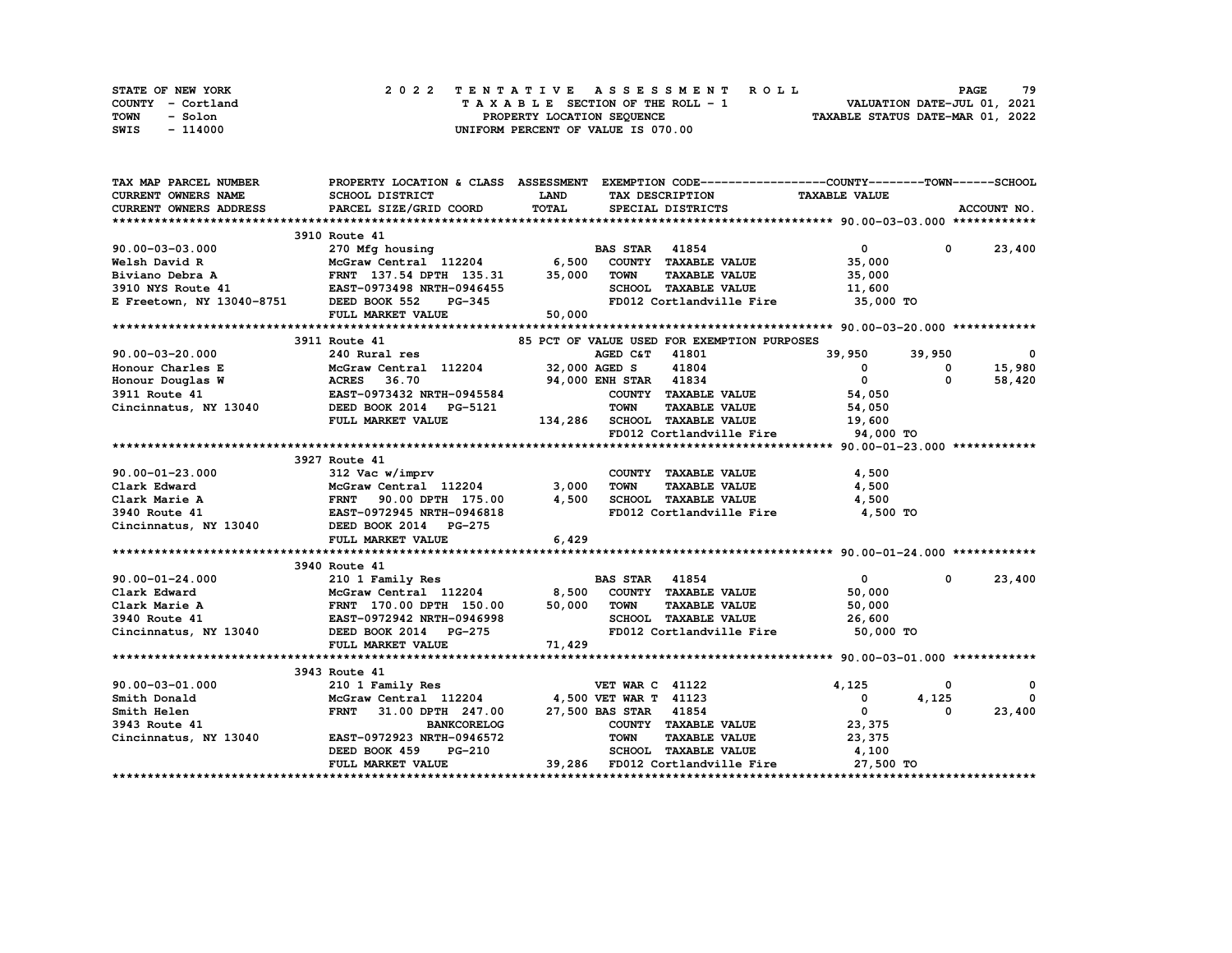| STATE OF NEW YORK | 2022 TENTATIVE ASSESSMENT ROLL     | 79<br><b>PAGE</b>                |
|-------------------|------------------------------------|----------------------------------|
| COUNTY - Cortland | TAXABLE SECTION OF THE ROLL - 1    | VALUATION DATE-JUL 01, 2021      |
| TOWN<br>- Solon   | PROPERTY LOCATION SEQUENCE         | TAXABLE STATUS DATE-MAR 01, 2022 |
| - 114000<br>SWIS  | UNIFORM PERCENT OF VALUE IS 070.00 |                                  |

| TAX MAP PARCEL NUMBER  | PROPERTY LOCATION & CLASS ASSESSMENT EXEMPTION CODE----------------COUNTY-------TOWN-----SCHOOL                                                                                                                                                 |             |                                             |                                                                                                                                                                                                                                                                                                                                    |            |               |
|------------------------|-------------------------------------------------------------------------------------------------------------------------------------------------------------------------------------------------------------------------------------------------|-------------|---------------------------------------------|------------------------------------------------------------------------------------------------------------------------------------------------------------------------------------------------------------------------------------------------------------------------------------------------------------------------------------|------------|---------------|
| CURRENT OWNERS NAME    | SCHOOL DISTRICT                                                                                                                                                                                                                                 | <b>LAND</b> | TAX DESCRIPTION                             | <b>TAXABLE VALUE</b>                                                                                                                                                                                                                                                                                                               |            |               |
| CURRENT OWNERS ADDRESS | PARCEL SIZE/GRID COORD                                                                                                                                                                                                                          | TOTAL       | SPECIAL DISTRICTS                           |                                                                                                                                                                                                                                                                                                                                    |            | ACCOUNT NO.   |
|                        |                                                                                                                                                                                                                                                 |             |                                             |                                                                                                                                                                                                                                                                                                                                    |            |               |
|                        | 3910 Route 41                                                                                                                                                                                                                                   |             |                                             |                                                                                                                                                                                                                                                                                                                                    |            |               |
| $90.00 - 03 - 03.000$  | 270 Mfg housing<br>270 Mfg housing<br>McGraw Central 112204 6,500 COUNTY TAXABLE VALUE                                                                                                                                                          |             |                                             | $\overline{0}$ and $\overline{0}$ and $\overline{0}$ and $\overline{0}$ and $\overline{0}$ and $\overline{0}$ and $\overline{0}$ and $\overline{0}$ and $\overline{0}$ and $\overline{0}$ and $\overline{0}$ and $\overline{0}$ and $\overline{0}$ and $\overline{0}$ and $\overline{0}$ and $\overline{0}$ and $\overline{0}$ and |            | $0 \t 23,400$ |
|                        |                                                                                                                                                                                                                                                 |             |                                             | 35,000                                                                                                                                                                                                                                                                                                                             |            |               |
|                        |                                                                                                                                                                                                                                                 |             |                                             | TAXABLE VALUE 35,000                                                                                                                                                                                                                                                                                                               |            |               |
|                        |                                                                                                                                                                                                                                                 |             | SCHOOL TAXABLE VALUE                        | 11,600                                                                                                                                                                                                                                                                                                                             |            |               |
|                        | Nelsh David R<br>Nelsh David R<br>Nelsh David R<br>Nelsh David R<br>Nelsh David R<br>Biviano Debra A<br>FRNT 137.54 DPTH 135.31 35,000 TOWN<br>3910 NYS Route 41<br>EAST-0973498 NRTH-0946455<br>E Freetown, NY 13040-8751 DEED BOOK 552 PG-345 |             |                                             | FD012 Cortlandville Fire 35,000 TO                                                                                                                                                                                                                                                                                                 |            |               |
|                        | FULL MARKET VALUE 50,000                                                                                                                                                                                                                        |             |                                             |                                                                                                                                                                                                                                                                                                                                    |            |               |
|                        |                                                                                                                                                                                                                                                 |             |                                             |                                                                                                                                                                                                                                                                                                                                    |            |               |
|                        | 3911 Route 41                                                                                                                                                                                                                                   |             | 85 PCT OF VALUE USED FOR EXEMPTION PURPOSES |                                                                                                                                                                                                                                                                                                                                    |            |               |
|                        |                                                                                                                                                                                                                                                 |             |                                             | 39,950 39,950                                                                                                                                                                                                                                                                                                                      |            | $\mathbf 0$   |
|                        |                                                                                                                                                                                                                                                 |             |                                             |                                                                                                                                                                                                                                                                                                                                    | $^{\circ}$ | 15,980        |
|                        |                                                                                                                                                                                                                                                 |             |                                             |                                                                                                                                                                                                                                                                                                                                    | $\Omega$   | 58,420        |
|                        |                                                                                                                                                                                                                                                 |             |                                             |                                                                                                                                                                                                                                                                                                                                    |            |               |
|                        |                                                                                                                                                                                                                                                 |             |                                             |                                                                                                                                                                                                                                                                                                                                    |            |               |
|                        | 90.00-03-20.000 240 Rural res<br>Honour Charles E McGraw Central 112204 32,000 AGED C&T 41801 39,950<br>Honour Douglas W ACRES 36.70 94,000 ENH STAR 41834 0<br>3911 Route 41 EAST-0973432 NRTH-0945584 Cincinnatus, NY 13040 DEED B            |             |                                             |                                                                                                                                                                                                                                                                                                                                    |            |               |
|                        |                                                                                                                                                                                                                                                 |             |                                             | FD012 Cortlandville Fire 94,000 TO                                                                                                                                                                                                                                                                                                 |            |               |
|                        |                                                                                                                                                                                                                                                 |             |                                             |                                                                                                                                                                                                                                                                                                                                    |            |               |
|                        | 3927 Route 41                                                                                                                                                                                                                                   |             |                                             |                                                                                                                                                                                                                                                                                                                                    |            |               |
|                        |                                                                                                                                                                                                                                                 |             |                                             |                                                                                                                                                                                                                                                                                                                                    |            |               |
|                        |                                                                                                                                                                                                                                                 |             |                                             |                                                                                                                                                                                                                                                                                                                                    |            |               |
|                        |                                                                                                                                                                                                                                                 |             |                                             |                                                                                                                                                                                                                                                                                                                                    |            |               |
|                        |                                                                                                                                                                                                                                                 |             |                                             | 4,500 TO                                                                                                                                                                                                                                                                                                                           |            |               |
|                        | 90.00-01-23.000 312 Vac w/imprv COUNTY TAXABLE VALUE 4,500<br>Clark Edward McGraw Central 112204 3,000 TOWN TAXABLE VALUE 4,500<br>Clark Marie A FRNT 90.00 DPTH 175.00 4,500 SCHOOL TAXABLE VALUE 4,500<br>3940 Route 41 EAST-0972             |             |                                             |                                                                                                                                                                                                                                                                                                                                    |            |               |
|                        | FULL MARKET VALUE                                                                                                                                                                                                                               | 6,429       |                                             |                                                                                                                                                                                                                                                                                                                                    |            |               |
|                        |                                                                                                                                                                                                                                                 |             |                                             |                                                                                                                                                                                                                                                                                                                                    |            |               |
|                        | 3940 Route 41                                                                                                                                                                                                                                   |             |                                             |                                                                                                                                                                                                                                                                                                                                    |            |               |
|                        |                                                                                                                                                                                                                                                 |             |                                             | $\mathbf{0}$                                                                                                                                                                                                                                                                                                                       | $^{\circ}$ | 23,400        |
|                        |                                                                                                                                                                                                                                                 |             |                                             | 50,000                                                                                                                                                                                                                                                                                                                             |            |               |
|                        |                                                                                                                                                                                                                                                 |             |                                             | 50,000                                                                                                                                                                                                                                                                                                                             |            |               |
|                        |                                                                                                                                                                                                                                                 |             |                                             |                                                                                                                                                                                                                                                                                                                                    |            |               |
|                        | 90.00-01-24.000 210 1 Family Res<br>Clark Edward McGraw Central 112204 8,500 COUNTY TAXABLE VALUE<br>Clark Marie A FRNT 170.00 DPTH 150.00 50,000 TOWN TAXABLE VALUE<br>3940 Route 41 EAST-0972942 NRTH-0946998 SCHOOL TAXABLE VALUE            |             |                                             | SCHOOL TAXABLE VALUE $26,600$<br>FD012 Cortlandville Fire 50,000<br>50,000 TO                                                                                                                                                                                                                                                      |            |               |
|                        | FULL MARKET VALUE                                                                                                                                                                                                                               | 71,429      |                                             |                                                                                                                                                                                                                                                                                                                                    |            |               |
|                        |                                                                                                                                                                                                                                                 |             |                                             |                                                                                                                                                                                                                                                                                                                                    |            |               |
|                        | 3943 Route 41                                                                                                                                                                                                                                   |             |                                             |                                                                                                                                                                                                                                                                                                                                    |            |               |
|                        |                                                                                                                                                                                                                                                 |             |                                             |                                                                                                                                                                                                                                                                                                                                    | 0          | 0             |
|                        | 90.00-03-01.000 210 1 Family Res<br>Smith Donald McGraw Central 112204<br>Smith Helen FRNT 31.00 DPTH 247.00<br>3943 Route 41 BANKCORELOG<br>Cincinnatus, NY 13040 EAST-0972923 NRTH-0946572                                                    |             |                                             | $\begin{array}{ccc}\n & -\rightarrow & \\  & 0 & \\  & 0 & \\  & 0 & \n\end{array}$                                                                                                                                                                                                                                                | 4,125      | $\Omega$      |
|                        | FRNT 31.00 DPTH 247.00 27,500 BAS STAR 41854                                                                                                                                                                                                    |             |                                             |                                                                                                                                                                                                                                                                                                                                    | 0          | 23,400        |
|                        |                                                                                                                                                                                                                                                 |             |                                             | 23,375                                                                                                                                                                                                                                                                                                                             |            |               |
|                        |                                                                                                                                                                                                                                                 |             | <b>TOWN</b><br><b>TAXABLE VALUE</b>         | 23,375                                                                                                                                                                                                                                                                                                                             |            |               |
|                        | DEED BOOK 459                                                                                                                                                                                                                                   | $PG-210$    |                                             | SCHOOL TAXABLE VALUE 4,100                                                                                                                                                                                                                                                                                                         |            |               |
|                        | FULL MARKET VALUE                                                                                                                                                                                                                               |             |                                             | 39,286 FD012 Cortlandville Fire 27,500 TO                                                                                                                                                                                                                                                                                          |            |               |
|                        |                                                                                                                                                                                                                                                 |             |                                             |                                                                                                                                                                                                                                                                                                                                    |            |               |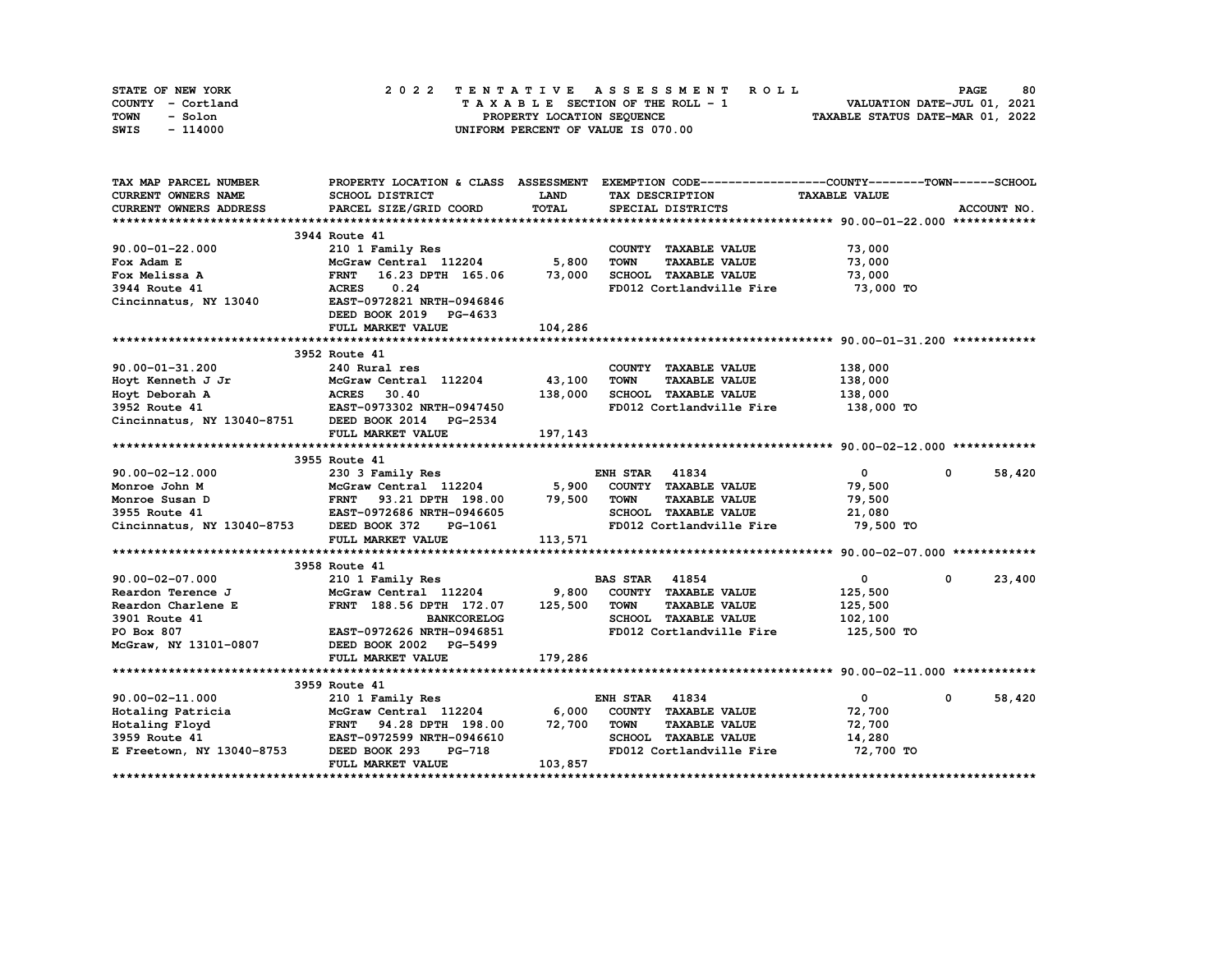| STATE OF NEW YORK | 2022 TENTATIVE ASSESSMENT ROLL     | 80<br><b>PAGE</b>                |
|-------------------|------------------------------------|----------------------------------|
| COUNTY - Cortland | TAXABLE SECTION OF THE ROLL - 1    | VALUATION DATE-JUL 01, 2021      |
| TOWN<br>- Solon   | PROPERTY LOCATION SEQUENCE         | TAXABLE STATUS DATE-MAR 01, 2022 |
| - 114000<br>SWIS  | UNIFORM PERCENT OF VALUE IS 070.00 |                                  |

| TAX MAP PARCEL NUMBER                           |                                                 |                      | PROPERTY LOCATION & CLASS ASSESSMENT EXEMPTION CODE----------------COUNTY-------TOWN------SCHOOL |                      |                        |
|-------------------------------------------------|-------------------------------------------------|----------------------|--------------------------------------------------------------------------------------------------|----------------------|------------------------|
| CURRENT OWNERS NAME                             | SCHOOL DISTRICT                                 | <b>LAND</b>          | TAX DESCRIPTION                                                                                  | <b>TAXABLE VALUE</b> |                        |
| CURRENT OWNERS ADDRESS                          | PARCEL SIZE/GRID COORD                          | TOTAL                | SPECIAL DISTRICTS                                                                                |                      | ACCOUNT NO.            |
|                                                 |                                                 |                      |                                                                                                  |                      |                        |
|                                                 | 3944 Route 41                                   |                      |                                                                                                  |                      |                        |
| $90.00 - 01 - 22.000$                           | 210 1 Family Res<br>McGraw Central 112204 5,800 |                      | COUNTY TAXABLE VALUE                                                                             | 73,000               |                        |
| Fox Adam E                                      |                                                 |                      | TOWN<br><b>TAXABLE VALUE</b>                                                                     | 73,000               |                        |
| Fox Melissa A                                   | FRNT 16.23 DPTH 165.06 73,000                   |                      | SCHOOL TAXABLE VALUE                                                                             | 73,000               |                        |
| 3944 Route 41                                   | <b>ACRES</b><br>0.24                            |                      | FD012 Cortlandville Fire                                                                         | 73,000 TO            |                        |
| Cincinnatus, NY 13040 EAST-0972821 NRTH-0946846 |                                                 |                      |                                                                                                  |                      |                        |
|                                                 | DEED BOOK 2019 PG-4633                          |                      |                                                                                                  |                      |                        |
|                                                 | FULL MARKET VALUE                               | 104,286              |                                                                                                  |                      |                        |
|                                                 |                                                 |                      |                                                                                                  |                      |                        |
|                                                 | 3952 Route 41                                   |                      |                                                                                                  |                      |                        |
| 90.00-01-31.200                                 | 240 Rural res                                   |                      | COUNTY TAXABLE VALUE                                                                             | 138,000              |                        |
| Hoyt Kenneth J Jr                               | McGraw Central 112204 43,100                    |                      | <b>TOWN</b><br><b>TAXABLE VALUE</b>                                                              | 138,000              |                        |
|                                                 |                                                 | 138,000              | SCHOOL TAXABLE VALUE                                                                             | 138,000              |                        |
|                                                 |                                                 |                      | FD012 Cortlandville Fire                                                                         | 138,000 TO           |                        |
| Cincinnatus, NY 13040-8751 DEED BOOK 2014       | <b>PG-2534</b>                                  |                      |                                                                                                  |                      |                        |
|                                                 | FULL MARKET VALUE                               | 197,143              |                                                                                                  |                      |                        |
|                                                 |                                                 |                      |                                                                                                  |                      |                        |
|                                                 | 3955 Route 41                                   |                      |                                                                                                  |                      |                        |
| 90.00-02-12.000                                 |                                                 |                      | <b>ENH STAR 41834</b>                                                                            | $\overline{0}$       | $\mathbf{0}$<br>58,420 |
| Monroe John M                                   |                                                 |                      |                                                                                                  | 79,500               |                        |
| Monroe Susan D                                  |                                                 |                      |                                                                                                  | 79,500               |                        |
| 3955 Route 41                                   |                                                 |                      |                                                                                                  | 21,080               |                        |
| Cincinnatus, NY 13040-8753 DEED BOOK 372        |                                                 | H-0946605<br>PG-1061 | FD012 Cortlandville Fire                                                                         | 79,500 TO            |                        |
|                                                 | FULL MARKET VALUE                               | 113,571              |                                                                                                  |                      |                        |
|                                                 |                                                 |                      |                                                                                                  |                      |                        |
|                                                 | 3958 Route 41                                   |                      |                                                                                                  |                      |                        |
| $90.00 - 02 - 07.000$                           |                                                 |                      |                                                                                                  | $\mathbf{0}$         | 23,400<br>0            |
| Reardon Terence J                               |                                                 |                      |                                                                                                  | 125,500              |                        |
| Reardon Charlene E                              | FRNT 188.56 DPTH 172.07                         | 125,500              | <b>TOWN</b><br><b>TAXABLE VALUE</b>                                                              | 125,500              |                        |
| 3901 Route 41                                   | <b>BANKCORELOG</b>                              |                      | SCHOOL TAXABLE VALUE                                                                             | 102,100              |                        |
| PO Box 807                                      | EAST-0972626 NRTH-0946851                       |                      | FD012 Cortlandville Fire                                                                         | 125,500 TO           |                        |
| McGraw, NY 13101-0807                           | DEED BOOK 2002 PG-5499                          |                      |                                                                                                  |                      |                        |
|                                                 | FULL MARKET VALUE                               | 179,286              |                                                                                                  |                      |                        |
|                                                 |                                                 |                      |                                                                                                  |                      |                        |
|                                                 |                                                 |                      |                                                                                                  |                      |                        |
|                                                 |                                                 |                      | <b>ENH STAR 41834</b>                                                                            | $\overline{0}$       | 58,420<br>$\mathbf{0}$ |
|                                                 |                                                 |                      | COUNTY TAXABLE VALUE                                                                             | 72,700               |                        |
|                                                 |                                                 |                      | TOWN<br><b>TAXABLE VALUE</b>                                                                     | 72,700               |                        |
|                                                 |                                                 |                      | SCHOOL TAXABLE VALUE                                                                             | 14,280               |                        |
| E Freetown, NY 13040-8753 DEED BOOK 293         | PG-718                                          |                      | FD012 Cortlandville Fire 72,700 TO                                                               |                      |                        |
|                                                 | FULL MARKET VALUE                               | 103,857              |                                                                                                  |                      |                        |
|                                                 |                                                 |                      |                                                                                                  |                      |                        |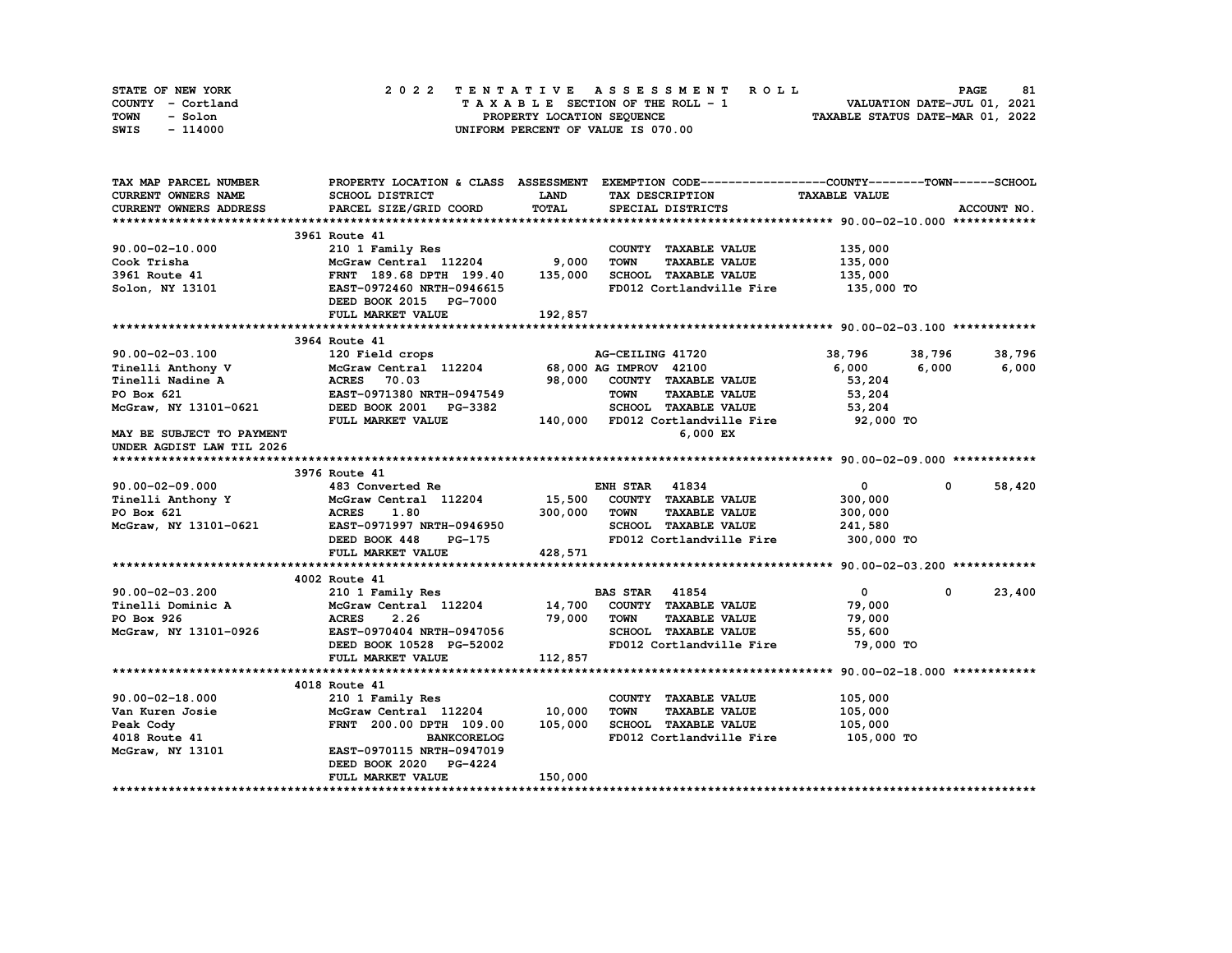| STATE OF NEW YORK | 2022 TENTATIVE ASSESSMENT ROLL     | 81<br><b>PAGE</b>                |
|-------------------|------------------------------------|----------------------------------|
| COUNTY - Cortland | TAXABLE SECTION OF THE ROLL - 1    | VALUATION DATE-JUL 01, 2021      |
| TOWN<br>- Solon   | PROPERTY LOCATION SEQUENCE         | TAXABLE STATUS DATE-MAR 01, 2022 |
| - 114000<br>SWIS  | UNIFORM PERCENT OF VALUE IS 070.00 |                                  |

| CURRENT OWNERS NAME<br>SCHOOL DISTRICT<br><b>LAND</b><br>TAX DESCRIPTION<br><b>TAXABLE VALUE</b><br>TOTAL<br><b>CURRENT OWNERS ADDRESS</b><br>PARCEL SIZE/GRID COORD<br>SPECIAL DISTRICTS<br>ACCOUNT NO.<br>3961 Route 41<br>210 1 Family Res<br>$90.00 - 02 - 10.000$<br>COUNTY TAXABLE VALUE<br>135,000<br>McGraw Central 112204 9,000<br><b>TOWN</b><br><b>TAXABLE VALUE</b><br>135,000<br>Cook Trisha<br>FRNT 189.68 DPTH 199.40 135,000<br>3961 Route 41<br>SCHOOL TAXABLE VALUE<br>135,000<br>FD012 Cortlandville Fire<br>135,000 TO<br>Solon, NY 13101<br>EAST-0972460 NRTH-0946615<br>DEED BOOK 2015 PG-7000<br>192,857<br>FULL MARKET VALUE<br>3964 Route 41<br>90.00-02-03.100<br>120 Field crops<br>AG-CEILING 41720<br>38,796<br>38,796<br>38,796<br>Tinelli Anthony V<br>Tinelli Anthony V<br>Tinelli Nadine A<br>2100<br>PO Box 621<br>PO Box 621<br>EAST-0971380 NRTH-0947549<br>EAST-0971380 NRTH-0947549<br>TOWN TAXABLE<br>6,000 6,000<br>6,000<br>98,000 COUNTY TAXABLE VALUE<br>53,204<br><b>TAXABLE VALUE</b><br>53,204<br>McGraw, NY 13101-0621<br>53,204<br>92,000 TO<br>6,000 EX<br>MAY BE SUBJECT TO PAYMENT<br>UNDER AGDIST LAW TIL 2026<br>3976 Route 41<br>90.00-02-09.000<br>$\bullet$<br>$\mathbf 0$<br>58,420<br>483 Converted Re<br><b>ENH STAR</b> 41834<br>Tinelli Anthony Y<br>McGraw Central 112204 15,500<br>COUNTY TAXABLE VALUE<br>300,000<br>300,000<br><b>TOWN</b><br>PO Box 621<br><b>ACRES</b><br>1.80<br><b>TAXABLE VALUE</b><br>300,000<br>McGraw, NY 13101-0621 EAST-0971997 NRTH-0946950<br>SCHOOL TAXABLE VALUE<br>241,580<br>FD012 Cortlandville Fire 300,000 TO<br>DEED BOOK 448<br><b>PG-175</b><br>428,571<br>FULL MARKET VALUE<br>4002 Route 41<br>210 1 Family Res<br><b>BAS STAR 41854</b><br>23,400<br>$90.00 - 02 - 03.200$<br>$\mathbf{0}$<br>$\mathbf{0}$<br>McGraw Central 112204 14,700<br>COUNTY TAXABLE VALUE<br>Tinelli Dominic A<br>79,000<br>79,000<br>PO Box 926<br>TOWN<br><b>TAXABLE VALUE</b><br>79,000<br>ACRES 2.26<br>ACRES 2.26 13,300<br>EAST-0970404 NRTH-0947056<br>McGraw, NY 13101-0926<br>SCHOOL TAXABLE VALUE<br>55,600<br>FD012 Cortlandville Fire<br>79,000 TO<br>112,857<br>FULL MARKET VALUE<br>4018 Route 41<br>$90.00 - 02 - 18.000$<br>210 1 Family Res<br>COUNTY TAXABLE VALUE<br>105,000<br>McGraw Central 112204 10,000<br><b>TOWN</b><br><b>TAXABLE VALUE</b><br>Van Kuren Josie<br>105,000<br>105,000<br>SCHOOL TAXABLE VALUE<br>Peak Cody<br>FRNT 200.00 DPTH 109.00<br>105,000<br>FD012 Cortlandville Fire 105,000 TO<br>4018 Route 41<br><b>BANKCORELOG</b><br>EAST-0970115 NRTH-0947019<br>McGraw, NY 13101<br>DEED BOOK 2020 PG-4224<br>150,000<br>FULL MARKET VALUE | TAX MAP PARCEL NUMBER |  | PROPERTY LOCATION & CLASS ASSESSMENT EXEMPTION CODE-----------------COUNTY-------TOWN------SCHOOL |  |
|------------------------------------------------------------------------------------------------------------------------------------------------------------------------------------------------------------------------------------------------------------------------------------------------------------------------------------------------------------------------------------------------------------------------------------------------------------------------------------------------------------------------------------------------------------------------------------------------------------------------------------------------------------------------------------------------------------------------------------------------------------------------------------------------------------------------------------------------------------------------------------------------------------------------------------------------------------------------------------------------------------------------------------------------------------------------------------------------------------------------------------------------------------------------------------------------------------------------------------------------------------------------------------------------------------------------------------------------------------------------------------------------------------------------------------------------------------------------------------------------------------------------------------------------------------------------------------------------------------------------------------------------------------------------------------------------------------------------------------------------------------------------------------------------------------------------------------------------------------------------------------------------------------------------------------------------------------------------------------------------------------------------------------------------------------------------------------------------------------------------------------------------------------------------------------------------------------------------------------------------------------------------------------------------------------------------------------------------------------------------------------------------------------------------------------------------------------------------------------------------------------------------------------------------------------------------------------------------------------------------------------------------------------------------|-----------------------|--|---------------------------------------------------------------------------------------------------|--|
|                                                                                                                                                                                                                                                                                                                                                                                                                                                                                                                                                                                                                                                                                                                                                                                                                                                                                                                                                                                                                                                                                                                                                                                                                                                                                                                                                                                                                                                                                                                                                                                                                                                                                                                                                                                                                                                                                                                                                                                                                                                                                                                                                                                                                                                                                                                                                                                                                                                                                                                                                                                                                                                                        |                       |  |                                                                                                   |  |
|                                                                                                                                                                                                                                                                                                                                                                                                                                                                                                                                                                                                                                                                                                                                                                                                                                                                                                                                                                                                                                                                                                                                                                                                                                                                                                                                                                                                                                                                                                                                                                                                                                                                                                                                                                                                                                                                                                                                                                                                                                                                                                                                                                                                                                                                                                                                                                                                                                                                                                                                                                                                                                                                        |                       |  |                                                                                                   |  |
|                                                                                                                                                                                                                                                                                                                                                                                                                                                                                                                                                                                                                                                                                                                                                                                                                                                                                                                                                                                                                                                                                                                                                                                                                                                                                                                                                                                                                                                                                                                                                                                                                                                                                                                                                                                                                                                                                                                                                                                                                                                                                                                                                                                                                                                                                                                                                                                                                                                                                                                                                                                                                                                                        |                       |  |                                                                                                   |  |
|                                                                                                                                                                                                                                                                                                                                                                                                                                                                                                                                                                                                                                                                                                                                                                                                                                                                                                                                                                                                                                                                                                                                                                                                                                                                                                                                                                                                                                                                                                                                                                                                                                                                                                                                                                                                                                                                                                                                                                                                                                                                                                                                                                                                                                                                                                                                                                                                                                                                                                                                                                                                                                                                        |                       |  |                                                                                                   |  |
|                                                                                                                                                                                                                                                                                                                                                                                                                                                                                                                                                                                                                                                                                                                                                                                                                                                                                                                                                                                                                                                                                                                                                                                                                                                                                                                                                                                                                                                                                                                                                                                                                                                                                                                                                                                                                                                                                                                                                                                                                                                                                                                                                                                                                                                                                                                                                                                                                                                                                                                                                                                                                                                                        |                       |  |                                                                                                   |  |
|                                                                                                                                                                                                                                                                                                                                                                                                                                                                                                                                                                                                                                                                                                                                                                                                                                                                                                                                                                                                                                                                                                                                                                                                                                                                                                                                                                                                                                                                                                                                                                                                                                                                                                                                                                                                                                                                                                                                                                                                                                                                                                                                                                                                                                                                                                                                                                                                                                                                                                                                                                                                                                                                        |                       |  |                                                                                                   |  |
|                                                                                                                                                                                                                                                                                                                                                                                                                                                                                                                                                                                                                                                                                                                                                                                                                                                                                                                                                                                                                                                                                                                                                                                                                                                                                                                                                                                                                                                                                                                                                                                                                                                                                                                                                                                                                                                                                                                                                                                                                                                                                                                                                                                                                                                                                                                                                                                                                                                                                                                                                                                                                                                                        |                       |  |                                                                                                   |  |
|                                                                                                                                                                                                                                                                                                                                                                                                                                                                                                                                                                                                                                                                                                                                                                                                                                                                                                                                                                                                                                                                                                                                                                                                                                                                                                                                                                                                                                                                                                                                                                                                                                                                                                                                                                                                                                                                                                                                                                                                                                                                                                                                                                                                                                                                                                                                                                                                                                                                                                                                                                                                                                                                        |                       |  |                                                                                                   |  |
|                                                                                                                                                                                                                                                                                                                                                                                                                                                                                                                                                                                                                                                                                                                                                                                                                                                                                                                                                                                                                                                                                                                                                                                                                                                                                                                                                                                                                                                                                                                                                                                                                                                                                                                                                                                                                                                                                                                                                                                                                                                                                                                                                                                                                                                                                                                                                                                                                                                                                                                                                                                                                                                                        |                       |  |                                                                                                   |  |
|                                                                                                                                                                                                                                                                                                                                                                                                                                                                                                                                                                                                                                                                                                                                                                                                                                                                                                                                                                                                                                                                                                                                                                                                                                                                                                                                                                                                                                                                                                                                                                                                                                                                                                                                                                                                                                                                                                                                                                                                                                                                                                                                                                                                                                                                                                                                                                                                                                                                                                                                                                                                                                                                        |                       |  |                                                                                                   |  |
|                                                                                                                                                                                                                                                                                                                                                                                                                                                                                                                                                                                                                                                                                                                                                                                                                                                                                                                                                                                                                                                                                                                                                                                                                                                                                                                                                                                                                                                                                                                                                                                                                                                                                                                                                                                                                                                                                                                                                                                                                                                                                                                                                                                                                                                                                                                                                                                                                                                                                                                                                                                                                                                                        |                       |  |                                                                                                   |  |
|                                                                                                                                                                                                                                                                                                                                                                                                                                                                                                                                                                                                                                                                                                                                                                                                                                                                                                                                                                                                                                                                                                                                                                                                                                                                                                                                                                                                                                                                                                                                                                                                                                                                                                                                                                                                                                                                                                                                                                                                                                                                                                                                                                                                                                                                                                                                                                                                                                                                                                                                                                                                                                                                        |                       |  |                                                                                                   |  |
|                                                                                                                                                                                                                                                                                                                                                                                                                                                                                                                                                                                                                                                                                                                                                                                                                                                                                                                                                                                                                                                                                                                                                                                                                                                                                                                                                                                                                                                                                                                                                                                                                                                                                                                                                                                                                                                                                                                                                                                                                                                                                                                                                                                                                                                                                                                                                                                                                                                                                                                                                                                                                                                                        |                       |  |                                                                                                   |  |
|                                                                                                                                                                                                                                                                                                                                                                                                                                                                                                                                                                                                                                                                                                                                                                                                                                                                                                                                                                                                                                                                                                                                                                                                                                                                                                                                                                                                                                                                                                                                                                                                                                                                                                                                                                                                                                                                                                                                                                                                                                                                                                                                                                                                                                                                                                                                                                                                                                                                                                                                                                                                                                                                        |                       |  |                                                                                                   |  |
|                                                                                                                                                                                                                                                                                                                                                                                                                                                                                                                                                                                                                                                                                                                                                                                                                                                                                                                                                                                                                                                                                                                                                                                                                                                                                                                                                                                                                                                                                                                                                                                                                                                                                                                                                                                                                                                                                                                                                                                                                                                                                                                                                                                                                                                                                                                                                                                                                                                                                                                                                                                                                                                                        |                       |  |                                                                                                   |  |
|                                                                                                                                                                                                                                                                                                                                                                                                                                                                                                                                                                                                                                                                                                                                                                                                                                                                                                                                                                                                                                                                                                                                                                                                                                                                                                                                                                                                                                                                                                                                                                                                                                                                                                                                                                                                                                                                                                                                                                                                                                                                                                                                                                                                                                                                                                                                                                                                                                                                                                                                                                                                                                                                        |                       |  |                                                                                                   |  |
|                                                                                                                                                                                                                                                                                                                                                                                                                                                                                                                                                                                                                                                                                                                                                                                                                                                                                                                                                                                                                                                                                                                                                                                                                                                                                                                                                                                                                                                                                                                                                                                                                                                                                                                                                                                                                                                                                                                                                                                                                                                                                                                                                                                                                                                                                                                                                                                                                                                                                                                                                                                                                                                                        |                       |  |                                                                                                   |  |
|                                                                                                                                                                                                                                                                                                                                                                                                                                                                                                                                                                                                                                                                                                                                                                                                                                                                                                                                                                                                                                                                                                                                                                                                                                                                                                                                                                                                                                                                                                                                                                                                                                                                                                                                                                                                                                                                                                                                                                                                                                                                                                                                                                                                                                                                                                                                                                                                                                                                                                                                                                                                                                                                        |                       |  |                                                                                                   |  |
|                                                                                                                                                                                                                                                                                                                                                                                                                                                                                                                                                                                                                                                                                                                                                                                                                                                                                                                                                                                                                                                                                                                                                                                                                                                                                                                                                                                                                                                                                                                                                                                                                                                                                                                                                                                                                                                                                                                                                                                                                                                                                                                                                                                                                                                                                                                                                                                                                                                                                                                                                                                                                                                                        |                       |  |                                                                                                   |  |
|                                                                                                                                                                                                                                                                                                                                                                                                                                                                                                                                                                                                                                                                                                                                                                                                                                                                                                                                                                                                                                                                                                                                                                                                                                                                                                                                                                                                                                                                                                                                                                                                                                                                                                                                                                                                                                                                                                                                                                                                                                                                                                                                                                                                                                                                                                                                                                                                                                                                                                                                                                                                                                                                        |                       |  |                                                                                                   |  |
|                                                                                                                                                                                                                                                                                                                                                                                                                                                                                                                                                                                                                                                                                                                                                                                                                                                                                                                                                                                                                                                                                                                                                                                                                                                                                                                                                                                                                                                                                                                                                                                                                                                                                                                                                                                                                                                                                                                                                                                                                                                                                                                                                                                                                                                                                                                                                                                                                                                                                                                                                                                                                                                                        |                       |  |                                                                                                   |  |
|                                                                                                                                                                                                                                                                                                                                                                                                                                                                                                                                                                                                                                                                                                                                                                                                                                                                                                                                                                                                                                                                                                                                                                                                                                                                                                                                                                                                                                                                                                                                                                                                                                                                                                                                                                                                                                                                                                                                                                                                                                                                                                                                                                                                                                                                                                                                                                                                                                                                                                                                                                                                                                                                        |                       |  |                                                                                                   |  |
|                                                                                                                                                                                                                                                                                                                                                                                                                                                                                                                                                                                                                                                                                                                                                                                                                                                                                                                                                                                                                                                                                                                                                                                                                                                                                                                                                                                                                                                                                                                                                                                                                                                                                                                                                                                                                                                                                                                                                                                                                                                                                                                                                                                                                                                                                                                                                                                                                                                                                                                                                                                                                                                                        |                       |  |                                                                                                   |  |
|                                                                                                                                                                                                                                                                                                                                                                                                                                                                                                                                                                                                                                                                                                                                                                                                                                                                                                                                                                                                                                                                                                                                                                                                                                                                                                                                                                                                                                                                                                                                                                                                                                                                                                                                                                                                                                                                                                                                                                                                                                                                                                                                                                                                                                                                                                                                                                                                                                                                                                                                                                                                                                                                        |                       |  |                                                                                                   |  |
|                                                                                                                                                                                                                                                                                                                                                                                                                                                                                                                                                                                                                                                                                                                                                                                                                                                                                                                                                                                                                                                                                                                                                                                                                                                                                                                                                                                                                                                                                                                                                                                                                                                                                                                                                                                                                                                                                                                                                                                                                                                                                                                                                                                                                                                                                                                                                                                                                                                                                                                                                                                                                                                                        |                       |  |                                                                                                   |  |
|                                                                                                                                                                                                                                                                                                                                                                                                                                                                                                                                                                                                                                                                                                                                                                                                                                                                                                                                                                                                                                                                                                                                                                                                                                                                                                                                                                                                                                                                                                                                                                                                                                                                                                                                                                                                                                                                                                                                                                                                                                                                                                                                                                                                                                                                                                                                                                                                                                                                                                                                                                                                                                                                        |                       |  |                                                                                                   |  |
|                                                                                                                                                                                                                                                                                                                                                                                                                                                                                                                                                                                                                                                                                                                                                                                                                                                                                                                                                                                                                                                                                                                                                                                                                                                                                                                                                                                                                                                                                                                                                                                                                                                                                                                                                                                                                                                                                                                                                                                                                                                                                                                                                                                                                                                                                                                                                                                                                                                                                                                                                                                                                                                                        |                       |  |                                                                                                   |  |
|                                                                                                                                                                                                                                                                                                                                                                                                                                                                                                                                                                                                                                                                                                                                                                                                                                                                                                                                                                                                                                                                                                                                                                                                                                                                                                                                                                                                                                                                                                                                                                                                                                                                                                                                                                                                                                                                                                                                                                                                                                                                                                                                                                                                                                                                                                                                                                                                                                                                                                                                                                                                                                                                        |                       |  |                                                                                                   |  |
|                                                                                                                                                                                                                                                                                                                                                                                                                                                                                                                                                                                                                                                                                                                                                                                                                                                                                                                                                                                                                                                                                                                                                                                                                                                                                                                                                                                                                                                                                                                                                                                                                                                                                                                                                                                                                                                                                                                                                                                                                                                                                                                                                                                                                                                                                                                                                                                                                                                                                                                                                                                                                                                                        |                       |  |                                                                                                   |  |
|                                                                                                                                                                                                                                                                                                                                                                                                                                                                                                                                                                                                                                                                                                                                                                                                                                                                                                                                                                                                                                                                                                                                                                                                                                                                                                                                                                                                                                                                                                                                                                                                                                                                                                                                                                                                                                                                                                                                                                                                                                                                                                                                                                                                                                                                                                                                                                                                                                                                                                                                                                                                                                                                        |                       |  |                                                                                                   |  |
|                                                                                                                                                                                                                                                                                                                                                                                                                                                                                                                                                                                                                                                                                                                                                                                                                                                                                                                                                                                                                                                                                                                                                                                                                                                                                                                                                                                                                                                                                                                                                                                                                                                                                                                                                                                                                                                                                                                                                                                                                                                                                                                                                                                                                                                                                                                                                                                                                                                                                                                                                                                                                                                                        |                       |  |                                                                                                   |  |
|                                                                                                                                                                                                                                                                                                                                                                                                                                                                                                                                                                                                                                                                                                                                                                                                                                                                                                                                                                                                                                                                                                                                                                                                                                                                                                                                                                                                                                                                                                                                                                                                                                                                                                                                                                                                                                                                                                                                                                                                                                                                                                                                                                                                                                                                                                                                                                                                                                                                                                                                                                                                                                                                        |                       |  |                                                                                                   |  |
|                                                                                                                                                                                                                                                                                                                                                                                                                                                                                                                                                                                                                                                                                                                                                                                                                                                                                                                                                                                                                                                                                                                                                                                                                                                                                                                                                                                                                                                                                                                                                                                                                                                                                                                                                                                                                                                                                                                                                                                                                                                                                                                                                                                                                                                                                                                                                                                                                                                                                                                                                                                                                                                                        |                       |  |                                                                                                   |  |
|                                                                                                                                                                                                                                                                                                                                                                                                                                                                                                                                                                                                                                                                                                                                                                                                                                                                                                                                                                                                                                                                                                                                                                                                                                                                                                                                                                                                                                                                                                                                                                                                                                                                                                                                                                                                                                                                                                                                                                                                                                                                                                                                                                                                                                                                                                                                                                                                                                                                                                                                                                                                                                                                        |                       |  |                                                                                                   |  |
|                                                                                                                                                                                                                                                                                                                                                                                                                                                                                                                                                                                                                                                                                                                                                                                                                                                                                                                                                                                                                                                                                                                                                                                                                                                                                                                                                                                                                                                                                                                                                                                                                                                                                                                                                                                                                                                                                                                                                                                                                                                                                                                                                                                                                                                                                                                                                                                                                                                                                                                                                                                                                                                                        |                       |  |                                                                                                   |  |
|                                                                                                                                                                                                                                                                                                                                                                                                                                                                                                                                                                                                                                                                                                                                                                                                                                                                                                                                                                                                                                                                                                                                                                                                                                                                                                                                                                                                                                                                                                                                                                                                                                                                                                                                                                                                                                                                                                                                                                                                                                                                                                                                                                                                                                                                                                                                                                                                                                                                                                                                                                                                                                                                        |                       |  |                                                                                                   |  |
|                                                                                                                                                                                                                                                                                                                                                                                                                                                                                                                                                                                                                                                                                                                                                                                                                                                                                                                                                                                                                                                                                                                                                                                                                                                                                                                                                                                                                                                                                                                                                                                                                                                                                                                                                                                                                                                                                                                                                                                                                                                                                                                                                                                                                                                                                                                                                                                                                                                                                                                                                                                                                                                                        |                       |  |                                                                                                   |  |
|                                                                                                                                                                                                                                                                                                                                                                                                                                                                                                                                                                                                                                                                                                                                                                                                                                                                                                                                                                                                                                                                                                                                                                                                                                                                                                                                                                                                                                                                                                                                                                                                                                                                                                                                                                                                                                                                                                                                                                                                                                                                                                                                                                                                                                                                                                                                                                                                                                                                                                                                                                                                                                                                        |                       |  |                                                                                                   |  |
|                                                                                                                                                                                                                                                                                                                                                                                                                                                                                                                                                                                                                                                                                                                                                                                                                                                                                                                                                                                                                                                                                                                                                                                                                                                                                                                                                                                                                                                                                                                                                                                                                                                                                                                                                                                                                                                                                                                                                                                                                                                                                                                                                                                                                                                                                                                                                                                                                                                                                                                                                                                                                                                                        |                       |  |                                                                                                   |  |
|                                                                                                                                                                                                                                                                                                                                                                                                                                                                                                                                                                                                                                                                                                                                                                                                                                                                                                                                                                                                                                                                                                                                                                                                                                                                                                                                                                                                                                                                                                                                                                                                                                                                                                                                                                                                                                                                                                                                                                                                                                                                                                                                                                                                                                                                                                                                                                                                                                                                                                                                                                                                                                                                        |                       |  |                                                                                                   |  |
|                                                                                                                                                                                                                                                                                                                                                                                                                                                                                                                                                                                                                                                                                                                                                                                                                                                                                                                                                                                                                                                                                                                                                                                                                                                                                                                                                                                                                                                                                                                                                                                                                                                                                                                                                                                                                                                                                                                                                                                                                                                                                                                                                                                                                                                                                                                                                                                                                                                                                                                                                                                                                                                                        |                       |  |                                                                                                   |  |
|                                                                                                                                                                                                                                                                                                                                                                                                                                                                                                                                                                                                                                                                                                                                                                                                                                                                                                                                                                                                                                                                                                                                                                                                                                                                                                                                                                                                                                                                                                                                                                                                                                                                                                                                                                                                                                                                                                                                                                                                                                                                                                                                                                                                                                                                                                                                                                                                                                                                                                                                                                                                                                                                        |                       |  |                                                                                                   |  |
|                                                                                                                                                                                                                                                                                                                                                                                                                                                                                                                                                                                                                                                                                                                                                                                                                                                                                                                                                                                                                                                                                                                                                                                                                                                                                                                                                                                                                                                                                                                                                                                                                                                                                                                                                                                                                                                                                                                                                                                                                                                                                                                                                                                                                                                                                                                                                                                                                                                                                                                                                                                                                                                                        |                       |  |                                                                                                   |  |
|                                                                                                                                                                                                                                                                                                                                                                                                                                                                                                                                                                                                                                                                                                                                                                                                                                                                                                                                                                                                                                                                                                                                                                                                                                                                                                                                                                                                                                                                                                                                                                                                                                                                                                                                                                                                                                                                                                                                                                                                                                                                                                                                                                                                                                                                                                                                                                                                                                                                                                                                                                                                                                                                        |                       |  |                                                                                                   |  |
|                                                                                                                                                                                                                                                                                                                                                                                                                                                                                                                                                                                                                                                                                                                                                                                                                                                                                                                                                                                                                                                                                                                                                                                                                                                                                                                                                                                                                                                                                                                                                                                                                                                                                                                                                                                                                                                                                                                                                                                                                                                                                                                                                                                                                                                                                                                                                                                                                                                                                                                                                                                                                                                                        |                       |  |                                                                                                   |  |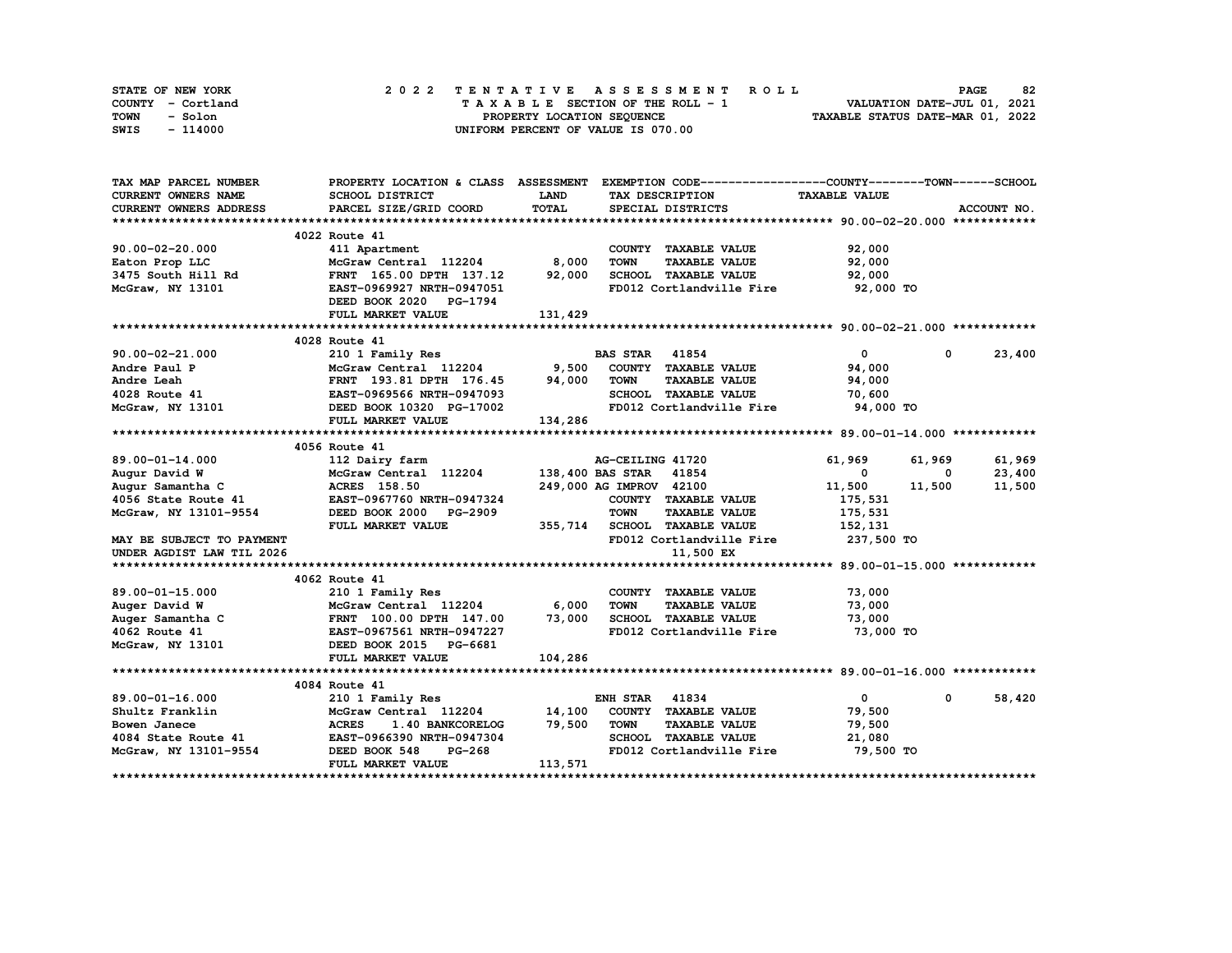| STATE OF NEW YORK | 2022 TENTATIVE ASSESSMENT ROLL     | 82<br><b>PAGE</b>                |
|-------------------|------------------------------------|----------------------------------|
| COUNTY - Cortland | TAXABLE SECTION OF THE ROLL - 1    | VALUATION DATE-JUL 01, 2021      |
| TOWN<br>- Solon   | PROPERTY LOCATION SEQUENCE         | TAXABLE STATUS DATE-MAR 01, 2022 |
| - 114000<br>SWIS  | UNIFORM PERCENT OF VALUE IS 070.00 |                                  |

| TAX MAP PARCEL NUMBER                                                                                                                                                               |                                                                                                  |             | PROPERTY LOCATION & CLASS ASSESSMENT EXEMPTION CODE-----------------COUNTY-------TOWN------SCHOOL |                          |                        |
|-------------------------------------------------------------------------------------------------------------------------------------------------------------------------------------|--------------------------------------------------------------------------------------------------|-------------|---------------------------------------------------------------------------------------------------|--------------------------|------------------------|
| <b>CURRENT OWNERS NAME</b>                                                                                                                                                          | SCHOOL DISTRICT                                                                                  | <b>LAND</b> | TAX DESCRIPTION                                                                                   | <b>TAXABLE VALUE</b>     |                        |
| <b>CURRENT OWNERS ADDRESS</b>                                                                                                                                                       | PARCEL SIZE/GRID COORD                                                                           | TOTAL       | SPECIAL DISTRICTS                                                                                 |                          | ACCOUNT NO.            |
|                                                                                                                                                                                     |                                                                                                  |             |                                                                                                   |                          |                        |
|                                                                                                                                                                                     | 4022 Route 41                                                                                    |             |                                                                                                   |                          |                        |
| 90.00-02-20.000                                                                                                                                                                     | 411 Apartment                                                                                    |             | COUNTY TAXABLE VALUE                                                                              | 92,000                   |                        |
| Eaton Prop LLC                                                                                                                                                                      | McGraw Central 112204 8,000                                                                      |             | <b>TOWN</b><br><b>TAXABLE VALUE</b>                                                               | 92,000                   |                        |
| Eaton Prop Luc<br>3475 South Hill Rd                                                                                                                                                | FRNT 165.00 DPTH 137.12 92,000                                                                   |             | SCHOOL TAXABLE VALUE                                                                              | 92,000                   |                        |
| McGraw, NY 13101                                                                                                                                                                    | EAST-0969927 NRTH-0947051                                                                        |             | FD012 Cortlandville Fire                                                                          | 92,000 TO                |                        |
|                                                                                                                                                                                     | DEED BOOK 2020 PG-1794                                                                           |             |                                                                                                   |                          |                        |
|                                                                                                                                                                                     | FULL MARKET VALUE                                                                                | 131,429     |                                                                                                   |                          |                        |
|                                                                                                                                                                                     |                                                                                                  |             |                                                                                                   |                          |                        |
|                                                                                                                                                                                     | 4028 Route 41                                                                                    |             |                                                                                                   |                          |                        |
|                                                                                                                                                                                     |                                                                                                  |             | <b>BAS STAR 41854</b>                                                                             | $\mathbf{0}$             | 23,400<br>0            |
|                                                                                                                                                                                     |                                                                                                  |             |                                                                                                   | 94,000                   |                        |
|                                                                                                                                                                                     |                                                                                                  |             | <b>TOWN</b><br><b>TAXABLE VALUE</b>                                                               | 94,000                   |                        |
|                                                                                                                                                                                     |                                                                                                  |             | SCHOOL TAXABLE VALUE                                                                              | 70,600                   |                        |
|                                                                                                                                                                                     |                                                                                                  |             | FD012 Cortlandville Fire                                                                          | 94,000 TO                |                        |
|                                                                                                                                                                                     | FULL MARKET VALUE                                                                                | 134,286     |                                                                                                   |                          |                        |
|                                                                                                                                                                                     |                                                                                                  |             |                                                                                                   |                          |                        |
|                                                                                                                                                                                     | 4056 Route 41                                                                                    |             |                                                                                                   |                          |                        |
| 89.00-01-14.000                                                                                                                                                                     | 112 Dairy farm                                                                                   |             | AG-CEILING 41720                                                                                  | 61,969                   | 61,969<br>61,969       |
| Augur David W                                                                                                                                                                       | 112 Dairy farm<br>McGraw Central<br>ACRES 158.50<br>McGraw Central 112204 138,400 BAS STAR 41854 |             |                                                                                                   | $\overline{\phantom{0}}$ | 23,400<br>0            |
| Augur Samantha C                                                                                                                                                                    |                                                                                                  |             | 249,000 AG IMPROV 42100                                                                           | 11,500                   | 11,500<br>11,500       |
|                                                                                                                                                                                     |                                                                                                  |             | COUNTY TAXABLE VALUE                                                                              | 175,531                  |                        |
| 4056 State Route 41 EAST-0967760 NRTH-0947324<br>McGraw, NY 13101-9554 DEED BOOK 2000 PG-2909<br>McGraw, NY 13101-9554                                                              | DEED BOOK 2000 PG-2909                                                                           |             | <b>TOWN</b><br><b>TAXABLE VALUE</b>                                                               | 175,531                  |                        |
|                                                                                                                                                                                     | FULL MARKET VALUE                                                                                |             | 355,714 SCHOOL TAXABLE VALUE 152,131                                                              |                          |                        |
| MAY BE SUBJECT TO PAYMENT                                                                                                                                                           |                                                                                                  |             | FD012 Cortlandville Fire 237,500 TO                                                               |                          |                        |
| UNDER AGDIST LAW TIL 2026                                                                                                                                                           |                                                                                                  |             | 11,500 EX                                                                                         |                          |                        |
|                                                                                                                                                                                     |                                                                                                  |             |                                                                                                   |                          |                        |
|                                                                                                                                                                                     | 4062 Route 41                                                                                    |             |                                                                                                   |                          |                        |
| 89.00-01-15.000                                                                                                                                                                     | 210 1 Family Res                                                                                 |             | COUNTY TAXABLE VALUE                                                                              | 73,000                   |                        |
|                                                                                                                                                                                     |                                                                                                  |             | <b>TOWN</b><br><b>TAXABLE VALUE</b>                                                               | 73,000                   |                        |
|                                                                                                                                                                                     |                                                                                                  |             | SCHOOL TAXABLE VALUE                                                                              | 73,000                   |                        |
|                                                                                                                                                                                     |                                                                                                  |             | FD012 Cortlandville Fire                                                                          | 73,000 TO                |                        |
| Auger David W<br>Auger Samantha C<br>Auger Samantha C<br>Auger Samantha C<br>AUGER CHER EXET-0967561 NRTH-0947227<br>McGraw, NY 13101<br>McGraw, NY 13101<br>DEED BOOK 2015 PG-6681 |                                                                                                  |             |                                                                                                   |                          |                        |
|                                                                                                                                                                                     | FULL MARKET VALUE                                                                                | 104,286     |                                                                                                   |                          |                        |
|                                                                                                                                                                                     |                                                                                                  |             |                                                                                                   |                          |                        |
|                                                                                                                                                                                     | 4084 Route 41                                                                                    |             |                                                                                                   |                          |                        |
| 89.00-01-16.000                                                                                                                                                                     |                                                                                                  |             | <b>ENH STAR 41834</b>                                                                             | $\mathbf{0}$             | 58,420<br>$\mathbf{0}$ |
| Shultz Franklin                                                                                                                                                                     | 210 1 Family Res<br>McGraw Central 112204                                                        | 14,100      | COUNTY TAXABLE VALUE                                                                              | 79,500                   |                        |
|                                                                                                                                                                                     |                                                                                                  |             | TOWN<br><b>TAXABLE VALUE</b>                                                                      |                          |                        |
| Bowen Janece                                                                                                                                                                        | 1.40 BANKCORELOG 79,500                                                                          |             |                                                                                                   | 79,500                   |                        |
| 4084 State Route 41<br>McGraw, NY 13101-9554 DEED BOOK 548                                                                                                                          | ACKES 1.1. -<br>EAST-0966390 NRTH-0947304<br>EAST-0966390 NRTH-0947304                           |             | SCHOOL TAXABLE VALUE                                                                              | 21,080                   |                        |
|                                                                                                                                                                                     | PG-268                                                                                           |             | FD012 Cortlandville Fire 79,500 TO                                                                |                          |                        |
|                                                                                                                                                                                     | FULL MARKET VALUE                                                                                | 113,571     |                                                                                                   |                          |                        |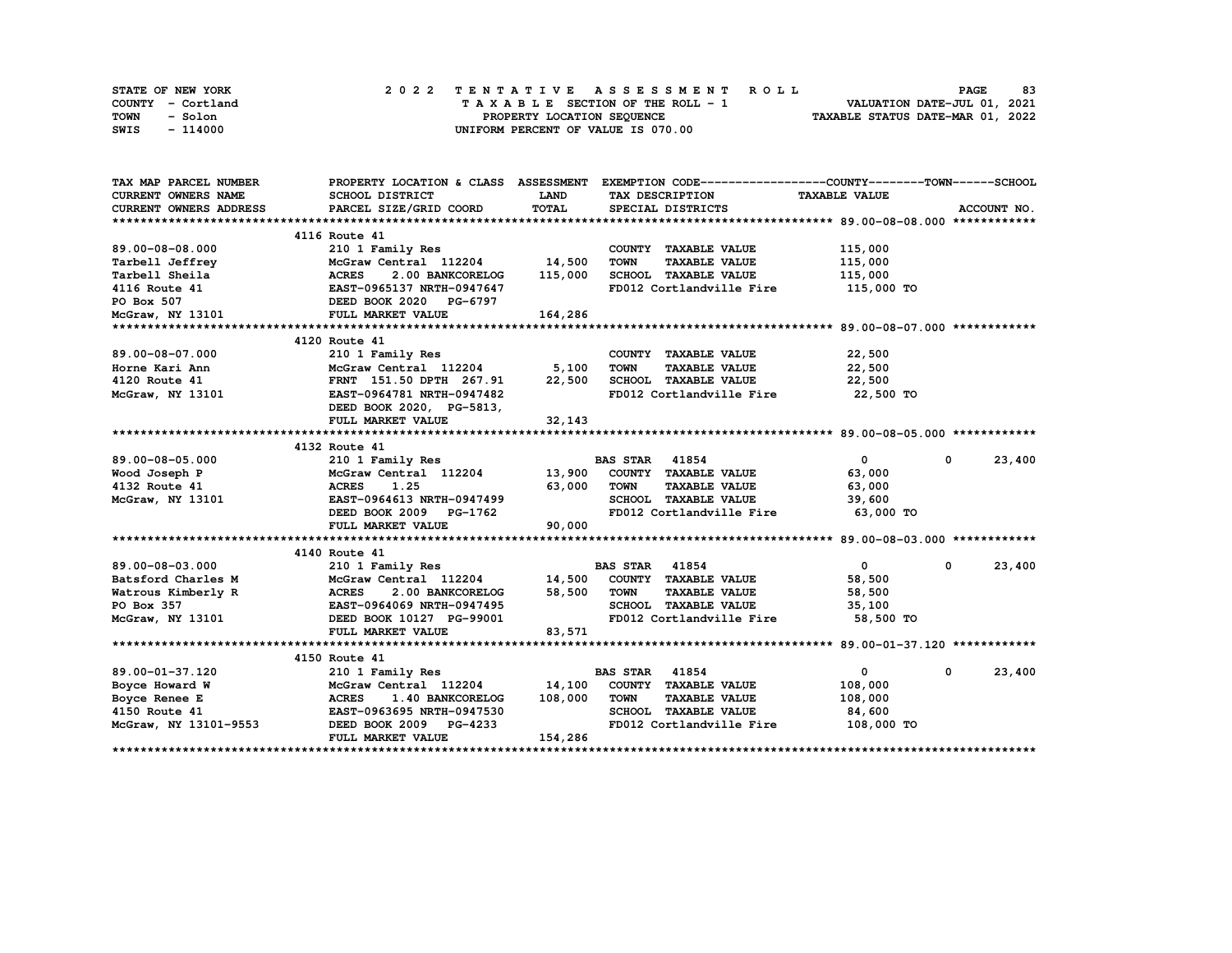| STATE OF NEW YORK | 2022 TENTATIVE ASSESSMENT ROLL     | 83<br><b>PAGE</b>                |
|-------------------|------------------------------------|----------------------------------|
| COUNTY - Cortland | TAXABLE SECTION OF THE ROLL - 1    | VALUATION DATE-JUL 01, 2021      |
| TOWN<br>- Solon   | PROPERTY LOCATION SEQUENCE         | TAXABLE STATUS DATE-MAR 01, 2022 |
| - 114000<br>SWIS  | UNIFORM PERCENT OF VALUE IS 070.00 |                                  |

| TAX MAP PARCEL NUMBER      |                                                                                                            |             | PROPERTY LOCATION & CLASS ASSESSMENT EXEMPTION CODE-----------------COUNTY-------TOWN-----SCHOOL |                      |                        |
|----------------------------|------------------------------------------------------------------------------------------------------------|-------------|--------------------------------------------------------------------------------------------------|----------------------|------------------------|
| <b>CURRENT OWNERS NAME</b> | SCHOOL DISTRICT                                                                                            | <b>LAND</b> | TAX DESCRIPTION                                                                                  | <b>TAXABLE VALUE</b> |                        |
| CURRENT OWNERS ADDRESS     | PARCEL SIZE/GRID COORD                                                                                     | TOTAL       | SPECIAL DISTRICTS                                                                                |                      | ACCOUNT NO.            |
|                            |                                                                                                            |             |                                                                                                  |                      |                        |
|                            | 4116 Route 41                                                                                              |             |                                                                                                  |                      |                        |
| 89.00-08-08.000            | 210 1 Family Res                                                                                           |             | COUNTY TAXABLE VALUE                                                                             | 115,000              |                        |
| Tarbell Jeffrey            | McGraw Central 112204<br>Y<br>MCGraw Central 112204<br>ACRES 2.00 BANKCORELOG<br>EAST-0965137 NRTH-0947647 | 14,500      | TOWN<br><b>TAXABLE VALUE</b>                                                                     | 115,000              |                        |
| Tarbell Sheila             |                                                                                                            | 115,000     | SCHOOL TAXABLE VALUE                                                                             | 115,000              |                        |
| 4116 Route 41              |                                                                                                            |             | FD012 Cortlandville Fire 115,000 TO                                                              |                      |                        |
| PO Box 507                 | <b>DEED BOOK 2020 PG-6797</b><br>3101 FULL MARKET VALUE                                                    |             |                                                                                                  |                      |                        |
| McGraw, NY 13101           | FULL MARKET VALUE                                                                                          | 164,286     |                                                                                                  |                      |                        |
|                            |                                                                                                            |             |                                                                                                  |                      |                        |
|                            | 4120 Route 41                                                                                              |             |                                                                                                  |                      |                        |
| 89.00-08-07.000            | 210 1 Family Res                                                                                           |             | COUNTY TAXABLE VALUE                                                                             | 22,500               |                        |
| Horne Kari Ann             | McGraw Central 112204                                                                                      | 5,100       | TOWN<br><b>TAXABLE VALUE</b>                                                                     | 22,500               |                        |
| 4120 Route 41              | 210 1 Family Res<br>McGraw Central 112204<br>FRNT 151.50 DPTH 267.91                                       | 22,500      | SCHOOL TAXABLE VALUE                                                                             | 22,500               |                        |
| McGraw, NY 13101           | EAST-0964781 NRTH-0947482                                                                                  |             | FD012 Cortlandville Fire 22,500 TO                                                               |                      |                        |
|                            | DEED BOOK 2020, PG-5813,                                                                                   |             |                                                                                                  |                      |                        |
|                            | FULL MARKET VALUE                                                                                          | 32,143      |                                                                                                  |                      |                        |
|                            |                                                                                                            |             |                                                                                                  |                      |                        |
|                            | 4132 Route 41                                                                                              |             |                                                                                                  |                      |                        |
| 89.00-08-05.000            | 210 1 Family Res                                                                                           |             | <b>BAS STAR 41854</b>                                                                            | $\mathbf{0}$         | 23,400<br>$\mathbf{0}$ |
| Wood Joseph P              |                                                                                                            |             | McGraw Central 112204 13,900 COUNTY TAXABLE VALUE                                                | 63,000               |                        |
| 4132 Route 41              | <b>ACRES</b><br>1.25                                                                                       | 63,000      | <b>TOWN</b><br><b>TAXABLE VALUE</b>                                                              | 63,000               |                        |
| McGraw, NY 13101           | EAST-0964613 NRTH-0947499                                                                                  |             | SCHOOL TAXABLE VALUE                                                                             | 39,600               |                        |
|                            | DEED BOOK 2009 PG-1762                                                                                     |             | FD012 Cortlandville Fire 63,000 TO                                                               |                      |                        |
|                            | FULL MARKET VALUE                                                                                          | 90,000      |                                                                                                  |                      |                        |
|                            |                                                                                                            |             |                                                                                                  |                      |                        |
|                            | 4140 Route 41                                                                                              |             |                                                                                                  |                      |                        |
| 89.00-08-03.000            | 210 1 Family Res                                                                                           |             | <b>BAS STAR 41854</b>                                                                            | $\mathbf{0}$         | 23,400<br>0            |
| Batsford Charles M         |                                                                                                            |             | McGraw Central 112204 14,500 COUNTY TAXABLE VALUE                                                | 58,500               |                        |
|                            |                                                                                                            | 58,500 TOWN | <b>TAXABLE VALUE</b>                                                                             | 58,500               |                        |
|                            |                                                                                                            |             | SCHOOL TAXABLE VALUE                                                                             | 35,100               |                        |
|                            | McGraw, NY 13101 DEED BOOK 10127 PG-99001                                                                  |             | FD012 Cortlandville Fire 58,500 TO                                                               |                      |                        |
|                            | FULL MARKET VALUE                                                                                          | 83,571      |                                                                                                  |                      |                        |
|                            |                                                                                                            |             |                                                                                                  |                      |                        |
|                            | 4150 Route 41                                                                                              |             |                                                                                                  |                      |                        |
| 89.00-01-37.120            | 210 1 Family Res                                                                                           |             | <b>BAS STAR 41854</b>                                                                            | $\overline{0}$       | 23,400<br>0            |
| Boyce Howard W             | McGraw Central 112204                                                                                      |             | 14,100 COUNTY TAXABLE VALUE                                                                      | 108,000              |                        |
| Boyce Renee E              | <b>ACRES</b><br>1.40 BANKCORELOG                                                                           | 108,000     | <b>TOWN</b><br><b>TAXABLE VALUE</b>                                                              | 108,000              |                        |
| 4150 Route 41              | EAST-0963695 NRTH-0947530                                                                                  |             | SCHOOL TAXABLE VALUE                                                                             | 84,600               |                        |
| McGraw, NY 13101-9553      | DEED BOOK 2009 PG-4233                                                                                     |             | FD012 Cortlandville Fire 108,000 TO                                                              |                      |                        |
|                            | FULL MARKET VALUE                                                                                          | 154,286     |                                                                                                  |                      |                        |
|                            |                                                                                                            |             |                                                                                                  |                      |                        |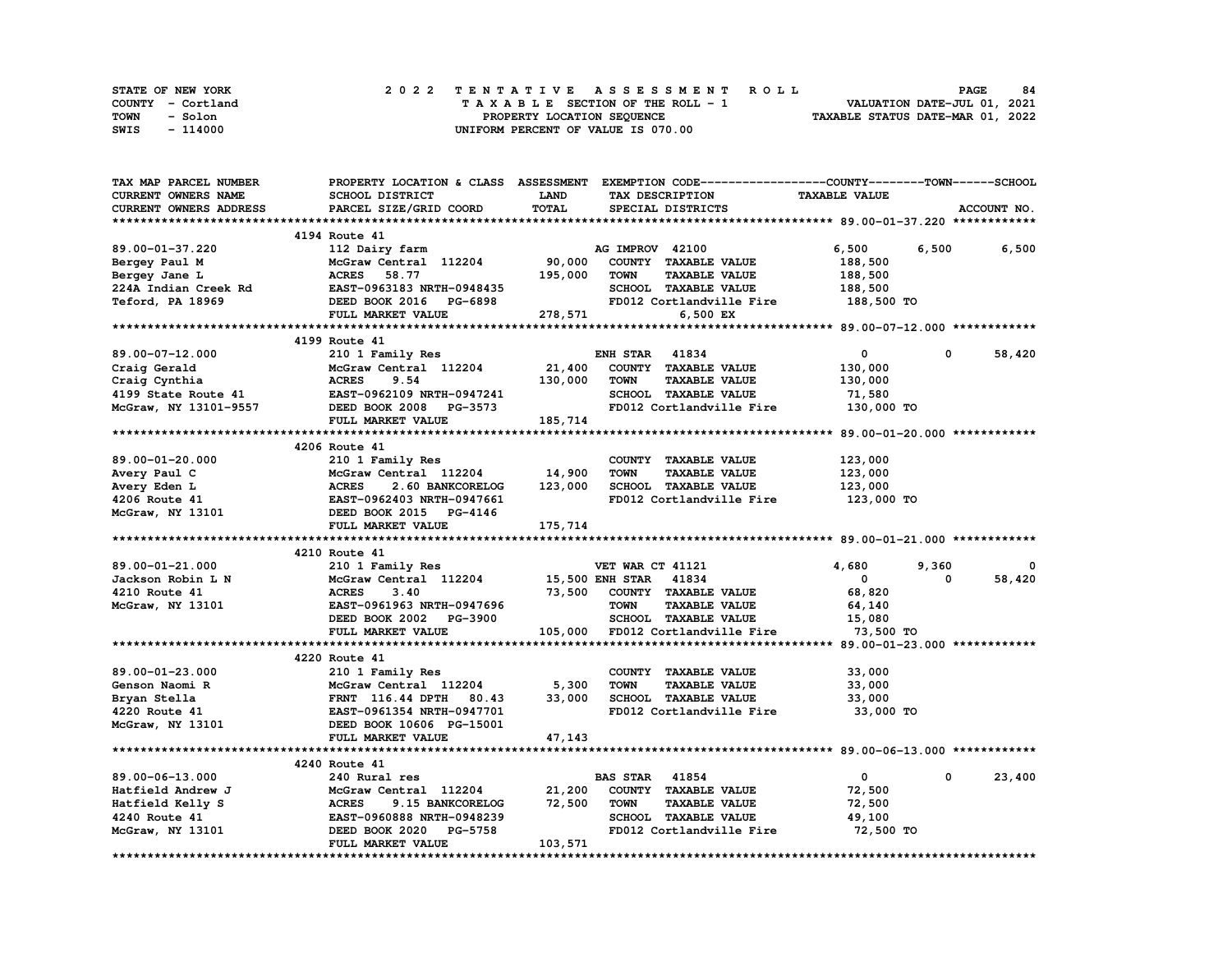| STATE OF NEW YORK | 2022 TENTATIVE ASSESSMENT ROLL     | 84<br><b>PAGE</b>                |
|-------------------|------------------------------------|----------------------------------|
| COUNTY - Cortland | TAXABLE SECTION OF THE ROLL - 1    | VALUATION DATE-JUL 01, 2021      |
| TOWN<br>- Solon   | PROPERTY LOCATION SEQUENCE         | TAXABLE STATUS DATE-MAR 01, 2022 |
| - 114000<br>SWIS  | UNIFORM PERCENT OF VALUE IS 070.00 |                                  |

| TAX MAP PARCEL NUMBER                                                                                                                                              | PROPERTY LOCATION & CLASS ASSESSMENT EXEMPTION CODE----------------COUNTY-------TOWN------SCHOOL |                       |                       |                             |                      |            |             |
|--------------------------------------------------------------------------------------------------------------------------------------------------------------------|--------------------------------------------------------------------------------------------------|-----------------------|-----------------------|-----------------------------|----------------------|------------|-------------|
| CURRENT OWNERS NAME                                                                                                                                                | SCHOOL DISTRICT                                                                                  | LAND                  |                       | TAX DESCRIPTION             | <b>TAXABLE VALUE</b> |            |             |
| CURRENT OWNERS ADDRESS                                                                                                                                             | PARCEL SIZE/GRID COORD                                                                           | TOTAL                 |                       | SPECIAL DISTRICTS           |                      |            | ACCOUNT NO. |
|                                                                                                                                                                    |                                                                                                  |                       |                       |                             |                      |            |             |
|                                                                                                                                                                    | 4194 Route 41                                                                                    |                       |                       |                             |                      |            |             |
| 89.00-01-37.220                                                                                                                                                    | 112 Dairy farm                                                                                   |                       | AG IMPROV 42100       |                             | 6,500                | 6,500      | 6,500       |
| Bergey Paul M                                                                                                                                                      | McGraw Central 112204                                                                            | 90,000                |                       | COUNTY TAXABLE VALUE        | 188,500              |            |             |
| Bergey Jane L                                                                                                                                                      | <b>ACRES</b><br>58.77                                                                            | 195,000               | <b>TOWN</b>           | <b>TAXABLE VALUE</b>        | 188,500              |            |             |
| 224A Indian Creek Rd                                                                                                                                               | EAST-0963183 NRTH-0948435                                                                        |                       |                       | SCHOOL TAXABLE VALUE        | 188,500              |            |             |
| Teford, PA 18969                                                                                                                                                   | DEED BOOK 2016 PG-6898                                                                           |                       |                       | FD012 Cortlandville Fire    | 188,500 TO           |            |             |
|                                                                                                                                                                    | FULL MARKET VALUE                                                                                |                       |                       | 6,500 EX                    |                      |            |             |
|                                                                                                                                                                    |                                                                                                  | 278,571               |                       |                             |                      |            |             |
|                                                                                                                                                                    | 4199 Route 41                                                                                    |                       |                       |                             |                      |            |             |
|                                                                                                                                                                    |                                                                                                  |                       |                       |                             |                      |            |             |
| 89.00-07-12.000                                                                                                                                                    | 210 1 Family Res                                                                                 |                       | <b>ENH STAR 41834</b> |                             | $\mathbf{0}$         | 0          | 58,420      |
| Craig Gerald                                                                                                                                                       | McGraw Central 112204                                                                            | 21,400                |                       | COUNTY TAXABLE VALUE        | 130,000              |            |             |
|                                                                                                                                                                    |                                                                                                  | 130,000               | TOWN                  | <b>TAXABLE VALUE</b>        | 130,000              |            |             |
|                                                                                                                                                                    |                                                                                                  |                       |                       | SCHOOL TAXABLE VALUE        | 71,580               |            |             |
| Craig Cynthia<br>4199 State Route 41<br>McGraw, NY 13101-9557                                                                                                      | DEED BOOK 2008 PG-3573                                                                           |                       |                       | FD012 Cortlandville Fire    | 130,000 TO           |            |             |
|                                                                                                                                                                    | FULL MARKET VALUE                                                                                | 185,714               |                       |                             |                      |            |             |
|                                                                                                                                                                    |                                                                                                  |                       |                       |                             |                      |            |             |
|                                                                                                                                                                    | 4206 Route 41                                                                                    |                       |                       |                             |                      |            |             |
| 89.00-01-20.000                                                                                                                                                    | 210 1 Family Res                                                                                 |                       |                       | COUNTY TAXABLE VALUE        | 123,000              |            |             |
|                                                                                                                                                                    |                                                                                                  | 14,900                | <b>TOWN</b>           | <b>TAXABLE VALUE</b>        | 123,000              |            |             |
|                                                                                                                                                                    |                                                                                                  | 123,000               |                       | SCHOOL TAXABLE VALUE        | 123,000              |            |             |
|                                                                                                                                                                    |                                                                                                  |                       |                       | FD012 Cortlandville Fire    | 123,000 TO           |            |             |
| Avery Paul C McGraw Central 112204<br>Avery Eden L (ACRES 2.60 BANKCORELOG<br>4206 Route 41 (EAST-0962403 NRTH-0947661<br>McGraw, NY 13101 (DEED BOOK 2015 PG-4146 |                                                                                                  |                       |                       |                             |                      |            |             |
|                                                                                                                                                                    |                                                                                                  |                       |                       |                             |                      |            |             |
|                                                                                                                                                                    |                                                                                                  |                       |                       |                             |                      |            |             |
|                                                                                                                                                                    | FULL MARKET VALUE                                                                                | 175,714               |                       |                             |                      |            |             |
|                                                                                                                                                                    |                                                                                                  |                       |                       |                             |                      |            |             |
|                                                                                                                                                                    | 4210 Route 41                                                                                    |                       |                       |                             |                      |            |             |
| 89.00-01-21.000                                                                                                                                                    | 210 1 Family Res                                                                                 |                       | VET WAR CT 41121      |                             | 4,680                | 9,360      | 0           |
| Jackson Robin L N                                                                                                                                                  | McGraw Central 112204                                                                            | 15,500 ENH STAR 41834 |                       |                             | $^{\circ}$           | 0          | 58,420      |
| 4210 Route 41                                                                                                                                                      | <b>ACRES</b><br>3.40                                                                             |                       |                       | 73,500 COUNTY TAXABLE VALUE | 68,820               |            |             |
| McGraw, NY 13101                                                                                                                                                   | EAST-0961963 NRTH-0947696                                                                        |                       | <b>TOWN</b>           | <b>TAXABLE VALUE</b>        | 64,140               |            |             |
|                                                                                                                                                                    | DEED BOOK 2002 PG-3900                                                                           |                       |                       | SCHOOL TAXABLE VALUE        | 15,080               |            |             |
|                                                                                                                                                                    | FULL MARKET VALUE                                                                                | 105,000               |                       | FD012 Cortlandville Fire    | 73,500 TO            |            |             |
|                                                                                                                                                                    |                                                                                                  |                       |                       |                             |                      |            |             |
|                                                                                                                                                                    | 4220 Route 41                                                                                    |                       |                       |                             |                      |            |             |
| 89.00-01-23.000                                                                                                                                                    | 210 1 Family Res                                                                                 |                       |                       | COUNTY TAXABLE VALUE        | 33,000               |            |             |
| Genson Naomi R                                                                                                                                                     | McGraw Central 112204                                                                            | 5,300                 | <b>TOWN</b>           | <b>TAXABLE VALUE</b>        | 33,000               |            |             |
| Bryan Stella                                                                                                                                                       |                                                                                                  | 33,000                |                       | SCHOOL TAXABLE VALUE        | 33,000               |            |             |
| 4220 Route 41                                                                                                                                                      |                                                                                                  |                       |                       | FD012 Cortlandville Fire    | 33,000 TO            |            |             |
| McGraw, NY 13101                                                                                                                                                   | FRNT 116.44 Drin 00<br>EAST-0961354 NRTH-0947701<br>DEED BOOK 10606 PG-15001                     |                       |                       |                             |                      |            |             |
|                                                                                                                                                                    | FULL MARKET VALUE                                                                                | 47,143                |                       |                             |                      |            |             |
|                                                                                                                                                                    |                                                                                                  |                       |                       |                             |                      |            |             |
|                                                                                                                                                                    | 4240 Route 41                                                                                    |                       |                       |                             |                      |            |             |
| 89.00-06-13.000                                                                                                                                                    | 240 Rural res                                                                                    |                       | <b>BAS STAR 41854</b> |                             | $\mathbf{0}$         | $^{\circ}$ | 23,400      |
| Hatfield Andrew J                                                                                                                                                  | McGraw Central 112204                                                                            | 21,200                |                       | COUNTY TAXABLE VALUE        | 72,500               |            |             |
| Hatfield Kelly S                                                                                                                                                   | <b>ACRES</b><br>9.15 BANKCORELOG                                                                 | 72,500                | <b>TOWN</b>           | <b>TAXABLE VALUE</b>        | 72,500               |            |             |
| 4240 Route 41                                                                                                                                                      | EAST-0960888 NRTH-0948239                                                                        |                       |                       | SCHOOL TAXABLE VALUE        | 49,100               |            |             |
|                                                                                                                                                                    | DEED BOOK 2020 PG-5758                                                                           |                       |                       | FD012 Cortlandville Fire    |                      |            |             |
| McGraw, NY 13101                                                                                                                                                   | FULL MARKET VALUE                                                                                | 103,571               |                       |                             | 72,500 TO            |            |             |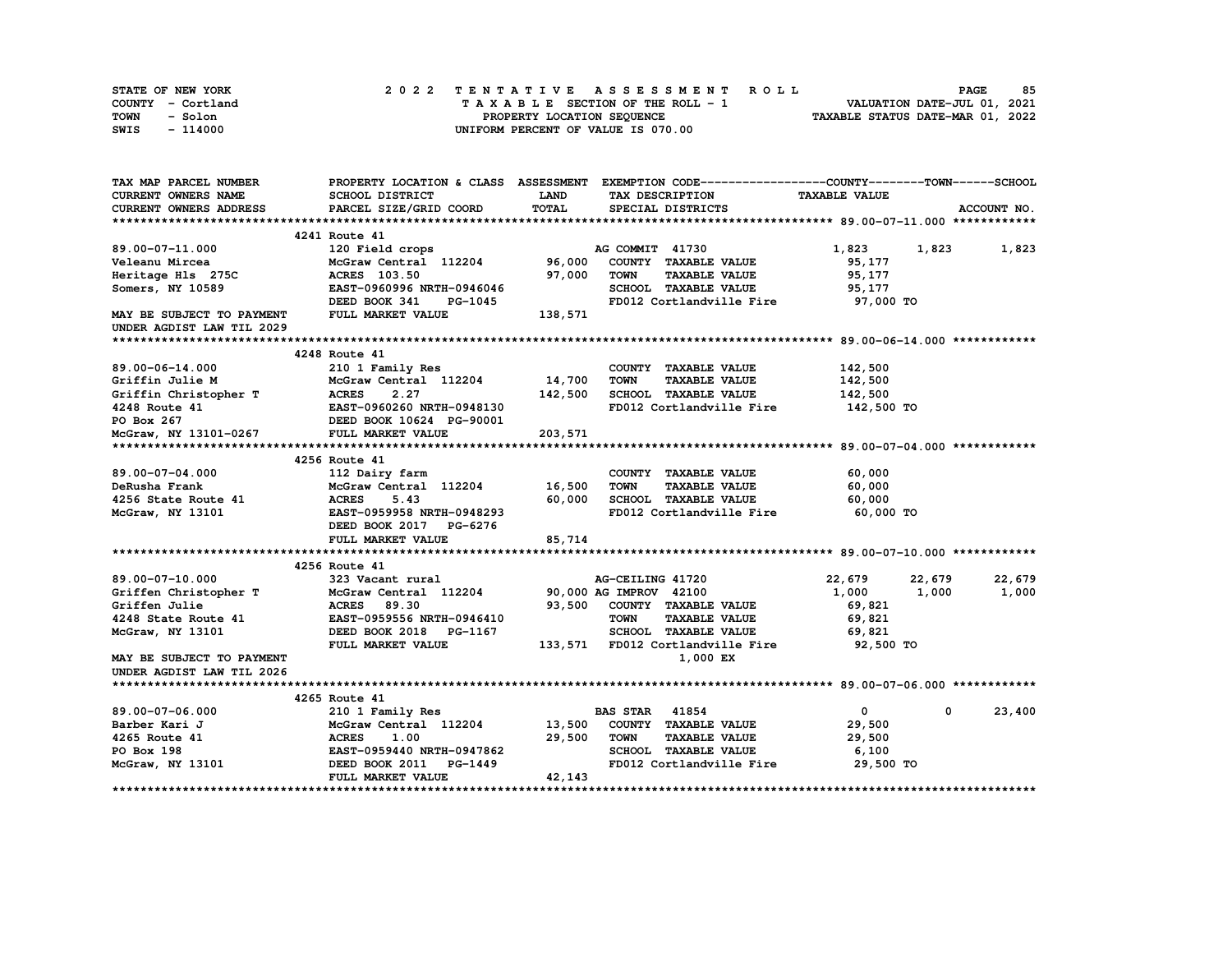| STATE OF NEW YORK | 2022 TENTATIVE ASSESSMENT ROLL     | 85<br><b>PAGE</b>                |
|-------------------|------------------------------------|----------------------------------|
| COUNTY - Cortland | TAXABLE SECTION OF THE ROLL - 1    | VALUATION DATE-JUL 01, 2021      |
| TOWN<br>- Solon   | PROPERTY LOCATION SEQUENCE         | TAXABLE STATUS DATE-MAR 01, 2022 |
| $-114000$<br>SWIS | UNIFORM PERCENT OF VALUE IS 070.00 |                                  |

| TAX MAP PARCEL NUMBER                                                                                                                                                                                                                    |                                                                                                                |             | PROPERTY LOCATION & CLASS ASSESSMENT EXEMPTION CODE----------------COUNTY-------TOWN------SCHOOL |                      |                      |
|------------------------------------------------------------------------------------------------------------------------------------------------------------------------------------------------------------------------------------------|----------------------------------------------------------------------------------------------------------------|-------------|--------------------------------------------------------------------------------------------------|----------------------|----------------------|
| CURRENT OWNERS NAME                                                                                                                                                                                                                      | SCHOOL DISTRICT                                                                                                | <b>LAND</b> | TAX DESCRIPTION                                                                                  | <b>TAXABLE VALUE</b> |                      |
| <b>CURRENT OWNERS ADDRESS</b>                                                                                                                                                                                                            | PARCEL SIZE/GRID COORD                                                                                         | TOTAL       | SPECIAL DISTRICTS                                                                                |                      | ACCOUNT NO.          |
|                                                                                                                                                                                                                                          |                                                                                                                |             |                                                                                                  |                      |                      |
|                                                                                                                                                                                                                                          | 4241 Route 41                                                                                                  |             |                                                                                                  |                      |                      |
| 89.00-07-11.000                                                                                                                                                                                                                          | 120 Field crops and the state of the state of the state of the state of the state of the state of the state of |             | AG COMMIT 41730                                                                                  | 1,823                | 1,823<br>1,823       |
| Veleanu Mircea                                                                                                                                                                                                                           | McGraw Central 112204 96,000                                                                                   |             | COUNTY TAXABLE VALUE                                                                             | 95,177               |                      |
| Heritage Hls 275C                                                                                                                                                                                                                        | <b>ACRES</b> 103.50                                                                                            | 97,000      | <b>TOWN</b><br><b>TAXABLE VALUE</b>                                                              | 95,177               |                      |
| Somers, NY 10589                                                                                                                                                                                                                         | EAST-0960996 NRTH-0946046                                                                                      |             | SCHOOL TAXABLE VALUE                                                                             | 95,177               |                      |
|                                                                                                                                                                                                                                          | DEED BOOK 341<br>PG-1045                                                                                       |             | FD012 Cortlandville Fire 97,000 TO                                                               |                      |                      |
| MAY BE SUBJECT TO PAYMENT                                                                                                                                                                                                                | FULL MARKET VALUE                                                                                              | 138,571     |                                                                                                  |                      |                      |
| UNDER AGDIST LAW TIL 2029                                                                                                                                                                                                                |                                                                                                                |             |                                                                                                  |                      |                      |
|                                                                                                                                                                                                                                          |                                                                                                                |             |                                                                                                  |                      |                      |
|                                                                                                                                                                                                                                          | 4248 Route 41                                                                                                  |             |                                                                                                  |                      |                      |
| 89.00-06-14.000                                                                                                                                                                                                                          | 210 1 Family Res                                                                                               |             | COUNTY TAXABLE VALUE                                                                             | 142,500              |                      |
| Griffin Julie M                                                                                                                                                                                                                          | McGraw Central 112204 14,700                                                                                   |             | TOWN<br><b>TAXABLE VALUE</b>                                                                     | 142,500              |                      |
|                                                                                                                                                                                                                                          |                                                                                                                | 142,500     | SCHOOL TAXABLE VALUE                                                                             | 142,500              |                      |
|                                                                                                                                                                                                                                          |                                                                                                                |             | FD012 Cortlandville Fire                                                                         | 142,500 TO           |                      |
|                                                                                                                                                                                                                                          |                                                                                                                |             |                                                                                                  |                      |                      |
| Griffin Christopher T<br>4248 Route 41<br>FORES 2.27<br>4248 Route 41<br>FORES 2.27<br>4248 Route 41<br>FORES 2.27<br>DEED BOOK 10624 PG-90001<br>MCGraw, NY 13101-0267<br>FULL MARKET VALUE                                             |                                                                                                                | 203,571     |                                                                                                  |                      |                      |
|                                                                                                                                                                                                                                          |                                                                                                                |             |                                                                                                  |                      |                      |
|                                                                                                                                                                                                                                          | 4256 Route 41                                                                                                  |             |                                                                                                  |                      |                      |
|                                                                                                                                                                                                                                          |                                                                                                                |             |                                                                                                  |                      |                      |
| 89.00-07-04.000<br>DeRusha Frank                                                                                                                                                                                                         | 112 Dairy farm<br>McGraw Central 112204 16,500                                                                 |             | COUNTY TAXABLE VALUE<br><b>TOWN</b><br><b>TAXABLE VALUE</b>                                      | 60,000<br>60,000     |                      |
|                                                                                                                                                                                                                                          | 5.43                                                                                                           | 60,000      |                                                                                                  |                      |                      |
| 4256 State Route 41 MCRES<br>McGraw, NY 13101 EAST-0                                                                                                                                                                                     | EAST-0959958 NRTH-0948293                                                                                      |             | SCHOOL TAXABLE VALUE<br>FD012 Cortlandville Fire                                                 | 60,000<br>60,000 TO  |                      |
| McGraw, NY 13101                                                                                                                                                                                                                         |                                                                                                                |             |                                                                                                  |                      |                      |
|                                                                                                                                                                                                                                          | DEED BOOK 2017 PG-6276                                                                                         |             |                                                                                                  |                      |                      |
|                                                                                                                                                                                                                                          | FULL MARKET VALUE                                                                                              | 85,714      |                                                                                                  |                      |                      |
|                                                                                                                                                                                                                                          |                                                                                                                |             |                                                                                                  |                      |                      |
|                                                                                                                                                                                                                                          | 4256 Route 41                                                                                                  |             |                                                                                                  |                      |                      |
| 89.00-07-10.000                                                                                                                                                                                                                          | 323 Vacant rural<br>McGraw Central 112204 90,000 AG IMPROV 42100                                               |             | AG-CEILING 41720                                                                                 | 22,679               | 22,679<br>22,679     |
|                                                                                                                                                                                                                                          |                                                                                                                |             |                                                                                                  | 1,000                | 1,000<br>1,000       |
| Criffen Christopher T<br>Griffen Julie (1994) McGraw Central 112204<br>4248 State Route 41 EAST-0959556 NRTH-0946410                                                                                                                     |                                                                                                                |             | 93,500 COUNTY TAXABLE VALUE                                                                      | 69,821               |                      |
|                                                                                                                                                                                                                                          |                                                                                                                |             | <b>TOWN</b><br><b>TAXABLE VALUE</b>                                                              | 69,821               |                      |
| McGraw, NY 13101                                                                                                                                                                                                                         | DEED BOOK 2018 PG-1167                                                                                         |             | SCHOOL TAXABLE VALUE                                                                             | 69,821               |                      |
|                                                                                                                                                                                                                                          | FULL MARKET VALUE                                                                                              |             | 133,571 FD012 Cortlandville Fire                                                                 | 92,500 TO            |                      |
| MAY BE SUBJECT TO PAYMENT                                                                                                                                                                                                                |                                                                                                                |             | 1,000 EX                                                                                         |                      |                      |
| UNDER AGDIST LAW TIL 2026                                                                                                                                                                                                                |                                                                                                                |             |                                                                                                  |                      |                      |
|                                                                                                                                                                                                                                          |                                                                                                                |             |                                                                                                  |                      |                      |
|                                                                                                                                                                                                                                          | 4265 Route 41                                                                                                  |             |                                                                                                  |                      |                      |
|                                                                                                                                                                                                                                          |                                                                                                                |             | <b>BAS STAR</b> 41854                                                                            | $\mathbf{0}$         | 23,400<br>$^{\circ}$ |
|                                                                                                                                                                                                                                          |                                                                                                                |             | COUNTY TAXABLE VALUE                                                                             | 29,500               |                      |
|                                                                                                                                                                                                                                          |                                                                                                                |             | <b>TOWN</b><br><b>TAXABLE VALUE</b>                                                              | 29,500               |                      |
|                                                                                                                                                                                                                                          |                                                                                                                |             | SCHOOL TAXABLE VALUE                                                                             | 6,100                |                      |
| 89.00-07-06.000 210 1 Family Res BA<br>Barber Kari J McGraw Central 112204 13,500<br>4265 Route 41 (ACRES 1.00 29,500<br>PO Box 198 EAST-0959440 NRTH-0947862<br>McGraw, NY 13101 DEED BOOK 2011 PG-1449<br>McGraw, NY 13101 DEED BOOK 2 |                                                                                                                |             | FD012 Cortlandville Fire                                                                         | 29,500 TO            |                      |
|                                                                                                                                                                                                                                          | FULL MARKET VALUE                                                                                              | 42,143      |                                                                                                  |                      |                      |
|                                                                                                                                                                                                                                          |                                                                                                                |             |                                                                                                  |                      |                      |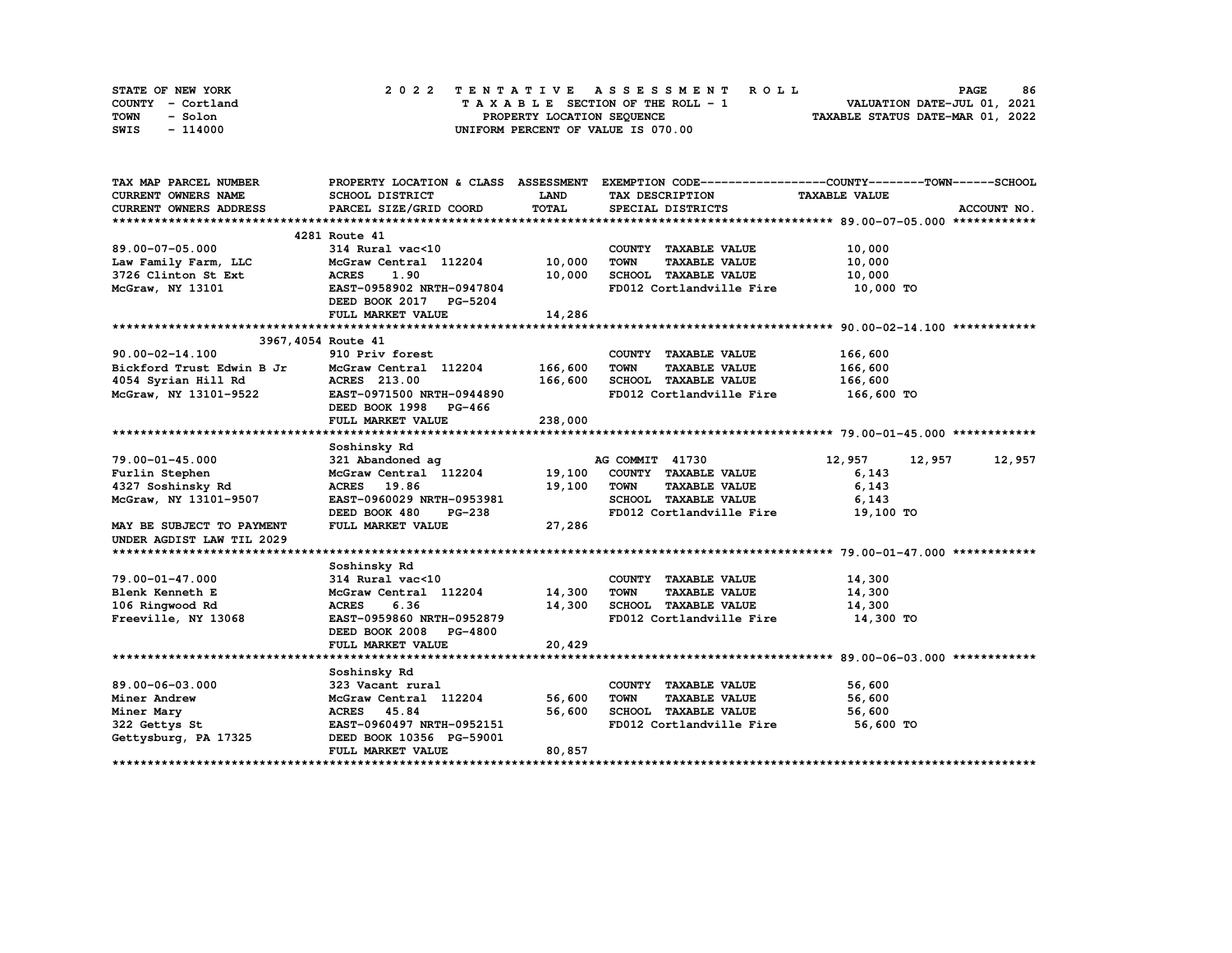| STATE OF NEW YORK | 2022 TENTATIVE ASSESSMENT ROLL     | 86<br><b>PAGE</b>                |
|-------------------|------------------------------------|----------------------------------|
| COUNTY - Cortland | TAXABLE SECTION OF THE ROLL - 1    | VALUATION DATE-JUL 01, 2021      |
| TOWN<br>- Solon   | PROPERTY LOCATION SEQUENCE         | TAXABLE STATUS DATE-MAR 01, 2022 |
| - 114000<br>SWIS  | UNIFORM PERCENT OF VALUE IS 070.00 |                                  |

| TAX MAP PARCEL NUMBER      |                                                   |             |                                     | PROPERTY LOCATION & CLASS ASSESSMENT EXEMPTION CODE----------------COUNTY-------TOWN-----SCHOOL |
|----------------------------|---------------------------------------------------|-------------|-------------------------------------|-------------------------------------------------------------------------------------------------|
| <b>CURRENT OWNERS NAME</b> | <b>SCHOOL DISTRICT</b>                            | <b>LAND</b> | TAX DESCRIPTION                     | <b>TAXABLE VALUE</b>                                                                            |
| CURRENT OWNERS ADDRESS     | PARCEL SIZE/GRID COORD                            | TOTAL       | SPECIAL DISTRICTS                   | ACCOUNT NO.                                                                                     |
|                            |                                                   |             |                                     |                                                                                                 |
|                            | 4281 Route 41                                     |             |                                     |                                                                                                 |
| 89.00-07-05.000            | $314$ Rural vac<10                                |             | COUNTY TAXABLE VALUE                | 10,000                                                                                          |
| Law Family Farm, LLC       | McGraw Central 112204                             | 10,000      | TOWN<br><b>TAXABLE VALUE</b>        | 10,000                                                                                          |
| 3726 Clinton St Ext        | 1.90<br><b>ACRES</b>                              | 10,000      | SCHOOL TAXABLE VALUE                | 10,000                                                                                          |
| McGraw, NY 13101           | EAST-0958902 NRTH-0947804                         |             | FD012 Cortlandville Fire            | 10,000 TO                                                                                       |
|                            | DEED BOOK 2017 PG-5204                            |             |                                     |                                                                                                 |
|                            | FULL MARKET VALUE                                 | 14,286      |                                     |                                                                                                 |
|                            |                                                   |             |                                     |                                                                                                 |
| 3967, 4054 Route 41        |                                                   |             |                                     |                                                                                                 |
| $90.00 - 02 - 14.100$      | 910 Priv forest                                   |             | COUNTY TAXABLE VALUE                | 166,600                                                                                         |
| Bickford Trust Edwin B Jr  | McGraw Central 112204 166,600                     |             | <b>TOWN</b><br><b>TAXABLE VALUE</b> | 166,600                                                                                         |
| 4054 Syrian Hill Rd        | <b>ACRES</b> 213.00                               | 166,600     | SCHOOL TAXABLE VALUE                | 166,600                                                                                         |
| McGraw, NY 13101-9522      | <b>EAST-0971500 NRTH-0944890</b>                  |             | FD012 Cortlandville Fire            | 166,600 TO                                                                                      |
|                            | DEED BOOK 1998 PG-466                             |             |                                     |                                                                                                 |
|                            | FULL MARKET VALUE                                 | 238,000     |                                     |                                                                                                 |
|                            |                                                   |             |                                     |                                                                                                 |
|                            | Soshinsky Rd                                      |             |                                     |                                                                                                 |
| 79.00-01-45.000            | 321 Abandoned ag                                  |             | AG COMMIT 41730                     | 12,957<br>12,957<br>12,957                                                                      |
| Furlin Stephen             | McGraw Central 112204 19,100 COUNTY TAXABLE VALUE |             |                                     | 6,143                                                                                           |
| 4327 Soshinsky Rd          | ACRES 19.86                                       | 19,100      | TOWN<br><b>TAXABLE VALUE</b>        | 6,143                                                                                           |
| McGraw, NY 13101-9507      | EAST-0960029 NRTH-0953981                         |             | SCHOOL TAXABLE VALUE                | 6,143                                                                                           |
|                            | DEED BOOK 480<br><b>PG-238</b>                    |             | FD012 Cortlandville Fire            | 19,100 TO                                                                                       |
| MAY BE SUBJECT TO PAYMENT  | FULL MARKET VALUE                                 | 27,286      |                                     |                                                                                                 |
| UNDER AGDIST LAW TIL 2029  |                                                   |             |                                     |                                                                                                 |
|                            |                                                   |             |                                     |                                                                                                 |
| 79.00-01-47.000            | Soshinsky Rd<br>314 Rural vac<10                  |             | COUNTY TAXABLE VALUE                | 14,300                                                                                          |
| Blenk Kenneth E            | McGraw Central 112204 14,300                      |             | <b>TOWN</b><br><b>TAXABLE VALUE</b> | 14,300                                                                                          |
| 106 Ringwood Rd            | <b>ACRES</b><br>6.36                              | 14,300      | SCHOOL TAXABLE VALUE                | 14,300                                                                                          |
| Freeville, NY 13068        | EAST-0959860 NRTH-0952879                         |             | FD012 Cortlandville Fire            | 14,300 TO                                                                                       |
|                            | DEED BOOK 2008 PG-4800                            |             |                                     |                                                                                                 |
|                            | FULL MARKET VALUE                                 | 20,429      |                                     |                                                                                                 |
|                            |                                                   |             |                                     |                                                                                                 |
|                            | Soshinsky Rd                                      |             |                                     |                                                                                                 |
| 89.00-06-03.000            | 323 Vacant rural                                  |             | COUNTY TAXABLE VALUE                | 56,600                                                                                          |
| Miner Andrew               | McGraw Central 112204 56,600                      |             | <b>TOWN</b><br><b>TAXABLE VALUE</b> | 56,600                                                                                          |
| Miner Mary                 | ACRES 45.84                                       | 56,600      | SCHOOL TAXABLE VALUE                | 56,600                                                                                          |
| 322 Gettys St              | EAST-0960497 NRTH-0952151                         |             | FD012 Cortlandville Fire 56,600 TO  |                                                                                                 |
| Gettysburg, PA 17325       | DEED BOOK 10356 PG-59001                          |             |                                     |                                                                                                 |
|                            | FULL MARKET VALUE                                 | 80,857      |                                     |                                                                                                 |
|                            |                                                   |             |                                     |                                                                                                 |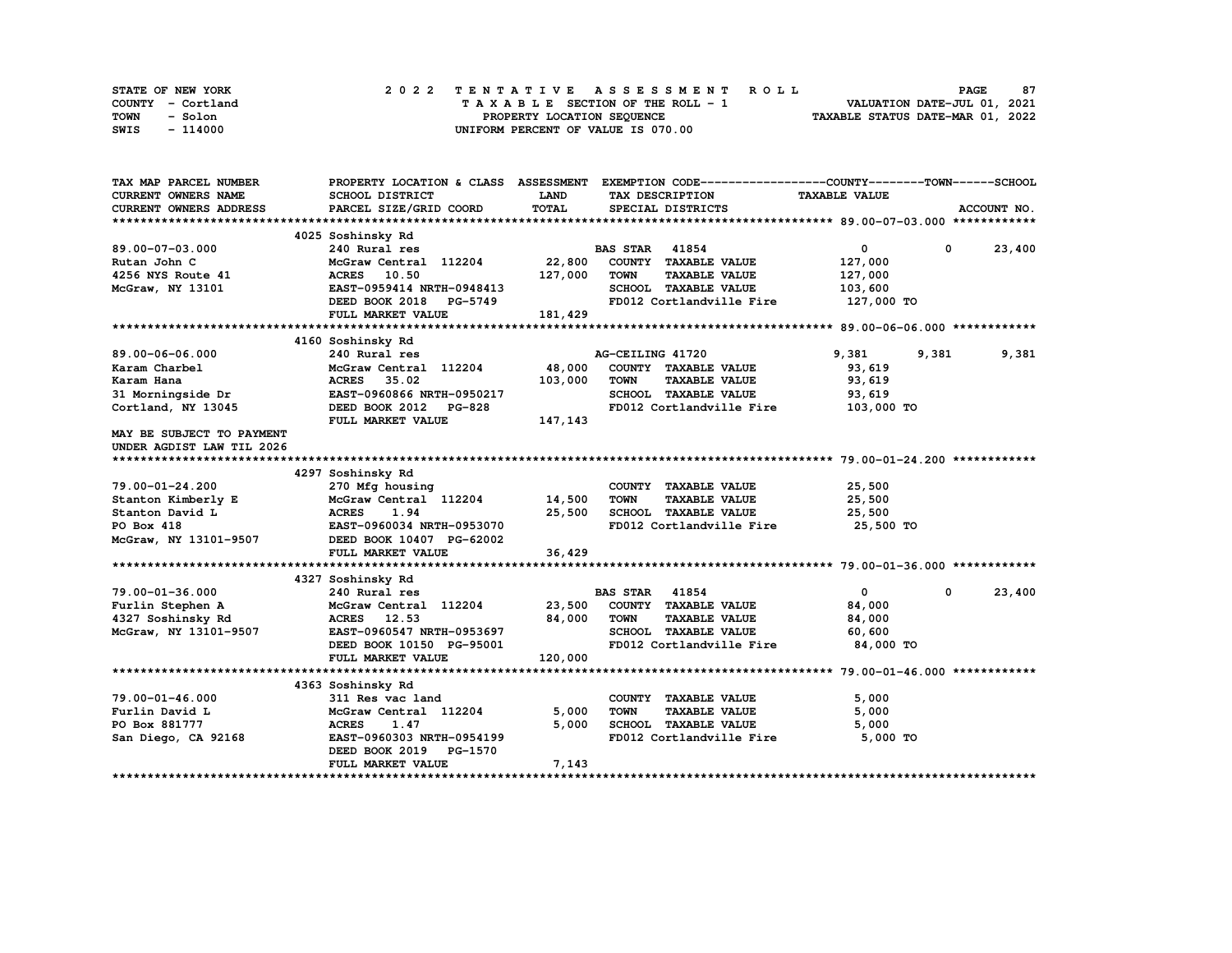| STATE OF NEW YORK | 2022 TENTATIVE ASSESSMENT ROLL     | 87<br><b>PAGE</b>                |
|-------------------|------------------------------------|----------------------------------|
| COUNTY - Cortland | TAXABLE SECTION OF THE ROLL - 1    | VALUATION DATE-JUL 01, 2021      |
| TOWN<br>- Solon   | PROPERTY LOCATION SEQUENCE         | TAXABLE STATUS DATE-MAR 01, 2022 |
| - 114000<br>SWIS  | UNIFORM PERCENT OF VALUE IS 070.00 |                                  |

| TAX MAP PARCEL NUMBER           |                                                        |         | PROPERTY LOCATION & CLASS ASSESSMENT EXEMPTION CODE----------------COUNTY-------TOWN------SCHOOL |                      |                        |
|---------------------------------|--------------------------------------------------------|---------|--------------------------------------------------------------------------------------------------|----------------------|------------------------|
| CURRENT OWNERS NAME             | SCHOOL DISTRICT                                        | LAND    | TAX DESCRIPTION                                                                                  | <b>TAXABLE VALUE</b> |                        |
| CURRENT OWNERS ADDRESS          | PARCEL SIZE/GRID COORD                                 | TOTAL   | SPECIAL DISTRICTS                                                                                |                      | ACCOUNT NO.            |
|                                 |                                                        |         |                                                                                                  |                      |                        |
|                                 | 4025 Soshinsky Rd                                      |         |                                                                                                  |                      |                        |
| 89.00-07-03.000                 | 240 Rural res                                          |         | <b>BAS STAR 41854</b>                                                                            | $\overline{0}$       | 23,400<br>$\mathbf{0}$ |
| Rutan John C                    | McGraw Central 112204                                  | 22,800  | COUNTY TAXABLE VALUE                                                                             | 127,000              |                        |
| 4256 NYS Route 41               | <b>ACRES</b><br>10.50                                  | 127,000 | <b>TOWN</b><br><b>TAXABLE VALUE</b>                                                              | 127,000              |                        |
| McGraw, NY 13101                | EAST-0959414 NRTH-0948413                              |         | SCHOOL TAXABLE VALUE                                                                             | 103,600              |                        |
|                                 | DEED BOOK 2018 PG-5749                                 |         | FD012 Cortlandville Fire                                                                         | 127,000 TO           |                        |
|                                 | FULL MARKET VALUE                                      | 181,429 |                                                                                                  |                      |                        |
|                                 |                                                        |         |                                                                                                  |                      |                        |
|                                 | 4160 Soshinsky Rd                                      |         |                                                                                                  |                      |                        |
| 89.00-06-06.000                 | 240 Rural res                                          |         | AG-CEILING 41720                                                                                 | 9,381<br>9,381       | 9,381                  |
| Karam Charbel                   | McGraw Central 112204                                  | 48,000  | COUNTY TAXABLE VALUE                                                                             | 93,619               |                        |
| Karam Hana                      | 35.02<br><b>ACRES</b>                                  | 103,000 | <b>TOWN</b><br><b>TAXABLE VALUE</b>                                                              | 93,619               |                        |
| 31 Morningside Dr               | EAST-0960866 NRTH-0950217                              |         | <b>SCHOOL TAXABLE VALUE</b>                                                                      | 93,619               |                        |
| Cortland, NY 13045              | DEED BOOK 2012<br><b>PG-828</b>                        |         | FD012 Cortlandville Fire                                                                         | 103,000 TO           |                        |
|                                 | FULL MARKET VALUE                                      | 147,143 |                                                                                                  |                      |                        |
| MAY BE SUBJECT TO PAYMENT       |                                                        |         |                                                                                                  |                      |                        |
| UNDER AGDIST LAW TIL 2026       |                                                        |         |                                                                                                  |                      |                        |
|                                 |                                                        |         |                                                                                                  |                      |                        |
|                                 | 4297 Soshinsky Rd                                      |         |                                                                                                  |                      |                        |
| 79.00-01-24.200                 | 270 Mfg housing<br>McGraw Central 112204               | 14,500  | COUNTY TAXABLE VALUE<br><b>TOWN</b>                                                              | 25,500               |                        |
| Stanton Kimberly E              |                                                        | 25,500  | <b>TAXABLE VALUE</b>                                                                             | 25,500<br>25,500     |                        |
| Stanton David L<br>PO Box 418   | <b>ACRES</b><br>1.94                                   |         | SCHOOL TAXABLE VALUE<br>FD012 Cortlandville Fire                                                 | 25,500 TO            |                        |
|                                 | EAST-0960034 NRTH-0953070                              |         |                                                                                                  |                      |                        |
| McGraw, NY 13101-9507           | DEED BOOK 10407 PG-62002                               |         |                                                                                                  |                      |                        |
|                                 | FULL MARKET VALUE                                      | 36,429  |                                                                                                  |                      |                        |
|                                 |                                                        |         |                                                                                                  |                      |                        |
|                                 | 4327 Soshinsky Rd                                      |         |                                                                                                  |                      |                        |
| 79.00-01-36.000                 | 240 Rural res                                          |         | <b>BAS STAR</b> 41854                                                                            | $\mathbf{0}$         | 23,400<br>$\mathbf 0$  |
| Furlin Stephen A                | McGraw Central 112204                                  | 23,500  | COUNTY TAXABLE VALUE                                                                             | 84,000               |                        |
| 4327 Soshinsky Rd               | ACRES 12.53                                            | 84,000  | <b>TOWN</b><br><b>TAXABLE VALUE</b>                                                              | 84,000               |                        |
| McGraw, NY 13101-9507           | EAST-0960547 NRTH-0953697                              |         | SCHOOL TAXABLE VALUE                                                                             | 60,600               |                        |
|                                 | DEED BOOK 10150 PG-95001                               |         | FD012 Cortlandville Fire                                                                         | 84,000 TO            |                        |
|                                 | FULL MARKET VALUE                                      | 120,000 |                                                                                                  |                      |                        |
|                                 |                                                        |         |                                                                                                  |                      |                        |
|                                 | 4363 Soshinsky Rd                                      |         |                                                                                                  |                      |                        |
| 79.00-01-46.000                 | 311 Res vac land                                       | 5,000   | COUNTY TAXABLE VALUE<br><b>TOWN</b>                                                              | 5,000<br>5,000       |                        |
| Furlin David L<br>PO Box 881777 | McGraw Central 112204<br><b>ACRES</b><br>1.47          | 5,000   | <b>TAXABLE VALUE</b><br>SCHOOL TAXABLE VALUE                                                     |                      |                        |
|                                 |                                                        |         |                                                                                                  | 5,000                |                        |
| San Diego, CA 92168             | EAST-0960303 NRTH-0954199<br>DEED BOOK 2019<br>PG-1570 |         | FD012 Cortlandville Fire                                                                         | 5,000 TO             |                        |
|                                 | FULL MARKET VALUE                                      | 7,143   |                                                                                                  |                      |                        |
|                                 |                                                        |         |                                                                                                  |                      |                        |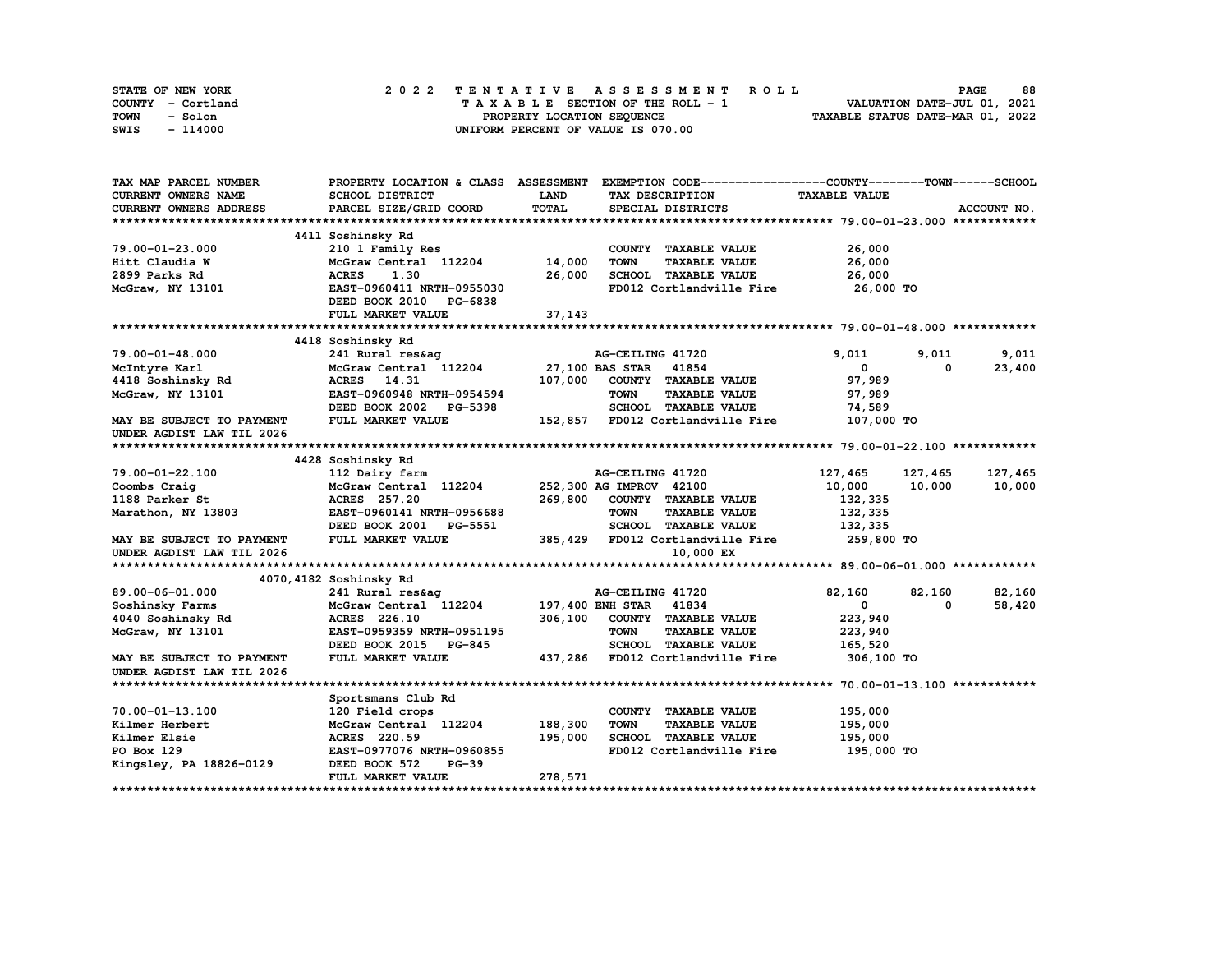| STATE OF NEW YORK | 2022 TENTATIVE ASSESSMENT ROLL     | 88<br><b>PAGE</b>                |
|-------------------|------------------------------------|----------------------------------|
| COUNTY - Cortland | TAXABLE SECTION OF THE ROLL - 1    | VALUATION DATE-JUL 01, 2021      |
| TOWN<br>- Solon   | PROPERTY LOCATION SEQUENCE         | TAXABLE STATUS DATE-MAR 01, 2022 |
| - 114000<br>SWIS  | UNIFORM PERCENT OF VALUE IS 070.00 |                                  |

| TAX MAP PARCEL NUMBER      |                           |             | PROPERTY LOCATION & CLASS ASSESSMENT EXEMPTION CODE-----------------COUNTY-------TOWN------SCHOOL                                                                                                                                                                                                                                                                                          |                      |            |             |
|----------------------------|---------------------------|-------------|--------------------------------------------------------------------------------------------------------------------------------------------------------------------------------------------------------------------------------------------------------------------------------------------------------------------------------------------------------------------------------------------|----------------------|------------|-------------|
| <b>CURRENT OWNERS NAME</b> | <b>SCHOOL DISTRICT</b>    | <b>LAND</b> | TAX DESCRIPTION                                                                                                                                                                                                                                                                                                                                                                            | <b>TAXABLE VALUE</b> |            |             |
| CURRENT OWNERS ADDRESS     | PARCEL SIZE/GRID COORD    | TOTAL       | SPECIAL DISTRICTS                                                                                                                                                                                                                                                                                                                                                                          |                      |            | ACCOUNT NO. |
|                            |                           |             |                                                                                                                                                                                                                                                                                                                                                                                            |                      |            |             |
|                            | 4411 Soshinsky Rd         |             |                                                                                                                                                                                                                                                                                                                                                                                            |                      |            |             |
| 79.00-01-23.000            | 210 1 Family Res          |             | COUNTY TAXABLE VALUE                                                                                                                                                                                                                                                                                                                                                                       | 26,000               |            |             |
| Hitt Claudia W             | McGraw Central 112204     | 14,000      | <b>TOWN</b><br><b>TAXABLE VALUE</b>                                                                                                                                                                                                                                                                                                                                                        | 26,000               |            |             |
| 2899 Parks Rd              | <b>ACRES</b><br>1.30      | 26,000      | SCHOOL TAXABLE VALUE                                                                                                                                                                                                                                                                                                                                                                       | 26,000               |            |             |
| McGraw, NY 13101           | EAST-0960411 NRTH-0955030 |             | FD012 Cortlandville Fire                                                                                                                                                                                                                                                                                                                                                                   | 26,000 TO            |            |             |
|                            | DEED BOOK 2010 PG-6838    |             |                                                                                                                                                                                                                                                                                                                                                                                            |                      |            |             |
|                            | FULL MARKET VALUE         | 37,143      |                                                                                                                                                                                                                                                                                                                                                                                            |                      |            |             |
|                            |                           |             |                                                                                                                                                                                                                                                                                                                                                                                            |                      |            |             |
|                            | 4418 Soshinsky Rd         |             |                                                                                                                                                                                                                                                                                                                                                                                            |                      |            |             |
| 79.00-01-48.000            | 241 Rural res&aq          |             | AG-CEILING 41720                                                                                                                                                                                                                                                                                                                                                                           | 9,011                | 9,011      | 9,011       |
| McIntyre Karl              | McGraw Central 112204     |             | 27,100 BAS STAR 41854                                                                                                                                                                                                                                                                                                                                                                      | $^{\circ}$           | $^{\circ}$ | 23,400      |
| 4418 Soshinsky Rd          | ACRES 14.31               | 107,000     | COUNTY TAXABLE VALUE                                                                                                                                                                                                                                                                                                                                                                       | 97,989               |            |             |
| McGraw, NY 13101           | EAST-0960948 NRTH-0954594 |             | <b>TOWN</b><br><b>TAXABLE VALUE</b>                                                                                                                                                                                                                                                                                                                                                        | 97,989               |            |             |
|                            |                           |             |                                                                                                                                                                                                                                                                                                                                                                                            | 74,589               |            |             |
| MAY BE SUBJECT TO PAYMENT  |                           |             |                                                                                                                                                                                                                                                                                                                                                                                            | 107,000 TO           |            |             |
| UNDER AGDIST LAW TIL 2026  |                           |             | $\begin{array}{lllll} \texttt{EAS1--}\texttt{U3U02N} & \texttt{M1--}\texttt{M1} & \texttt{M2--}\texttt{SUSU0N} & \texttt{M1--}\texttt{SUSU0N} & \texttt{M1--}\texttt{SUSU0N} & \texttt{M1--}\texttt{SUSU0N} & \texttt{SUSU0N} & \texttt{SUSU0N} & \texttt{SUSU0N} & \texttt{SUSU0N} & \texttt{SUSU0N} & \texttt{SUSU0N} & \texttt{SUSU0N} & \texttt{SUSU0N} & \texttt{SUSU0N} & \texttt{S$ |                      |            |             |
|                            |                           |             |                                                                                                                                                                                                                                                                                                                                                                                            |                      |            |             |
|                            | 4428 Soshinsky Rd         |             |                                                                                                                                                                                                                                                                                                                                                                                            |                      |            |             |
| 79.00-01-22.100            | 112 Dairy farm            |             | AG-CEILING 41720                                                                                                                                                                                                                                                                                                                                                                           | 127,465              | 127,465    | 127,465     |
| Coombs Craig               | McGraw Central 112204     |             | 252,300 AG IMPROV 42100                                                                                                                                                                                                                                                                                                                                                                    | 10,000               | 10,000     | 10,000      |
| 1188 Parker St             | ACRES 257.20              | 269,800     | COUNTY TAXABLE VALUE                                                                                                                                                                                                                                                                                                                                                                       | 132,335              |            |             |
| Marathon, NY 13803         | EAST-0960141 NRTH-0956688 |             | <b>TAXABLE VALUE</b><br><b>TOWN</b>                                                                                                                                                                                                                                                                                                                                                        | 132,335              |            |             |
|                            | DEED BOOK 2001 PG-5551    |             | SCHOOL TAXABLE VALUE                                                                                                                                                                                                                                                                                                                                                                       | 132,335              |            |             |
| MAY BE SUBJECT TO PAYMENT  | FULL MARKET VALUE         |             | 385,429 FD012 Cortlandville Fire 259,800 TO                                                                                                                                                                                                                                                                                                                                                |                      |            |             |
| UNDER AGDIST LAW TIL 2026  |                           |             | 10,000 EX                                                                                                                                                                                                                                                                                                                                                                                  |                      |            |             |
|                            |                           |             |                                                                                                                                                                                                                                                                                                                                                                                            |                      |            |             |
|                            | 4070, 4182 Soshinsky Rd   |             |                                                                                                                                                                                                                                                                                                                                                                                            |                      |            |             |
| 89.00-06-01.000            | 241 Rural res&ag          |             | AG-CEILING 41720                                                                                                                                                                                                                                                                                                                                                                           | 82,160               | 82,160     | 82,160      |
| Soshinsky Farms            | McGraw Central 112204     |             | 197,400 ENH STAR 41834                                                                                                                                                                                                                                                                                                                                                                     | $\mathbf{0}$         | 0          | 58,420      |
| 4040 Soshinsky Rd          | ACRES 226.10              | 306,100     | COUNTY TAXABLE VALUE                                                                                                                                                                                                                                                                                                                                                                       | 223,940              |            |             |
| McGraw, NY 13101           | EAST-0959359 NRTH-0951195 |             | <b>TAXABLE VALUE</b><br><b>TOWN</b>                                                                                                                                                                                                                                                                                                                                                        | 223,940              |            |             |
|                            | DEED BOOK 2015 PG-845     |             | SCHOOL TAXABLE VALUE                                                                                                                                                                                                                                                                                                                                                                       | 165,520              |            |             |
| MAY BE SUBJECT TO PAYMENT  | FULL MARKET VALUE         |             | 437,286 FD012 Cortlandville Fire                                                                                                                                                                                                                                                                                                                                                           | 306,100 TO           |            |             |
| UNDER AGDIST LAW TIL 2026  |                           |             |                                                                                                                                                                                                                                                                                                                                                                                            |                      |            |             |
|                            |                           |             |                                                                                                                                                                                                                                                                                                                                                                                            |                      |            |             |
|                            | Sportsmans Club Rd        |             |                                                                                                                                                                                                                                                                                                                                                                                            |                      |            |             |
| 70.00-01-13.100            | 120 Field crops           |             | COUNTY TAXABLE VALUE                                                                                                                                                                                                                                                                                                                                                                       | 195,000              |            |             |
| Kilmer Herbert             | McGraw Central 112204     | 188,300     | <b>TOWN</b><br><b>TAXABLE VALUE</b>                                                                                                                                                                                                                                                                                                                                                        | 195,000              |            |             |
| Kilmer Elsie               | ACRES 220.59              | 195,000     | SCHOOL TAXABLE VALUE                                                                                                                                                                                                                                                                                                                                                                       | 195,000              |            |             |
| PO Box 129                 | EAST-0977076 NRTH-0960855 |             | FD012 Cortlandville Fire                                                                                                                                                                                                                                                                                                                                                                   | 195,000 TO           |            |             |
| Kingsley, PA 18826-0129    | DEED BOOK 572<br>$PG-39$  |             |                                                                                                                                                                                                                                                                                                                                                                                            |                      |            |             |
|                            | FULL MARKET VALUE         | 278,571     |                                                                                                                                                                                                                                                                                                                                                                                            |                      |            |             |
|                            |                           |             |                                                                                                                                                                                                                                                                                                                                                                                            |                      |            |             |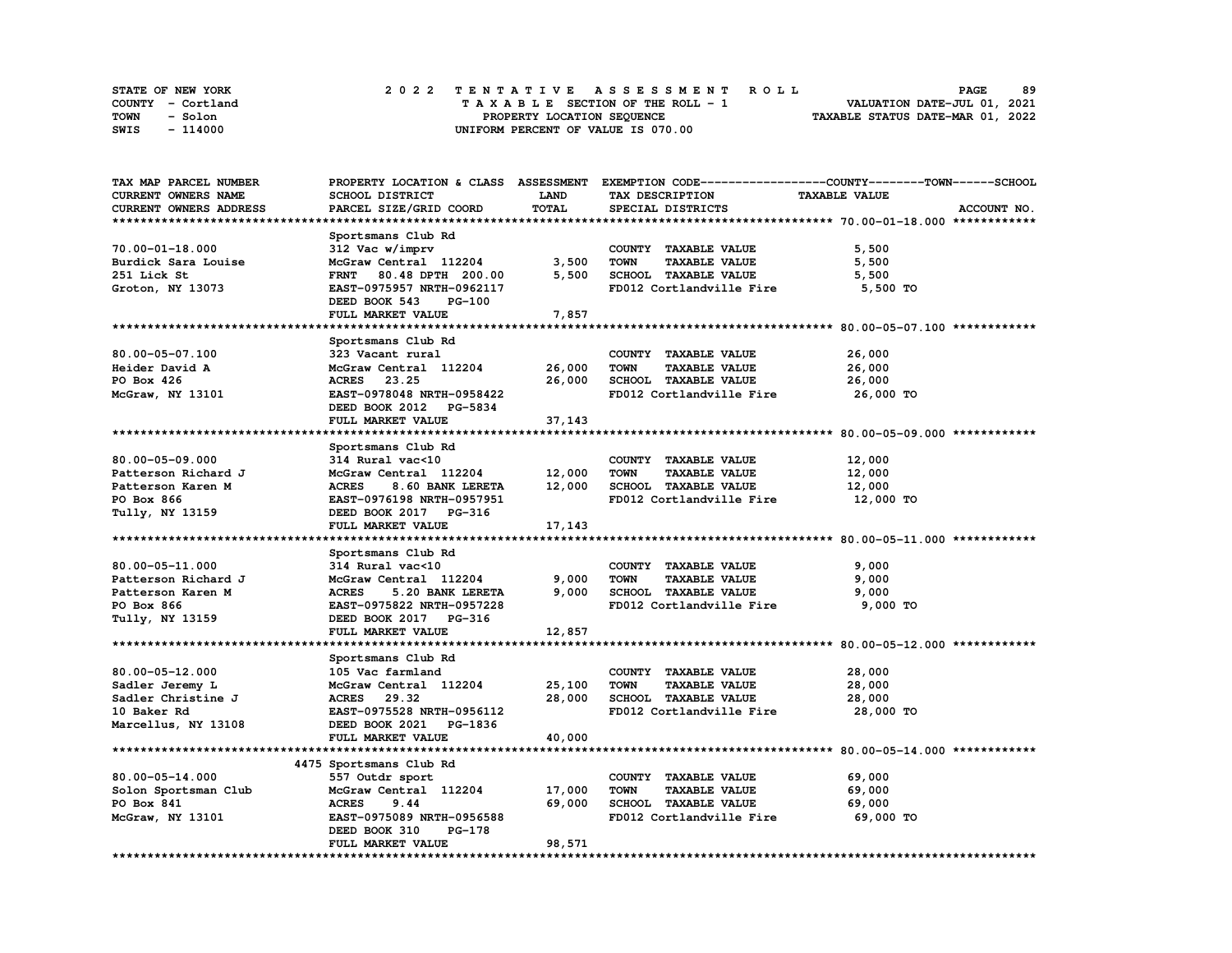| STATE OF NEW YORK | 2022 TENTATIVE ASSESSMENT ROLL     | 89<br><b>PAGE</b>                |
|-------------------|------------------------------------|----------------------------------|
| COUNTY - Cortland | TAXABLE SECTION OF THE ROLL - 1    | VALUATION DATE-JUL 01, 2021      |
| TOWN<br>- Solon   | PROPERTY LOCATION SEQUENCE         | TAXABLE STATUS DATE-MAR 01, 2022 |
| - 114000<br>SWIS  | UNIFORM PERCENT OF VALUE IS 070.00 |                                  |

| TAX MAP PARCEL NUMBER             |                                  |             |                                     | PROPERTY LOCATION & CLASS ASSESSMENT EXEMPTION CODE-----------------COUNTY-------TOWN-----SCHOOL |
|-----------------------------------|----------------------------------|-------------|-------------------------------------|--------------------------------------------------------------------------------------------------|
| CURRENT OWNERS NAME               | SCHOOL DISTRICT                  | <b>LAND</b> | TAX DESCRIPTION                     | <b>TAXABLE VALUE</b>                                                                             |
| CURRENT OWNERS ADDRESS            | PARCEL SIZE/GRID COORD           | TOTAL       | SPECIAL DISTRICTS                   | ACCOUNT NO.                                                                                      |
|                                   |                                  |             |                                     |                                                                                                  |
|                                   | Sportsmans Club Rd               |             |                                     |                                                                                                  |
| 70.00-01-18.000                   | 312 Vac w/imprv                  |             | COUNTY TAXABLE VALUE                | 5,500                                                                                            |
| Burdick Sara Louise               | McGraw Central 112204            | 3,500       | TOWN<br><b>TAXABLE VALUE</b>        | 5,500                                                                                            |
|                                   |                                  | 5,500       | SCHOOL TAXABLE VALUE                |                                                                                                  |
| 251 Lick St                       | FRNT 80.48 DPTH 200.00           |             |                                     | 5,500                                                                                            |
| Groton, NY 13073                  | EAST-0975957 NRTH-0962117        |             | FD012 Cortlandville Fire            | 5,500 TO                                                                                         |
|                                   | DEED BOOK 543<br><b>PG-100</b>   |             |                                     |                                                                                                  |
|                                   | FULL MARKET VALUE                | 7,857       |                                     |                                                                                                  |
|                                   |                                  |             |                                     |                                                                                                  |
|                                   | Sportsmans Club Rd               |             |                                     |                                                                                                  |
| 80.00-05-07.100                   | 323 Vacant rural                 |             | COUNTY TAXABLE VALUE                | 26,000                                                                                           |
| Heider David A                    | McGraw Central 112204            | 26,000      | <b>TOWN</b><br><b>TAXABLE VALUE</b> | 26,000                                                                                           |
| PO Box 426                        | ACRES 23.25                      | 26,000      | SCHOOL TAXABLE VALUE                | 26,000                                                                                           |
| McGraw, NY 13101                  | EAST-0978048 NRTH-0958422        |             | FD012 Cortlandville Fire            | 26,000 TO                                                                                        |
|                                   | DEED BOOK 2012 PG-5834           |             |                                     |                                                                                                  |
|                                   | FULL MARKET VALUE                | 37,143      |                                     |                                                                                                  |
|                                   |                                  |             |                                     |                                                                                                  |
|                                   |                                  |             |                                     |                                                                                                  |
|                                   | Sportsmans Club Rd               |             |                                     |                                                                                                  |
| $80.00 - 05 - 09.000$             | 314 Rural vac<10                 |             | COUNTY TAXABLE VALUE                | 12,000                                                                                           |
| Patterson Richard J               | McGraw Central 112204 12,000     |             | <b>TOWN</b><br><b>TAXABLE VALUE</b> | 12,000                                                                                           |
| Patterson Karen M                 | <b>ACRES</b><br>8.60 BANK LERETA | 12,000      | SCHOOL TAXABLE VALUE                | 12,000                                                                                           |
| PO Box 866                        | EAST-0976198 NRTH-0957951        |             | FD012 Cortlandville Fire            | 12,000 TO                                                                                        |
| Tully, NY 13159                   | DEED BOOK 2017 PG-316            |             |                                     |                                                                                                  |
|                                   | FULL MARKET VALUE                | 17, 143     |                                     |                                                                                                  |
|                                   |                                  |             |                                     |                                                                                                  |
|                                   | Sportsmans Club Rd               |             |                                     |                                                                                                  |
| 80.00-05-11.000                   | 314 Rural vac<10                 |             | COUNTY TAXABLE VALUE                | 9,000                                                                                            |
| Patterson Richard J               | McGraw Central 112204            | 9,000       | <b>TOWN</b><br><b>TAXABLE VALUE</b> | 9,000                                                                                            |
| Patterson Karen M                 | 5.20 BANK LERETA<br><b>ACRES</b> | 9,000       | SCHOOL TAXABLE VALUE                | 9,000                                                                                            |
| PO Box 866                        | EAST-0975822 NRTH-0957228        |             | FD012 Cortlandville Fire            | 9,000 TO                                                                                         |
| Tully, NY 13159                   | DEED BOOK 2017 PG-316            |             |                                     |                                                                                                  |
|                                   | FULL MARKET VALUE                | 12,857      |                                     |                                                                                                  |
|                                   |                                  |             |                                     |                                                                                                  |
|                                   |                                  |             |                                     |                                                                                                  |
|                                   | Sportsmans Club Rd               |             |                                     |                                                                                                  |
| $80.00 - 05 - 12.000$             | 105 Vac farmland                 |             | COUNTY TAXABLE VALUE                | 28,000                                                                                           |
| Sadler Jeremy L                   | McGraw Central 112204            | 25,100      | <b>TOWN</b><br><b>TAXABLE VALUE</b> | 28,000                                                                                           |
| Sadler Christine J<br>10 Baker Rd | ACRES 29.32                      | 28,000      | SCHOOL TAXABLE VALUE                | 28,000                                                                                           |
| 10 Baker Rd                       | EAST-0975528 NRTH-0956112        |             | FD012 Cortlandville Fire            | 28,000 TO                                                                                        |
| Marcellus, NY 13108               | DEED BOOK 2021 PG-1836           |             |                                     |                                                                                                  |
|                                   | FULL MARKET VALUE                | 40,000      |                                     |                                                                                                  |
|                                   |                                  |             |                                     |                                                                                                  |
|                                   | 4475 Sportsmans Club Rd          |             |                                     |                                                                                                  |
| $80.00 - 05 - 14.000$             | 557 Outdr sport                  |             | COUNTY TAXABLE VALUE                | 69,000                                                                                           |
| Solon Sportsman Club              | McGraw Central 112204            | 17,000      | TOWN<br><b>TAXABLE VALUE</b>        | 69,000                                                                                           |
| PO Box 841                        | <b>ACRES</b><br>9.44             | 69,000      | SCHOOL TAXABLE VALUE                | 69,000                                                                                           |
| McGraw, NY 13101                  | EAST-0975089 NRTH-0956588        |             | FD012 Cortlandville Fire            | 69,000 TO                                                                                        |
|                                   |                                  |             |                                     |                                                                                                  |
|                                   | DEED BOOK 310<br>PG-178          |             |                                     |                                                                                                  |
|                                   | FULL MARKET VALUE                | 98,571      |                                     |                                                                                                  |
|                                   |                                  |             |                                     |                                                                                                  |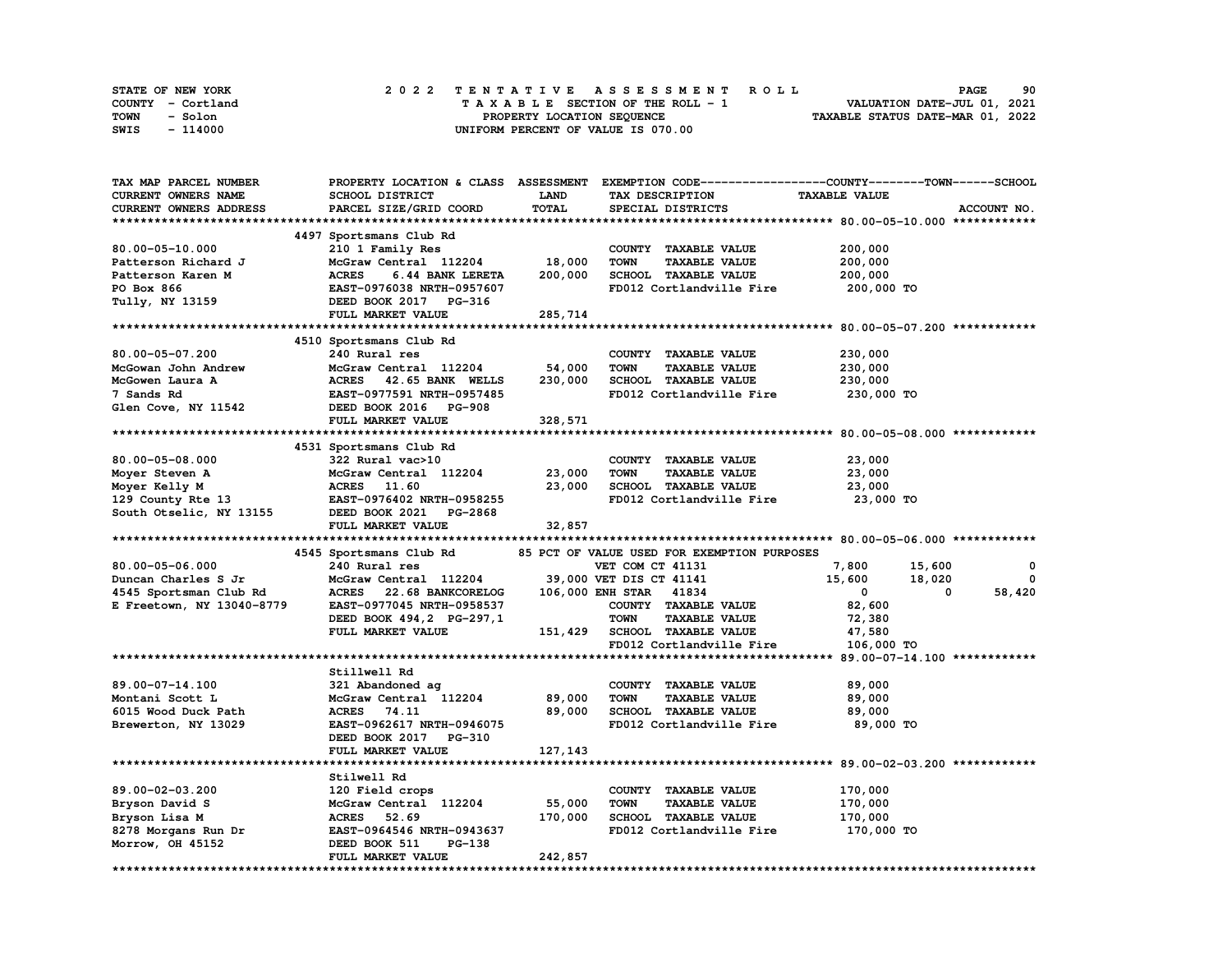| STATE OF NEW YORK | 2022 TENTATIVE ASSESSMENT ROLL     | 90<br><b>PAGE</b>                |
|-------------------|------------------------------------|----------------------------------|
| COUNTY - Cortland | TAXABLE SECTION OF THE ROLL - 1    | VALUATION DATE-JUL 01, 2021      |
| TOWN<br>- Solon   | PROPERTY LOCATION SEQUENCE         | TAXABLE STATUS DATE-MAR 01, 2022 |
| SWIS<br>- 114000  | UNIFORM PERCENT OF VALUE IS 070.00 |                                  |

| TAX MAP PARCEL NUMBER     |                                   |             | PROPERTY LOCATION & CLASS ASSESSMENT EXEMPTION CODE-----------------COUNTY-------TOWN------SCHOOL |                      |              |
|---------------------------|-----------------------------------|-------------|---------------------------------------------------------------------------------------------------|----------------------|--------------|
| CURRENT OWNERS NAME       | SCHOOL DISTRICT                   | <b>LAND</b> | TAX DESCRIPTION                                                                                   | <b>TAXABLE VALUE</b> |              |
| CURRENT OWNERS ADDRESS    | PARCEL SIZE/GRID COORD            | TOTAL       | SPECIAL DISTRICTS                                                                                 |                      | ACCOUNT NO.  |
|                           |                                   |             |                                                                                                   |                      |              |
|                           | 4497 Sportsmans Club Rd           |             |                                                                                                   |                      |              |
| 80.00-05-10.000           | 210 1 Family Res                  |             | COUNTY TAXABLE VALUE                                                                              | 200,000              |              |
| Patterson Richard J       | McGraw Central 112204             | 18,000      | <b>TOWN</b><br><b>TAXABLE VALUE</b>                                                               | 200,000              |              |
|                           |                                   |             |                                                                                                   |                      |              |
| Patterson Karen M         | <b>ACRES</b><br>6.44 BANK LERETA  | 200,000     | SCHOOL TAXABLE VALUE                                                                              | 200,000              |              |
| PO Box 866                | EAST-0976038 NRTH-0957607         |             | FD012 Cortlandville Fire                                                                          | 200,000 TO           |              |
| Tully, NY 13159           | DEED BOOK 2017 PG-316             |             |                                                                                                   |                      |              |
|                           | FULL MARKET VALUE                 | 285,714     |                                                                                                   |                      |              |
|                           |                                   |             |                                                                                                   |                      |              |
|                           | 4510 Sportsmans Club Rd           |             |                                                                                                   |                      |              |
| 80.00-05-07.200           | 240 Rural res                     |             | COUNTY TAXABLE VALUE                                                                              | 230,000              |              |
| McGowan John Andrew       | McGraw Central 112204             | 54,000      | <b>TOWN</b><br><b>TAXABLE VALUE</b>                                                               | 230,000              |              |
| McGowen Laura A           | ACRES 42.65 BANK WELLS            | 230,000     | SCHOOL TAXABLE VALUE                                                                              | 230,000              |              |
| 7 Sands Rd                | EAST-0977591 NRTH-0957485         |             | FD012 Cortlandville Fire                                                                          | 230,000 TO           |              |
| Glen Cove, NY 11542       | DEED BOOK 2016 PG-908             |             |                                                                                                   |                      |              |
|                           | FULL MARKET VALUE                 | 328,571     |                                                                                                   |                      |              |
|                           |                                   |             |                                                                                                   |                      |              |
|                           | 4531 Sportsmans Club Rd           |             |                                                                                                   |                      |              |
| $80.00 - 05 - 08.000$     | 322 Rural vac>10                  |             | COUNTY TAXABLE VALUE                                                                              | 23,000               |              |
| Moyer Steven A            | McGraw Central 112204             | 23,000      | <b>TOWN</b><br><b>TAXABLE VALUE</b>                                                               | 23,000               |              |
| Moyer Kelly M             | ACRES 11.60                       | 23,000      | SCHOOL TAXABLE VALUE                                                                              | 23,000               |              |
| 129 County Rte $13$       | EAST-0976402 NRTH-0958255         |             | FD012 Cortlandville Fire                                                                          | 23,000 TO            |              |
| South Otselic, NY 13155   | DEED BOOK 2021 PG-2868            |             |                                                                                                   |                      |              |
|                           | FULL MARKET VALUE                 | 32,857      |                                                                                                   |                      |              |
|                           |                                   |             |                                                                                                   |                      |              |
|                           |                                   |             |                                                                                                   |                      |              |
|                           | 4545 Sportsmans Club Rd           |             | 85 PCT OF VALUE USED FOR EXEMPTION PURPOSES                                                       |                      |              |
| 80.00-05-06.000           | 240 Rural res                     |             | VET COM CT 41131                                                                                  | 7,800<br>15,600      | 0            |
| Duncan Charles S Jr       | McGraw Central 112204             |             | 39,000 VET DIS CT 41141                                                                           | 15,600<br>18,020     | $\mathbf{o}$ |
| 4545 Sportsman Club Rd    | <b>ACRES</b><br>22.68 BANKCORELOG |             | 106,000 ENH STAR 41834                                                                            | $\mathbf 0$<br>0     | 58,420       |
| E Freetown, NY 13040-8779 | EAST-0977045 NRTH-0958537         |             | COUNTY TAXABLE VALUE                                                                              | 82,600               |              |
|                           | DEED BOOK 494,2 PG-297,1          |             | <b>TOWN</b><br><b>TAXABLE VALUE</b>                                                               | 72,380               |              |
|                           | FULL MARKET VALUE                 | 151,429     | <b>SCHOOL TAXABLE VALUE</b>                                                                       | 47,580               |              |
|                           |                                   |             | FD012 Cortlandville Fire                                                                          | 106,000 TO           |              |
|                           |                                   |             |                                                                                                   |                      |              |
|                           | Stillwell Rd                      |             |                                                                                                   |                      |              |
| 89.00-07-14.100           | 321 Abandoned ag                  |             | COUNTY TAXABLE VALUE                                                                              | 89,000               |              |
| Montani Scott L           | McGraw Central 112204             | 89,000      | <b>TOWN</b><br><b>TAXABLE VALUE</b>                                                               | 89,000               |              |
| 6015 Wood Duck Path       | ACRES 74.11                       | 89,000      | SCHOOL TAXABLE VALUE                                                                              | 89,000               |              |
| Brewerton, NY 13029       | EAST-0962617 NRTH-0946075         |             | FD012 Cortlandville Fire                                                                          | 89,000 TO            |              |
|                           | DEED BOOK 2017 PG-310             |             |                                                                                                   |                      |              |
|                           | FULL MARKET VALUE                 | 127,143     |                                                                                                   |                      |              |
|                           |                                   |             |                                                                                                   |                      |              |
|                           | Stilwell Rd                       |             |                                                                                                   |                      |              |
| 89.00-02-03.200           | 120 Field crops                   |             | COUNTY TAXABLE VALUE                                                                              | 170,000              |              |
|                           | McGraw Central 112204             | 55,000      | <b>TOWN</b><br><b>TAXABLE VALUE</b>                                                               | 170,000              |              |
| Bryson David S            | <b>ACRES</b><br>52.69             | 170,000     | <b>SCHOOL TAXABLE VALUE</b>                                                                       |                      |              |
| Bryson Lisa M             |                                   |             |                                                                                                   | 170,000              |              |
| 8278 Morgans Run Dr       | EAST-0964546 NRTH-0943637         |             | FD012 Cortlandville Fire                                                                          | 170,000 TO           |              |
| Morrow, OH 45152          | DEED BOOK 511<br>PG-138           |             |                                                                                                   |                      |              |
|                           | FULL MARKET VALUE                 | 242,857     |                                                                                                   |                      |              |
|                           |                                   |             |                                                                                                   |                      |              |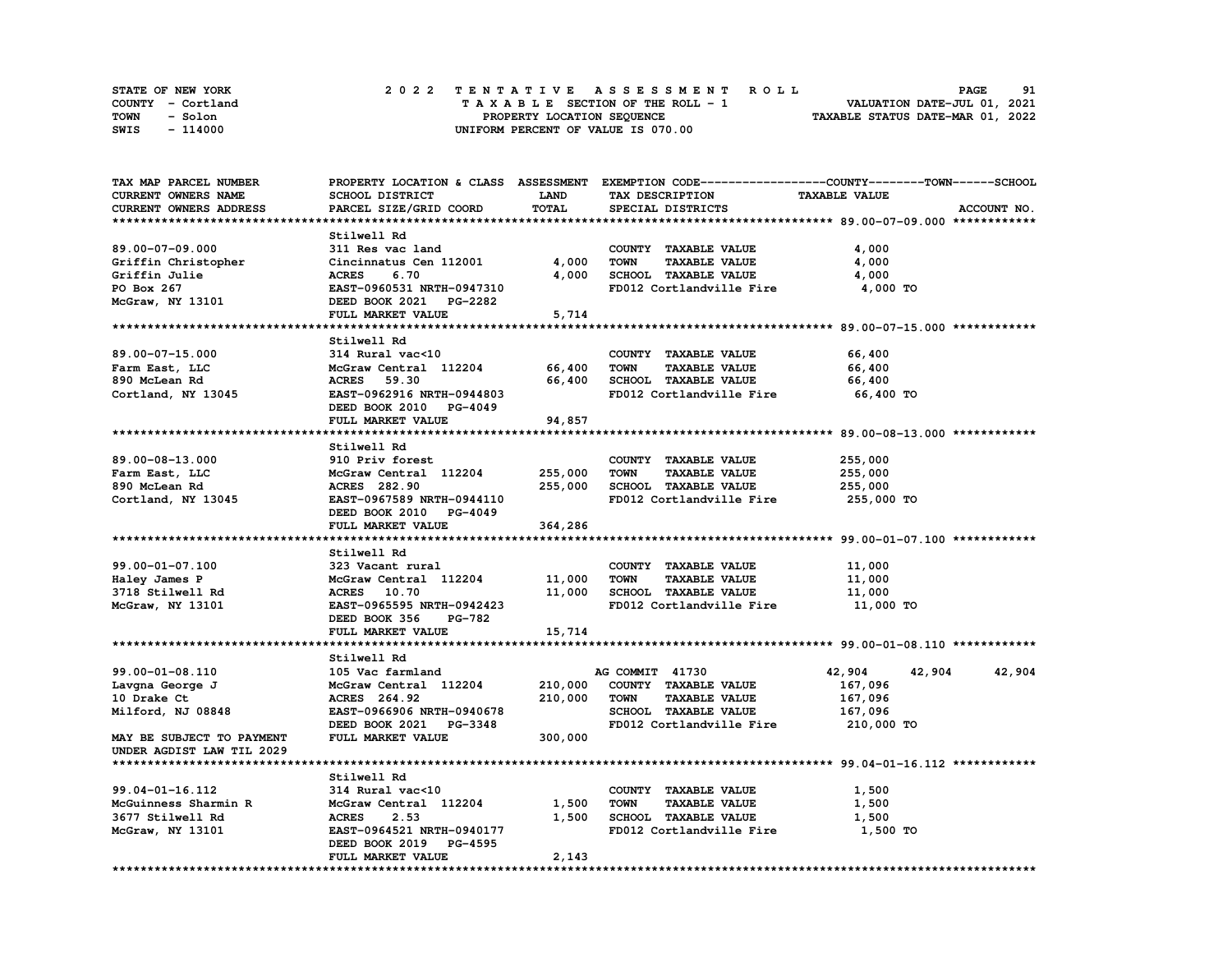| <b>STATE OF NEW YORK</b> | 2022 TENTATIVE ASSESSMENT ROLL     | 91<br><b>PAGE</b>                |  |
|--------------------------|------------------------------------|----------------------------------|--|
| COUNTY - Cortland        | TAXABLE SECTION OF THE ROLL - 1    | VALUATION DATE-JUL 01, 2021      |  |
| TOWN<br>- Solon          | PROPERTY LOCATION SEOUENCE         | TAXABLE STATUS DATE-MAR 01, 2022 |  |
| - 114000<br>SWIS         | UNIFORM PERCENT OF VALUE IS 070.00 |                                  |  |

| TAX MAP PARCEL NUMBER     |                              |             | PROPERTY LOCATION & CLASS ASSESSMENT EXEMPTION CODE----------------COUNTY-------TOWN-----SCHOOL |                      |             |
|---------------------------|------------------------------|-------------|-------------------------------------------------------------------------------------------------|----------------------|-------------|
| CURRENT OWNERS NAME       | SCHOOL DISTRICT              | <b>LAND</b> | TAX DESCRIPTION                                                                                 | <b>TAXABLE VALUE</b> |             |
| CURRENT OWNERS ADDRESS    | PARCEL SIZE/GRID COORD       | TOTAL       | SPECIAL DISTRICTS                                                                               |                      | ACCOUNT NO. |
|                           |                              |             |                                                                                                 |                      |             |
|                           | Stilwell Rd                  |             |                                                                                                 |                      |             |
| 89.00-07-09.000           | 311 Res vac land             |             | COUNTY TAXABLE VALUE                                                                            | 4,000                |             |
| Griffin Christopher       | Cincinnatus Cen 112001       | 4,000       | <b>TOWN</b><br><b>TAXABLE VALUE</b>                                                             | 4,000                |             |
| Griffin Julie             | 6.70<br><b>ACRES</b>         | 4,000       | SCHOOL TAXABLE VALUE                                                                            | 4,000                |             |
| PO Box 267                | EAST-0960531 NRTH-0947310    |             | FD012 Cortlandville Fire                                                                        | 4,000 TO             |             |
| McGraw, NY 13101          | DEED BOOK 2021 PG-2282       |             |                                                                                                 |                      |             |
|                           | FULL MARKET VALUE            | 5,714       |                                                                                                 |                      |             |
|                           |                              |             |                                                                                                 |                      |             |
|                           | Stilwell Rd                  |             |                                                                                                 |                      |             |
| 89.00-07-15.000           | 314 Rural vac<10             |             | COUNTY TAXABLE VALUE                                                                            | 66,400               |             |
| Farm East, LLC            | McGraw Central 112204        | 66,400      | TOWN<br><b>TAXABLE VALUE</b>                                                                    | 66,400               |             |
| 890 McLean Rd             | ACRES 59.30                  | 66,400      | SCHOOL TAXABLE VALUE                                                                            | 66,400               |             |
| Cortland, NY 13045        | EAST-0962916 NRTH-0944803    |             | FD012 Cortlandville Fire                                                                        | 66,400 TO            |             |
|                           | DEED BOOK 2010 PG-4049       |             |                                                                                                 |                      |             |
|                           | FULL MARKET VALUE            | 94,857      |                                                                                                 |                      |             |
|                           |                              |             |                                                                                                 |                      |             |
|                           | Stilwell Rd                  |             |                                                                                                 |                      |             |
| 89.00-08-13.000           | 910 Priv forest              |             | COUNTY TAXABLE VALUE                                                                            | 255,000              |             |
| Farm East, LLC            | McGraw Central 112204        | 255,000     | <b>TOWN</b><br><b>TAXABLE VALUE</b>                                                             | 255,000              |             |
| 890 McLean Rd             | <b>ACRES</b> 282.90          | 255,000     | SCHOOL TAXABLE VALUE                                                                            | 255,000              |             |
|                           | EAST-0967589 NRTH-0944110    |             | FD012 Cortlandville Fire                                                                        | 255,000 TO           |             |
| Cortland, NY 13045        | DEED BOOK 2010 PG-4049       |             |                                                                                                 |                      |             |
|                           |                              |             |                                                                                                 |                      |             |
|                           | FULL MARKET VALUE            | 364,286     |                                                                                                 |                      |             |
|                           |                              |             |                                                                                                 |                      |             |
|                           | Stilwell Rd                  |             |                                                                                                 |                      |             |
| 99.00-01-07.100           | 323 Vacant rural             |             | COUNTY TAXABLE VALUE                                                                            | 11,000               |             |
| Haley James P             | McGraw Central 112204 11,000 |             | <b>TOWN</b><br><b>TAXABLE VALUE</b>                                                             | 11,000               |             |
| 3718 Stilwell Rd          | ACRES 10.70                  | 11,000      | SCHOOL TAXABLE VALUE                                                                            | 11,000               |             |
| McGraw, NY 13101          | EAST-0965595 NRTH-0942423    |             | FD012 Cortlandville Fire                                                                        | 11,000 TO            |             |
|                           | DEED BOOK 356<br>PG-782      |             |                                                                                                 |                      |             |
|                           | FULL MARKET VALUE            | 15,714      |                                                                                                 |                      |             |
|                           |                              |             |                                                                                                 |                      |             |
|                           | Stilwell Rd                  |             |                                                                                                 |                      |             |
| 99.00-01-08.110           | 105 Vac farmland             |             | AG COMMIT 41730                                                                                 | 42,904<br>42,904     | 42,904      |
| Lavgna George J           | McGraw Central 112204        | 210,000     | COUNTY TAXABLE VALUE                                                                            | 167,096              |             |
| 10 Drake Ct               | ACRES 264.92                 | 210,000     | <b>TOWN</b><br><b>TAXABLE VALUE</b>                                                             | 167,096              |             |
| Milford, NJ 08848         | EAST-0966906 NRTH-0940678    |             | SCHOOL TAXABLE VALUE                                                                            | 167,096              |             |
|                           | DEED BOOK 2021 PG-3348       |             | FD012 Cortlandville Fire                                                                        | 210,000 TO           |             |
| MAY BE SUBJECT TO PAYMENT | FULL MARKET VALUE            | 300,000     |                                                                                                 |                      |             |
| UNDER AGDIST LAW TIL 2029 |                              |             |                                                                                                 |                      |             |
|                           |                              |             |                                                                                                 |                      |             |
|                           | Stilwell Rd                  |             |                                                                                                 |                      |             |
| 99.04-01-16.112           | 314 Rural vac<10             |             | COUNTY TAXABLE VALUE                                                                            | 1,500                |             |
| McGuinness Sharmin R      | McGraw Central 112204        | 1,500       | <b>TOWN</b><br><b>TAXABLE VALUE</b>                                                             | 1,500                |             |
| 3677 Stilwell Rd          | <b>ACRES</b><br>2.53         | 1,500       | SCHOOL TAXABLE VALUE                                                                            | 1,500                |             |
| McGraw, NY 13101          | EAST-0964521 NRTH-0940177    |             | FD012 Cortlandville Fire                                                                        | 1,500 TO             |             |
|                           | DEED BOOK 2019 PG-4595       |             |                                                                                                 |                      |             |
|                           | FULL MARKET VALUE            | 2,143       |                                                                                                 |                      |             |
|                           |                              |             |                                                                                                 |                      |             |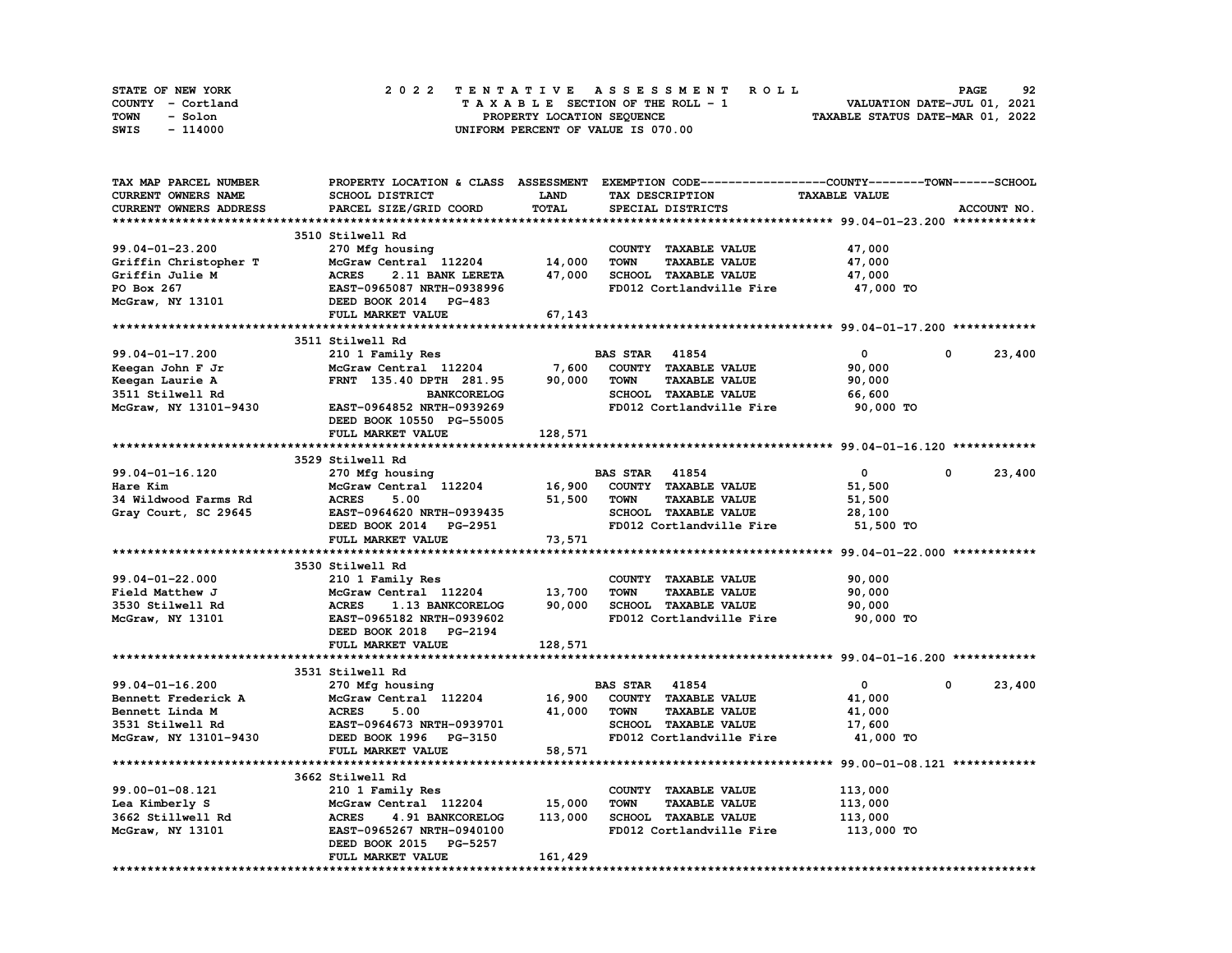| STATE OF NEW YORK | 2022 TENTATIVE ASSESSMENT ROLL     | 92<br><b>PAGE</b>                |
|-------------------|------------------------------------|----------------------------------|
| COUNTY - Cortland | TAXABLE SECTION OF THE ROLL - 1    | VALUATION DATE-JUL 01, 2021      |
| TOWN<br>- Solon   | PROPERTY LOCATION SEQUENCE         | TAXABLE STATUS DATE-MAR 01, 2022 |
| - 114000<br>SWIS  | UNIFORM PERCENT OF VALUE IS 070.00 |                                  |

| TAX MAP PARCEL NUMBER                                       |                                  |             | PROPERTY LOCATION & CLASS ASSESSMENT EXEMPTION CODE----------------COUNTY-------TOWN-----SCHOOL |                      |            |             |
|-------------------------------------------------------------|----------------------------------|-------------|-------------------------------------------------------------------------------------------------|----------------------|------------|-------------|
| CURRENT OWNERS NAME                                         | SCHOOL DISTRICT                  | <b>LAND</b> | TAX DESCRIPTION                                                                                 | <b>TAXABLE VALUE</b> |            |             |
| CURRENT OWNERS ADDRESS                                      | PARCEL SIZE/GRID COORD           | TOTAL       | SPECIAL DISTRICTS                                                                               |                      |            | ACCOUNT NO. |
|                                                             |                                  |             |                                                                                                 |                      |            |             |
|                                                             | 3510 Stilwell Rd                 |             |                                                                                                 |                      |            |             |
|                                                             | 270 Mfg housing                  |             | COUNTY TAXABLE VALUE                                                                            | 47,000               |            |             |
|                                                             | McGraw Central 112204            | 14,000      | <b>TOWN</b><br><b>TAXABLE VALUE</b>                                                             | 47,000               |            |             |
|                                                             | <b>ACRES</b><br>2.11 BANK LERETA | 47,000      | SCHOOL TAXABLE VALUE                                                                            | 47,000               |            |             |
| 99.04-01-23.200<br>Griffin Christopher T<br>Griffin Julie M | EAST-0965087 NRTH-0938996        |             | FD012 Cortlandville Fire                                                                        | 47,000 TO            |            |             |
| McGraw, NY 13101                                            | DEED BOOK 2014 PG-483            |             |                                                                                                 |                      |            |             |
|                                                             | FULL MARKET VALUE                | 67,143      |                                                                                                 |                      |            |             |
|                                                             |                                  |             |                                                                                                 |                      |            |             |
|                                                             | 3511 Stilwell Rd                 |             |                                                                                                 |                      |            |             |
| 99.04-01-17.200                                             | 210 1 Family Res                 |             | <b>BAS STAR</b> 41854                                                                           | $\bullet$            | $^{\circ}$ | 23,400      |
| Keegan John F Jr                                            | McGraw Central 112204 7,600      |             | COUNTY TAXABLE VALUE                                                                            | 90,000               |            |             |
| Keegan Laurie A                                             | FRNT 135.40 DPTH 281.95          | 90,000      | <b>TOWN</b><br><b>TAXABLE VALUE</b>                                                             | 90,000               |            |             |
|                                                             |                                  |             | SCHOOL TAXABLE VALUE                                                                            |                      |            |             |
| 3511 Stilwell Rd                                            | <b>BANKCORELOG</b>               |             |                                                                                                 | 66,600               |            |             |
| McGraw, NY 13101-9430                                       | EAST-0964852 NRTH-0939269        |             | FD012 Cortlandville Fire                                                                        | 90,000 TO            |            |             |
|                                                             | DEED BOOK 10550 PG-55005         |             |                                                                                                 |                      |            |             |
|                                                             | FULL MARKET VALUE                | 128,571     |                                                                                                 |                      |            |             |
|                                                             |                                  |             |                                                                                                 |                      |            |             |
|                                                             | 3529 Stilwell Rd                 |             |                                                                                                 |                      |            |             |
| 99.04-01-16.120                                             | 270 Mfg housing                  |             | <b>BAS STAR</b> 41854                                                                           | $\mathbf 0$          | $^{\circ}$ | 23,400      |
| Hare Kim                                                    | McGraw Central 112204 16,900     |             | COUNTY TAXABLE VALUE                                                                            | 51,500               |            |             |
| 34 Wildwood Farms Rd                                        | <b>ACRES</b><br>5.00             | 51,500      | <b>TOWN</b><br><b>TAXABLE VALUE</b>                                                             | 51,500               |            |             |
| Gray Court, SC 29645                                        | EAST-0964620 NRTH-0939435        |             | SCHOOL TAXABLE VALUE                                                                            | 28,100               |            |             |
|                                                             | DEED BOOK 2014 PG-2951           |             | FD012 Cortlandville Fire                                                                        | 51,500 TO            |            |             |
|                                                             | FULL MARKET VALUE                | 73,571      |                                                                                                 |                      |            |             |
|                                                             |                                  |             |                                                                                                 |                      |            |             |
|                                                             | 3530 Stilwell Rd                 |             |                                                                                                 |                      |            |             |
| 99.04-01-22.000                                             | 210 1 Family Res                 |             | COUNTY TAXABLE VALUE                                                                            | 90,000               |            |             |
| Field Matthew J                                             | McGraw Central 112204            | 13,700      | <b>TOWN</b><br>TAXABLE VALUE                                                                    | 90,000               |            |             |
| 3530 Stilwell Rd                                            | <b>ACRES</b><br>1.13 BANKCORELOG | 90,000      | SCHOOL TAXABLE VALUE                                                                            | 90,000               |            |             |
| McGraw, NY 13101                                            | EAST-0965182 NRTH-0939602        |             | FD012 Cortlandville Fire                                                                        | 90,000 TO            |            |             |
|                                                             | DEED BOOK 2018 PG-2194           |             |                                                                                                 |                      |            |             |
|                                                             | FULL MARKET VALUE                | 128,571     |                                                                                                 |                      |            |             |
|                                                             |                                  |             |                                                                                                 |                      |            |             |
|                                                             | 3531 Stilwell Rd                 |             |                                                                                                 |                      |            |             |
| 99.04-01-16.200                                             | 270 Mfg housing                  |             | <b>BAS STAR 41854</b>                                                                           | $\mathbf{0}$         | $^{\circ}$ | 23,400      |
| Bennett Frederick A                                         | McGraw Central 112204            | 16,900      | COUNTY TAXABLE VALUE                                                                            | 41,000               |            |             |
| Bennett Linda M                                             | <b>ACRES</b><br>5.00             | 41,000      | <b>TOWN</b><br><b>TAXABLE VALUE</b>                                                             | 41,000               |            |             |
| 3531 Stilwell Rd                                            | EAST-0964673 NRTH-0939701        |             | SCHOOL TAXABLE VALUE                                                                            | 17,600               |            |             |
| McGraw, NY 13101-9430                                       | DEED BOOK 1996 PG-3150           |             | FD012 Cortlandville Fire                                                                        | 41,000 TO            |            |             |
|                                                             | FULL MARKET VALUE                | 58,571      |                                                                                                 |                      |            |             |
|                                                             |                                  |             |                                                                                                 |                      |            |             |
|                                                             | 3662 Stilwell Rd                 |             |                                                                                                 |                      |            |             |
| 99.00-01-08.121                                             | 210 1 Family Res                 |             | COUNTY TAXABLE VALUE                                                                            | 113,000              |            |             |
| Lea Kimberly S                                              | McGraw Central 112204            | 15,000      | <b>TOWN</b><br><b>TAXABLE VALUE</b>                                                             | 113,000              |            |             |
| 3662 Stillwell Rd                                           | <b>ACRES</b><br>4.91 BANKCORELOG | 113,000     | <b>SCHOOL TAXABLE VALUE</b>                                                                     | 113,000              |            |             |
| McGraw, NY 13101                                            | EAST-0965267 NRTH-0940100        |             | FD012 Cortlandville Fire                                                                        | 113,000 TO           |            |             |
|                                                             | DEED BOOK 2015 PG-5257           |             |                                                                                                 |                      |            |             |
|                                                             | FULL MARKET VALUE                | 161,429     |                                                                                                 |                      |            |             |
|                                                             |                                  |             |                                                                                                 |                      |            |             |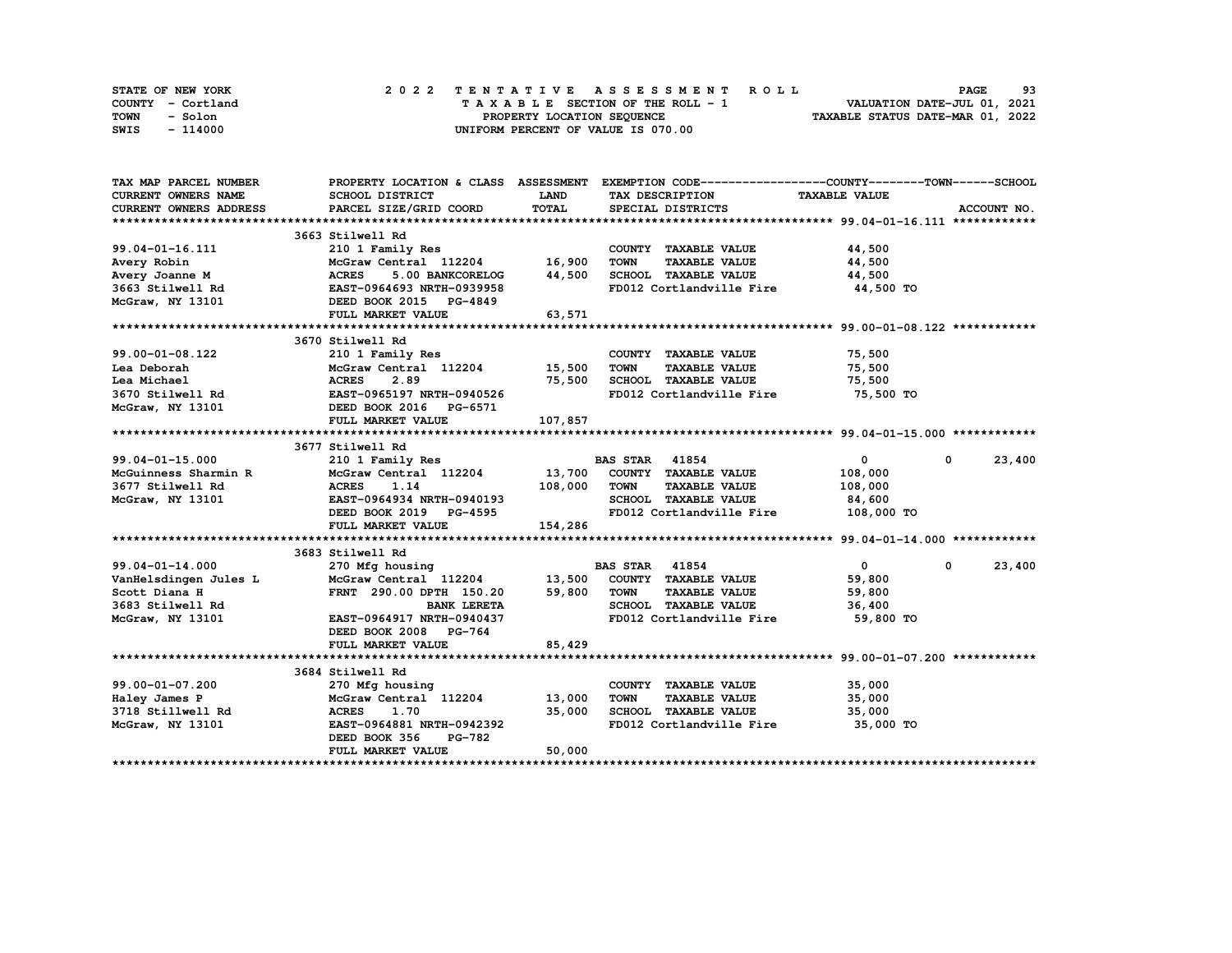| STATE OF NEW YORK | 2022 TENTATIVE ASSESSMENT ROLL     | 93<br><b>PAGE</b>                |
|-------------------|------------------------------------|----------------------------------|
| COUNTY - Cortland | TAXABLE SECTION OF THE ROLL - 1    | VALUATION DATE-JUL 01, 2021      |
| TOWN<br>- Solon   | PROPERTY LOCATION SEQUENCE         | TAXABLE STATUS DATE-MAR 01, 2022 |
| - 114000<br>SWIS  | UNIFORM PERCENT OF VALUE IS 070.00 |                                  |

| TAX MAP PARCEL NUMBER                  |                                                                                                                                                                                                                                                                              |             | PROPERTY LOCATION & CLASS ASSESSMENT EXEMPTION CODE-----------------COUNTY-------TOWN-----SCHOOL |                              |             |
|----------------------------------------|------------------------------------------------------------------------------------------------------------------------------------------------------------------------------------------------------------------------------------------------------------------------------|-------------|--------------------------------------------------------------------------------------------------|------------------------------|-------------|
| <b>CURRENT OWNERS NAME</b>             | SCHOOL DISTRICT                                                                                                                                                                                                                                                              | <b>LAND</b> | TAX DESCRIPTION                                                                                  | <b>TAXABLE VALUE</b>         |             |
| <b>CURRENT OWNERS ADDRESS</b>          | PARCEL SIZE/GRID COORD                                                                                                                                                                                                                                                       | TOTAL       | SPECIAL DISTRICTS                                                                                |                              | ACCOUNT NO. |
|                                        |                                                                                                                                                                                                                                                                              |             |                                                                                                  |                              |             |
|                                        | 3663 Stilwell Rd                                                                                                                                                                                                                                                             |             |                                                                                                  |                              |             |
| 99.04-01-16.111                        | 210 1 Family Res                                                                                                                                                                                                                                                             |             | COUNTY TAXABLE VALUE                                                                             | 44,500                       |             |
|                                        | McGraw Central 112204 16,900                                                                                                                                                                                                                                                 |             | <b>TAXABLE VALUE</b><br><b>TOWN</b>                                                              | 44,500                       |             |
|                                        |                                                                                                                                                                                                                                                                              | 44,500      | SCHOOL TAXABLE VALUE                                                                             | 44,500                       |             |
|                                        |                                                                                                                                                                                                                                                                              |             | FD012 Cortlandville Fire 44,500 TO                                                               |                              |             |
|                                        |                                                                                                                                                                                                                                                                              |             |                                                                                                  |                              |             |
|                                        | Avery Robin<br>Avery Joanne M<br>3663 Stilwell Rd<br>3663 Stilwell Rd<br>20101<br>202011<br>202011<br>202012<br>202012<br>202012<br>202012<br>202012<br>202012<br>202012<br>202012<br>202012<br>202012<br>202012<br>202012<br>202012<br>202012<br>202012<br>202012<br>202012 | 63,571      |                                                                                                  |                              |             |
|                                        |                                                                                                                                                                                                                                                                              |             |                                                                                                  |                              |             |
|                                        | 3670 Stilwell Rd                                                                                                                                                                                                                                                             |             |                                                                                                  |                              |             |
| 99.00-01-08.122                        | 210 1 Family Res                                                                                                                                                                                                                                                             |             | COUNTY TAXABLE VALUE 75,500                                                                      |                              |             |
| Lea Deborah                            | McGraw Central 112204 15,500                                                                                                                                                                                                                                                 |             | <b>TOWN</b><br><b>TAXABLE VALUE</b>                                                              | 75,500                       |             |
| Lea Michael                            | <b>ACRES</b><br>2.89                                                                                                                                                                                                                                                         | 75,500      | SCHOOL TAXABLE VALUE                                                                             | 75,500                       |             |
|                                        | 3670 Stilwell Rd EAST-0965197 NRTH-0940526                                                                                                                                                                                                                                   |             | FD012 Cortlandville Fire 75,500 TO                                                               |                              |             |
| McGraw, NY 13101                       | DEED BOOK 2016 PG-6571                                                                                                                                                                                                                                                       |             |                                                                                                  |                              |             |
|                                        | FULL MARKET VALUE                                                                                                                                                                                                                                                            | 107,857     |                                                                                                  |                              |             |
|                                        |                                                                                                                                                                                                                                                                              |             |                                                                                                  |                              |             |
|                                        | 3677 Stilwell Rd                                                                                                                                                                                                                                                             |             |                                                                                                  |                              |             |
| 99.04-01-15.000                        | 210 1 Family Res                                                                                                                                                                                                                                                             |             | <b>BAS STAR</b> 41854                                                                            | $\mathbf{0}$<br>0            | 23,400      |
| McGuinness Sharmin R                   | McGraw Central 112204 13,700                                                                                                                                                                                                                                                 |             | COUNTY TAXABLE VALUE                                                                             | 108,000                      |             |
| 3677 Stilwell Rd                       | <b>ACRES</b><br>1.14                                                                                                                                                                                                                                                         | 108,000     | <b>TOWN</b><br><b>TAXABLE VALUE</b>                                                              | 108,000                      |             |
| McGraw, NY 13101                       | EAST-0964934 NRTH-0940193                                                                                                                                                                                                                                                    |             | SCHOOL TAXABLE VALUE                                                                             | 84,600                       |             |
|                                        |                                                                                                                                                                                                                                                                              |             | FD012 Cortlandville Fire 108,000 TO                                                              |                              |             |
|                                        | FULL MARKET VALUE                                                                                                                                                                                                                                                            | 154,286     |                                                                                                  |                              |             |
|                                        |                                                                                                                                                                                                                                                                              |             |                                                                                                  |                              |             |
|                                        | 3683 Stilwell Rd                                                                                                                                                                                                                                                             |             |                                                                                                  |                              |             |
| $99.04 - 01 - 14.000$                  | 270 Mfg housing                                                                                                                                                                                                                                                              |             | <b>BAS STAR 41854</b>                                                                            | $\overline{0}$<br>$^{\circ}$ | 23,400      |
| VanHelsdingen Jules L<br>Scott Diana H | McGraw Central 112204 13,500 COUNTY TAXABLE VALUE                                                                                                                                                                                                                            |             |                                                                                                  | 59,800                       |             |
|                                        | FRNT 290.00 DPTH 150.20 59,800                                                                                                                                                                                                                                               |             | TOWN<br><b>TAXABLE VALUE</b>                                                                     | 59,800                       |             |
| 3683 Stilwell Rd                       | <b>BANK LERETA</b>                                                                                                                                                                                                                                                           |             | SCHOOL TAXABLE VALUE                                                                             | 36,400                       |             |
| McGraw, NY 13101                       | EAST-0964917 NRTH-0940437                                                                                                                                                                                                                                                    |             | FD012 Cortlandville Fire                                                                         | 59,800 TO                    |             |
|                                        | DEED BOOK 2008 PG-764                                                                                                                                                                                                                                                        |             |                                                                                                  |                              |             |
|                                        | FULL MARKET VALUE                                                                                                                                                                                                                                                            | 85,429      |                                                                                                  |                              |             |
|                                        |                                                                                                                                                                                                                                                                              |             |                                                                                                  |                              |             |
|                                        | 3684 Stilwell Rd                                                                                                                                                                                                                                                             |             |                                                                                                  |                              |             |
| 99.00-01-07.200                        | 270 Mfg housing                                                                                                                                                                                                                                                              |             | COUNTY TAXABLE VALUE                                                                             | 35,000                       |             |
| Haley James P<br>3718 Stillwell Rd     | McGraw Central 112204 13,000                                                                                                                                                                                                                                                 |             | TOWN<br><b>TAXABLE VALUE</b>                                                                     | 35,000                       |             |
|                                        | <b>ACRES</b><br>1.70                                                                                                                                                                                                                                                         | 35,000      | SCHOOL TAXABLE VALUE                                                                             | 35,000                       |             |
| McGraw, NY 13101                       | EAST-0964881 NRTH-0942392                                                                                                                                                                                                                                                    |             | FD012 Cortlandville Fire 35,000 TO                                                               |                              |             |
|                                        | DEED BOOK 356<br><b>PG-782</b>                                                                                                                                                                                                                                               |             |                                                                                                  |                              |             |
|                                        | FULL MARKET VALUE                                                                                                                                                                                                                                                            | 50,000      |                                                                                                  |                              |             |
|                                        |                                                                                                                                                                                                                                                                              |             |                                                                                                  |                              |             |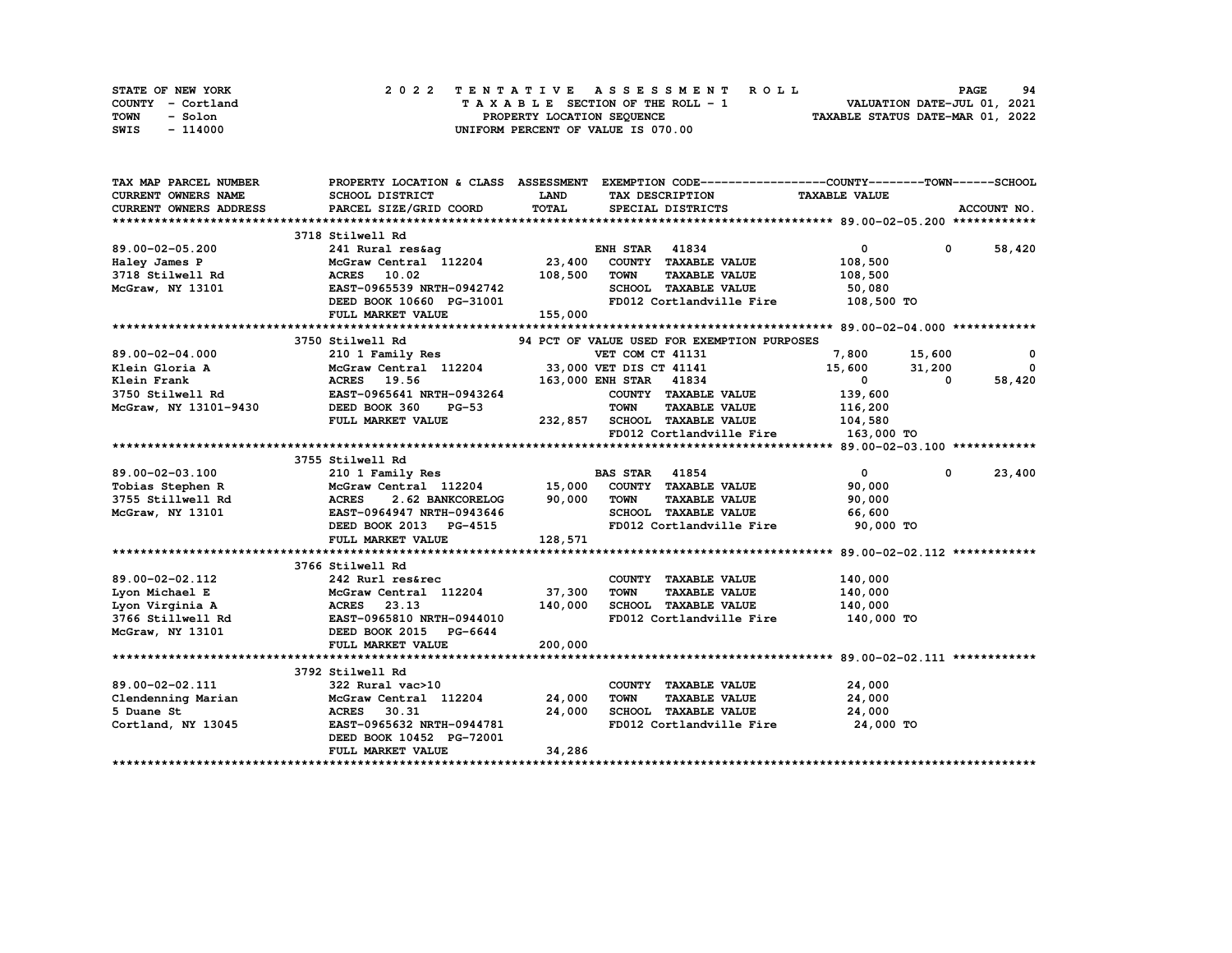| STATE OF NEW YORK | 2022 TENTATIVE ASSESSMENT ROLL     | 94<br><b>PAGE</b>                |
|-------------------|------------------------------------|----------------------------------|
| COUNTY - Cortland | TAXABLE SECTION OF THE ROLL - 1    | VALUATION DATE-JUL 01, 2021      |
| TOWN<br>- Solon   | PROPERTY LOCATION SEQUENCE         | TAXABLE STATUS DATE-MAR 01, 2022 |
| - 114000<br>SWIS  | UNIFORM PERCENT OF VALUE IS 070.00 |                                  |

| TAX MAP PARCEL NUMBER               |                                                                                   |             | PROPERTY LOCATION & CLASS ASSESSMENT EXEMPTION CODE-----------------COUNTY-------TOWN-----SCHOOL |                      |                        |
|-------------------------------------|-----------------------------------------------------------------------------------|-------------|--------------------------------------------------------------------------------------------------|----------------------|------------------------|
| CURRENT OWNERS NAME                 | SCHOOL DISTRICT                                                                   | <b>LAND</b> | TAX DESCRIPTION                                                                                  | <b>TAXABLE VALUE</b> |                        |
| CURRENT OWNERS ADDRESS              | PARCEL SIZE/GRID COORD                                                            | TOTAL       | SPECIAL DISTRICTS                                                                                |                      | ACCOUNT NO.            |
|                                     |                                                                                   |             |                                                                                                  |                      |                        |
|                                     | 3718 Stilwell Rd                                                                  |             |                                                                                                  |                      |                        |
| 89.00-02-05.200                     | 241 Rural res&ag ENGGraw Central 112204 23,400                                    |             | <b>ENH STAR 41834</b>                                                                            | $\mathbf{0}$         | 0 58,420               |
| Haley James P                       |                                                                                   |             | COUNTY TAXABLE VALUE                                                                             | 108,500              |                        |
| 3718 Stilwell Rd                    | ACRES 10.02                                                                       | 108,500     | <b>TOWN</b><br><b>TAXABLE VALUE</b>                                                              | 108,500              |                        |
| McGraw, NY 13101                    | EAST-0965539 NRTH-0942742                                                         |             | SCHOOL TAXABLE VALUE                                                                             | 50,080               |                        |
|                                     | DEED BOOK 10660 PG-31001                                                          |             | FD012 Cortlandville Fire                                                                         | 108,500 TO           |                        |
|                                     | FULL MARKET VALUE                                                                 | 155,000     |                                                                                                  |                      |                        |
|                                     |                                                                                   |             |                                                                                                  |                      |                        |
|                                     | 3750 Stilwell Rd                                                                  |             | 94 PCT OF VALUE USED FOR EXEMPTION PURPOSES                                                      |                      |                        |
| 89.00-02-04.000                     | 210 1 Family Res                                                                  |             | VET COM CT 41131                                                                                 | 7,800 15,600         | 0                      |
| Klein Gloria A                      | McGraw Central 112204 33,000 VET DIS CT 41141                                     |             |                                                                                                  | 15,600               | 31,200<br>$\mathbf{0}$ |
| Klein Frank                         | ACRES 19.56                                                                       |             | 163,000 ENH STAR 41834                                                                           | $\mathbf{0}$         | 58,420<br>$^{\circ}$   |
| 3750 Stilwell Rd                    | EAST-0965641 NRTH-0943264                                                         |             | COUNTY TAXABLE VALUE                                                                             | 139,600              |                        |
| McGraw, NY 13101-9430 DEED BOOK 360 | <b>PG-53</b>                                                                      |             | <b>TAXABLE VALUE</b><br><b>TOWN</b>                                                              | 116,200              |                        |
|                                     | FULL MARKET VALUE                                                                 |             | 232,857 SCHOOL TAXABLE VALUE                                                                     | 104,580              |                        |
|                                     |                                                                                   |             | FD012 Cortlandville Fire 163,000 TO                                                              |                      |                        |
|                                     |                                                                                   |             |                                                                                                  |                      |                        |
|                                     | 3755 Stilwell Rd                                                                  |             |                                                                                                  |                      |                        |
| 89.00-02-03.100                     | 210 1 Family Res                                                                  |             | <b>BAS STAR 41854</b>                                                                            | $\mathbf{0}$         | 23,400<br>$\mathbf 0$  |
| Tobias Stephen R                    | McGraw Central 112204 15,000                                                      |             | COUNTY TAXABLE VALUE                                                                             | 90,000               |                        |
|                                     | 2.62 BANKCORELOG 90,000                                                           |             | <b>TOWN</b><br><b>TAXABLE VALUE</b>                                                              | 90,000               |                        |
|                                     |                                                                                   |             | SCHOOL TAXABLE VALUE                                                                             | 66,600               |                        |
|                                     | DEED BOOK 2013 PG-4515                                                            |             | FD012 Cortlandville Fire 90,000 TO                                                               |                      |                        |
|                                     | FULL MARKET VALUE                                                                 | 128,571     |                                                                                                  |                      |                        |
|                                     |                                                                                   |             |                                                                                                  |                      |                        |
|                                     | 3766 Stilwell Rd                                                                  |             |                                                                                                  |                      |                        |
| 89.00-02-02.112                     | 242 Rurl res&rec                                                                  |             | COUNTY TAXABLE VALUE                                                                             | 140,000              |                        |
| Lyon Michael E                      | McGraw Central 112204 37,300                                                      |             | TOWN<br><b>TAXABLE VALUE</b>                                                                     | 140,000              |                        |
| Lyon Virginia A                     | <b>ACRES</b> 23.13                                                                | 140,000     | SCHOOL TAXABLE VALUE                                                                             | 140,000              |                        |
|                                     | 3766 Stillwell Rd<br>3766 Stillwell Rd<br>McGraw, NY 13101 DEED BOOK 2015 PG-6644 |             | FD012 Cortlandville Fire 140,000 TO                                                              |                      |                        |
|                                     |                                                                                   |             |                                                                                                  |                      |                        |
|                                     | FULL MARKET VALUE                                                                 | 200,000     |                                                                                                  |                      |                        |
|                                     |                                                                                   |             |                                                                                                  |                      |                        |
|                                     | 3792 Stilwell Rd                                                                  |             |                                                                                                  |                      |                        |
| 89.00-02-02.111                     | 322 Rural vac>10                                                                  |             | COUNTY TAXABLE VALUE                                                                             | 24,000               |                        |
| Clendenning Marian                  | McGraw Central 112204 24,000                                                      |             | <b>TOWN</b><br><b>TAXABLE VALUE</b>                                                              | 24,000               |                        |
| 5 Duane St                          | ACRES 30.31                                                                       | 24,000      | SCHOOL TAXABLE VALUE                                                                             | 24,000               |                        |
| Cortland, NY 13045                  | EAST-0965632 NRTH-0944781                                                         |             | FD012 Cortlandville Fire 24,000 TO                                                               |                      |                        |
|                                     | DEED BOOK 10452 PG-72001                                                          |             |                                                                                                  |                      |                        |
|                                     | FULL MARKET VALUE                                                                 | 34,286      |                                                                                                  |                      |                        |
|                                     |                                                                                   |             |                                                                                                  |                      |                        |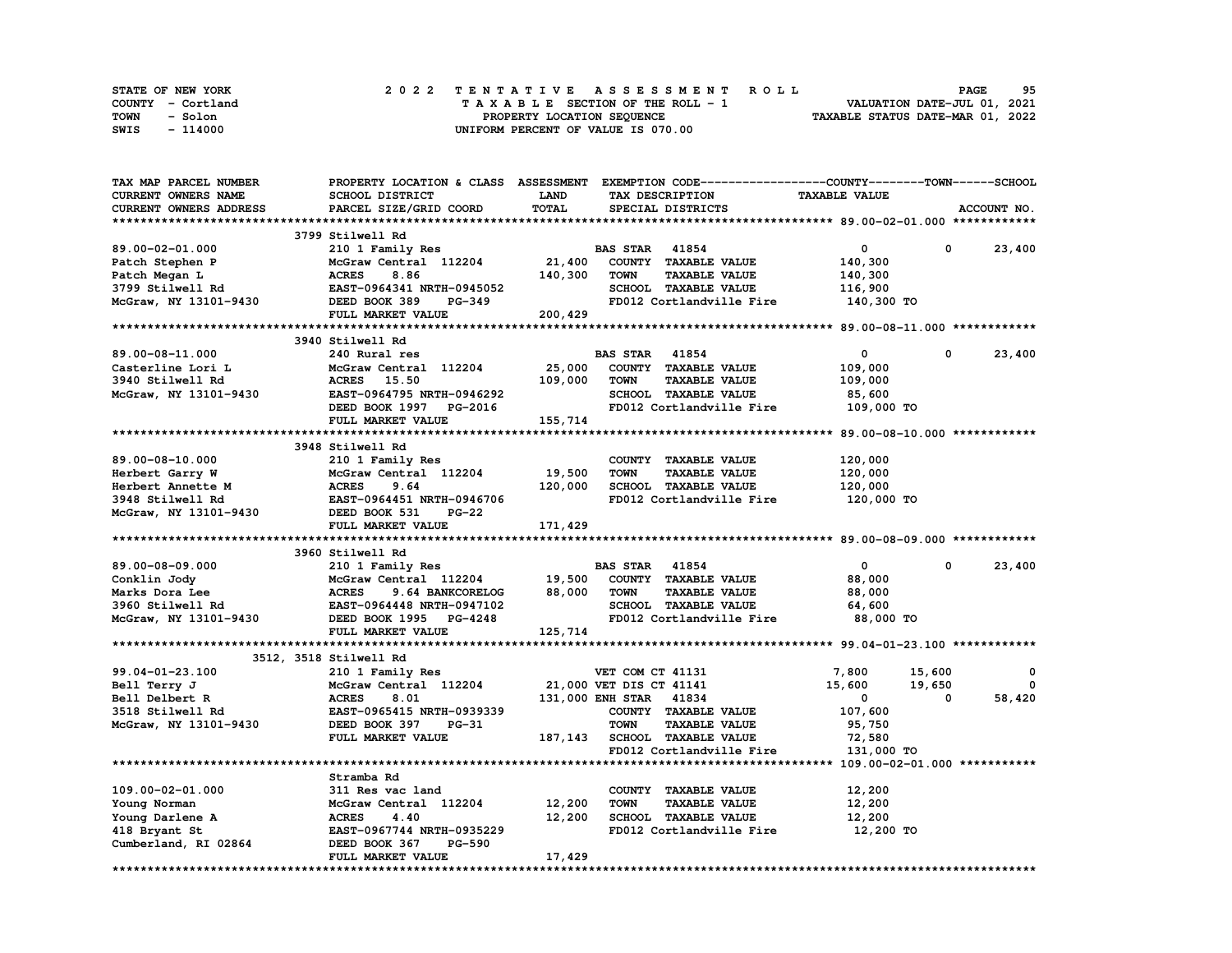| STATE OF NEW YORK | 2022 TENTATIVE ASSESSMENT ROLL     | 95<br><b>PAGE</b>                |
|-------------------|------------------------------------|----------------------------------|
| COUNTY - Cortland | TAXABLE SECTION OF THE ROLL - 1    | VALUATION DATE-JUL 01, 2021      |
| TOWN<br>- Solon   | PROPERTY LOCATION SEQUENCE         | TAXABLE STATUS DATE-MAR 01, 2022 |
| - 114000<br>SWIS  | UNIFORM PERCENT OF VALUE IS 070.00 |                                  |

| TAX MAP PARCEL NUMBER               | PROPERTY LOCATION & CLASS ASSESSMENT EXEMPTION CODE----------------COUNTY-------TOWN-----SCHOOL |         |                         |                                     |                      |             |             |
|-------------------------------------|-------------------------------------------------------------------------------------------------|---------|-------------------------|-------------------------------------|----------------------|-------------|-------------|
| CURRENT OWNERS NAME                 | SCHOOL DISTRICT                                                                                 | LAND    |                         | TAX DESCRIPTION                     | <b>TAXABLE VALUE</b> |             |             |
| CURRENT OWNERS ADDRESS              | PARCEL SIZE/GRID COORD                                                                          | TOTAL   |                         | SPECIAL DISTRICTS                   |                      |             | ACCOUNT NO. |
|                                     |                                                                                                 |         |                         |                                     |                      |             |             |
|                                     | 3799 Stilwell Rd                                                                                |         |                         |                                     |                      |             |             |
| 89.00-02-01.000                     | 210 1 Family Res                                                                                |         | <b>BAS STAR 41854</b>   |                                     | $\mathbf 0$          | $\mathbf 0$ | 23,400      |
| Patch Stephen P                     | McGraw Central 112204                                                                           | 21,400  |                         | COUNTY TAXABLE VALUE                | 140,300              |             |             |
| Patch Megan L                       | <b>ACRES</b><br>8.86                                                                            | 140,300 | <b>TOWN</b>             | <b>TAXABLE VALUE</b>                | 140,300              |             |             |
| 3799 Stilwell Rd                    | EAST-0964341 NRTH-0945052                                                                       |         |                         | SCHOOL TAXABLE VALUE                | 116,900              |             |             |
| McGraw, NY 13101-9430 DEED BOOK 389 | PG-349                                                                                          |         |                         | FD012 Cortlandville Fire 140,300 TO |                      |             |             |
|                                     | <b>FULL MARKET VALUE</b>                                                                        | 200,429 |                         |                                     |                      |             |             |
|                                     |                                                                                                 |         |                         |                                     |                      |             |             |
|                                     | 3940 Stilwell Rd                                                                                |         |                         |                                     |                      |             |             |
| 89.00-08-11.000                     | 240 Rural res                                                                                   |         | <b>BAS STAR 41854</b>   |                                     | $\mathbf{0}$         | $^{\circ}$  | 23,400      |
| Casterline Lori L                   | McGraw Central 112204                                                                           | 25,000  |                         | COUNTY TAXABLE VALUE                | 109,000              |             |             |
| 3940 Stilwell Rd                    | ACRES 15.50                                                                                     | 109,000 | <b>TOWN</b>             | <b>TAXABLE VALUE</b>                | 109,000              |             |             |
|                                     | EAST-0964795 NRTH-0946292                                                                       |         |                         | SCHOOL TAXABLE VALUE                | 85,600               |             |             |
| McGraw, NY 13101-9430               |                                                                                                 |         |                         |                                     |                      |             |             |
|                                     | DEED BOOK 1997 PG-2016                                                                          |         |                         | FD012 Cortlandville Fire            | 109,000 TO           |             |             |
|                                     | FULL MARKET VALUE                                                                               | 155,714 |                         |                                     |                      |             |             |
|                                     |                                                                                                 |         |                         |                                     |                      |             |             |
|                                     | 3948 Stilwell Rd                                                                                |         |                         |                                     |                      |             |             |
| 89.00-08-10.000                     | 210 1 Family Res                                                                                |         |                         | COUNTY TAXABLE VALUE                | 120,000              |             |             |
| Herbert Garry W                     | McGraw Central 112204                                                                           | 19,500  | <b>TOWN</b>             | <b>TAXABLE VALUE</b>                | 120,000              |             |             |
| Herbert Annette M                   | <b>ACRES</b><br>9.64                                                                            | 120,000 |                         | SCHOOL TAXABLE VALUE                | 120,000              |             |             |
| 3948 Stilwell Rd                    | <b>EAST-0964451 NRTH-0946706</b>                                                                |         |                         | FD012 Cortlandville Fire            | 120,000 TO           |             |             |
| McGraw, NY 13101-9430               | DEED BOOK 531<br><b>PG-22</b>                                                                   |         |                         |                                     |                      |             |             |
|                                     | FULL MARKET VALUE                                                                               | 171,429 |                         |                                     |                      |             |             |
|                                     |                                                                                                 |         |                         |                                     |                      |             |             |
|                                     | 3960 Stilwell Rd                                                                                |         |                         |                                     |                      |             |             |
| 89.00-08-09.000                     | 210 1 Family Res                                                                                |         | <b>BAS STAR</b> 41854   |                                     | $\mathbf 0$          | $^{\circ}$  | 23,400      |
| Conklin Jody                        | McGraw Central 112204 19,500                                                                    |         |                         | COUNTY TAXABLE VALUE                | 88,000               |             |             |
| Marks Dora Lee                      | <b>ACRES</b><br>9.64 BANKCORELOG                                                                | 88,000  | TOWN                    | <b>TAXABLE VALUE</b>                | 88,000               |             |             |
| 3960 Stilwell Rd                    | EAST-0964448 NRTH-0947102                                                                       |         |                         | SCHOOL TAXABLE VALUE                | 64,600               |             |             |
| McGraw, NY 13101-9430               | DEED BOOK 1995 PG-4248                                                                          |         |                         | FD012 Cortlandville Fire            | 88,000 TO            |             |             |
|                                     | FULL MARKET VALUE                                                                               | 125,714 |                         |                                     |                      |             |             |
|                                     |                                                                                                 |         |                         |                                     |                      |             |             |
|                                     | 3512, 3518 Stilwell Rd                                                                          |         |                         |                                     |                      |             |             |
| 99.04-01-23.100                     | 210 1 Family Res                                                                                |         | VET COM CT 41131        |                                     | 7,800                | 15,600      | 0           |
| Bell Terry J                        | McGraw Central 112204                                                                           |         | 21,000 VET DIS CT 41141 |                                     | 15,600               | 19,650      | 0           |
| Bell Delbert R                      | <b>ACRES</b><br>8.01                                                                            |         | 131,000 ENH STAR 41834  |                                     | $\mathbf{0}$         | 0           | 58,420      |
| 3518 Stilwell Rd                    | EAST-0965415 NRTH-0939339                                                                       |         |                         | COUNTY TAXABLE VALUE                | 107,600              |             |             |
| McGraw, NY 13101-9430               | DEED BOOK 397<br>PG-31                                                                          |         | <b>TOWN</b>             | <b>TAXABLE VALUE</b>                | 95,750               |             |             |
|                                     | FULL MARKET VALUE                                                                               |         |                         | 187,143 SCHOOL TAXABLE VALUE        | 72,580               |             |             |
|                                     |                                                                                                 |         |                         | FD012 Cortlandville Fire            | 131,000 TO           |             |             |
|                                     |                                                                                                 |         |                         |                                     |                      |             |             |
|                                     | Stramba Rd                                                                                      |         |                         |                                     |                      |             |             |
| $109.00 - 02 - 01.000$              | 311 Res vac land                                                                                |         |                         | COUNTY TAXABLE VALUE                | 12,200               |             |             |
|                                     | McGraw Central 112204                                                                           | 12,200  | <b>TOWN</b>             | <b>TAXABLE VALUE</b>                | 12,200               |             |             |
| Young Norman                        | <b>ACRES</b><br>4.40                                                                            | 12,200  |                         | <b>SCHOOL TAXABLE VALUE</b>         | 12,200               |             |             |
| Young Darlene A<br>418 Bryant St    | EAST-0967744 NRTH-0935229                                                                       |         |                         | FD012 Cortlandville Fire            | 12,200 TO            |             |             |
|                                     |                                                                                                 |         |                         |                                     |                      |             |             |
| Cumberland, RI 02864                | DEED BOOK 367<br><b>PG-590</b>                                                                  |         |                         |                                     |                      |             |             |
|                                     | FULL MARKET VALUE                                                                               | 17,429  |                         |                                     |                      |             |             |
|                                     |                                                                                                 |         |                         |                                     |                      |             |             |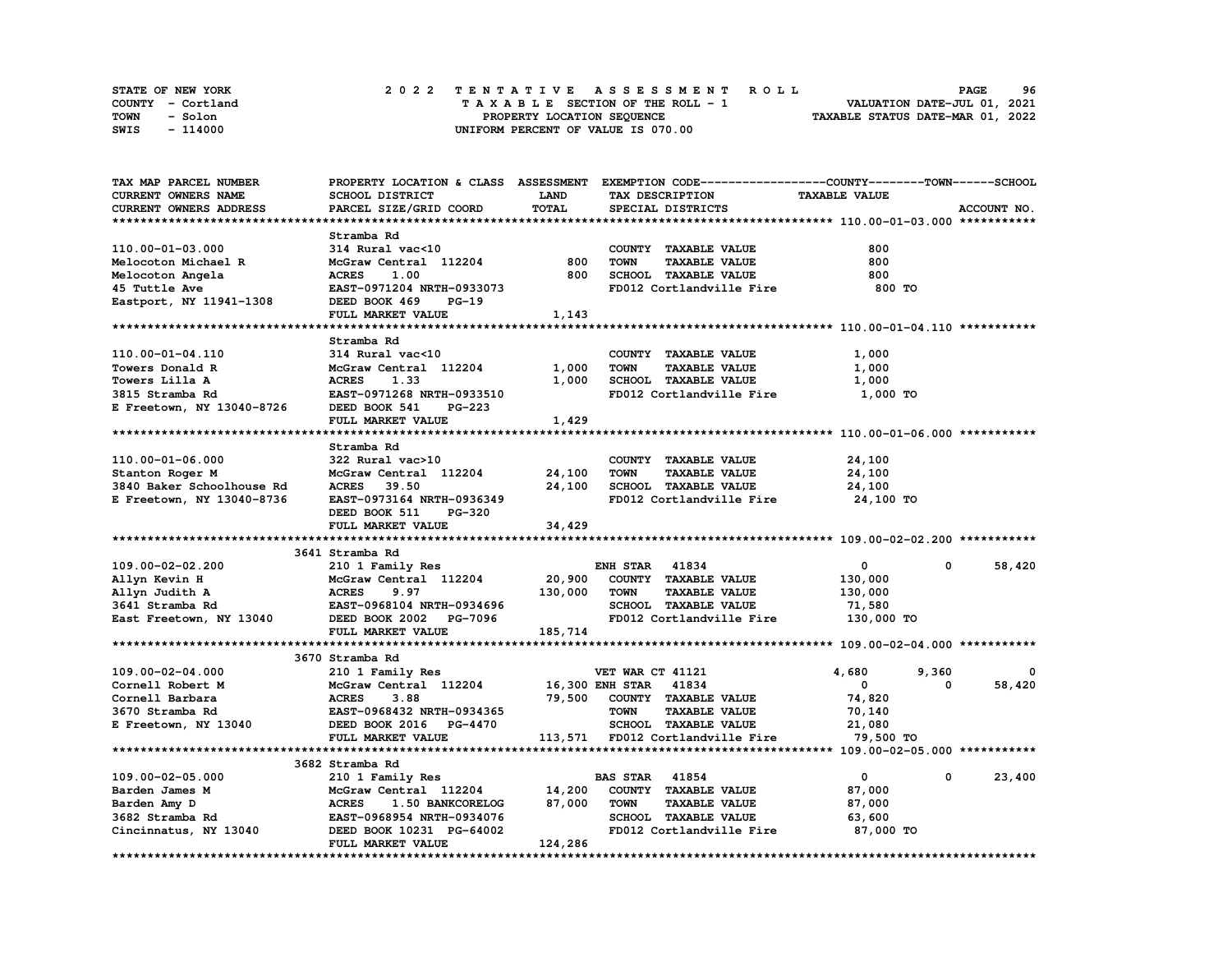| STATE OF NEW YORK | 2022 TENTATIVE ASSESSMENT ROLL     | 96<br><b>PAGE</b>                |
|-------------------|------------------------------------|----------------------------------|
| COUNTY - Cortland | TAXABLE SECTION OF THE ROLL - 1    | VALUATION DATE-JUL 01, 2021      |
| TOWN<br>- Solon   | PROPERTY LOCATION SEQUENCE         | TAXABLE STATUS DATE-MAR 01, 2022 |
| SWIS<br>- 114000  | UNIFORM PERCENT OF VALUE IS 070.00 |                                  |

| TAX MAP PARCEL NUMBER      |                                  |             | PROPERTY LOCATION & CLASS ASSESSMENT EXEMPTION CODE-----------------COUNTY-------TOWN------SCHOOL |                      |                        |
|----------------------------|----------------------------------|-------------|---------------------------------------------------------------------------------------------------|----------------------|------------------------|
| <b>CURRENT OWNERS NAME</b> | SCHOOL DISTRICT                  | <b>LAND</b> | TAX DESCRIPTION                                                                                   | <b>TAXABLE VALUE</b> |                        |
| CURRENT OWNERS ADDRESS     | PARCEL SIZE/GRID COORD           | TOTAL       | SPECIAL DISTRICTS                                                                                 |                      | ACCOUNT NO.            |
|                            |                                  |             |                                                                                                   |                      |                        |
|                            | Stramba Rd                       |             |                                                                                                   |                      |                        |
| 110.00-01-03.000           | 314 Rural vac<10                 |             | COUNTY TAXABLE VALUE                                                                              | 800                  |                        |
| Melocoton Michael R        | McGraw Central 112204            | 800         | <b>TAXABLE VALUE</b><br><b>TOWN</b>                                                               | 800                  |                        |
| Melocoton Angela           | 1.00<br><b>ACRES</b>             | 800         | SCHOOL TAXABLE VALUE                                                                              | 800                  |                        |
| 45 Tuttle Ave              | EAST-0971204 NRTH-0933073        |             | FD012 Cortlandville Fire                                                                          | 800 TO               |                        |
| Eastport, NY 11941-1308    | DEED BOOK 469<br>$PG-19$         |             |                                                                                                   |                      |                        |
|                            | FULL MARKET VALUE                | 1,143       |                                                                                                   |                      |                        |
|                            |                                  |             |                                                                                                   |                      |                        |
|                            |                                  |             |                                                                                                   |                      |                        |
|                            | Stramba Rd                       |             |                                                                                                   |                      |                        |
| 110.00-01-04.110           | 314 Rural vac<10                 |             | COUNTY TAXABLE VALUE                                                                              | 1,000                |                        |
| Towers Donald R            | McGraw Central 112204            | 1,000       | <b>TOWN</b><br><b>TAXABLE VALUE</b>                                                               | 1,000                |                        |
| Towers Lilla A             | <b>ACRES</b><br>1.33             | 1,000       | SCHOOL TAXABLE VALUE                                                                              | 1,000                |                        |
| 3815 Stramba Rd            | EAST-0971268 NRTH-0933510        |             | FD012 Cortlandville Fire                                                                          | 1,000 TO             |                        |
| E Freetown, NY 13040-8726  | DEED BOOK 541<br>PG-223          |             |                                                                                                   |                      |                        |
|                            | FULL MARKET VALUE                | 1,429       |                                                                                                   |                      |                        |
|                            |                                  |             |                                                                                                   |                      |                        |
|                            | Stramba Rd                       |             |                                                                                                   |                      |                        |
| 110.00-01-06.000           | 322 Rural vac>10                 |             | COUNTY TAXABLE VALUE                                                                              | 24,100               |                        |
| Stanton Roger M            | McGraw Central 112204            | 24,100      | <b>TOWN</b><br><b>TAXABLE VALUE</b>                                                               | 24,100               |                        |
| 3840 Baker Schoolhouse Rd  | ACRES 39.50                      | 24,100      | SCHOOL TAXABLE VALUE                                                                              | 24,100               |                        |
| E Freetown, NY 13040-8736  | EAST-0973164 NRTH-0936349        |             | FD012 Cortlandville Fire                                                                          | 24,100 TO            |                        |
|                            | DEED BOOK 511<br><b>PG-320</b>   |             |                                                                                                   |                      |                        |
|                            | FULL MARKET VALUE                | 34,429      |                                                                                                   |                      |                        |
|                            |                                  |             |                                                                                                   |                      |                        |
|                            | 3641 Stramba Rd                  |             |                                                                                                   |                      |                        |
| 109.00-02-02.200           | 210 1 Family Res                 |             | <b>ENH STAR 41834</b>                                                                             | $\overline{0}$       | 58,420<br>$\mathbf{0}$ |
| Allyn Kevin H              | McGraw Central 112204            | 20,900      | COUNTY TAXABLE VALUE                                                                              | 130,000              |                        |
| Allyn Judith A             | 9.97<br><b>ACRES</b>             | 130,000     | <b>TOWN</b><br><b>TAXABLE VALUE</b>                                                               | 130,000              |                        |
| 3641 Stramba Rd            | EAST-0968104 NRTH-0934696        |             | SCHOOL TAXABLE VALUE                                                                              | 71,580               |                        |
| East Freetown, NY 13040    | DEED BOOK 2002 PG-7096           |             | FD012 Cortlandville Fire                                                                          | 130,000 TO           |                        |
|                            | FULL MARKET VALUE                | 185,714     |                                                                                                   |                      |                        |
|                            |                                  |             |                                                                                                   |                      |                        |
|                            | 3670 Stramba Rd                  |             |                                                                                                   |                      |                        |
| 109.00-02-04.000           | 210 1 Family Res                 |             | VET WAR CT 41121                                                                                  | 4,680<br>9,360       | 0                      |
| Cornell Robert M           | McGraw Central 112204            |             | 16,300 ENH STAR 41834                                                                             | $\mathbf{0}$         | 0<br>58,420            |
|                            |                                  |             |                                                                                                   |                      |                        |
| Cornell Barbara            | <b>ACRES</b><br>3.88             | 79,500      | COUNTY TAXABLE VALUE                                                                              | 74,820               |                        |
| 3670 Stramba Rd            | EAST-0968432 NRTH-0934365        |             | <b>TAXABLE VALUE</b><br>TOWN                                                                      | 70,140               |                        |
| E Freetown, NY 13040       | DEED BOOK 2016 PG-4470           |             | SCHOOL TAXABLE VALUE                                                                              | 21,080               |                        |
|                            | FULL MARKET VALUE                |             | 113,571 FD012 Cortlandville Fire                                                                  | 79,500 TO            |                        |
|                            |                                  |             |                                                                                                   |                      |                        |
|                            | 3682 Stramba Rd                  |             |                                                                                                   |                      |                        |
| 109.00-02-05.000           | 210 1 Family Res                 |             | <b>BAS STAR 41854</b>                                                                             | 0                    | 0<br>23,400            |
| Barden James M             | McGraw Central 112204            | 14,200      | COUNTY TAXABLE VALUE                                                                              | 87,000               |                        |
| Barden Amy D               | <b>ACRES</b><br>1.50 BANKCORELOG | 87,000      | <b>TOWN</b><br><b>TAXABLE VALUE</b>                                                               | 87,000               |                        |
| 3682 Stramba Rd            | EAST-0968954 NRTH-0934076        |             | SCHOOL TAXABLE VALUE                                                                              | 63,600               |                        |
| Cincinnatus, NY 13040      | DEED BOOK 10231 PG-64002         |             | FD012 Cortlandville Fire                                                                          | 87,000 TO            |                        |
|                            | FULL MARKET VALUE                | 124,286     |                                                                                                   |                      |                        |
|                            |                                  |             |                                                                                                   |                      |                        |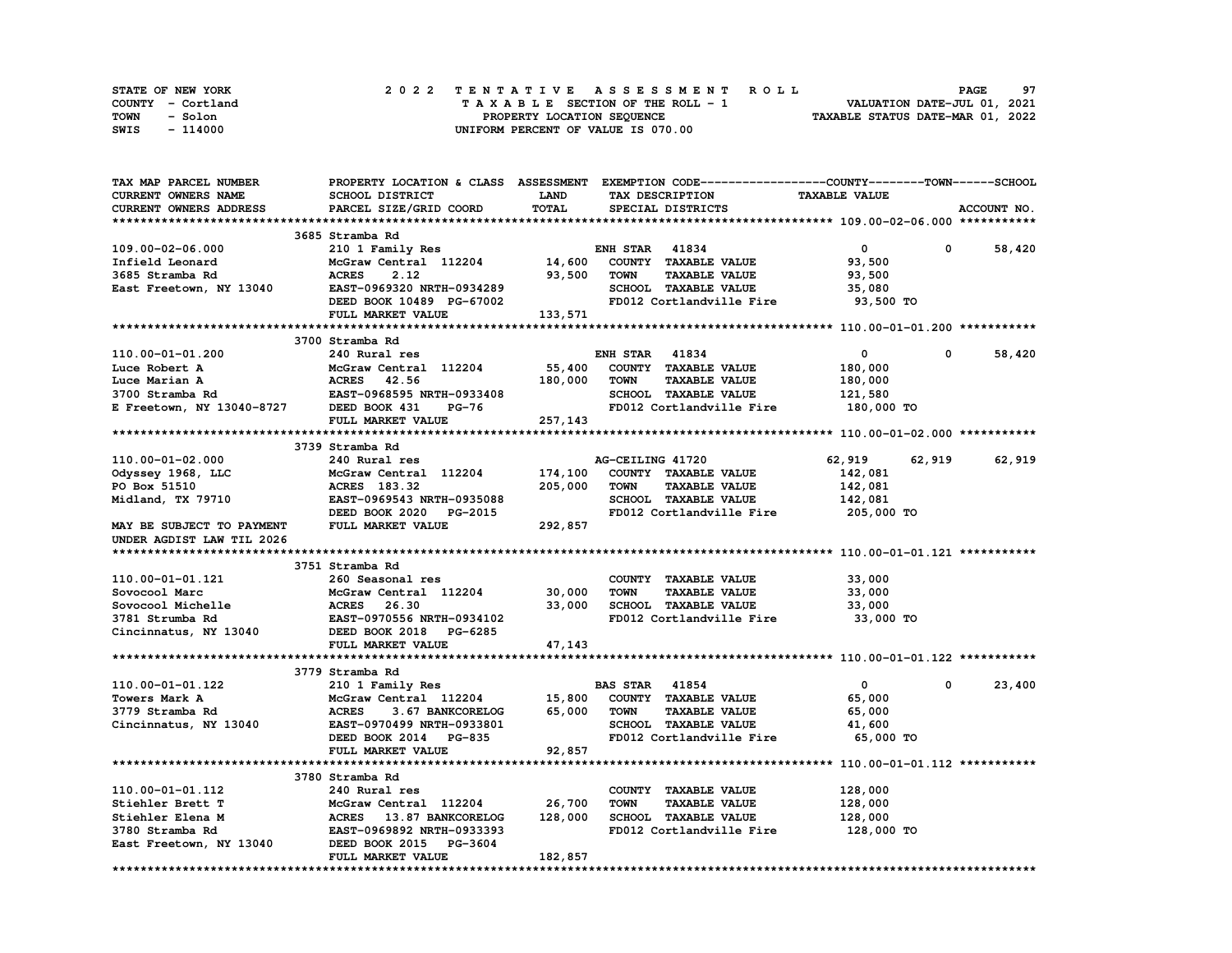| STATE OF NEW YORK | 2022 TENTATIVE ASSESSMENT ROLL     | 97<br><b>PAGE</b>                |
|-------------------|------------------------------------|----------------------------------|
| COUNTY - Cortland | TAXABLE SECTION OF THE ROLL - 1    | VALUATION DATE-JUL 01, 2021      |
| TOWN<br>- Solon   | PROPERTY LOCATION SEQUENCE         | TAXABLE STATUS DATE-MAR 01, 2022 |
| - 114000<br>SWIS  | UNIFORM PERCENT OF VALUE IS 070.00 |                                  |

| TAX MAP PARCEL NUMBER                                                                           | PROPERTY LOCATION & CLASS ASSESSMENT EXEMPTION CODE----------------COUNTY-------TOWN-----SCHOOL |             |                       |                                    |                      |              |             |
|-------------------------------------------------------------------------------------------------|-------------------------------------------------------------------------------------------------|-------------|-----------------------|------------------------------------|----------------------|--------------|-------------|
| CURRENT OWNERS NAME                                                                             | SCHOOL DISTRICT                                                                                 | <b>LAND</b> |                       | TAX DESCRIPTION                    | <b>TAXABLE VALUE</b> |              |             |
| CURRENT OWNERS ADDRESS                                                                          | PARCEL SIZE/GRID COORD                                                                          | TOTAL       |                       | SPECIAL DISTRICTS                  |                      |              | ACCOUNT NO. |
|                                                                                                 |                                                                                                 |             |                       |                                    |                      |              |             |
|                                                                                                 | 3685 Stramba Rd                                                                                 |             |                       |                                    |                      |              |             |
| 109.00-02-06.000                                                                                | 210 1 Family Res                                                                                |             | <b>ENH STAR 41834</b> |                                    | $\mathbf 0$          | 0            | 58,420      |
| Infield Leonard                                                                                 | McGraw Central 112204                                                                           | 14,600      |                       | COUNTY TAXABLE VALUE               | 93,500               |              |             |
| 3685 Stramba Rd                                                                                 | <b>ACRES</b><br>2.12                                                                            | 93,500      | <b>TOWN</b>           | <b>TAXABLE VALUE</b>               | 93,500               |              |             |
| East Freetown, NY 13040                                                                         | EAST-0969320 NRTH-0934289                                                                       |             |                       | <b>SCHOOL TAXABLE VALUE</b>        | 35,080               |              |             |
|                                                                                                 | DEED BOOK 10489 PG-67002                                                                        |             |                       | FD012 Cortlandville Fire 93,500 TO |                      |              |             |
|                                                                                                 | FULL MARKET VALUE                                                                               | 133,571     |                       |                                    |                      |              |             |
|                                                                                                 |                                                                                                 |             |                       |                                    |                      |              |             |
|                                                                                                 | 3700 Stramba Rd                                                                                 |             |                       |                                    |                      |              |             |
| 110.00-01-01.200                                                                                | 240 Rural res                                                                                   |             | <b>ENH STAR 41834</b> |                                    | $\mathbf 0$          | $^{\circ}$   | 58,420      |
| Luce Robert A                                                                                   | McGraw Central 112204                                                                           | 55,400      |                       | COUNTY TAXABLE VALUE               | 180,000              |              |             |
| Luce Marian A                                                                                   | ACRES 42.56                                                                                     | 180,000     | <b>TOWN</b>           | <b>TAXABLE VALUE</b>               | 180,000              |              |             |
|                                                                                                 | EAST-0968595 NRTH-0933408                                                                       |             |                       | SCHOOL TAXABLE VALUE               | 121,580              |              |             |
| 2000 Stramba Rd<br>3700 Stramba Rd<br>EAST-0968595 P<br>E Freetown, NY 13040-8727 DEED BOOK 431 | <b>PG-76</b>                                                                                    |             |                       | FD012 Cortlandville Fire           | 180,000 TO           |              |             |
|                                                                                                 | FULL MARKET VALUE                                                                               | 257,143     |                       |                                    |                      |              |             |
|                                                                                                 |                                                                                                 |             |                       |                                    |                      |              |             |
|                                                                                                 | 3739 Stramba Rd                                                                                 |             |                       |                                    |                      |              |             |
|                                                                                                 |                                                                                                 |             |                       |                                    |                      |              | 62,919      |
| 110.00-01-02.000                                                                                | 240 Rural res                                                                                   |             | AG-CEILING 41720      |                                    | 62,919               | 62,919       |             |
| Odyssey 1968, LLC                                                                               | McGraw Central 112204                                                                           | 174,100     |                       | COUNTY TAXABLE VALUE               | 142,081              |              |             |
| PO Box 51510                                                                                    | ACRES 183.32                                                                                    | 205,000     | <b>TOWN</b>           | <b>TAXABLE VALUE</b>               | 142,081              |              |             |
| Midland, TX 79710                                                                               | EAST-0969543 NRTH-0935088                                                                       |             |                       | SCHOOL TAXABLE VALUE               | 142,081              |              |             |
|                                                                                                 | DEED BOOK 2020<br>PG-2015                                                                       |             |                       | FD012 Cortlandville Fire           | 205,000 TO           |              |             |
| MAY BE SUBJECT TO PAYMENT                                                                       | FULL MARKET VALUE                                                                               | 292,857     |                       |                                    |                      |              |             |
| UNDER AGDIST LAW TIL 2026                                                                       |                                                                                                 |             |                       |                                    |                      |              |             |
|                                                                                                 |                                                                                                 |             |                       |                                    |                      |              |             |
|                                                                                                 | 3751 Stramba Rd                                                                                 |             |                       |                                    |                      |              |             |
| 110.00-01-01.121                                                                                | 260 Seasonal res                                                                                |             |                       | COUNTY TAXABLE VALUE               | 33,000               |              |             |
| Sovocool Marc                                                                                   | McGraw Central 112204                                                                           | 30,000      | <b>TOWN</b>           | <b>TAXABLE VALUE</b>               | 33,000               |              |             |
| Sovocool Michelle                                                                               | ACRES 26.30                                                                                     | 33,000      |                       | SCHOOL TAXABLE VALUE               | 33,000               |              |             |
| 3781 Strumba Rd                                                                                 | EAST-0970556 NRTH-0934102                                                                       |             |                       | FD012 Cortlandville Fire           | 33,000 TO            |              |             |
| Cincinnatus, NY 13040                                                                           | DEED BOOK 2018 PG-6285                                                                          |             |                       |                                    |                      |              |             |
|                                                                                                 | FULL MARKET VALUE                                                                               | 47,143      |                       |                                    |                      |              |             |
|                                                                                                 |                                                                                                 |             |                       |                                    |                      |              |             |
|                                                                                                 | 3779 Stramba Rd                                                                                 |             |                       |                                    |                      |              |             |
| 110.00-01-01.122                                                                                | 210 1 Family Res                                                                                |             | <b>BAS STAR 41854</b> |                                    | $\mathbf{0}$         | $\mathbf{0}$ | 23,400      |
| Towers Mark A                                                                                   | McGraw Central 112204                                                                           | 15,800      |                       | COUNTY TAXABLE VALUE               | 65,000               |              |             |
| 3779 Stramba Rd                                                                                 | 3.67 BANKCORELOG<br><b>ACRES</b>                                                                | 65,000      | TOWN                  | <b>TAXABLE VALUE</b>               | 65,000               |              |             |
| Cincinnatus, NY 13040                                                                           | EAST-0970499 NRTH-0933801                                                                       |             |                       | <b>SCHOOL TAXABLE VALUE</b>        | 41,600               |              |             |
|                                                                                                 | DEED BOOK 2014 PG-835                                                                           |             |                       | FD012 Cortlandville Fire           | 65,000 TO            |              |             |
|                                                                                                 | FULL MARKET VALUE                                                                               | 92,857      |                       |                                    |                      |              |             |
|                                                                                                 |                                                                                                 |             |                       |                                    |                      |              |             |
|                                                                                                 | 3780 Stramba Rd                                                                                 |             |                       |                                    |                      |              |             |
| 110.00-01-01.112                                                                                | 240 Rural res                                                                                   |             |                       | COUNTY TAXABLE VALUE               | 128,000              |              |             |
| Stiehler Brett T                                                                                | McGraw Central 112204                                                                           | 26,700      | <b>TOWN</b>           | <b>TAXABLE VALUE</b>               | 128,000              |              |             |
| Stiehler Elena M                                                                                | ACRES 13.87 BANKCORELOG                                                                         | 128,000     |                       | SCHOOL TAXABLE VALUE               | 128,000              |              |             |
| 3780 Stramba Rd                                                                                 | EAST-0969892 NRTH-0933393                                                                       |             |                       | FD012 Cortlandville Fire           | 128,000 TO           |              |             |
| East Freetown, NY 13040                                                                         | DEED BOOK 2015 PG-3604                                                                          |             |                       |                                    |                      |              |             |
|                                                                                                 | FULL MARKET VALUE                                                                               | 182,857     |                       |                                    |                      |              |             |
|                                                                                                 |                                                                                                 |             |                       |                                    |                      |              |             |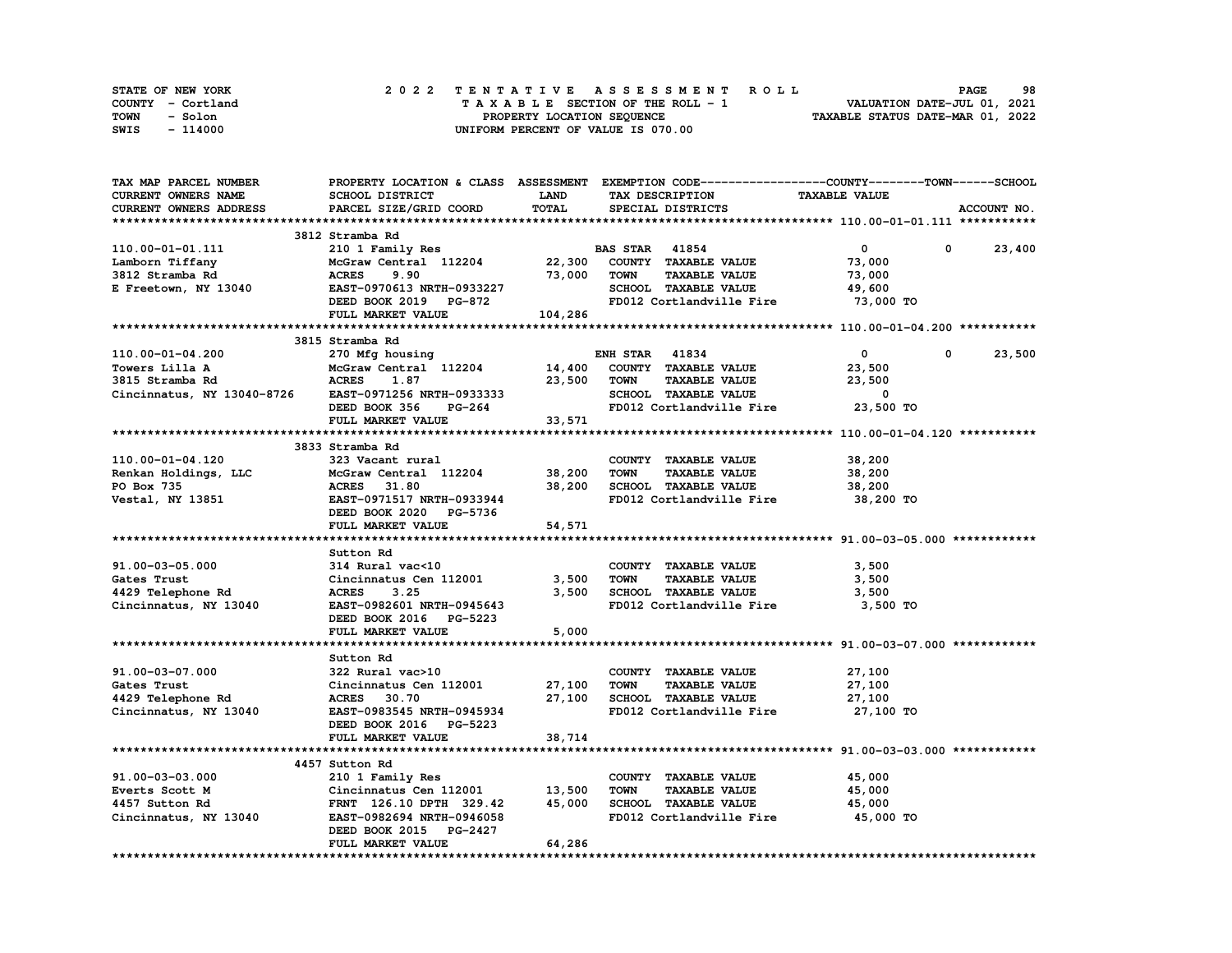| STATE OF NEW YORK | 2022 TENTATIVE ASSESSMENT ROLL     | 98<br><b>PAGE</b>                |
|-------------------|------------------------------------|----------------------------------|
| COUNTY - Cortland | TAXABLE SECTION OF THE ROLL - 1    | VALUATION DATE-JUL 01, 2021      |
| TOWN<br>- Solon   | PROPERTY LOCATION SEQUENCE         | TAXABLE STATUS DATE-MAR 01, 2022 |
| - 114000<br>SWIS  | UNIFORM PERCENT OF VALUE IS 070.00 |                                  |

| TAX MAP PARCEL NUMBER                     |                                                      |              | PROPERTY LOCATION & CLASS ASSESSMENT EXEMPTION CODE----------------COUNTY-------TOWN-----SCHOOL |                            |             |
|-------------------------------------------|------------------------------------------------------|--------------|-------------------------------------------------------------------------------------------------|----------------------------|-------------|
| <b>CURRENT OWNERS NAME</b>                | SCHOOL DISTRICT                                      | <b>LAND</b>  | TAX DESCRIPTION                                                                                 | <b>TAXABLE VALUE</b>       |             |
| <b>CURRENT OWNERS ADDRESS</b>             | PARCEL SIZE/GRID COORD                               | <b>TOTAL</b> | SPECIAL DISTRICTS                                                                               |                            | ACCOUNT NO. |
|                                           |                                                      |              |                                                                                                 |                            |             |
|                                           | 3812 Stramba Rd                                      |              |                                                                                                 |                            |             |
| 110.00-01-01.111                          | 210 1 Family Res                                     |              | <b>BAS STAR</b> 41854                                                                           | $\mathbf{0}$<br>$^{\circ}$ | 23,400      |
| Lamborn Tiffany                           | McGraw Central 112204 22,300                         |              | COUNTY TAXABLE VALUE                                                                            | 73,000                     |             |
| 3812 Stramba Rd                           | <b>ACRES</b><br>9.90                                 | 73,000       | <b>TOWN</b><br><b>TAXABLE VALUE</b>                                                             | 73,000                     |             |
| E Freetown, NY 13040                      |                                                      |              | SCHOOL TAXABLE VALUE                                                                            | 49,600                     |             |
|                                           | EAST-0970613 NRTH-0933227<br>DEED BOOK 2019 PG-872   |              | FD012 Cortlandville Fire                                                                        | 73,000 TO                  |             |
|                                           | FULL MARKET VALUE                                    | 104,286      |                                                                                                 |                            |             |
|                                           |                                                      |              |                                                                                                 |                            |             |
|                                           | 3815 Stramba Rd                                      |              |                                                                                                 |                            |             |
| 110.00-01-04.200                          | 270 Mfg housing                                      |              | <b>ENH STAR 41834</b>                                                                           | $\mathbf{0}$<br>0          | 23,500      |
| Towers Lilla A                            |                                                      | 14,400       | COUNTY TAXABLE VALUE                                                                            | 23,500                     |             |
| 3815 Stramba Rd                           | McGraw Central 112204<br>ACRES 1.87                  | 23,500       | <b>TOWN</b><br><b>TAXABLE VALUE</b>                                                             | 23,500                     |             |
|                                           | Cincinnatus, NY 13040-8726 EAST-0971256 NRTH-0933333 |              | SCHOOL TAXABLE VALUE                                                                            | $\overline{\mathbf{0}}$    |             |
|                                           | DEED BOOK 356<br><b>PG-264</b>                       |              | FD012 Cortlandville Fire 23,500 TO                                                              |                            |             |
|                                           |                                                      | 33,571       |                                                                                                 |                            |             |
|                                           | FULL MARKET VALUE                                    |              |                                                                                                 |                            |             |
|                                           |                                                      |              |                                                                                                 |                            |             |
|                                           | 3833 Stramba Rd                                      |              |                                                                                                 |                            |             |
| 110.00-01-04.120                          | 323 Vacant rural                                     |              | COUNTY TAXABLE VALUE                                                                            | 38,200                     |             |
|                                           | Renkan Holdings, LLC McGraw Central 112204 38,200    |              | <b>TOWN</b><br><b>TAXABLE VALUE</b>                                                             | 38,200                     |             |
| PO Box 735                                | <b>ACRES</b> 31.80                                   | 38,200       | SCHOOL TAXABLE VALUE                                                                            | 38,200                     |             |
| Vestal, NY 13851                          | EAST-0971517 NRTH-0933944                            |              | FD012 Cortlandville Fire 38,200 TO                                                              |                            |             |
|                                           | DEED BOOK 2020 PG-5736                               |              |                                                                                                 |                            |             |
|                                           | FULL MARKET VALUE                                    | 54,571       |                                                                                                 |                            |             |
|                                           |                                                      |              |                                                                                                 |                            |             |
|                                           | Sutton Rd                                            |              |                                                                                                 |                            |             |
| 91.00-03-05.000                           | 314 Rural vac<10                                     |              | COUNTY TAXABLE VALUE                                                                            | 3,500                      |             |
| Gates Trust<br>4429 Telephone Rd<br>Circi | Cincinnatus Cen 112001                               | 3,500        | <b>TOWN</b><br><b>TAXABLE VALUE</b>                                                             | 3,500                      |             |
|                                           | 3.25<br><b>ACRES</b>                                 | 3,500        | SCHOOL TAXABLE VALUE                                                                            | 3,500                      |             |
| Cincinnatus, NY 13040                     | EAST-0982601 NRTH-0945643                            |              | FD012 Cortlandville Fire                                                                        | 3,500 TO                   |             |
|                                           | DEED BOOK 2016 PG-5223                               |              |                                                                                                 |                            |             |
|                                           | FULL MARKET VALUE                                    | 5,000        |                                                                                                 |                            |             |
|                                           |                                                      |              |                                                                                                 |                            |             |
|                                           | Sutton Rd                                            |              |                                                                                                 |                            |             |
| 91.00-03-07.000                           | 322 Rural vac>10                                     |              | COUNTY TAXABLE VALUE                                                                            | 27,100                     |             |
| Gates Trust                               | Cincinnatus Cen 112001                               | 27,100       | <b>TOWN</b><br><b>TAXABLE VALUE</b>                                                             | 27,100                     |             |
| 4429 Telephone Rd                         | <b>ACRES</b> 30.70                                   | 27,100       | SCHOOL TAXABLE VALUE                                                                            | 27,100                     |             |
| Cincinnatus, NY 13040                     | <b>EAST-0983545 NRTH-0945934</b>                     |              | FD012 Cortlandville Fire                                                                        | 27,100 TO                  |             |
|                                           | DEED BOOK 2016 PG-5223                               |              |                                                                                                 |                            |             |
|                                           | FULL MARKET VALUE                                    | 38,714       |                                                                                                 |                            |             |
|                                           |                                                      |              |                                                                                                 |                            |             |
|                                           | 4457 Sutton Rd                                       |              |                                                                                                 |                            |             |
| 91.00-03-03.000                           | 210 1 Family Res                                     |              | COUNTY TAXABLE VALUE                                                                            | 45,000                     |             |
| Everts Scott M                            | Cincinnatus Cen 112001 13,500                        |              | TOWN<br><b>TAXABLE VALUE</b>                                                                    | 45,000                     |             |
| 4457 Sutton Rd                            | FRNT 126.10 DPTH 329.42                              | 45,000       | SCHOOL TAXABLE VALUE                                                                            | 45,000                     |             |
| Cincinnatus, NY 13040                     | EAST-0982694 NRTH-0946058                            |              | FD012 Cortlandville Fire 45,000 TO                                                              |                            |             |
|                                           | DEED BOOK 2015 PG-2427                               |              |                                                                                                 |                            |             |
|                                           | FULL MARKET VALUE                                    | 64,286       |                                                                                                 |                            |             |
|                                           |                                                      |              |                                                                                                 |                            |             |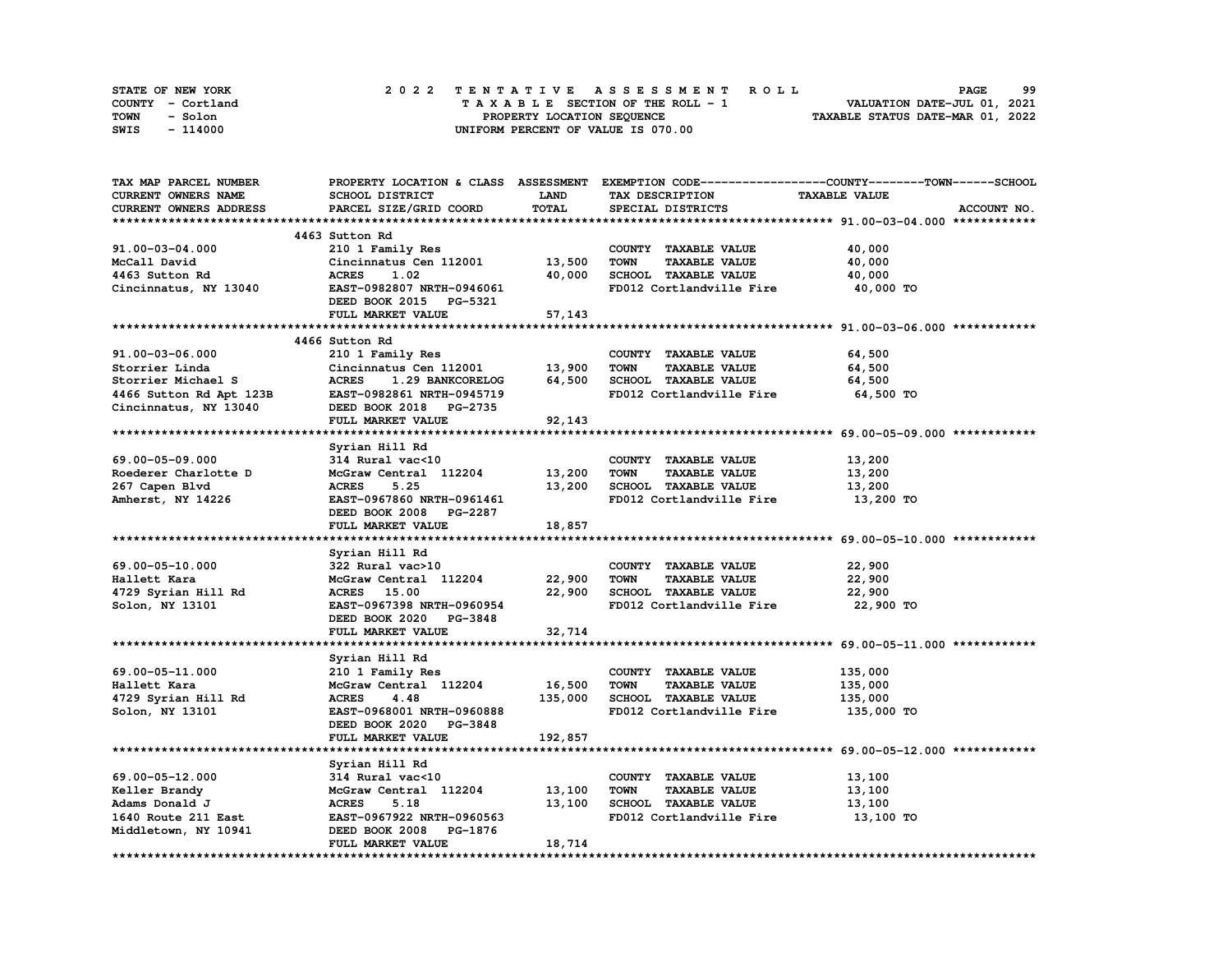| STATE OF NEW YORK | 2022 TENTATIVE ASSESSMENT ROLL     | 99<br><b>PAGE</b>                |
|-------------------|------------------------------------|----------------------------------|
| COUNTY - Cortland | TAXABLE SECTION OF THE ROLL - 1    | VALUATION DATE-JUL 01, 2021      |
| TOWN<br>- Solon   | PROPERTY LOCATION SEQUENCE         | TAXABLE STATUS DATE-MAR 01, 2022 |
| - 114000<br>SWIS  | UNIFORM PERCENT OF VALUE IS 070.00 |                                  |

| TAX MAP PARCEL NUMBER                                                                    |                                    |             | PROPERTY LOCATION & CLASS ASSESSMENT EXEMPTION CODE----------------COUNTY-------TOWN-----SCHOOL |                      |             |
|------------------------------------------------------------------------------------------|------------------------------------|-------------|-------------------------------------------------------------------------------------------------|----------------------|-------------|
| CURRENT OWNERS NAME                                                                      | SCHOOL DISTRICT                    | <b>LAND</b> | TAX DESCRIPTION                                                                                 | <b>TAXABLE VALUE</b> |             |
| CURRENT OWNERS ADDRESS                                                                   | PARCEL SIZE/GRID COORD             | TOTAL       | SPECIAL DISTRICTS                                                                               |                      | ACCOUNT NO. |
|                                                                                          |                                    |             |                                                                                                 |                      |             |
|                                                                                          | 4463 Sutton Rd                     |             |                                                                                                 |                      |             |
| 91.00-03-04.000                                                                          | 210 1 Family Res                   |             | COUNTY TAXABLE VALUE                                                                            | 40,000               |             |
| McCall David                                                                             | Cincinnatus Cen 112001 13,500      |             | TOWN<br><b>TAXABLE VALUE</b>                                                                    | 40,000               |             |
| 4463 Sutton Rd                                                                           | <b>ACRES</b><br>1.02               | 40,000      | SCHOOL TAXABLE VALUE                                                                            | 40,000               |             |
| Cincinnatus, NY 13040                                                                    | EAST-0982807 NRTH-0946061          |             | FD012 Cortlandville Fire                                                                        | 40,000 TO            |             |
|                                                                                          | DEED BOOK 2015 PG-5321             |             |                                                                                                 |                      |             |
|                                                                                          | FULL MARKET VALUE                  | 57,143      |                                                                                                 |                      |             |
|                                                                                          |                                    |             |                                                                                                 |                      |             |
|                                                                                          | 4466 Sutton Rd                     |             |                                                                                                 |                      |             |
| 91.00-03-06.000                                                                          | 210 1 Family Res                   |             | COUNTY TAXABLE VALUE                                                                            | 64,500               |             |
|                                                                                          | Cincinnatus Cen 112001             | 13,900      | TOWN<br><b>TAXABLE VALUE</b>                                                                    | 64,500               |             |
| Storrier Linda<br>Storrier Michael S<br>4466 Sutton Rd Apt 123B<br>Cincinnatus, NY 13040 | <b>ACRES</b><br>1.29 BANKCORELOG   | 64,500      | SCHOOL TAXABLE VALUE                                                                            | 64,500               |             |
|                                                                                          | EAST-0982861 NRTH-0945719          |             | FD012 Cortlandville Fire                                                                        | 64,500 TO            |             |
|                                                                                          | DEED BOOK 2018 PG-2735             |             |                                                                                                 |                      |             |
|                                                                                          | FULL MARKET VALUE                  | 92,143      |                                                                                                 |                      |             |
|                                                                                          |                                    |             |                                                                                                 |                      |             |
|                                                                                          | Syrian Hill Rd                     |             |                                                                                                 |                      |             |
| 69.00-05-09.000                                                                          | 314 Rural vac<10                   |             | COUNTY TAXABLE VALUE                                                                            | 13,200               |             |
| Roederer Charlotte D                                                                     | McGraw Central 112204 13,200       |             | <b>TOWN</b><br><b>TAXABLE VALUE</b>                                                             | 13,200               |             |
| 267 Capen Blvd                                                                           | <b>ACRES</b><br>5.25               | 13,200      | SCHOOL TAXABLE VALUE                                                                            | 13,200               |             |
| Amherst, NY 14226                                                                        | EAST-0967860 NRTH-0961461          |             | FD012 Cortlandville Fire                                                                        | 13,200 TO            |             |
|                                                                                          | DEED BOOK 2008 PG-2287             |             |                                                                                                 |                      |             |
|                                                                                          | FULL MARKET VALUE                  | 18,857      |                                                                                                 |                      |             |
|                                                                                          |                                    |             |                                                                                                 |                      |             |
|                                                                                          | Syrian Hill Rd                     |             |                                                                                                 |                      |             |
| 69.00-05-10.000                                                                          | 322 Rural vac>10                   |             | COUNTY TAXABLE VALUE                                                                            | 22,900               |             |
| Hallett Kara                                                                             | McGraw Central 112204 22,900       |             | <b>TOWN</b><br><b>TAXABLE VALUE</b>                                                             | 22,900               |             |
| 4729 Syrian Hill Rd                                                                      | ACRES 15.00                        | 22,900      | SCHOOL TAXABLE VALUE                                                                            | 22,900               |             |
| Solon, NY 13101                                                                          | EAST-0967398 NRTH-0960954          |             | FD012 Cortlandville Fire                                                                        | 22,900 TO            |             |
|                                                                                          | DEED BOOK 2020 PG-3848             |             |                                                                                                 |                      |             |
|                                                                                          | FULL MARKET VALUE                  | 32,714      |                                                                                                 |                      |             |
|                                                                                          |                                    |             |                                                                                                 |                      |             |
|                                                                                          | Syrian Hill Rd                     |             |                                                                                                 |                      |             |
| 69.00-05-11.000                                                                          | 210 1 Family Res                   |             | COUNTY TAXABLE VALUE                                                                            | 135,000              |             |
| Hallett Kara                                                                             | McGraw Central 112204              | 16,500      | <b>TOWN</b><br><b>TAXABLE VALUE</b>                                                             | 135,000              |             |
| 4729 Syrian Hill Rd                                                                      | 4.48<br><b>ACRES</b>               | 135,000     | SCHOOL TAXABLE VALUE                                                                            | 135,000              |             |
| Solon, NY 13101                                                                          | EAST-0968001 NRTH-0960888          |             | FD012 Cortlandville Fire                                                                        | 135,000 TO           |             |
|                                                                                          | DEED BOOK 2020 PG-3848             |             |                                                                                                 |                      |             |
|                                                                                          | FULL MARKET VALUE                  | 192,857     |                                                                                                 |                      |             |
|                                                                                          |                                    |             |                                                                                                 |                      |             |
|                                                                                          |                                    |             |                                                                                                 |                      |             |
| 69.00-05-12.000                                                                          | Syrian Hill Rd<br>314 Rural vac<10 |             | COUNTY TAXABLE VALUE                                                                            | 13,100               |             |
| Keller Brandy                                                                            | McGraw Central 112204 13,100       |             | TOWN<br><b>TAXABLE VALUE</b>                                                                    | 13,100               |             |
| Adams Donald J                                                                           | <b>ACRES</b><br>5.18               | 13,100      | SCHOOL TAXABLE VALUE                                                                            | 13,100               |             |
| 1640 Route 211 East                                                                      | EAST-0967922 NRTH-0960563          |             | FD012 Cortlandville Fire                                                                        | 13,100 TO            |             |
| Middletown, NY 10941                                                                     | DEED BOOK 2008 PG-1876             |             |                                                                                                 |                      |             |
|                                                                                          | FULL MARKET VALUE                  | 18,714      |                                                                                                 |                      |             |
|                                                                                          |                                    |             |                                                                                                 |                      |             |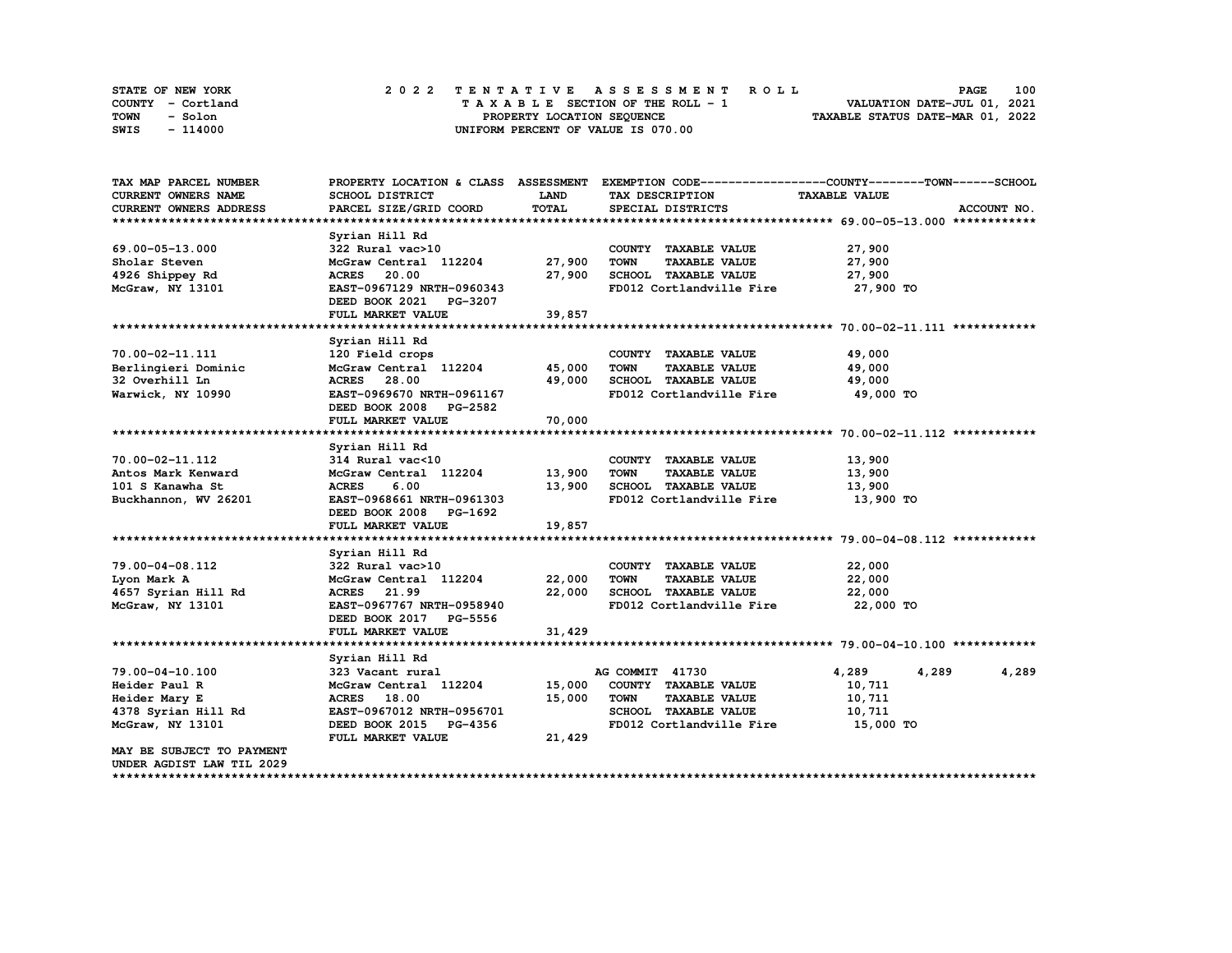| STATE OF NEW YORK | 2022 TENTATIVE ASSESSMENT ROLL     | 100<br><b>PAGE</b>               |
|-------------------|------------------------------------|----------------------------------|
| COUNTY - Cortland | TAXABLE SECTION OF THE ROLL - 1    | VALUATION DATE-JUL 01, 2021      |
| TOWN<br>- Solon   | PROPERTY LOCATION SEQUENCE         | TAXABLE STATUS DATE-MAR 01, 2022 |
| - 114000<br>SWIS  | UNIFORM PERCENT OF VALUE IS 070.00 |                                  |

| TAX MAP PARCEL NUMBER         | PROPERTY LOCATION & CLASS ASSESSMENT |        | EXEMPTION CODE-----------------COUNTY-------TOWN------SCHOOL |                      |             |
|-------------------------------|--------------------------------------|--------|--------------------------------------------------------------|----------------------|-------------|
| <b>CURRENT OWNERS NAME</b>    | SCHOOL DISTRICT                      | LAND   | TAX DESCRIPTION                                              | <b>TAXABLE VALUE</b> |             |
| <b>CURRENT OWNERS ADDRESS</b> | PARCEL SIZE/GRID COORD               | TOTAL  | SPECIAL DISTRICTS                                            |                      | ACCOUNT NO. |
|                               |                                      |        |                                                              |                      |             |
|                               | Syrian Hill Rd                       |        |                                                              |                      |             |
| 69.00-05-13.000               | 322 Rural vac>10                     |        | COUNTY TAXABLE VALUE                                         | 27,900               |             |
| Sholar Steven                 | McGraw Central 112204                | 27,900 | <b>TOWN</b><br><b>TAXABLE VALUE</b>                          | 27,900               |             |
| 4926 Shippey Rd               | <b>ACRES</b> 20.00                   | 27,900 | SCHOOL TAXABLE VALUE                                         | 27,900               |             |
| McGraw, NY 13101              | EAST-0967129 NRTH-0960343            |        | FD012 Cortlandville Fire                                     | 27,900 TO            |             |
|                               | DEED BOOK 2021 PG-3207               |        |                                                              |                      |             |
|                               | FULL MARKET VALUE                    | 39,857 |                                                              |                      |             |
|                               |                                      |        |                                                              |                      |             |
|                               | Syrian Hill Rd                       |        |                                                              |                      |             |
| 70.00-02-11.111               | 120 Field crops                      |        | COUNTY TAXABLE VALUE                                         | 49,000               |             |
| Berlingieri Dominic           | McGraw Central 112204                | 45,000 | <b>TOWN</b><br><b>TAXABLE VALUE</b>                          | 49,000               |             |
| 32 Overhill Ln                | ACRES 28.00                          | 49,000 | SCHOOL TAXABLE VALUE                                         | 49,000               |             |
| Warwick, NY 10990             | EAST-0969670 NRTH-0961167            |        | FD012 Cortlandville Fire                                     | 49,000 TO            |             |
|                               | DEED BOOK 2008 PG-2582               |        |                                                              |                      |             |
|                               | FULL MARKET VALUE                    | 70,000 |                                                              |                      |             |
|                               |                                      |        |                                                              |                      |             |
|                               | Syrian Hill Rd                       |        |                                                              |                      |             |
| 70.00-02-11.112               | 314 Rural vac<10                     |        | COUNTY TAXABLE VALUE                                         | 13,900               |             |
| Antos Mark Kenward            | McGraw Central 112204                | 13,900 | <b>TOWN</b><br><b>TAXABLE VALUE</b>                          | 13,900               |             |
| 101 S Kanawha St              | <b>ACRES</b><br>6.00                 | 13,900 | SCHOOL TAXABLE VALUE                                         | 13,900               |             |
| Buckhannon, WV 26201          | EAST-0968661 NRTH-0961303            |        | FD012 Cortlandville Fire                                     | 13,900 TO            |             |
|                               | DEED BOOK 2008 PG-1692               |        |                                                              |                      |             |
|                               | FULL MARKET VALUE                    | 19,857 |                                                              |                      |             |
|                               |                                      |        |                                                              |                      |             |
|                               | Syrian Hill Rd                       |        |                                                              |                      |             |
| 79.00-04-08.112               | 322 Rural vac>10                     |        | COUNTY TAXABLE VALUE                                         | 22,000               |             |
| Lyon Mark A                   | McGraw Central 112204                | 22,000 | <b>TOWN</b><br><b>TAXABLE VALUE</b>                          | 22,000               |             |
| 4657 Syrian Hill Rd           | ACRES 21.99                          | 22,000 | SCHOOL TAXABLE VALUE                                         | 22,000               |             |
| McGraw, NY 13101              | EAST-0967767 NRTH-0958940            |        | FD012 Cortlandville Fire                                     | 22,000 TO            |             |
|                               | DEED BOOK 2017 PG-5556               |        |                                                              |                      |             |
|                               | FULL MARKET VALUE                    | 31,429 |                                                              |                      |             |
|                               |                                      |        |                                                              |                      |             |
|                               | Syrian Hill Rd                       |        |                                                              |                      |             |
| 79.00-04-10.100               | 323 Vacant rural                     |        | AG COMMIT 41730                                              | 4,289<br>4,289       | 4,289       |
| Heider Paul R                 | McGraw Central 112204                | 15,000 | COUNTY TAXABLE VALUE                                         | 10,711               |             |
| Heider Mary E                 | <b>ACRES</b> 18.00                   | 15,000 | <b>TOWN</b><br><b>TAXABLE VALUE</b>                          | 10,711               |             |
| 4378 Syrian Hill Rd           | EAST-0967012 NRTH-0956701            |        | SCHOOL TAXABLE VALUE                                         | 10,711               |             |
| McGraw, NY 13101              | DEED BOOK 2015 PG-4356               |        | FD012 Cortlandville Fire                                     | 15,000 TO            |             |
|                               | FULL MARKET VALUE                    | 21,429 |                                                              |                      |             |
| MAY BE SUBJECT TO PAYMENT     |                                      |        |                                                              |                      |             |
| UNDER AGDIST LAW TIL 2029     |                                      |        |                                                              |                      |             |
|                               |                                      |        |                                                              |                      |             |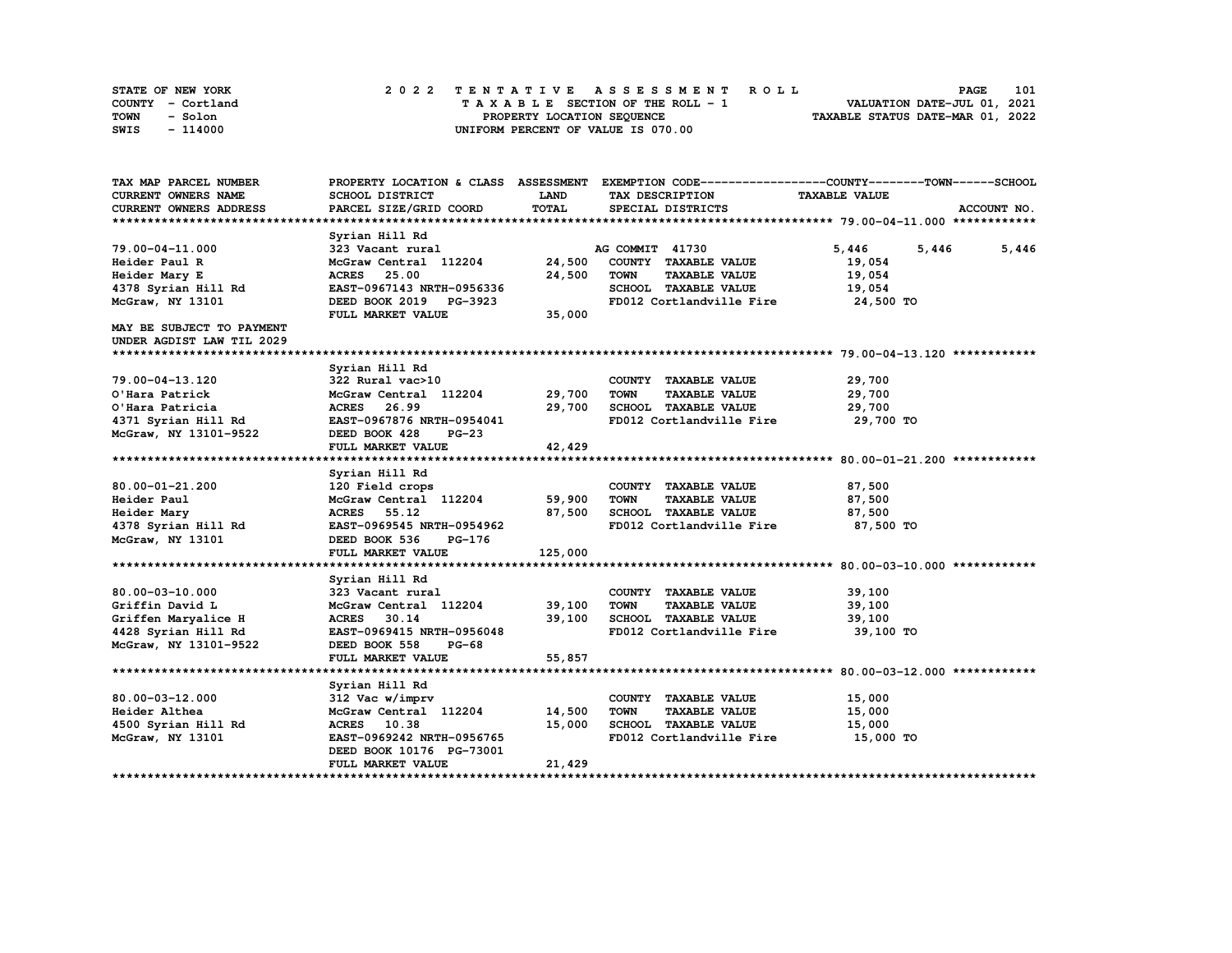| STATE OF NEW YORK | 2022 TENTATIVE ASSESSMENT ROLL     | 101<br><b>PAGE</b>               |
|-------------------|------------------------------------|----------------------------------|
| COUNTY - Cortland | TAXABLE SECTION OF THE ROLL - 1    | VALUATION DATE-JUL 01, 2021      |
| TOWN<br>- Solon   | PROPERTY LOCATION SEQUENCE         | TAXABLE STATUS DATE-MAR 01, 2022 |
| - 114000<br>SWIS  | UNIFORM PERCENT OF VALUE IS 070.00 |                                  |

| TAX MAP PARCEL NUMBER            |                              |             | PROPERTY LOCATION & CLASS ASSESSMENT EXEMPTION CODE-----------------COUNTY-------TOWN-----SCHOOL |                      |                |
|----------------------------------|------------------------------|-------------|--------------------------------------------------------------------------------------------------|----------------------|----------------|
| CURRENT OWNERS NAME              | SCHOOL DISTRICT              | <b>LAND</b> | TAX DESCRIPTION                                                                                  | <b>TAXABLE VALUE</b> |                |
| CURRENT OWNERS ADDRESS           | PARCEL SIZE/GRID COORD       | TOTAL       | SPECIAL DISTRICTS                                                                                |                      | ACCOUNT NO.    |
|                                  |                              |             |                                                                                                  |                      |                |
|                                  | Syrian Hill Rd               |             |                                                                                                  |                      |                |
| 79.00-04-11.000                  | 323 Vacant rural             |             | AG COMMIT 41730                                                                                  | 5,446                | 5,446<br>5,446 |
| Heider Paul R                    | McGraw Central 112204        | 24,500      | COUNTY TAXABLE VALUE                                                                             | 19,054               |                |
| Heider Mary E                    | <b>ACRES</b><br>25.00        | 24,500      | <b>TOWN</b><br><b>TAXABLE VALUE</b>                                                              | 19,054               |                |
| 4378 Syrian Hill Rd              | EAST-0967143 NRTH-0956336    |             | SCHOOL TAXABLE VALUE                                                                             | 19,054               |                |
| McGraw, NY 13101                 | DEED BOOK 2019 PG-3923       |             | FD012 Cortlandville Fire                                                                         | 24,500 TO            |                |
|                                  | FULL MARKET VALUE            | 35,000      |                                                                                                  |                      |                |
| <b>MAY BE SUBJECT TO PAYMENT</b> |                              |             |                                                                                                  |                      |                |
| UNDER AGDIST LAW TIL 2029        |                              |             |                                                                                                  |                      |                |
|                                  |                              |             |                                                                                                  |                      |                |
|                                  | Syrian Hill Rd               |             |                                                                                                  |                      |                |
| 79.00-04-13.120                  | 322 Rural vac>10             |             | COUNTY TAXABLE VALUE                                                                             | 29,700               |                |
| O'Hara Patrick                   | McGraw Central 112204 29,700 |             | <b>TOWN</b><br><b>TAXABLE VALUE</b>                                                              | 29,700               |                |
| O'Hara Patricia                  | ACRES 26.99                  | 29,700      | SCHOOL TAXABLE VALUE                                                                             | 29,700               |                |
| 4371 Syrian Hill Rd              | EAST-0967876 NRTH-0954041    |             | FD012 Cortlandville Fire                                                                         | 29,700 TO            |                |
| McGraw, NY 13101-9522            | DEED BOOK 428<br>$PG-23$     |             |                                                                                                  |                      |                |
|                                  | FULL MARKET VALUE            | 42,429      |                                                                                                  |                      |                |
|                                  |                              |             |                                                                                                  |                      |                |
|                                  | Syrian Hill Rd               |             |                                                                                                  |                      |                |
| 80.00-01-21.200                  | 120 Field crops              |             | COUNTY TAXABLE VALUE                                                                             | 87,500               |                |
| Heider Paul                      | McGraw Central 112204        | 59,900      | <b>TOWN</b><br><b>TAXABLE VALUE</b>                                                              | 87,500               |                |
| Heider Mary                      | ACRES 55.12                  | 87,500      | SCHOOL TAXABLE VALUE                                                                             | 87,500               |                |
| 4378 Syrian Hill Rd              | EAST-0969545 NRTH-0954962    |             | FD012 Cortlandville Fire                                                                         | 87,500 TO            |                |
| McGraw, NY 13101                 | DEED BOOK 536<br>PG-176      |             |                                                                                                  |                      |                |
|                                  | FULL MARKET VALUE            | 125,000     |                                                                                                  |                      |                |
|                                  |                              |             |                                                                                                  |                      |                |
|                                  | Syrian Hill Rd               |             |                                                                                                  |                      |                |
| $80.00 - 03 - 10.000$            | 323 Vacant rural             |             | COUNTY TAXABLE VALUE                                                                             | 39,100               |                |
| Griffin David L                  | McGraw Central 112204        | 39,100      | <b>TOWN</b><br><b>TAXABLE VALUE</b>                                                              | 39,100               |                |
| Griffen Maryalice H              | ACRES 30.14                  | 39,100      | SCHOOL TAXABLE VALUE                                                                             | 39,100               |                |
| 4428 Syrian Hill Rd              | EAST-0969415 NRTH-0956048    |             | FD012 Cortlandville Fire                                                                         | 39,100 TO            |                |
| McGraw, NY 13101-9522            | DEED BOOK 558<br>$PG-68$     |             |                                                                                                  |                      |                |
|                                  | FULL MARKET VALUE            | 55,857      |                                                                                                  |                      |                |
|                                  |                              |             |                                                                                                  |                      |                |
|                                  | Syrian Hill Rd               |             |                                                                                                  |                      |                |
| $80.00 - 03 - 12.000$            | 312 Vac w/imprv              |             | COUNTY TAXABLE VALUE                                                                             | 15,000               |                |
| Heider Althea                    | McGraw Central 112204        | 14,500      | <b>TOWN</b><br><b>TAXABLE VALUE</b>                                                              | 15,000               |                |
| 4500 Syrian Hill Rd              | ACRES 10.38                  | 15,000      | SCHOOL TAXABLE VALUE                                                                             | 15,000               |                |
| McGraw, NY 13101                 | EAST-0969242 NRTH-0956765    |             | FD012 Cortlandville Fire                                                                         | 15,000 TO            |                |
|                                  | DEED BOOK 10176 PG-73001     |             |                                                                                                  |                      |                |
|                                  | FULL MARKET VALUE            | 21,429      |                                                                                                  |                      |                |
|                                  |                              |             |                                                                                                  |                      |                |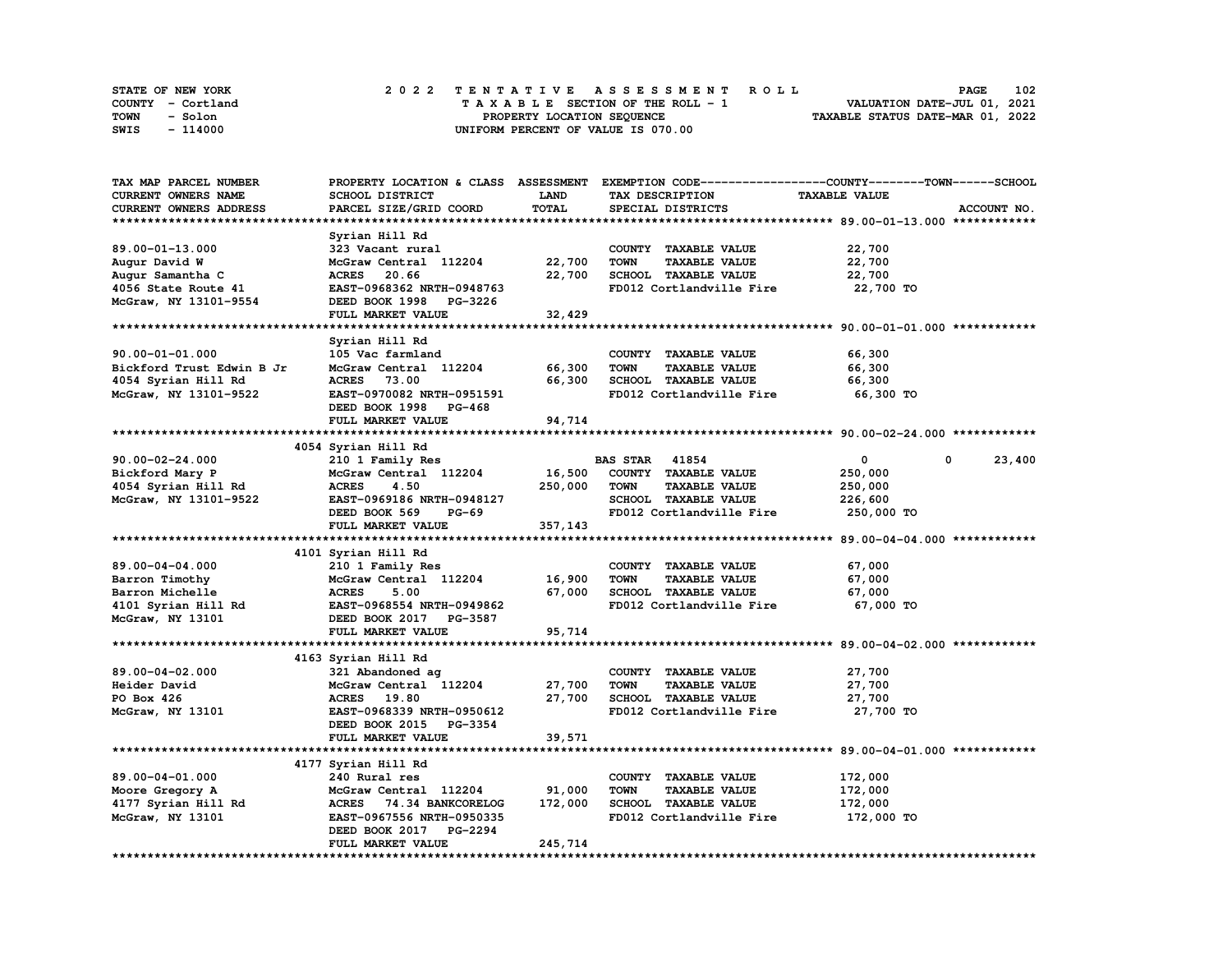|      | STATE OF NEW YORK |  | 2022 TENTATIVE ASSESSMENT ROLL |  |  |  |                                    |  |  |  |  |  |  |                                  | <b>PAGE</b> | 102 |
|------|-------------------|--|--------------------------------|--|--|--|------------------------------------|--|--|--|--|--|--|----------------------------------|-------------|-----|
|      | COUNTY - Cortland |  |                                |  |  |  | TAXABLE SECTION OF THE ROLL - 1    |  |  |  |  |  |  | VALUATION DATE-JUL 01, 2021      |             |     |
| TOWN | - Solon           |  |                                |  |  |  | PROPERTY LOCATION SEQUENCE         |  |  |  |  |  |  | TAXABLE STATUS DATE-MAR 01, 2022 |             |     |
| SWIS | - 114000          |  |                                |  |  |  | UNIFORM PERCENT OF VALUE IS 070.00 |  |  |  |  |  |  |                                  |             |     |

| TAX MAP PARCEL NUMBER     |                           |             |                                     | PROPERTY LOCATION & CLASS ASSESSMENT EXEMPTION CODE----------------COUNTY-------TOWN------SCHOOL |
|---------------------------|---------------------------|-------------|-------------------------------------|--------------------------------------------------------------------------------------------------|
| CURRENT OWNERS NAME       | SCHOOL DISTRICT           | <b>LAND</b> | TAX DESCRIPTION                     | <b>TAXABLE VALUE</b>                                                                             |
| CURRENT OWNERS ADDRESS    | PARCEL SIZE/GRID COORD    | TOTAL       | SPECIAL DISTRICTS                   | ACCOUNT NO.                                                                                      |
|                           |                           |             |                                     |                                                                                                  |
|                           | Syrian Hill Rd            |             |                                     |                                                                                                  |
| 89.00-01-13.000           | 323 Vacant rural          |             | COUNTY TAXABLE VALUE                | 22,700                                                                                           |
| Augur David W             | McGraw Central 112204     | 22,700      | <b>TOWN</b><br><b>TAXABLE VALUE</b> | 22,700                                                                                           |
|                           |                           |             |                                     |                                                                                                  |
| Augur Samantha C          | <b>ACRES</b><br>20.66     | 22,700      | SCHOOL TAXABLE VALUE                | 22,700                                                                                           |
| 4056 State Route 41       | EAST-0968362 NRTH-0948763 |             | FD012 Cortlandville Fire            | 22,700 TO                                                                                        |
| McGraw, NY 13101-9554     | DEED BOOK 1998 PG-3226    |             |                                     |                                                                                                  |
|                           | FULL MARKET VALUE         | 32,429      |                                     |                                                                                                  |
|                           |                           |             |                                     |                                                                                                  |
|                           | Syrian Hill Rd            |             |                                     |                                                                                                  |
| $90.00 - 01 - 01.000$     | 105 Vac farmland          |             | COUNTY TAXABLE VALUE                | 66,300                                                                                           |
| Bickford Trust Edwin B Jr | McGraw Central 112204     | 66,300      | <b>TOWN</b><br><b>TAXABLE VALUE</b> | 66,300                                                                                           |
| 4054 Syrian Hill Rd       | <b>ACRES</b> 73.00        | 66,300      | SCHOOL TAXABLE VALUE                | 66,300                                                                                           |
| McGraw, NY 13101-9522     | EAST-0970082 NRTH-0951591 |             | FD012 Cortlandville Fire            | 66,300 TO                                                                                        |
|                           | DEED BOOK 1998 PG-468     |             |                                     |                                                                                                  |
|                           | FULL MARKET VALUE         | 94,714      |                                     |                                                                                                  |
|                           |                           |             |                                     |                                                                                                  |
|                           |                           |             |                                     |                                                                                                  |
|                           | 4054 Syrian Hill Rd       |             |                                     |                                                                                                  |
| $90.00 - 02 - 24.000$     | 210 1 Family Res          |             | <b>BAS STAR 41854</b>               | $\mathbf{0}$<br>$\mathbf{0}$<br>23,400                                                           |
| Bickford Mary P           | McGraw Central 112204     | 16,500      | COUNTY TAXABLE VALUE                | 250,000                                                                                          |
| 4054 Syrian Hill Rd       | <b>ACRES</b><br>4.50      | 250,000     | <b>TOWN</b><br><b>TAXABLE VALUE</b> | 250,000                                                                                          |
| McGraw, NY 13101-9522     | EAST-0969186 NRTH-0948127 |             | SCHOOL TAXABLE VALUE                | 226,600                                                                                          |
|                           | DEED BOOK 569<br>PG-69    |             | FD012 Cortlandville Fire            | 250,000 TO                                                                                       |
|                           | FULL MARKET VALUE         | 357,143     |                                     |                                                                                                  |
|                           |                           |             |                                     |                                                                                                  |
|                           | 4101 Syrian Hill Rd       |             |                                     |                                                                                                  |
| 89.00-04-04.000           | 210 1 Family Res          |             | COUNTY TAXABLE VALUE                | 67,000                                                                                           |
| Barron Timothy            | McGraw Central 112204     | 16,900      | <b>TOWN</b><br><b>TAXABLE VALUE</b> | 67,000                                                                                           |
| Barron Michelle           | <b>ACRES</b><br>5.00      | 67,000      | SCHOOL TAXABLE VALUE                | 67,000                                                                                           |
| 4101 Syrian Hill Rd       | EAST-0968554 NRTH-0949862 |             | FD012 Cortlandville Fire            | 67,000 TO                                                                                        |
|                           |                           |             |                                     |                                                                                                  |
| McGraw, NY 13101          | DEED BOOK 2017 PG-3587    |             |                                     |                                                                                                  |
|                           | FULL MARKET VALUE         | 95,714      |                                     |                                                                                                  |
|                           |                           |             |                                     |                                                                                                  |
|                           | 4163 Syrian Hill Rd       |             |                                     |                                                                                                  |
| 89.00-04-02.000           | 321 Abandoned ag          |             | COUNTY TAXABLE VALUE                | 27,700                                                                                           |
| Heider David              | McGraw Central 112204     | 27,700      | <b>TOWN</b><br><b>TAXABLE VALUE</b> | 27,700                                                                                           |
| PO Box 426                | ACRES 19.80               | 27,700      | <b>SCHOOL TAXABLE VALUE</b>         | 27,700                                                                                           |
| McGraw, NY 13101          | EAST-0968339 NRTH-0950612 |             | FD012 Cortlandville Fire            | 27,700 TO                                                                                        |
|                           | DEED BOOK 2015 PG-3354    |             |                                     |                                                                                                  |
|                           | FULL MARKET VALUE         | 39,571      |                                     |                                                                                                  |
|                           |                           |             |                                     |                                                                                                  |
|                           | 4177 Syrian Hill Rd       |             |                                     |                                                                                                  |
| 89.00-04-01.000           | 240 Rural res             |             | COUNTY TAXABLE VALUE                | 172,000                                                                                          |
|                           |                           | 91,000      | <b>TOWN</b>                         |                                                                                                  |
| Moore Gregory A           | McGraw Central 112204     |             | <b>TAXABLE VALUE</b>                | 172,000                                                                                          |
| 4177 Syrian Hill Rd       | ACRES 74.34 BANKCORELOG   | 172,000     | <b>SCHOOL TAXABLE VALUE</b>         | 172,000                                                                                          |
| McGraw, NY 13101          | EAST-0967556 NRTH-0950335 |             | FD012 Cortlandville Fire            | 172,000 TO                                                                                       |
|                           | DEED BOOK 2017 PG-2294    |             |                                     |                                                                                                  |
|                           | FULL MARKET VALUE         | 245,714     |                                     |                                                                                                  |
|                           |                           |             |                                     |                                                                                                  |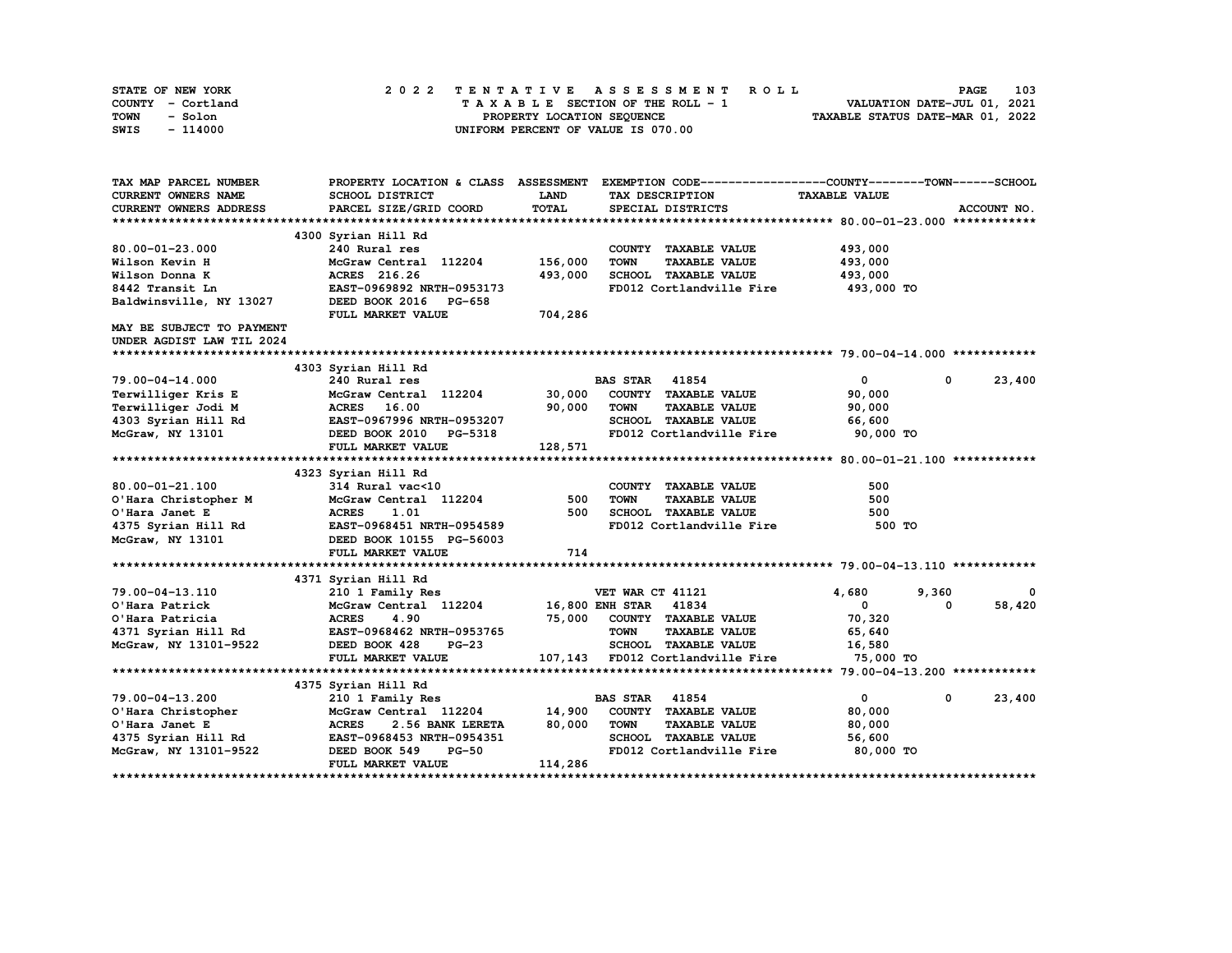| STATE OF NEW YORK | 2022 TENTATIVE ASSESSMENT ROLL     | 103<br><b>PAGE</b>               |
|-------------------|------------------------------------|----------------------------------|
| COUNTY - Cortland | TAXABLE SECTION OF THE ROLL - 1    | VALUATION DATE-JUL 01, 2021      |
| TOWN<br>- Solon   | PROPERTY LOCATION SEQUENCE         | TAXABLE STATUS DATE-MAR 01, 2022 |
| - 114000<br>SWIS  | UNIFORM PERCENT OF VALUE IS 070.00 |                                  |

| TAX MAP PARCEL NUMBER     | PROPERTY LOCATION & CLASS ASSESSMENT EXEMPTION CODE----------------COUNTY-------TOWN------SCHOOL |              |                                     |                      |                        |
|---------------------------|--------------------------------------------------------------------------------------------------|--------------|-------------------------------------|----------------------|------------------------|
| CURRENT OWNERS NAME       | SCHOOL DISTRICT                                                                                  | <b>LAND</b>  | TAX DESCRIPTION                     | <b>TAXABLE VALUE</b> |                        |
| CURRENT OWNERS ADDRESS    | PARCEL SIZE/GRID COORD                                                                           | <b>TOTAL</b> | SPECIAL DISTRICTS                   |                      | ACCOUNT NO.            |
|                           |                                                                                                  |              |                                     |                      |                        |
|                           | 4300 Syrian Hill Rd                                                                              |              |                                     |                      |                        |
| $80.00 - 01 - 23.000$     | 240 Rural res                                                                                    |              | COUNTY TAXABLE VALUE                | 493,000              |                        |
| Wilson Kevin H            | McGraw Central 112204                                                                            | 156,000      | <b>TOWN</b><br><b>TAXABLE VALUE</b> | 493,000              |                        |
| Wilson Donna K            | ACRES 216.26                                                                                     | 493,000      | SCHOOL TAXABLE VALUE                | 493,000              |                        |
| 8442 Transit Ln           | EAST-0969892 NRTH-0953173                                                                        |              | FD012 Cortlandville Fire            | 493,000 TO           |                        |
| Baldwinsville, NY 13027   | DEED BOOK 2016 PG-658                                                                            |              |                                     |                      |                        |
|                           | FULL MARKET VALUE                                                                                | 704,286      |                                     |                      |                        |
| MAY BE SUBJECT TO PAYMENT |                                                                                                  |              |                                     |                      |                        |
| UNDER AGDIST LAW TIL 2024 |                                                                                                  |              |                                     |                      |                        |
|                           |                                                                                                  |              |                                     |                      |                        |
|                           | 4303 Syrian Hill Rd                                                                              |              |                                     |                      |                        |
| 79.00-04-14.000           | 240 Rural res                                                                                    |              | <b>BAS STAR</b><br>41854            | $\mathbf{0}$         | $^{\circ}$<br>23,400   |
| Terwilliger Kris E        | McGraw Central 112204                                                                            | 30,000       | COUNTY TAXABLE VALUE                | 90,000               |                        |
| Terwilliger Jodi M        | ACRES 16.00                                                                                      | 90,000       | <b>TOWN</b><br><b>TAXABLE VALUE</b> | 90,000               |                        |
| 4303 Syrian Hill Rd       | EAST-0967996 NRTH-0953207                                                                        |              | SCHOOL TAXABLE VALUE                | 66,600               |                        |
| McGraw, NY 13101          | DEED BOOK 2010 PG-5318                                                                           |              | FD012 Cortlandville Fire            | 90,000 TO            |                        |
|                           | FULL MARKET VALUE                                                                                | 128,571      |                                     |                      |                        |
|                           |                                                                                                  |              |                                     |                      |                        |
|                           | 4323 Syrian Hill Rd                                                                              |              |                                     |                      |                        |
| 80.00-01-21.100           | 314 Rural vac<10                                                                                 |              | COUNTY TAXABLE VALUE                | 500                  |                        |
| O'Hara Christopher M      | McGraw Central 112204                                                                            | 500          | <b>TOWN</b><br><b>TAXABLE VALUE</b> | 500                  |                        |
| O'Hara Janet E            | <b>ACRES</b><br>1.01                                                                             | 500          | SCHOOL TAXABLE VALUE                | 500                  |                        |
| 4375 Syrian Hill Rd       | EAST-0968451 NRTH-0954589                                                                        |              | FD012 Cortlandville Fire            | 500 TO               |                        |
| McGraw, NY 13101          | DEED BOOK 10155 PG-56003                                                                         |              |                                     |                      |                        |
|                           | FULL MARKET VALUE                                                                                | 714          |                                     |                      |                        |
|                           |                                                                                                  |              |                                     |                      |                        |
|                           | 4371 Syrian Hill Rd                                                                              |              |                                     |                      |                        |
| 79.00-04-13.110           | 210 1 Family Res                                                                                 |              | VET WAR CT 41121                    | 4,680                | 9,360<br>0             |
| O'Hara Patrick            | McGraw Central 112204                                                                            |              | 16,800 ENH STAR 41834               | $\mathbf{0}$         | 58,420<br><sup>0</sup> |
| O'Hara Patricia           | <b>ACRES</b><br>4.90                                                                             | 75,000       | COUNTY TAXABLE VALUE                | 70,320               |                        |
| 4371 Syrian Hill Rd       | EAST-0968462 NRTH-0953765                                                                        |              | <b>TOWN</b><br><b>TAXABLE VALUE</b> | 65,640               |                        |
| McGraw, NY 13101-9522     | DEED BOOK 428<br>$PG-23$                                                                         |              | SCHOOL TAXABLE VALUE                | 16,580               |                        |
|                           | FULL MARKET VALUE                                                                                |              | 107,143 FD012 Cortlandville Fire    | 75,000 TO            |                        |
|                           |                                                                                                  |              |                                     |                      |                        |
|                           | 4375 Syrian Hill Rd                                                                              |              |                                     |                      |                        |
| 79.00-04-13.200           | 210 1 Family Res                                                                                 |              | <b>BAS STAR</b> 41854               | $\mathbf{0}$         | $\mathbf 0$<br>23,400  |
| O'Hara Christopher        | McGraw Central 112204                                                                            | 14,900       | COUNTY TAXABLE VALUE                | 80,000               |                        |
| O'Hara Janet E            | <b>ACRES</b><br>2.56 BANK LERETA                                                                 | 80,000       | <b>TOWN</b><br><b>TAXABLE VALUE</b> | 80,000               |                        |
| 4375 Syrian Hill Rd       | EAST-0968453 NRTH-0954351                                                                        |              | <b>SCHOOL TAXABLE VALUE</b>         | 56,600               |                        |
| McGraw, NY 13101-9522     | DEED BOOK 549<br>$PG-50$                                                                         |              | FD012 Cortlandville Fire            | 80,000 TO            |                        |
|                           | FULL MARKET VALUE                                                                                | 114,286      |                                     |                      |                        |
|                           |                                                                                                  |              |                                     |                      |                        |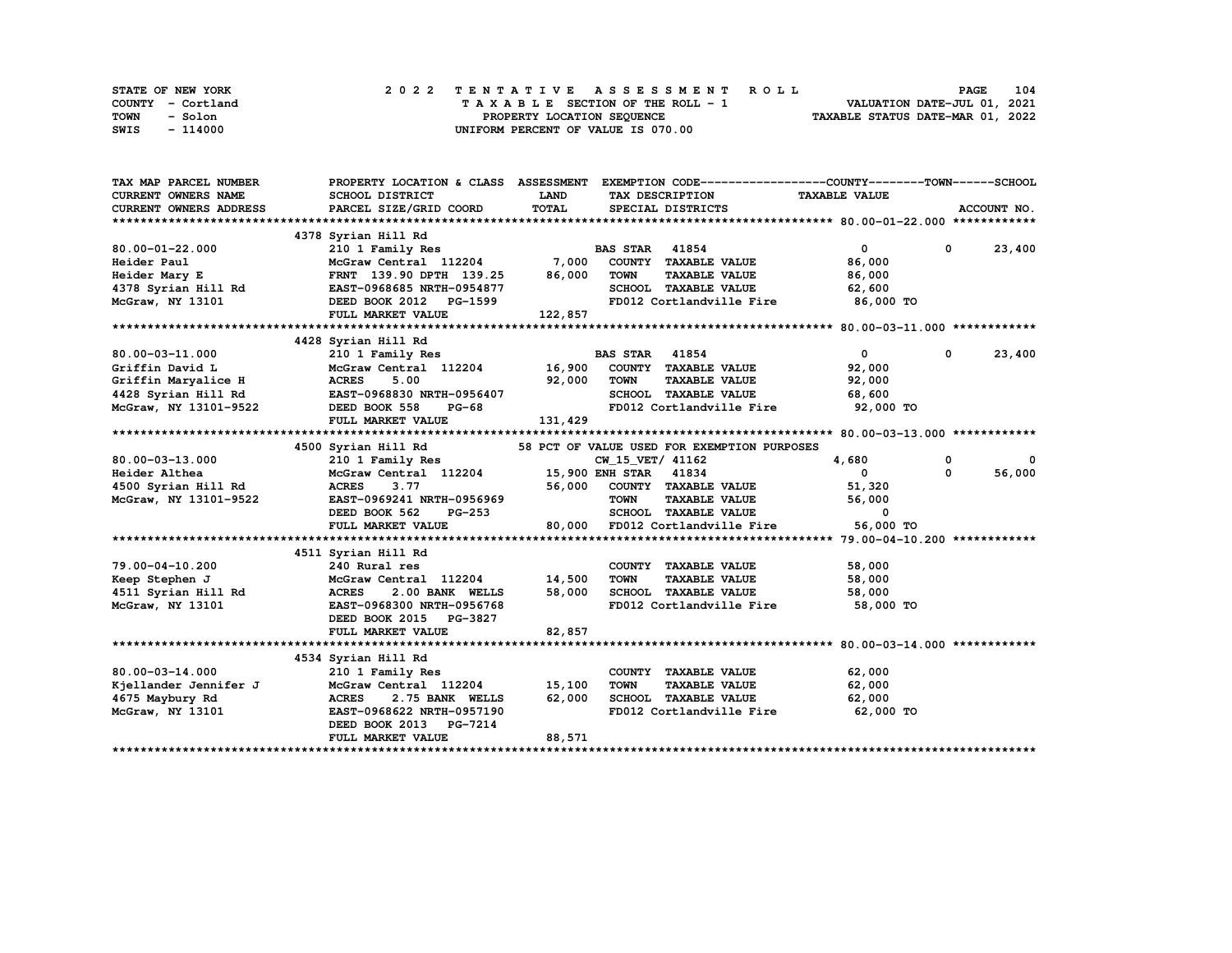| STATE OF NEW YORK | 2022 TENTATIVE ASSESSMENT ROLL     | 104<br><b>PAGE</b>               |
|-------------------|------------------------------------|----------------------------------|
| COUNTY - Cortland | TAXABLE SECTION OF THE ROLL - 1    | VALUATION DATE-JUL 01, 2021      |
| TOWN<br>- Solon   | PROPERTY LOCATION SEQUENCE         | TAXABLE STATUS DATE-MAR 01, 2022 |
| - 114000<br>SWIS  | UNIFORM PERCENT OF VALUE IS 070.00 |                                  |

| TAX MAP PARCEL NUMBER                                                       |                                                                     |             | PROPERTY LOCATION & CLASS ASSESSMENT EXEMPTION CODE----------------COUNTY-------TOWN-----SCHOOL |                      |              |               |
|-----------------------------------------------------------------------------|---------------------------------------------------------------------|-------------|-------------------------------------------------------------------------------------------------|----------------------|--------------|---------------|
| <b>CURRENT OWNERS NAME</b>                                                  | SCHOOL DISTRICT                                                     | <b>LAND</b> | TAX DESCRIPTION                                                                                 | <b>TAXABLE VALUE</b> |              |               |
| <b>CURRENT OWNERS ADDRESS</b>                                               | PARCEL SIZE/GRID COORD                                              | TOTAL       | SPECIAL DISTRICTS                                                                               |                      |              | ACCOUNT NO.   |
|                                                                             |                                                                     |             |                                                                                                 |                      |              |               |
|                                                                             | 4378 Syrian Hill Rd                                                 |             |                                                                                                 |                      |              |               |
| $80.00 - 01 - 22.000$                                                       | 210 1 Family Res                                                    |             | <b>BAS STAR</b> 41854                                                                           | $\overline{0}$       |              | $0 \t 23,400$ |
| Heider Paul                                                                 | McGraw Central 112204 7,000 COUNTY TAXABLE VALUE                    |             |                                                                                                 | 86,000               |              |               |
| Heider Mary E                                                               | FRNT 139.90 DPTH 139.25 86,000                                      |             | <b>TOWN</b><br><b>TAXABLE VALUE</b>                                                             | 86,000               |              |               |
|                                                                             | 4378 Syrian Hill Rd EAST-0968685 NRTH-0954877                       |             | SCHOOL TAXABLE VALUE                                                                            | 62,600               |              |               |
| McGraw, NY 13101                                                            | DEED BOOK 2012 PG-1599                                              |             | FD012 Cortlandville Fire 86,000 TO                                                              |                      |              |               |
|                                                                             | FULL MARKET VALUE                                                   | 122,857     |                                                                                                 |                      |              |               |
|                                                                             |                                                                     |             |                                                                                                 |                      |              |               |
|                                                                             | 4428 Syrian Hill Rd                                                 |             |                                                                                                 |                      |              |               |
| 80.00-03-11.000                                                             |                                                                     |             |                                                                                                 | $\overline{0}$       | $\mathbf{0}$ | 23,400        |
| Griffin David L                                                             |                                                                     |             |                                                                                                 | 92,000               |              |               |
| Griffin Maryalice H                                                         | <b>ACRES</b><br>5.00                                                | 92,000      | <b>TOWN</b><br><b>TAXABLE VALUE</b>                                                             | 92,000               |              |               |
|                                                                             |                                                                     |             | SCHOOL TAXABLE VALUE                                                                            | 68,600               |              |               |
|                                                                             | 4428 Syrian Hill Rd<br>McGraw, NY 13101-9522<br>DEED BOOK 558 PG-68 |             | FD012 Cortlandville Fire                                                                        | 92,000 TO            |              |               |
|                                                                             | FULL MARKET VALUE                                                   | 131,429     |                                                                                                 |                      |              |               |
|                                                                             |                                                                     |             |                                                                                                 |                      |              |               |
|                                                                             |                                                                     |             | 58 PCT OF VALUE USED FOR EXEMPTION PURPOSES                                                     |                      |              |               |
| $80.00 - 03 - 13.000$                                                       | 4500 Syrian Hill Rd<br>210 1 Family Res                             |             | CW_15_VET/ 41162                                                                                | 4,680                | $\mathbf 0$  | $\mathbf 0$   |
| Heider Althea                                                               | McGraw Central 112204 15,900 ENH STAR 41834                         |             |                                                                                                 | $\overline{0}$       | $^{\circ}$   | 56,000        |
| 4500 Syrian Hill Rd                                                         | <b>ACRES</b><br>3.77                                                |             | 56,000 COUNTY TAXABLE VALUE                                                                     | 51,320               |              |               |
| McGraw, NY 13101-9522                                                       | EAST-0969241 NRTH-0956969                                           |             | TOWN      TAXABLE  VALUE<br>SCHOOL   TAXABLE  VALUE                                             | 56,000               |              |               |
|                                                                             | <b>PG-253</b><br>DEED BOOK 562                                      |             |                                                                                                 | $^{\circ}$           |              |               |
|                                                                             | FULL MARKET VALUE                                                   |             | 80,000 FD012 Cortlandville Fire 56,000 TO                                                       |                      |              |               |
|                                                                             |                                                                     |             |                                                                                                 |                      |              |               |
|                                                                             | 4511 Syrian Hill Rd                                                 |             |                                                                                                 |                      |              |               |
| 79.00-04-10.200                                                             | 240 Rural res                                                       |             | COUNTY TAXABLE VALUE                                                                            | 58,000               |              |               |
| Keep Stephen J                                                              | McGraw Central 112204 14,500                                        |             | <b>TOWN</b><br>TAXABLE VALUE                                                                    | 58,000               |              |               |
| 4511 Syrian Hill Rd                                                         | 2.00 BANK WELLS 58,000<br><b>ACRES</b>                              |             | SCHOOL TAXABLE VALUE                                                                            | 58,000               |              |               |
| McGraw, NY 13101                                                            | EAST-0968300 NRTH-0956768                                           |             | FD012 Cortlandville Fire                                                                        | 58,000 TO            |              |               |
|                                                                             | DEED BOOK 2015 PG-3827                                              |             |                                                                                                 |                      |              |               |
|                                                                             | FULL MARKET VALUE                                                   | 82,857      |                                                                                                 |                      |              |               |
|                                                                             |                                                                     |             |                                                                                                 |                      |              |               |
|                                                                             | 4534 Syrian Hill Rd                                                 |             |                                                                                                 |                      |              |               |
| $80.00 - 03 - 14.000$                                                       | 210 1 Family Res                                                    |             | COUNTY TAXABLE VALUE                                                                            | 62,000               |              |               |
| <b>Kjellander Jennifer J<br/>Kjellander Jennifer J<br/>1075 Marshury Rd</b> | McGraw Central 112204                                               | 15,100      | <b>TOWN</b><br>TAXABLE VALUE                                                                    | 62,000               |              |               |
|                                                                             | <b>ACRES</b><br>2.75 BANK WELLS                                     | 62,000      | SCHOOL TAXABLE VALUE                                                                            | 62,000               |              |               |
| McGraw, NY 13101                                                            | EAST-0968622 NRTH-0957190                                           |             | FD012 Cortlandville Fire 62,000 TO                                                              |                      |              |               |
|                                                                             | DEED BOOK 2013 PG-7214                                              |             |                                                                                                 |                      |              |               |
|                                                                             | FULL MARKET VALUE                                                   | 88,571      |                                                                                                 |                      |              |               |
|                                                                             |                                                                     |             |                                                                                                 |                      |              |               |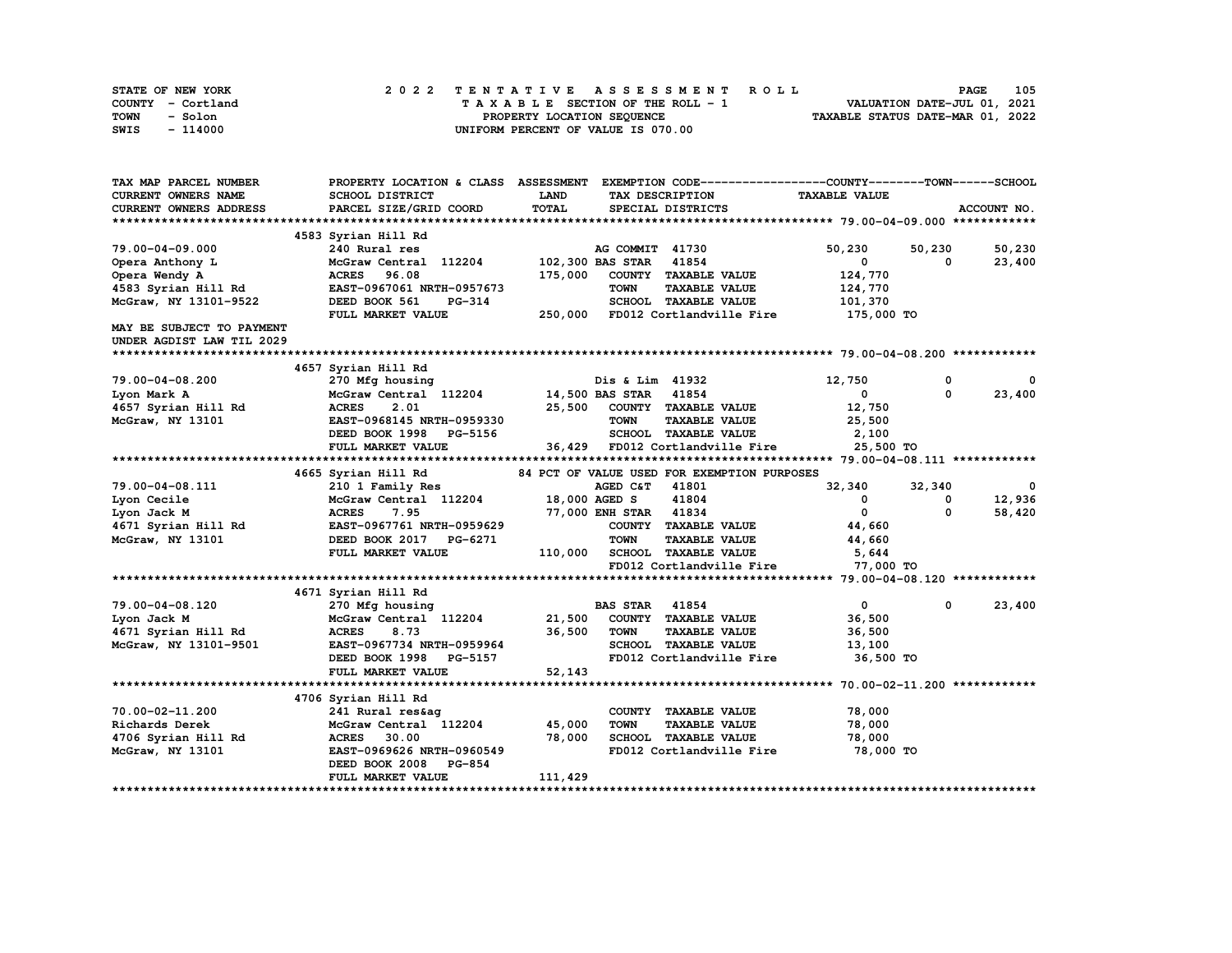| STATE OF NEW YORK | 2022 TENTATIVE ASSESSMENT ROLL     | 105<br><b>PAGE</b>               |
|-------------------|------------------------------------|----------------------------------|
| COUNTY - Cortland | TAXABLE SECTION OF THE ROLL - 1    | VALUATION DATE-JUL 01, 2021      |
| TOWN<br>- Solon   | PROPERTY LOCATION SEQUENCE         | TAXABLE STATUS DATE-MAR 01, 2022 |
| - 114000<br>SWIS  | UNIFORM PERCENT OF VALUE IS 070.00 |                                  |

| TAX MAP PARCEL NUMBER                   | PROPERTY LOCATION & CLASS ASSESSMENT EXEMPTION CODE-----------------COUNTY-------TOWN------SCHOOL |                  |                             |                                              |                      |             |             |
|-----------------------------------------|---------------------------------------------------------------------------------------------------|------------------|-----------------------------|----------------------------------------------|----------------------|-------------|-------------|
| CURRENT OWNERS NAME                     | SCHOOL DISTRICT                                                                                   | <b>LAND</b>      | TAX DESCRIPTION             |                                              | <b>TAXABLE VALUE</b> |             |             |
| CURRENT OWNERS ADDRESS                  | PARCEL SIZE/GRID COORD                                                                            | TOTAL            | SPECIAL DISTRICTS           |                                              |                      |             | ACCOUNT NO. |
|                                         |                                                                                                   |                  |                             |                                              |                      |             |             |
|                                         | 4583 Syrian Hill Rd                                                                               |                  |                             |                                              |                      |             |             |
| 79.00-04-09.000                         | 240 Rural res                                                                                     |                  | AG COMMIT 41730             |                                              | 50,230               | 50,230      | 50,230      |
| Opera Anthony L                         | McGraw Central 112204                                                                             |                  | 102,300 BAS STAR            | 41854                                        | $\mathbf{0}$         | 0           | 23,400      |
| Opera Wendy A                           | ACRES 96.08                                                                                       | 175,000          |                             | COUNTY TAXABLE VALUE                         | 124,770              |             |             |
| 4583 Syrian Hill Rd                     | EAST-0967061 NRTH-0957673                                                                         |                  | <b>TOWN</b>                 | <b>TAXABLE VALUE</b>                         | 124,770              |             |             |
| McGraw, NY 13101-9522                   | DEED BOOK 561<br><b>PG-314</b>                                                                    |                  |                             | SCHOOL TAXABLE VALUE                         | 101,370              |             |             |
|                                         | FULL MARKET VALUE                                                                                 |                  |                             | 250,000 FD012 Cortlandville Fire             | 175,000 TO           |             |             |
| MAY BE SUBJECT TO PAYMENT               |                                                                                                   |                  |                             |                                              |                      |             |             |
| UNDER AGDIST LAW TIL 2029               |                                                                                                   |                  |                             |                                              |                      |             |             |
|                                         |                                                                                                   |                  |                             |                                              |                      |             |             |
|                                         | 4657 Syrian Hill Rd                                                                               |                  |                             |                                              |                      |             |             |
| 79.00-04-08.200                         | 270 Mfg housing                                                                                   |                  | Dis & Lim 41932             |                                              | 12,750               | $\mathbf 0$ | 0           |
| Lyon Mark A                             | McGraw Central 112204                                                                             |                  | <b>14,500 BAS STAR</b>      | 41854                                        | $\mathbf{0}$         | $^{\circ}$  | 23,400      |
| 4657 Syrian Hill Rd                     | <b>ACRES</b><br>2.01                                                                              |                  |                             | 25,500 COUNTY TAXABLE VALUE                  | 12,750               |             |             |
| McGraw, NY 13101                        | EAST-0968145 NRTH-0959330                                                                         |                  | <b>TOWN</b>                 | <b>TAXABLE VALUE</b>                         | 25,500               |             |             |
|                                         | DEED BOOK 1998 PG-5156                                                                            |                  |                             | SCHOOL TAXABLE VALUE                         | 2,100                |             |             |
|                                         | FULL MARKET VALUE                                                                                 |                  |                             | 36,429 FD012 Cortlandville Fire              | 25,500 TO            |             |             |
|                                         |                                                                                                   |                  |                             |                                              |                      |             |             |
|                                         | 4665 Syrian Hill Rd                                                                               |                  |                             | 84 PCT OF VALUE USED FOR EXEMPTION PURPOSES  |                      |             |             |
| 79.00-04-08.111                         | 210 1 Family Res                                                                                  |                  | AGED C&T 41801              |                                              | 32,340               | 32,340      | 0           |
| Lyon Cecile                             | McGraw Central 112204                                                                             |                  | 18,000 AGED S               | 41804                                        | $^{\circ}$           | 0           | 12,936      |
| Lyon Jack M                             | <b>ACRES</b><br>7.95                                                                              |                  | 77,000 ENH STAR 41834       |                                              | $\mathbf 0$          | $\Omega$    | 58,420      |
| 4671 Syrian Hill Rd                     | EAST-0967761 NRTH-0959629                                                                         |                  |                             | COUNTY TAXABLE VALUE                         | 44,660               |             |             |
| McGraw, NY 13101                        | DEED BOOK 2017 PG-6271                                                                            |                  | <b>TOWN</b>                 | <b>TAXABLE VALUE</b>                         | 44,660               |             |             |
|                                         | FULL MARKET VALUE                                                                                 | 110,000          |                             | SCHOOL TAXABLE VALUE                         | 5,644                |             |             |
|                                         |                                                                                                   |                  |                             | FD012 Cortlandville Fire                     | 77,000 TO            |             |             |
|                                         |                                                                                                   |                  |                             |                                              |                      |             |             |
|                                         | 4671 Syrian Hill Rd                                                                               |                  |                             |                                              |                      |             |             |
| 79.00-04-08.120                         | 270 Mfg housing                                                                                   |                  | <b>BAS STAR</b>             | 41854                                        | $\mathbf{0}$         | 0           | 23,400      |
| Lyon Jack M                             | McGraw Central 112204                                                                             |                  | 21,500 COUNTY TAXABLE VALUE |                                              | 36,500               |             |             |
| 4671 Syrian Hill Rd                     | 8.73<br><b>ACRES</b>                                                                              | 36,500           | <b>TOWN</b>                 | <b>TAXABLE VALUE</b>                         | 36,500               |             |             |
| McGraw, NY 13101-9501                   | EAST-0967734 NRTH-0959964                                                                         |                  |                             | SCHOOL TAXABLE VALUE                         | 13,100               |             |             |
|                                         | DEED BOOK 1998 PG-5157                                                                            |                  |                             | FD012 Cortlandville Fire                     | 36,500 TO            |             |             |
|                                         | FULL MARKET VALUE                                                                                 | 52,143           |                             |                                              |                      |             |             |
|                                         |                                                                                                   |                  |                             |                                              |                      |             |             |
|                                         | 4706 Syrian Hill Rd                                                                               |                  |                             |                                              |                      |             |             |
| 70.00-02-11.200                         | 241 Rural res&ag                                                                                  |                  |                             | COUNTY TAXABLE VALUE                         | 78,000               |             |             |
| Richards Derek                          | McGraw Central 112204<br><b>ACRES</b>                                                             | 45,000<br>78,000 | <b>TOWN</b>                 | <b>TAXABLE VALUE</b><br>SCHOOL TAXABLE VALUE | 78,000<br>78,000     |             |             |
| 4706 Syrian Hill Rd<br>McGraw, NY 13101 | 30.00<br>EAST-0969626 NRTH-0960549                                                                |                  |                             | FD012 Cortlandville Fire                     | 78,000 TO            |             |             |
|                                         | DEED BOOK 2008<br><b>PG-854</b>                                                                   |                  |                             |                                              |                      |             |             |
|                                         | FULL MARKET VALUE                                                                                 | 111,429          |                             |                                              |                      |             |             |
|                                         |                                                                                                   |                  |                             |                                              |                      |             |             |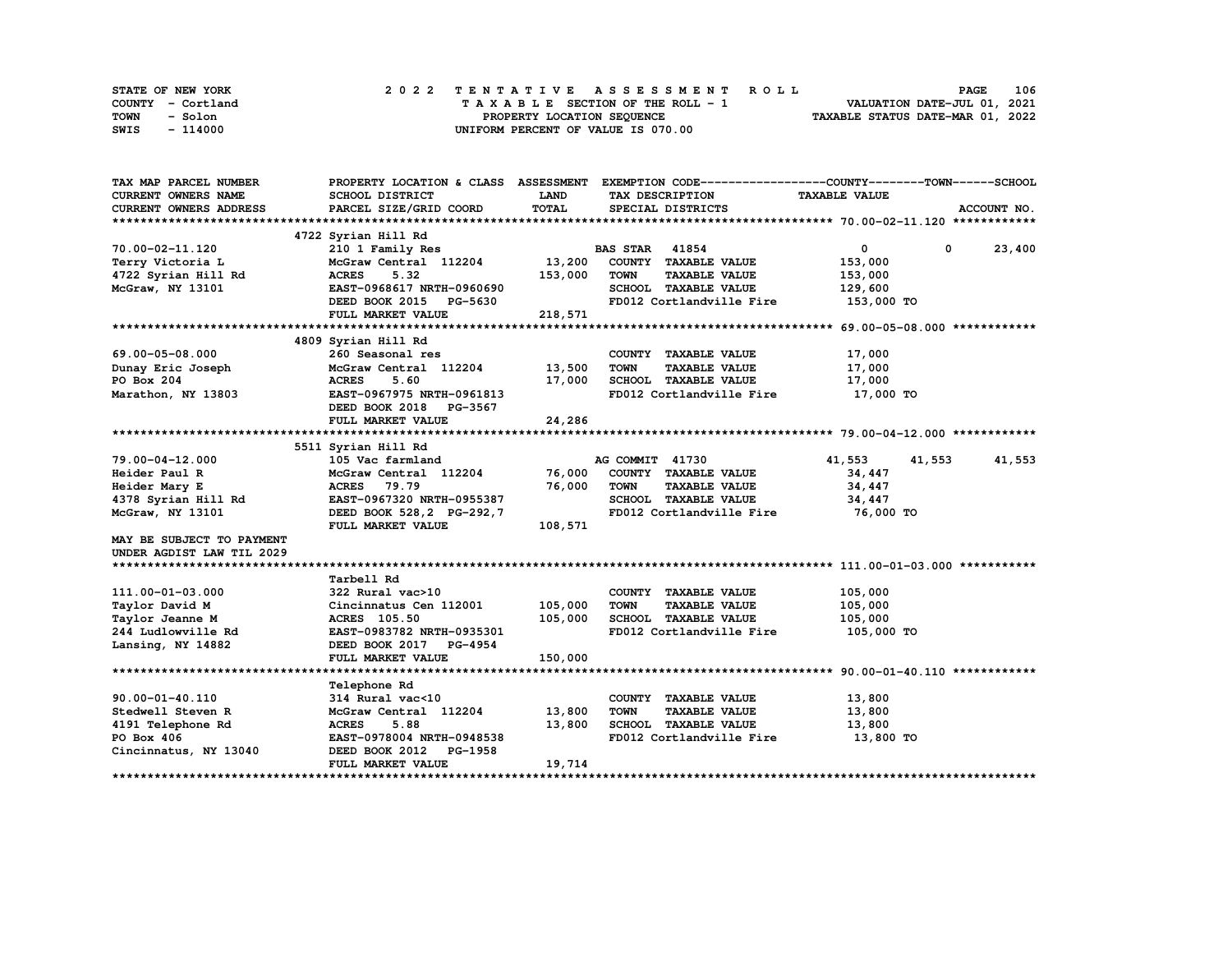| STATE OF NEW YORK | 2022 TENTATIVE ASSESSMENT ROLL     | 106<br><b>PAGE</b>               |
|-------------------|------------------------------------|----------------------------------|
| COUNTY - Cortland | TAXABLE SECTION OF THE ROLL - 1    | VALUATION DATE-JUL 01, 2021      |
| TOWN<br>- Solon   | PROPERTY LOCATION SEQUENCE         | TAXABLE STATUS DATE-MAR 01, 2022 |
| - 114000<br>SWIS  | UNIFORM PERCENT OF VALUE IS 070.00 |                                  |

| TAX MAP PARCEL NUMBER     | PROPERTY LOCATION & CLASS ASSESSMENT |         | EXEMPTION CODE-----------------COUNTY-------TOWN-----SCHOOL |                               |             |
|---------------------------|--------------------------------------|---------|-------------------------------------------------------------|-------------------------------|-------------|
| CURRENT OWNERS NAME       | SCHOOL DISTRICT                      | LAND    | TAX DESCRIPTION                                             | <b>TAXABLE VALUE</b>          |             |
| CURRENT OWNERS ADDRESS    | PARCEL SIZE/GRID COORD               | TOTAL   | SPECIAL DISTRICTS                                           |                               | ACCOUNT NO. |
|                           |                                      |         |                                                             |                               |             |
|                           | 4722 Syrian Hill Rd                  |         |                                                             |                               |             |
| 70.00-02-11.120           | 210 1 Family Res                     |         | <b>BAS STAR 41854</b>                                       | $\overline{0}$<br>$\mathbf 0$ | 23,400      |
| Terry Victoria L          | McGraw Central 112204                | 13,200  | COUNTY TAXABLE VALUE                                        | 153,000                       |             |
| 4722 Syrian Hill Rd       | 5.32<br><b>ACRES</b>                 | 153,000 | <b>TOWN</b><br><b>TAXABLE VALUE</b>                         | 153,000                       |             |
| McGraw, NY 13101          | EAST-0968617 NRTH-0960690            |         | SCHOOL TAXABLE VALUE                                        | 129,600                       |             |
|                           | DEED BOOK 2015 PG-5630               |         | FD012 Cortlandville Fire 153,000 TO                         |                               |             |
|                           | FULL MARKET VALUE                    | 218,571 |                                                             |                               |             |
|                           |                                      |         |                                                             |                               |             |
|                           | 4809 Syrian Hill Rd                  |         |                                                             |                               |             |
| 69.00-05-08.000           | 260 Seasonal res                     |         | COUNTY TAXABLE VALUE                                        | 17,000                        |             |
| Dunay Eric Joseph         | McGraw Central 112204                | 13,500  | <b>TOWN</b><br><b>TAXABLE VALUE</b>                         | 17,000                        |             |
| PO Box 204                | 5.60<br><b>ACRES</b>                 | 17,000  | SCHOOL TAXABLE VALUE                                        | 17,000                        |             |
| Marathon, NY 13803        | EAST-0967975 NRTH-0961813            |         | FD012 Cortlandville Fire                                    | 17,000 TO                     |             |
|                           | DEED BOOK 2018<br>PG-3567            |         |                                                             |                               |             |
|                           | FULL MARKET VALUE                    | 24,286  |                                                             |                               |             |
|                           |                                      |         |                                                             |                               |             |
|                           | 5511 Syrian Hill Rd                  |         |                                                             |                               |             |
| $79.00 - 04 - 12.000$     | 105 Vac farmland                     |         | AG COMMIT 41730                                             | 41,553<br>41,553              | 41,553      |
| Heider Paul R             | McGraw Central 112204                | 76,000  | COUNTY TAXABLE VALUE                                        | 34,447                        |             |
| Heider Mary E             | ACRES 79.79                          | 76,000  | <b>TOWN</b><br><b>TAXABLE VALUE</b>                         | 34,447                        |             |
| 4378 Syrian Hill Rd       | EAST-0967320 NRTH-0955387            |         | SCHOOL TAXABLE VALUE                                        | 34,447                        |             |
| McGraw, NY 13101          | DEED BOOK 528, 2 PG-292, 7           |         | FD012 Cortlandville Fire                                    | 76,000 TO                     |             |
|                           | FULL MARKET VALUE                    | 108,571 |                                                             |                               |             |
| MAY BE SUBJECT TO PAYMENT |                                      |         |                                                             |                               |             |
| UNDER AGDIST LAW TIL 2029 |                                      |         |                                                             |                               |             |
|                           |                                      |         |                                                             |                               |             |
|                           | Tarbell Rd                           |         |                                                             |                               |             |
| 111.00-01-03.000          | 322 Rural vac>10                     |         | COUNTY TAXABLE VALUE                                        | 105,000                       |             |
| Taylor David M            | Cincinnatus Cen 112001               | 105,000 | TOWN<br><b>TAXABLE VALUE</b>                                | 105,000                       |             |
| Taylor Jeanne M           | <b>ACRES</b> 105.50                  | 105,000 | SCHOOL TAXABLE VALUE                                        | 105,000                       |             |
| 244 Ludlowville Rd        | EAST-0983782 NRTH-0935301            |         | FD012 Cortlandville Fire                                    | 105,000 TO                    |             |
| Lansing, NY 14882         | DEED BOOK 2017 PG-4954               |         |                                                             |                               |             |
|                           | FULL MARKET VALUE                    | 150,000 |                                                             |                               |             |
|                           |                                      |         |                                                             |                               |             |
|                           | <b>Telephone Rd</b>                  |         |                                                             |                               |             |
| $90.00 - 01 - 40.110$     | 314 Rural vac<10                     |         | COUNTY TAXABLE VALUE                                        | 13,800                        |             |
| Stedwell Steven R         | McGraw Central 112204                | 13,800  | <b>TOWN</b><br><b>TAXABLE VALUE</b>                         | 13,800                        |             |
| 4191 Telephone Rd         | <b>ACRES</b><br>5.88                 | 13,800  | SCHOOL TAXABLE VALUE                                        | 13,800                        |             |
| PO Box 406                | EAST-0978004 NRTH-0948538            |         | FD012 Cortlandville Fire                                    | 13,800 TO                     |             |
| Cincinnatus, NY 13040     | DEED BOOK 2012<br>PG-1958            |         |                                                             |                               |             |
|                           | FULL MARKET VALUE                    | 19,714  |                                                             |                               |             |
|                           |                                      |         |                                                             |                               |             |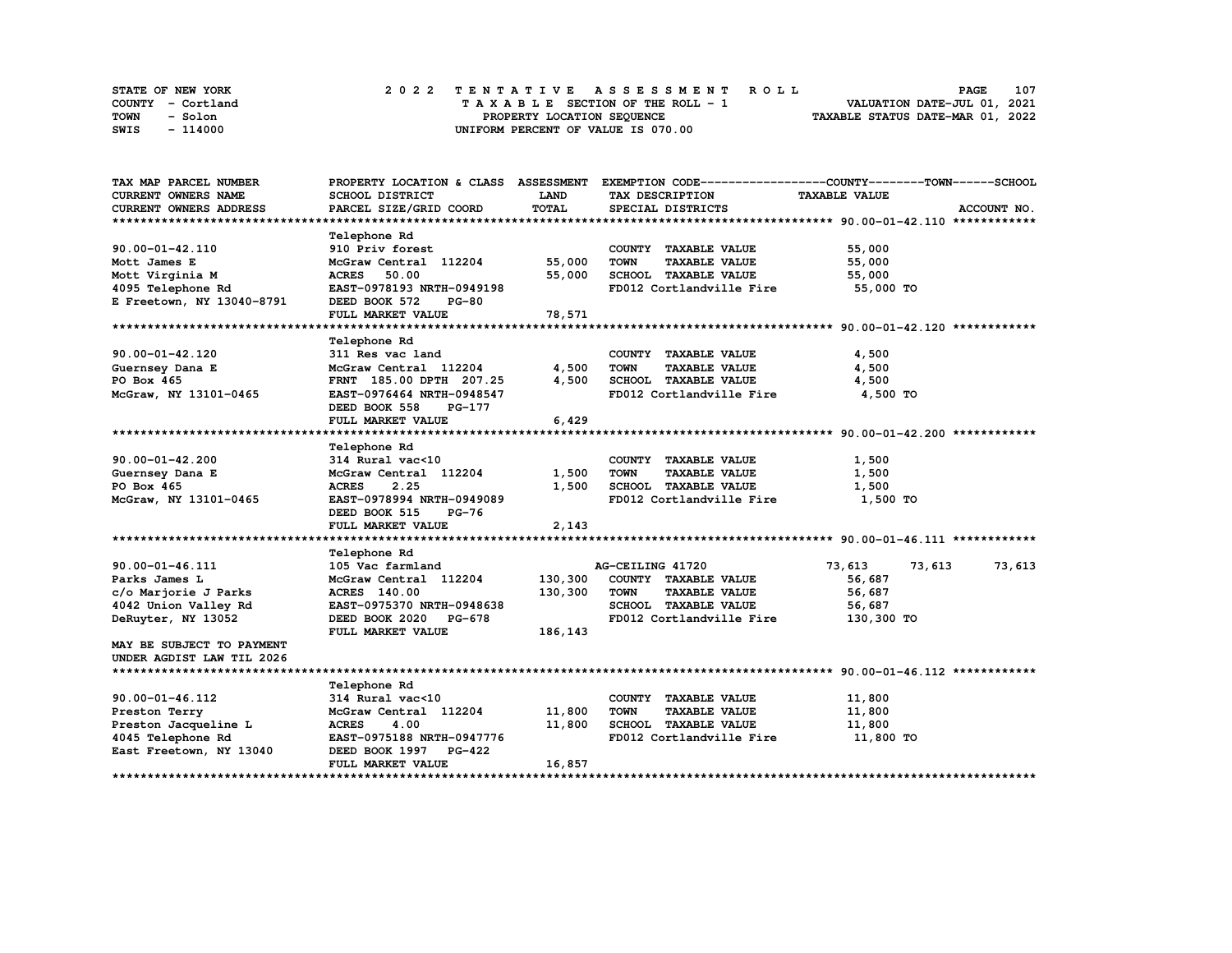| STATE OF NEW YORK | 2022 TENTATIVE ASSESSMENT ROLL     | 107<br><b>PAGE</b>               |
|-------------------|------------------------------------|----------------------------------|
| COUNTY - Cortland | TAXABLE SECTION OF THE ROLL - 1    | VALUATION DATE-JUL 01, 2021      |
| TOWN<br>- Solon   | PROPERTY LOCATION SEQUENCE         | TAXABLE STATUS DATE-MAR 01, 2022 |
| - 114000<br>SWIS  | UNIFORM PERCENT OF VALUE IS 070.00 |                                  |

| TAX MAP PARCEL NUMBER         |                                                    |             |                                     | PROPERTY LOCATION & CLASS ASSESSMENT EXEMPTION CODE----------------COUNTY-------TOWN-----SCHOOL |
|-------------------------------|----------------------------------------------------|-------------|-------------------------------------|-------------------------------------------------------------------------------------------------|
| CURRENT OWNERS NAME           | SCHOOL DISTRICT                                    | <b>LAND</b> | TAX DESCRIPTION                     | <b>TAXABLE VALUE</b>                                                                            |
| <b>CURRENT OWNERS ADDRESS</b> | PARCEL SIZE/GRID COORD                             | TOTAL       | SPECIAL DISTRICTS                   | ACCOUNT NO.                                                                                     |
|                               |                                                    |             |                                     |                                                                                                 |
|                               | Telephone Rd                                       |             |                                     |                                                                                                 |
| 90.00-01-42.110               | 910 Priv forest                                    |             | COUNTY TAXABLE VALUE                | 55,000                                                                                          |
| Mott James E                  | McGraw Central 112204                              | 55,000      | <b>TOWN</b><br><b>TAXABLE VALUE</b> | 55,000                                                                                          |
| Mott Virginia M               | <b>ACRES</b><br>50.00                              | 55,000      | SCHOOL TAXABLE VALUE                | 55,000                                                                                          |
| 4095 Telephone Rd             | EAST-0978193 NRTH-0949198                          |             | FD012 Cortlandville Fire            | 55,000 TO                                                                                       |
| E Freetown, NY 13040-8791     | DEED BOOK 572<br><b>PG-80</b>                      |             |                                     |                                                                                                 |
|                               | FULL MARKET VALUE                                  | 78,571      |                                     |                                                                                                 |
|                               |                                                    |             |                                     |                                                                                                 |
|                               | Telephone Rd                                       |             |                                     |                                                                                                 |
| $90.00 - 01 - 42.120$         | 311 Res vac land                                   |             | COUNTY TAXABLE VALUE                | 4,500                                                                                           |
| Guernsey Dana E               | Jii wes vac land<br>McGraw Central 112204<br>----- | 4,500       | <b>TOWN</b><br><b>TAXABLE VALUE</b> | 4,500                                                                                           |
| PO Box 465                    | FRNT 185.00 DPTH 207.25                            | 4,500       | SCHOOL TAXABLE VALUE                | 4,500                                                                                           |
| McGraw, NY 13101-0465         | EAST-0976464 NRTH-0948547                          |             | FD012 Cortlandville Fire            | 4,500 TO                                                                                        |
|                               | DEED BOOK 558<br><b>PG-177</b>                     |             |                                     |                                                                                                 |
|                               | FULL MARKET VALUE                                  | 6,429       |                                     |                                                                                                 |
|                               |                                                    |             |                                     |                                                                                                 |
|                               | Telephone Rd                                       |             |                                     |                                                                                                 |
| $90.00 - 01 - 42.200$         | 314 Rural vac<10                                   |             | COUNTY TAXABLE VALUE                | 1,500                                                                                           |
| Guernsey Dana E               | McGraw Central 112204                              | 1,500       | <b>TOWN</b><br><b>TAXABLE VALUE</b> | 1,500                                                                                           |
| PO Box 465                    | <b>ACRES</b><br>2.25                               | 1,500       | SCHOOL TAXABLE VALUE                | 1,500                                                                                           |
|                               |                                                    |             |                                     |                                                                                                 |
| McGraw, NY 13101-0465         | <b>EAST-0978994 NRTH-0949089</b>                   |             | FD012 Cortlandville Fire            | 1,500 TO                                                                                        |
|                               | DEED BOOK 515<br>PG-76                             |             |                                     |                                                                                                 |
|                               | FULL MARKET VALUE                                  | 2,143       |                                     |                                                                                                 |
|                               |                                                    |             |                                     |                                                                                                 |
|                               | <b>Telephone Rd</b>                                |             |                                     |                                                                                                 |
| 90.00-01-46.111               | 105 Vac farmland                                   |             | AG-CEILING 41720                    | 73,613<br>73,613<br>73,613                                                                      |
| Parks James L                 | McGraw Central 112204                              | 130,300     | COUNTY TAXABLE VALUE                | 56,687                                                                                          |
| c/o Marjorie J Parks          | <b>ACRES</b> 140.00                                | 130,300     | <b>TOWN</b><br><b>TAXABLE VALUE</b> | 56,687                                                                                          |
| 4042 Union Valley Rd          | EAST-0975370 NRTH-0948638                          |             | SCHOOL TAXABLE VALUE                | 56,687                                                                                          |
| DeRuyter, NY 13052            | DEED BOOK 2020 PG-678                              |             | FD012 Cortlandville Fire            | 130,300 TO                                                                                      |
|                               | FULL MARKET VALUE                                  | 186,143     |                                     |                                                                                                 |
| MAY BE SUBJECT TO PAYMENT     |                                                    |             |                                     |                                                                                                 |
| UNDER AGDIST LAW TIL 2026     |                                                    |             |                                     |                                                                                                 |
|                               |                                                    |             |                                     |                                                                                                 |
|                               | Telephone Rd                                       |             |                                     |                                                                                                 |
| 90.00-01-46.112               | 314 Rural vac<10                                   |             | COUNTY TAXABLE VALUE                | 11,800                                                                                          |
| Preston Terry                 | McGraw Central 112204                              | 11,800      | <b>TOWN</b><br><b>TAXABLE VALUE</b> | 11,800                                                                                          |
| Preston Jacqueline L          |                                                    | 11,800      | SCHOOL TAXABLE VALUE                | 11,800                                                                                          |
| 4045 Telephone Rd             | ACRES 4.00<br>EAST-0975188 NRTH-0947776<br>C-422   |             | FD012 Cortlandville Fire            | 11,800 TO                                                                                       |
| East Freetown, NY 13040       | DEED BOOK 1997 PG-422                              |             |                                     |                                                                                                 |
|                               | FULL MARKET VALUE                                  | 16,857      |                                     |                                                                                                 |
|                               |                                                    |             |                                     |                                                                                                 |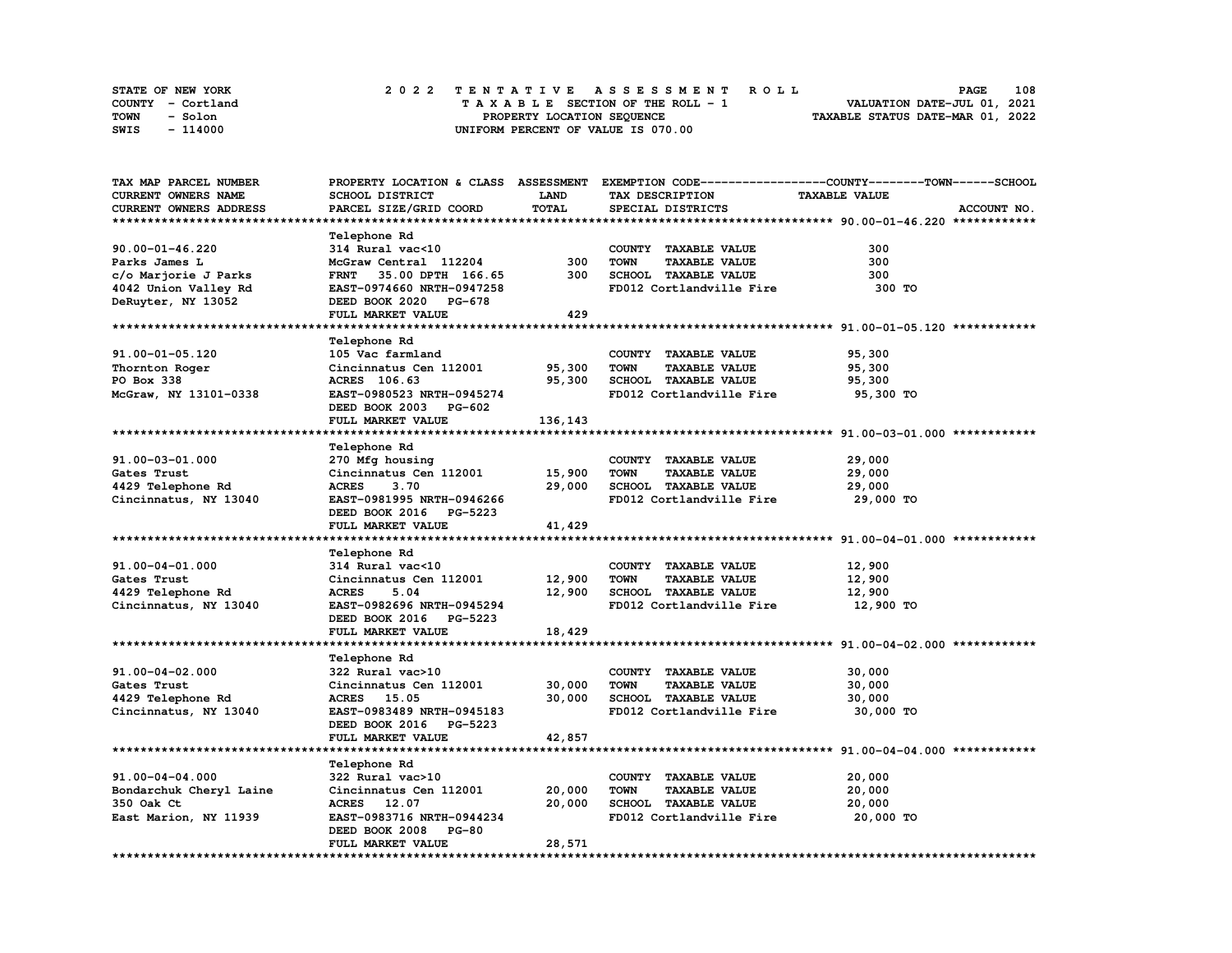| STATE OF NEW YORK | 2022 TENTATIVE ASSESSMENT ROLL     | 108<br><b>PAGE</b>               |
|-------------------|------------------------------------|----------------------------------|
| COUNTY - Cortland | TAXABLE SECTION OF THE ROLL - 1    | VALUATION DATE-JUL 01, 2021      |
| TOWN<br>- Solon   | PROPERTY LOCATION SEQUENCE         | TAXABLE STATUS DATE-MAR 01, 2022 |
| SWIS<br>- 114000  | UNIFORM PERCENT OF VALUE IS 070.00 |                                  |

| TAX MAP PARCEL NUMBER      |                           |             |                                     | PROPERTY LOCATION & CLASS ASSESSMENT EXEMPTION CODE----------------COUNTY-------TOWN------SCHOOL |
|----------------------------|---------------------------|-------------|-------------------------------------|--------------------------------------------------------------------------------------------------|
| <b>CURRENT OWNERS NAME</b> | SCHOOL DISTRICT           | <b>LAND</b> | TAX DESCRIPTION                     | <b>TAXABLE VALUE</b>                                                                             |
| CURRENT OWNERS ADDRESS     | PARCEL SIZE/GRID COORD    | TOTAL       | SPECIAL DISTRICTS                   | ACCOUNT NO.                                                                                      |
|                            |                           |             |                                     |                                                                                                  |
|                            | Telephone Rd              |             |                                     |                                                                                                  |
|                            |                           |             |                                     |                                                                                                  |
| 90.00-01-46.220            | 314 Rural vac<10          |             | COUNTY TAXABLE VALUE                | 300                                                                                              |
| Parks James L              | McGraw Central 112204     | 300         | <b>TOWN</b><br><b>TAXABLE VALUE</b> | 300                                                                                              |
| c/o Marjorie J Parks       | FRNT 35.00 DPTH 166.65    | 300         | SCHOOL TAXABLE VALUE                | 300                                                                                              |
| 4042 Union Valley Rd       | EAST-0974660 NRTH-0947258 |             | FD012 Cortlandville Fire            | 300 TO                                                                                           |
| DeRuyter, NY 13052         | DEED BOOK 2020 PG-678     |             |                                     |                                                                                                  |
|                            | FULL MARKET VALUE         | 429         |                                     |                                                                                                  |
|                            |                           |             |                                     |                                                                                                  |
|                            | <b>Telephone Rd</b>       |             |                                     |                                                                                                  |
| 91.00-01-05.120            | 105 Vac farmland          |             | COUNTY TAXABLE VALUE                | 95,300                                                                                           |
| Thornton Roger             | Cincinnatus Cen 112001    | 95,300      | <b>TOWN</b><br><b>TAXABLE VALUE</b> | 95,300                                                                                           |
|                            |                           |             |                                     |                                                                                                  |
| PO Box 338                 | ACRES 106.63              | 95,300      | SCHOOL TAXABLE VALUE                | 95,300                                                                                           |
| McGraw, NY 13101-0338      | EAST-0980523 NRTH-0945274 |             | FD012 Cortlandville Fire            | 95,300 TO                                                                                        |
|                            | DEED BOOK 2003 PG-602     |             |                                     |                                                                                                  |
|                            | FULL MARKET VALUE         | 136,143     |                                     |                                                                                                  |
|                            |                           |             |                                     |                                                                                                  |
|                            | <b>Telephone Rd</b>       |             |                                     |                                                                                                  |
| 91.00-03-01.000            | 270 Mfg housing           |             | COUNTY TAXABLE VALUE                | 29,000                                                                                           |
| Gates Trust                | Cincinnatus Cen 112001    | 15,900      | <b>TOWN</b><br><b>TAXABLE VALUE</b> | 29,000                                                                                           |
| 4429 Telephone Rd          | <b>ACRES</b><br>3.70      | 29,000      | SCHOOL TAXABLE VALUE                | 29,000                                                                                           |
| Cincinnatus, NY 13040      | EAST-0981995 NRTH-0946266 |             | FD012 Cortlandville Fire            | 29,000 TO                                                                                        |
|                            | DEED BOOK 2016 PG-5223    |             |                                     |                                                                                                  |
|                            | FULL MARKET VALUE         |             |                                     |                                                                                                  |
|                            |                           | 41,429      |                                     |                                                                                                  |
|                            |                           |             |                                     |                                                                                                  |
|                            | Telephone Rd              |             |                                     |                                                                                                  |
| 91.00-04-01.000            | 314 Rural vac<10          |             | COUNTY TAXABLE VALUE                | 12,900                                                                                           |
| Gates Trust                | Cincinnatus Cen 112001    | 12,900      | <b>TOWN</b><br><b>TAXABLE VALUE</b> | 12,900                                                                                           |
| 4429 Telephone Rd          | <b>ACRES</b><br>5.04      | 12,900      | SCHOOL TAXABLE VALUE                | 12,900                                                                                           |
| Cincinnatus, NY 13040      | EAST-0982696 NRTH-0945294 |             | FD012 Cortlandville Fire            | 12,900 TO                                                                                        |
|                            | DEED BOOK 2016 PG-5223    |             |                                     |                                                                                                  |
|                            | FULL MARKET VALUE         | 18,429      |                                     |                                                                                                  |
|                            |                           |             |                                     |                                                                                                  |
|                            | Telephone Rd              |             |                                     |                                                                                                  |
| 91.00-04-02.000            | 322 Rural vac>10          |             | COUNTY TAXABLE VALUE                | 30,000                                                                                           |
| Gates Trust                | Cincinnatus Cen 112001    | 30,000      | <b>TOWN</b><br><b>TAXABLE VALUE</b> | 30,000                                                                                           |
|                            |                           |             |                                     |                                                                                                  |
| 4429 Telephone Rd          | ACRES 15.05               | 30,000      | SCHOOL TAXABLE VALUE                | 30,000                                                                                           |
| Cincinnatus, NY 13040      | EAST-0983489 NRTH-0945183 |             | FD012 Cortlandville Fire            | 30,000 TO                                                                                        |
|                            | DEED BOOK 2016 PG-5223    |             |                                     |                                                                                                  |
|                            | FULL MARKET VALUE         | 42,857      |                                     |                                                                                                  |
|                            |                           |             |                                     |                                                                                                  |
|                            | Telephone Rd              |             |                                     |                                                                                                  |
| 91.00-04-04.000            | 322 Rural vac>10          |             | COUNTY TAXABLE VALUE                | 20,000                                                                                           |
| Bondarchuk Cheryl Laine    | Cincinnatus Cen 112001    | 20,000      | <b>TOWN</b><br><b>TAXABLE VALUE</b> | 20,000                                                                                           |
| 350 Oak Ct                 | ACRES 12.07               | 20,000      | SCHOOL TAXABLE VALUE                | 20,000                                                                                           |
| East Marion, NY 11939      | EAST-0983716 NRTH-0944234 |             | FD012 Cortlandville Fire            | 20,000 TO                                                                                        |
|                            |                           |             |                                     |                                                                                                  |
|                            | DEED BOOK 2008 PG-80      |             |                                     |                                                                                                  |
|                            | FULL MARKET VALUE         | 28,571      |                                     |                                                                                                  |
|                            |                           |             |                                     |                                                                                                  |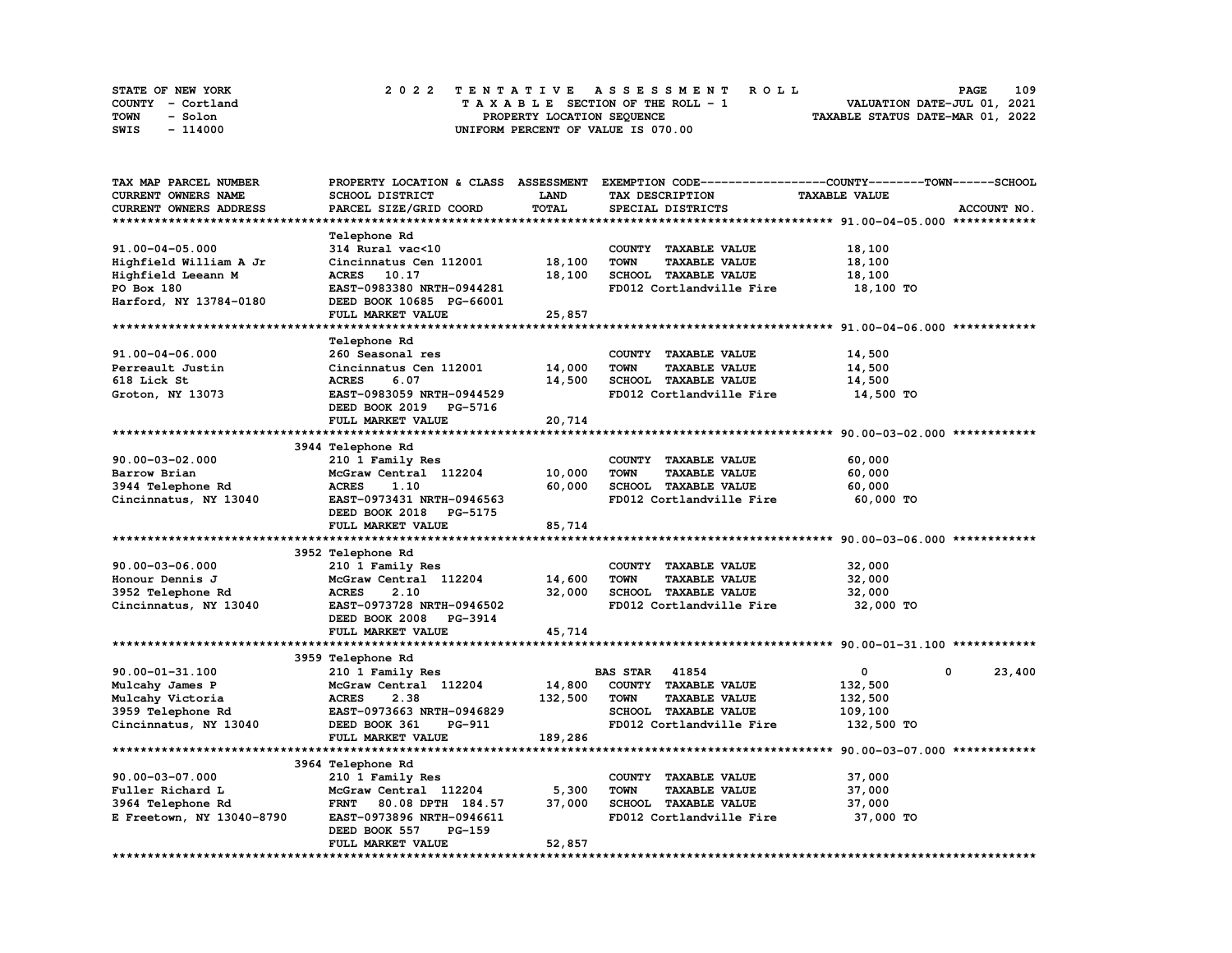| STATE OF NEW YORK | 2022 TENTATIVE ASSESSMENT ROLL     | 109<br><b>PAGE</b>               |
|-------------------|------------------------------------|----------------------------------|
| COUNTY - Cortland | TAXABLE SECTION OF THE ROLL - 1    | VALUATION DATE-JUL 01, 2021      |
| TOWN<br>- Solon   | PROPERTY LOCATION SEQUENCE         | TAXABLE STATUS DATE-MAR 01, 2022 |
| SWIS<br>- 114000  | UNIFORM PERCENT OF VALUE IS 070.00 |                                  |

| TAX MAP PARCEL NUMBER     |                                           |                  | PROPERTY LOCATION & CLASS ASSESSMENT EXEMPTION CODE-----------------COUNTY-------TOWN------SCHOOL |                      |             |
|---------------------------|-------------------------------------------|------------------|---------------------------------------------------------------------------------------------------|----------------------|-------------|
| CURRENT OWNERS NAME       | SCHOOL DISTRICT                           | <b>LAND</b>      | TAX DESCRIPTION                                                                                   | <b>TAXABLE VALUE</b> |             |
| CURRENT OWNERS ADDRESS    | PARCEL SIZE/GRID COORD                    | TOTAL            | SPECIAL DISTRICTS                                                                                 |                      | ACCOUNT NO. |
|                           |                                           |                  |                                                                                                   |                      |             |
|                           | Telephone Rd                              |                  |                                                                                                   |                      |             |
| 91.00-04-05.000           | 314 Rural vac<10                          |                  | COUNTY TAXABLE VALUE                                                                              | 18,100               |             |
| Highfield William A Jr    | Cincinnatus Cen 112001                    | 18,100           | TAXABLE VALUE<br><b>TOWN</b>                                                                      | 18,100               |             |
| Highfield Leeann M        | ACRES 10.17                               | 18,100           | SCHOOL TAXABLE VALUE                                                                              | 18,100               |             |
| PO Box 180                | EAST-0983380 NRTH-0944281                 |                  | FD012 Cortlandville Fire                                                                          | 18,100 TO            |             |
| Harford, NY 13784-0180    | DEED BOOK 10685 PG-66001                  |                  |                                                                                                   |                      |             |
|                           | FULL MARKET VALUE                         | 25,857           |                                                                                                   |                      |             |
|                           |                                           |                  |                                                                                                   |                      |             |
|                           | Telephone Rd                              |                  |                                                                                                   |                      |             |
| 91.00-04-06.000           | 260 Seasonal res                          |                  | COUNTY TAXABLE VALUE                                                                              | 14,500               |             |
| Perreault Justin          | Cincinnatus Cen 112001                    | 14,000           | <b>TOWN</b><br><b>TAXABLE VALUE</b>                                                               | 14,500               |             |
| 618 Lick St               | <b>ACRES</b><br>6.07                      | 14,500           | SCHOOL TAXABLE VALUE                                                                              | 14,500               |             |
| Groton, NY 13073          | EAST-0983059 NRTH-0944529                 |                  | FD012 Cortlandville Fire                                                                          | 14,500 TO            |             |
|                           | DEED BOOK 2019 PG-5716                    |                  |                                                                                                   |                      |             |
|                           | FULL MARKET VALUE                         | 20,714           |                                                                                                   |                      |             |
|                           |                                           |                  |                                                                                                   |                      |             |
|                           | 3944 Telephone Rd                         |                  |                                                                                                   |                      |             |
| $90.00 - 03 - 02.000$     |                                           |                  | COUNTY TAXABLE VALUE                                                                              | 60,000               |             |
|                           | 210 1 Family Res<br>McGraw Central 112204 |                  |                                                                                                   |                      |             |
| Barrow Brian              |                                           | 10,000<br>60,000 | TOWN<br><b>TAXABLE VALUE</b>                                                                      | 60,000               |             |
| 3944 Telephone Rd         | <b>ACRES</b><br>1.10                      |                  | SCHOOL TAXABLE VALUE                                                                              | 60,000               |             |
| Cincinnatus, NY 13040     | EAST-0973431 NRTH-0946563                 |                  | FD012 Cortlandville Fire                                                                          | 60,000 TO            |             |
|                           | DEED BOOK 2018 PG-5175                    |                  |                                                                                                   |                      |             |
|                           | FULL MARKET VALUE                         | 85,714           |                                                                                                   |                      |             |
|                           |                                           |                  |                                                                                                   |                      |             |
|                           | 3952 Telephone Rd                         |                  |                                                                                                   |                      |             |
| $90.00 - 03 - 06.000$     | 210 1 Family Res                          |                  | COUNTY TAXABLE VALUE                                                                              | 32,000               |             |
| Honour Dennis J           | McGraw Central 112204                     | 14,600           | <b>TOWN</b><br><b>TAXABLE VALUE</b>                                                               | 32,000               |             |
| 3952 Telephone Rd         | <b>ACRES</b><br>2.10                      | 32,000           | SCHOOL TAXABLE VALUE                                                                              | 32,000               |             |
| Cincinnatus, NY 13040     | EAST-0973728 NRTH-0946502                 |                  | FD012 Cortlandville Fire                                                                          | 32,000 TO            |             |
|                           | DEED BOOK 2008<br><b>PG-3914</b>          |                  |                                                                                                   |                      |             |
|                           | FULL MARKET VALUE                         | 45,714           |                                                                                                   |                      |             |
|                           |                                           |                  |                                                                                                   |                      |             |
|                           | 3959 Telephone Rd                         |                  |                                                                                                   |                      |             |
| 90.00-01-31.100           | 210 1 Family Res                          |                  | <b>BAS STAR 41854</b>                                                                             | $\mathbf 0$<br>0     | 23,400      |
| Mulcahy James P           | McGraw Central 112204                     | 14,800           | COUNTY TAXABLE VALUE                                                                              | 132,500              |             |
| Mulcahy Victoria          | <b>ACRES</b><br>2.38                      | 132,500          | <b>TAXABLE VALUE</b><br><b>TOWN</b>                                                               | 132,500              |             |
| 3959 Telephone Rd         | EAST-0973663 NRTH-0946829                 |                  | SCHOOL TAXABLE VALUE                                                                              | 109,100              |             |
| Cincinnatus, NY 13040     | DEED BOOK 361<br>PG-911                   |                  | FD012 Cortlandville Fire                                                                          | 132,500 TO           |             |
|                           | FULL MARKET VALUE                         | 189,286          |                                                                                                   |                      |             |
|                           |                                           |                  |                                                                                                   |                      |             |
|                           | 3964 Telephone Rd                         |                  |                                                                                                   |                      |             |
| 90.00-03-07.000           | 210 1 Family Res                          |                  | COUNTY TAXABLE VALUE                                                                              | 37,000               |             |
| Fuller Richard L          | McGraw Central 112204                     | 5,300            | <b>TOWN</b><br><b>TAXABLE VALUE</b>                                                               | 37,000               |             |
| 3964 Telephone Rd         | <b>FRNT</b><br>80.08 DPTH 184.57          | 37,000           | SCHOOL TAXABLE VALUE                                                                              | 37,000               |             |
| E Freetown, NY 13040-8790 | EAST-0973896 NRTH-0946611                 |                  | FD012 Cortlandville Fire                                                                          | 37,000 TO            |             |
|                           | DEED BOOK 557<br>PG-159                   |                  |                                                                                                   |                      |             |
|                           | FULL MARKET VALUE                         | 52,857           |                                                                                                   |                      |             |
|                           |                                           |                  |                                                                                                   |                      |             |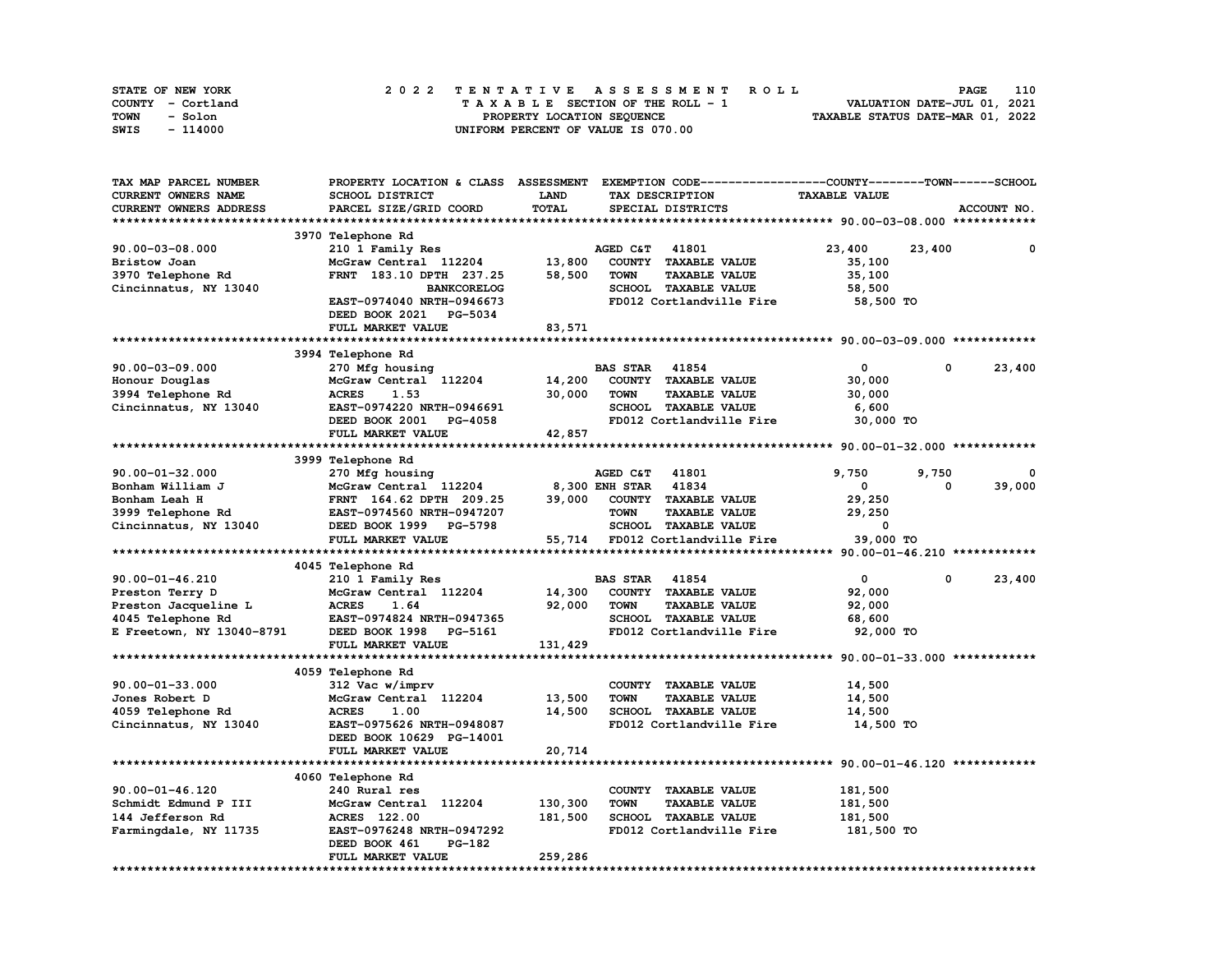| STATE OF NEW YORK | 2022 TENTATIVE ASSESSMENT ROLL     | 110<br><b>PAGE</b>               |
|-------------------|------------------------------------|----------------------------------|
| COUNTY - Cortland | TAXABLE SECTION OF THE ROLL - 1    | VALUATION DATE-JUL 01, 2021      |
| TOWN<br>- Solon   | PROPERTY LOCATION SEQUENCE         | TAXABLE STATUS DATE-MAR 01, 2022 |
| - 114000<br>SWIS  | UNIFORM PERCENT OF VALUE IS 070.00 |                                  |

| TAX MAP PARCEL NUMBER     | PROPERTY LOCATION & CLASS ASSESSMENT EXEMPTION CODE-----------------COUNTY-------TOWN-----SCHOOL |             |                      |                                 |                      |            |             |
|---------------------------|--------------------------------------------------------------------------------------------------|-------------|----------------------|---------------------------------|----------------------|------------|-------------|
| CURRENT OWNERS NAME       | SCHOOL DISTRICT                                                                                  | <b>LAND</b> |                      | TAX DESCRIPTION                 | <b>TAXABLE VALUE</b> |            |             |
| CURRENT OWNERS ADDRESS    | PARCEL SIZE/GRID COORD                                                                           | TOTAL       |                      | SPECIAL DISTRICTS               |                      |            | ACCOUNT NO. |
|                           |                                                                                                  |             |                      |                                 |                      |            |             |
|                           | 3970 Telephone Rd                                                                                |             |                      |                                 |                      |            |             |
| $90.00 - 03 - 08.000$     | 210 1 Family Res                                                                                 |             | AGED C&T             | 41801                           | 23,400               | 23,400     | 0           |
| Bristow Joan              | McGraw Central 112204                                                                            | 13,800      |                      | COUNTY TAXABLE VALUE            | 35,100               |            |             |
| 3970 Telephone Rd         | FRNT 183.10 DPTH 237.25                                                                          | 58,500      | <b>TOWN</b>          | <b>TAXABLE VALUE</b>            | 35,100               |            |             |
| Cincinnatus, NY 13040     | <b>BANKCORELOG</b>                                                                               |             |                      | SCHOOL TAXABLE VALUE            | 58,500               |            |             |
|                           | EAST-0974040 NRTH-0946673                                                                        |             |                      | FD012 Cortlandville Fire        | 58,500 TO            |            |             |
|                           | DEED BOOK 2021 PG-5034                                                                           |             |                      |                                 |                      |            |             |
|                           | FULL MARKET VALUE                                                                                | 83,571      |                      |                                 |                      |            |             |
|                           |                                                                                                  |             |                      |                                 |                      |            |             |
|                           | 3994 Telephone Rd                                                                                |             |                      |                                 |                      |            |             |
| 90.00-03-09.000           | 270 Mfg housing                                                                                  |             | <b>BAS STAR</b>      | 41854                           | $\mathbf{0}$         | $^{\circ}$ | 23,400      |
| Honour Douglas            | McGraw Central 112204                                                                            | 14,200      |                      | COUNTY TAXABLE VALUE            | 30,000               |            |             |
| 3994 Telephone Rd         | <b>ACRES</b><br>1.53                                                                             | 30,000      | <b>TOWN</b>          | <b>TAXABLE VALUE</b>            | 30,000               |            |             |
| Cincinnatus, NY 13040     | EAST-0974220 NRTH-0946691                                                                        |             |                      | SCHOOL TAXABLE VALUE            | 6,600                |            |             |
|                           | DEED BOOK 2001 PG-4058                                                                           |             |                      | FD012 Cortlandville Fire        | 30,000 TO            |            |             |
|                           | FULL MARKET VALUE                                                                                | 42,857      |                      |                                 |                      |            |             |
|                           |                                                                                                  |             |                      |                                 |                      |            |             |
|                           | 3999 Telephone Rd                                                                                |             |                      |                                 |                      |            |             |
| $90.00 - 01 - 32.000$     | 270 Mfg housing                                                                                  |             | AGED C&T 41801       |                                 | 9,750                | 9,750      | 0           |
| Bonham William J          | McGraw Central 112204                                                                            |             | 8,300 ENH STAR 41834 |                                 | 0                    | 0          | 39,000      |
| Bonham Leah H             | FRNT 164.62 DPTH 209.25                                                                          | 39,000      |                      | COUNTY TAXABLE VALUE            | 29,250               |            |             |
| 3999 Telephone Rd         | EAST-0974560 NRTH-0947207                                                                        |             | <b>TOWN</b>          | <b>TAXABLE VALUE</b>            | 29,250               |            |             |
| Cincinnatus, NY 13040     | DEED BOOK 1999 PG-5798                                                                           |             |                      | SCHOOL TAXABLE VALUE            | 0                    |            |             |
|                           | FULL MARKET VALUE                                                                                |             |                      | 55,714 FD012 Cortlandville Fire | 39,000 TO            |            |             |
|                           |                                                                                                  |             |                      |                                 |                      |            |             |
|                           | 4045 Telephone Rd                                                                                |             |                      |                                 |                      |            |             |
| $90.00 - 01 - 46.210$     | 210 1 Family Res                                                                                 |             | <b>BAS STAR</b>      | 41854                           | 0                    | 0          | 23,400      |
| Preston Terry D           | McGraw Central 112204                                                                            | 14,300      |                      | COUNTY TAXABLE VALUE            | 92,000               |            |             |
| Preston Jacqueline L      | <b>ACRES</b><br>1.64                                                                             | 92,000      | <b>TOWN</b>          | <b>TAXABLE VALUE</b>            | 92,000               |            |             |
| 4045 Telephone Rd         | EAST-0974824 NRTH-0947365                                                                        |             |                      | <b>SCHOOL TAXABLE VALUE</b>     | 68,600               |            |             |
| E Freetown, NY 13040-8791 | DEED BOOK 1998 PG-5161                                                                           |             |                      | FD012 Cortlandville Fire        | 92,000 TO            |            |             |
|                           | FULL MARKET VALUE                                                                                | 131,429     |                      |                                 |                      |            |             |
|                           |                                                                                                  |             |                      |                                 |                      |            |             |
|                           | 4059 Telephone Rd                                                                                |             |                      |                                 |                      |            |             |
| $90.00 - 01 - 33.000$     | 312 Vac w/imprv                                                                                  |             |                      | COUNTY TAXABLE VALUE            | 14,500               |            |             |
| Jones Robert D            | McGraw Central 112204                                                                            | 13,500      | <b>TOWN</b>          | <b>TAXABLE VALUE</b>            | 14,500               |            |             |
| 4059 Telephone Rd         | <b>ACRES</b><br>1.00                                                                             | 14,500      |                      | SCHOOL TAXABLE VALUE            | 14,500               |            |             |
| Cincinnatus, NY 13040     | EAST-0975626 NRTH-0948087                                                                        |             |                      | FD012 Cortlandville Fire        | 14,500 TO            |            |             |
|                           | DEED BOOK 10629 PG-14001                                                                         |             |                      |                                 |                      |            |             |
|                           | FULL MARKET VALUE                                                                                | 20,714      |                      |                                 |                      |            |             |
|                           |                                                                                                  |             |                      |                                 |                      |            |             |
|                           | 4060 Telephone Rd                                                                                |             |                      |                                 |                      |            |             |
| 90.00-01-46.120           | 240 Rural res                                                                                    |             |                      | COUNTY TAXABLE VALUE            | 181,500              |            |             |
| Schmidt Edmund P III      | McGraw Central 112204                                                                            | 130,300     | TOWN                 | <b>TAXABLE VALUE</b>            | 181,500              |            |             |
| 144 Jefferson Rd          | ACRES 122.00                                                                                     | 181,500     |                      | <b>SCHOOL TAXABLE VALUE</b>     | 181,500              |            |             |
| Farmingdale, NY 11735     | EAST-0976248 NRTH-0947292                                                                        |             |                      | FD012 Cortlandville Fire        | 181,500 TO           |            |             |
|                           | DEED BOOK 461<br>PG-182                                                                          |             |                      |                                 |                      |            |             |
|                           | FULL MARKET VALUE                                                                                | 259,286     |                      |                                 |                      |            |             |
|                           |                                                                                                  |             |                      |                                 |                      |            |             |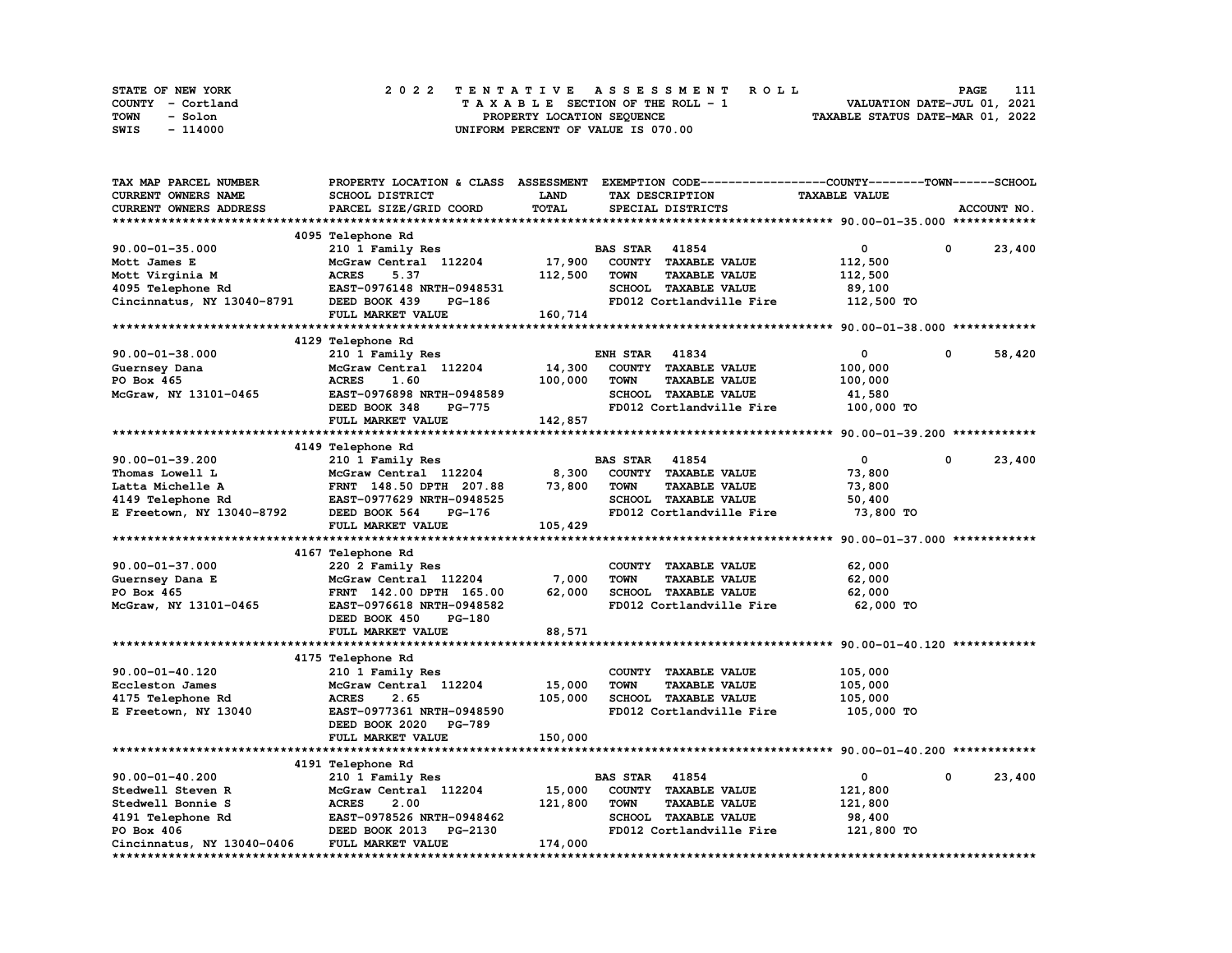| STATE OF NEW YORK | 2022 TENTATIVE ASSESSMENT ROLL     | 111<br>PAGE                      |
|-------------------|------------------------------------|----------------------------------|
| COUNTY - Cortland | TAXABLE SECTION OF THE ROLL - 1    | VALUATION DATE-JUL 01, 2021      |
| TOWN<br>- Solon   | PROPERTY LOCATION SEQUENCE         | TAXABLE STATUS DATE-MAR 01, 2022 |
| SWIS<br>- 114000  | UNIFORM PERCENT OF VALUE IS 070.00 |                                  |

| TAX MAP PARCEL NUMBER      | PROPERTY LOCATION & CLASS ASSESSMENT |              |                       |                          | EXEMPTION CODE-----------------COUNTY-------TOWN-----SCHOOL |             |             |
|----------------------------|--------------------------------------|--------------|-----------------------|--------------------------|-------------------------------------------------------------|-------------|-------------|
| CURRENT OWNERS NAME        | <b>SCHOOL DISTRICT</b>               | <b>LAND</b>  |                       | TAX DESCRIPTION          | <b>TAXABLE VALUE</b>                                        |             |             |
| CURRENT OWNERS ADDRESS     | PARCEL SIZE/GRID COORD               | <b>TOTAL</b> |                       | SPECIAL DISTRICTS        |                                                             |             | ACCOUNT NO. |
|                            |                                      |              |                       |                          |                                                             |             |             |
|                            | 4095 Telephone Rd                    |              |                       |                          |                                                             |             |             |
| $90.00 - 01 - 35.000$      | 210 1 Family Res                     |              | <b>BAS STAR</b> 41854 |                          | $\mathbf 0$                                                 | $\mathbf 0$ | 23,400      |
| Mott James E               | McGraw Central 112204                | 17,900       |                       | COUNTY TAXABLE VALUE     | 112,500                                                     |             |             |
| Mott Virginia M            | <b>ACRES</b><br>5.37                 | 112,500      | <b>TOWN</b>           | <b>TAXABLE VALUE</b>     | 112,500                                                     |             |             |
| 4095 Telephone Rd          | EAST-0976148 NRTH-0948531            |              |                       | SCHOOL TAXABLE VALUE     | 89,100                                                      |             |             |
| Cincinnatus, NY 13040-8791 | DEED BOOK 439<br>PG-186              |              |                       | FD012 Cortlandville Fire | 112,500 TO                                                  |             |             |
|                            | FULL MARKET VALUE                    | 160,714      |                       |                          |                                                             |             |             |
|                            |                                      |              |                       |                          |                                                             |             |             |
|                            | 4129 Telephone Rd                    |              |                       |                          |                                                             |             |             |
| $90.00 - 01 - 38.000$      | 210 1 Family Res                     |              | <b>ENH STAR 41834</b> |                          | $\mathbf 0$                                                 | 0           | 58,420      |
| Guernsey Dana              | McGraw Central 112204                | 14,300       |                       | COUNTY TAXABLE VALUE     | 100,000                                                     |             |             |
| PO Box 465                 | <b>ACRES</b><br>1.60                 |              | <b>TOWN</b>           | <b>TAXABLE VALUE</b>     |                                                             |             |             |
|                            |                                      | 100,000      |                       |                          | 100,000                                                     |             |             |
| McGraw, NY 13101-0465      | EAST-0976898 NRTH-0948589            |              |                       | SCHOOL TAXABLE VALUE     | 41,580                                                      |             |             |
|                            | DEED BOOK 348<br><b>PG-775</b>       |              |                       | FD012 Cortlandville Fire | 100,000 TO                                                  |             |             |
|                            | FULL MARKET VALUE                    | 142,857      |                       |                          |                                                             |             |             |
|                            |                                      |              |                       |                          |                                                             |             |             |
|                            | 4149 Telephone Rd                    |              |                       |                          |                                                             |             |             |
| $90.00 - 01 - 39.200$      | 210 1 Family Res                     |              | <b>BAS STAR 41854</b> |                          | $\mathbf{0}$                                                | $^{\circ}$  | 23,400      |
| Thomas Lowell L            | McGraw Central 112204                | 8,300        |                       | COUNTY TAXABLE VALUE     | 73,800                                                      |             |             |
| Latta Michelle A           | FRNT 148.50 DPTH 207.88              | 73,800       | <b>TOWN</b>           | <b>TAXABLE VALUE</b>     | 73,800                                                      |             |             |
| 4149 Telephone Rd          | EAST-0977629 NRTH-0948525            |              |                       | SCHOOL TAXABLE VALUE     | 50,400                                                      |             |             |
| E Freetown, NY 13040-8792  | DEED BOOK 564<br>PG-176              |              |                       | FD012 Cortlandville Fire | 73,800 TO                                                   |             |             |
|                            | FULL MARKET VALUE                    | 105,429      |                       |                          |                                                             |             |             |
|                            |                                      |              |                       |                          |                                                             |             |             |
|                            | 4167 Telephone Rd                    |              |                       |                          |                                                             |             |             |
| $90.00 - 01 - 37.000$      | 220 2 Family Res                     |              |                       | COUNTY TAXABLE VALUE     | 62,000                                                      |             |             |
| Guernsey Dana E            | McGraw Central 112204                | 7,000        | <b>TOWN</b>           | <b>TAXABLE VALUE</b>     | 62,000                                                      |             |             |
| PO Box 465                 | FRNT 142.00 DPTH 165.00              | 62,000       |                       | SCHOOL TAXABLE VALUE     | 62,000                                                      |             |             |
| McGraw, NY 13101-0465      | EAST-0976618 NRTH-0948582            |              |                       | FD012 Cortlandville Fire | 62,000 TO                                                   |             |             |
|                            | DEED BOOK 450<br><b>PG-180</b>       |              |                       |                          |                                                             |             |             |
|                            | FULL MARKET VALUE                    | 88,571       |                       |                          |                                                             |             |             |
|                            |                                      |              |                       |                          |                                                             |             |             |
|                            | 4175 Telephone Rd                    |              |                       |                          |                                                             |             |             |
| 90.00-01-40.120            | 210 1 Family Res                     |              |                       | COUNTY TAXABLE VALUE     | 105,000                                                     |             |             |
| Eccleston James            | McGraw Central 112204                | 15,000       | <b>TOWN</b>           | <b>TAXABLE VALUE</b>     | 105,000                                                     |             |             |
| 4175 Telephone Rd          | <b>ACRES</b><br>2.65                 | 105,000      |                       | SCHOOL TAXABLE VALUE     | 105,000                                                     |             |             |
|                            | EAST-0977361 NRTH-0948590            |              |                       | FD012 Cortlandville Fire |                                                             |             |             |
| E Freetown, NY 13040       |                                      |              |                       |                          | 105,000 TO                                                  |             |             |
|                            | DEED BOOK 2020 PG-789                |              |                       |                          |                                                             |             |             |
|                            | FULL MARKET VALUE                    | 150,000      |                       |                          |                                                             |             |             |
|                            |                                      |              |                       |                          |                                                             |             |             |
|                            | 4191 Telephone Rd                    |              |                       |                          |                                                             |             |             |
| $90.00 - 01 - 40.200$      | 210 1 Family Res                     |              | <b>BAS STAR</b>       | 41854                    | $\mathbf 0$                                                 | 0           | 23,400      |
| Stedwell Steven R          | McGraw Central 112204                | 15,000       |                       | COUNTY TAXABLE VALUE     | 121,800                                                     |             |             |
| Stedwell Bonnie S          | <b>ACRES</b><br>2.00                 | 121,800      | <b>TOWN</b>           | <b>TAXABLE VALUE</b>     | 121,800                                                     |             |             |
| 4191 Telephone Rd          | EAST-0978526 NRTH-0948462            |              |                       | SCHOOL TAXABLE VALUE     | 98,400                                                      |             |             |
| PO Box 406                 | DEED BOOK 2013<br><b>PG-2130</b>     |              |                       | FD012 Cortlandville Fire | 121,800 TO                                                  |             |             |
| Cincinnatus, NY 13040-0406 | FULL MARKET VALUE                    | 174,000      |                       |                          |                                                             |             |             |
|                            |                                      |              |                       |                          |                                                             |             |             |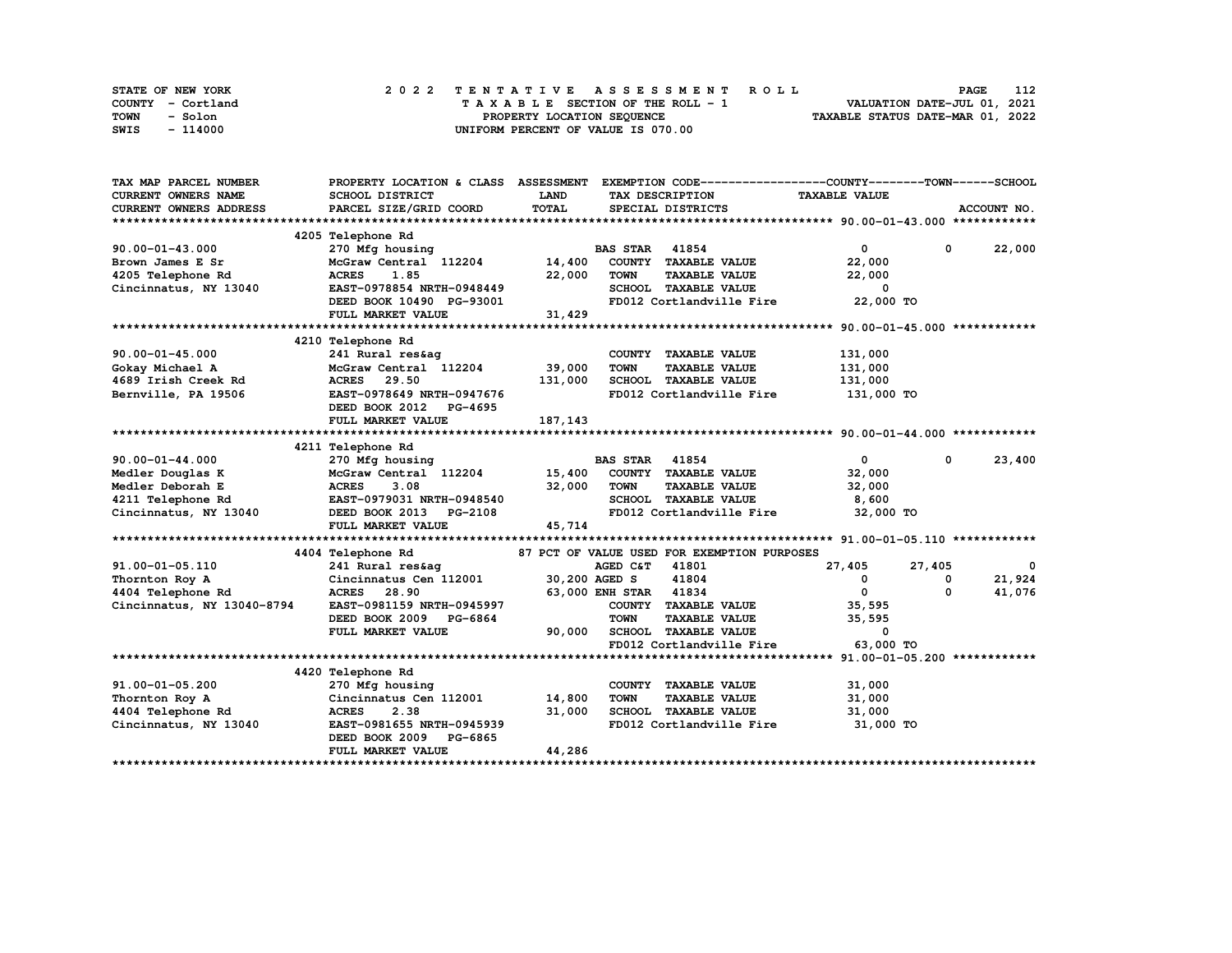| STATE OF NEW YORK | 2022 TENTATIVE ASSESSMENT ROLL     | 112<br>PAGE                      |
|-------------------|------------------------------------|----------------------------------|
| COUNTY - Cortland | TAXABLE SECTION OF THE ROLL - 1    | VALUATION DATE-JUL 01, 2021      |
| TOWN<br>- Solon   | PROPERTY LOCATION SEQUENCE         | TAXABLE STATUS DATE-MAR 01, 2022 |
| SWIS<br>- 114000  | UNIFORM PERCENT OF VALUE IS 070.00 |                                  |

| TAX MAP PARCEL NUMBER      | PROPERTY LOCATION & CLASS ASSESSMENT |             |                       | EXEMPTION CODE-----------------COUNTY-------TOWN------SCHOOL |                      |             |             |
|----------------------------|--------------------------------------|-------------|-----------------------|--------------------------------------------------------------|----------------------|-------------|-------------|
| <b>CURRENT OWNERS NAME</b> | SCHOOL DISTRICT                      | <b>LAND</b> |                       | TAX DESCRIPTION                                              | <b>TAXABLE VALUE</b> |             |             |
| CURRENT OWNERS ADDRESS     | PARCEL SIZE/GRID COORD               | TOTAL       |                       | SPECIAL DISTRICTS                                            |                      |             | ACCOUNT NO. |
|                            |                                      |             |                       |                                                              |                      |             |             |
|                            | 4205 Telephone Rd                    |             |                       |                                                              |                      |             |             |
| $90.00 - 01 - 43.000$      | 270 Mfg housing                      |             | <b>BAS STAR 41854</b> |                                                              | $\mathbf{0}$         | $\mathbf 0$ | 22,000      |
| Brown James E Sr           | McGraw Central 112204                | 14,400      |                       | COUNTY TAXABLE VALUE                                         | 22,000               |             |             |
| 4205 Telephone Rd          | 1.85<br><b>ACRES</b>                 | 22,000      | <b>TOWN</b>           | <b>TAXABLE VALUE</b>                                         | 22,000               |             |             |
| Cincinnatus, NY 13040      | EAST-0978854 NRTH-0948449            |             |                       | SCHOOL TAXABLE VALUE                                         | 0                    |             |             |
|                            | DEED BOOK 10490 PG-93001             |             |                       | FD012 Cortlandville Fire                                     | 22,000 TO            |             |             |
|                            | FULL MARKET VALUE                    | 31,429      |                       |                                                              |                      |             |             |
|                            |                                      |             |                       |                                                              |                      |             |             |
|                            | 4210 Telephone Rd                    |             |                       |                                                              |                      |             |             |
| $90.00 - 01 - 45.000$      | 241 Rural res&ag                     |             |                       | COUNTY TAXABLE VALUE                                         | 131,000              |             |             |
| Gokay Michael A            | McGraw Central 112204                | 39,000      | <b>TOWN</b>           | <b>TAXABLE VALUE</b>                                         | 131,000              |             |             |
| 4689 Irish Creek Rd        | <b>ACRES</b> 29.50                   | 131,000     |                       | SCHOOL TAXABLE VALUE                                         | 131,000              |             |             |
| Bernville, PA 19506        | EAST-0978649 NRTH-0947676            |             |                       | FD012 Cortlandville Fire                                     | 131,000 TO           |             |             |
|                            | DEED BOOK 2012 PG-4695               |             |                       |                                                              |                      |             |             |
|                            | FULL MARKET VALUE                    | 187,143     |                       |                                                              |                      |             |             |
|                            |                                      |             |                       |                                                              |                      |             |             |
|                            | 4211 Telephone Rd                    |             |                       |                                                              |                      |             |             |
| $90.00 - 01 - 44.000$      | 270 Mfg housing                      |             | <b>BAS STAR 41854</b> |                                                              | $\mathbf{0}$         | $^{\circ}$  | 23,400      |
| Medler Douglas K           | McGraw Central 112204                | 15,400      |                       | COUNTY TAXABLE VALUE                                         | 32,000               |             |             |
| Medler Deborah E           | <b>ACRES</b><br>3.08                 | 32,000      | <b>TOWN</b>           | <b>TAXABLE VALUE</b>                                         | 32,000               |             |             |
| 4211 Telephone Rd          | EAST-0979031 NRTH-0948540            |             |                       | SCHOOL TAXABLE VALUE                                         | 8,600                |             |             |
| Cincinnatus, NY 13040      | DEED BOOK 2013<br>PG-2108            |             |                       | FD012 Cortlandville Fire                                     | 32,000 TO            |             |             |
|                            | FULL MARKET VALUE                    | 45,714      |                       |                                                              |                      |             |             |
|                            |                                      |             |                       |                                                              |                      |             |             |
|                            | 4404 Telephone Rd                    |             |                       | 87 PCT OF VALUE USED FOR EXEMPTION PURPOSES                  |                      |             |             |
| 91.00-01-05.110            | 241 Rural res&ag                     |             | AGED C&T              | 41801                                                        | 27,405               | 27,405      |             |
| Thornton Roy A             | Cincinnatus Cen 112001               |             | 30,200 AGED S         | 41804                                                        | 0                    | 0           | 21,924      |
| 4404 Telephone Rd          | <b>ACRES</b><br>28.90                |             | 63,000 ENH STAR 41834 |                                                              | $\mathbf{0}$         | 0           | 41,076      |
| Cincinnatus, NY 13040-8794 | EAST-0981159 NRTH-0945997            |             | COUNTY                | <b>TAXABLE VALUE</b>                                         | 35,595               |             |             |
|                            | DEED BOOK 2009 PG-6864               |             | <b>TOWN</b>           | <b>TAXABLE VALUE</b>                                         | 35,595               |             |             |
|                            | FULL MARKET VALUE                    | 90,000      |                       | SCHOOL TAXABLE VALUE                                         | 0                    |             |             |
|                            |                                      |             |                       | FD012 Cortlandville Fire                                     | 63,000 TO            |             |             |
|                            |                                      |             |                       |                                                              |                      |             |             |
|                            | 4420 Telephone Rd                    |             |                       |                                                              |                      |             |             |
| 91.00-01-05.200            | 270 Mfg housing                      |             |                       | COUNTY TAXABLE VALUE                                         | 31,000               |             |             |
| Thornton Roy A             | Cincinnatus Cen 112001               | 14,800      | <b>TOWN</b>           | <b>TAXABLE VALUE</b>                                         | 31,000               |             |             |
| 4404 Telephone Rd          | <b>ACRES</b><br>2.38                 | 31,000      |                       | SCHOOL TAXABLE VALUE                                         | 31,000               |             |             |
| Cincinnatus, NY 13040      | EAST-0981655 NRTH-0945939            |             |                       | FD012 Cortlandville Fire                                     | 31,000 TO            |             |             |
|                            | DEED BOOK 2009 PG-6865               |             |                       |                                                              |                      |             |             |
|                            | FULL MARKET VALUE                    | 44,286      |                       |                                                              |                      |             |             |
|                            |                                      |             |                       |                                                              |                      |             |             |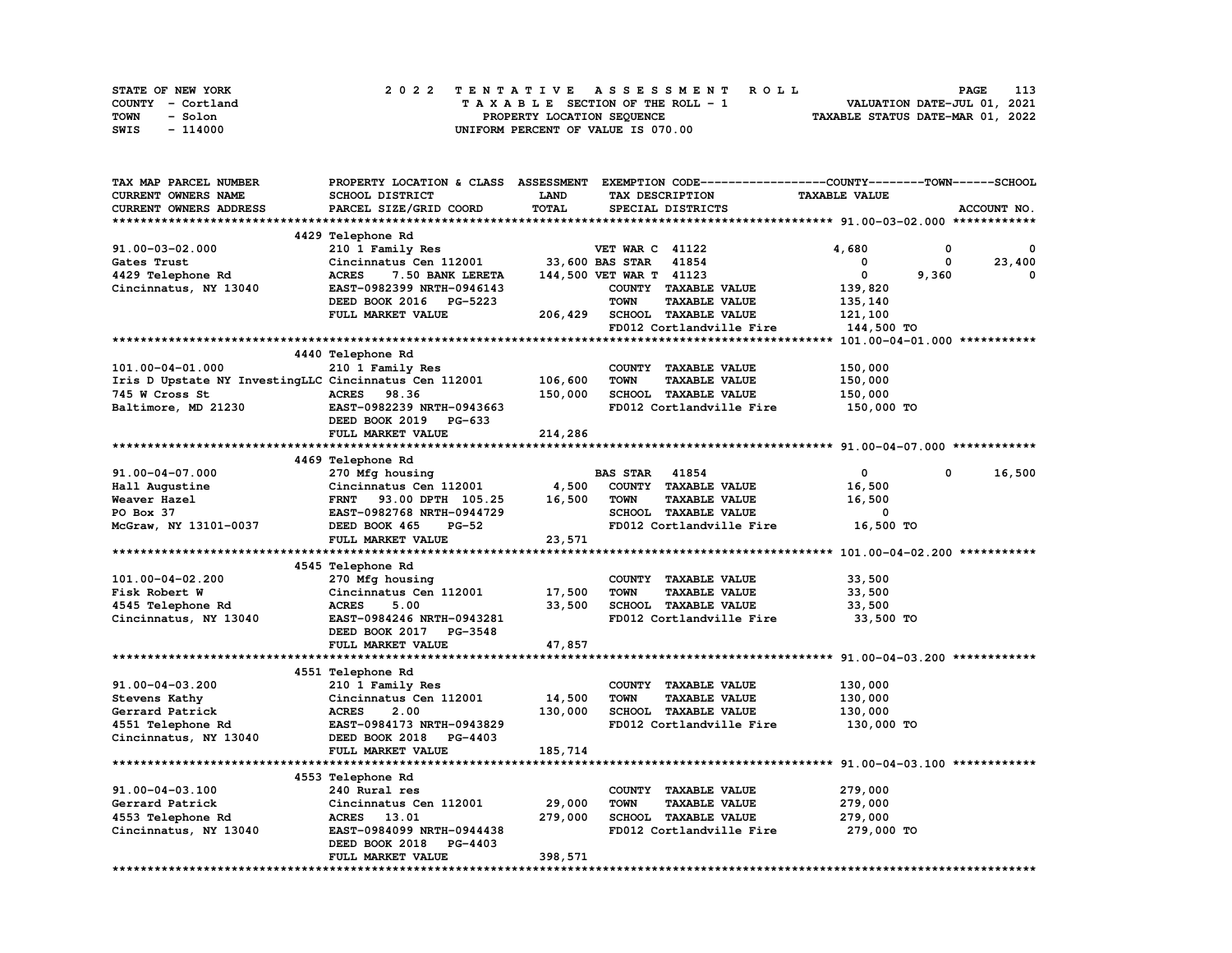| STATE OF NEW YORK | 2022 TENTATIVE ASSESSMENT ROLL     | 113<br><b>PAGE</b>               |
|-------------------|------------------------------------|----------------------------------|
| COUNTY - Cortland | TAXABLE SECTION OF THE ROLL - 1    | VALUATION DATE-JUL 01, 2021      |
| TOWN<br>- Solon   | PROPERTY LOCATION SEQUENCE         | TAXABLE STATUS DATE-MAR 01, 2022 |
| - 114000<br>SWIS  | UNIFORM PERCENT OF VALUE IS 070.00 |                                  |

| TAX MAP PARCEL NUMBER                                 | PROPERTY LOCATION & CLASS ASSESSMENT EXEMPTION CODE-----------------COUNTY-------TOWN------SCHOOL |         |                         |                             |                      |       |             |
|-------------------------------------------------------|---------------------------------------------------------------------------------------------------|---------|-------------------------|-----------------------------|----------------------|-------|-------------|
| CURRENT OWNERS NAME                                   | SCHOOL DISTRICT                                                                                   | LAND    |                         | TAX DESCRIPTION             | <b>TAXABLE VALUE</b> |       |             |
| CURRENT OWNERS ADDRESS                                | PARCEL SIZE/GRID COORD                                                                            | TOTAL   |                         | SPECIAL DISTRICTS           |                      |       | ACCOUNT NO. |
|                                                       |                                                                                                   |         |                         |                             |                      |       |             |
|                                                       | 4429 Telephone Rd                                                                                 |         |                         |                             |                      |       |             |
| $91.00 - 03 - 02.000$                                 | 210 1 Family Res                                                                                  |         | <b>VET WAR C 41122</b>  |                             | 4,680                | 0     | 0           |
| Gates Trust                                           | Cincinnatus Cen 112001                                                                            |         | 33,600 BAS STAR         | 41854                       | 0                    | 0     | 23,400      |
| 4429 Telephone Rd                                     | <b>ACRES</b><br>7.50 BANK LERETA                                                                  |         | 144,500 VET WAR T 41123 |                             | 0                    | 9,360 | 0           |
| Cincinnatus, NY 13040                                 | EAST-0982399 NRTH-0946143                                                                         |         |                         | COUNTY TAXABLE VALUE        | 139,820              |       |             |
|                                                       | DEED BOOK 2016 PG-5223                                                                            |         | <b>TOWN</b>             | <b>TAXABLE VALUE</b>        | 135,140              |       |             |
|                                                       | FULL MARKET VALUE                                                                                 | 206,429 |                         | SCHOOL TAXABLE VALUE        | 121,100              |       |             |
|                                                       |                                                                                                   |         |                         | FD012 Cortlandville Fire    | 144,500 TO           |       |             |
|                                                       |                                                                                                   |         |                         |                             |                      |       |             |
|                                                       |                                                                                                   |         |                         |                             |                      |       |             |
|                                                       | 4440 Telephone Rd                                                                                 |         |                         |                             |                      |       |             |
| 101.00-04-01.000                                      | 210 1 Family Res                                                                                  |         |                         | COUNTY TAXABLE VALUE        | 150,000              |       |             |
| Iris D Upstate NY InvestingLLC Cincinnatus Cen 112001 |                                                                                                   | 106,600 | <b>TOWN</b>             | <b>TAXABLE VALUE</b>        | 150,000              |       |             |
| 745 W Cross St                                        | <b>ACRES</b><br>98.36                                                                             | 150,000 |                         | SCHOOL TAXABLE VALUE        | 150,000              |       |             |
| Baltimore, MD 21230                                   | EAST-0982239 NRTH-0943663                                                                         |         |                         | FD012 Cortlandville Fire    | 150,000 TO           |       |             |
|                                                       | DEED BOOK 2019 PG-633                                                                             |         |                         |                             |                      |       |             |
|                                                       | FULL MARKET VALUE                                                                                 | 214,286 |                         |                             |                      |       |             |
|                                                       |                                                                                                   |         |                         |                             |                      |       |             |
|                                                       | 4469 Telephone Rd                                                                                 |         |                         |                             |                      |       |             |
| 91.00-04-07.000                                       | 270 Mfg housing                                                                                   |         | <b>BAS STAR</b> 41854   |                             | 0                    | 0     | 16,500      |
| Hall Augustine                                        | Cincinnatus Cen 112001                                                                            | 4,500   |                         | COUNTY TAXABLE VALUE        | 16,500               |       |             |
| Weaver Hazel                                          | FRNT 93.00 DPTH 105.25                                                                            | 16,500  | <b>TOWN</b>             | <b>TAXABLE VALUE</b>        | 16,500               |       |             |
| PO Box 37                                             | EAST-0982768 NRTH-0944729                                                                         |         |                         | SCHOOL TAXABLE VALUE        | 0                    |       |             |
| McGraw, NY 13101-0037                                 | DEED BOOK 465<br><b>PG-52</b>                                                                     |         |                         | FD012 Cortlandville Fire    | 16,500 TO            |       |             |
|                                                       | FULL MARKET VALUE                                                                                 | 23,571  |                         |                             |                      |       |             |
|                                                       |                                                                                                   |         |                         |                             |                      |       |             |
|                                                       | 4545 Telephone Rd                                                                                 |         |                         |                             |                      |       |             |
| 101.00-04-02.200                                      | 270 Mfg housing                                                                                   |         |                         | COUNTY TAXABLE VALUE        | 33,500               |       |             |
| Fisk Robert W                                         | Cincinnatus Cen 112001                                                                            | 17,500  | <b>TOWN</b>             | <b>TAXABLE VALUE</b>        | 33,500               |       |             |
| 4545 Telephone Rd                                     | <b>ACRES</b><br>5.00                                                                              | 33,500  |                         | SCHOOL TAXABLE VALUE        | 33,500               |       |             |
| Cincinnatus, NY 13040                                 | EAST-0984246 NRTH-0943281                                                                         |         |                         | FD012 Cortlandville Fire    | 33,500 TO            |       |             |
|                                                       | DEED BOOK 2017 PG-3548                                                                            |         |                         |                             |                      |       |             |
|                                                       | FULL MARKET VALUE                                                                                 | 47,857  |                         |                             |                      |       |             |
|                                                       |                                                                                                   |         |                         |                             |                      |       |             |
|                                                       | 4551 Telephone Rd                                                                                 |         |                         |                             |                      |       |             |
| 91.00-04-03.200                                       | 210 1 Family Res                                                                                  |         |                         | COUNTY TAXABLE VALUE        | 130,000              |       |             |
| Stevens Kathy                                         | Cincinnatus Cen 112001                                                                            | 14,500  | <b>TOWN</b>             | <b>TAXABLE VALUE</b>        | 130,000              |       |             |
| Gerrard Patrick                                       | <b>ACRES</b><br>2.00                                                                              | 130,000 |                         | SCHOOL TAXABLE VALUE        | 130,000              |       |             |
| 4551 Telephone Rd                                     | EAST-0984173 NRTH-0943829                                                                         |         |                         | FD012 Cortlandville Fire    | 130,000 TO           |       |             |
| Cincinnatus, NY 13040                                 | DEED BOOK 2018<br>PG-4403                                                                         |         |                         |                             |                      |       |             |
|                                                       | FULL MARKET VALUE                                                                                 | 185,714 |                         |                             |                      |       |             |
|                                                       |                                                                                                   |         |                         |                             |                      |       |             |
|                                                       | 4553 Telephone Rd                                                                                 |         |                         |                             |                      |       |             |
| 91.00-04-03.100                                       | 240 Rural res                                                                                     |         |                         | COUNTY TAXABLE VALUE        | 279,000              |       |             |
| Gerrard Patrick                                       | Cincinnatus Cen 112001                                                                            | 29,000  | TOWN                    | <b>TAXABLE VALUE</b>        | 279,000              |       |             |
| 4553 Telephone Rd                                     | ACRES 13.01                                                                                       | 279,000 |                         | <b>SCHOOL TAXABLE VALUE</b> | 279,000              |       |             |
| Cincinnatus, NY 13040                                 | EAST-0984099 NRTH-0944438                                                                         |         |                         | FD012 Cortlandville Fire    | 279,000 TO           |       |             |
|                                                       | DEED BOOK 2018<br>PG-4403                                                                         |         |                         |                             |                      |       |             |
|                                                       |                                                                                                   |         |                         |                             |                      |       |             |
|                                                       | FULL MARKET VALUE                                                                                 | 398,571 |                         |                             |                      |       |             |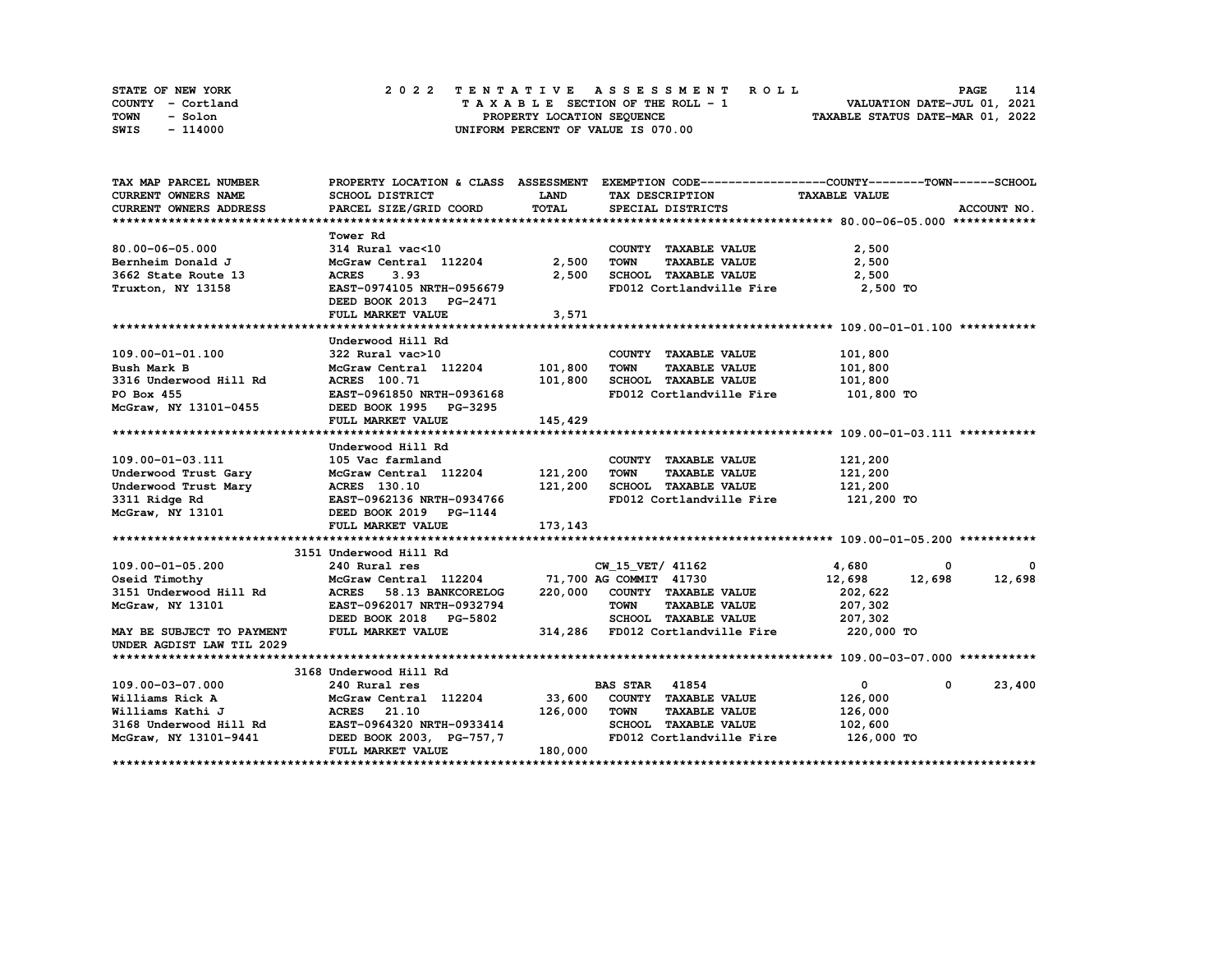| STATE OF NEW YORK | 2022 TENTATIVE ASSESSMENT ROLL     | 114<br><b>PAGE</b>               |
|-------------------|------------------------------------|----------------------------------|
| COUNTY - Cortland | TAXABLE SECTION OF THE ROLL - 1    | VALUATION DATE-JUL 01, 2021      |
| TOWN<br>- Solon   | PROPERTY LOCATION SEQUENCE         | TAXABLE STATUS DATE-MAR 01, 2022 |
| SWIS<br>- 114000  | UNIFORM PERCENT OF VALUE IS 070.00 |                                  |

| TAX MAP PARCEL NUMBER                                                                                                                                                                                                                    |                                              |              | PROPERTY LOCATION & CLASS ASSESSMENT EXEMPTION CODE-----------------COUNTY-------TOWN------SCHOOL               |                  |                        |
|------------------------------------------------------------------------------------------------------------------------------------------------------------------------------------------------------------------------------------------|----------------------------------------------|--------------|-----------------------------------------------------------------------------------------------------------------|------------------|------------------------|
| CURRENT OWNERS NAME                                                                                                                                                                                                                      | SCHOOL DISTRICT                              | <b>LAND</b>  | TAX DESCRIPTION TAXABLE VALUE                                                                                   |                  |                        |
| CURRENT OWNERS ADDRESS                                                                                                                                                                                                                   | PARCEL SIZE/GRID COORD                       | <b>TOTAL</b> | SPECIAL DISTRICTS                                                                                               |                  | ACCOUNT NO.            |
|                                                                                                                                                                                                                                          |                                              |              |                                                                                                                 |                  |                        |
|                                                                                                                                                                                                                                          | <b>Tower Rd</b>                              |              |                                                                                                                 |                  |                        |
| $80.00 - 06 - 05.000$                                                                                                                                                                                                                    | 314 Rural vac<10                             |              | COUNTY TAXABLE VALUE                                                                                            | 2,500            |                        |
| Bernheim Donald J                                                                                                                                                                                                                        | McGraw Central 112204 2,500                  |              | <b>TAXABLE VALUE</b><br><b>TOWN</b>                                                                             | 2,500            |                        |
| 3662 State Route 13                                                                                                                                                                                                                      | <b>ACRES</b><br>3.93                         | 2,500        | SCHOOL TAXABLE VALUE                                                                                            | 2,500            |                        |
| Truxton, NY 13158                                                                                                                                                                                                                        | EAST-0974105 NRTH-0956679                    |              | FD012 Cortlandville Fire 2,500 TO                                                                               |                  |                        |
|                                                                                                                                                                                                                                          | DEED BOOK 2013 PG-2471                       |              |                                                                                                                 |                  |                        |
|                                                                                                                                                                                                                                          | FULL MARKET VALUE                            | 3,571        |                                                                                                                 |                  |                        |
|                                                                                                                                                                                                                                          |                                              |              |                                                                                                                 |                  |                        |
|                                                                                                                                                                                                                                          | Underwood Hill Rd                            |              |                                                                                                                 |                  |                        |
| 109.00-01-01.100                                                                                                                                                                                                                         | 322 Rural vac>10                             |              | COUNTY TAXABLE VALUE                                                                                            | 101,800          |                        |
| Bush Mark B                                                                                                                                                                                                                              | McGraw Central 112204 101,800                |              | <b>TOWN</b><br><b>TAXABLE VALUE</b>                                                                             | 101,800          |                        |
| 3316 Underwood Hill Rd                                                                                                                                                                                                                   |                                              |              | ACRES 100.71 101,800 SCHOOL TAXABLE VALUE 101,800<br>EAST-0961850 NRTH-0936168 FD012 Cortlandville Fire 101.000 |                  |                        |
| PO Box 455                                                                                                                                                                                                                               |                                              |              |                                                                                                                 | 101,800 TO       |                        |
| McGraw, NY 13101-0455                                                                                                                                                                                                                    | DEED BOOK 1995 PG-3295                       |              |                                                                                                                 |                  |                        |
|                                                                                                                                                                                                                                          | FULL MARKET VALUE                            | 145,429      |                                                                                                                 |                  |                        |
|                                                                                                                                                                                                                                          |                                              |              |                                                                                                                 |                  |                        |
|                                                                                                                                                                                                                                          | Underwood Hill Rd                            |              |                                                                                                                 |                  |                        |
|                                                                                                                                                                                                                                          |                                              |              | COUNTY TAXABLE VALUE                                                                                            | 121,200          |                        |
| 109.00-01-03.111 105 Vac farmland<br>Underwood Trust Gary McGraw Central 112204 121,200<br>Underwood Trust Mary ACRES 130.10 121,200<br>3311 Ridge Rd EAST-0962136 NRTH-0934766<br>McGraw, NY 13101 DEED BOOK 2019 PG-1144<br>WEGRAM, NY |                                              |              | <b>TOWN</b><br><b>TAXABLE VALUE</b>                                                                             | 121,200          |                        |
|                                                                                                                                                                                                                                          |                                              |              | SCHOOL TAXABLE VALUE 121,200                                                                                    |                  |                        |
|                                                                                                                                                                                                                                          |                                              |              | FD012 Cortlandville Fire 121,200 TO                                                                             |                  |                        |
|                                                                                                                                                                                                                                          |                                              |              |                                                                                                                 |                  |                        |
|                                                                                                                                                                                                                                          | FULL MARKET VALUE                            | 173, 143     |                                                                                                                 |                  |                        |
|                                                                                                                                                                                                                                          |                                              |              |                                                                                                                 |                  |                        |
|                                                                                                                                                                                                                                          | 3151 Underwood Hill Rd                       |              |                                                                                                                 |                  |                        |
| 109.00-01-05.200                                                                                                                                                                                                                         | 240 Rural res                                |              | CW 15 VET/ 41162                                                                                                | 4,680<br>0       | 0                      |
| Oseid Timothy                                                                                                                                                                                                                            | McGraw Central 112204 71,700 AG COMMIT 41730 |              |                                                                                                                 | 12,698<br>12,698 | 12,698                 |
| 3151 Underwood Hill Rd                                                                                                                                                                                                                   | ACRES 58.13 BANKCORELOG                      |              | 220,000 COUNTY TAXABLE VALUE                                                                                    | 202,622          |                        |
| McGraw, NY 13101                                                                                                                                                                                                                         | EAST-0962017 NRTH-0932794                    |              | TOWN<br><b>TAXABLE VALUE</b>                                                                                    | 207,302          |                        |
|                                                                                                                                                                                                                                          | DEED BOOK 2018 PG-5802                       |              | SCHOOL TAXABLE VALUE 207,302                                                                                    |                  |                        |
| MAY BE SUBJECT TO PAYMENT                                                                                                                                                                                                                | FULL MARKET VALUE                            |              | 314,286 FD012 Cortlandville Fire                                                                                | 220,000 TO       |                        |
| UNDER AGDIST LAW TIL 2029                                                                                                                                                                                                                |                                              |              |                                                                                                                 |                  |                        |
|                                                                                                                                                                                                                                          |                                              |              |                                                                                                                 |                  |                        |
|                                                                                                                                                                                                                                          | 3168 Underwood Hill Rd                       |              |                                                                                                                 |                  |                        |
| 109.00-03-07.000                                                                                                                                                                                                                         | 240 Rural res                                |              | <b>BAS STAR 41854</b>                                                                                           | $\bullet$        | 23,400<br>$\mathbf{0}$ |
| Williams Rick A                                                                                                                                                                                                                          | McGraw Central 112204 33,600                 |              | COUNTY TAXABLE VALUE                                                                                            | 126,000          |                        |
| Williams Kathi J                                                                                                                                                                                                                         | <b>ACRES</b> 21.10                           | 126,000 TOWN | <b>TAXABLE VALUE</b>                                                                                            | 126,000          |                        |
| 3168 Underwood Hill Rd EAST-0964320 NRTH-0933414                                                                                                                                                                                         |                                              |              | SCHOOL TAXABLE VALUE                                                                                            | 102,600          |                        |
| McGraw, NY 13101-9441 DEED BOOK 2003, PG-757,7                                                                                                                                                                                           |                                              |              | FD012 Cortlandville Fire 126,000 TO                                                                             |                  |                        |
|                                                                                                                                                                                                                                          | FULL MARKET VALUE                            | 180,000      |                                                                                                                 |                  |                        |
|                                                                                                                                                                                                                                          |                                              |              |                                                                                                                 |                  |                        |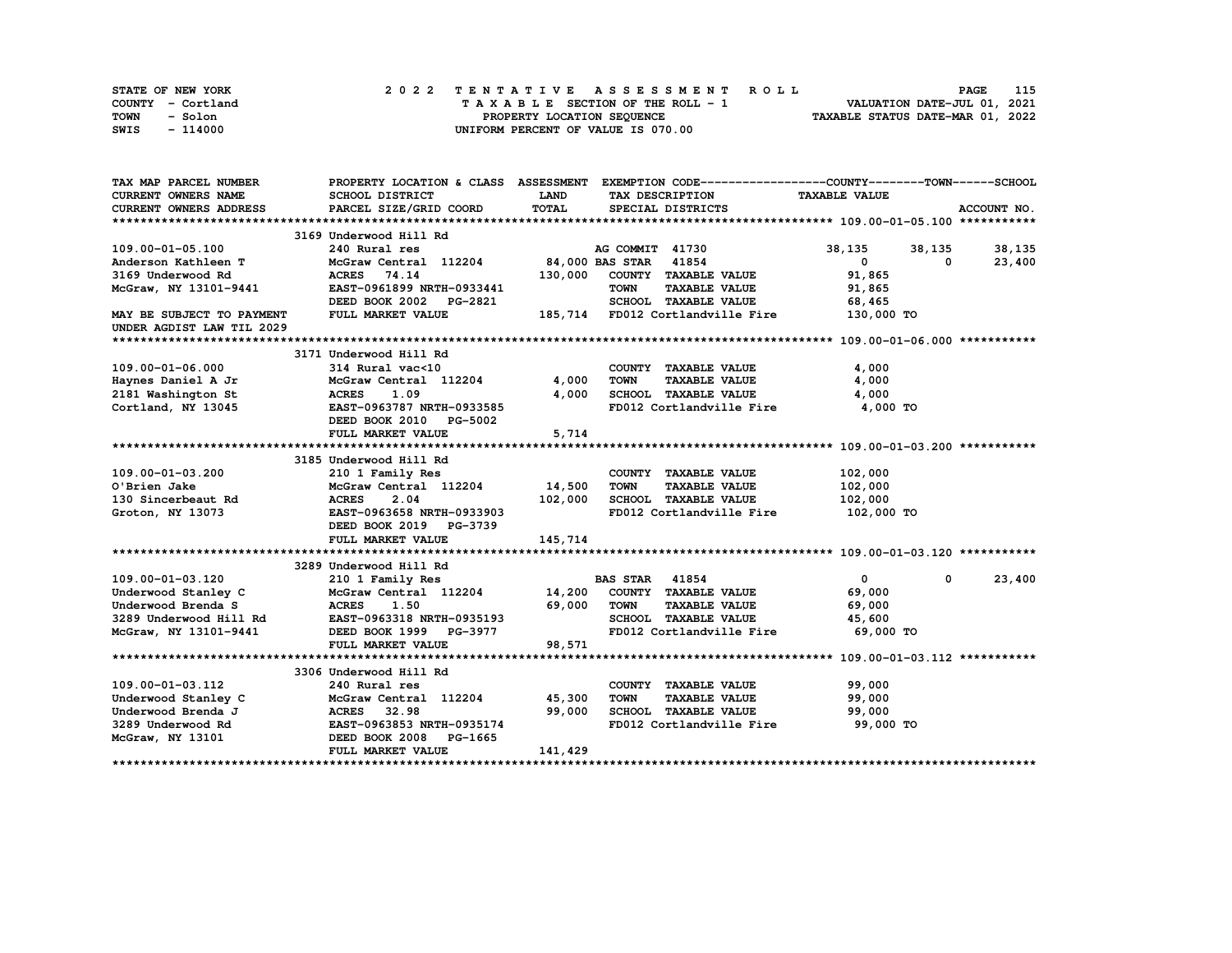| STATE OF NEW YORK | 2022 TENTATIVE ASSESSMENT ROLL     | 115<br><b>PAGE</b>               |
|-------------------|------------------------------------|----------------------------------|
| COUNTY - Cortland | TAXABLE SECTION OF THE ROLL - 1    | VALUATION DATE-JUL 01, 2021      |
| TOWN<br>- Solon   | PROPERTY LOCATION SEQUENCE         | TAXABLE STATUS DATE-MAR 01, 2022 |
| - 114000<br>SWIS  | UNIFORM PERCENT OF VALUE IS 070.00 |                                  |

| <b>CURRENT OWNERS NAME</b><br>SCHOOL DISTRICT<br><b>LAND</b><br>TAX DESCRIPTION<br><b>TAXABLE VALUE</b><br>TOTAL<br><b>CURRENT OWNERS ADDRESS</b><br>PARCEL SIZE/GRID COORD<br>ACCOUNT NO.<br>SPECIAL DISTRICTS<br>3169 Underwood Hill Rd<br>109.00-01-05.100<br>240 Rural res<br>AG COMMIT 41730<br>38,135<br>38, 135 38, 135<br>McGraw Central 112204 84,000 BAS STAR 41854<br>$\mathbf{0}$<br>23,400<br>Anderson Kathleen T<br>0<br>COUNTY TAXABLE VALUE<br>74.14<br>130,000<br>3169 Underwood Rd<br><b>ACRES</b><br>91,865<br>EAST-0961899 NRTH-0933441<br><b>TOWN</b><br><b>TAXABLE VALUE</b><br>McGraw, NY 13101-9441<br>91,865<br>DEED BOOK 2002 PG-2821<br>SCHOOL TAXABLE VALUE<br>68,465<br>185,714 FD012 Cortlandville Fire<br>FULL MARKET VALUE<br>130,000 TO<br>MAY BE SUBJECT TO PAYMENT<br>UNDER AGDIST LAW TIL 2029<br>3171 Underwood Hill Rd<br>109.00-01-06.000<br>4,000<br>314 Rural vac<10<br>McGraw Central 112204 1,000<br>COUNTY TAXABLE VALUE<br><b>TOWN</b><br><b>TAXABLE VALUE</b><br>4,000<br>Haynes Daniel A Jr McGraw<br>2181 Washington St ACRES<br>SCHOOL TAXABLE VALUE<br>1.09<br>4,000<br>4,000<br>Cortland, NY 13045<br>EAST-0963787 NRTH-0933585<br>FD012 Cortlandville Fire 4,000 TO<br>DEED BOOK 2010 PG-5002<br>5,714<br>FULL MARKET VALUE<br>3185 Underwood Hill Rd<br>109.00-01-03.200<br>102,000<br>210 1 Family Res<br>COUNTY TAXABLE VALUE<br>McGraw Central 112204 14,500<br><b>TOWN</b><br><b>TAXABLE VALUE</b><br>102,000<br>O'Brien Jake<br>2.04<br>102,000<br>SCHOOL TAXABLE VALUE<br>130 Sincerbeaut Rd<br>Croton. NY 13073<br><b>ACRES</b><br>102,000<br>102,000 TO<br>EAST-0963658 NRTH-0933903<br>FD012 Cortlandville Fire<br>DEED BOOK 2019 PG-3739<br>145,714<br>FULL MARKET VALUE<br>3289 Underwood Hill Rd<br>23,400<br>$\mathbf{0}$<br>109.00-01-03.120<br>$\mathbf{0}$<br>210 1 Family Res<br>McGraw Central 112204 14,200 COUNTY TAXABLE VALUE<br>Underwood Stanley C<br>69,000<br>69,000<br>Underwood Brenda S<br>1.50<br>TOWN<br><b>TAXABLE VALUE</b><br>69,000<br><b>ACRES</b><br>SCHOOL TAXABLE VALUE<br>3289 Underwood Hill Rd<br>EAST-0963318 NRTH-0935193<br>45,600<br>FD012 Cortlandville Fire<br>69,000 TO<br>McGraw, NY 13101-9441<br>DEED BOOK 1999 PG-3977<br>FULL MARKET VALUE<br>98,571<br>3306 Underwood Hill Rd<br>COUNTY TAXABLE VALUE<br>99,000<br>109.00-01-03.112<br>240 Rural res<br>McGraw Central 112204 45,300<br><b>TOWN</b><br><b>TAXABLE VALUE</b><br>99,000<br>Underwood Stanley C<br>MCGraw Central 112204<br>Underwood Brenda J MCRES 32.98<br>3289 Underwood Rd EAST-0963853 NRTH-0935174<br> | TAX MAP PARCEL NUMBER |  | PROPERTY LOCATION & CLASS ASSESSMENT EXEMPTION CODE----------------COUNTY-------TOWN------SCHOOL |  |
|----------------------------------------------------------------------------------------------------------------------------------------------------------------------------------------------------------------------------------------------------------------------------------------------------------------------------------------------------------------------------------------------------------------------------------------------------------------------------------------------------------------------------------------------------------------------------------------------------------------------------------------------------------------------------------------------------------------------------------------------------------------------------------------------------------------------------------------------------------------------------------------------------------------------------------------------------------------------------------------------------------------------------------------------------------------------------------------------------------------------------------------------------------------------------------------------------------------------------------------------------------------------------------------------------------------------------------------------------------------------------------------------------------------------------------------------------------------------------------------------------------------------------------------------------------------------------------------------------------------------------------------------------------------------------------------------------------------------------------------------------------------------------------------------------------------------------------------------------------------------------------------------------------------------------------------------------------------------------------------------------------------------------------------------------------------------------------------------------------------------------------------------------------------------------------------------------------------------------------------------------------------------------------------------------------------------------------------------------------------------------------------------------------------------------------------------------------------------------------------------------------------------------------------------------------------------------------------|-----------------------|--|--------------------------------------------------------------------------------------------------|--|
|                                                                                                                                                                                                                                                                                                                                                                                                                                                                                                                                                                                                                                                                                                                                                                                                                                                                                                                                                                                                                                                                                                                                                                                                                                                                                                                                                                                                                                                                                                                                                                                                                                                                                                                                                                                                                                                                                                                                                                                                                                                                                                                                                                                                                                                                                                                                                                                                                                                                                                                                                                                        |                       |  |                                                                                                  |  |
|                                                                                                                                                                                                                                                                                                                                                                                                                                                                                                                                                                                                                                                                                                                                                                                                                                                                                                                                                                                                                                                                                                                                                                                                                                                                                                                                                                                                                                                                                                                                                                                                                                                                                                                                                                                                                                                                                                                                                                                                                                                                                                                                                                                                                                                                                                                                                                                                                                                                                                                                                                                        |                       |  |                                                                                                  |  |
|                                                                                                                                                                                                                                                                                                                                                                                                                                                                                                                                                                                                                                                                                                                                                                                                                                                                                                                                                                                                                                                                                                                                                                                                                                                                                                                                                                                                                                                                                                                                                                                                                                                                                                                                                                                                                                                                                                                                                                                                                                                                                                                                                                                                                                                                                                                                                                                                                                                                                                                                                                                        |                       |  |                                                                                                  |  |
|                                                                                                                                                                                                                                                                                                                                                                                                                                                                                                                                                                                                                                                                                                                                                                                                                                                                                                                                                                                                                                                                                                                                                                                                                                                                                                                                                                                                                                                                                                                                                                                                                                                                                                                                                                                                                                                                                                                                                                                                                                                                                                                                                                                                                                                                                                                                                                                                                                                                                                                                                                                        |                       |  |                                                                                                  |  |
|                                                                                                                                                                                                                                                                                                                                                                                                                                                                                                                                                                                                                                                                                                                                                                                                                                                                                                                                                                                                                                                                                                                                                                                                                                                                                                                                                                                                                                                                                                                                                                                                                                                                                                                                                                                                                                                                                                                                                                                                                                                                                                                                                                                                                                                                                                                                                                                                                                                                                                                                                                                        |                       |  |                                                                                                  |  |
|                                                                                                                                                                                                                                                                                                                                                                                                                                                                                                                                                                                                                                                                                                                                                                                                                                                                                                                                                                                                                                                                                                                                                                                                                                                                                                                                                                                                                                                                                                                                                                                                                                                                                                                                                                                                                                                                                                                                                                                                                                                                                                                                                                                                                                                                                                                                                                                                                                                                                                                                                                                        |                       |  |                                                                                                  |  |
|                                                                                                                                                                                                                                                                                                                                                                                                                                                                                                                                                                                                                                                                                                                                                                                                                                                                                                                                                                                                                                                                                                                                                                                                                                                                                                                                                                                                                                                                                                                                                                                                                                                                                                                                                                                                                                                                                                                                                                                                                                                                                                                                                                                                                                                                                                                                                                                                                                                                                                                                                                                        |                       |  |                                                                                                  |  |
|                                                                                                                                                                                                                                                                                                                                                                                                                                                                                                                                                                                                                                                                                                                                                                                                                                                                                                                                                                                                                                                                                                                                                                                                                                                                                                                                                                                                                                                                                                                                                                                                                                                                                                                                                                                                                                                                                                                                                                                                                                                                                                                                                                                                                                                                                                                                                                                                                                                                                                                                                                                        |                       |  |                                                                                                  |  |
|                                                                                                                                                                                                                                                                                                                                                                                                                                                                                                                                                                                                                                                                                                                                                                                                                                                                                                                                                                                                                                                                                                                                                                                                                                                                                                                                                                                                                                                                                                                                                                                                                                                                                                                                                                                                                                                                                                                                                                                                                                                                                                                                                                                                                                                                                                                                                                                                                                                                                                                                                                                        |                       |  |                                                                                                  |  |
|                                                                                                                                                                                                                                                                                                                                                                                                                                                                                                                                                                                                                                                                                                                                                                                                                                                                                                                                                                                                                                                                                                                                                                                                                                                                                                                                                                                                                                                                                                                                                                                                                                                                                                                                                                                                                                                                                                                                                                                                                                                                                                                                                                                                                                                                                                                                                                                                                                                                                                                                                                                        |                       |  |                                                                                                  |  |
|                                                                                                                                                                                                                                                                                                                                                                                                                                                                                                                                                                                                                                                                                                                                                                                                                                                                                                                                                                                                                                                                                                                                                                                                                                                                                                                                                                                                                                                                                                                                                                                                                                                                                                                                                                                                                                                                                                                                                                                                                                                                                                                                                                                                                                                                                                                                                                                                                                                                                                                                                                                        |                       |  |                                                                                                  |  |
|                                                                                                                                                                                                                                                                                                                                                                                                                                                                                                                                                                                                                                                                                                                                                                                                                                                                                                                                                                                                                                                                                                                                                                                                                                                                                                                                                                                                                                                                                                                                                                                                                                                                                                                                                                                                                                                                                                                                                                                                                                                                                                                                                                                                                                                                                                                                                                                                                                                                                                                                                                                        |                       |  |                                                                                                  |  |
|                                                                                                                                                                                                                                                                                                                                                                                                                                                                                                                                                                                                                                                                                                                                                                                                                                                                                                                                                                                                                                                                                                                                                                                                                                                                                                                                                                                                                                                                                                                                                                                                                                                                                                                                                                                                                                                                                                                                                                                                                                                                                                                                                                                                                                                                                                                                                                                                                                                                                                                                                                                        |                       |  |                                                                                                  |  |
|                                                                                                                                                                                                                                                                                                                                                                                                                                                                                                                                                                                                                                                                                                                                                                                                                                                                                                                                                                                                                                                                                                                                                                                                                                                                                                                                                                                                                                                                                                                                                                                                                                                                                                                                                                                                                                                                                                                                                                                                                                                                                                                                                                                                                                                                                                                                                                                                                                                                                                                                                                                        |                       |  |                                                                                                  |  |
|                                                                                                                                                                                                                                                                                                                                                                                                                                                                                                                                                                                                                                                                                                                                                                                                                                                                                                                                                                                                                                                                                                                                                                                                                                                                                                                                                                                                                                                                                                                                                                                                                                                                                                                                                                                                                                                                                                                                                                                                                                                                                                                                                                                                                                                                                                                                                                                                                                                                                                                                                                                        |                       |  |                                                                                                  |  |
|                                                                                                                                                                                                                                                                                                                                                                                                                                                                                                                                                                                                                                                                                                                                                                                                                                                                                                                                                                                                                                                                                                                                                                                                                                                                                                                                                                                                                                                                                                                                                                                                                                                                                                                                                                                                                                                                                                                                                                                                                                                                                                                                                                                                                                                                                                                                                                                                                                                                                                                                                                                        |                       |  |                                                                                                  |  |
|                                                                                                                                                                                                                                                                                                                                                                                                                                                                                                                                                                                                                                                                                                                                                                                                                                                                                                                                                                                                                                                                                                                                                                                                                                                                                                                                                                                                                                                                                                                                                                                                                                                                                                                                                                                                                                                                                                                                                                                                                                                                                                                                                                                                                                                                                                                                                                                                                                                                                                                                                                                        |                       |  |                                                                                                  |  |
|                                                                                                                                                                                                                                                                                                                                                                                                                                                                                                                                                                                                                                                                                                                                                                                                                                                                                                                                                                                                                                                                                                                                                                                                                                                                                                                                                                                                                                                                                                                                                                                                                                                                                                                                                                                                                                                                                                                                                                                                                                                                                                                                                                                                                                                                                                                                                                                                                                                                                                                                                                                        |                       |  |                                                                                                  |  |
|                                                                                                                                                                                                                                                                                                                                                                                                                                                                                                                                                                                                                                                                                                                                                                                                                                                                                                                                                                                                                                                                                                                                                                                                                                                                                                                                                                                                                                                                                                                                                                                                                                                                                                                                                                                                                                                                                                                                                                                                                                                                                                                                                                                                                                                                                                                                                                                                                                                                                                                                                                                        |                       |  |                                                                                                  |  |
|                                                                                                                                                                                                                                                                                                                                                                                                                                                                                                                                                                                                                                                                                                                                                                                                                                                                                                                                                                                                                                                                                                                                                                                                                                                                                                                                                                                                                                                                                                                                                                                                                                                                                                                                                                                                                                                                                                                                                                                                                                                                                                                                                                                                                                                                                                                                                                                                                                                                                                                                                                                        |                       |  |                                                                                                  |  |
|                                                                                                                                                                                                                                                                                                                                                                                                                                                                                                                                                                                                                                                                                                                                                                                                                                                                                                                                                                                                                                                                                                                                                                                                                                                                                                                                                                                                                                                                                                                                                                                                                                                                                                                                                                                                                                                                                                                                                                                                                                                                                                                                                                                                                                                                                                                                                                                                                                                                                                                                                                                        |                       |  |                                                                                                  |  |
|                                                                                                                                                                                                                                                                                                                                                                                                                                                                                                                                                                                                                                                                                                                                                                                                                                                                                                                                                                                                                                                                                                                                                                                                                                                                                                                                                                                                                                                                                                                                                                                                                                                                                                                                                                                                                                                                                                                                                                                                                                                                                                                                                                                                                                                                                                                                                                                                                                                                                                                                                                                        |                       |  |                                                                                                  |  |
|                                                                                                                                                                                                                                                                                                                                                                                                                                                                                                                                                                                                                                                                                                                                                                                                                                                                                                                                                                                                                                                                                                                                                                                                                                                                                                                                                                                                                                                                                                                                                                                                                                                                                                                                                                                                                                                                                                                                                                                                                                                                                                                                                                                                                                                                                                                                                                                                                                                                                                                                                                                        |                       |  |                                                                                                  |  |
|                                                                                                                                                                                                                                                                                                                                                                                                                                                                                                                                                                                                                                                                                                                                                                                                                                                                                                                                                                                                                                                                                                                                                                                                                                                                                                                                                                                                                                                                                                                                                                                                                                                                                                                                                                                                                                                                                                                                                                                                                                                                                                                                                                                                                                                                                                                                                                                                                                                                                                                                                                                        |                       |  |                                                                                                  |  |
|                                                                                                                                                                                                                                                                                                                                                                                                                                                                                                                                                                                                                                                                                                                                                                                                                                                                                                                                                                                                                                                                                                                                                                                                                                                                                                                                                                                                                                                                                                                                                                                                                                                                                                                                                                                                                                                                                                                                                                                                                                                                                                                                                                                                                                                                                                                                                                                                                                                                                                                                                                                        |                       |  |                                                                                                  |  |
|                                                                                                                                                                                                                                                                                                                                                                                                                                                                                                                                                                                                                                                                                                                                                                                                                                                                                                                                                                                                                                                                                                                                                                                                                                                                                                                                                                                                                                                                                                                                                                                                                                                                                                                                                                                                                                                                                                                                                                                                                                                                                                                                                                                                                                                                                                                                                                                                                                                                                                                                                                                        |                       |  |                                                                                                  |  |
|                                                                                                                                                                                                                                                                                                                                                                                                                                                                                                                                                                                                                                                                                                                                                                                                                                                                                                                                                                                                                                                                                                                                                                                                                                                                                                                                                                                                                                                                                                                                                                                                                                                                                                                                                                                                                                                                                                                                                                                                                                                                                                                                                                                                                                                                                                                                                                                                                                                                                                                                                                                        |                       |  |                                                                                                  |  |
|                                                                                                                                                                                                                                                                                                                                                                                                                                                                                                                                                                                                                                                                                                                                                                                                                                                                                                                                                                                                                                                                                                                                                                                                                                                                                                                                                                                                                                                                                                                                                                                                                                                                                                                                                                                                                                                                                                                                                                                                                                                                                                                                                                                                                                                                                                                                                                                                                                                                                                                                                                                        |                       |  |                                                                                                  |  |
|                                                                                                                                                                                                                                                                                                                                                                                                                                                                                                                                                                                                                                                                                                                                                                                                                                                                                                                                                                                                                                                                                                                                                                                                                                                                                                                                                                                                                                                                                                                                                                                                                                                                                                                                                                                                                                                                                                                                                                                                                                                                                                                                                                                                                                                                                                                                                                                                                                                                                                                                                                                        |                       |  |                                                                                                  |  |
|                                                                                                                                                                                                                                                                                                                                                                                                                                                                                                                                                                                                                                                                                                                                                                                                                                                                                                                                                                                                                                                                                                                                                                                                                                                                                                                                                                                                                                                                                                                                                                                                                                                                                                                                                                                                                                                                                                                                                                                                                                                                                                                                                                                                                                                                                                                                                                                                                                                                                                                                                                                        |                       |  |                                                                                                  |  |
|                                                                                                                                                                                                                                                                                                                                                                                                                                                                                                                                                                                                                                                                                                                                                                                                                                                                                                                                                                                                                                                                                                                                                                                                                                                                                                                                                                                                                                                                                                                                                                                                                                                                                                                                                                                                                                                                                                                                                                                                                                                                                                                                                                                                                                                                                                                                                                                                                                                                                                                                                                                        |                       |  |                                                                                                  |  |
|                                                                                                                                                                                                                                                                                                                                                                                                                                                                                                                                                                                                                                                                                                                                                                                                                                                                                                                                                                                                                                                                                                                                                                                                                                                                                                                                                                                                                                                                                                                                                                                                                                                                                                                                                                                                                                                                                                                                                                                                                                                                                                                                                                                                                                                                                                                                                                                                                                                                                                                                                                                        |                       |  |                                                                                                  |  |
|                                                                                                                                                                                                                                                                                                                                                                                                                                                                                                                                                                                                                                                                                                                                                                                                                                                                                                                                                                                                                                                                                                                                                                                                                                                                                                                                                                                                                                                                                                                                                                                                                                                                                                                                                                                                                                                                                                                                                                                                                                                                                                                                                                                                                                                                                                                                                                                                                                                                                                                                                                                        |                       |  |                                                                                                  |  |
|                                                                                                                                                                                                                                                                                                                                                                                                                                                                                                                                                                                                                                                                                                                                                                                                                                                                                                                                                                                                                                                                                                                                                                                                                                                                                                                                                                                                                                                                                                                                                                                                                                                                                                                                                                                                                                                                                                                                                                                                                                                                                                                                                                                                                                                                                                                                                                                                                                                                                                                                                                                        |                       |  |                                                                                                  |  |
|                                                                                                                                                                                                                                                                                                                                                                                                                                                                                                                                                                                                                                                                                                                                                                                                                                                                                                                                                                                                                                                                                                                                                                                                                                                                                                                                                                                                                                                                                                                                                                                                                                                                                                                                                                                                                                                                                                                                                                                                                                                                                                                                                                                                                                                                                                                                                                                                                                                                                                                                                                                        |                       |  |                                                                                                  |  |
|                                                                                                                                                                                                                                                                                                                                                                                                                                                                                                                                                                                                                                                                                                                                                                                                                                                                                                                                                                                                                                                                                                                                                                                                                                                                                                                                                                                                                                                                                                                                                                                                                                                                                                                                                                                                                                                                                                                                                                                                                                                                                                                                                                                                                                                                                                                                                                                                                                                                                                                                                                                        |                       |  |                                                                                                  |  |
|                                                                                                                                                                                                                                                                                                                                                                                                                                                                                                                                                                                                                                                                                                                                                                                                                                                                                                                                                                                                                                                                                                                                                                                                                                                                                                                                                                                                                                                                                                                                                                                                                                                                                                                                                                                                                                                                                                                                                                                                                                                                                                                                                                                                                                                                                                                                                                                                                                                                                                                                                                                        |                       |  |                                                                                                  |  |
|                                                                                                                                                                                                                                                                                                                                                                                                                                                                                                                                                                                                                                                                                                                                                                                                                                                                                                                                                                                                                                                                                                                                                                                                                                                                                                                                                                                                                                                                                                                                                                                                                                                                                                                                                                                                                                                                                                                                                                                                                                                                                                                                                                                                                                                                                                                                                                                                                                                                                                                                                                                        |                       |  |                                                                                                  |  |
|                                                                                                                                                                                                                                                                                                                                                                                                                                                                                                                                                                                                                                                                                                                                                                                                                                                                                                                                                                                                                                                                                                                                                                                                                                                                                                                                                                                                                                                                                                                                                                                                                                                                                                                                                                                                                                                                                                                                                                                                                                                                                                                                                                                                                                                                                                                                                                                                                                                                                                                                                                                        |                       |  |                                                                                                  |  |
|                                                                                                                                                                                                                                                                                                                                                                                                                                                                                                                                                                                                                                                                                                                                                                                                                                                                                                                                                                                                                                                                                                                                                                                                                                                                                                                                                                                                                                                                                                                                                                                                                                                                                                                                                                                                                                                                                                                                                                                                                                                                                                                                                                                                                                                                                                                                                                                                                                                                                                                                                                                        |                       |  |                                                                                                  |  |
|                                                                                                                                                                                                                                                                                                                                                                                                                                                                                                                                                                                                                                                                                                                                                                                                                                                                                                                                                                                                                                                                                                                                                                                                                                                                                                                                                                                                                                                                                                                                                                                                                                                                                                                                                                                                                                                                                                                                                                                                                                                                                                                                                                                                                                                                                                                                                                                                                                                                                                                                                                                        |                       |  |                                                                                                  |  |
|                                                                                                                                                                                                                                                                                                                                                                                                                                                                                                                                                                                                                                                                                                                                                                                                                                                                                                                                                                                                                                                                                                                                                                                                                                                                                                                                                                                                                                                                                                                                                                                                                                                                                                                                                                                                                                                                                                                                                                                                                                                                                                                                                                                                                                                                                                                                                                                                                                                                                                                                                                                        |                       |  |                                                                                                  |  |
|                                                                                                                                                                                                                                                                                                                                                                                                                                                                                                                                                                                                                                                                                                                                                                                                                                                                                                                                                                                                                                                                                                                                                                                                                                                                                                                                                                                                                                                                                                                                                                                                                                                                                                                                                                                                                                                                                                                                                                                                                                                                                                                                                                                                                                                                                                                                                                                                                                                                                                                                                                                        |                       |  |                                                                                                  |  |
|                                                                                                                                                                                                                                                                                                                                                                                                                                                                                                                                                                                                                                                                                                                                                                                                                                                                                                                                                                                                                                                                                                                                                                                                                                                                                                                                                                                                                                                                                                                                                                                                                                                                                                                                                                                                                                                                                                                                                                                                                                                                                                                                                                                                                                                                                                                                                                                                                                                                                                                                                                                        |                       |  |                                                                                                  |  |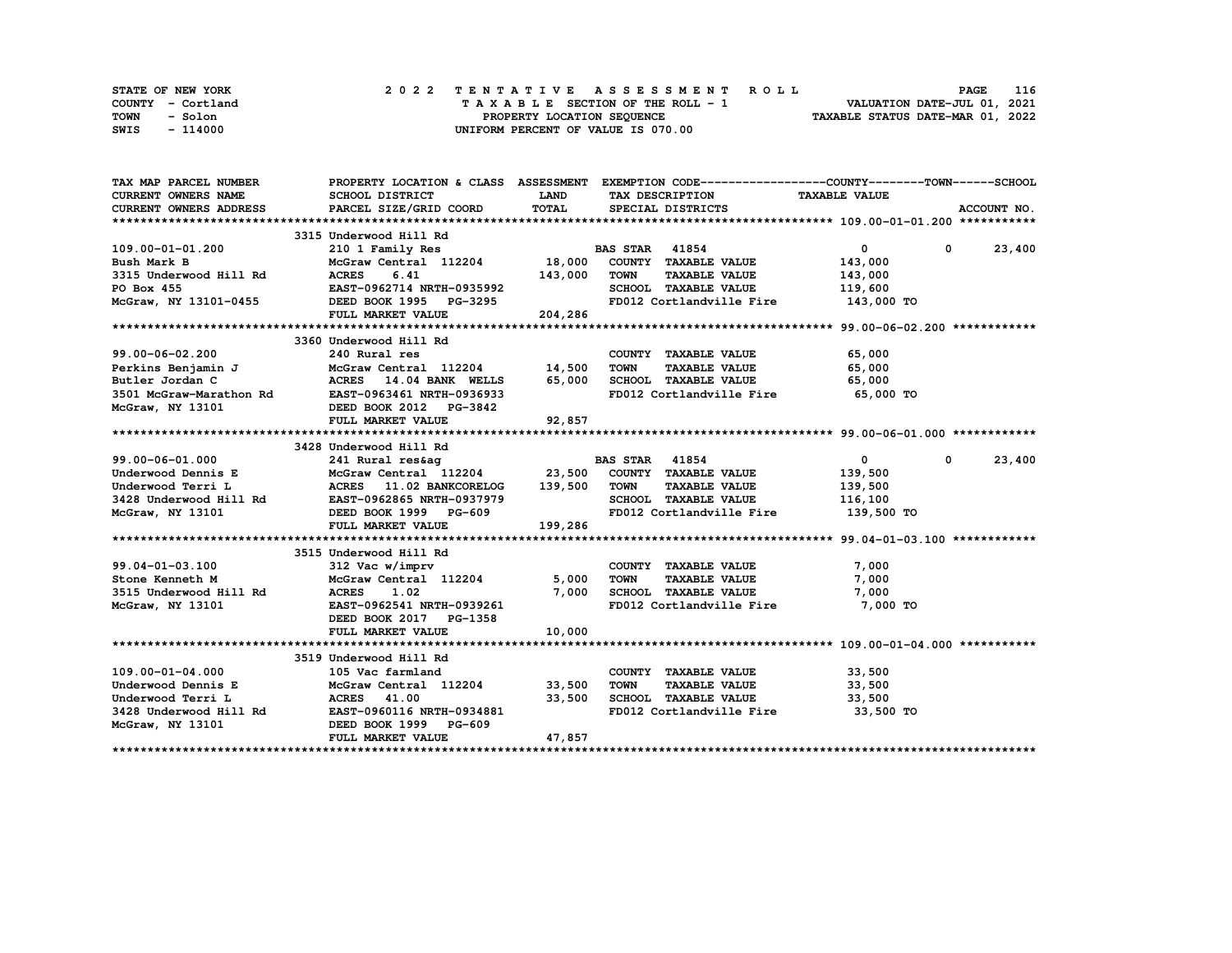| STATE OF NEW YORK | 2022 TENTATIVE ASSESSMENT ROLL     | 116<br><b>PAGE</b>               |
|-------------------|------------------------------------|----------------------------------|
| COUNTY - Cortland | TAXABLE SECTION OF THE ROLL - 1    | VALUATION DATE-JUL 01, 2021      |
| TOWN<br>- Solon   | PROPERTY LOCATION SEQUENCE         | TAXABLE STATUS DATE-MAR 01, 2022 |
| - 114000<br>SWIS  | UNIFORM PERCENT OF VALUE IS 070.00 |                                  |

| TAX MAP PARCEL NUMBER  |                                                                                                                                                                                                                                                                                                                                                                                                                                                                           |             |                                                                     | PROPERTY LOCATION & CLASS ASSESSMENT EXEMPTION CODE----------------COUNTY-------TOWN------SCHOOL |             |
|------------------------|---------------------------------------------------------------------------------------------------------------------------------------------------------------------------------------------------------------------------------------------------------------------------------------------------------------------------------------------------------------------------------------------------------------------------------------------------------------------------|-------------|---------------------------------------------------------------------|--------------------------------------------------------------------------------------------------|-------------|
| CURRENT OWNERS NAME    | SCHOOL DISTRICT                                                                                                                                                                                                                                                                                                                                                                                                                                                           | <b>LAND</b> | TAX DESCRIPTION                                                     | <b>TAXABLE VALUE</b>                                                                             |             |
| CURRENT OWNERS ADDRESS | PARCEL SIZE/GRID COORD                                                                                                                                                                                                                                                                                                                                                                                                                                                    | TOTAL       | SPECIAL DISTRICTS                                                   |                                                                                                  | ACCOUNT NO. |
|                        |                                                                                                                                                                                                                                                                                                                                                                                                                                                                           |             |                                                                     |                                                                                                  |             |
|                        | 3315 Underwood Hill Rd                                                                                                                                                                                                                                                                                                                                                                                                                                                    |             |                                                                     |                                                                                                  |             |
|                        |                                                                                                                                                                                                                                                                                                                                                                                                                                                                           |             |                                                                     | $\overline{0}$<br>$0 \t 23,400$                                                                  |             |
|                        |                                                                                                                                                                                                                                                                                                                                                                                                                                                                           |             |                                                                     | 143,000                                                                                          |             |
|                        |                                                                                                                                                                                                                                                                                                                                                                                                                                                                           |             |                                                                     | 143,000                                                                                          |             |
|                        |                                                                                                                                                                                                                                                                                                                                                                                                                                                                           |             | SCHOOL TAXABLE VALUE 119,600                                        |                                                                                                  |             |
|                        |                                                                                                                                                                                                                                                                                                                                                                                                                                                                           |             | FD012 Cortlandville Fire 143,000 TO                                 |                                                                                                  |             |
|                        |                                                                                                                                                                                                                                                                                                                                                                                                                                                                           |             |                                                                     |                                                                                                  |             |
|                        |                                                                                                                                                                                                                                                                                                                                                                                                                                                                           |             |                                                                     |                                                                                                  |             |
|                        | 3360 Underwood Hill Rd                                                                                                                                                                                                                                                                                                                                                                                                                                                    |             |                                                                     |                                                                                                  |             |
| 99.00-06-02.200        | 240 Rural res                                                                                                                                                                                                                                                                                                                                                                                                                                                             |             |                                                                     | 65,000                                                                                           |             |
|                        |                                                                                                                                                                                                                                                                                                                                                                                                                                                                           |             |                                                                     |                                                                                                  |             |
|                        |                                                                                                                                                                                                                                                                                                                                                                                                                                                                           |             |                                                                     |                                                                                                  |             |
|                        | 99.00-06-02.200 240 Rural res COUNTY TAXABLE VALUE 65,000<br>Perkins Benjamin J McGraw Central 112204 14,500 TOWN TAXABLE VALUE 65,000<br>Butler Jordan C ACRES 14.04 BANK WELLS 65,000 SCHOOL TAXABLE VALUE 65,000<br>McGraw-Marat                                                                                                                                                                                                                                       |             | FD012 Cortlandville Fire 65,000 TO                                  |                                                                                                  |             |
|                        |                                                                                                                                                                                                                                                                                                                                                                                                                                                                           |             |                                                                     |                                                                                                  |             |
|                        |                                                                                                                                                                                                                                                                                                                                                                                                                                                                           | 92,857      |                                                                     |                                                                                                  |             |
|                        |                                                                                                                                                                                                                                                                                                                                                                                                                                                                           |             |                                                                     |                                                                                                  |             |
|                        | $\begin{array}{lllllllllll} \text{3428 Underwood Hill Rd} & \text{BAS STAR} & \text{41854} \\ \text{Underwood Dennis E} & \text{McGraw Central} & \text{112204} & \text{23,500} & \text{COUNTY} & \text{TXABLE VALUE} \\ \text{Underwood Terri L} & \text{ACRES} & \text{11.02 BANKCORELOG} & \text{139,500} & \text{TOWN} & \text{TXABLE VALUE} \\ \text{3428 Underwood Hill Rd} & \text{EAST}-\text{0962865 NRTH}-\text{0937979} & \text{SCHOOL TAXABLE VALUE} & \text$ |             |                                                                     |                                                                                                  |             |
|                        |                                                                                                                                                                                                                                                                                                                                                                                                                                                                           |             |                                                                     | $\overline{\mathbf{0}}$<br>$0 \t 23,400$                                                         |             |
|                        |                                                                                                                                                                                                                                                                                                                                                                                                                                                                           |             |                                                                     | 139,500                                                                                          |             |
|                        |                                                                                                                                                                                                                                                                                                                                                                                                                                                                           |             | TAXABLE VALUE 139,500                                               |                                                                                                  |             |
|                        |                                                                                                                                                                                                                                                                                                                                                                                                                                                                           |             | SCHOOL TAXABLE VALUE 116,100<br>FD012 Cortlandville Fire 139,500 TO |                                                                                                  |             |
|                        |                                                                                                                                                                                                                                                                                                                                                                                                                                                                           |             |                                                                     |                                                                                                  |             |
|                        | FULL MARKET VALUE                                                                                                                                                                                                                                                                                                                                                                                                                                                         | 199,286     |                                                                     |                                                                                                  |             |
|                        |                                                                                                                                                                                                                                                                                                                                                                                                                                                                           |             |                                                                     |                                                                                                  |             |
|                        | 3515 Underwood Hill Rd                                                                                                                                                                                                                                                                                                                                                                                                                                                    |             |                                                                     |                                                                                                  |             |
| 99.04-01-03.100        | $312$ Vac $w/$ imprv                                                                                                                                                                                                                                                                                                                                                                                                                                                      |             | COUNTY TAXABLE VALUE                                                | 7,000                                                                                            |             |
| Stone Kenneth M        |                                                                                                                                                                                                                                                                                                                                                                                                                                                                           |             | TAXABLE VALUE                                                       | 7,000                                                                                            |             |
| 3515 Underwood Hill Rd |                                                                                                                                                                                                                                                                                                                                                                                                                                                                           |             |                                                                     | 7,000                                                                                            |             |
| McGraw, NY 13101       |                                                                                                                                                                                                                                                                                                                                                                                                                                                                           |             | FD012 Cortlandville Fire                                            | 7,000 TO                                                                                         |             |
|                        | DEED BOOK 2017 PG-1358                                                                                                                                                                                                                                                                                                                                                                                                                                                    |             |                                                                     |                                                                                                  |             |
|                        | FULL MARKET VALUE                                                                                                                                                                                                                                                                                                                                                                                                                                                         | 10,000      |                                                                     |                                                                                                  |             |
|                        |                                                                                                                                                                                                                                                                                                                                                                                                                                                                           |             |                                                                     |                                                                                                  |             |
|                        | 3519 Underwood Hill Rd                                                                                                                                                                                                                                                                                                                                                                                                                                                    |             |                                                                     |                                                                                                  |             |
| $109.00 - 01 - 04.000$ | 105 Vac farmland                                                                                                                                                                                                                                                                                                                                                                                                                                                          |             | COUNTY TAXABLE VALUE 33,500                                         |                                                                                                  |             |
|                        |                                                                                                                                                                                                                                                                                                                                                                                                                                                                           |             | TOWN<br>TAXABLE VALUE 33,500                                        |                                                                                                  |             |
|                        | $3428$ Underwood Terri L<br>$3428$ Underwood Hill Rd<br>$2428$ Underwood Hill Rd<br>$25.3428$ EAST-0960116 NRTH-0934881                                                                                                                                                                                                                                                                                                                                                   |             | 33,500 SCHOOL TAXABLE VALUE                                         | 33,500                                                                                           |             |
|                        |                                                                                                                                                                                                                                                                                                                                                                                                                                                                           |             | FD012 Cortlandville Fire 33,500 TO                                  |                                                                                                  |             |
| McGraw, NY 13101       | DEED BOOK 1999 PG-609                                                                                                                                                                                                                                                                                                                                                                                                                                                     |             |                                                                     |                                                                                                  |             |
|                        | FULL MARKET VALUE                                                                                                                                                                                                                                                                                                                                                                                                                                                         | 47,857      |                                                                     |                                                                                                  |             |
|                        |                                                                                                                                                                                                                                                                                                                                                                                                                                                                           |             |                                                                     |                                                                                                  |             |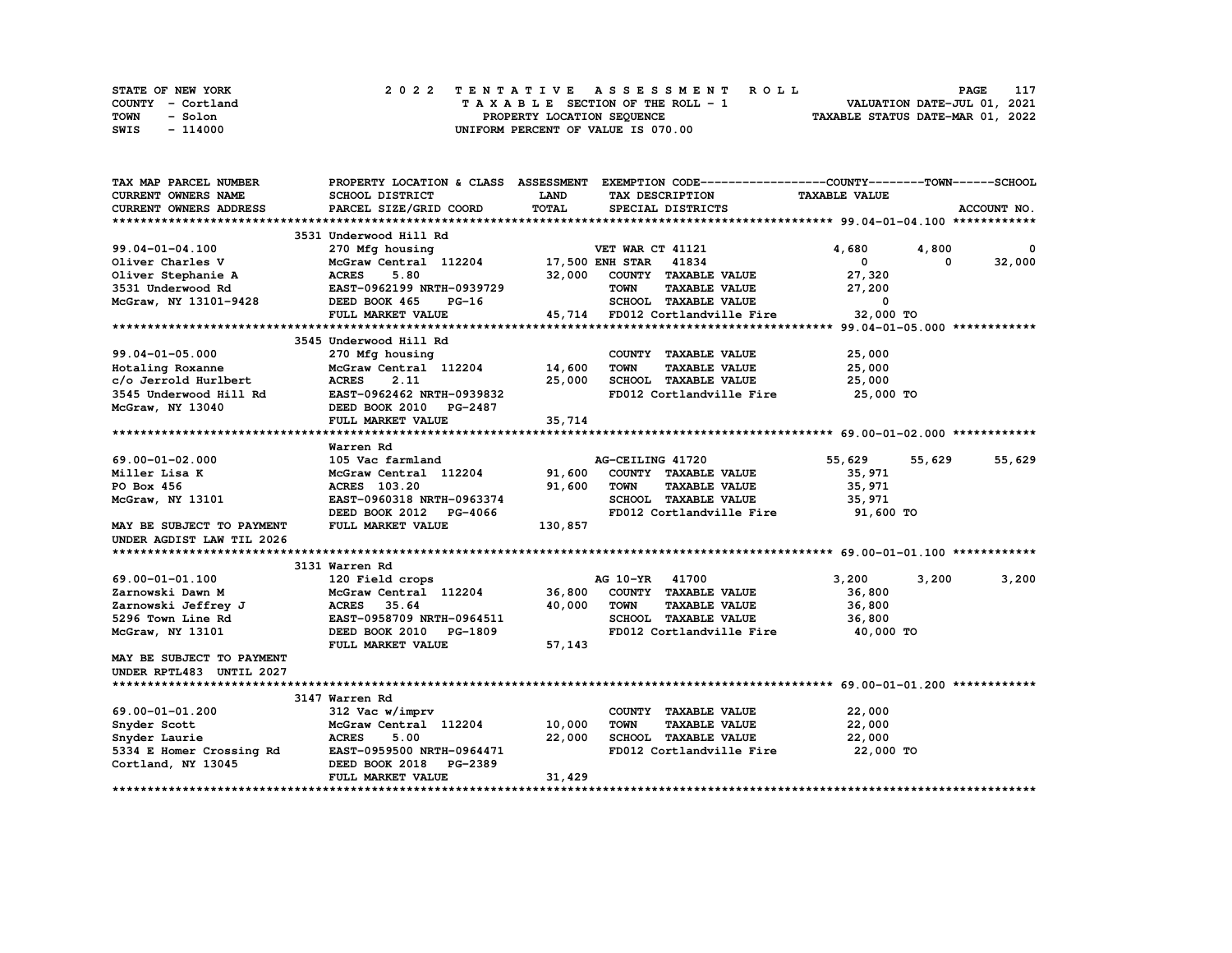| STATE OF NEW YORK | 2022 TENTATIVE ASSESSMENT ROLL     | 117<br><b>PAGE</b>               |
|-------------------|------------------------------------|----------------------------------|
| COUNTY - Cortland | TAXABLE SECTION OF THE ROLL - 1    | VALUATION DATE-JUL 01, 2021      |
| TOWN<br>- Solon   | PROPERTY LOCATION SEQUENCE         | TAXABLE STATUS DATE-MAR 01, 2022 |
| - 114000<br>SWIS  | UNIFORM PERCENT OF VALUE IS 070.00 |                                  |

| TAX MAP PARCEL NUMBER      |                                             |              | PROPERTY LOCATION & CLASS ASSESSMENT EXEMPTION CODE----------------COUNTY-------TOWN-----SCHOOL |                         |        |             |
|----------------------------|---------------------------------------------|--------------|-------------------------------------------------------------------------------------------------|-------------------------|--------|-------------|
| <b>CURRENT OWNERS NAME</b> | SCHOOL DISTRICT                             | <b>LAND</b>  | TAX DESCRIPTION                                                                                 | <b>TAXABLE VALUE</b>    |        |             |
| CURRENT OWNERS ADDRESS     | PARCEL SIZE/GRID COORD                      | <b>TOTAL</b> | SPECIAL DISTRICTS                                                                               |                         |        | ACCOUNT NO. |
|                            |                                             |              |                                                                                                 |                         |        |             |
|                            | 3531 Underwood Hill Rd                      |              |                                                                                                 |                         |        |             |
| 99.04-01-04.100            | 270 Mfg housing                             |              | VET WAR CT 41121                                                                                | 4,680                   | 4,800  | 0           |
| Oliver Charles V           | McGraw Central 112204 17,500 ENH STAR 41834 |              |                                                                                                 | 0                       | 0      | 32,000      |
| Oliver Stephanie A         | <b>ACRES</b><br>5.80                        | 32,000       | COUNTY TAXABLE VALUE                                                                            | 27,320                  |        |             |
| 3531 Underwood Rd          | EAST-0962199 NRTH-0939729                   |              | <b>TAXABLE VALUE</b><br><b>TOWN</b>                                                             | 27,200                  |        |             |
| McGraw, NY 13101-9428      | DEED BOOK 465<br>PG-16                      |              | SCHOOL TAXABLE VALUE                                                                            | $\overline{\mathbf{0}}$ |        |             |
|                            | FULL MARKET VALUE                           |              | 45,714 FD012 Cortlandville Fire                                                                 | 32,000 TO               |        |             |
|                            |                                             |              |                                                                                                 |                         |        |             |
|                            | 3545 Underwood Hill Rd                      |              |                                                                                                 |                         |        |             |
| $99.04 - 01 - 05.000$      | 270 Mfg housing                             |              | COUNTY TAXABLE VALUE                                                                            | 25,000                  |        |             |
| Hotaling Roxanne           | McGraw Central 112204 14,600                |              | <b>TOWN</b><br><b>TAXABLE VALUE</b>                                                             | 25,000                  |        |             |
| c/o Jerrold Hurlbert       | <b>ACRES</b><br>2.11                        | 25,000       | SCHOOL TAXABLE VALUE                                                                            | 25,000                  |        |             |
| 3545 Underwood Hill Rd     | EAST-0962462 NRTH-0939832                   |              | FD012 Cortlandville Fire                                                                        | 25,000 TO               |        |             |
| McGraw, NY 13040           | DEED BOOK 2010 PG-2487                      |              |                                                                                                 |                         |        |             |
|                            |                                             |              |                                                                                                 |                         |        |             |
|                            | FULL MARKET VALUE                           | 35,714       |                                                                                                 |                         |        |             |
|                            |                                             |              |                                                                                                 |                         |        |             |
|                            | Warren Rd                                   |              |                                                                                                 |                         |        |             |
| 69.00-01-02.000            | 105 Vac farmland                            |              | AG-CEILING 41720                                                                                | 55,629                  | 55,629 | 55,629      |
| Miller Lisa K              | McGraw Central 112204                       | 91,600       | COUNTY TAXABLE VALUE                                                                            | 35,971                  |        |             |
| PO Box 456                 | ACRES 103.20                                | 91,600       | <b>TOWN</b><br><b>TAXABLE VALUE</b>                                                             | 35,971                  |        |             |
| McGraw, NY 13101           | EAST-0960318 NRTH-0963374                   |              | SCHOOL TAXABLE VALUE                                                                            | 35,971                  |        |             |
|                            | DEED BOOK 2012 PG-4066                      |              | FD012 Cortlandville Fire                                                                        | 91,600 TO               |        |             |
| MAY BE SUBJECT TO PAYMENT  | FULL MARKET VALUE                           | 130,857      |                                                                                                 |                         |        |             |
| UNDER AGDIST LAW TIL 2026  |                                             |              |                                                                                                 |                         |        |             |
|                            |                                             |              |                                                                                                 |                         |        |             |
|                            | 3131 Warren Rd                              |              |                                                                                                 |                         |        |             |
| 69.00-01-01.100            | 120 Field crops                             |              | AG 10-YR 41700                                                                                  | 3,200                   | 3,200  | 3,200       |
| Zarnowski Dawn M           | McGraw Central 112204                       | 36,800       | COUNTY TAXABLE VALUE                                                                            | 36,800                  |        |             |
| Zarnowski Jeffrey J        | <b>ACRES</b><br>35.64                       | 40,000       | <b>TOWN</b><br><b>TAXABLE VALUE</b>                                                             | 36,800                  |        |             |
| 5296 Town Line Rd          | EAST-0958709 NRTH-0964511                   |              | SCHOOL TAXABLE VALUE                                                                            | 36,800                  |        |             |
| McGraw, NY 13101           | DEED BOOK 2010 PG-1809                      |              | FD012 Cortlandville Fire                                                                        | 40,000 TO               |        |             |
|                            | FULL MARKET VALUE                           | 57,143       |                                                                                                 |                         |        |             |
| MAY BE SUBJECT TO PAYMENT  |                                             |              |                                                                                                 |                         |        |             |
| UNDER RPTL483 UNTIL 2027   |                                             |              |                                                                                                 |                         |        |             |
|                            |                                             |              |                                                                                                 |                         |        |             |
|                            | 3147 Warren Rd                              |              |                                                                                                 |                         |        |             |
| 69.00-01-01.200            | 312 Vac w/imprv                             |              | COUNTY TAXABLE VALUE                                                                            | 22,000                  |        |             |
| Snyder Scott               | McGraw Central 112204                       | 10,000       | <b>TOWN</b><br><b>TAXABLE VALUE</b>                                                             | 22,000                  |        |             |
| Snyder Laurie              | <b>ACRES</b><br>5.00                        | 22,000       | SCHOOL TAXABLE VALUE                                                                            | 22,000                  |        |             |
| 5334 E Homer Crossing Rd   | EAST-0959500 NRTH-0964471                   |              | FD012 Cortlandville Fire                                                                        | 22,000 TO               |        |             |
| Cortland, NY 13045         | DEED BOOK 2018<br><b>PG-2389</b>            |              |                                                                                                 |                         |        |             |
|                            | FULL MARKET VALUE                           | 31,429       |                                                                                                 |                         |        |             |
|                            |                                             |              |                                                                                                 |                         |        |             |

**\*\*\*\*\*\*\*\*\*\*\*\*\*\*\*\*\*\*\*\*\*\*\*\*\*\*\*\*\*\*\*\*\*\*\*\*\*\*\*\*\*\*\*\*\*\*\*\*\*\*\*\*\*\*\*\*\*\*\*\*\*\*\*\*\*\*\*\*\*\*\*\*\*\*\*\*\*\*\*\*\*\*\*\*\*\*\*\*\*\*\*\*\*\*\*\*\*\*\*\*\*\*\*\*\*\*\*\*\*\*\*\*\*\*\*\*\*\*\*\*\*\*\*\*\*\*\*\*\*\*\*\***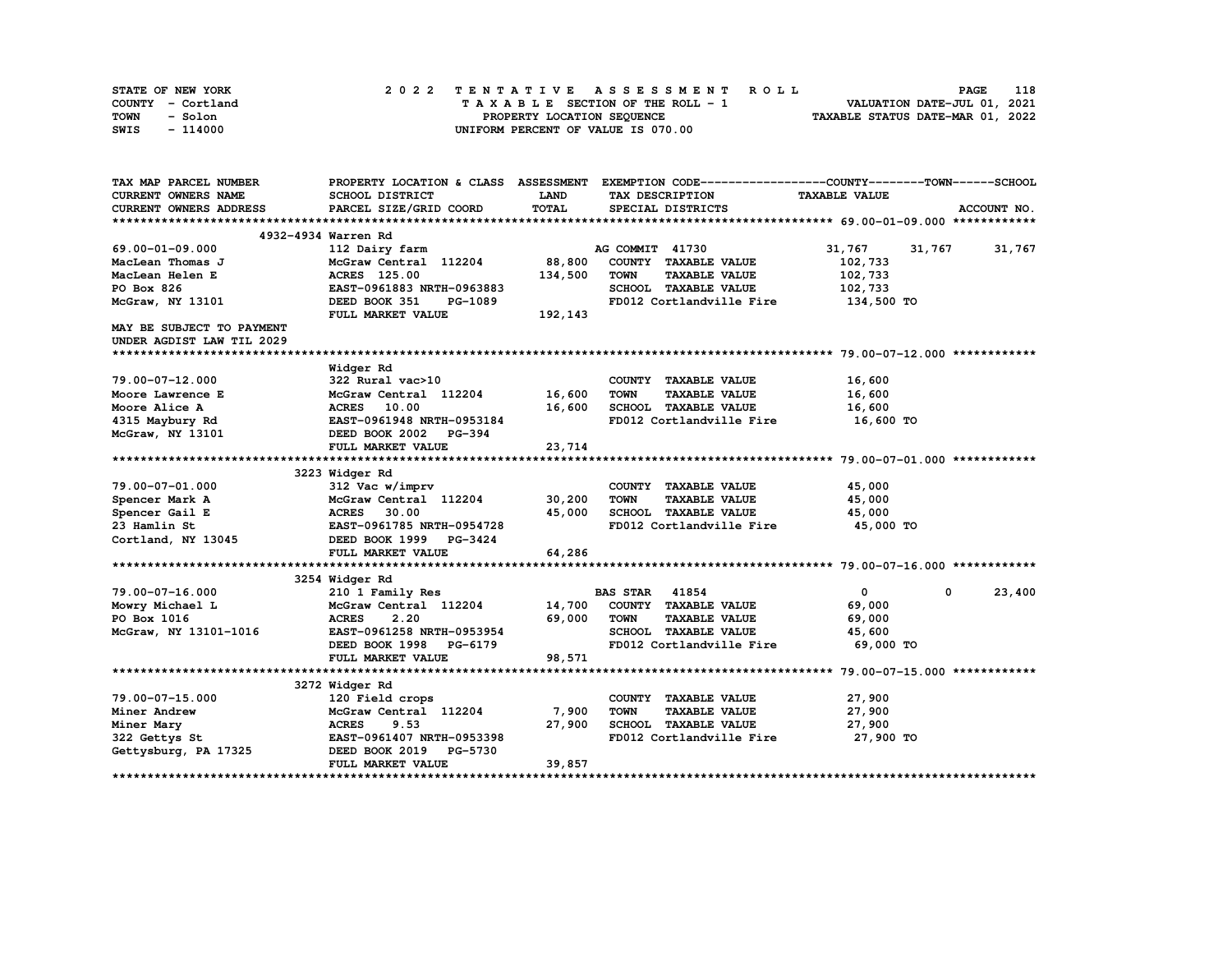| STATE OF NEW YORK | 2022 TENTATIVE ASSESSMENT ROLL     | 118<br><b>PAGE</b>               |
|-------------------|------------------------------------|----------------------------------|
| COUNTY - Cortland | TAXABLE SECTION OF THE ROLL - 1    | VALUATION DATE-JUL 01, 2021      |
| TOWN<br>- Solon   | PROPERTY LOCATION SEQUENCE         | TAXABLE STATUS DATE-MAR 01, 2022 |
| - 114000<br>SWIS  | UNIFORM PERCENT OF VALUE IS 070.00 |                                  |

| TAX MAP PARCEL NUMBER         |                                  |             | PROPERTY LOCATION & CLASS ASSESSMENT EXEMPTION CODE----------------COUNTY-------TOWN------SCHOOL |                      |                      |
|-------------------------------|----------------------------------|-------------|--------------------------------------------------------------------------------------------------|----------------------|----------------------|
| CURRENT OWNERS NAME           | SCHOOL DISTRICT                  | <b>LAND</b> | TAX DESCRIPTION                                                                                  | <b>TAXABLE VALUE</b> |                      |
| <b>CURRENT OWNERS ADDRESS</b> | PARCEL SIZE/GRID COORD           | TOTAL       | SPECIAL DISTRICTS                                                                                |                      | ACCOUNT NO.          |
|                               |                                  |             |                                                                                                  |                      |                      |
|                               | 4932-4934 Warren Rd              |             |                                                                                                  |                      |                      |
| 69.00-01-09.000               | 112 Dairy farm                   |             | AG COMMIT 41730                                                                                  | 31,767               | 31,767 31,767        |
| MacLean Thomas J              | McGraw Central 112204            | 88,800      | COUNTY TAXABLE VALUE                                                                             | 102,733              |                      |
| MacLean Helen E               | ACRES 125.00                     | 134,500     | <b>TOWN</b><br><b>TAXABLE VALUE</b>                                                              | 102,733              |                      |
| PO Box 826                    | EAST-0961883 NRTH-0963883        |             | SCHOOL TAXABLE VALUE                                                                             | 102,733              |                      |
| McGraw, NY 13101              | DEED BOOK 351<br>PG-1089         |             | FD012 Cortlandville Fire                                                                         | 134,500 TO           |                      |
|                               | FULL MARKET VALUE                | 192,143     |                                                                                                  |                      |                      |
| MAY BE SUBJECT TO PAYMENT     |                                  |             |                                                                                                  |                      |                      |
| UNDER AGDIST LAW TIL 2029     |                                  |             |                                                                                                  |                      |                      |
|                               |                                  |             |                                                                                                  |                      |                      |
|                               | Widger Rd                        |             |                                                                                                  |                      |                      |
| 79.00-07-12.000               | 322 Rural vac>10                 |             | COUNTY TAXABLE VALUE                                                                             | 16,600               |                      |
| Moore Lawrence E              | McGraw Central 112204            | 16,600      | <b>TOWN</b><br><b>TAXABLE VALUE</b>                                                              | 16,600               |                      |
| Moore Alice A                 | ACRES 10.00                      | 16,600      | SCHOOL TAXABLE VALUE                                                                             | 16,600               |                      |
| 4315 Maybury Rd               | EAST-0961948 NRTH-0953184        |             | FD012 Cortlandville Fire 16,600 TO                                                               |                      |                      |
| McGraw, NY 13101              | DEED BOOK 2002 PG-394            |             |                                                                                                  |                      |                      |
|                               | FULL MARKET VALUE                | 23,714      |                                                                                                  |                      |                      |
|                               |                                  |             |                                                                                                  |                      |                      |
|                               | 3223 Widger Rd                   |             |                                                                                                  |                      |                      |
| 79.00-07-01.000               | 312 Vac w/imprv                  |             | COUNTY TAXABLE VALUE                                                                             | 45,000               |                      |
| Spencer Mark A                | McGraw Central 112204            | 30,200      | <b>TOWN</b><br><b>TAXABLE VALUE</b>                                                              | 45,000               |                      |
| Spencer Gail E                | <b>ACRES</b><br>30.00            | 45,000      | SCHOOL TAXABLE VALUE                                                                             | 45,000               |                      |
| 23 Hamlin St                  | EAST-0961785 NRTH-0954728        |             | FD012 Cortlandville Fire                                                                         | 45,000 TO            |                      |
| Cortland, NY 13045            | DEED BOOK 1999 PG-3424           |             |                                                                                                  |                      |                      |
|                               | FULL MARKET VALUE                | 64,286      |                                                                                                  |                      |                      |
|                               |                                  |             |                                                                                                  |                      |                      |
|                               | 3254 Widger Rd                   |             |                                                                                                  |                      |                      |
| 79.00-07-16.000               | 210 1 Family Res                 |             | <b>BAS STAR 41854</b>                                                                            | $\mathbf{0}$         | $^{\circ}$<br>23,400 |
| Mowry Michael L               | McGraw Central 112204 14,700     |             | COUNTY TAXABLE VALUE                                                                             | 69,000               |                      |
| PO Box 1016                   | <b>ACRES</b><br>2.20             | 69,000      | <b>TOWN</b><br><b>TAXABLE VALUE</b>                                                              | 69,000               |                      |
| McGraw, NY 13101-1016         | EAST-0961258 NRTH-0953954        |             | SCHOOL TAXABLE VALUE                                                                             | 45,600               |                      |
|                               | DEED BOOK 1998 PG-6179           |             | FD012 Cortlandville Fire                                                                         | 69,000 TO            |                      |
|                               | FULL MARKET VALUE                | 98,571      |                                                                                                  |                      |                      |
|                               |                                  |             |                                                                                                  |                      |                      |
|                               | 3272 Widger Rd                   |             |                                                                                                  |                      |                      |
| 79.00-07-15.000               | 120 Field crops                  |             | COUNTY TAXABLE VALUE                                                                             | 27,900               |                      |
| Miner Andrew                  | McGraw Central 112204            | 7,900       | <b>TOWN</b><br><b>TAXABLE VALUE</b>                                                              | 27,900               |                      |
| Miner Mary                    | <b>ACRES</b><br>9.53             | 27,900      | SCHOOL TAXABLE VALUE                                                                             | 27,900               |                      |
| 322 Gettys St                 | EAST-0961407 NRTH-0953398        |             | FD012 Cortlandville Fire                                                                         | 27,900 TO            |                      |
| Gettysburg, PA 17325          | DEED BOOK 2019<br><b>PG-5730</b> |             |                                                                                                  |                      |                      |
|                               | FULL MARKET VALUE                | 39,857      |                                                                                                  |                      |                      |
|                               |                                  |             |                                                                                                  |                      |                      |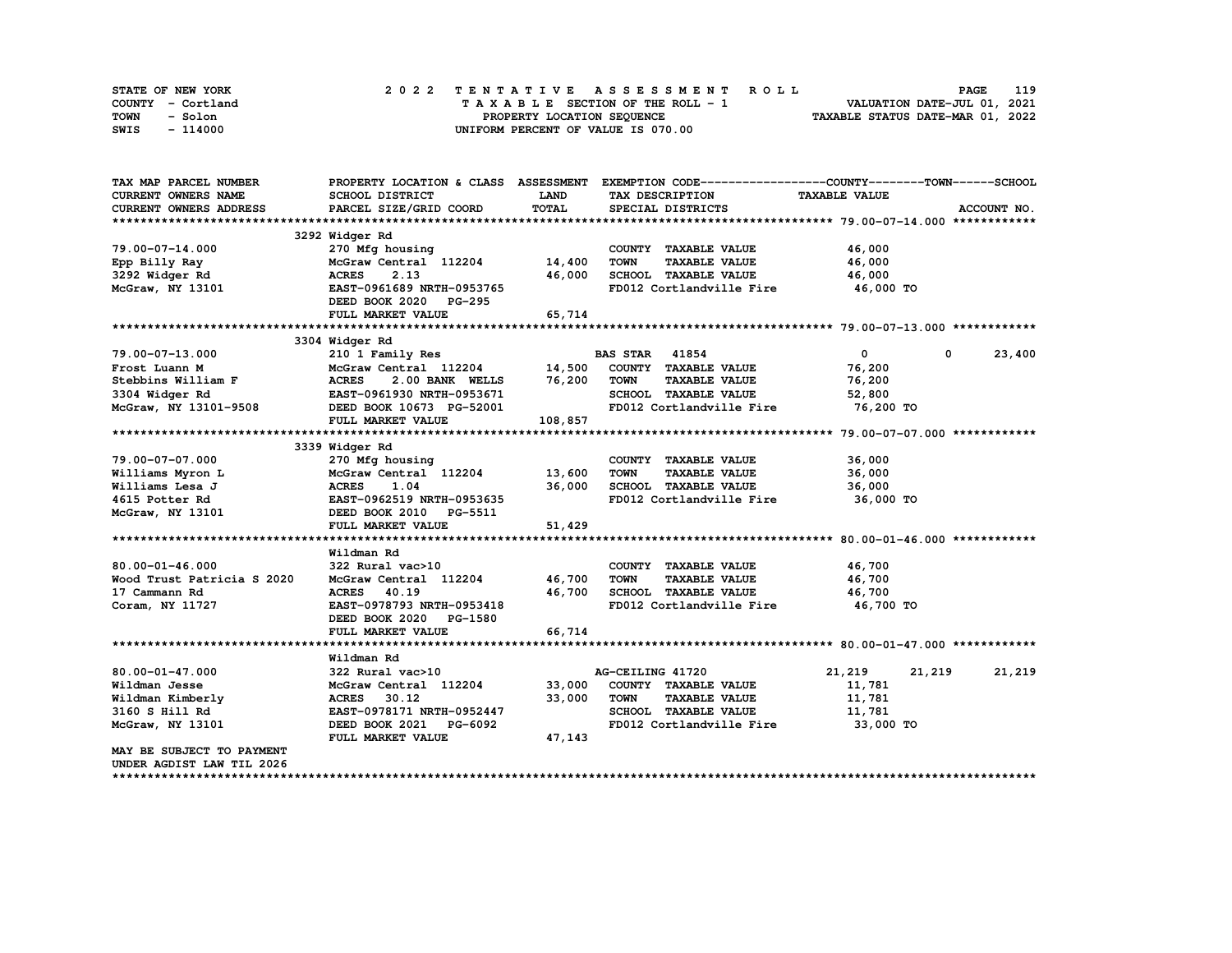| STATE OF NEW YORK | 2022 TENTATIVE ASSESSMENT ROLL     | 119<br><b>PAGE</b>               |
|-------------------|------------------------------------|----------------------------------|
| COUNTY - Cortland | TAXABLE SECTION OF THE ROLL - 1    | VALUATION DATE-JUL 01, 2021      |
| TOWN<br>- Solon   | PROPERTY LOCATION SEQUENCE         | TAXABLE STATUS DATE-MAR 01, 2022 |
| SWIS<br>- 114000  | UNIFORM PERCENT OF VALUE IS 070.00 |                                  |

| TAX MAP PARCEL NUMBER              |                                  |             | PROPERTY LOCATION & CLASS ASSESSMENT EXEMPTION CODE----------------COUNTY-------TOWN-----SCHOOL |                      |             |
|------------------------------------|----------------------------------|-------------|-------------------------------------------------------------------------------------------------|----------------------|-------------|
| CURRENT OWNERS NAME                | SCHOOL DISTRICT                  | <b>LAND</b> | TAX DESCRIPTION                                                                                 | <b>TAXABLE VALUE</b> |             |
| <b>CURRENT OWNERS ADDRESS</b>      | PARCEL SIZE/GRID COORD           | TOTAL       | SPECIAL DISTRICTS                                                                               |                      | ACCOUNT NO. |
|                                    |                                  |             |                                                                                                 |                      |             |
|                                    | 3292 Widger Rd                   |             |                                                                                                 |                      |             |
| $79.00 - 07 - 14.000$              | 270 Mfg housing 270 Mfg housing  |             | COUNTY TAXABLE VALUE                                                                            | 46,000               |             |
| Epp Billy Ray                      | $McGraw$ Central $112204$ 14,400 |             | <b>TOWN</b><br><b>TAXABLE VALUE</b>                                                             | 46,000               |             |
| 3292 Widger Rd                     | <b>ACRES</b><br>2.13             | 46,000      | SCHOOL TAXABLE VALUE                                                                            | 46,000               |             |
| McGraw, NY 13101                   | EAST-0961689 NRTH-0953765        |             | FD012 Cortlandville Fire                                                                        | 46,000 TO            |             |
|                                    | DEED BOOK 2020 PG-295            |             |                                                                                                 |                      |             |
|                                    | FULL MARKET VALUE                | 65,714      |                                                                                                 |                      |             |
|                                    |                                  |             |                                                                                                 |                      |             |
|                                    | 3304 Widger Rd                   |             |                                                                                                 |                      |             |
| 79.00-07-13.000                    | 210 1 Family Res                 |             | <b>BAS STAR</b> 41854                                                                           | $\mathbf{0}$<br>0    | 23,400      |
| Frost Luann M                      |                                  |             |                                                                                                 | 76,200               |             |
|                                    | 2.00 BANK WELLS 76,200           |             | <b>TOWN</b><br><b>TAXABLE VALUE</b>                                                             | 76,200               |             |
|                                    |                                  |             | SCHOOL TAXABLE VALUE                                                                            | 52,800               |             |
|                                    |                                  |             | FD012 Cortlandville Fire                                                                        | 76,200 TO            |             |
|                                    | FULL MARKET VALUE                | 108,857     |                                                                                                 |                      |             |
|                                    |                                  |             |                                                                                                 |                      |             |
|                                    | 3339 Widger Rd                   |             |                                                                                                 |                      |             |
| 79.00-07-07.000                    | 270 Mfg housing                  |             | COUNTY TAXABLE VALUE                                                                            | 36,000               |             |
| Williams Myron L                   | McGraw Central 112204 13,600     |             | <b>TOWN</b><br><b>TAXABLE VALUE</b>                                                             | 36,000               |             |
| Williams Lesa J                    | <b>ACRES</b><br>1.04             | 36,000      | SCHOOL TAXABLE VALUE                                                                            | 36,000               |             |
| 4615 Potter Rd                     | EAST-0962519 NRTH-0953635        |             | FD012 Cortlandville Fire 36,000 TO                                                              |                      |             |
| McGraw, NY 13101                   | DEED BOOK 2010 PG-5511           |             |                                                                                                 |                      |             |
|                                    | FULL MARKET VALUE                | 51,429      |                                                                                                 |                      |             |
|                                    |                                  |             |                                                                                                 |                      |             |
|                                    | Wildman Rd                       |             |                                                                                                 |                      |             |
| $80.00 - 01 - 46.000$              | 322 Rural vac>10                 |             | COUNTY TAXABLE VALUE 46,700                                                                     |                      |             |
| Wood Trust Patricia S 2020         | McGraw Central 112204 46,700     |             | TOWN<br><b>TAXABLE VALUE</b>                                                                    | 46,700               |             |
| 17 Cammann Rd                      | ACRES 40.19                      | 46,700      | SCHOOL TAXABLE VALUE                                                                            | 46,700               |             |
| Coram, NY 11727                    | EAST-0978793 NRTH-0953418        |             | FD012 Cortlandville Fire 46,700 TO                                                              |                      |             |
|                                    | DEED BOOK 2020 PG-1580           |             |                                                                                                 |                      |             |
|                                    | FULL MARKET VALUE                | 66,714      |                                                                                                 |                      |             |
|                                    |                                  |             |                                                                                                 |                      |             |
|                                    | Wildman Rd                       |             |                                                                                                 |                      |             |
| $80.00 - 01 - 47.000$              | 322 Rural vac>10                 |             | AG-CEILING 41720                                                                                | 21,219<br>21,219     | 21,219      |
| Wildman Jesse                      | McGraw Central 112204            | 33,000      | COUNTY TAXABLE VALUE                                                                            | 11,781               |             |
|                                    | <b>ACRES</b><br>30.12            |             | <b>TOWN</b><br><b>TAXABLE VALUE</b>                                                             |                      |             |
| Wildman Kimberly<br>3160 S Hill Rd | EAST-0978171 NRTH-0952447        | 33,000      | SCHOOL TAXABLE VALUE                                                                            | 11,781<br>11,781     |             |
|                                    | DEED BOOK 2021 PG-6092           |             | FD012 Cortlandville Fire 33,000 TO                                                              |                      |             |
| McGraw, NY 13101                   |                                  |             |                                                                                                 |                      |             |
| MAY BE SUBJECT TO PAYMENT          | FULL MARKET VALUE                | 47,143      |                                                                                                 |                      |             |
|                                    |                                  |             |                                                                                                 |                      |             |
| UNDER AGDIST LAW TIL 2026          |                                  |             |                                                                                                 |                      |             |
|                                    |                                  |             |                                                                                                 |                      |             |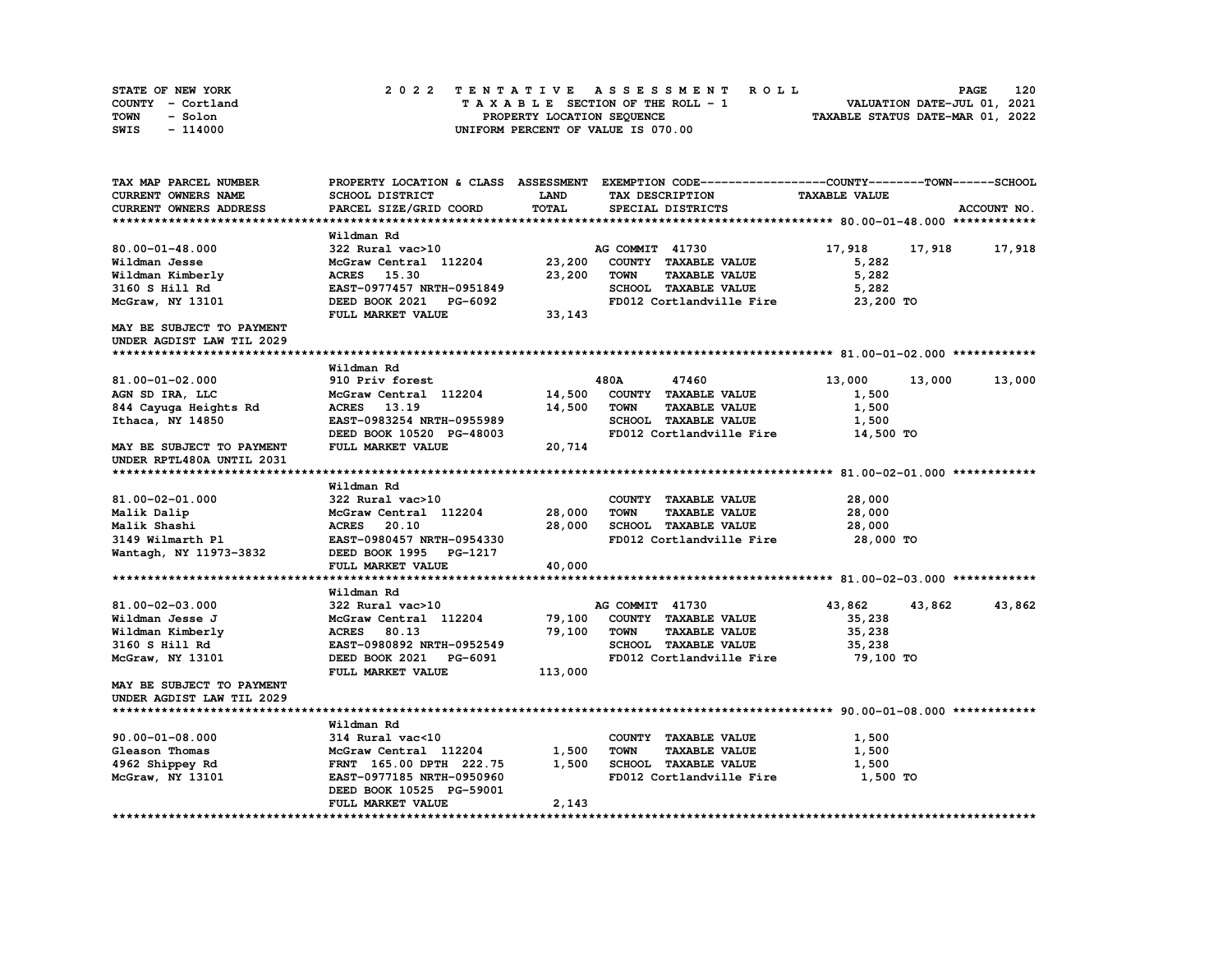| STATE OF NEW YORK | 2022 TENTATIVE ASSESSMENT ROLL     | 120<br><b>PAGE</b>               |
|-------------------|------------------------------------|----------------------------------|
| COUNTY - Cortland | TAXABLE SECTION OF THE ROLL - 1    | VALUATION DATE-JUL 01, 2021      |
| TOWN<br>- Solon   | PROPERTY LOCATION SEQUENCE         | TAXABLE STATUS DATE-MAR 01, 2022 |
| $-114000$<br>SWIS | UNIFORM PERCENT OF VALUE IS 070.00 |                                  |

| TAX MAP PARCEL NUMBER     |                           |              |                                     | PROPERTY LOCATION & CLASS ASSESSMENT EXEMPTION CODE----------------COUNTY-------TOWN-----SCHOOL |                  |
|---------------------------|---------------------------|--------------|-------------------------------------|-------------------------------------------------------------------------------------------------|------------------|
| CURRENT OWNERS NAME       | <b>SCHOOL DISTRICT</b>    | <b>LAND</b>  | TAX DESCRIPTION                     | <b>TAXABLE VALUE</b>                                                                            |                  |
| CURRENT OWNERS ADDRESS    | PARCEL SIZE/GRID COORD    | <b>TOTAL</b> | SPECIAL DISTRICTS                   |                                                                                                 | ACCOUNT NO.      |
|                           |                           |              |                                     |                                                                                                 |                  |
|                           | Wildman Rd                |              |                                     |                                                                                                 |                  |
| $80.00 - 01 - 48.000$     | 322 Rural vac>10          |              | AG COMMIT 41730                     | 17,918                                                                                          | 17,918<br>17,918 |
| Wildman Jesse             | McGraw Central 112204     | 23,200       | COUNTY TAXABLE VALUE                | 5,282                                                                                           |                  |
| Wildman Kimberly          | <b>ACRES</b> 15.30        | 23,200       | <b>TOWN</b><br><b>TAXABLE VALUE</b> | 5,282                                                                                           |                  |
| 3160 S Hill Rd            | EAST-0977457 NRTH-0951849 |              | SCHOOL TAXABLE VALUE                | 5,282                                                                                           |                  |
| McGraw, NY 13101          | DEED BOOK 2021 PG-6092    |              | FD012 Cortlandville Fire            | 23,200 TO                                                                                       |                  |
|                           | FULL MARKET VALUE         | 33,143       |                                     |                                                                                                 |                  |
| MAY BE SUBJECT TO PAYMENT |                           |              |                                     |                                                                                                 |                  |
| UNDER AGDIST LAW TIL 2029 |                           |              |                                     |                                                                                                 |                  |
|                           |                           |              |                                     |                                                                                                 |                  |
|                           | Wildman Rd                |              |                                     |                                                                                                 |                  |
| 81.00-01-02.000           | 910 Priv forest           |              | 480A<br>47460                       | 13,000                                                                                          | 13,000<br>13,000 |
| AGN SD IRA, LLC           | McGraw Central 112204     | 14,500       | COUNTY TAXABLE VALUE                | 1,500                                                                                           |                  |
| 844 Cayuga Heights Rd     | <b>ACRES</b><br>13.19     | 14,500       | <b>TOWN</b><br><b>TAXABLE VALUE</b> | 1,500                                                                                           |                  |
| Ithaca, NY 14850          | EAST-0983254 NRTH-0955989 |              | SCHOOL TAXABLE VALUE                | 1,500                                                                                           |                  |
|                           | DEED BOOK 10520 PG-48003  |              | FD012 Cortlandville Fire            | 14,500 TO                                                                                       |                  |
| MAY BE SUBJECT TO PAYMENT | FULL MARKET VALUE         | 20,714       |                                     |                                                                                                 |                  |
| UNDER RPTL480A UNTIL 2031 |                           |              |                                     |                                                                                                 |                  |
|                           |                           |              |                                     |                                                                                                 |                  |
|                           | Wildman Rd                |              |                                     |                                                                                                 |                  |
| 81.00-02-01.000           | 322 Rural vac>10          |              | COUNTY TAXABLE VALUE                | 28,000                                                                                          |                  |
| Malik Dalip               | McGraw Central 112204     | 28,000       | TOWN<br><b>TAXABLE VALUE</b>        | 28,000                                                                                          |                  |
| Malik Shashi              | <b>ACRES</b><br>20.10     | 28,000       | SCHOOL TAXABLE VALUE                | 28,000                                                                                          |                  |
| 3149 Wilmarth Pl          | EAST-0980457 NRTH-0954330 |              | FD012 Cortlandville Fire            | 28,000 TO                                                                                       |                  |
| Wantagh, NY 11973-3832    | DEED BOOK 1995 PG-1217    |              |                                     |                                                                                                 |                  |
|                           | FULL MARKET VALUE         | 40,000       |                                     |                                                                                                 |                  |
|                           |                           |              |                                     |                                                                                                 |                  |
|                           | Wildman Rd                |              |                                     |                                                                                                 |                  |
| 81.00-02-03.000           | 322 Rural vac>10          |              | AG COMMIT 41730                     | 43,862                                                                                          | 43,862<br>43,862 |
| Wildman Jesse J           | McGraw Central 112204     | 79,100       | COUNTY TAXABLE VALUE                | 35,238                                                                                          |                  |
| Wildman Kimberly          | <b>ACRES</b><br>80.13     | 79,100       | <b>TAXABLE VALUE</b><br><b>TOWN</b> | 35,238                                                                                          |                  |
| 3160 S Hill Rd            | EAST-0980892 NRTH-0952549 |              | SCHOOL TAXABLE VALUE                | 35,238                                                                                          |                  |
| McGraw, NY 13101          | DEED BOOK 2021 PG-6091    |              | FD012 Cortlandville Fire            | 79,100 TO                                                                                       |                  |
|                           | FULL MARKET VALUE         | 113,000      |                                     |                                                                                                 |                  |
| MAY BE SUBJECT TO PAYMENT |                           |              |                                     |                                                                                                 |                  |
| UNDER AGDIST LAW TIL 2029 |                           |              |                                     |                                                                                                 |                  |
|                           |                           |              |                                     |                                                                                                 |                  |
|                           | Wildman Rd                |              |                                     |                                                                                                 |                  |
| $90.00 - 01 - 08.000$     | 314 Rural vac<10          |              | COUNTY TAXABLE VALUE                | 1,500                                                                                           |                  |
| Gleason Thomas            | McGraw Central 112204     | 1,500        | <b>TOWN</b><br><b>TAXABLE VALUE</b> | 1,500                                                                                           |                  |
| 4962 Shippey Rd           | FRNT 165.00 DPTH 222.75   | 1,500        | SCHOOL TAXABLE VALUE                | 1,500                                                                                           |                  |
| McGraw, NY 13101          | EAST-0977185 NRTH-0950960 |              | FD012 Cortlandville Fire            | 1,500 TO                                                                                        |                  |
|                           | DEED BOOK 10525 PG-59001  |              |                                     |                                                                                                 |                  |
|                           | FULL MARKET VALUE         | 2,143        |                                     |                                                                                                 |                  |
|                           |                           |              |                                     |                                                                                                 |                  |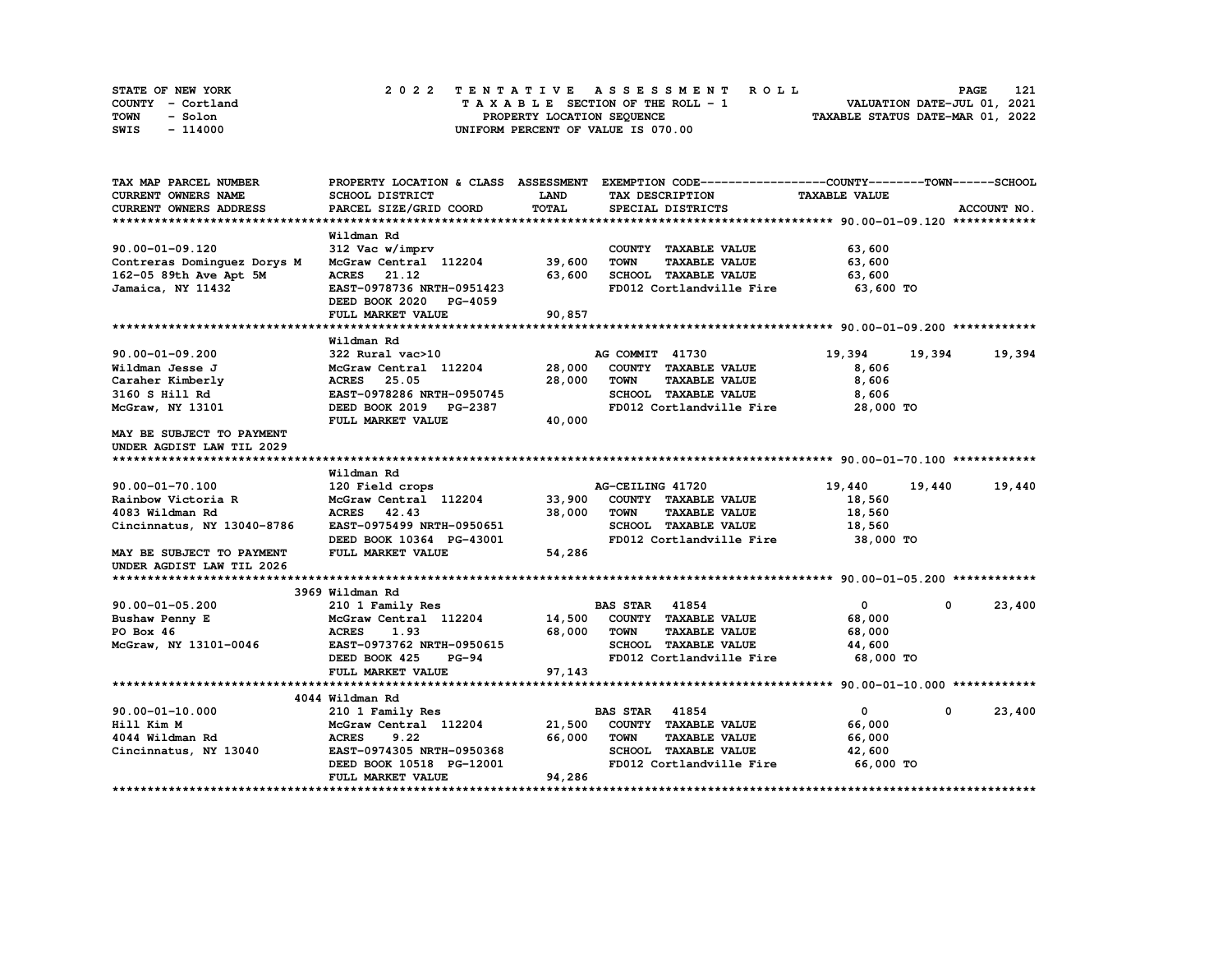| STATE OF NEW YORK | 2022 TENTATIVE ASSESSMENT ROLL     | 121<br><b>PAGE</b>               |
|-------------------|------------------------------------|----------------------------------|
| COUNTY - Cortland | TAXABLE SECTION OF THE ROLL - 1    | VALUATION DATE-JUL 01, 2021      |
| TOWN<br>- Solon   | PROPERTY LOCATION SEQUENCE         | TAXABLE STATUS DATE-MAR 01, 2022 |
| - 114000<br>SWIS  | UNIFORM PERCENT OF VALUE IS 070.00 |                                  |

| TAX MAP PARCEL NUMBER                 |                                          |             | PROPERTY LOCATION & CLASS ASSESSMENT EXEMPTION CODE----------------COUNTY-------TOWN-----SCHOOL |                      |                      |
|---------------------------------------|------------------------------------------|-------------|-------------------------------------------------------------------------------------------------|----------------------|----------------------|
| <b>CURRENT OWNERS NAME</b>            | <b>SCHOOL DISTRICT</b>                   | <b>LAND</b> | TAX DESCRIPTION                                                                                 | <b>TAXABLE VALUE</b> |                      |
| CURRENT OWNERS ADDRESS                | PARCEL SIZE/GRID COORD                   | TOTAL       | SPECIAL DISTRICTS                                                                               |                      | ACCOUNT NO.          |
|                                       |                                          |             |                                                                                                 |                      |                      |
|                                       | Wildman Rd                               |             |                                                                                                 |                      |                      |
| $90.00 - 01 - 09.120$                 | 312 Vac w/imprv                          |             | COUNTY TAXABLE VALUE                                                                            | 63,600               |                      |
| Contreras Dominquez Dorys M           | McGraw Central 112204                    | 39,600      | <b>TOWN</b><br><b>TAXABLE VALUE</b>                                                             | 63,600               |                      |
| 162-05 89th Ave Apt 5M                | ACRES 21.12                              | 63,600      | SCHOOL TAXABLE VALUE                                                                            | 63,600               |                      |
| Jamaica, NY 11432                     | EAST-0978736 NRTH-0951423                |             | FD012 Cortlandville Fire                                                                        | 63,600 TO            |                      |
|                                       | DEED BOOK 2020 PG-4059                   |             |                                                                                                 |                      |                      |
|                                       | FULL MARKET VALUE                        | 90,857      |                                                                                                 |                      |                      |
|                                       |                                          |             |                                                                                                 |                      |                      |
|                                       | Wildman Rd                               |             |                                                                                                 |                      |                      |
| $90.00 - 01 - 09.200$                 | 322 Rural vac>10                         |             | AG COMMIT 41730                                                                                 | 19,394               | 19,394<br>19,394     |
| Wildman Jesse J                       | McGraw Central 112204                    | 28,000      | COUNTY TAXABLE VALUE                                                                            | 8,606                |                      |
| Caraher Kimberly                      | <b>ACRES</b> 25.05                       | 28,000      | <b>TOWN</b><br><b>TAXABLE VALUE</b>                                                             | 8,606                |                      |
| 3160 S Hill Rd                        | EAST-0978286 NRTH-0950745                |             | SCHOOL TAXABLE VALUE                                                                            | 8,606                |                      |
| McGraw, NY 13101                      | DEED BOOK 2019 PG-2387                   |             | FD012 Cortlandville Fire                                                                        | 28,000 TO            |                      |
|                                       | FULL MARKET VALUE                        | 40,000      |                                                                                                 |                      |                      |
| MAY BE SUBJECT TO PAYMENT             |                                          |             |                                                                                                 |                      |                      |
| UNDER AGDIST LAW TIL 2029             |                                          |             |                                                                                                 |                      |                      |
|                                       |                                          |             |                                                                                                 |                      |                      |
|                                       | Wildman Rd                               |             |                                                                                                 |                      |                      |
| 90.00-01-70.100<br>Rainbow Victoria R | 120 Field crops<br>McGraw Central 112204 | 33,900      | AG-CEILING 41720<br>COUNTY TAXABLE VALUE                                                        | 19,440               | 19,440<br>19,440     |
| 4083 Wildman Rd                       | <b>ACRES</b><br>42.43                    | 38,000      | <b>TOWN</b><br><b>TAXABLE VALUE</b>                                                             | 18,560<br>18,560     |                      |
|                                       | EAST-0975499 NRTH-0950651                |             | SCHOOL TAXABLE VALUE                                                                            | 18,560               |                      |
| Cincinnatus, NY 13040-8786            | DEED BOOK 10364 PG-43001                 |             | FD012 Cortlandville Fire                                                                        | 38,000 TO            |                      |
| MAY BE SUBJECT TO PAYMENT             | FULL MARKET VALUE                        | 54,286      |                                                                                                 |                      |                      |
| UNDER AGDIST LAW TIL 2026             |                                          |             |                                                                                                 |                      |                      |
|                                       |                                          |             |                                                                                                 |                      |                      |
|                                       | 3969 Wildman Rd                          |             |                                                                                                 |                      |                      |
| $90.00 - 01 - 05.200$                 | 210 1 Family Res                         |             | <b>BAS STAR 41854</b>                                                                           | $\mathbf{0}$         | 23,400<br>$^{\circ}$ |
| Bushaw Penny E                        | McGraw Central 112204                    |             | 14,500 COUNTY TAXABLE VALUE                                                                     | 68,000               |                      |
| PO Box 46                             | <b>ACRES</b><br>1.93                     | 68,000      | TOWN<br><b>TAXABLE VALUE</b>                                                                    | 68,000               |                      |
| McGraw, NY 13101-0046                 | EAST-0973762 NRTH-0950615                |             | <b>SCHOOL TAXABLE VALUE</b>                                                                     | 44,600               |                      |
|                                       | DEED BOOK 425<br>$PG-94$                 |             | FD012 Cortlandville Fire                                                                        | 68,000 TO            |                      |
|                                       | FULL MARKET VALUE                        | 97,143      |                                                                                                 |                      |                      |
|                                       |                                          |             |                                                                                                 |                      |                      |
|                                       | 4044 Wildman Rd                          |             |                                                                                                 |                      |                      |
| $90.00 - 01 - 10.000$                 | 210 1 Family Res                         |             | <b>BAS STAR 41854</b>                                                                           | $\mathbf{0}$         | 23,400<br>$^{\circ}$ |
| Hill Kim M                            | McGraw Central 112204                    | 21,500      | COUNTY TAXABLE VALUE                                                                            | 66,000               |                      |
| 4044 Wildman Rd                       | 9.22<br><b>ACRES</b>                     | 66,000      | <b>TOWN</b><br><b>TAXABLE VALUE</b>                                                             | 66,000               |                      |
| Cincinnatus, NY 13040                 | EAST-0974305 NRTH-0950368                |             | SCHOOL TAXABLE VALUE                                                                            | 42,600               |                      |
|                                       | DEED BOOK 10518 PG-12001                 |             | FD012 Cortlandville Fire                                                                        | 66,000 TO            |                      |
|                                       | FULL MARKET VALUE                        | 94,286      |                                                                                                 |                      |                      |
|                                       |                                          |             |                                                                                                 |                      |                      |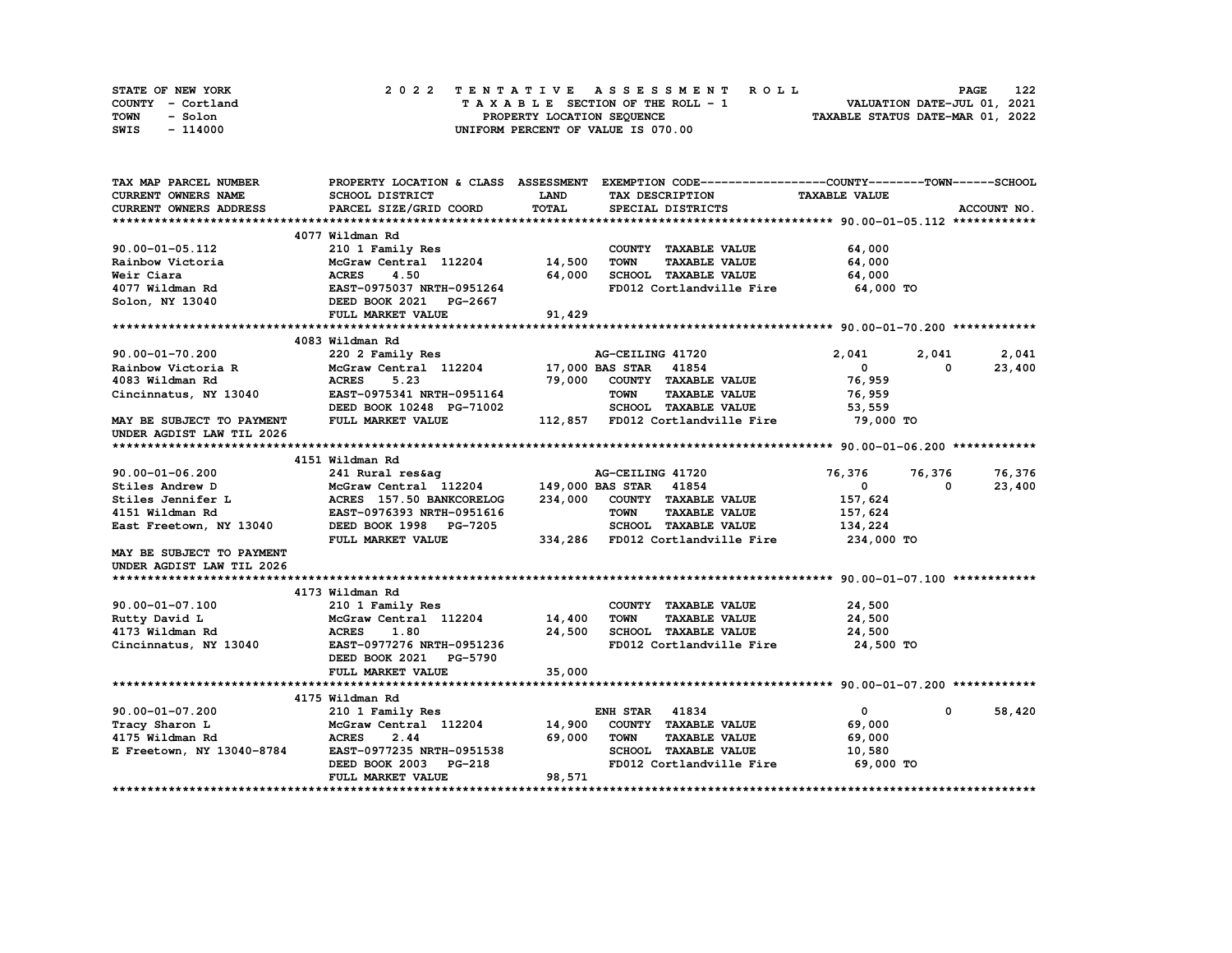| STATE OF NEW YORK | 2022 TENTATIVE ASSESSMENT ROLL     | 122<br>PAGE                      |
|-------------------|------------------------------------|----------------------------------|
| COUNTY - Cortland | TAXABLE SECTION OF THE ROLL - 1    | VALUATION DATE-JUL 01, 2021      |
| TOWN<br>- Solon   | PROPERTY LOCATION SEQUENCE         | TAXABLE STATUS DATE-MAR 01, 2022 |
| SWIS<br>- 114000  | UNIFORM PERCENT OF VALUE IS 070.00 |                                  |

| TAX MAP PARCEL NUMBER      |                                              |             | PROPERTY LOCATION & CLASS ASSESSMENT EXEMPTION CODE-----------------COUNTY-------TOWN------SCHOOL |                      |                      |
|----------------------------|----------------------------------------------|-------------|---------------------------------------------------------------------------------------------------|----------------------|----------------------|
| <b>CURRENT OWNERS NAME</b> | SCHOOL DISTRICT                              | <b>LAND</b> | TAX DESCRIPTION                                                                                   | <b>TAXABLE VALUE</b> |                      |
| CURRENT OWNERS ADDRESS     | PARCEL SIZE/GRID COORD                       | TOTAL       | SPECIAL DISTRICTS                                                                                 |                      | ACCOUNT NO.          |
|                            |                                              |             |                                                                                                   |                      |                      |
|                            | 4077 Wildman Rd                              |             |                                                                                                   |                      |                      |
| 90.00-01-05.112            | 210 1 Family Res                             |             | COUNTY TAXABLE VALUE                                                                              | 64,000               |                      |
| Rainbow Victoria           | McGraw Central 112204                        | 14,500      | <b>TOWN</b><br><b>TAXABLE VALUE</b>                                                               | 64,000               |                      |
| Weir Ciara                 | <b>ACRES</b><br>4.50                         | 64,000      | SCHOOL TAXABLE VALUE                                                                              | 64,000               |                      |
| 4077 Wildman Rd            | EAST-0975037 NRTH-0951264                    |             | FD012 Cortlandville Fire                                                                          | 64,000 TO            |                      |
| Solon, NY 13040            | DEED BOOK 2021 PG-2667                       |             |                                                                                                   |                      |                      |
|                            | FULL MARKET VALUE                            | 91.429      |                                                                                                   |                      |                      |
|                            |                                              |             |                                                                                                   |                      |                      |
|                            | 4083 Wildman Rd                              |             |                                                                                                   |                      |                      |
| $90.00 - 01 - 70.200$      | 220 2 Family Res                             |             | AG-CEILING 41720                                                                                  | 2.041                | 2,041<br>2,041       |
| Rainbow Victoria R         | McGraw Central 112204 17,000 BAS STAR 41854  |             |                                                                                                   | $\mathbf{0}$         | 23,400<br>0          |
| 4083 Wildman Rd            | <b>ACRES</b><br>5.23                         | 79,000      | COUNTY TAXABLE VALUE                                                                              | 76,959               |                      |
| Cincinnatus, NY 13040      | EAST-0975341 NRTH-0951164                    |             | <b>TOWN</b><br><b>TAXABLE VALUE</b>                                                               | 76,959               |                      |
|                            | DEED BOOK 10248 PG-71002                     |             | SCHOOL TAXABLE VALUE                                                                              | 53,559               |                      |
| MAY BE SUBJECT TO PAYMENT  | FULL MARKET VALUE                            |             | 112,857 FD012 Cortlandville Fire                                                                  | 79,000 TO            |                      |
| UNDER AGDIST LAW TIL 2026  |                                              |             |                                                                                                   |                      |                      |
|                            |                                              |             |                                                                                                   |                      |                      |
|                            | 4151 Wildman Rd                              |             |                                                                                                   |                      |                      |
| $90.00 - 01 - 06.200$      |                                              |             | AG-CEILING 41720                                                                                  | 76,376               | 76,376<br>76,376     |
| Stiles Andrew D            | And Murai res&ag<br>McGraw Central 112204 14 |             | 149,000 BAS STAR 41854                                                                            | $\mathbf{0}$         | $\Omega$<br>23,400   |
| Stiles Jennifer L          | ACRES 157.50 BANKCORELOG                     | 234,000     | COUNTY TAXABLE VALUE                                                                              | 157,624              |                      |
| 4151 Wildman Rd            | EAST-0976393 NRTH-0951616                    |             | <b>TOWN</b><br><b>TAXABLE VALUE</b>                                                               | 157,624              |                      |
| East Freetown, NY 13040    | DEED BOOK 1998 PG-7205                       |             | SCHOOL TAXABLE VALUE                                                                              | 134,224              |                      |
|                            | FULL MARKET VALUE                            |             | 334,286 FD012 Cortlandville Fire                                                                  | 234,000 TO           |                      |
| MAY BE SUBJECT TO PAYMENT  |                                              |             |                                                                                                   |                      |                      |
| UNDER AGDIST LAW TIL 2026  |                                              |             |                                                                                                   |                      |                      |
|                            |                                              |             |                                                                                                   |                      |                      |
|                            | 4173 Wildman Rd                              |             |                                                                                                   |                      |                      |
| 90.00-01-07.100            | 210 1 Family Res                             |             | COUNTY TAXABLE VALUE                                                                              | 24,500               |                      |
| Rutty David L              | McGraw Central 112204 14,400                 |             | <b>TOWN</b><br><b>TAXABLE VALUE</b>                                                               | 24,500               |                      |
| 4173 Wildman Rd            | <b>ACRES</b><br>1.80                         | 24,500      | SCHOOL TAXABLE VALUE                                                                              | 24,500               |                      |
| Cincinnatus, NY 13040      | EAST-0977276 NRTH-0951236                    |             | FD012 Cortlandville Fire                                                                          | 24,500 TO            |                      |
|                            | DEED BOOK 2021 PG-5790                       |             |                                                                                                   |                      |                      |
|                            | FULL MARKET VALUE                            | 35,000      |                                                                                                   |                      |                      |
|                            |                                              |             |                                                                                                   |                      |                      |
|                            | 4175 Wildman Rd                              |             |                                                                                                   |                      |                      |
| $90.00 - 01 - 07.200$      | 210 1 Family Res                             |             | <b>ENH STAR 41834</b>                                                                             | $\overline{0}$       | 58,420<br>$^{\circ}$ |
| Tracy Sharon L             | McGraw Central 112204                        | 14,900      | COUNTY TAXABLE VALUE                                                                              | 69,000               |                      |
| 4175 Wildman Rd            | <b>ACRES</b><br>2.44                         | 69,000      | <b>TOWN</b><br><b>TAXABLE VALUE</b>                                                               | 69,000               |                      |
| E Freetown, NY 13040-8784  | EAST-0977235 NRTH-0951538                    |             | SCHOOL TAXABLE VALUE                                                                              | 10,580               |                      |
|                            | DEED BOOK 2003 PG-218                        |             | FD012 Cortlandville Fire                                                                          | 69,000 TO            |                      |
|                            | FULL MARKET VALUE                            | 98,571      |                                                                                                   |                      |                      |
|                            |                                              |             |                                                                                                   |                      |                      |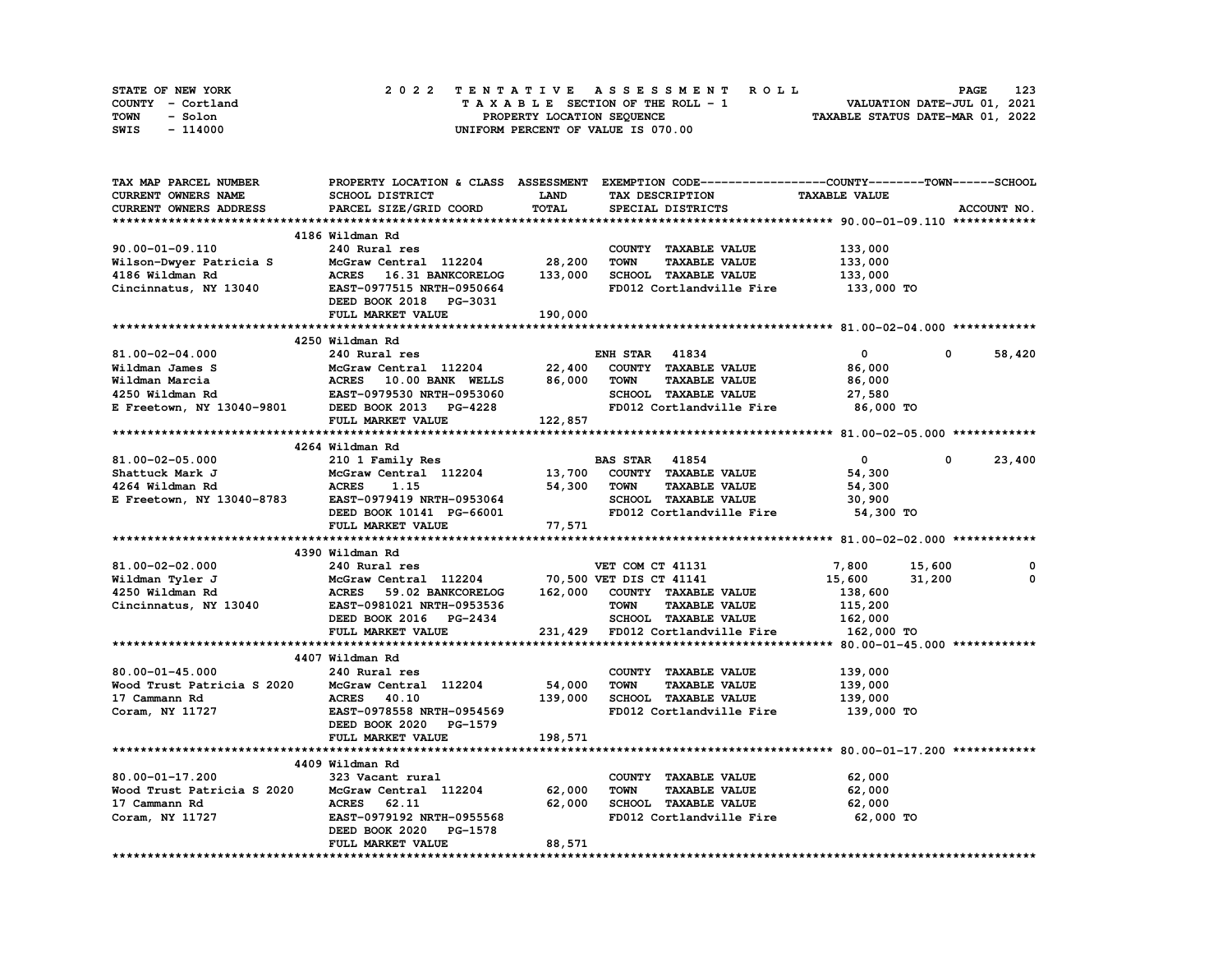| STATE OF NEW YORK | 2022 TENTATIVE ASSESSMENT ROLL     | 123<br><b>PAGE</b>               |
|-------------------|------------------------------------|----------------------------------|
| COUNTY - Cortland | TAXABLE SECTION OF THE ROLL - 1    | VALUATION DATE-JUL 01, 2021      |
| TOWN<br>- Solon   | PROPERTY LOCATION SEQUENCE         | TAXABLE STATUS DATE-MAR 01, 2022 |
| SWIS<br>- 114000  | UNIFORM PERCENT OF VALUE IS 070.00 |                                  |

| TAX MAP PARCEL NUMBER                                                                                                                                               |                                                                  |             | PROPERTY LOCATION & CLASS ASSESSMENT EXEMPTION CODE-----------------COUNTY-------TOWN-----SCHOOL |                      |                      |
|---------------------------------------------------------------------------------------------------------------------------------------------------------------------|------------------------------------------------------------------|-------------|--------------------------------------------------------------------------------------------------|----------------------|----------------------|
| CURRENT OWNERS NAME                                                                                                                                                 | SCHOOL DISTRICT                                                  | <b>LAND</b> | TAX DESCRIPTION                                                                                  | <b>TAXABLE VALUE</b> |                      |
| CURRENT OWNERS ADDRESS                                                                                                                                              | PARCEL SIZE/GRID COORD                                           | TOTAL       | SPECIAL DISTRICTS                                                                                |                      | ACCOUNT NO.          |
|                                                                                                                                                                     |                                                                  |             |                                                                                                  |                      |                      |
|                                                                                                                                                                     | 4186 Wildman Rd                                                  |             |                                                                                                  |                      |                      |
| 90.00-01-09.110                                                                                                                                                     | 240 Rural res                                                    |             | COUNTY TAXABLE VALUE                                                                             | 133,000              |                      |
|                                                                                                                                                                     |                                                                  |             | <b>TOWN</b><br><b>TAXABLE VALUE</b>                                                              | 133,000              |                      |
|                                                                                                                                                                     |                                                                  |             |                                                                                                  |                      |                      |
| Cincinnatus, NY 13040 EAST-0977515 NRTH-0950664                                                                                                                     |                                                                  | 133,000     | SCHOOL TAXABLE VALUE                                                                             | 133,000              |                      |
|                                                                                                                                                                     |                                                                  |             | FD012 Cortlandville Fire 133,000 TO                                                              |                      |                      |
|                                                                                                                                                                     | DEED BOOK 2018 PG-3031                                           |             |                                                                                                  |                      |                      |
|                                                                                                                                                                     | FULL MARKET VALUE                                                | 190,000     |                                                                                                  |                      |                      |
|                                                                                                                                                                     |                                                                  |             |                                                                                                  |                      |                      |
|                                                                                                                                                                     | 4250 Wildman Rd                                                  |             |                                                                                                  |                      |                      |
| 81.00-02-04.000                                                                                                                                                     | 240 Rural res                                                    |             | <b>ENH STAR 41834</b>                                                                            | $\mathbf{0}$         | 58,420<br>$^{\circ}$ |
| Wildman James S<br>Wildman Marcia (ACRES 10.00 BANK WELLS 86,000<br>4250 Wildman Rd EAST-0979530 NRTH-0953060<br>E Freetown, NY 13040-9801 (DEED BOOK 2013 PG-4228) |                                                                  |             | COUNTY TAXABLE VALUE                                                                             | 86,000               |                      |
|                                                                                                                                                                     |                                                                  |             | <b>TOWN</b><br><b>TAXABLE VALUE</b>                                                              | 86,000               |                      |
|                                                                                                                                                                     |                                                                  |             | SCHOOL TAXABLE VALUE                                                                             | 27,580               |                      |
|                                                                                                                                                                     |                                                                  |             | FD012 Cortlandville Fire 86,000 TO                                                               |                      |                      |
|                                                                                                                                                                     | <b>FULL MARKET VALUE</b>                                         | 122,857     |                                                                                                  |                      |                      |
|                                                                                                                                                                     |                                                                  |             |                                                                                                  |                      |                      |
|                                                                                                                                                                     | 4264 Wildman Rd                                                  |             |                                                                                                  |                      |                      |
|                                                                                                                                                                     |                                                                  |             |                                                                                                  | $\overline{0}$       | $^{\circ}$           |
| 81.00-02-05.000                                                                                                                                                     | 210 1 Family Res                                                 |             | <b>BAS STAR</b> 41854                                                                            |                      | 23,400               |
| Shattuck Mark J                                                                                                                                                     | McGraw Central 112204 13,700                                     |             | COUNTY TAXABLE VALUE                                                                             | 54,300               |                      |
| 4264 Wildman Rd                                                                                                                                                     | <b>ACRES</b><br>1.15<br>ACRES 1.1.<br>EAST-0979419 NRTH-0953064  |             | 54,300 TOWN<br><b>TAXABLE VALUE</b>                                                              | 54,300               |                      |
| E Freetown, NY 13040-8783                                                                                                                                           |                                                                  |             | SCHOOL TAXABLE VALUE                                                                             | 30,900               |                      |
|                                                                                                                                                                     | DEED BOOK 10141 PG-66001                                         |             | FD012 Cortlandville Fire                                                                         | 54,300 TO            |                      |
|                                                                                                                                                                     | FULL MARKET VALUE                                                | 77,571      |                                                                                                  |                      |                      |
|                                                                                                                                                                     |                                                                  |             |                                                                                                  |                      |                      |
|                                                                                                                                                                     | 4390 Wildman Rd                                                  |             |                                                                                                  |                      |                      |
| 81.00-02-02.000                                                                                                                                                     | 240 Rural res                                                    |             | VET COM CT 41131                                                                                 | 7,800 15,600         | 0                    |
| Wildman Tyler J                                                                                                                                                     | McGraw Central 112204 70,500 VET DIS CT 41141                    |             |                                                                                                  | 15,600               | 31,200<br>0          |
| 4250 Wildman Rd                                                                                                                                                     | McGraw Central 112204<br>ACRES 59.02 BANKCORELOG                 |             | 162,000 COUNTY TAXABLE VALUE                                                                     | 138,600              |                      |
| Cincinnatus, NY 13040                                                                                                                                               | EAST-0981021 NRTH-0953536                                        |             | <b>TOWN</b><br><b>TAXABLE VALUE</b>                                                              | 115,200              |                      |
|                                                                                                                                                                     |                                                                  |             | SCHOOL TAXABLE VALUE 162,000                                                                     |                      |                      |
|                                                                                                                                                                     | DEED BOOK 2016 PG-2434<br>FULL MADKET VALUE<br>FULL MARKET VALUE |             | 231,429 FD012 Cortlandville Fire                                                                 | 162,000 TO           |                      |
|                                                                                                                                                                     |                                                                  |             |                                                                                                  |                      |                      |
|                                                                                                                                                                     |                                                                  |             |                                                                                                  |                      |                      |
|                                                                                                                                                                     | 4407 Wildman Rd                                                  |             |                                                                                                  |                      |                      |
| $80.00 - 01 - 45.000$                                                                                                                                               | 240 Rural res                                                    |             | COUNTY TAXABLE VALUE                                                                             | 139,000              |                      |
| Wood Trust Patricia S 2020 McGraw Central 112204                                                                                                                    |                                                                  | 54,000      | <b>TAXABLE VALUE</b><br>TOWN                                                                     | 139,000              |                      |
| 17 Cammann Rd                                                                                                                                                       | <b>ACRES</b> 40.10                                               |             | 139,000 SCHOOL TAXABLE VALUE                                                                     | 139,000              |                      |
| Coram, NY 11727                                                                                                                                                     | EAST-0978558 NRTH-0954569                                        |             | FD012 Cortlandville Fire                                                                         | 139,000 TO           |                      |
|                                                                                                                                                                     | DEED BOOK 2020 PG-1579                                           |             |                                                                                                  |                      |                      |
|                                                                                                                                                                     | FULL MARKET VALUE                                                | 198,571     |                                                                                                  |                      |                      |
|                                                                                                                                                                     |                                                                  |             |                                                                                                  |                      |                      |
|                                                                                                                                                                     | 4409 Wildman Rd                                                  |             |                                                                                                  |                      |                      |
| 80.00-01-17.200                                                                                                                                                     | 323 Vacant rural                                                 |             | COUNTY TAXABLE VALUE                                                                             | 62,000               |                      |
| Wood Trust Patricia S 2020                                                                                                                                          | McGraw Central 112204 62,000                                     |             | <b>TOWN</b><br><b>TAXABLE VALUE</b>                                                              | 62,000               |                      |
| 17 Cammann Rd                                                                                                                                                       | <b>ACRES</b><br>62.11                                            | 62,000      | SCHOOL TAXABLE VALUE                                                                             | 62,000               |                      |
| Coram, NY 11727                                                                                                                                                     | EAST-0979192 NRTH-0955568                                        |             | FD012 Cortlandville Fire 62,000 TO                                                               |                      |                      |
|                                                                                                                                                                     | DEED BOOK 2020<br>PG-1578                                        |             |                                                                                                  |                      |                      |
|                                                                                                                                                                     | FULL MARKET VALUE                                                | 88,571      |                                                                                                  |                      |                      |
|                                                                                                                                                                     | *********************                                            |             |                                                                                                  |                      |                      |
|                                                                                                                                                                     |                                                                  |             |                                                                                                  |                      |                      |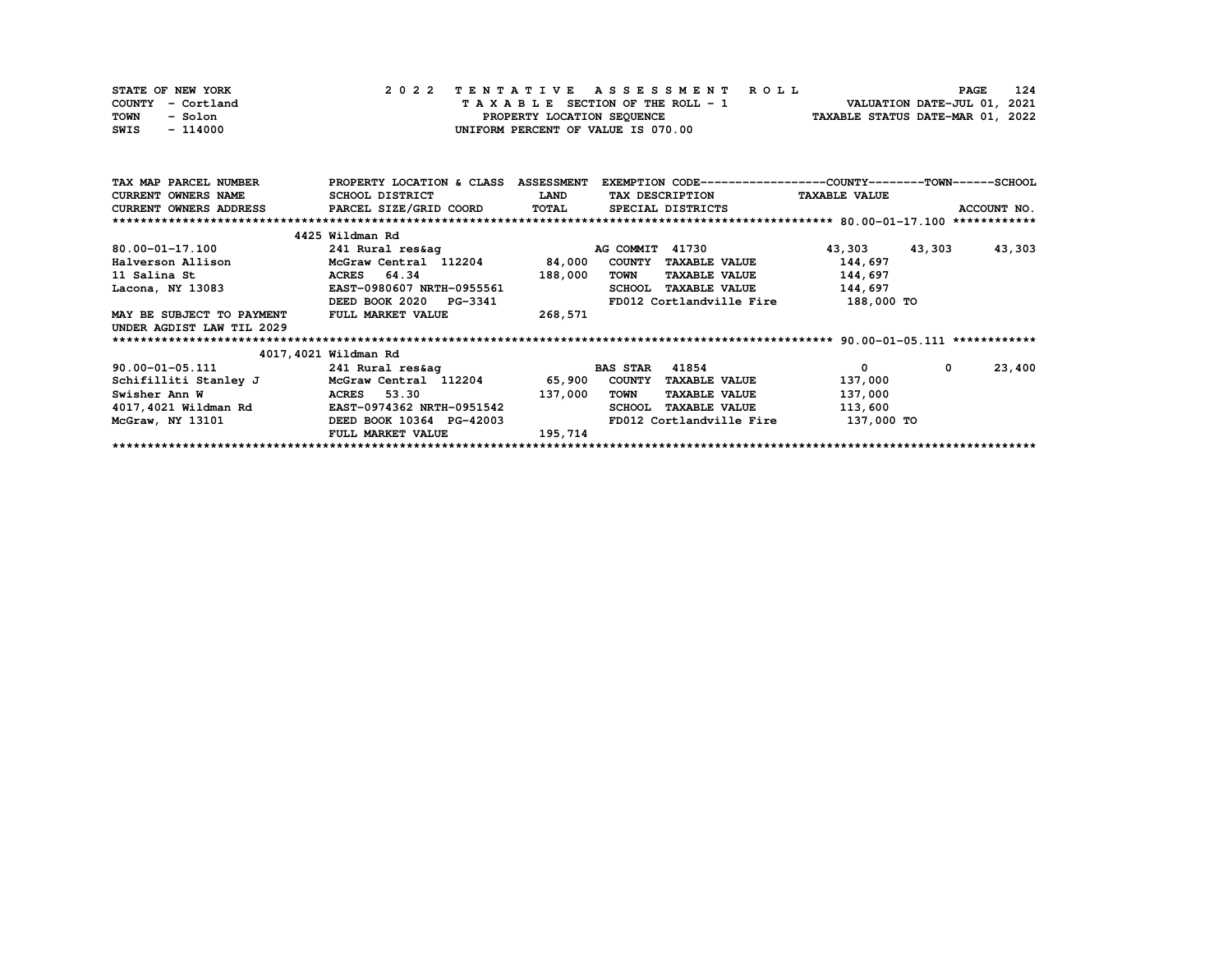| STATE OF NEW YORK | 2022 TENTATIVE ASSESSMENT ROLL     | 124<br><b>PAGE</b>               |
|-------------------|------------------------------------|----------------------------------|
| COUNTY - Cortland | TAXABLE SECTION OF THE ROLL - 1    | VALUATION DATE-JUL 01, 2021      |
| TOWN<br>- Solon   | PROPERTY LOCATION SEOUENCE         | TAXABLE STATUS DATE-MAR 01, 2022 |
| SWIS<br>- 114000  | UNIFORM PERCENT OF VALUE IS 070.00 |                                  |

| TAX MAP PARCEL NUMBER         | PROPERTY LOCATION & CLASS | <b>ASSESSMENT</b> | EXEMPTION CODE-----------------COUNTY-------TOWN------SCHOOL |                      |                  |
|-------------------------------|---------------------------|-------------------|--------------------------------------------------------------|----------------------|------------------|
| <b>CURRENT OWNERS NAME</b>    | SCHOOL DISTRICT           | <b>LAND</b>       | TAX DESCRIPTION                                              | <b>TAXABLE VALUE</b> |                  |
| <b>CURRENT OWNERS ADDRESS</b> | PARCEL SIZE/GRID COORD    | <b>TOTAL</b>      | SPECIAL DISTRICTS                                            |                      | ACCOUNT NO.      |
|                               |                           |                   |                                                              |                      |                  |
|                               | 4425 Wildman Rd           |                   |                                                              |                      |                  |
| 80.00-01-17.100               | 241 Rural res&aq          |                   | 41730<br>AG COMMIT                                           | 43,303               | 43,303<br>43,303 |
| Halverson Allison             | McGraw Central 112204     | 84,000            | <b>COUNTY</b><br><b>TAXABLE VALUE</b>                        | 144,697              |                  |
| 11 Salina St                  | ACRES 64.34               | 188,000           | TOWN<br><b>TAXABLE VALUE</b>                                 | 144,697              |                  |
| Lacona, NY 13083              | EAST-0980607 NRTH-0955561 |                   | <b>TAXABLE VALUE</b><br><b>SCHOOL</b>                        | 144,697              |                  |
|                               | DEED BOOK 2020 PG-3341    |                   | FD012 Cortlandville Fire                                     | 188,000 TO           |                  |
| MAY BE SUBJECT TO PAYMENT     | FULL MARKET VALUE         | 268,571           |                                                              |                      |                  |
| UNDER AGDIST LAW TIL 2029     |                           |                   |                                                              |                      |                  |
|                               |                           |                   |                                                              |                      |                  |
|                               | 4017,4021 Wildman Rd      |                   |                                                              |                      |                  |
| $90.00 - 01 - 05.111$         | 241 Rural res&ag          |                   | 41854<br><b>BAS STAR</b>                                     | 0                    | 23,400<br>0      |
| Schifilliti Stanley J         | McGraw Central 112204     | 65,900            | <b>COUNTY</b><br><b>TAXABLE VALUE</b>                        | 137,000              |                  |
| Swisher Ann W                 | 53.30<br><b>ACRES</b>     | 137,000           | <b>TOWN</b><br><b>TAXABLE VALUE</b>                          | 137,000              |                  |
| 4017,4021 Wildman Rd          | EAST-0974362 NRTH-0951542 |                   | <b>SCHOOL</b><br><b>TAXABLE VALUE</b>                        | 113,600              |                  |
| McGraw, NY 13101              | DEED BOOK 10364 PG-42003  |                   | FD012 Cortlandville Fire                                     | 137,000 TO           |                  |
|                               | FULL MARKET VALUE         | 195,714           |                                                              |                      |                  |
|                               |                           |                   |                                                              |                      |                  |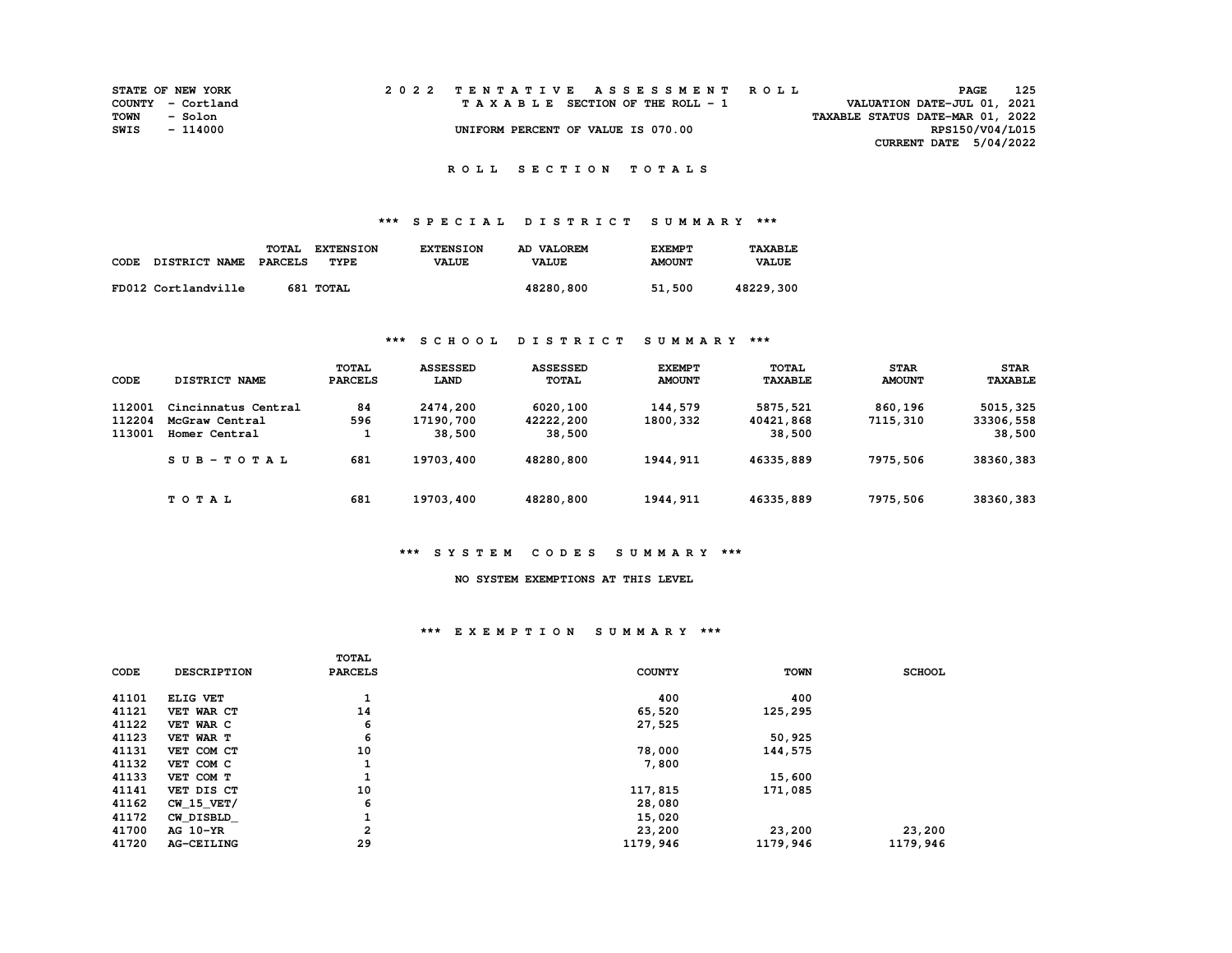|      | <b>STATE OF NEW YORK</b> | 2022 TENTATIVE ASSESSMENT ROLL     |  |                                  | <b>PAGE</b> | 125 |
|------|--------------------------|------------------------------------|--|----------------------------------|-------------|-----|
|      | COUNTY - Cortland        | TAXABLE SECTION OF THE ROLL - 1    |  | VALUATION DATE-JUL 01, 2021      |             |     |
| TOWN | - Solon                  |                                    |  | TAXABLE STATUS DATE-MAR 01, 2022 |             |     |
| SWIS | - 114000                 | UNIFORM PERCENT OF VALUE IS 070.00 |  | RPS150/V04/L015                  |             |     |
|      |                          |                                    |  | CURRENT DATE $5/04/2022$         |             |     |

## **\*\*\* S P E C I A L D I S T R I C T S U M M A R Y \*\*\***

|      |                      | TOTAL   | <b>EXTENSION</b> | <b>EXTENSION</b> | AD VALOREM   | <b>EXEMPT</b> | TAXABLE      |
|------|----------------------|---------|------------------|------------------|--------------|---------------|--------------|
| CODE | <b>DISTRICT NAME</b> | PARCELS | TYPE             | <b>VALUE</b>     | <b>VALUE</b> | <b>AMOUNT</b> | <b>VALUE</b> |
|      |                      |         |                  |                  |              |               |              |
|      | FD012 Cortlandville  |         | 681 TOTAL        |                  | 48280,800    | 51,500        | 48229,300    |

## **\*\*\* S C H O O L D I S T R I C T S U M M A R Y \*\*\***

| CODE   | DISTRICT NAME       | TOTAL<br><b>PARCELS</b> | <b>ASSESSED</b><br>LAND | <b>ASSESSED</b><br><b>TOTAL</b> | <b>EXEMPT</b><br><b>AMOUNT</b> | TOTAL<br><b>TAXABLE</b> | <b>STAR</b><br><b>AMOUNT</b> | <b>STAR</b><br><b>TAXABLE</b> |
|--------|---------------------|-------------------------|-------------------------|---------------------------------|--------------------------------|-------------------------|------------------------------|-------------------------------|
| 112001 | Cincinnatus Central | 84                      | 2474,200                | 6020,100                        | 144,579                        | 5875,521                | 860,196                      | 5015,325                      |
| 112204 | McGraw Central      | 596                     | 17190,700               | 42222,200                       | 1800,332                       | 40421,868               | 7115,310                     | 33306,558                     |
| 113001 | Homer Central       |                         | 38,500                  | 38,500                          |                                | 38,500                  |                              | 38,500                        |
|        | $SUB - TO T AL$     | 681                     | 19703,400               | 48280,800                       | 1944, 911                      | 46335,889               | 7975,506                     | 38360, 383                    |
|        | TOTAL               | 681                     | 19703,400               | 48280,800                       | 1944, 911                      | 46335,889               | 7975,506                     | 38360,383                     |

#### **\*\*\* S Y S T E M C O D E S S U M M A R Y \*\*\***

#### **NO SYSTEM EXEMPTIONS AT THIS LEVEL**

## **\*\*\* E X E M P T I O N S U M M A R Y \*\*\***

| 41101<br>400<br>400<br>ELIG VET<br>÷.<br>14<br>41121<br>65,520<br>125,295<br>VET WAR CT<br>41122<br>6<br>VET WAR C<br>27,525<br>6<br>41123<br>50,925<br>VET WAR T<br>10<br>41131<br>78,000<br>144,575<br>VET COM CT<br>41132<br>7,800<br>VET COM C<br>41133<br>15,600<br>VET COM T<br>10<br>41141<br>117,815<br>171,085<br>VET DIS CT<br>6<br>41162<br>$CW$ 15 $VET/$<br>28,080<br>41172<br>15,020<br>CW DISBLD<br>л.<br>$\overline{a}$<br>41700<br>23,200<br>23,200<br>23,200<br>AG 10-YR<br>29<br>41720<br>1179,946<br>1179,946<br>1179,946<br><b>AG-CEILING</b> | CODE | <b>DESCRIPTION</b> | <b>TOTAL</b><br><b>PARCELS</b> | <b>COUNTY</b> | <b>TOWN</b> | <b>SCHOOL</b> |
|--------------------------------------------------------------------------------------------------------------------------------------------------------------------------------------------------------------------------------------------------------------------------------------------------------------------------------------------------------------------------------------------------------------------------------------------------------------------------------------------------------------------------------------------------------------------|------|--------------------|--------------------------------|---------------|-------------|---------------|
|                                                                                                                                                                                                                                                                                                                                                                                                                                                                                                                                                                    |      |                    |                                |               |             |               |
|                                                                                                                                                                                                                                                                                                                                                                                                                                                                                                                                                                    |      |                    |                                |               |             |               |
|                                                                                                                                                                                                                                                                                                                                                                                                                                                                                                                                                                    |      |                    |                                |               |             |               |
|                                                                                                                                                                                                                                                                                                                                                                                                                                                                                                                                                                    |      |                    |                                |               |             |               |
|                                                                                                                                                                                                                                                                                                                                                                                                                                                                                                                                                                    |      |                    |                                |               |             |               |
|                                                                                                                                                                                                                                                                                                                                                                                                                                                                                                                                                                    |      |                    |                                |               |             |               |
|                                                                                                                                                                                                                                                                                                                                                                                                                                                                                                                                                                    |      |                    |                                |               |             |               |
|                                                                                                                                                                                                                                                                                                                                                                                                                                                                                                                                                                    |      |                    |                                |               |             |               |
|                                                                                                                                                                                                                                                                                                                                                                                                                                                                                                                                                                    |      |                    |                                |               |             |               |
|                                                                                                                                                                                                                                                                                                                                                                                                                                                                                                                                                                    |      |                    |                                |               |             |               |
|                                                                                                                                                                                                                                                                                                                                                                                                                                                                                                                                                                    |      |                    |                                |               |             |               |
|                                                                                                                                                                                                                                                                                                                                                                                                                                                                                                                                                                    |      |                    |                                |               |             |               |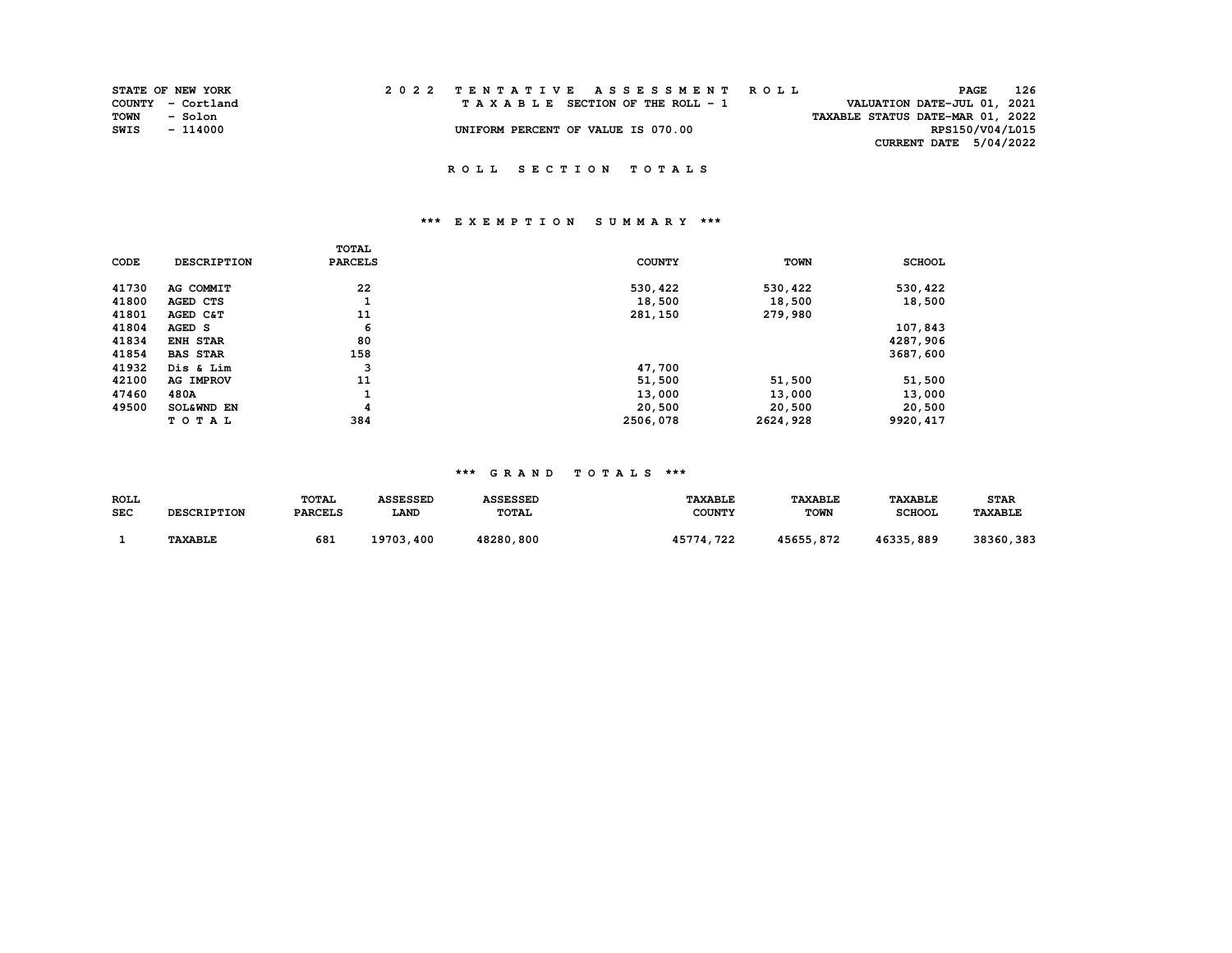|      | <b>STATE OF NEW YORK</b> | 2022 TENTATIVE ASSESSMENT ROLL     |  |                                  | <b>PAGE</b>     | 126 |
|------|--------------------------|------------------------------------|--|----------------------------------|-----------------|-----|
|      | COUNTY - Cortland        | TAXABLE SECTION OF THE ROLL - 1    |  | VALUATION DATE-JUL 01, 2021      |                 |     |
| TOWN | - Solon                  |                                    |  | TAXABLE STATUS DATE-MAR 01, 2022 |                 |     |
| SWIS | - 114000                 | UNIFORM PERCENT OF VALUE IS 070.00 |  |                                  | RPS150/V04/L015 |     |
|      |                          |                                    |  | CURRENT DATE 5/04/2022           |                 |     |

# **\*\*\* E X E M P T I O N S U M M A R Y \*\*\***

|       |                    | TOTAL          |               |             |               |
|-------|--------------------|----------------|---------------|-------------|---------------|
| CODE  | <b>DESCRIPTION</b> | <b>PARCELS</b> | <b>COUNTY</b> | <b>TOWN</b> | <b>SCHOOL</b> |
| 41730 | AG COMMIT          | 22             | 530,422       | 530,422     | 530,422       |
| 41800 | AGED CTS           | ÷              | 18,500        | 18,500      | 18,500        |
| 41801 | AGED C&T           | 11             | 281,150       | 279,980     |               |
| 41804 | AGED S             | 6              |               |             | 107,843       |
| 41834 | <b>ENH STAR</b>    | 80             |               |             | 4287,906      |
| 41854 | <b>BAS STAR</b>    | 158            |               |             | 3687,600      |
| 41932 | Dis & Lim          | 3              | 47,700        |             |               |
| 42100 | <b>AG IMPROV</b>   | 11             | 51,500        | 51,500      | 51,500        |
| 47460 | 480A               | J.             | 13,000        | 13,000      | 13,000        |
| 49500 | SOL&WND EN         | 4              | 20,500        | 20,500      | 20,500        |
|       | TOTAL              | 384            | 2506,078      | 2624,928    | 9920, 417     |

| ROLL       |                    | <b>TOTAL</b>   | <b>ASSESSED</b> | <b>ASSESSED</b> | <b>TAXABLE</b> | <b><i>TAXABLE</i></b> | <b>TAXABLE</b> | <b>STAR</b>           |
|------------|--------------------|----------------|-----------------|-----------------|----------------|-----------------------|----------------|-----------------------|
| <b>SEC</b> | <b>DESCRIPTION</b> | <b>PARCELS</b> | <b>LAND</b>     | <b>TOTAL</b>    | <b>COUNTY</b>  | <b>TOWN</b>           | <b>SCHOOL</b>  | <b><i>TAXABLE</i></b> |
|            |                    |                |                 |                 |                |                       |                |                       |
|            | <b>TAXABLE</b>     | 681            | 19703,400       | 48280,800       | . 722<br>45774 | 45655,872             | 46335,889      | 38360,383             |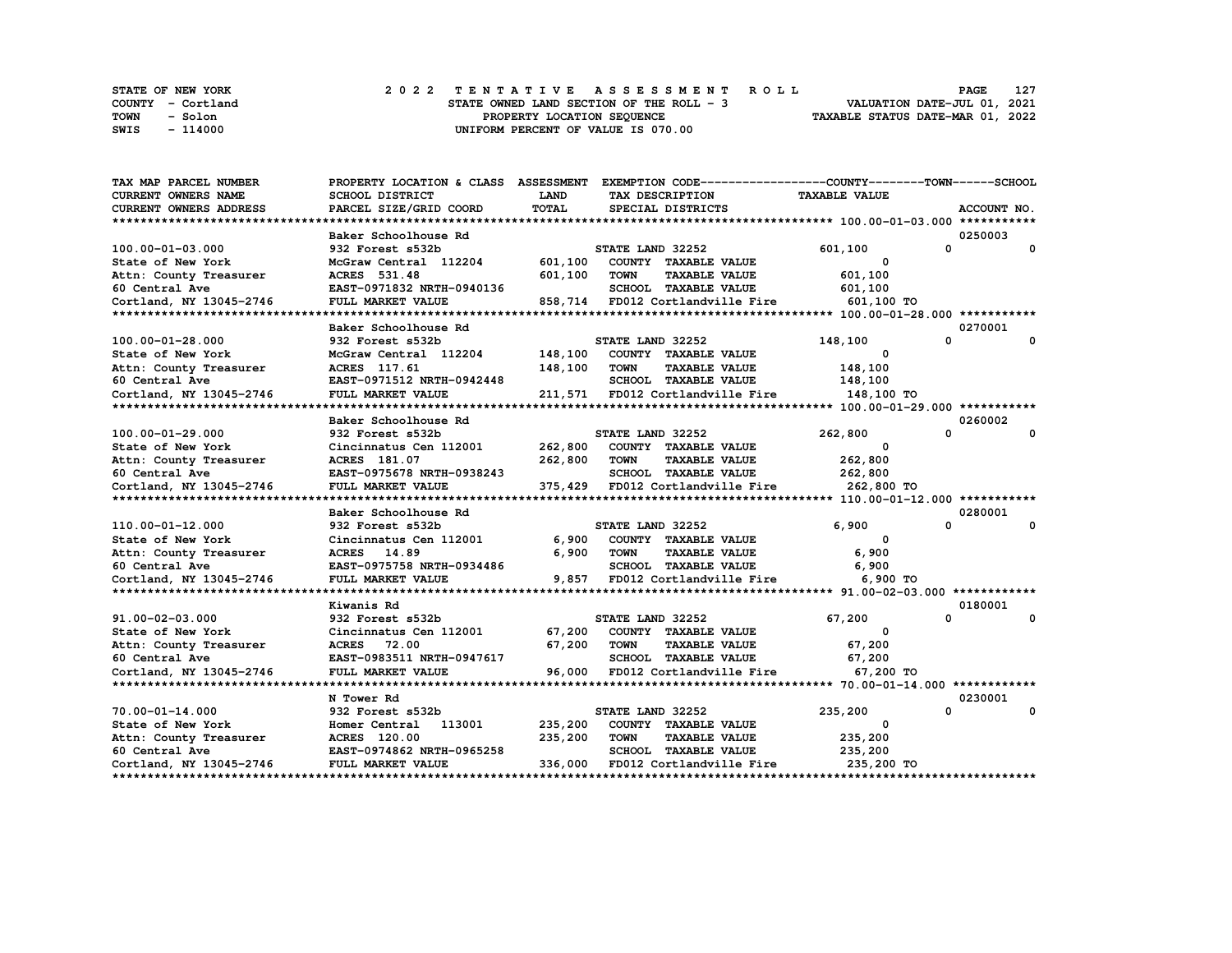|             | STATE OF NEW YORK | 2022 TENTATIVE ASSESSMENT ROLL           | 127<br><b>PAGE</b>               |
|-------------|-------------------|------------------------------------------|----------------------------------|
|             | COUNTY - Cortland | STATE OWNED LAND SECTION OF THE ROLL - 3 | VALUATION DATE-JUL 01, 2021      |
| <b>TOWN</b> | - Solon           | PROPERTY LOCATION SEOUENCE               | TAXABLE STATUS DATE-MAR 01, 2022 |
| SWIS        | $-114000$         | UNIFORM PERCENT OF VALUE IS 070.00       |                                  |

| TAX MAP PARCEL NUMBER   | PROPERTY LOCATION & CLASS ASSESSMENT EXEMPTION CODE-----------------COUNTY-------TOWN------SCHOOL |              |                  |                                  |                                             |                         |
|-------------------------|---------------------------------------------------------------------------------------------------|--------------|------------------|----------------------------------|---------------------------------------------|-------------------------|
| CURRENT OWNERS NAME     | <b>SCHOOL DISTRICT</b>                                                                            | LAND         |                  | TAX DESCRIPTION                  | <b>TAXABLE VALUE</b>                        |                         |
| CURRENT OWNERS ADDRESS  | PARCEL SIZE/GRID COORD                                                                            | <b>TOTAL</b> |                  | SPECIAL DISTRICTS                |                                             | ACCOUNT NO.             |
|                         |                                                                                                   |              |                  |                                  |                                             |                         |
|                         | Baker Schoolhouse Rd                                                                              |              |                  |                                  |                                             | 0250003                 |
| 100.00-01-03.000        | 932 Forest s532b                                                                                  |              | STATE LAND 32252 |                                  | 601,100                                     | 0<br>$\mathbf{o}$       |
| State of New York       | McGraw Central 112204                                                                             | 601,100      |                  | COUNTY TAXABLE VALUE             | $\Omega$                                    |                         |
| Attn: County Treasurer  | ACRES 531.48                                                                                      | 601,100      | <b>TOWN</b>      | <b>TAXABLE VALUE</b>             | 601,100                                     |                         |
| 60 Central Ave          | EAST-0971832 NRTH-0940136                                                                         |              |                  | SCHOOL TAXABLE VALUE             | 601,100                                     |                         |
| Cortland, NY 13045-2746 | FULL MARKET VALUE                                                                                 |              |                  | 858,714 FD012 Cortlandville Fire | 601,100 TO                                  |                         |
|                         |                                                                                                   |              |                  |                                  |                                             |                         |
|                         | Baker Schoolhouse Rd                                                                              |              |                  |                                  |                                             | 0270001                 |
| 100.00-01-28.000        | 932 Forest s532b                                                                                  |              | STATE LAND 32252 |                                  | 148,100                                     | 0<br>0                  |
| State of New York       | McGraw Central 112204                                                                             | 148,100      |                  | COUNTY TAXABLE VALUE             | 0                                           |                         |
| Attn: County Treasurer  | ACRES 117.61                                                                                      | 148,100      | <b>TOWN</b>      | <b>TAXABLE VALUE</b>             | 148,100                                     |                         |
| 60 Central Ave          | EAST-0971512 NRTH-0942448                                                                         |              |                  | SCHOOL TAXABLE VALUE             | 148,100                                     |                         |
| Cortland, NY 13045-2746 | FULL MARKET VALUE                                                                                 |              |                  | 211,571 FD012 Cortlandville Fire | 148,100 TO                                  |                         |
|                         |                                                                                                   |              |                  |                                  |                                             |                         |
|                         | Baker Schoolhouse Rd                                                                              |              |                  |                                  |                                             | 0260002                 |
| 100.00-01-29.000        | 932 Forest s532b                                                                                  |              | STATE LAND 32252 |                                  | 262,800                                     | $\Omega$<br>0           |
| State of New York       | Cincinnatus Cen 112001                                                                            | 262,800      |                  | COUNTY TAXABLE VALUE             | 0                                           |                         |
| Attn: County Treasurer  | ACRES 181.07                                                                                      | 262,800      | TOWN             | <b>TAXABLE VALUE</b>             | 262,800                                     |                         |
| 60 Central Ave          | EAST-0975678 NRTH-0938243                                                                         |              |                  | SCHOOL TAXABLE VALUE             | 262,800                                     |                         |
| Cortland, NY 13045-2746 | FULL MARKET VALUE                                                                                 |              |                  |                                  | 375,429 FD012 Cortlandville Fire 262,800 TO |                         |
|                         |                                                                                                   |              |                  |                                  |                                             |                         |
|                         | Baker Schoolhouse Rd                                                                              |              |                  |                                  |                                             | 0280001                 |
| 110.00-01-12.000        | 932 Forest s532b                                                                                  |              | STATE LAND 32252 |                                  | 6,900                                       | $\Omega$<br>$\mathbf 0$ |
| State of New York       | Cincinnatus Cen 112001                                                                            | 6,900        |                  | COUNTY TAXABLE VALUE             | $^{\circ}$                                  |                         |
| Attn: County Treasurer  | ACRES 14.89                                                                                       | 6,900        | <b>TOWN</b>      | <b>TAXABLE VALUE</b>             | 6,900                                       |                         |
| 60 Central Ave          | EAST-0975758 NRTH-0934486                                                                         |              |                  | SCHOOL TAXABLE VALUE             | 6,900                                       |                         |
| Cortland, NY 13045-2746 | FULL MARKET VALUE                                                                                 |              |                  | 9,857 FD012 Cortlandville Fire   | 6,900 TO                                    |                         |
|                         |                                                                                                   |              |                  |                                  |                                             |                         |
|                         | Kiwanis Rd                                                                                        |              |                  |                                  |                                             | 0180001                 |
| 91.00-02-03.000         | 932 Forest s532b                                                                                  |              | STATE LAND 32252 |                                  | 67,200                                      | $\mathbf{0}$<br>0       |
| State of New York       | Cincinnatus Cen 112001                                                                            | 67,200       |                  | COUNTY TAXABLE VALUE             | $^{\circ}$                                  |                         |
| Attn: County Treasurer  | <b>ACRES</b> 72.00                                                                                | 67,200       | <b>TOWN</b>      | <b>TAXABLE VALUE</b>             | 67,200                                      |                         |
| 60 Central Ave          | EAST-0983511 NRTH-0947617                                                                         |              |                  | SCHOOL TAXABLE VALUE             | 67,200                                      |                         |
| Cortland, NY 13045-2746 | FULL MARKET VALUE                                                                                 | 96,000       |                  | FD012 Cortlandville Fire         | 67,200 TO                                   |                         |
|                         |                                                                                                   |              |                  |                                  |                                             |                         |
|                         | N Tower Rd                                                                                        |              |                  |                                  |                                             | 0230001                 |
| $70.00 - 01 - 14.000$   | 932 Forest s532b                                                                                  |              | STATE LAND 32252 |                                  | 235,200                                     | 0<br>0                  |
| State of New York       | 113001<br>Homer Central                                                                           | 235,200      |                  | COUNTY TAXABLE VALUE             | 0                                           |                         |
| Attn: County Treasurer  | <b>ACRES</b> 120.00                                                                               | 235,200      | <b>TOWN</b>      | <b>TAXABLE VALUE</b>             | 235,200                                     |                         |
| 60 Central Ave          | EAST-0974862 NRTH-0965258                                                                         |              |                  | <b>SCHOOL TAXABLE VALUE</b>      | 235,200                                     |                         |
| Cortland, NY 13045-2746 | FULL MARKET VALUE                                                                                 | 336,000      |                  | FD012 Cortlandville Fire         | 235,200 TO                                  |                         |
|                         |                                                                                                   |              |                  |                                  |                                             |                         |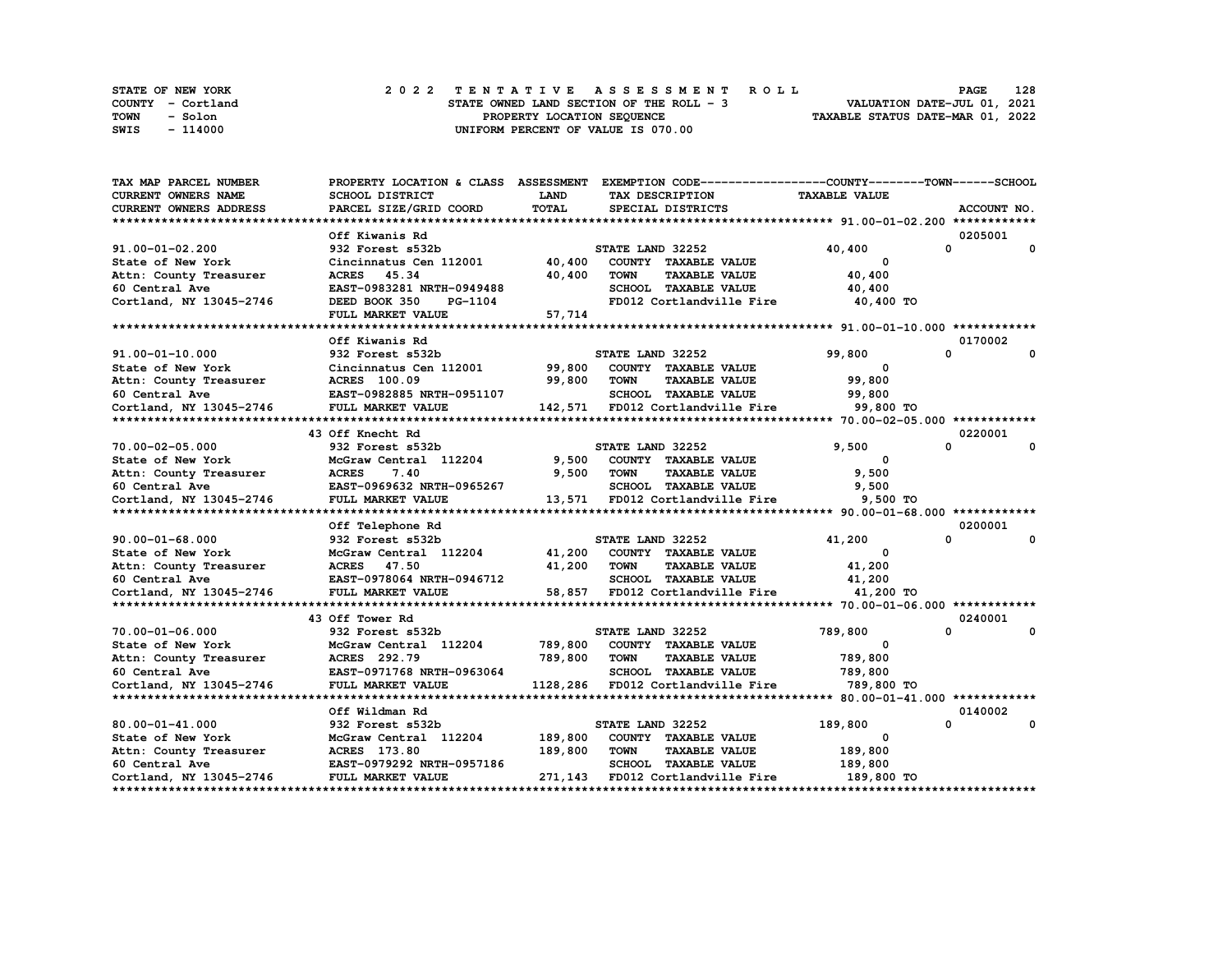| <b>STATE OF NEW YORK</b> |                   |  |  |                                          |  |  |  |  | 2022 TENTATIVE ASSESSMENT ROLL |                                  | PAGE                        | 128 |
|--------------------------|-------------------|--|--|------------------------------------------|--|--|--|--|--------------------------------|----------------------------------|-----------------------------|-----|
|                          | COUNTY - Cortland |  |  | STATE OWNED LAND SECTION OF THE ROLL - 3 |  |  |  |  |                                |                                  | VALUATION DATE-JUL 01, 2021 |     |
| TOWN                     | - Solon           |  |  | PROPERTY LOCATION SEOUENCE               |  |  |  |  |                                | TAXABLE STATUS DATE-MAR 01, 2022 |                             |     |
| SWIS                     | - 114000          |  |  | UNIFORM PERCENT OF VALUE IS 070.00       |  |  |  |  |                                |                                  |                             |     |

| TAX MAP PARCEL NUMBER                                                                                                                                                    | PROPERTY LOCATION & CLASS ASSESSMENT EXEMPTION CODE-----------------COUNTY-------TOWN------SCHOOL |         |                  |                                           |                         |              |              |
|--------------------------------------------------------------------------------------------------------------------------------------------------------------------------|---------------------------------------------------------------------------------------------------|---------|------------------|-------------------------------------------|-------------------------|--------------|--------------|
| CURRENT OWNERS NAME                                                                                                                                                      | SCHOOL DISTRICT                                                                                   | LAND    |                  | TAX DESCRIPTION                           | <b>TAXABLE VALUE</b>    |              |              |
| <b>CURRENT OWNERS ADDRESS</b>                                                                                                                                            | PARCEL SIZE/GRID COORD                                                                            | TOTAL   |                  | SPECIAL DISTRICTS                         |                         |              | ACCOUNT NO.  |
|                                                                                                                                                                          |                                                                                                   |         |                  |                                           |                         |              |              |
|                                                                                                                                                                          | Off Kiwanis Rd                                                                                    |         |                  |                                           |                         | 0205001      |              |
| $91.00 - 01 - 02.200$                                                                                                                                                    | 932 Forest s532b                                                                                  |         | STATE LAND 32252 |                                           | 40,400                  | 0            | 0            |
| State of New York                                                                                                                                                        | Cincinnatus Cen 112001 40,400                                                                     |         |                  | COUNTY TAXABLE VALUE                      | 0                       |              |              |
| Attn: County Treasurer                                                                                                                                                   | ACRES 45.34                                                                                       | 40,400  | <b>TOWN</b>      | <b>TAXABLE VALUE</b>                      | 40,400                  |              |              |
| 60 Central Ave                                                                                                                                                           | EAST-0983281 NRTH-0949488                                                                         |         |                  | SCHOOL TAXABLE VALUE                      | 40,400                  |              |              |
| Cortland, NY 13045-2746                                                                                                                                                  | DEED BOOK 350<br>PG-1104                                                                          |         |                  | FD012 Cortlandville Fire 40,400 TO        |                         |              |              |
|                                                                                                                                                                          | FULL MARKET VALUE                                                                                 | 57,714  |                  |                                           |                         |              |              |
|                                                                                                                                                                          |                                                                                                   |         |                  |                                           |                         |              |              |
|                                                                                                                                                                          | Off Kiwanis Rd                                                                                    |         |                  |                                           |                         | 0170002      |              |
| $91.00 - 01 - 10.000$                                                                                                                                                    | 932 Forest s532b                                                                                  |         | STATE LAND 32252 |                                           | 99,800                  | $\Omega$     | $\mathbf 0$  |
|                                                                                                                                                                          | Cincinnatus Cen 112001 99,800                                                                     |         |                  | COUNTY TAXABLE VALUE                      | $\overline{\mathbf{0}}$ |              |              |
|                                                                                                                                                                          |                                                                                                   | 99,800  | TOWN             | <b>TAXABLE VALUE</b>                      | 99,800                  |              |              |
|                                                                                                                                                                          |                                                                                                   |         |                  | SCHOOL TAXABLE VALUE                      | 99,800                  |              |              |
| State of New York Cincinnatus Cen 112001<br>Attn: County Treasurer ACRES 100.09<br>60 Central Ave EAST-0982885 NRTH-0951107<br>Cortland, NY 13045-2746 FULL MARKET VALUE |                                                                                                   |         |                  | 142,571 FD012 Cortlandville Fire          | 99,800 TO               |              |              |
|                                                                                                                                                                          |                                                                                                   |         |                  |                                           |                         |              |              |
|                                                                                                                                                                          | 43 Off Knecht Rd                                                                                  |         |                  |                                           |                         | 0220001      |              |
| 70.00-02-05.000                                                                                                                                                          | 932 Forest s532b                                                                                  |         | STATE LAND 32252 |                                           | 9,500                   | 0            | 0            |
| State of New York                                                                                                                                                        | McGraw Central 112204                                                                             | 9,500   |                  | COUNTY TAXABLE VALUE                      | 0                       |              |              |
| Attn: County Treasurer                                                                                                                                                   | <b>ACRES</b><br>7.40                                                                              | 9,500   | TOWN             | <b>TAXABLE VALUE</b>                      | 9,500                   |              |              |
| 60 Central Ave                                                                                                                                                           | EAST-0969632 NRTH-0965267                                                                         |         |                  | SCHOOL TAXABLE VALUE                      | 9,500                   |              |              |
|                                                                                                                                                                          |                                                                                                   |         |                  |                                           |                         |              |              |
|                                                                                                                                                                          |                                                                                                   |         |                  |                                           |                         |              |              |
|                                                                                                                                                                          | Off Telephone Rd                                                                                  |         |                  |                                           |                         | 0200001      |              |
| $90.00 - 01 - 68.000$                                                                                                                                                    | 932 Forest s532b                                                                                  |         | STATE LAND 32252 |                                           | 41,200                  | $\mathbf{0}$ | $\mathbf{o}$ |
| State of New York                                                                                                                                                        | McGraw Central 112204                                                                             |         |                  | 41,200 COUNTY TAXABLE VALUE               | $\mathbf{o}$            |              |              |
| Pattn: County Treasurer (ACRES 47.50)<br>Attn: County Treasurer (ACRES 47.50)<br>60 Central Ave (BAST-0978064)                                                           |                                                                                                   | 41,200  | <b>TOWN</b>      | <b>TAXABLE VALUE</b>                      | 41,200                  |              |              |
|                                                                                                                                                                          | EAST-0978064 NRTH-0946712                                                                         |         |                  | SCHOOL TAXABLE VALUE                      | 41,200                  |              |              |
| Cortland, NY 13045-2746                                                                                                                                                  | FULL MARKET VALUE                                                                                 |         |                  | 58,857 FD012 Cortlandville Fire 41,200 TO |                         |              |              |
|                                                                                                                                                                          |                                                                                                   |         |                  |                                           |                         |              |              |
|                                                                                                                                                                          | 43 Off Tower Rd                                                                                   |         |                  |                                           |                         | 0240001      |              |
| 70.00-01-06.000                                                                                                                                                          | 932 Forest s532b                                                                                  |         | STATE LAND 32252 |                                           | 789,800                 | $\Omega$     | $\mathbf 0$  |
| State of New York                                                                                                                                                        | McGraw Central 112204                                                                             | 789,800 |                  | COUNTY TAXABLE VALUE                      | $^{\circ}$              |              |              |
|                                                                                                                                                                          |                                                                                                   | 789,800 | <b>TOWN</b>      | <b>TAXABLE VALUE</b>                      | 789,800                 |              |              |
|                                                                                                                                                                          |                                                                                                   |         |                  | SCHOOL TAXABLE VALUE                      | 789,800                 |              |              |
|                                                                                                                                                                          |                                                                                                   |         |                  | 1128,286 FD012 Cortlandville Fire         | 789,800 TO              |              |              |
|                                                                                                                                                                          |                                                                                                   |         |                  |                                           |                         |              |              |
|                                                                                                                                                                          | Off Wildman Rd                                                                                    |         |                  |                                           |                         | 0140002      |              |
| $80.00 - 01 - 41.000$                                                                                                                                                    | 932 Forest s532b                                                                                  |         | STATE LAND 32252 |                                           | 189,800                 | $\mathbf{0}$ | 0            |
| State of New York                                                                                                                                                        | McGraw Central 112204                                                                             | 189,800 |                  | COUNTY TAXABLE VALUE                      | 0                       |              |              |
| Attn: County Treasurer                                                                                                                                                   | ACRES 173.80                                                                                      | 189,800 | <b>TOWN</b>      | <b>TAXABLE VALUE</b>                      | 189,800                 |              |              |
| 60 Central Ave                                                                                                                                                           | EAST-0979292 NRTH-0957186                                                                         |         |                  | SCHOOL TAXABLE VALUE                      | 189,800                 |              |              |
| Cortland, NY 13045-2746                                                                                                                                                  | FULL MARKET VALUE                                                                                 |         |                  | 271,143 FD012 Cortlandville Fire          | 189,800 TO              |              |              |
|                                                                                                                                                                          |                                                                                                   |         |                  |                                           |                         |              |              |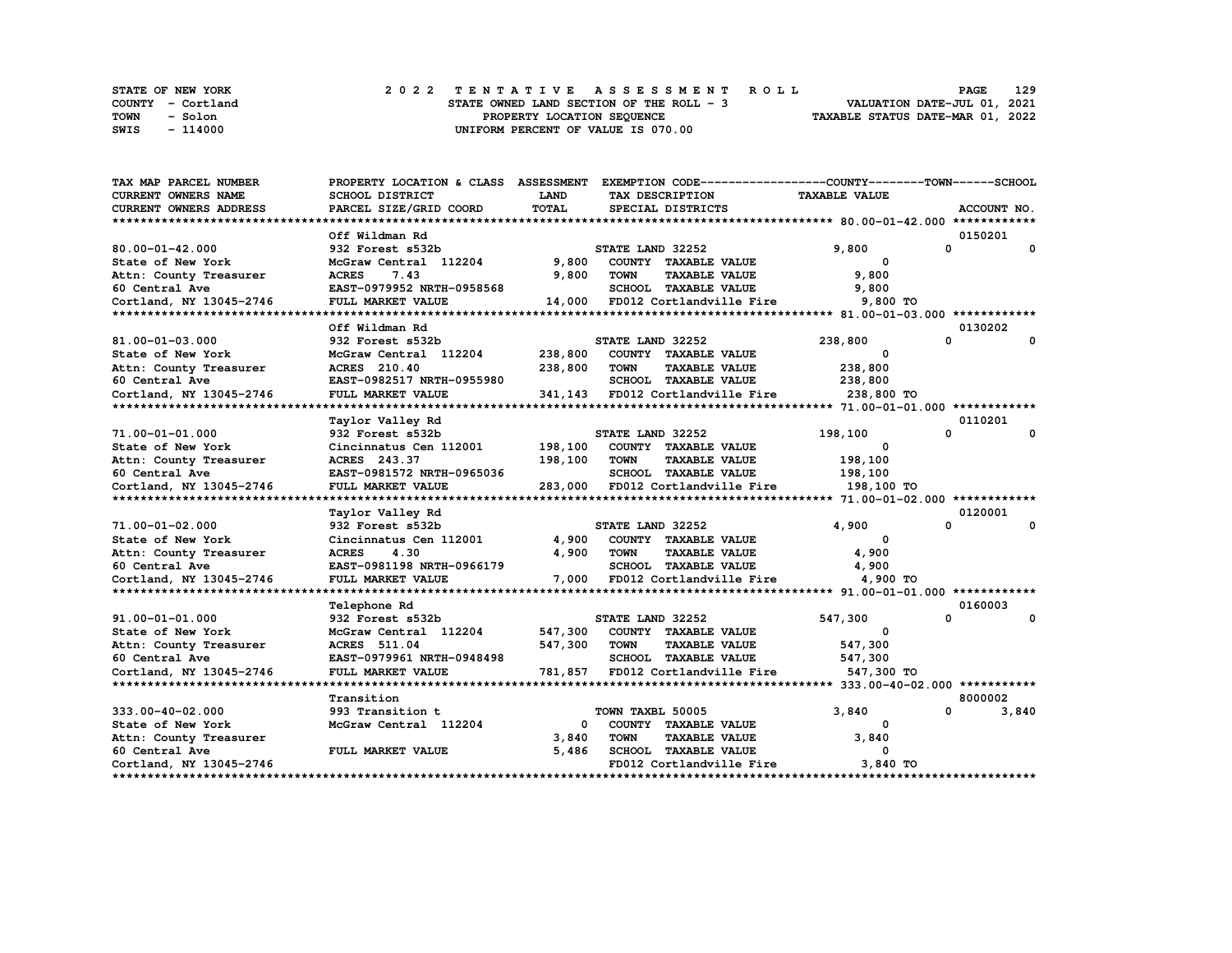|      | STATE OF NEW YORK |  | 2022 TENTATIVE ASSESSMENT ROLL           | 129<br><b>PAGE</b>          |
|------|-------------------|--|------------------------------------------|-----------------------------|
|      | COUNTY - Cortland |  | STATE OWNED LAND SECTION OF THE ROLL - 3 | VALUATION DATE-JUL 01, 2021 |
| TOWN | - Solon           |  | TAXABLE STATUS DATE-MAR 01, 2022         |                             |
| SWIS | - 114000          |  | UNIFORM PERCENT OF VALUE IS 070.00       |                             |

| TAX MAP PARCEL NUMBER                    | PROPERTY LOCATION & CLASS ASSESSMENT |                |                  |                                  | EXEMPTION CODE-----------------COUNTY-------TOWN------SCHOOL |         |              |
|------------------------------------------|--------------------------------------|----------------|------------------|----------------------------------|--------------------------------------------------------------|---------|--------------|
| CURRENT OWNERS NAME                      | SCHOOL DISTRICT                      | LAND           |                  | TAX DESCRIPTION                  | <b>TAXABLE VALUE</b>                                         |         |              |
| CURRENT OWNERS ADDRESS                   | PARCEL SIZE/GRID COORD               | <b>TOTAL</b>   |                  | SPECIAL DISTRICTS                |                                                              |         | ACCOUNT NO.  |
|                                          |                                      |                |                  |                                  |                                                              |         |              |
|                                          | Off Wildman Rd                       |                |                  |                                  |                                                              | 0150201 |              |
| $80.00 - 01 - 42.000$                    | 932 Forest s532b                     |                | STATE LAND 32252 |                                  | 9,800                                                        | 0       | $\mathbf{o}$ |
| State of New York                        | McGraw Central 112204                | 9,800          |                  | COUNTY TAXABLE VALUE             | $\Omega$                                                     |         |              |
| Attn: County Treasurer                   | <b>ACRES</b><br>7.43                 | 9,800          | <b>TOWN</b>      | <b>TAXABLE VALUE</b>             | 9,800                                                        |         |              |
| 60 Central Ave                           | EAST-0979952 NRTH-0958568            |                |                  | SCHOOL TAXABLE VALUE             | 9,800                                                        |         |              |
| Cortland, NY 13045-2746                  | FULL MARKET VALUE                    | 14,000         |                  | FD012 Cortlandville Fire         | 9,800 TO                                                     |         |              |
|                                          |                                      |                |                  |                                  |                                                              |         |              |
|                                          | Off Wildman Rd                       |                |                  |                                  |                                                              | 0130202 |              |
| 81.00-01-03.000                          | 932 Forest s532b                     |                | STATE LAND 32252 |                                  | 238,800                                                      | 0       | $\Omega$     |
| State of New York                        | McGraw Central 112204                | 238,800        |                  | COUNTY TAXABLE VALUE             | 0                                                            |         |              |
| Attn: County Treasurer                   | ACRES 210.40                         | 238,800        | <b>TOWN</b>      | <b>TAXABLE VALUE</b>             | 238,800                                                      |         |              |
| 60 Central Ave                           | EAST-0982517 NRTH-0955980            |                |                  | SCHOOL TAXABLE VALUE             | 238,800                                                      |         |              |
| Cortland, NY 13045-2746                  | FULL MARKET VALUE                    |                |                  | 341,143 FD012 Cortlandville Fire | 238,800 TO                                                   |         |              |
|                                          |                                      |                |                  |                                  |                                                              |         |              |
|                                          | Taylor Valley Rd                     |                |                  |                                  |                                                              | 0110201 |              |
| 71.00-01-01.000                          | 932 Forest s532b                     |                | STATE LAND 32252 |                                  | 198,100                                                      | 0       | 0            |
| State of New York                        | Cincinnatus Cen 112001               | 198,100        |                  | COUNTY TAXABLE VALUE             | 0                                                            |         |              |
| Attn: County Treasurer                   | ACRES 243.37                         | 198,100        | TOWN             | <b>TAXABLE VALUE</b>             | 198,100                                                      |         |              |
| 60 Central Ave                           | EAST-0981572 NRTH-0965036            |                |                  | SCHOOL TAXABLE VALUE             | 198,100                                                      |         |              |
| Cortland, NY 13045-2746                  | FULL MARKET VALUE                    | 283,000        |                  | FD012 Cortlandville Fire         | 198,100 TO                                                   |         |              |
|                                          |                                      |                |                  |                                  |                                                              |         |              |
|                                          | Taylor Valley Rd                     |                |                  |                                  |                                                              | 0120001 |              |
| 71.00-01-02.000                          | 932 Forest s532b                     |                | STATE LAND 32252 |                                  | 4,900                                                        | 0       | $\mathbf 0$  |
| State of New York                        | Cincinnatus Cen 112001               | 4,900          |                  | COUNTY TAXABLE VALUE             | $^{\circ}$                                                   |         |              |
| Attn: County Treasurer                   | <b>ACRES</b><br>4.30                 | 4,900          | <b>TOWN</b>      | <b>TAXABLE VALUE</b>             | 4,900                                                        |         |              |
| 60 Central Ave                           | EAST-0981198 NRTH-0966179            |                |                  | <b>SCHOOL TAXABLE VALUE</b>      | 4,900                                                        |         |              |
| Cortland, NY 13045-2746                  | FULL MARKET VALUE                    | 7,000          |                  | FD012 Cortlandville Fire         | 4,900 TO                                                     |         |              |
|                                          |                                      |                |                  |                                  |                                                              |         |              |
|                                          | Telephone Rd                         |                |                  |                                  |                                                              | 0160003 |              |
| 91.00-01-01.000                          | 932 Forest s532b                     |                | STATE LAND 32252 |                                  | 547,300                                                      | 0       | 0            |
| State of New York                        | McGraw Central 112204                | 547,300        |                  | COUNTY TAXABLE VALUE             | 0                                                            |         |              |
| Attn: County Treasurer                   | <b>ACRES</b> 511.04                  | 547,300        | TOWN             | <b>TAXABLE VALUE</b>             | 547,300                                                      |         |              |
| 60 Central Ave                           | EAST-0979961 NRTH-0948498            |                |                  | <b>SCHOOL TAXABLE VALUE</b>      | 547,300                                                      |         |              |
| Cortland, NY 13045-2746                  | FULL MARKET VALUE                    | 781,857        |                  | FD012 Cortlandville Fire         | 547,300 TO                                                   |         |              |
|                                          |                                      |                |                  |                                  |                                                              |         |              |
|                                          | Transition                           |                |                  |                                  |                                                              | 8000002 |              |
| $333.00 - 40 - 02.000$                   | 993 Transition t                     |                | TOWN TAXBL 50005 |                                  | 3,840                                                        | 0       | 3,840        |
| State of New York                        | McGraw Central 112204                | 0              |                  | COUNTY TAXABLE VALUE             | 0                                                            |         |              |
|                                          |                                      |                | <b>TOWN</b>      | <b>TAXABLE VALUE</b>             | 3,840                                                        |         |              |
| Attn: County Treasurer<br>60 Central Ave | FULL MARKET VALUE                    | 3,840<br>5,486 |                  | SCHOOL TAXABLE VALUE             | 0                                                            |         |              |
| Cortland, NY 13045-2746                  |                                      |                |                  | FD012 Cortlandville Fire         | 3,840 TO                                                     |         |              |
|                                          |                                      |                |                  |                                  |                                                              |         |              |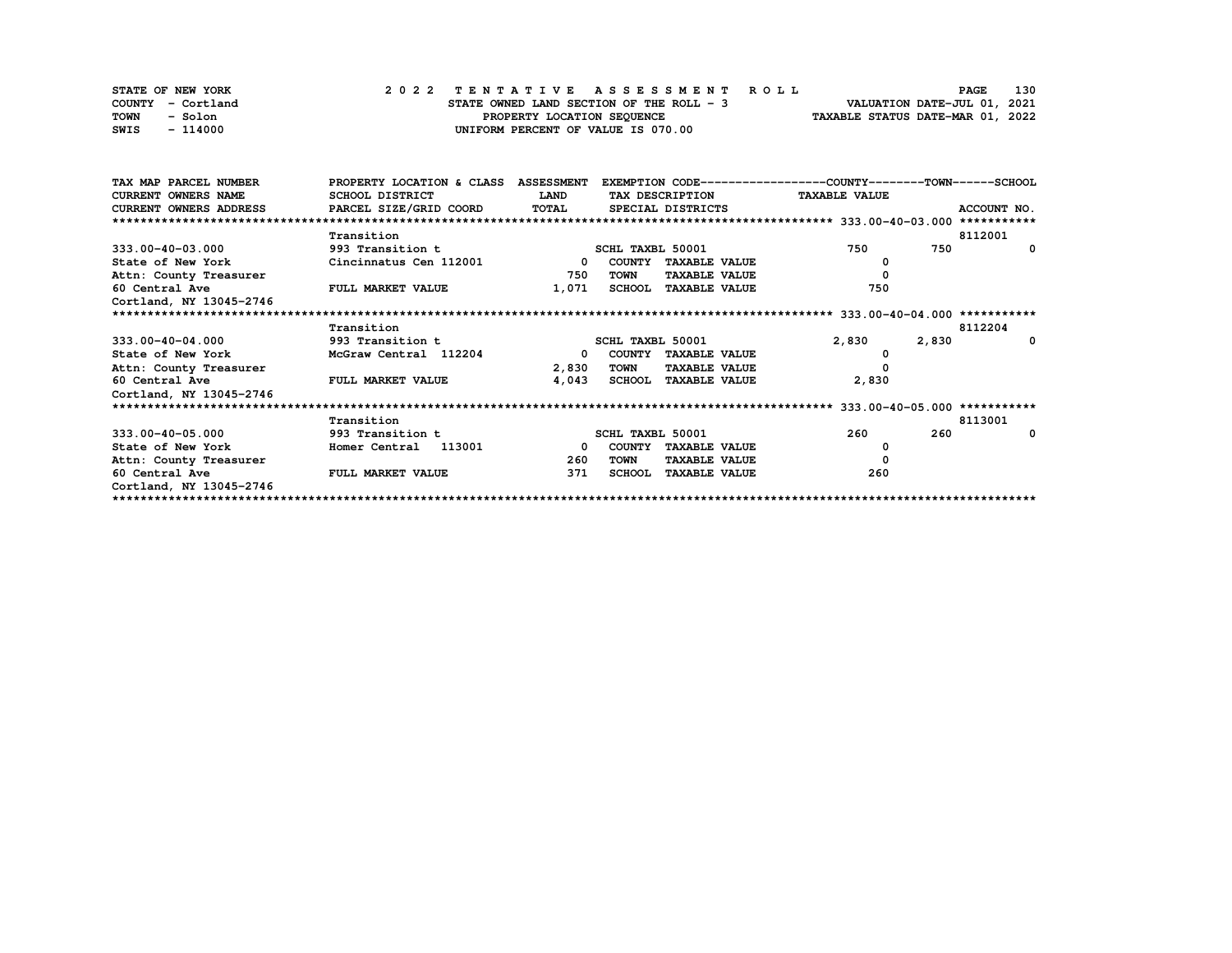| STATE OF NEW YORK | 2022 TENTATIVE ASSESSMENT ROLL           | 130<br><b>PAGE</b>               |
|-------------------|------------------------------------------|----------------------------------|
| COUNTY - Cortland | STATE OWNED LAND SECTION OF THE ROLL - 3 | VALUATION DATE-JUL 01, 2021      |
| TOWN<br>- Solon   | PROPERTY LOCATION SEQUENCE               | TAXABLE STATUS DATE-MAR 01, 2022 |
| SWIS<br>- 114000  | UNIFORM PERCENT OF VALUE IS 070.00       |                                  |

| TAX MAP PARCEL NUMBER   | PROPERTY LOCATION & CLASS ASSESSMENT |              |                  |                      | EXEMPTION CODE-----------------COUNTY-------TOWN-----SCHOOL |             |
|-------------------------|--------------------------------------|--------------|------------------|----------------------|-------------------------------------------------------------|-------------|
| CURRENT OWNERS NAME     | SCHOOL DISTRICT                      | <b>LAND</b>  |                  | TAX DESCRIPTION      | <b>TAXABLE VALUE</b>                                        |             |
| CURRENT OWNERS ADDRESS  | PARCEL SIZE/GRID COORD TOTAL         |              |                  | SPECIAL DISTRICTS    |                                                             | ACCOUNT NO. |
|                         |                                      |              |                  |                      |                                                             |             |
|                         | Transition                           |              |                  |                      |                                                             | 8112001     |
| $333.00 - 40 - 03.000$  | 993 Transition t                     |              | SCHL TAXBL 50001 |                      | 750<br>750                                                  | $\Omega$    |
| State of New York       | Cincinnatus Cen 112001               | $\mathbf{0}$ |                  | COUNTY TAXABLE VALUE |                                                             |             |
| Attn: County Treasurer  |                                      | 750          | <b>TOWN</b>      | <b>TAXABLE VALUE</b> | 0                                                           |             |
| 60 Central Ave          | <b>FULL MARKET VALUE</b>             | 1,071        |                  | SCHOOL TAXABLE VALUE | 750                                                         |             |
| Cortland, NY 13045-2746 |                                      |              |                  |                      |                                                             |             |
|                         |                                      |              |                  |                      |                                                             |             |
|                         | Transition                           |              |                  |                      |                                                             | 8112204     |
| $333.00 - 40 - 04.000$  | 993 Transition t                     |              | SCHL TAXBL 50001 |                      | 2,830<br>2,830                                              | $\Omega$    |
| State of New York       | McGraw Central 112204                | $^{\circ}$   |                  | COUNTY TAXABLE VALUE |                                                             |             |
| Attn: County Treasurer  |                                      | 2,830        | TOWN             | <b>TAXABLE VALUE</b> |                                                             |             |
| 60 Central Ave          | FULL MARKET VALUE                    | 4,043        |                  | SCHOOL TAXABLE VALUE | 2,830                                                       |             |
| Cortland, NY 13045-2746 |                                      |              |                  |                      |                                                             |             |
|                         |                                      |              |                  |                      |                                                             |             |
|                         | Transition                           |              |                  |                      |                                                             | 8113001     |
| $333.00 - 40 - 05.000$  | 993 Transition t                     |              | SCHL TAXBL 50001 |                      | 260<br>260                                                  | $\Omega$    |
| State of New York       | 113001<br>Homer Central              | $\Omega$     |                  | COUNTY TAXABLE VALUE | 0                                                           |             |
| Attn: County Treasurer  |                                      | 260          | TOWN             | <b>TAXABLE VALUE</b> | 0                                                           |             |
| 60 Central Ave          | FULL MARKET VALUE                    | 371          | <b>SCHOOL</b>    | <b>TAXABLE VALUE</b> | 260                                                         |             |
| Cortland, NY 13045-2746 |                                      |              |                  |                      |                                                             |             |
|                         |                                      |              |                  |                      |                                                             |             |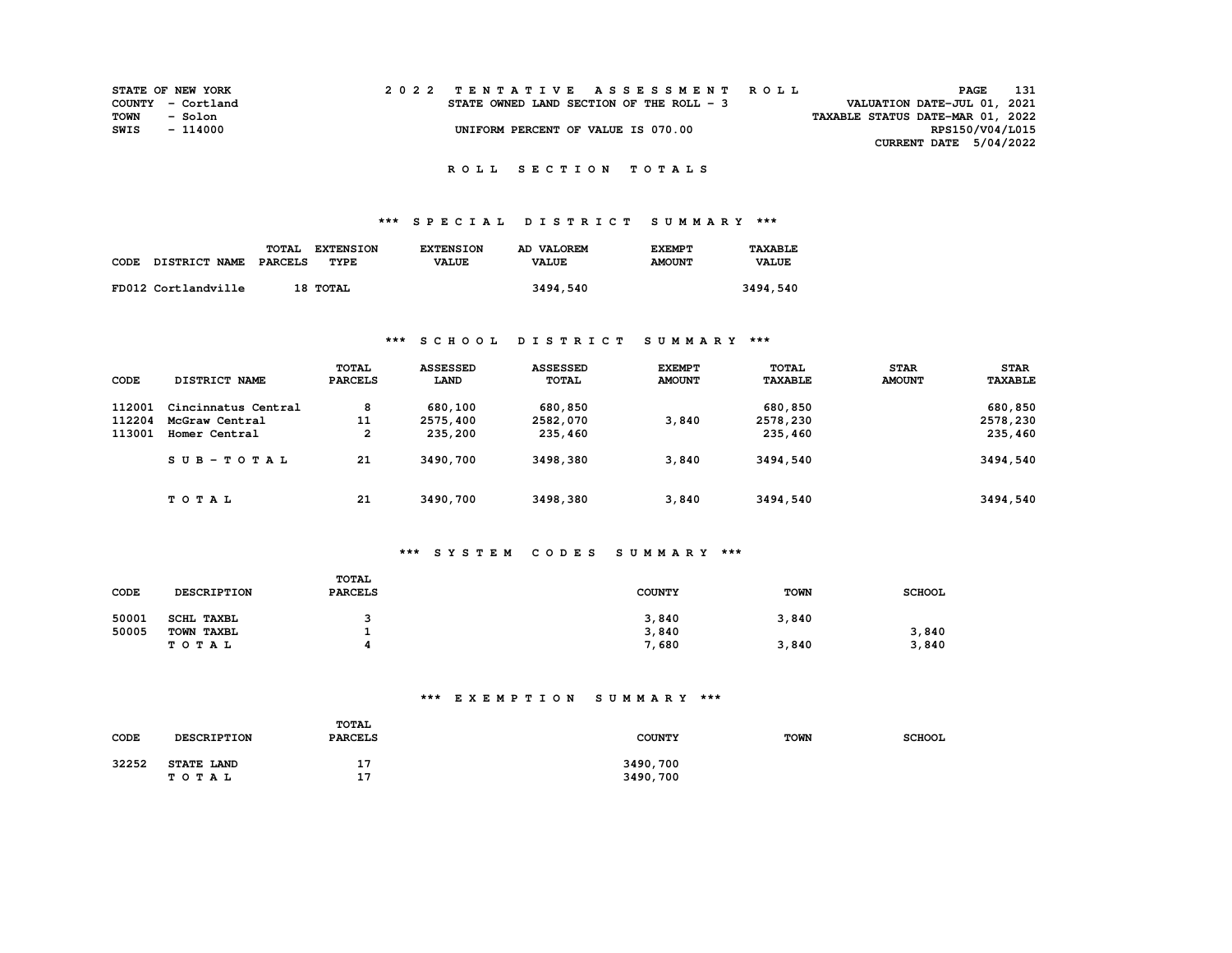| <b>STATE OF NEW YORK</b> |          |  |  |  |  |                                          |  |  |  |  | 2022 TENTATIVE ASSESSMENT ROLL |                                  | PAGE            | 131 |
|--------------------------|----------|--|--|--|--|------------------------------------------|--|--|--|--|--------------------------------|----------------------------------|-----------------|-----|
| COUNTY - Cortland        |          |  |  |  |  | STATE OWNED LAND SECTION OF THE ROLL - 3 |  |  |  |  |                                | VALUATION DATE-JUL 01, 2021      |                 |     |
| TOWN                     | - Solon  |  |  |  |  |                                          |  |  |  |  |                                | TAXABLE STATUS DATE-MAR 01, 2022 |                 |     |
| SWIS                     | - 114000 |  |  |  |  | UNIFORM PERCENT OF VALUE IS 070.00       |  |  |  |  |                                |                                  | RPS150/V04/L015 |     |
|                          |          |  |  |  |  |                                          |  |  |  |  |                                | CURRENT DATE 5/04/2022           |                 |     |

## **\*\*\* S P E C I A L D I S T R I C T S U M M A R Y \*\*\***

|      |                      | TOTAL<br><b>EXTENSION</b> | <b>EXTENSION</b> | AD VALOREM   | <b>EXEMPT</b> | TAXABLE      |
|------|----------------------|---------------------------|------------------|--------------|---------------|--------------|
| CODE | <b>DISTRICT NAME</b> | PARCELS<br>TYPE           | <b>VALUE</b>     | <b>VALUE</b> | <b>AMOUNT</b> | <b>VALUE</b> |
|      |                      |                           |                  |              |               |              |
|      | FD012 Cortlandville  | 18 тотац                  |                  | 3494,540     |               | 3494,540     |

## **\*\*\* S C H O O L D I S T R I C T S U M M A R Y \*\*\***

|        |                     | TOTAL          | <b>ASSESSED</b> | <b>ASSESSED</b> | <b>EXEMPT</b> | TOTAL          | <b>STAR</b>   | <b>STAR</b>    |
|--------|---------------------|----------------|-----------------|-----------------|---------------|----------------|---------------|----------------|
| CODE   | DISTRICT NAME       | <b>PARCELS</b> | LAND            | <b>TOTAL</b>    | <b>AMOUNT</b> | <b>TAXABLE</b> | <b>AMOUNT</b> | <b>TAXABLE</b> |
| 112001 | Cincinnatus Central | 8              | 680,100         | 680,850         |               | 680,850        |               | 680,850        |
| 112204 | McGraw Central      | 11             | 2575,400        | 2582,070        | 3,840         | 2578,230       |               | 2578,230       |
| 113001 | Homer Central       | 2              | 235,200         | 235,460         |               | 235,460        |               | 235,460        |
|        | $SUB-TOTAL$         | 21             | 3490,700        | 3498,380        | 3,840         | 3494,540       |               | 3494,540       |
|        | TOTAL               | 21             | 3490,700        | 3498,380        | 3,840         | 3494,540       |               | 3494,540       |

## **\*\*\* S Y S T E M C O D E S S U M M A R Y \*\*\***

| CODE  | <b>DESCRIPTION</b> | <b>TOTAL</b><br><b>PARCELS</b> | <b>COUNTY</b> | <b>TOWN</b> | <b>SCHOOL</b> |
|-------|--------------------|--------------------------------|---------------|-------------|---------------|
| 50001 | SCHL TAXBL         |                                | 3,840         | 3,840       |               |
| 50005 | TOWN TAXBL         |                                | 3,840         |             | 3,840         |
|       | тотаь              | л                              | 7,680         | 3,840       | 3,840         |

## **\*\*\* E X E M P T I O N S U M M A R Y \*\*\***

| CODE  | TOTAL<br><b>DESCRIPTION</b><br><b>PARCELS</b> |                  | <b>COUNTY</b>        | <b>TOWN</b> | <b>SCHOOL</b> |
|-------|-----------------------------------------------|------------------|----------------------|-------------|---------------|
| 32252 | <b>STATE LAND</b><br><b>TOTAL</b>             | . .<br>17<br>. . | 3490,700<br>3490,700 |             |               |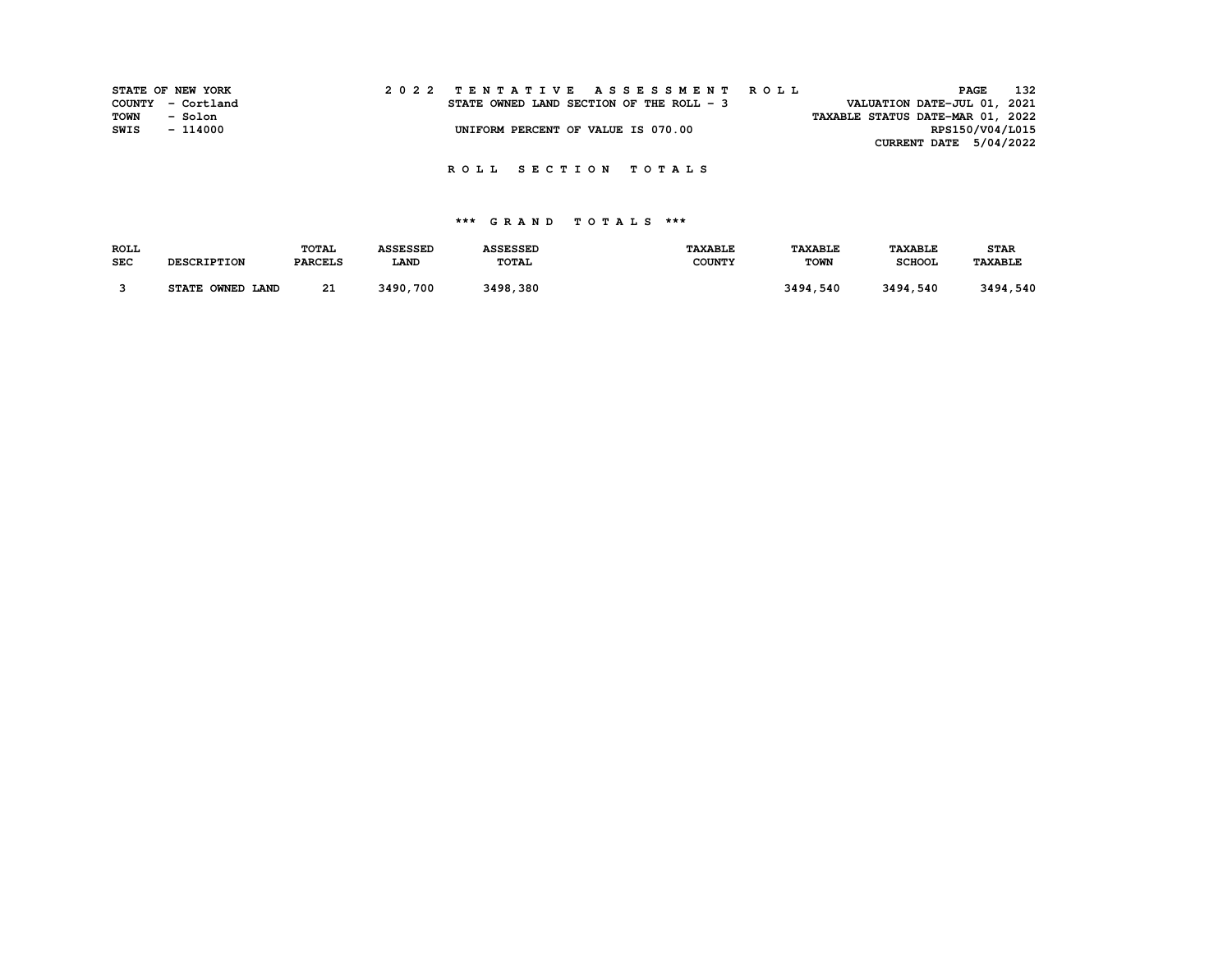|      | STATE OF NEW YORK | 2022 TENTATIVE ASSESSMENT ROLL                                          | <b>PAGE</b>            | 132 |
|------|-------------------|-------------------------------------------------------------------------|------------------------|-----|
|      | COUNTY - Cortland | VALUATION DATE-JUL 01, 2021<br>STATE OWNED LAND SECTION OF THE ROLL - 3 |                        |     |
| TOWN | - Solon           | TAXABLE STATUS DATE-MAR 01, 2022                                        |                        |     |
| SWIS | $-114000$         | UNIFORM PERCENT OF VALUE IS 070.00                                      | RPS150/V04/L015        |     |
|      |                   |                                                                         | CURRENT DATE 5/04/2022 |     |

| <b>ROLL</b> |                    | <b>TOTAL</b>   | <b>ASSESSED</b> | <b>ASSESSED</b> | <b>TAXABLE</b> | <b><i>TAXABLE</i></b> | <b>TAXABLE</b> | <b>STAR</b>    |
|-------------|--------------------|----------------|-----------------|-----------------|----------------|-----------------------|----------------|----------------|
| <b>SEC</b>  | <b>DESCRIPTION</b> | <b>PARCELS</b> | <b>LAND</b>     | <b>TOTAL</b>    | <b>COUNTY</b>  | <b>TOWN</b>           | <b>SCHOOL</b>  | <b>TAXABLE</b> |
|             |                    |                |                 |                 |                |                       |                |                |
|             | STATE OWNED LAND   | 21             | 3490,700        | 3498,380        |                | 3494,540              | 3494,540       | 3494,540       |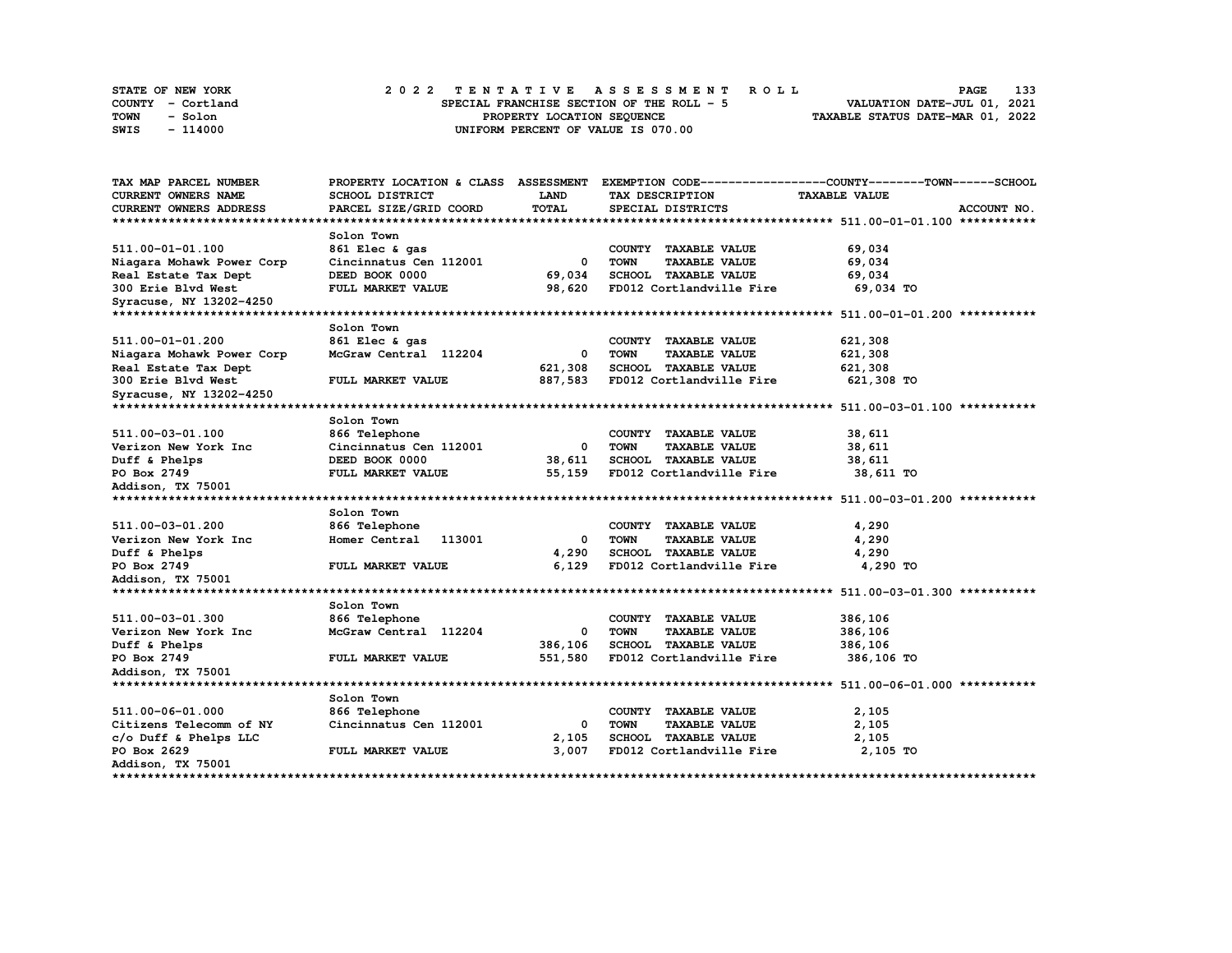| STATE OF NEW YORK | 2022 TENTATIVE ASSESSMENT ROLL            | 133<br><b>PAGE</b>               |
|-------------------|-------------------------------------------|----------------------------------|
| COUNTY - Cortland | SPECIAL FRANCHISE SECTION OF THE ROLL - 5 | VALUATION DATE-JUL 01, 2021      |
| TOWN<br>- Solon   | PROPERTY LOCATION SEQUENCE                | TAXABLE STATUS DATE-MAR 01, 2022 |
| - 114000<br>SWIS  | UNIFORM PERCENT OF VALUE IS 070.00        |                                  |

| TAX MAP PARCEL NUMBER          | PROPERTY LOCATION & CLASS ASSESSMENT |         |                                     | EXEMPTION CODE-----------------COUNTY-------TOWN-----SCHOOL |
|--------------------------------|--------------------------------------|---------|-------------------------------------|-------------------------------------------------------------|
| CURRENT OWNERS NAME            | SCHOOL DISTRICT                      | LAND    | TAX DESCRIPTION                     | <b>TAXABLE VALUE</b>                                        |
| CURRENT OWNERS ADDRESS         | PARCEL SIZE/GRID COORD               | TOTAL   | SPECIAL DISTRICTS                   | ACCOUNT NO.                                                 |
|                                |                                      |         |                                     |                                                             |
|                                | Solon Town                           |         |                                     |                                                             |
| 511.00-01-01.100               | 861 Elec & gas                       |         | COUNTY TAXABLE VALUE                | 69,034                                                      |
| Niagara Mohawk Power Corp      | Cincinnatus Cen 112001               | 0       | <b>TOWN</b><br><b>TAXABLE VALUE</b> | 69,034                                                      |
| Real Estate Tax Dept           | DEED BOOK 0000                       | 69,034  | SCHOOL TAXABLE VALUE                | 69,034                                                      |
| 300 Erie Blvd West             | FULL MARKET VALUE                    | 98,620  | FD012 Cortlandville Fire            | 69,034 TO                                                   |
| Syracuse, NY 13202-4250        |                                      |         |                                     |                                                             |
| ****************************** |                                      |         |                                     |                                                             |
|                                | Solon Town                           |         |                                     |                                                             |
| 511.00-01-01.200               | 861 Elec & gas                       |         | COUNTY TAXABLE VALUE                | 621,308                                                     |
| Niagara Mohawk Power Corp      | McGraw Central 112204                | 0       | <b>TOWN</b><br><b>TAXABLE VALUE</b> | 621,308                                                     |
| Real Estate Tax Dept           |                                      | 621,308 | <b>SCHOOL TAXABLE VALUE</b>         | 621,308                                                     |
| 300 Erie Blvd West             | <b>FULL MARKET VALUE</b>             | 887,583 | FD012 Cortlandville Fire            | 621,308 TO                                                  |
| Syracuse, NY 13202-4250        |                                      |         |                                     |                                                             |
|                                |                                      |         |                                     |                                                             |
|                                | Solon Town                           |         |                                     |                                                             |
| 511.00-03-01.100               | 866 Telephone                        |         | COUNTY TAXABLE VALUE                | 38,611                                                      |
| Verizon New York Inc           | Cincinnatus Cen 112001               | 0       | <b>TOWN</b><br><b>TAXABLE VALUE</b> | 38,611                                                      |
| Duff & Phelps                  | DEED BOOK 0000                       | 38,611  | SCHOOL TAXABLE VALUE                | 38,611                                                      |
| PO Box 2749                    | FULL MARKET VALUE                    | 55,159  | FD012 Cortlandville Fire            | 38,611 TO                                                   |
| Addison, TX 75001              |                                      |         |                                     |                                                             |
|                                |                                      |         |                                     |                                                             |
|                                | Solon Town                           |         |                                     |                                                             |
| 511.00-03-01.200               | 866 Telephone                        |         | COUNTY TAXABLE VALUE                | 4,290                                                       |
| Verizon New York Inc           | Homer Central<br>113001              | 0       | <b>TOWN</b><br><b>TAXABLE VALUE</b> | 4,290                                                       |
| Duff & Phelps                  |                                      | 4,290   | SCHOOL TAXABLE VALUE                | 4,290                                                       |
| PO Box 2749                    | FULL MARKET VALUE                    | 6,129   | FD012 Cortlandville Fire            | 4,290 TO                                                    |
| Addison, TX 75001              |                                      |         |                                     |                                                             |
|                                |                                      |         |                                     |                                                             |
|                                | Solon Town                           |         |                                     |                                                             |
| 511.00-03-01.300               | 866 Telephone                        |         | COUNTY TAXABLE VALUE                | 386,106                                                     |
| Verizon New York Inc           | McGraw Central 112204                | 0       | <b>TOWN</b><br><b>TAXABLE VALUE</b> | 386,106                                                     |
| Duff & Phelps                  |                                      | 386,106 | SCHOOL TAXABLE VALUE                | 386,106                                                     |
| PO Box 2749                    | FULL MARKET VALUE                    | 551,580 | FD012 Cortlandville Fire            | 386,106 TO                                                  |
| Addison, TX 75001              |                                      |         |                                     |                                                             |
|                                |                                      |         |                                     |                                                             |
|                                | Solon Town                           |         |                                     |                                                             |
| 511.00-06-01.000               | 866 Telephone                        |         | COUNTY<br><b>TAXABLE VALUE</b>      | 2,105                                                       |
| Citizens Telecomm of NY        | Cincinnatus Cen 112001               | 0       | <b>TOWN</b><br><b>TAXABLE VALUE</b> | 2,105                                                       |
| c/o Duff & Phelps LLC          |                                      | 2,105   | SCHOOL TAXABLE VALUE                | 2,105                                                       |
| PO Box 2629                    | FULL MARKET VALUE                    | 3,007   | FD012 Cortlandville Fire            | 2,105 TO                                                    |
| Addison, TX 75001              |                                      |         |                                     |                                                             |
| ***************                |                                      |         |                                     |                                                             |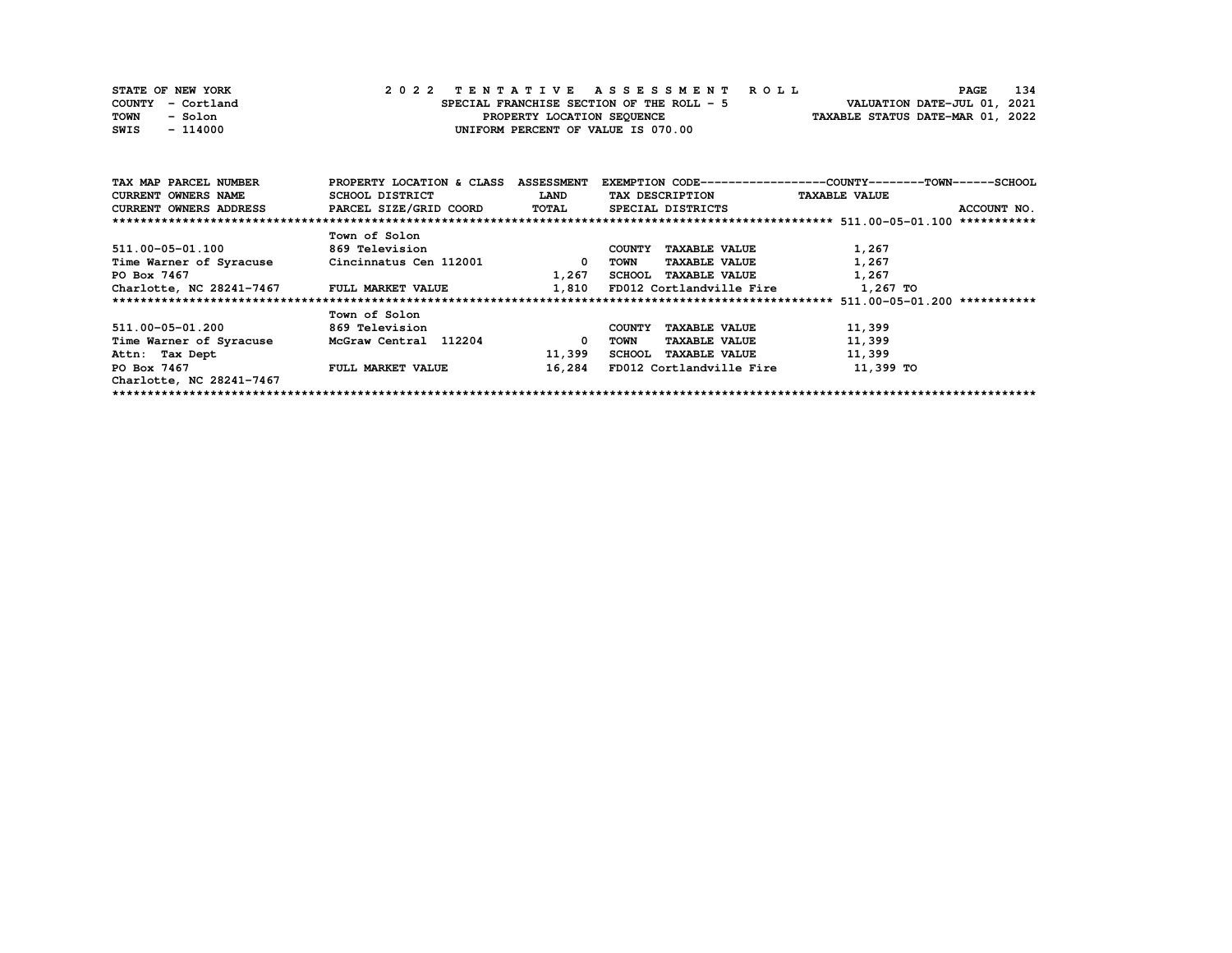| STATE OF NEW YORK | 2022 TENTATIVE ASSESSMENT ROLL            | 134<br><b>PAGE</b>               |
|-------------------|-------------------------------------------|----------------------------------|
| COUNTY - Cortland | SPECIAL FRANCHISE SECTION OF THE ROLL - 5 | VALUATION DATE-JUL 01, 2021      |
| TOWN<br>- Solon   | PROPERTY LOCATION SEQUENCE                | TAXABLE STATUS DATE-MAR 01, 2022 |
| - 114000<br>SWIS  | UNIFORM PERCENT OF VALUE IS 070.00        |                                  |

| TAX MAP PARCEL NUMBER                      | PROPERTY LOCATION & CLASS | <b>ASSESSMENT</b> |                                       | EXEMPTION CODE-----------------COUNTY-------TOWN-----SCHOOL |
|--------------------------------------------|---------------------------|-------------------|---------------------------------------|-------------------------------------------------------------|
| CURRENT OWNERS NAME                        | SCHOOL DISTRICT           | <b>LAND</b>       | TAX DESCRIPTION                       | <b>TAXABLE VALUE</b>                                        |
| <b>CURRENT OWNERS ADDRESS</b>              | PARCEL SIZE/GRID COORD    | <b>TOTAL</b>      | SPECIAL DISTRICTS                     | ACCOUNT NO.                                                 |
|                                            |                           |                   |                                       |                                                             |
|                                            | Town of Solon             |                   |                                       |                                                             |
| 511.00-05-01.100                           | <b>869 Television</b>     |                   | <b>TAXABLE VALUE</b><br>COUNTY        | 1,267                                                       |
| Time Warner of Syracuse                    | Cincinnatus Cen 112001    | 0                 | <b>TAXABLE VALUE</b><br>TOWN          | 1,267                                                       |
| PO Box 7467                                |                           | 1,267             | SCHOOL TAXABLE VALUE                  | 1,267                                                       |
| Charlotte, NC 28241-7467 FULL MARKET VALUE |                           | 1,810             | FD012 Cortlandville Fire              | 1,267 TO                                                    |
|                                            |                           |                   |                                       | $511.00 - 05 - 01.200$ ***********                          |
|                                            | Town of Solon             |                   |                                       |                                                             |
| 511.00-05-01.200                           | <b>869 Television</b>     |                   | <b>TAXABLE VALUE</b><br>COUNTY        | 11,399                                                      |
| Time Warner of Syracuse                    | McGraw Central 112204     | 0                 | <b>TAXABLE VALUE</b><br>TOWN          | 11,399                                                      |
| Attn: Tax Dept                             |                           | 11,399            | <b>TAXABLE VALUE</b><br><b>SCHOOL</b> | 11,399                                                      |
| PO Box 7467                                | <b>FULL MARKET VALUE</b>  | 16,284            | FD012 Cortlandville Fire              | 11,399 TO                                                   |
| Charlotte, NC 28241-7467                   |                           |                   |                                       |                                                             |
|                                            |                           |                   |                                       |                                                             |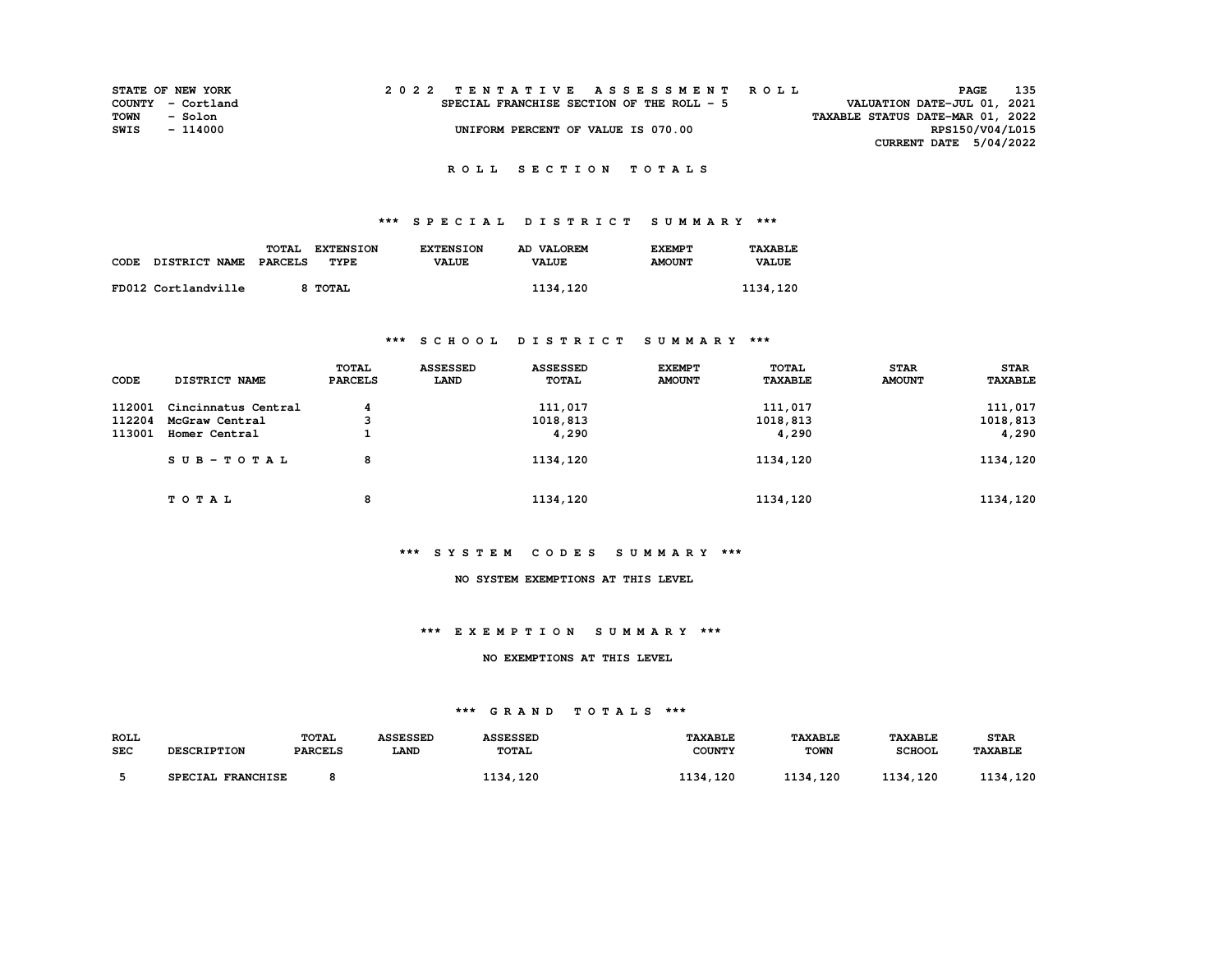| STATE OF NEW YORK |          |  |  |  |  |                                           |  |  |  |  | 2022 TENTATIVE ASSESSMENT ROLL |                                  | PAGE | 135             |
|-------------------|----------|--|--|--|--|-------------------------------------------|--|--|--|--|--------------------------------|----------------------------------|------|-----------------|
| COUNTY - Cortland |          |  |  |  |  | SPECIAL FRANCHISE SECTION OF THE ROLL - 5 |  |  |  |  |                                | VALUATION DATE-JUL 01, 2021      |      |                 |
| TOWN              | - Solon  |  |  |  |  |                                           |  |  |  |  |                                | TAXABLE STATUS DATE-MAR 01, 2022 |      |                 |
| SWIS              | - 114000 |  |  |  |  | UNIFORM PERCENT OF VALUE IS 070.00        |  |  |  |  |                                |                                  |      | RPS150/V04/L015 |
|                   |          |  |  |  |  |                                           |  |  |  |  |                                | CURRENT DATE $5/04/2022$         |      |                 |

## **\*\*\* S P E C I A L D I S T R I C T S U M M A R Y \*\*\***

|      |                      | TOTAL<br><b>EXTENSION</b> | <b>EXTENSION</b> | AD VALOREM   | <b>EXEMPT</b> | TAXABLE      |
|------|----------------------|---------------------------|------------------|--------------|---------------|--------------|
| CODE | <b>DISTRICT NAME</b> | PARCELS<br>TYPE           | <b>VALUE</b>     | <b>VALUE</b> | <b>AMOUNT</b> | <b>VALUE</b> |
|      |                      |                           |                  |              |               |              |
|      | FD012 Cortlandville  | <b>TOTAL</b>              |                  | 1134,120     |               | 1134,120     |

## **\*\*\* S C H O O L D I S T R I C T S U M M A R Y \*\*\***

| CODE   | DISTRICT NAME       | TOTAL<br><b>PARCELS</b> | <b>ASSESSED</b><br>LAND | <b>ASSESSED</b><br><b>TOTAL</b> | <b>EXEMPT</b><br><b>AMOUNT</b> | TOTAL<br><b>TAXABLE</b> | <b>STAR</b><br><b>AMOUNT</b> | <b>STAR</b><br><b>TAXABLE</b> |
|--------|---------------------|-------------------------|-------------------------|---------------------------------|--------------------------------|-------------------------|------------------------------|-------------------------------|
| 112001 | Cincinnatus Central | 4                       |                         | 111,017                         |                                | 111,017                 |                              | 111,017                       |
| 112204 | McGraw Central      | 3                       |                         | 1018,813                        |                                | 1018,813                |                              | 1018,813                      |
| 113001 | Homer Central       |                         |                         | 4,290                           |                                | 4,290                   |                              | 4,290                         |
|        | $SUB - TO T AL$     | 8                       |                         | 1134,120                        |                                | 1134,120                |                              | 1134,120                      |
|        | TOTAL               | 8                       |                         | 1134,120                        |                                | 1134,120                |                              | 1134,120                      |

#### **\*\*\* S Y S T E M C O D E S S U M M A R Y \*\*\***

#### **NO SYSTEM EXEMPTIONS AT THIS LEVEL**

#### **\*\*\* E X E M P T I O N S U M M A R Y \*\*\***

### **NO EXEMPTIONS AT THIS LEVEL**

| <b>ROLL</b> |                             | TOTAL          | <b>ASSESSED</b> | <b><i><u>\SSESSED</u></i></b> | TAXABLE             | <b>TAXABLE</b> | <b>TAXABLE</b>       | <b>STAR</b>           |
|-------------|-----------------------------|----------------|-----------------|-------------------------------|---------------------|----------------|----------------------|-----------------------|
| <b>SEC</b>  | <b>DESCRIPTION</b>          | <b>PARCELS</b> | LAND            | <b>TOTAL</b>                  | <b>COUNTY</b>       | <b>TOWN</b>    | <b>SCHOOL</b>        | <b><i>TAXABLE</i></b> |
|             |                             |                |                 |                               |                     |                |                      |                       |
|             | <b>FRANCHISE</b><br>SPECIAL |                |                 | , 120<br>.                    | 1124<br>.120<br>--- | l 134, 120     | <b>1124</b><br>. 120 | . 120<br>121          |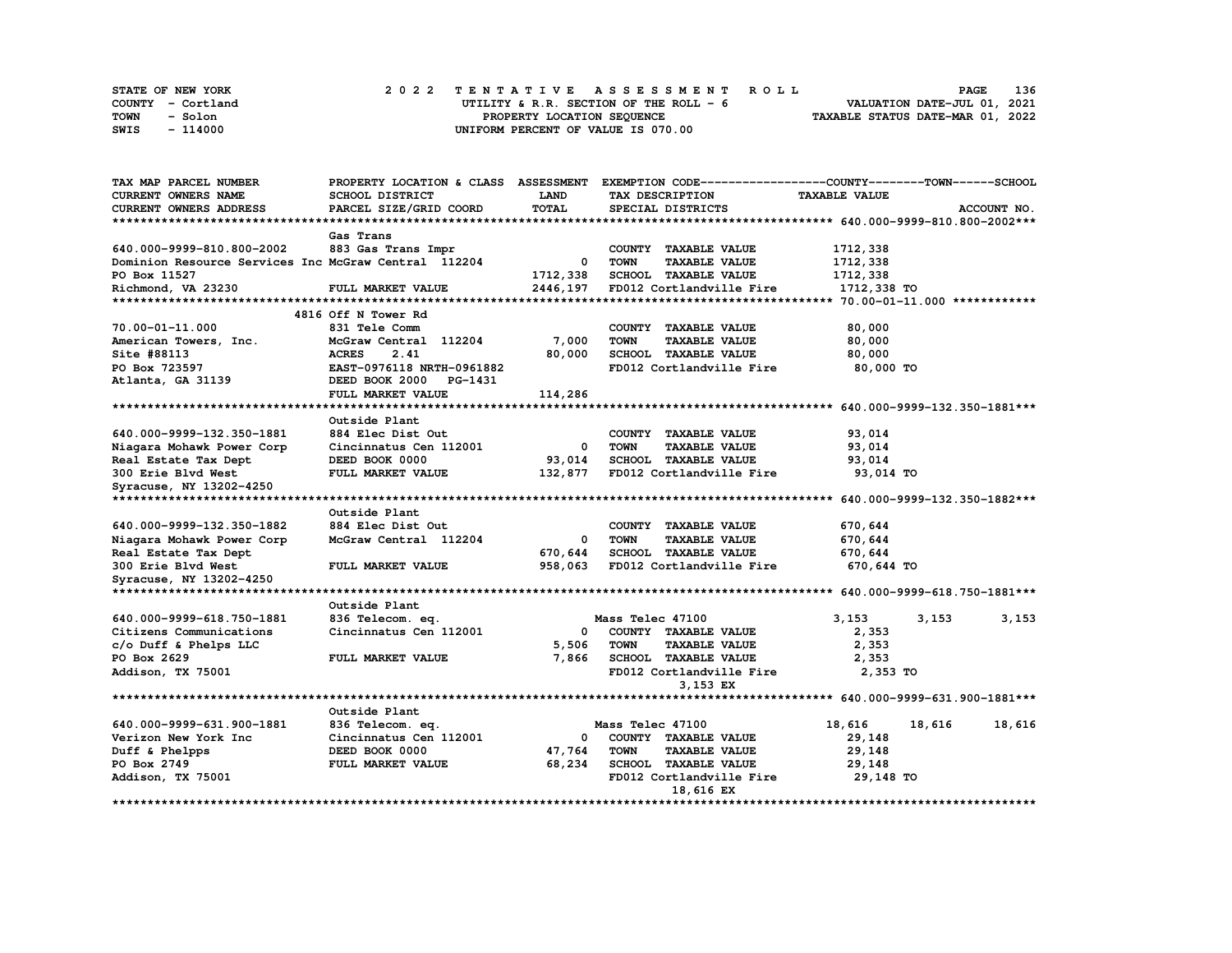| STATE OF NEW YORK | 2022 TENTATIVE ASSESSMENT ROLL          | 136<br><b>PAGE</b>               |
|-------------------|-----------------------------------------|----------------------------------|
| COUNTY - Cortland | UTILITY & R.R. SECTION OF THE ROLL $-6$ | VALUATION DATE-JUL 01, 2021      |
| TOWN<br>- Solon   | PROPERTY LOCATION SEQUENCE              | TAXABLE STATUS DATE-MAR 01, 2022 |
| - 114000<br>SWIS  | UNIFORM PERCENT OF VALUE IS 070.00      |                                  |

| TAX MAP PARCEL NUMBER                                | PROPERTY LOCATION & CLASS ASSESSMENT |              | EXEMPTION CODE-----------------COUNTY-------TOWN------SCHOOL |                      |             |
|------------------------------------------------------|--------------------------------------|--------------|--------------------------------------------------------------|----------------------|-------------|
| <b>CURRENT OWNERS NAME</b>                           | SCHOOL DISTRICT                      | <b>LAND</b>  | TAX DESCRIPTION                                              | <b>TAXABLE VALUE</b> |             |
| CURRENT OWNERS ADDRESS                               | PARCEL SIZE/GRID COORD               | <b>TOTAL</b> | SPECIAL DISTRICTS                                            |                      | ACCOUNT NO. |
|                                                      |                                      |              |                                                              |                      |             |
|                                                      | Gas Trans                            |              |                                                              |                      |             |
| 640.000-9999-810.800-2002                            | 883 Gas Trans Impr                   |              | COUNTY TAXABLE VALUE                                         | 1712,338             |             |
| Dominion Resource Services Inc McGraw Central 112204 |                                      | 0            | <b>TOWN</b><br><b>TAXABLE VALUE</b>                          | 1712,338             |             |
| PO Box 11527                                         |                                      | 1712,338     | SCHOOL TAXABLE VALUE                                         | 1712,338             |             |
| Richmond, VA 23230                                   | FULL MARKET VALUE                    | 2446,197     | FD012 Cortlandville Fire                                     | 1712,338 TO          |             |
|                                                      |                                      |              |                                                              |                      |             |
|                                                      | 4816 Off N Tower Rd                  |              |                                                              |                      |             |
| 70.00-01-11.000                                      | 831 Tele Comm                        |              | COUNTY TAXABLE VALUE                                         | 80,000               |             |
| American Towers, Inc.                                | McGraw Central 112204                | 7,000        | <b>TOWN</b><br><b>TAXABLE VALUE</b>                          | 80,000               |             |
| Site #88113                                          | 2.41<br><b>ACRES</b>                 | 80,000       | <b>SCHOOL TAXABLE VALUE</b>                                  | 80,000               |             |
| PO Box 723597                                        | EAST-0976118 NRTH-0961882            |              | FD012 Cortlandville Fire                                     | 80,000 TO            |             |
| Atlanta, GA 31139                                    | DEED BOOK 2000 PG-1431               |              |                                                              |                      |             |
|                                                      |                                      |              |                                                              |                      |             |
|                                                      | FULL MARKET VALUE                    | 114,286      |                                                              |                      |             |
|                                                      |                                      |              |                                                              |                      |             |
|                                                      | Outside Plant                        |              |                                                              |                      |             |
| 640.000-9999-132.350-1881                            | 884 Elec Dist Out                    |              | COUNTY TAXABLE VALUE                                         | 93,014               |             |
| Niagara Mohawk Power Corp                            | Cincinnatus Cen 112001               | 0            | <b>TOWN</b><br><b>TAXABLE VALUE</b>                          | 93,014               |             |
| Real Estate Tax Dept                                 | DEED BOOK 0000                       | 93,014       | <b>SCHOOL TAXABLE VALUE</b>                                  | 93,014               |             |
| 300 Erie Blvd West                                   | FULL MARKET VALUE                    | 132,877      | FD012 Cortlandville Fire                                     | 93,014 TO            |             |
| Syracuse, NY 13202-4250                              |                                      |              |                                                              |                      |             |
|                                                      |                                      |              |                                                              |                      |             |
|                                                      | Outside Plant                        |              |                                                              |                      |             |
| 640.000-9999-132.350-1882                            | 884 Elec Dist Out                    |              | COUNTY TAXABLE VALUE                                         | 670,644              |             |
| Niagara Mohawk Power Corp                            | McGraw Central 112204                | 0            | <b>TOWN</b><br><b>TAXABLE VALUE</b>                          | 670,644              |             |
| Real Estate Tax Dept                                 |                                      | 670,644      | <b>SCHOOL TAXABLE VALUE</b>                                  | 670,644              |             |
| 300 Erie Blvd West                                   | FULL MARKET VALUE                    | 958,063      | FD012 Cortlandville Fire                                     | 670,644 TO           |             |
| Syracuse, NY 13202-4250                              |                                      |              |                                                              |                      |             |
|                                                      |                                      |              |                                                              |                      |             |
|                                                      | Outside Plant                        |              |                                                              |                      |             |
| 640.000-9999-618.750-1881                            | 836 Telecom. eq.                     |              | Mass Telec 47100                                             | 3,153<br>3,153       | 3,153       |
| Citizens Communications                              | Cincinnatus Cen 112001               | 0            | COUNTY TAXABLE VALUE                                         | 2,353                |             |
| c/o Duff & Phelps LLC                                |                                      | 5,506        | <b>TAXABLE VALUE</b><br>TOWN                                 | 2,353                |             |
| PO Box 2629                                          | FULL MARKET VALUE                    | 7,866        | <b>SCHOOL TAXABLE VALUE</b>                                  | 2,353                |             |
| Addison, TX 75001                                    |                                      |              | FD012 Cortlandville Fire                                     | 2,353 TO             |             |
|                                                      |                                      |              | 3,153 EX                                                     |                      |             |
|                                                      |                                      |              |                                                              |                      |             |
|                                                      | Outside Plant                        |              |                                                              |                      |             |
| 640.000-9999-631.900-1881                            | 836 Telecom. eq.                     |              | Mass Telec 47100                                             | 18,616<br>18,616     | 18,616      |
| Verizon New York Inc                                 | Cincinnatus Cen 112001               | 0            | COUNTY TAXABLE VALUE                                         | 29,148               |             |
| Duff & Phelpps                                       | DEED BOOK 0000                       | 47,764       | TOWN<br><b>TAXABLE VALUE</b>                                 | 29,148               |             |
| PO Box 2749                                          | FULL MARKET VALUE                    | 68,234       | <b>SCHOOL TAXABLE VALUE</b>                                  | 29,148               |             |
|                                                      |                                      |              | FD012 Cortlandville Fire                                     | 29,148 TO            |             |
| Addison, TX 75001                                    |                                      |              |                                                              |                      |             |
|                                                      | **************************           |              | 18,616 EX                                                    |                      |             |
|                                                      |                                      |              |                                                              |                      |             |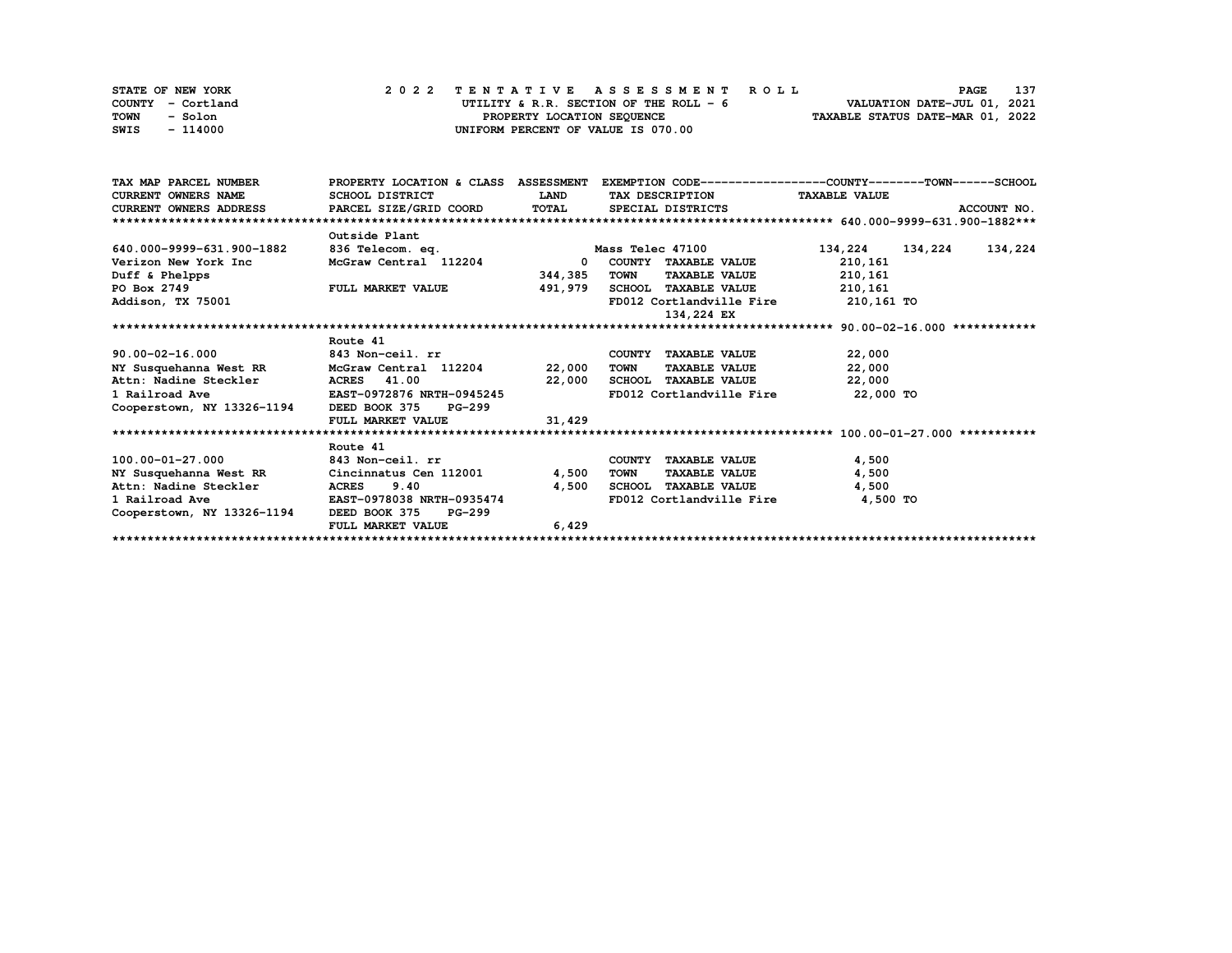| STATE OF NEW YORK | 2022 TENTATIVE ASSESSMENT ROLL         | 137<br>PAGE                      |
|-------------------|----------------------------------------|----------------------------------|
| COUNTY - Cortland | UTILITY & R.R. SECTION OF THE ROLL - 6 | VALUATION DATE-JUL 01, 2021      |
| TOWN<br>- Solon   | PROPERTY LOCATION SEOUENCE             | TAXABLE STATUS DATE-MAR 01, 2022 |
| - 114000<br>SWIS  | UNIFORM PERCENT OF VALUE IS 070.00     |                                  |

| TAX MAP PARCEL NUMBER      | PROPERTY LOCATION & CLASS ASSESSMENT |              | EXEMPTION CODE-----------------COUNTY-------TOWN------SCHOOL |                    |             |
|----------------------------|--------------------------------------|--------------|--------------------------------------------------------------|--------------------|-------------|
| <b>CURRENT OWNERS NAME</b> | SCHOOL DISTRICT                      | <b>LAND</b>  | TAX DESCRIPTION TAXABLE VALUE                                |                    |             |
| CURRENT OWNERS ADDRESS     | PARCEL SIZE/GRID COORD               | TOTAL        | SPECIAL DISTRICTS                                            |                    | ACCOUNT NO. |
|                            |                                      |              |                                                              |                    |             |
|                            | Outside Plant                        |              |                                                              |                    |             |
| 640.000-9999-631.900-1882  | 836 Telecom. eq.                     |              | Mass Telec 47100                                             | 134,224<br>134,224 | 134,224     |
| Verizon New York Inc       | McGraw Central 112204                | $\mathbf{0}$ | COUNTY TAXABLE VALUE                                         | 210,161            |             |
| Duff & Phelpps             |                                      | 344,385      | <b>TOWN</b><br><b>TAXABLE VALUE</b>                          | 210,161            |             |
| PO Box 2749                | <b>FULL MARKET VALUE</b>             | 491,979      | SCHOOL TAXABLE VALUE                                         | 210,161            |             |
| Addison, TX 75001          |                                      |              | FD012 Cortlandville Fire 210,161 TO                          |                    |             |
|                            |                                      |              | 134,224 EX                                                   |                    |             |
|                            |                                      |              |                                                              |                    |             |
|                            | Route 41                             |              |                                                              |                    |             |
| $90.00 - 02 - 16.000$      | 843 Non-ceil. rr                     |              | COUNTY TAXABLE VALUE                                         | 22,000             |             |
| NY Susquehanna West RR     | McGraw Central 112204                | 22,000       | TOWN<br><b>TAXABLE VALUE</b>                                 | 22,000             |             |
| Attn: Nadine Steckler      | <b>ACRES</b> 41.00                   | 22,000       | SCHOOL TAXABLE VALUE                                         | 22,000             |             |
| 1 Railroad Ave             | EAST-0972876 NRTH-0945245            |              | FD012 Cortlandville Fire                                     | 22,000 TO          |             |
| Cooperstown, NY 13326-1194 | DEED BOOK 375<br><b>PG-299</b>       |              |                                                              |                    |             |
|                            | FULL MARKET VALUE                    | 31,429       |                                                              |                    |             |
|                            |                                      |              |                                                              |                    |             |
|                            | Route 41                             |              |                                                              |                    |             |
| 100.00-01-27.000           | 843 Non-ceil. rr                     |              | COUNTY TAXABLE VALUE                                         | 4,500              |             |
| NY Susquehanna West RR     | Cincinnatus Cen 112001               | 4,500        | <b>TAXABLE VALUE</b><br>TOWN                                 | 4,500              |             |
| Attn: Nadine Steckler      | ACRES 9.40                           | 4,500        | SCHOOL TAXABLE VALUE                                         | 4,500              |             |
| 1 Railroad Ave             | <b>EAST-0978038 NRTH-0935474</b>     |              | FD012 Cortlandville Fire                                     | 4,500 TO           |             |
| Cooperstown, NY 13326-1194 | DEED BOOK 375<br><b>PG-299</b>       |              |                                                              |                    |             |
|                            | FULL MARKET VALUE                    | 6,429        |                                                              |                    |             |
|                            |                                      |              |                                                              |                    |             |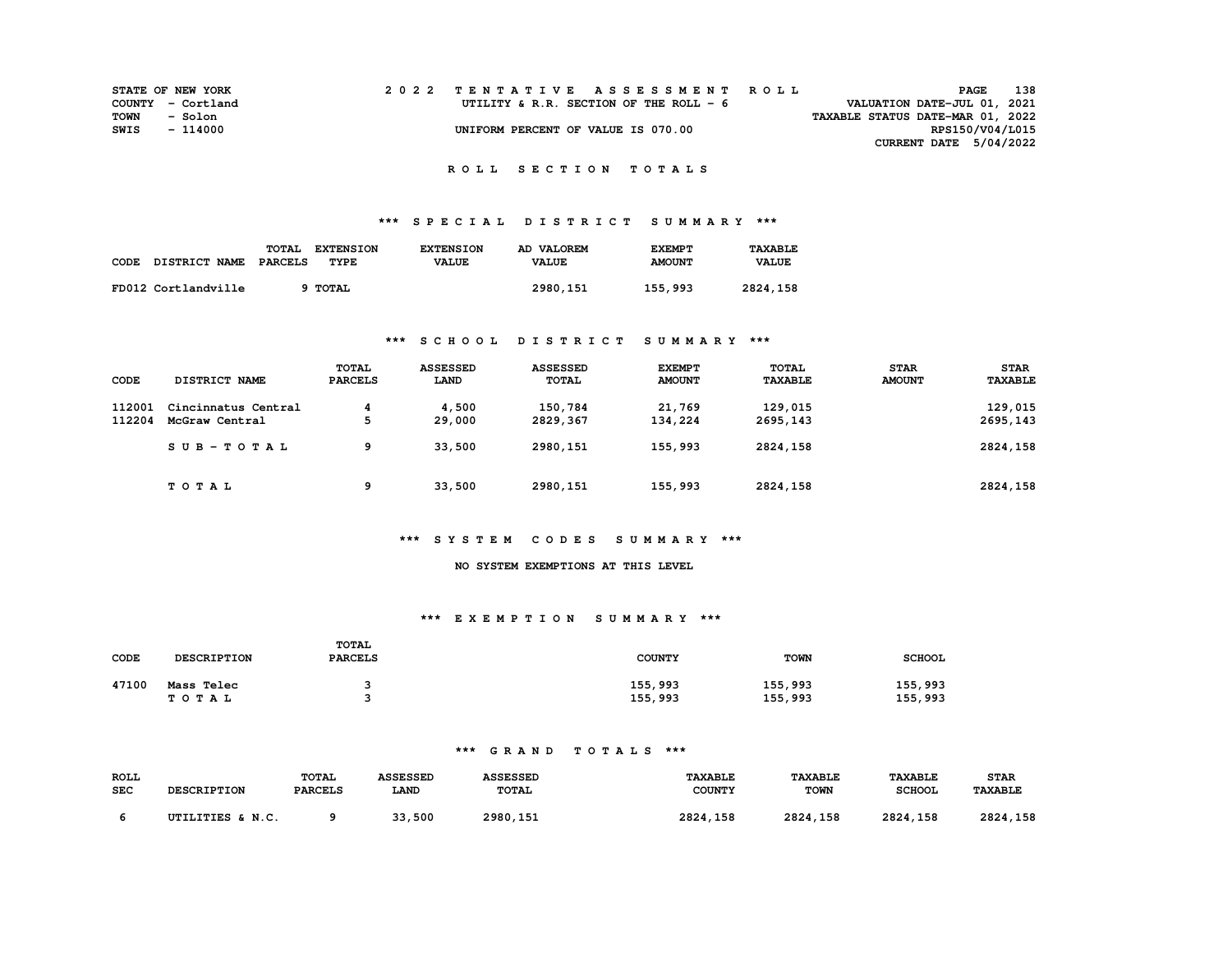|      | <b>STATE OF NEW YORK</b> | 2022 TENTATIVE ASSESSMENT ROLL     |                                         |  |                                  | PAGE            | 138 |
|------|--------------------------|------------------------------------|-----------------------------------------|--|----------------------------------|-----------------|-----|
|      | COUNTY - Cortland        |                                    | UTILITY & R.R. SECTION OF THE ROLL $-6$ |  | VALUATION DATE-JUL 01, 2021      |                 |     |
| TOWN | - Solon                  |                                    |                                         |  | TAXABLE STATUS DATE-MAR 01, 2022 |                 |     |
| SWIS | - 114000                 | UNIFORM PERCENT OF VALUE IS 070.00 |                                         |  |                                  | RPS150/V04/L015 |     |
|      |                          |                                    |                                         |  | CURRENT DATE 5/04/2022           |                 |     |

## **\*\*\* S P E C I A L D I S T R I C T S U M M A R Y \*\*\***

|      |                     | <b>TOTAL</b><br><b>EXTENSION</b> | <b>EXTENSION</b> | AD VALOREM   | <b>EXEMPT</b> | <b>TAXABLE</b> |
|------|---------------------|----------------------------------|------------------|--------------|---------------|----------------|
| CODE | DISTRICT NAME       | TYPE<br>PARCELS                  | <b>VALUE</b>     | <b>VALUE</b> | <b>AMOUNT</b> | <b>VALUE</b>   |
|      |                     |                                  |                  |              |               |                |
|      | FD012 Cortlandville | <b>TOTAL</b>                     |                  | 2980, 151    | 155,993       | 2824,158       |

## **\*\*\* S C H O O L D I S T R I C T S U M M A R Y \*\*\***

| CODE   | DISTRICT NAME       | <b>TOTAL</b><br><b>PARCELS</b> | <b>ASSESSED</b><br>LAND | <b>ASSESSED</b><br><b>TOTAL</b> | <b>EXEMPT</b><br><b>AMOUNT</b> | <b>TOTAL</b><br><b>TAXABLE</b> | <b>STAR</b><br><b>AMOUNT</b> | <b>STAR</b><br><b>TAXABLE</b> |
|--------|---------------------|--------------------------------|-------------------------|---------------------------------|--------------------------------|--------------------------------|------------------------------|-------------------------------|
|        |                     |                                |                         |                                 |                                |                                |                              |                               |
| 112001 | Cincinnatus Central | 4                              | 4,500                   | 150,784                         | 21,769                         | 129,015                        |                              | 129,015                       |
| 112204 | McGraw Central      | 5                              | 29,000                  | 2829,367                        | 134,224                        | 2695,143                       |                              | 2695,143                      |
|        | $SUB - TO T AL$     | 9                              | 33,500                  | 2980, 151                       | 155,993                        | 2824,158                       |                              | 2824,158                      |
|        | TOTAL               | 9                              | 33,500                  | 2980,151                        | 155,993                        | 2824,158                       |                              | 2824,158                      |

## **\*\*\* S Y S T E M C O D E S S U M M A R Y \*\*\***

#### **NO SYSTEM EXEMPTIONS AT THIS LEVEL**

#### **\*\*\* E X E M P T I O N S U M M A R Y \*\*\***

| CODE  | <b>DESCRIPTION</b>  | TOTAL<br><b>PARCELS</b> | <b>COUNTY</b>      | <b>TOWN</b>        | <b>SCHOOL</b>      |
|-------|---------------------|-------------------------|--------------------|--------------------|--------------------|
| 47100 | Mass Telec<br>TOTAL |                         | 155,993<br>155,993 | 155,993<br>155,993 | 155,993<br>155,993 |

| <b>ROLL</b><br><b>SEC</b> | <b>DESCRIPTION</b> | TOTAL<br><b>PARCELS</b> | <b>CODCODP</b><br><b>LAND</b> | <b>ASSESSED</b><br><b>TOTAL</b> | <b><i>TAXABLE</i></b><br><b>COUNTY</b> | <b>TAXABLE</b><br><b>TOWN</b> | <b><i>TAXABLE</i></b><br><b>SCHOOL</b> | <b>STAR</b><br><b>TAXABLE</b> |
|---------------------------|--------------------|-------------------------|-------------------------------|---------------------------------|----------------------------------------|-------------------------------|----------------------------------------|-------------------------------|
|                           | UTILITIES & N.C.   |                         | 33,500                        | 2980, 151                       | 2824<br>158                            | 2821<br>. 158                 | 2021<br>. 158<br>202                   | 2824<br>158                   |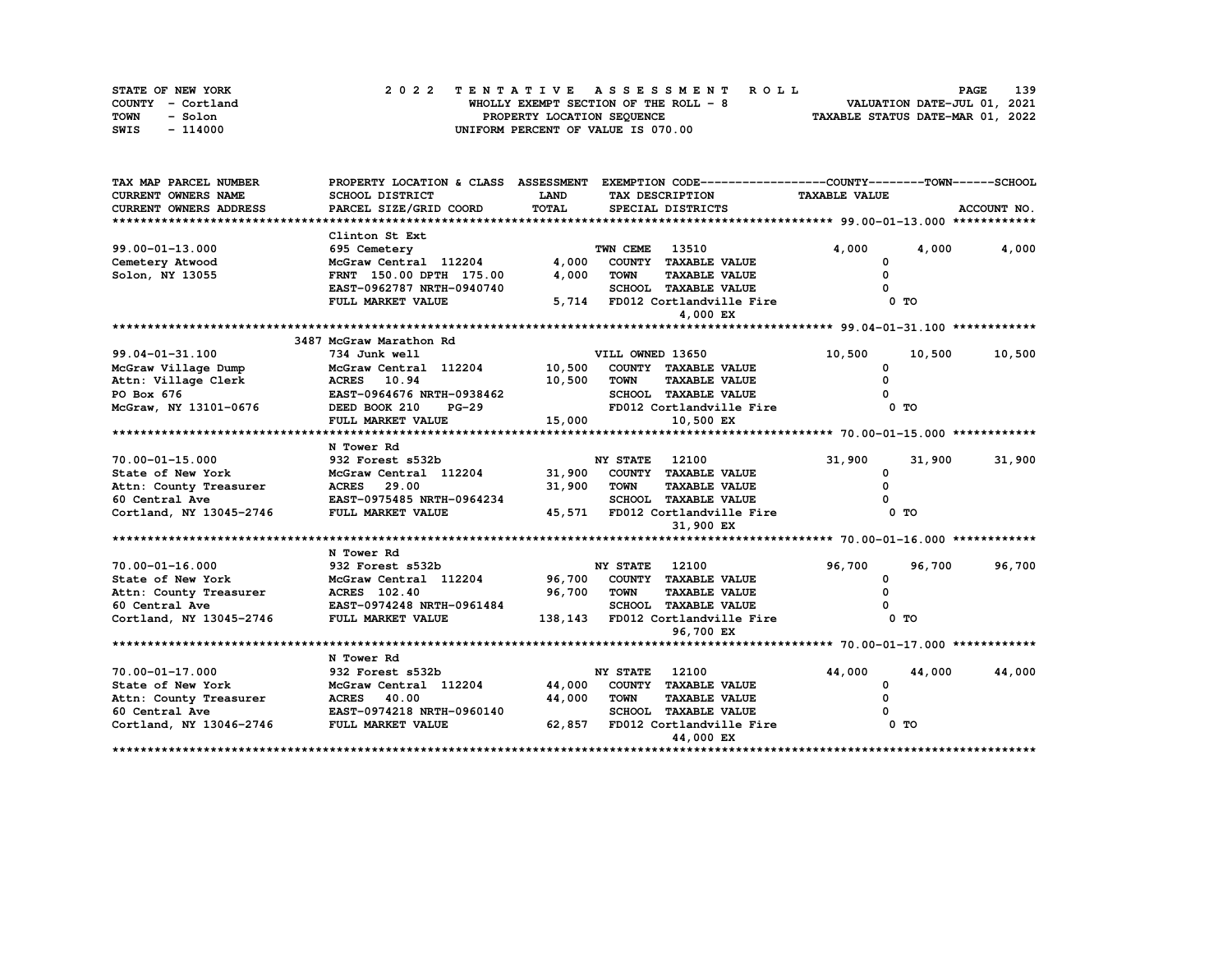| STATE OF NEW YORK | 2022 TENTATIVE ASSESSMENT ROLL        | 139<br><b>PAGE</b>               |
|-------------------|---------------------------------------|----------------------------------|
| COUNTY - Cortland | WHOLLY EXEMPT SECTION OF THE ROLL - 8 | VALUATION DATE-JUL 01, 2021      |
| TOWN<br>- Solon   | PROPERTY LOCATION SEQUENCE            | TAXABLE STATUS DATE-MAR 01, 2022 |
| - 114000<br>SWIS  | UNIFORM PERCENT OF VALUE IS 070.00    |                                  |

| TAX MAP PARCEL NUMBER      | PROPERTY LOCATION & CLASS ASSESSMENT EXEMPTION CODE----------------COUNTY-------TOWN------SCHOOL        |             |                                               |                      |                  |  |  |  |  |  |
|----------------------------|---------------------------------------------------------------------------------------------------------|-------------|-----------------------------------------------|----------------------|------------------|--|--|--|--|--|
| <b>CURRENT OWNERS NAME</b> | SCHOOL DISTRICT                                                                                         | <b>LAND</b> | TAX DESCRIPTION                               | <b>TAXABLE VALUE</b> |                  |  |  |  |  |  |
| CURRENT OWNERS ADDRESS     | PARCEL SIZE/GRID COORD                                                                                  | TOTAL       | SPECIAL DISTRICTS                             |                      | ACCOUNT NO.      |  |  |  |  |  |
|                            |                                                                                                         |             |                                               |                      |                  |  |  |  |  |  |
|                            | Clinton St Ext                                                                                          |             |                                               |                      |                  |  |  |  |  |  |
| $99.00 - 01 - 13.000$      | 695 Cemetery                                                                                            |             | TWN CEME<br>13510                             | 4,000                | 4,000<br>4,000   |  |  |  |  |  |
| Cemetery Atwood            | McGraw Central 112204                                                                                   | 4,000       | COUNTY TAXABLE VALUE                          |                      |                  |  |  |  |  |  |
| Solon, NY 13055            | FRNT 150.00 DPTH 175.00                                                                                 | 4,000       | <b>TOWN</b><br><b>TAXABLE VALUE</b>           | $\Omega$             |                  |  |  |  |  |  |
|                            | EAST-0962787 NRTH-0940740                                                                               |             | <b>SCHOOL TAXABLE VALUE</b>                   |                      |                  |  |  |  |  |  |
|                            | FULL MARKET VALUE                                                                                       |             | 5,714 FD012 Cortlandville Fire                | 0 TO                 |                  |  |  |  |  |  |
|                            |                                                                                                         |             | 4,000 EX                                      |                      |                  |  |  |  |  |  |
|                            |                                                                                                         |             |                                               |                      |                  |  |  |  |  |  |
|                            | 3487 McGraw Marathon Rd                                                                                 |             |                                               |                      |                  |  |  |  |  |  |
| $99.04 - 01 - 31.100$      | 734 Junk well                                                                                           |             | VILL OWNED 13650                              | 10,500               | 10,500<br>10,500 |  |  |  |  |  |
| McGraw Village Dump        | McGraw Central 112204 10,500                                                                            |             | COUNTY TAXABLE VALUE                          | <sup>0</sup>         |                  |  |  |  |  |  |
| Attn: Village Clerk        | <b>ACRES</b> 10.94                                                                                      | 10,500      | <b>TOWN</b><br><b>TAXABLE VALUE</b>           |                      |                  |  |  |  |  |  |
| PO Box 676                 | EAST-0964676 NRTH-0938462                                                                               |             | <b>SCHOOL TAXABLE VALUE</b>                   |                      |                  |  |  |  |  |  |
| McGraw, NY 13101-0676      | DEED BOOK 210<br>$PG-29$                                                                                |             | FD012 Cortlandville Fire                      | 0 <sub>T</sub>       |                  |  |  |  |  |  |
|                            | FULL MARKET VALUE                                                                                       | 15,000      | 10,500 EX                                     |                      |                  |  |  |  |  |  |
|                            |                                                                                                         |             |                                               |                      |                  |  |  |  |  |  |
|                            | N Tower Rd                                                                                              |             |                                               |                      |                  |  |  |  |  |  |
| $70.00 - 01 - 15.000$      | 932 Forest s532b                                                                                        |             | <b>NY STATE</b> 12100                         | 31,900               | 31,900<br>31,900 |  |  |  |  |  |
| State of New York          | McGraw Central 112204                                                                                   | 31,900      | COUNTY TAXABLE VALUE                          | 0                    |                  |  |  |  |  |  |
|                            |                                                                                                         | 31,900      | <b>TOWN</b><br><b>TAXABLE VALUE</b>           | $\Omega$             |                  |  |  |  |  |  |
|                            |                                                                                                         |             | <b>SCHOOL TAXABLE VALUE</b>                   |                      |                  |  |  |  |  |  |
|                            |                                                                                                         |             | 45,571 FD012 Cortlandville Fire               | 0 <sub>T</sub>       |                  |  |  |  |  |  |
|                            |                                                                                                         |             | 31,900 EX                                     |                      |                  |  |  |  |  |  |
|                            |                                                                                                         |             |                                               |                      |                  |  |  |  |  |  |
|                            | N Tower Rd                                                                                              |             |                                               |                      |                  |  |  |  |  |  |
| 70.00-01-16.000            | 932 Forest s532b                                                                                        |             | <b>NY STATE</b><br>12100                      | 96,700               | 96,700<br>96,700 |  |  |  |  |  |
| State of New York          | McGraw Central 112204 96,700                                                                            |             | COUNTY TAXABLE VALUE                          | 0                    |                  |  |  |  |  |  |
|                            | Attn: County Treasurer MCRES 102.40<br>60 Central Ave                         EAST-0974248 NRTH-0961484 | 96,700      | TOWN<br><b>TAXABLE VALUE</b>                  | $\Omega$             |                  |  |  |  |  |  |
|                            | FULL MARKET VALUE                                                                                       |             | <b>SCHOOL TAXABLE VALUE</b>                   | $0$ TO               |                  |  |  |  |  |  |
| Cortland, NY 13045-2746    |                                                                                                         |             | 138,143 FD012 Cortlandville Fire<br>96,700 EX |                      |                  |  |  |  |  |  |
|                            |                                                                                                         |             |                                               |                      |                  |  |  |  |  |  |
|                            | N Tower Rd                                                                                              |             |                                               |                      |                  |  |  |  |  |  |
| 70.00-01-17.000            | 932 Forest s532b                                                                                        |             | <b>NY STATE</b><br>12100                      | 44,000               | 44,000<br>44,000 |  |  |  |  |  |
| State of New York          | McGraw Central 112204                                                                                   | 44,000      | COUNTY TAXABLE VALUE                          | 0                    |                  |  |  |  |  |  |
| Attn: County Treasurer     | <b>ACRES</b> 40.00                                                                                      | 44,000      | <b>TOWN</b><br><b>TAXABLE VALUE</b>           |                      |                  |  |  |  |  |  |
| 60 Central Ave             | EAST-0974218 NRTH-0960140                                                                               |             | <b>SCHOOL TAXABLE VALUE</b>                   |                      |                  |  |  |  |  |  |
| Cortland, NY 13046-2746    | FULL MARKET VALUE                                                                                       | 62,857      | FD012 Cortlandville Fire                      | 0 <sub>T</sub>       |                  |  |  |  |  |  |
|                            |                                                                                                         |             | 44,000 EX                                     |                      |                  |  |  |  |  |  |
|                            |                                                                                                         |             |                                               |                      |                  |  |  |  |  |  |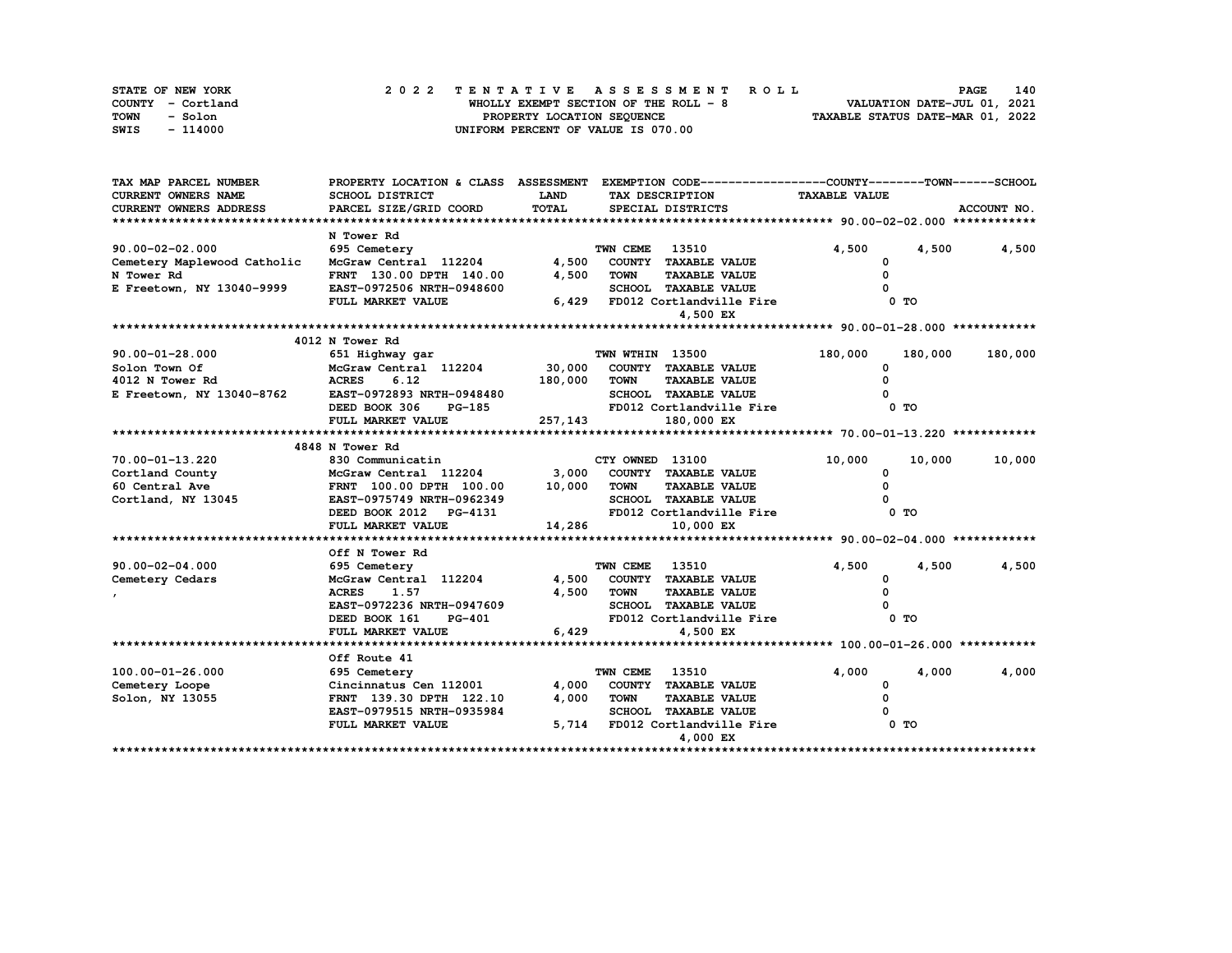| STATE OF NEW YORK |  | 2022 TENTATIVE ASSESSMENT ROLL        | 140<br><b>PAGE</b>          |
|-------------------|--|---------------------------------------|-----------------------------|
| COUNTY - Cortland |  | WHOLLY EXEMPT SECTION OF THE ROLL - 8 | VALUATION DATE-JUL 01, 2021 |
| TOWN<br>- Solon   |  | TAXABLE STATUS DATE-MAR 01, 2022      |                             |
| SWIS<br>- 114000  |  | UNIFORM PERCENT OF VALUE IS 070.00    |                             |

| TAX MAP PARCEL NUMBER       | PROPERTY LOCATION & CLASS ASSESSMENT |             |                 | EXEMPTION CODE------------------COUNTY-------TOWN------SCHOOL |                      |                |         |  |  |  |
|-----------------------------|--------------------------------------|-------------|-----------------|---------------------------------------------------------------|----------------------|----------------|---------|--|--|--|
| <b>CURRENT OWNERS NAME</b>  | SCHOOL DISTRICT                      | <b>LAND</b> |                 | TAX DESCRIPTION                                               | <b>TAXABLE VALUE</b> |                |         |  |  |  |
| CURRENT OWNERS ADDRESS      | PARCEL SIZE/GRID COORD               | TOTAL       |                 | SPECIAL DISTRICTS                                             | ACCOUNT NO.          |                |         |  |  |  |
|                             |                                      |             |                 |                                                               |                      |                |         |  |  |  |
|                             | N Tower Rd                           |             |                 |                                                               |                      |                |         |  |  |  |
| $90.00 - 02 - 02.000$       | 695 Cemetery                         |             | TWN CEME        | 13510                                                         | 4,500                | 4,500          | 4,500   |  |  |  |
| Cemetery Maplewood Catholic | McGraw Central 112204 4,500          |             |                 | COUNTY TAXABLE VALUE                                          | 0                    |                |         |  |  |  |
| N Tower Rd                  | FRNT 130.00 DPTH 140.00              | 4,500       | <b>TOWN</b>     | <b>TAXABLE VALUE</b>                                          | $\Omega$             |                |         |  |  |  |
| E Freetown, NY 13040-9999   | EAST-0972506 NRTH-0948600            |             |                 | SCHOOL TAXABLE VALUE                                          |                      |                |         |  |  |  |
|                             | FULL MARKET VALUE                    |             |                 | 6,429 FD012 Cortlandville Fire                                |                      | $0$ TO         |         |  |  |  |
|                             |                                      |             |                 | 4,500 EX                                                      |                      |                |         |  |  |  |
|                             |                                      |             |                 |                                                               |                      |                |         |  |  |  |
|                             | 4012 N Tower Rd                      |             |                 |                                                               |                      |                |         |  |  |  |
| $90.00 - 01 - 28.000$       | 651 Highway gar                      |             | TWN WTHIN 13500 |                                                               | 180,000              | 180,000        | 180,000 |  |  |  |
| Solon Town Of               | McGraw Central 112204                | 30,000      |                 | COUNTY TAXABLE VALUE                                          | <sup>0</sup>         |                |         |  |  |  |
| 4012 N Tower Rd             | <b>ACRES</b><br>6.12                 | 180,000     | TOWN            | <b>TAXABLE VALUE</b>                                          | $\Omega$             |                |         |  |  |  |
| E Freetown, NY 13040-8762   | EAST-0972893 NRTH-0948480            |             |                 | SCHOOL TAXABLE VALUE                                          |                      |                |         |  |  |  |
|                             | DEED BOOK 306<br><b>PG-185</b>       |             |                 | FD012 Cortlandville Fire                                      |                      | 0 <sub>T</sub> |         |  |  |  |
|                             | FULL MARKET VALUE                    | 257,143     |                 | 180,000 EX                                                    |                      |                |         |  |  |  |
|                             |                                      |             |                 |                                                               |                      |                |         |  |  |  |
|                             | 4848 N Tower Rd                      |             |                 |                                                               |                      |                |         |  |  |  |
| 70.00-01-13.220             | 830 Communicatin                     |             | CTY OWNED 13100 |                                                               | 10,000               | 10,000         | 10,000  |  |  |  |
| Cortland County             | McGraw Central 112204                |             |                 | 3,000 COUNTY TAXABLE VALUE                                    | 0                    |                |         |  |  |  |
| 60 Central Ave              | FRNT 100.00 DPTH 100.00 10,000 TOWN  |             |                 | <b>TAXABLE VALUE</b>                                          | 0                    |                |         |  |  |  |
| Cortland, NY 13045          | EAST-0975749 NRTH-0962349            |             |                 | SCHOOL TAXABLE VALUE                                          |                      |                |         |  |  |  |
|                             | DEED BOOK 2012 PG-4131               |             |                 | FD012 Cortlandville Fire                                      |                      | 0 TO           |         |  |  |  |
|                             | FULL MARKET VALUE                    | 14,286      |                 | 10,000 EX                                                     |                      |                |         |  |  |  |
|                             |                                      |             |                 |                                                               |                      |                |         |  |  |  |
|                             | Off N Tower Rd                       |             |                 |                                                               |                      |                |         |  |  |  |
| 90.00-02-04.000             | 695 Cemetery                         |             | TWN CEME        | 13510                                                         | 4,500                | 4,500          | 4,500   |  |  |  |
| Cemetery Cedars             | McGraw Central 112204                |             |                 | 4,500 COUNTY TAXABLE VALUE                                    | 0                    |                |         |  |  |  |
|                             | <b>ACRES</b><br>1.57                 | 4,500       | TOWN            | <b>TAXABLE VALUE</b>                                          | $\Omega$             |                |         |  |  |  |
|                             | EAST-0972236 NRTH-0947609            |             |                 | SCHOOL TAXABLE VALUE                                          |                      |                |         |  |  |  |
|                             | DEED BOOK 161<br><b>PG-401</b>       |             |                 | FD012 Cortlandville Fire                                      |                      | 0 <sub>T</sub> |         |  |  |  |
|                             | FULL MARKET VALUE                    | 6,429       |                 | 4,500 EX                                                      |                      |                |         |  |  |  |
|                             |                                      |             |                 |                                                               |                      |                |         |  |  |  |
|                             | Off Route 41                         |             |                 |                                                               |                      |                |         |  |  |  |
| 100.00-01-26.000            | 695 Cemetery                         |             | TWN CEME        | 13510                                                         | 4,000                | 4,000          | 4,000   |  |  |  |
| Cemetery Loope              | Cincinnatus Cen 112001               | 4,000       |                 | COUNTY TAXABLE VALUE                                          | 0                    |                |         |  |  |  |
| Solon, NY 13055             | FRNT 139.30 DPTH 122.10              | 4,000       | <b>TOWN</b>     | <b>TAXABLE VALUE</b>                                          | 0                    |                |         |  |  |  |
|                             | EAST-0979515 NRTH-0935984            |             |                 | SCHOOL TAXABLE VALUE                                          |                      |                |         |  |  |  |
|                             | FULL MARKET VALUE                    |             |                 | 5,714 FD012 Cortlandville Fire                                |                      | 0 TO           |         |  |  |  |
|                             |                                      |             |                 | 4,000 EX                                                      |                      |                |         |  |  |  |
|                             |                                      |             |                 |                                                               |                      |                |         |  |  |  |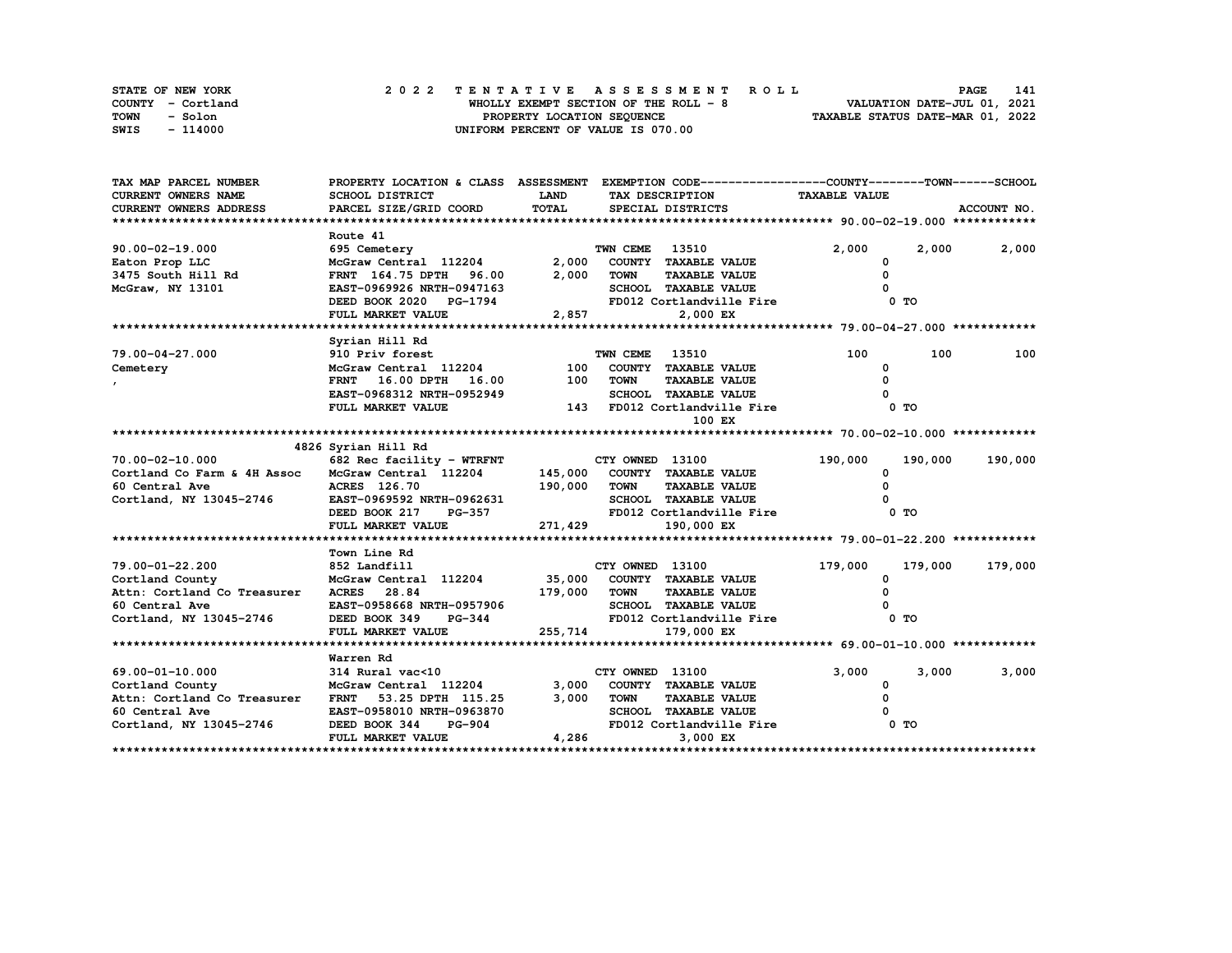| STATE OF NEW YORK | 2022 TENTATIVE ASSESSMENT ROLL         | 141<br><b>PAGE</b>               |
|-------------------|----------------------------------------|----------------------------------|
| COUNTY - Cortland | WHOLLY EXEMPT SECTION OF THE ROLL $-8$ | VALUATION DATE-JUL 01, 2021      |
| TOWN<br>- Solon   | PROPERTY LOCATION SEQUENCE             | TAXABLE STATUS DATE-MAR 01, 2022 |
| SWIS<br>- 114000  | UNIFORM PERCENT OF VALUE IS 070.00     |                                  |

| TAX MAP PARCEL NUMBER                                                     | PROPERTY LOCATION & CLASS ASSESSMENT EXEMPTION CODE----------------COUNTY-------TOWN------SCHOOL |                 |                       |                              |                      |                 |             |
|---------------------------------------------------------------------------|--------------------------------------------------------------------------------------------------|-----------------|-----------------------|------------------------------|----------------------|-----------------|-------------|
| <b>CURRENT OWNERS NAME</b>                                                | SCHOOL DISTRICT                                                                                  | LAND            |                       | TAX DESCRIPTION              | <b>TAXABLE VALUE</b> |                 |             |
| <b>CURRENT OWNERS ADDRESS</b>                                             | PARCEL SIZE/GRID COORD                                                                           | TOTAL           |                       | SPECIAL DISTRICTS            |                      |                 | ACCOUNT NO. |
|                                                                           |                                                                                                  |                 |                       |                              |                      |                 |             |
|                                                                           | Route 41                                                                                         |                 |                       |                              |                      |                 |             |
| $90.00 - 02 - 19.000$                                                     | 695 Cemetery                                                                                     |                 | TWN CEME 13510        |                              | 2,000                | 2,000           | 2,000       |
| Eaton Prop LLC                                                            | McGraw Central 112204<br>FRNT 164.75 DPTH 96.00                                                  |                 |                       | 2,000 COUNTY TAXABLE VALUE   | 0                    |                 |             |
| 3475 South Hill Rd                                                        |                                                                                                  | 2,000           | TOWN                  | <b>TAXABLE VALUE</b>         | $\Omega$             |                 |             |
| McGraw, NY 13101                                                          | EAST-0969926 NRTH-0947163                                                                        |                 |                       | SCHOOL TAXABLE VALUE         |                      |                 |             |
|                                                                           | DEED BOOK 2020 PG-1794                                                                           |                 |                       | FD012 Cortlandville Fire     |                      | 0 TO            |             |
|                                                                           | FULL MARKET VALUE                                                                                | 2,857           |                       | 2,000 EX                     |                      |                 |             |
|                                                                           |                                                                                                  |                 |                       |                              |                      |                 |             |
|                                                                           | Syrian Hill Rd                                                                                   |                 |                       |                              |                      |                 |             |
| 79.00-04-27.000                                                           | 910 Priv forest                                                                                  |                 | <b>TWN CEME 13510</b> |                              | 100                  | 100             | 100         |
| Cemetery                                                                  | McGraw Central 112204 100 COUNTY TAXABLE VALUE                                                   |                 |                       |                              | <sup>0</sup>         |                 |             |
|                                                                           | FRNT 16.00 DPTH 16.00 100 TOWN                                                                   |                 |                       | <b>TAXABLE VALUE</b>         |                      |                 |             |
|                                                                           | EAST-0968312 NRTH-0952949                                                                        |                 |                       | SCHOOL TAXABLE VALUE         |                      |                 |             |
|                                                                           | FULL MARKET VALUE                                                                                |                 |                       | 143 FD012 Cortlandville Fire |                      | 0 <sub>T</sub>  |             |
|                                                                           |                                                                                                  |                 |                       | 100 EX                       |                      |                 |             |
|                                                                           |                                                                                                  |                 |                       |                              |                      |                 |             |
|                                                                           | 4826 Syrian Hill Rd                                                                              |                 |                       |                              |                      |                 |             |
| $70.00 - 02 - 10.000$                                                     | 682 Rec facility - WTRFNT                                                                        | CTY OWNED 13100 |                       |                              | 190,000              | 190,000 190,000 |             |
| Cortland Co Farm & 4H Assoc McGraw Central 112204                         |                                                                                                  |                 |                       | 145,000 COUNTY TAXABLE VALUE | 0                    |                 |             |
| 60 Central Ave                                                            | ACRES 126.70 190,000 TOWN<br>EAST-0969592 NRTH-0962631 SCHOOL<br>DEED BOOK 217 PG-357 FD012 Co   |                 |                       | <b>TAXABLE VALUE</b>         |                      |                 |             |
| Cortland, NY 13045-2746                                                   |                                                                                                  |                 |                       | <b>SCHOOL TAXABLE VALUE</b>  |                      |                 |             |
|                                                                           |                                                                                                  |                 |                       | FD012 Cortlandville Fire     |                      | 0 TO            |             |
|                                                                           | FULL MARKET VALUE                                                                                | 271, 429        |                       | 190,000 EX                   |                      |                 |             |
|                                                                           |                                                                                                  |                 |                       |                              |                      |                 |             |
|                                                                           | Town Line Rd                                                                                     |                 |                       |                              |                      |                 |             |
| 79.00-01-22.200                                                           | 852 Landfill                                                                                     |                 | CTY OWNED 13100       |                              | 179,000              | 179,000         | 179,000     |
| Cortland County McGraw Central<br>Attn: Cortland Co Treasurer ACRES 28.84 | McGraw Central 112204 35,000 COUNTY TAXABLE VALUE                                                |                 |                       |                              | 0                    |                 |             |
|                                                                           |                                                                                                  | 179,000 TOWN    |                       | <b>TAXABLE VALUE</b>         |                      |                 |             |
| 60 Central Ave                                                            | EAST-0958668 NRTH-0957906                                                                        |                 |                       | SCHOOL TAXABLE VALUE         |                      |                 |             |
| Cortland, NY 13045-2746                                                   | $PG-344$<br>DEED BOOK 349                                                                        |                 |                       | FD012 Cortlandville Fire     |                      | 0 TO            |             |
|                                                                           | FULL MARKET VALUE                                                                                | 255,714         |                       | 179,000 EX                   |                      |                 |             |
|                                                                           |                                                                                                  |                 |                       |                              |                      |                 |             |
|                                                                           | Warren Rd                                                                                        |                 |                       |                              |                      |                 |             |
| 69.00-01-10.000                                                           | 314 Rural vac<10                                                                                 |                 | CTY OWNED 13100       |                              | 3,000                | 3,000           | 3,000       |
| Cortland County                                                           | McGraw Central 112204<br>FRNT 53.25 DPTH 115.25                                                  |                 |                       | 3,000 COUNTY TAXABLE VALUE   | 0                    |                 |             |
| Attn: Cortland Co Treasurer FRNT 53.25 DPTH 115.25                        |                                                                                                  | 3,000           | TOWN                  | <b>TAXABLE VALUE</b>         | 0                    |                 |             |
| 60 Central Ave                                                            | EAST-0958010 NRTH-0963870                                                                        |                 |                       | <b>SCHOOL TAXABLE VALUE</b>  |                      |                 |             |
| Cortland, NY 13045-2746                                                   | DEED BOOK 344<br><b>PG-904</b>                                                                   |                 |                       | FD012 Cortlandville Fire     |                      | 0 TO            |             |
|                                                                           | FULL MARKET VALUE                                                                                | 4,286           |                       | 3,000 EX                     |                      |                 |             |
|                                                                           |                                                                                                  |                 |                       |                              |                      |                 |             |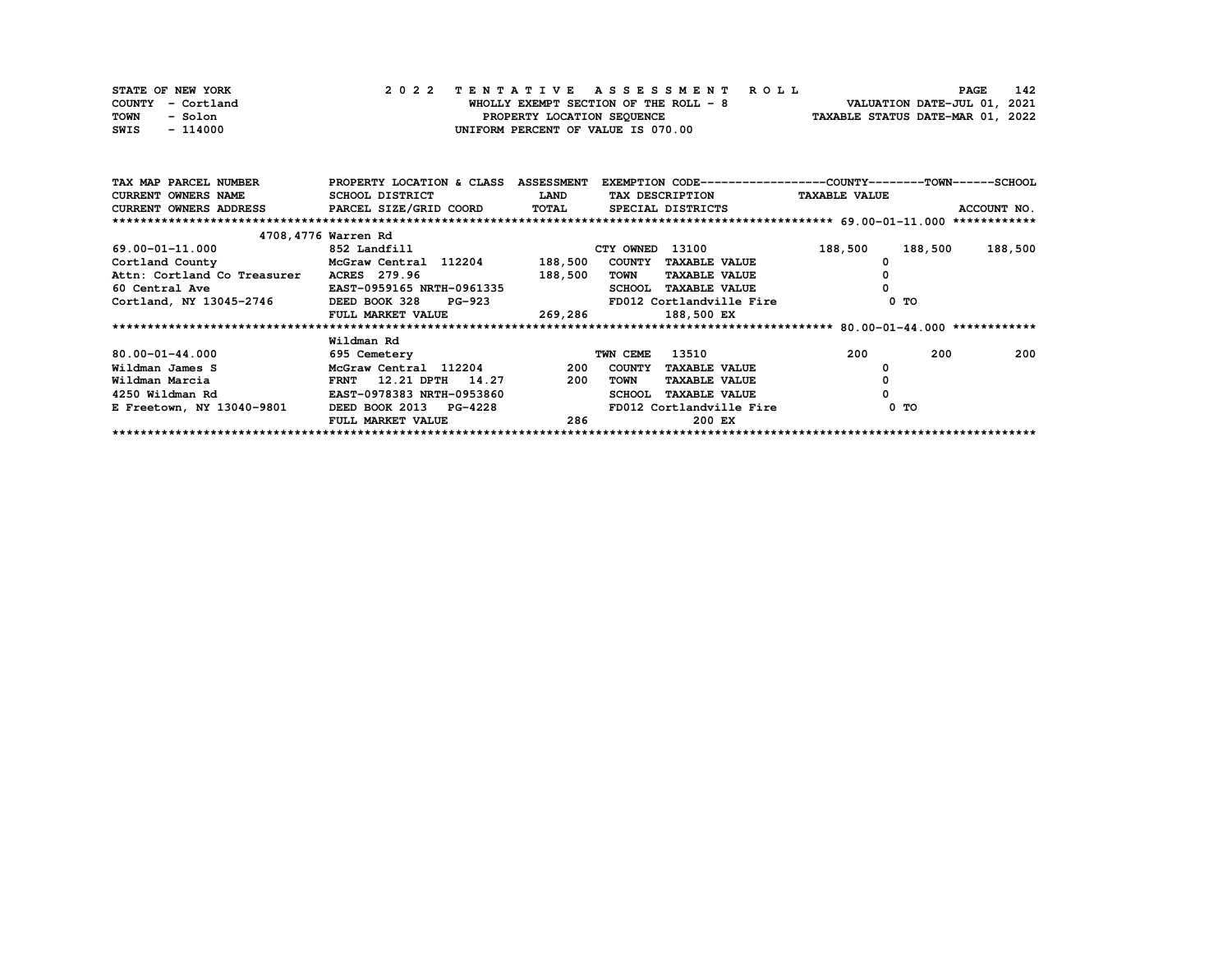| STATE OF NEW YORK | 2022 TENTATIVE ASSESSMENT ROLL         |                                  | <b>PAGE</b>                 | 142 |
|-------------------|----------------------------------------|----------------------------------|-----------------------------|-----|
| COUNTY - Cortland | WHOLLY EXEMPT SECTION OF THE ROLL $-8$ |                                  | VALUATION DATE-JUL 01, 2021 |     |
| TOWN<br>- Solon   | PROPERTY LOCATION SEQUENCE             | TAXABLE STATUS DATE-MAR 01, 2022 |                             |     |
| $-114000$<br>SWIS | UNIFORM PERCENT OF VALUE IS 070.00     |                                  |                             |     |

| TAX MAP PARCEL NUMBER         | PROPERTY LOCATION & CLASS       | <b>ASSESSMENT</b> |                                       | EXEMPTION CODE-----------------COUNTY-------TOWN-----SCHOOL |             |
|-------------------------------|---------------------------------|-------------------|---------------------------------------|-------------------------------------------------------------|-------------|
| <b>CURRENT OWNERS NAME</b>    | SCHOOL DISTRICT                 | <b>LAND</b>       | TAX DESCRIPTION                       | <b>TAXABLE VALUE</b>                                        |             |
| <b>CURRENT OWNERS ADDRESS</b> | PARCEL SIZE/GRID COORD          | <b>TOTAL</b>      | SPECIAL DISTRICTS                     |                                                             | ACCOUNT NO. |
|                               |                                 |                   |                                       |                                                             |             |
|                               | 4708, 4776 Warren Rd            |                   |                                       |                                                             |             |
| 69.00-01-11.000               | 852 Landfill                    |                   | 13100<br>CTY OWNED                    | 188,500<br>188,500                                          | 188,500     |
| Cortland County               | McGraw Central 112204           | 188,500           | <b>COUNTY</b><br><b>TAXABLE VALUE</b> |                                                             |             |
| Attn: Cortland Co Treasurer   | ACRES 279.96                    | 188,500           | <b>TAXABLE VALUE</b><br><b>TOWN</b>   |                                                             |             |
| 60 Central Ave                | EAST-0959165 NRTH-0961335       |                   | <b>TAXABLE VALUE</b><br><b>SCHOOL</b> |                                                             |             |
| Cortland, NY 13045-2746       | DEED BOOK 328<br>PG-923         |                   | FD012 Cortlandville Fire              | 0 <sub>T</sub>                                              |             |
|                               | FULL MARKET VALUE               | 269,286           | 188,500 EX                            |                                                             |             |
|                               |                                 |                   |                                       |                                                             |             |
|                               | Wildman Rd                      |                   |                                       |                                                             |             |
| $80.00 - 01 - 44.000$         | 695 Cemetery                    |                   | 13510<br>TWN CEME                     | 200<br>200                                                  | 200         |
| Wildman James S               | McGraw Central 112204           | 200               | <b>COUNTY</b><br><b>TAXABLE VALUE</b> |                                                             |             |
| Wildman Marcia                | 12.21 DPTH 14.27<br><b>FRNT</b> | 200               | <b>TAXABLE VALUE</b><br>TOWN          |                                                             |             |
| 4250 Wildman Rd               | EAST-0978383 NRTH-0953860       |                   | <b>SCHOOL</b><br><b>TAXABLE VALUE</b> |                                                             |             |
| E Freetown, NY 13040-9801     | DEED BOOK 2013<br>PG-4228       |                   | FD012 Cortlandville Fire              | 0 <sub>T</sub>                                              |             |
|                               | <b>FULL MARKET VALUE</b>        | 286               | 200 EX                                |                                                             |             |
|                               |                                 |                   |                                       |                                                             |             |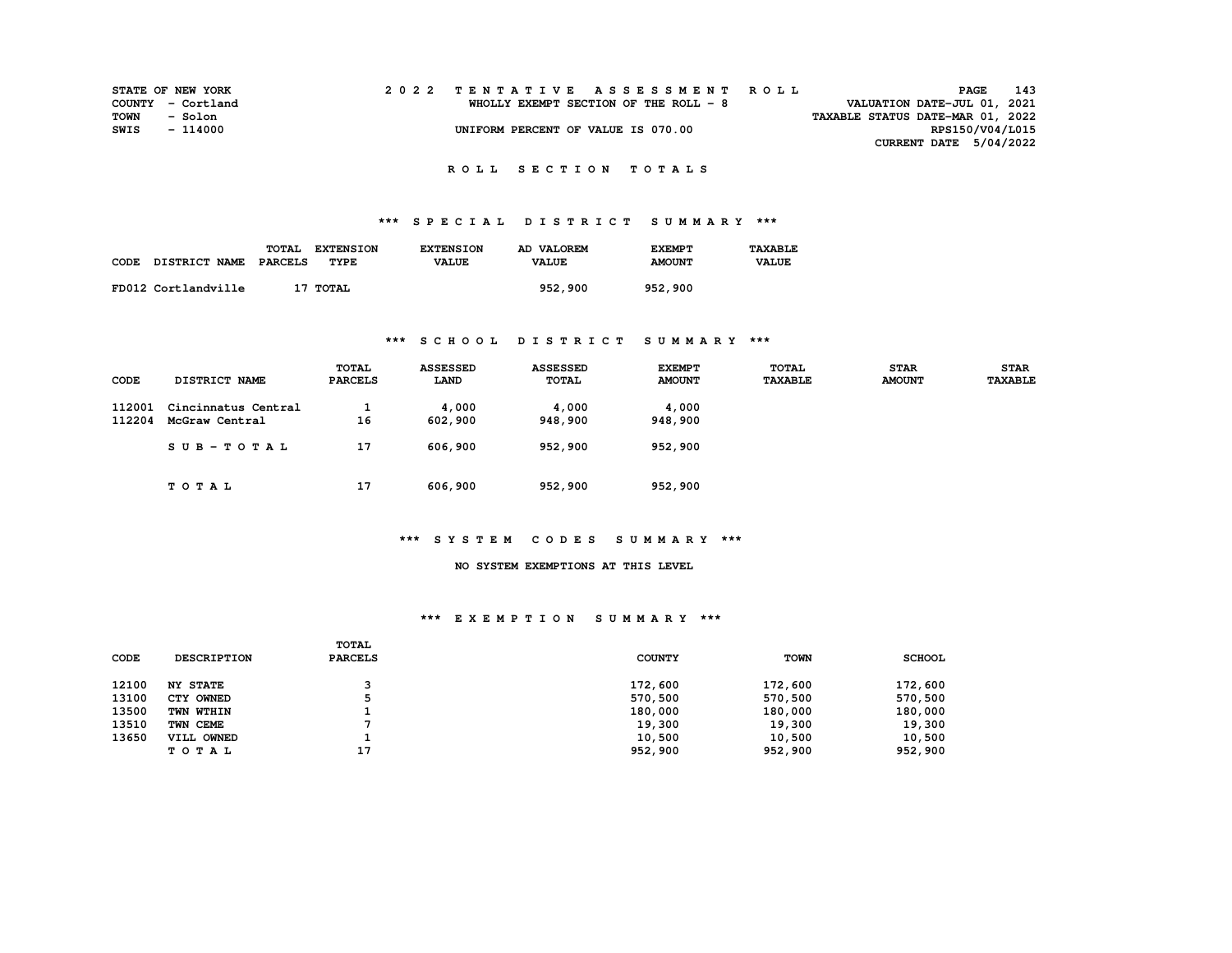| <b>STATE OF NEW YORK</b> |          |  |  |  |  |                                       |  |  |  |  | 2022 TENTATIVE ASSESSMENT ROLL |                                  |                             | PAGE | 143             |
|--------------------------|----------|--|--|--|--|---------------------------------------|--|--|--|--|--------------------------------|----------------------------------|-----------------------------|------|-----------------|
| COUNTY - Cortland        |          |  |  |  |  | WHOLLY EXEMPT SECTION OF THE ROLL - 8 |  |  |  |  |                                |                                  | VALUATION DATE-JUL 01, 2021 |      |                 |
| TOWN                     | - Solon  |  |  |  |  |                                       |  |  |  |  |                                | TAXABLE STATUS DATE-MAR 01, 2022 |                             |      |                 |
| SWIS                     | - 114000 |  |  |  |  | UNIFORM PERCENT OF VALUE IS 070.00    |  |  |  |  |                                |                                  |                             |      | RPS150/V04/L015 |
|                          |          |  |  |  |  |                                       |  |  |  |  |                                |                                  | CURRENT DATE $5/04/2022$    |      |                 |
|                          |          |  |  |  |  |                                       |  |  |  |  |                                |                                  |                             |      |                 |

## **\*\*\* S P E C I A L D I S T R I C T S U M M A R Y \*\*\***

|      |                      | <b>TOTAL</b><br><b>EXTENSION</b> | <b>EXTENSION</b> | AD VALOREM   | <b>EXEMPT</b> | <b>TAXARLE</b> |
|------|----------------------|----------------------------------|------------------|--------------|---------------|----------------|
| CODE | <b>DISTRICT NAME</b> | PARCELS<br>TYPE                  | <b>VALUE</b>     | <b>VALUE</b> | <b>AMOUNT</b> | <b>VALUE</b>   |
|      | FD012 Cortlandville  | 17 TOTAL                         |                  | 952,900      | 952,900       |                |

## **\*\*\* S C H O O L D I S T R I C T S U M M A R Y \*\*\***

| CODE             | DISTRICT NAME                         | <b>TOTAL</b><br><b>PARCELS</b> | <b>ASSESSED</b><br>LAND | <b>ASSESSED</b><br><b>TOTAL</b> | <b>EXEMPT</b><br><b>AMOUNT</b> | <b>TOTAL</b><br><b>TAXABLE</b> | <b>STAR</b><br><b>AMOUNT</b> | <b>STAR</b><br><b>TAXABLE</b> |
|------------------|---------------------------------------|--------------------------------|-------------------------|---------------------------------|--------------------------------|--------------------------------|------------------------------|-------------------------------|
| 112001<br>112204 | Cincinnatus Central<br>McGraw Central | 16                             | 4,000<br>602,900        | 4,000<br>948,900                | 4,000<br>948,900               |                                |                              |                               |
|                  | SUB-TOTAL                             | 17                             | 606,900                 | 952,900                         | 952,900                        |                                |                              |                               |
|                  | TOTAL                                 | 17                             | 606,900                 | 952,900                         | 952,900                        |                                |                              |                               |

## **\*\*\* S Y S T E M C O D E S S U M M A R Y \*\*\***

### **NO SYSTEM EXEMPTIONS AT THIS LEVEL**

#### **\*\*\* E X E M P T I O N S U M M A R Y \*\*\***

| CODE  | <b>DESCRIPTION</b> | TOTAL<br><b>PARCELS</b> | <b>COUNTY</b> | <b>TOWN</b> | <b>SCHOOL</b> |
|-------|--------------------|-------------------------|---------------|-------------|---------------|
| 12100 | <b>NY STATE</b>    |                         | 172,600       | 172,600     | 172,600       |
| 13100 | CTY OWNED          |                         | 570,500       | 570,500     | 570,500       |
| 13500 | TWN WTHIN          |                         | 180,000       | 180,000     | 180,000       |
| 13510 | TWN CEME           |                         | 19,300        | 19,300      | 19,300        |
| 13650 | VILL OWNED         |                         | 10,500        | 10,500      | 10,500        |
|       | TOTAL              | 17                      | 952,900       | 952,900     | 952,900       |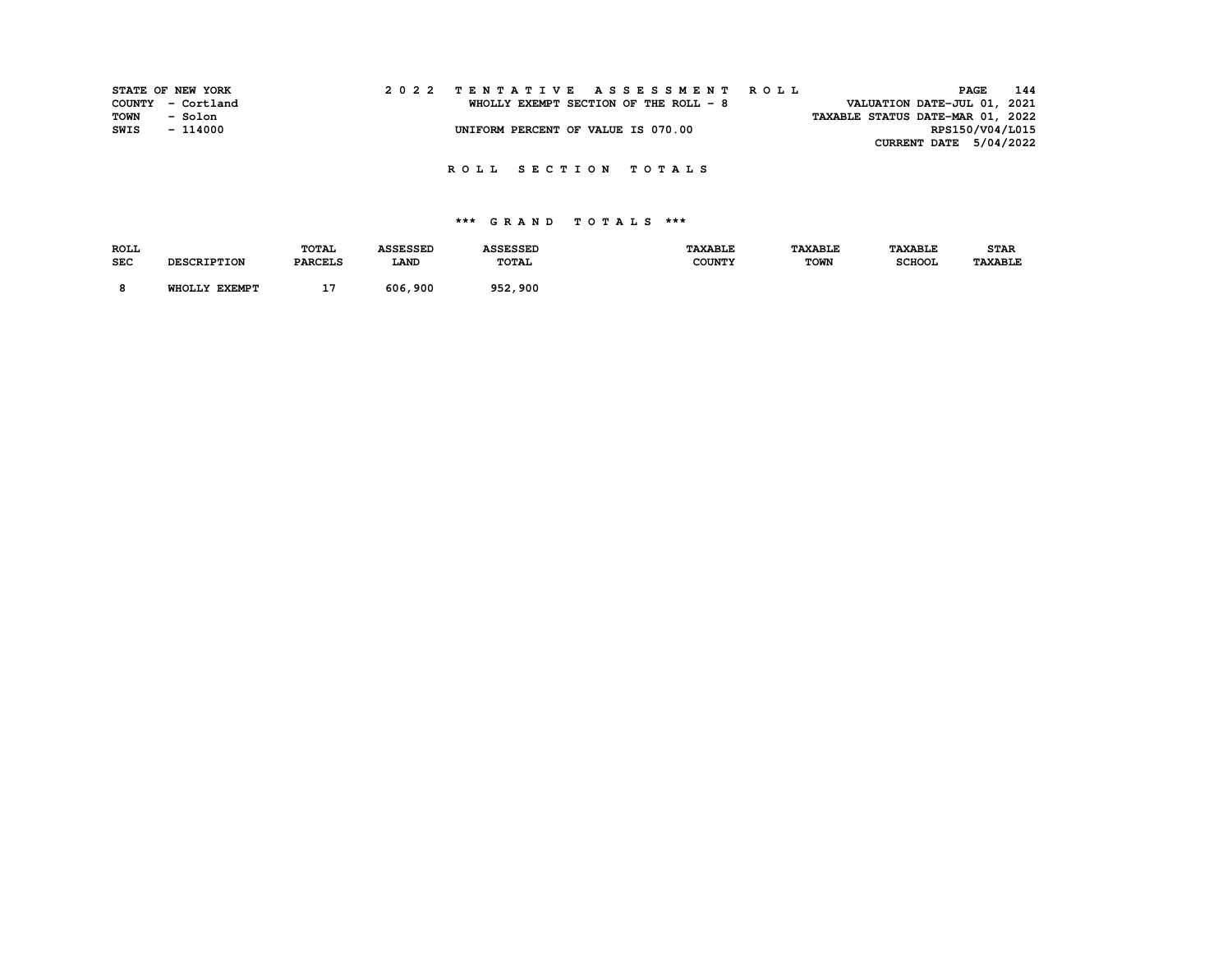| STATE OF NEW YORK |          |  |  |  |  |  |  |                                       |  |  | 2022 TENTATIVE ASSESSMENT ROLL |                                  |                 | PAGE | 144 |
|-------------------|----------|--|--|--|--|--|--|---------------------------------------|--|--|--------------------------------|----------------------------------|-----------------|------|-----|
| COUNTY - Cortland |          |  |  |  |  |  |  | WHOLLY EXEMPT SECTION OF THE ROLL - 8 |  |  |                                | VALUATION DATE-JUL 01, 2021      |                 |      |     |
| TOWN              | - Solon  |  |  |  |  |  |  |                                       |  |  |                                | TAXABLE STATUS DATE-MAR 01, 2022 |                 |      |     |
| SWIS              | - 114000 |  |  |  |  |  |  | UNIFORM PERCENT OF VALUE IS 070.00    |  |  |                                |                                  | RPS150/V04/L015 |      |     |
|                   |          |  |  |  |  |  |  |                                       |  |  |                                | CURRENT DATE 5/04/2022           |                 |      |     |

| <b>ROLL</b> |                    | <b>TOTAL</b>   | <b>ASSESSED</b> | <b>ASSESSED</b> | <b>TAXABLE</b> | <b><i>TAXABLE</i></b> | <b>TAXABLE</b> | <b>STAR</b>    |
|-------------|--------------------|----------------|-----------------|-----------------|----------------|-----------------------|----------------|----------------|
| <b>SEC</b>  | <b>DESCRIPTION</b> | <b>PARCELS</b> | LAND            | TOTAL           | <b>COUNTY</b>  | <b>TOWN</b>           | <b>SCHOOL</b>  | <b>TAXABLE</b> |
|             | WHOLLY EXEMPT      | . .            | 606,900         | 952,900         |                |                       |                |                |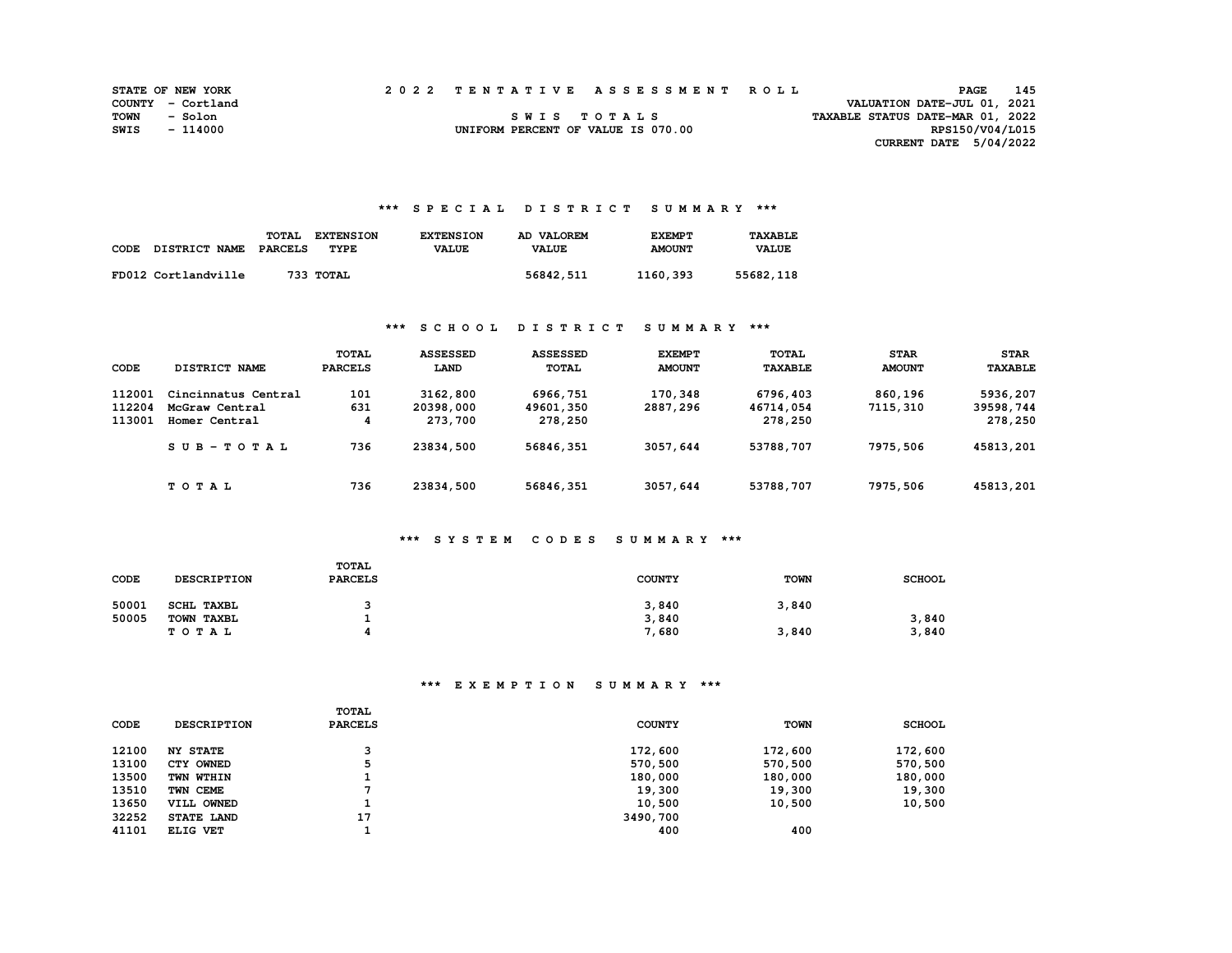|      | <b>STATE OF NEW YORK</b> | 2022 TENTATIVE ASSESSMENT ROLL     |             |  |                                  | PAGE            | 145 |
|------|--------------------------|------------------------------------|-------------|--|----------------------------------|-----------------|-----|
|      | COUNTY - Cortland        |                                    |             |  | VALUATION DATE-JUL 01, 2021      |                 |     |
| TOWN | - Solon                  |                                    | SWIS TOTALS |  | TAXABLE STATUS DATE-MAR 01, 2022 |                 |     |
| SWIS | - 114000                 | UNIFORM PERCENT OF VALUE IS 070.00 |             |  |                                  | RPS150/V04/L015 |     |
|      |                          |                                    |             |  | CURRENT DATE $5/04/2022$         |                 |     |

#### **\*\*\* S P E C I A L D I S T R I C T S U M M A R Y \*\*\***

| CODE | DISTRICT NAME       | TOTAL<br>PARCELS | <b>EXTENSION</b><br>TYPE | <b>EXTENSION</b><br><b>VALUE</b> | AD VALOREM<br><b>VALUE</b> | <b>EXEMPT</b><br><b>AMOUNT</b> | <b>TAXABLE</b><br><b>VALUE</b> |
|------|---------------------|------------------|--------------------------|----------------------------------|----------------------------|--------------------------------|--------------------------------|
|      | FD012 Cortlandville |                  | 733 ТОТАL                |                                  | 56842,511                  | 1160,393                       | 55682,118                      |

### **\*\*\* S C H O O L D I S T R I C T S U M M A R Y \*\*\***

| <b>CODE</b>                | DISTRICT NAME                                          | <b>TOTAL</b><br><b>PARCELS</b> | <b>ASSESSED</b><br>LAND          | <b>ASSESSED</b><br><b>TOTAL</b>  | <b>EXEMPT</b><br><b>AMOUNT</b> | <b>TOTAL</b><br><b>TAXABLE</b>   | <b>STAR</b><br><b>AMOUNT</b> | <b>STAR</b><br><b>TAXABLE</b>    |
|----------------------------|--------------------------------------------------------|--------------------------------|----------------------------------|----------------------------------|--------------------------------|----------------------------------|------------------------------|----------------------------------|
| 112001<br>112204<br>113001 | Cincinnatus Central<br>McGraw Central<br>Homer Central | 101<br>631<br>4                | 3162,800<br>20398,000<br>273,700 | 6966,751<br>49601,350<br>278,250 | 170,348<br>2887,296            | 6796,403<br>46714,054<br>278,250 | 860,196<br>7115,310          | 5936,207<br>39598,744<br>278,250 |
|                            | $SUB-TOTAL$                                            | 736                            | 23834,500                        | 56846,351                        | 3057,644                       | 53788,707                        | 7975,506                     | 45813,201                        |
|                            | TOTAL                                                  | 736                            | 23834,500                        | 56846,351                        | 3057,644                       | 53788,707                        | 7975,506                     | 45813,201                        |

### **\*\*\* S Y S T E M C O D E S S U M M A R Y \*\*\***

| CODE  | <b>DESCRIPTION</b> | TOTAL<br><b>PARCELS</b>  | <b>COUNTY</b> | <b>TOWN</b> | <b>SCHOOL</b> |
|-------|--------------------|--------------------------|---------------|-------------|---------------|
| 50001 | <b>SCHL TAXBL</b>  |                          | 3,840         | 3,840       |               |
| 50005 | TOWN TAXBL         |                          | 3,840         |             | 3,840         |
|       | T O T A L          | $\overline{\phantom{a}}$ | 7,680         | 3,840       | 3,840         |

# **\*\*\* E X E M P T I O N S U M M A R Y \*\*\***

|       |                    | TOTAL          |               |             |               |
|-------|--------------------|----------------|---------------|-------------|---------------|
| CODE  | <b>DESCRIPTION</b> | <b>PARCELS</b> | <b>COUNTY</b> | <b>TOWN</b> | <b>SCHOOL</b> |
| 12100 | <b>NY STATE</b>    | っ              | 172,600       | 172,600     | 172,600       |
| 13100 | CTY OWNED          |                | 570,500       | 570,500     | 570,500       |
| 13500 | TWN WTHIN          |                | 180,000       | 180,000     | 180,000       |
| 13510 | TWN CEME           |                | 19,300        | 19,300      | 19,300        |
| 13650 | VILL OWNED         |                | 10,500        | 10,500      | 10,500        |
| 32252 | STATE LAND         | 17             | 3490,700      |             |               |
| 41101 | ELIG VET           |                | 400           | 400         |               |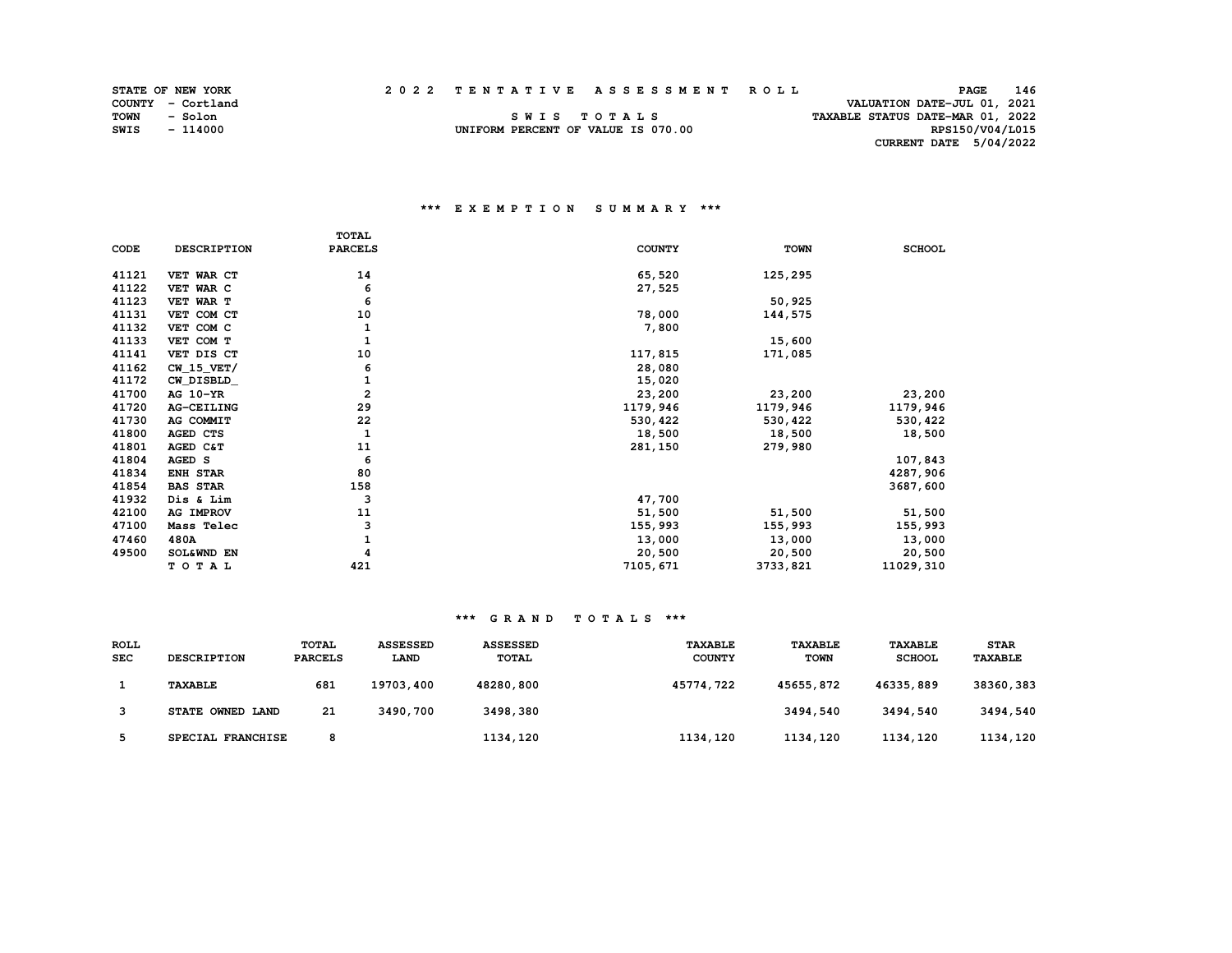| STATE OF NEW YORK | 2022 | TENTATIVE ASSESSMENT ROLL | PAGE | 146 |
|-------------------|------|---------------------------|------|-----|
|                   |      |                           |      |     |

TAXABLE STATUS DATE-MAR 01, 2022

RPS150/V04/L015

**TOWN - Solon S W I S T O T A L S TAXABLE STATUS DATE-MAR 01, 2022 SWIS - 114000 UNIFORM PERCENT OF VALUE IS 070.00 RPS150/V04/L015 CURRENT DATE 5/04/2022** 

### **\*\*\* E X E M P T I O N S U M M A R Y \*\*\***

|       |                    | <b>TOTAL</b>   |               |             |               |
|-------|--------------------|----------------|---------------|-------------|---------------|
| CODE  | <b>DESCRIPTION</b> | <b>PARCELS</b> | <b>COUNTY</b> | <b>TOWN</b> | <b>SCHOOL</b> |
| 41121 | VET WAR CT         | 14             | 65,520        | 125,295     |               |
| 41122 | VET WAR C          | 6              | 27,525        |             |               |
| 41123 | VET WAR T          | 6              |               | 50,925      |               |
| 41131 | VET COM CT         | 10             | 78,000        | 144,575     |               |
| 41132 | VET COM C          | 1              | 7,800         |             |               |
| 41133 | VET COM T          | $\mathbf{1}$   |               | 15,600      |               |
| 41141 | VET DIS CT         | 10             | 117,815       | 171,085     |               |
| 41162 | $CW_15_VET/$       | 6              | 28,080        |             |               |
| 41172 | CW DISBLD          | 1              | 15,020        |             |               |
| 41700 | AG 10-YR           | $\overline{a}$ | 23,200        | 23,200      | 23,200        |
| 41720 | AG-CEILING         | 29             | 1179,946      | 1179,946    | 1179,946      |
| 41730 | AG COMMIT          | 22             | 530, 422      | 530,422     | 530, 422      |
| 41800 | <b>AGED CTS</b>    | $\mathbf{1}$   | 18,500        | 18,500      | 18,500        |
| 41801 | AGED C&T           | 11             | 281,150       | 279,980     |               |
| 41804 | AGED S             | 6              |               |             | 107,843       |
| 41834 | <b>ENH STAR</b>    | 80             |               |             | 4287,906      |
| 41854 | <b>BAS STAR</b>    | 158            |               |             | 3687,600      |
| 41932 | Dis & Lim          | 3              | 47,700        |             |               |
| 42100 | AG IMPROV          | 11             | 51,500        | 51,500      | 51,500        |
| 47100 | Mass Telec         | 3              | 155,993       | 155,993     | 155,993       |
| 47460 | 480A               | 1              | 13,000        | 13,000      | 13,000        |
| 49500 | SOL&WND EN         |                | 20,500        | 20,500      | 20,500        |
|       | TOTAL              | 421            | 7105,671      | 3733,821    | 11029,310     |

#### **\*\*\* G R A N D T O T A L S \*\*\***

| <b>ROLL</b><br><b>SEC</b> | <b>DESCRIPTION</b> | <b>TOTAL</b><br><b>PARCELS</b> | <b>ASSESSED</b><br><b>LAND</b> | <b>ASSESSED</b><br><b>TOTAL</b> | <b>TAXABLE</b><br><b>COUNTY</b> | <b>TAXABLE</b><br><b>TOWN</b> | <b>TAXABLE</b><br><b>SCHOOL</b> | <b>STAR</b><br><b>TAXABLE</b> |
|---------------------------|--------------------|--------------------------------|--------------------------------|---------------------------------|---------------------------------|-------------------------------|---------------------------------|-------------------------------|
|                           | <b>TAXABLE</b>     | 681                            | 19703,400                      | 48280,800                       | 45774,722                       | 45655,872                     | 46335,889                       | 38360,383                     |
|                           | STATE OWNED LAND   | 21                             | 3490,700                       | 3498,380                        |                                 | 3494,540                      | 3494,540                        | 3494,540                      |
|                           | SPECIAL FRANCHISE  | 8                              |                                | 1134,120                        | 1134,120                        | 1134,120                      | 1134,120                        | 1134,120                      |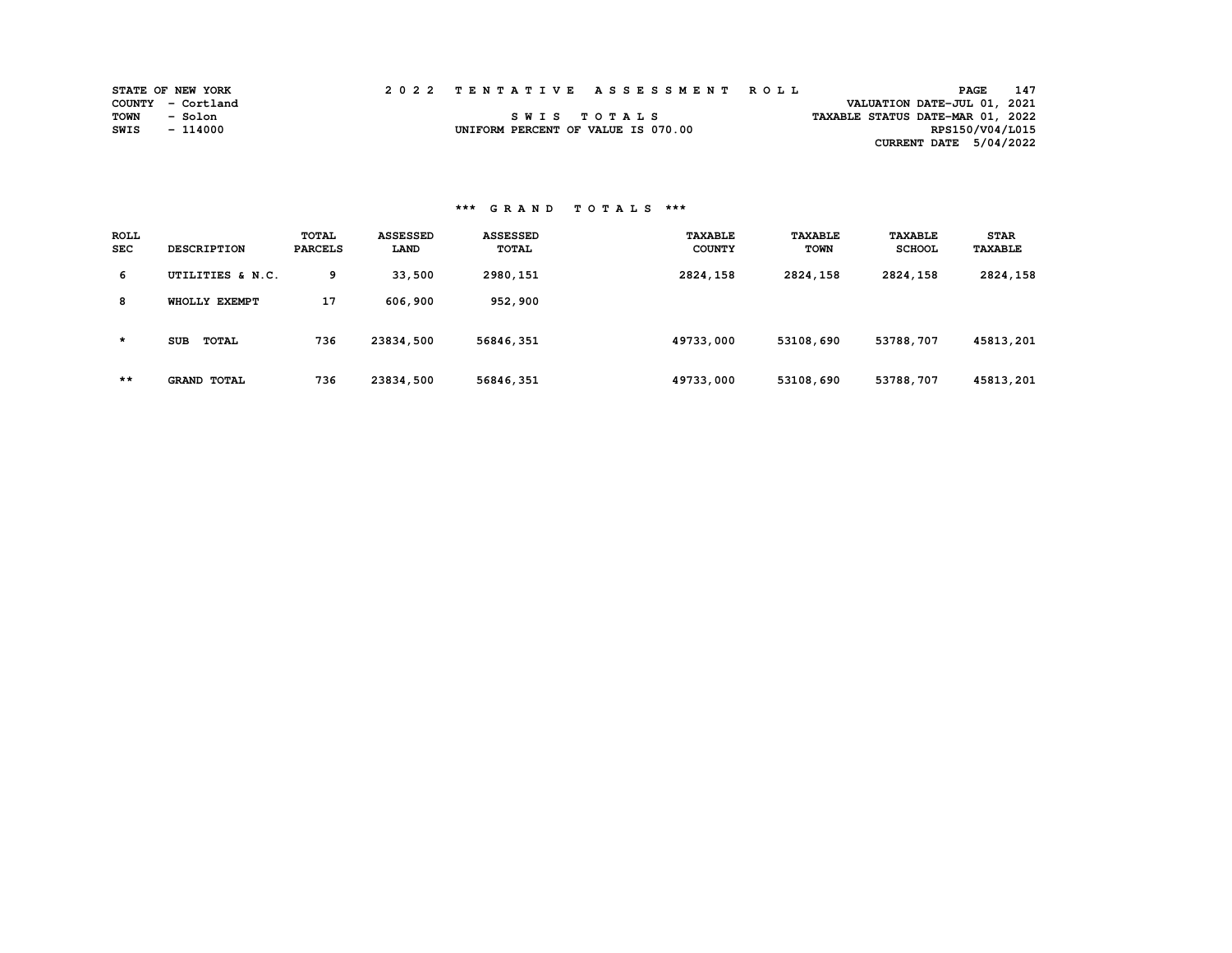|      | <b>STATE OF NEW YORK</b> | 2022 TENTATIVE ASSESSMENT ROLL     |  |  |                                  | PAGE            | 147 |
|------|--------------------------|------------------------------------|--|--|----------------------------------|-----------------|-----|
|      | COUNTY - Cortland        |                                    |  |  | VALUATION DATE-JUL 01, 2021      |                 |     |
| TOWN | - Solon                  | SWIS TOTALS                        |  |  | TAXABLE STATUS DATE-MAR 01, 2022 |                 |     |
| SWIS | - 114000                 | UNIFORM PERCENT OF VALUE IS 070.00 |  |  |                                  | RPS150/V04/L015 |     |
|      |                          |                                    |  |  | CURRENT DATE 5/04/2022           |                 |     |

## **\*\*\* G R A N D T O T A L S \*\*\***

| <b>ROLL</b><br><b>SEC</b> | <b>DESCRIPTION</b>         | <b>TOTAL</b><br><b>PARCELS</b> | <b>ASSESSED</b><br>LAND | <b>ASSESSED</b><br>TOTAL | <b><i>TAXABLE</i></b><br><b>COUNTY</b> | <b>TAXABLE</b><br>TOWN | <b>TAXABLE</b><br><b>SCHOOL</b> | <b>STAR</b><br><b>TAXABLE</b> |
|---------------------------|----------------------------|--------------------------------|-------------------------|--------------------------|----------------------------------------|------------------------|---------------------------------|-------------------------------|
| 6                         | UTILITIES & N.C.           | 9                              | 33,500                  | 2980,151                 | 2824,158                               | 2824,158               | 2824,158                        | 2824,158                      |
| 8                         | WHOLLY EXEMPT              | 17                             | 606,900                 | 952,900                  |                                        |                        |                                 |                               |
| $\star$                   | <b>TOTAL</b><br><b>SUB</b> | 736                            | 23834,500               | 56846,351                | 49733,000                              | 53108,690              | 53788,707                       | 45813,201                     |
| $***$                     | <b>GRAND TOTAL</b>         | 736                            | 23834,500               | 56846,351                | 49733,000                              | 53108,690              | 53788,707                       | 45813,201                     |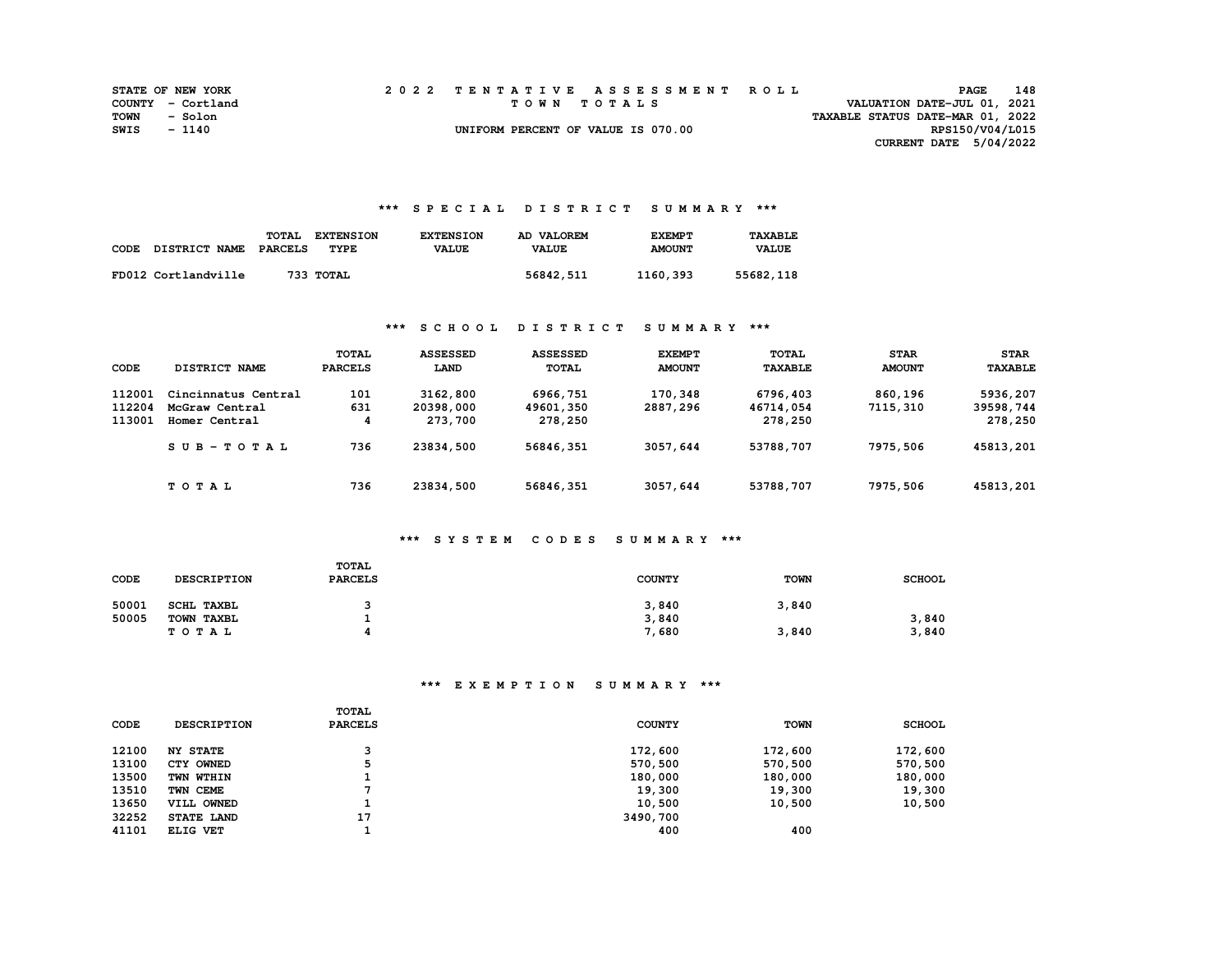|              | <b>STATE OF NEW YORK</b> |  | 2022 TENTATIVE ASSESSMENT ROLL     |                                  | PAGE                        | 148 |
|--------------|--------------------------|--|------------------------------------|----------------------------------|-----------------------------|-----|
|              | COUNTY - Cortland        |  | TOWN TOTALS                        |                                  | VALUATION DATE-JUL 01, 2021 |     |
| TOWN - Solon |                          |  |                                    | TAXABLE STATUS DATE-MAR 01, 2022 |                             |     |
| SWIS         | - 1140                   |  | UNIFORM PERCENT OF VALUE IS 070.00 |                                  | RPS150/V04/L015             |     |
|              |                          |  |                                    |                                  | CURRENT DATE 5/04/2022      |     |

#### **\*\*\* S P E C I A L D I S T R I C T S U M M A R Y \*\*\***

| CODE | DISTRICT NAME       | TOTAL<br>PARCELS | <b>EXTENSION</b><br>TYPE | <b>EXTENSION</b><br><b>VALUE</b> | AD VALOREM<br><b>VALUE</b> | <b>EXEMPT</b><br><b>AMOUNT</b> | <b>TAXABLE</b><br><b>VALUE</b> |
|------|---------------------|------------------|--------------------------|----------------------------------|----------------------------|--------------------------------|--------------------------------|
|      | FD012 Cortlandville |                  | 733 ТОТАL                |                                  | 56842,511                  | 1160,393                       | 55682,118                      |

### **\*\*\* S C H O O L D I S T R I C T S U M M A R Y \*\*\***

| CODE                       | DISTRICT NAME                                          | <b>TOTAL</b><br><b>PARCELS</b> | <b>ASSESSED</b><br>LAND          | <b>ASSESSED</b><br>TOTAL         | <b>EXEMPT</b><br><b>AMOUNT</b> | <b>TOTAL</b><br><b>TAXABLE</b>   | <b>STAR</b><br><b>AMOUNT</b> | <b>STAR</b><br><b>TAXABLE</b>    |
|----------------------------|--------------------------------------------------------|--------------------------------|----------------------------------|----------------------------------|--------------------------------|----------------------------------|------------------------------|----------------------------------|
| 112001<br>112204<br>113001 | Cincinnatus Central<br>McGraw Central<br>Homer Central | 101<br>631<br>4                | 3162,800<br>20398,000<br>273,700 | 6966,751<br>49601,350<br>278,250 | 170,348<br>2887,296            | 6796,403<br>46714,054<br>278,250 | 860,196<br>7115,310          | 5936,207<br>39598,744<br>278,250 |
|                            | SUB-TOTAL                                              | 736                            | 23834,500                        | 56846,351                        | 3057,644                       | 53788,707                        | 7975,506                     | 45813,201                        |
|                            | TOTAL                                                  | 736                            | 23834,500                        | 56846,351                        | 3057,644                       | 53788,707                        | 7975,506                     | 45813,201                        |

### **\*\*\* S Y S T E M C O D E S S U M M A R Y \*\*\***

| CODE  | <b>DESCRIPTION</b> | TOTAL<br><b>PARCELS</b> | <b>COUNTY</b> | TOWN  | <b>SCHOOL</b> |
|-------|--------------------|-------------------------|---------------|-------|---------------|
| 50001 | <b>SCHL TAXBL</b>  |                         | 3,840         | 3,840 |               |
| 50005 | TOWN TAXBL         |                         | 3,840         |       | 3,840         |
|       | TOTAL              | Д                       | 7,680         | 3,840 | 3,840         |

# **\*\*\* E X E M P T I O N S U M M A R Y \*\*\***

| CODE  | <b>DESCRIPTION</b> | TOTAL<br><b>PARCELS</b> | <b>COUNTY</b> | <b>TOWN</b> | <b>SCHOOL</b> |
|-------|--------------------|-------------------------|---------------|-------------|---------------|
| 12100 | <b>NY STATE</b>    | っ                       | 172,600       | 172,600     | 172,600       |
| 13100 | CTY OWNED          |                         | 570,500       | 570,500     | 570,500       |
| 13500 | TWN WTHIN          |                         | 180,000       | 180,000     | 180,000       |
| 13510 | TWN CEME           |                         | 19,300        | 19,300      | 19,300        |
| 13650 | VILL OWNED         |                         | 10,500        | 10,500      | 10,500        |
| 32252 | STATE LAND         | 17                      | 3490,700      |             |               |
| 41101 | ELIG VET           |                         | 400           | 400         |               |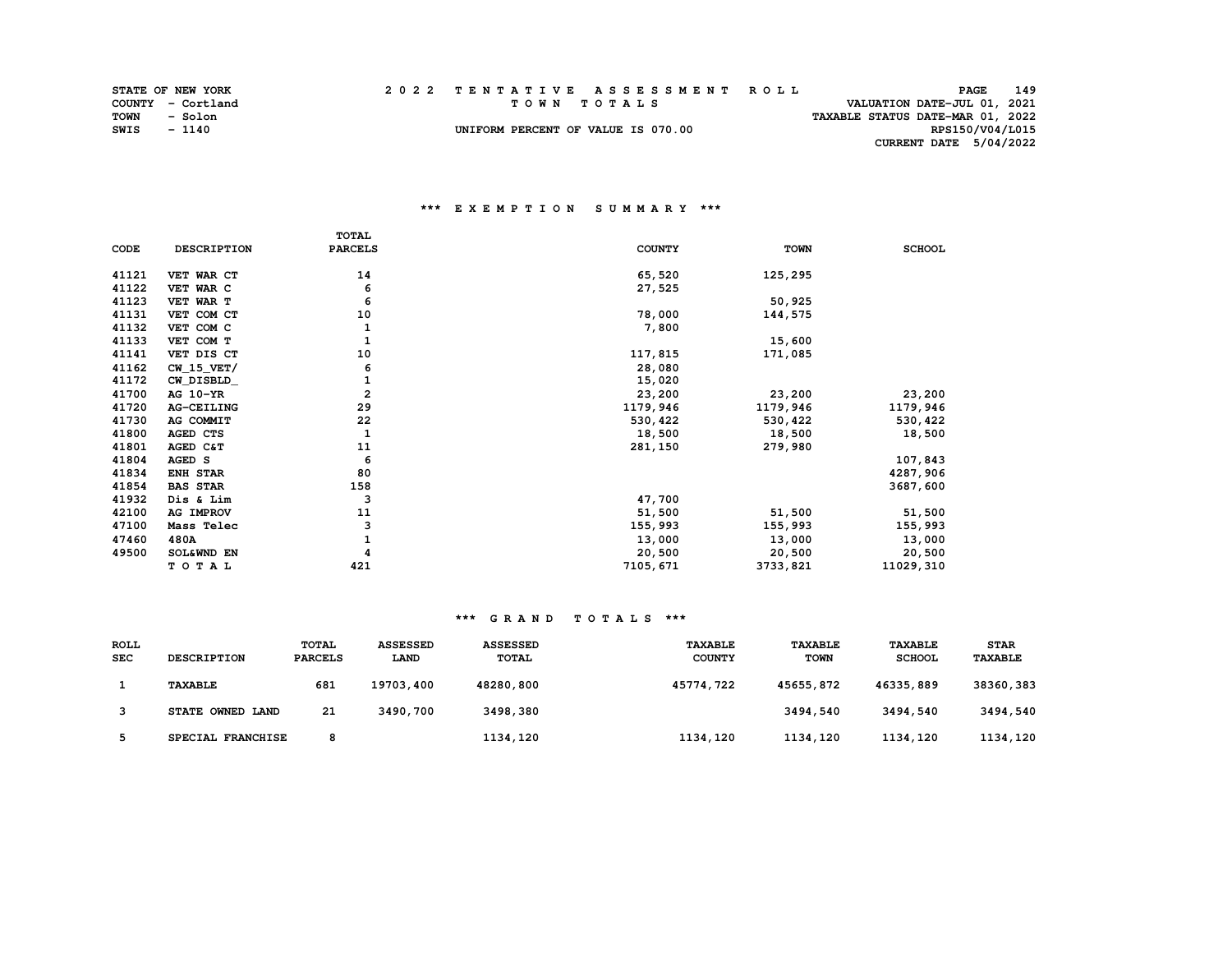|      | <b>STATE OF NEW YORK</b> |  | 2022 TENTATIVE ASSESSMENT ROLL     |                                  | PAGE                        | 149 |
|------|--------------------------|--|------------------------------------|----------------------------------|-----------------------------|-----|
|      | COUNTY - Cortland        |  | TOWN TOTALS                        |                                  | VALUATION DATE-JUL 01, 2021 |     |
| TOWN | - Solon                  |  |                                    | TAXABLE STATUS DATE-MAR 01, 2022 |                             |     |
| SWIS | $-1140$                  |  | UNIFORM PERCENT OF VALUE IS 070.00 |                                  | RPS150/V04/L015             |     |
|      |                          |  |                                    |                                  | CURRENT DATE 5/04/2022      |     |

#### **\*\*\* E X E M P T I O N S U M M A R Y \*\*\***

|       |                    | <b>TOTAL</b>   |               |             |               |
|-------|--------------------|----------------|---------------|-------------|---------------|
| CODE  | <b>DESCRIPTION</b> | <b>PARCELS</b> | <b>COUNTY</b> | <b>TOWN</b> | <b>SCHOOL</b> |
| 41121 | VET WAR CT         | 14             | 65,520        | 125,295     |               |
| 41122 | VET WAR C          | 6              | 27,525        |             |               |
| 41123 | VET WAR T          | 6              |               | 50,925      |               |
| 41131 | VET COM CT         | 10             | 78,000        | 144,575     |               |
| 41132 | VET COM C          | 1              | 7,800         |             |               |
| 41133 | VET COM T          | $\mathbf{1}$   |               | 15,600      |               |
| 41141 | VET DIS CT         | 10             | 117,815       | 171,085     |               |
| 41162 | $CW_15_VET/$       | 6              | 28,080        |             |               |
| 41172 | CW_DISBLD_         | 1              | 15,020        |             |               |
| 41700 | AG 10-YR           | $\overline{2}$ | 23,200        | 23,200      | 23,200        |
| 41720 | AG-CEILING         | 29             | 1179,946      | 1179,946    | 1179,946      |
| 41730 | AG COMMIT          | 22             | 530,422       | 530,422     | 530, 422      |
| 41800 | AGED CTS           | $\mathbf{1}$   | 18,500        | 18,500      | 18,500        |
| 41801 | AGED C&T           | 11             | 281,150       | 279,980     |               |
| 41804 | AGED S             | 6              |               |             | 107,843       |
| 41834 | ENH STAR           | 80             |               |             | 4287,906      |
| 41854 | <b>BAS STAR</b>    | 158            |               |             | 3687,600      |
| 41932 | Dis & Lim          | 3              | 47,700        |             |               |
| 42100 | AG IMPROV          | 11             | 51,500        | 51,500      | 51,500        |
| 47100 | Mass Telec         | 3              | 155,993       | 155,993     | 155,993       |
| 47460 | 480A               |                | 13,000        | 13,000      | 13,000        |
| 49500 | SOL&WND EN         |                | 20,500        | 20,500      | 20,500        |
|       | TOTAL              | 421            | 7105,671      | 3733,821    | 11029,310     |

#### **\*\*\* G R A N D T O T A L S \*\*\***

| <b>ROLL</b><br><b>SEC</b> | <b>DESCRIPTION</b> | <b>TOTAL</b><br><b>PARCELS</b> | <b>ASSESSED</b><br><b>LAND</b> | <b>ASSESSED</b><br><b>TOTAL</b> | <b>TAXABLE</b><br><b>COUNTY</b> | <b>TAXABLE</b><br><b>TOWN</b> | <b>TAXABLE</b><br><b>SCHOOL</b> | <b>STAR</b><br><b>TAXABLE</b> |
|---------------------------|--------------------|--------------------------------|--------------------------------|---------------------------------|---------------------------------|-------------------------------|---------------------------------|-------------------------------|
|                           | <b>TAXABLE</b>     | 681                            | 19703,400                      | 48280,800                       | 45774,722                       | 45655,872                     | 46335,889                       | 38360,383                     |
|                           | STATE OWNED LAND   | 21                             | 3490,700                       | 3498,380                        |                                 | 3494,540                      | 3494,540                        | 3494,540                      |
|                           | SPECIAL FRANCHISE  | 8                              |                                | 1134,120                        | 1134,120                        | 1134,120                      | 1134,120                        | 1134,120                      |